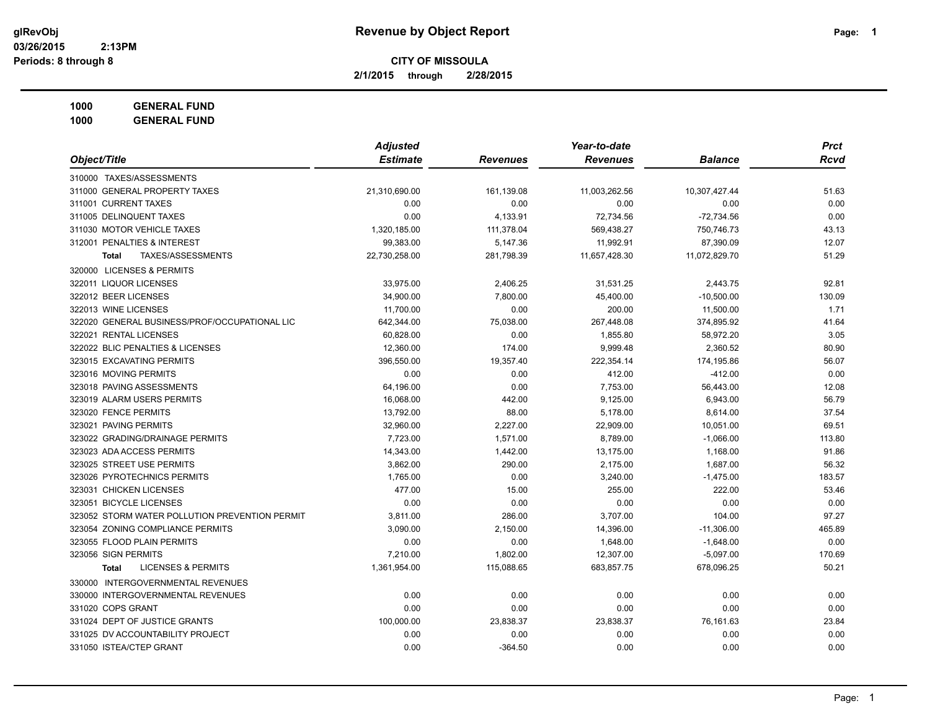**2/1/2015 through 2/28/2015**

**1000 GENERAL FUND**

|                                                | <b>Adjusted</b> |                 | Year-to-date    |                | <b>Prct</b> |
|------------------------------------------------|-----------------|-----------------|-----------------|----------------|-------------|
| Object/Title                                   | <b>Estimate</b> | <b>Revenues</b> | <b>Revenues</b> | <b>Balance</b> | <b>Rcvd</b> |
| 310000 TAXES/ASSESSMENTS                       |                 |                 |                 |                |             |
| 311000 GENERAL PROPERTY TAXES                  | 21,310,690.00   | 161,139.08      | 11,003,262.56   | 10,307,427.44  | 51.63       |
| 311001 CURRENT TAXES                           | 0.00            | 0.00            | 0.00            | 0.00           | 0.00        |
| 311005 DELINQUENT TAXES                        | 0.00            | 4,133.91        | 72,734.56       | $-72,734.56$   | 0.00        |
| 311030 MOTOR VEHICLE TAXES                     | 1,320,185.00    | 111,378.04      | 569,438.27      | 750,746.73     | 43.13       |
| 312001 PENALTIES & INTEREST                    | 99,383.00       | 5,147.36        | 11,992.91       | 87,390.09      | 12.07       |
| TAXES/ASSESSMENTS<br><b>Total</b>              | 22,730,258.00   | 281,798.39      | 11,657,428.30   | 11,072,829.70  | 51.29       |
| 320000 LICENSES & PERMITS                      |                 |                 |                 |                |             |
| 322011 LIQUOR LICENSES                         | 33,975.00       | 2,406.25        | 31,531.25       | 2,443.75       | 92.81       |
| 322012 BEER LICENSES                           | 34,900.00       | 7,800.00        | 45,400.00       | $-10,500.00$   | 130.09      |
| 322013 WINE LICENSES                           | 11,700.00       | 0.00            | 200.00          | 11,500.00      | 1.71        |
| 322020 GENERAL BUSINESS/PROF/OCCUPATIONAL LIC  | 642,344.00      | 75,038.00       | 267,448.08      | 374,895.92     | 41.64       |
| 322021 RENTAL LICENSES                         | 60,828.00       | 0.00            | 1,855.80        | 58,972.20      | 3.05        |
| 322022 BLIC PENALTIES & LICENSES               | 12,360.00       | 174.00          | 9,999.48        | 2,360.52       | 80.90       |
| 323015 EXCAVATING PERMITS                      | 396,550.00      | 19,357.40       | 222,354.14      | 174,195.86     | 56.07       |
| 323016 MOVING PERMITS                          | 0.00            | 0.00            | 412.00          | $-412.00$      | 0.00        |
| 323018 PAVING ASSESSMENTS                      | 64,196.00       | 0.00            | 7,753.00        | 56,443.00      | 12.08       |
| 323019 ALARM USERS PERMITS                     | 16,068.00       | 442.00          | 9,125.00        | 6,943.00       | 56.79       |
| 323020 FENCE PERMITS                           | 13,792.00       | 88.00           | 5,178.00        | 8,614.00       | 37.54       |
| 323021 PAVING PERMITS                          | 32,960.00       | 2,227.00        | 22,909.00       | 10,051.00      | 69.51       |
| 323022 GRADING/DRAINAGE PERMITS                | 7,723.00        | 1,571.00        | 8,789.00        | $-1,066.00$    | 113.80      |
| 323023 ADA ACCESS PERMITS                      | 14,343.00       | 1,442.00        | 13,175.00       | 1,168.00       | 91.86       |
| 323025 STREET USE PERMITS                      | 3,862.00        | 290.00          | 2,175.00        | 1,687.00       | 56.32       |
| 323026 PYROTECHNICS PERMITS                    | 1,765.00        | 0.00            | 3,240.00        | $-1,475.00$    | 183.57      |
| 323031 CHICKEN LICENSES                        | 477.00          | 15.00           | 255.00          | 222.00         | 53.46       |
| 323051 BICYCLE LICENSES                        | 0.00            | 0.00            | 0.00            | 0.00           | 0.00        |
| 323052 STORM WATER POLLUTION PREVENTION PERMIT | 3,811.00        | 286.00          | 3,707.00        | 104.00         | 97.27       |
| 323054 ZONING COMPLIANCE PERMITS               | 3,090.00        | 2,150.00        | 14,396.00       | $-11,306.00$   | 465.89      |
| 323055 FLOOD PLAIN PERMITS                     | 0.00            | 0.00            | 1,648.00        | $-1,648.00$    | 0.00        |
| 323056 SIGN PERMITS                            | 7,210.00        | 1,802.00        | 12,307.00       | $-5,097.00$    | 170.69      |
| <b>LICENSES &amp; PERMITS</b><br><b>Total</b>  | 1,361,954.00    | 115,088.65      | 683,857.75      | 678,096.25     | 50.21       |
| 330000 INTERGOVERNMENTAL REVENUES              |                 |                 |                 |                |             |
| 330000 INTERGOVERNMENTAL REVENUES              | 0.00            | 0.00            | 0.00            | 0.00           | 0.00        |
| 331020 COPS GRANT                              | 0.00            | 0.00            | 0.00            | 0.00           | 0.00        |
| 331024 DEPT OF JUSTICE GRANTS                  | 100,000.00      | 23,838.37       | 23,838.37       | 76,161.63      | 23.84       |
| 331025 DV ACCOUNTABILITY PROJECT               | 0.00            | 0.00            | 0.00            | 0.00           | 0.00        |
| 331050 ISTEA/CTEP GRANT                        | 0.00            | $-364.50$       | 0.00            | 0.00           | 0.00        |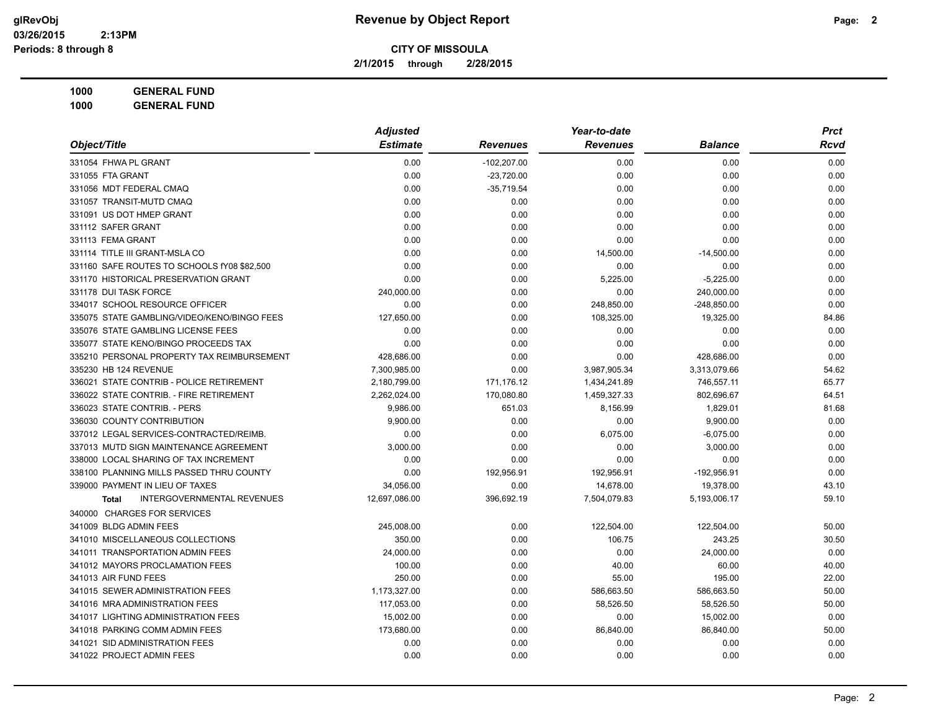**2/1/2015 through 2/28/2015**

**1000 GENERAL FUND 1000 GENERAL FUND**

|                                                   | <b>Adjusted</b> |                 | Year-to-date    |                | <b>Prct</b> |
|---------------------------------------------------|-----------------|-----------------|-----------------|----------------|-------------|
| Object/Title                                      | <b>Estimate</b> | <b>Revenues</b> | <b>Revenues</b> | <b>Balance</b> | Rcvd        |
| 331054 FHWA PL GRANT                              | 0.00            | $-102,207.00$   | 0.00            | 0.00           | 0.00        |
| 331055 FTA GRANT                                  | 0.00            | $-23,720.00$    | 0.00            | 0.00           | 0.00        |
| 331056 MDT FEDERAL CMAQ                           | 0.00            | $-35,719.54$    | 0.00            | 0.00           | 0.00        |
| 331057 TRANSIT-MUTD CMAQ                          | 0.00            | 0.00            | 0.00            | 0.00           | 0.00        |
| 331091 US DOT HMEP GRANT                          | 0.00            | 0.00            | 0.00            | 0.00           | 0.00        |
| 331112 SAFER GRANT                                | 0.00            | 0.00            | 0.00            | 0.00           | 0.00        |
| 331113 FEMA GRANT                                 | 0.00            | 0.00            | 0.00            | 0.00           | 0.00        |
| 331114 TITLE III GRANT-MSLA CO                    | 0.00            | 0.00            | 14,500.00       | $-14,500.00$   | 0.00        |
| 331160 SAFE ROUTES TO SCHOOLS fY08 \$82,500       | 0.00            | 0.00            | 0.00            | 0.00           | 0.00        |
| 331170 HISTORICAL PRESERVATION GRANT              | 0.00            | 0.00            | 5,225.00        | $-5,225.00$    | 0.00        |
| 331178 DUI TASK FORCE                             | 240,000.00      | 0.00            | 0.00            | 240,000.00     | 0.00        |
| 334017 SCHOOL RESOURCE OFFICER                    | 0.00            | 0.00            | 248,850.00      | $-248,850.00$  | 0.00        |
| 335075 STATE GAMBLING/VIDEO/KENO/BINGO FEES       | 127,650.00      | 0.00            | 108,325.00      | 19,325.00      | 84.86       |
| 335076 STATE GAMBLING LICENSE FEES                | 0.00            | 0.00            | 0.00            | 0.00           | 0.00        |
| 335077 STATE KENO/BINGO PROCEEDS TAX              | 0.00            | 0.00            | 0.00            | 0.00           | 0.00        |
| 335210 PERSONAL PROPERTY TAX REIMBURSEMENT        | 428,686.00      | 0.00            | 0.00            | 428,686.00     | 0.00        |
| 335230 HB 124 REVENUE                             | 7,300,985.00    | 0.00            | 3,987,905.34    | 3,313,079.66   | 54.62       |
| 336021 STATE CONTRIB - POLICE RETIREMENT          | 2,180,799.00    | 171,176.12      | 1,434,241.89    | 746,557.11     | 65.77       |
| 336022 STATE CONTRIB. - FIRE RETIREMENT           | 2.262.024.00    | 170,080.80      | 1,459,327.33    | 802,696.67     | 64.51       |
| 336023 STATE CONTRIB. - PERS                      | 9,986.00        | 651.03          | 8,156.99        | 1,829.01       | 81.68       |
| 336030 COUNTY CONTRIBUTION                        | 9,900.00        | 0.00            | 0.00            | 9,900.00       | 0.00        |
| 337012 LEGAL SERVICES-CONTRACTED/REIMB.           | 0.00            | 0.00            | 6,075.00        | $-6,075.00$    | 0.00        |
| 337013 MUTD SIGN MAINTENANCE AGREEMENT            | 3,000.00        | 0.00            | 0.00            | 3,000.00       | 0.00        |
| 338000 LOCAL SHARING OF TAX INCREMENT             | 0.00            | 0.00            | 0.00            | 0.00           | 0.00        |
| 338100 PLANNING MILLS PASSED THRU COUNTY          | 0.00            | 192,956.91      | 192,956.91      | $-192,956.91$  | 0.00        |
| 339000 PAYMENT IN LIEU OF TAXES                   | 34,056.00       | 0.00            | 14,678.00       | 19,378.00      | 43.10       |
| <b>INTERGOVERNMENTAL REVENUES</b><br><b>Total</b> | 12,697,086.00   | 396,692.19      | 7,504,079.83    | 5,193,006.17   | 59.10       |
| 340000 CHARGES FOR SERVICES                       |                 |                 |                 |                |             |
| 341009 BLDG ADMIN FEES                            | 245,008.00      | 0.00            | 122,504.00      | 122,504.00     | 50.00       |
| 341010 MISCELLANEOUS COLLECTIONS                  | 350.00          | 0.00            | 106.75          | 243.25         | 30.50       |
| 341011 TRANSPORTATION ADMIN FEES                  | 24,000.00       | 0.00            | 0.00            | 24,000.00      | 0.00        |
| 341012 MAYORS PROCLAMATION FEES                   | 100.00          | 0.00            | 40.00           | 60.00          | 40.00       |
| 341013 AIR FUND FEES                              | 250.00          | 0.00            | 55.00           | 195.00         | 22.00       |
| 341015 SEWER ADMINISTRATION FEES                  | 1,173,327.00    | 0.00            | 586,663.50      | 586,663.50     | 50.00       |
| 341016 MRA ADMINISTRATION FEES                    | 117,053.00      | 0.00            | 58,526.50       | 58,526.50      | 50.00       |
| 341017 LIGHTING ADMINISTRATION FEES               | 15,002.00       | 0.00            | 0.00            | 15,002.00      | 0.00        |
| 341018 PARKING COMM ADMIN FEES                    | 173,680.00      | 0.00            | 86,840.00       | 86,840.00      | 50.00       |
| 341021 SID ADMINISTRATION FEES                    | 0.00            | 0.00            | 0.00            | 0.00           | 0.00        |
| 341022 PROJECT ADMIN FEES                         | 0.00            | 0.00            | 0.00            | 0.00           | 0.00        |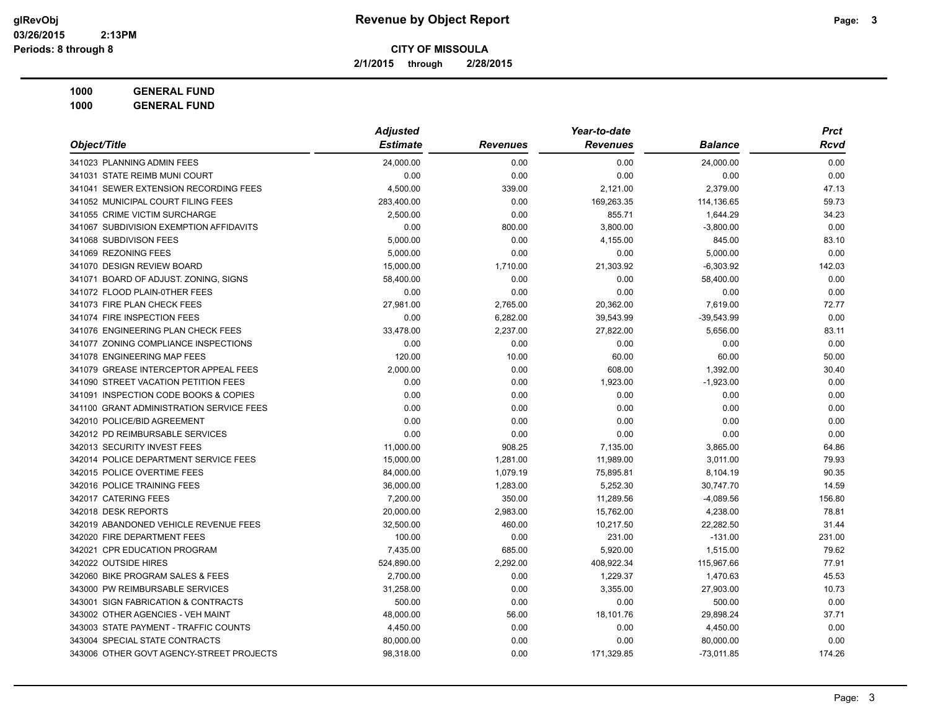**2/1/2015 through 2/28/2015**

**1000 GENERAL FUND 1000 GENERAL FUND**

|                                          | <b>Adjusted</b> |                 | Year-to-date    |                | <b>Prct</b> |
|------------------------------------------|-----------------|-----------------|-----------------|----------------|-------------|
| Object/Title                             | <b>Estimate</b> | <b>Revenues</b> | <b>Revenues</b> | <b>Balance</b> | <b>Rcvd</b> |
| 341023 PLANNING ADMIN FEES               | 24,000.00       | 0.00            | 0.00            | 24,000.00      | 0.00        |
| 341031 STATE REIMB MUNI COURT            | 0.00            | 0.00            | 0.00            | 0.00           | 0.00        |
| 341041 SEWER EXTENSION RECORDING FEES    | 4,500.00        | 339.00          | 2,121.00        | 2,379.00       | 47.13       |
| 341052 MUNICIPAL COURT FILING FEES       | 283,400.00      | 0.00            | 169,263.35      | 114,136.65     | 59.73       |
| 341055 CRIME VICTIM SURCHARGE            | 2,500.00        | 0.00            | 855.71          | 1,644.29       | 34.23       |
| 341067 SUBDIVISION EXEMPTION AFFIDAVITS  | 0.00            | 800.00          | 3,800.00        | $-3,800.00$    | 0.00        |
| 341068 SUBDIVISON FEES                   | 5,000.00        | 0.00            | 4,155.00        | 845.00         | 83.10       |
| 341069 REZONING FEES                     | 5,000.00        | 0.00            | 0.00            | 5,000.00       | 0.00        |
| 341070 DESIGN REVIEW BOARD               | 15,000.00       | 1,710.00        | 21,303.92       | $-6,303.92$    | 142.03      |
| 341071 BOARD OF ADJUST. ZONING, SIGNS    | 58,400.00       | 0.00            | 0.00            | 58,400.00      | 0.00        |
| 341072 FLOOD PLAIN-0THER FEES            | 0.00            | 0.00            | 0.00            | 0.00           | 0.00        |
| 341073 FIRE PLAN CHECK FEES              | 27,981.00       | 2,765.00        | 20,362.00       | 7,619.00       | 72.77       |
| 341074 FIRE INSPECTION FEES              | 0.00            | 6,282.00        | 39,543.99       | $-39,543.99$   | 0.00        |
| 341076 ENGINEERING PLAN CHECK FEES       | 33,478.00       | 2,237.00        | 27,822.00       | 5,656.00       | 83.11       |
| 341077 ZONING COMPLIANCE INSPECTIONS     | 0.00            | 0.00            | 0.00            | 0.00           | 0.00        |
| 341078 ENGINEERING MAP FEES              | 120.00          | 10.00           | 60.00           | 60.00          | 50.00       |
| 341079 GREASE INTERCEPTOR APPEAL FEES    | 2,000.00        | 0.00            | 608.00          | 1,392.00       | 30.40       |
| 341090 STREET VACATION PETITION FEES     | 0.00            | 0.00            | 1,923.00        | $-1,923.00$    | 0.00        |
| 341091 INSPECTION CODE BOOKS & COPIES    | 0.00            | 0.00            | 0.00            | 0.00           | 0.00        |
| 341100 GRANT ADMINISTRATION SERVICE FEES | 0.00            | 0.00            | 0.00            | 0.00           | 0.00        |
| 342010 POLICE/BID AGREEMENT              | 0.00            | 0.00            | 0.00            | 0.00           | 0.00        |
| 342012 PD REIMBURSABLE SERVICES          | 0.00            | 0.00            | 0.00            | 0.00           | 0.00        |
| 342013 SECURITY INVEST FEES              | 11,000.00       | 908.25          | 7,135.00        | 3,865.00       | 64.86       |
| 342014 POLICE DEPARTMENT SERVICE FEES    | 15,000.00       | 1,281.00        | 11,989.00       | 3,011.00       | 79.93       |
| 342015 POLICE OVERTIME FEES              | 84,000.00       | 1,079.19        | 75,895.81       | 8,104.19       | 90.35       |
| 342016 POLICE TRAINING FEES              | 36,000.00       | 1,283.00        | 5,252.30        | 30,747.70      | 14.59       |
| 342017 CATERING FEES                     | 7,200.00        | 350.00          | 11,289.56       | $-4,089.56$    | 156.80      |
| 342018 DESK REPORTS                      | 20,000.00       | 2,983.00        | 15,762.00       | 4,238.00       | 78.81       |
| 342019 ABANDONED VEHICLE REVENUE FEES    | 32,500.00       | 460.00          | 10,217.50       | 22,282.50      | 31.44       |
| 342020 FIRE DEPARTMENT FEES              | 100.00          | 0.00            | 231.00          | $-131.00$      | 231.00      |
| 342021 CPR EDUCATION PROGRAM             | 7,435.00        | 685.00          | 5,920.00        | 1,515.00       | 79.62       |
| 342022 OUTSIDE HIRES                     | 524,890.00      | 2,292.00        | 408,922.34      | 115,967.66     | 77.91       |
| 342060 BIKE PROGRAM SALES & FEES         | 2,700.00        | 0.00            | 1,229.37        | 1,470.63       | 45.53       |
| 343000 PW REIMBURSABLE SERVICES          | 31,258.00       | 0.00            | 3,355.00        | 27,903.00      | 10.73       |
| 343001 SIGN FABRICATION & CONTRACTS      | 500.00          | 0.00            | 0.00            | 500.00         | 0.00        |
| 343002 OTHER AGENCIES - VEH MAINT        | 48,000.00       | 56.00           | 18,101.76       | 29,898.24      | 37.71       |
| 343003 STATE PAYMENT - TRAFFIC COUNTS    | 4,450.00        | 0.00            | 0.00            | 4,450.00       | 0.00        |
| 343004 SPECIAL STATE CONTRACTS           | 80,000.00       | 0.00            | 0.00            | 80,000.00      | 0.00        |
| 343006 OTHER GOVT AGENCY-STREET PROJECTS | 98.318.00       | 0.00            | 171.329.85      | $-73.011.85$   | 174.26      |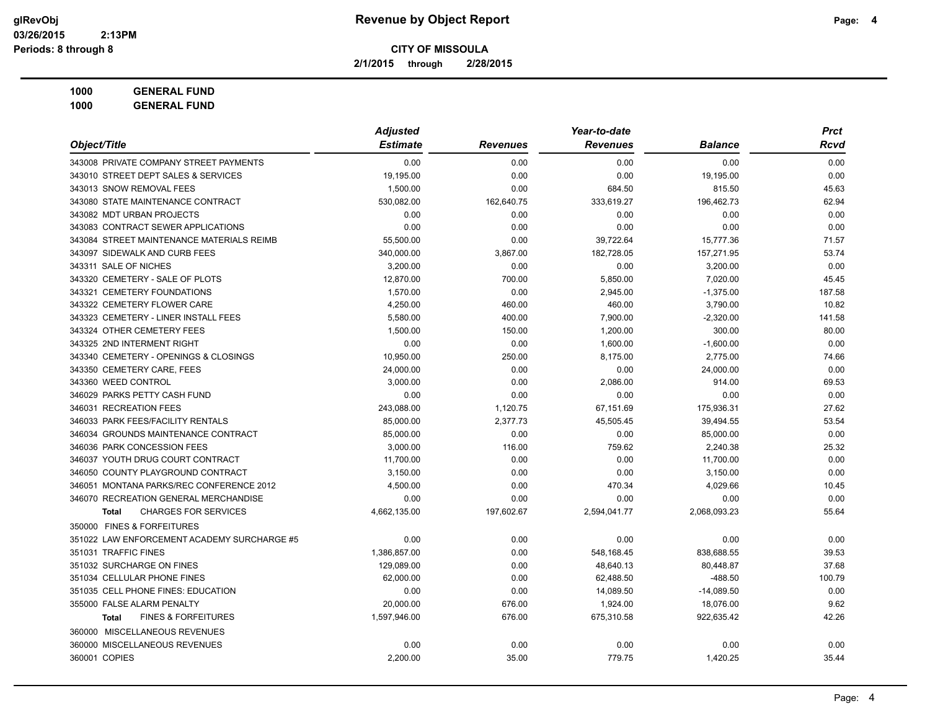**2/1/2015 through 2/28/2015**

**1000 GENERAL FUND 1000 GENERAL FUND**

|                                                | <b>Adjusted</b> |                 | Year-to-date    |                |        |
|------------------------------------------------|-----------------|-----------------|-----------------|----------------|--------|
| Object/Title                                   | <b>Estimate</b> | <b>Revenues</b> | <b>Revenues</b> | <b>Balance</b> | Rcvd   |
| 343008 PRIVATE COMPANY STREET PAYMENTS         | 0.00            | 0.00            | 0.00            | 0.00           | 0.00   |
| 343010 STREET DEPT SALES & SERVICES            | 19,195.00       | 0.00            | 0.00            | 19,195.00      | 0.00   |
| 343013 SNOW REMOVAL FEES                       | 1,500.00        | 0.00            | 684.50          | 815.50         | 45.63  |
| 343080 STATE MAINTENANCE CONTRACT              | 530,082.00      | 162,640.75      | 333,619.27      | 196,462.73     | 62.94  |
| 343082 MDT URBAN PROJECTS                      | 0.00            | 0.00            | 0.00            | 0.00           | 0.00   |
| 343083 CONTRACT SEWER APPLICATIONS             | 0.00            | 0.00            | 0.00            | 0.00           | 0.00   |
| 343084 STREET MAINTENANCE MATERIALS REIMB      | 55,500.00       | 0.00            | 39,722.64       | 15,777.36      | 71.57  |
| 343097 SIDEWALK AND CURB FEES                  | 340,000.00      | 3,867.00        | 182,728.05      | 157,271.95     | 53.74  |
| 343311 SALE OF NICHES                          | 3,200.00        | 0.00            | 0.00            | 3,200.00       | 0.00   |
| 343320 CEMETERY - SALE OF PLOTS                | 12,870.00       | 700.00          | 5,850.00        | 7,020.00       | 45.45  |
| 343321 CEMETERY FOUNDATIONS                    | 1,570.00        | 0.00            | 2,945.00        | $-1,375.00$    | 187.58 |
| 343322 CEMETERY FLOWER CARE                    | 4,250.00        | 460.00          | 460.00          | 3,790.00       | 10.82  |
| 343323 CEMETERY - LINER INSTALL FEES           | 5,580.00        | 400.00          | 7,900.00        | $-2,320.00$    | 141.58 |
| 343324 OTHER CEMETERY FEES                     | 1,500.00        | 150.00          | 1,200.00        | 300.00         | 80.00  |
| 343325 2ND INTERMENT RIGHT                     | 0.00            | 0.00            | 1,600.00        | $-1,600.00$    | 0.00   |
| 343340 CEMETERY - OPENINGS & CLOSINGS          | 10,950.00       | 250.00          | 8,175.00        | 2,775.00       | 74.66  |
| 343350 CEMETERY CARE, FEES                     | 24,000.00       | 0.00            | 0.00            | 24,000.00      | 0.00   |
| 343360 WEED CONTROL                            | 3,000.00        | 0.00            | 2,086.00        | 914.00         | 69.53  |
| 346029 PARKS PETTY CASH FUND                   | 0.00            | 0.00            | 0.00            | 0.00           | 0.00   |
| 346031 RECREATION FEES                         | 243,088.00      | 1,120.75        | 67,151.69       | 175,936.31     | 27.62  |
| 346033 PARK FEES/FACILITY RENTALS              | 85,000.00       | 2,377.73        | 45,505.45       | 39,494.55      | 53.54  |
| 346034 GROUNDS MAINTENANCE CONTRACT            | 85,000.00       | 0.00            | 0.00            | 85,000.00      | 0.00   |
| 346036 PARK CONCESSION FEES                    | 3,000.00        | 116.00          | 759.62          | 2,240.38       | 25.32  |
| 346037 YOUTH DRUG COURT CONTRACT               | 11,700.00       | 0.00            | 0.00            | 11,700.00      | 0.00   |
| 346050 COUNTY PLAYGROUND CONTRACT              | 3,150.00        | 0.00            | 0.00            | 3,150.00       | 0.00   |
| 346051 MONTANA PARKS/REC CONFERENCE 2012       | 4,500.00        | 0.00            | 470.34          | 4,029.66       | 10.45  |
| 346070 RECREATION GENERAL MERCHANDISE          | 0.00            | 0.00            | 0.00            | 0.00           | 0.00   |
| <b>CHARGES FOR SERVICES</b><br><b>Total</b>    | 4,662,135.00    | 197,602.67      | 2,594,041.77    | 2,068,093.23   | 55.64  |
| 350000 FINES & FORFEITURES                     |                 |                 |                 |                |        |
| 351022 LAW ENFORCEMENT ACADEMY SURCHARGE #5    | 0.00            | 0.00            | 0.00            | 0.00           | 0.00   |
| 351031 TRAFFIC FINES                           | 1,386,857.00    | 0.00            | 548,168.45      | 838,688.55     | 39.53  |
| 351032 SURCHARGE ON FINES                      | 129,089.00      | 0.00            | 48,640.13       | 80,448.87      | 37.68  |
| 351034 CELLULAR PHONE FINES                    | 62,000.00       | 0.00            | 62,488.50       | $-488.50$      | 100.79 |
| 351035 CELL PHONE FINES: EDUCATION             | 0.00            | 0.00            | 14,089.50       | $-14,089.50$   | 0.00   |
| 355000 FALSE ALARM PENALTY                     | 20,000.00       | 676.00          | 1,924.00        | 18,076.00      | 9.62   |
| <b>FINES &amp; FORFEITURES</b><br><b>Total</b> | 1,597,946.00    | 676.00          | 675,310.58      | 922,635.42     | 42.26  |
| 360000 MISCELLANEOUS REVENUES                  |                 |                 |                 |                |        |
| 360000 MISCELLANEOUS REVENUES                  | 0.00            | 0.00            | 0.00            | 0.00           | 0.00   |
| 360001 COPIES                                  | 2,200.00        | 35.00           | 779.75          | 1,420.25       | 35.44  |
|                                                |                 |                 |                 |                |        |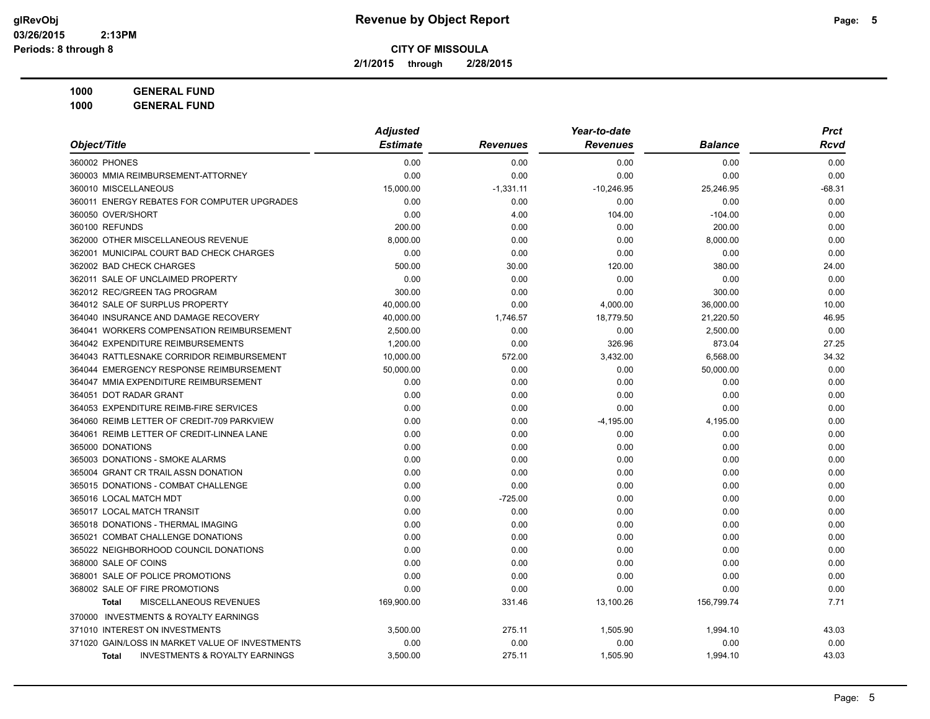**2/1/2015 through 2/28/2015**

| 1000 | <b>GENERAL FUND</b> |
|------|---------------------|
|      |                     |

|                                                           | <b>Adjusted</b> |                 | Year-to-date    |                |          |
|-----------------------------------------------------------|-----------------|-----------------|-----------------|----------------|----------|
| Object/Title                                              | <b>Estimate</b> | <b>Revenues</b> | <b>Revenues</b> | <b>Balance</b> | Rcvd     |
| 360002 PHONES                                             | 0.00            | 0.00            | 0.00            | 0.00           | 0.00     |
| 360003 MMIA REIMBURSEMENT-ATTORNEY                        | 0.00            | 0.00            | 0.00            | 0.00           | 0.00     |
| 360010 MISCELLANEOUS                                      | 15,000.00       | $-1,331.11$     | $-10,246.95$    | 25,246.95      | $-68.31$ |
| 360011 ENERGY REBATES FOR COMPUTER UPGRADES               | 0.00            | 0.00            | 0.00            | 0.00           | 0.00     |
| 360050 OVER/SHORT                                         | 0.00            | 4.00            | 104.00          | $-104.00$      | 0.00     |
| 360100 REFUNDS                                            | 200.00          | 0.00            | 0.00            | 200.00         | 0.00     |
| 362000 OTHER MISCELLANEOUS REVENUE                        | 8,000.00        | 0.00            | 0.00            | 8,000.00       | 0.00     |
| 362001 MUNICIPAL COURT BAD CHECK CHARGES                  | 0.00            | 0.00            | 0.00            | 0.00           | 0.00     |
| 362002 BAD CHECK CHARGES                                  | 500.00          | 30.00           | 120.00          | 380.00         | 24.00    |
| 362011 SALE OF UNCLAIMED PROPERTY                         | 0.00            | 0.00            | 0.00            | 0.00           | 0.00     |
| 362012 REC/GREEN TAG PROGRAM                              | 300.00          | 0.00            | 0.00            | 300.00         | 0.00     |
| 364012 SALE OF SURPLUS PROPERTY                           | 40,000.00       | 0.00            | 4,000.00        | 36,000.00      | 10.00    |
| 364040 INSURANCE AND DAMAGE RECOVERY                      | 40,000.00       | 1,746.57        | 18,779.50       | 21,220.50      | 46.95    |
| 364041 WORKERS COMPENSATION REIMBURSEMENT                 | 2,500.00        | 0.00            | 0.00            | 2,500.00       | 0.00     |
| 364042 EXPENDITURE REIMBURSEMENTS                         | 1,200.00        | 0.00            | 326.96          | 873.04         | 27.25    |
| 364043 RATTLESNAKE CORRIDOR REIMBURSEMENT                 | 10,000.00       | 572.00          | 3,432.00        | 6,568.00       | 34.32    |
| 364044 EMERGENCY RESPONSE REIMBURSEMENT                   | 50,000.00       | 0.00            | 0.00            | 50,000.00      | 0.00     |
| 364047 MMIA EXPENDITURE REIMBURSEMENT                     | 0.00            | 0.00            | 0.00            | 0.00           | 0.00     |
| 364051 DOT RADAR GRANT                                    | 0.00            | 0.00            | 0.00            | 0.00           | 0.00     |
| 364053 EXPENDITURE REIMB-FIRE SERVICES                    | 0.00            | 0.00            | 0.00            | 0.00           | 0.00     |
| 364060 REIMB LETTER OF CREDIT-709 PARKVIEW                | 0.00            | 0.00            | $-4,195.00$     | 4,195.00       | 0.00     |
| 364061 REIMB LETTER OF CREDIT-LINNEA LANE                 | 0.00            | 0.00            | 0.00            | 0.00           | 0.00     |
| 365000 DONATIONS                                          | 0.00            | 0.00            | 0.00            | 0.00           | 0.00     |
| 365003 DONATIONS - SMOKE ALARMS                           | 0.00            | 0.00            | 0.00            | 0.00           | 0.00     |
| 365004 GRANT CR TRAIL ASSN DONATION                       | 0.00            | 0.00            | 0.00            | 0.00           | 0.00     |
| 365015 DONATIONS - COMBAT CHALLENGE                       | 0.00            | 0.00            | 0.00            | 0.00           | 0.00     |
| 365016 LOCAL MATCH MDT                                    | 0.00            | $-725.00$       | 0.00            | 0.00           | 0.00     |
| 365017 LOCAL MATCH TRANSIT                                | 0.00            | 0.00            | 0.00            | 0.00           | 0.00     |
| 365018 DONATIONS - THERMAL IMAGING                        | 0.00            | 0.00            | 0.00            | 0.00           | 0.00     |
| 365021 COMBAT CHALLENGE DONATIONS                         | 0.00            | 0.00            | 0.00            | 0.00           | 0.00     |
| 365022 NEIGHBORHOOD COUNCIL DONATIONS                     | 0.00            | 0.00            | 0.00            | 0.00           | 0.00     |
| 368000 SALE OF COINS                                      | 0.00            | 0.00            | 0.00            | 0.00           | 0.00     |
| 368001 SALE OF POLICE PROMOTIONS                          | 0.00            | 0.00            | 0.00            | 0.00           | 0.00     |
| 368002 SALE OF FIRE PROMOTIONS                            | 0.00            | 0.00            | 0.00            | 0.00           | 0.00     |
| MISCELLANEOUS REVENUES<br><b>Total</b>                    | 169,900.00      | 331.46          | 13,100.26       | 156,799.74     | 7.71     |
| 370000 INVESTMENTS & ROYALTY EARNINGS                     |                 |                 |                 |                |          |
| 371010 INTEREST ON INVESTMENTS                            | 3,500.00        | 275.11          | 1,505.90        | 1,994.10       | 43.03    |
| 371020 GAIN/LOSS IN MARKET VALUE OF INVESTMENTS           | 0.00            | 0.00            | 0.00            | 0.00           | 0.00     |
| <b>INVESTMENTS &amp; ROYALTY EARNINGS</b><br><b>Total</b> | 3,500.00        | 275.11          | 1,505.90        | 1,994.10       | 43.03    |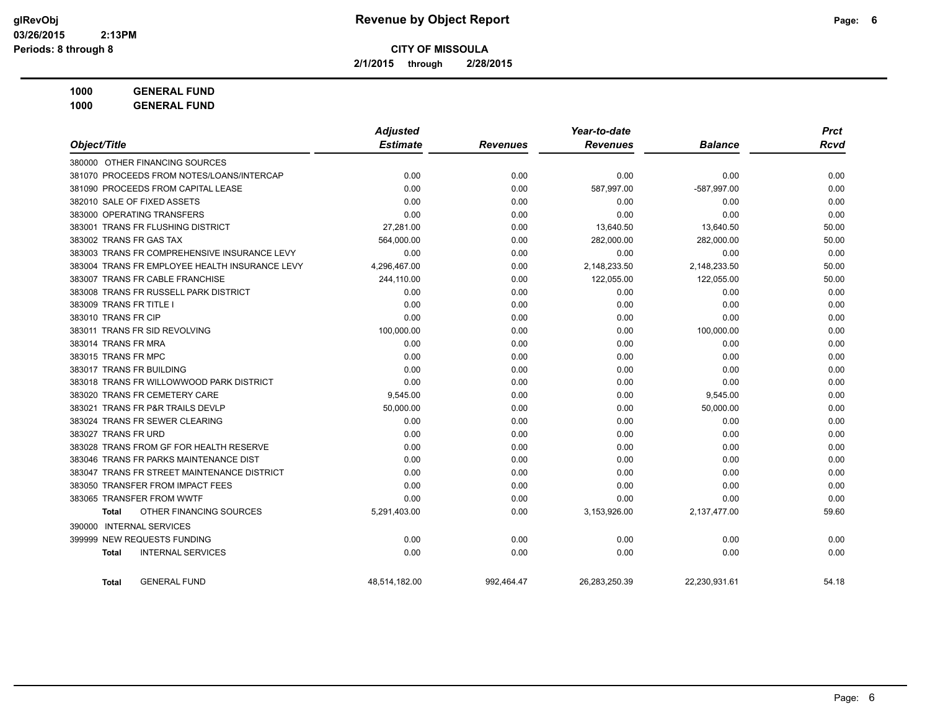**2/1/2015 through 2/28/2015**

| 1000 | <b>GENERAL FUND</b> |
|------|---------------------|
|------|---------------------|

|                                                | <b>Adjusted</b> |                 | Year-to-date    |                | <b>Prct</b> |
|------------------------------------------------|-----------------|-----------------|-----------------|----------------|-------------|
| Object/Title                                   | <b>Estimate</b> | <b>Revenues</b> | <b>Revenues</b> | <b>Balance</b> | Rcvd        |
| 380000 OTHER FINANCING SOURCES                 |                 |                 |                 |                |             |
| 381070 PROCEEDS FROM NOTES/LOANS/INTERCAP      | 0.00            | 0.00            | 0.00            | 0.00           | 0.00        |
| 381090 PROCEEDS FROM CAPITAL LEASE             | 0.00            | 0.00            | 587,997.00      | -587,997.00    | 0.00        |
| 382010 SALE OF FIXED ASSETS                    | 0.00            | 0.00            | 0.00            | 0.00           | 0.00        |
| 383000 OPERATING TRANSFERS                     | 0.00            | 0.00            | 0.00            | 0.00           | 0.00        |
| 383001 TRANS FR FLUSHING DISTRICT              | 27,281.00       | 0.00            | 13,640.50       | 13,640.50      | 50.00       |
| 383002 TRANS FR GAS TAX                        | 564,000.00      | 0.00            | 282.000.00      | 282.000.00     | 50.00       |
| 383003 TRANS FR COMPREHENSIVE INSURANCE LEVY   | 0.00            | 0.00            | 0.00            | 0.00           | 0.00        |
| 383004 TRANS FR EMPLOYEE HEALTH INSURANCE LEVY | 4,296,467.00    | 0.00            | 2,148,233.50    | 2,148,233.50   | 50.00       |
| 383007 TRANS FR CABLE FRANCHISE                | 244,110.00      | 0.00            | 122,055.00      | 122,055.00     | 50.00       |
| 383008 TRANS FR RUSSELL PARK DISTRICT          | 0.00            | 0.00            | 0.00            | 0.00           | 0.00        |
| 383009 TRANS FR TITLE I                        | 0.00            | 0.00            | 0.00            | 0.00           | 0.00        |
| 383010 TRANS FR CIP                            | 0.00            | 0.00            | 0.00            | 0.00           | 0.00        |
| 383011 TRANS FR SID REVOLVING                  | 100,000.00      | 0.00            | 0.00            | 100,000.00     | 0.00        |
| 383014 TRANS FR MRA                            | 0.00            | 0.00            | 0.00            | 0.00           | 0.00        |
| 383015 TRANS FR MPC                            | 0.00            | 0.00            | 0.00            | 0.00           | 0.00        |
| 383017 TRANS FR BUILDING                       | 0.00            | 0.00            | 0.00            | 0.00           | 0.00        |
| 383018 TRANS FR WILLOWWOOD PARK DISTRICT       | 0.00            | 0.00            | 0.00            | 0.00           | 0.00        |
| 383020 TRANS FR CEMETERY CARE                  | 9,545.00        | 0.00            | 0.00            | 9,545.00       | 0.00        |
| 383021 TRANS FR P&R TRAILS DEVLP               | 50,000.00       | 0.00            | 0.00            | 50,000.00      | 0.00        |
| 383024 TRANS FR SEWER CLEARING                 | 0.00            | 0.00            | 0.00            | 0.00           | 0.00        |
| 383027 TRANS FR URD                            | 0.00            | 0.00            | 0.00            | 0.00           | 0.00        |
| 383028 TRANS FROM GF FOR HEALTH RESERVE        | 0.00            | 0.00            | 0.00            | 0.00           | 0.00        |
| 383046 TRANS FR PARKS MAINTENANCE DIST         | 0.00            | 0.00            | 0.00            | 0.00           | 0.00        |
| 383047 TRANS FR STREET MAINTENANCE DISTRICT    | 0.00            | 0.00            | 0.00            | 0.00           | 0.00        |
| 383050 TRANSFER FROM IMPACT FEES               | 0.00            | 0.00            | 0.00            | 0.00           | 0.00        |
| 383065 TRANSFER FROM WWTF                      | 0.00            | 0.00            | 0.00            | 0.00           | 0.00        |
| OTHER FINANCING SOURCES<br>Total               | 5,291,403.00    | 0.00            | 3,153,926.00    | 2,137,477.00   | 59.60       |
| 390000 INTERNAL SERVICES                       |                 |                 |                 |                |             |
| 399999 NEW REQUESTS FUNDING                    | 0.00            | 0.00            | 0.00            | 0.00           | 0.00        |
| <b>INTERNAL SERVICES</b><br><b>Total</b>       | 0.00            | 0.00            | 0.00            | 0.00           | 0.00        |
| <b>GENERAL FUND</b><br><b>Total</b>            | 48.514.182.00   | 992.464.47      | 26.283.250.39   | 22,230,931.61  | 54.18       |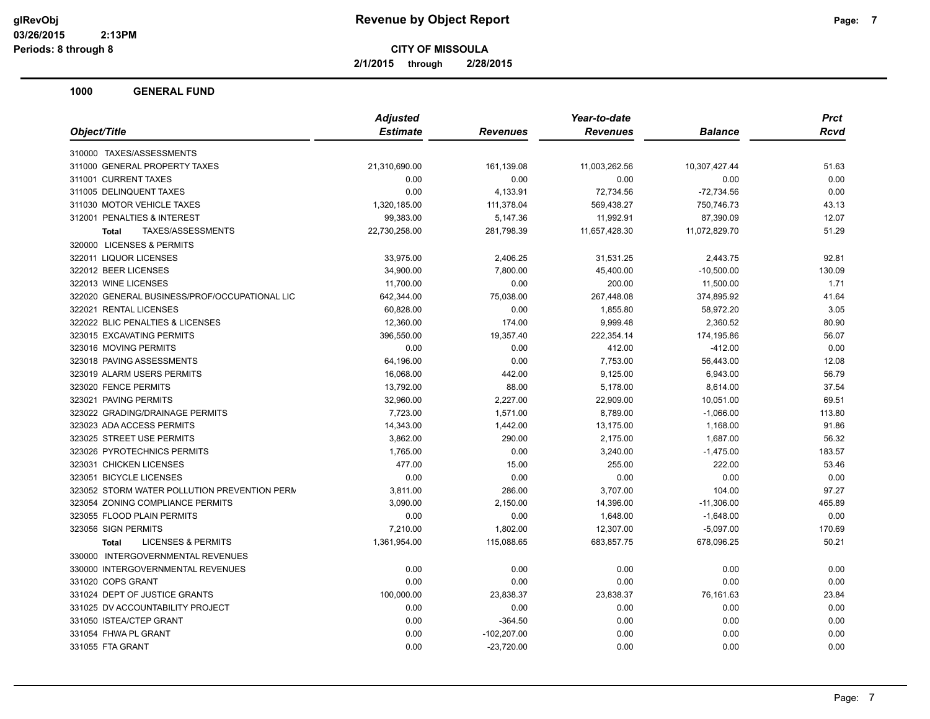**2/1/2015 through 2/28/2015**

| <b>Estimate</b><br><b>Revenues</b><br><b>Balance</b><br>Rcvd<br>Revenues<br>21,310,690.00<br>161,139.08<br>11,003,262.56<br>10,307,427.44<br>51.63<br>0.00<br>0.00<br>0.00<br>0.00<br>0.00<br>0.00<br>4,133.91<br>72,734.56<br>$-72,734.56$<br>0.00<br>1,320,185.00<br>111,378.04<br>569,438.27<br>750,746.73<br>43.13<br>99,383.00<br>5,147.36<br>11,992.91<br>87,390.09<br>12.07<br>TAXES/ASSESSMENTS<br>281,798.39<br>11,657,428.30<br>22,730,258.00<br>11,072,829.70<br>51.29<br><b>Total</b><br>33,975.00<br>2,406.25<br>31,531.25<br>2,443.75<br>92.81<br>7,800.00<br>45,400.00<br>$-10,500.00$<br>130.09<br>34,900.00<br>11,700.00<br>0.00<br>200.00<br>11,500.00<br>1.71<br>642,344.00<br>75,038.00<br>267,448.08<br>374,895.92<br>41.64<br>58,972.20<br>3.05<br>60,828.00<br>0.00<br>1,855.80<br>2,360.52<br>12,360.00<br>174.00<br>9,999.48<br>80.90<br>19,357.40<br>222,354.14<br>174,195.86<br>396,550.00<br>56.07<br>0.00<br>0.00<br>412.00<br>$-412.00$<br>0.00<br>64,196.00<br>0.00<br>7,753.00<br>56,443.00<br>12.08<br>9,125.00<br>56.79<br>16,068.00<br>442.00<br>6,943.00<br>13,792.00<br>88.00<br>5,178.00<br>8,614.00<br>37.54<br>32,960.00<br>2,227.00<br>22,909.00<br>10,051.00<br>69.51<br>8,789.00<br>7,723.00<br>1,571.00<br>$-1,066.00$<br>113.80<br>14,343.00<br>1,442.00<br>13,175.00<br>1,168.00<br>91.86<br>3,862.00<br>290.00<br>2,175.00<br>1,687.00<br>56.32<br>1,765.00<br>0.00<br>183.57<br>3,240.00<br>$-1,475.00$<br>477.00<br>53.46<br>15.00<br>255.00<br>222.00<br>0.00<br>0.00<br>0.00<br>0.00<br>0.00<br>3,811.00<br>286.00<br>3,707.00<br>104.00<br>97.27<br>3,090.00<br>2,150.00<br>14,396.00<br>$-11,306.00$<br>465.89<br>0.00<br>0.00<br>1,648.00<br>0.00<br>$-1,648.00$<br>7,210.00<br>1,802.00<br>12,307.00<br>$-5,097.00$<br>170.69<br><b>LICENSES &amp; PERMITS</b><br>1,361,954.00<br>115,088.65<br>683,857.75<br>678,096.25<br>50.21<br><b>Total</b><br>0.00<br>0.00<br>0.00<br>0.00<br>0.00 |                                               | <b>Adjusted</b> |      | Year-to-date | <b>Prct</b> |      |
|--------------------------------------------------------------------------------------------------------------------------------------------------------------------------------------------------------------------------------------------------------------------------------------------------------------------------------------------------------------------------------------------------------------------------------------------------------------------------------------------------------------------------------------------------------------------------------------------------------------------------------------------------------------------------------------------------------------------------------------------------------------------------------------------------------------------------------------------------------------------------------------------------------------------------------------------------------------------------------------------------------------------------------------------------------------------------------------------------------------------------------------------------------------------------------------------------------------------------------------------------------------------------------------------------------------------------------------------------------------------------------------------------------------------------------------------------------------------------------------------------------------------------------------------------------------------------------------------------------------------------------------------------------------------------------------------------------------------------------------------------------------------------------------------------------------------------------------------------------------------------------------------------------------------------------------------------|-----------------------------------------------|-----------------|------|--------------|-------------|------|
|                                                                                                                                                                                                                                                                                                                                                                                                                                                                                                                                                                                                                                                                                                                                                                                                                                                                                                                                                                                                                                                                                                                                                                                                                                                                                                                                                                                                                                                                                                                                                                                                                                                                                                                                                                                                                                                                                                                                                  | Object/Title                                  |                 |      |              |             |      |
|                                                                                                                                                                                                                                                                                                                                                                                                                                                                                                                                                                                                                                                                                                                                                                                                                                                                                                                                                                                                                                                                                                                                                                                                                                                                                                                                                                                                                                                                                                                                                                                                                                                                                                                                                                                                                                                                                                                                                  | 310000 TAXES/ASSESSMENTS                      |                 |      |              |             |      |
|                                                                                                                                                                                                                                                                                                                                                                                                                                                                                                                                                                                                                                                                                                                                                                                                                                                                                                                                                                                                                                                                                                                                                                                                                                                                                                                                                                                                                                                                                                                                                                                                                                                                                                                                                                                                                                                                                                                                                  | 311000 GENERAL PROPERTY TAXES                 |                 |      |              |             |      |
|                                                                                                                                                                                                                                                                                                                                                                                                                                                                                                                                                                                                                                                                                                                                                                                                                                                                                                                                                                                                                                                                                                                                                                                                                                                                                                                                                                                                                                                                                                                                                                                                                                                                                                                                                                                                                                                                                                                                                  | 311001 CURRENT TAXES                          |                 |      |              |             |      |
|                                                                                                                                                                                                                                                                                                                                                                                                                                                                                                                                                                                                                                                                                                                                                                                                                                                                                                                                                                                                                                                                                                                                                                                                                                                                                                                                                                                                                                                                                                                                                                                                                                                                                                                                                                                                                                                                                                                                                  | 311005 DELINQUENT TAXES                       |                 |      |              |             |      |
|                                                                                                                                                                                                                                                                                                                                                                                                                                                                                                                                                                                                                                                                                                                                                                                                                                                                                                                                                                                                                                                                                                                                                                                                                                                                                                                                                                                                                                                                                                                                                                                                                                                                                                                                                                                                                                                                                                                                                  | 311030 MOTOR VEHICLE TAXES                    |                 |      |              |             |      |
|                                                                                                                                                                                                                                                                                                                                                                                                                                                                                                                                                                                                                                                                                                                                                                                                                                                                                                                                                                                                                                                                                                                                                                                                                                                                                                                                                                                                                                                                                                                                                                                                                                                                                                                                                                                                                                                                                                                                                  | 312001 PENALTIES & INTEREST                   |                 |      |              |             |      |
|                                                                                                                                                                                                                                                                                                                                                                                                                                                                                                                                                                                                                                                                                                                                                                                                                                                                                                                                                                                                                                                                                                                                                                                                                                                                                                                                                                                                                                                                                                                                                                                                                                                                                                                                                                                                                                                                                                                                                  |                                               |                 |      |              |             |      |
|                                                                                                                                                                                                                                                                                                                                                                                                                                                                                                                                                                                                                                                                                                                                                                                                                                                                                                                                                                                                                                                                                                                                                                                                                                                                                                                                                                                                                                                                                                                                                                                                                                                                                                                                                                                                                                                                                                                                                  | 320000 LICENSES & PERMITS                     |                 |      |              |             |      |
|                                                                                                                                                                                                                                                                                                                                                                                                                                                                                                                                                                                                                                                                                                                                                                                                                                                                                                                                                                                                                                                                                                                                                                                                                                                                                                                                                                                                                                                                                                                                                                                                                                                                                                                                                                                                                                                                                                                                                  | 322011 LIQUOR LICENSES                        |                 |      |              |             |      |
|                                                                                                                                                                                                                                                                                                                                                                                                                                                                                                                                                                                                                                                                                                                                                                                                                                                                                                                                                                                                                                                                                                                                                                                                                                                                                                                                                                                                                                                                                                                                                                                                                                                                                                                                                                                                                                                                                                                                                  | 322012 BEER LICENSES                          |                 |      |              |             |      |
|                                                                                                                                                                                                                                                                                                                                                                                                                                                                                                                                                                                                                                                                                                                                                                                                                                                                                                                                                                                                                                                                                                                                                                                                                                                                                                                                                                                                                                                                                                                                                                                                                                                                                                                                                                                                                                                                                                                                                  | 322013 WINE LICENSES                          |                 |      |              |             |      |
|                                                                                                                                                                                                                                                                                                                                                                                                                                                                                                                                                                                                                                                                                                                                                                                                                                                                                                                                                                                                                                                                                                                                                                                                                                                                                                                                                                                                                                                                                                                                                                                                                                                                                                                                                                                                                                                                                                                                                  | 322020 GENERAL BUSINESS/PROF/OCCUPATIONAL LIC |                 |      |              |             |      |
|                                                                                                                                                                                                                                                                                                                                                                                                                                                                                                                                                                                                                                                                                                                                                                                                                                                                                                                                                                                                                                                                                                                                                                                                                                                                                                                                                                                                                                                                                                                                                                                                                                                                                                                                                                                                                                                                                                                                                  | 322021 RENTAL LICENSES                        |                 |      |              |             |      |
|                                                                                                                                                                                                                                                                                                                                                                                                                                                                                                                                                                                                                                                                                                                                                                                                                                                                                                                                                                                                                                                                                                                                                                                                                                                                                                                                                                                                                                                                                                                                                                                                                                                                                                                                                                                                                                                                                                                                                  | 322022 BLIC PENALTIES & LICENSES              |                 |      |              |             |      |
|                                                                                                                                                                                                                                                                                                                                                                                                                                                                                                                                                                                                                                                                                                                                                                                                                                                                                                                                                                                                                                                                                                                                                                                                                                                                                                                                                                                                                                                                                                                                                                                                                                                                                                                                                                                                                                                                                                                                                  | 323015 EXCAVATING PERMITS                     |                 |      |              |             |      |
|                                                                                                                                                                                                                                                                                                                                                                                                                                                                                                                                                                                                                                                                                                                                                                                                                                                                                                                                                                                                                                                                                                                                                                                                                                                                                                                                                                                                                                                                                                                                                                                                                                                                                                                                                                                                                                                                                                                                                  | 323016 MOVING PERMITS                         |                 |      |              |             |      |
|                                                                                                                                                                                                                                                                                                                                                                                                                                                                                                                                                                                                                                                                                                                                                                                                                                                                                                                                                                                                                                                                                                                                                                                                                                                                                                                                                                                                                                                                                                                                                                                                                                                                                                                                                                                                                                                                                                                                                  | 323018 PAVING ASSESSMENTS                     |                 |      |              |             |      |
|                                                                                                                                                                                                                                                                                                                                                                                                                                                                                                                                                                                                                                                                                                                                                                                                                                                                                                                                                                                                                                                                                                                                                                                                                                                                                                                                                                                                                                                                                                                                                                                                                                                                                                                                                                                                                                                                                                                                                  | 323019 ALARM USERS PERMITS                    |                 |      |              |             |      |
|                                                                                                                                                                                                                                                                                                                                                                                                                                                                                                                                                                                                                                                                                                                                                                                                                                                                                                                                                                                                                                                                                                                                                                                                                                                                                                                                                                                                                                                                                                                                                                                                                                                                                                                                                                                                                                                                                                                                                  | 323020 FENCE PERMITS                          |                 |      |              |             |      |
|                                                                                                                                                                                                                                                                                                                                                                                                                                                                                                                                                                                                                                                                                                                                                                                                                                                                                                                                                                                                                                                                                                                                                                                                                                                                                                                                                                                                                                                                                                                                                                                                                                                                                                                                                                                                                                                                                                                                                  | 323021 PAVING PERMITS                         |                 |      |              |             |      |
|                                                                                                                                                                                                                                                                                                                                                                                                                                                                                                                                                                                                                                                                                                                                                                                                                                                                                                                                                                                                                                                                                                                                                                                                                                                                                                                                                                                                                                                                                                                                                                                                                                                                                                                                                                                                                                                                                                                                                  | 323022 GRADING/DRAINAGE PERMITS               |                 |      |              |             |      |
|                                                                                                                                                                                                                                                                                                                                                                                                                                                                                                                                                                                                                                                                                                                                                                                                                                                                                                                                                                                                                                                                                                                                                                                                                                                                                                                                                                                                                                                                                                                                                                                                                                                                                                                                                                                                                                                                                                                                                  | 323023 ADA ACCESS PERMITS                     |                 |      |              |             |      |
|                                                                                                                                                                                                                                                                                                                                                                                                                                                                                                                                                                                                                                                                                                                                                                                                                                                                                                                                                                                                                                                                                                                                                                                                                                                                                                                                                                                                                                                                                                                                                                                                                                                                                                                                                                                                                                                                                                                                                  | 323025 STREET USE PERMITS                     |                 |      |              |             |      |
|                                                                                                                                                                                                                                                                                                                                                                                                                                                                                                                                                                                                                                                                                                                                                                                                                                                                                                                                                                                                                                                                                                                                                                                                                                                                                                                                                                                                                                                                                                                                                                                                                                                                                                                                                                                                                                                                                                                                                  | 323026 PYROTECHNICS PERMITS                   |                 |      |              |             |      |
|                                                                                                                                                                                                                                                                                                                                                                                                                                                                                                                                                                                                                                                                                                                                                                                                                                                                                                                                                                                                                                                                                                                                                                                                                                                                                                                                                                                                                                                                                                                                                                                                                                                                                                                                                                                                                                                                                                                                                  | 323031 CHICKEN LICENSES                       |                 |      |              |             |      |
|                                                                                                                                                                                                                                                                                                                                                                                                                                                                                                                                                                                                                                                                                                                                                                                                                                                                                                                                                                                                                                                                                                                                                                                                                                                                                                                                                                                                                                                                                                                                                                                                                                                                                                                                                                                                                                                                                                                                                  | 323051 BICYCLE LICENSES                       |                 |      |              |             |      |
|                                                                                                                                                                                                                                                                                                                                                                                                                                                                                                                                                                                                                                                                                                                                                                                                                                                                                                                                                                                                                                                                                                                                                                                                                                                                                                                                                                                                                                                                                                                                                                                                                                                                                                                                                                                                                                                                                                                                                  | 323052 STORM WATER POLLUTION PREVENTION PERM  |                 |      |              |             |      |
|                                                                                                                                                                                                                                                                                                                                                                                                                                                                                                                                                                                                                                                                                                                                                                                                                                                                                                                                                                                                                                                                                                                                                                                                                                                                                                                                                                                                                                                                                                                                                                                                                                                                                                                                                                                                                                                                                                                                                  | 323054 ZONING COMPLIANCE PERMITS              |                 |      |              |             |      |
|                                                                                                                                                                                                                                                                                                                                                                                                                                                                                                                                                                                                                                                                                                                                                                                                                                                                                                                                                                                                                                                                                                                                                                                                                                                                                                                                                                                                                                                                                                                                                                                                                                                                                                                                                                                                                                                                                                                                                  | 323055 FLOOD PLAIN PERMITS                    |                 |      |              |             |      |
|                                                                                                                                                                                                                                                                                                                                                                                                                                                                                                                                                                                                                                                                                                                                                                                                                                                                                                                                                                                                                                                                                                                                                                                                                                                                                                                                                                                                                                                                                                                                                                                                                                                                                                                                                                                                                                                                                                                                                  | 323056 SIGN PERMITS                           |                 |      |              |             |      |
|                                                                                                                                                                                                                                                                                                                                                                                                                                                                                                                                                                                                                                                                                                                                                                                                                                                                                                                                                                                                                                                                                                                                                                                                                                                                                                                                                                                                                                                                                                                                                                                                                                                                                                                                                                                                                                                                                                                                                  |                                               |                 |      |              |             |      |
|                                                                                                                                                                                                                                                                                                                                                                                                                                                                                                                                                                                                                                                                                                                                                                                                                                                                                                                                                                                                                                                                                                                                                                                                                                                                                                                                                                                                                                                                                                                                                                                                                                                                                                                                                                                                                                                                                                                                                  | 330000 INTERGOVERNMENTAL REVENUES             |                 |      |              |             |      |
|                                                                                                                                                                                                                                                                                                                                                                                                                                                                                                                                                                                                                                                                                                                                                                                                                                                                                                                                                                                                                                                                                                                                                                                                                                                                                                                                                                                                                                                                                                                                                                                                                                                                                                                                                                                                                                                                                                                                                  | 330000 INTERGOVERNMENTAL REVENUES             |                 |      |              |             |      |
|                                                                                                                                                                                                                                                                                                                                                                                                                                                                                                                                                                                                                                                                                                                                                                                                                                                                                                                                                                                                                                                                                                                                                                                                                                                                                                                                                                                                                                                                                                                                                                                                                                                                                                                                                                                                                                                                                                                                                  | 331020 COPS GRANT                             | 0.00            | 0.00 | 0.00         | 0.00        | 0.00 |
| 100,000.00<br>23,838.37<br>23,838.37<br>76,161.63<br>23.84                                                                                                                                                                                                                                                                                                                                                                                                                                                                                                                                                                                                                                                                                                                                                                                                                                                                                                                                                                                                                                                                                                                                                                                                                                                                                                                                                                                                                                                                                                                                                                                                                                                                                                                                                                                                                                                                                       | 331024 DEPT OF JUSTICE GRANTS                 |                 |      |              |             |      |
| 0.00<br>0.00<br>0.00<br>0.00<br>0.00                                                                                                                                                                                                                                                                                                                                                                                                                                                                                                                                                                                                                                                                                                                                                                                                                                                                                                                                                                                                                                                                                                                                                                                                                                                                                                                                                                                                                                                                                                                                                                                                                                                                                                                                                                                                                                                                                                             | 331025 DV ACCOUNTABILITY PROJECT              |                 |      |              |             |      |
| 0.00<br>$-364.50$<br>0.00<br>0.00<br>0.00                                                                                                                                                                                                                                                                                                                                                                                                                                                                                                                                                                                                                                                                                                                                                                                                                                                                                                                                                                                                                                                                                                                                                                                                                                                                                                                                                                                                                                                                                                                                                                                                                                                                                                                                                                                                                                                                                                        | 331050 ISTEA/CTEP GRANT                       |                 |      |              |             |      |
| 0.00<br>$-102,207.00$<br>0.00<br>0.00<br>0.00                                                                                                                                                                                                                                                                                                                                                                                                                                                                                                                                                                                                                                                                                                                                                                                                                                                                                                                                                                                                                                                                                                                                                                                                                                                                                                                                                                                                                                                                                                                                                                                                                                                                                                                                                                                                                                                                                                    | 331054 FHWA PL GRANT                          |                 |      |              |             |      |
| 0.00<br>$-23,720.00$<br>0.00<br>0.00<br>0.00                                                                                                                                                                                                                                                                                                                                                                                                                                                                                                                                                                                                                                                                                                                                                                                                                                                                                                                                                                                                                                                                                                                                                                                                                                                                                                                                                                                                                                                                                                                                                                                                                                                                                                                                                                                                                                                                                                     | 331055 FTA GRANT                              |                 |      |              |             |      |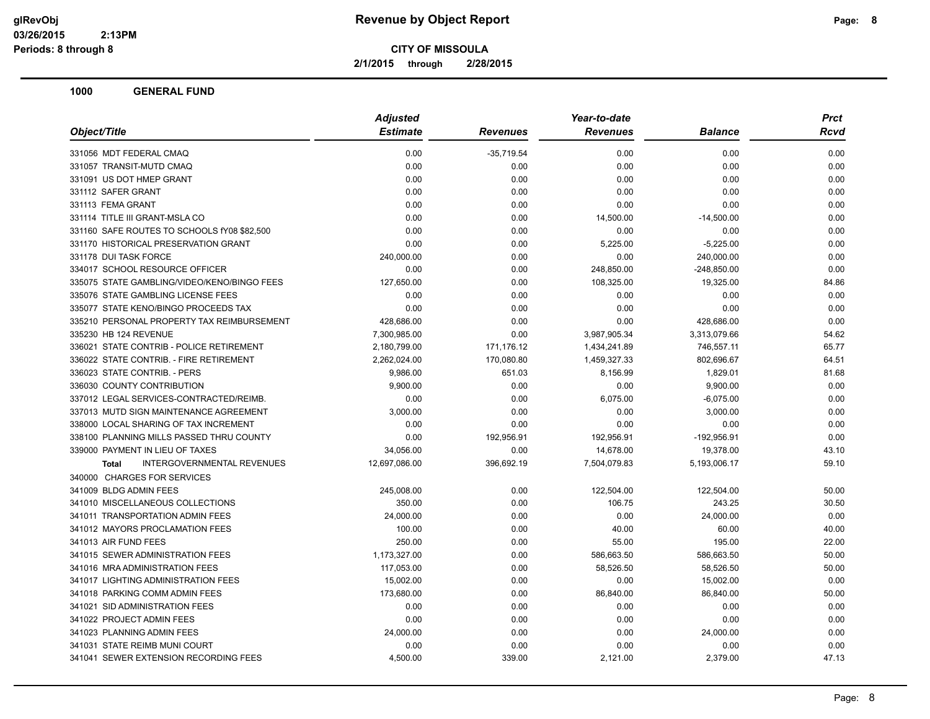**2/1/2015 through 2/28/2015**

|                                                   | <b>Adjusted</b> |                 | Year-to-date    | <b>Prct</b>    |       |
|---------------------------------------------------|-----------------|-----------------|-----------------|----------------|-------|
| Object/Title                                      | <b>Estimate</b> | <b>Revenues</b> | <b>Revenues</b> | <b>Balance</b> | Rcvd  |
| 331056 MDT FEDERAL CMAQ                           | 0.00            | $-35,719.54$    | 0.00            | 0.00           | 0.00  |
| 331057 TRANSIT-MUTD CMAQ                          | 0.00            | 0.00            | 0.00            | 0.00           | 0.00  |
| 331091 US DOT HMEP GRANT                          | 0.00            | 0.00            | 0.00            | 0.00           | 0.00  |
| 331112 SAFER GRANT                                | 0.00            | 0.00            | 0.00            | 0.00           | 0.00  |
| 331113 FEMA GRANT                                 | 0.00            | 0.00            | 0.00            | 0.00           | 0.00  |
| 331114 TITLE III GRANT-MSLA CO                    | 0.00            | 0.00            | 14,500.00       | $-14,500.00$   | 0.00  |
| 331160 SAFE ROUTES TO SCHOOLS fY08 \$82,500       | 0.00            | 0.00            | 0.00            | 0.00           | 0.00  |
| 331170 HISTORICAL PRESERVATION GRANT              | 0.00            | 0.00            | 5,225.00        | $-5,225.00$    | 0.00  |
| 331178 DUI TASK FORCE                             | 240,000.00      | 0.00            | 0.00            | 240,000.00     | 0.00  |
| 334017 SCHOOL RESOURCE OFFICER                    | 0.00            | 0.00            | 248,850.00      | $-248,850.00$  | 0.00  |
| 335075 STATE GAMBLING/VIDEO/KENO/BINGO FEES       | 127,650.00      | 0.00            | 108,325.00      | 19,325.00      | 84.86 |
| 335076 STATE GAMBLING LICENSE FEES                | 0.00            | 0.00            | 0.00            | 0.00           | 0.00  |
| 335077 STATE KENO/BINGO PROCEEDS TAX              | 0.00            | 0.00            | 0.00            | 0.00           | 0.00  |
| 335210 PERSONAL PROPERTY TAX REIMBURSEMENT        | 428,686.00      | 0.00            | 0.00            | 428,686.00     | 0.00  |
| 335230 HB 124 REVENUE                             | 7,300,985.00    | 0.00            | 3,987,905.34    | 3,313,079.66   | 54.62 |
| 336021 STATE CONTRIB - POLICE RETIREMENT          | 2,180,799.00    | 171,176.12      | 1,434,241.89    | 746,557.11     | 65.77 |
| 336022 STATE CONTRIB. - FIRE RETIREMENT           | 2,262,024.00    | 170,080.80      | 1,459,327.33    | 802.696.67     | 64.51 |
| 336023 STATE CONTRIB. - PERS                      | 9,986.00        | 651.03          | 8,156.99        | 1,829.01       | 81.68 |
| 336030 COUNTY CONTRIBUTION                        | 9,900.00        | 0.00            | 0.00            | 9,900.00       | 0.00  |
| 337012 LEGAL SERVICES-CONTRACTED/REIMB.           | 0.00            | 0.00            | 6,075.00        | $-6,075.00$    | 0.00  |
| 337013 MUTD SIGN MAINTENANCE AGREEMENT            | 3,000.00        | 0.00            | 0.00            | 3,000.00       | 0.00  |
| 338000 LOCAL SHARING OF TAX INCREMENT             | 0.00            | 0.00            | 0.00            | 0.00           | 0.00  |
| 338100 PLANNING MILLS PASSED THRU COUNTY          | 0.00            | 192,956.91      | 192,956.91      | $-192,956.91$  | 0.00  |
| 339000 PAYMENT IN LIEU OF TAXES                   | 34,056.00       | 0.00            | 14,678.00       | 19,378.00      | 43.10 |
| <b>INTERGOVERNMENTAL REVENUES</b><br><b>Total</b> | 12,697,086.00   | 396,692.19      | 7,504,079.83    | 5,193,006.17   | 59.10 |
| 340000 CHARGES FOR SERVICES                       |                 |                 |                 |                |       |
| 341009 BLDG ADMIN FEES                            | 245,008.00      | 0.00            | 122,504.00      | 122,504.00     | 50.00 |
| 341010 MISCELLANEOUS COLLECTIONS                  | 350.00          | 0.00            | 106.75          | 243.25         | 30.50 |
| 341011 TRANSPORTATION ADMIN FEES                  | 24,000.00       | 0.00            | 0.00            | 24,000.00      | 0.00  |
| 341012 MAYORS PROCLAMATION FEES                   | 100.00          | 0.00            | 40.00           | 60.00          | 40.00 |
| 341013 AIR FUND FEES                              | 250.00          | 0.00            | 55.00           | 195.00         | 22.00 |
| 341015 SEWER ADMINISTRATION FEES                  | 1,173,327.00    | 0.00            | 586,663.50      | 586,663.50     | 50.00 |
| 341016 MRA ADMINISTRATION FEES                    | 117,053.00      | 0.00            | 58,526.50       | 58,526.50      | 50.00 |
| 341017 LIGHTING ADMINISTRATION FEES               | 15,002.00       | 0.00            | 0.00            | 15,002.00      | 0.00  |
| 341018 PARKING COMM ADMIN FEES                    | 173,680.00      | 0.00            | 86,840.00       | 86,840.00      | 50.00 |
| 341021 SID ADMINISTRATION FEES                    | 0.00            | 0.00            | 0.00            | 0.00           | 0.00  |
| 341022 PROJECT ADMIN FEES                         | 0.00            | 0.00            | 0.00            | 0.00           | 0.00  |
| 341023 PLANNING ADMIN FEES                        | 24,000.00       | 0.00            | 0.00            | 24,000.00      | 0.00  |
| 341031 STATE REIMB MUNI COURT                     | 0.00            | 0.00            | 0.00            | 0.00           | 0.00  |
| 341041 SEWER EXTENSION RECORDING FEES             | 4,500.00        | 339.00          | 2,121.00        | 2,379.00       | 47.13 |
|                                                   |                 |                 |                 |                |       |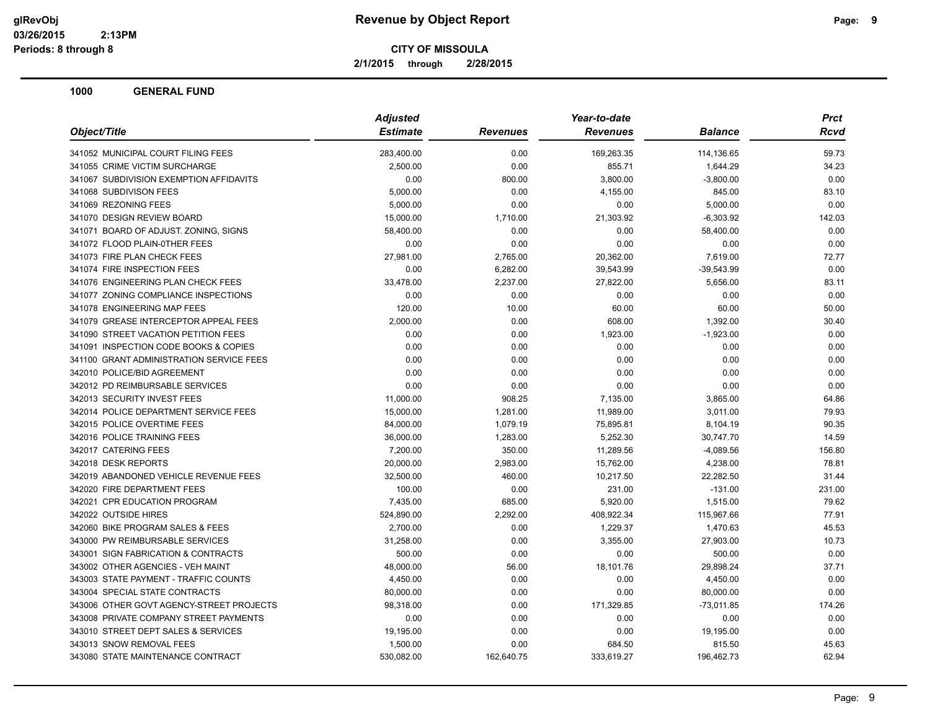**2/1/2015 through 2/28/2015**

| <b>Estimate</b><br>Object/Title<br><b>Revenues</b><br><b>Revenues</b><br><b>Balance</b><br>283,400.00<br>341052 MUNICIPAL COURT FILING FEES<br>0.00<br>169,263.35<br>114,136.65<br>341055 CRIME VICTIM SURCHARGE<br>2,500.00<br>0.00<br>855.71<br>1,644.29<br>0.00<br>3,800.00<br>341067 SUBDIVISION EXEMPTION AFFIDAVITS<br>800.00<br>$-3,800.00$<br>341068 SUBDIVISON FEES<br>5,000.00<br>0.00<br>4,155.00<br>845.00<br>341069 REZONING FEES<br>0.00<br>0.00<br>5,000.00<br>5,000.00<br>341070 DESIGN REVIEW BOARD<br>15,000.00<br>1,710.00<br>21,303.92<br>$-6,303.92$<br>341071 BOARD OF ADJUST. ZONING, SIGNS<br>58,400.00<br>0.00<br>0.00<br>58,400.00<br>0.00<br>341072 FLOOD PLAIN-0THER FEES<br>0.00<br>0.00<br>0.00<br>341073 FIRE PLAN CHECK FEES<br>7,619.00<br>27,981.00<br>2,765.00<br>20,362.00<br>341074 FIRE INSPECTION FEES<br>0.00<br>6,282.00<br>39,543.99<br>$-39,543.99$<br>341076 ENGINEERING PLAN CHECK FEES<br>33,478.00<br>2,237.00<br>27,822.00<br>5,656.00<br>341077 ZONING COMPLIANCE INSPECTIONS<br>0.00<br>0.00<br>0.00<br>0.00<br>60.00<br>341078 ENGINEERING MAP FEES<br>120.00<br>10.00<br>60.00<br>341079 GREASE INTERCEPTOR APPEAL FEES<br>2,000.00<br>0.00<br>608.00<br>1,392.00<br>341090 STREET VACATION PETITION FEES<br>0.00<br>0.00<br>1,923.00<br>$-1,923.00$<br>341091 INSPECTION CODE BOOKS & COPIES<br>0.00<br>0.00<br>0.00<br>0.00<br>341100 GRANT ADMINISTRATION SERVICE FEES<br>0.00<br>0.00<br>0.00<br>0.00<br>342010 POLICE/BID AGREEMENT<br>0.00<br>0.00<br>0.00<br>0.00<br>342012 PD REIMBURSABLE SERVICES<br>0.00<br>0.00<br>0.00<br>0.00<br>342013 SECURITY INVEST FEES<br>11,000.00<br>908.25<br>7,135.00<br>3,865.00<br>342014 POLICE DEPARTMENT SERVICE FEES<br>15,000.00<br>1,281.00<br>11,989.00<br>3,011.00<br>342015 POLICE OVERTIME FEES<br>84,000.00<br>1,079.19<br>75,895.81<br>8,104.19<br>342016 POLICE TRAINING FEES<br>5,252.30<br>36,000.00<br>1,283.00<br>30,747.70<br>342017 CATERING FEES<br>7,200.00<br>350.00<br>11,289.56<br>$-4,089.56$<br>342018 DESK REPORTS<br>20,000.00<br>2,983.00<br>15,762.00<br>4,238.00<br>342019 ABANDONED VEHICLE REVENUE FEES<br>32,500.00<br>460.00<br>10,217.50<br>22,282.50<br>100.00<br>0.00<br>342020 FIRE DEPARTMENT FEES<br>231.00<br>$-131.00$<br>342021 CPR EDUCATION PROGRAM<br>7,435.00<br>685.00<br>5,920.00<br>1,515.00<br>342022 OUTSIDE HIRES<br>408,922.34<br>524,890.00<br>2,292.00<br>115,967.66<br>342060 BIKE PROGRAM SALES & FEES<br>2,700.00<br>0.00<br>1,229.37<br>1,470.63<br>343000 PW REIMBURSABLE SERVICES<br>31,258.00<br>0.00<br>3,355.00<br>27,903.00<br>343001 SIGN FABRICATION & CONTRACTS<br>0.00<br>0.00<br>500.00<br>500.00<br>343002 OTHER AGENCIES - VEH MAINT<br>18,101.76<br>48,000.00<br>56.00<br>29,898.24<br>343003 STATE PAYMENT - TRAFFIC COUNTS<br>0.00<br>0.00<br>4,450.00<br>4,450.00 | <b>Adjusted</b> | Year-to-date | <b>Prct</b> |
|-----------------------------------------------------------------------------------------------------------------------------------------------------------------------------------------------------------------------------------------------------------------------------------------------------------------------------------------------------------------------------------------------------------------------------------------------------------------------------------------------------------------------------------------------------------------------------------------------------------------------------------------------------------------------------------------------------------------------------------------------------------------------------------------------------------------------------------------------------------------------------------------------------------------------------------------------------------------------------------------------------------------------------------------------------------------------------------------------------------------------------------------------------------------------------------------------------------------------------------------------------------------------------------------------------------------------------------------------------------------------------------------------------------------------------------------------------------------------------------------------------------------------------------------------------------------------------------------------------------------------------------------------------------------------------------------------------------------------------------------------------------------------------------------------------------------------------------------------------------------------------------------------------------------------------------------------------------------------------------------------------------------------------------------------------------------------------------------------------------------------------------------------------------------------------------------------------------------------------------------------------------------------------------------------------------------------------------------------------------------------------------------------------------------------------------------------------------------------------------------------------------------------------------------------------------------------------------------------------------------------------------------------------------------------------------------------------------------------------------------------------------------------------------------------------------------------------------------------|-----------------|--------------|-------------|
|                                                                                                                                                                                                                                                                                                                                                                                                                                                                                                                                                                                                                                                                                                                                                                                                                                                                                                                                                                                                                                                                                                                                                                                                                                                                                                                                                                                                                                                                                                                                                                                                                                                                                                                                                                                                                                                                                                                                                                                                                                                                                                                                                                                                                                                                                                                                                                                                                                                                                                                                                                                                                                                                                                                                                                                                                                               |                 |              | Rcvd        |
|                                                                                                                                                                                                                                                                                                                                                                                                                                                                                                                                                                                                                                                                                                                                                                                                                                                                                                                                                                                                                                                                                                                                                                                                                                                                                                                                                                                                                                                                                                                                                                                                                                                                                                                                                                                                                                                                                                                                                                                                                                                                                                                                                                                                                                                                                                                                                                                                                                                                                                                                                                                                                                                                                                                                                                                                                                               |                 |              | 59.73       |
|                                                                                                                                                                                                                                                                                                                                                                                                                                                                                                                                                                                                                                                                                                                                                                                                                                                                                                                                                                                                                                                                                                                                                                                                                                                                                                                                                                                                                                                                                                                                                                                                                                                                                                                                                                                                                                                                                                                                                                                                                                                                                                                                                                                                                                                                                                                                                                                                                                                                                                                                                                                                                                                                                                                                                                                                                                               |                 |              | 34.23       |
|                                                                                                                                                                                                                                                                                                                                                                                                                                                                                                                                                                                                                                                                                                                                                                                                                                                                                                                                                                                                                                                                                                                                                                                                                                                                                                                                                                                                                                                                                                                                                                                                                                                                                                                                                                                                                                                                                                                                                                                                                                                                                                                                                                                                                                                                                                                                                                                                                                                                                                                                                                                                                                                                                                                                                                                                                                               |                 |              | 0.00        |
|                                                                                                                                                                                                                                                                                                                                                                                                                                                                                                                                                                                                                                                                                                                                                                                                                                                                                                                                                                                                                                                                                                                                                                                                                                                                                                                                                                                                                                                                                                                                                                                                                                                                                                                                                                                                                                                                                                                                                                                                                                                                                                                                                                                                                                                                                                                                                                                                                                                                                                                                                                                                                                                                                                                                                                                                                                               |                 |              | 83.10       |
|                                                                                                                                                                                                                                                                                                                                                                                                                                                                                                                                                                                                                                                                                                                                                                                                                                                                                                                                                                                                                                                                                                                                                                                                                                                                                                                                                                                                                                                                                                                                                                                                                                                                                                                                                                                                                                                                                                                                                                                                                                                                                                                                                                                                                                                                                                                                                                                                                                                                                                                                                                                                                                                                                                                                                                                                                                               |                 |              | 0.00        |
|                                                                                                                                                                                                                                                                                                                                                                                                                                                                                                                                                                                                                                                                                                                                                                                                                                                                                                                                                                                                                                                                                                                                                                                                                                                                                                                                                                                                                                                                                                                                                                                                                                                                                                                                                                                                                                                                                                                                                                                                                                                                                                                                                                                                                                                                                                                                                                                                                                                                                                                                                                                                                                                                                                                                                                                                                                               |                 |              | 142.03      |
|                                                                                                                                                                                                                                                                                                                                                                                                                                                                                                                                                                                                                                                                                                                                                                                                                                                                                                                                                                                                                                                                                                                                                                                                                                                                                                                                                                                                                                                                                                                                                                                                                                                                                                                                                                                                                                                                                                                                                                                                                                                                                                                                                                                                                                                                                                                                                                                                                                                                                                                                                                                                                                                                                                                                                                                                                                               |                 |              | 0.00        |
|                                                                                                                                                                                                                                                                                                                                                                                                                                                                                                                                                                                                                                                                                                                                                                                                                                                                                                                                                                                                                                                                                                                                                                                                                                                                                                                                                                                                                                                                                                                                                                                                                                                                                                                                                                                                                                                                                                                                                                                                                                                                                                                                                                                                                                                                                                                                                                                                                                                                                                                                                                                                                                                                                                                                                                                                                                               |                 |              | 0.00        |
|                                                                                                                                                                                                                                                                                                                                                                                                                                                                                                                                                                                                                                                                                                                                                                                                                                                                                                                                                                                                                                                                                                                                                                                                                                                                                                                                                                                                                                                                                                                                                                                                                                                                                                                                                                                                                                                                                                                                                                                                                                                                                                                                                                                                                                                                                                                                                                                                                                                                                                                                                                                                                                                                                                                                                                                                                                               |                 |              | 72.77       |
|                                                                                                                                                                                                                                                                                                                                                                                                                                                                                                                                                                                                                                                                                                                                                                                                                                                                                                                                                                                                                                                                                                                                                                                                                                                                                                                                                                                                                                                                                                                                                                                                                                                                                                                                                                                                                                                                                                                                                                                                                                                                                                                                                                                                                                                                                                                                                                                                                                                                                                                                                                                                                                                                                                                                                                                                                                               |                 |              | 0.00        |
|                                                                                                                                                                                                                                                                                                                                                                                                                                                                                                                                                                                                                                                                                                                                                                                                                                                                                                                                                                                                                                                                                                                                                                                                                                                                                                                                                                                                                                                                                                                                                                                                                                                                                                                                                                                                                                                                                                                                                                                                                                                                                                                                                                                                                                                                                                                                                                                                                                                                                                                                                                                                                                                                                                                                                                                                                                               |                 |              | 83.11       |
|                                                                                                                                                                                                                                                                                                                                                                                                                                                                                                                                                                                                                                                                                                                                                                                                                                                                                                                                                                                                                                                                                                                                                                                                                                                                                                                                                                                                                                                                                                                                                                                                                                                                                                                                                                                                                                                                                                                                                                                                                                                                                                                                                                                                                                                                                                                                                                                                                                                                                                                                                                                                                                                                                                                                                                                                                                               |                 |              | 0.00        |
|                                                                                                                                                                                                                                                                                                                                                                                                                                                                                                                                                                                                                                                                                                                                                                                                                                                                                                                                                                                                                                                                                                                                                                                                                                                                                                                                                                                                                                                                                                                                                                                                                                                                                                                                                                                                                                                                                                                                                                                                                                                                                                                                                                                                                                                                                                                                                                                                                                                                                                                                                                                                                                                                                                                                                                                                                                               |                 |              | 50.00       |
|                                                                                                                                                                                                                                                                                                                                                                                                                                                                                                                                                                                                                                                                                                                                                                                                                                                                                                                                                                                                                                                                                                                                                                                                                                                                                                                                                                                                                                                                                                                                                                                                                                                                                                                                                                                                                                                                                                                                                                                                                                                                                                                                                                                                                                                                                                                                                                                                                                                                                                                                                                                                                                                                                                                                                                                                                                               |                 |              | 30.40       |
|                                                                                                                                                                                                                                                                                                                                                                                                                                                                                                                                                                                                                                                                                                                                                                                                                                                                                                                                                                                                                                                                                                                                                                                                                                                                                                                                                                                                                                                                                                                                                                                                                                                                                                                                                                                                                                                                                                                                                                                                                                                                                                                                                                                                                                                                                                                                                                                                                                                                                                                                                                                                                                                                                                                                                                                                                                               |                 |              | 0.00        |
|                                                                                                                                                                                                                                                                                                                                                                                                                                                                                                                                                                                                                                                                                                                                                                                                                                                                                                                                                                                                                                                                                                                                                                                                                                                                                                                                                                                                                                                                                                                                                                                                                                                                                                                                                                                                                                                                                                                                                                                                                                                                                                                                                                                                                                                                                                                                                                                                                                                                                                                                                                                                                                                                                                                                                                                                                                               |                 |              | 0.00        |
|                                                                                                                                                                                                                                                                                                                                                                                                                                                                                                                                                                                                                                                                                                                                                                                                                                                                                                                                                                                                                                                                                                                                                                                                                                                                                                                                                                                                                                                                                                                                                                                                                                                                                                                                                                                                                                                                                                                                                                                                                                                                                                                                                                                                                                                                                                                                                                                                                                                                                                                                                                                                                                                                                                                                                                                                                                               |                 |              | 0.00        |
|                                                                                                                                                                                                                                                                                                                                                                                                                                                                                                                                                                                                                                                                                                                                                                                                                                                                                                                                                                                                                                                                                                                                                                                                                                                                                                                                                                                                                                                                                                                                                                                                                                                                                                                                                                                                                                                                                                                                                                                                                                                                                                                                                                                                                                                                                                                                                                                                                                                                                                                                                                                                                                                                                                                                                                                                                                               |                 |              | 0.00        |
|                                                                                                                                                                                                                                                                                                                                                                                                                                                                                                                                                                                                                                                                                                                                                                                                                                                                                                                                                                                                                                                                                                                                                                                                                                                                                                                                                                                                                                                                                                                                                                                                                                                                                                                                                                                                                                                                                                                                                                                                                                                                                                                                                                                                                                                                                                                                                                                                                                                                                                                                                                                                                                                                                                                                                                                                                                               |                 |              | 0.00        |
|                                                                                                                                                                                                                                                                                                                                                                                                                                                                                                                                                                                                                                                                                                                                                                                                                                                                                                                                                                                                                                                                                                                                                                                                                                                                                                                                                                                                                                                                                                                                                                                                                                                                                                                                                                                                                                                                                                                                                                                                                                                                                                                                                                                                                                                                                                                                                                                                                                                                                                                                                                                                                                                                                                                                                                                                                                               |                 |              | 64.86       |
|                                                                                                                                                                                                                                                                                                                                                                                                                                                                                                                                                                                                                                                                                                                                                                                                                                                                                                                                                                                                                                                                                                                                                                                                                                                                                                                                                                                                                                                                                                                                                                                                                                                                                                                                                                                                                                                                                                                                                                                                                                                                                                                                                                                                                                                                                                                                                                                                                                                                                                                                                                                                                                                                                                                                                                                                                                               |                 |              | 79.93       |
|                                                                                                                                                                                                                                                                                                                                                                                                                                                                                                                                                                                                                                                                                                                                                                                                                                                                                                                                                                                                                                                                                                                                                                                                                                                                                                                                                                                                                                                                                                                                                                                                                                                                                                                                                                                                                                                                                                                                                                                                                                                                                                                                                                                                                                                                                                                                                                                                                                                                                                                                                                                                                                                                                                                                                                                                                                               |                 |              | 90.35       |
|                                                                                                                                                                                                                                                                                                                                                                                                                                                                                                                                                                                                                                                                                                                                                                                                                                                                                                                                                                                                                                                                                                                                                                                                                                                                                                                                                                                                                                                                                                                                                                                                                                                                                                                                                                                                                                                                                                                                                                                                                                                                                                                                                                                                                                                                                                                                                                                                                                                                                                                                                                                                                                                                                                                                                                                                                                               |                 |              | 14.59       |
|                                                                                                                                                                                                                                                                                                                                                                                                                                                                                                                                                                                                                                                                                                                                                                                                                                                                                                                                                                                                                                                                                                                                                                                                                                                                                                                                                                                                                                                                                                                                                                                                                                                                                                                                                                                                                                                                                                                                                                                                                                                                                                                                                                                                                                                                                                                                                                                                                                                                                                                                                                                                                                                                                                                                                                                                                                               |                 |              | 156.80      |
|                                                                                                                                                                                                                                                                                                                                                                                                                                                                                                                                                                                                                                                                                                                                                                                                                                                                                                                                                                                                                                                                                                                                                                                                                                                                                                                                                                                                                                                                                                                                                                                                                                                                                                                                                                                                                                                                                                                                                                                                                                                                                                                                                                                                                                                                                                                                                                                                                                                                                                                                                                                                                                                                                                                                                                                                                                               |                 |              | 78.81       |
|                                                                                                                                                                                                                                                                                                                                                                                                                                                                                                                                                                                                                                                                                                                                                                                                                                                                                                                                                                                                                                                                                                                                                                                                                                                                                                                                                                                                                                                                                                                                                                                                                                                                                                                                                                                                                                                                                                                                                                                                                                                                                                                                                                                                                                                                                                                                                                                                                                                                                                                                                                                                                                                                                                                                                                                                                                               |                 |              | 31.44       |
|                                                                                                                                                                                                                                                                                                                                                                                                                                                                                                                                                                                                                                                                                                                                                                                                                                                                                                                                                                                                                                                                                                                                                                                                                                                                                                                                                                                                                                                                                                                                                                                                                                                                                                                                                                                                                                                                                                                                                                                                                                                                                                                                                                                                                                                                                                                                                                                                                                                                                                                                                                                                                                                                                                                                                                                                                                               |                 |              | 231.00      |
|                                                                                                                                                                                                                                                                                                                                                                                                                                                                                                                                                                                                                                                                                                                                                                                                                                                                                                                                                                                                                                                                                                                                                                                                                                                                                                                                                                                                                                                                                                                                                                                                                                                                                                                                                                                                                                                                                                                                                                                                                                                                                                                                                                                                                                                                                                                                                                                                                                                                                                                                                                                                                                                                                                                                                                                                                                               |                 |              | 79.62       |
|                                                                                                                                                                                                                                                                                                                                                                                                                                                                                                                                                                                                                                                                                                                                                                                                                                                                                                                                                                                                                                                                                                                                                                                                                                                                                                                                                                                                                                                                                                                                                                                                                                                                                                                                                                                                                                                                                                                                                                                                                                                                                                                                                                                                                                                                                                                                                                                                                                                                                                                                                                                                                                                                                                                                                                                                                                               |                 |              | 77.91       |
|                                                                                                                                                                                                                                                                                                                                                                                                                                                                                                                                                                                                                                                                                                                                                                                                                                                                                                                                                                                                                                                                                                                                                                                                                                                                                                                                                                                                                                                                                                                                                                                                                                                                                                                                                                                                                                                                                                                                                                                                                                                                                                                                                                                                                                                                                                                                                                                                                                                                                                                                                                                                                                                                                                                                                                                                                                               |                 |              | 45.53       |
|                                                                                                                                                                                                                                                                                                                                                                                                                                                                                                                                                                                                                                                                                                                                                                                                                                                                                                                                                                                                                                                                                                                                                                                                                                                                                                                                                                                                                                                                                                                                                                                                                                                                                                                                                                                                                                                                                                                                                                                                                                                                                                                                                                                                                                                                                                                                                                                                                                                                                                                                                                                                                                                                                                                                                                                                                                               |                 |              | 10.73       |
|                                                                                                                                                                                                                                                                                                                                                                                                                                                                                                                                                                                                                                                                                                                                                                                                                                                                                                                                                                                                                                                                                                                                                                                                                                                                                                                                                                                                                                                                                                                                                                                                                                                                                                                                                                                                                                                                                                                                                                                                                                                                                                                                                                                                                                                                                                                                                                                                                                                                                                                                                                                                                                                                                                                                                                                                                                               |                 |              | 0.00        |
|                                                                                                                                                                                                                                                                                                                                                                                                                                                                                                                                                                                                                                                                                                                                                                                                                                                                                                                                                                                                                                                                                                                                                                                                                                                                                                                                                                                                                                                                                                                                                                                                                                                                                                                                                                                                                                                                                                                                                                                                                                                                                                                                                                                                                                                                                                                                                                                                                                                                                                                                                                                                                                                                                                                                                                                                                                               |                 |              | 37.71       |
|                                                                                                                                                                                                                                                                                                                                                                                                                                                                                                                                                                                                                                                                                                                                                                                                                                                                                                                                                                                                                                                                                                                                                                                                                                                                                                                                                                                                                                                                                                                                                                                                                                                                                                                                                                                                                                                                                                                                                                                                                                                                                                                                                                                                                                                                                                                                                                                                                                                                                                                                                                                                                                                                                                                                                                                                                                               |                 |              | 0.00        |
| 343004 SPECIAL STATE CONTRACTS<br>80,000.00<br>0.00<br>0.00<br>80,000.00                                                                                                                                                                                                                                                                                                                                                                                                                                                                                                                                                                                                                                                                                                                                                                                                                                                                                                                                                                                                                                                                                                                                                                                                                                                                                                                                                                                                                                                                                                                                                                                                                                                                                                                                                                                                                                                                                                                                                                                                                                                                                                                                                                                                                                                                                                                                                                                                                                                                                                                                                                                                                                                                                                                                                                      |                 |              | 0.00        |
| 343006 OTHER GOVT AGENCY-STREET PROJECTS<br>0.00<br>98,318.00<br>171,329.85<br>$-73,011.85$                                                                                                                                                                                                                                                                                                                                                                                                                                                                                                                                                                                                                                                                                                                                                                                                                                                                                                                                                                                                                                                                                                                                                                                                                                                                                                                                                                                                                                                                                                                                                                                                                                                                                                                                                                                                                                                                                                                                                                                                                                                                                                                                                                                                                                                                                                                                                                                                                                                                                                                                                                                                                                                                                                                                                   |                 |              | 174.26      |
| 343008 PRIVATE COMPANY STREET PAYMENTS<br>0.00<br>0.00<br>0.00<br>0.00                                                                                                                                                                                                                                                                                                                                                                                                                                                                                                                                                                                                                                                                                                                                                                                                                                                                                                                                                                                                                                                                                                                                                                                                                                                                                                                                                                                                                                                                                                                                                                                                                                                                                                                                                                                                                                                                                                                                                                                                                                                                                                                                                                                                                                                                                                                                                                                                                                                                                                                                                                                                                                                                                                                                                                        |                 |              | 0.00        |
| 343010 STREET DEPT SALES & SERVICES<br>0.00<br>19,195.00<br>0.00<br>19,195.00                                                                                                                                                                                                                                                                                                                                                                                                                                                                                                                                                                                                                                                                                                                                                                                                                                                                                                                                                                                                                                                                                                                                                                                                                                                                                                                                                                                                                                                                                                                                                                                                                                                                                                                                                                                                                                                                                                                                                                                                                                                                                                                                                                                                                                                                                                                                                                                                                                                                                                                                                                                                                                                                                                                                                                 |                 |              | 0.00        |
| 343013 SNOW REMOVAL FEES<br>1,500.00<br>0.00<br>684.50<br>815.50                                                                                                                                                                                                                                                                                                                                                                                                                                                                                                                                                                                                                                                                                                                                                                                                                                                                                                                                                                                                                                                                                                                                                                                                                                                                                                                                                                                                                                                                                                                                                                                                                                                                                                                                                                                                                                                                                                                                                                                                                                                                                                                                                                                                                                                                                                                                                                                                                                                                                                                                                                                                                                                                                                                                                                              |                 |              | 45.63       |
| 343080 STATE MAINTENANCE CONTRACT<br>530,082.00<br>162,640.75<br>333,619.27<br>196,462.73                                                                                                                                                                                                                                                                                                                                                                                                                                                                                                                                                                                                                                                                                                                                                                                                                                                                                                                                                                                                                                                                                                                                                                                                                                                                                                                                                                                                                                                                                                                                                                                                                                                                                                                                                                                                                                                                                                                                                                                                                                                                                                                                                                                                                                                                                                                                                                                                                                                                                                                                                                                                                                                                                                                                                     |                 |              | 62.94       |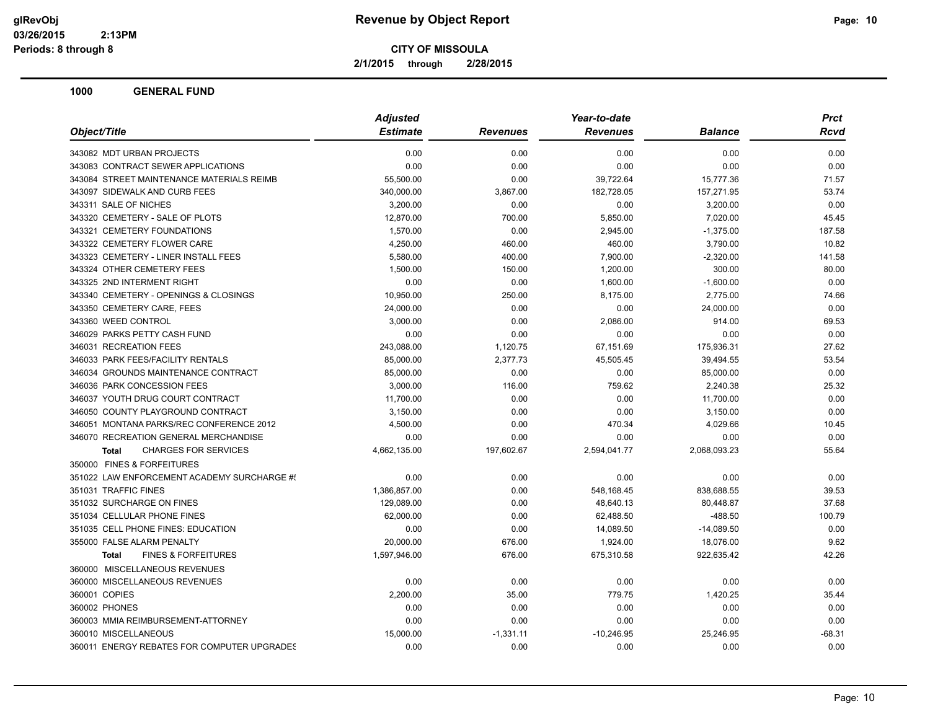**2/1/2015 through 2/28/2015**

| <b>Estimate</b><br>Object/Title<br><b>Revenues</b><br><b>Revenues</b><br><b>Balance</b><br>343082 MDT URBAN PROJECTS<br>0.00<br>0.00<br>0.00<br>0.00<br>343083 CONTRACT SEWER APPLICATIONS<br>0.00<br>0.00<br>0.00<br>0.00<br>343084 STREET MAINTENANCE MATERIALS REIMB<br>55,500.00<br>0.00<br>39,722.64<br>15,777.36<br>343097 SIDEWALK AND CURB FEES<br>340,000.00<br>3,867.00<br>182,728.05<br>157,271.95<br>343311 SALE OF NICHES<br>3,200.00<br>0.00<br>0.00<br>3,200.00<br>343320 CEMETERY - SALE OF PLOTS<br>5,850.00<br>12,870.00<br>700.00<br>7,020.00<br>343321 CEMETERY FOUNDATIONS<br>1,570.00<br>0.00<br>2,945.00<br>$-1,375.00$ | Rcvd<br>0.00<br>0.00<br>71.57<br>53.74<br>0.00<br>45.45<br>187.58<br>10.82<br>141.58<br>80.00 |
|------------------------------------------------------------------------------------------------------------------------------------------------------------------------------------------------------------------------------------------------------------------------------------------------------------------------------------------------------------------------------------------------------------------------------------------------------------------------------------------------------------------------------------------------------------------------------------------------------------------------------------------------|-----------------------------------------------------------------------------------------------|
|                                                                                                                                                                                                                                                                                                                                                                                                                                                                                                                                                                                                                                                |                                                                                               |
|                                                                                                                                                                                                                                                                                                                                                                                                                                                                                                                                                                                                                                                |                                                                                               |
|                                                                                                                                                                                                                                                                                                                                                                                                                                                                                                                                                                                                                                                |                                                                                               |
|                                                                                                                                                                                                                                                                                                                                                                                                                                                                                                                                                                                                                                                |                                                                                               |
|                                                                                                                                                                                                                                                                                                                                                                                                                                                                                                                                                                                                                                                |                                                                                               |
|                                                                                                                                                                                                                                                                                                                                                                                                                                                                                                                                                                                                                                                |                                                                                               |
|                                                                                                                                                                                                                                                                                                                                                                                                                                                                                                                                                                                                                                                |                                                                                               |
|                                                                                                                                                                                                                                                                                                                                                                                                                                                                                                                                                                                                                                                |                                                                                               |
| 343322 CEMETERY FLOWER CARE<br>4,250.00<br>460.00<br>460.00<br>3,790.00                                                                                                                                                                                                                                                                                                                                                                                                                                                                                                                                                                        |                                                                                               |
| 343323 CEMETERY - LINER INSTALL FEES<br>5,580.00<br>400.00<br>7,900.00<br>$-2,320.00$                                                                                                                                                                                                                                                                                                                                                                                                                                                                                                                                                          |                                                                                               |
| 343324 OTHER CEMETERY FEES<br>1,500.00<br>150.00<br>1,200.00<br>300.00                                                                                                                                                                                                                                                                                                                                                                                                                                                                                                                                                                         |                                                                                               |
| 343325 2ND INTERMENT RIGHT<br>0.00<br>0.00<br>1,600.00<br>$-1,600.00$                                                                                                                                                                                                                                                                                                                                                                                                                                                                                                                                                                          | 0.00                                                                                          |
| 343340 CEMETERY - OPENINGS & CLOSINGS<br>2,775.00<br>10,950.00<br>250.00<br>8,175.00                                                                                                                                                                                                                                                                                                                                                                                                                                                                                                                                                           | 74.66                                                                                         |
| 343350 CEMETERY CARE, FEES<br>24,000.00<br>0.00<br>0.00<br>24,000.00                                                                                                                                                                                                                                                                                                                                                                                                                                                                                                                                                                           | 0.00                                                                                          |
| 343360 WEED CONTROL<br>3,000.00<br>0.00<br>2,086.00<br>914.00                                                                                                                                                                                                                                                                                                                                                                                                                                                                                                                                                                                  | 69.53                                                                                         |
| 346029 PARKS PETTY CASH FUND<br>0.00<br>0.00<br>0.00<br>0.00                                                                                                                                                                                                                                                                                                                                                                                                                                                                                                                                                                                   | 0.00                                                                                          |
| 346031 RECREATION FEES<br>243,088.00<br>67,151.69<br>175,936.31<br>1,120.75                                                                                                                                                                                                                                                                                                                                                                                                                                                                                                                                                                    | 27.62                                                                                         |
| 346033 PARK FEES/FACILITY RENTALS<br>85,000.00<br>2,377.73<br>45,505.45<br>39,494.55                                                                                                                                                                                                                                                                                                                                                                                                                                                                                                                                                           | 53.54                                                                                         |
| 0.00<br>0.00<br>346034 GROUNDS MAINTENANCE CONTRACT<br>85,000.00<br>85,000.00                                                                                                                                                                                                                                                                                                                                                                                                                                                                                                                                                                  | 0.00                                                                                          |
| 346036 PARK CONCESSION FEES<br>3,000.00<br>116.00<br>759.62<br>2,240.38                                                                                                                                                                                                                                                                                                                                                                                                                                                                                                                                                                        | 25.32                                                                                         |
| 346037 YOUTH DRUG COURT CONTRACT<br>0.00<br>0.00<br>11,700.00<br>11,700.00                                                                                                                                                                                                                                                                                                                                                                                                                                                                                                                                                                     | 0.00                                                                                          |
| 346050 COUNTY PLAYGROUND CONTRACT<br>0.00<br>0.00<br>3,150.00<br>3,150.00                                                                                                                                                                                                                                                                                                                                                                                                                                                                                                                                                                      | 0.00                                                                                          |
| 346051 MONTANA PARKS/REC CONFERENCE 2012<br>4,500.00<br>0.00<br>470.34<br>4,029.66                                                                                                                                                                                                                                                                                                                                                                                                                                                                                                                                                             | 10.45                                                                                         |
| 346070 RECREATION GENERAL MERCHANDISE<br>0.00<br>0.00<br>0.00<br>0.00                                                                                                                                                                                                                                                                                                                                                                                                                                                                                                                                                                          | 0.00                                                                                          |
| 2,068,093.23<br><b>CHARGES FOR SERVICES</b><br>4,662,135.00<br>197,602.67<br>2,594,041.77<br><b>Total</b>                                                                                                                                                                                                                                                                                                                                                                                                                                                                                                                                      | 55.64                                                                                         |
| 350000 FINES & FORFEITURES                                                                                                                                                                                                                                                                                                                                                                                                                                                                                                                                                                                                                     |                                                                                               |
| 351022 LAW ENFORCEMENT ACADEMY SURCHARGE #!<br>0.00<br>0.00<br>0.00<br>0.00                                                                                                                                                                                                                                                                                                                                                                                                                                                                                                                                                                    | 0.00                                                                                          |
| 351031 TRAFFIC FINES<br>1.386.857.00<br>0.00<br>548,168.45<br>838.688.55                                                                                                                                                                                                                                                                                                                                                                                                                                                                                                                                                                       | 39.53                                                                                         |
| 351032 SURCHARGE ON FINES<br>129,089.00<br>0.00<br>48,640.13<br>80,448.87                                                                                                                                                                                                                                                                                                                                                                                                                                                                                                                                                                      | 37.68                                                                                         |
| 351034 CELLULAR PHONE FINES<br>62,000.00<br>0.00<br>62,488.50<br>$-488.50$                                                                                                                                                                                                                                                                                                                                                                                                                                                                                                                                                                     | 100.79                                                                                        |
| 351035 CELL PHONE FINES: EDUCATION<br>0.00<br>0.00<br>14,089.50<br>$-14,089.50$                                                                                                                                                                                                                                                                                                                                                                                                                                                                                                                                                                | 0.00                                                                                          |
| 355000 FALSE ALARM PENALTY<br>20,000.00<br>676.00<br>1,924.00<br>18,076.00                                                                                                                                                                                                                                                                                                                                                                                                                                                                                                                                                                     | 9.62                                                                                          |
| <b>FINES &amp; FORFEITURES</b><br>1,597,946.00<br>676.00<br>675,310.58<br>922,635.42<br><b>Total</b>                                                                                                                                                                                                                                                                                                                                                                                                                                                                                                                                           | 42.26                                                                                         |
| 360000 MISCELLANEOUS REVENUES                                                                                                                                                                                                                                                                                                                                                                                                                                                                                                                                                                                                                  |                                                                                               |
| 360000 MISCELLANEOUS REVENUES<br>0.00<br>0.00<br>0.00<br>0.00                                                                                                                                                                                                                                                                                                                                                                                                                                                                                                                                                                                  | 0.00                                                                                          |
| 360001 COPIES<br>2,200.00<br>35.00<br>779.75<br>1,420.25                                                                                                                                                                                                                                                                                                                                                                                                                                                                                                                                                                                       | 35.44                                                                                         |
| 360002 PHONES<br>0.00<br>0.00<br>0.00<br>0.00                                                                                                                                                                                                                                                                                                                                                                                                                                                                                                                                                                                                  | 0.00                                                                                          |
| 360003 MMIA REIMBURSEMENT-ATTORNEY<br>0.00<br>0.00<br>0.00<br>0.00                                                                                                                                                                                                                                                                                                                                                                                                                                                                                                                                                                             | 0.00                                                                                          |
| 360010 MISCELLANEOUS<br>15,000.00<br>$-1,331.11$<br>$-10,246.95$<br>25,246.95                                                                                                                                                                                                                                                                                                                                                                                                                                                                                                                                                                  | $-68.31$                                                                                      |
| 0.00<br>0.00<br>360011 ENERGY REBATES FOR COMPUTER UPGRADES<br>0.00<br>0.00                                                                                                                                                                                                                                                                                                                                                                                                                                                                                                                                                                    | 0.00                                                                                          |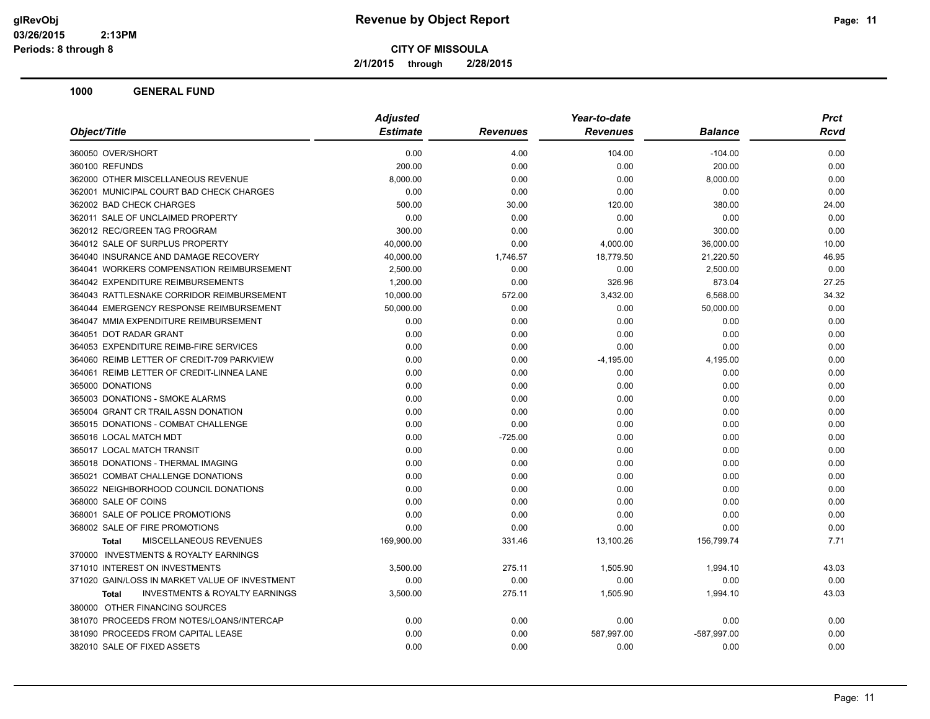**2/1/2015 through 2/28/2015**

| Object/Title                                              | <b>Adjusted</b> |                 | Year-to-date    |                | <b>Prct</b> |
|-----------------------------------------------------------|-----------------|-----------------|-----------------|----------------|-------------|
|                                                           | <b>Estimate</b> | <b>Revenues</b> | <b>Revenues</b> | <b>Balance</b> | Rcvd        |
| 360050 OVER/SHORT                                         | 0.00            | 4.00            | 104.00          | $-104.00$      | 0.00        |
| 360100 REFUNDS                                            | 200.00          | 0.00            | 0.00            | 200.00         | 0.00        |
| 362000 OTHER MISCELLANEOUS REVENUE                        | 8,000.00        | 0.00            | 0.00            | 8,000.00       | 0.00        |
| 362001 MUNICIPAL COURT BAD CHECK CHARGES                  | 0.00            | 0.00            | 0.00            | 0.00           | 0.00        |
| 362002 BAD CHECK CHARGES                                  | 500.00          | 30.00           | 120.00          | 380.00         | 24.00       |
| 362011 SALE OF UNCLAIMED PROPERTY                         | 0.00            | 0.00            | 0.00            | 0.00           | 0.00        |
| 362012 REC/GREEN TAG PROGRAM                              | 300.00          | 0.00            | 0.00            | 300.00         | 0.00        |
| 364012 SALE OF SURPLUS PROPERTY                           | 40,000.00       | 0.00            | 4,000.00        | 36,000.00      | 10.00       |
| 364040 INSURANCE AND DAMAGE RECOVERY                      | 40,000.00       | 1,746.57        | 18,779.50       | 21,220.50      | 46.95       |
| 364041 WORKERS COMPENSATION REIMBURSEMENT                 | 2,500.00        | 0.00            | 0.00            | 2,500.00       | 0.00        |
| 364042 EXPENDITURE REIMBURSEMENTS                         | 1,200.00        | 0.00            | 326.96          | 873.04         | 27.25       |
| 364043 RATTLESNAKE CORRIDOR REIMBURSEMENT                 | 10,000.00       | 572.00          | 3,432.00        | 6,568.00       | 34.32       |
| 364044 EMERGENCY RESPONSE REIMBURSEMENT                   | 50,000.00       | 0.00            | 0.00            | 50,000.00      | 0.00        |
| 364047 MMIA EXPENDITURE REIMBURSEMENT                     | 0.00            | 0.00            | 0.00            | 0.00           | 0.00        |
| 364051 DOT RADAR GRANT                                    | 0.00            | 0.00            | 0.00            | 0.00           | 0.00        |
| 364053 EXPENDITURE REIMB-FIRE SERVICES                    | 0.00            | 0.00            | 0.00            | 0.00           | 0.00        |
| 364060 REIMB LETTER OF CREDIT-709 PARKVIEW                | 0.00            | 0.00            | $-4,195.00$     | 4,195.00       | 0.00        |
| 364061 REIMB LETTER OF CREDIT-LINNEA LANE                 | 0.00            | 0.00            | 0.00            | 0.00           | 0.00        |
| 365000 DONATIONS                                          | 0.00            | 0.00            | 0.00            | 0.00           | 0.00        |
| 365003 DONATIONS - SMOKE ALARMS                           | 0.00            | 0.00            | 0.00            | 0.00           | 0.00        |
| 365004 GRANT CR TRAIL ASSN DONATION                       | 0.00            | 0.00            | 0.00            | 0.00           | 0.00        |
| 365015 DONATIONS - COMBAT CHALLENGE                       | 0.00            | 0.00            | 0.00            | 0.00           | 0.00        |
| 365016 LOCAL MATCH MDT                                    | 0.00            | $-725.00$       | 0.00            | 0.00           | 0.00        |
| 365017 LOCAL MATCH TRANSIT                                | 0.00            | 0.00            | 0.00            | 0.00           | 0.00        |
| 365018 DONATIONS - THERMAL IMAGING                        | 0.00            | 0.00            | 0.00            | 0.00           | 0.00        |
| 365021 COMBAT CHALLENGE DONATIONS                         | 0.00            | 0.00            | 0.00            | 0.00           | 0.00        |
| 365022 NEIGHBORHOOD COUNCIL DONATIONS                     | 0.00            | 0.00            | 0.00            | 0.00           | 0.00        |
| 368000 SALE OF COINS                                      | 0.00            | 0.00            | 0.00            | 0.00           | 0.00        |
| 368001 SALE OF POLICE PROMOTIONS                          | 0.00            | 0.00            | 0.00            | 0.00           | 0.00        |
| 368002 SALE OF FIRE PROMOTIONS                            | 0.00            | 0.00            | 0.00            | 0.00           | 0.00        |
| MISCELLANEOUS REVENUES<br><b>Total</b>                    | 169,900.00      | 331.46          | 13,100.26       | 156,799.74     | 7.71        |
| 370000 INVESTMENTS & ROYALTY EARNINGS                     |                 |                 |                 |                |             |
| 371010 INTEREST ON INVESTMENTS                            | 3,500.00        | 275.11          | 1.505.90        | 1,994.10       | 43.03       |
| 371020 GAIN/LOSS IN MARKET VALUE OF INVESTMENT            | 0.00            | 0.00            | 0.00            | 0.00           | 0.00        |
| <b>INVESTMENTS &amp; ROYALTY EARNINGS</b><br><b>Total</b> | 3,500.00        | 275.11          | 1,505.90        | 1,994.10       | 43.03       |
| 380000 OTHER FINANCING SOURCES                            |                 |                 |                 |                |             |
| 381070 PROCEEDS FROM NOTES/LOANS/INTERCAP                 | 0.00            | 0.00            | 0.00            | 0.00           | 0.00        |
| 381090 PROCEEDS FROM CAPITAL LEASE                        | 0.00            | 0.00            | 587,997.00      | $-587,997.00$  | 0.00        |
| 382010 SALE OF FIXED ASSETS                               | 0.00            | 0.00            | 0.00            | 0.00           | 0.00        |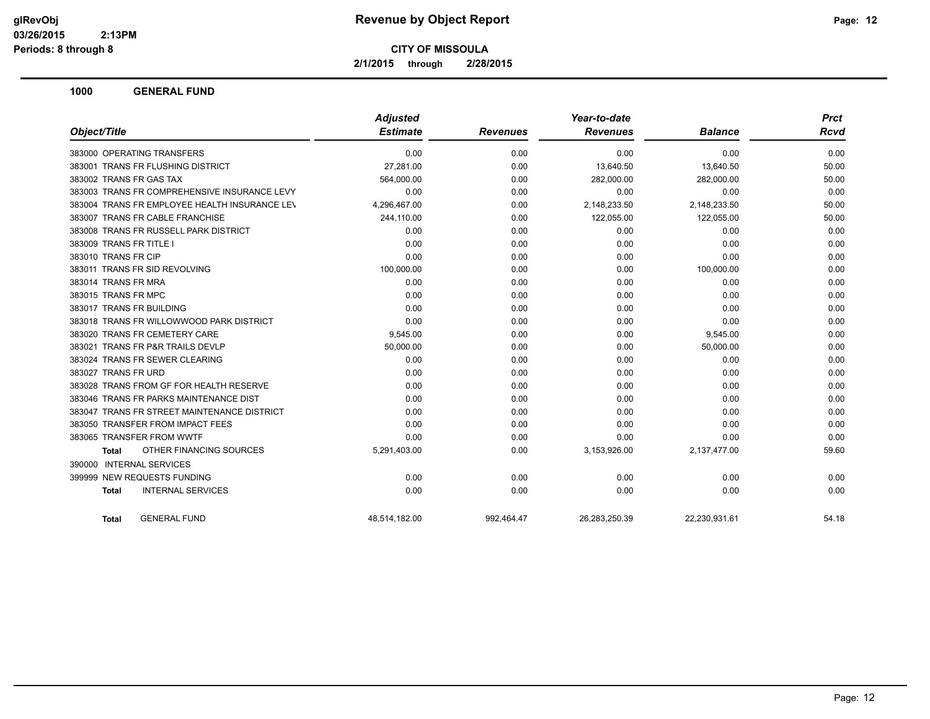**2/1/2015 through 2/28/2015**

|                                               | <b>Adjusted</b> |                 | Year-to-date    |                | <b>Prct</b> |
|-----------------------------------------------|-----------------|-----------------|-----------------|----------------|-------------|
| Object/Title                                  | <b>Estimate</b> | <b>Revenues</b> | <b>Revenues</b> | <b>Balance</b> | <b>Rcvd</b> |
| 383000 OPERATING TRANSFERS                    | 0.00            | 0.00            | 0.00            | 0.00           | 0.00        |
| 383001 TRANS FR FLUSHING DISTRICT             | 27,281.00       | 0.00            | 13,640.50       | 13,640.50      | 50.00       |
| 383002 TRANS FR GAS TAX                       | 564,000.00      | 0.00            | 282,000.00      | 282,000.00     | 50.00       |
| 383003 TRANS FR COMPREHENSIVE INSURANCE LEVY  | 0.00            | 0.00            | 0.00            | 0.00           | 0.00        |
| 383004 TRANS FR EMPLOYEE HEALTH INSURANCE LEV | 4,296,467.00    | 0.00            | 2,148,233.50    | 2,148,233.50   | 50.00       |
| 383007 TRANS FR CABLE FRANCHISE               | 244,110.00      | 0.00            | 122,055.00      | 122,055.00     | 50.00       |
| 383008 TRANS FR RUSSELL PARK DISTRICT         | 0.00            | 0.00            | 0.00            | 0.00           | 0.00        |
| 383009 TRANS FR TITLE I                       | 0.00            | 0.00            | 0.00            | 0.00           | 0.00        |
| 383010 TRANS FR CIP                           | 0.00            | 0.00            | 0.00            | 0.00           | 0.00        |
| 383011 TRANS FR SID REVOLVING                 | 100,000.00      | 0.00            | 0.00            | 100,000.00     | 0.00        |
| 383014 TRANS FR MRA                           | 0.00            | 0.00            | 0.00            | 0.00           | 0.00        |
| 383015 TRANS FR MPC                           | 0.00            | 0.00            | 0.00            | 0.00           | 0.00        |
| 383017 TRANS FR BUILDING                      | 0.00            | 0.00            | 0.00            | 0.00           | 0.00        |
| 383018 TRANS FR WILLOWWOOD PARK DISTRICT      | 0.00            | 0.00            | 0.00            | 0.00           | 0.00        |
| 383020 TRANS FR CEMETERY CARE                 | 9,545.00        | 0.00            | 0.00            | 9,545.00       | 0.00        |
| 383021 TRANS FR P&R TRAILS DEVLP              | 50,000.00       | 0.00            | 0.00            | 50,000.00      | 0.00        |
| 383024 TRANS FR SEWER CLEARING                | 0.00            | 0.00            | 0.00            | 0.00           | 0.00        |
| 383027 TRANS FR URD                           | 0.00            | 0.00            | 0.00            | 0.00           | 0.00        |
| 383028 TRANS FROM GF FOR HEALTH RESERVE       | 0.00            | 0.00            | 0.00            | 0.00           | 0.00        |
| 383046 TRANS FR PARKS MAINTENANCE DIST        | 0.00            | 0.00            | 0.00            | 0.00           | 0.00        |
| 383047 TRANS FR STREET MAINTENANCE DISTRICT   | 0.00            | 0.00            | 0.00            | 0.00           | 0.00        |
| 383050 TRANSFER FROM IMPACT FEES              | 0.00            | 0.00            | 0.00            | 0.00           | 0.00        |
| 383065 TRANSFER FROM WWTF                     | 0.00            | 0.00            | 0.00            | 0.00           | 0.00        |
| OTHER FINANCING SOURCES<br><b>Total</b>       | 5,291,403.00    | 0.00            | 3,153,926.00    | 2,137,477.00   | 59.60       |
| 390000 INTERNAL SERVICES                      |                 |                 |                 |                |             |
| 399999 NEW REQUESTS FUNDING                   | 0.00            | 0.00            | 0.00            | 0.00           | 0.00        |
| <b>INTERNAL SERVICES</b><br><b>Total</b>      | 0.00            | 0.00            | 0.00            | 0.00           | 0.00        |
| <b>GENERAL FUND</b><br><b>Total</b>           | 48,514,182.00   | 992,464.47      | 26,283,250.39   | 22,230,931.61  | 54.18       |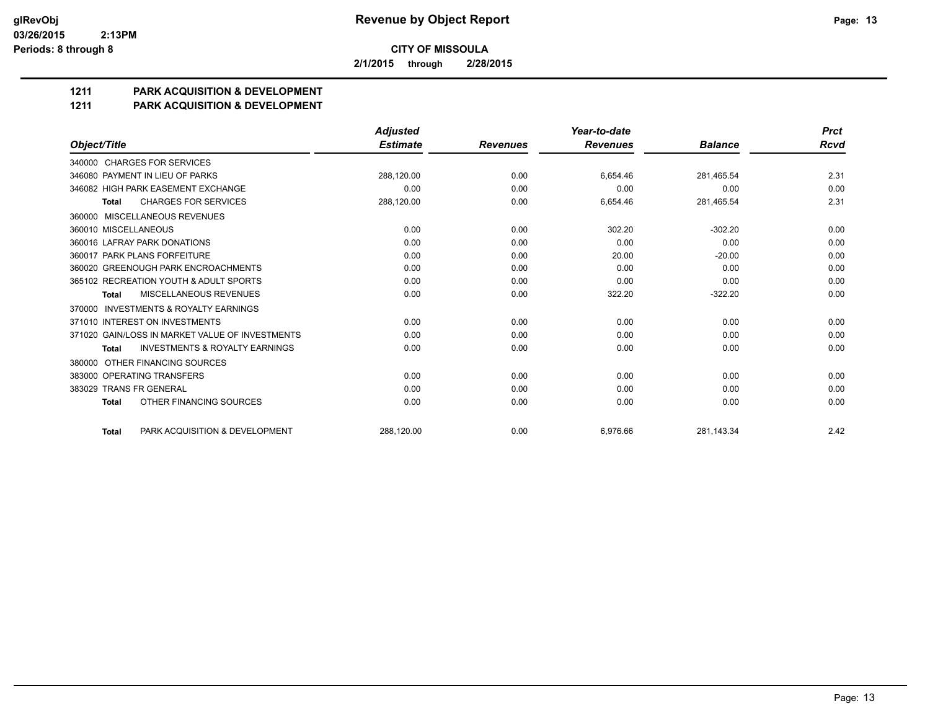**2/1/2015 through 2/28/2015**

# **1211 PARK ACQUISITION & DEVELOPMENT**

#### **1211 PARK ACQUISITION & DEVELOPMENT**

|                                                           | <b>Adjusted</b> |                 | Year-to-date    |                | <b>Prct</b> |
|-----------------------------------------------------------|-----------------|-----------------|-----------------|----------------|-------------|
| Object/Title                                              | <b>Estimate</b> | <b>Revenues</b> | <b>Revenues</b> | <b>Balance</b> | Rcvd        |
| 340000 CHARGES FOR SERVICES                               |                 |                 |                 |                |             |
| 346080 PAYMENT IN LIEU OF PARKS                           | 288,120.00      | 0.00            | 6,654.46        | 281,465.54     | 2.31        |
| 346082 HIGH PARK EASEMENT EXCHANGE                        | 0.00            | 0.00            | 0.00            | 0.00           | 0.00        |
| <b>CHARGES FOR SERVICES</b><br><b>Total</b>               | 288,120.00      | 0.00            | 6,654.46        | 281,465.54     | 2.31        |
| MISCELLANEOUS REVENUES<br>360000                          |                 |                 |                 |                |             |
| 360010 MISCELLANEOUS                                      | 0.00            | 0.00            | 302.20          | $-302.20$      | 0.00        |
| 360016 LAFRAY PARK DONATIONS                              | 0.00            | 0.00            | 0.00            | 0.00           | 0.00        |
| 360017 PARK PLANS FORFEITURE                              | 0.00            | 0.00            | 20.00           | $-20.00$       | 0.00        |
| 360020 GREENOUGH PARK ENCROACHMENTS                       | 0.00            | 0.00            | 0.00            | 0.00           | 0.00        |
| 365102 RECREATION YOUTH & ADULT SPORTS                    | 0.00            | 0.00            | 0.00            | 0.00           | 0.00        |
| MISCELLANEOUS REVENUES<br><b>Total</b>                    | 0.00            | 0.00            | 322.20          | $-322.20$      | 0.00        |
| <b>INVESTMENTS &amp; ROYALTY EARNINGS</b><br>370000       |                 |                 |                 |                |             |
| 371010 INTEREST ON INVESTMENTS                            | 0.00            | 0.00            | 0.00            | 0.00           | 0.00        |
| 371020 GAIN/LOSS IN MARKET VALUE OF INVESTMENTS           | 0.00            | 0.00            | 0.00            | 0.00           | 0.00        |
| <b>INVESTMENTS &amp; ROYALTY EARNINGS</b><br><b>Total</b> | 0.00            | 0.00            | 0.00            | 0.00           | 0.00        |
| OTHER FINANCING SOURCES<br>380000                         |                 |                 |                 |                |             |
| 383000 OPERATING TRANSFERS                                | 0.00            | 0.00            | 0.00            | 0.00           | 0.00        |
| 383029 TRANS FR GENERAL                                   | 0.00            | 0.00            | 0.00            | 0.00           | 0.00        |
| OTHER FINANCING SOURCES<br><b>Total</b>                   | 0.00            | 0.00            | 0.00            | 0.00           | 0.00        |
| PARK ACQUISITION & DEVELOPMENT<br><b>Total</b>            | 288.120.00      | 0.00            | 6.976.66        | 281.143.34     | 2.42        |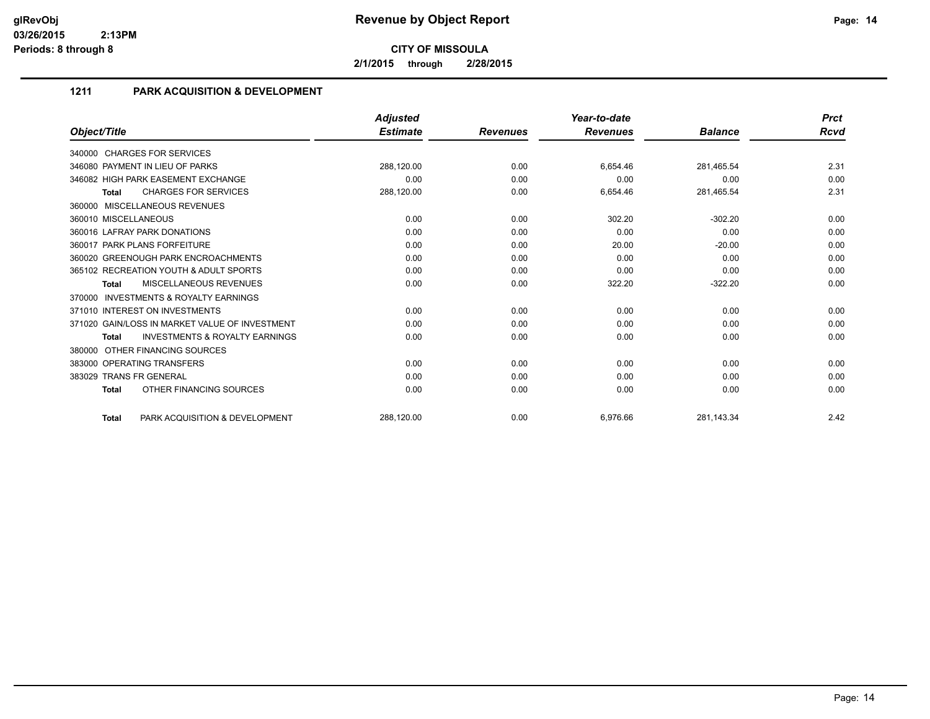**2/1/2015 through 2/28/2015**

# **1211 PARK ACQUISITION & DEVELOPMENT**

|                                                     | <b>Adjusted</b> |                 | Year-to-date    |                | <b>Prct</b> |
|-----------------------------------------------------|-----------------|-----------------|-----------------|----------------|-------------|
| Object/Title                                        | <b>Estimate</b> | <b>Revenues</b> | <b>Revenues</b> | <b>Balance</b> | Rcvd        |
| 340000 CHARGES FOR SERVICES                         |                 |                 |                 |                |             |
| 346080 PAYMENT IN LIEU OF PARKS                     | 288,120.00      | 0.00            | 6,654.46        | 281,465.54     | 2.31        |
| 346082 HIGH PARK EASEMENT EXCHANGE                  | 0.00            | 0.00            | 0.00            | 0.00           | 0.00        |
| <b>CHARGES FOR SERVICES</b><br>Total                | 288.120.00      | 0.00            | 6,654.46        | 281,465.54     | 2.31        |
| 360000 MISCELLANEOUS REVENUES                       |                 |                 |                 |                |             |
| 360010 MISCELLANEOUS                                | 0.00            | 0.00            | 302.20          | $-302.20$      | 0.00        |
| 360016 LAFRAY PARK DONATIONS                        | 0.00            | 0.00            | 0.00            | 0.00           | 0.00        |
| 360017 PARK PLANS FORFEITURE                        | 0.00            | 0.00            | 20.00           | $-20.00$       | 0.00        |
| 360020 GREENOUGH PARK ENCROACHMENTS                 | 0.00            | 0.00            | 0.00            | 0.00           | 0.00        |
| 365102 RECREATION YOUTH & ADULT SPORTS              | 0.00            | 0.00            | 0.00            | 0.00           | 0.00        |
| <b>MISCELLANEOUS REVENUES</b><br>Total              | 0.00            | 0.00            | 322.20          | $-322.20$      | 0.00        |
| <b>INVESTMENTS &amp; ROYALTY EARNINGS</b><br>370000 |                 |                 |                 |                |             |
| 371010 INTEREST ON INVESTMENTS                      | 0.00            | 0.00            | 0.00            | 0.00           | 0.00        |
| 371020 GAIN/LOSS IN MARKET VALUE OF INVESTMENT      | 0.00            | 0.00            | 0.00            | 0.00           | 0.00        |
| <b>INVESTMENTS &amp; ROYALTY EARNINGS</b><br>Total  | 0.00            | 0.00            | 0.00            | 0.00           | 0.00        |
| 380000 OTHER FINANCING SOURCES                      |                 |                 |                 |                |             |
| 383000 OPERATING TRANSFERS                          | 0.00            | 0.00            | 0.00            | 0.00           | 0.00        |
| 383029 TRANS FR GENERAL                             | 0.00            | 0.00            | 0.00            | 0.00           | 0.00        |
| OTHER FINANCING SOURCES<br><b>Total</b>             | 0.00            | 0.00            | 0.00            | 0.00           | 0.00        |
| PARK ACQUISITION & DEVELOPMENT<br>Total             | 288,120.00      | 0.00            | 6,976.66        | 281,143.34     | 2.42        |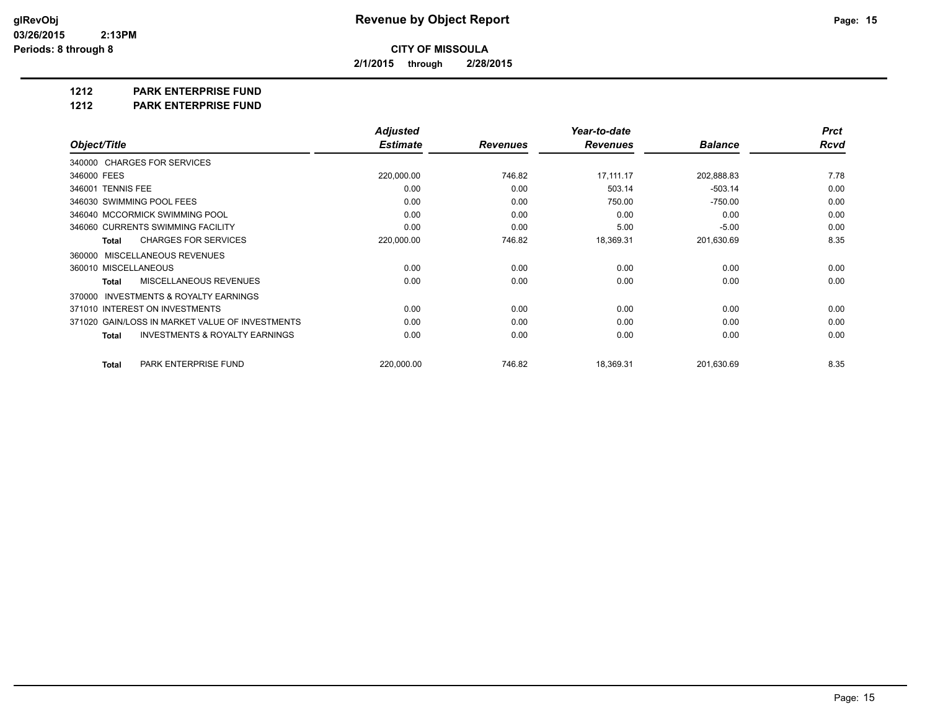**2/1/2015 through 2/28/2015**

**1212 PARK ENTERPRISE FUND**

**1212 PARK ENTERPRISE FUND**

|                                                           | <b>Adjusted</b> |                 | Year-to-date    |                | <b>Prct</b> |
|-----------------------------------------------------------|-----------------|-----------------|-----------------|----------------|-------------|
| Object/Title                                              | <b>Estimate</b> | <b>Revenues</b> | <b>Revenues</b> | <b>Balance</b> | Rcvd        |
| 340000 CHARGES FOR SERVICES                               |                 |                 |                 |                |             |
| 346000 FEES                                               | 220,000.00      | 746.82          | 17, 111. 17     | 202,888.83     | 7.78        |
| 346001 TENNIS FEE                                         | 0.00            | 0.00            | 503.14          | $-503.14$      | 0.00        |
| 346030 SWIMMING POOL FEES                                 | 0.00            | 0.00            | 750.00          | $-750.00$      | 0.00        |
| 346040 MCCORMICK SWIMMING POOL                            | 0.00            | 0.00            | 0.00            | 0.00           | 0.00        |
| 346060 CURRENTS SWIMMING FACILITY                         | 0.00            | 0.00            | 5.00            | $-5.00$        | 0.00        |
| <b>CHARGES FOR SERVICES</b><br><b>Total</b>               | 220,000.00      | 746.82          | 18,369.31       | 201,630.69     | 8.35        |
| MISCELLANEOUS REVENUES<br>360000                          |                 |                 |                 |                |             |
| 360010 MISCELLANEOUS                                      | 0.00            | 0.00            | 0.00            | 0.00           | 0.00        |
| <b>MISCELLANEOUS REVENUES</b><br><b>Total</b>             | 0.00            | 0.00            | 0.00            | 0.00           | 0.00        |
| INVESTMENTS & ROYALTY EARNINGS<br>370000                  |                 |                 |                 |                |             |
| 371010 INTEREST ON INVESTMENTS                            | 0.00            | 0.00            | 0.00            | 0.00           | 0.00        |
| 371020 GAIN/LOSS IN MARKET VALUE OF INVESTMENTS           | 0.00            | 0.00            | 0.00            | 0.00           | 0.00        |
| <b>INVESTMENTS &amp; ROYALTY EARNINGS</b><br><b>Total</b> | 0.00            | 0.00            | 0.00            | 0.00           | 0.00        |
| PARK ENTERPRISE FUND<br><b>Total</b>                      | 220,000.00      | 746.82          | 18,369.31       | 201,630.69     | 8.35        |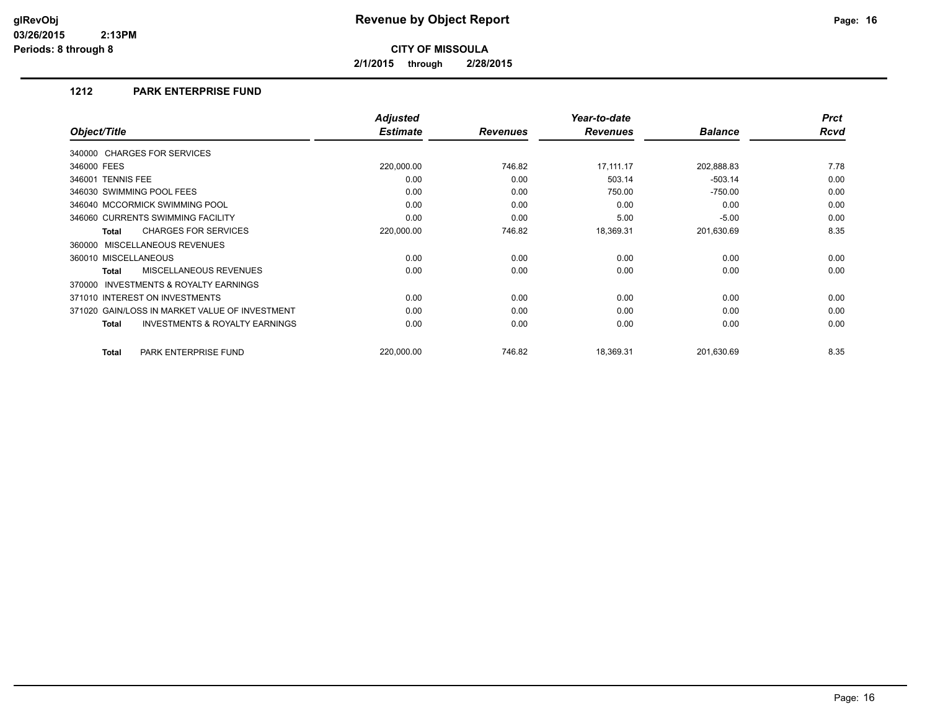**2/1/2015 through 2/28/2015**

# **1212 PARK ENTERPRISE FUND**

|                                                           | <b>Adjusted</b> |                 | Year-to-date    |                | <b>Prct</b> |
|-----------------------------------------------------------|-----------------|-----------------|-----------------|----------------|-------------|
| Object/Title                                              | <b>Estimate</b> | <b>Revenues</b> | <b>Revenues</b> | <b>Balance</b> | Rcvd        |
| 340000 CHARGES FOR SERVICES                               |                 |                 |                 |                |             |
| 346000 FEES                                               | 220,000.00      | 746.82          | 17,111.17       | 202,888.83     | 7.78        |
| 346001 TENNIS FEE                                         | 0.00            | 0.00            | 503.14          | $-503.14$      | 0.00        |
| 346030 SWIMMING POOL FEES                                 | 0.00            | 0.00            | 750.00          | $-750.00$      | 0.00        |
| 346040 MCCORMICK SWIMMING POOL                            | 0.00            | 0.00            | 0.00            | 0.00           | 0.00        |
| 346060 CURRENTS SWIMMING FACILITY                         | 0.00            | 0.00            | 5.00            | $-5.00$        | 0.00        |
| <b>CHARGES FOR SERVICES</b><br>Total                      | 220,000.00      | 746.82          | 18,369.31       | 201,630.69     | 8.35        |
| 360000 MISCELLANEOUS REVENUES                             |                 |                 |                 |                |             |
| 360010 MISCELLANEOUS                                      | 0.00            | 0.00            | 0.00            | 0.00           | 0.00        |
| MISCELLANEOUS REVENUES<br>Total                           | 0.00            | 0.00            | 0.00            | 0.00           | 0.00        |
| <b>INVESTMENTS &amp; ROYALTY EARNINGS</b><br>370000       |                 |                 |                 |                |             |
| 371010 INTEREST ON INVESTMENTS                            | 0.00            | 0.00            | 0.00            | 0.00           | 0.00        |
| 371020 GAIN/LOSS IN MARKET VALUE OF INVESTMENT            | 0.00            | 0.00            | 0.00            | 0.00           | 0.00        |
| <b>INVESTMENTS &amp; ROYALTY EARNINGS</b><br><b>Total</b> | 0.00            | 0.00            | 0.00            | 0.00           | 0.00        |
|                                                           |                 |                 |                 |                |             |
| PARK ENTERPRISE FUND<br>Total                             | 220,000.00      | 746.82          | 18,369.31       | 201,630.69     | 8.35        |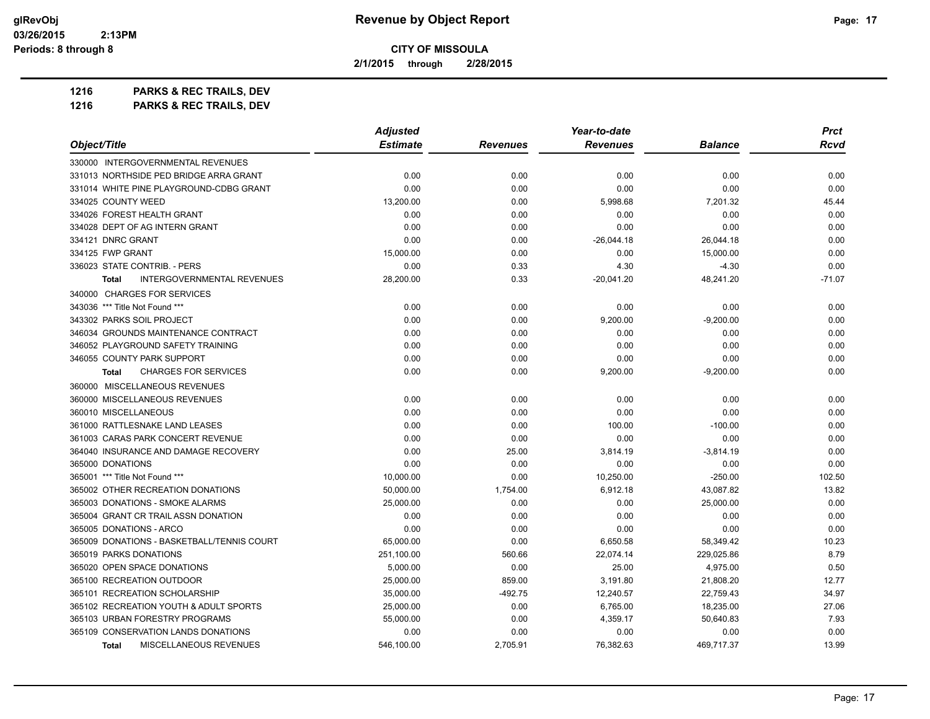**2/1/2015 through 2/28/2015**

**1216 PARKS & REC TRAILS, DEV 1216 PARKS & REC TRAILS, DEV**

*Object/Title Adjusted Estimate Revenues Year-to-date Revenues Balance Prct Rcvd* 330000 INTERGOVERNMENTAL REVENUES 331013 NORTHSIDE PED BRIDGE ARRA GRANT 0.00 0.00 0.00 0.00 0.00 331014 WHITE PINE PLAYGROUND-CDBG GRANT 0.00 0.00 0.00 0.00 0.00 334025 COUNTY WEED 13,200.00 5,998.68 7,201.32 45.44 334026 FOREST HEALTH GRANT 0.00 0.00 0.00 0.00 0.00 334028 DEPT OF AG INTERN GRANT 0.00 0.00 0.00 0.00 0.00 334121 DNRC GRANT 0.00 0.00 -26,044.18 26,044.18 0.00 334125 FWP GRANT 15,000.00 0.00 0.00 15,000.00 0.00 336023 STATE CONTRIB. - PERS 0.00 0.33 4.30 -4.30 0.00 **Total** INTERGOVERNMENTAL REVENUES 28,200.00 0.33 -20,041.20 48,241.20 -71.07 340000 CHARGES FOR SERVICES 343036 \*\*\* Title Not Found \*\*\* 0.00 0.00 0.00 0.00 0.00 343302 PARKS SOIL PROJECT 0.00 0.00 9,200.00 -9,200.00 0.00 346034 GROUNDS MAINTENANCE CONTRACT 0.00 0.00 0.00 0.00 0.00 346052 PLAYGROUND SAFETY TRAINING 0.00 0.00 0.00 0.00 0.00 346055 COUNTY PARK SUPPORT 0.00 0.00 0.00 0.00 0.00 **Total CHARGES FOR SERVICES** 0.00 0.00 0.00 0.00 9,200.00 9,200.00 9,200.00 9,200.00 0.00 360000 MISCELLANEOUS REVENUES 360000 MISCELLANEOUS REVENUES 0.00 0.00 0.00 0.00 0.00 360010 MISCELLANEOUS 0.00 0.00 0.00 0.00 0.00 361000 RATTLESNAKE LAND LEASES 0.00 0.00 100.00 -100.00 0.00 361003 CARAS PARK CONCERT REVENUE 0.00 0.00 0.00 0.00 0.00 364040 INSURANCE AND DAMAGE RECOVERY 0.00 25.00 3,814.19 -3,814.19 0.00 365000 DONATIONS 0.00 0.00 0.00 0.00 0.00 365001 \*\*\* Title Not Found \*\*\* 2000 200 102.50 1000.00 10.000 0.00 10.250.00 10.250.00 250.00 102.50 365002 OTHER RECREATION DONATIONS 50,000.00 1,754.00 6,912.18 43,087.82 13.82 365003 DONATIONS - SMOKE ALARMS 25,000.00 0.00 0.00 25,000.00 0.00 365004 GRANT CR TRAIL ASSN DONATION 0.00 0.00 0.00 0.00 0.00 365005 DONATIONS - ARCO 0.00 0.00 0.00 0.00 0.00 365009 DONATIONS - BASKETBALL/TENNIS COURT 65,000.00 0.00 6,650.58 58,349.42 10.23 365019 PARKS DONATIONS 251,100.00 560.66 22,074.14 229,025.86 8.79 365020 OPEN SPACE DONATIONS 5,000.00 0.00 25.00 4,975.00 0.50 365100 RECREATION OUTDOOR 25,000.00 859.00 3,191.80 21,808.20 12.77 365101 RECREATION SCHOLARSHIP 34.97 35,000.00 35,000.00 492.75 34.97 492.75 34.97 34.97 22.759.43 365102 RECREATION YOUTH & ADULT SPORTS 25,000.00 0.00 6,765.00 18,235.00 27.06 365103 URBAN FORESTRY PROGRAMS 55,000.00 0.00 4,359.17 50,640.83 7.93 365109 CONSERVATION LANDS DONATIONS 0.00 0.00 0.00 0.00 0.00 **Total** MISCELLANEOUS REVENUES 546,100.00 2,705.91 76,382.63 469,717.37 13.99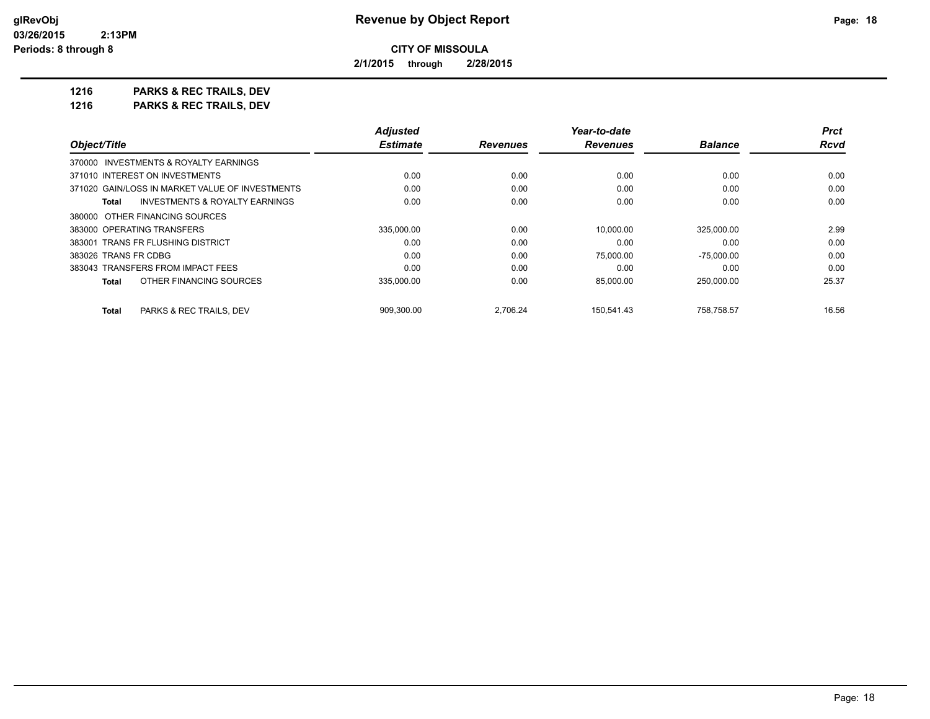**2/1/2015 through 2/28/2015**

**1216 PARKS & REC TRAILS, DEV**

| 1216 | <b>PARKS &amp; REC TRAILS, DEV</b> |  |
|------|------------------------------------|--|
|      |                                    |  |

|                                                 | <b>Adjusted</b> |                 | Year-to-date    |                | <b>Prct</b> |
|-------------------------------------------------|-----------------|-----------------|-----------------|----------------|-------------|
| Object/Title                                    | <b>Estimate</b> | <b>Revenues</b> | <b>Revenues</b> | <b>Balance</b> | <b>Rcvd</b> |
| 370000 INVESTMENTS & ROYALTY EARNINGS           |                 |                 |                 |                |             |
| 371010 INTEREST ON INVESTMENTS                  | 0.00            | 0.00            | 0.00            | 0.00           | 0.00        |
| 371020 GAIN/LOSS IN MARKET VALUE OF INVESTMENTS | 0.00            | 0.00            | 0.00            | 0.00           | 0.00        |
| INVESTMENTS & ROYALTY EARNINGS<br>Total         | 0.00            | 0.00            | 0.00            | 0.00           | 0.00        |
| 380000 OTHER FINANCING SOURCES                  |                 |                 |                 |                |             |
| 383000 OPERATING TRANSFERS                      | 335,000.00      | 0.00            | 10.000.00       | 325,000.00     | 2.99        |
| 383001 TRANS FR FLUSHING DISTRICT               | 0.00            | 0.00            | 0.00            | 0.00           | 0.00        |
| 383026 TRANS FR CDBG                            | 0.00            | 0.00            | 75,000.00       | $-75,000.00$   | 0.00        |
| 383043 TRANSFERS FROM IMPACT FEES               | 0.00            | 0.00            | 0.00            | 0.00           | 0.00        |
| OTHER FINANCING SOURCES<br>Total                | 335,000.00      | 0.00            | 85,000.00       | 250,000.00     | 25.37       |
| <b>PARKS &amp; REC TRAILS, DEV</b><br>Total     | 909.300.00      | 2.706.24        | 150.541.43      | 758.758.57     | 16.56       |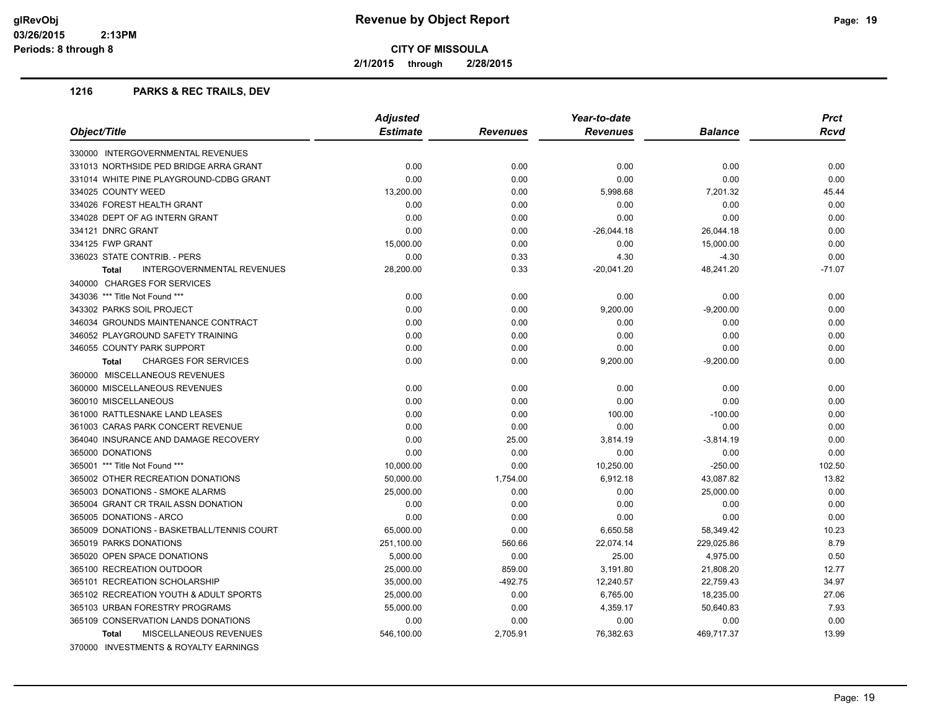**2/1/2015 through 2/28/2015**

# **1216 PARKS & REC TRAILS, DEV**

|                                                   | <b>Adjusted</b> |           | Year-to-date    |                | <b>Prct</b> |
|---------------------------------------------------|-----------------|-----------|-----------------|----------------|-------------|
| Object/Title                                      | <b>Estimate</b> | Revenues  | <b>Revenues</b> | <b>Balance</b> | Rcvd        |
| 330000 INTERGOVERNMENTAL REVENUES                 |                 |           |                 |                |             |
| 331013 NORTHSIDE PED BRIDGE ARRA GRANT            | 0.00            | 0.00      | 0.00            | 0.00           | 0.00        |
| 331014 WHITE PINE PLAYGROUND-CDBG GRANT           | 0.00            | 0.00      | 0.00            | 0.00           | 0.00        |
| 334025 COUNTY WEED                                | 13,200.00       | 0.00      | 5,998.68        | 7,201.32       | 45.44       |
| 334026 FOREST HEALTH GRANT                        | 0.00            | 0.00      | 0.00            | 0.00           | 0.00        |
| 334028 DEPT OF AG INTERN GRANT                    | 0.00            | 0.00      | 0.00            | 0.00           | 0.00        |
| 334121 DNRC GRANT                                 | 0.00            | 0.00      | $-26,044.18$    | 26,044.18      | 0.00        |
| 334125 FWP GRANT                                  | 15,000.00       | 0.00      | 0.00            | 15,000.00      | 0.00        |
| 336023 STATE CONTRIB. - PERS                      | 0.00            | 0.33      | 4.30            | $-4.30$        | 0.00        |
| <b>INTERGOVERNMENTAL REVENUES</b><br><b>Total</b> | 28,200.00       | 0.33      | $-20,041.20$    | 48,241.20      | $-71.07$    |
| 340000 CHARGES FOR SERVICES                       |                 |           |                 |                |             |
| 343036 *** Title Not Found ***                    | 0.00            | 0.00      | 0.00            | 0.00           | 0.00        |
| 343302 PARKS SOIL PROJECT                         | 0.00            | 0.00      | 9,200.00        | $-9,200.00$    | 0.00        |
| 346034 GROUNDS MAINTENANCE CONTRACT               | 0.00            | 0.00      | 0.00            | 0.00           | 0.00        |
| 346052 PLAYGROUND SAFETY TRAINING                 | 0.00            | 0.00      | 0.00            | 0.00           | 0.00        |
| 346055 COUNTY PARK SUPPORT                        | 0.00            | 0.00      | 0.00            | 0.00           | 0.00        |
| <b>CHARGES FOR SERVICES</b><br><b>Total</b>       | 0.00            | 0.00      | 9,200.00        | $-9,200.00$    | 0.00        |
| 360000 MISCELLANEOUS REVENUES                     |                 |           |                 |                |             |
| 360000 MISCELLANEOUS REVENUES                     | 0.00            | 0.00      | 0.00            | 0.00           | 0.00        |
| 360010 MISCELLANEOUS                              | 0.00            | 0.00      | 0.00            | 0.00           | 0.00        |
| 361000 RATTLESNAKE LAND LEASES                    | 0.00            | 0.00      | 100.00          | $-100.00$      | 0.00        |
| 361003 CARAS PARK CONCERT REVENUE                 | 0.00            | 0.00      | 0.00            | 0.00           | 0.00        |
| 364040 INSURANCE AND DAMAGE RECOVERY              | 0.00            | 25.00     | 3,814.19        | $-3,814.19$    | 0.00        |
| 365000 DONATIONS                                  | 0.00            | 0.00      | 0.00            | 0.00           | 0.00        |
| 365001 *** Title Not Found ***                    | 10,000.00       | 0.00      | 10,250.00       | $-250.00$      | 102.50      |
| 365002 OTHER RECREATION DONATIONS                 | 50,000.00       | 1,754.00  | 6,912.18        | 43,087.82      | 13.82       |
| 365003 DONATIONS - SMOKE ALARMS                   | 25,000.00       | 0.00      | 0.00            | 25,000.00      | 0.00        |
| 365004 GRANT CR TRAIL ASSN DONATION               | 0.00            | 0.00      | 0.00            | 0.00           | 0.00        |
| 365005 DONATIONS - ARCO                           | 0.00            | 0.00      | 0.00            | 0.00           | 0.00        |
| 365009 DONATIONS - BASKETBALL/TENNIS COURT        | 65,000.00       | 0.00      | 6,650.58        | 58,349.42      | 10.23       |
| 365019 PARKS DONATIONS                            | 251,100.00      | 560.66    | 22,074.14       | 229,025.86     | 8.79        |
| 365020 OPEN SPACE DONATIONS                       | 5.000.00        | 0.00      | 25.00           | 4,975.00       | 0.50        |
| 365100 RECREATION OUTDOOR                         | 25,000.00       | 859.00    | 3,191.80        | 21,808.20      | 12.77       |
| 365101 RECREATION SCHOLARSHIP                     | 35,000.00       | $-492.75$ | 12,240.57       | 22,759.43      | 34.97       |
| 365102 RECREATION YOUTH & ADULT SPORTS            | 25,000.00       | 0.00      | 6,765.00        | 18,235.00      | 27.06       |
| 365103 URBAN FORESTRY PROGRAMS                    | 55,000.00       | 0.00      | 4,359.17        | 50,640.83      | 7.93        |
| 365109 CONSERVATION LANDS DONATIONS               | 0.00            | 0.00      | 0.00            | 0.00           | 0.00        |
| <b>MISCELLANEOUS REVENUES</b><br>Total            | 546,100.00      | 2,705.91  | 76,382.63       | 469,717.37     | 13.99       |
| 370000 INVESTMENTS & ROYALTY EARNINGS             |                 |           |                 |                |             |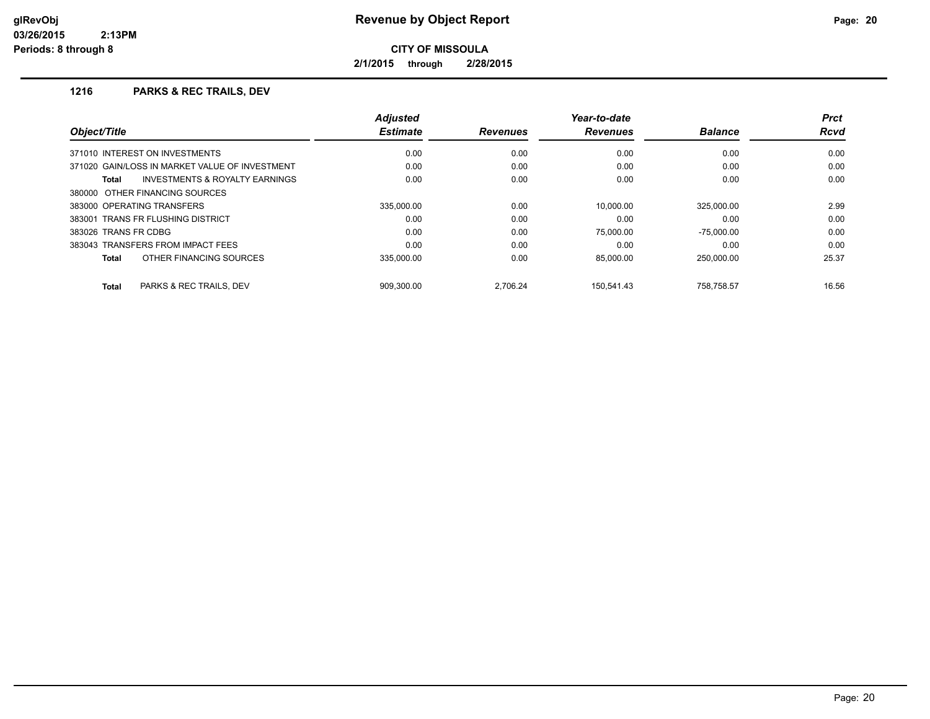**2/1/2015 through 2/28/2015**

# **1216 PARKS & REC TRAILS, DEV**

| Object/Title                                              | <b>Adjusted</b><br><b>Estimate</b> | <b>Revenues</b> | Year-to-date<br><b>Revenues</b> | <b>Balance</b> | <b>Prct</b><br><b>Rcvd</b> |
|-----------------------------------------------------------|------------------------------------|-----------------|---------------------------------|----------------|----------------------------|
| 371010 INTEREST ON INVESTMENTS                            | 0.00                               | 0.00            | 0.00                            | 0.00           | 0.00                       |
| 371020 GAIN/LOSS IN MARKET VALUE OF INVESTMENT            | 0.00                               | 0.00            | 0.00                            | 0.00           | 0.00                       |
| <b>INVESTMENTS &amp; ROYALTY EARNINGS</b><br><b>Total</b> | 0.00                               | 0.00            | 0.00                            | 0.00           | 0.00                       |
| 380000 OTHER FINANCING SOURCES                            |                                    |                 |                                 |                |                            |
| 383000 OPERATING TRANSFERS                                | 335.000.00                         | 0.00            | 10.000.00                       | 325,000.00     | 2.99                       |
| 383001 TRANS FR FLUSHING DISTRICT                         | 0.00                               | 0.00            | 0.00                            | 0.00           | 0.00                       |
| 383026 TRANS FR CDBG                                      | 0.00                               | 0.00            | 75.000.00                       | $-75,000.00$   | 0.00                       |
| 383043 TRANSFERS FROM IMPACT FEES                         | 0.00                               | 0.00            | 0.00                            | 0.00           | 0.00                       |
| OTHER FINANCING SOURCES<br><b>Total</b>                   | 335,000.00                         | 0.00            | 85.000.00                       | 250,000.00     | 25.37                      |
| PARKS & REC TRAILS, DEV<br>Total                          | 909,300.00                         | 2.706.24        | 150.541.43                      | 758.758.57     | 16.56                      |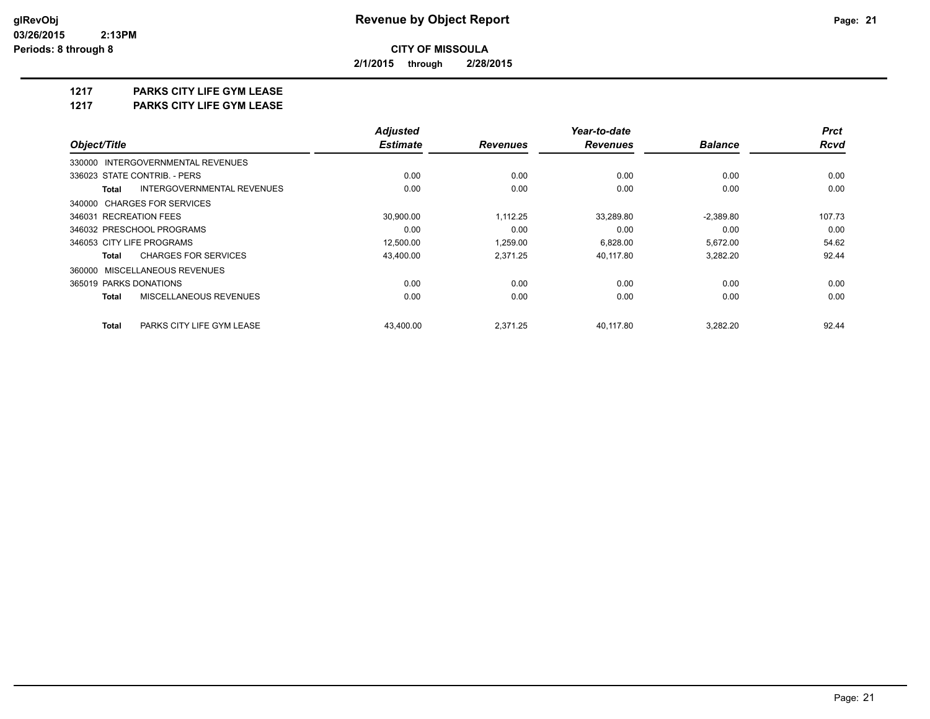**2/1/2015 through 2/28/2015**

# **1217 PARKS CITY LIFE GYM LEASE**

**1217 PARKS CITY LIFE GYM LEASE**

|                                           | <b>Adjusted</b> |                 | Year-to-date    |                | <b>Prct</b> |
|-------------------------------------------|-----------------|-----------------|-----------------|----------------|-------------|
| Object/Title                              | <b>Estimate</b> | <b>Revenues</b> | <b>Revenues</b> | <b>Balance</b> | <b>Rcvd</b> |
| 330000 INTERGOVERNMENTAL REVENUES         |                 |                 |                 |                |             |
| 336023 STATE CONTRIB. - PERS              | 0.00            | 0.00            | 0.00            | 0.00           | 0.00        |
| INTERGOVERNMENTAL REVENUES<br>Total       | 0.00            | 0.00            | 0.00            | 0.00           | 0.00        |
| 340000 CHARGES FOR SERVICES               |                 |                 |                 |                |             |
| 346031 RECREATION FEES                    | 30,900.00       | 1,112.25        | 33,289.80       | $-2,389.80$    | 107.73      |
| 346032 PRESCHOOL PROGRAMS                 | 0.00            | 0.00            | 0.00            | 0.00           | 0.00        |
| 346053 CITY LIFE PROGRAMS                 | 12,500.00       | 1,259.00        | 6,828.00        | 5,672.00       | 54.62       |
| <b>CHARGES FOR SERVICES</b><br>Total      | 43,400.00       | 2,371.25        | 40,117.80       | 3,282.20       | 92.44       |
| 360000 MISCELLANEOUS REVENUES             |                 |                 |                 |                |             |
| 365019 PARKS DONATIONS                    | 0.00            | 0.00            | 0.00            | 0.00           | 0.00        |
| MISCELLANEOUS REVENUES<br><b>Total</b>    | 0.00            | 0.00            | 0.00            | 0.00           | 0.00        |
| <b>Total</b><br>PARKS CITY LIFE GYM LEASE | 43.400.00       | 2,371.25        | 40,117.80       | 3.282.20       | 92.44       |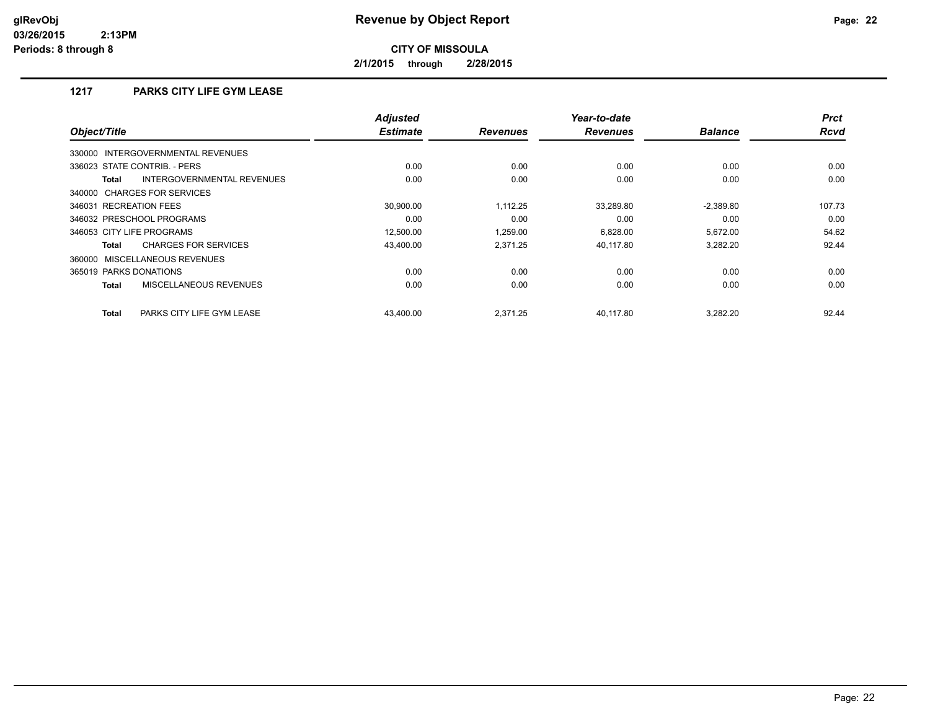**2/1/2015 through 2/28/2015**

# **1217 PARKS CITY LIFE GYM LEASE**

| Object/Title                                | <b>Adjusted</b><br><b>Estimate</b> | <b>Revenues</b> | Year-to-date<br><b>Revenues</b> | <b>Balance</b> | <b>Prct</b><br><b>Rcvd</b> |
|---------------------------------------------|------------------------------------|-----------------|---------------------------------|----------------|----------------------------|
| 330000 INTERGOVERNMENTAL REVENUES           |                                    |                 |                                 |                |                            |
| 336023 STATE CONTRIB. - PERS                | 0.00                               | 0.00            | 0.00                            | 0.00           | 0.00                       |
| <b>INTERGOVERNMENTAL REVENUES</b><br>Total  | 0.00                               | 0.00            | 0.00                            | 0.00           | 0.00                       |
| 340000 CHARGES FOR SERVICES                 |                                    |                 |                                 |                |                            |
| 346031 RECREATION FEES                      | 30,900.00                          | 1,112.25        | 33,289.80                       | $-2,389.80$    | 107.73                     |
| 346032 PRESCHOOL PROGRAMS                   | 0.00                               | 0.00            | 0.00                            | 0.00           | 0.00                       |
| 346053 CITY LIFE PROGRAMS                   | 12,500.00                          | 1,259.00        | 6,828.00                        | 5.672.00       | 54.62                      |
| <b>CHARGES FOR SERVICES</b><br><b>Total</b> | 43,400.00                          | 2.371.25        | 40.117.80                       | 3,282.20       | 92.44                      |
| 360000 MISCELLANEOUS REVENUES               |                                    |                 |                                 |                |                            |
| 365019 PARKS DONATIONS                      | 0.00                               | 0.00            | 0.00                            | 0.00           | 0.00                       |
| MISCELLANEOUS REVENUES<br><b>Total</b>      | 0.00                               | 0.00            | 0.00                            | 0.00           | 0.00                       |
| <b>Total</b><br>PARKS CITY LIFE GYM LEASE   | 43.400.00                          | 2,371.25        | 40,117.80                       | 3.282.20       | 92.44                      |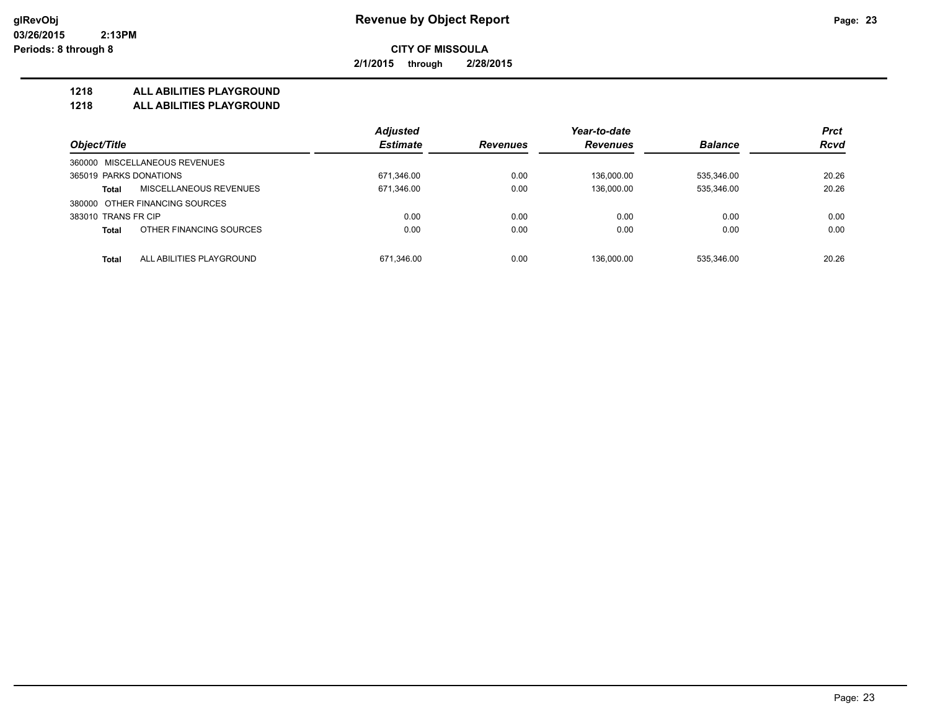**2/1/2015 through 2/28/2015**

#### **1218 ALL ABILITIES PLAYGROUND**

**1218 ALL ABILITIES PLAYGROUND**

|                                               | <b>Adjusted</b> |                 | Year-to-date    |                | <b>Prct</b> |
|-----------------------------------------------|-----------------|-----------------|-----------------|----------------|-------------|
| Object/Title                                  | <b>Estimate</b> | <b>Revenues</b> | <b>Revenues</b> | <b>Balance</b> | <b>Rcvd</b> |
| 360000 MISCELLANEOUS REVENUES                 |                 |                 |                 |                |             |
| 365019 PARKS DONATIONS                        | 671,346.00      | 0.00            | 136.000.00      | 535.346.00     | 20.26       |
| <b>MISCELLANEOUS REVENUES</b><br><b>Total</b> | 671,346.00      | 0.00            | 136.000.00      | 535,346.00     | 20.26       |
| 380000 OTHER FINANCING SOURCES                |                 |                 |                 |                |             |
| 383010 TRANS FR CIP                           | 0.00            | 0.00            | 0.00            | 0.00           | 0.00        |
| OTHER FINANCING SOURCES<br><b>Total</b>       | 0.00            | 0.00            | 0.00            | 0.00           | 0.00        |
|                                               |                 |                 |                 |                |             |
| ALL ABILITIES PLAYGROUND<br><b>Total</b>      | 671.346.00      | 0.00            | 136.000.00      | 535.346.00     | 20.26       |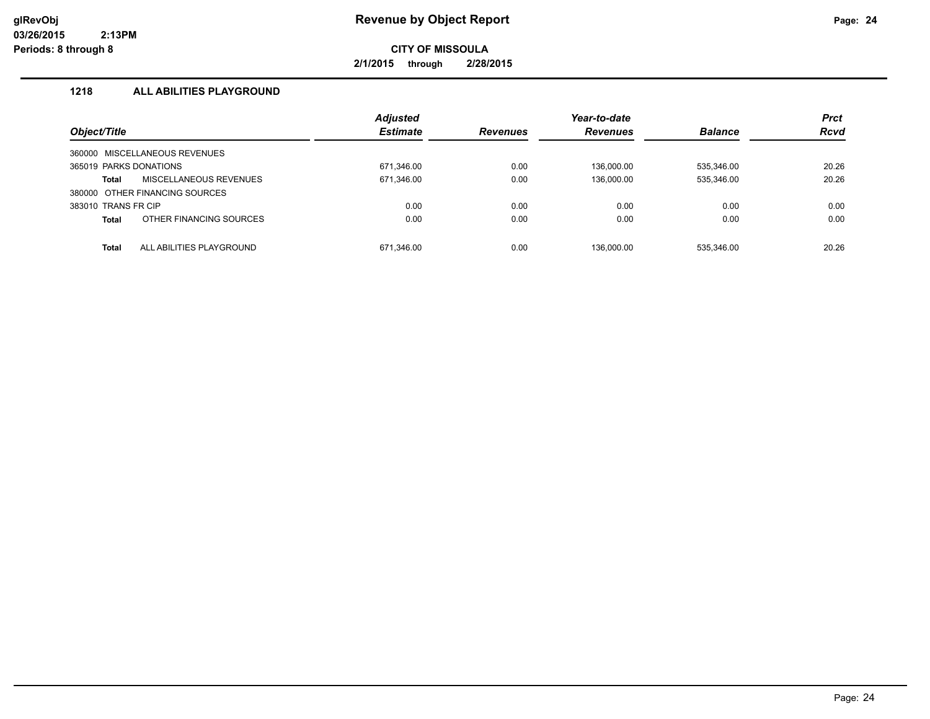**2/1/2015 through 2/28/2015**

# **1218 ALL ABILITIES PLAYGROUND**

|                        |                                | <b>Adjusted</b> |                 | Year-to-date    |                | <b>Prct</b> |
|------------------------|--------------------------------|-----------------|-----------------|-----------------|----------------|-------------|
| Object/Title           |                                | <b>Estimate</b> | <b>Revenues</b> | <b>Revenues</b> | <b>Balance</b> | <b>Rcvd</b> |
| 360000                 | MISCELLANEOUS REVENUES         |                 |                 |                 |                |             |
| 365019 PARKS DONATIONS |                                | 671,346.00      | 0.00            | 136.000.00      | 535,346.00     | 20.26       |
| Total                  | <b>MISCELLANEOUS REVENUES</b>  | 671,346.00      | 0.00            | 136,000.00      | 535,346.00     | 20.26       |
|                        | 380000 OTHER FINANCING SOURCES |                 |                 |                 |                |             |
| 383010 TRANS FR CIP    |                                | 0.00            | 0.00            | 0.00            | 0.00           | 0.00        |
| <b>Total</b>           | OTHER FINANCING SOURCES        | 0.00            | 0.00            | 0.00            | 0.00           | 0.00        |
| Total                  | ALL ABILITIES PLAYGROUND       | 671.346.00      | 0.00            | 136.000.00      | 535.346.00     | 20.26       |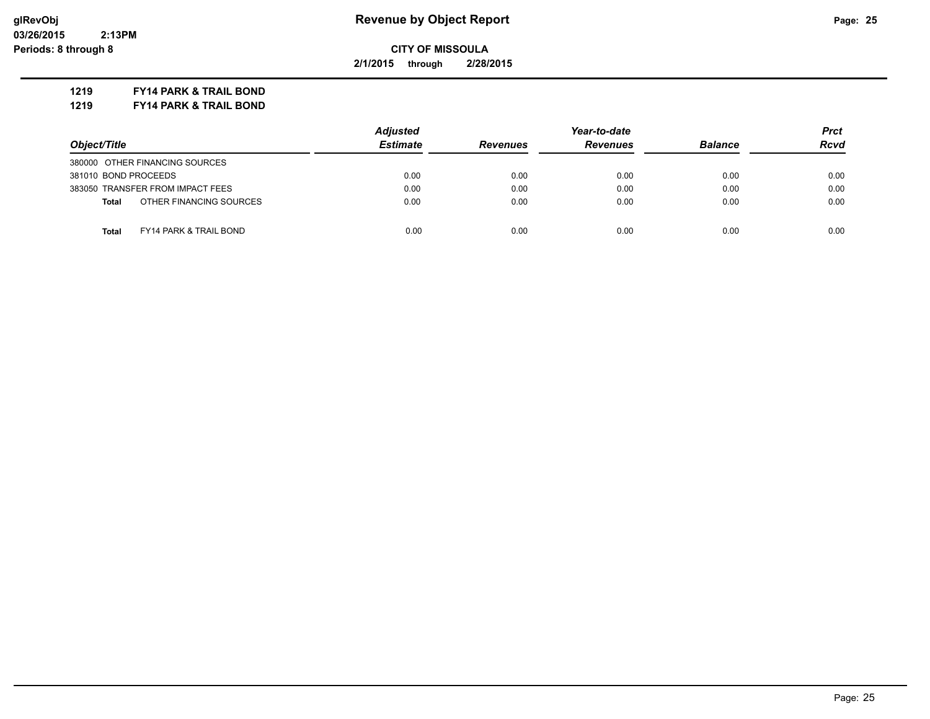**2/1/2015 through 2/28/2015**

**1219 FY14 PARK & TRAIL BOND**

**1219 FY14 PARK & TRAIL BOND**

|                                         | <b>Adjusted</b> |                 | Year-to-date    |                |             |
|-----------------------------------------|-----------------|-----------------|-----------------|----------------|-------------|
| Object/Title                            | <b>Estimate</b> | <b>Revenues</b> | <b>Revenues</b> | <b>Balance</b> | <b>Rcvd</b> |
| 380000 OTHER FINANCING SOURCES          |                 |                 |                 |                |             |
| 381010 BOND PROCEEDS                    | 0.00            | 0.00            | 0.00            | 0.00           | 0.00        |
| 383050 TRANSFER FROM IMPACT FEES        | 0.00            | 0.00            | 0.00            | 0.00           | 0.00        |
| OTHER FINANCING SOURCES<br><b>Total</b> | 0.00            | 0.00            | 0.00            | 0.00           | 0.00        |
| <b>Total</b><br>FY14 PARK & TRAIL BOND  | 0.00            | 0.00            | 0.00            | 0.00           | 0.00        |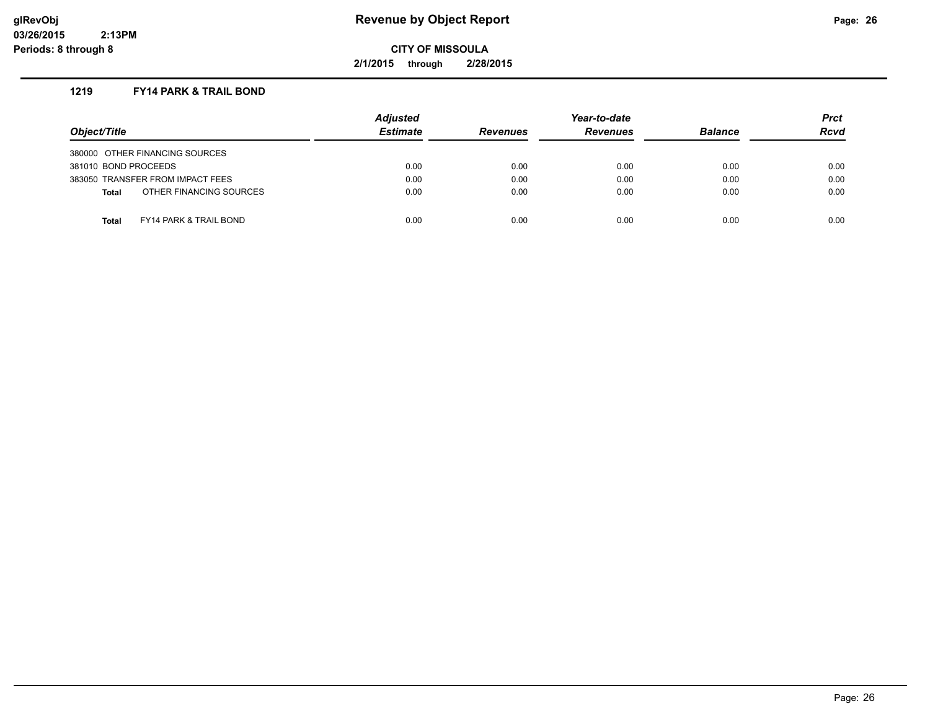# **glRevObj Revenue by Object Report Page: 26**

**CITY OF MISSOULA**

**2/1/2015 through 2/28/2015**

# **1219 FY14 PARK & TRAIL BOND**

| Object/Title         |                                  | <b>Adjusted</b><br><b>Estimate</b> | <b>Revenues</b> | Year-to-date<br><b>Revenues</b> | <b>Balance</b> | <b>Prct</b><br><b>Rcvd</b> |
|----------------------|----------------------------------|------------------------------------|-----------------|---------------------------------|----------------|----------------------------|
|                      | 380000 OTHER FINANCING SOURCES   |                                    |                 |                                 |                |                            |
| 381010 BOND PROCEEDS |                                  | 0.00                               | 0.00            | 0.00                            | 0.00           | 0.00                       |
|                      | 383050 TRANSFER FROM IMPACT FEES | 0.00                               | 0.00            | 0.00                            | 0.00           | 0.00                       |
| <b>Total</b>         | OTHER FINANCING SOURCES          | 0.00                               | 0.00            | 0.00                            | 0.00           | 0.00                       |
|                      |                                  |                                    |                 |                                 |                |                            |
| <b>Total</b>         | FY14 PARK & TRAIL BOND           | 0.00                               | 0.00            | 0.00                            | 0.00           | 0.00                       |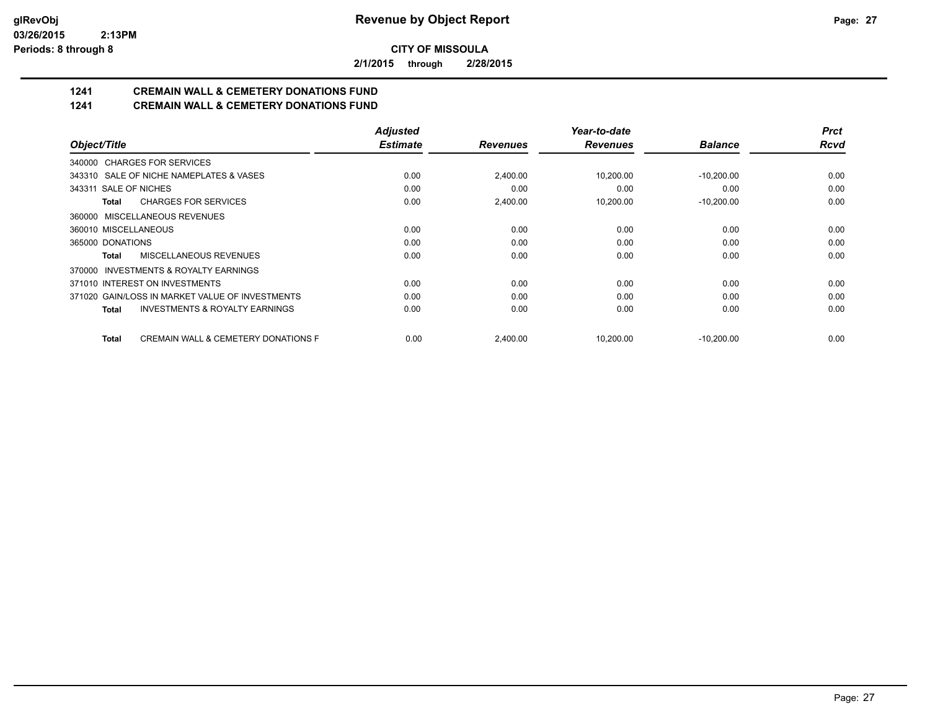**2/1/2015 through 2/28/2015**

# **1241 CREMAIN WALL & CEMETERY DONATIONS FUND**

# **1241 CREMAIN WALL & CEMETERY DONATIONS FUND**

|                                                                | <b>Adjusted</b> |                 | Year-to-date    |                | <b>Prct</b> |
|----------------------------------------------------------------|-----------------|-----------------|-----------------|----------------|-------------|
| Object/Title                                                   | <b>Estimate</b> | <b>Revenues</b> | <b>Revenues</b> | <b>Balance</b> | <b>Rcvd</b> |
| 340000 CHARGES FOR SERVICES                                    |                 |                 |                 |                |             |
| 343310 SALE OF NICHE NAMEPLATES & VASES                        | 0.00            | 2,400.00        | 10,200.00       | $-10,200.00$   | 0.00        |
| 343311 SALE OF NICHES                                          | 0.00            | 0.00            | 0.00            | 0.00           | 0.00        |
| <b>CHARGES FOR SERVICES</b><br>Total                           | 0.00            | 2,400.00        | 10,200.00       | $-10,200.00$   | 0.00        |
| MISCELLANEOUS REVENUES<br>360000                               |                 |                 |                 |                |             |
| 360010 MISCELLANEOUS                                           | 0.00            | 0.00            | 0.00            | 0.00           | 0.00        |
| 365000 DONATIONS                                               | 0.00            | 0.00            | 0.00            | 0.00           | 0.00        |
| MISCELLANEOUS REVENUES<br>Total                                | 0.00            | 0.00            | 0.00            | 0.00           | 0.00        |
| <b>INVESTMENTS &amp; ROYALTY EARNINGS</b><br>370000            |                 |                 |                 |                |             |
| 371010 INTEREST ON INVESTMENTS                                 | 0.00            | 0.00            | 0.00            | 0.00           | 0.00        |
| 371020 GAIN/LOSS IN MARKET VALUE OF INVESTMENTS                | 0.00            | 0.00            | 0.00            | 0.00           | 0.00        |
| <b>INVESTMENTS &amp; ROYALTY EARNINGS</b><br><b>Total</b>      | 0.00            | 0.00            | 0.00            | 0.00           | 0.00        |
| <b>CREMAIN WALL &amp; CEMETERY DONATIONS F</b><br><b>Total</b> | 0.00            | 2,400.00        | 10,200.00       | $-10,200.00$   | 0.00        |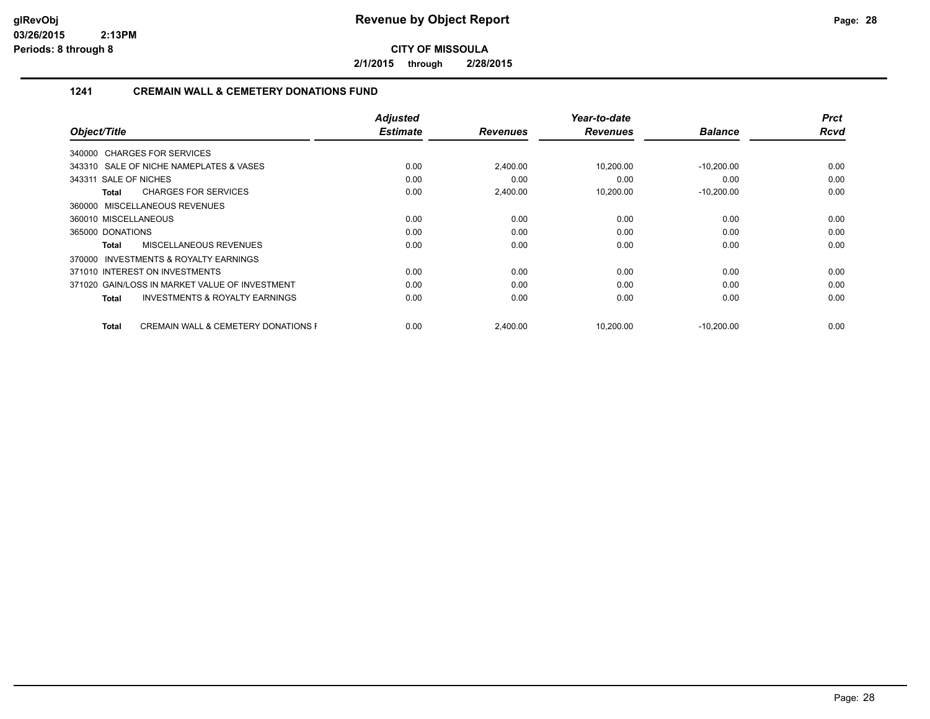**2/1/2015 through 2/28/2015**

# **1241 CREMAIN WALL & CEMETERY DONATIONS FUND**

|                                                         | <b>Adjusted</b> |                 | Year-to-date    |                | <b>Prct</b> |
|---------------------------------------------------------|-----------------|-----------------|-----------------|----------------|-------------|
| Object/Title                                            | <b>Estimate</b> | <b>Revenues</b> | <b>Revenues</b> | <b>Balance</b> | <b>Rcvd</b> |
| 340000 CHARGES FOR SERVICES                             |                 |                 |                 |                |             |
| 343310 SALE OF NICHE NAMEPLATES & VASES                 | 0.00            | 2,400.00        | 10,200.00       | $-10,200.00$   | 0.00        |
| 343311 SALE OF NICHES                                   | 0.00            | 0.00            | 0.00            | 0.00           | 0.00        |
| <b>CHARGES FOR SERVICES</b><br>Total                    | 0.00            | 2,400.00        | 10,200.00       | $-10,200.00$   | 0.00        |
| 360000 MISCELLANEOUS REVENUES                           |                 |                 |                 |                |             |
| 360010 MISCELLANEOUS                                    | 0.00            | 0.00            | 0.00            | 0.00           | 0.00        |
| 365000 DONATIONS                                        | 0.00            | 0.00            | 0.00            | 0.00           | 0.00        |
| MISCELLANEOUS REVENUES<br>Total                         | 0.00            | 0.00            | 0.00            | 0.00           | 0.00        |
| INVESTMENTS & ROYALTY EARNINGS<br>370000                |                 |                 |                 |                |             |
| 371010 INTEREST ON INVESTMENTS                          | 0.00            | 0.00            | 0.00            | 0.00           | 0.00        |
| 371020 GAIN/LOSS IN MARKET VALUE OF INVESTMENT          | 0.00            | 0.00            | 0.00            | 0.00           | 0.00        |
| <b>INVESTMENTS &amp; ROYALTY EARNINGS</b><br>Total      | 0.00            | 0.00            | 0.00            | 0.00           | 0.00        |
| <b>CREMAIN WALL &amp; CEMETERY DONATIONS F</b><br>Total | 0.00            | 2.400.00        | 10,200.00       | $-10,200.00$   | 0.00        |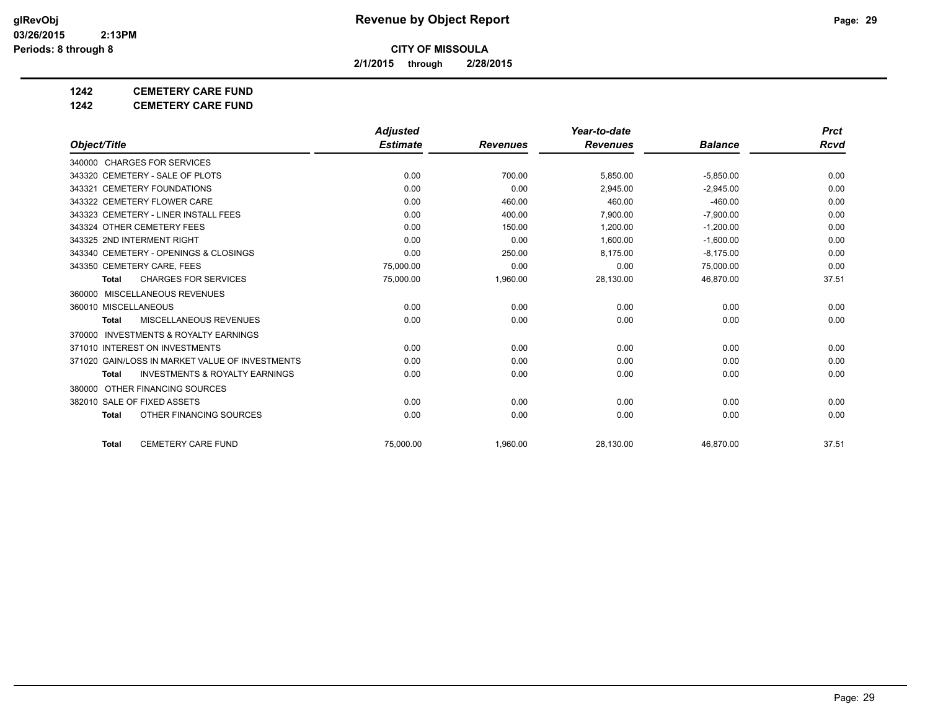**2/1/2015 through 2/28/2015**

# **1242 CEMETERY CARE FUND**

**1242 CEMETERY CARE FUND**

|                                                     | <b>Adjusted</b> |                 | Year-to-date    |                | <b>Prct</b> |
|-----------------------------------------------------|-----------------|-----------------|-----------------|----------------|-------------|
| Object/Title                                        | <b>Estimate</b> | <b>Revenues</b> | <b>Revenues</b> | <b>Balance</b> | Rcvd        |
| 340000 CHARGES FOR SERVICES                         |                 |                 |                 |                |             |
| 343320 CEMETERY - SALE OF PLOTS                     | 0.00            | 700.00          | 5,850.00        | $-5,850.00$    | 0.00        |
| 343321 CEMETERY FOUNDATIONS                         | 0.00            | 0.00            | 2.945.00        | $-2.945.00$    | 0.00        |
| 343322 CEMETERY FLOWER CARE                         | 0.00            | 460.00          | 460.00          | $-460.00$      | 0.00        |
| 343323 CEMETERY - LINER INSTALL FEES                | 0.00            | 400.00          | 7,900.00        | $-7,900.00$    | 0.00        |
| 343324 OTHER CEMETERY FEES                          | 0.00            | 150.00          | 1.200.00        | $-1,200.00$    | 0.00        |
| 343325 2ND INTERMENT RIGHT                          | 0.00            | 0.00            | 1.600.00        | $-1,600.00$    | 0.00        |
| 343340 CEMETERY - OPENINGS & CLOSINGS               | 0.00            | 250.00          | 8,175.00        | $-8,175.00$    | 0.00        |
| 343350 CEMETERY CARE, FEES                          | 75,000.00       | 0.00            | 0.00            | 75,000.00      | 0.00        |
| <b>CHARGES FOR SERVICES</b><br><b>Total</b>         | 75,000.00       | 1,960.00        | 28,130.00       | 46.870.00      | 37.51       |
| MISCELLANEOUS REVENUES<br>360000                    |                 |                 |                 |                |             |
| 360010 MISCELLANEOUS                                | 0.00            | 0.00            | 0.00            | 0.00           | 0.00        |
| MISCELLANEOUS REVENUES<br><b>Total</b>              | 0.00            | 0.00            | 0.00            | 0.00           | 0.00        |
| <b>INVESTMENTS &amp; ROYALTY EARNINGS</b><br>370000 |                 |                 |                 |                |             |
| 371010 INTEREST ON INVESTMENTS                      | 0.00            | 0.00            | 0.00            | 0.00           | 0.00        |
| 371020 GAIN/LOSS IN MARKET VALUE OF INVESTMENTS     | 0.00            | 0.00            | 0.00            | 0.00           | 0.00        |
| <b>INVESTMENTS &amp; ROYALTY EARNINGS</b><br>Total  | 0.00            | 0.00            | 0.00            | 0.00           | 0.00        |
| 380000 OTHER FINANCING SOURCES                      |                 |                 |                 |                |             |
| 382010 SALE OF FIXED ASSETS                         | 0.00            | 0.00            | 0.00            | 0.00           | 0.00        |
| OTHER FINANCING SOURCES<br><b>Total</b>             | 0.00            | 0.00            | 0.00            | 0.00           | 0.00        |
| <b>CEMETERY CARE FUND</b><br><b>Total</b>           | 75.000.00       | 1,960.00        | 28,130.00       | 46.870.00      | 37.51       |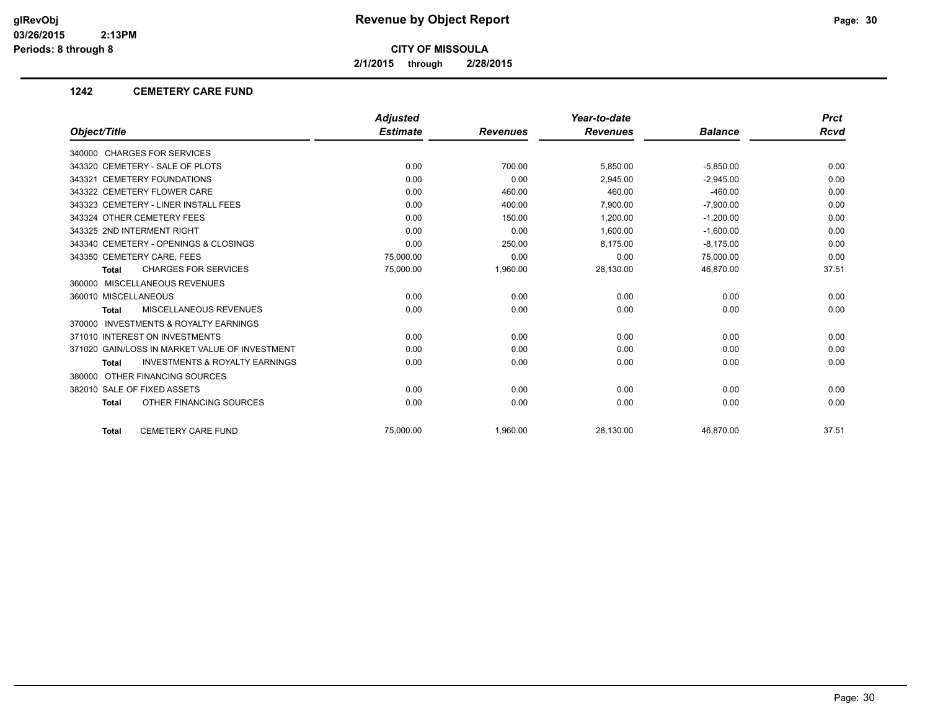**2/1/2015 through 2/28/2015**

#### **1242 CEMETERY CARE FUND**

|                                                           | <b>Adjusted</b> |                 | Year-to-date    |                | <b>Prct</b> |
|-----------------------------------------------------------|-----------------|-----------------|-----------------|----------------|-------------|
| Object/Title                                              | <b>Estimate</b> | <b>Revenues</b> | <b>Revenues</b> | <b>Balance</b> | Rcvd        |
| 340000 CHARGES FOR SERVICES                               |                 |                 |                 |                |             |
| 343320 CEMETERY - SALE OF PLOTS                           | 0.00            | 700.00          | 5,850.00        | $-5,850.00$    | 0.00        |
| 343321 CEMETERY FOUNDATIONS                               | 0.00            | 0.00            | 2.945.00        | $-2.945.00$    | 0.00        |
| 343322 CEMETERY FLOWER CARE                               | 0.00            | 460.00          | 460.00          | $-460.00$      | 0.00        |
| 343323 CEMETERY - LINER INSTALL FEES                      | 0.00            | 400.00          | 7,900.00        | $-7,900.00$    | 0.00        |
| 343324 OTHER CEMETERY FEES                                | 0.00            | 150.00          | 1.200.00        | $-1,200.00$    | 0.00        |
| 343325 2ND INTERMENT RIGHT                                | 0.00            | 0.00            | 1,600.00        | $-1,600.00$    | 0.00        |
| 343340 CEMETERY - OPENINGS & CLOSINGS                     | 0.00            | 250.00          | 8,175.00        | $-8,175.00$    | 0.00        |
| 343350 CEMETERY CARE, FEES                                | 75,000.00       | 0.00            | 0.00            | 75,000.00      | 0.00        |
| <b>CHARGES FOR SERVICES</b><br><b>Total</b>               | 75,000.00       | 1,960.00        | 28,130.00       | 46,870.00      | 37.51       |
| 360000 MISCELLANEOUS REVENUES                             |                 |                 |                 |                |             |
| 360010 MISCELLANEOUS                                      | 0.00            | 0.00            | 0.00            | 0.00           | 0.00        |
| <b>MISCELLANEOUS REVENUES</b><br><b>Total</b>             | 0.00            | 0.00            | 0.00            | 0.00           | 0.00        |
| 370000 INVESTMENTS & ROYALTY EARNINGS                     |                 |                 |                 |                |             |
| 371010 INTEREST ON INVESTMENTS                            | 0.00            | 0.00            | 0.00            | 0.00           | 0.00        |
| 371020 GAIN/LOSS IN MARKET VALUE OF INVESTMENT            | 0.00            | 0.00            | 0.00            | 0.00           | 0.00        |
| <b>INVESTMENTS &amp; ROYALTY EARNINGS</b><br><b>Total</b> | 0.00            | 0.00            | 0.00            | 0.00           | 0.00        |
| 380000 OTHER FINANCING SOURCES                            |                 |                 |                 |                |             |
| 382010 SALE OF FIXED ASSETS                               | 0.00            | 0.00            | 0.00            | 0.00           | 0.00        |
| OTHER FINANCING SOURCES<br><b>Total</b>                   | 0.00            | 0.00            | 0.00            | 0.00           | 0.00        |
| <b>CEMETERY CARE FUND</b><br><b>Total</b>                 | 75,000.00       | 1,960.00        | 28,130.00       | 46.870.00      | 37.51       |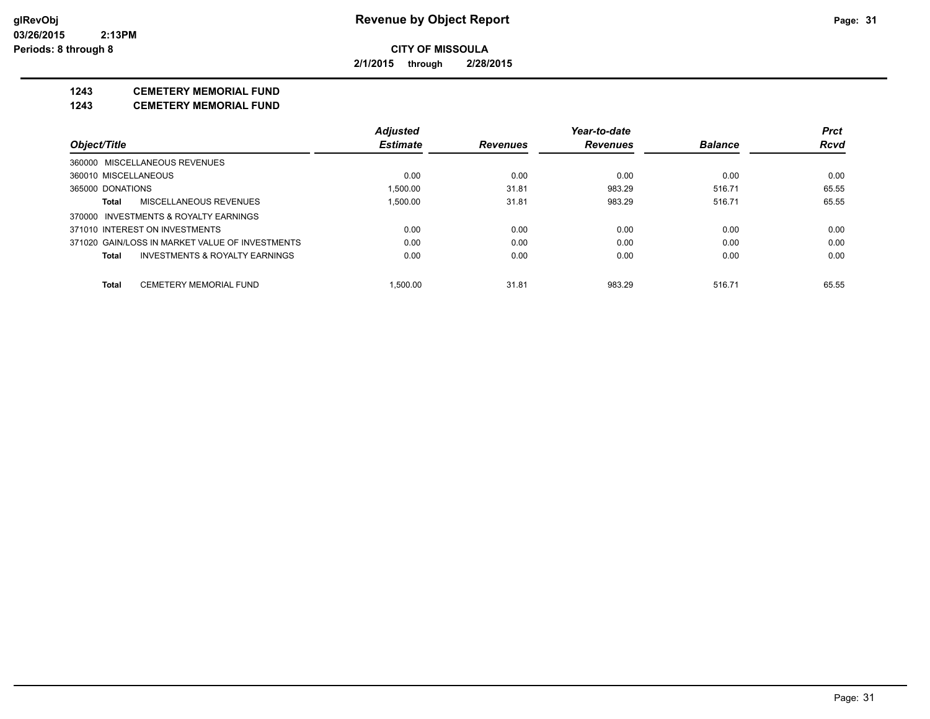**2/1/2015 through 2/28/2015**

# **1243 CEMETERY MEMORIAL FUND**

**1243 CEMETERY MEMORIAL FUND**

|                                                    | <b>Adjusted</b> |                 | Year-to-date    |                | <b>Prct</b> |
|----------------------------------------------------|-----------------|-----------------|-----------------|----------------|-------------|
| Object/Title                                       | <b>Estimate</b> | <b>Revenues</b> | <b>Revenues</b> | <b>Balance</b> | <b>Rcvd</b> |
| 360000 MISCELLANEOUS REVENUES                      |                 |                 |                 |                |             |
| 360010 MISCELLANEOUS                               | 0.00            | 0.00            | 0.00            | 0.00           | 0.00        |
| 365000 DONATIONS                                   | 1.500.00        | 31.81           | 983.29          | 516.71         | 65.55       |
| MISCELLANEOUS REVENUES<br>Total                    | 1.500.00        | 31.81           | 983.29          | 516.71         | 65.55       |
| 370000 INVESTMENTS & ROYALTY EARNINGS              |                 |                 |                 |                |             |
| 371010 INTEREST ON INVESTMENTS                     | 0.00            | 0.00            | 0.00            | 0.00           | 0.00        |
| 371020 GAIN/LOSS IN MARKET VALUE OF INVESTMENTS    | 0.00            | 0.00            | 0.00            | 0.00           | 0.00        |
| <b>INVESTMENTS &amp; ROYALTY EARNINGS</b><br>Total | 0.00            | 0.00            | 0.00            | 0.00           | 0.00        |
| <b>CEMETERY MEMORIAL FUND</b><br>Total             | 1.500.00        | 31.81           | 983.29          | 516.71         | 65.55       |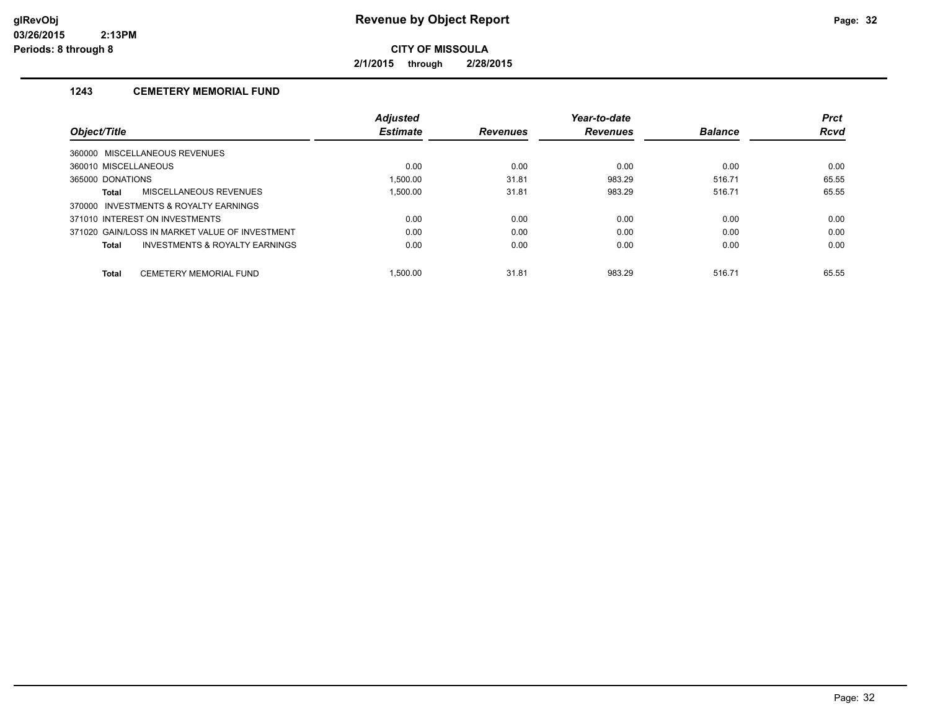**2/1/2015 through 2/28/2015**

# **1243 CEMETERY MEMORIAL FUND**

|                                                    | <b>Adjusted</b> |                 | Year-to-date    |                | <b>Prct</b> |
|----------------------------------------------------|-----------------|-----------------|-----------------|----------------|-------------|
| Object/Title                                       | <b>Estimate</b> | <b>Revenues</b> | <b>Revenues</b> | <b>Balance</b> | <b>Rcvd</b> |
| 360000 MISCELLANEOUS REVENUES                      |                 |                 |                 |                |             |
| 360010 MISCELLANEOUS                               | 0.00            | 0.00            | 0.00            | 0.00           | 0.00        |
| 365000 DONATIONS                                   | 1.500.00        | 31.81           | 983.29          | 516.71         | 65.55       |
| MISCELLANEOUS REVENUES<br>Total                    | 1.500.00        | 31.81           | 983.29          | 516.71         | 65.55       |
| 370000 INVESTMENTS & ROYALTY EARNINGS              |                 |                 |                 |                |             |
| 371010 INTEREST ON INVESTMENTS                     | 0.00            | 0.00            | 0.00            | 0.00           | 0.00        |
| 371020 GAIN/LOSS IN MARKET VALUE OF INVESTMENT     | 0.00            | 0.00            | 0.00            | 0.00           | 0.00        |
| <b>INVESTMENTS &amp; ROYALTY EARNINGS</b><br>Total | 0.00            | 0.00            | 0.00            | 0.00           | 0.00        |
| CEMETERY MEMORIAL FUND<br><b>Total</b>             | 1.500.00        | 31.81           | 983.29          | 516.71         | 65.55       |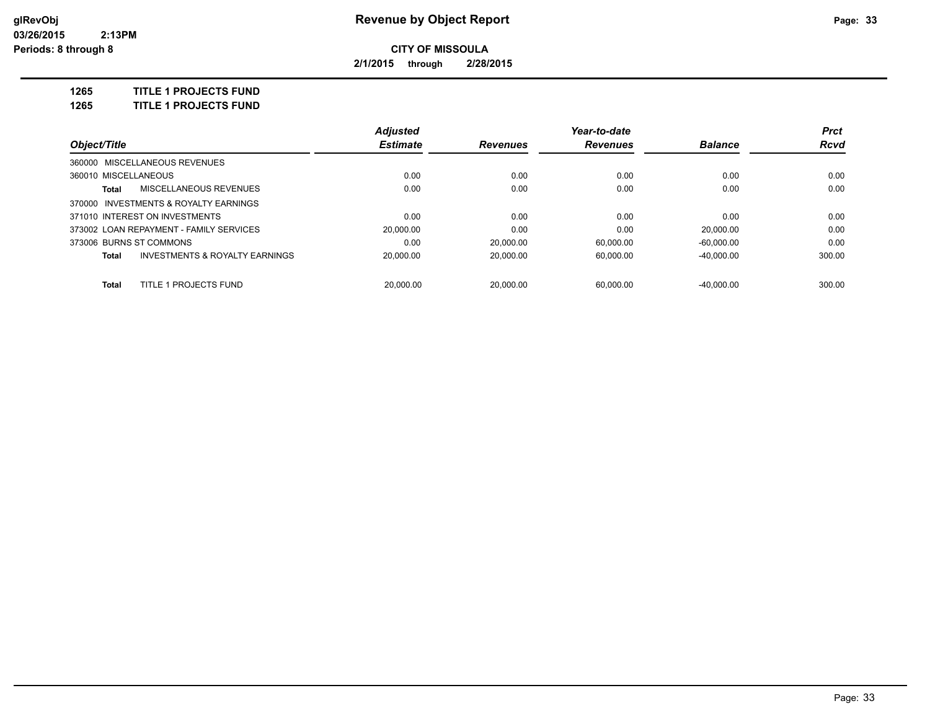**2/1/2015 through 2/28/2015**

**1265 TITLE 1 PROJECTS FUND**

**1265 TITLE 1 PROJECTS FUND**

|                         |                                           | <b>Adjusted</b> |                 | Year-to-date    |                | <b>Prct</b> |
|-------------------------|-------------------------------------------|-----------------|-----------------|-----------------|----------------|-------------|
| Object/Title            |                                           | <b>Estimate</b> | <b>Revenues</b> | <b>Revenues</b> | <b>Balance</b> | Rcvd        |
|                         | 360000 MISCELLANEOUS REVENUES             |                 |                 |                 |                |             |
| 360010 MISCELLANEOUS    |                                           | 0.00            | 0.00            | 0.00            | 0.00           | 0.00        |
| Total                   | MISCELLANEOUS REVENUES                    | 0.00            | 0.00            | 0.00            | 0.00           | 0.00        |
|                         | 370000 INVESTMENTS & ROYALTY EARNINGS     |                 |                 |                 |                |             |
|                         | 371010 INTEREST ON INVESTMENTS            | 0.00            | 0.00            | 0.00            | 0.00           | 0.00        |
|                         | 373002 LOAN REPAYMENT - FAMILY SERVICES   | 20,000.00       | 0.00            | 0.00            | 20.000.00      | 0.00        |
| 373006 BURNS ST COMMONS |                                           | 0.00            | 20.000.00       | 60.000.00       | $-60.000.00$   | 0.00        |
| Total                   | <b>INVESTMENTS &amp; ROYALTY EARNINGS</b> | 20,000.00       | 20,000.00       | 60.000.00       | $-40.000.00$   | 300.00      |
| Total                   | TITLE 1 PROJECTS FUND                     | 20.000.00       | 20.000.00       | 60.000.00       | $-40.000.00$   | 300.00      |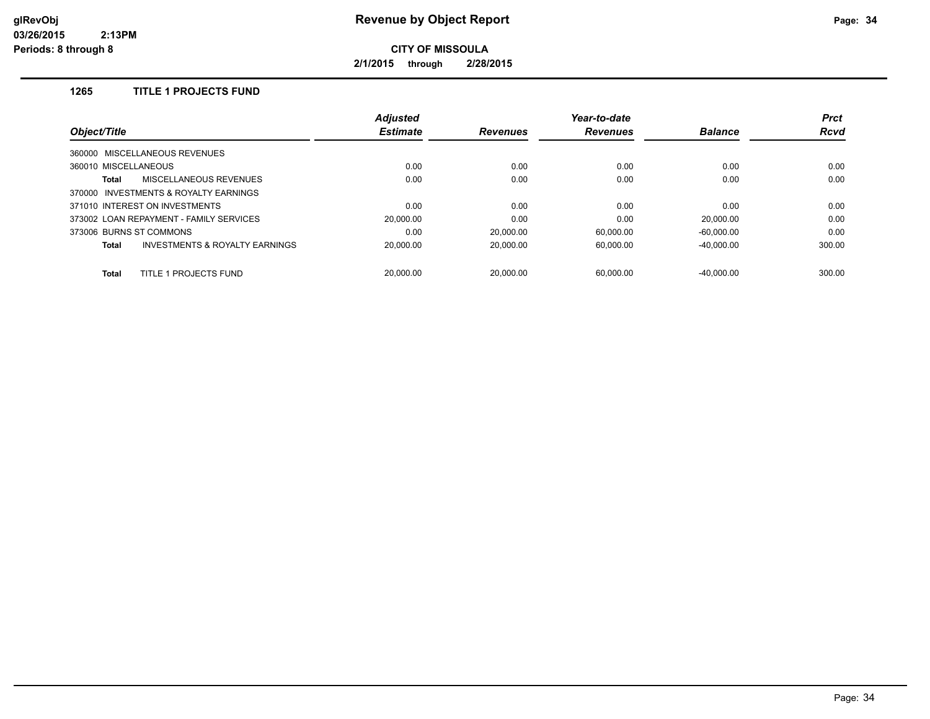**2/1/2015 through 2/28/2015**

# **1265 TITLE 1 PROJECTS FUND**

|                                         |                                       | <b>Adjusted</b> |                 | Year-to-date    |                | <b>Prct</b> |
|-----------------------------------------|---------------------------------------|-----------------|-----------------|-----------------|----------------|-------------|
| Object/Title                            |                                       | <b>Estimate</b> | <b>Revenues</b> | <b>Revenues</b> | <b>Balance</b> | <b>Rcvd</b> |
|                                         | 360000 MISCELLANEOUS REVENUES         |                 |                 |                 |                |             |
| 360010 MISCELLANEOUS                    |                                       | 0.00            | 0.00            | 0.00            | 0.00           | 0.00        |
| <b>Total</b>                            | MISCELLANEOUS REVENUES                | 0.00            | 0.00            | 0.00            | 0.00           | 0.00        |
|                                         | 370000 INVESTMENTS & ROYALTY EARNINGS |                 |                 |                 |                |             |
| 371010 INTEREST ON INVESTMENTS          |                                       | 0.00            | 0.00            | 0.00            | 0.00           | 0.00        |
| 373002 LOAN REPAYMENT - FAMILY SERVICES |                                       | 20.000.00       | 0.00            | 0.00            | 20.000.00      | 0.00        |
| 373006 BURNS ST COMMONS                 |                                       | 0.00            | 20.000.00       | 60.000.00       | $-60.000.00$   | 0.00        |
| <b>Total</b>                            | INVESTMENTS & ROYALTY EARNINGS        | 20.000.00       | 20.000.00       | 60.000.00       | $-40.000.00$   | 300.00      |
| <b>Total</b>                            | TITLE 1 PROJECTS FUND                 | 20.000.00       | 20.000.00       | 60.000.00       | $-40.000.00$   | 300.00      |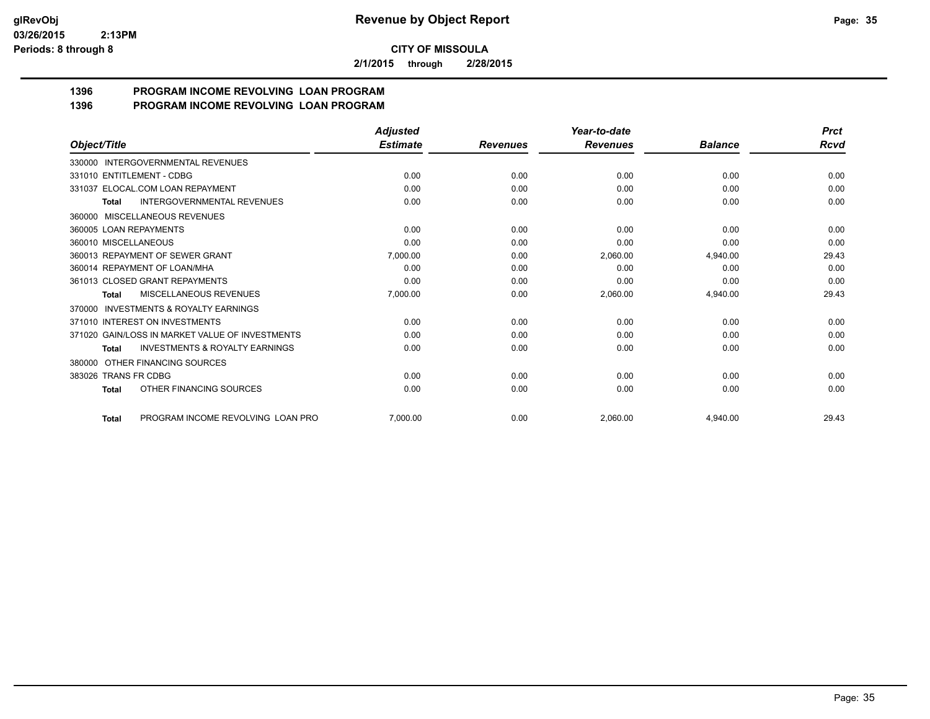**2/1/2015 through 2/28/2015**

#### **1396 PROGRAM INCOME REVOLVING LOAN PROGRAM 1396 PROGRAM INCOME REVOLVING LOAN PROGRAM**

|                                                           | <b>Adjusted</b> | Year-to-date    |                 |                | <b>Prct</b> |
|-----------------------------------------------------------|-----------------|-----------------|-----------------|----------------|-------------|
| Object/Title                                              | <b>Estimate</b> | <b>Revenues</b> | <b>Revenues</b> | <b>Balance</b> | Rcvd        |
| INTERGOVERNMENTAL REVENUES<br>330000                      |                 |                 |                 |                |             |
| 331010 ENTITLEMENT - CDBG                                 | 0.00            | 0.00            | 0.00            | 0.00           | 0.00        |
| 331037 ELOCAL.COM LOAN REPAYMENT                          | 0.00            | 0.00            | 0.00            | 0.00           | 0.00        |
| <b>INTERGOVERNMENTAL REVENUES</b><br>Total                | 0.00            | 0.00            | 0.00            | 0.00           | 0.00        |
| <b>MISCELLANEOUS REVENUES</b><br>360000                   |                 |                 |                 |                |             |
| 360005 LOAN REPAYMENTS                                    | 0.00            | 0.00            | 0.00            | 0.00           | 0.00        |
| 360010 MISCELLANEOUS                                      | 0.00            | 0.00            | 0.00            | 0.00           | 0.00        |
| 360013 REPAYMENT OF SEWER GRANT                           | 7.000.00        | 0.00            | 2,060.00        | 4,940.00       | 29.43       |
| 360014 REPAYMENT OF LOAN/MHA                              | 0.00            | 0.00            | 0.00            | 0.00           | 0.00        |
| 361013 CLOSED GRANT REPAYMENTS                            | 0.00            | 0.00            | 0.00            | 0.00           | 0.00        |
| MISCELLANEOUS REVENUES<br>Total                           | 7.000.00        | 0.00            | 2,060.00        | 4,940.00       | 29.43       |
| <b>INVESTMENTS &amp; ROYALTY EARNINGS</b><br>370000       |                 |                 |                 |                |             |
| 371010 INTEREST ON INVESTMENTS                            | 0.00            | 0.00            | 0.00            | 0.00           | 0.00        |
| 371020 GAIN/LOSS IN MARKET VALUE OF INVESTMENTS           | 0.00            | 0.00            | 0.00            | 0.00           | 0.00        |
| <b>INVESTMENTS &amp; ROYALTY EARNINGS</b><br><b>Total</b> | 0.00            | 0.00            | 0.00            | 0.00           | 0.00        |
| OTHER FINANCING SOURCES<br>380000                         |                 |                 |                 |                |             |
| 383026 TRANS FR CDBG                                      | 0.00            | 0.00            | 0.00            | 0.00           | 0.00        |
| OTHER FINANCING SOURCES<br><b>Total</b>                   | 0.00            | 0.00            | 0.00            | 0.00           | 0.00        |
| PROGRAM INCOME REVOLVING LOAN PRO<br><b>Total</b>         | 7,000.00        | 0.00            | 2.060.00        | 4.940.00       | 29.43       |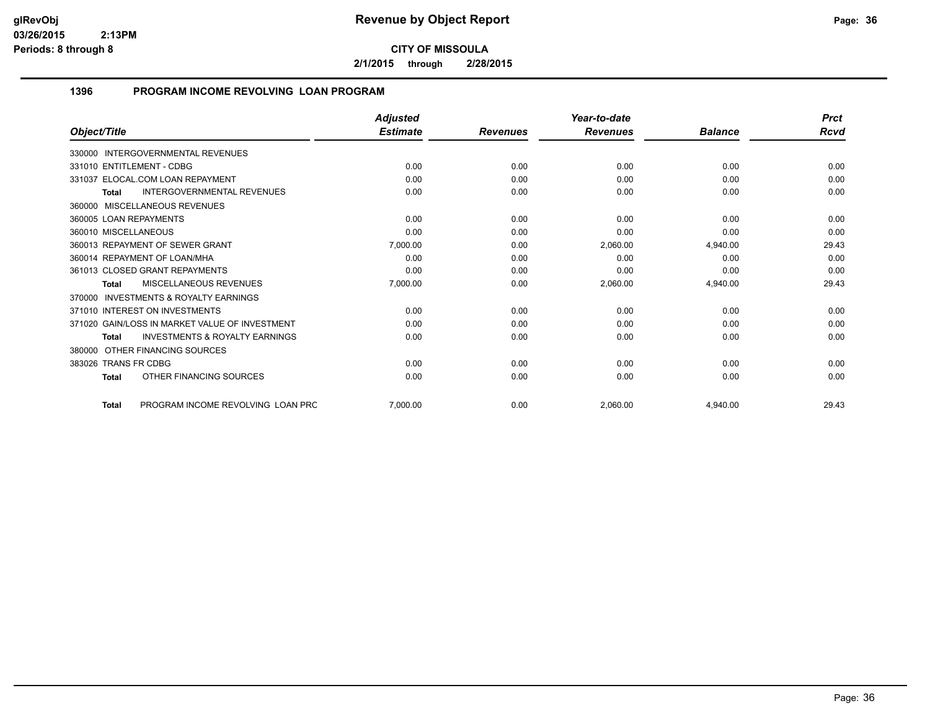**2/1/2015 through 2/28/2015**

# **1396 PROGRAM INCOME REVOLVING LOAN PROGRAM**

|                                                           | <b>Adjusted</b> |                 | Year-to-date    |                | <b>Prct</b> |
|-----------------------------------------------------------|-----------------|-----------------|-----------------|----------------|-------------|
| Object/Title                                              | <b>Estimate</b> | <b>Revenues</b> | <b>Revenues</b> | <b>Balance</b> | <b>Rcvd</b> |
| 330000 INTERGOVERNMENTAL REVENUES                         |                 |                 |                 |                |             |
| 331010 ENTITLEMENT - CDBG                                 | 0.00            | 0.00            | 0.00            | 0.00           | 0.00        |
| 331037 ELOCAL.COM LOAN REPAYMENT                          | 0.00            | 0.00            | 0.00            | 0.00           | 0.00        |
| <b>INTERGOVERNMENTAL REVENUES</b><br>Total                | 0.00            | 0.00            | 0.00            | 0.00           | 0.00        |
| 360000 MISCELLANEOUS REVENUES                             |                 |                 |                 |                |             |
| 360005 LOAN REPAYMENTS                                    | 0.00            | 0.00            | 0.00            | 0.00           | 0.00        |
| 360010 MISCELLANEOUS                                      | 0.00            | 0.00            | 0.00            | 0.00           | 0.00        |
| 360013 REPAYMENT OF SEWER GRANT                           | 7,000.00        | 0.00            | 2,060.00        | 4,940.00       | 29.43       |
| 360014 REPAYMENT OF LOAN/MHA                              | 0.00            | 0.00            | 0.00            | 0.00           | 0.00        |
| 361013 CLOSED GRANT REPAYMENTS                            | 0.00            | 0.00            | 0.00            | 0.00           | 0.00        |
| MISCELLANEOUS REVENUES<br>Total                           | 7,000.00        | 0.00            | 2,060.00        | 4,940.00       | 29.43       |
| <b>INVESTMENTS &amp; ROYALTY EARNINGS</b><br>370000       |                 |                 |                 |                |             |
| 371010 INTEREST ON INVESTMENTS                            | 0.00            | 0.00            | 0.00            | 0.00           | 0.00        |
| 371020 GAIN/LOSS IN MARKET VALUE OF INVESTMENT            | 0.00            | 0.00            | 0.00            | 0.00           | 0.00        |
| <b>INVESTMENTS &amp; ROYALTY EARNINGS</b><br><b>Total</b> | 0.00            | 0.00            | 0.00            | 0.00           | 0.00        |
| OTHER FINANCING SOURCES<br>380000                         |                 |                 |                 |                |             |
| 383026 TRANS FR CDBG                                      | 0.00            | 0.00            | 0.00            | 0.00           | 0.00        |
| OTHER FINANCING SOURCES<br>Total                          | 0.00            | 0.00            | 0.00            | 0.00           | 0.00        |
| PROGRAM INCOME REVOLVING LOAN PRC<br>Total                | 7,000.00        | 0.00            | 2.060.00        | 4.940.00       | 29.43       |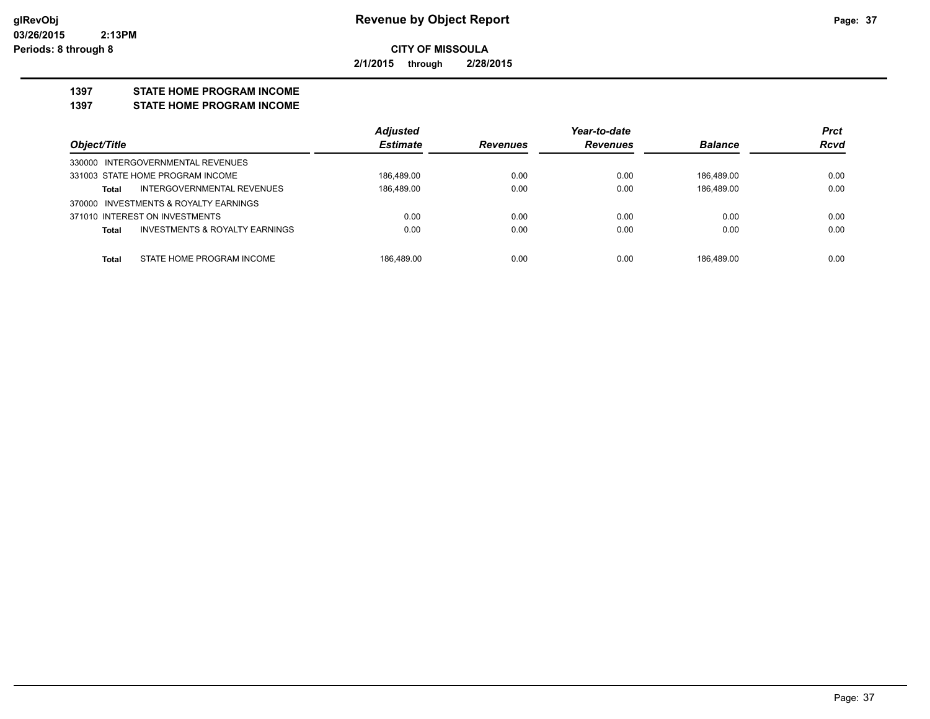**2/1/2015 through 2/28/2015**

# **1397 STATE HOME PROGRAM INCOME**

**1397 STATE HOME PROGRAM INCOME**

|                                                           | <b>Adjusted</b> |                 | Year-to-date    |                | <b>Prct</b> |
|-----------------------------------------------------------|-----------------|-----------------|-----------------|----------------|-------------|
| Object/Title                                              | <b>Estimate</b> | <b>Revenues</b> | <b>Revenues</b> | <b>Balance</b> | <b>Rcvd</b> |
| 330000 INTERGOVERNMENTAL REVENUES                         |                 |                 |                 |                |             |
| 331003 STATE HOME PROGRAM INCOME                          | 186.489.00      | 0.00            | 0.00            | 186.489.00     | 0.00        |
| INTERGOVERNMENTAL REVENUES<br><b>Total</b>                | 186.489.00      | 0.00            | 0.00            | 186.489.00     | 0.00        |
| 370000 INVESTMENTS & ROYALTY EARNINGS                     |                 |                 |                 |                |             |
| 371010 INTEREST ON INVESTMENTS                            | 0.00            | 0.00            | 0.00            | 0.00           | 0.00        |
| <b>INVESTMENTS &amp; ROYALTY EARNINGS</b><br><b>Total</b> | 0.00            | 0.00            | 0.00            | 0.00           | 0.00        |
|                                                           |                 |                 |                 |                |             |
| STATE HOME PROGRAM INCOME<br><b>Total</b>                 | 186.489.00      | 0.00            | 0.00            | 186.489.00     | 0.00        |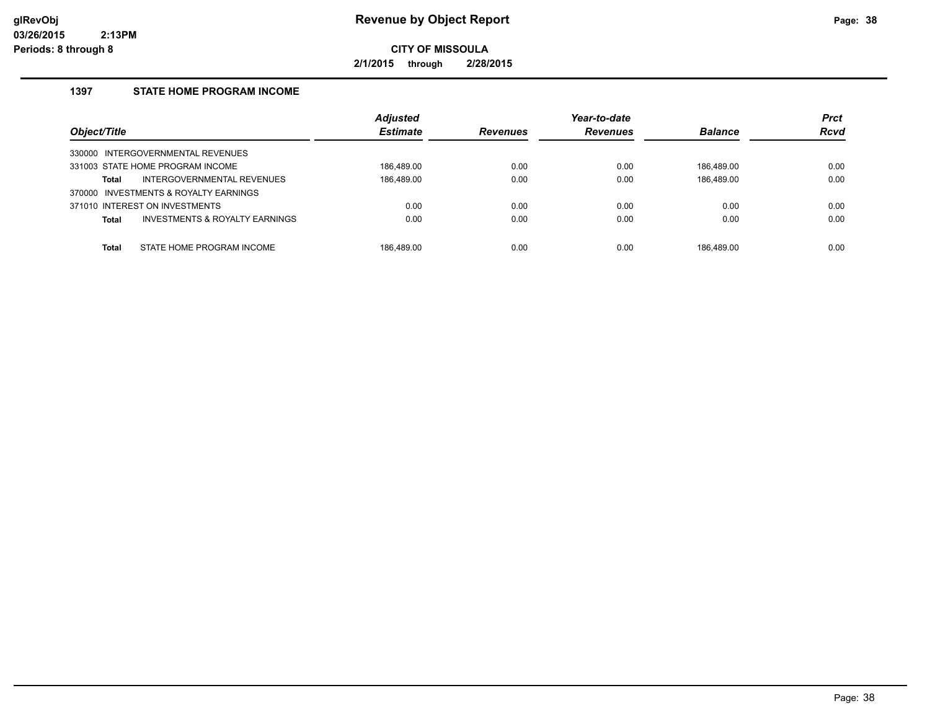**2/1/2015 through 2/28/2015**

# **1397 STATE HOME PROGRAM INCOME**

| Object/Title |                                       | <b>Adjusted</b><br><b>Estimate</b> | <b>Revenues</b> | Year-to-date<br><b>Revenues</b> | <b>Balance</b> | <b>Prct</b><br><b>Rcvd</b> |
|--------------|---------------------------------------|------------------------------------|-----------------|---------------------------------|----------------|----------------------------|
|              | 330000 INTERGOVERNMENTAL REVENUES     |                                    |                 |                                 |                |                            |
|              | 331003 STATE HOME PROGRAM INCOME      | 186.489.00                         | 0.00            | 0.00                            | 186.489.00     | 0.00                       |
| <b>Total</b> | INTERGOVERNMENTAL REVENUES            | 186.489.00                         | 0.00            | 0.00                            | 186.489.00     | 0.00                       |
|              | 370000 INVESTMENTS & ROYALTY EARNINGS |                                    |                 |                                 |                |                            |
|              | 371010 INTEREST ON INVESTMENTS        | 0.00                               | 0.00            | 0.00                            | 0.00           | 0.00                       |
| <b>Total</b> | INVESTMENTS & ROYALTY EARNINGS        | 0.00                               | 0.00            | 0.00                            | 0.00           | 0.00                       |
| Total        | STATE HOME PROGRAM INCOME             | 186.489.00                         | 0.00            | 0.00                            | 186.489.00     | 0.00                       |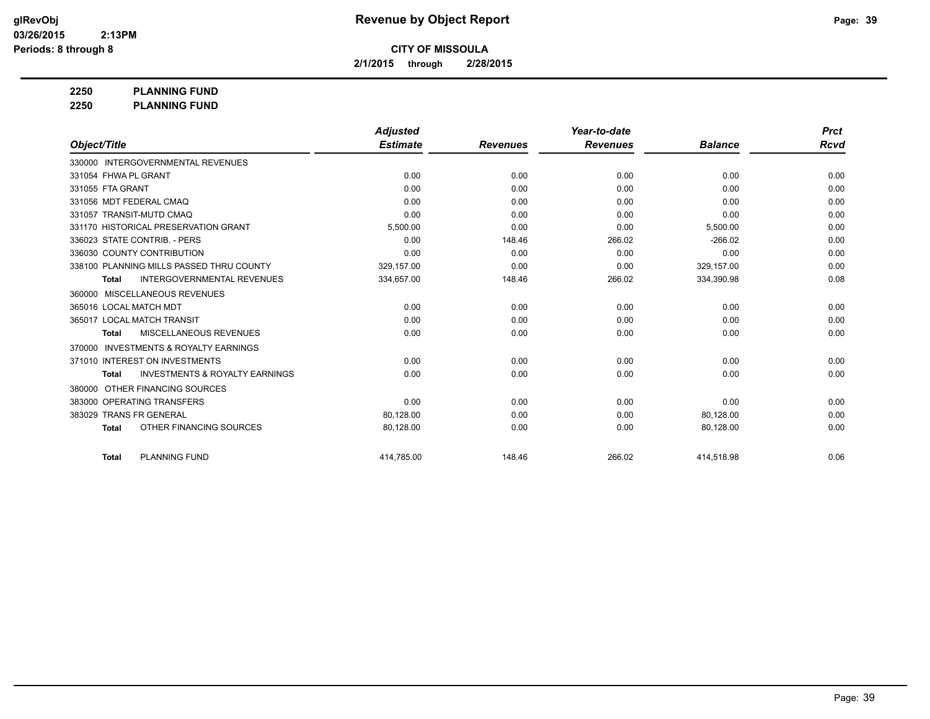**2/1/2015 through 2/28/2015**

**2250 PLANNING FUND**

**2250 PLANNING FUND**

|                                                           | <b>Adjusted</b> |                 | Year-to-date    |                | <b>Prct</b> |
|-----------------------------------------------------------|-----------------|-----------------|-----------------|----------------|-------------|
| Object/Title                                              | <b>Estimate</b> | <b>Revenues</b> | <b>Revenues</b> | <b>Balance</b> | Rcvd        |
| 330000 INTERGOVERNMENTAL REVENUES                         |                 |                 |                 |                |             |
| 331054 FHWA PL GRANT                                      | 0.00            | 0.00            | 0.00            | 0.00           | 0.00        |
| 331055 FTA GRANT                                          | 0.00            | 0.00            | 0.00            | 0.00           | 0.00        |
| 331056 MDT FEDERAL CMAQ                                   | 0.00            | 0.00            | 0.00            | 0.00           | 0.00        |
| 331057 TRANSIT-MUTD CMAQ                                  | 0.00            | 0.00            | 0.00            | 0.00           | 0.00        |
| 331170 HISTORICAL PRESERVATION GRANT                      | 5,500.00        | 0.00            | 0.00            | 5,500.00       | 0.00        |
| 336023 STATE CONTRIB. - PERS                              | 0.00            | 148.46          | 266.02          | $-266.02$      | 0.00        |
| 336030 COUNTY CONTRIBUTION                                | 0.00            | 0.00            | 0.00            | 0.00           | 0.00        |
| 338100 PLANNING MILLS PASSED THRU COUNTY                  | 329,157.00      | 0.00            | 0.00            | 329,157.00     | 0.00        |
| <b>INTERGOVERNMENTAL REVENUES</b><br><b>Total</b>         | 334,657.00      | 148.46          | 266.02          | 334,390.98     | 0.08        |
| <b>MISCELLANEOUS REVENUES</b><br>360000                   |                 |                 |                 |                |             |
| 365016 LOCAL MATCH MDT                                    | 0.00            | 0.00            | 0.00            | 0.00           | 0.00        |
| 365017 LOCAL MATCH TRANSIT                                | 0.00            | 0.00            | 0.00            | 0.00           | 0.00        |
| MISCELLANEOUS REVENUES<br><b>Total</b>                    | 0.00            | 0.00            | 0.00            | 0.00           | 0.00        |
| <b>INVESTMENTS &amp; ROYALTY EARNINGS</b><br>370000       |                 |                 |                 |                |             |
| 371010 INTEREST ON INVESTMENTS                            | 0.00            | 0.00            | 0.00            | 0.00           | 0.00        |
| <b>INVESTMENTS &amp; ROYALTY EARNINGS</b><br><b>Total</b> | 0.00            | 0.00            | 0.00            | 0.00           | 0.00        |
| OTHER FINANCING SOURCES<br>380000                         |                 |                 |                 |                |             |
| 383000 OPERATING TRANSFERS                                | 0.00            | 0.00            | 0.00            | 0.00           | 0.00        |
| 383029 TRANS FR GENERAL                                   | 80,128.00       | 0.00            | 0.00            | 80,128.00      | 0.00        |
| OTHER FINANCING SOURCES<br><b>Total</b>                   | 80,128.00       | 0.00            | 0.00            | 80,128.00      | 0.00        |
| <b>PLANNING FUND</b><br><b>Total</b>                      | 414,785.00      | 148.46          | 266.02          | 414,518.98     | 0.06        |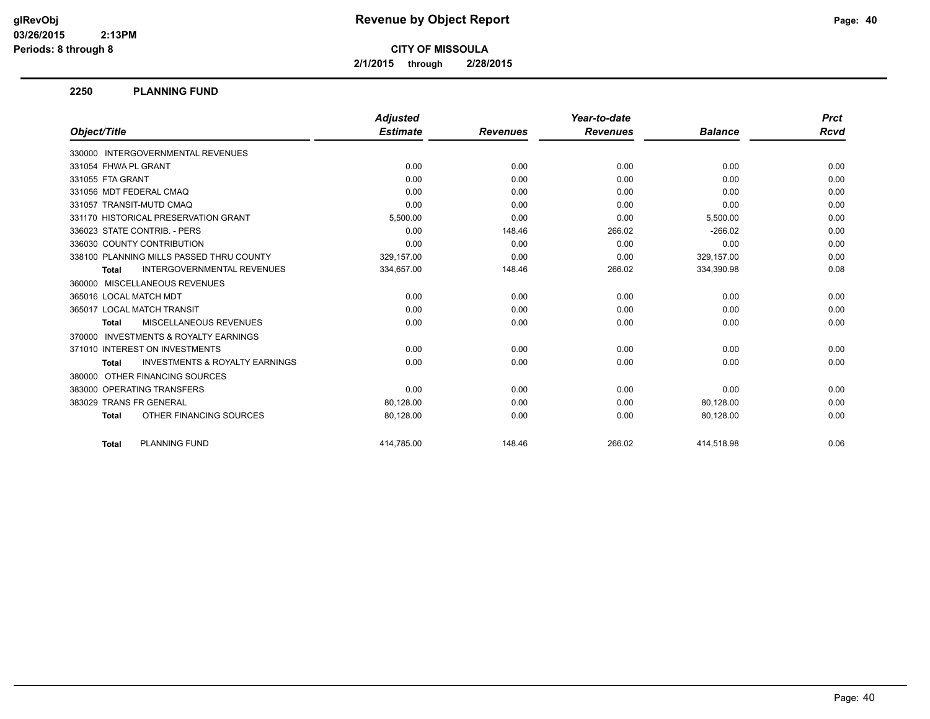**2/1/2015 through 2/28/2015**

# **2250 PLANNING FUND**

|                                                           | <b>Adjusted</b> |                 | Year-to-date    |                | <b>Prct</b> |
|-----------------------------------------------------------|-----------------|-----------------|-----------------|----------------|-------------|
| Object/Title                                              | <b>Estimate</b> | <b>Revenues</b> | <b>Revenues</b> | <b>Balance</b> | Rcvd        |
| 330000 INTERGOVERNMENTAL REVENUES                         |                 |                 |                 |                |             |
| 331054 FHWA PL GRANT                                      | 0.00            | 0.00            | 0.00            | 0.00           | 0.00        |
| 331055 FTA GRANT                                          | 0.00            | 0.00            | 0.00            | 0.00           | 0.00        |
| 331056 MDT FEDERAL CMAQ                                   | 0.00            | 0.00            | 0.00            | 0.00           | 0.00        |
| 331057 TRANSIT-MUTD CMAO                                  | 0.00            | 0.00            | 0.00            | 0.00           | 0.00        |
| 331170 HISTORICAL PRESERVATION GRANT                      | 5,500.00        | 0.00            | 0.00            | 5,500.00       | 0.00        |
| 336023 STATE CONTRIB. - PERS                              | 0.00            | 148.46          | 266.02          | $-266.02$      | 0.00        |
| 336030 COUNTY CONTRIBUTION                                | 0.00            | 0.00            | 0.00            | 0.00           | 0.00        |
| 338100 PLANNING MILLS PASSED THRU COUNTY                  | 329,157.00      | 0.00            | 0.00            | 329,157.00     | 0.00        |
| <b>INTERGOVERNMENTAL REVENUES</b><br><b>Total</b>         | 334,657.00      | 148.46          | 266.02          | 334,390.98     | 0.08        |
| 360000 MISCELLANEOUS REVENUES                             |                 |                 |                 |                |             |
| 365016 LOCAL MATCH MDT                                    | 0.00            | 0.00            | 0.00            | 0.00           | 0.00        |
| 365017 LOCAL MATCH TRANSIT                                | 0.00            | 0.00            | 0.00            | 0.00           | 0.00        |
| MISCELLANEOUS REVENUES<br>Total                           | 0.00            | 0.00            | 0.00            | 0.00           | 0.00        |
| 370000 INVESTMENTS & ROYALTY EARNINGS                     |                 |                 |                 |                |             |
| 371010 INTEREST ON INVESTMENTS                            | 0.00            | 0.00            | 0.00            | 0.00           | 0.00        |
| <b>INVESTMENTS &amp; ROYALTY EARNINGS</b><br><b>Total</b> | 0.00            | 0.00            | 0.00            | 0.00           | 0.00        |
| 380000 OTHER FINANCING SOURCES                            |                 |                 |                 |                |             |
| 383000 OPERATING TRANSFERS                                | 0.00            | 0.00            | 0.00            | 0.00           | 0.00        |
| 383029 TRANS FR GENERAL                                   | 80,128.00       | 0.00            | 0.00            | 80,128.00      | 0.00        |
| OTHER FINANCING SOURCES<br><b>Total</b>                   | 80,128.00       | 0.00            | 0.00            | 80,128.00      | 0.00        |
| <b>PLANNING FUND</b><br><b>Total</b>                      | 414.785.00      | 148.46          | 266.02          | 414.518.98     | 0.06        |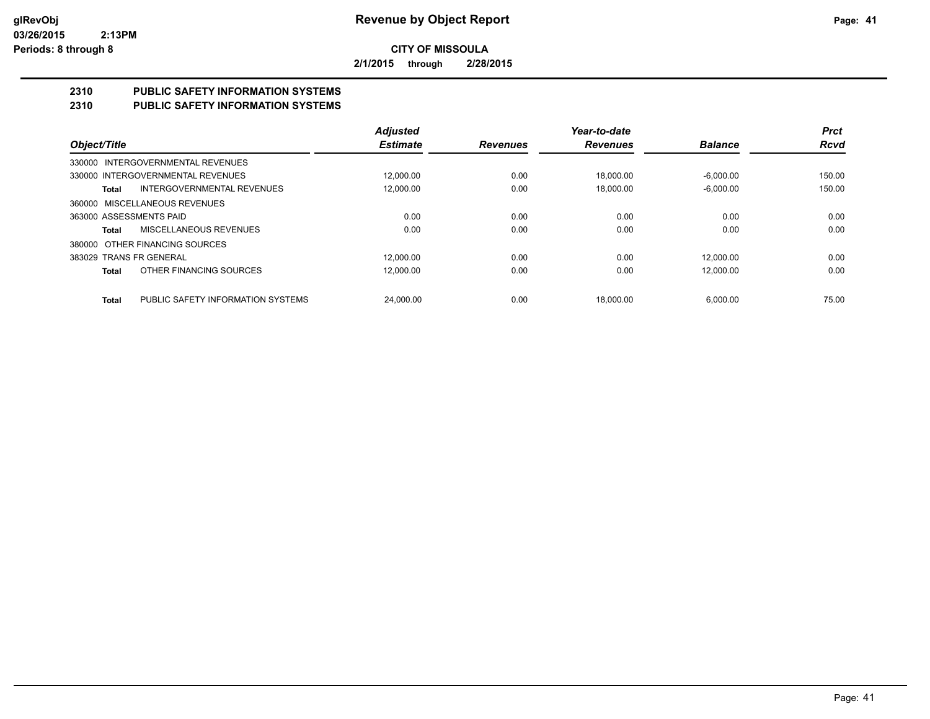**2/1/2015 through 2/28/2015**

### **2310 PUBLIC SAFETY INFORMATION SYSTEMS 2310 PUBLIC SAFETY INFORMATION SYSTEMS**

|                                |                                   | <b>Adjusted</b> |                 | Year-to-date    |                | <b>Prct</b> |
|--------------------------------|-----------------------------------|-----------------|-----------------|-----------------|----------------|-------------|
| Object/Title                   |                                   | <b>Estimate</b> | <b>Revenues</b> | <b>Revenues</b> | <b>Balance</b> | <b>Rcvd</b> |
|                                | 330000 INTERGOVERNMENTAL REVENUES |                 |                 |                 |                |             |
|                                | 330000 INTERGOVERNMENTAL REVENUES | 12.000.00       | 0.00            | 18.000.00       | $-6.000.00$    | 150.00      |
| Total                          | <b>INTERGOVERNMENTAL REVENUES</b> | 12,000.00       | 0.00            | 18.000.00       | $-6.000.00$    | 150.00      |
| 360000 MISCELLANEOUS REVENUES  |                                   |                 |                 |                 |                |             |
| 363000 ASSESSMENTS PAID        |                                   | 0.00            | 0.00            | 0.00            | 0.00           | 0.00        |
| Total                          | MISCELLANEOUS REVENUES            | 0.00            | 0.00            | 0.00            | 0.00           | 0.00        |
| 380000 OTHER FINANCING SOURCES |                                   |                 |                 |                 |                |             |
| 383029 TRANS FR GENERAL        |                                   | 12.000.00       | 0.00            | 0.00            | 12.000.00      | 0.00        |
| Total                          | OTHER FINANCING SOURCES           | 12.000.00       | 0.00            | 0.00            | 12.000.00      | 0.00        |
| <b>Total</b>                   | PUBLIC SAFETY INFORMATION SYSTEMS | 24.000.00       | 0.00            | 18.000.00       | 6.000.00       | 75.00       |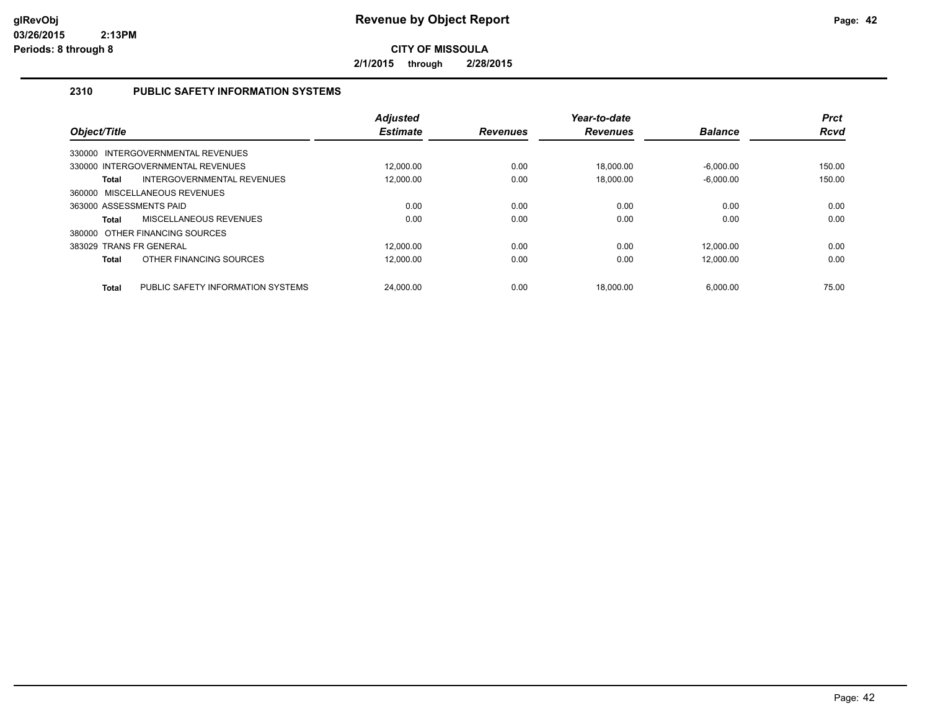**2/1/2015 through 2/28/2015**

# **2310 PUBLIC SAFETY INFORMATION SYSTEMS**

| Object/Title            |                                   | <b>Adjusted</b><br><b>Estimate</b> | <b>Revenues</b> | Year-to-date<br><b>Revenues</b> | <b>Balance</b> | <b>Prct</b><br><b>Rcvd</b> |
|-------------------------|-----------------------------------|------------------------------------|-----------------|---------------------------------|----------------|----------------------------|
|                         | 330000 INTERGOVERNMENTAL REVENUES |                                    |                 |                                 |                |                            |
|                         | 330000 INTERGOVERNMENTAL REVENUES | 12.000.00                          | 0.00            | 18.000.00                       | $-6.000.00$    | 150.00                     |
| <b>Total</b>            | INTERGOVERNMENTAL REVENUES        | 12.000.00                          | 0.00            | 18.000.00                       | $-6.000.00$    | 150.00                     |
|                         | 360000 MISCELLANEOUS REVENUES     |                                    |                 |                                 |                |                            |
| 363000 ASSESSMENTS PAID |                                   | 0.00                               | 0.00            | 0.00                            | 0.00           | 0.00                       |
| <b>Total</b>            | MISCELLANEOUS REVENUES            | 0.00                               | 0.00            | 0.00                            | 0.00           | 0.00                       |
|                         | 380000 OTHER FINANCING SOURCES    |                                    |                 |                                 |                |                            |
| 383029 TRANS FR GENERAL |                                   | 12.000.00                          | 0.00            | 0.00                            | 12.000.00      | 0.00                       |
| <b>Total</b>            | OTHER FINANCING SOURCES           | 12.000.00                          | 0.00            | 0.00                            | 12,000.00      | 0.00                       |
| <b>Total</b>            | PUBLIC SAFETY INFORMATION SYSTEMS | 24.000.00                          | 0.00            | 18.000.00                       | 6.000.00       | 75.00                      |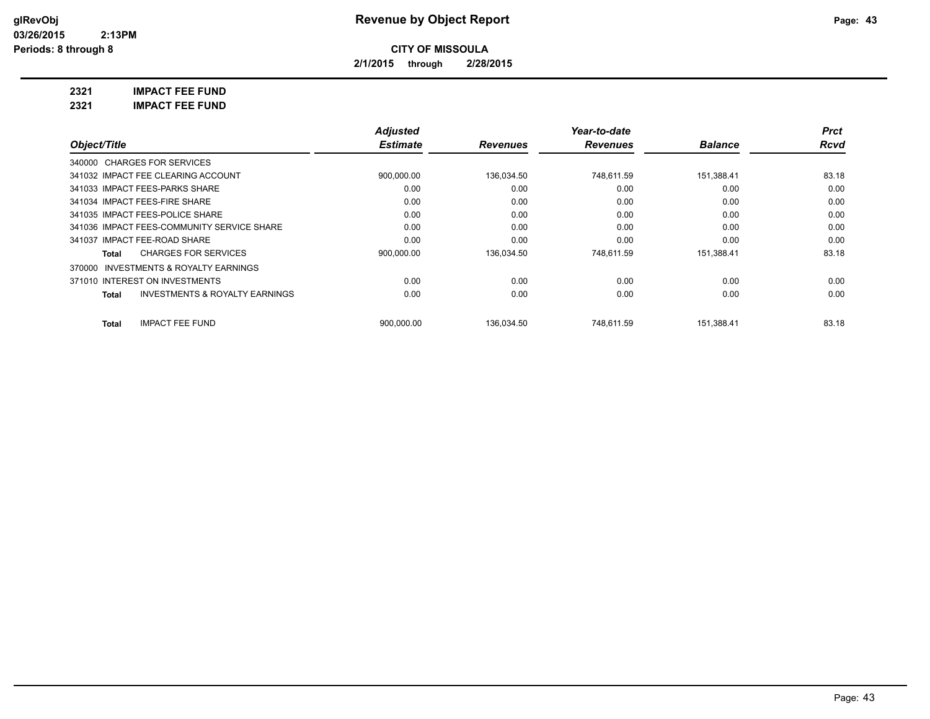**2/1/2015 through 2/28/2015**

**2321 IMPACT FEE FUND**

**2321 IMPACT FEE FUND**

|                                                           | <b>Adjusted</b> |                 | Year-to-date    |                | <b>Prct</b> |
|-----------------------------------------------------------|-----------------|-----------------|-----------------|----------------|-------------|
| Object/Title                                              | <b>Estimate</b> | <b>Revenues</b> | <b>Revenues</b> | <b>Balance</b> | Rcvd        |
| 340000 CHARGES FOR SERVICES                               |                 |                 |                 |                |             |
| 341032 IMPACT FEE CLEARING ACCOUNT                        | 900,000.00      | 136.034.50      | 748.611.59      | 151.388.41     | 83.18       |
| 341033 IMPACT FEES-PARKS SHARE                            | 0.00            | 0.00            | 0.00            | 0.00           | 0.00        |
| 341034 IMPACT FEES-FIRE SHARE                             | 0.00            | 0.00            | 0.00            | 0.00           | 0.00        |
| 341035 IMPACT FEES-POLICE SHARE                           | 0.00            | 0.00            | 0.00            | 0.00           | 0.00        |
| 341036 IMPACT FEES-COMMUNITY SERVICE SHARE                | 0.00            | 0.00            | 0.00            | 0.00           | 0.00        |
| 341037 IMPACT FEE-ROAD SHARE                              | 0.00            | 0.00            | 0.00            | 0.00           | 0.00        |
| <b>CHARGES FOR SERVICES</b><br>Total                      | 900,000.00      | 136,034.50      | 748.611.59      | 151,388.41     | 83.18       |
| 370000 INVESTMENTS & ROYALTY EARNINGS                     |                 |                 |                 |                |             |
| 371010 INTEREST ON INVESTMENTS                            | 0.00            | 0.00            | 0.00            | 0.00           | 0.00        |
| <b>INVESTMENTS &amp; ROYALTY EARNINGS</b><br><b>Total</b> | 0.00            | 0.00            | 0.00            | 0.00           | 0.00        |
| <b>IMPACT FEE FUND</b><br><b>Total</b>                    | 900.000.00      | 136.034.50      | 748.611.59      | 151.388.41     | 83.18       |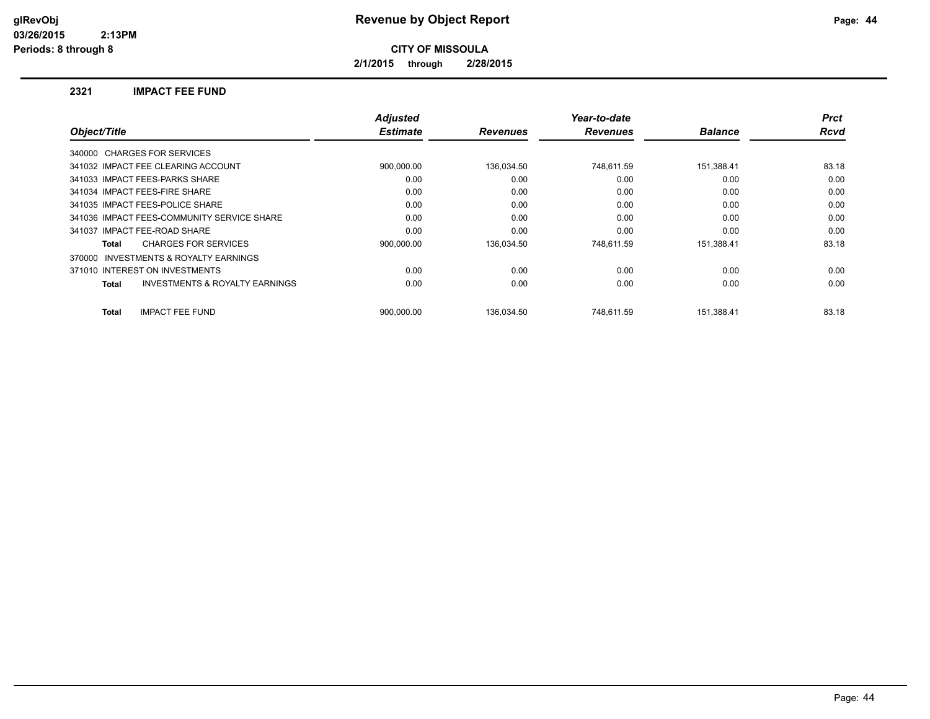**2/1/2015 through 2/28/2015**

# **2321 IMPACT FEE FUND**

|                                                    | <b>Adjusted</b> |                 | Year-to-date    |                | <b>Prct</b> |
|----------------------------------------------------|-----------------|-----------------|-----------------|----------------|-------------|
| Object/Title                                       | <b>Estimate</b> | <b>Revenues</b> | <b>Revenues</b> | <b>Balance</b> | <b>Rcvd</b> |
| 340000 CHARGES FOR SERVICES                        |                 |                 |                 |                |             |
| 341032 IMPACT FEE CLEARING ACCOUNT                 | 900,000.00      | 136,034.50      | 748,611.59      | 151,388.41     | 83.18       |
| 341033 IMPACT FEES-PARKS SHARE                     | 0.00            | 0.00            | 0.00            | 0.00           | 0.00        |
| 341034 IMPACT FEES-FIRE SHARE                      | 0.00            | 0.00            | 0.00            | 0.00           | 0.00        |
| 341035 IMPACT FEES-POLICE SHARE                    | 0.00            | 0.00            | 0.00            | 0.00           | 0.00        |
| 341036 IMPACT FEES-COMMUNITY SERVICE SHARE         | 0.00            | 0.00            | 0.00            | 0.00           | 0.00        |
| 341037 IMPACT FEE-ROAD SHARE                       | 0.00            | 0.00            | 0.00            | 0.00           | 0.00        |
| <b>CHARGES FOR SERVICES</b><br>Total               | 900,000.00      | 136.034.50      | 748.611.59      | 151.388.41     | 83.18       |
| INVESTMENTS & ROYALTY EARNINGS<br>370000           |                 |                 |                 |                |             |
| 371010 INTEREST ON INVESTMENTS                     | 0.00            | 0.00            | 0.00            | 0.00           | 0.00        |
| <b>INVESTMENTS &amp; ROYALTY EARNINGS</b><br>Total | 0.00            | 0.00            | 0.00            | 0.00           | 0.00        |
| <b>IMPACT FEE FUND</b><br>Total                    | 900.000.00      | 136.034.50      | 748.611.59      | 151,388.41     | 83.18       |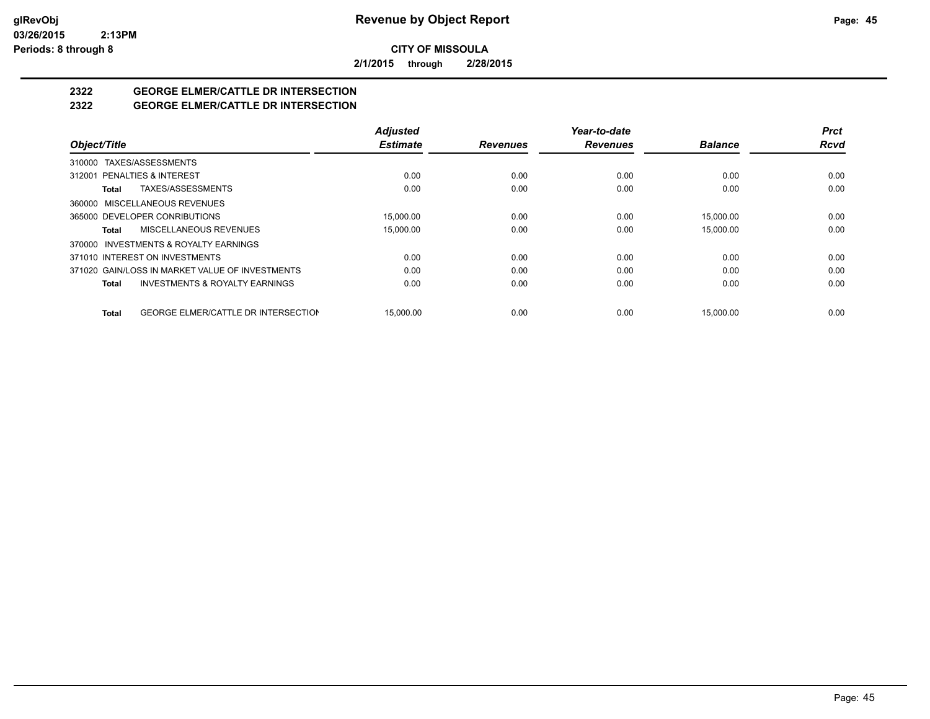**2/1/2015 through 2/28/2015**

# **2322 GEORGE ELMER/CATTLE DR INTERSECTION**

# **2322 GEORGE ELMER/CATTLE DR INTERSECTION**

|                                                            | <b>Adjusted</b> |                 | Year-to-date    |                | <b>Prct</b> |
|------------------------------------------------------------|-----------------|-----------------|-----------------|----------------|-------------|
| Object/Title                                               | <b>Estimate</b> | <b>Revenues</b> | <b>Revenues</b> | <b>Balance</b> | Rcvd        |
| 310000 TAXES/ASSESSMENTS                                   |                 |                 |                 |                |             |
| 312001 PENALTIES & INTEREST                                | 0.00            | 0.00            | 0.00            | 0.00           | 0.00        |
| TAXES/ASSESSMENTS<br>Total                                 | 0.00            | 0.00            | 0.00            | 0.00           | 0.00        |
| 360000 MISCELLANEOUS REVENUES                              |                 |                 |                 |                |             |
| 365000 DEVELOPER CONRIBUTIONS                              | 15.000.00       | 0.00            | 0.00            | 15.000.00      | 0.00        |
| MISCELLANEOUS REVENUES<br>Total                            | 15.000.00       | 0.00            | 0.00            | 15.000.00      | 0.00        |
| 370000 INVESTMENTS & ROYALTY EARNINGS                      |                 |                 |                 |                |             |
| 371010 INTEREST ON INVESTMENTS                             | 0.00            | 0.00            | 0.00            | 0.00           | 0.00        |
| 371020 GAIN/LOSS IN MARKET VALUE OF INVESTMENTS            | 0.00            | 0.00            | 0.00            | 0.00           | 0.00        |
| <b>INVESTMENTS &amp; ROYALTY EARNINGS</b><br>Total         | 0.00            | 0.00            | 0.00            | 0.00           | 0.00        |
| <b>GEORGE ELMER/CATTLE DR INTERSECTION</b><br><b>Total</b> | 15.000.00       | 0.00            | 0.00            | 15.000.00      | 0.00        |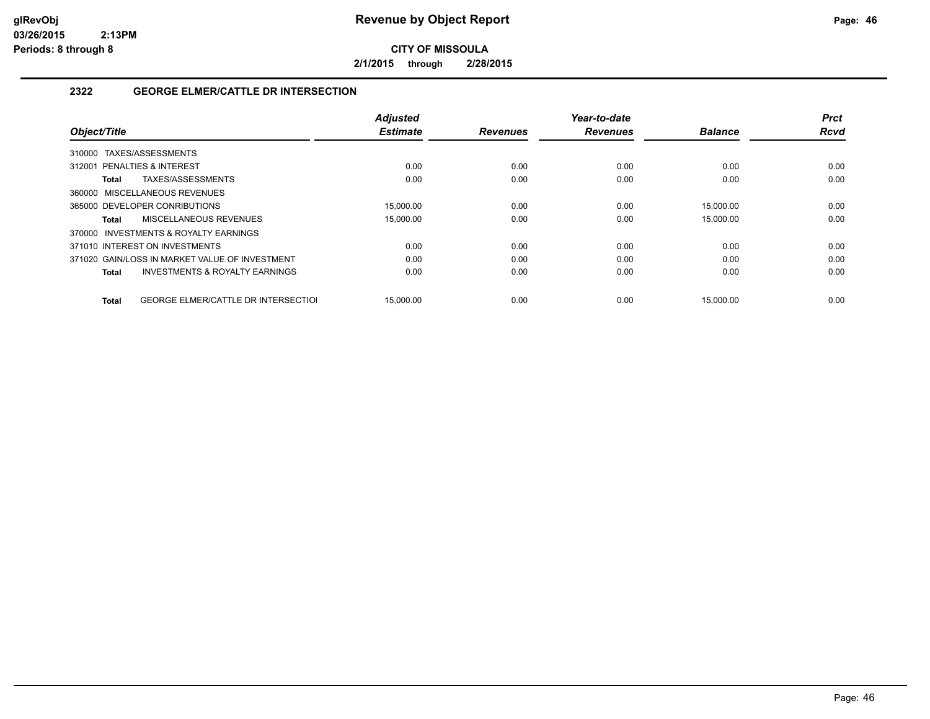**2/1/2015 through 2/28/2015**

# **2322 GEORGE ELMER/CATTLE DR INTERSECTION**

| Object/Title                                        | <b>Adjusted</b><br><b>Estimate</b> | <b>Revenues</b> | Year-to-date<br><b>Revenues</b> | <b>Balance</b> | <b>Prct</b><br><b>Rcvd</b> |
|-----------------------------------------------------|------------------------------------|-----------------|---------------------------------|----------------|----------------------------|
|                                                     |                                    |                 |                                 |                |                            |
| TAXES/ASSESSMENTS<br>310000                         |                                    |                 |                                 |                |                            |
| 312001 PENALTIES & INTEREST                         | 0.00                               | 0.00            | 0.00                            | 0.00           | 0.00                       |
| TAXES/ASSESSMENTS<br>Total                          | 0.00                               | 0.00            | 0.00                            | 0.00           | 0.00                       |
| 360000 MISCELLANEOUS REVENUES                       |                                    |                 |                                 |                |                            |
| 365000 DEVELOPER CONRIBUTIONS                       | 15.000.00                          | 0.00            | 0.00                            | 15.000.00      | 0.00                       |
| MISCELLANEOUS REVENUES<br>Total                     | 15,000.00                          | 0.00            | 0.00                            | 15,000.00      | 0.00                       |
| 370000 INVESTMENTS & ROYALTY EARNINGS               |                                    |                 |                                 |                |                            |
| 371010 INTEREST ON INVESTMENTS                      | 0.00                               | 0.00            | 0.00                            | 0.00           | 0.00                       |
| 371020 GAIN/LOSS IN MARKET VALUE OF INVESTMENT      | 0.00                               | 0.00            | 0.00                            | 0.00           | 0.00                       |
| <b>INVESTMENTS &amp; ROYALTY EARNINGS</b><br>Total  | 0.00                               | 0.00            | 0.00                            | 0.00           | 0.00                       |
|                                                     |                                    |                 |                                 |                |                            |
| <b>GEORGE ELMER/CATTLE DR INTERSECTIOL</b><br>Total | 15.000.00                          | 0.00            | 0.00                            | 15.000.00      | 0.00                       |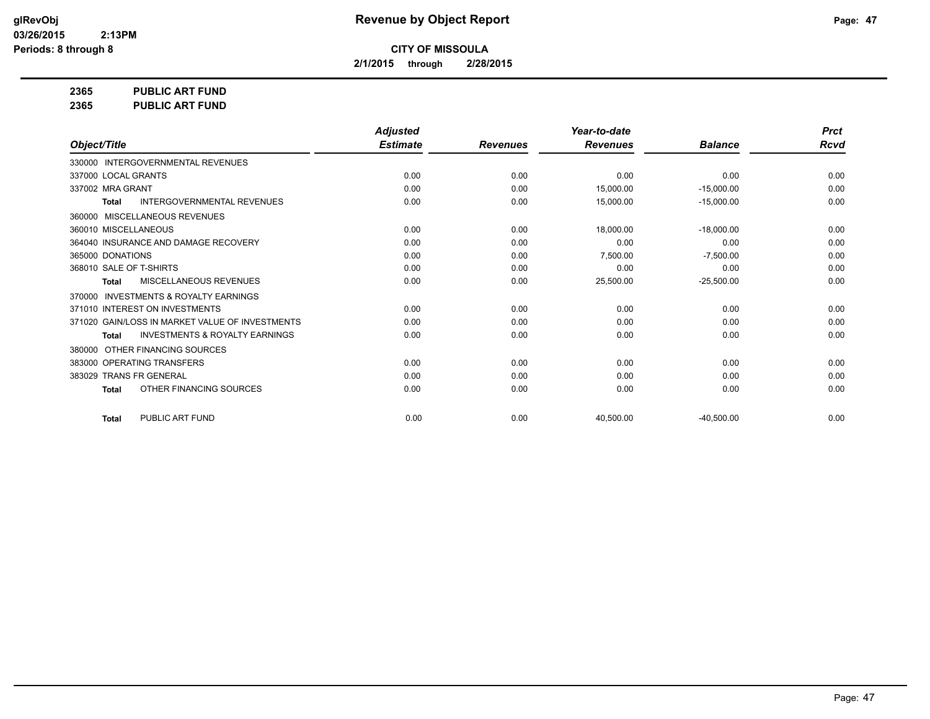**2/1/2015 through 2/28/2015**

**2365 PUBLIC ART FUND**

**2365 PUBLIC ART FUND**

|                                                           | <b>Adjusted</b> |                 | Year-to-date    |                | <b>Prct</b> |
|-----------------------------------------------------------|-----------------|-----------------|-----------------|----------------|-------------|
| Object/Title                                              | <b>Estimate</b> | <b>Revenues</b> | <b>Revenues</b> | <b>Balance</b> | <b>Rcvd</b> |
| 330000 INTERGOVERNMENTAL REVENUES                         |                 |                 |                 |                |             |
| 337000 LOCAL GRANTS                                       | 0.00            | 0.00            | 0.00            | 0.00           | 0.00        |
| 337002 MRA GRANT                                          | 0.00            | 0.00            | 15,000.00       | $-15,000.00$   | 0.00        |
| <b>INTERGOVERNMENTAL REVENUES</b><br><b>Total</b>         | 0.00            | 0.00            | 15,000.00       | $-15,000.00$   | 0.00        |
| MISCELLANEOUS REVENUES<br>360000                          |                 |                 |                 |                |             |
| 360010 MISCELLANEOUS                                      | 0.00            | 0.00            | 18.000.00       | $-18.000.00$   | 0.00        |
| 364040 INSURANCE AND DAMAGE RECOVERY                      | 0.00            | 0.00            | 0.00            | 0.00           | 0.00        |
| 365000 DONATIONS                                          | 0.00            | 0.00            | 7,500.00        | $-7,500.00$    | 0.00        |
| 368010 SALE OF T-SHIRTS                                   | 0.00            | 0.00            | 0.00            | 0.00           | 0.00        |
| MISCELLANEOUS REVENUES<br><b>Total</b>                    | 0.00            | 0.00            | 25,500.00       | $-25,500.00$   | 0.00        |
| <b>INVESTMENTS &amp; ROYALTY EARNINGS</b><br>370000       |                 |                 |                 |                |             |
| 371010 INTEREST ON INVESTMENTS                            | 0.00            | 0.00            | 0.00            | 0.00           | 0.00        |
| 371020 GAIN/LOSS IN MARKET VALUE OF INVESTMENTS           | 0.00            | 0.00            | 0.00            | 0.00           | 0.00        |
| <b>INVESTMENTS &amp; ROYALTY EARNINGS</b><br><b>Total</b> | 0.00            | 0.00            | 0.00            | 0.00           | 0.00        |
| OTHER FINANCING SOURCES<br>380000                         |                 |                 |                 |                |             |
| 383000 OPERATING TRANSFERS                                | 0.00            | 0.00            | 0.00            | 0.00           | 0.00        |
| 383029 TRANS FR GENERAL                                   | 0.00            | 0.00            | 0.00            | 0.00           | 0.00        |
| OTHER FINANCING SOURCES<br><b>Total</b>                   | 0.00            | 0.00            | 0.00            | 0.00           | 0.00        |
| PUBLIC ART FUND<br><b>Total</b>                           | 0.00            | 0.00            | 40,500.00       | $-40,500.00$   | 0.00        |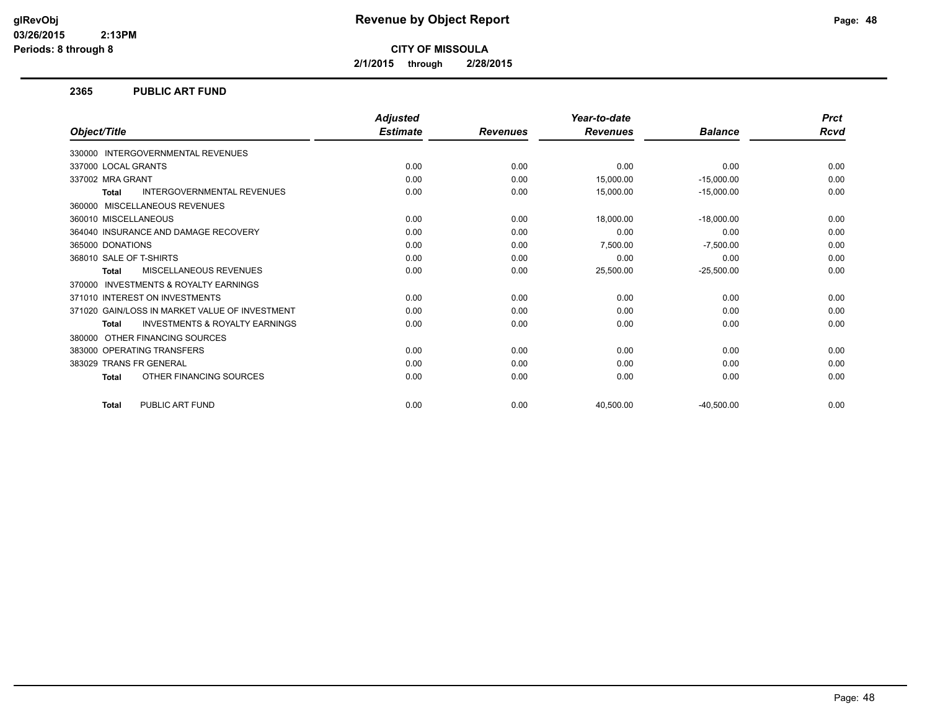**2/1/2015 through 2/28/2015**

# **2365 PUBLIC ART FUND**

|                                                           | <b>Adjusted</b> |                 | Year-to-date    |                | <b>Prct</b> |
|-----------------------------------------------------------|-----------------|-----------------|-----------------|----------------|-------------|
| Object/Title                                              | <b>Estimate</b> | <b>Revenues</b> | <b>Revenues</b> | <b>Balance</b> | Rcvd        |
| 330000 INTERGOVERNMENTAL REVENUES                         |                 |                 |                 |                |             |
| 337000 LOCAL GRANTS                                       | 0.00            | 0.00            | 0.00            | 0.00           | 0.00        |
| 337002 MRA GRANT                                          | 0.00            | 0.00            | 15,000.00       | $-15,000.00$   | 0.00        |
| <b>INTERGOVERNMENTAL REVENUES</b><br><b>Total</b>         | 0.00            | 0.00            | 15,000.00       | $-15,000.00$   | 0.00        |
| MISCELLANEOUS REVENUES<br>360000                          |                 |                 |                 |                |             |
| 360010 MISCELLANEOUS                                      | 0.00            | 0.00            | 18,000.00       | $-18,000.00$   | 0.00        |
| 364040 INSURANCE AND DAMAGE RECOVERY                      | 0.00            | 0.00            | 0.00            | 0.00           | 0.00        |
| 365000 DONATIONS                                          | 0.00            | 0.00            | 7,500.00        | $-7,500.00$    | 0.00        |
| 368010 SALE OF T-SHIRTS                                   | 0.00            | 0.00            | 0.00            | 0.00           | 0.00        |
| <b>MISCELLANEOUS REVENUES</b><br><b>Total</b>             | 0.00            | 0.00            | 25,500.00       | $-25,500.00$   | 0.00        |
| INVESTMENTS & ROYALTY EARNINGS<br>370000                  |                 |                 |                 |                |             |
| 371010 INTEREST ON INVESTMENTS                            | 0.00            | 0.00            | 0.00            | 0.00           | 0.00        |
| 371020 GAIN/LOSS IN MARKET VALUE OF INVESTMENT            | 0.00            | 0.00            | 0.00            | 0.00           | 0.00        |
| <b>INVESTMENTS &amp; ROYALTY EARNINGS</b><br><b>Total</b> | 0.00            | 0.00            | 0.00            | 0.00           | 0.00        |
| OTHER FINANCING SOURCES<br>380000                         |                 |                 |                 |                |             |
| 383000 OPERATING TRANSFERS                                | 0.00            | 0.00            | 0.00            | 0.00           | 0.00        |
| 383029 TRANS FR GENERAL                                   | 0.00            | 0.00            | 0.00            | 0.00           | 0.00        |
| OTHER FINANCING SOURCES<br><b>Total</b>                   | 0.00            | 0.00            | 0.00            | 0.00           | 0.00        |
| PUBLIC ART FUND<br><b>Total</b>                           | 0.00            | 0.00            | 40,500.00       | $-40,500.00$   | 0.00        |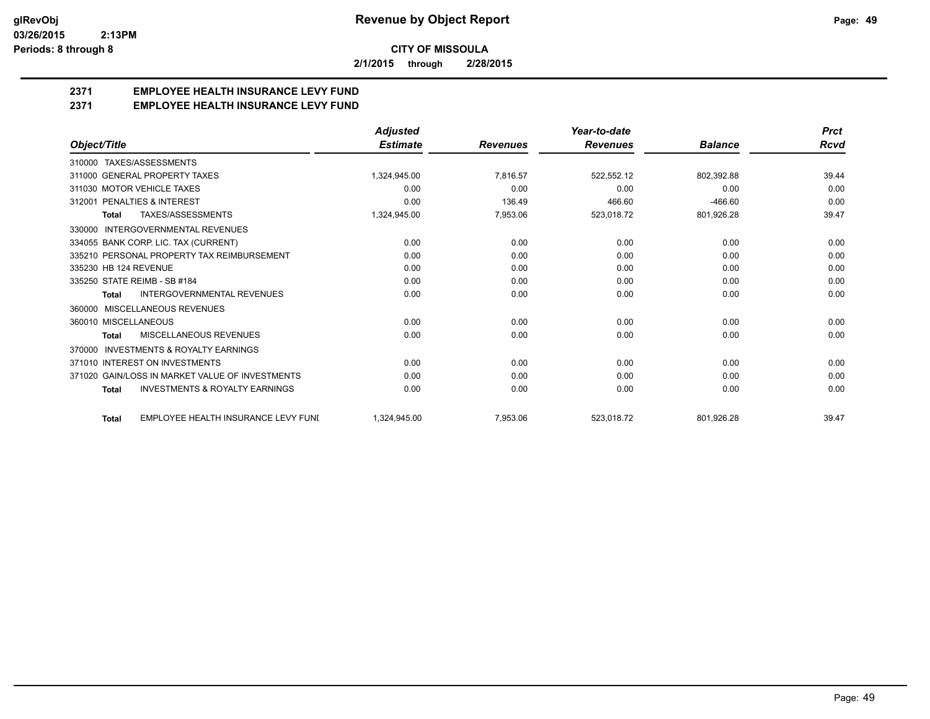**2/1/2015 through 2/28/2015**

# **2371 EMPLOYEE HEALTH INSURANCE LEVY FUND**

**2371 EMPLOYEE HEALTH INSURANCE LEVY FUND**

|                                                           | <b>Adjusted</b> |                 | Year-to-date    |                | <b>Prct</b> |
|-----------------------------------------------------------|-----------------|-----------------|-----------------|----------------|-------------|
| Object/Title                                              | <b>Estimate</b> | <b>Revenues</b> | <b>Revenues</b> | <b>Balance</b> | Rcvd        |
| 310000 TAXES/ASSESSMENTS                                  |                 |                 |                 |                |             |
| 311000 GENERAL PROPERTY TAXES                             | 1,324,945.00    | 7.816.57        | 522,552.12      | 802,392.88     | 39.44       |
| 311030 MOTOR VEHICLE TAXES                                | 0.00            | 0.00            | 0.00            | 0.00           | 0.00        |
| 312001 PENALTIES & INTEREST                               | 0.00            | 136.49          | 466.60          | $-466.60$      | 0.00        |
| <b>TAXES/ASSESSMENTS</b><br><b>Total</b>                  | 1,324,945.00    | 7,953.06        | 523,018.72      | 801,926.28     | 39.47       |
| <b>INTERGOVERNMENTAL REVENUES</b><br>330000               |                 |                 |                 |                |             |
| 334055 BANK CORP. LIC. TAX (CURRENT)                      | 0.00            | 0.00            | 0.00            | 0.00           | 0.00        |
| 335210 PERSONAL PROPERTY TAX REIMBURSEMENT                | 0.00            | 0.00            | 0.00            | 0.00           | 0.00        |
| 335230 HB 124 REVENUE                                     | 0.00            | 0.00            | 0.00            | 0.00           | 0.00        |
| 335250 STATE REIMB - SB #184                              | 0.00            | 0.00            | 0.00            | 0.00           | 0.00        |
| <b>INTERGOVERNMENTAL REVENUES</b><br><b>Total</b>         | 0.00            | 0.00            | 0.00            | 0.00           | 0.00        |
| MISCELLANEOUS REVENUES<br>360000                          |                 |                 |                 |                |             |
| 360010 MISCELLANEOUS                                      | 0.00            | 0.00            | 0.00            | 0.00           | 0.00        |
| <b>MISCELLANEOUS REVENUES</b><br><b>Total</b>             | 0.00            | 0.00            | 0.00            | 0.00           | 0.00        |
| <b>INVESTMENTS &amp; ROYALTY EARNINGS</b><br>370000       |                 |                 |                 |                |             |
| 371010 INTEREST ON INVESTMENTS                            | 0.00            | 0.00            | 0.00            | 0.00           | 0.00        |
| 371020 GAIN/LOSS IN MARKET VALUE OF INVESTMENTS           | 0.00            | 0.00            | 0.00            | 0.00           | 0.00        |
| <b>INVESTMENTS &amp; ROYALTY EARNINGS</b><br><b>Total</b> | 0.00            | 0.00            | 0.00            | 0.00           | 0.00        |
| EMPLOYEE HEALTH INSURANCE LEVY FUNI<br><b>Total</b>       | 1,324,945.00    | 7,953.06        | 523,018.72      | 801,926.28     | 39.47       |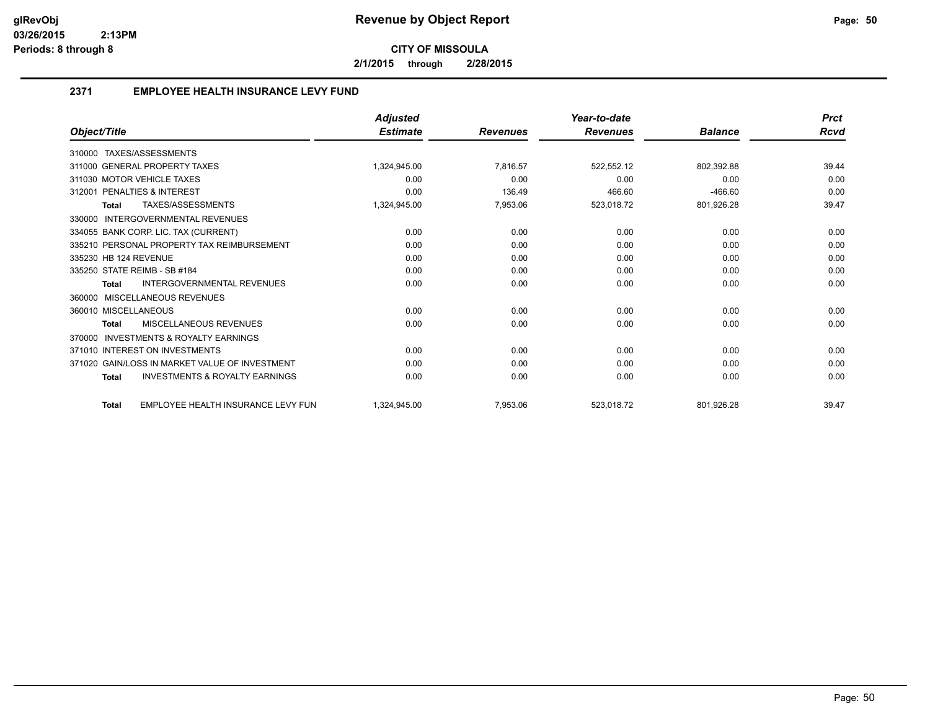**2/1/2015 through 2/28/2015**

# **2371 EMPLOYEE HEALTH INSURANCE LEVY FUND**

|                                                           | <b>Adjusted</b> |                 | Year-to-date    |                | <b>Prct</b> |
|-----------------------------------------------------------|-----------------|-----------------|-----------------|----------------|-------------|
| Object/Title                                              | <b>Estimate</b> | <b>Revenues</b> | <b>Revenues</b> | <b>Balance</b> | <b>Rcvd</b> |
| TAXES/ASSESSMENTS<br>310000                               |                 |                 |                 |                |             |
| 311000 GENERAL PROPERTY TAXES                             | 1,324,945.00    | 7,816.57        | 522,552.12      | 802,392.88     | 39.44       |
| 311030 MOTOR VEHICLE TAXES                                | 0.00            | 0.00            | 0.00            | 0.00           | 0.00        |
| 312001 PENALTIES & INTEREST                               | 0.00            | 136.49          | 466.60          | $-466.60$      | 0.00        |
| TAXES/ASSESSMENTS<br><b>Total</b>                         | 1,324,945.00    | 7,953.06        | 523,018.72      | 801,926.28     | 39.47       |
| INTERGOVERNMENTAL REVENUES<br>330000                      |                 |                 |                 |                |             |
| 334055 BANK CORP. LIC. TAX (CURRENT)                      | 0.00            | 0.00            | 0.00            | 0.00           | 0.00        |
| 335210 PERSONAL PROPERTY TAX REIMBURSEMENT                | 0.00            | 0.00            | 0.00            | 0.00           | 0.00        |
| 335230 HB 124 REVENUE                                     | 0.00            | 0.00            | 0.00            | 0.00           | 0.00        |
| 335250 STATE REIMB - SB #184                              | 0.00            | 0.00            | 0.00            | 0.00           | 0.00        |
| INTERGOVERNMENTAL REVENUES<br><b>Total</b>                | 0.00            | 0.00            | 0.00            | 0.00           | 0.00        |
| MISCELLANEOUS REVENUES<br>360000                          |                 |                 |                 |                |             |
| 360010 MISCELLANEOUS                                      | 0.00            | 0.00            | 0.00            | 0.00           | 0.00        |
| <b>MISCELLANEOUS REVENUES</b><br><b>Total</b>             | 0.00            | 0.00            | 0.00            | 0.00           | 0.00        |
| <b>INVESTMENTS &amp; ROYALTY EARNINGS</b><br>370000       |                 |                 |                 |                |             |
| 371010 INTEREST ON INVESTMENTS                            | 0.00            | 0.00            | 0.00            | 0.00           | 0.00        |
| 371020 GAIN/LOSS IN MARKET VALUE OF INVESTMENT            | 0.00            | 0.00            | 0.00            | 0.00           | 0.00        |
| <b>INVESTMENTS &amp; ROYALTY EARNINGS</b><br><b>Total</b> | 0.00            | 0.00            | 0.00            | 0.00           | 0.00        |
| EMPLOYEE HEALTH INSURANCE LEVY FUN<br><b>Total</b>        | 1.324.945.00    | 7,953.06        | 523,018.72      | 801,926.28     | 39.47       |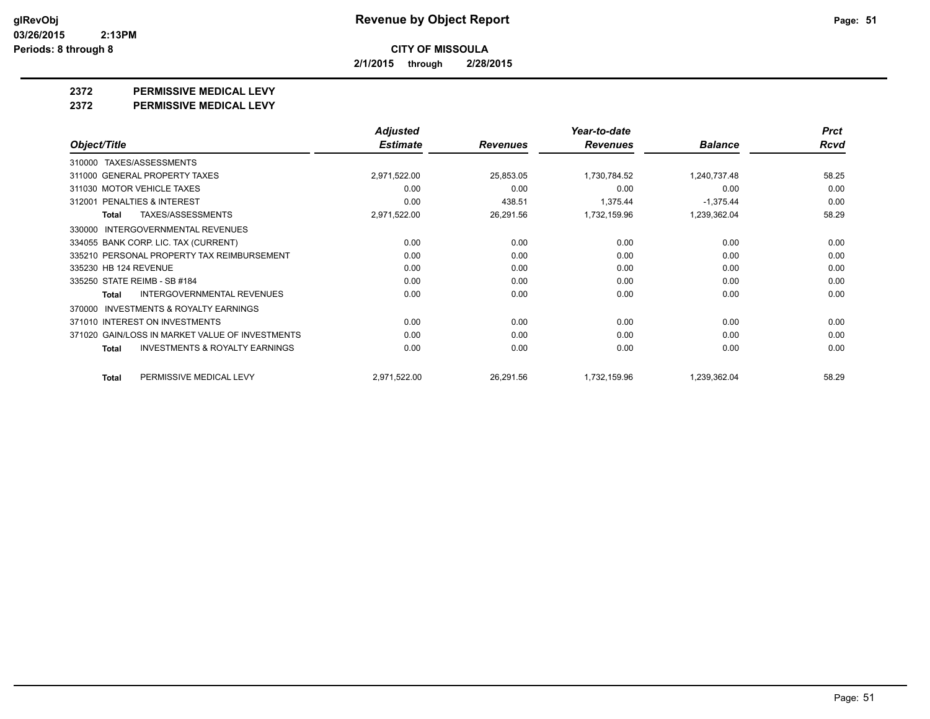**2/1/2015 through 2/28/2015**

**2372 PERMISSIVE MEDICAL LEVY**

**2372 PERMISSIVE MEDICAL LEVY**

|                                                     | <b>Adjusted</b> |                 | Year-to-date    |                | <b>Prct</b> |
|-----------------------------------------------------|-----------------|-----------------|-----------------|----------------|-------------|
| Object/Title                                        | <b>Estimate</b> | <b>Revenues</b> | <b>Revenues</b> | <b>Balance</b> | Rcvd        |
| 310000 TAXES/ASSESSMENTS                            |                 |                 |                 |                |             |
| 311000 GENERAL PROPERTY TAXES                       | 2,971,522.00    | 25,853.05       | 1,730,784.52    | 1,240,737.48   | 58.25       |
| 311030 MOTOR VEHICLE TAXES                          | 0.00            | 0.00            | 0.00            | 0.00           | 0.00        |
| 312001 PENALTIES & INTEREST                         | 0.00            | 438.51          | 1,375.44        | $-1,375.44$    | 0.00        |
| TAXES/ASSESSMENTS<br><b>Total</b>                   | 2,971,522.00    | 26,291.56       | 1,732,159.96    | 1,239,362.04   | 58.29       |
| INTERGOVERNMENTAL REVENUES<br>330000                |                 |                 |                 |                |             |
| 334055 BANK CORP. LIC. TAX (CURRENT)                | 0.00            | 0.00            | 0.00            | 0.00           | 0.00        |
| 335210 PERSONAL PROPERTY TAX REIMBURSEMENT          | 0.00            | 0.00            | 0.00            | 0.00           | 0.00        |
| 335230 HB 124 REVENUE                               | 0.00            | 0.00            | 0.00            | 0.00           | 0.00        |
| 335250 STATE REIMB - SB #184                        | 0.00            | 0.00            | 0.00            | 0.00           | 0.00        |
| <b>INTERGOVERNMENTAL REVENUES</b><br>Total          | 0.00            | 0.00            | 0.00            | 0.00           | 0.00        |
| <b>INVESTMENTS &amp; ROYALTY EARNINGS</b><br>370000 |                 |                 |                 |                |             |
| 371010 INTEREST ON INVESTMENTS                      | 0.00            | 0.00            | 0.00            | 0.00           | 0.00        |
| 371020 GAIN/LOSS IN MARKET VALUE OF INVESTMENTS     | 0.00            | 0.00            | 0.00            | 0.00           | 0.00        |
| <b>INVESTMENTS &amp; ROYALTY EARNINGS</b><br>Total  | 0.00            | 0.00            | 0.00            | 0.00           | 0.00        |
| PERMISSIVE MEDICAL LEVY<br><b>Total</b>             | 2,971,522.00    | 26,291.56       | 1,732,159.96    | 1,239,362.04   | 58.29       |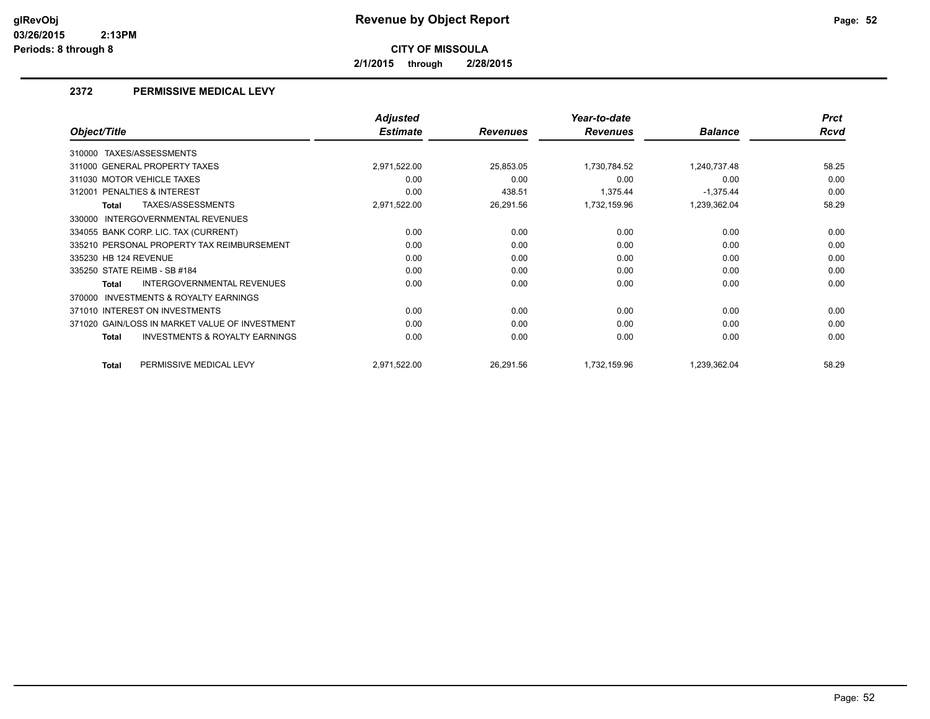**2/1/2015 through 2/28/2015**

# **2372 PERMISSIVE MEDICAL LEVY**

|                                                           | <b>Adjusted</b> |                 | Year-to-date    |                | <b>Prct</b> |
|-----------------------------------------------------------|-----------------|-----------------|-----------------|----------------|-------------|
| Object/Title                                              | <b>Estimate</b> | <b>Revenues</b> | <b>Revenues</b> | <b>Balance</b> | <b>Rcvd</b> |
| TAXES/ASSESSMENTS<br>310000                               |                 |                 |                 |                |             |
| 311000 GENERAL PROPERTY TAXES                             | 2,971,522.00    | 25,853.05       | 1,730,784.52    | 1,240,737.48   | 58.25       |
| 311030 MOTOR VEHICLE TAXES                                | 0.00            | 0.00            | 0.00            | 0.00           | 0.00        |
| 312001 PENALTIES & INTEREST                               | 0.00            | 438.51          | 1,375.44        | $-1,375.44$    | 0.00        |
| TAXES/ASSESSMENTS<br><b>Total</b>                         | 2,971,522.00    | 26,291.56       | 1,732,159.96    | 1,239,362.04   | 58.29       |
| INTERGOVERNMENTAL REVENUES<br>330000                      |                 |                 |                 |                |             |
| 334055 BANK CORP. LIC. TAX (CURRENT)                      | 0.00            | 0.00            | 0.00            | 0.00           | 0.00        |
| 335210 PERSONAL PROPERTY TAX REIMBURSEMENT                | 0.00            | 0.00            | 0.00            | 0.00           | 0.00        |
| 335230 HB 124 REVENUE                                     | 0.00            | 0.00            | 0.00            | 0.00           | 0.00        |
| 335250 STATE REIMB - SB #184                              | 0.00            | 0.00            | 0.00            | 0.00           | 0.00        |
| <b>INTERGOVERNMENTAL REVENUES</b><br><b>Total</b>         | 0.00            | 0.00            | 0.00            | 0.00           | 0.00        |
| <b>INVESTMENTS &amp; ROYALTY EARNINGS</b><br>370000       |                 |                 |                 |                |             |
| 371010 INTEREST ON INVESTMENTS                            | 0.00            | 0.00            | 0.00            | 0.00           | 0.00        |
| 371020 GAIN/LOSS IN MARKET VALUE OF INVESTMENT            | 0.00            | 0.00            | 0.00            | 0.00           | 0.00        |
| <b>INVESTMENTS &amp; ROYALTY EARNINGS</b><br><b>Total</b> | 0.00            | 0.00            | 0.00            | 0.00           | 0.00        |
| PERMISSIVE MEDICAL LEVY<br><b>Total</b>                   | 2,971,522.00    | 26,291.56       | 1,732,159.96    | 1,239,362.04   | 58.29       |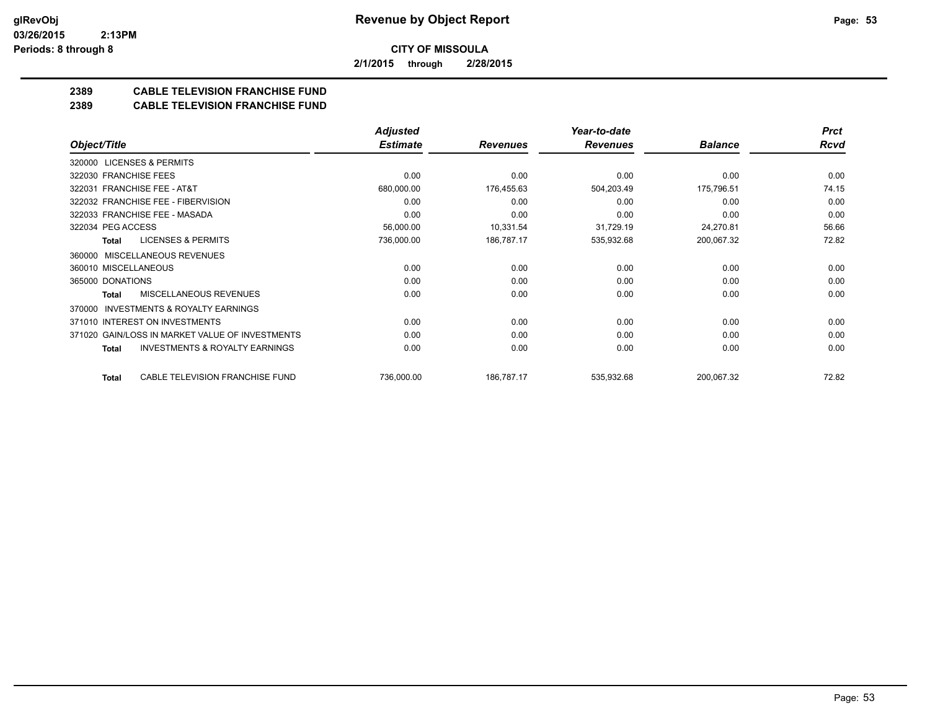**2/1/2015 through 2/28/2015**

# **2389 CABLE TELEVISION FRANCHISE FUND**

# **2389 CABLE TELEVISION FRANCHISE FUND**

|                                                     | <b>Adjusted</b> |                 | Year-to-date    |                | <b>Prct</b> |
|-----------------------------------------------------|-----------------|-----------------|-----------------|----------------|-------------|
| Object/Title                                        | <b>Estimate</b> | <b>Revenues</b> | <b>Revenues</b> | <b>Balance</b> | <b>Rcvd</b> |
| 320000 LICENSES & PERMITS                           |                 |                 |                 |                |             |
| 322030 FRANCHISE FEES                               | 0.00            | 0.00            | 0.00            | 0.00           | 0.00        |
| 322031 FRANCHISE FEE - AT&T                         | 680,000.00      | 176,455.63      | 504,203.49      | 175,796.51     | 74.15       |
| 322032 FRANCHISE FEE - FIBERVISION                  | 0.00            | 0.00            | 0.00            | 0.00           | 0.00        |
| 322033 FRANCHISE FEE - MASADA                       | 0.00            | 0.00            | 0.00            | 0.00           | 0.00        |
| 322034 PEG ACCESS                                   | 56,000.00       | 10,331.54       | 31,729.19       | 24,270.81      | 56.66       |
| <b>LICENSES &amp; PERMITS</b><br>Total              | 736,000.00      | 186,787.17      | 535,932.68      | 200,067.32     | 72.82       |
| 360000 MISCELLANEOUS REVENUES                       |                 |                 |                 |                |             |
| 360010 MISCELLANEOUS                                | 0.00            | 0.00            | 0.00            | 0.00           | 0.00        |
| 365000 DONATIONS                                    | 0.00            | 0.00            | 0.00            | 0.00           | 0.00        |
| <b>MISCELLANEOUS REVENUES</b><br>Total              | 0.00            | 0.00            | 0.00            | 0.00           | 0.00        |
| <b>INVESTMENTS &amp; ROYALTY EARNINGS</b><br>370000 |                 |                 |                 |                |             |
| 371010 INTEREST ON INVESTMENTS                      | 0.00            | 0.00            | 0.00            | 0.00           | 0.00        |
| 371020 GAIN/LOSS IN MARKET VALUE OF INVESTMENTS     | 0.00            | 0.00            | 0.00            | 0.00           | 0.00        |
| <b>INVESTMENTS &amp; ROYALTY EARNINGS</b><br>Total  | 0.00            | 0.00            | 0.00            | 0.00           | 0.00        |
| CABLE TELEVISION FRANCHISE FUND<br>Total            | 736,000.00      | 186,787.17      | 535,932.68      | 200,067.32     | 72.82       |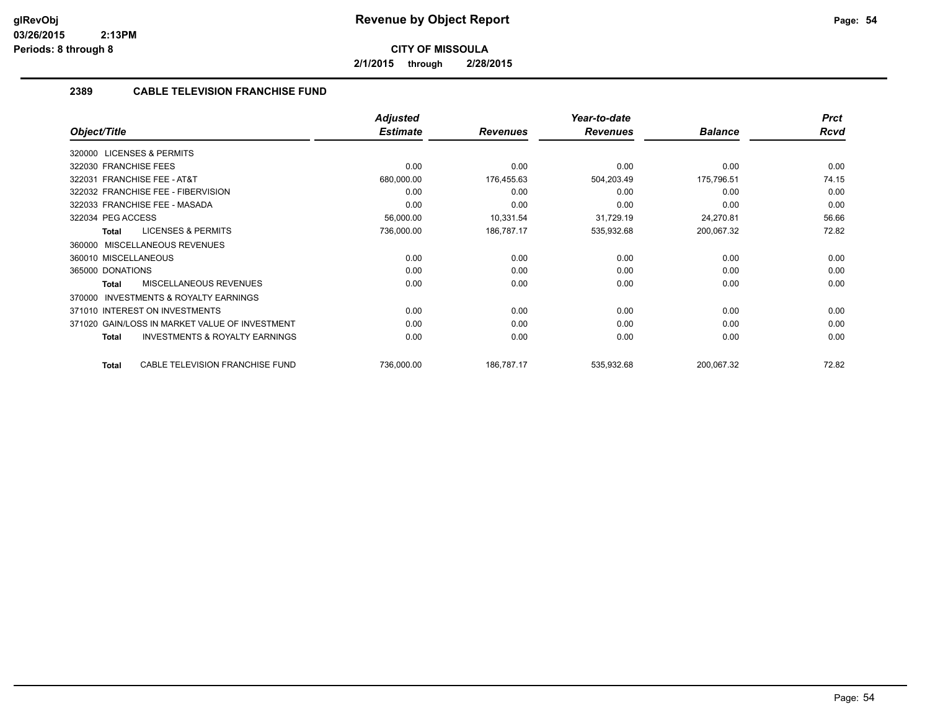**2/1/2015 through 2/28/2015**

# **2389 CABLE TELEVISION FRANCHISE FUND**

|                                                     | <b>Adjusted</b> |                 | Year-to-date    |                | <b>Prct</b> |
|-----------------------------------------------------|-----------------|-----------------|-----------------|----------------|-------------|
| Object/Title                                        | <b>Estimate</b> | <b>Revenues</b> | <b>Revenues</b> | <b>Balance</b> | <b>Rcvd</b> |
| 320000 LICENSES & PERMITS                           |                 |                 |                 |                |             |
| 322030 FRANCHISE FEES                               | 0.00            | 0.00            | 0.00            | 0.00           | 0.00        |
| 322031 FRANCHISE FEE - AT&T                         | 680,000.00      | 176,455.63      | 504,203.49      | 175,796.51     | 74.15       |
| 322032 FRANCHISE FEE - FIBERVISION                  | 0.00            | 0.00            | 0.00            | 0.00           | 0.00        |
| 322033 FRANCHISE FEE - MASADA                       | 0.00            | 0.00            | 0.00            | 0.00           | 0.00        |
| 322034 PEG ACCESS                                   | 56,000.00       | 10,331.54       | 31,729.19       | 24,270.81      | 56.66       |
| <b>LICENSES &amp; PERMITS</b><br>Total              | 736,000.00      | 186,787.17      | 535,932.68      | 200,067.32     | 72.82       |
| <b>MISCELLANEOUS REVENUES</b><br>360000             |                 |                 |                 |                |             |
| 360010 MISCELLANEOUS                                | 0.00            | 0.00            | 0.00            | 0.00           | 0.00        |
| 365000 DONATIONS                                    | 0.00            | 0.00            | 0.00            | 0.00           | 0.00        |
| <b>MISCELLANEOUS REVENUES</b><br>Total              | 0.00            | 0.00            | 0.00            | 0.00           | 0.00        |
| <b>INVESTMENTS &amp; ROYALTY EARNINGS</b><br>370000 |                 |                 |                 |                |             |
| 371010 INTEREST ON INVESTMENTS                      | 0.00            | 0.00            | 0.00            | 0.00           | 0.00        |
| 371020 GAIN/LOSS IN MARKET VALUE OF INVESTMENT      | 0.00            | 0.00            | 0.00            | 0.00           | 0.00        |
| <b>INVESTMENTS &amp; ROYALTY EARNINGS</b><br>Total  | 0.00            | 0.00            | 0.00            | 0.00           | 0.00        |
| CABLE TELEVISION FRANCHISE FUND<br>Total            | 736,000.00      | 186,787.17      | 535,932.68      | 200,067.32     | 72.82       |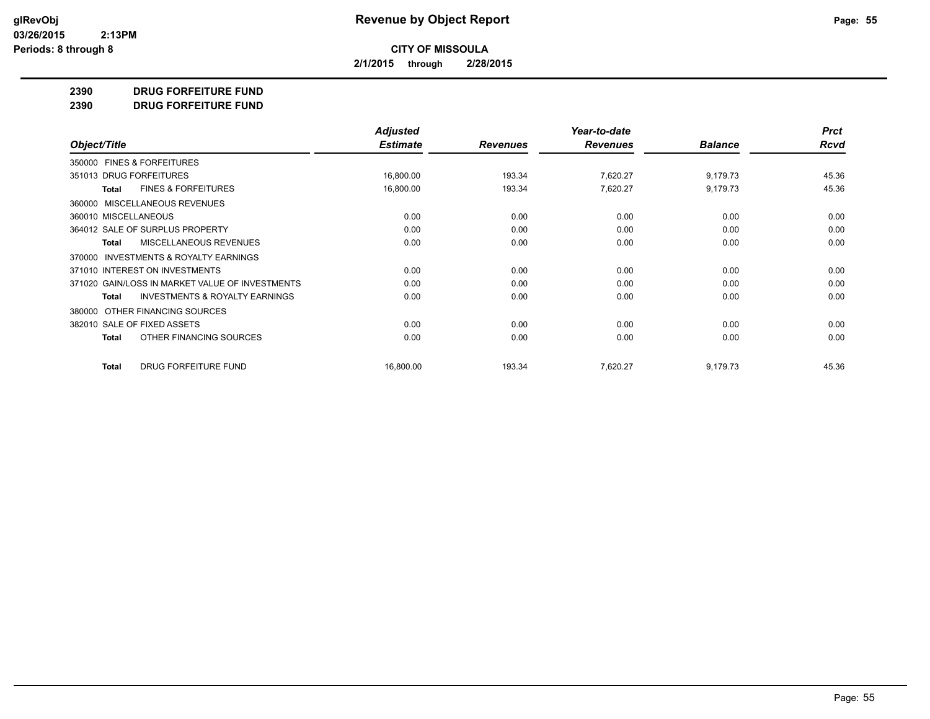**2/1/2015 through 2/28/2015**

# **2390 DRUG FORFEITURE FUND**

**2390 DRUG FORFEITURE FUND**

|                                                    | <b>Adjusted</b> |                 | Year-to-date    |                | <b>Prct</b> |
|----------------------------------------------------|-----------------|-----------------|-----------------|----------------|-------------|
| Object/Title                                       | <b>Estimate</b> | <b>Revenues</b> | <b>Revenues</b> | <b>Balance</b> | Rcvd        |
| 350000 FINES & FORFEITURES                         |                 |                 |                 |                |             |
| 351013 DRUG FORFEITURES                            | 16,800.00       | 193.34          | 7,620.27        | 9,179.73       | 45.36       |
| <b>FINES &amp; FORFEITURES</b><br>Total            | 16,800.00       | 193.34          | 7,620.27        | 9,179.73       | 45.36       |
| 360000 MISCELLANEOUS REVENUES                      |                 |                 |                 |                |             |
| 360010 MISCELLANEOUS                               | 0.00            | 0.00            | 0.00            | 0.00           | 0.00        |
| 364012 SALE OF SURPLUS PROPERTY                    | 0.00            | 0.00            | 0.00            | 0.00           | 0.00        |
| <b>MISCELLANEOUS REVENUES</b><br>Total             | 0.00            | 0.00            | 0.00            | 0.00           | 0.00        |
| 370000 INVESTMENTS & ROYALTY EARNINGS              |                 |                 |                 |                |             |
| 371010 INTEREST ON INVESTMENTS                     | 0.00            | 0.00            | 0.00            | 0.00           | 0.00        |
| 371020 GAIN/LOSS IN MARKET VALUE OF INVESTMENTS    | 0.00            | 0.00            | 0.00            | 0.00           | 0.00        |
| <b>INVESTMENTS &amp; ROYALTY EARNINGS</b><br>Total | 0.00            | 0.00            | 0.00            | 0.00           | 0.00        |
| OTHER FINANCING SOURCES<br>380000                  |                 |                 |                 |                |             |
| 382010 SALE OF FIXED ASSETS                        | 0.00            | 0.00            | 0.00            | 0.00           | 0.00        |
| OTHER FINANCING SOURCES<br>Total                   | 0.00            | 0.00            | 0.00            | 0.00           | 0.00        |
| <b>DRUG FORFEITURE FUND</b><br><b>Total</b>        | 16,800.00       | 193.34          | 7.620.27        | 9,179.73       | 45.36       |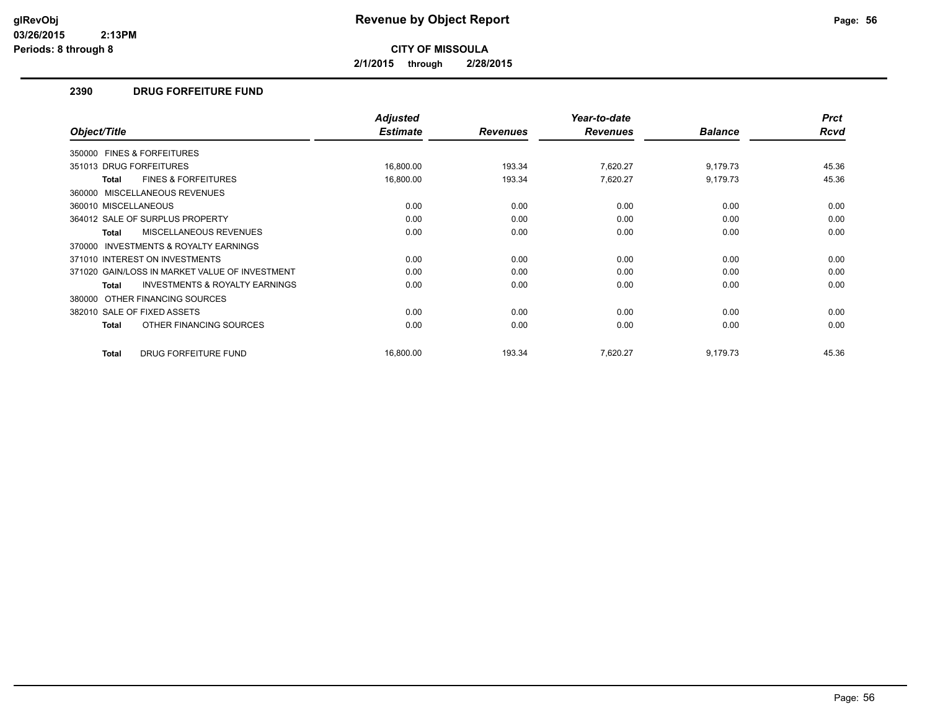**2/1/2015 through 2/28/2015**

# **2390 DRUG FORFEITURE FUND**

|                                                           | <b>Adjusted</b> |                 | Year-to-date    |                | <b>Prct</b> |
|-----------------------------------------------------------|-----------------|-----------------|-----------------|----------------|-------------|
| Object/Title                                              | <b>Estimate</b> | <b>Revenues</b> | <b>Revenues</b> | <b>Balance</b> | Rcvd        |
| 350000 FINES & FORFEITURES                                |                 |                 |                 |                |             |
| 351013 DRUG FORFEITURES                                   | 16,800.00       | 193.34          | 7,620.27        | 9,179.73       | 45.36       |
| <b>FINES &amp; FORFEITURES</b><br><b>Total</b>            | 16,800.00       | 193.34          | 7,620.27        | 9,179.73       | 45.36       |
| 360000 MISCELLANEOUS REVENUES                             |                 |                 |                 |                |             |
| 360010 MISCELLANEOUS                                      | 0.00            | 0.00            | 0.00            | 0.00           | 0.00        |
| 364012 SALE OF SURPLUS PROPERTY                           | 0.00            | 0.00            | 0.00            | 0.00           | 0.00        |
| <b>MISCELLANEOUS REVENUES</b><br>Total                    | 0.00            | 0.00            | 0.00            | 0.00           | 0.00        |
| <b>INVESTMENTS &amp; ROYALTY EARNINGS</b><br>370000       |                 |                 |                 |                |             |
| 371010 INTEREST ON INVESTMENTS                            | 0.00            | 0.00            | 0.00            | 0.00           | 0.00        |
| 371020 GAIN/LOSS IN MARKET VALUE OF INVESTMENT            | 0.00            | 0.00            | 0.00            | 0.00           | 0.00        |
| <b>INVESTMENTS &amp; ROYALTY EARNINGS</b><br><b>Total</b> | 0.00            | 0.00            | 0.00            | 0.00           | 0.00        |
| OTHER FINANCING SOURCES<br>380000                         |                 |                 |                 |                |             |
| 382010 SALE OF FIXED ASSETS                               | 0.00            | 0.00            | 0.00            | 0.00           | 0.00        |
| OTHER FINANCING SOURCES<br>Total                          | 0.00            | 0.00            | 0.00            | 0.00           | 0.00        |
| DRUG FORFEITURE FUND<br><b>Total</b>                      | 16,800.00       | 193.34          | 7,620.27        | 9,179.73       | 45.36       |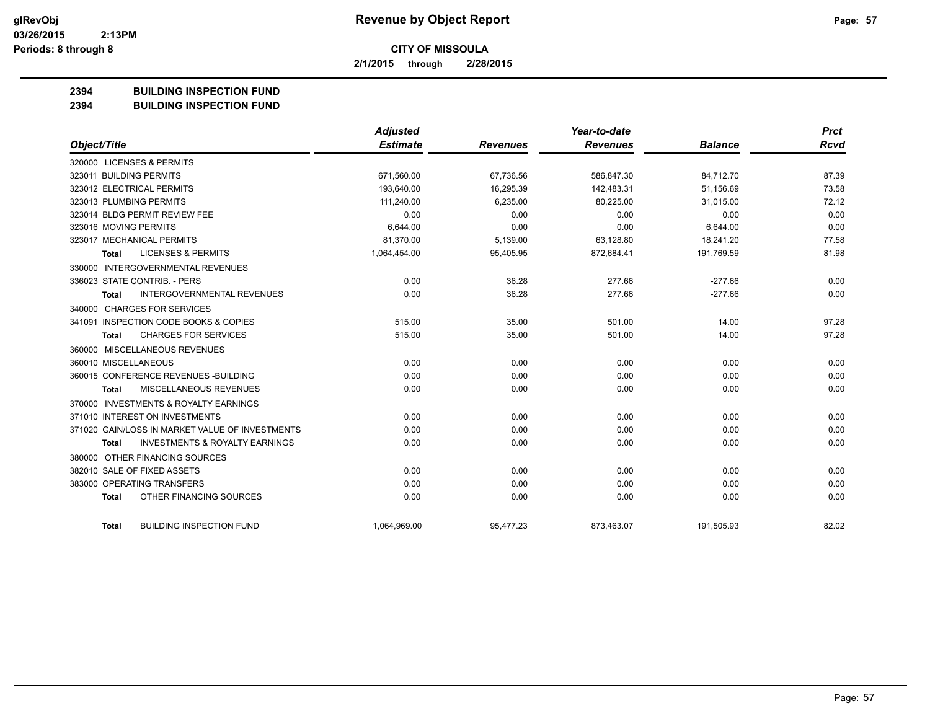**2/1/2015 through 2/28/2015**

# **2394 BUILDING INSPECTION FUND**

#### **2394 BUILDING INSPECTION FUND**

|                                                           | <b>Adjusted</b> |                 | Year-to-date    |                | <b>Prct</b> |
|-----------------------------------------------------------|-----------------|-----------------|-----------------|----------------|-------------|
| Object/Title                                              | <b>Estimate</b> | <b>Revenues</b> | <b>Revenues</b> | <b>Balance</b> | <b>Rcvd</b> |
| 320000 LICENSES & PERMITS                                 |                 |                 |                 |                |             |
| 323011 BUILDING PERMITS                                   | 671,560.00      | 67,736.56       | 586,847.30      | 84,712.70      | 87.39       |
| 323012 ELECTRICAL PERMITS                                 | 193.640.00      | 16,295.39       | 142.483.31      | 51.156.69      | 73.58       |
| 323013 PLUMBING PERMITS                                   | 111,240.00      | 6,235.00        | 80,225.00       | 31,015.00      | 72.12       |
| 323014 BLDG PERMIT REVIEW FEE                             | 0.00            | 0.00            | 0.00            | 0.00           | 0.00        |
| 323016 MOVING PERMITS                                     | 6.644.00        | 0.00            | 0.00            | 6.644.00       | 0.00        |
| 323017 MECHANICAL PERMITS                                 | 81,370.00       | 5,139.00        | 63,128.80       | 18,241.20      | 77.58       |
| <b>LICENSES &amp; PERMITS</b><br>Total                    | 1,064,454.00    | 95,405.95       | 872,684.41      | 191,769.59     | 81.98       |
| 330000 INTERGOVERNMENTAL REVENUES                         |                 |                 |                 |                |             |
| 336023 STATE CONTRIB. - PERS                              | 0.00            | 36.28           | 277.66          | $-277.66$      | 0.00        |
| <b>INTERGOVERNMENTAL REVENUES</b><br><b>Total</b>         | 0.00            | 36.28           | 277.66          | $-277.66$      | 0.00        |
| 340000 CHARGES FOR SERVICES                               |                 |                 |                 |                |             |
| 341091 INSPECTION CODE BOOKS & COPIES                     | 515.00          | 35.00           | 501.00          | 14.00          | 97.28       |
| <b>CHARGES FOR SERVICES</b><br><b>Total</b>               | 515.00          | 35.00           | 501.00          | 14.00          | 97.28       |
| 360000 MISCELLANEOUS REVENUES                             |                 |                 |                 |                |             |
| 360010 MISCELLANEOUS                                      | 0.00            | 0.00            | 0.00            | 0.00           | 0.00        |
| 360015 CONFERENCE REVENUES - BUILDING                     | 0.00            | 0.00            | 0.00            | 0.00           | 0.00        |
| MISCELLANEOUS REVENUES<br><b>Total</b>                    | 0.00            | 0.00            | 0.00            | 0.00           | 0.00        |
| 370000 INVESTMENTS & ROYALTY EARNINGS                     |                 |                 |                 |                |             |
| 371010 INTEREST ON INVESTMENTS                            | 0.00            | 0.00            | 0.00            | 0.00           | 0.00        |
| 371020 GAIN/LOSS IN MARKET VALUE OF INVESTMENTS           | 0.00            | 0.00            | 0.00            | 0.00           | 0.00        |
| <b>INVESTMENTS &amp; ROYALTY EARNINGS</b><br><b>Total</b> | 0.00            | 0.00            | 0.00            | 0.00           | 0.00        |
| 380000 OTHER FINANCING SOURCES                            |                 |                 |                 |                |             |
| 382010 SALE OF FIXED ASSETS                               | 0.00            | 0.00            | 0.00            | 0.00           | 0.00        |
| 383000 OPERATING TRANSFERS                                | 0.00            | 0.00            | 0.00            | 0.00           | 0.00        |
| OTHER FINANCING SOURCES<br><b>Total</b>                   | 0.00            | 0.00            | 0.00            | 0.00           | 0.00        |
| <b>BUILDING INSPECTION FUND</b><br><b>Total</b>           | 1,064,969.00    | 95,477.23       | 873,463.07      | 191,505.93     | 82.02       |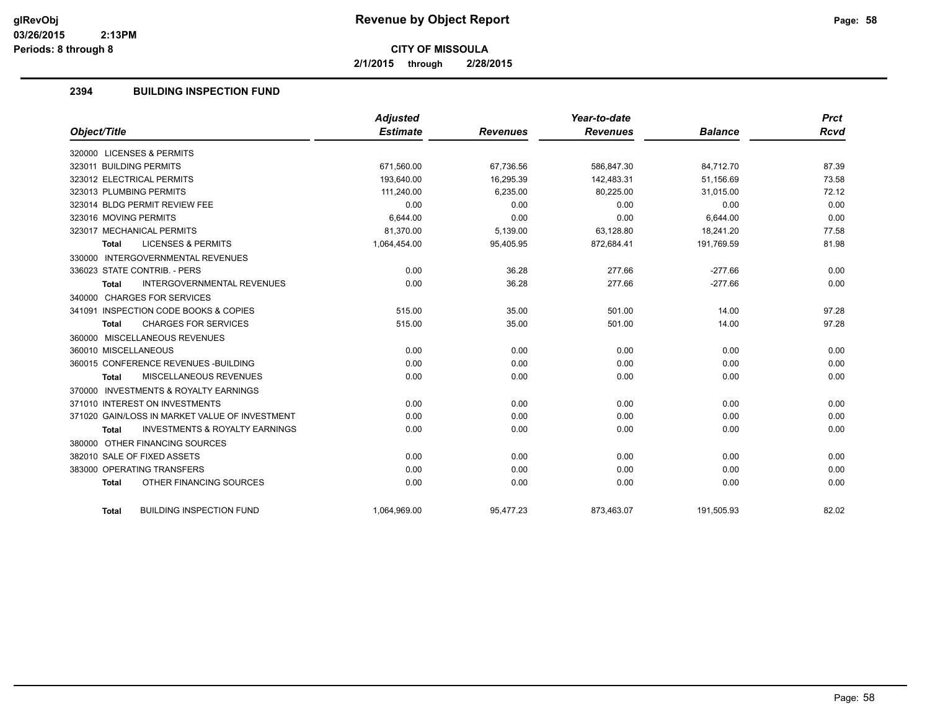**2/1/2015 through 2/28/2015**

# **2394 BUILDING INSPECTION FUND**

| Object/Title                                              | <b>Adjusted</b><br><b>Estimate</b> | <b>Revenues</b> | Year-to-date<br><b>Revenues</b> | <b>Balance</b> | <b>Prct</b><br><b>Rcvd</b> |
|-----------------------------------------------------------|------------------------------------|-----------------|---------------------------------|----------------|----------------------------|
|                                                           |                                    |                 |                                 |                |                            |
| 320000 LICENSES & PERMITS                                 |                                    |                 |                                 |                |                            |
| 323011 BUILDING PERMITS                                   | 671,560.00                         | 67,736.56       | 586,847.30                      | 84,712.70      | 87.39                      |
| 323012 ELECTRICAL PERMITS                                 | 193.640.00                         | 16.295.39       | 142.483.31                      | 51.156.69      | 73.58                      |
| 323013 PLUMBING PERMITS                                   | 111,240.00                         | 6,235.00        | 80,225.00                       | 31,015.00      | 72.12                      |
| 323014 BLDG PERMIT REVIEW FEE                             | 0.00                               | 0.00            | 0.00                            | 0.00           | 0.00                       |
| 323016 MOVING PERMITS                                     | 6,644.00                           | 0.00            | 0.00                            | 6.644.00       | 0.00                       |
| 323017 MECHANICAL PERMITS                                 | 81,370.00                          | 5,139.00        | 63,128.80                       | 18,241.20      | 77.58                      |
| <b>LICENSES &amp; PERMITS</b><br><b>Total</b>             | 1,064,454.00                       | 95,405.95       | 872,684.41                      | 191,769.59     | 81.98                      |
| 330000 INTERGOVERNMENTAL REVENUES                         |                                    |                 |                                 |                |                            |
| 336023 STATE CONTRIB. - PERS                              | 0.00                               | 36.28           | 277.66                          | $-277.66$      | 0.00                       |
| <b>INTERGOVERNMENTAL REVENUES</b><br><b>Total</b>         | 0.00                               | 36.28           | 277.66                          | $-277.66$      | 0.00                       |
| 340000 CHARGES FOR SERVICES                               |                                    |                 |                                 |                |                            |
| 341091 INSPECTION CODE BOOKS & COPIES                     | 515.00                             | 35.00           | 501.00                          | 14.00          | 97.28                      |
| <b>CHARGES FOR SERVICES</b><br><b>Total</b>               | 515.00                             | 35.00           | 501.00                          | 14.00          | 97.28                      |
| 360000 MISCELLANEOUS REVENUES                             |                                    |                 |                                 |                |                            |
| 360010 MISCELLANEOUS                                      | 0.00                               | 0.00            | 0.00                            | 0.00           | 0.00                       |
| 360015 CONFERENCE REVENUES - BUILDING                     | 0.00                               | 0.00            | 0.00                            | 0.00           | 0.00                       |
| MISCELLANEOUS REVENUES<br><b>Total</b>                    | 0.00                               | 0.00            | 0.00                            | 0.00           | 0.00                       |
| 370000 INVESTMENTS & ROYALTY EARNINGS                     |                                    |                 |                                 |                |                            |
| 371010 INTEREST ON INVESTMENTS                            | 0.00                               | 0.00            | 0.00                            | 0.00           | 0.00                       |
| 371020 GAIN/LOSS IN MARKET VALUE OF INVESTMENT            | 0.00                               | 0.00            | 0.00                            | 0.00           | 0.00                       |
| <b>INVESTMENTS &amp; ROYALTY EARNINGS</b><br><b>Total</b> | 0.00                               | 0.00            | 0.00                            | 0.00           | 0.00                       |
| 380000 OTHER FINANCING SOURCES                            |                                    |                 |                                 |                |                            |
| 382010 SALE OF FIXED ASSETS                               | 0.00                               | 0.00            | 0.00                            | 0.00           | 0.00                       |
| 383000 OPERATING TRANSFERS                                | 0.00                               | 0.00            | 0.00                            | 0.00           | 0.00                       |
| OTHER FINANCING SOURCES<br><b>Total</b>                   | 0.00                               | 0.00            | 0.00                            | 0.00           | 0.00                       |
| <b>BUILDING INSPECTION FUND</b><br><b>Total</b>           | 1,064,969.00                       | 95,477.23       | 873,463.07                      | 191,505.93     | 82.02                      |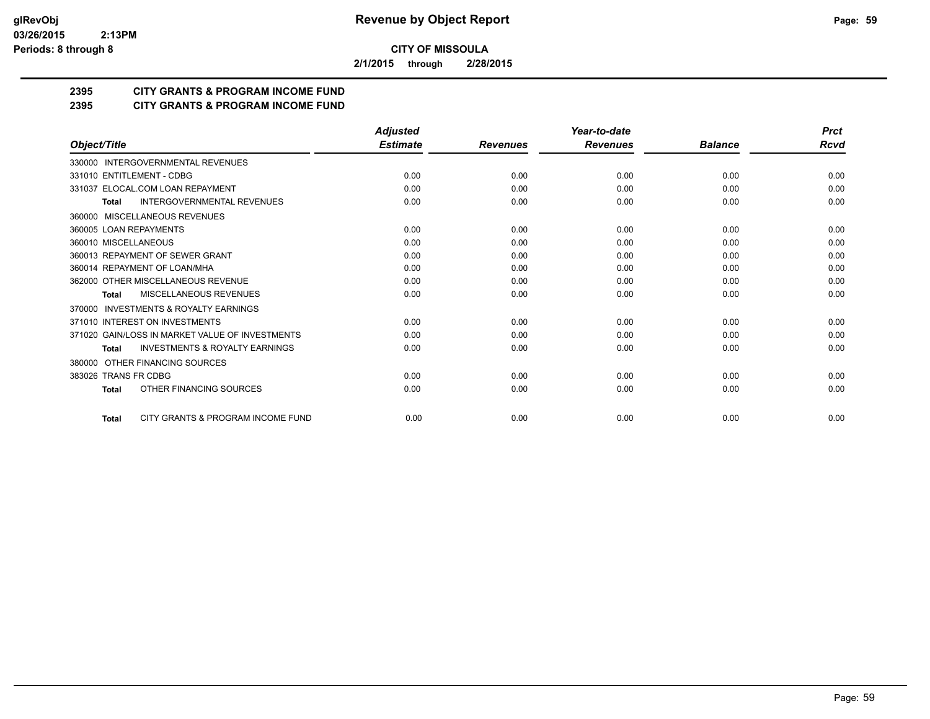**2/1/2015 through 2/28/2015**

# **2395 CITY GRANTS & PROGRAM INCOME FUND**

# **2395 CITY GRANTS & PROGRAM INCOME FUND**

|                                                           | <b>Adjusted</b> |                 | Year-to-date    |                | <b>Prct</b> |
|-----------------------------------------------------------|-----------------|-----------------|-----------------|----------------|-------------|
| Object/Title                                              | <b>Estimate</b> | <b>Revenues</b> | <b>Revenues</b> | <b>Balance</b> | Rcvd        |
| 330000 INTERGOVERNMENTAL REVENUES                         |                 |                 |                 |                |             |
| 331010 ENTITLEMENT - CDBG                                 | 0.00            | 0.00            | 0.00            | 0.00           | 0.00        |
| 331037 ELOCAL.COM LOAN REPAYMENT                          | 0.00            | 0.00            | 0.00            | 0.00           | 0.00        |
| <b>INTERGOVERNMENTAL REVENUES</b><br><b>Total</b>         | 0.00            | 0.00            | 0.00            | 0.00           | 0.00        |
| 360000 MISCELLANEOUS REVENUES                             |                 |                 |                 |                |             |
| 360005 LOAN REPAYMENTS                                    | 0.00            | 0.00            | 0.00            | 0.00           | 0.00        |
| 360010 MISCELLANEOUS                                      | 0.00            | 0.00            | 0.00            | 0.00           | 0.00        |
| 360013 REPAYMENT OF SEWER GRANT                           | 0.00            | 0.00            | 0.00            | 0.00           | 0.00        |
| 360014 REPAYMENT OF LOAN/MHA                              | 0.00            | 0.00            | 0.00            | 0.00           | 0.00        |
| 362000 OTHER MISCELLANEOUS REVENUE                        | 0.00            | 0.00            | 0.00            | 0.00           | 0.00        |
| MISCELLANEOUS REVENUES<br><b>Total</b>                    | 0.00            | 0.00            | 0.00            | 0.00           | 0.00        |
| <b>INVESTMENTS &amp; ROYALTY EARNINGS</b><br>370000       |                 |                 |                 |                |             |
| 371010 INTEREST ON INVESTMENTS                            | 0.00            | 0.00            | 0.00            | 0.00           | 0.00        |
| 371020 GAIN/LOSS IN MARKET VALUE OF INVESTMENTS           | 0.00            | 0.00            | 0.00            | 0.00           | 0.00        |
| <b>INVESTMENTS &amp; ROYALTY EARNINGS</b><br><b>Total</b> | 0.00            | 0.00            | 0.00            | 0.00           | 0.00        |
| OTHER FINANCING SOURCES<br>380000                         |                 |                 |                 |                |             |
| 383026 TRANS FR CDBG                                      | 0.00            | 0.00            | 0.00            | 0.00           | 0.00        |
| OTHER FINANCING SOURCES<br><b>Total</b>                   | 0.00            | 0.00            | 0.00            | 0.00           | 0.00        |
| CITY GRANTS & PROGRAM INCOME FUND<br><b>Total</b>         | 0.00            | 0.00            | 0.00            | 0.00           | 0.00        |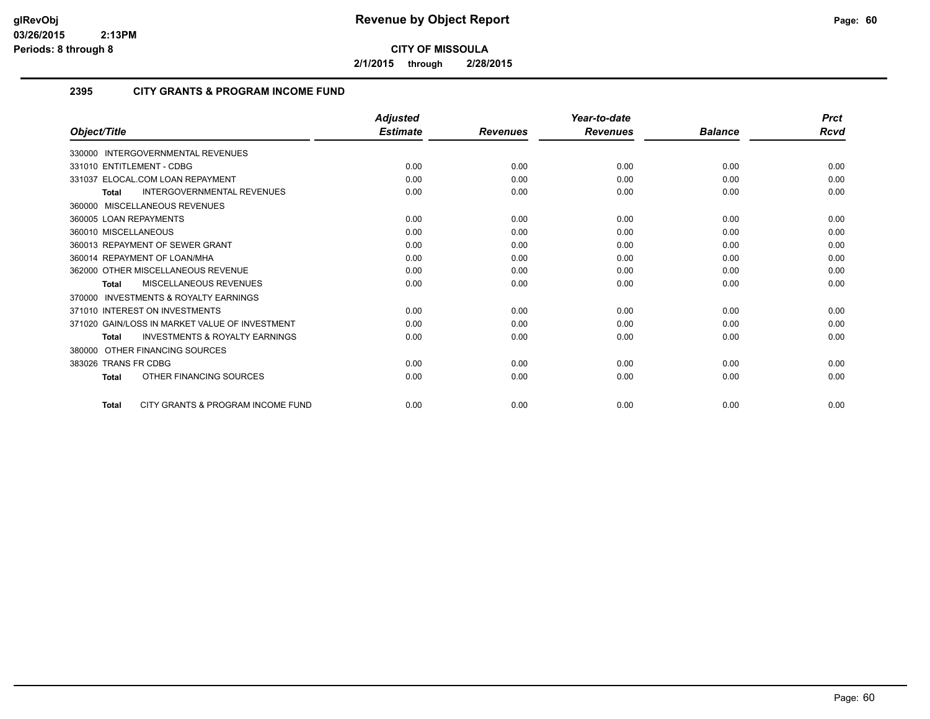**2/1/2015 through 2/28/2015**

# **2395 CITY GRANTS & PROGRAM INCOME FUND**

|                                                           | <b>Adjusted</b> |                 | Year-to-date    |                | <b>Prct</b> |
|-----------------------------------------------------------|-----------------|-----------------|-----------------|----------------|-------------|
| Object/Title                                              | <b>Estimate</b> | <b>Revenues</b> | <b>Revenues</b> | <b>Balance</b> | Rcvd        |
| <b>INTERGOVERNMENTAL REVENUES</b><br>330000               |                 |                 |                 |                |             |
| 331010 ENTITLEMENT - CDBG                                 | 0.00            | 0.00            | 0.00            | 0.00           | 0.00        |
| 331037 ELOCAL.COM LOAN REPAYMENT                          | 0.00            | 0.00            | 0.00            | 0.00           | 0.00        |
| <b>INTERGOVERNMENTAL REVENUES</b><br><b>Total</b>         | 0.00            | 0.00            | 0.00            | 0.00           | 0.00        |
| MISCELLANEOUS REVENUES<br>360000                          |                 |                 |                 |                |             |
| 360005 LOAN REPAYMENTS                                    | 0.00            | 0.00            | 0.00            | 0.00           | 0.00        |
| 360010 MISCELLANEOUS                                      | 0.00            | 0.00            | 0.00            | 0.00           | 0.00        |
| 360013 REPAYMENT OF SEWER GRANT                           | 0.00            | 0.00            | 0.00            | 0.00           | 0.00        |
| 360014 REPAYMENT OF LOAN/MHA                              | 0.00            | 0.00            | 0.00            | 0.00           | 0.00        |
| 362000 OTHER MISCELLANEOUS REVENUE                        | 0.00            | 0.00            | 0.00            | 0.00           | 0.00        |
| MISCELLANEOUS REVENUES<br><b>Total</b>                    | 0.00            | 0.00            | 0.00            | 0.00           | 0.00        |
| <b>INVESTMENTS &amp; ROYALTY EARNINGS</b><br>370000       |                 |                 |                 |                |             |
| 371010 INTEREST ON INVESTMENTS                            | 0.00            | 0.00            | 0.00            | 0.00           | 0.00        |
| 371020 GAIN/LOSS IN MARKET VALUE OF INVESTMENT            | 0.00            | 0.00            | 0.00            | 0.00           | 0.00        |
| <b>INVESTMENTS &amp; ROYALTY EARNINGS</b><br><b>Total</b> | 0.00            | 0.00            | 0.00            | 0.00           | 0.00        |
| OTHER FINANCING SOURCES<br>380000                         |                 |                 |                 |                |             |
| 383026 TRANS FR CDBG                                      | 0.00            | 0.00            | 0.00            | 0.00           | 0.00        |
| OTHER FINANCING SOURCES<br><b>Total</b>                   | 0.00            | 0.00            | 0.00            | 0.00           | 0.00        |
| CITY GRANTS & PROGRAM INCOME FUND                         |                 |                 |                 |                |             |
| <b>Total</b>                                              | 0.00            | 0.00            | 0.00            | 0.00           | 0.00        |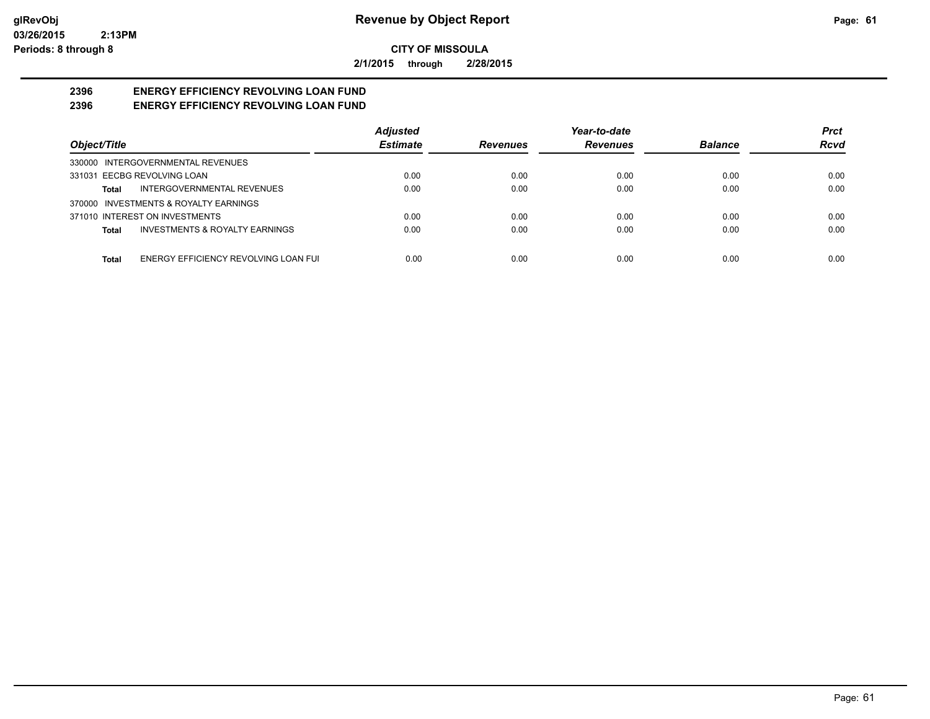**2/1/2015 through 2/28/2015**

### **2396 ENERGY EFFICIENCY REVOLVING LOAN FUND 2396 ENERGY EFFICIENCY REVOLVING LOAN FUND**

|                                               | <b>Adjusted</b> |                 | Year-to-date    |                | <b>Prct</b> |
|-----------------------------------------------|-----------------|-----------------|-----------------|----------------|-------------|
| Object/Title                                  | <b>Estimate</b> | <b>Revenues</b> | <b>Revenues</b> | <b>Balance</b> | <b>Rcvd</b> |
| 330000 INTERGOVERNMENTAL REVENUES             |                 |                 |                 |                |             |
| 331031 EECBG REVOLVING LOAN                   | 0.00            | 0.00            | 0.00            | 0.00           | 0.00        |
| INTERGOVERNMENTAL REVENUES<br>Total           | 0.00            | 0.00            | 0.00            | 0.00           | 0.00        |
| 370000 INVESTMENTS & ROYALTY EARNINGS         |                 |                 |                 |                |             |
| 371010 INTEREST ON INVESTMENTS                | 0.00            | 0.00            | 0.00            | 0.00           | 0.00        |
| INVESTMENTS & ROYALTY EARNINGS<br>Total       | 0.00            | 0.00            | 0.00            | 0.00           | 0.00        |
|                                               |                 |                 |                 |                |             |
| ENERGY EFFICIENCY REVOLVING LOAN FUI<br>Total | 0.00            | 0.00            | 0.00            | 0.00           | 0.00        |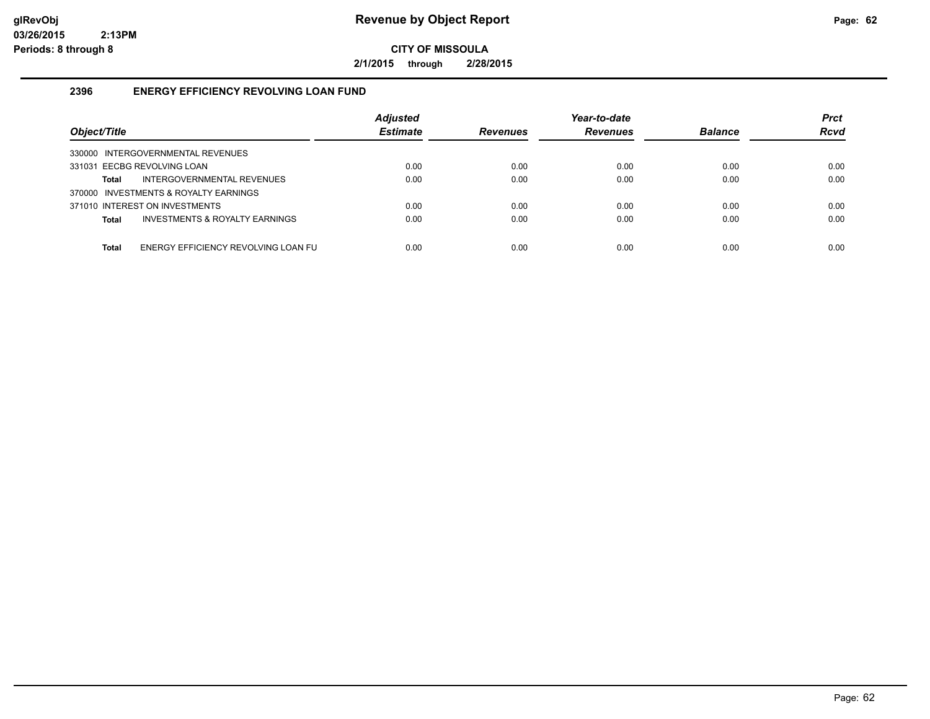**2/1/2015 through 2/28/2015**

# **2396 ENERGY EFFICIENCY REVOLVING LOAN FUND**

| Object/Title                                   | <b>Adjusted</b><br><b>Estimate</b> | <b>Revenues</b> | Year-to-date<br><b>Revenues</b> | <b>Balance</b> | <b>Prct</b><br><b>Rcvd</b> |
|------------------------------------------------|------------------------------------|-----------------|---------------------------------|----------------|----------------------------|
| 330000 INTERGOVERNMENTAL REVENUES              |                                    |                 |                                 |                |                            |
| 331031 EECBG REVOLVING LOAN                    | 0.00                               | 0.00            | 0.00                            | 0.00           | 0.00                       |
| INTERGOVERNMENTAL REVENUES<br>Total            | 0.00                               | 0.00            | 0.00                            | 0.00           | 0.00                       |
| 370000 INVESTMENTS & ROYALTY EARNINGS          |                                    |                 |                                 |                |                            |
| 371010 INTEREST ON INVESTMENTS                 | 0.00                               | 0.00            | 0.00                            | 0.00           | 0.00                       |
| INVESTMENTS & ROYALTY EARNINGS<br><b>Total</b> | 0.00                               | 0.00            | 0.00                            | 0.00           | 0.00                       |
|                                                |                                    |                 |                                 |                |                            |
| ENERGY EFFICIENCY REVOLVING LOAN FU<br>Total   | 0.00                               | 0.00            | 0.00                            | 0.00           | 0.00                       |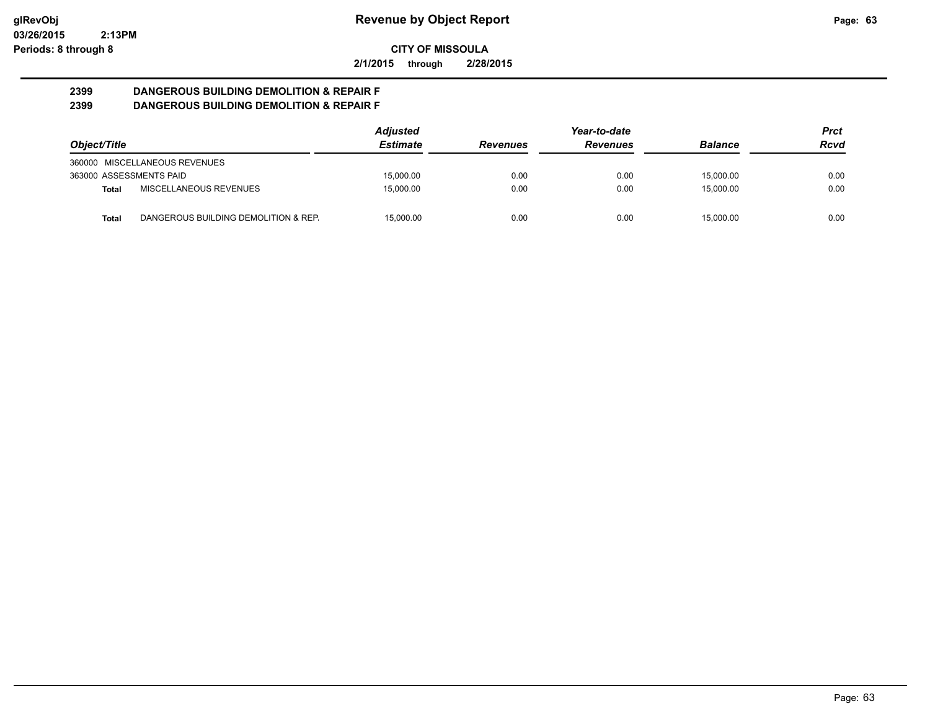**2/1/2015 through 2/28/2015**

### **2399 DANGEROUS BUILDING DEMOLITION & REPAIR F 2399 DANGEROUS BUILDING DEMOLITION & REPAIR F**

| Object/Title            |                                      | <b>Adjusted</b> |                                    | Year-to-date |                | Prct |
|-------------------------|--------------------------------------|-----------------|------------------------------------|--------------|----------------|------|
|                         |                                      | <b>Estimate</b> | <b>Revenues</b><br><b>Revenues</b> |              | <b>Balance</b> | Rcvd |
|                         | 360000 MISCELLANEOUS REVENUES        |                 |                                    |              |                |      |
| 363000 ASSESSMENTS PAID |                                      | 15.000.00       | 0.00                               | 0.00         | 15.000.00      | 0.00 |
| Total                   | MISCELLANEOUS REVENUES               | 15.000.00       | 0.00                               | 0.00         | 15.000.00      | 0.00 |
| Total                   | DANGEROUS BUILDING DEMOLITION & REP. | 15.000.00       | 0.00                               | 0.00         | 15.000.00      | 0.00 |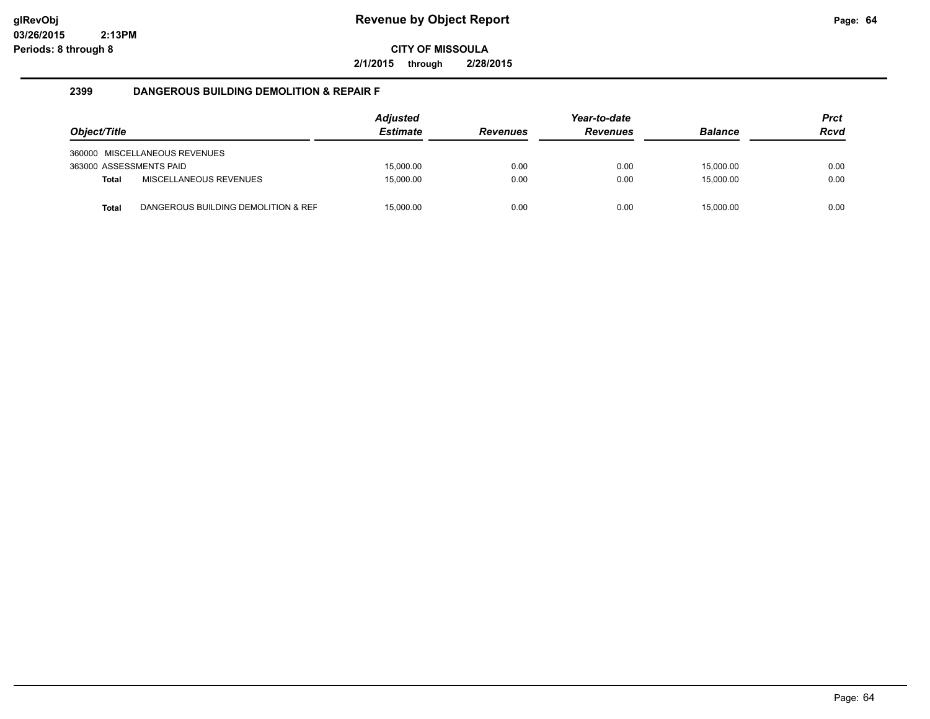**2/1/2015 through 2/28/2015**

# **2399 DANGEROUS BUILDING DEMOLITION & REPAIR F**

|                         |                                     | <b>Adjusted</b> |                 | Year-to-date    |                | <b>Prct</b> |
|-------------------------|-------------------------------------|-----------------|-----------------|-----------------|----------------|-------------|
| Object/Title            |                                     | <b>Estimate</b> | <b>Revenues</b> | <b>Revenues</b> | <b>Balance</b> | <b>Rcvd</b> |
|                         | 360000 MISCELLANEOUS REVENUES       |                 |                 |                 |                |             |
| 363000 ASSESSMENTS PAID |                                     | 15,000.00       | 0.00            | 0.00            | 15.000.00      | 0.00        |
| Total                   | MISCELLANEOUS REVENUES              | 15,000.00       | 0.00            | 0.00            | 15.000.00      | 0.00        |
| Total                   | DANGEROUS BUILDING DEMOLITION & REF | 15.000.00       | 0.00            | 0.00            | 15.000.00      | 0.00        |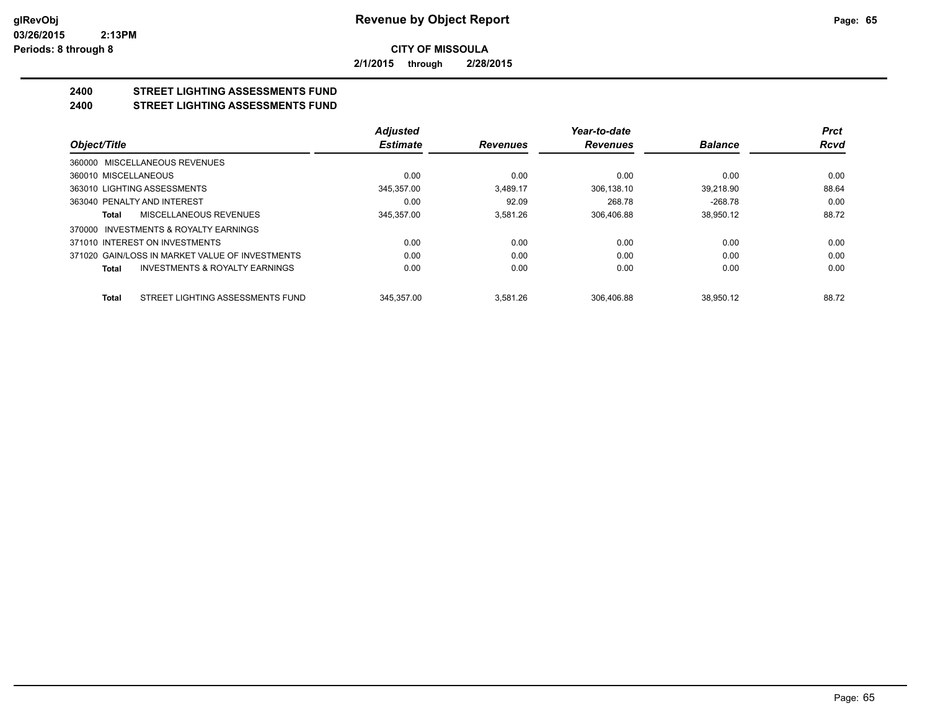**2/1/2015 through 2/28/2015**

### **2400 STREET LIGHTING ASSESSMENTS FUND 2400 STREET LIGHTING ASSESSMENTS FUND**

|                                                    | <b>Adjusted</b> |                 | Year-to-date    |                | <b>Prct</b> |
|----------------------------------------------------|-----------------|-----------------|-----------------|----------------|-------------|
| Object/Title                                       | <b>Estimate</b> | <b>Revenues</b> | <b>Revenues</b> | <b>Balance</b> | <b>Rcvd</b> |
| 360000 MISCELLANEOUS REVENUES                      |                 |                 |                 |                |             |
| 360010 MISCELLANEOUS                               | 0.00            | 0.00            | 0.00            | 0.00           | 0.00        |
| 363010 LIGHTING ASSESSMENTS                        | 345.357.00      | 3.489.17        | 306.138.10      | 39.218.90      | 88.64       |
| 363040 PENALTY AND INTEREST                        | 0.00            | 92.09           | 268.78          | $-268.78$      | 0.00        |
| MISCELLANEOUS REVENUES<br>Total                    | 345.357.00      | 3.581.26        | 306,406.88      | 38.950.12      | 88.72       |
| INVESTMENTS & ROYALTY EARNINGS<br>370000           |                 |                 |                 |                |             |
| 371010 INTEREST ON INVESTMENTS                     | 0.00            | 0.00            | 0.00            | 0.00           | 0.00        |
| 371020 GAIN/LOSS IN MARKET VALUE OF INVESTMENTS    | 0.00            | 0.00            | 0.00            | 0.00           | 0.00        |
| <b>INVESTMENTS &amp; ROYALTY EARNINGS</b><br>Total | 0.00            | 0.00            | 0.00            | 0.00           | 0.00        |
| STREET LIGHTING ASSESSMENTS FUND<br><b>Total</b>   | 345.357.00      | 3.581.26        | 306.406.88      | 38.950.12      | 88.72       |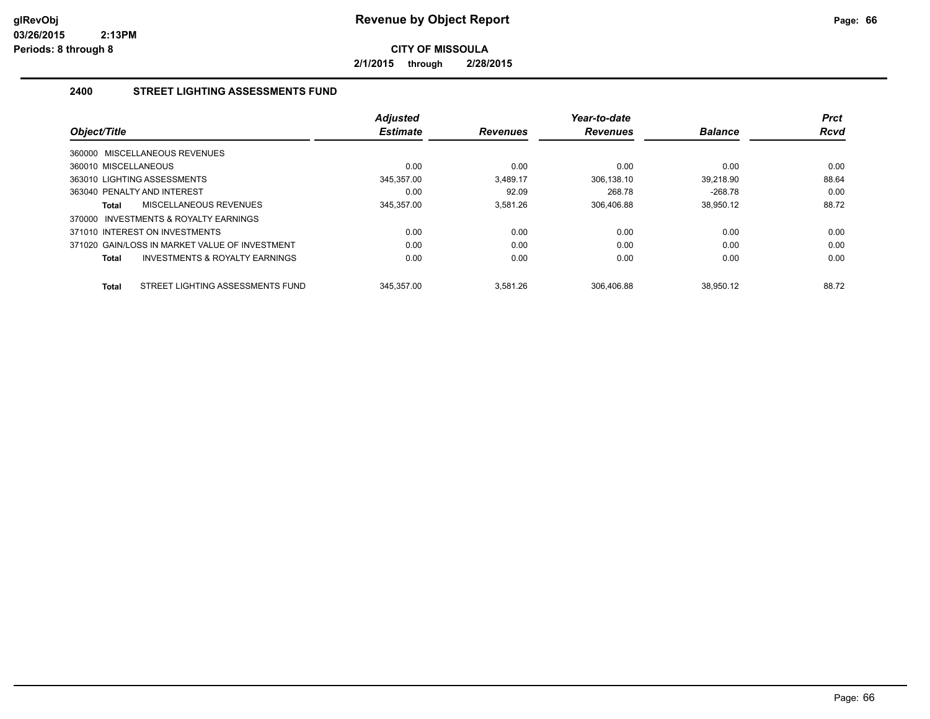**2/1/2015 through 2/28/2015**

# **2400 STREET LIGHTING ASSESSMENTS FUND**

| Object/Title                                     | <b>Adjusted</b><br><b>Estimate</b> | <b>Revenues</b> | Year-to-date<br><b>Revenues</b> | <b>Balance</b> | <b>Prct</b><br><b>Rcvd</b> |
|--------------------------------------------------|------------------------------------|-----------------|---------------------------------|----------------|----------------------------|
| 360000 MISCELLANEOUS REVENUES                    |                                    |                 |                                 |                |                            |
| 360010 MISCELLANEOUS                             | 0.00                               | 0.00            | 0.00                            | 0.00           | 0.00                       |
| 363010 LIGHTING ASSESSMENTS                      | 345,357.00                         | 3.489.17        | 306,138.10                      | 39.218.90      | 88.64                      |
| 363040 PENALTY AND INTEREST                      | 0.00                               | 92.09           | 268.78                          | $-268.78$      | 0.00                       |
| MISCELLANEOUS REVENUES<br>Total                  | 345,357.00                         | 3,581.26        | 306,406.88                      | 38,950.12      | 88.72                      |
| 370000 INVESTMENTS & ROYALTY EARNINGS            |                                    |                 |                                 |                |                            |
| 371010 INTEREST ON INVESTMENTS                   | 0.00                               | 0.00            | 0.00                            | 0.00           | 0.00                       |
| 371020 GAIN/LOSS IN MARKET VALUE OF INVESTMENT   | 0.00                               | 0.00            | 0.00                            | 0.00           | 0.00                       |
| INVESTMENTS & ROYALTY EARNINGS<br>Total          | 0.00                               | 0.00            | 0.00                            | 0.00           | 0.00                       |
|                                                  |                                    |                 |                                 |                |                            |
| STREET LIGHTING ASSESSMENTS FUND<br><b>Total</b> | 345.357.00                         | 3.581.26        | 306.406.88                      | 38.950.12      | 88.72                      |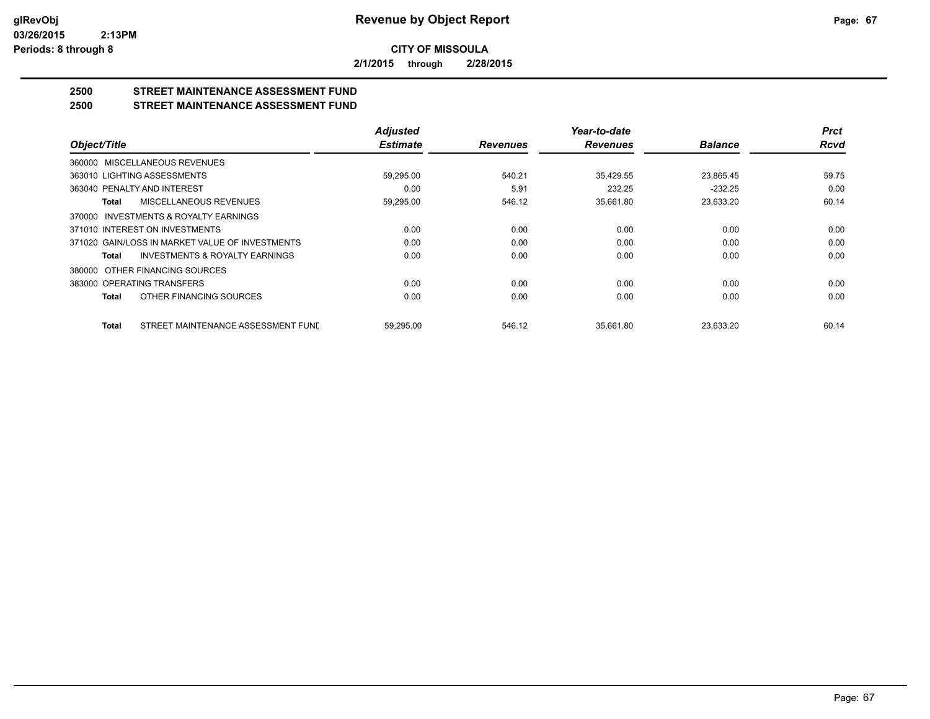**2/1/2015 through 2/28/2015**

# **2500 STREET MAINTENANCE ASSESSMENT FUND**

# **2500 STREET MAINTENANCE ASSESSMENT FUND**

|                                                    | <b>Adjusted</b> |                 | Year-to-date    |                | <b>Prct</b> |
|----------------------------------------------------|-----------------|-----------------|-----------------|----------------|-------------|
| Object/Title                                       | <b>Estimate</b> | <b>Revenues</b> | <b>Revenues</b> | <b>Balance</b> | <b>Rcvd</b> |
| 360000 MISCELLANEOUS REVENUES                      |                 |                 |                 |                |             |
| 363010 LIGHTING ASSESSMENTS                        | 59,295.00       | 540.21          | 35,429.55       | 23,865.45      | 59.75       |
| 363040 PENALTY AND INTEREST                        | 0.00            | 5.91            | 232.25          | $-232.25$      | 0.00        |
| <b>MISCELLANEOUS REVENUES</b><br>Total             | 59,295.00       | 546.12          | 35,661.80       | 23,633.20      | 60.14       |
| 370000 INVESTMENTS & ROYALTY EARNINGS              |                 |                 |                 |                |             |
| 371010 INTEREST ON INVESTMENTS                     | 0.00            | 0.00            | 0.00            | 0.00           | 0.00        |
| 371020 GAIN/LOSS IN MARKET VALUE OF INVESTMENTS    | 0.00            | 0.00            | 0.00            | 0.00           | 0.00        |
| <b>INVESTMENTS &amp; ROYALTY EARNINGS</b><br>Total | 0.00            | 0.00            | 0.00            | 0.00           | 0.00        |
| OTHER FINANCING SOURCES<br>380000                  |                 |                 |                 |                |             |
| 383000 OPERATING TRANSFERS                         | 0.00            | 0.00            | 0.00            | 0.00           | 0.00        |
| OTHER FINANCING SOURCES<br>Total                   | 0.00            | 0.00            | 0.00            | 0.00           | 0.00        |
| STREET MAINTENANCE ASSESSMENT FUNI<br><b>Total</b> | 59.295.00       | 546.12          | 35.661.80       | 23.633.20      | 60.14       |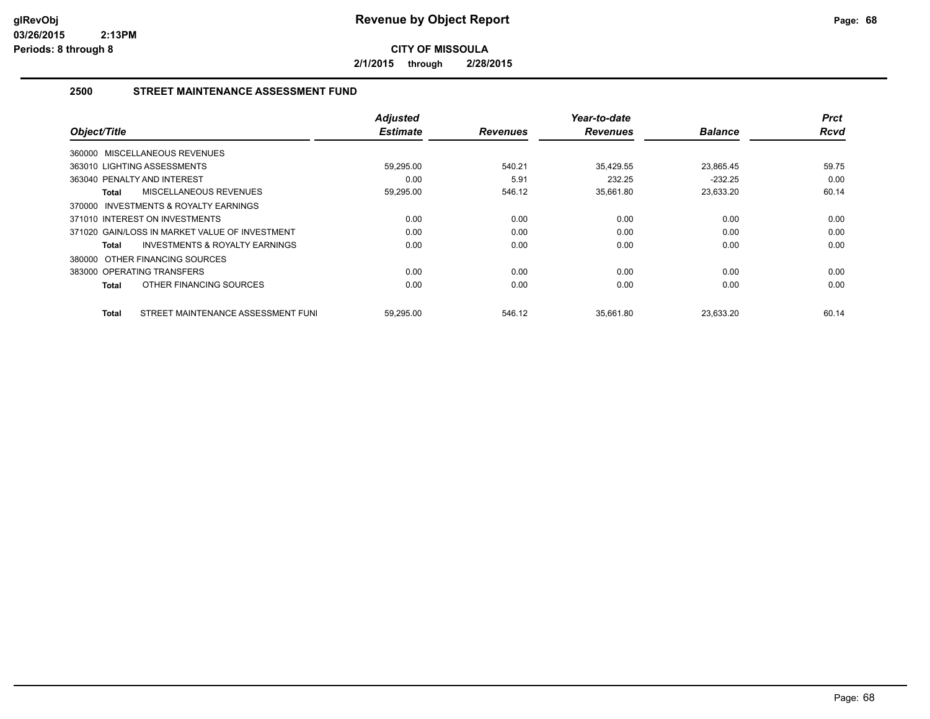**2/1/2015 through 2/28/2015**

# **2500 STREET MAINTENANCE ASSESSMENT FUND**

| Object/Title                                       | <b>Adjusted</b><br><b>Estimate</b> | <b>Revenues</b> | Year-to-date<br><b>Revenues</b> | <b>Balance</b> | <b>Prct</b><br><b>Rcvd</b> |
|----------------------------------------------------|------------------------------------|-----------------|---------------------------------|----------------|----------------------------|
| 360000 MISCELLANEOUS REVENUES                      |                                    |                 |                                 |                |                            |
| 363010 LIGHTING ASSESSMENTS                        | 59,295.00                          | 540.21          | 35.429.55                       | 23,865.45      | 59.75                      |
| 363040 PENALTY AND INTEREST                        | 0.00                               | 5.91            | 232.25                          | $-232.25$      | 0.00                       |
| MISCELLANEOUS REVENUES<br>Total                    | 59,295.00                          | 546.12          | 35,661.80                       | 23,633.20      | 60.14                      |
| 370000 INVESTMENTS & ROYALTY EARNINGS              |                                    |                 |                                 |                |                            |
| 371010 INTEREST ON INVESTMENTS                     | 0.00                               | 0.00            | 0.00                            | 0.00           | 0.00                       |
| 371020 GAIN/LOSS IN MARKET VALUE OF INVESTMENT     | 0.00                               | 0.00            | 0.00                            | 0.00           | 0.00                       |
| <b>INVESTMENTS &amp; ROYALTY EARNINGS</b><br>Total | 0.00                               | 0.00            | 0.00                            | 0.00           | 0.00                       |
| 380000 OTHER FINANCING SOURCES                     |                                    |                 |                                 |                |                            |
| 383000 OPERATING TRANSFERS                         | 0.00                               | 0.00            | 0.00                            | 0.00           | 0.00                       |
| OTHER FINANCING SOURCES<br>Total                   | 0.00                               | 0.00            | 0.00                            | 0.00           | 0.00                       |
| Total<br>STREET MAINTENANCE ASSESSMENT FUNI        | 59.295.00                          | 546.12          | 35.661.80                       | 23.633.20      | 60.14                      |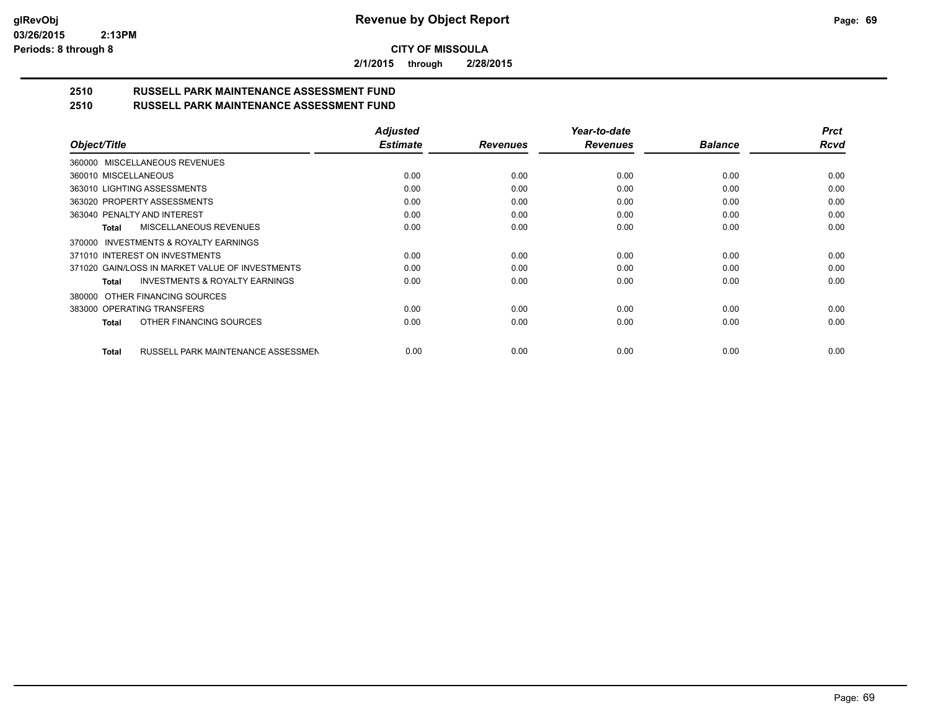**2/1/2015 through 2/28/2015**

#### **2510 RUSSELL PARK MAINTENANCE ASSESSMENT FUND 2510 RUSSELL PARK MAINTENANCE ASSESSMENT FUND**

|       | Adi <b>.</b>                             |  |  |  |  |  |  |
|-------|------------------------------------------|--|--|--|--|--|--|
|       |                                          |  |  |  |  |  |  |
| 251 U | RUSSELL PARK MAINTENANCE ASSESSMENT FUND |  |  |  |  |  |  |

|                                                    | <b>Adjusted</b> |                 | Year-to-date    |                | <b>Prct</b> |
|----------------------------------------------------|-----------------|-----------------|-----------------|----------------|-------------|
| Object/Title                                       | <b>Estimate</b> | <b>Revenues</b> | <b>Revenues</b> | <b>Balance</b> | <b>Rcvd</b> |
| 360000 MISCELLANEOUS REVENUES                      |                 |                 |                 |                |             |
| 360010 MISCELLANEOUS                               | 0.00            | 0.00            | 0.00            | 0.00           | 0.00        |
| 363010 LIGHTING ASSESSMENTS                        | 0.00            | 0.00            | 0.00            | 0.00           | 0.00        |
| 363020 PROPERTY ASSESSMENTS                        | 0.00            | 0.00            | 0.00            | 0.00           | 0.00        |
| 363040 PENALTY AND INTEREST                        | 0.00            | 0.00            | 0.00            | 0.00           | 0.00        |
| MISCELLANEOUS REVENUES<br>Total                    | 0.00            | 0.00            | 0.00            | 0.00           | 0.00        |
| 370000 INVESTMENTS & ROYALTY EARNINGS              |                 |                 |                 |                |             |
| 371010 INTEREST ON INVESTMENTS                     | 0.00            | 0.00            | 0.00            | 0.00           | 0.00        |
| 371020 GAIN/LOSS IN MARKET VALUE OF INVESTMENTS    | 0.00            | 0.00            | 0.00            | 0.00           | 0.00        |
| <b>INVESTMENTS &amp; ROYALTY EARNINGS</b><br>Total | 0.00            | 0.00            | 0.00            | 0.00           | 0.00        |
| 380000 OTHER FINANCING SOURCES                     |                 |                 |                 |                |             |
| 383000 OPERATING TRANSFERS                         | 0.00            | 0.00            | 0.00            | 0.00           | 0.00        |
| OTHER FINANCING SOURCES<br>Total                   | 0.00            | 0.00            | 0.00            | 0.00           | 0.00        |
|                                                    |                 |                 |                 |                |             |
| RUSSELL PARK MAINTENANCE ASSESSMEN<br><b>Total</b> | 0.00            | 0.00            | 0.00            | 0.00           | 0.00        |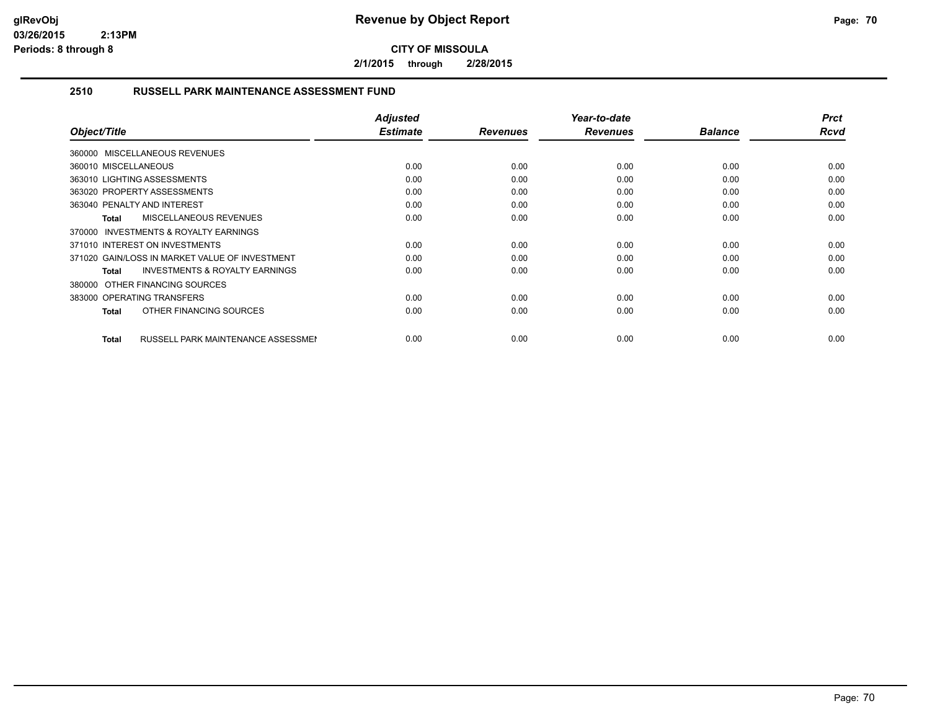**2/1/2015 through 2/28/2015**

# **2510 RUSSELL PARK MAINTENANCE ASSESSMENT FUND**

| Object/Title                                       | <b>Adjusted</b><br><b>Estimate</b> | <b>Revenues</b> | Year-to-date<br><b>Revenues</b> | <b>Balance</b> | <b>Prct</b><br>Rcvd |
|----------------------------------------------------|------------------------------------|-----------------|---------------------------------|----------------|---------------------|
| 360000 MISCELLANEOUS REVENUES                      |                                    |                 |                                 |                |                     |
| 360010 MISCELLANEOUS                               | 0.00                               | 0.00            | 0.00                            | 0.00           | 0.00                |
| 363010 LIGHTING ASSESSMENTS                        | 0.00                               | 0.00            | 0.00                            | 0.00           | 0.00                |
| 363020 PROPERTY ASSESSMENTS                        | 0.00                               | 0.00            | 0.00                            | 0.00           | 0.00                |
| 363040 PENALTY AND INTEREST                        | 0.00                               | 0.00            | 0.00                            | 0.00           | 0.00                |
| <b>MISCELLANEOUS REVENUES</b><br>Total             | 0.00                               | 0.00            | 0.00                            | 0.00           | 0.00                |
| 370000 INVESTMENTS & ROYALTY EARNINGS              |                                    |                 |                                 |                |                     |
| 371010 INTEREST ON INVESTMENTS                     | 0.00                               | 0.00            | 0.00                            | 0.00           | 0.00                |
| 371020 GAIN/LOSS IN MARKET VALUE OF INVESTMENT     | 0.00                               | 0.00            | 0.00                            | 0.00           | 0.00                |
| <b>INVESTMENTS &amp; ROYALTY EARNINGS</b><br>Total | 0.00                               | 0.00            | 0.00                            | 0.00           | 0.00                |
| 380000 OTHER FINANCING SOURCES                     |                                    |                 |                                 |                |                     |
| 383000 OPERATING TRANSFERS                         | 0.00                               | 0.00            | 0.00                            | 0.00           | 0.00                |
| OTHER FINANCING SOURCES<br>Total                   | 0.00                               | 0.00            | 0.00                            | 0.00           | 0.00                |
|                                                    |                                    |                 |                                 |                |                     |
| RUSSELL PARK MAINTENANCE ASSESSMEN<br>Total        | 0.00                               | 0.00            | 0.00                            | 0.00           | 0.00                |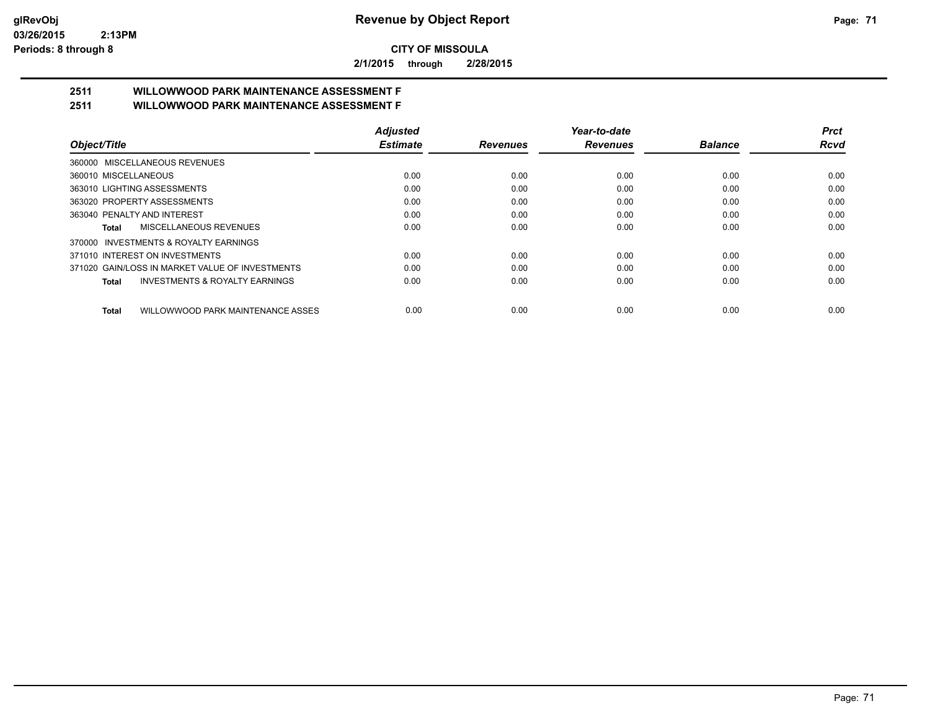**2/1/2015 through 2/28/2015**

# **2511 WILLOWWOOD PARK MAINTENANCE ASSESSMENT F**

| 2511 | <b>WILLOWWOOD PARK MAINTENANCE ASSESSMENT F</b> |  |
|------|-------------------------------------------------|--|
|      |                                                 |  |

|                                                   | <b>Adjusted</b> |                 | Year-to-date    |                | <b>Prct</b> |
|---------------------------------------------------|-----------------|-----------------|-----------------|----------------|-------------|
| Object/Title                                      | <b>Estimate</b> | <b>Revenues</b> | <b>Revenues</b> | <b>Balance</b> | <b>Rcvd</b> |
| 360000 MISCELLANEOUS REVENUES                     |                 |                 |                 |                |             |
| 360010 MISCELLANEOUS                              | 0.00            | 0.00            | 0.00            | 0.00           | 0.00        |
| 363010 LIGHTING ASSESSMENTS                       | 0.00            | 0.00            | 0.00            | 0.00           | 0.00        |
| 363020 PROPERTY ASSESSMENTS                       | 0.00            | 0.00            | 0.00            | 0.00           | 0.00        |
| 363040 PENALTY AND INTEREST                       | 0.00            | 0.00            | 0.00            | 0.00           | 0.00        |
| MISCELLANEOUS REVENUES<br>Total                   | 0.00            | 0.00            | 0.00            | 0.00           | 0.00        |
| 370000 INVESTMENTS & ROYALTY EARNINGS             |                 |                 |                 |                |             |
| 371010 INTEREST ON INVESTMENTS                    | 0.00            | 0.00            | 0.00            | 0.00           | 0.00        |
| 371020 GAIN/LOSS IN MARKET VALUE OF INVESTMENTS   | 0.00            | 0.00            | 0.00            | 0.00           | 0.00        |
| INVESTMENTS & ROYALTY EARNINGS<br>Total           | 0.00            | 0.00            | 0.00            | 0.00           | 0.00        |
| WILLOWWOOD PARK MAINTENANCE ASSES<br><b>Total</b> | 0.00            | 0.00            | 0.00            | 0.00           | 0.00        |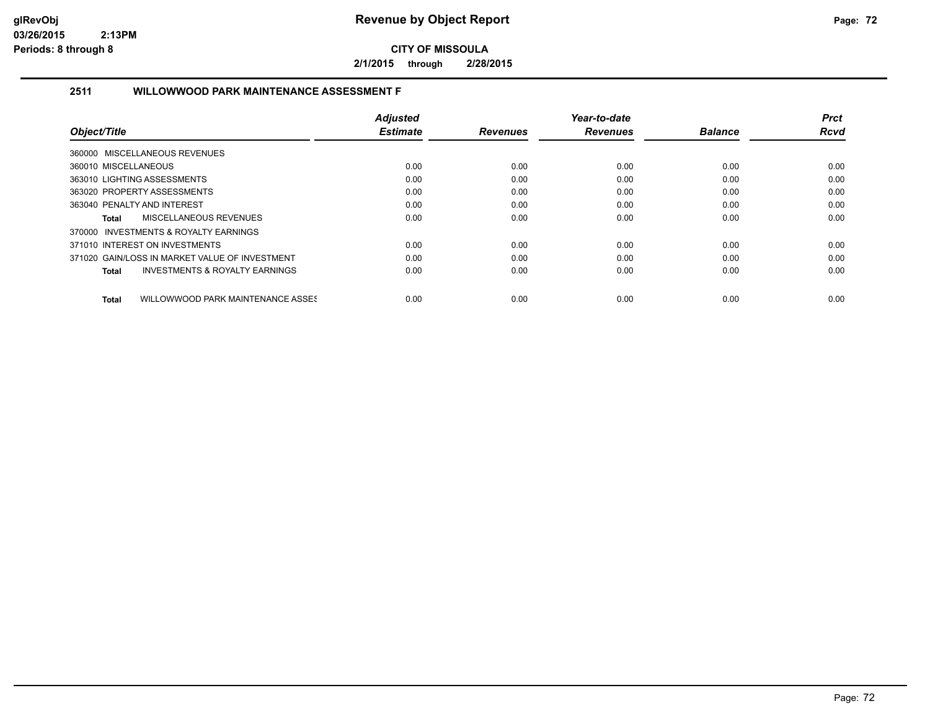**2/1/2015 through 2/28/2015**

# **2511 WILLOWWOOD PARK MAINTENANCE ASSESSMENT F**

|                                                    | <b>Adjusted</b> |                 | Year-to-date    |                | <b>Prct</b> |
|----------------------------------------------------|-----------------|-----------------|-----------------|----------------|-------------|
| Object/Title                                       | <b>Estimate</b> | <b>Revenues</b> | <b>Revenues</b> | <b>Balance</b> | <b>Rcvd</b> |
| 360000 MISCELLANEOUS REVENUES                      |                 |                 |                 |                |             |
| 360010 MISCELLANEOUS                               | 0.00            | 0.00            | 0.00            | 0.00           | 0.00        |
| 363010 LIGHTING ASSESSMENTS                        | 0.00            | 0.00            | 0.00            | 0.00           | 0.00        |
| 363020 PROPERTY ASSESSMENTS                        | 0.00            | 0.00            | 0.00            | 0.00           | 0.00        |
| 363040 PENALTY AND INTEREST                        | 0.00            | 0.00            | 0.00            | 0.00           | 0.00        |
| MISCELLANEOUS REVENUES<br>Total                    | 0.00            | 0.00            | 0.00            | 0.00           | 0.00        |
| 370000 INVESTMENTS & ROYALTY EARNINGS              |                 |                 |                 |                |             |
| 371010 INTEREST ON INVESTMENTS                     | 0.00            | 0.00            | 0.00            | 0.00           | 0.00        |
| 371020 GAIN/LOSS IN MARKET VALUE OF INVESTMENT     | 0.00            | 0.00            | 0.00            | 0.00           | 0.00        |
| <b>INVESTMENTS &amp; ROYALTY EARNINGS</b><br>Total | 0.00            | 0.00            | 0.00            | 0.00           | 0.00        |
| WILLOWWOOD PARK MAINTENANCE ASSES<br>Total         | 0.00            | 0.00            | 0.00            | 0.00           | 0.00        |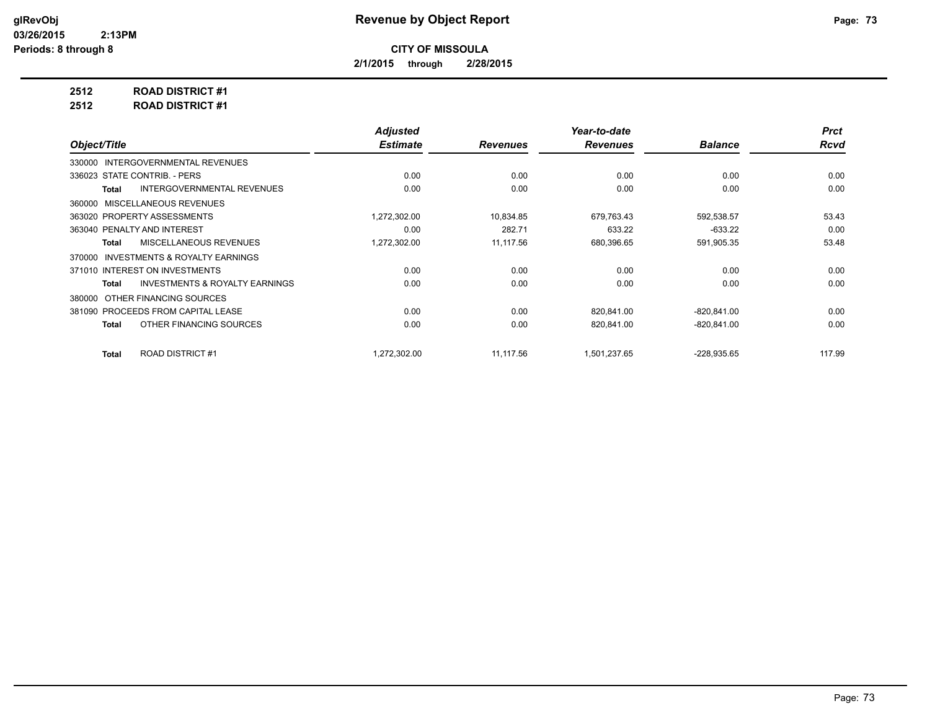**2/1/2015 through 2/28/2015**

**2512 ROAD DISTRICT #1**

**2512 ROAD DISTRICT #1**

|                                                    | <b>Adjusted</b> |                 | Year-to-date    |                | <b>Prct</b> |
|----------------------------------------------------|-----------------|-----------------|-----------------|----------------|-------------|
| Object/Title                                       | <b>Estimate</b> | <b>Revenues</b> | <b>Revenues</b> | <b>Balance</b> | <b>Rcvd</b> |
| 330000 INTERGOVERNMENTAL REVENUES                  |                 |                 |                 |                |             |
| 336023 STATE CONTRIB. - PERS                       | 0.00            | 0.00            | 0.00            | 0.00           | 0.00        |
| <b>INTERGOVERNMENTAL REVENUES</b><br>Total         | 0.00            | 0.00            | 0.00            | 0.00           | 0.00        |
| MISCELLANEOUS REVENUES<br>360000                   |                 |                 |                 |                |             |
| 363020 PROPERTY ASSESSMENTS                        | 1,272,302.00    | 10,834.85       | 679,763.43      | 592,538.57     | 53.43       |
| 363040 PENALTY AND INTEREST                        | 0.00            | 282.71          | 633.22          | $-633.22$      | 0.00        |
| MISCELLANEOUS REVENUES<br><b>Total</b>             | 1,272,302.00    | 11.117.56       | 680,396.65      | 591,905.35     | 53.48       |
| INVESTMENTS & ROYALTY EARNINGS<br>370000           |                 |                 |                 |                |             |
| 371010 INTEREST ON INVESTMENTS                     | 0.00            | 0.00            | 0.00            | 0.00           | 0.00        |
| <b>INVESTMENTS &amp; ROYALTY EARNINGS</b><br>Total | 0.00            | 0.00            | 0.00            | 0.00           | 0.00        |
| OTHER FINANCING SOURCES<br>380000                  |                 |                 |                 |                |             |
| 381090 PROCEEDS FROM CAPITAL LEASE                 | 0.00            | 0.00            | 820,841.00      | $-820, 841.00$ | 0.00        |
| OTHER FINANCING SOURCES<br>Total                   | 0.00            | 0.00            | 820,841.00      | $-820, 841.00$ | 0.00        |
| ROAD DISTRICT #1<br><b>Total</b>                   | 1,272,302.00    | 11,117.56       | 1,501,237.65    | $-228,935.65$  | 117.99      |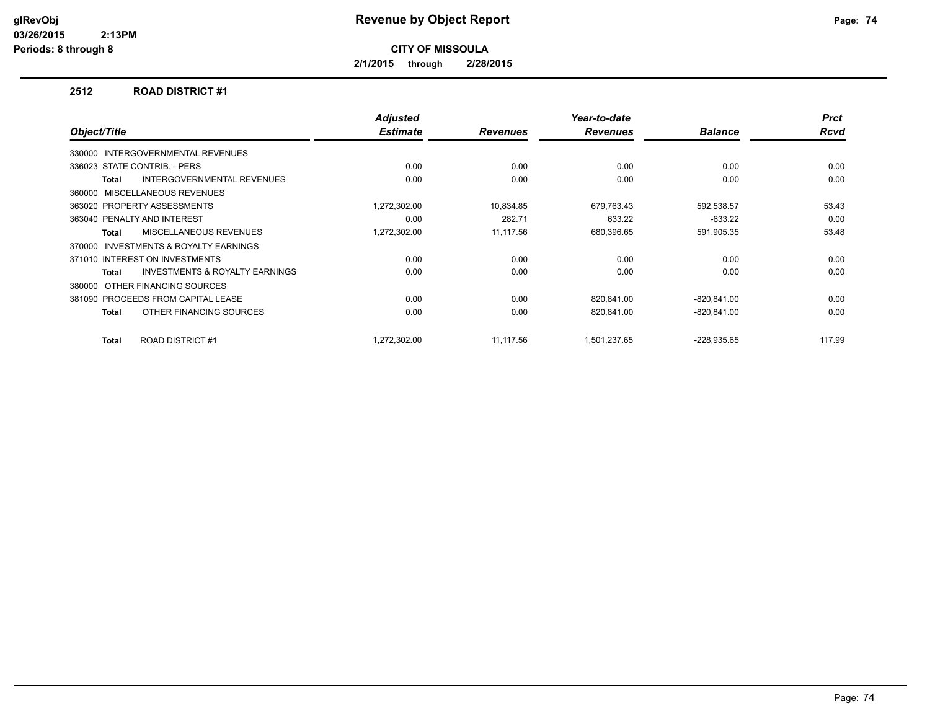**2/1/2015 through 2/28/2015**

## **2512 ROAD DISTRICT #1**

|              |                                           | <b>Adjusted</b> |                 | Year-to-date    |                | <b>Prct</b> |
|--------------|-------------------------------------------|-----------------|-----------------|-----------------|----------------|-------------|
| Object/Title |                                           | <b>Estimate</b> | <b>Revenues</b> | <b>Revenues</b> | <b>Balance</b> | <b>Rcvd</b> |
|              | 330000 INTERGOVERNMENTAL REVENUES         |                 |                 |                 |                |             |
|              | 336023 STATE CONTRIB. - PERS              | 0.00            | 0.00            | 0.00            | 0.00           | 0.00        |
| Total        | <b>INTERGOVERNMENTAL REVENUES</b>         | 0.00            | 0.00            | 0.00            | 0.00           | 0.00        |
| 360000       | MISCELLANEOUS REVENUES                    |                 |                 |                 |                |             |
|              | 363020 PROPERTY ASSESSMENTS               | 1,272,302.00    | 10,834.85       | 679,763.43      | 592,538.57     | 53.43       |
|              | 363040 PENALTY AND INTEREST               | 0.00            | 282.71          | 633.22          | $-633.22$      | 0.00        |
| Total        | <b>MISCELLANEOUS REVENUES</b>             | 1,272,302.00    | 11,117.56       | 680,396.65      | 591,905.35     | 53.48       |
| 370000       | <b>INVESTMENTS &amp; ROYALTY EARNINGS</b> |                 |                 |                 |                |             |
|              | 371010 INTEREST ON INVESTMENTS            | 0.00            | 0.00            | 0.00            | 0.00           | 0.00        |
| Total        | <b>INVESTMENTS &amp; ROYALTY EARNINGS</b> | 0.00            | 0.00            | 0.00            | 0.00           | 0.00        |
|              | 380000 OTHER FINANCING SOURCES            |                 |                 |                 |                |             |
|              | 381090 PROCEEDS FROM CAPITAL LEASE        | 0.00            | 0.00            | 820,841.00      | $-820, 841.00$ | 0.00        |
| Total        | OTHER FINANCING SOURCES                   | 0.00            | 0.00            | 820,841.00      | $-820, 841.00$ | 0.00        |
| Total        | <b>ROAD DISTRICT #1</b>                   | 1,272,302.00    | 11,117.56       | 1,501,237.65    | $-228,935.65$  | 117.99      |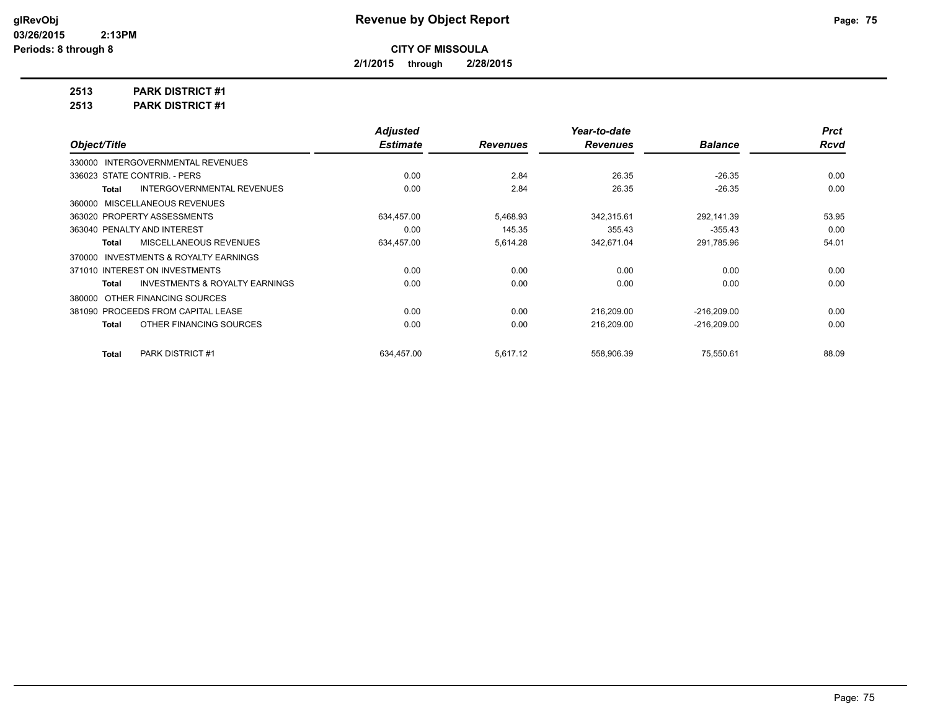**2/1/2015 through 2/28/2015**

**2513 PARK DISTRICT #1**

**2513 PARK DISTRICT #1**

|                                                    | <b>Adjusted</b> |                 | Year-to-date    |                | <b>Prct</b> |
|----------------------------------------------------|-----------------|-----------------|-----------------|----------------|-------------|
| Object/Title                                       | <b>Estimate</b> | <b>Revenues</b> | <b>Revenues</b> | <b>Balance</b> | <b>Rcvd</b> |
| 330000 INTERGOVERNMENTAL REVENUES                  |                 |                 |                 |                |             |
| 336023 STATE CONTRIB. - PERS                       | 0.00            | 2.84            | 26.35           | $-26.35$       | 0.00        |
| <b>INTERGOVERNMENTAL REVENUES</b><br>Total         | 0.00            | 2.84            | 26.35           | $-26.35$       | 0.00        |
| 360000 MISCELLANEOUS REVENUES                      |                 |                 |                 |                |             |
| 363020 PROPERTY ASSESSMENTS                        | 634.457.00      | 5,468.93        | 342,315.61      | 292.141.39     | 53.95       |
| 363040 PENALTY AND INTEREST                        | 0.00            | 145.35          | 355.43          | $-355.43$      | 0.00        |
| MISCELLANEOUS REVENUES<br>Total                    | 634,457.00      | 5,614.28        | 342,671.04      | 291,785.96     | 54.01       |
| 370000 INVESTMENTS & ROYALTY EARNINGS              |                 |                 |                 |                |             |
| 371010 INTEREST ON INVESTMENTS                     | 0.00            | 0.00            | 0.00            | 0.00           | 0.00        |
| <b>INVESTMENTS &amp; ROYALTY EARNINGS</b><br>Total | 0.00            | 0.00            | 0.00            | 0.00           | 0.00        |
| 380000 OTHER FINANCING SOURCES                     |                 |                 |                 |                |             |
| 381090 PROCEEDS FROM CAPITAL LEASE                 | 0.00            | 0.00            | 216,209.00      | $-216,209.00$  | 0.00        |
| OTHER FINANCING SOURCES<br>Total                   | 0.00            | 0.00            | 216,209.00      | $-216,209.00$  | 0.00        |
| <b>PARK DISTRICT #1</b><br><b>Total</b>            | 634.457.00      | 5,617.12        | 558,906.39      | 75,550.61      | 88.09       |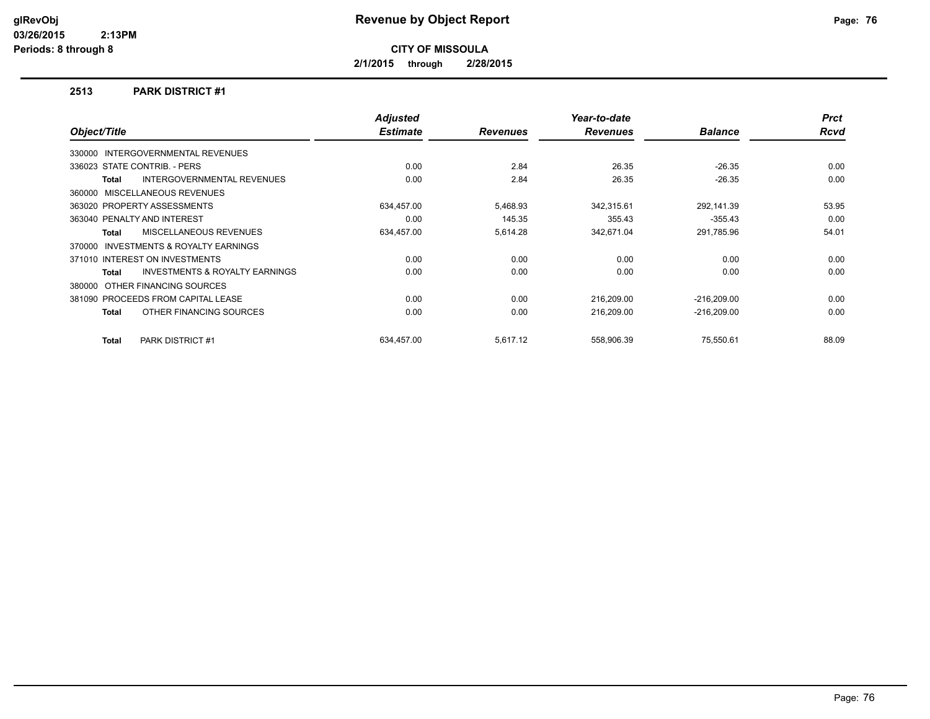**2/1/2015 through 2/28/2015**

## **2513 PARK DISTRICT #1**

|              |                                           | <b>Adjusted</b> |                 | Year-to-date    |                | <b>Prct</b> |
|--------------|-------------------------------------------|-----------------|-----------------|-----------------|----------------|-------------|
| Object/Title |                                           | <b>Estimate</b> | <b>Revenues</b> | <b>Revenues</b> | <b>Balance</b> | <b>Rcvd</b> |
|              | 330000 INTERGOVERNMENTAL REVENUES         |                 |                 |                 |                |             |
|              | 336023 STATE CONTRIB. - PERS              | 0.00            | 2.84            | 26.35           | $-26.35$       | 0.00        |
| Total        | <b>INTERGOVERNMENTAL REVENUES</b>         | 0.00            | 2.84            | 26.35           | $-26.35$       | 0.00        |
|              | 360000 MISCELLANEOUS REVENUES             |                 |                 |                 |                |             |
|              | 363020 PROPERTY ASSESSMENTS               | 634,457.00      | 5,468.93        | 342.315.61      | 292.141.39     | 53.95       |
|              | 363040 PENALTY AND INTEREST               | 0.00            | 145.35          | 355.43          | $-355.43$      | 0.00        |
| Total        | MISCELLANEOUS REVENUES                    | 634,457.00      | 5,614.28        | 342,671.04      | 291,785.96     | 54.01       |
|              | 370000 INVESTMENTS & ROYALTY EARNINGS     |                 |                 |                 |                |             |
|              | 371010 INTEREST ON INVESTMENTS            | 0.00            | 0.00            | 0.00            | 0.00           | 0.00        |
| Total        | <b>INVESTMENTS &amp; ROYALTY EARNINGS</b> | 0.00            | 0.00            | 0.00            | 0.00           | 0.00        |
|              | 380000 OTHER FINANCING SOURCES            |                 |                 |                 |                |             |
|              | 381090 PROCEEDS FROM CAPITAL LEASE        | 0.00            | 0.00            | 216,209.00      | $-216,209.00$  | 0.00        |
| Total        | OTHER FINANCING SOURCES                   | 0.00            | 0.00            | 216,209.00      | $-216,209.00$  | 0.00        |
| Total        | <b>PARK DISTRICT #1</b>                   | 634.457.00      | 5,617.12        | 558.906.39      | 75.550.61      | 88.09       |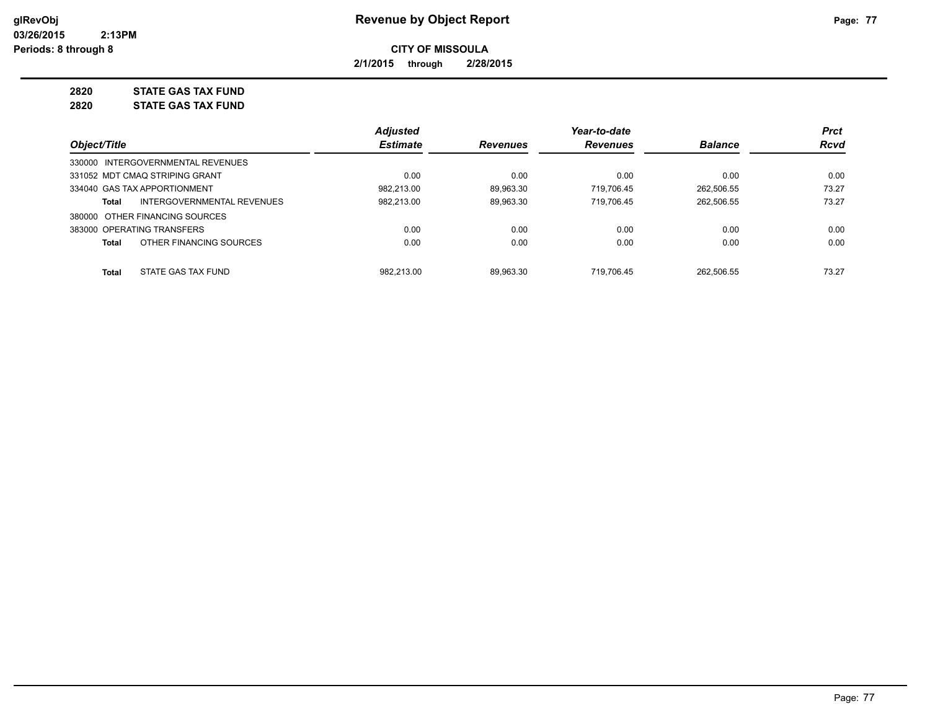**2/1/2015 through 2/28/2015**

# **2820 STATE GAS TAX FUND**

**2820 STATE GAS TAX FUND**

|                                     | <b>Adjusted</b> |                 | Year-to-date    |                | <b>Prct</b> |
|-------------------------------------|-----------------|-----------------|-----------------|----------------|-------------|
| Object/Title                        | <b>Estimate</b> | <b>Revenues</b> | <b>Revenues</b> | <b>Balance</b> | <b>Rcvd</b> |
| 330000 INTERGOVERNMENTAL REVENUES   |                 |                 |                 |                |             |
| 331052 MDT CMAQ STRIPING GRANT      | 0.00            | 0.00            | 0.00            | 0.00           | 0.00        |
| 334040 GAS TAX APPORTIONMENT        | 982.213.00      | 89.963.30       | 719.706.45      | 262.506.55     | 73.27       |
| INTERGOVERNMENTAL REVENUES<br>Total | 982,213.00      | 89,963.30       | 719.706.45      | 262,506.55     | 73.27       |
| 380000 OTHER FINANCING SOURCES      |                 |                 |                 |                |             |
| 383000 OPERATING TRANSFERS          | 0.00            | 0.00            | 0.00            | 0.00           | 0.00        |
| OTHER FINANCING SOURCES<br>Total    | 0.00            | 0.00            | 0.00            | 0.00           | 0.00        |
| STATE GAS TAX FUND<br><b>Total</b>  | 982.213.00      | 89.963.30       | 719.706.45      | 262.506.55     | 73.27       |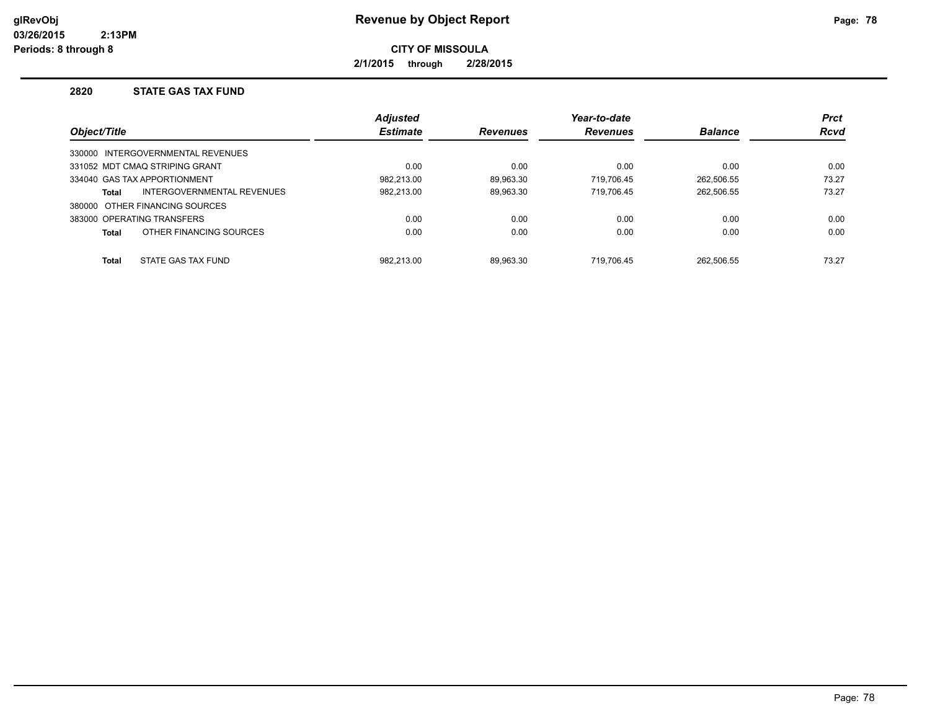**2/1/2015 through 2/28/2015**

## **2820 STATE GAS TAX FUND**

|              |                                   | <b>Adjusted</b> |                 | Year-to-date    |                | <b>Prct</b> |
|--------------|-----------------------------------|-----------------|-----------------|-----------------|----------------|-------------|
| Object/Title |                                   | <b>Estimate</b> | <b>Revenues</b> | <b>Revenues</b> | <b>Balance</b> | <b>Rcvd</b> |
|              | 330000 INTERGOVERNMENTAL REVENUES |                 |                 |                 |                |             |
|              | 331052 MDT CMAQ STRIPING GRANT    | 0.00            | 0.00            | 0.00            | 0.00           | 0.00        |
|              | 334040 GAS TAX APPORTIONMENT      | 982.213.00      | 89.963.30       | 719.706.45      | 262.506.55     | 73.27       |
| Total        | INTERGOVERNMENTAL REVENUES        | 982,213.00      | 89.963.30       | 719.706.45      | 262,506.55     | 73.27       |
|              | 380000 OTHER FINANCING SOURCES    |                 |                 |                 |                |             |
|              | 383000 OPERATING TRANSFERS        | 0.00            | 0.00            | 0.00            | 0.00           | 0.00        |
| Total        | OTHER FINANCING SOURCES           | 0.00            | 0.00            | 0.00            | 0.00           | 0.00        |
| <b>Total</b> | STATE GAS TAX FUND                | 982.213.00      | 89.963.30       | 719.706.45      | 262.506.55     | 73.27       |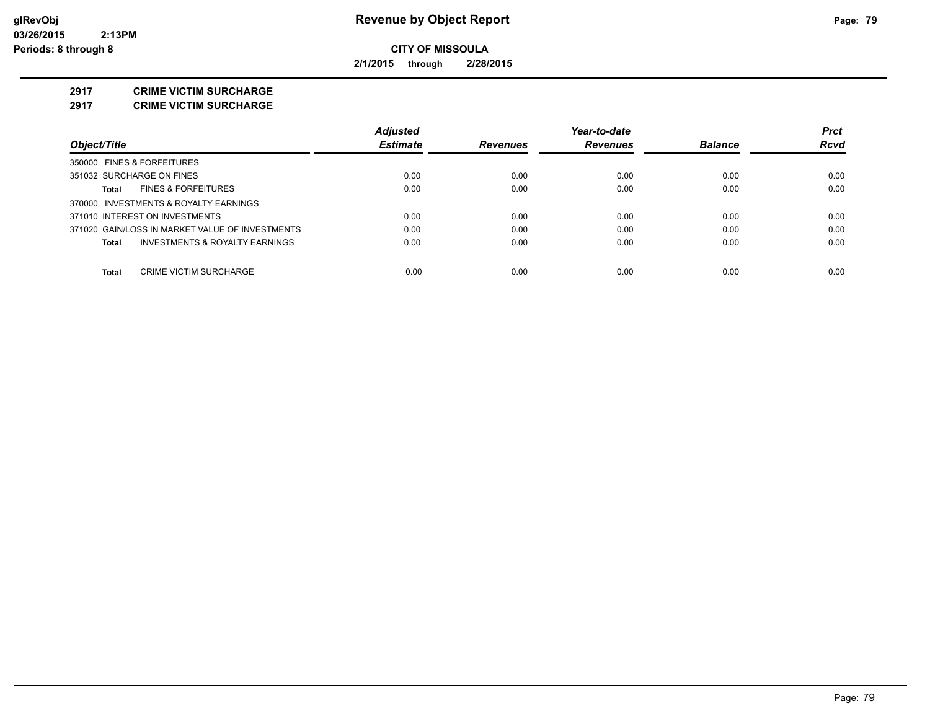**2/1/2015 through 2/28/2015**

#### **2917 CRIME VICTIM SURCHARGE**

**2917 CRIME VICTIM SURCHARGE**

|                                                 | <b>Adjusted</b> |                 | Year-to-date    |                | <b>Prct</b> |
|-------------------------------------------------|-----------------|-----------------|-----------------|----------------|-------------|
| Object/Title                                    | <b>Estimate</b> | <b>Revenues</b> | <b>Revenues</b> | <b>Balance</b> | <b>Rcvd</b> |
| 350000 FINES & FORFEITURES                      |                 |                 |                 |                |             |
| 351032 SURCHARGE ON FINES                       | 0.00            | 0.00            | 0.00            | 0.00           | 0.00        |
| <b>FINES &amp; FORFEITURES</b><br>Total         | 0.00            | 0.00            | 0.00            | 0.00           | 0.00        |
| 370000 INVESTMENTS & ROYALTY EARNINGS           |                 |                 |                 |                |             |
| 371010 INTEREST ON INVESTMENTS                  | 0.00            | 0.00            | 0.00            | 0.00           | 0.00        |
| 371020 GAIN/LOSS IN MARKET VALUE OF INVESTMENTS | 0.00            | 0.00            | 0.00            | 0.00           | 0.00        |
| INVESTMENTS & ROYALTY EARNINGS<br>Total         | 0.00            | 0.00            | 0.00            | 0.00           | 0.00        |
|                                                 |                 |                 |                 |                |             |
| <b>CRIME VICTIM SURCHARGE</b><br><b>Total</b>   | 0.00            | 0.00            | 0.00            | 0.00           | 0.00        |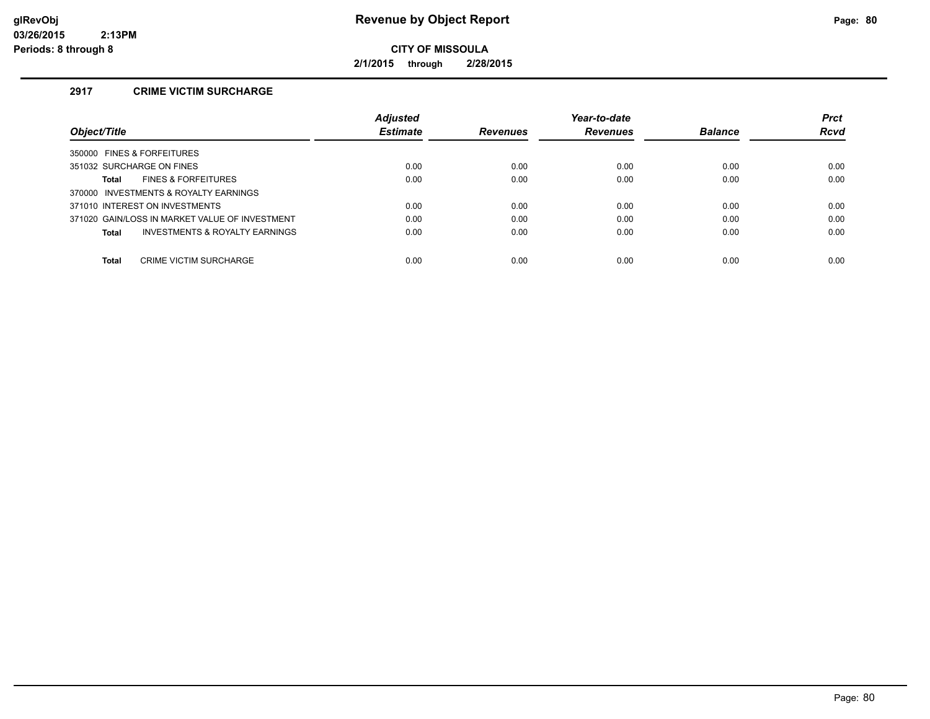**2/1/2015 through 2/28/2015**

# **2917 CRIME VICTIM SURCHARGE**

|                                                | <b>Adjusted</b> |                 | Year-to-date    |                | <b>Prct</b> |
|------------------------------------------------|-----------------|-----------------|-----------------|----------------|-------------|
| Object/Title                                   | <b>Estimate</b> | <b>Revenues</b> | <b>Revenues</b> | <b>Balance</b> | Rcvd        |
| 350000 FINES & FORFEITURES                     |                 |                 |                 |                |             |
| 351032 SURCHARGE ON FINES                      | 0.00            | 0.00            | 0.00            | 0.00           | 0.00        |
| <b>FINES &amp; FORFEITURES</b><br><b>Total</b> | 0.00            | 0.00            | 0.00            | 0.00           | 0.00        |
| 370000 INVESTMENTS & ROYALTY EARNINGS          |                 |                 |                 |                |             |
| 371010 INTEREST ON INVESTMENTS                 | 0.00            | 0.00            | 0.00            | 0.00           | 0.00        |
| 371020 GAIN/LOSS IN MARKET VALUE OF INVESTMENT | 0.00            | 0.00            | 0.00            | 0.00           | 0.00        |
| INVESTMENTS & ROYALTY EARNINGS<br><b>Total</b> | 0.00            | 0.00            | 0.00            | 0.00           | 0.00        |
|                                                |                 |                 |                 |                |             |
| CRIME VICTIM SURCHARGE<br><b>Total</b>         | 0.00            | 0.00            | 0.00            | 0.00           | 0.00        |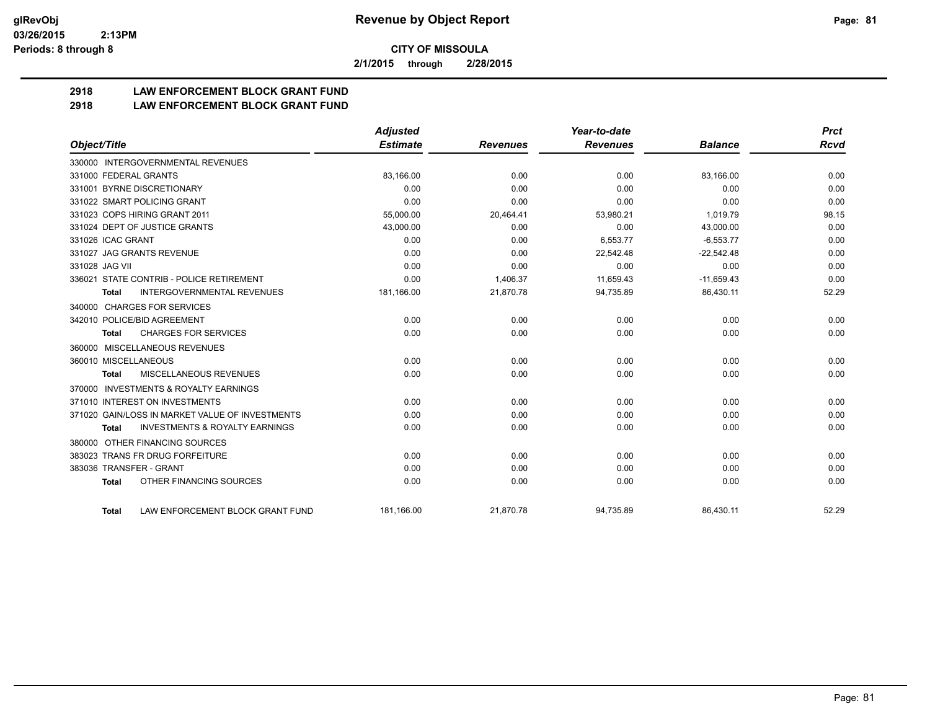**2/1/2015 through 2/28/2015**

# **2918 LAW ENFORCEMENT BLOCK GRANT FUND**

**2918 LAW ENFORCEMENT BLOCK GRANT FUND**

|                         |                                                 | <b>Adjusted</b> |                 | Year-to-date    |                | <b>Prct</b> |
|-------------------------|-------------------------------------------------|-----------------|-----------------|-----------------|----------------|-------------|
| Object/Title            |                                                 | <b>Estimate</b> | <b>Revenues</b> | <b>Revenues</b> | <b>Balance</b> | <b>Rcvd</b> |
|                         | 330000 INTERGOVERNMENTAL REVENUES               |                 |                 |                 |                |             |
| 331000 FEDERAL GRANTS   |                                                 | 83,166.00       | 0.00            | 0.00            | 83,166.00      | 0.00        |
|                         | 331001 BYRNE DISCRETIONARY                      | 0.00            | 0.00            | 0.00            | 0.00           | 0.00        |
|                         | 331022 SMART POLICING GRANT                     | 0.00            | 0.00            | 0.00            | 0.00           | 0.00        |
|                         | 331023 COPS HIRING GRANT 2011                   | 55,000.00       | 20,464.41       | 53,980.21       | 1,019.79       | 98.15       |
|                         | 331024 DEPT OF JUSTICE GRANTS                   | 43,000.00       | 0.00            | 0.00            | 43.000.00      | 0.00        |
| 331026 ICAC GRANT       |                                                 | 0.00            | 0.00            | 6.553.77        | $-6.553.77$    | 0.00        |
|                         | 331027 JAG GRANTS REVENUE                       | 0.00            | 0.00            | 22,542.48       | $-22,542.48$   | 0.00        |
| 331028 JAG VII          |                                                 | 0.00            | 0.00            | 0.00            | 0.00           | 0.00        |
|                         | 336021 STATE CONTRIB - POLICE RETIREMENT        | 0.00            | 1,406.37        | 11,659.43       | $-11,659.43$   | 0.00        |
| Total                   | <b>INTERGOVERNMENTAL REVENUES</b>               | 181,166.00      | 21,870.78       | 94,735.89       | 86,430.11      | 52.29       |
| 340000                  | <b>CHARGES FOR SERVICES</b>                     |                 |                 |                 |                |             |
|                         | 342010 POLICE/BID AGREEMENT                     | 0.00            | 0.00            | 0.00            | 0.00           | 0.00        |
| <b>Total</b>            | <b>CHARGES FOR SERVICES</b>                     | 0.00            | 0.00            | 0.00            | 0.00           | 0.00        |
| 360000                  | MISCELLANEOUS REVENUES                          |                 |                 |                 |                |             |
| 360010 MISCELLANEOUS    |                                                 | 0.00            | 0.00            | 0.00            | 0.00           | 0.00        |
| <b>Total</b>            | <b>MISCELLANEOUS REVENUES</b>                   | 0.00            | 0.00            | 0.00            | 0.00           | 0.00        |
| 370000                  | <b>INVESTMENTS &amp; ROYALTY EARNINGS</b>       |                 |                 |                 |                |             |
|                         | 371010 INTEREST ON INVESTMENTS                  | 0.00            | 0.00            | 0.00            | 0.00           | 0.00        |
|                         | 371020 GAIN/LOSS IN MARKET VALUE OF INVESTMENTS | 0.00            | 0.00            | 0.00            | 0.00           | 0.00        |
| <b>Total</b>            | <b>INVESTMENTS &amp; ROYALTY EARNINGS</b>       | 0.00            | 0.00            | 0.00            | 0.00           | 0.00        |
| 380000                  | OTHER FINANCING SOURCES                         |                 |                 |                 |                |             |
|                         | 383023 TRANS FR DRUG FORFEITURE                 | 0.00            | 0.00            | 0.00            | 0.00           | 0.00        |
| 383036 TRANSFER - GRANT |                                                 | 0.00            | 0.00            | 0.00            | 0.00           | 0.00        |
| <b>Total</b>            | OTHER FINANCING SOURCES                         | 0.00            | 0.00            | 0.00            | 0.00           | 0.00        |
| <b>Total</b>            | LAW ENFORCEMENT BLOCK GRANT FUND                | 181,166.00      | 21,870.78       | 94,735.89       | 86,430.11      | 52.29       |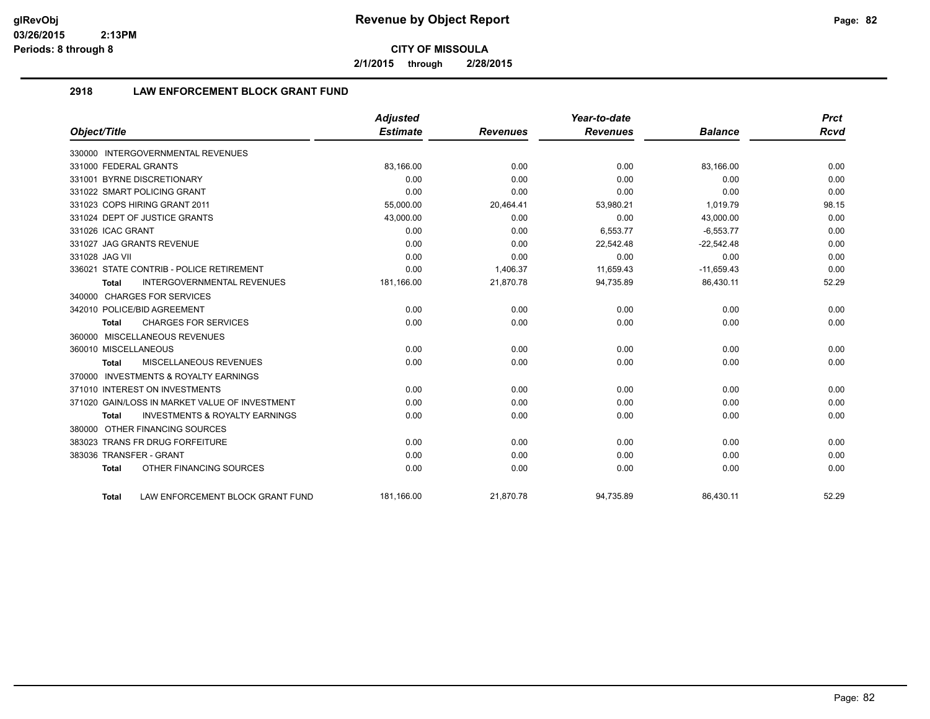**2/1/2015 through 2/28/2015**

# **2918 LAW ENFORCEMENT BLOCK GRANT FUND**

| Object/Title                                              | <b>Adjusted</b><br><b>Estimate</b> | <b>Revenues</b> | Year-to-date<br><b>Revenues</b> | <b>Balance</b> | <b>Prct</b><br>Rcvd |
|-----------------------------------------------------------|------------------------------------|-----------------|---------------------------------|----------------|---------------------|
|                                                           |                                    |                 |                                 |                |                     |
| 330000 INTERGOVERNMENTAL REVENUES                         |                                    |                 |                                 |                |                     |
| 331000 FEDERAL GRANTS                                     | 83,166.00                          | 0.00            | 0.00                            | 83,166.00      | 0.00                |
| 331001 BYRNE DISCRETIONARY                                | 0.00                               | 0.00            | 0.00                            | 0.00           | 0.00                |
| 331022 SMART POLICING GRANT                               | 0.00                               | 0.00            | 0.00                            | 0.00           | 0.00                |
| 331023 COPS HIRING GRANT 2011                             | 55,000.00                          | 20,464.41       | 53,980.21                       | 1.019.79       | 98.15               |
| 331024 DEPT OF JUSTICE GRANTS                             | 43,000.00                          | 0.00            | 0.00                            | 43.000.00      | 0.00                |
| 331026 ICAC GRANT                                         | 0.00                               | 0.00            | 6.553.77                        | $-6,553.77$    | 0.00                |
| 331027 JAG GRANTS REVENUE                                 | 0.00                               | 0.00            | 22,542.48                       | $-22,542.48$   | 0.00                |
| 331028 JAG VII                                            | 0.00                               | 0.00            | 0.00                            | 0.00           | 0.00                |
| 336021 STATE CONTRIB - POLICE RETIREMENT                  | 0.00                               | 1,406.37        | 11,659.43                       | $-11,659.43$   | 0.00                |
| <b>INTERGOVERNMENTAL REVENUES</b><br>Total                | 181,166.00                         | 21,870.78       | 94,735.89                       | 86,430.11      | 52.29               |
| 340000 CHARGES FOR SERVICES                               |                                    |                 |                                 |                |                     |
| 342010 POLICE/BID AGREEMENT                               | 0.00                               | 0.00            | 0.00                            | 0.00           | 0.00                |
| <b>CHARGES FOR SERVICES</b><br><b>Total</b>               | 0.00                               | 0.00            | 0.00                            | 0.00           | 0.00                |
| 360000 MISCELLANEOUS REVENUES                             |                                    |                 |                                 |                |                     |
| 360010 MISCELLANEOUS                                      | 0.00                               | 0.00            | 0.00                            | 0.00           | 0.00                |
| MISCELLANEOUS REVENUES<br><b>Total</b>                    | 0.00                               | 0.00            | 0.00                            | 0.00           | 0.00                |
| INVESTMENTS & ROYALTY EARNINGS<br>370000                  |                                    |                 |                                 |                |                     |
| 371010 INTEREST ON INVESTMENTS                            | 0.00                               | 0.00            | 0.00                            | 0.00           | 0.00                |
| 371020 GAIN/LOSS IN MARKET VALUE OF INVESTMENT            | 0.00                               | 0.00            | 0.00                            | 0.00           | 0.00                |
| <b>INVESTMENTS &amp; ROYALTY EARNINGS</b><br><b>Total</b> | 0.00                               | 0.00            | 0.00                            | 0.00           | 0.00                |
| OTHER FINANCING SOURCES<br>380000                         |                                    |                 |                                 |                |                     |
| 383023 TRANS FR DRUG FORFEITURE                           | 0.00                               | 0.00            | 0.00                            | 0.00           | 0.00                |
| 383036 TRANSFER - GRANT                                   | 0.00                               | 0.00            | 0.00                            | 0.00           | 0.00                |
| OTHER FINANCING SOURCES<br><b>Total</b>                   | 0.00                               | 0.00            | 0.00                            | 0.00           | 0.00                |
| LAW ENFORCEMENT BLOCK GRANT FUND<br>Total                 | 181.166.00                         | 21,870.78       | 94,735.89                       | 86.430.11      | 52.29               |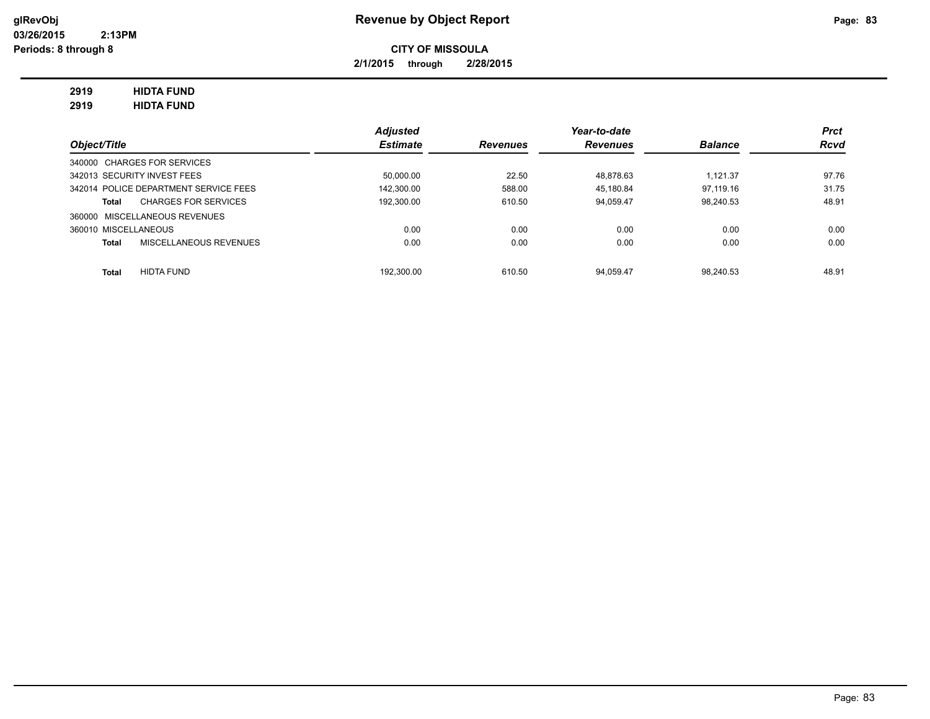**2/1/2015 through 2/28/2015**

# **2919 HIDTA FUND**

**2919 HIDTA FUND**

|                                        | <b>Adjusted</b> |                 | Year-to-date    |                | <b>Prct</b> |
|----------------------------------------|-----------------|-----------------|-----------------|----------------|-------------|
| Object/Title                           | <b>Estimate</b> | <b>Revenues</b> | <b>Revenues</b> | <b>Balance</b> | <b>Rcvd</b> |
| 340000 CHARGES FOR SERVICES            |                 |                 |                 |                |             |
| 342013 SECURITY INVEST FEES            | 50,000.00       | 22.50           | 48.878.63       | 1.121.37       | 97.76       |
| 342014 POLICE DEPARTMENT SERVICE FEES  | 142.300.00      | 588.00          | 45.180.84       | 97.119.16      | 31.75       |
| <b>CHARGES FOR SERVICES</b><br>Total   | 192.300.00      | 610.50          | 94.059.47       | 98.240.53      | 48.91       |
| 360000 MISCELLANEOUS REVENUES          |                 |                 |                 |                |             |
| 360010 MISCELLANEOUS                   | 0.00            | 0.00            | 0.00            | 0.00           | 0.00        |
| MISCELLANEOUS REVENUES<br><b>Total</b> | 0.00            | 0.00            | 0.00            | 0.00           | 0.00        |
| <b>HIDTA FUND</b><br><b>Total</b>      | 192.300.00      | 610.50          | 94.059.47       | 98.240.53      | 48.91       |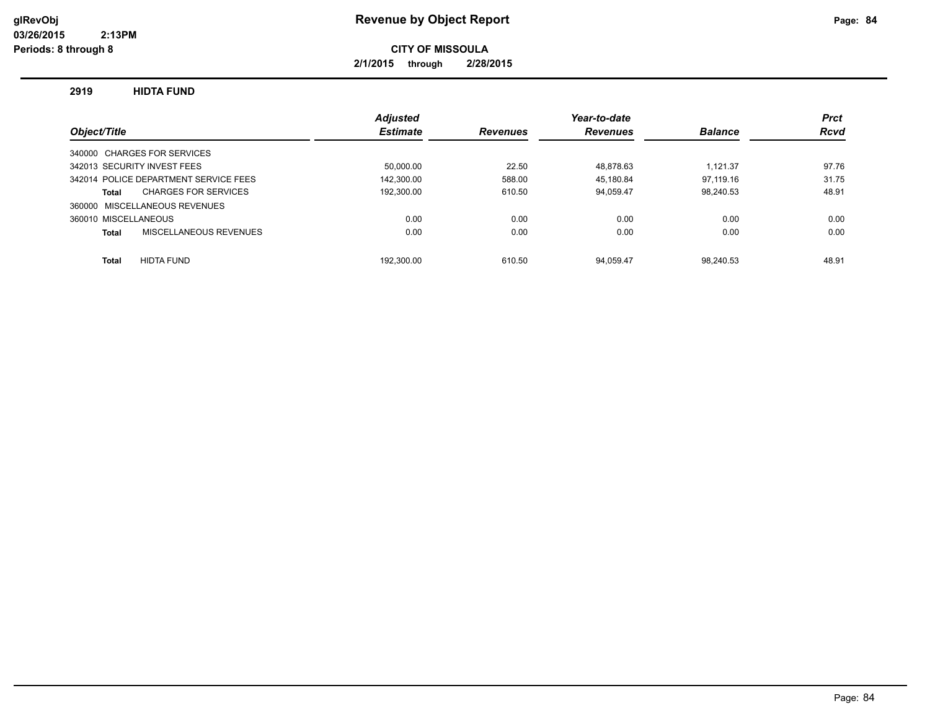**2/1/2015 through 2/28/2015**

## **2919 HIDTA FUND**

|                                        | <b>Adjusted</b> |                 | Year-to-date    |                | <b>Prct</b> |
|----------------------------------------|-----------------|-----------------|-----------------|----------------|-------------|
| Object/Title                           | <b>Estimate</b> | <b>Revenues</b> | <b>Revenues</b> | <b>Balance</b> | <b>Rcvd</b> |
| 340000 CHARGES FOR SERVICES            |                 |                 |                 |                |             |
| 342013 SECURITY INVEST FEES            | 50.000.00       | 22.50           | 48.878.63       | 1.121.37       | 97.76       |
| 342014 POLICE DEPARTMENT SERVICE FEES  | 142.300.00      | 588.00          | 45.180.84       | 97.119.16      | 31.75       |
| <b>CHARGES FOR SERVICES</b><br>Total   | 192,300.00      | 610.50          | 94,059.47       | 98.240.53      | 48.91       |
| 360000 MISCELLANEOUS REVENUES          |                 |                 |                 |                |             |
| 360010 MISCELLANEOUS                   | 0.00            | 0.00            | 0.00            | 0.00           | 0.00        |
| MISCELLANEOUS REVENUES<br><b>Total</b> | 0.00            | 0.00            | 0.00            | 0.00           | 0.00        |
| <b>HIDTA FUND</b><br><b>Total</b>      | 192.300.00      | 610.50          | 94.059.47       | 98.240.53      | 48.91       |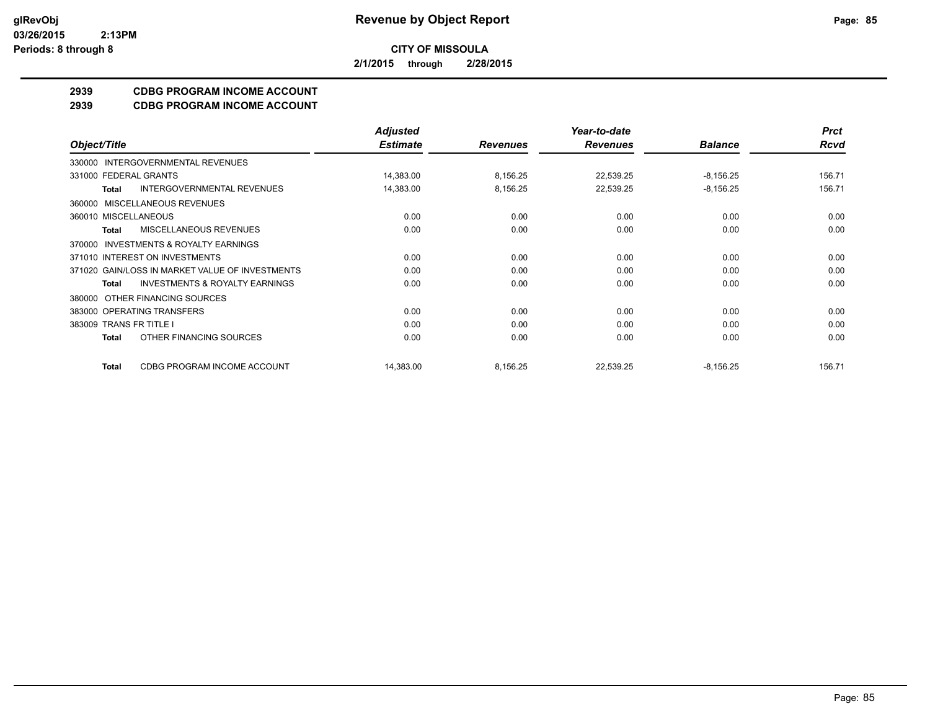**2/1/2015 through 2/28/2015**

# **2939 CDBG PROGRAM INCOME ACCOUNT**

**2939 CDBG PROGRAM INCOME ACCOUNT**

|                                                           | <b>Adjusted</b> |                 | Year-to-date    |                | <b>Prct</b> |
|-----------------------------------------------------------|-----------------|-----------------|-----------------|----------------|-------------|
| Object/Title                                              | <b>Estimate</b> | <b>Revenues</b> | <b>Revenues</b> | <b>Balance</b> | <b>Rcvd</b> |
| 330000 INTERGOVERNMENTAL REVENUES                         |                 |                 |                 |                |             |
| 331000 FEDERAL GRANTS                                     | 14,383.00       | 8,156.25        | 22,539.25       | $-8,156.25$    | 156.71      |
| INTERGOVERNMENTAL REVENUES<br><b>Total</b>                | 14,383.00       | 8,156.25        | 22,539.25       | $-8,156.25$    | 156.71      |
| 360000 MISCELLANEOUS REVENUES                             |                 |                 |                 |                |             |
| 360010 MISCELLANEOUS                                      | 0.00            | 0.00            | 0.00            | 0.00           | 0.00        |
| MISCELLANEOUS REVENUES<br><b>Total</b>                    | 0.00            | 0.00            | 0.00            | 0.00           | 0.00        |
| 370000 INVESTMENTS & ROYALTY EARNINGS                     |                 |                 |                 |                |             |
| 371010 INTEREST ON INVESTMENTS                            | 0.00            | 0.00            | 0.00            | 0.00           | 0.00        |
| 371020 GAIN/LOSS IN MARKET VALUE OF INVESTMENTS           | 0.00            | 0.00            | 0.00            | 0.00           | 0.00        |
| <b>INVESTMENTS &amp; ROYALTY EARNINGS</b><br><b>Total</b> | 0.00            | 0.00            | 0.00            | 0.00           | 0.00        |
| 380000 OTHER FINANCING SOURCES                            |                 |                 |                 |                |             |
| 383000 OPERATING TRANSFERS                                | 0.00            | 0.00            | 0.00            | 0.00           | 0.00        |
| 383009 TRANS FR TITLE I                                   | 0.00            | 0.00            | 0.00            | 0.00           | 0.00        |
| OTHER FINANCING SOURCES<br><b>Total</b>                   | 0.00            | 0.00            | 0.00            | 0.00           | 0.00        |
| CDBG PROGRAM INCOME ACCOUNT<br><b>Total</b>               | 14,383.00       | 8,156.25        | 22,539.25       | $-8,156.25$    | 156.71      |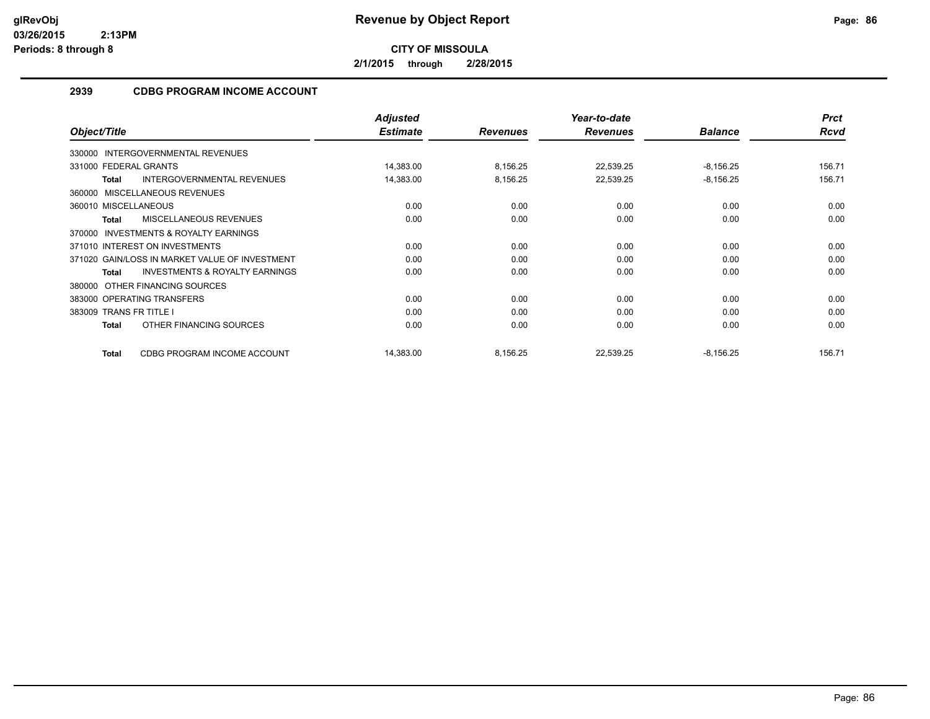**2/1/2015 through 2/28/2015**

# **2939 CDBG PROGRAM INCOME ACCOUNT**

|                                                           | <b>Adjusted</b> |                 | Year-to-date    |                | <b>Prct</b> |
|-----------------------------------------------------------|-----------------|-----------------|-----------------|----------------|-------------|
| Object/Title                                              | <b>Estimate</b> | <b>Revenues</b> | <b>Revenues</b> | <b>Balance</b> | <b>Rcvd</b> |
| 330000 INTERGOVERNMENTAL REVENUES                         |                 |                 |                 |                |             |
| 331000 FEDERAL GRANTS                                     | 14,383.00       | 8,156.25        | 22,539.25       | $-8,156.25$    | 156.71      |
| <b>INTERGOVERNMENTAL REVENUES</b><br><b>Total</b>         | 14,383.00       | 8,156.25        | 22,539.25       | $-8,156.25$    | 156.71      |
| 360000 MISCELLANEOUS REVENUES                             |                 |                 |                 |                |             |
| 360010 MISCELLANEOUS                                      | 0.00            | 0.00            | 0.00            | 0.00           | 0.00        |
| MISCELLANEOUS REVENUES<br><b>Total</b>                    | 0.00            | 0.00            | 0.00            | 0.00           | 0.00        |
| INVESTMENTS & ROYALTY EARNINGS<br>370000                  |                 |                 |                 |                |             |
| 371010 INTEREST ON INVESTMENTS                            | 0.00            | 0.00            | 0.00            | 0.00           | 0.00        |
| 371020 GAIN/LOSS IN MARKET VALUE OF INVESTMENT            | 0.00            | 0.00            | 0.00            | 0.00           | 0.00        |
| <b>INVESTMENTS &amp; ROYALTY EARNINGS</b><br><b>Total</b> | 0.00            | 0.00            | 0.00            | 0.00           | 0.00        |
| 380000 OTHER FINANCING SOURCES                            |                 |                 |                 |                |             |
| 383000 OPERATING TRANSFERS                                | 0.00            | 0.00            | 0.00            | 0.00           | 0.00        |
| 383009 TRANS FR TITLE I                                   | 0.00            | 0.00            | 0.00            | 0.00           | 0.00        |
| OTHER FINANCING SOURCES<br><b>Total</b>                   | 0.00            | 0.00            | 0.00            | 0.00           | 0.00        |
| CDBG PROGRAM INCOME ACCOUNT<br><b>Total</b>               | 14,383.00       | 8,156.25        | 22,539.25       | $-8,156.25$    | 156.71      |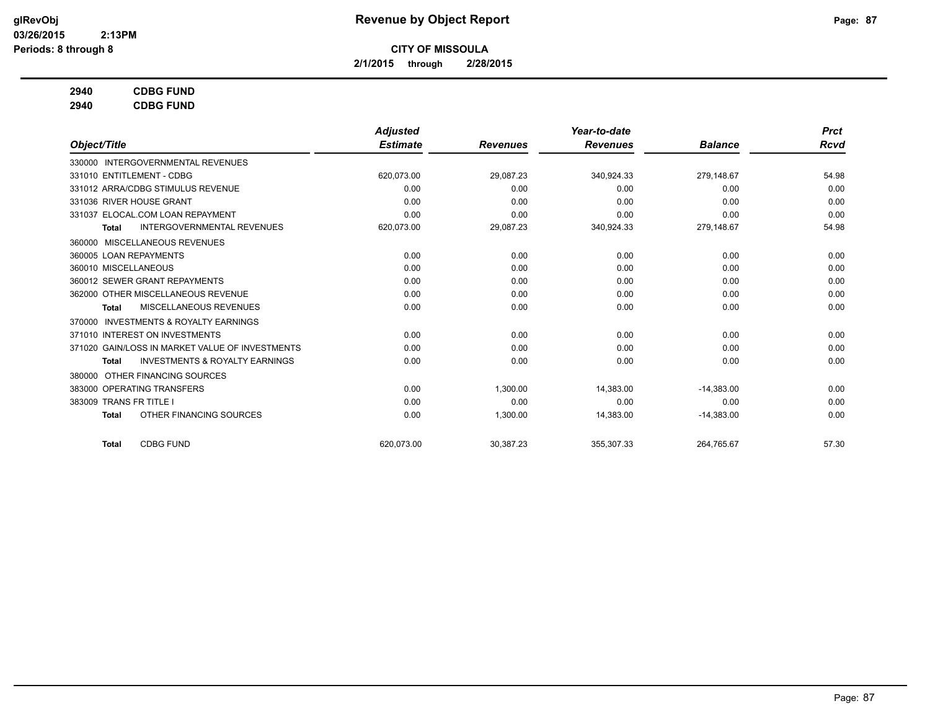**2/1/2015 through 2/28/2015**

# **2940 CDBG FUND**

**2940 CDBG FUND**

|                                                           | <b>Adjusted</b> |                 | Year-to-date    |                | <b>Prct</b> |
|-----------------------------------------------------------|-----------------|-----------------|-----------------|----------------|-------------|
| Object/Title                                              | <b>Estimate</b> | <b>Revenues</b> | <b>Revenues</b> | <b>Balance</b> | Rcvd        |
| 330000 INTERGOVERNMENTAL REVENUES                         |                 |                 |                 |                |             |
| 331010 ENTITLEMENT - CDBG                                 | 620,073.00      | 29,087.23       | 340,924.33      | 279,148.67     | 54.98       |
| 331012 ARRA/CDBG STIMULUS REVENUE                         | 0.00            | 0.00            | 0.00            | 0.00           | 0.00        |
| 331036 RIVER HOUSE GRANT                                  | 0.00            | 0.00            | 0.00            | 0.00           | 0.00        |
| 331037 ELOCAL.COM LOAN REPAYMENT                          | 0.00            | 0.00            | 0.00            | 0.00           | 0.00        |
| <b>INTERGOVERNMENTAL REVENUES</b><br><b>Total</b>         | 620,073.00      | 29,087.23       | 340,924.33      | 279,148.67     | 54.98       |
| 360000 MISCELLANEOUS REVENUES                             |                 |                 |                 |                |             |
| 360005 LOAN REPAYMENTS                                    | 0.00            | 0.00            | 0.00            | 0.00           | 0.00        |
| 360010 MISCELLANEOUS                                      | 0.00            | 0.00            | 0.00            | 0.00           | 0.00        |
| 360012 SEWER GRANT REPAYMENTS                             | 0.00            | 0.00            | 0.00            | 0.00           | 0.00        |
| 362000 OTHER MISCELLANEOUS REVENUE                        | 0.00            | 0.00            | 0.00            | 0.00           | 0.00        |
| <b>MISCELLANEOUS REVENUES</b><br><b>Total</b>             | 0.00            | 0.00            | 0.00            | 0.00           | 0.00        |
| <b>INVESTMENTS &amp; ROYALTY EARNINGS</b><br>370000       |                 |                 |                 |                |             |
| 371010 INTEREST ON INVESTMENTS                            | 0.00            | 0.00            | 0.00            | 0.00           | 0.00        |
| 371020 GAIN/LOSS IN MARKET VALUE OF INVESTMENTS           | 0.00            | 0.00            | 0.00            | 0.00           | 0.00        |
| <b>INVESTMENTS &amp; ROYALTY EARNINGS</b><br><b>Total</b> | 0.00            | 0.00            | 0.00            | 0.00           | 0.00        |
| OTHER FINANCING SOURCES<br>380000                         |                 |                 |                 |                |             |
| 383000 OPERATING TRANSFERS                                | 0.00            | 1,300.00        | 14,383.00       | $-14,383.00$   | 0.00        |
| 383009 TRANS FR TITLE I                                   | 0.00            | 0.00            | 0.00            | 0.00           | 0.00        |
| OTHER FINANCING SOURCES<br><b>Total</b>                   | 0.00            | 1,300.00        | 14,383.00       | $-14,383.00$   | 0.00        |
| <b>CDBG FUND</b><br><b>Total</b>                          | 620.073.00      | 30,387.23       | 355,307.33      | 264.765.67     | 57.30       |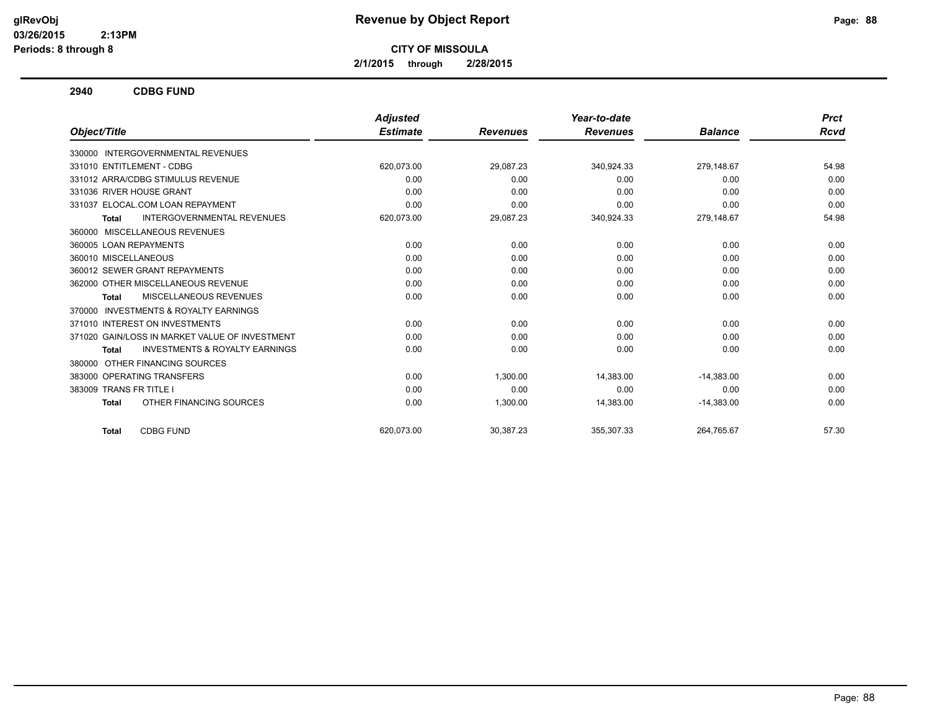**2/1/2015 through 2/28/2015**

**2940 CDBG FUND**

|                                                           | <b>Adjusted</b> |                 | Year-to-date    |                | <b>Prct</b> |
|-----------------------------------------------------------|-----------------|-----------------|-----------------|----------------|-------------|
| Object/Title                                              | <b>Estimate</b> | <b>Revenues</b> | <b>Revenues</b> | <b>Balance</b> | Rcvd        |
| <b>INTERGOVERNMENTAL REVENUES</b><br>330000               |                 |                 |                 |                |             |
| 331010 ENTITLEMENT - CDBG                                 | 620,073.00      | 29,087.23       | 340,924.33      | 279,148.67     | 54.98       |
| 331012 ARRA/CDBG STIMULUS REVENUE                         | 0.00            | 0.00            | 0.00            | 0.00           | 0.00        |
| 331036 RIVER HOUSE GRANT                                  | 0.00            | 0.00            | 0.00            | 0.00           | 0.00        |
| 331037 ELOCAL.COM LOAN REPAYMENT                          | 0.00            | 0.00            | 0.00            | 0.00           | 0.00        |
| <b>INTERGOVERNMENTAL REVENUES</b><br><b>Total</b>         | 620,073.00      | 29,087.23       | 340,924.33      | 279,148.67     | 54.98       |
| <b>MISCELLANEOUS REVENUES</b><br>360000                   |                 |                 |                 |                |             |
| 360005 LOAN REPAYMENTS                                    | 0.00            | 0.00            | 0.00            | 0.00           | 0.00        |
| 360010 MISCELLANEOUS                                      | 0.00            | 0.00            | 0.00            | 0.00           | 0.00        |
| 360012 SEWER GRANT REPAYMENTS                             | 0.00            | 0.00            | 0.00            | 0.00           | 0.00        |
| 362000 OTHER MISCELLANEOUS REVENUE                        | 0.00            | 0.00            | 0.00            | 0.00           | 0.00        |
| MISCELLANEOUS REVENUES<br><b>Total</b>                    | 0.00            | 0.00            | 0.00            | 0.00           | 0.00        |
| <b>INVESTMENTS &amp; ROYALTY EARNINGS</b><br>370000       |                 |                 |                 |                |             |
| 371010 INTEREST ON INVESTMENTS                            | 0.00            | 0.00            | 0.00            | 0.00           | 0.00        |
| 371020 GAIN/LOSS IN MARKET VALUE OF INVESTMENT            | 0.00            | 0.00            | 0.00            | 0.00           | 0.00        |
| <b>INVESTMENTS &amp; ROYALTY EARNINGS</b><br><b>Total</b> | 0.00            | 0.00            | 0.00            | 0.00           | 0.00        |
| OTHER FINANCING SOURCES<br>380000                         |                 |                 |                 |                |             |
| 383000 OPERATING TRANSFERS                                | 0.00            | 1,300.00        | 14,383.00       | $-14,383.00$   | 0.00        |
| 383009 TRANS FR TITLE I                                   | 0.00            | 0.00            | 0.00            | 0.00           | 0.00        |
| OTHER FINANCING SOURCES<br><b>Total</b>                   | 0.00            | 1,300.00        | 14,383.00       | $-14,383.00$   | 0.00        |
| <b>CDBG FUND</b><br><b>Total</b>                          | 620.073.00      | 30,387.23       | 355,307.33      | 264,765.67     | 57.30       |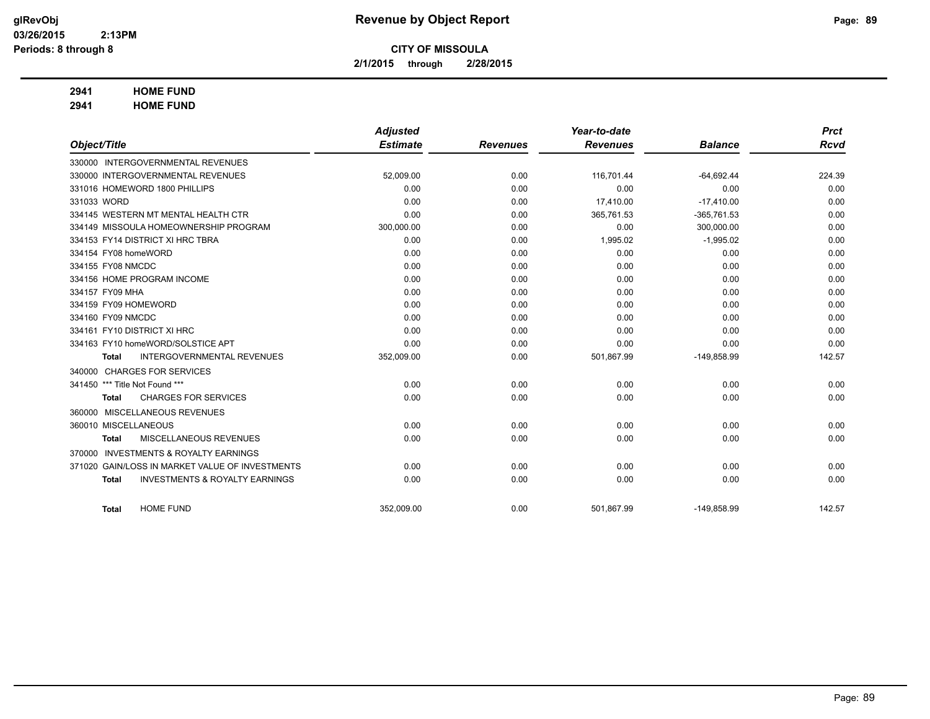**2/1/2015 through 2/28/2015**

# **2941 HOME FUND**

**2941 HOME FUND**

|                             |                                                 | <b>Adjusted</b> |                 | Year-to-date    |                | <b>Prct</b> |
|-----------------------------|-------------------------------------------------|-----------------|-----------------|-----------------|----------------|-------------|
| Object/Title                |                                                 | <b>Estimate</b> | <b>Revenues</b> | <b>Revenues</b> | <b>Balance</b> | <b>Rcvd</b> |
|                             | 330000 INTERGOVERNMENTAL REVENUES               |                 |                 |                 |                |             |
|                             | 330000 INTERGOVERNMENTAL REVENUES               | 52,009.00       | 0.00            | 116,701.44      | $-64,692.44$   | 224.39      |
|                             | 331016 HOMEWORD 1800 PHILLIPS                   | 0.00            | 0.00            | 0.00            | 0.00           | 0.00        |
| 331033 WORD                 |                                                 | 0.00            | 0.00            | 17.410.00       | $-17,410.00$   | 0.00        |
|                             | 334145 WESTERN MT MENTAL HEALTH CTR             | 0.00            | 0.00            | 365,761.53      | $-365,761.53$  | 0.00        |
|                             | 334149 MISSOULA HOMEOWNERSHIP PROGRAM           | 300,000.00      | 0.00            | 0.00            | 300,000.00     | 0.00        |
|                             | 334153 FY14 DISTRICT XI HRC TBRA                | 0.00            | 0.00            | 1,995.02        | $-1,995.02$    | 0.00        |
| 334154 FY08 homeWORD        |                                                 | 0.00            | 0.00            | 0.00            | 0.00           | 0.00        |
| 334155 FY08 NMCDC           |                                                 | 0.00            | 0.00            | 0.00            | 0.00           | 0.00        |
|                             | 334156 HOME PROGRAM INCOME                      | 0.00            | 0.00            | 0.00            | 0.00           | 0.00        |
| 334157 FY09 MHA             |                                                 | 0.00            | 0.00            | 0.00            | 0.00           | 0.00        |
| 334159 FY09 HOMEWORD        |                                                 | 0.00            | 0.00            | 0.00            | 0.00           | 0.00        |
| 334160 FY09 NMCDC           |                                                 | 0.00            | 0.00            | 0.00            | 0.00           | 0.00        |
| 334161 FY10 DISTRICT XI HRC |                                                 | 0.00            | 0.00            | 0.00            | 0.00           | 0.00        |
|                             | 334163 FY10 homeWORD/SOLSTICE APT               | 0.00            | 0.00            | 0.00            | 0.00           | 0.00        |
| <b>Total</b>                | <b>INTERGOVERNMENTAL REVENUES</b>               | 352,009.00      | 0.00            | 501,867.99      | $-149,858.99$  | 142.57      |
|                             | 340000 CHARGES FOR SERVICES                     |                 |                 |                 |                |             |
| 341450                      | *** Title Not Found ***                         | 0.00            | 0.00            | 0.00            | 0.00           | 0.00        |
| <b>Total</b>                | <b>CHARGES FOR SERVICES</b>                     | 0.00            | 0.00            | 0.00            | 0.00           | 0.00        |
|                             | 360000 MISCELLANEOUS REVENUES                   |                 |                 |                 |                |             |
| 360010 MISCELLANEOUS        |                                                 | 0.00            | 0.00            | 0.00            | 0.00           | 0.00        |
| <b>Total</b>                | MISCELLANEOUS REVENUES                          | 0.00            | 0.00            | 0.00            | 0.00           | 0.00        |
| 370000                      | <b>INVESTMENTS &amp; ROYALTY EARNINGS</b>       |                 |                 |                 |                |             |
|                             | 371020 GAIN/LOSS IN MARKET VALUE OF INVESTMENTS | 0.00            | 0.00            | 0.00            | 0.00           | 0.00        |
| <b>Total</b>                | <b>INVESTMENTS &amp; ROYALTY EARNINGS</b>       | 0.00            | 0.00            | 0.00            | 0.00           | 0.00        |
|                             |                                                 |                 |                 |                 |                |             |
| <b>Total</b>                | <b>HOME FUND</b>                                | 352,009.00      | 0.00            | 501,867.99      | $-149,858.99$  | 142.57      |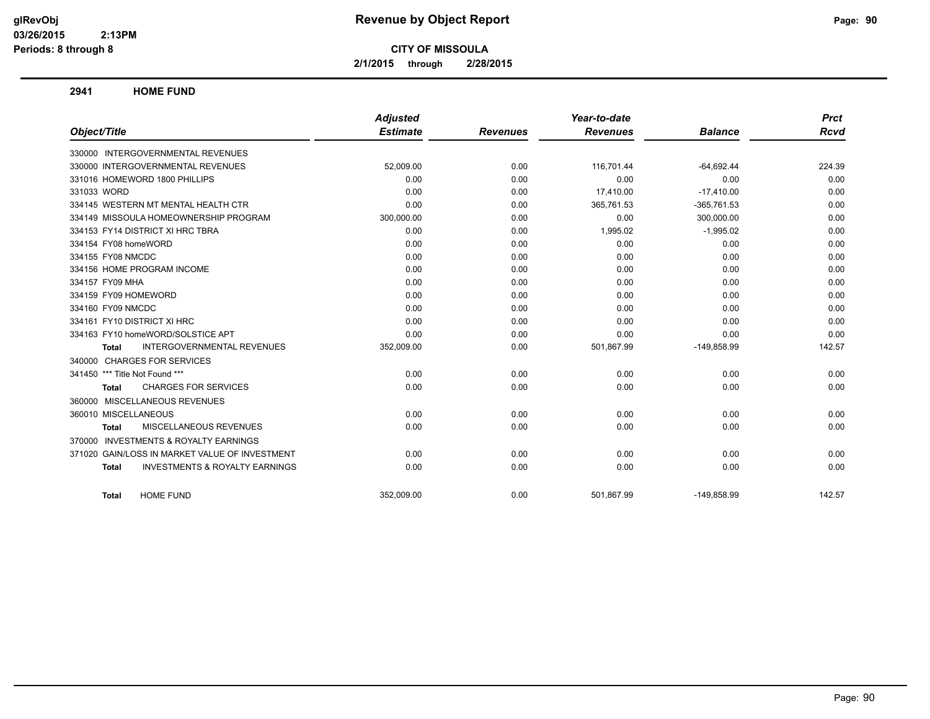**2/1/2015 through 2/28/2015**

**2941 HOME FUND**

|                                                           | <b>Adjusted</b> |                 | Year-to-date    |                | <b>Prct</b> |
|-----------------------------------------------------------|-----------------|-----------------|-----------------|----------------|-------------|
| Object/Title                                              | <b>Estimate</b> | <b>Revenues</b> | <b>Revenues</b> | <b>Balance</b> | Rcvd        |
| 330000 INTERGOVERNMENTAL REVENUES                         |                 |                 |                 |                |             |
| 330000 INTERGOVERNMENTAL REVENUES                         | 52,009.00       | 0.00            | 116.701.44      | $-64,692.44$   | 224.39      |
| 331016 HOMEWORD 1800 PHILLIPS                             | 0.00            | 0.00            | 0.00            | 0.00           | 0.00        |
| 331033 WORD                                               | 0.00            | 0.00            | 17,410.00       | $-17,410.00$   | 0.00        |
| 334145 WESTERN MT MENTAL HEALTH CTR                       | 0.00            | 0.00            | 365,761.53      | $-365,761.53$  | 0.00        |
| 334149 MISSOULA HOMEOWNERSHIP PROGRAM                     | 300,000.00      | 0.00            | 0.00            | 300,000.00     | 0.00        |
| 334153 FY14 DISTRICT XI HRC TBRA                          | 0.00            | 0.00            | 1,995.02        | $-1,995.02$    | 0.00        |
| 334154 FY08 homeWORD                                      | 0.00            | 0.00            | 0.00            | 0.00           | 0.00        |
| 334155 FY08 NMCDC                                         | 0.00            | 0.00            | 0.00            | 0.00           | 0.00        |
| 334156 HOME PROGRAM INCOME                                | 0.00            | 0.00            | 0.00            | 0.00           | 0.00        |
| 334157 FY09 MHA                                           | 0.00            | 0.00            | 0.00            | 0.00           | 0.00        |
| 334159 FY09 HOMEWORD                                      | 0.00            | 0.00            | 0.00            | 0.00           | 0.00        |
| 334160 FY09 NMCDC                                         | 0.00            | 0.00            | 0.00            | 0.00           | 0.00        |
| 334161 FY10 DISTRICT XI HRC                               | 0.00            | 0.00            | 0.00            | 0.00           | 0.00        |
| 334163 FY10 homeWORD/SOLSTICE APT                         | 0.00            | 0.00            | 0.00            | 0.00           | 0.00        |
| <b>INTERGOVERNMENTAL REVENUES</b><br><b>Total</b>         | 352,009.00      | 0.00            | 501,867.99      | $-149,858.99$  | 142.57      |
| 340000 CHARGES FOR SERVICES                               |                 |                 |                 |                |             |
| 341450 *** Title Not Found ***                            | 0.00            | 0.00            | 0.00            | 0.00           | 0.00        |
| <b>CHARGES FOR SERVICES</b><br>Total                      | 0.00            | 0.00            | 0.00            | 0.00           | 0.00        |
| 360000 MISCELLANEOUS REVENUES                             |                 |                 |                 |                |             |
| 360010 MISCELLANEOUS                                      | 0.00            | 0.00            | 0.00            | 0.00           | 0.00        |
| MISCELLANEOUS REVENUES<br><b>Total</b>                    | 0.00            | 0.00            | 0.00            | 0.00           | 0.00        |
| 370000 INVESTMENTS & ROYALTY EARNINGS                     |                 |                 |                 |                |             |
| 371020 GAIN/LOSS IN MARKET VALUE OF INVESTMENT            | 0.00            | 0.00            | 0.00            | 0.00           | 0.00        |
| <b>INVESTMENTS &amp; ROYALTY EARNINGS</b><br><b>Total</b> | 0.00            | 0.00            | 0.00            | 0.00           | 0.00        |
| <b>HOME FUND</b><br>Total                                 | 352.009.00      | 0.00            | 501,867.99      | $-149,858.99$  | 142.57      |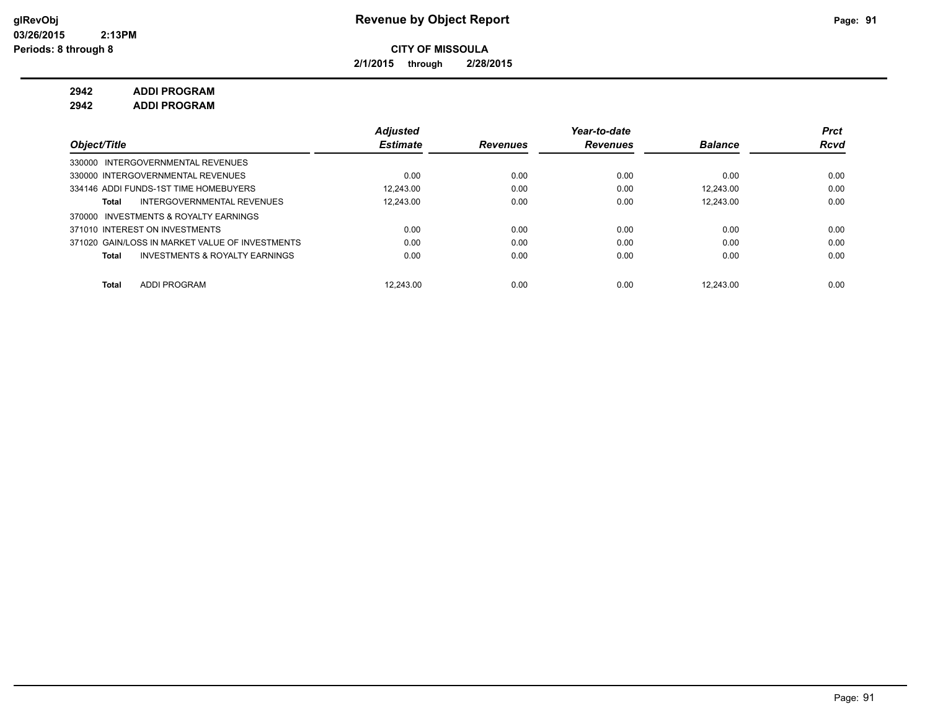**2/1/2015 through 2/28/2015**

**2942 ADDI PROGRAM**

**2942 ADDI PROGRAM**

|                                                    | <b>Adjusted</b> |                 | Year-to-date    |                | <b>Prct</b> |
|----------------------------------------------------|-----------------|-----------------|-----------------|----------------|-------------|
| Object/Title                                       | <b>Estimate</b> | <b>Revenues</b> | <b>Revenues</b> | <b>Balance</b> | <b>Rcvd</b> |
| 330000 INTERGOVERNMENTAL REVENUES                  |                 |                 |                 |                |             |
| 330000 INTERGOVERNMENTAL REVENUES                  | 0.00            | 0.00            | 0.00            | 0.00           | 0.00        |
| 334146 ADDI FUNDS-1ST TIME HOMEBUYERS              | 12.243.00       | 0.00            | 0.00            | 12.243.00      | 0.00        |
| INTERGOVERNMENTAL REVENUES<br>Total                | 12.243.00       | 0.00            | 0.00            | 12.243.00      | 0.00        |
| INVESTMENTS & ROYALTY EARNINGS<br>370000           |                 |                 |                 |                |             |
| 371010 INTEREST ON INVESTMENTS                     | 0.00            | 0.00            | 0.00            | 0.00           | 0.00        |
| 371020 GAIN/LOSS IN MARKET VALUE OF INVESTMENTS    | 0.00            | 0.00            | 0.00            | 0.00           | 0.00        |
| <b>INVESTMENTS &amp; ROYALTY EARNINGS</b><br>Total | 0.00            | 0.00            | 0.00            | 0.00           | 0.00        |
|                                                    |                 |                 |                 |                |             |
| <b>ADDI PROGRAM</b><br><b>Total</b>                | 12.243.00       | 0.00            | 0.00            | 12.243.00      | 0.00        |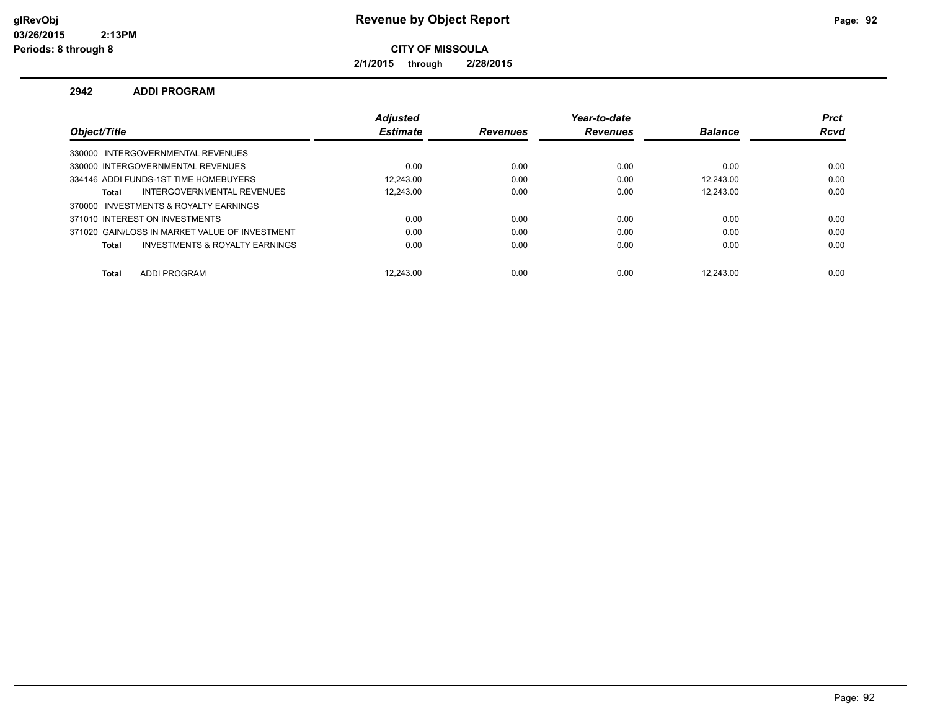**2/1/2015 through 2/28/2015**

## **2942 ADDI PROGRAM**

|                                                | <b>Adjusted</b> |                 | Year-to-date    |                | <b>Prct</b> |
|------------------------------------------------|-----------------|-----------------|-----------------|----------------|-------------|
| Object/Title                                   | <b>Estimate</b> | <b>Revenues</b> | <b>Revenues</b> | <b>Balance</b> | <b>Rcvd</b> |
| 330000 INTERGOVERNMENTAL REVENUES              |                 |                 |                 |                |             |
| 330000 INTERGOVERNMENTAL REVENUES              | 0.00            | 0.00            | 0.00            | 0.00           | 0.00        |
| 334146 ADDI FUNDS-1ST TIME HOMEBUYERS          | 12.243.00       | 0.00            | 0.00            | 12.243.00      | 0.00        |
| INTERGOVERNMENTAL REVENUES<br>Total            | 12.243.00       | 0.00            | 0.00            | 12.243.00      | 0.00        |
| 370000 INVESTMENTS & ROYALTY EARNINGS          |                 |                 |                 |                |             |
| 371010 INTEREST ON INVESTMENTS                 | 0.00            | 0.00            | 0.00            | 0.00           | 0.00        |
| 371020 GAIN/LOSS IN MARKET VALUE OF INVESTMENT | 0.00            | 0.00            | 0.00            | 0.00           | 0.00        |
| INVESTMENTS & ROYALTY EARNINGS<br>Total        | 0.00            | 0.00            | 0.00            | 0.00           | 0.00        |
|                                                |                 |                 |                 |                |             |
| <b>ADDI PROGRAM</b><br>Total                   | 12.243.00       | 0.00            | 0.00            | 12.243.00      | 0.00        |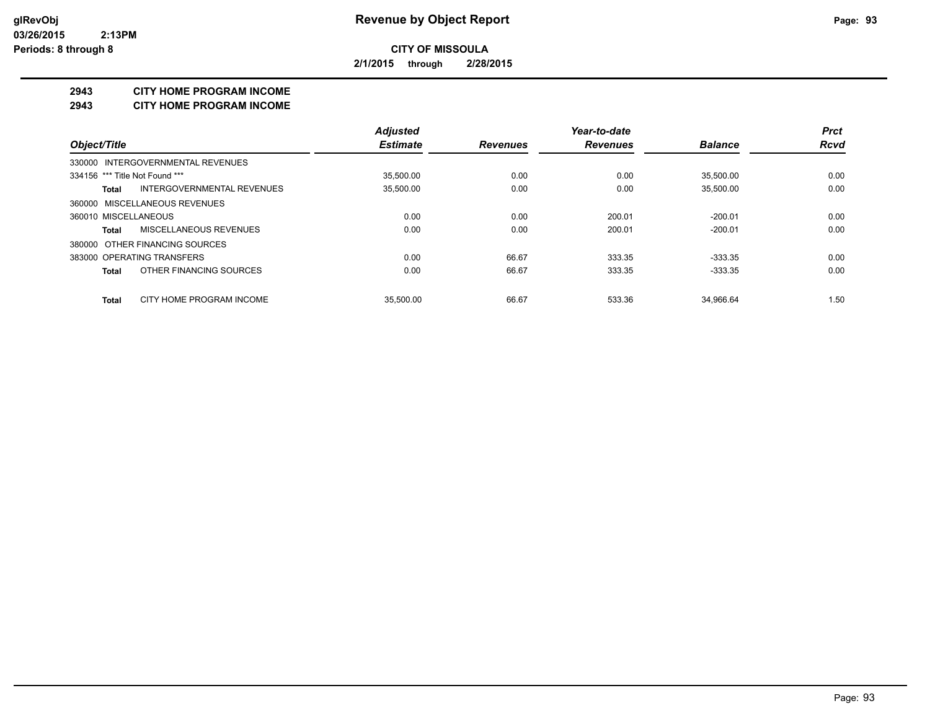**2/1/2015 through 2/28/2015**

#### **2943 CITY HOME PROGRAM INCOME**

#### **2943 CITY HOME PROGRAM INCOME**

|                                     | <b>Adjusted</b> |                 | Year-to-date    |                | <b>Prct</b> |
|-------------------------------------|-----------------|-----------------|-----------------|----------------|-------------|
| Object/Title                        | <b>Estimate</b> | <b>Revenues</b> | <b>Revenues</b> | <b>Balance</b> | <b>Rcvd</b> |
| 330000 INTERGOVERNMENTAL REVENUES   |                 |                 |                 |                |             |
| 334156 *** Title Not Found ***      | 35.500.00       | 0.00            | 0.00            | 35.500.00      | 0.00        |
| INTERGOVERNMENTAL REVENUES<br>Total | 35,500.00       | 0.00            | 0.00            | 35,500.00      | 0.00        |
| 360000 MISCELLANEOUS REVENUES       |                 |                 |                 |                |             |
| 360010 MISCELLANEOUS                | 0.00            | 0.00            | 200.01          | $-200.01$      | 0.00        |
| MISCELLANEOUS REVENUES<br>Total     | 0.00            | 0.00            | 200.01          | $-200.01$      | 0.00        |
| 380000 OTHER FINANCING SOURCES      |                 |                 |                 |                |             |
| 383000 OPERATING TRANSFERS          | 0.00            | 66.67           | 333.35          | $-333.35$      | 0.00        |
| OTHER FINANCING SOURCES<br>Total    | 0.00            | 66.67           | 333.35          | $-333.35$      | 0.00        |
| CITY HOME PROGRAM INCOME<br>Total   | 35.500.00       | 66.67           | 533.36          | 34.966.64      | 1.50        |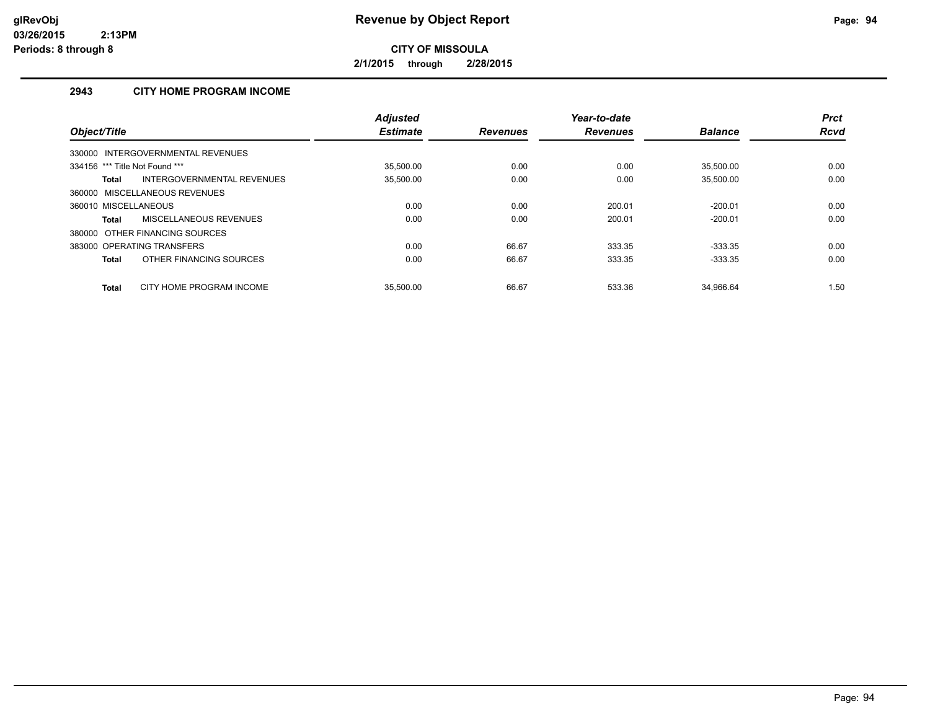**2/1/2015 through 2/28/2015**

# **2943 CITY HOME PROGRAM INCOME**

|                                            | <b>Adjusted</b> |                 | Year-to-date    |                | <b>Prct</b> |
|--------------------------------------------|-----------------|-----------------|-----------------|----------------|-------------|
| Object/Title                               | <b>Estimate</b> | <b>Revenues</b> | <b>Revenues</b> | <b>Balance</b> | <b>Rcvd</b> |
| 330000 INTERGOVERNMENTAL REVENUES          |                 |                 |                 |                |             |
| 334156 *** Title Not Found ***             | 35.500.00       | 0.00            | 0.00            | 35.500.00      | 0.00        |
| INTERGOVERNMENTAL REVENUES<br><b>Total</b> | 35,500.00       | 0.00            | 0.00            | 35,500.00      | 0.00        |
| MISCELLANEOUS REVENUES<br>360000           |                 |                 |                 |                |             |
| 360010 MISCELLANEOUS                       | 0.00            | 0.00            | 200.01          | $-200.01$      | 0.00        |
| MISCELLANEOUS REVENUES<br>Total            | 0.00            | 0.00            | 200.01          | $-200.01$      | 0.00        |
| 380000 OTHER FINANCING SOURCES             |                 |                 |                 |                |             |
| 383000 OPERATING TRANSFERS                 | 0.00            | 66.67           | 333.35          | $-333.35$      | 0.00        |
| OTHER FINANCING SOURCES<br><b>Total</b>    | 0.00            | 66.67           | 333.35          | $-333.35$      | 0.00        |
| CITY HOME PROGRAM INCOME<br><b>Total</b>   | 35.500.00       | 66.67           | 533.36          | 34.966.64      | 1.50        |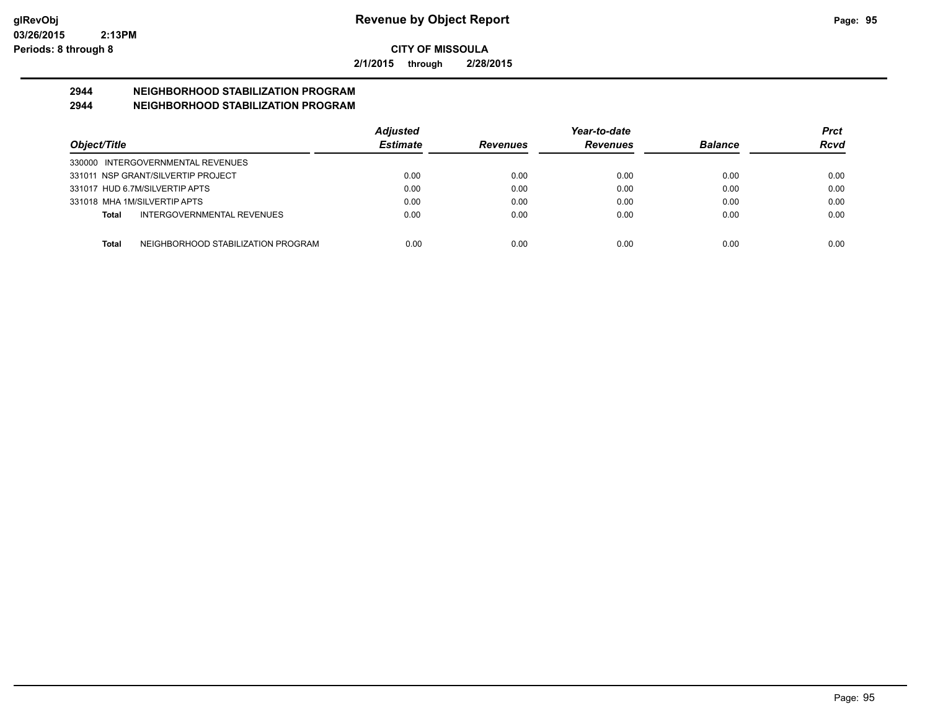**2/1/2015 through 2/28/2015**

# **2944 NEIGHBORHOOD STABILIZATION PROGRAM**

# **2944 NEIGHBORHOOD STABILIZATION PROGRAM**

|                                                    | <b>Adjusted</b> |                 | Year-to-date    |                | Prct |
|----------------------------------------------------|-----------------|-----------------|-----------------|----------------|------|
| Object/Title                                       | <b>Estimate</b> | <b>Revenues</b> | <b>Revenues</b> | <b>Balance</b> | Rcvd |
| 330000 INTERGOVERNMENTAL REVENUES                  |                 |                 |                 |                |      |
| 331011 NSP GRANT/SILVERTIP PROJECT                 | 0.00            | 0.00            | 0.00            | 0.00           | 0.00 |
| 331017 HUD 6.7M/SILVERTIP APTS                     | 0.00            | 0.00            | 0.00            | 0.00           | 0.00 |
| 331018 MHA 1M/SILVERTIP APTS                       | 0.00            | 0.00            | 0.00            | 0.00           | 0.00 |
| INTERGOVERNMENTAL REVENUES<br>Total                | 0.00            | 0.00            | 0.00            | 0.00           | 0.00 |
|                                                    |                 |                 |                 |                |      |
| NEIGHBORHOOD STABILIZATION PROGRAM<br><b>Total</b> | 0.00            | 0.00            | 0.00            | 0.00           | 0.00 |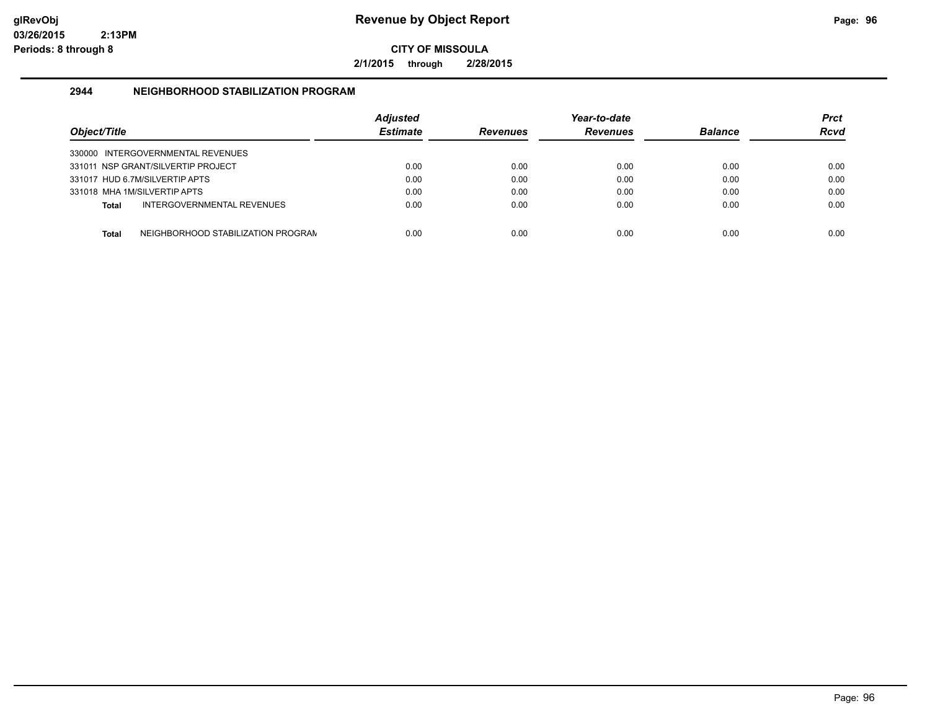**2/1/2015 through 2/28/2015**

## **2944 NEIGHBORHOOD STABILIZATION PROGRAM**

| Object/Title |                                    | <b>Adjusted</b><br><b>Estimate</b> | <b>Revenues</b> | Year-to-date<br><b>Revenues</b> | <b>Balance</b> | <b>Prct</b><br><b>Rcvd</b> |
|--------------|------------------------------------|------------------------------------|-----------------|---------------------------------|----------------|----------------------------|
|              | 330000 INTERGOVERNMENTAL REVENUES  |                                    |                 |                                 |                |                            |
|              | 331011 NSP GRANT/SILVERTIP PROJECT | 0.00                               | 0.00            | 0.00                            | 0.00           | 0.00                       |
|              | 331017 HUD 6.7M/SILVERTIP APTS     | 0.00                               | 0.00            | 0.00                            | 0.00           | 0.00                       |
|              | 331018 MHA 1M/SILVERTIP APTS       | 0.00                               | 0.00            | 0.00                            | 0.00           | 0.00                       |
| Total        | INTERGOVERNMENTAL REVENUES         | 0.00                               | 0.00            | 0.00                            | 0.00           | 0.00                       |
| Total        | NEIGHBORHOOD STABILIZATION PROGRAN | 0.00                               | 0.00            | 0.00                            | 0.00           | 0.00                       |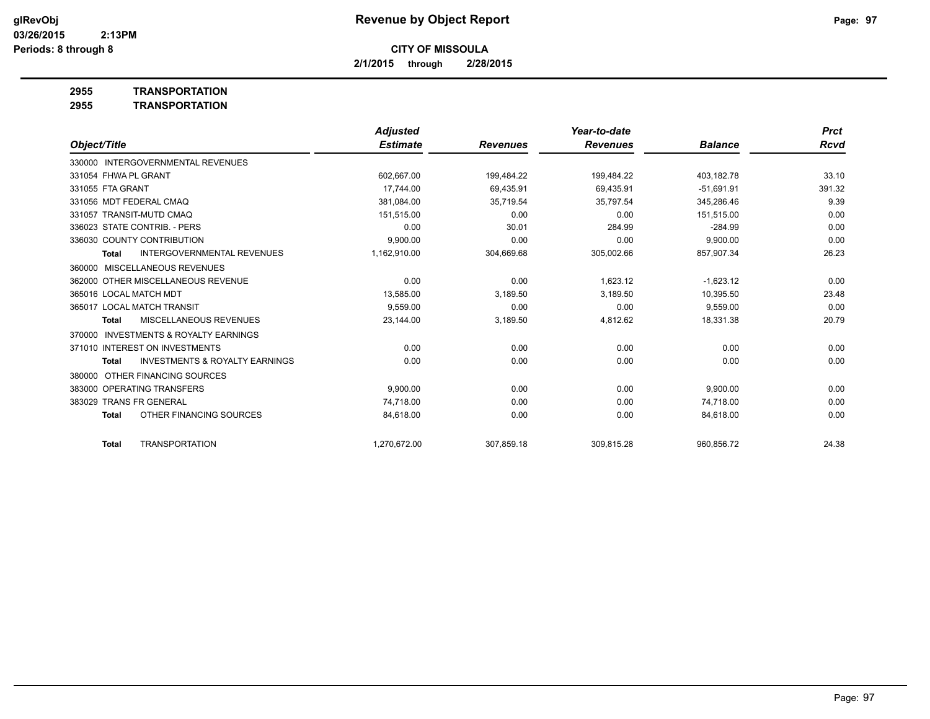**2/1/2015 through 2/28/2015**

# **2955 TRANSPORTATION**

**2955 TRANSPORTATION**

|                                                           | <b>Adjusted</b> |                 | Year-to-date    |                | <b>Prct</b> |
|-----------------------------------------------------------|-----------------|-----------------|-----------------|----------------|-------------|
| Object/Title                                              | <b>Estimate</b> | <b>Revenues</b> | <b>Revenues</b> | <b>Balance</b> | Rcvd        |
| 330000 INTERGOVERNMENTAL REVENUES                         |                 |                 |                 |                |             |
| 331054 FHWA PL GRANT                                      | 602,667.00      | 199,484.22      | 199,484.22      | 403,182.78     | 33.10       |
| 331055 FTA GRANT                                          | 17.744.00       | 69.435.91       | 69.435.91       | $-51.691.91$   | 391.32      |
| 331056 MDT FEDERAL CMAQ                                   | 381.084.00      | 35.719.54       | 35.797.54       | 345,286.46     | 9.39        |
| 331057 TRANSIT-MUTD CMAQ                                  | 151,515.00      | 0.00            | 0.00            | 151,515.00     | 0.00        |
| 336023 STATE CONTRIB. - PERS                              | 0.00            | 30.01           | 284.99          | $-284.99$      | 0.00        |
| 336030 COUNTY CONTRIBUTION                                | 9.900.00        | 0.00            | 0.00            | 9.900.00       | 0.00        |
| <b>INTERGOVERNMENTAL REVENUES</b><br><b>Total</b>         | 1,162,910.00    | 304,669.68      | 305,002.66      | 857,907.34     | 26.23       |
| 360000 MISCELLANEOUS REVENUES                             |                 |                 |                 |                |             |
| 362000 OTHER MISCELLANEOUS REVENUE                        | 0.00            | 0.00            | 1,623.12        | $-1,623.12$    | 0.00        |
| 365016 LOCAL MATCH MDT                                    | 13,585.00       | 3,189.50        | 3,189.50        | 10,395.50      | 23.48       |
| 365017 LOCAL MATCH TRANSIT                                | 9.559.00        | 0.00            | 0.00            | 9,559.00       | 0.00        |
| <b>MISCELLANEOUS REVENUES</b><br><b>Total</b>             | 23,144.00       | 3,189.50        | 4,812.62        | 18,331.38      | 20.79       |
| <b>INVESTMENTS &amp; ROYALTY EARNINGS</b><br>370000       |                 |                 |                 |                |             |
| 371010 INTEREST ON INVESTMENTS                            | 0.00            | 0.00            | 0.00            | 0.00           | 0.00        |
| <b>INVESTMENTS &amp; ROYALTY EARNINGS</b><br><b>Total</b> | 0.00            | 0.00            | 0.00            | 0.00           | 0.00        |
| OTHER FINANCING SOURCES<br>380000                         |                 |                 |                 |                |             |
| 383000 OPERATING TRANSFERS                                | 9.900.00        | 0.00            | 0.00            | 9,900.00       | 0.00        |
| 383029 TRANS FR GENERAL                                   | 74.718.00       | 0.00            | 0.00            | 74.718.00      | 0.00        |
| OTHER FINANCING SOURCES<br><b>Total</b>                   | 84,618.00       | 0.00            | 0.00            | 84,618.00      | 0.00        |
| <b>TRANSPORTATION</b><br><b>Total</b>                     | 1.270.672.00    | 307.859.18      | 309.815.28      | 960.856.72     | 24.38       |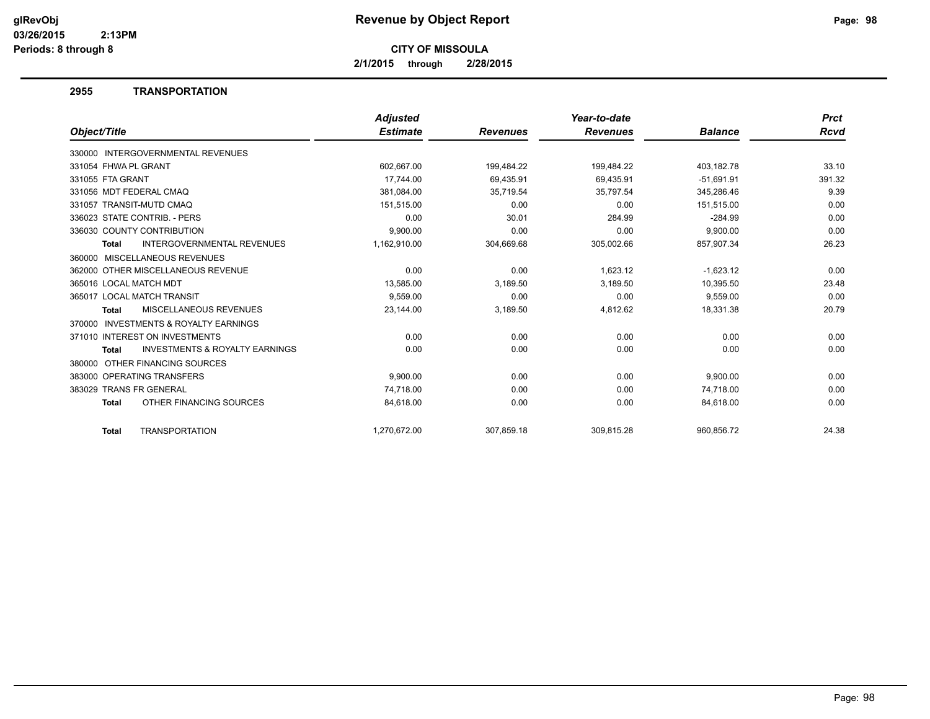**2/1/2015 through 2/28/2015**

## **2955 TRANSPORTATION**

|                         |                                           | <b>Adjusted</b> |                 | Year-to-date    |                | <b>Prct</b> |
|-------------------------|-------------------------------------------|-----------------|-----------------|-----------------|----------------|-------------|
| Object/Title            |                                           | <b>Estimate</b> | <b>Revenues</b> | <b>Revenues</b> | <b>Balance</b> | Rcvd        |
|                         | 330000 INTERGOVERNMENTAL REVENUES         |                 |                 |                 |                |             |
| 331054 FHWA PL GRANT    |                                           | 602,667.00      | 199,484.22      | 199,484.22      | 403,182.78     | 33.10       |
| 331055 FTA GRANT        |                                           | 17,744.00       | 69,435.91       | 69,435.91       | $-51,691.91$   | 391.32      |
|                         | 331056 MDT FEDERAL CMAQ                   | 381,084.00      | 35,719.54       | 35,797.54       | 345,286.46     | 9.39        |
|                         | 331057 TRANSIT-MUTD CMAQ                  | 151,515.00      | 0.00            | 0.00            | 151.515.00     | 0.00        |
|                         | 336023 STATE CONTRIB. - PERS              | 0.00            | 30.01           | 284.99          | $-284.99$      | 0.00        |
|                         | 336030 COUNTY CONTRIBUTION                | 9,900.00        | 0.00            | 0.00            | 9,900.00       | 0.00        |
| <b>Total</b>            | <b>INTERGOVERNMENTAL REVENUES</b>         | 1,162,910.00    | 304,669.68      | 305,002.66      | 857,907.34     | 26.23       |
|                         | 360000 MISCELLANEOUS REVENUES             |                 |                 |                 |                |             |
|                         | 362000 OTHER MISCELLANEOUS REVENUE        | 0.00            | 0.00            | 1,623.12        | $-1,623.12$    | 0.00        |
| 365016 LOCAL MATCH MDT  |                                           | 13,585.00       | 3,189.50        | 3,189.50        | 10,395.50      | 23.48       |
|                         | 365017 LOCAL MATCH TRANSIT                | 9,559.00        | 0.00            | 0.00            | 9,559.00       | 0.00        |
| Total                   | MISCELLANEOUS REVENUES                    | 23,144.00       | 3,189.50        | 4,812.62        | 18,331.38      | 20.79       |
|                         | 370000 INVESTMENTS & ROYALTY EARNINGS     |                 |                 |                 |                |             |
|                         | 371010 INTEREST ON INVESTMENTS            | 0.00            | 0.00            | 0.00            | 0.00           | 0.00        |
| <b>Total</b>            | <b>INVESTMENTS &amp; ROYALTY EARNINGS</b> | 0.00            | 0.00            | 0.00            | 0.00           | 0.00        |
|                         | 380000 OTHER FINANCING SOURCES            |                 |                 |                 |                |             |
|                         | 383000 OPERATING TRANSFERS                | 9,900.00        | 0.00            | 0.00            | 9,900.00       | 0.00        |
| 383029 TRANS FR GENERAL |                                           | 74,718.00       | 0.00            | 0.00            | 74,718.00      | 0.00        |
| <b>Total</b>            | OTHER FINANCING SOURCES                   | 84,618.00       | 0.00            | 0.00            | 84,618.00      | 0.00        |
| <b>Total</b>            | <b>TRANSPORTATION</b>                     | 1,270,672.00    | 307.859.18      | 309.815.28      | 960.856.72     | 24.38       |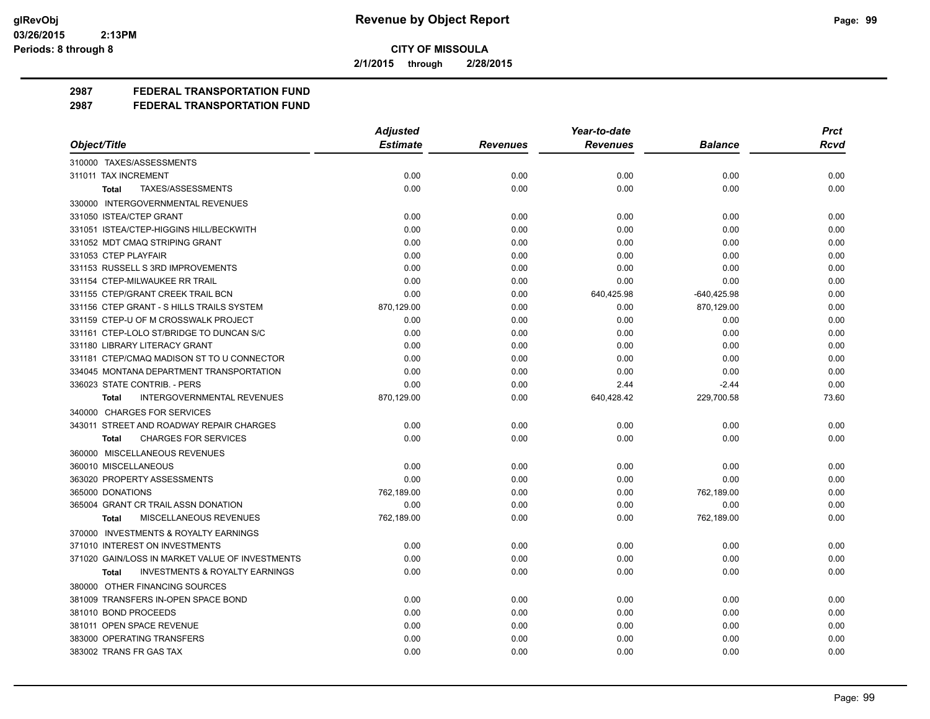**2/1/2015 through 2/28/2015**

**2987 FEDERAL TRANSPORTATION FUND**

|                                                           | <b>Adjusted</b> |                 | Year-to-date    |                | <b>Prct</b> |
|-----------------------------------------------------------|-----------------|-----------------|-----------------|----------------|-------------|
| Object/Title                                              | <b>Estimate</b> | <b>Revenues</b> | <b>Revenues</b> | <b>Balance</b> | Rcvd        |
| 310000 TAXES/ASSESSMENTS                                  |                 |                 |                 |                |             |
| 311011 TAX INCREMENT                                      | 0.00            | 0.00            | 0.00            | 0.00           | 0.00        |
| TAXES/ASSESSMENTS<br><b>Total</b>                         | 0.00            | 0.00            | 0.00            | 0.00           | 0.00        |
| 330000 INTERGOVERNMENTAL REVENUES                         |                 |                 |                 |                |             |
| 331050 ISTEA/CTEP GRANT                                   | 0.00            | 0.00            | 0.00            | 0.00           | 0.00        |
| 331051 ISTEA/CTEP-HIGGINS HILL/BECKWITH                   | 0.00            | 0.00            | 0.00            | 0.00           | 0.00        |
| 331052 MDT CMAQ STRIPING GRANT                            | 0.00            | 0.00            | 0.00            | 0.00           | 0.00        |
| 331053 CTEP PLAYFAIR                                      | 0.00            | 0.00            | 0.00            | 0.00           | 0.00        |
| 331153 RUSSELL S 3RD IMPROVEMENTS                         | 0.00            | 0.00            | 0.00            | 0.00           | 0.00        |
| 331154 CTEP-MILWAUKEE RR TRAIL                            | 0.00            | 0.00            | 0.00            | 0.00           | 0.00        |
| 331155 CTEP/GRANT CREEK TRAIL BCN                         | 0.00            | 0.00            | 640,425.98      | $-640,425.98$  | 0.00        |
| 331156 CTEP GRANT - S HILLS TRAILS SYSTEM                 | 870,129.00      | 0.00            | 0.00            | 870,129.00     | 0.00        |
| 331159 CTEP-U OF M CROSSWALK PROJECT                      | 0.00            | 0.00            | 0.00            | 0.00           | 0.00        |
| 331161 CTEP-LOLO ST/BRIDGE TO DUNCAN S/C                  | 0.00            | 0.00            | 0.00            | 0.00           | 0.00        |
| 331180 LIBRARY LITERACY GRANT                             | 0.00            | 0.00            | 0.00            | 0.00           | 0.00        |
| 331181 CTEP/CMAQ MADISON ST TO U CONNECTOR                | 0.00            | 0.00            | 0.00            | 0.00           | 0.00        |
| 334045 MONTANA DEPARTMENT TRANSPORTATION                  | 0.00            | 0.00            | 0.00            | 0.00           | 0.00        |
| 336023 STATE CONTRIB. - PERS                              | 0.00            | 0.00            | 2.44            | $-2.44$        | 0.00        |
| INTERGOVERNMENTAL REVENUES<br>Total                       | 870,129.00      | 0.00            | 640,428.42      | 229,700.58     | 73.60       |
| 340000 CHARGES FOR SERVICES                               |                 |                 |                 |                |             |
| 343011 STREET AND ROADWAY REPAIR CHARGES                  | 0.00            | 0.00            | 0.00            | 0.00           | 0.00        |
| <b>CHARGES FOR SERVICES</b><br><b>Total</b>               | 0.00            | 0.00            | 0.00            | 0.00           | 0.00        |
| 360000 MISCELLANEOUS REVENUES                             |                 |                 |                 |                |             |
| 360010 MISCELLANEOUS                                      | 0.00            | 0.00            | 0.00            | 0.00           | 0.00        |
| 363020 PROPERTY ASSESSMENTS                               | 0.00            | 0.00            | 0.00            | 0.00           | 0.00        |
| 365000 DONATIONS                                          | 762,189.00      | 0.00            | 0.00            | 762,189.00     | 0.00        |
| 365004 GRANT CR TRAIL ASSN DONATION                       | 0.00            | 0.00            | 0.00            | 0.00           | 0.00        |
| MISCELLANEOUS REVENUES<br><b>Total</b>                    | 762,189.00      | 0.00            | 0.00            | 762,189.00     | 0.00        |
| 370000 INVESTMENTS & ROYALTY EARNINGS                     |                 |                 |                 |                |             |
| 371010 INTEREST ON INVESTMENTS                            | 0.00            | 0.00            | 0.00            | 0.00           | 0.00        |
| 371020 GAIN/LOSS IN MARKET VALUE OF INVESTMENTS           | 0.00            | 0.00            | 0.00            | 0.00           | 0.00        |
| <b>INVESTMENTS &amp; ROYALTY EARNINGS</b><br><b>Total</b> | 0.00            | 0.00            | 0.00            | 0.00           | 0.00        |
| 380000 OTHER FINANCING SOURCES                            |                 |                 |                 |                |             |
| 381009 TRANSFERS IN-OPEN SPACE BOND                       | 0.00            | 0.00            | 0.00            | 0.00           | 0.00        |
| 381010 BOND PROCEEDS                                      | 0.00            | 0.00            | 0.00            | 0.00           | 0.00        |
| 381011 OPEN SPACE REVENUE                                 | 0.00            | 0.00            | 0.00            | 0.00           | 0.00        |
| 383000 OPERATING TRANSFERS                                | 0.00            | 0.00            | 0.00            | 0.00           | 0.00        |
| 383002 TRANS FR GAS TAX                                   | 0.00            | 0.00            | 0.00            | 0.00           | 0.00        |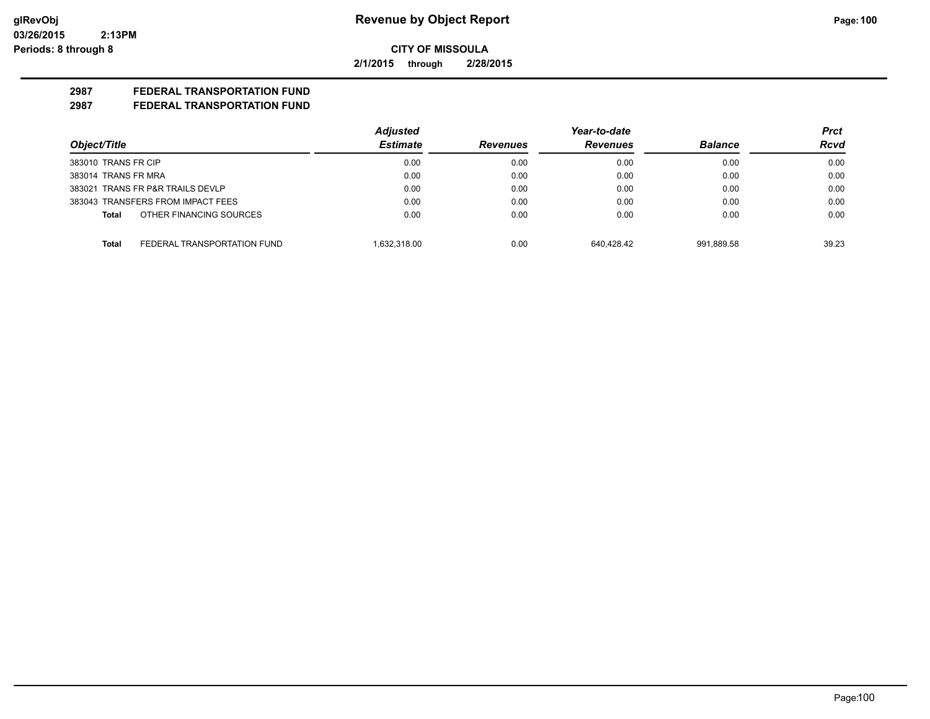**2/1/2015 through 2/28/2015**

# **2987 FEDERAL TRANSPORTATION FUND**

|                                         | <b>Adjusted</b> |                 | Year-to-date    |                | Prct  |
|-----------------------------------------|-----------------|-----------------|-----------------|----------------|-------|
| Object/Title                            | <b>Estimate</b> | <b>Revenues</b> | <b>Revenues</b> | <b>Balance</b> | Rcvd  |
| 383010 TRANS FR CIP                     | 0.00            | 0.00            | 0.00            | 0.00           | 0.00  |
| 383014 TRANS FR MRA                     | 0.00            | 0.00            | 0.00            | 0.00           | 0.00  |
| 383021 TRANS FR P&R TRAILS DEVLP        | 0.00            | 0.00            | 0.00            | 0.00           | 0.00  |
| 383043 TRANSFERS FROM IMPACT FEES       | 0.00            | 0.00            | 0.00            | 0.00           | 0.00  |
| OTHER FINANCING SOURCES<br><b>Total</b> | 0.00            | 0.00            | 0.00            | 0.00           | 0.00  |
| FEDERAL TRANSPORTATION FUND<br>Total    | 1.632.318.00    | 0.00            | 640.428.42      | 991.889.58     | 39.23 |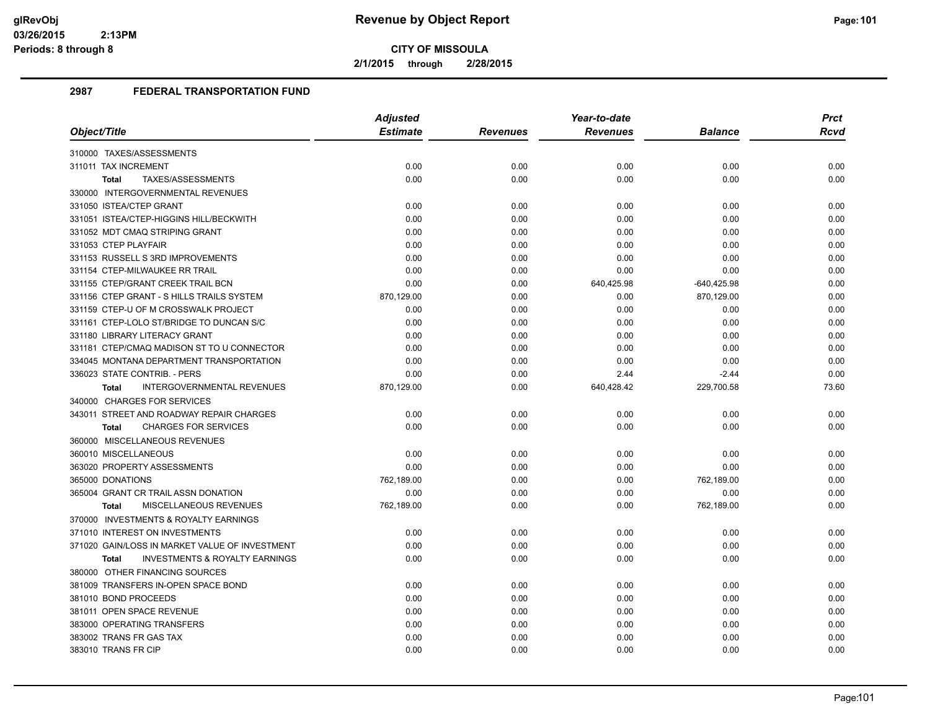**2/1/2015 through 2/28/2015**

|                                                           | <b>Adjusted</b> |                 | Year-to-date    |               | <b>Prct</b> |
|-----------------------------------------------------------|-----------------|-----------------|-----------------|---------------|-------------|
| Object/Title                                              | <b>Estimate</b> | <b>Revenues</b> | <b>Revenues</b> | Balance       | Rcvd        |
| 310000 TAXES/ASSESSMENTS                                  |                 |                 |                 |               |             |
| 311011 TAX INCREMENT                                      | 0.00            | 0.00            | 0.00            | 0.00          | 0.00        |
| TAXES/ASSESSMENTS<br><b>Total</b>                         | 0.00            | 0.00            | 0.00            | 0.00          | 0.00        |
| 330000 INTERGOVERNMENTAL REVENUES                         |                 |                 |                 |               |             |
| 331050 ISTEA/CTEP GRANT                                   | 0.00            | 0.00            | 0.00            | 0.00          | 0.00        |
| 331051 ISTEA/CTEP-HIGGINS HILL/BECKWITH                   | 0.00            | 0.00            | 0.00            | 0.00          | 0.00        |
| 331052 MDT CMAQ STRIPING GRANT                            | 0.00            | 0.00            | 0.00            | 0.00          | 0.00        |
| 331053 CTEP PLAYFAIR                                      | 0.00            | 0.00            | 0.00            | 0.00          | 0.00        |
| 331153 RUSSELL S 3RD IMPROVEMENTS                         | 0.00            | 0.00            | 0.00            | 0.00          | 0.00        |
| 331154 CTEP-MILWAUKEE RR TRAIL                            | 0.00            | 0.00            | 0.00            | 0.00          | 0.00        |
| 331155 CTEP/GRANT CREEK TRAIL BCN                         | 0.00            | 0.00            | 640,425.98      | $-640,425.98$ | 0.00        |
| 331156 CTEP GRANT - S HILLS TRAILS SYSTEM                 | 870,129.00      | 0.00            | 0.00            | 870,129.00    | 0.00        |
| 331159 CTEP-U OF M CROSSWALK PROJECT                      | 0.00            | 0.00            | 0.00            | 0.00          | 0.00        |
| 331161 CTEP-LOLO ST/BRIDGE TO DUNCAN S/C                  | 0.00            | 0.00            | 0.00            | 0.00          | 0.00        |
| 331180 LIBRARY LITERACY GRANT                             | 0.00            | 0.00            | 0.00            | 0.00          | 0.00        |
| 331181 CTEP/CMAQ MADISON ST TO U CONNECTOR                | 0.00            | 0.00            | 0.00            | 0.00          | 0.00        |
| 334045 MONTANA DEPARTMENT TRANSPORTATION                  | 0.00            | 0.00            | 0.00            | 0.00          | 0.00        |
| 336023 STATE CONTRIB. - PERS                              | 0.00            | 0.00            | 2.44            | $-2.44$       | 0.00        |
| <b>INTERGOVERNMENTAL REVENUES</b><br><b>Total</b>         | 870,129.00      | 0.00            | 640,428.42      | 229,700.58    | 73.60       |
| 340000 CHARGES FOR SERVICES                               |                 |                 |                 |               |             |
| 343011 STREET AND ROADWAY REPAIR CHARGES                  | 0.00            | 0.00            | 0.00            | 0.00          | 0.00        |
| <b>CHARGES FOR SERVICES</b><br><b>Total</b>               | 0.00            | 0.00            | 0.00            | 0.00          | 0.00        |
| 360000 MISCELLANEOUS REVENUES                             |                 |                 |                 |               |             |
| 360010 MISCELLANEOUS                                      | 0.00            | 0.00            | 0.00            | 0.00          | 0.00        |
| 363020 PROPERTY ASSESSMENTS                               | 0.00            | 0.00            | 0.00            | 0.00          | 0.00        |
| 365000 DONATIONS                                          | 762,189.00      | 0.00            | 0.00            | 762,189.00    | 0.00        |
| 365004 GRANT CR TRAIL ASSN DONATION                       | 0.00            | 0.00            | 0.00            | 0.00          | 0.00        |
| MISCELLANEOUS REVENUES<br><b>Total</b>                    | 762,189.00      | 0.00            | 0.00            | 762,189.00    | 0.00        |
| 370000 INVESTMENTS & ROYALTY EARNINGS                     |                 |                 |                 |               |             |
| 371010 INTEREST ON INVESTMENTS                            | 0.00            | 0.00            | 0.00            | 0.00          | 0.00        |
| 371020 GAIN/LOSS IN MARKET VALUE OF INVESTMENT            | 0.00            | 0.00            | 0.00            | 0.00          | 0.00        |
| <b>INVESTMENTS &amp; ROYALTY EARNINGS</b><br><b>Total</b> | 0.00            | 0.00            | 0.00            | 0.00          | 0.00        |
| 380000 OTHER FINANCING SOURCES                            |                 |                 |                 |               |             |
| 381009 TRANSFERS IN-OPEN SPACE BOND                       | 0.00            | 0.00            | 0.00            | 0.00          | 0.00        |
| 381010 BOND PROCEEDS                                      | 0.00            | 0.00            | 0.00            | 0.00          | 0.00        |
| 381011 OPEN SPACE REVENUE                                 | 0.00            | 0.00            | 0.00            | 0.00          | 0.00        |
| 383000 OPERATING TRANSFERS                                | 0.00            | 0.00            | 0.00            | 0.00          | 0.00        |
| 383002 TRANS FR GAS TAX                                   | 0.00            | 0.00            | 0.00            | 0.00          | 0.00        |
| 383010 TRANS FR CIP                                       | 0.00            | 0.00            | 0.00            | 0.00          | 0.00        |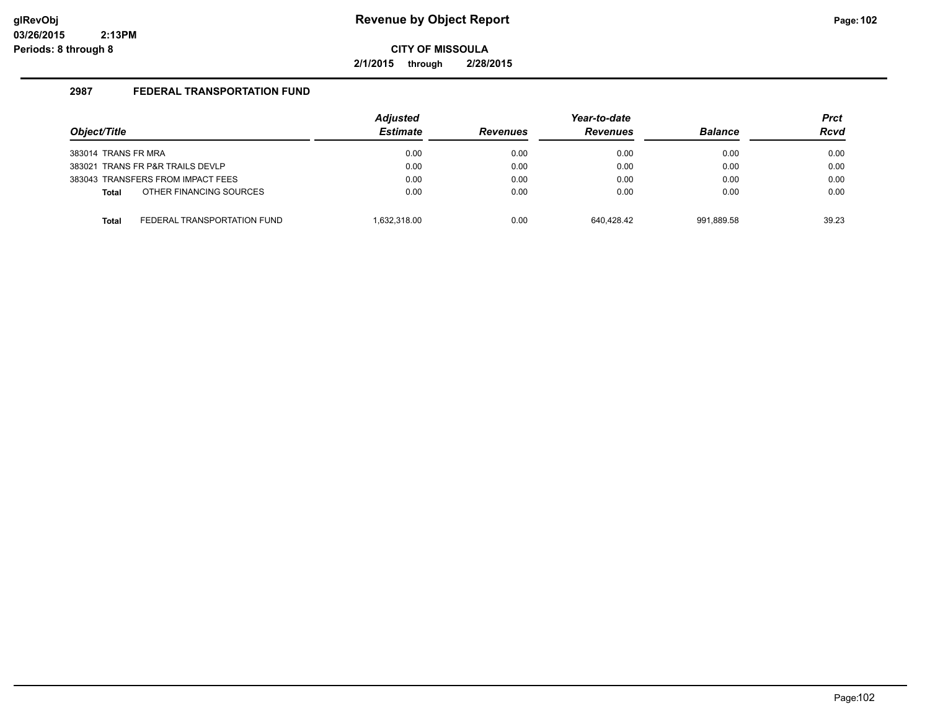**2/1/2015 through 2/28/2015**

| Object/Title                      |                             | <b>Adjusted</b><br><b>Estimate</b> | <b>Revenues</b> | Year-to-date<br><b>Revenues</b> | <b>Balance</b> | <b>Prct</b><br><b>Rcvd</b> |
|-----------------------------------|-----------------------------|------------------------------------|-----------------|---------------------------------|----------------|----------------------------|
| 383014 TRANS FR MRA               |                             | 0.00                               | 0.00            | 0.00                            | 0.00           | 0.00                       |
| 383021 TRANS FR P&R TRAILS DEVLP  |                             | 0.00                               | 0.00            | 0.00                            | 0.00           | 0.00                       |
| 383043 TRANSFERS FROM IMPACT FEES |                             | 0.00                               | 0.00            | 0.00                            | 0.00           | 0.00                       |
| <b>Total</b>                      | OTHER FINANCING SOURCES     | 0.00                               | 0.00            | 0.00                            | 0.00           | 0.00                       |
| <b>Total</b>                      | FEDERAL TRANSPORTATION FUND | 1.632.318.00                       | 0.00            | 640.428.42                      | 991.889.58     | 39.23                      |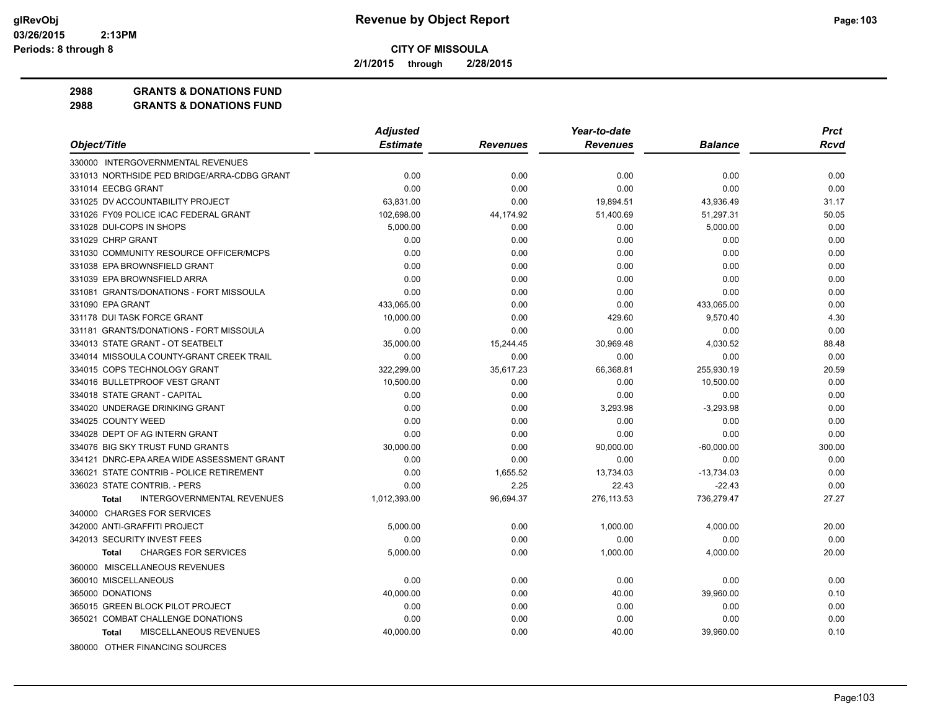**2/1/2015 through 2/28/2015**

**2988 GRANTS & DONATIONS FUND**

|                                                   | <b>Adjusted</b> |                 | Year-to-date    |                | <b>Prct</b> |
|---------------------------------------------------|-----------------|-----------------|-----------------|----------------|-------------|
| Object/Title                                      | <b>Estimate</b> | <b>Revenues</b> | <b>Revenues</b> | <b>Balance</b> | Rcvd        |
| 330000 INTERGOVERNMENTAL REVENUES                 |                 |                 |                 |                |             |
| 331013 NORTHSIDE PED BRIDGE/ARRA-CDBG GRANT       | 0.00            | 0.00            | 0.00            | 0.00           | 0.00        |
| 331014 EECBG GRANT                                | 0.00            | 0.00            | 0.00            | 0.00           | 0.00        |
| 331025 DV ACCOUNTABILITY PROJECT                  | 63,831.00       | 0.00            | 19,894.51       | 43,936.49      | 31.17       |
| 331026 FY09 POLICE ICAC FEDERAL GRANT             | 102,698.00      | 44,174.92       | 51,400.69       | 51,297.31      | 50.05       |
| 331028 DUI-COPS IN SHOPS                          | 5,000.00        | 0.00            | 0.00            | 5,000.00       | 0.00        |
| 331029 CHRP GRANT                                 | 0.00            | 0.00            | 0.00            | 0.00           | 0.00        |
| 331030 COMMUNITY RESOURCE OFFICER/MCPS            | 0.00            | 0.00            | 0.00            | 0.00           | 0.00        |
| 331038 EPA BROWNSFIELD GRANT                      | 0.00            | 0.00            | 0.00            | 0.00           | 0.00        |
| 331039 EPA BROWNSFIELD ARRA                       | 0.00            | 0.00            | 0.00            | 0.00           | 0.00        |
| 331081 GRANTS/DONATIONS - FORT MISSOULA           | 0.00            | 0.00            | 0.00            | 0.00           | 0.00        |
| 331090 EPA GRANT                                  | 433,065.00      | 0.00            | 0.00            | 433,065.00     | 0.00        |
| 331178 DUI TASK FORCE GRANT                       | 10,000.00       | 0.00            | 429.60          | 9,570.40       | 4.30        |
| 331181 GRANTS/DONATIONS - FORT MISSOULA           | 0.00            | 0.00            | 0.00            | 0.00           | 0.00        |
| 334013 STATE GRANT - OT SEATBELT                  | 35,000.00       | 15,244.45       | 30,969.48       | 4,030.52       | 88.48       |
| 334014 MISSOULA COUNTY-GRANT CREEK TRAIL          | 0.00            | 0.00            | 0.00            | 0.00           | 0.00        |
| 334015 COPS TECHNOLOGY GRANT                      | 322,299.00      | 35,617.23       | 66,368.81       | 255,930.19     | 20.59       |
| 334016 BULLETPROOF VEST GRANT                     | 10,500.00       | 0.00            | 0.00            | 10,500.00      | 0.00        |
| 334018 STATE GRANT - CAPITAL                      | 0.00            | 0.00            | 0.00            | 0.00           | 0.00        |
| 334020 UNDERAGE DRINKING GRANT                    | 0.00            | 0.00            | 3,293.98        | $-3,293.98$    | 0.00        |
| 334025 COUNTY WEED                                | 0.00            | 0.00            | 0.00            | 0.00           | 0.00        |
| 334028 DEPT OF AG INTERN GRANT                    | 0.00            | 0.00            | 0.00            | 0.00           | 0.00        |
| 334076 BIG SKY TRUST FUND GRANTS                  | 30,000.00       | 0.00            | 90,000.00       | $-60,000.00$   | 300.00      |
| 334121 DNRC-EPA AREA WIDE ASSESSMENT GRANT        | 0.00            | 0.00            | 0.00            | 0.00           | 0.00        |
| 336021 STATE CONTRIB - POLICE RETIREMENT          | 0.00            | 1,655.52        | 13,734.03       | $-13,734.03$   | 0.00        |
| 336023 STATE CONTRIB. - PERS                      | 0.00            | 2.25            | 22.43           | $-22.43$       | 0.00        |
| <b>INTERGOVERNMENTAL REVENUES</b><br><b>Total</b> | 1,012,393.00    | 96,694.37       | 276,113.53      | 736,279.47     | 27.27       |
| 340000 CHARGES FOR SERVICES                       |                 |                 |                 |                |             |
| 342000 ANTI-GRAFFITI PROJECT                      | 5,000.00        | 0.00            | 1,000.00        | 4,000.00       | 20.00       |
| 342013 SECURITY INVEST FEES                       | 0.00            | 0.00            | 0.00            | 0.00           | 0.00        |
| <b>CHARGES FOR SERVICES</b><br>Total              | 5,000.00        | 0.00            | 1,000.00        | 4,000.00       | 20.00       |
| 360000 MISCELLANEOUS REVENUES                     |                 |                 |                 |                |             |
| 360010 MISCELLANEOUS                              | 0.00            | 0.00            | 0.00            | 0.00           | 0.00        |
| 365000 DONATIONS                                  | 40,000.00       | 0.00            | 40.00           | 39,960.00      | 0.10        |
| 365015 GREEN BLOCK PILOT PROJECT                  | 0.00            | 0.00            | 0.00            | 0.00           | 0.00        |
| 365021 COMBAT CHALLENGE DONATIONS                 | 0.00            | 0.00            | 0.00            | 0.00           | 0.00        |
| MISCELLANEOUS REVENUES<br>Total                   | 40,000.00       | 0.00            | 40.00           | 39,960.00      | 0.10        |
| 380000 OTHER FINANCING SOURCES                    |                 |                 |                 |                |             |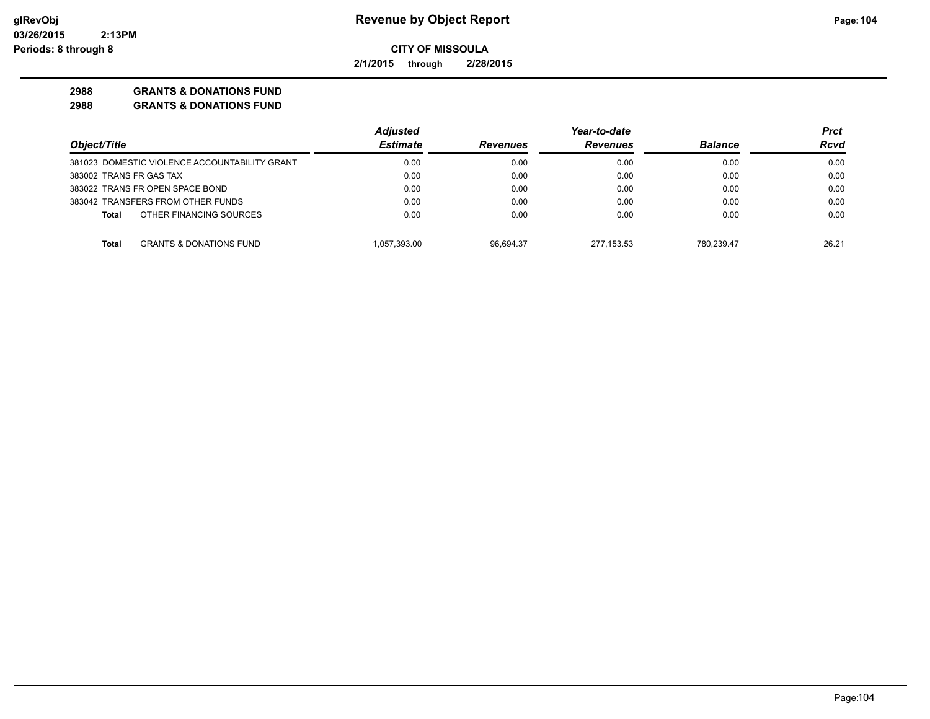**2/1/2015 through 2/28/2015**

## **2988 GRANTS & DONATIONS FUND**

|                                               | <b>Adjusted</b> |                 | Year-to-date    |                | Prct  |
|-----------------------------------------------|-----------------|-----------------|-----------------|----------------|-------|
| Object/Title                                  | <b>Estimate</b> | <b>Revenues</b> | <b>Revenues</b> | <b>Balance</b> | Rcvd  |
| 381023 DOMESTIC VIOLENCE ACCOUNTABILITY GRANT | 0.00            | 0.00            | 0.00            | 0.00           | 0.00  |
| 383002 TRANS FR GAS TAX                       | 0.00            | 0.00            | 0.00            | 0.00           | 0.00  |
| 383022 TRANS FR OPEN SPACE BOND               | 0.00            | 0.00            | 0.00            | 0.00           | 0.00  |
| 383042 TRANSFERS FROM OTHER FUNDS             | 0.00            | 0.00            | 0.00            | 0.00           | 0.00  |
| OTHER FINANCING SOURCES<br>Total              | 0.00            | 0.00            | 0.00            | 0.00           | 0.00  |
| <b>GRANTS &amp; DONATIONS FUND</b><br>Total   | 1.057.393.00    | 96.694.37       | 277.153.53      | 780.239.47     | 26.21 |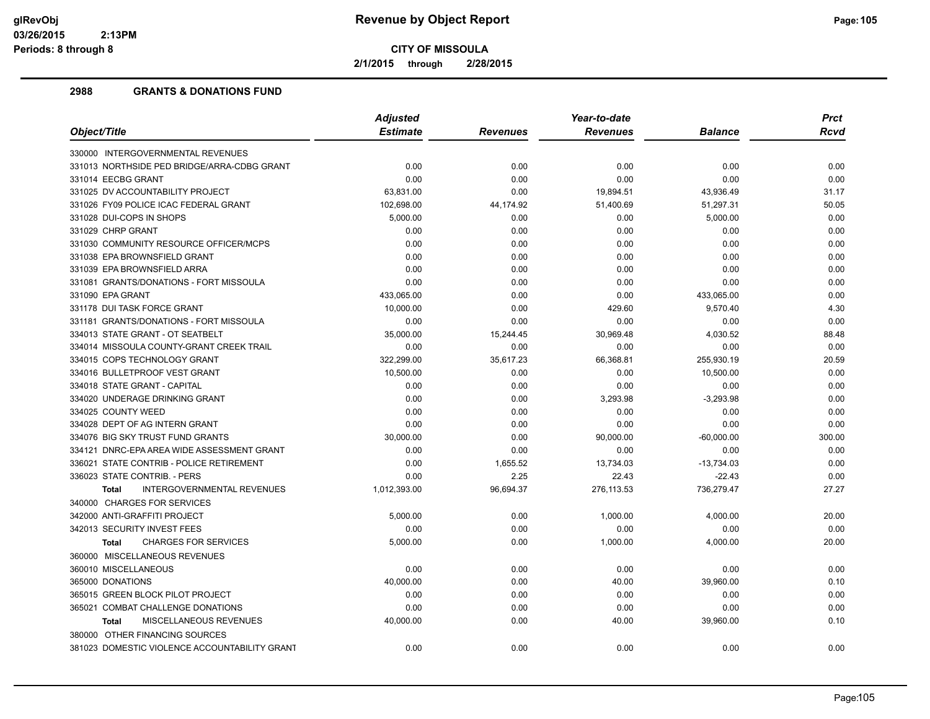**2/1/2015 through 2/28/2015**

| <b>Estimate</b><br>Object/Title<br><b>Revenues</b><br><b>Balance</b><br><b>Revenues</b><br>330000 INTERGOVERNMENTAL REVENUES<br>0.00<br>0.00<br>331013 NORTHSIDE PED BRIDGE/ARRA-CDBG GRANT<br>0.00<br>0.00<br>0.00<br>0.00<br>0.00<br>0.00<br>331014 EECBG GRANT<br>331025 DV ACCOUNTABILITY PROJECT<br>63.831.00<br>0.00<br>19,894.51<br>43,936.49<br>331026 FY09 POLICE ICAC FEDERAL GRANT<br>102.698.00<br>44,174.92<br>51,400.69<br>51,297.31<br>331028 DUI-COPS IN SHOPS<br>5,000.00<br>0.00<br>5,000.00<br>0.00<br>331029 CHRP GRANT<br>0.00<br>0.00<br>0.00<br>0.00<br>331030 COMMUNITY RESOURCE OFFICER/MCPS<br>0.00<br>0.00<br>0.00<br>0.00<br>331038 EPA BROWNSFIELD GRANT<br>0.00<br>0.00<br>0.00<br>0.00<br>331039 EPA BROWNSFIELD ARRA<br>0.00<br>0.00<br>0.00<br>0.00<br>0.00<br>331081 GRANTS/DONATIONS - FORT MISSOULA<br>0.00<br>0.00<br>0.00<br>331090 EPA GRANT<br>433,065.00<br>0.00<br>0.00<br>433,065.00<br>331178 DUI TASK FORCE GRANT<br>10,000.00<br>0.00<br>429.60<br>9,570.40<br>331181 GRANTS/DONATIONS - FORT MISSOULA<br>0.00<br>0.00<br>0.00<br>0.00<br>334013 STATE GRANT - OT SEATBELT<br>35,000.00<br>15,244.45<br>30,969.48<br>4,030.52<br>0.00<br>0.00<br>334014 MISSOULA COUNTY-GRANT CREEK TRAIL<br>0.00<br>0.00<br>334015 COPS TECHNOLOGY GRANT<br>322,299.00<br>35,617.23<br>66,368.81<br>255,930.19<br>334016 BULLETPROOF VEST GRANT<br>10,500.00<br>0.00<br>0.00<br>10,500.00<br>334018 STATE GRANT - CAPITAL<br>0.00<br>0.00<br>0.00<br>0.00<br>334020 UNDERAGE DRINKING GRANT<br>0.00<br>$-3,293.98$<br>0.00<br>3,293.98<br>334025 COUNTY WEED<br>0.00<br>0.00<br>0.00<br>0.00<br>334028 DEPT OF AG INTERN GRANT<br>0.00<br>0.00<br>0.00<br>0.00<br>334076 BIG SKY TRUST FUND GRANTS<br>0.00<br>30,000.00<br>90,000.00<br>$-60,000.00$<br>334121 DNRC-EPA AREA WIDE ASSESSMENT GRANT<br>0.00<br>0.00<br>0.00<br>0.00<br>336021 STATE CONTRIB - POLICE RETIREMENT<br>0.00<br>1,655.52<br>13.734.03<br>$-13.734.03$<br>336023 STATE CONTRIB. - PERS<br>2.25<br>22.43<br>$-22.43$<br>0.00<br><b>INTERGOVERNMENTAL REVENUES</b><br>1,012,393.00<br>276,113.53<br>736,279.47<br>96,694.37<br><b>Total</b><br>340000 CHARGES FOR SERVICES<br>342000 ANTI-GRAFFITI PROJECT<br>5,000.00<br>0.00<br>1,000.00<br>4,000.00<br>342013 SECURITY INVEST FEES<br>0.00<br>0.00<br>0.00<br>0.00<br><b>CHARGES FOR SERVICES</b><br>5,000.00<br>0.00<br>1,000.00<br>4,000.00<br><b>Total</b><br>360000 MISCELLANEOUS REVENUES<br>360010 MISCELLANEOUS<br>0.00<br>0.00<br>0.00<br>0.00 | <b>Adjusted</b> | Year-to-date | <b>Prct</b> |
|-----------------------------------------------------------------------------------------------------------------------------------------------------------------------------------------------------------------------------------------------------------------------------------------------------------------------------------------------------------------------------------------------------------------------------------------------------------------------------------------------------------------------------------------------------------------------------------------------------------------------------------------------------------------------------------------------------------------------------------------------------------------------------------------------------------------------------------------------------------------------------------------------------------------------------------------------------------------------------------------------------------------------------------------------------------------------------------------------------------------------------------------------------------------------------------------------------------------------------------------------------------------------------------------------------------------------------------------------------------------------------------------------------------------------------------------------------------------------------------------------------------------------------------------------------------------------------------------------------------------------------------------------------------------------------------------------------------------------------------------------------------------------------------------------------------------------------------------------------------------------------------------------------------------------------------------------------------------------------------------------------------------------------------------------------------------------------------------------------------------------------------------------------------------------------------------------------------------------------------------------------------------------------------------------------------------------------------------------------------------------------------------------------------------------------------------------------------------------------------------------------------------|-----------------|--------------|-------------|
|                                                                                                                                                                                                                                                                                                                                                                                                                                                                                                                                                                                                                                                                                                                                                                                                                                                                                                                                                                                                                                                                                                                                                                                                                                                                                                                                                                                                                                                                                                                                                                                                                                                                                                                                                                                                                                                                                                                                                                                                                                                                                                                                                                                                                                                                                                                                                                                                                                                                                                                 |                 |              | Rcvd        |
|                                                                                                                                                                                                                                                                                                                                                                                                                                                                                                                                                                                                                                                                                                                                                                                                                                                                                                                                                                                                                                                                                                                                                                                                                                                                                                                                                                                                                                                                                                                                                                                                                                                                                                                                                                                                                                                                                                                                                                                                                                                                                                                                                                                                                                                                                                                                                                                                                                                                                                                 |                 |              |             |
|                                                                                                                                                                                                                                                                                                                                                                                                                                                                                                                                                                                                                                                                                                                                                                                                                                                                                                                                                                                                                                                                                                                                                                                                                                                                                                                                                                                                                                                                                                                                                                                                                                                                                                                                                                                                                                                                                                                                                                                                                                                                                                                                                                                                                                                                                                                                                                                                                                                                                                                 |                 |              | 0.00        |
|                                                                                                                                                                                                                                                                                                                                                                                                                                                                                                                                                                                                                                                                                                                                                                                                                                                                                                                                                                                                                                                                                                                                                                                                                                                                                                                                                                                                                                                                                                                                                                                                                                                                                                                                                                                                                                                                                                                                                                                                                                                                                                                                                                                                                                                                                                                                                                                                                                                                                                                 |                 |              | 0.00        |
|                                                                                                                                                                                                                                                                                                                                                                                                                                                                                                                                                                                                                                                                                                                                                                                                                                                                                                                                                                                                                                                                                                                                                                                                                                                                                                                                                                                                                                                                                                                                                                                                                                                                                                                                                                                                                                                                                                                                                                                                                                                                                                                                                                                                                                                                                                                                                                                                                                                                                                                 |                 |              | 31.17       |
|                                                                                                                                                                                                                                                                                                                                                                                                                                                                                                                                                                                                                                                                                                                                                                                                                                                                                                                                                                                                                                                                                                                                                                                                                                                                                                                                                                                                                                                                                                                                                                                                                                                                                                                                                                                                                                                                                                                                                                                                                                                                                                                                                                                                                                                                                                                                                                                                                                                                                                                 |                 |              | 50.05       |
|                                                                                                                                                                                                                                                                                                                                                                                                                                                                                                                                                                                                                                                                                                                                                                                                                                                                                                                                                                                                                                                                                                                                                                                                                                                                                                                                                                                                                                                                                                                                                                                                                                                                                                                                                                                                                                                                                                                                                                                                                                                                                                                                                                                                                                                                                                                                                                                                                                                                                                                 |                 |              | 0.00        |
|                                                                                                                                                                                                                                                                                                                                                                                                                                                                                                                                                                                                                                                                                                                                                                                                                                                                                                                                                                                                                                                                                                                                                                                                                                                                                                                                                                                                                                                                                                                                                                                                                                                                                                                                                                                                                                                                                                                                                                                                                                                                                                                                                                                                                                                                                                                                                                                                                                                                                                                 |                 |              | 0.00        |
|                                                                                                                                                                                                                                                                                                                                                                                                                                                                                                                                                                                                                                                                                                                                                                                                                                                                                                                                                                                                                                                                                                                                                                                                                                                                                                                                                                                                                                                                                                                                                                                                                                                                                                                                                                                                                                                                                                                                                                                                                                                                                                                                                                                                                                                                                                                                                                                                                                                                                                                 |                 |              | 0.00        |
|                                                                                                                                                                                                                                                                                                                                                                                                                                                                                                                                                                                                                                                                                                                                                                                                                                                                                                                                                                                                                                                                                                                                                                                                                                                                                                                                                                                                                                                                                                                                                                                                                                                                                                                                                                                                                                                                                                                                                                                                                                                                                                                                                                                                                                                                                                                                                                                                                                                                                                                 |                 |              | 0.00        |
|                                                                                                                                                                                                                                                                                                                                                                                                                                                                                                                                                                                                                                                                                                                                                                                                                                                                                                                                                                                                                                                                                                                                                                                                                                                                                                                                                                                                                                                                                                                                                                                                                                                                                                                                                                                                                                                                                                                                                                                                                                                                                                                                                                                                                                                                                                                                                                                                                                                                                                                 |                 |              | 0.00        |
|                                                                                                                                                                                                                                                                                                                                                                                                                                                                                                                                                                                                                                                                                                                                                                                                                                                                                                                                                                                                                                                                                                                                                                                                                                                                                                                                                                                                                                                                                                                                                                                                                                                                                                                                                                                                                                                                                                                                                                                                                                                                                                                                                                                                                                                                                                                                                                                                                                                                                                                 |                 |              | 0.00        |
|                                                                                                                                                                                                                                                                                                                                                                                                                                                                                                                                                                                                                                                                                                                                                                                                                                                                                                                                                                                                                                                                                                                                                                                                                                                                                                                                                                                                                                                                                                                                                                                                                                                                                                                                                                                                                                                                                                                                                                                                                                                                                                                                                                                                                                                                                                                                                                                                                                                                                                                 |                 |              | 0.00        |
|                                                                                                                                                                                                                                                                                                                                                                                                                                                                                                                                                                                                                                                                                                                                                                                                                                                                                                                                                                                                                                                                                                                                                                                                                                                                                                                                                                                                                                                                                                                                                                                                                                                                                                                                                                                                                                                                                                                                                                                                                                                                                                                                                                                                                                                                                                                                                                                                                                                                                                                 |                 |              | 4.30        |
|                                                                                                                                                                                                                                                                                                                                                                                                                                                                                                                                                                                                                                                                                                                                                                                                                                                                                                                                                                                                                                                                                                                                                                                                                                                                                                                                                                                                                                                                                                                                                                                                                                                                                                                                                                                                                                                                                                                                                                                                                                                                                                                                                                                                                                                                                                                                                                                                                                                                                                                 |                 |              | 0.00        |
|                                                                                                                                                                                                                                                                                                                                                                                                                                                                                                                                                                                                                                                                                                                                                                                                                                                                                                                                                                                                                                                                                                                                                                                                                                                                                                                                                                                                                                                                                                                                                                                                                                                                                                                                                                                                                                                                                                                                                                                                                                                                                                                                                                                                                                                                                                                                                                                                                                                                                                                 |                 |              | 88.48       |
|                                                                                                                                                                                                                                                                                                                                                                                                                                                                                                                                                                                                                                                                                                                                                                                                                                                                                                                                                                                                                                                                                                                                                                                                                                                                                                                                                                                                                                                                                                                                                                                                                                                                                                                                                                                                                                                                                                                                                                                                                                                                                                                                                                                                                                                                                                                                                                                                                                                                                                                 |                 |              | 0.00        |
|                                                                                                                                                                                                                                                                                                                                                                                                                                                                                                                                                                                                                                                                                                                                                                                                                                                                                                                                                                                                                                                                                                                                                                                                                                                                                                                                                                                                                                                                                                                                                                                                                                                                                                                                                                                                                                                                                                                                                                                                                                                                                                                                                                                                                                                                                                                                                                                                                                                                                                                 |                 |              | 20.59       |
|                                                                                                                                                                                                                                                                                                                                                                                                                                                                                                                                                                                                                                                                                                                                                                                                                                                                                                                                                                                                                                                                                                                                                                                                                                                                                                                                                                                                                                                                                                                                                                                                                                                                                                                                                                                                                                                                                                                                                                                                                                                                                                                                                                                                                                                                                                                                                                                                                                                                                                                 |                 |              | 0.00        |
|                                                                                                                                                                                                                                                                                                                                                                                                                                                                                                                                                                                                                                                                                                                                                                                                                                                                                                                                                                                                                                                                                                                                                                                                                                                                                                                                                                                                                                                                                                                                                                                                                                                                                                                                                                                                                                                                                                                                                                                                                                                                                                                                                                                                                                                                                                                                                                                                                                                                                                                 |                 |              | 0.00        |
|                                                                                                                                                                                                                                                                                                                                                                                                                                                                                                                                                                                                                                                                                                                                                                                                                                                                                                                                                                                                                                                                                                                                                                                                                                                                                                                                                                                                                                                                                                                                                                                                                                                                                                                                                                                                                                                                                                                                                                                                                                                                                                                                                                                                                                                                                                                                                                                                                                                                                                                 |                 |              | 0.00        |
|                                                                                                                                                                                                                                                                                                                                                                                                                                                                                                                                                                                                                                                                                                                                                                                                                                                                                                                                                                                                                                                                                                                                                                                                                                                                                                                                                                                                                                                                                                                                                                                                                                                                                                                                                                                                                                                                                                                                                                                                                                                                                                                                                                                                                                                                                                                                                                                                                                                                                                                 |                 |              | 0.00        |
|                                                                                                                                                                                                                                                                                                                                                                                                                                                                                                                                                                                                                                                                                                                                                                                                                                                                                                                                                                                                                                                                                                                                                                                                                                                                                                                                                                                                                                                                                                                                                                                                                                                                                                                                                                                                                                                                                                                                                                                                                                                                                                                                                                                                                                                                                                                                                                                                                                                                                                                 |                 |              | 0.00        |
|                                                                                                                                                                                                                                                                                                                                                                                                                                                                                                                                                                                                                                                                                                                                                                                                                                                                                                                                                                                                                                                                                                                                                                                                                                                                                                                                                                                                                                                                                                                                                                                                                                                                                                                                                                                                                                                                                                                                                                                                                                                                                                                                                                                                                                                                                                                                                                                                                                                                                                                 |                 |              | 300.00      |
|                                                                                                                                                                                                                                                                                                                                                                                                                                                                                                                                                                                                                                                                                                                                                                                                                                                                                                                                                                                                                                                                                                                                                                                                                                                                                                                                                                                                                                                                                                                                                                                                                                                                                                                                                                                                                                                                                                                                                                                                                                                                                                                                                                                                                                                                                                                                                                                                                                                                                                                 |                 |              | 0.00        |
|                                                                                                                                                                                                                                                                                                                                                                                                                                                                                                                                                                                                                                                                                                                                                                                                                                                                                                                                                                                                                                                                                                                                                                                                                                                                                                                                                                                                                                                                                                                                                                                                                                                                                                                                                                                                                                                                                                                                                                                                                                                                                                                                                                                                                                                                                                                                                                                                                                                                                                                 |                 |              | 0.00        |
|                                                                                                                                                                                                                                                                                                                                                                                                                                                                                                                                                                                                                                                                                                                                                                                                                                                                                                                                                                                                                                                                                                                                                                                                                                                                                                                                                                                                                                                                                                                                                                                                                                                                                                                                                                                                                                                                                                                                                                                                                                                                                                                                                                                                                                                                                                                                                                                                                                                                                                                 |                 |              | 0.00        |
|                                                                                                                                                                                                                                                                                                                                                                                                                                                                                                                                                                                                                                                                                                                                                                                                                                                                                                                                                                                                                                                                                                                                                                                                                                                                                                                                                                                                                                                                                                                                                                                                                                                                                                                                                                                                                                                                                                                                                                                                                                                                                                                                                                                                                                                                                                                                                                                                                                                                                                                 |                 |              | 27.27       |
|                                                                                                                                                                                                                                                                                                                                                                                                                                                                                                                                                                                                                                                                                                                                                                                                                                                                                                                                                                                                                                                                                                                                                                                                                                                                                                                                                                                                                                                                                                                                                                                                                                                                                                                                                                                                                                                                                                                                                                                                                                                                                                                                                                                                                                                                                                                                                                                                                                                                                                                 |                 |              |             |
|                                                                                                                                                                                                                                                                                                                                                                                                                                                                                                                                                                                                                                                                                                                                                                                                                                                                                                                                                                                                                                                                                                                                                                                                                                                                                                                                                                                                                                                                                                                                                                                                                                                                                                                                                                                                                                                                                                                                                                                                                                                                                                                                                                                                                                                                                                                                                                                                                                                                                                                 |                 |              | 20.00       |
|                                                                                                                                                                                                                                                                                                                                                                                                                                                                                                                                                                                                                                                                                                                                                                                                                                                                                                                                                                                                                                                                                                                                                                                                                                                                                                                                                                                                                                                                                                                                                                                                                                                                                                                                                                                                                                                                                                                                                                                                                                                                                                                                                                                                                                                                                                                                                                                                                                                                                                                 |                 |              | 0.00        |
|                                                                                                                                                                                                                                                                                                                                                                                                                                                                                                                                                                                                                                                                                                                                                                                                                                                                                                                                                                                                                                                                                                                                                                                                                                                                                                                                                                                                                                                                                                                                                                                                                                                                                                                                                                                                                                                                                                                                                                                                                                                                                                                                                                                                                                                                                                                                                                                                                                                                                                                 |                 |              | 20.00       |
|                                                                                                                                                                                                                                                                                                                                                                                                                                                                                                                                                                                                                                                                                                                                                                                                                                                                                                                                                                                                                                                                                                                                                                                                                                                                                                                                                                                                                                                                                                                                                                                                                                                                                                                                                                                                                                                                                                                                                                                                                                                                                                                                                                                                                                                                                                                                                                                                                                                                                                                 |                 |              |             |
|                                                                                                                                                                                                                                                                                                                                                                                                                                                                                                                                                                                                                                                                                                                                                                                                                                                                                                                                                                                                                                                                                                                                                                                                                                                                                                                                                                                                                                                                                                                                                                                                                                                                                                                                                                                                                                                                                                                                                                                                                                                                                                                                                                                                                                                                                                                                                                                                                                                                                                                 |                 |              | 0.00        |
| 365000 DONATIONS<br>40,000.00<br>0.00<br>40.00<br>39,960.00                                                                                                                                                                                                                                                                                                                                                                                                                                                                                                                                                                                                                                                                                                                                                                                                                                                                                                                                                                                                                                                                                                                                                                                                                                                                                                                                                                                                                                                                                                                                                                                                                                                                                                                                                                                                                                                                                                                                                                                                                                                                                                                                                                                                                                                                                                                                                                                                                                                     |                 |              | 0.10        |
| 365015 GREEN BLOCK PILOT PROJECT<br>0.00<br>0.00<br>0.00<br>0.00                                                                                                                                                                                                                                                                                                                                                                                                                                                                                                                                                                                                                                                                                                                                                                                                                                                                                                                                                                                                                                                                                                                                                                                                                                                                                                                                                                                                                                                                                                                                                                                                                                                                                                                                                                                                                                                                                                                                                                                                                                                                                                                                                                                                                                                                                                                                                                                                                                                |                 |              | 0.00        |
| 365021 COMBAT CHALLENGE DONATIONS<br>0.00<br>0.00<br>0.00<br>0.00                                                                                                                                                                                                                                                                                                                                                                                                                                                                                                                                                                                                                                                                                                                                                                                                                                                                                                                                                                                                                                                                                                                                                                                                                                                                                                                                                                                                                                                                                                                                                                                                                                                                                                                                                                                                                                                                                                                                                                                                                                                                                                                                                                                                                                                                                                                                                                                                                                               |                 |              | 0.00        |
| MISCELLANEOUS REVENUES<br>40,000.00<br>0.00<br>40.00<br>39,960.00<br><b>Total</b>                                                                                                                                                                                                                                                                                                                                                                                                                                                                                                                                                                                                                                                                                                                                                                                                                                                                                                                                                                                                                                                                                                                                                                                                                                                                                                                                                                                                                                                                                                                                                                                                                                                                                                                                                                                                                                                                                                                                                                                                                                                                                                                                                                                                                                                                                                                                                                                                                               |                 |              | 0.10        |
| 380000 OTHER FINANCING SOURCES                                                                                                                                                                                                                                                                                                                                                                                                                                                                                                                                                                                                                                                                                                                                                                                                                                                                                                                                                                                                                                                                                                                                                                                                                                                                                                                                                                                                                                                                                                                                                                                                                                                                                                                                                                                                                                                                                                                                                                                                                                                                                                                                                                                                                                                                                                                                                                                                                                                                                  |                 |              |             |
| 381023 DOMESTIC VIOLENCE ACCOUNTABILITY GRANT<br>0.00<br>0.00<br>0.00<br>0.00                                                                                                                                                                                                                                                                                                                                                                                                                                                                                                                                                                                                                                                                                                                                                                                                                                                                                                                                                                                                                                                                                                                                                                                                                                                                                                                                                                                                                                                                                                                                                                                                                                                                                                                                                                                                                                                                                                                                                                                                                                                                                                                                                                                                                                                                                                                                                                                                                                   |                 |              | 0.00        |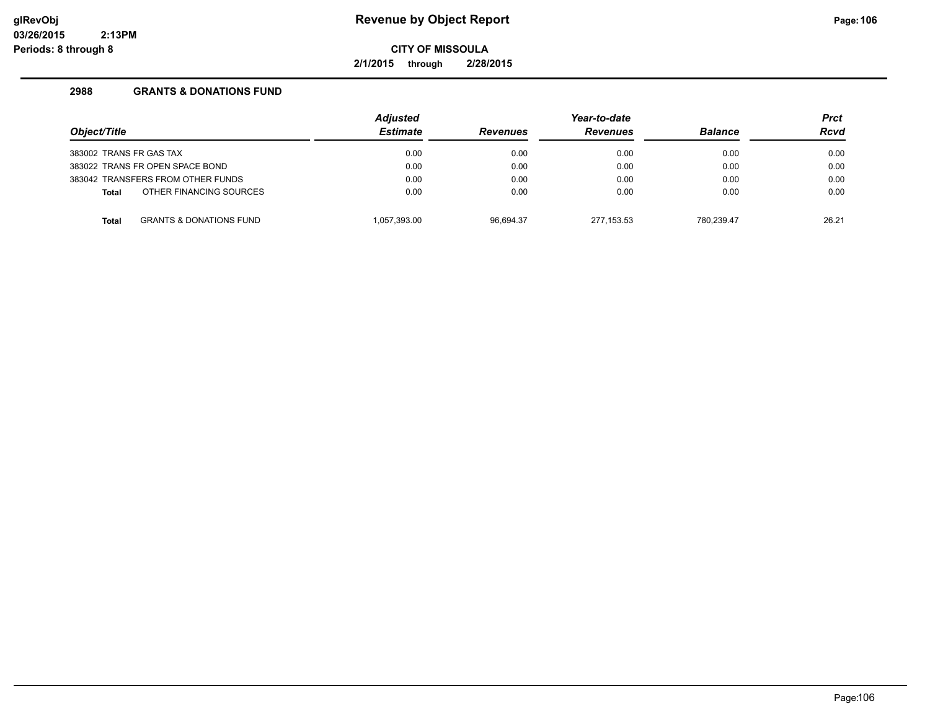# **glRevObj Revenue by Object Report Page:106**

**CITY OF MISSOULA**

**2/1/2015 through 2/28/2015**

| Object/Title                                       | <b>Adjusted</b><br><b>Estimate</b> | <b>Revenues</b> | Year-to-date<br><b>Revenues</b> | <b>Balance</b> | <b>Prct</b><br><b>Rcvd</b> |
|----------------------------------------------------|------------------------------------|-----------------|---------------------------------|----------------|----------------------------|
| 383002 TRANS FR GAS TAX                            | 0.00                               | 0.00            | 0.00                            | 0.00           | 0.00                       |
| 383022 TRANS FR OPEN SPACE BOND                    | 0.00                               | 0.00            | 0.00                            | 0.00           | 0.00                       |
| 383042 TRANSFERS FROM OTHER FUNDS                  | 0.00                               | 0.00            | 0.00                            | 0.00           | 0.00                       |
| OTHER FINANCING SOURCES<br><b>Total</b>            | 0.00                               | 0.00            | 0.00                            | 0.00           | 0.00                       |
| <b>GRANTS &amp; DONATIONS FUND</b><br><b>Total</b> | 1.057.393.00                       | 96.694.37       | 277.153.53                      | 780.239.47     | 26.21                      |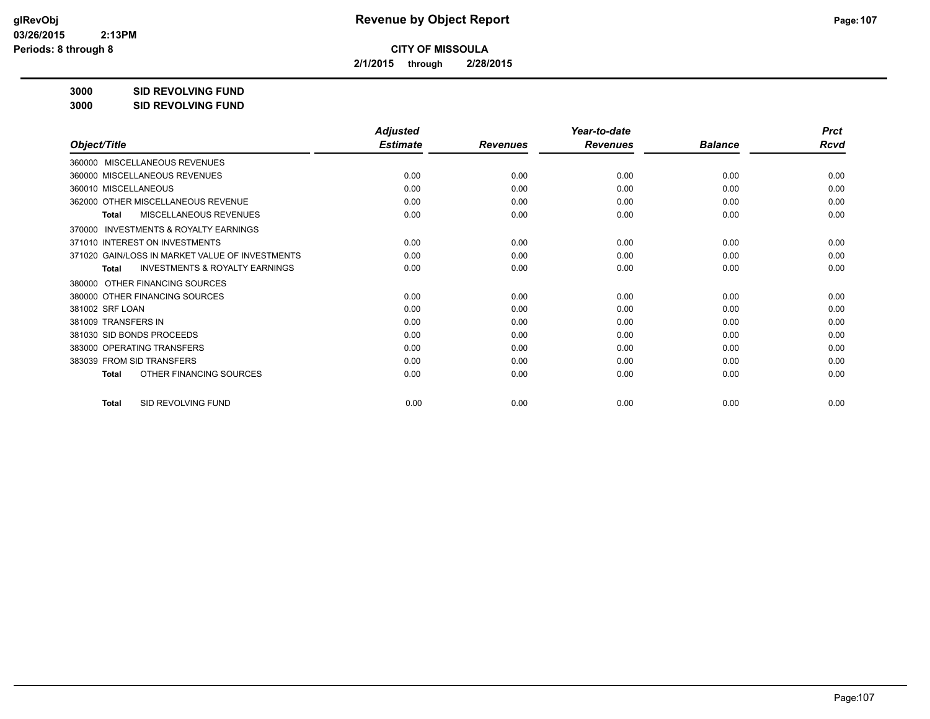**2/1/2015 through 2/28/2015**

**3000 SID REVOLVING FUND**

**3000 SID REVOLVING FUND**

|                                                           | <b>Adjusted</b> |                 | Year-to-date    |                | <b>Prct</b> |
|-----------------------------------------------------------|-----------------|-----------------|-----------------|----------------|-------------|
| Object/Title                                              | <b>Estimate</b> | <b>Revenues</b> | <b>Revenues</b> | <b>Balance</b> | <b>Rcvd</b> |
| MISCELLANEOUS REVENUES<br>360000                          |                 |                 |                 |                |             |
| 360000 MISCELLANEOUS REVENUES                             | 0.00            | 0.00            | 0.00            | 0.00           | 0.00        |
| 360010 MISCELLANEOUS                                      | 0.00            | 0.00            | 0.00            | 0.00           | 0.00        |
| 362000 OTHER MISCELLANEOUS REVENUE                        | 0.00            | 0.00            | 0.00            | 0.00           | 0.00        |
| MISCELLANEOUS REVENUES<br><b>Total</b>                    | 0.00            | 0.00            | 0.00            | 0.00           | 0.00        |
| <b>INVESTMENTS &amp; ROYALTY EARNINGS</b><br>370000       |                 |                 |                 |                |             |
| 371010 INTEREST ON INVESTMENTS                            | 0.00            | 0.00            | 0.00            | 0.00           | 0.00        |
| 371020 GAIN/LOSS IN MARKET VALUE OF INVESTMENTS           | 0.00            | 0.00            | 0.00            | 0.00           | 0.00        |
| <b>INVESTMENTS &amp; ROYALTY EARNINGS</b><br><b>Total</b> | 0.00            | 0.00            | 0.00            | 0.00           | 0.00        |
| OTHER FINANCING SOURCES<br>380000                         |                 |                 |                 |                |             |
| 380000 OTHER FINANCING SOURCES                            | 0.00            | 0.00            | 0.00            | 0.00           | 0.00        |
| 381002 SRF LOAN                                           | 0.00            | 0.00            | 0.00            | 0.00           | 0.00        |
| 381009 TRANSFERS IN                                       | 0.00            | 0.00            | 0.00            | 0.00           | 0.00        |
| 381030 SID BONDS PROCEEDS                                 | 0.00            | 0.00            | 0.00            | 0.00           | 0.00        |
| 383000 OPERATING TRANSFERS                                | 0.00            | 0.00            | 0.00            | 0.00           | 0.00        |
| 383039 FROM SID TRANSFERS                                 | 0.00            | 0.00            | 0.00            | 0.00           | 0.00        |
| OTHER FINANCING SOURCES<br>Total                          | 0.00            | 0.00            | 0.00            | 0.00           | 0.00        |
| SID REVOLVING FUND<br><b>Total</b>                        | 0.00            | 0.00            | 0.00            | 0.00           | 0.00        |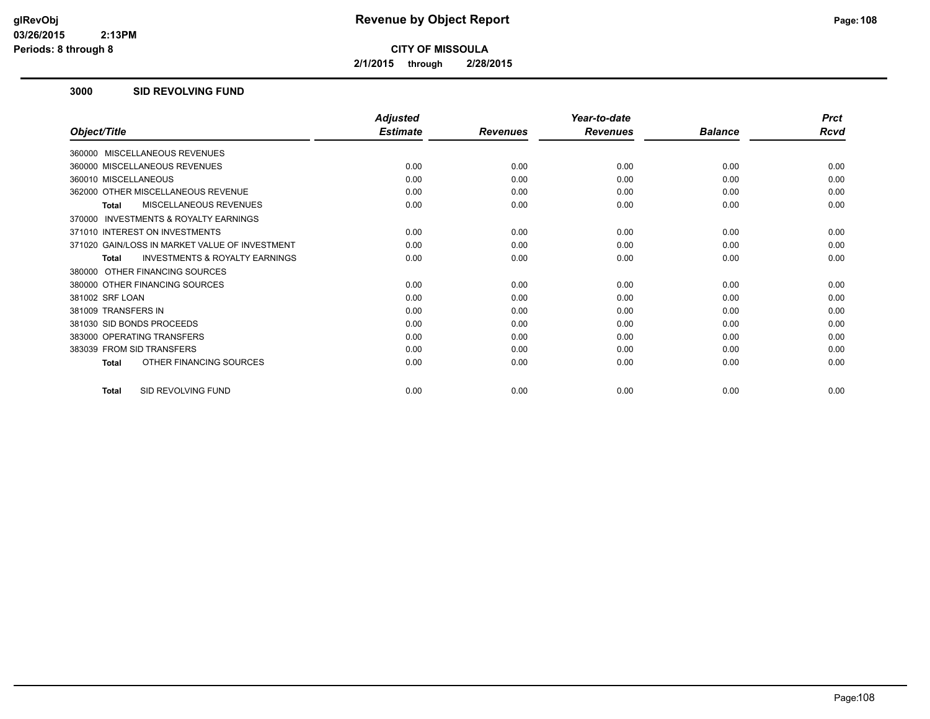**2/1/2015 through 2/28/2015**

## **3000 SID REVOLVING FUND**

|                                                    | <b>Adjusted</b> |                 | Year-to-date    |                | <b>Prct</b> |
|----------------------------------------------------|-----------------|-----------------|-----------------|----------------|-------------|
| Object/Title                                       | <b>Estimate</b> | <b>Revenues</b> | <b>Revenues</b> | <b>Balance</b> | Rcvd        |
| 360000 MISCELLANEOUS REVENUES                      |                 |                 |                 |                |             |
| 360000 MISCELLANEOUS REVENUES                      | 0.00            | 0.00            | 0.00            | 0.00           | 0.00        |
| 360010 MISCELLANEOUS                               | 0.00            | 0.00            | 0.00            | 0.00           | 0.00        |
| 362000 OTHER MISCELLANEOUS REVENUE                 | 0.00            | 0.00            | 0.00            | 0.00           | 0.00        |
| MISCELLANEOUS REVENUES<br><b>Total</b>             | 0.00            | 0.00            | 0.00            | 0.00           | 0.00        |
| 370000 INVESTMENTS & ROYALTY EARNINGS              |                 |                 |                 |                |             |
| 371010 INTEREST ON INVESTMENTS                     | 0.00            | 0.00            | 0.00            | 0.00           | 0.00        |
| 371020 GAIN/LOSS IN MARKET VALUE OF INVESTMENT     | 0.00            | 0.00            | 0.00            | 0.00           | 0.00        |
| <b>INVESTMENTS &amp; ROYALTY EARNINGS</b><br>Total | 0.00            | 0.00            | 0.00            | 0.00           | 0.00        |
| 380000 OTHER FINANCING SOURCES                     |                 |                 |                 |                |             |
| 380000 OTHER FINANCING SOURCES                     | 0.00            | 0.00            | 0.00            | 0.00           | 0.00        |
| 381002 SRF LOAN                                    | 0.00            | 0.00            | 0.00            | 0.00           | 0.00        |
| 381009 TRANSFERS IN                                | 0.00            | 0.00            | 0.00            | 0.00           | 0.00        |
| 381030 SID BONDS PROCEEDS                          | 0.00            | 0.00            | 0.00            | 0.00           | 0.00        |
| 383000 OPERATING TRANSFERS                         | 0.00            | 0.00            | 0.00            | 0.00           | 0.00        |
| 383039 FROM SID TRANSFERS                          | 0.00            | 0.00            | 0.00            | 0.00           | 0.00        |
| OTHER FINANCING SOURCES<br><b>Total</b>            | 0.00            | 0.00            | 0.00            | 0.00           | 0.00        |
| SID REVOLVING FUND<br><b>Total</b>                 | 0.00            | 0.00            | 0.00            | 0.00           | 0.00        |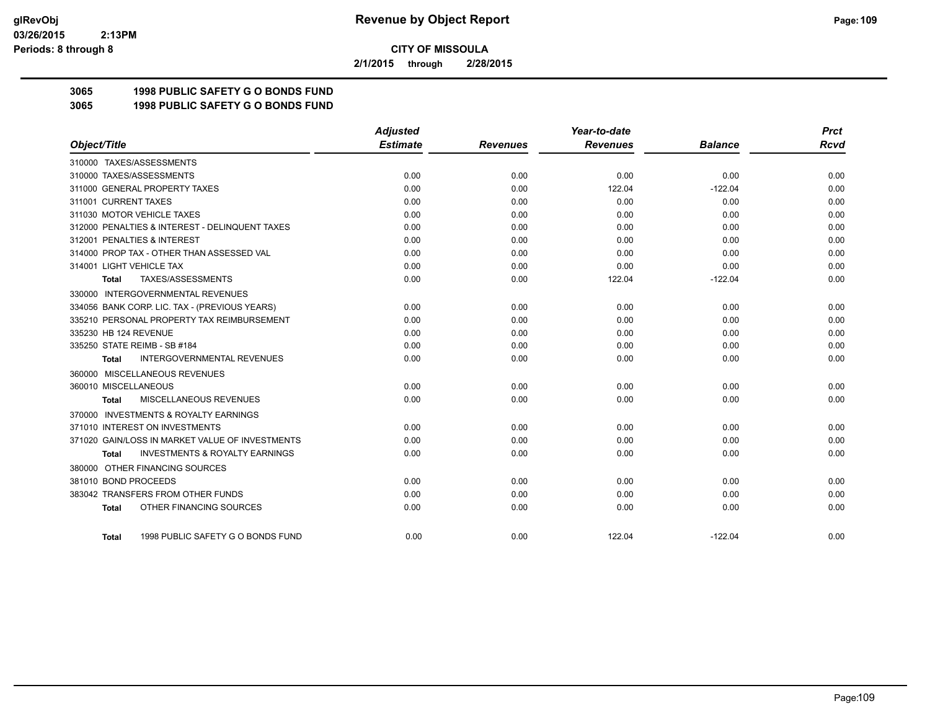**2/1/2015 through 2/28/2015**

# **3065 1998 PUBLIC SAFETY G O BONDS FUND**

**3065 1998 PUBLIC SAFETY G O BONDS FUND**

|                                                     | <b>Adjusted</b> |                 | Year-to-date    |                | <b>Prct</b> |
|-----------------------------------------------------|-----------------|-----------------|-----------------|----------------|-------------|
| Object/Title                                        | <b>Estimate</b> | <b>Revenues</b> | <b>Revenues</b> | <b>Balance</b> | Rcvd        |
| 310000 TAXES/ASSESSMENTS                            |                 |                 |                 |                |             |
| 310000 TAXES/ASSESSMENTS                            | 0.00            | 0.00            | 0.00            | 0.00           | 0.00        |
| 311000 GENERAL PROPERTY TAXES                       | 0.00            | 0.00            | 122.04          | $-122.04$      | 0.00        |
| 311001 CURRENT TAXES                                | 0.00            | 0.00            | 0.00            | 0.00           | 0.00        |
| 311030 MOTOR VEHICLE TAXES                          | 0.00            | 0.00            | 0.00            | 0.00           | 0.00        |
| 312000 PENALTIES & INTEREST - DELINQUENT TAXES      | 0.00            | 0.00            | 0.00            | 0.00           | 0.00        |
| 312001 PENALTIES & INTEREST                         | 0.00            | 0.00            | 0.00            | 0.00           | 0.00        |
| 314000 PROP TAX - OTHER THAN ASSESSED VAL           | 0.00            | 0.00            | 0.00            | 0.00           | 0.00        |
| 314001 LIGHT VEHICLE TAX                            | 0.00            | 0.00            | 0.00            | 0.00           | 0.00        |
| TAXES/ASSESSMENTS<br>Total                          | 0.00            | 0.00            | 122.04          | $-122.04$      | 0.00        |
| 330000 INTERGOVERNMENTAL REVENUES                   |                 |                 |                 |                |             |
| 334056 BANK CORP. LIC. TAX - (PREVIOUS YEARS)       | 0.00            | 0.00            | 0.00            | 0.00           | 0.00        |
| 335210 PERSONAL PROPERTY TAX REIMBURSEMENT          | 0.00            | 0.00            | 0.00            | 0.00           | 0.00        |
| 335230 HB 124 REVENUE                               | 0.00            | 0.00            | 0.00            | 0.00           | 0.00        |
| 335250 STATE REIMB - SB #184                        | 0.00            | 0.00            | 0.00            | 0.00           | 0.00        |
| <b>INTERGOVERNMENTAL REVENUES</b><br><b>Total</b>   | 0.00            | 0.00            | 0.00            | 0.00           | 0.00        |
| 360000 MISCELLANEOUS REVENUES                       |                 |                 |                 |                |             |
| 360010 MISCELLANEOUS                                | 0.00            | 0.00            | 0.00            | 0.00           | 0.00        |
| <b>MISCELLANEOUS REVENUES</b><br>Total              | 0.00            | 0.00            | 0.00            | 0.00           | 0.00        |
| <b>INVESTMENTS &amp; ROYALTY EARNINGS</b><br>370000 |                 |                 |                 |                |             |
| 371010 INTEREST ON INVESTMENTS                      | 0.00            | 0.00            | 0.00            | 0.00           | 0.00        |
| 371020 GAIN/LOSS IN MARKET VALUE OF INVESTMENTS     | 0.00            | 0.00            | 0.00            | 0.00           | 0.00        |
| <b>INVESTMENTS &amp; ROYALTY EARNINGS</b><br>Total  | 0.00            | 0.00            | 0.00            | 0.00           | 0.00        |
| 380000 OTHER FINANCING SOURCES                      |                 |                 |                 |                |             |
| 381010 BOND PROCEEDS                                | 0.00            | 0.00            | 0.00            | 0.00           | 0.00        |
| 383042 TRANSFERS FROM OTHER FUNDS                   | 0.00            | 0.00            | 0.00            | 0.00           | 0.00        |
| OTHER FINANCING SOURCES<br><b>Total</b>             | 0.00            | 0.00            | 0.00            | 0.00           | 0.00        |
| 1998 PUBLIC SAFETY G O BONDS FUND<br>Total          | 0.00            | 0.00            | 122.04          | $-122.04$      | 0.00        |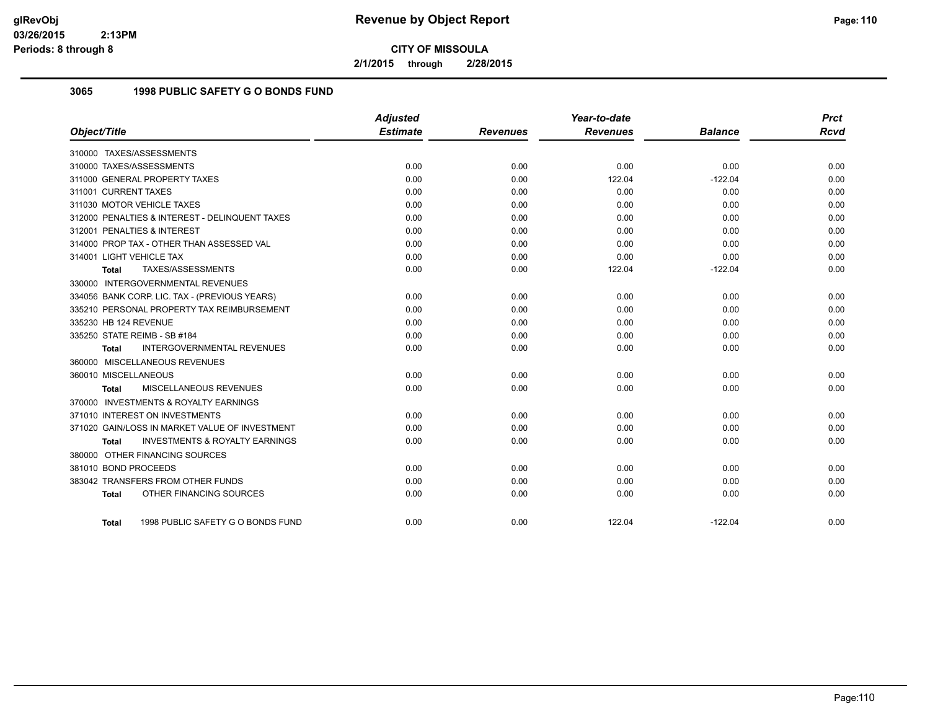**2/1/2015 through 2/28/2015**

## **3065 1998 PUBLIC SAFETY G O BONDS FUND**

|                                                    | <b>Adjusted</b> |                 | Year-to-date    |                | <b>Prct</b> |
|----------------------------------------------------|-----------------|-----------------|-----------------|----------------|-------------|
| Object/Title                                       | <b>Estimate</b> | <b>Revenues</b> | <b>Revenues</b> | <b>Balance</b> | <b>Rcvd</b> |
| 310000 TAXES/ASSESSMENTS                           |                 |                 |                 |                |             |
| 310000 TAXES/ASSESSMENTS                           | 0.00            | 0.00            | 0.00            | 0.00           | 0.00        |
| 311000 GENERAL PROPERTY TAXES                      | 0.00            | 0.00            | 122.04          | $-122.04$      | 0.00        |
| 311001 CURRENT TAXES                               | 0.00            | 0.00            | 0.00            | 0.00           | 0.00        |
| 311030 MOTOR VEHICLE TAXES                         | 0.00            | 0.00            | 0.00            | 0.00           | 0.00        |
| 312000 PENALTIES & INTEREST - DELINQUENT TAXES     | 0.00            | 0.00            | 0.00            | 0.00           | 0.00        |
| 312001 PENALTIES & INTEREST                        | 0.00            | 0.00            | 0.00            | 0.00           | 0.00        |
| 314000 PROP TAX - OTHER THAN ASSESSED VAL          | 0.00            | 0.00            | 0.00            | 0.00           | 0.00        |
| 314001 LIGHT VEHICLE TAX                           | 0.00            | 0.00            | 0.00            | 0.00           | 0.00        |
| TAXES/ASSESSMENTS<br><b>Total</b>                  | 0.00            | 0.00            | 122.04          | $-122.04$      | 0.00        |
| 330000 INTERGOVERNMENTAL REVENUES                  |                 |                 |                 |                |             |
| 334056 BANK CORP. LIC. TAX - (PREVIOUS YEARS)      | 0.00            | 0.00            | 0.00            | 0.00           | 0.00        |
| 335210 PERSONAL PROPERTY TAX REIMBURSEMENT         | 0.00            | 0.00            | 0.00            | 0.00           | 0.00        |
| 335230 HB 124 REVENUE                              | 0.00            | 0.00            | 0.00            | 0.00           | 0.00        |
| 335250 STATE REIMB - SB #184                       | 0.00            | 0.00            | 0.00            | 0.00           | 0.00        |
| <b>INTERGOVERNMENTAL REVENUES</b><br><b>Total</b>  | 0.00            | 0.00            | 0.00            | 0.00           | 0.00        |
| 360000 MISCELLANEOUS REVENUES                      |                 |                 |                 |                |             |
| 360010 MISCELLANEOUS                               | 0.00            | 0.00            | 0.00            | 0.00           | 0.00        |
| MISCELLANEOUS REVENUES<br><b>Total</b>             | 0.00            | 0.00            | 0.00            | 0.00           | 0.00        |
| 370000 INVESTMENTS & ROYALTY EARNINGS              |                 |                 |                 |                |             |
| 371010 INTEREST ON INVESTMENTS                     | 0.00            | 0.00            | 0.00            | 0.00           | 0.00        |
| 371020 GAIN/LOSS IN MARKET VALUE OF INVESTMENT     | 0.00            | 0.00            | 0.00            | 0.00           | 0.00        |
| <b>INVESTMENTS &amp; ROYALTY EARNINGS</b><br>Total | 0.00            | 0.00            | 0.00            | 0.00           | 0.00        |
| 380000 OTHER FINANCING SOURCES                     |                 |                 |                 |                |             |
| 381010 BOND PROCEEDS                               | 0.00            | 0.00            | 0.00            | 0.00           | 0.00        |
| 383042 TRANSFERS FROM OTHER FUNDS                  | 0.00            | 0.00            | 0.00            | 0.00           | 0.00        |
| OTHER FINANCING SOURCES<br><b>Total</b>            | 0.00            | 0.00            | 0.00            | 0.00           | 0.00        |
|                                                    |                 |                 |                 |                |             |
| 1998 PUBLIC SAFETY G O BONDS FUND<br>Total         | 0.00            | 0.00            | 122.04          | $-122.04$      | 0.00        |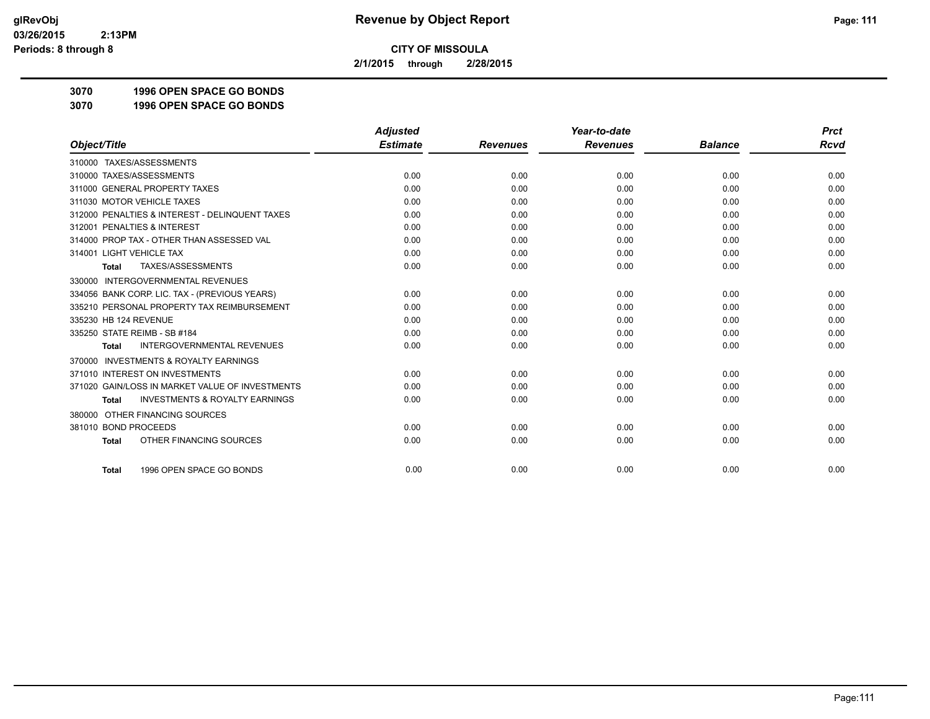**2/1/2015 through 2/28/2015**

**3070 1996 OPEN SPACE GO BONDS**

**3070 1996 OPEN SPACE GO BONDS**

|                                                           | <b>Adjusted</b> |                 | Year-to-date    |                | <b>Prct</b> |
|-----------------------------------------------------------|-----------------|-----------------|-----------------|----------------|-------------|
| Object/Title                                              | <b>Estimate</b> | <b>Revenues</b> | <b>Revenues</b> | <b>Balance</b> | <b>Rcvd</b> |
| 310000 TAXES/ASSESSMENTS                                  |                 |                 |                 |                |             |
| 310000 TAXES/ASSESSMENTS                                  | 0.00            | 0.00            | 0.00            | 0.00           | 0.00        |
| 311000 GENERAL PROPERTY TAXES                             | 0.00            | 0.00            | 0.00            | 0.00           | 0.00        |
| 311030 MOTOR VEHICLE TAXES                                | 0.00            | 0.00            | 0.00            | 0.00           | 0.00        |
| 312000 PENALTIES & INTEREST - DELINQUENT TAXES            | 0.00            | 0.00            | 0.00            | 0.00           | 0.00        |
| 312001 PENALTIES & INTEREST                               | 0.00            | 0.00            | 0.00            | 0.00           | 0.00        |
| 314000 PROP TAX - OTHER THAN ASSESSED VAL                 | 0.00            | 0.00            | 0.00            | 0.00           | 0.00        |
| 314001 LIGHT VEHICLE TAX                                  | 0.00            | 0.00            | 0.00            | 0.00           | 0.00        |
| TAXES/ASSESSMENTS<br><b>Total</b>                         | 0.00            | 0.00            | 0.00            | 0.00           | 0.00        |
| 330000 INTERGOVERNMENTAL REVENUES                         |                 |                 |                 |                |             |
| 334056 BANK CORP. LIC. TAX - (PREVIOUS YEARS)             | 0.00            | 0.00            | 0.00            | 0.00           | 0.00        |
| 335210 PERSONAL PROPERTY TAX REIMBURSEMENT                | 0.00            | 0.00            | 0.00            | 0.00           | 0.00        |
| 335230 HB 124 REVENUE                                     | 0.00            | 0.00            | 0.00            | 0.00           | 0.00        |
| 335250 STATE REIMB - SB #184                              | 0.00            | 0.00            | 0.00            | 0.00           | 0.00        |
| <b>INTERGOVERNMENTAL REVENUES</b><br><b>Total</b>         | 0.00            | 0.00            | 0.00            | 0.00           | 0.00        |
| <b>INVESTMENTS &amp; ROYALTY EARNINGS</b><br>370000       |                 |                 |                 |                |             |
| 371010 INTEREST ON INVESTMENTS                            | 0.00            | 0.00            | 0.00            | 0.00           | 0.00        |
| 371020 GAIN/LOSS IN MARKET VALUE OF INVESTMENTS           | 0.00            | 0.00            | 0.00            | 0.00           | 0.00        |
| <b>INVESTMENTS &amp; ROYALTY EARNINGS</b><br><b>Total</b> | 0.00            | 0.00            | 0.00            | 0.00           | 0.00        |
| OTHER FINANCING SOURCES<br>380000                         |                 |                 |                 |                |             |
| 381010 BOND PROCEEDS                                      | 0.00            | 0.00            | 0.00            | 0.00           | 0.00        |
| OTHER FINANCING SOURCES<br><b>Total</b>                   | 0.00            | 0.00            | 0.00            | 0.00           | 0.00        |
| 1996 OPEN SPACE GO BONDS<br><b>Total</b>                  | 0.00            | 0.00            | 0.00            | 0.00           | 0.00        |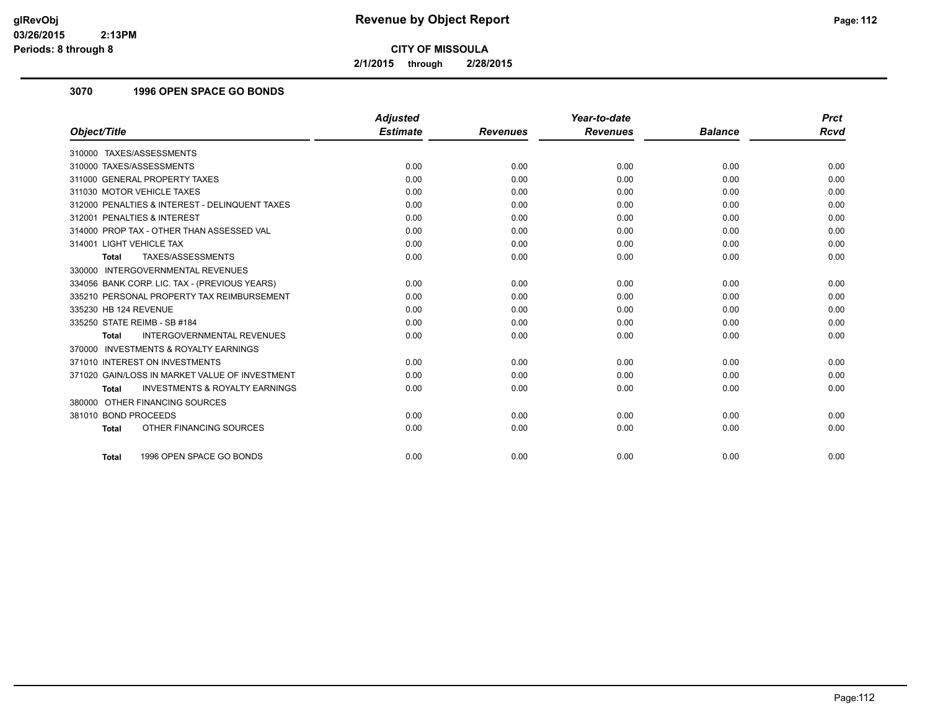**2/1/2015 through 2/28/2015**

# **3070 1996 OPEN SPACE GO BONDS**

|                                                           | <b>Adjusted</b> |                 | Year-to-date    |                | <b>Prct</b> |
|-----------------------------------------------------------|-----------------|-----------------|-----------------|----------------|-------------|
| Object/Title                                              | <b>Estimate</b> | <b>Revenues</b> | <b>Revenues</b> | <b>Balance</b> | <b>Rcvd</b> |
| 310000 TAXES/ASSESSMENTS                                  |                 |                 |                 |                |             |
| 310000 TAXES/ASSESSMENTS                                  | 0.00            | 0.00            | 0.00            | 0.00           | 0.00        |
| 311000 GENERAL PROPERTY TAXES                             | 0.00            | 0.00            | 0.00            | 0.00           | 0.00        |
| 311030 MOTOR VEHICLE TAXES                                | 0.00            | 0.00            | 0.00            | 0.00           | 0.00        |
| 312000 PENALTIES & INTEREST - DELINQUENT TAXES            | 0.00            | 0.00            | 0.00            | 0.00           | 0.00        |
| 312001 PENALTIES & INTEREST                               | 0.00            | 0.00            | 0.00            | 0.00           | 0.00        |
| 314000 PROP TAX - OTHER THAN ASSESSED VAL                 | 0.00            | 0.00            | 0.00            | 0.00           | 0.00        |
| 314001 LIGHT VEHICLE TAX                                  | 0.00            | 0.00            | 0.00            | 0.00           | 0.00        |
| TAXES/ASSESSMENTS<br><b>Total</b>                         | 0.00            | 0.00            | 0.00            | 0.00           | 0.00        |
| 330000 INTERGOVERNMENTAL REVENUES                         |                 |                 |                 |                |             |
| 334056 BANK CORP. LIC. TAX - (PREVIOUS YEARS)             | 0.00            | 0.00            | 0.00            | 0.00           | 0.00        |
| 335210 PERSONAL PROPERTY TAX REIMBURSEMENT                | 0.00            | 0.00            | 0.00            | 0.00           | 0.00        |
| 335230 HB 124 REVENUE                                     | 0.00            | 0.00            | 0.00            | 0.00           | 0.00        |
| 335250 STATE REIMB - SB #184                              | 0.00            | 0.00            | 0.00            | 0.00           | 0.00        |
| <b>INTERGOVERNMENTAL REVENUES</b><br><b>Total</b>         | 0.00            | 0.00            | 0.00            | 0.00           | 0.00        |
| <b>INVESTMENTS &amp; ROYALTY EARNINGS</b><br>370000       |                 |                 |                 |                |             |
| 371010 INTEREST ON INVESTMENTS                            | 0.00            | 0.00            | 0.00            | 0.00           | 0.00        |
| 371020 GAIN/LOSS IN MARKET VALUE OF INVESTMENT            | 0.00            | 0.00            | 0.00            | 0.00           | 0.00        |
| <b>INVESTMENTS &amp; ROYALTY EARNINGS</b><br><b>Total</b> | 0.00            | 0.00            | 0.00            | 0.00           | 0.00        |
| 380000 OTHER FINANCING SOURCES                            |                 |                 |                 |                |             |
| 381010 BOND PROCEEDS                                      | 0.00            | 0.00            | 0.00            | 0.00           | 0.00        |
| OTHER FINANCING SOURCES<br><b>Total</b>                   | 0.00            | 0.00            | 0.00            | 0.00           | 0.00        |
| 1996 OPEN SPACE GO BONDS<br><b>Total</b>                  | 0.00            | 0.00            | 0.00            | 0.00           | 0.00        |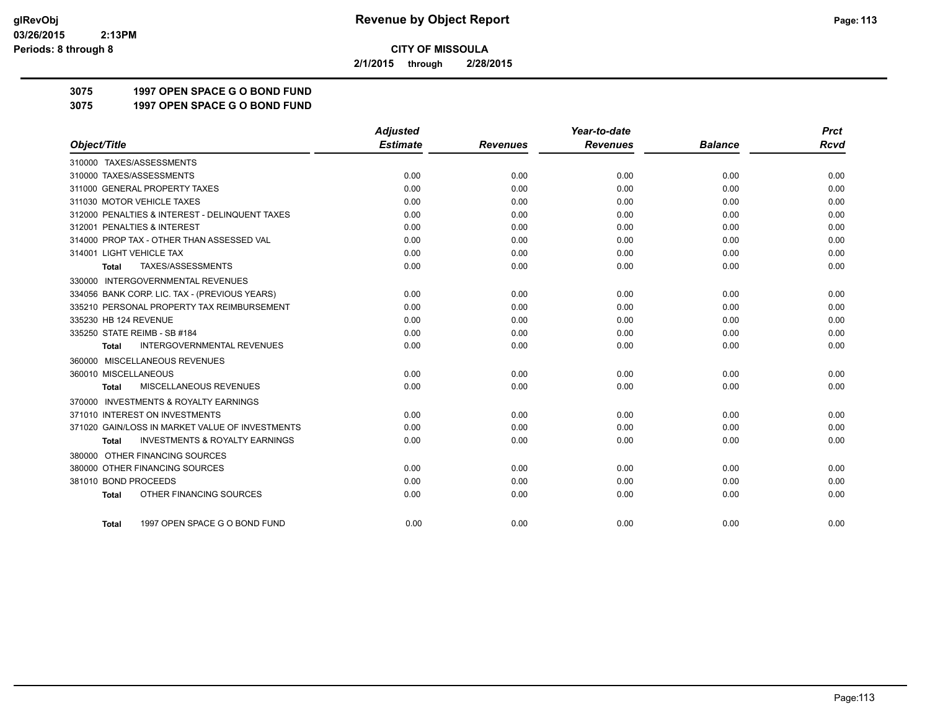**2/1/2015 through 2/28/2015**

**3075 1997 OPEN SPACE G O BOND FUND**

**3075 1997 OPEN SPACE G O BOND FUND**

|                                                           | <b>Adjusted</b> |                 | Year-to-date    |                | <b>Prct</b> |
|-----------------------------------------------------------|-----------------|-----------------|-----------------|----------------|-------------|
| Object/Title                                              | <b>Estimate</b> | <b>Revenues</b> | <b>Revenues</b> | <b>Balance</b> | <b>Rcvd</b> |
| 310000 TAXES/ASSESSMENTS                                  |                 |                 |                 |                |             |
| 310000 TAXES/ASSESSMENTS                                  | 0.00            | 0.00            | 0.00            | 0.00           | 0.00        |
| 311000 GENERAL PROPERTY TAXES                             | 0.00            | 0.00            | 0.00            | 0.00           | 0.00        |
| 311030 MOTOR VEHICLE TAXES                                | 0.00            | 0.00            | 0.00            | 0.00           | 0.00        |
| 312000 PENALTIES & INTEREST - DELINQUENT TAXES            | 0.00            | 0.00            | 0.00            | 0.00           | 0.00        |
| 312001 PENALTIES & INTEREST                               | 0.00            | 0.00            | 0.00            | 0.00           | 0.00        |
| 314000 PROP TAX - OTHER THAN ASSESSED VAL                 | 0.00            | 0.00            | 0.00            | 0.00           | 0.00        |
| 314001 LIGHT VEHICLE TAX                                  | 0.00            | 0.00            | 0.00            | 0.00           | 0.00        |
| TAXES/ASSESSMENTS<br>Total                                | 0.00            | 0.00            | 0.00            | 0.00           | 0.00        |
| 330000 INTERGOVERNMENTAL REVENUES                         |                 |                 |                 |                |             |
| 334056 BANK CORP. LIC. TAX - (PREVIOUS YEARS)             | 0.00            | 0.00            | 0.00            | 0.00           | 0.00        |
| 335210 PERSONAL PROPERTY TAX REIMBURSEMENT                | 0.00            | 0.00            | 0.00            | 0.00           | 0.00        |
| 335230 HB 124 REVENUE                                     | 0.00            | 0.00            | 0.00            | 0.00           | 0.00        |
| 335250 STATE REIMB - SB #184                              | 0.00            | 0.00            | 0.00            | 0.00           | 0.00        |
| <b>INTERGOVERNMENTAL REVENUES</b><br><b>Total</b>         | 0.00            | 0.00            | 0.00            | 0.00           | 0.00        |
| 360000 MISCELLANEOUS REVENUES                             |                 |                 |                 |                |             |
| 360010 MISCELLANEOUS                                      | 0.00            | 0.00            | 0.00            | 0.00           | 0.00        |
| MISCELLANEOUS REVENUES<br><b>Total</b>                    | 0.00            | 0.00            | 0.00            | 0.00           | 0.00        |
| <b>INVESTMENTS &amp; ROYALTY EARNINGS</b><br>370000       |                 |                 |                 |                |             |
| 371010 INTEREST ON INVESTMENTS                            | 0.00            | 0.00            | 0.00            | 0.00           | 0.00        |
| 371020 GAIN/LOSS IN MARKET VALUE OF INVESTMENTS           | 0.00            | 0.00            | 0.00            | 0.00           | 0.00        |
| <b>INVESTMENTS &amp; ROYALTY EARNINGS</b><br><b>Total</b> | 0.00            | 0.00            | 0.00            | 0.00           | 0.00        |
| 380000 OTHER FINANCING SOURCES                            |                 |                 |                 |                |             |
| 380000 OTHER FINANCING SOURCES                            | 0.00            | 0.00            | 0.00            | 0.00           | 0.00        |
| 381010 BOND PROCEEDS                                      | 0.00            | 0.00            | 0.00            | 0.00           | 0.00        |
| OTHER FINANCING SOURCES<br><b>Total</b>                   | 0.00            | 0.00            | 0.00            | 0.00           | 0.00        |
|                                                           |                 |                 |                 |                |             |
| 1997 OPEN SPACE G O BOND FUND<br>Total                    | 0.00            | 0.00            | 0.00            | 0.00           | 0.00        |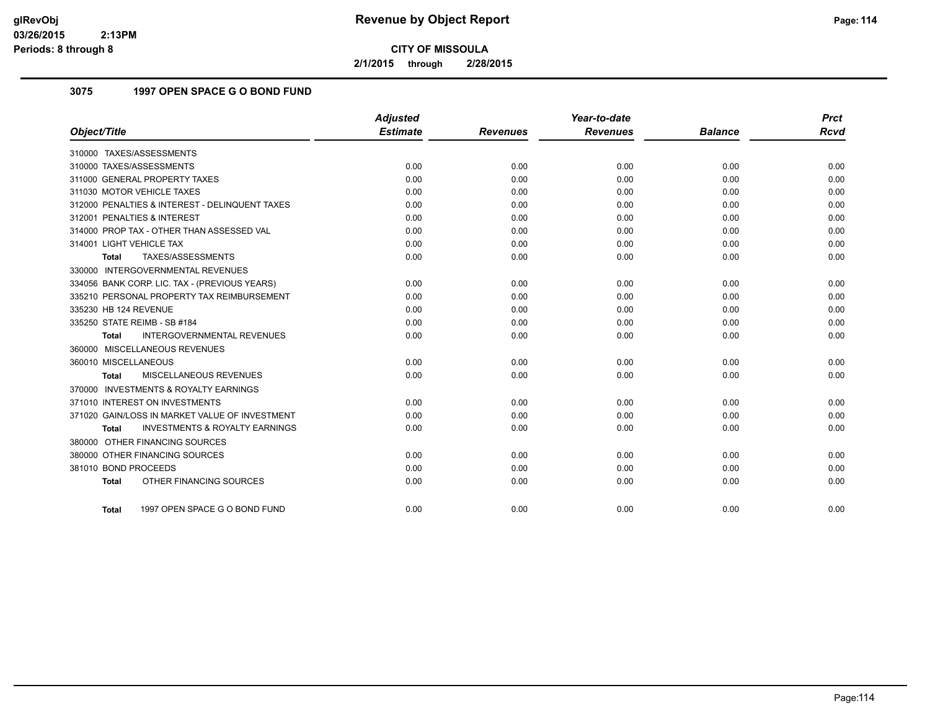**2/1/2015 through 2/28/2015**

# **3075 1997 OPEN SPACE G O BOND FUND**

|                                                           | <b>Adjusted</b> |                 | Year-to-date    |                | <b>Prct</b> |
|-----------------------------------------------------------|-----------------|-----------------|-----------------|----------------|-------------|
| Object/Title                                              | <b>Estimate</b> | <b>Revenues</b> | <b>Revenues</b> | <b>Balance</b> | <b>Rcvd</b> |
| 310000 TAXES/ASSESSMENTS                                  |                 |                 |                 |                |             |
| 310000 TAXES/ASSESSMENTS                                  | 0.00            | 0.00            | 0.00            | 0.00           | 0.00        |
| 311000 GENERAL PROPERTY TAXES                             | 0.00            | 0.00            | 0.00            | 0.00           | 0.00        |
| 311030 MOTOR VEHICLE TAXES                                | 0.00            | 0.00            | 0.00            | 0.00           | 0.00        |
| 312000 PENALTIES & INTEREST - DELINQUENT TAXES            | 0.00            | 0.00            | 0.00            | 0.00           | 0.00        |
| 312001 PENALTIES & INTEREST                               | 0.00            | 0.00            | 0.00            | 0.00           | 0.00        |
| 314000 PROP TAX - OTHER THAN ASSESSED VAL                 | 0.00            | 0.00            | 0.00            | 0.00           | 0.00        |
| 314001 LIGHT VEHICLE TAX                                  | 0.00            | 0.00            | 0.00            | 0.00           | 0.00        |
| TAXES/ASSESSMENTS<br><b>Total</b>                         | 0.00            | 0.00            | 0.00            | 0.00           | 0.00        |
| 330000 INTERGOVERNMENTAL REVENUES                         |                 |                 |                 |                |             |
| 334056 BANK CORP. LIC. TAX - (PREVIOUS YEARS)             | 0.00            | 0.00            | 0.00            | 0.00           | 0.00        |
| 335210 PERSONAL PROPERTY TAX REIMBURSEMENT                | 0.00            | 0.00            | 0.00            | 0.00           | 0.00        |
| 335230 HB 124 REVENUE                                     | 0.00            | 0.00            | 0.00            | 0.00           | 0.00        |
| 335250 STATE REIMB - SB #184                              | 0.00            | 0.00            | 0.00            | 0.00           | 0.00        |
| INTERGOVERNMENTAL REVENUES<br><b>Total</b>                | 0.00            | 0.00            | 0.00            | 0.00           | 0.00        |
| 360000 MISCELLANEOUS REVENUES                             |                 |                 |                 |                |             |
| 360010 MISCELLANEOUS                                      | 0.00            | 0.00            | 0.00            | 0.00           | 0.00        |
| MISCELLANEOUS REVENUES<br>Total                           | 0.00            | 0.00            | 0.00            | 0.00           | 0.00        |
| 370000 INVESTMENTS & ROYALTY EARNINGS                     |                 |                 |                 |                |             |
| 371010 INTEREST ON INVESTMENTS                            | 0.00            | 0.00            | 0.00            | 0.00           | 0.00        |
| 371020 GAIN/LOSS IN MARKET VALUE OF INVESTMENT            | 0.00            | 0.00            | 0.00            | 0.00           | 0.00        |
| <b>INVESTMENTS &amp; ROYALTY EARNINGS</b><br><b>Total</b> | 0.00            | 0.00            | 0.00            | 0.00           | 0.00        |
| 380000 OTHER FINANCING SOURCES                            |                 |                 |                 |                |             |
| 380000 OTHER FINANCING SOURCES                            | 0.00            | 0.00            | 0.00            | 0.00           | 0.00        |
| 381010 BOND PROCEEDS                                      | 0.00            | 0.00            | 0.00            | 0.00           | 0.00        |
| OTHER FINANCING SOURCES<br><b>Total</b>                   | 0.00            | 0.00            | 0.00            | 0.00           | 0.00        |
| 1997 OPEN SPACE G O BOND FUND<br>Total                    | 0.00            | 0.00            | 0.00            | 0.00           | 0.00        |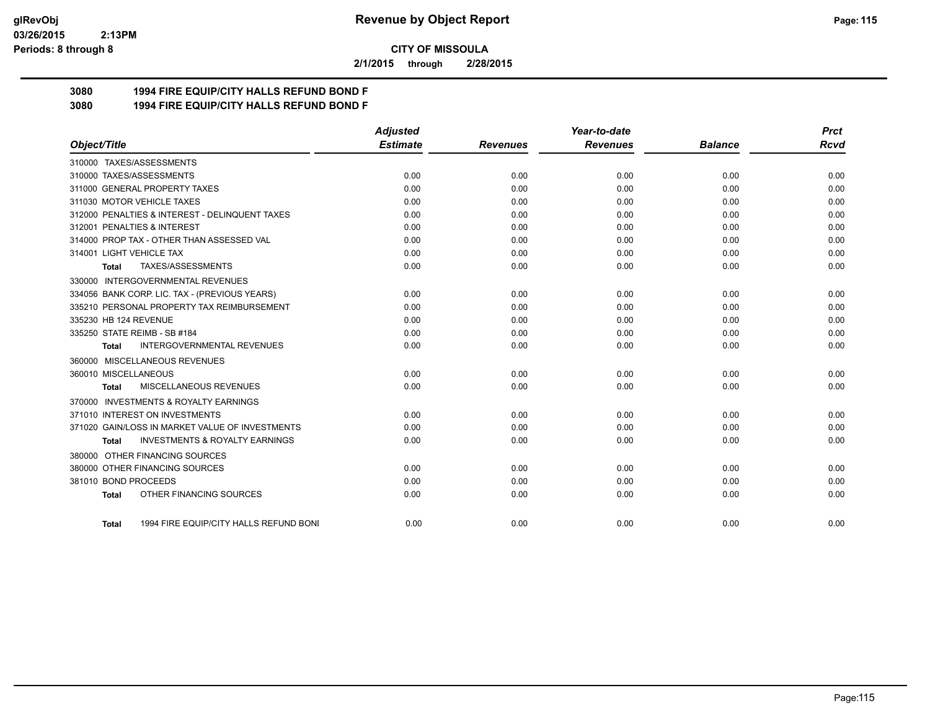#### **03/26/2015 2:13PM Periods: 8 through 8**

**CITY OF MISSOULA**

**2/1/2015 through 2/28/2015**

# **3080 1994 FIRE EQUIP/CITY HALLS REFUND BOND F**

**3080 1994 FIRE EQUIP/CITY HALLS REFUND BOND F**

|                                                           | <b>Adjusted</b> |                 | Year-to-date    |                | <b>Prct</b> |
|-----------------------------------------------------------|-----------------|-----------------|-----------------|----------------|-------------|
| Object/Title                                              | <b>Estimate</b> | <b>Revenues</b> | <b>Revenues</b> | <b>Balance</b> | <b>Rcvd</b> |
| 310000 TAXES/ASSESSMENTS                                  |                 |                 |                 |                |             |
| 310000 TAXES/ASSESSMENTS                                  | 0.00            | 0.00            | 0.00            | 0.00           | 0.00        |
| 311000 GENERAL PROPERTY TAXES                             | 0.00            | 0.00            | 0.00            | 0.00           | 0.00        |
| 311030 MOTOR VEHICLE TAXES                                | 0.00            | 0.00            | 0.00            | 0.00           | 0.00        |
| 312000 PENALTIES & INTEREST - DELINQUENT TAXES            | 0.00            | 0.00            | 0.00            | 0.00           | 0.00        |
| 312001 PENALTIES & INTEREST                               | 0.00            | 0.00            | 0.00            | 0.00           | 0.00        |
| 314000 PROP TAX - OTHER THAN ASSESSED VAL                 | 0.00            | 0.00            | 0.00            | 0.00           | 0.00        |
| 314001 LIGHT VEHICLE TAX                                  | 0.00            | 0.00            | 0.00            | 0.00           | 0.00        |
| TAXES/ASSESSMENTS<br>Total                                | 0.00            | 0.00            | 0.00            | 0.00           | 0.00        |
| 330000 INTERGOVERNMENTAL REVENUES                         |                 |                 |                 |                |             |
| 334056 BANK CORP. LIC. TAX - (PREVIOUS YEARS)             | 0.00            | 0.00            | 0.00            | 0.00           | 0.00        |
| 335210 PERSONAL PROPERTY TAX REIMBURSEMENT                | 0.00            | 0.00            | 0.00            | 0.00           | 0.00        |
| 335230 HB 124 REVENUE                                     | 0.00            | 0.00            | 0.00            | 0.00           | 0.00        |
| 335250 STATE REIMB - SB #184                              | 0.00            | 0.00            | 0.00            | 0.00           | 0.00        |
| <b>INTERGOVERNMENTAL REVENUES</b><br><b>Total</b>         | 0.00            | 0.00            | 0.00            | 0.00           | 0.00        |
| 360000 MISCELLANEOUS REVENUES                             |                 |                 |                 |                |             |
| 360010 MISCELLANEOUS                                      | 0.00            | 0.00            | 0.00            | 0.00           | 0.00        |
| MISCELLANEOUS REVENUES<br><b>Total</b>                    | 0.00            | 0.00            | 0.00            | 0.00           | 0.00        |
| 370000 INVESTMENTS & ROYALTY EARNINGS                     |                 |                 |                 |                |             |
| 371010 INTEREST ON INVESTMENTS                            | 0.00            | 0.00            | 0.00            | 0.00           | 0.00        |
| 371020 GAIN/LOSS IN MARKET VALUE OF INVESTMENTS           | 0.00            | 0.00            | 0.00            | 0.00           | 0.00        |
| <b>INVESTMENTS &amp; ROYALTY EARNINGS</b><br><b>Total</b> | 0.00            | 0.00            | 0.00            | 0.00           | 0.00        |
| OTHER FINANCING SOURCES<br>380000                         |                 |                 |                 |                |             |
| 380000 OTHER FINANCING SOURCES                            | 0.00            | 0.00            | 0.00            | 0.00           | 0.00        |
| 381010 BOND PROCEEDS                                      | 0.00            | 0.00            | 0.00            | 0.00           | 0.00        |
| OTHER FINANCING SOURCES<br><b>Total</b>                   | 0.00            | 0.00            | 0.00            | 0.00           | 0.00        |
|                                                           |                 |                 |                 |                |             |
| 1994 FIRE EQUIP/CITY HALLS REFUND BONI<br>Total           | 0.00            | 0.00            | 0.00            | 0.00           | 0.00        |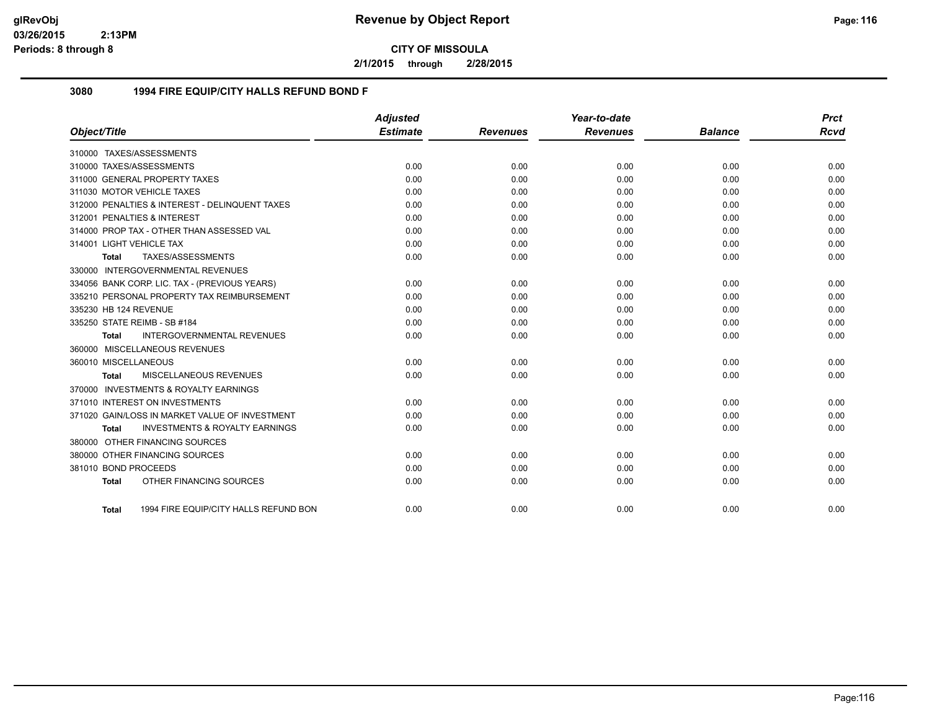**2/1/2015 through 2/28/2015**

#### **3080 1994 FIRE EQUIP/CITY HALLS REFUND BOND F**

|                                                    | <b>Adjusted</b> |                 | Year-to-date    |                | <b>Prct</b> |
|----------------------------------------------------|-----------------|-----------------|-----------------|----------------|-------------|
| Object/Title                                       | <b>Estimate</b> | <b>Revenues</b> | <b>Revenues</b> | <b>Balance</b> | <b>Rcvd</b> |
| 310000 TAXES/ASSESSMENTS                           |                 |                 |                 |                |             |
| 310000 TAXES/ASSESSMENTS                           | 0.00            | 0.00            | 0.00            | 0.00           | 0.00        |
| 311000 GENERAL PROPERTY TAXES                      | 0.00            | 0.00            | 0.00            | 0.00           | 0.00        |
| 311030 MOTOR VEHICLE TAXES                         | 0.00            | 0.00            | 0.00            | 0.00           | 0.00        |
| 312000 PENALTIES & INTEREST - DELINQUENT TAXES     | 0.00            | 0.00            | 0.00            | 0.00           | 0.00        |
| 312001 PENALTIES & INTEREST                        | 0.00            | 0.00            | 0.00            | 0.00           | 0.00        |
| 314000 PROP TAX - OTHER THAN ASSESSED VAL          | 0.00            | 0.00            | 0.00            | 0.00           | 0.00        |
| 314001 LIGHT VEHICLE TAX                           | 0.00            | 0.00            | 0.00            | 0.00           | 0.00        |
| TAXES/ASSESSMENTS<br><b>Total</b>                  | 0.00            | 0.00            | 0.00            | 0.00           | 0.00        |
| 330000 INTERGOVERNMENTAL REVENUES                  |                 |                 |                 |                |             |
| 334056 BANK CORP. LIC. TAX - (PREVIOUS YEARS)      | 0.00            | 0.00            | 0.00            | 0.00           | 0.00        |
| 335210 PERSONAL PROPERTY TAX REIMBURSEMENT         | 0.00            | 0.00            | 0.00            | 0.00           | 0.00        |
| 335230 HB 124 REVENUE                              | 0.00            | 0.00            | 0.00            | 0.00           | 0.00        |
| 335250 STATE REIMB - SB #184                       | 0.00            | 0.00            | 0.00            | 0.00           | 0.00        |
| <b>INTERGOVERNMENTAL REVENUES</b><br><b>Total</b>  | 0.00            | 0.00            | 0.00            | 0.00           | 0.00        |
| 360000 MISCELLANEOUS REVENUES                      |                 |                 |                 |                |             |
| 360010 MISCELLANEOUS                               | 0.00            | 0.00            | 0.00            | 0.00           | 0.00        |
| MISCELLANEOUS REVENUES<br>Total                    | 0.00            | 0.00            | 0.00            | 0.00           | 0.00        |
| 370000 INVESTMENTS & ROYALTY EARNINGS              |                 |                 |                 |                |             |
| 371010 INTEREST ON INVESTMENTS                     | 0.00            | 0.00            | 0.00            | 0.00           | 0.00        |
| 371020 GAIN/LOSS IN MARKET VALUE OF INVESTMENT     | 0.00            | 0.00            | 0.00            | 0.00           | 0.00        |
| <b>INVESTMENTS &amp; ROYALTY EARNINGS</b><br>Total | 0.00            | 0.00            | 0.00            | 0.00           | 0.00        |
| 380000 OTHER FINANCING SOURCES                     |                 |                 |                 |                |             |
| 380000 OTHER FINANCING SOURCES                     | 0.00            | 0.00            | 0.00            | 0.00           | 0.00        |
| 381010 BOND PROCEEDS                               | 0.00            | 0.00            | 0.00            | 0.00           | 0.00        |
| OTHER FINANCING SOURCES<br><b>Total</b>            | 0.00            | 0.00            | 0.00            | 0.00           | 0.00        |
| 1994 FIRE EQUIP/CITY HALLS REFUND BON<br>Total     | 0.00            | 0.00            | 0.00            | 0.00           | 0.00        |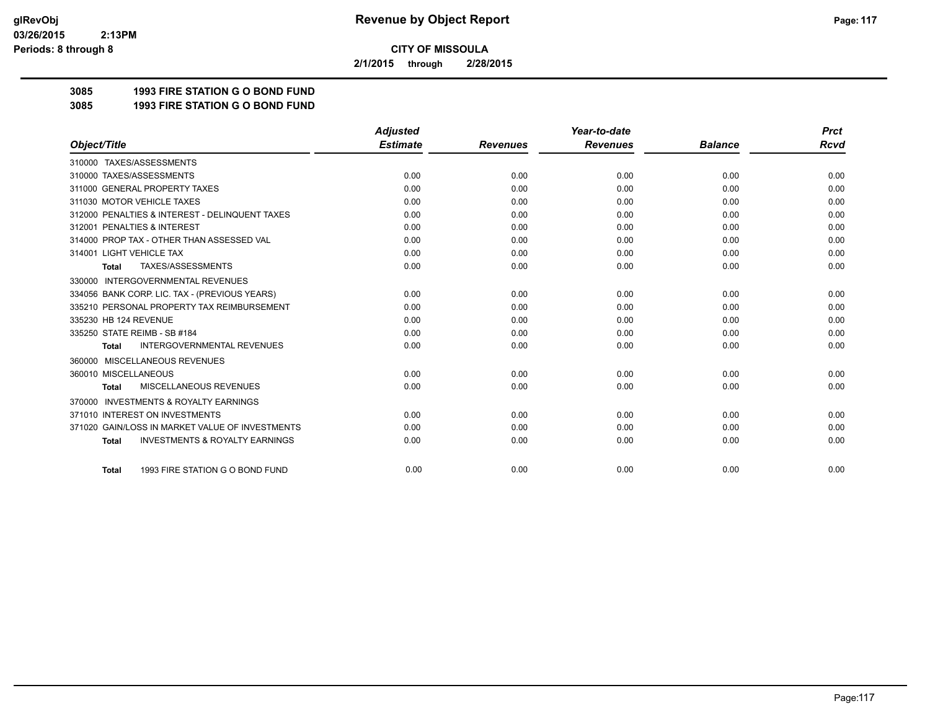**2/1/2015 through 2/28/2015**

# **3085 1993 FIRE STATION G O BOND FUND**

**3085 1993 FIRE STATION G O BOND FUND**

|                                                           | <b>Adjusted</b> |                 | Year-to-date    |                | <b>Prct</b> |
|-----------------------------------------------------------|-----------------|-----------------|-----------------|----------------|-------------|
| Object/Title                                              | <b>Estimate</b> | <b>Revenues</b> | <b>Revenues</b> | <b>Balance</b> | <b>Rcvd</b> |
| 310000 TAXES/ASSESSMENTS                                  |                 |                 |                 |                |             |
| 310000 TAXES/ASSESSMENTS                                  | 0.00            | 0.00            | 0.00            | 0.00           | 0.00        |
| 311000 GENERAL PROPERTY TAXES                             | 0.00            | 0.00            | 0.00            | 0.00           | 0.00        |
| 311030 MOTOR VEHICLE TAXES                                | 0.00            | 0.00            | 0.00            | 0.00           | 0.00        |
| 312000 PENALTIES & INTEREST - DELINQUENT TAXES            | 0.00            | 0.00            | 0.00            | 0.00           | 0.00        |
| 312001 PENALTIES & INTEREST                               | 0.00            | 0.00            | 0.00            | 0.00           | 0.00        |
| 314000 PROP TAX - OTHER THAN ASSESSED VAL                 | 0.00            | 0.00            | 0.00            | 0.00           | 0.00        |
| 314001 LIGHT VEHICLE TAX                                  | 0.00            | 0.00            | 0.00            | 0.00           | 0.00        |
| TAXES/ASSESSMENTS<br><b>Total</b>                         | 0.00            | 0.00            | 0.00            | 0.00           | 0.00        |
| <b>INTERGOVERNMENTAL REVENUES</b><br>330000               |                 |                 |                 |                |             |
| 334056 BANK CORP. LIC. TAX - (PREVIOUS YEARS)             | 0.00            | 0.00            | 0.00            | 0.00           | 0.00        |
| 335210 PERSONAL PROPERTY TAX REIMBURSEMENT                | 0.00            | 0.00            | 0.00            | 0.00           | 0.00        |
| 335230 HB 124 REVENUE                                     | 0.00            | 0.00            | 0.00            | 0.00           | 0.00        |
| 335250 STATE REIMB - SB #184                              | 0.00            | 0.00            | 0.00            | 0.00           | 0.00        |
| <b>INTERGOVERNMENTAL REVENUES</b><br><b>Total</b>         | 0.00            | 0.00            | 0.00            | 0.00           | 0.00        |
| MISCELLANEOUS REVENUES<br>360000                          |                 |                 |                 |                |             |
| 360010 MISCELLANEOUS                                      | 0.00            | 0.00            | 0.00            | 0.00           | 0.00        |
| <b>MISCELLANEOUS REVENUES</b><br><b>Total</b>             | 0.00            | 0.00            | 0.00            | 0.00           | 0.00        |
| <b>INVESTMENTS &amp; ROYALTY EARNINGS</b><br>370000       |                 |                 |                 |                |             |
| 371010 INTEREST ON INVESTMENTS                            | 0.00            | 0.00            | 0.00            | 0.00           | 0.00        |
| 371020 GAIN/LOSS IN MARKET VALUE OF INVESTMENTS           | 0.00            | 0.00            | 0.00            | 0.00           | 0.00        |
| <b>INVESTMENTS &amp; ROYALTY EARNINGS</b><br><b>Total</b> | 0.00            | 0.00            | 0.00            | 0.00           | 0.00        |
|                                                           |                 |                 |                 |                |             |
| 1993 FIRE STATION G O BOND FUND<br><b>Total</b>           | 0.00            | 0.00            | 0.00            | 0.00           | 0.00        |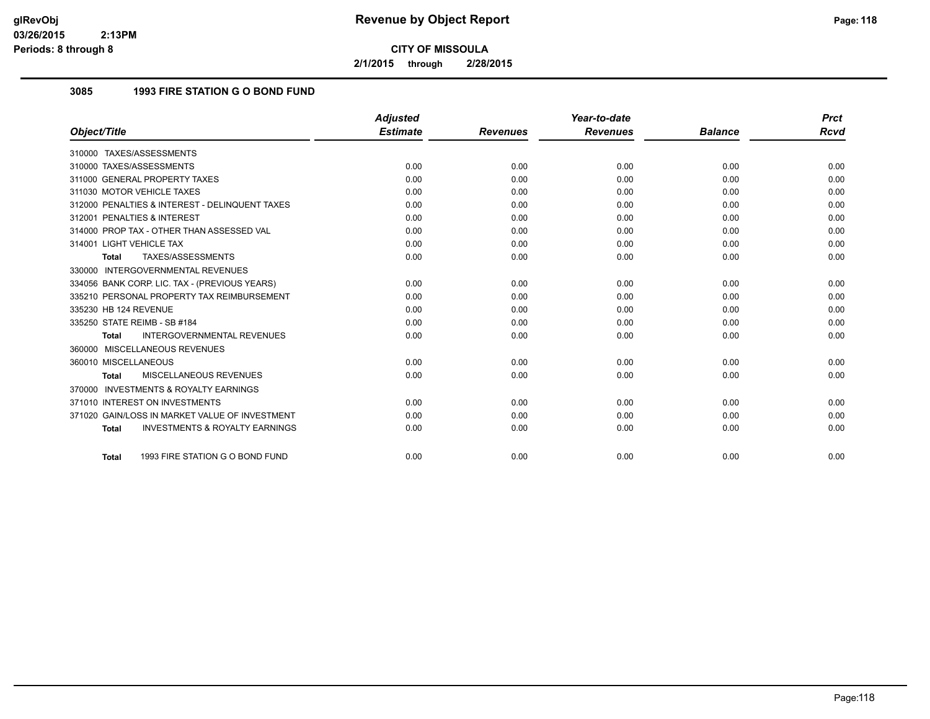**2/1/2015 through 2/28/2015**

## **3085 1993 FIRE STATION G O BOND FUND**

|                                                           | <b>Adjusted</b> |                 | Year-to-date    |                | <b>Prct</b> |
|-----------------------------------------------------------|-----------------|-----------------|-----------------|----------------|-------------|
| Object/Title                                              | <b>Estimate</b> | <b>Revenues</b> | <b>Revenues</b> | <b>Balance</b> | <b>Rcvd</b> |
| 310000 TAXES/ASSESSMENTS                                  |                 |                 |                 |                |             |
| 310000 TAXES/ASSESSMENTS                                  | 0.00            | 0.00            | 0.00            | 0.00           | 0.00        |
| 311000 GENERAL PROPERTY TAXES                             | 0.00            | 0.00            | 0.00            | 0.00           | 0.00        |
| 311030 MOTOR VEHICLE TAXES                                | 0.00            | 0.00            | 0.00            | 0.00           | 0.00        |
| 312000 PENALTIES & INTEREST - DELINQUENT TAXES            | 0.00            | 0.00            | 0.00            | 0.00           | 0.00        |
| 312001 PENALTIES & INTEREST                               | 0.00            | 0.00            | 0.00            | 0.00           | 0.00        |
| 314000 PROP TAX - OTHER THAN ASSESSED VAL                 | 0.00            | 0.00            | 0.00            | 0.00           | 0.00        |
| 314001 LIGHT VEHICLE TAX                                  | 0.00            | 0.00            | 0.00            | 0.00           | 0.00        |
| TAXES/ASSESSMENTS<br>Total                                | 0.00            | 0.00            | 0.00            | 0.00           | 0.00        |
| 330000 INTERGOVERNMENTAL REVENUES                         |                 |                 |                 |                |             |
| 334056 BANK CORP. LIC. TAX - (PREVIOUS YEARS)             | 0.00            | 0.00            | 0.00            | 0.00           | 0.00        |
| 335210 PERSONAL PROPERTY TAX REIMBURSEMENT                | 0.00            | 0.00            | 0.00            | 0.00           | 0.00        |
| 335230 HB 124 REVENUE                                     | 0.00            | 0.00            | 0.00            | 0.00           | 0.00        |
| 335250 STATE REIMB - SB #184                              | 0.00            | 0.00            | 0.00            | 0.00           | 0.00        |
| <b>INTERGOVERNMENTAL REVENUES</b><br><b>Total</b>         | 0.00            | 0.00            | 0.00            | 0.00           | 0.00        |
| 360000 MISCELLANEOUS REVENUES                             |                 |                 |                 |                |             |
| 360010 MISCELLANEOUS                                      | 0.00            | 0.00            | 0.00            | 0.00           | 0.00        |
| <b>MISCELLANEOUS REVENUES</b><br><b>Total</b>             | 0.00            | 0.00            | 0.00            | 0.00           | 0.00        |
| 370000 INVESTMENTS & ROYALTY EARNINGS                     |                 |                 |                 |                |             |
| 371010 INTEREST ON INVESTMENTS                            | 0.00            | 0.00            | 0.00            | 0.00           | 0.00        |
| 371020 GAIN/LOSS IN MARKET VALUE OF INVESTMENT            | 0.00            | 0.00            | 0.00            | 0.00           | 0.00        |
| <b>INVESTMENTS &amp; ROYALTY EARNINGS</b><br><b>Total</b> | 0.00            | 0.00            | 0.00            | 0.00           | 0.00        |
| 1993 FIRE STATION G O BOND FUND<br><b>Total</b>           | 0.00            | 0.00            | 0.00            | 0.00           | 0.00        |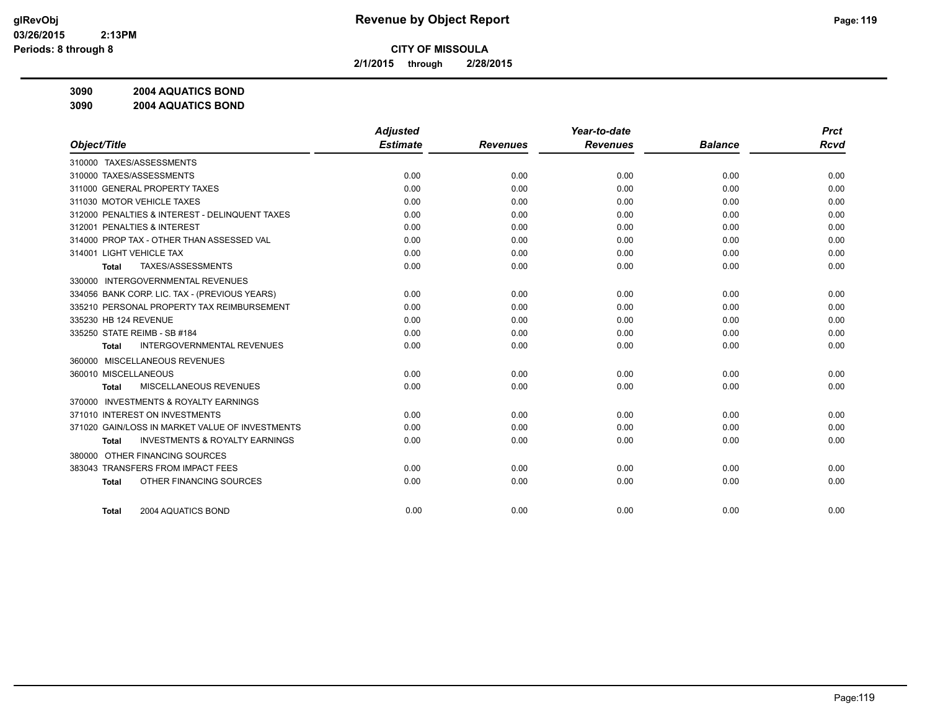**2/1/2015 through 2/28/2015**

**3090 2004 AQUATICS BOND**

**3090 2004 AQUATICS BOND**

|                                                     | <b>Adjusted</b> |                 | Year-to-date    |                | <b>Prct</b> |
|-----------------------------------------------------|-----------------|-----------------|-----------------|----------------|-------------|
| Object/Title                                        | <b>Estimate</b> | <b>Revenues</b> | <b>Revenues</b> | <b>Balance</b> | <b>Rcvd</b> |
| 310000 TAXES/ASSESSMENTS                            |                 |                 |                 |                |             |
| 310000 TAXES/ASSESSMENTS                            | 0.00            | 0.00            | 0.00            | 0.00           | 0.00        |
| 311000 GENERAL PROPERTY TAXES                       | 0.00            | 0.00            | 0.00            | 0.00           | 0.00        |
| 311030 MOTOR VEHICLE TAXES                          | 0.00            | 0.00            | 0.00            | 0.00           | 0.00        |
| 312000 PENALTIES & INTEREST - DELINQUENT TAXES      | 0.00            | 0.00            | 0.00            | 0.00           | 0.00        |
| 312001 PENALTIES & INTEREST                         | 0.00            | 0.00            | 0.00            | 0.00           | 0.00        |
| 314000 PROP TAX - OTHER THAN ASSESSED VAL           | 0.00            | 0.00            | 0.00            | 0.00           | 0.00        |
| 314001 LIGHT VEHICLE TAX                            | 0.00            | 0.00            | 0.00            | 0.00           | 0.00        |
| TAXES/ASSESSMENTS<br>Total                          | 0.00            | 0.00            | 0.00            | 0.00           | 0.00        |
| <b>INTERGOVERNMENTAL REVENUES</b><br>330000         |                 |                 |                 |                |             |
| 334056 BANK CORP. LIC. TAX - (PREVIOUS YEARS)       | 0.00            | 0.00            | 0.00            | 0.00           | 0.00        |
| 335210 PERSONAL PROPERTY TAX REIMBURSEMENT          | 0.00            | 0.00            | 0.00            | 0.00           | 0.00        |
| 335230 HB 124 REVENUE                               | 0.00            | 0.00            | 0.00            | 0.00           | 0.00        |
| 335250 STATE REIMB - SB #184                        | 0.00            | 0.00            | 0.00            | 0.00           | 0.00        |
| <b>INTERGOVERNMENTAL REVENUES</b><br><b>Total</b>   | 0.00            | 0.00            | 0.00            | 0.00           | 0.00        |
| 360000 MISCELLANEOUS REVENUES                       |                 |                 |                 |                |             |
| 360010 MISCELLANEOUS                                | 0.00            | 0.00            | 0.00            | 0.00           | 0.00        |
| MISCELLANEOUS REVENUES<br><b>Total</b>              | 0.00            | 0.00            | 0.00            | 0.00           | 0.00        |
| <b>INVESTMENTS &amp; ROYALTY EARNINGS</b><br>370000 |                 |                 |                 |                |             |
| 371010 INTEREST ON INVESTMENTS                      | 0.00            | 0.00            | 0.00            | 0.00           | 0.00        |
| 371020 GAIN/LOSS IN MARKET VALUE OF INVESTMENTS     | 0.00            | 0.00            | 0.00            | 0.00           | 0.00        |
| <b>INVESTMENTS &amp; ROYALTY EARNINGS</b><br>Total  | 0.00            | 0.00            | 0.00            | 0.00           | 0.00        |
| OTHER FINANCING SOURCES<br>380000                   |                 |                 |                 |                |             |
| 383043 TRANSFERS FROM IMPACT FEES                   | 0.00            | 0.00            | 0.00            | 0.00           | 0.00        |
| OTHER FINANCING SOURCES<br><b>Total</b>             | 0.00            | 0.00            | 0.00            | 0.00           | 0.00        |
|                                                     |                 |                 |                 |                |             |
| 2004 AQUATICS BOND<br><b>Total</b>                  | 0.00            | 0.00            | 0.00            | 0.00           | 0.00        |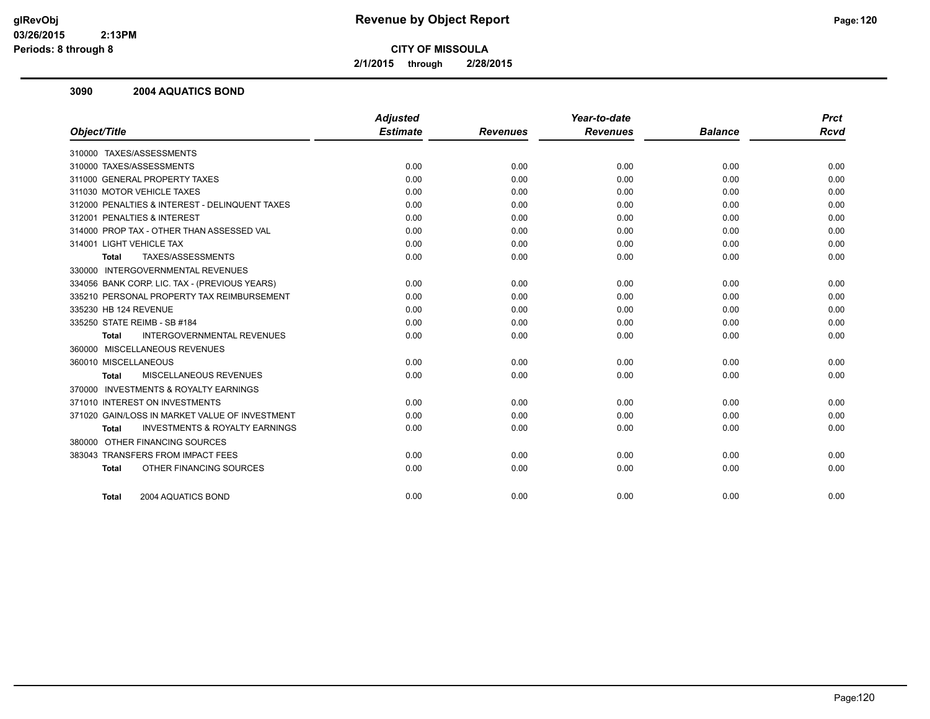**2/1/2015 through 2/28/2015**

#### **3090 2004 AQUATICS BOND**

|                                                           | <b>Adjusted</b> |                 | Year-to-date    |                | Prct        |
|-----------------------------------------------------------|-----------------|-----------------|-----------------|----------------|-------------|
| Object/Title                                              | <b>Estimate</b> | <b>Revenues</b> | <b>Revenues</b> | <b>Balance</b> | <b>Rcvd</b> |
| 310000 TAXES/ASSESSMENTS                                  |                 |                 |                 |                |             |
| 310000 TAXES/ASSESSMENTS                                  | 0.00            | 0.00            | 0.00            | 0.00           | 0.00        |
| 311000 GENERAL PROPERTY TAXES                             | 0.00            | 0.00            | 0.00            | 0.00           | 0.00        |
| 311030 MOTOR VEHICLE TAXES                                | 0.00            | 0.00            | 0.00            | 0.00           | 0.00        |
| 312000 PENALTIES & INTEREST - DELINQUENT TAXES            | 0.00            | 0.00            | 0.00            | 0.00           | 0.00        |
| 312001 PENALTIES & INTEREST                               | 0.00            | 0.00            | 0.00            | 0.00           | 0.00        |
| 314000 PROP TAX - OTHER THAN ASSESSED VAL                 | 0.00            | 0.00            | 0.00            | 0.00           | 0.00        |
| 314001 LIGHT VEHICLE TAX                                  | 0.00            | 0.00            | 0.00            | 0.00           | 0.00        |
| TAXES/ASSESSMENTS<br><b>Total</b>                         | 0.00            | 0.00            | 0.00            | 0.00           | 0.00        |
| 330000 INTERGOVERNMENTAL REVENUES                         |                 |                 |                 |                |             |
| 334056 BANK CORP. LIC. TAX - (PREVIOUS YEARS)             | 0.00            | 0.00            | 0.00            | 0.00           | 0.00        |
| 335210 PERSONAL PROPERTY TAX REIMBURSEMENT                | 0.00            | 0.00            | 0.00            | 0.00           | 0.00        |
| 335230 HB 124 REVENUE                                     | 0.00            | 0.00            | 0.00            | 0.00           | 0.00        |
| 335250 STATE REIMB - SB #184                              | 0.00            | 0.00            | 0.00            | 0.00           | 0.00        |
| <b>INTERGOVERNMENTAL REVENUES</b><br><b>Total</b>         | 0.00            | 0.00            | 0.00            | 0.00           | 0.00        |
| 360000 MISCELLANEOUS REVENUES                             |                 |                 |                 |                |             |
| 360010 MISCELLANEOUS                                      | 0.00            | 0.00            | 0.00            | 0.00           | 0.00        |
| MISCELLANEOUS REVENUES<br>Total                           | 0.00            | 0.00            | 0.00            | 0.00           | 0.00        |
| 370000 INVESTMENTS & ROYALTY EARNINGS                     |                 |                 |                 |                |             |
| 371010 INTEREST ON INVESTMENTS                            | 0.00            | 0.00            | 0.00            | 0.00           | 0.00        |
| 371020 GAIN/LOSS IN MARKET VALUE OF INVESTMENT            | 0.00            | 0.00            | 0.00            | 0.00           | 0.00        |
| <b>INVESTMENTS &amp; ROYALTY EARNINGS</b><br><b>Total</b> | 0.00            | 0.00            | 0.00            | 0.00           | 0.00        |
| 380000 OTHER FINANCING SOURCES                            |                 |                 |                 |                |             |
| 383043 TRANSFERS FROM IMPACT FEES                         | 0.00            | 0.00            | 0.00            | 0.00           | 0.00        |
| OTHER FINANCING SOURCES<br><b>Total</b>                   | 0.00            | 0.00            | 0.00            | 0.00           | 0.00        |
| 2004 AQUATICS BOND<br>Total                               | 0.00            | 0.00            | 0.00            | 0.00           | 0.00        |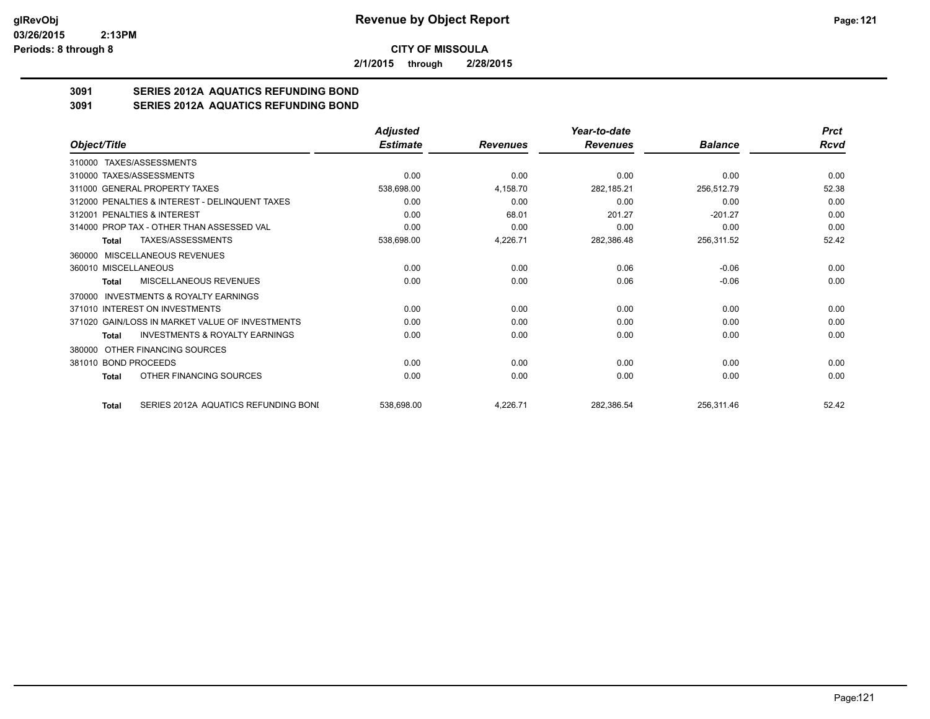**2/1/2015 through 2/28/2015**

# **3091 SERIES 2012A AQUATICS REFUNDING BOND**

**3091 SERIES 2012A AQUATICS REFUNDING BOND**

|                                                           | <b>Adjusted</b> |                 | Year-to-date    |                | <b>Prct</b> |
|-----------------------------------------------------------|-----------------|-----------------|-----------------|----------------|-------------|
| Object/Title                                              | <b>Estimate</b> | <b>Revenues</b> | <b>Revenues</b> | <b>Balance</b> | Rcvd        |
| 310000 TAXES/ASSESSMENTS                                  |                 |                 |                 |                |             |
| 310000 TAXES/ASSESSMENTS                                  | 0.00            | 0.00            | 0.00            | 0.00           | 0.00        |
| 311000 GENERAL PROPERTY TAXES                             | 538,698.00      | 4,158.70        | 282,185.21      | 256,512.79     | 52.38       |
| 312000 PENALTIES & INTEREST - DELINQUENT TAXES            | 0.00            | 0.00            | 0.00            | 0.00           | 0.00        |
| 312001 PENALTIES & INTEREST                               | 0.00            | 68.01           | 201.27          | $-201.27$      | 0.00        |
| 314000 PROP TAX - OTHER THAN ASSESSED VAL                 | 0.00            | 0.00            | 0.00            | 0.00           | 0.00        |
| <b>TAXES/ASSESSMENTS</b><br><b>Total</b>                  | 538,698.00      | 4,226.71        | 282,386.48      | 256,311.52     | 52.42       |
| 360000 MISCELLANEOUS REVENUES                             |                 |                 |                 |                |             |
| 360010 MISCELLANEOUS                                      | 0.00            | 0.00            | 0.06            | $-0.06$        | 0.00        |
| MISCELLANEOUS REVENUES<br>Total                           | 0.00            | 0.00            | 0.06            | $-0.06$        | 0.00        |
| <b>INVESTMENTS &amp; ROYALTY EARNINGS</b><br>370000       |                 |                 |                 |                |             |
| 371010 INTEREST ON INVESTMENTS                            | 0.00            | 0.00            | 0.00            | 0.00           | 0.00        |
| 371020 GAIN/LOSS IN MARKET VALUE OF INVESTMENTS           | 0.00            | 0.00            | 0.00            | 0.00           | 0.00        |
| <b>INVESTMENTS &amp; ROYALTY EARNINGS</b><br><b>Total</b> | 0.00            | 0.00            | 0.00            | 0.00           | 0.00        |
| OTHER FINANCING SOURCES<br>380000                         |                 |                 |                 |                |             |
| 381010 BOND PROCEEDS                                      | 0.00            | 0.00            | 0.00            | 0.00           | 0.00        |
| OTHER FINANCING SOURCES<br>Total                          | 0.00            | 0.00            | 0.00            | 0.00           | 0.00        |
| SERIES 2012A AQUATICS REFUNDING BONI<br><b>Total</b>      | 538,698.00      | 4,226.71        | 282,386.54      | 256,311.46     | 52.42       |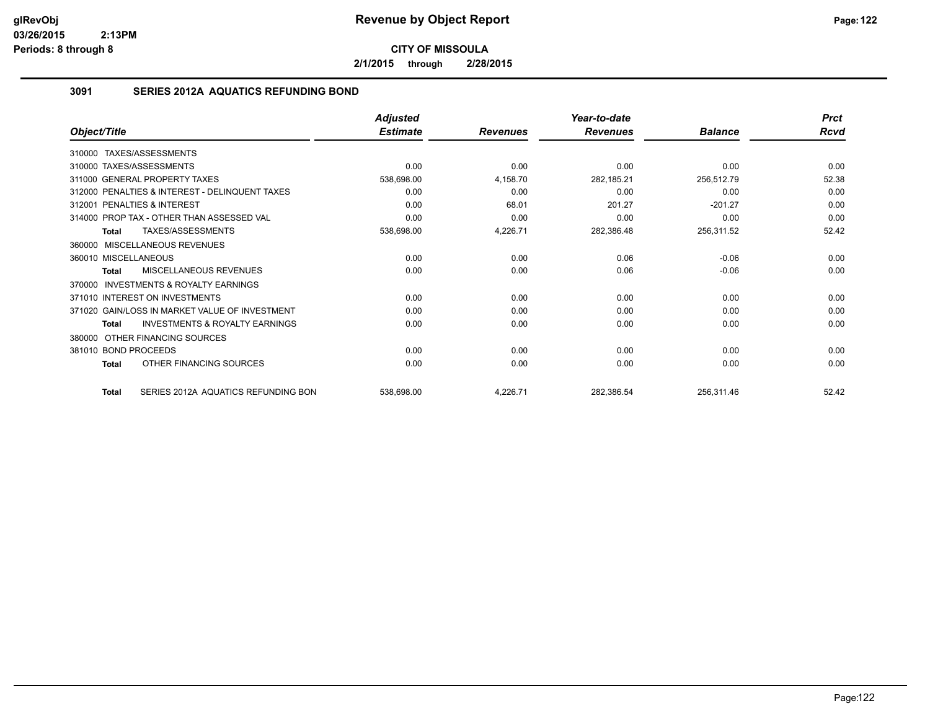**2/1/2015 through 2/28/2015**

## **3091 SERIES 2012A AQUATICS REFUNDING BOND**

|                                                           | <b>Adjusted</b> |                 | Year-to-date    |                | <b>Prct</b> |
|-----------------------------------------------------------|-----------------|-----------------|-----------------|----------------|-------------|
| Object/Title                                              | <b>Estimate</b> | <b>Revenues</b> | <b>Revenues</b> | <b>Balance</b> | Rcvd        |
| 310000 TAXES/ASSESSMENTS                                  |                 |                 |                 |                |             |
| 310000 TAXES/ASSESSMENTS                                  | 0.00            | 0.00            | 0.00            | 0.00           | 0.00        |
| 311000 GENERAL PROPERTY TAXES                             | 538,698.00      | 4,158.70        | 282,185.21      | 256,512.79     | 52.38       |
| 312000 PENALTIES & INTEREST - DELINQUENT TAXES            | 0.00            | 0.00            | 0.00            | 0.00           | 0.00        |
| 312001 PENALTIES & INTEREST                               | 0.00            | 68.01           | 201.27          | $-201.27$      | 0.00        |
| 314000 PROP TAX - OTHER THAN ASSESSED VAL                 | 0.00            | 0.00            | 0.00            | 0.00           | 0.00        |
| TAXES/ASSESSMENTS<br><b>Total</b>                         | 538,698.00      | 4,226.71        | 282,386.48      | 256,311.52     | 52.42       |
| 360000 MISCELLANEOUS REVENUES                             |                 |                 |                 |                |             |
| 360010 MISCELLANEOUS                                      | 0.00            | 0.00            | 0.06            | $-0.06$        | 0.00        |
| MISCELLANEOUS REVENUES<br><b>Total</b>                    | 0.00            | 0.00            | 0.06            | $-0.06$        | 0.00        |
| <b>INVESTMENTS &amp; ROYALTY EARNINGS</b><br>370000       |                 |                 |                 |                |             |
| 371010 INTEREST ON INVESTMENTS                            | 0.00            | 0.00            | 0.00            | 0.00           | 0.00        |
| 371020 GAIN/LOSS IN MARKET VALUE OF INVESTMENT            | 0.00            | 0.00            | 0.00            | 0.00           | 0.00        |
| <b>INVESTMENTS &amp; ROYALTY EARNINGS</b><br><b>Total</b> | 0.00            | 0.00            | 0.00            | 0.00           | 0.00        |
| 380000 OTHER FINANCING SOURCES                            |                 |                 |                 |                |             |
| 381010 BOND PROCEEDS                                      | 0.00            | 0.00            | 0.00            | 0.00           | 0.00        |
| OTHER FINANCING SOURCES<br><b>Total</b>                   | 0.00            | 0.00            | 0.00            | 0.00           | 0.00        |
| SERIES 2012A AQUATICS REFUNDING BON<br><b>Total</b>       | 538,698.00      | 4,226.71        | 282,386.54      | 256,311.46     | 52.42       |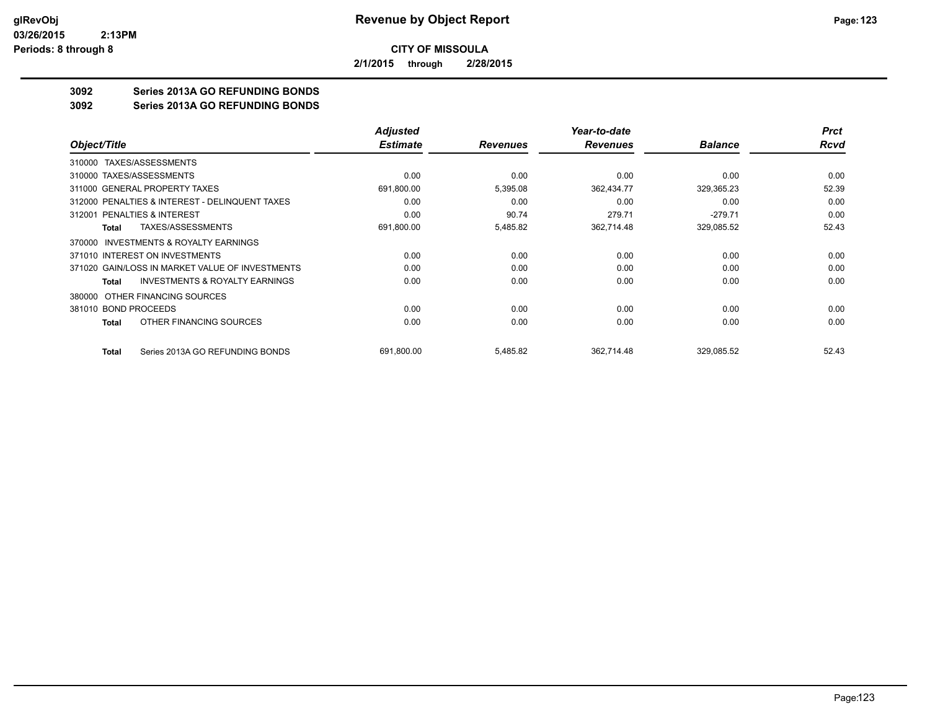**2/1/2015 through 2/28/2015**

# **3092 Series 2013A GO REFUNDING BONDS**

**3092 Series 2013A GO REFUNDING BONDS**

|                                                     | <b>Adjusted</b> |                 | Year-to-date    |                | <b>Prct</b> |
|-----------------------------------------------------|-----------------|-----------------|-----------------|----------------|-------------|
| Object/Title                                        | <b>Estimate</b> | <b>Revenues</b> | <b>Revenues</b> | <b>Balance</b> | Rcvd        |
| 310000 TAXES/ASSESSMENTS                            |                 |                 |                 |                |             |
| 310000 TAXES/ASSESSMENTS                            | 0.00            | 0.00            | 0.00            | 0.00           | 0.00        |
| 311000 GENERAL PROPERTY TAXES                       | 691,800.00      | 5,395.08        | 362,434.77      | 329,365.23     | 52.39       |
| 312000 PENALTIES & INTEREST - DELINQUENT TAXES      | 0.00            | 0.00            | 0.00            | 0.00           | 0.00        |
| 312001 PENALTIES & INTEREST                         | 0.00            | 90.74           | 279.71          | $-279.71$      | 0.00        |
| TAXES/ASSESSMENTS<br>Total                          | 691,800.00      | 5,485.82        | 362,714.48      | 329,085.52     | 52.43       |
| <b>INVESTMENTS &amp; ROYALTY EARNINGS</b><br>370000 |                 |                 |                 |                |             |
| 371010 INTEREST ON INVESTMENTS                      | 0.00            | 0.00            | 0.00            | 0.00           | 0.00        |
| 371020 GAIN/LOSS IN MARKET VALUE OF INVESTMENTS     | 0.00            | 0.00            | 0.00            | 0.00           | 0.00        |
| <b>INVESTMENTS &amp; ROYALTY EARNINGS</b><br>Total  | 0.00            | 0.00            | 0.00            | 0.00           | 0.00        |
| OTHER FINANCING SOURCES<br>380000                   |                 |                 |                 |                |             |
| 381010 BOND PROCEEDS                                | 0.00            | 0.00            | 0.00            | 0.00           | 0.00        |
| OTHER FINANCING SOURCES<br>Total                    | 0.00            | 0.00            | 0.00            | 0.00           | 0.00        |
| Series 2013A GO REFUNDING BONDS<br><b>Total</b>     | 691,800.00      | 5,485.82        | 362,714.48      | 329,085.52     | 52.43       |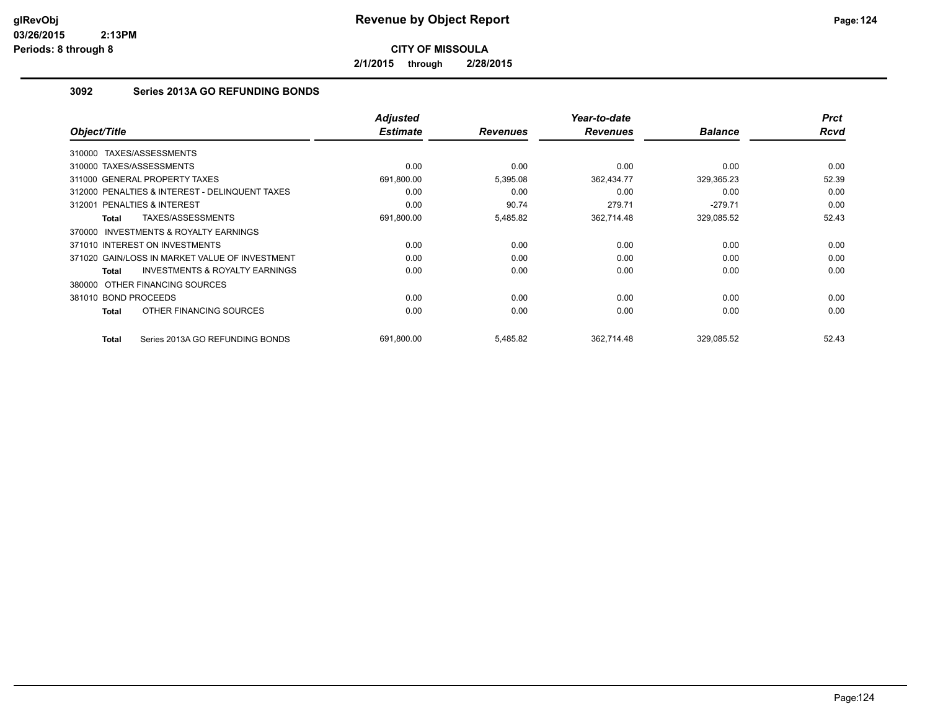**2/1/2015 through 2/28/2015**

# **3092 Series 2013A GO REFUNDING BONDS**

| Object/Title                                        | <b>Adjusted</b><br><b>Estimate</b> | <b>Revenues</b> | Year-to-date<br><b>Revenues</b> | <b>Balance</b> | <b>Prct</b><br><b>Rcvd</b> |
|-----------------------------------------------------|------------------------------------|-----------------|---------------------------------|----------------|----------------------------|
| TAXES/ASSESSMENTS<br>310000                         |                                    |                 |                                 |                |                            |
| 310000 TAXES/ASSESSMENTS                            | 0.00                               | 0.00            | 0.00                            | 0.00           | 0.00                       |
| 311000 GENERAL PROPERTY TAXES                       | 691,800.00                         | 5,395.08        | 362,434.77                      | 329,365.23     | 52.39                      |
| 312000 PENALTIES & INTEREST - DELINQUENT TAXES      | 0.00                               | 0.00            | 0.00                            | 0.00           | 0.00                       |
| PENALTIES & INTEREST<br>312001                      | 0.00                               | 90.74           | 279.71                          | $-279.71$      | 0.00                       |
| TAXES/ASSESSMENTS<br>Total                          | 691,800.00                         | 5,485.82        | 362,714.48                      | 329,085.52     | 52.43                      |
| <b>INVESTMENTS &amp; ROYALTY EARNINGS</b><br>370000 |                                    |                 |                                 |                |                            |
| 371010 INTEREST ON INVESTMENTS                      | 0.00                               | 0.00            | 0.00                            | 0.00           | 0.00                       |
| 371020 GAIN/LOSS IN MARKET VALUE OF INVESTMENT      | 0.00                               | 0.00            | 0.00                            | 0.00           | 0.00                       |
| <b>INVESTMENTS &amp; ROYALTY EARNINGS</b><br>Total  | 0.00                               | 0.00            | 0.00                            | 0.00           | 0.00                       |
| 380000 OTHER FINANCING SOURCES                      |                                    |                 |                                 |                |                            |
| 381010 BOND PROCEEDS                                | 0.00                               | 0.00            | 0.00                            | 0.00           | 0.00                       |
| OTHER FINANCING SOURCES<br>Total                    | 0.00                               | 0.00            | 0.00                            | 0.00           | 0.00                       |
| Series 2013A GO REFUNDING BONDS<br>Total            | 691.800.00                         | 5,485.82        | 362.714.48                      | 329.085.52     | 52.43                      |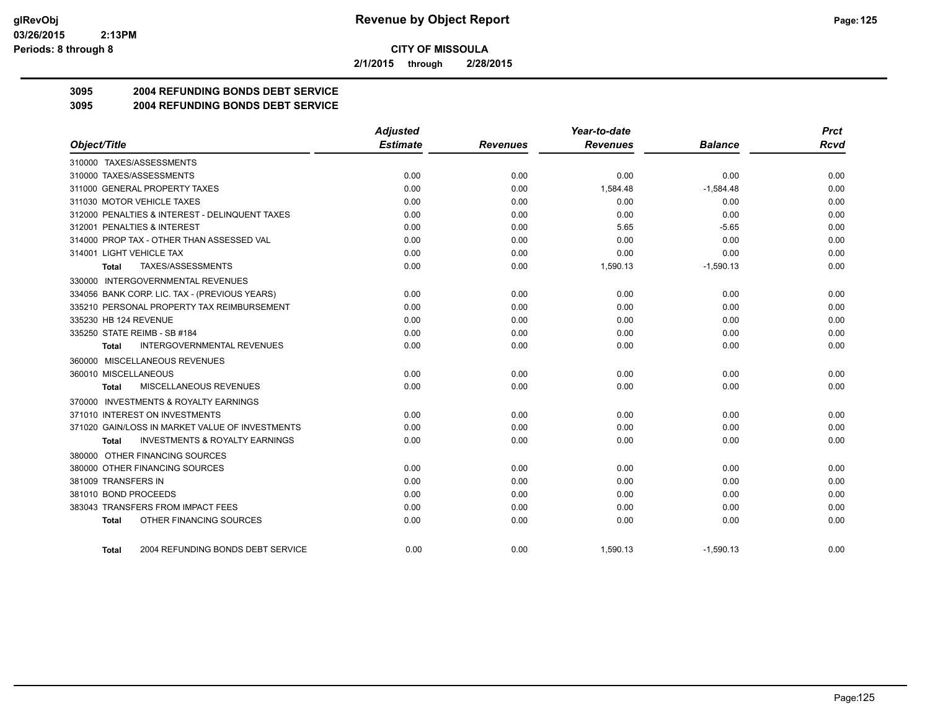**2/1/2015 through 2/28/2015**

# **3095 2004 REFUNDING BONDS DEBT SERVICE**

### **3095 2004 REFUNDING BONDS DEBT SERVICE**

|                          |                                                 | <b>Adjusted</b> |                 | Year-to-date    |                | <b>Prct</b> |
|--------------------------|-------------------------------------------------|-----------------|-----------------|-----------------|----------------|-------------|
| Object/Title             |                                                 | <b>Estimate</b> | <b>Revenues</b> | <b>Revenues</b> | <b>Balance</b> | <b>Rcvd</b> |
|                          | 310000 TAXES/ASSESSMENTS                        |                 |                 |                 |                |             |
|                          | 310000 TAXES/ASSESSMENTS                        | 0.00            | 0.00            | 0.00            | 0.00           | 0.00        |
|                          | 311000 GENERAL PROPERTY TAXES                   | 0.00            | 0.00            | 1,584.48        | $-1,584.48$    | 0.00        |
|                          | 311030 MOTOR VEHICLE TAXES                      | 0.00            | 0.00            | 0.00            | 0.00           | 0.00        |
|                          | 312000 PENALTIES & INTEREST - DELINQUENT TAXES  | 0.00            | 0.00            | 0.00            | 0.00           | 0.00        |
|                          | 312001 PENALTIES & INTEREST                     | 0.00            | 0.00            | 5.65            | $-5.65$        | 0.00        |
|                          | 314000 PROP TAX - OTHER THAN ASSESSED VAL       | 0.00            | 0.00            | 0.00            | 0.00           | 0.00        |
| 314001 LIGHT VEHICLE TAX |                                                 | 0.00            | 0.00            | 0.00            | 0.00           | 0.00        |
| Total                    | TAXES/ASSESSMENTS                               | 0.00            | 0.00            | 1,590.13        | $-1,590.13$    | 0.00        |
|                          | 330000 INTERGOVERNMENTAL REVENUES               |                 |                 |                 |                |             |
|                          | 334056 BANK CORP. LIC. TAX - (PREVIOUS YEARS)   | 0.00            | 0.00            | 0.00            | 0.00           | 0.00        |
|                          | 335210 PERSONAL PROPERTY TAX REIMBURSEMENT      | 0.00            | 0.00            | 0.00            | 0.00           | 0.00        |
| 335230 HB 124 REVENUE    |                                                 | 0.00            | 0.00            | 0.00            | 0.00           | 0.00        |
|                          | 335250 STATE REIMB - SB #184                    | 0.00            | 0.00            | 0.00            | 0.00           | 0.00        |
| Total                    | <b>INTERGOVERNMENTAL REVENUES</b>               | 0.00            | 0.00            | 0.00            | 0.00           | 0.00        |
|                          | 360000 MISCELLANEOUS REVENUES                   |                 |                 |                 |                |             |
| 360010 MISCELLANEOUS     |                                                 | 0.00            | 0.00            | 0.00            | 0.00           | 0.00        |
| <b>Total</b>             | MISCELLANEOUS REVENUES                          | 0.00            | 0.00            | 0.00            | 0.00           | 0.00        |
|                          | 370000 INVESTMENTS & ROYALTY EARNINGS           |                 |                 |                 |                |             |
|                          | 371010 INTEREST ON INVESTMENTS                  | 0.00            | 0.00            | 0.00            | 0.00           | 0.00        |
|                          | 371020 GAIN/LOSS IN MARKET VALUE OF INVESTMENTS | 0.00            | 0.00            | 0.00            | 0.00           | 0.00        |
| Total                    | <b>INVESTMENTS &amp; ROYALTY EARNINGS</b>       | 0.00            | 0.00            | 0.00            | 0.00           | 0.00        |
|                          | 380000 OTHER FINANCING SOURCES                  |                 |                 |                 |                |             |
|                          | 380000 OTHER FINANCING SOURCES                  | 0.00            | 0.00            | 0.00            | 0.00           | 0.00        |
| 381009 TRANSFERS IN      |                                                 | 0.00            | 0.00            | 0.00            | 0.00           | 0.00        |
| 381010 BOND PROCEEDS     |                                                 | 0.00            | 0.00            | 0.00            | 0.00           | 0.00        |
|                          | 383043 TRANSFERS FROM IMPACT FEES               | 0.00            | 0.00            | 0.00            | 0.00           | 0.00        |
| Total                    | OTHER FINANCING SOURCES                         | 0.00            | 0.00            | 0.00            | 0.00           | 0.00        |
| Total                    | 2004 REFUNDING BONDS DEBT SERVICE               | 0.00            | 0.00            | 1,590.13        | $-1,590.13$    | 0.00        |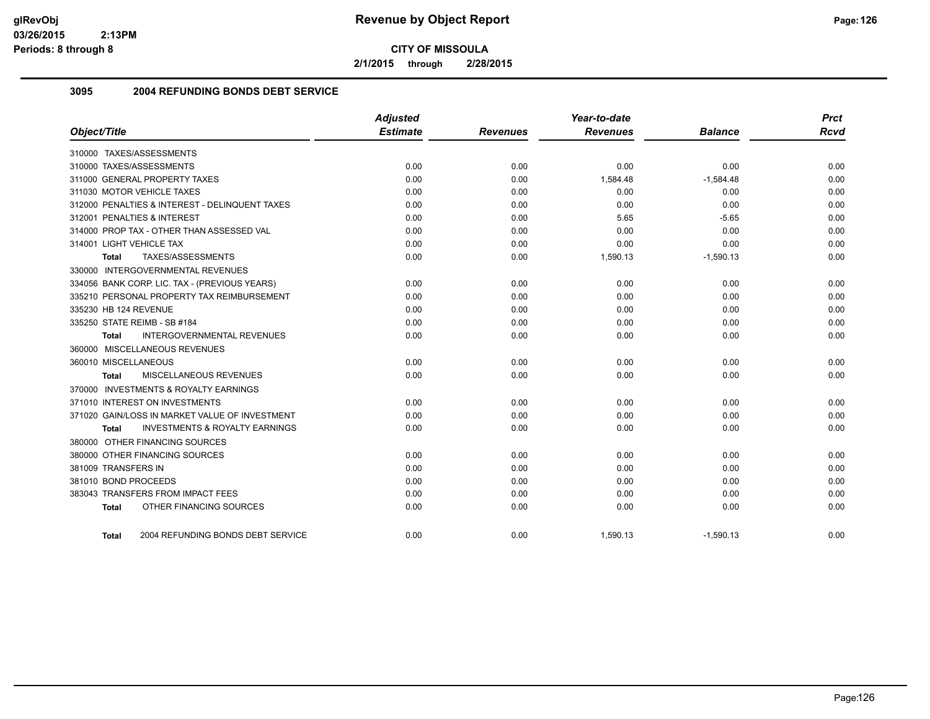**2/1/2015 through 2/28/2015**

### **3095 2004 REFUNDING BONDS DEBT SERVICE**

|                                                    | <b>Adjusted</b> |                 | Year-to-date    |                | <b>Prct</b> |
|----------------------------------------------------|-----------------|-----------------|-----------------|----------------|-------------|
| Object/Title                                       | <b>Estimate</b> | <b>Revenues</b> | <b>Revenues</b> | <b>Balance</b> | <b>Rcvd</b> |
| 310000 TAXES/ASSESSMENTS                           |                 |                 |                 |                |             |
| 310000 TAXES/ASSESSMENTS                           | 0.00            | 0.00            | 0.00            | 0.00           | 0.00        |
| 311000 GENERAL PROPERTY TAXES                      | 0.00            | 0.00            | 1,584.48        | $-1,584.48$    | 0.00        |
| 311030 MOTOR VEHICLE TAXES                         | 0.00            | 0.00            | 0.00            | 0.00           | 0.00        |
| 312000 PENALTIES & INTEREST - DELINQUENT TAXES     | 0.00            | 0.00            | 0.00            | 0.00           | 0.00        |
| 312001 PENALTIES & INTEREST                        | 0.00            | 0.00            | 5.65            | $-5.65$        | 0.00        |
| 314000 PROP TAX - OTHER THAN ASSESSED VAL          | 0.00            | 0.00            | 0.00            | 0.00           | 0.00        |
| 314001 LIGHT VEHICLE TAX                           | 0.00            | 0.00            | 0.00            | 0.00           | 0.00        |
| TAXES/ASSESSMENTS<br><b>Total</b>                  | 0.00            | 0.00            | 1,590.13        | $-1,590.13$    | 0.00        |
| 330000 INTERGOVERNMENTAL REVENUES                  |                 |                 |                 |                |             |
| 334056 BANK CORP. LIC. TAX - (PREVIOUS YEARS)      | 0.00            | 0.00            | 0.00            | 0.00           | 0.00        |
| 335210 PERSONAL PROPERTY TAX REIMBURSEMENT         | 0.00            | 0.00            | 0.00            | 0.00           | 0.00        |
| 335230 HB 124 REVENUE                              | 0.00            | 0.00            | 0.00            | 0.00           | 0.00        |
| 335250 STATE REIMB - SB #184                       | 0.00            | 0.00            | 0.00            | 0.00           | 0.00        |
| <b>INTERGOVERNMENTAL REVENUES</b><br><b>Total</b>  | 0.00            | 0.00            | 0.00            | 0.00           | 0.00        |
| 360000 MISCELLANEOUS REVENUES                      |                 |                 |                 |                |             |
| 360010 MISCELLANEOUS                               | 0.00            | 0.00            | 0.00            | 0.00           | 0.00        |
| MISCELLANEOUS REVENUES<br><b>Total</b>             | 0.00            | 0.00            | 0.00            | 0.00           | 0.00        |
| 370000 INVESTMENTS & ROYALTY EARNINGS              |                 |                 |                 |                |             |
| 371010 INTEREST ON INVESTMENTS                     | 0.00            | 0.00            | 0.00            | 0.00           | 0.00        |
| 371020 GAIN/LOSS IN MARKET VALUE OF INVESTMENT     | 0.00            | 0.00            | 0.00            | 0.00           | 0.00        |
| <b>INVESTMENTS &amp; ROYALTY EARNINGS</b><br>Total | 0.00            | 0.00            | 0.00            | 0.00           | 0.00        |
| 380000 OTHER FINANCING SOURCES                     |                 |                 |                 |                |             |
| 380000 OTHER FINANCING SOURCES                     | 0.00            | 0.00            | 0.00            | 0.00           | 0.00        |
| 381009 TRANSFERS IN                                | 0.00            | 0.00            | 0.00            | 0.00           | 0.00        |
| 381010 BOND PROCEEDS                               | 0.00            | 0.00            | 0.00            | 0.00           | 0.00        |
| 383043 TRANSFERS FROM IMPACT FEES                  | 0.00            | 0.00            | 0.00            | 0.00           | 0.00        |
| OTHER FINANCING SOURCES<br><b>Total</b>            | 0.00            | 0.00            | 0.00            | 0.00           | 0.00        |
| 2004 REFUNDING BONDS DEBT SERVICE<br>Total         | 0.00            | 0.00            | 1,590.13        | $-1,590.13$    | 0.00        |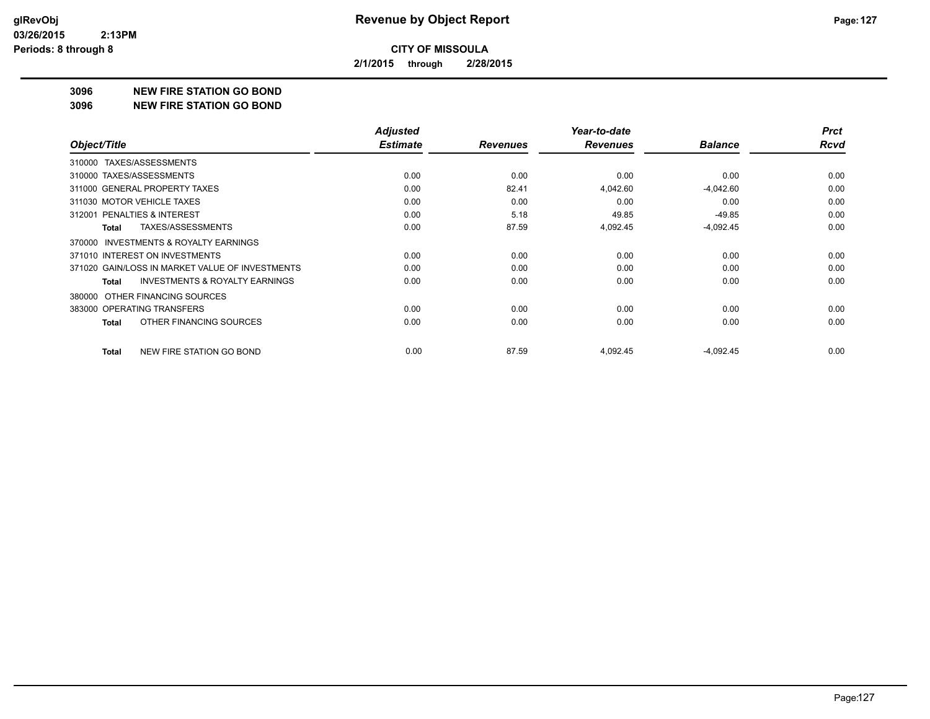**2/1/2015 through 2/28/2015**

**3096 NEW FIRE STATION GO BOND**

**3096 NEW FIRE STATION GO BOND**

|                                                    | <b>Adjusted</b> |                 | Year-to-date    |                | <b>Prct</b> |
|----------------------------------------------------|-----------------|-----------------|-----------------|----------------|-------------|
| Object/Title                                       | <b>Estimate</b> | <b>Revenues</b> | <b>Revenues</b> | <b>Balance</b> | Rcvd        |
| 310000 TAXES/ASSESSMENTS                           |                 |                 |                 |                |             |
| 310000 TAXES/ASSESSMENTS                           | 0.00            | 0.00            | 0.00            | 0.00           | 0.00        |
| 311000 GENERAL PROPERTY TAXES                      | 0.00            | 82.41           | 4,042.60        | $-4,042.60$    | 0.00        |
| 311030 MOTOR VEHICLE TAXES                         | 0.00            | 0.00            | 0.00            | 0.00           | 0.00        |
| 312001 PENALTIES & INTEREST                        | 0.00            | 5.18            | 49.85           | $-49.85$       | 0.00        |
| TAXES/ASSESSMENTS<br>Total                         | 0.00            | 87.59           | 4,092.45        | $-4,092.45$    | 0.00        |
| 370000 INVESTMENTS & ROYALTY EARNINGS              |                 |                 |                 |                |             |
| 371010 INTEREST ON INVESTMENTS                     | 0.00            | 0.00            | 0.00            | 0.00           | 0.00        |
| 371020 GAIN/LOSS IN MARKET VALUE OF INVESTMENTS    | 0.00            | 0.00            | 0.00            | 0.00           | 0.00        |
| <b>INVESTMENTS &amp; ROYALTY EARNINGS</b><br>Total | 0.00            | 0.00            | 0.00            | 0.00           | 0.00        |
| OTHER FINANCING SOURCES<br>380000                  |                 |                 |                 |                |             |
| 383000 OPERATING TRANSFERS                         | 0.00            | 0.00            | 0.00            | 0.00           | 0.00        |
| OTHER FINANCING SOURCES<br>Total                   | 0.00            | 0.00            | 0.00            | 0.00           | 0.00        |
| NEW FIRE STATION GO BOND<br><b>Total</b>           | 0.00            | 87.59           | 4,092.45        | $-4,092.45$    | 0.00        |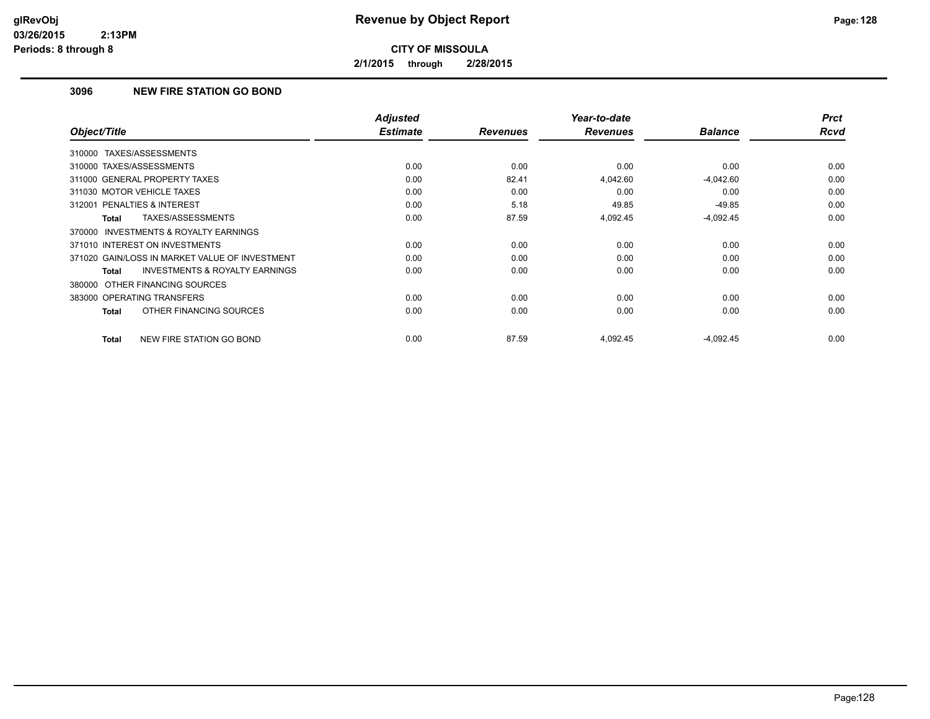**2/1/2015 through 2/28/2015**

## **3096 NEW FIRE STATION GO BOND**

| Object/Title                                        | <b>Adjusted</b><br><b>Estimate</b> | <b>Revenues</b> | Year-to-date<br><b>Revenues</b> | <b>Balance</b> | <b>Prct</b><br><b>Rcvd</b> |
|-----------------------------------------------------|------------------------------------|-----------------|---------------------------------|----------------|----------------------------|
|                                                     |                                    |                 |                                 |                |                            |
| TAXES/ASSESSMENTS<br>310000                         |                                    |                 |                                 |                |                            |
| 310000 TAXES/ASSESSMENTS                            | 0.00                               | 0.00            | 0.00                            | 0.00           | 0.00                       |
| 311000 GENERAL PROPERTY TAXES                       | 0.00                               | 82.41           | 4,042.60                        | $-4,042.60$    | 0.00                       |
| 311030 MOTOR VEHICLE TAXES                          | 0.00                               | 0.00            | 0.00                            | 0.00           | 0.00                       |
| 312001 PENALTIES & INTEREST                         | 0.00                               | 5.18            | 49.85                           | $-49.85$       | 0.00                       |
| TAXES/ASSESSMENTS<br>Total                          | 0.00                               | 87.59           | 4,092.45                        | $-4,092.45$    | 0.00                       |
| <b>INVESTMENTS &amp; ROYALTY EARNINGS</b><br>370000 |                                    |                 |                                 |                |                            |
| 371010 INTEREST ON INVESTMENTS                      | 0.00                               | 0.00            | 0.00                            | 0.00           | 0.00                       |
| 371020 GAIN/LOSS IN MARKET VALUE OF INVESTMENT      | 0.00                               | 0.00            | 0.00                            | 0.00           | 0.00                       |
| <b>INVESTMENTS &amp; ROYALTY EARNINGS</b><br>Total  | 0.00                               | 0.00            | 0.00                            | 0.00           | 0.00                       |
| 380000 OTHER FINANCING SOURCES                      |                                    |                 |                                 |                |                            |
| 383000 OPERATING TRANSFERS                          | 0.00                               | 0.00            | 0.00                            | 0.00           | 0.00                       |
| OTHER FINANCING SOURCES<br><b>Total</b>             | 0.00                               | 0.00            | 0.00                            | 0.00           | 0.00                       |
|                                                     |                                    |                 |                                 |                |                            |
| NEW FIRE STATION GO BOND<br><b>Total</b>            | 0.00                               | 87.59           | 4,092.45                        | $-4,092.45$    | 0.00                       |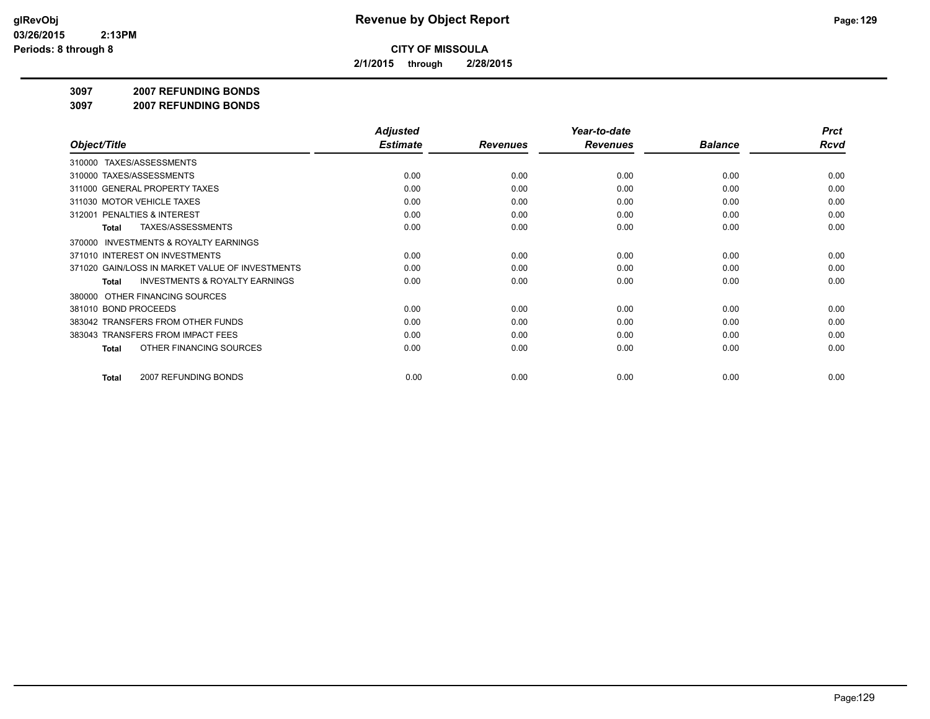**2/1/2015 through 2/28/2015**

#### **3097 2007 REFUNDING BONDS**

**3097 2007 REFUNDING BONDS**

|                                                           | <b>Adjusted</b> |                 | Year-to-date    |                | <b>Prct</b> |
|-----------------------------------------------------------|-----------------|-----------------|-----------------|----------------|-------------|
| Object/Title                                              | <b>Estimate</b> | <b>Revenues</b> | <b>Revenues</b> | <b>Balance</b> | <b>Rcvd</b> |
| 310000 TAXES/ASSESSMENTS                                  |                 |                 |                 |                |             |
| 310000 TAXES/ASSESSMENTS                                  | 0.00            | 0.00            | 0.00            | 0.00           | 0.00        |
| 311000 GENERAL PROPERTY TAXES                             | 0.00            | 0.00            | 0.00            | 0.00           | 0.00        |
| 311030 MOTOR VEHICLE TAXES                                | 0.00            | 0.00            | 0.00            | 0.00           | 0.00        |
| 312001 PENALTIES & INTEREST                               | 0.00            | 0.00            | 0.00            | 0.00           | 0.00        |
| <b>TAXES/ASSESSMENTS</b><br>Total                         | 0.00            | 0.00            | 0.00            | 0.00           | 0.00        |
| <b>INVESTMENTS &amp; ROYALTY EARNINGS</b><br>370000       |                 |                 |                 |                |             |
| 371010 INTEREST ON INVESTMENTS                            | 0.00            | 0.00            | 0.00            | 0.00           | 0.00        |
| 371020 GAIN/LOSS IN MARKET VALUE OF INVESTMENTS           | 0.00            | 0.00            | 0.00            | 0.00           | 0.00        |
| <b>INVESTMENTS &amp; ROYALTY EARNINGS</b><br><b>Total</b> | 0.00            | 0.00            | 0.00            | 0.00           | 0.00        |
| OTHER FINANCING SOURCES<br>380000                         |                 |                 |                 |                |             |
| 381010 BOND PROCEEDS                                      | 0.00            | 0.00            | 0.00            | 0.00           | 0.00        |
| 383042 TRANSFERS FROM OTHER FUNDS                         | 0.00            | 0.00            | 0.00            | 0.00           | 0.00        |
| 383043 TRANSFERS FROM IMPACT FEES                         | 0.00            | 0.00            | 0.00            | 0.00           | 0.00        |
| OTHER FINANCING SOURCES<br>Total                          | 0.00            | 0.00            | 0.00            | 0.00           | 0.00        |
|                                                           |                 |                 |                 |                | 0.00        |
| 2007 REFUNDING BONDS<br>Total                             | 0.00            | 0.00            | 0.00            | 0.00           |             |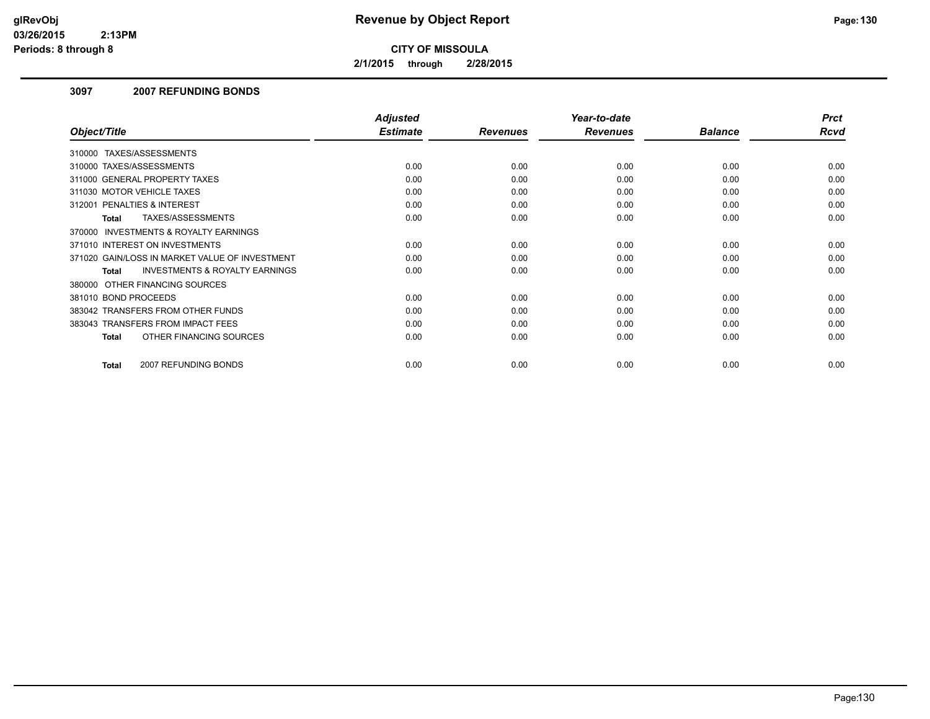**2/1/2015 through 2/28/2015**

#### **3097 2007 REFUNDING BONDS**

|                                                           | <b>Adjusted</b> |                 | Year-to-date    |                | <b>Prct</b> |
|-----------------------------------------------------------|-----------------|-----------------|-----------------|----------------|-------------|
| Object/Title                                              | <b>Estimate</b> | <b>Revenues</b> | <b>Revenues</b> | <b>Balance</b> | Rcvd        |
| 310000 TAXES/ASSESSMENTS                                  |                 |                 |                 |                |             |
| 310000 TAXES/ASSESSMENTS                                  | 0.00            | 0.00            | 0.00            | 0.00           | 0.00        |
| 311000 GENERAL PROPERTY TAXES                             | 0.00            | 0.00            | 0.00            | 0.00           | 0.00        |
| 311030 MOTOR VEHICLE TAXES                                | 0.00            | 0.00            | 0.00            | 0.00           | 0.00        |
| PENALTIES & INTEREST<br>312001                            | 0.00            | 0.00            | 0.00            | 0.00           | 0.00        |
| TAXES/ASSESSMENTS<br><b>Total</b>                         | 0.00            | 0.00            | 0.00            | 0.00           | 0.00        |
| 370000 INVESTMENTS & ROYALTY EARNINGS                     |                 |                 |                 |                |             |
| 371010 INTEREST ON INVESTMENTS                            | 0.00            | 0.00            | 0.00            | 0.00           | 0.00        |
| 371020 GAIN/LOSS IN MARKET VALUE OF INVESTMENT            | 0.00            | 0.00            | 0.00            | 0.00           | 0.00        |
| <b>INVESTMENTS &amp; ROYALTY EARNINGS</b><br><b>Total</b> | 0.00            | 0.00            | 0.00            | 0.00           | 0.00        |
| 380000 OTHER FINANCING SOURCES                            |                 |                 |                 |                |             |
| 381010 BOND PROCEEDS                                      | 0.00            | 0.00            | 0.00            | 0.00           | 0.00        |
| 383042 TRANSFERS FROM OTHER FUNDS                         | 0.00            | 0.00            | 0.00            | 0.00           | 0.00        |
| 383043 TRANSFERS FROM IMPACT FEES                         | 0.00            | 0.00            | 0.00            | 0.00           | 0.00        |
| OTHER FINANCING SOURCES<br><b>Total</b>                   | 0.00            | 0.00            | 0.00            | 0.00           | 0.00        |
|                                                           |                 |                 |                 |                |             |
| 2007 REFUNDING BONDS<br><b>Total</b>                      | 0.00            | 0.00            | 0.00            | 0.00           | 0.00        |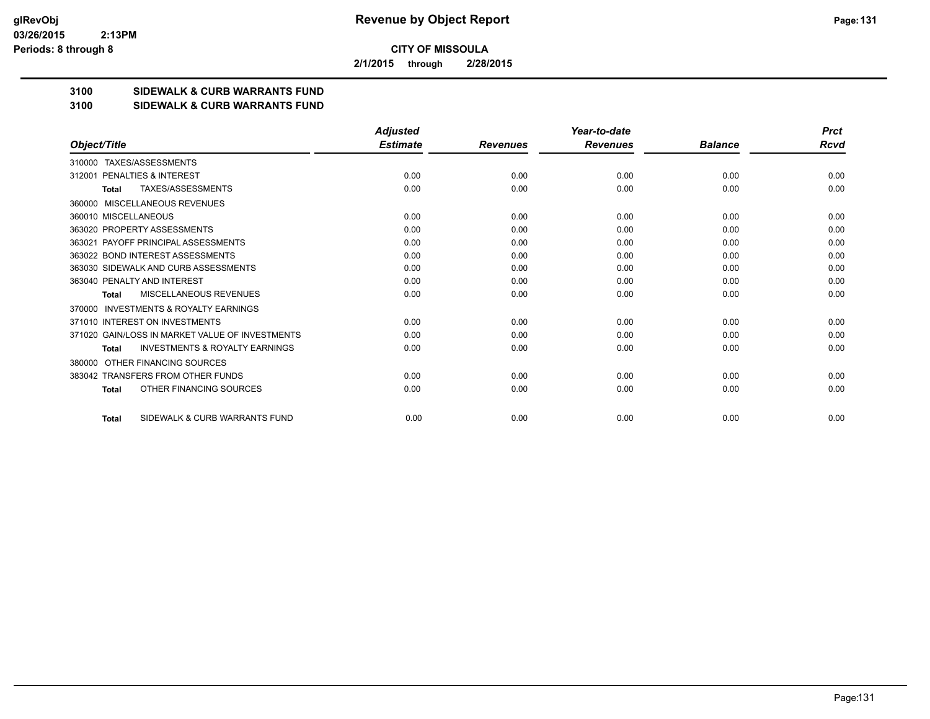**2/1/2015 through 2/28/2015**

## **3100 SIDEWALK & CURB WARRANTS FUND**

#### **3100 SIDEWALK & CURB WARRANTS FUND**

|                                                           | <b>Adjusted</b> |                 | Year-to-date    |                | <b>Prct</b> |
|-----------------------------------------------------------|-----------------|-----------------|-----------------|----------------|-------------|
| Object/Title                                              | <b>Estimate</b> | <b>Revenues</b> | <b>Revenues</b> | <b>Balance</b> | Rcvd        |
| 310000 TAXES/ASSESSMENTS                                  |                 |                 |                 |                |             |
| PENALTIES & INTEREST<br>312001                            | 0.00            | 0.00            | 0.00            | 0.00           | 0.00        |
| TAXES/ASSESSMENTS<br><b>Total</b>                         | 0.00            | 0.00            | 0.00            | 0.00           | 0.00        |
| MISCELLANEOUS REVENUES<br>360000                          |                 |                 |                 |                |             |
| 360010 MISCELLANEOUS                                      | 0.00            | 0.00            | 0.00            | 0.00           | 0.00        |
| 363020 PROPERTY ASSESSMENTS                               | 0.00            | 0.00            | 0.00            | 0.00           | 0.00        |
| 363021 PAYOFF PRINCIPAL ASSESSMENTS                       | 0.00            | 0.00            | 0.00            | 0.00           | 0.00        |
| 363022 BOND INTEREST ASSESSMENTS                          | 0.00            | 0.00            | 0.00            | 0.00           | 0.00        |
| 363030 SIDEWALK AND CURB ASSESSMENTS                      | 0.00            | 0.00            | 0.00            | 0.00           | 0.00        |
| 363040 PENALTY AND INTEREST                               | 0.00            | 0.00            | 0.00            | 0.00           | 0.00        |
| MISCELLANEOUS REVENUES<br><b>Total</b>                    | 0.00            | 0.00            | 0.00            | 0.00           | 0.00        |
| <b>INVESTMENTS &amp; ROYALTY EARNINGS</b><br>370000       |                 |                 |                 |                |             |
| 371010 INTEREST ON INVESTMENTS                            | 0.00            | 0.00            | 0.00            | 0.00           | 0.00        |
| 371020 GAIN/LOSS IN MARKET VALUE OF INVESTMENTS           | 0.00            | 0.00            | 0.00            | 0.00           | 0.00        |
| <b>INVESTMENTS &amp; ROYALTY EARNINGS</b><br><b>Total</b> | 0.00            | 0.00            | 0.00            | 0.00           | 0.00        |
| OTHER FINANCING SOURCES<br>380000                         |                 |                 |                 |                |             |
| 383042 TRANSFERS FROM OTHER FUNDS                         | 0.00            | 0.00            | 0.00            | 0.00           | 0.00        |
| OTHER FINANCING SOURCES<br><b>Total</b>                   | 0.00            | 0.00            | 0.00            | 0.00           | 0.00        |
| SIDEWALK & CURB WARRANTS FUND<br><b>Total</b>             | 0.00            | 0.00            | 0.00            | 0.00           | 0.00        |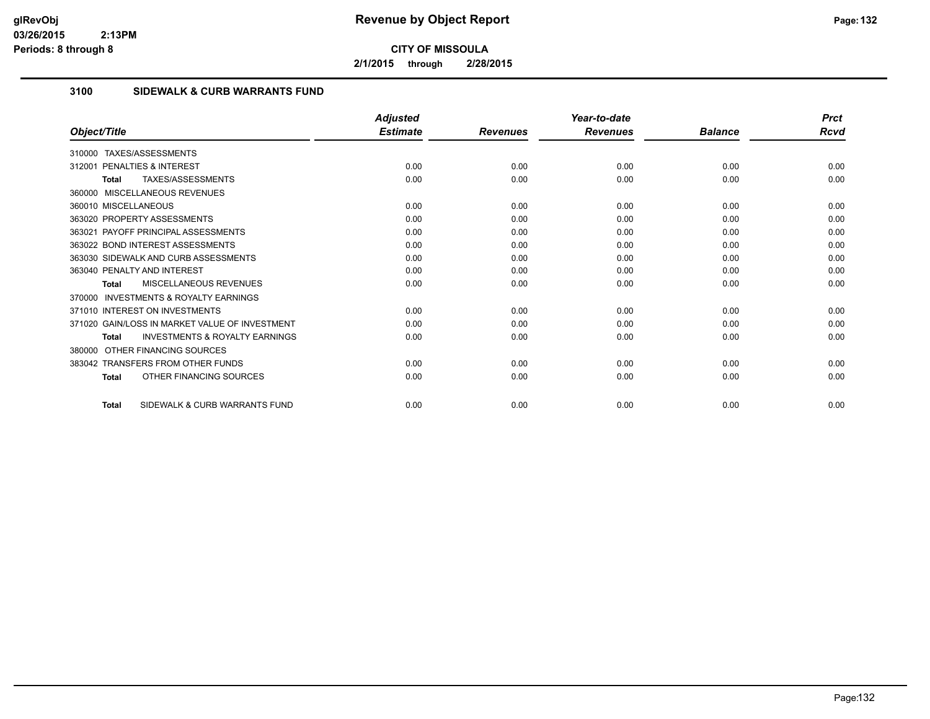**2/1/2015 through 2/28/2015**

# **3100 SIDEWALK & CURB WARRANTS FUND**

|                                                           | <b>Adjusted</b> |                 | Year-to-date    |                | <b>Prct</b> |
|-----------------------------------------------------------|-----------------|-----------------|-----------------|----------------|-------------|
| Object/Title                                              | <b>Estimate</b> | <b>Revenues</b> | <b>Revenues</b> | <b>Balance</b> | Rcvd        |
| <b>TAXES/ASSESSMENTS</b><br>310000                        |                 |                 |                 |                |             |
| <b>PENALTIES &amp; INTEREST</b><br>312001                 | 0.00            | 0.00            | 0.00            | 0.00           | 0.00        |
| TAXES/ASSESSMENTS<br><b>Total</b>                         | 0.00            | 0.00            | 0.00            | 0.00           | 0.00        |
| 360000 MISCELLANEOUS REVENUES                             |                 |                 |                 |                |             |
| 360010 MISCELLANEOUS                                      | 0.00            | 0.00            | 0.00            | 0.00           | 0.00        |
| 363020 PROPERTY ASSESSMENTS                               | 0.00            | 0.00            | 0.00            | 0.00           | 0.00        |
| 363021 PAYOFF PRINCIPAL ASSESSMENTS                       | 0.00            | 0.00            | 0.00            | 0.00           | 0.00        |
| 363022 BOND INTEREST ASSESSMENTS                          | 0.00            | 0.00            | 0.00            | 0.00           | 0.00        |
| 363030 SIDEWALK AND CURB ASSESSMENTS                      | 0.00            | 0.00            | 0.00            | 0.00           | 0.00        |
| 363040 PENALTY AND INTEREST                               | 0.00            | 0.00            | 0.00            | 0.00           | 0.00        |
| <b>MISCELLANEOUS REVENUES</b><br><b>Total</b>             | 0.00            | 0.00            | 0.00            | 0.00           | 0.00        |
| <b>INVESTMENTS &amp; ROYALTY EARNINGS</b><br>370000       |                 |                 |                 |                |             |
| 371010 INTEREST ON INVESTMENTS                            | 0.00            | 0.00            | 0.00            | 0.00           | 0.00        |
| 371020 GAIN/LOSS IN MARKET VALUE OF INVESTMENT            | 0.00            | 0.00            | 0.00            | 0.00           | 0.00        |
| <b>INVESTMENTS &amp; ROYALTY EARNINGS</b><br><b>Total</b> | 0.00            | 0.00            | 0.00            | 0.00           | 0.00        |
| OTHER FINANCING SOURCES<br>380000                         |                 |                 |                 |                |             |
| 383042 TRANSFERS FROM OTHER FUNDS                         | 0.00            | 0.00            | 0.00            | 0.00           | 0.00        |
| OTHER FINANCING SOURCES<br><b>Total</b>                   | 0.00            | 0.00            | 0.00            | 0.00           | 0.00        |
| SIDEWALK & CURB WARRANTS FUND<br><b>Total</b>             | 0.00            | 0.00            | 0.00            | 0.00           | 0.00        |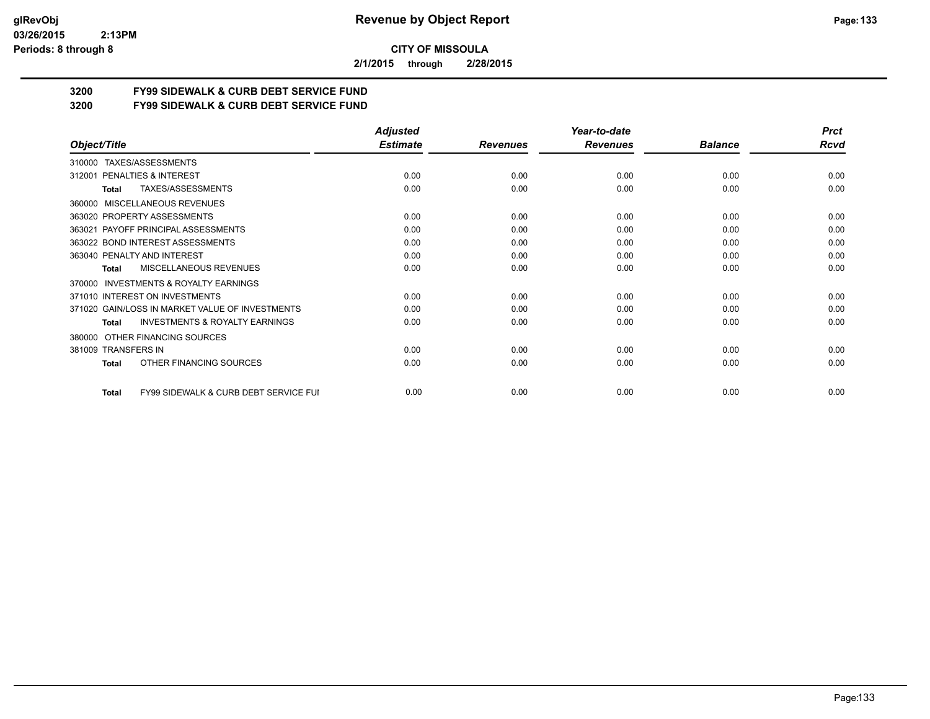**2/1/2015 through 2/28/2015**

# **3200 FY99 SIDEWALK & CURB DEBT SERVICE FUND**

**3200 FY99 SIDEWALK & CURB DEBT SERVICE FUND**

|                                                                  | <b>Adjusted</b> |                 | Year-to-date    |                | <b>Prct</b> |
|------------------------------------------------------------------|-----------------|-----------------|-----------------|----------------|-------------|
| Object/Title                                                     | <b>Estimate</b> | <b>Revenues</b> | <b>Revenues</b> | <b>Balance</b> | <b>Rcvd</b> |
| TAXES/ASSESSMENTS<br>310000                                      |                 |                 |                 |                |             |
| PENALTIES & INTEREST<br>312001                                   | 0.00            | 0.00            | 0.00            | 0.00           | 0.00        |
| TAXES/ASSESSMENTS<br>Total                                       | 0.00            | 0.00            | 0.00            | 0.00           | 0.00        |
| <b>MISCELLANEOUS REVENUES</b><br>360000                          |                 |                 |                 |                |             |
| 363020 PROPERTY ASSESSMENTS                                      | 0.00            | 0.00            | 0.00            | 0.00           | 0.00        |
| 363021 PAYOFF PRINCIPAL ASSESSMENTS                              | 0.00            | 0.00            | 0.00            | 0.00           | 0.00        |
| 363022 BOND INTEREST ASSESSMENTS                                 | 0.00            | 0.00            | 0.00            | 0.00           | 0.00        |
| 363040 PENALTY AND INTEREST                                      | 0.00            | 0.00            | 0.00            | 0.00           | 0.00        |
| MISCELLANEOUS REVENUES<br>Total                                  | 0.00            | 0.00            | 0.00            | 0.00           | 0.00        |
| INVESTMENTS & ROYALTY EARNINGS<br>370000                         |                 |                 |                 |                |             |
| 371010 INTEREST ON INVESTMENTS                                   | 0.00            | 0.00            | 0.00            | 0.00           | 0.00        |
| 371020 GAIN/LOSS IN MARKET VALUE OF INVESTMENTS                  | 0.00            | 0.00            | 0.00            | 0.00           | 0.00        |
| <b>INVESTMENTS &amp; ROYALTY EARNINGS</b><br><b>Total</b>        | 0.00            | 0.00            | 0.00            | 0.00           | 0.00        |
| OTHER FINANCING SOURCES<br>380000                                |                 |                 |                 |                |             |
| 381009 TRANSFERS IN                                              | 0.00            | 0.00            | 0.00            | 0.00           | 0.00        |
| OTHER FINANCING SOURCES<br><b>Total</b>                          | 0.00            | 0.00            | 0.00            | 0.00           | 0.00        |
| <b>FY99 SIDEWALK &amp; CURB DEBT SERVICE FUI</b><br><b>Total</b> | 0.00            | 0.00            | 0.00            | 0.00           | 0.00        |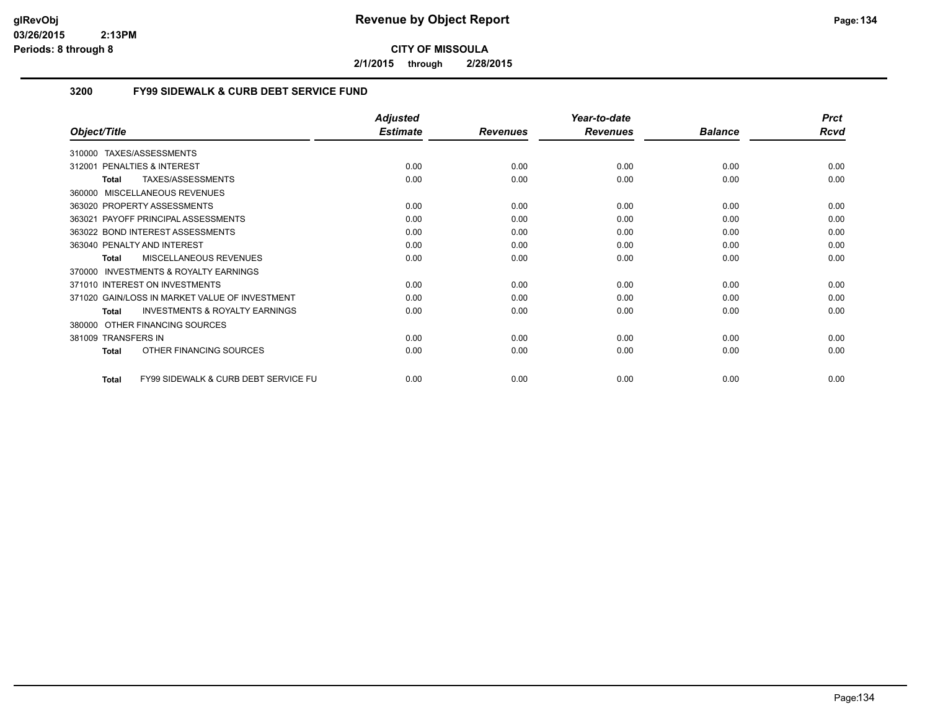**2/1/2015 through 2/28/2015**

## **3200 FY99 SIDEWALK & CURB DEBT SERVICE FUND**

|                                                                 | <b>Adjusted</b> |                 | Year-to-date    |                | <b>Prct</b> |
|-----------------------------------------------------------------|-----------------|-----------------|-----------------|----------------|-------------|
| Object/Title                                                    | <b>Estimate</b> | <b>Revenues</b> | <b>Revenues</b> | <b>Balance</b> | <b>Rcvd</b> |
| TAXES/ASSESSMENTS<br>310000                                     |                 |                 |                 |                |             |
| <b>PENALTIES &amp; INTEREST</b><br>312001                       | 0.00            | 0.00            | 0.00            | 0.00           | 0.00        |
| TAXES/ASSESSMENTS<br><b>Total</b>                               | 0.00            | 0.00            | 0.00            | 0.00           | 0.00        |
| MISCELLANEOUS REVENUES<br>360000                                |                 |                 |                 |                |             |
| 363020 PROPERTY ASSESSMENTS                                     | 0.00            | 0.00            | 0.00            | 0.00           | 0.00        |
| PAYOFF PRINCIPAL ASSESSMENTS<br>363021                          | 0.00            | 0.00            | 0.00            | 0.00           | 0.00        |
| 363022 BOND INTEREST ASSESSMENTS                                | 0.00            | 0.00            | 0.00            | 0.00           | 0.00        |
| 363040 PENALTY AND INTEREST                                     | 0.00            | 0.00            | 0.00            | 0.00           | 0.00        |
| MISCELLANEOUS REVENUES<br>Total                                 | 0.00            | 0.00            | 0.00            | 0.00           | 0.00        |
| INVESTMENTS & ROYALTY EARNINGS<br>370000                        |                 |                 |                 |                |             |
| 371010 INTEREST ON INVESTMENTS                                  | 0.00            | 0.00            | 0.00            | 0.00           | 0.00        |
| 371020 GAIN/LOSS IN MARKET VALUE OF INVESTMENT                  | 0.00            | 0.00            | 0.00            | 0.00           | 0.00        |
| <b>INVESTMENTS &amp; ROYALTY EARNINGS</b><br><b>Total</b>       | 0.00            | 0.00            | 0.00            | 0.00           | 0.00        |
| OTHER FINANCING SOURCES<br>380000                               |                 |                 |                 |                |             |
| 381009 TRANSFERS IN                                             | 0.00            | 0.00            | 0.00            | 0.00           | 0.00        |
| OTHER FINANCING SOURCES<br><b>Total</b>                         | 0.00            | 0.00            | 0.00            | 0.00           | 0.00        |
| <b>FY99 SIDEWALK &amp; CURB DEBT SERVICE FU</b><br><b>Total</b> | 0.00            | 0.00            | 0.00            | 0.00           | 0.00        |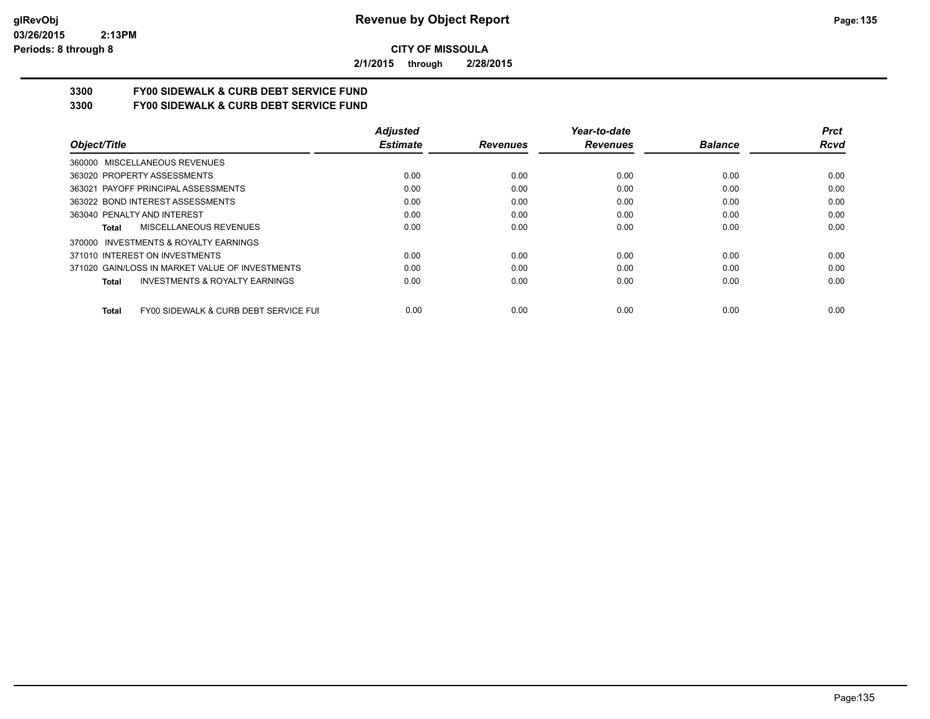**2/1/2015 through 2/28/2015**

# **3300 FY00 SIDEWALK & CURB DEBT SERVICE FUND**

**3300 FY00 SIDEWALK & CURB DEBT SERVICE FUND**

|                                                       | <b>Adjusted</b> |                 | Year-to-date    |                | <b>Prct</b> |
|-------------------------------------------------------|-----------------|-----------------|-----------------|----------------|-------------|
| Object/Title                                          | <b>Estimate</b> | <b>Revenues</b> | <b>Revenues</b> | <b>Balance</b> | <b>Rcvd</b> |
| 360000 MISCELLANEOUS REVENUES                         |                 |                 |                 |                |             |
| 363020 PROPERTY ASSESSMENTS                           | 0.00            | 0.00            | 0.00            | 0.00           | 0.00        |
| 363021 PAYOFF PRINCIPAL ASSESSMENTS                   | 0.00            | 0.00            | 0.00            | 0.00           | 0.00        |
| 363022 BOND INTEREST ASSESSMENTS                      | 0.00            | 0.00            | 0.00            | 0.00           | 0.00        |
| 363040 PENALTY AND INTEREST                           | 0.00            | 0.00            | 0.00            | 0.00           | 0.00        |
| MISCELLANEOUS REVENUES<br>Total                       | 0.00            | 0.00            | 0.00            | 0.00           | 0.00        |
| INVESTMENTS & ROYALTY EARNINGS<br>370000              |                 |                 |                 |                |             |
| 371010 INTEREST ON INVESTMENTS                        | 0.00            | 0.00            | 0.00            | 0.00           | 0.00        |
| 371020 GAIN/LOSS IN MARKET VALUE OF INVESTMENTS       | 0.00            | 0.00            | 0.00            | 0.00           | 0.00        |
| <b>INVESTMENTS &amp; ROYALTY EARNINGS</b><br>Total    | 0.00            | 0.00            | 0.00            | 0.00           | 0.00        |
| FY00 SIDEWALK & CURB DEBT SERVICE FUI<br><b>Total</b> | 0.00            | 0.00            | 0.00            | 0.00           | 0.00        |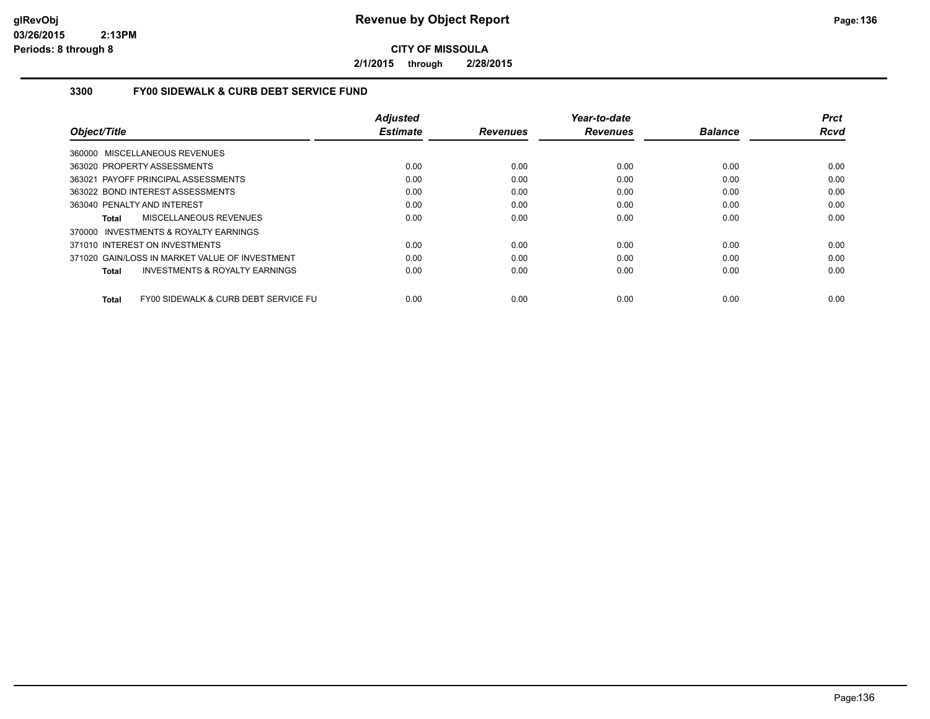**2/1/2015 through 2/28/2015**

### **3300 FY00 SIDEWALK & CURB DEBT SERVICE FUND**

|                                                    | <b>Adjusted</b> |                 | Year-to-date    |                | <b>Prct</b> |
|----------------------------------------------------|-----------------|-----------------|-----------------|----------------|-------------|
| Object/Title                                       | <b>Estimate</b> | <b>Revenues</b> | <b>Revenues</b> | <b>Balance</b> | <b>Rcvd</b> |
| 360000 MISCELLANEOUS REVENUES                      |                 |                 |                 |                |             |
| 363020 PROPERTY ASSESSMENTS                        | 0.00            | 0.00            | 0.00            | 0.00           | 0.00        |
| 363021 PAYOFF PRINCIPAL ASSESSMENTS                | 0.00            | 0.00            | 0.00            | 0.00           | 0.00        |
| 363022 BOND INTEREST ASSESSMENTS                   | 0.00            | 0.00            | 0.00            | 0.00           | 0.00        |
| 363040 PENALTY AND INTEREST                        | 0.00            | 0.00            | 0.00            | 0.00           | 0.00        |
| MISCELLANEOUS REVENUES<br>Total                    | 0.00            | 0.00            | 0.00            | 0.00           | 0.00        |
| 370000 INVESTMENTS & ROYALTY EARNINGS              |                 |                 |                 |                |             |
| 371010 INTEREST ON INVESTMENTS                     | 0.00            | 0.00            | 0.00            | 0.00           | 0.00        |
| 371020 GAIN/LOSS IN MARKET VALUE OF INVESTMENT     | 0.00            | 0.00            | 0.00            | 0.00           | 0.00        |
| <b>INVESTMENTS &amp; ROYALTY EARNINGS</b><br>Total | 0.00            | 0.00            | 0.00            | 0.00           | 0.00        |
| FY00 SIDEWALK & CURB DEBT SERVICE FU<br>Total      | 0.00            | 0.00            | 0.00            | 0.00           | 0.00        |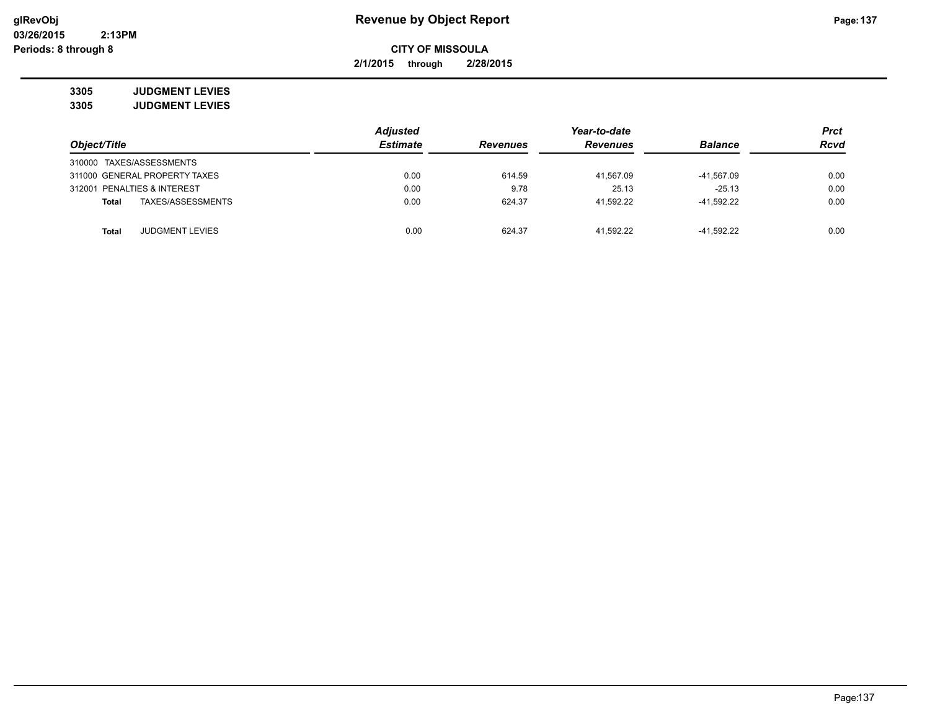**2/1/2015 through 2/28/2015**

**3305 JUDGMENT LEVIES 3305 JUDGMENT LEVIES**

|                                 | <b>Adjusted</b> |                 | Year-to-date    |                |      |
|---------------------------------|-----------------|-----------------|-----------------|----------------|------|
| Object/Title                    | <b>Estimate</b> | <b>Revenues</b> | <b>Revenues</b> | <b>Balance</b> | Rcvd |
| 310000 TAXES/ASSESSMENTS        |                 |                 |                 |                |      |
| 311000 GENERAL PROPERTY TAXES   | 0.00            | 614.59          | 41,567.09       | -41,567.09     | 0.00 |
| 312001 PENALTIES & INTEREST     | 0.00            | 9.78            | 25.13           | $-25.13$       | 0.00 |
| TAXES/ASSESSMENTS<br>Total      | 0.00            | 624.37          | 41.592.22       | -41.592.22     | 0.00 |
| <b>JUDGMENT LEVIES</b><br>Total | 0.00            | 624.37          | 41.592.22       | -41.592.22     | 0.00 |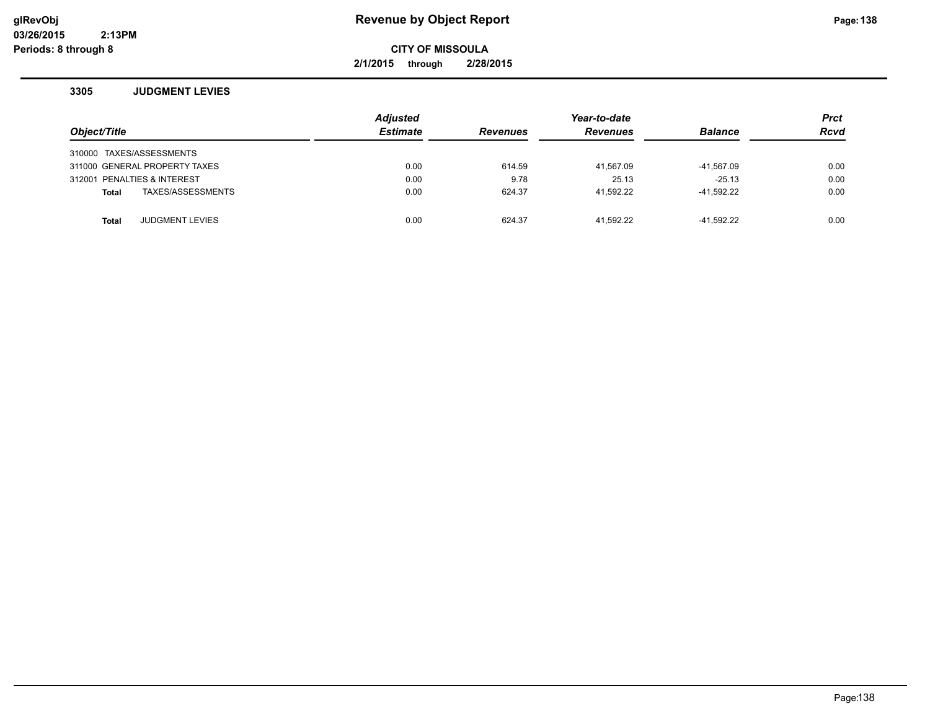**2/1/2015 through 2/28/2015**

#### **3305 JUDGMENT LEVIES**

| Object/Title                           | <b>Adjusted</b><br><b>Estimate</b> | <b>Revenues</b> | Year-to-date<br><b>Revenues</b> | <b>Balance</b> | <b>Prct</b><br><b>Rcvd</b> |
|----------------------------------------|------------------------------------|-----------------|---------------------------------|----------------|----------------------------|
| 310000 TAXES/ASSESSMENTS               |                                    |                 |                                 |                |                            |
| 311000 GENERAL PROPERTY TAXES          | 0.00                               | 614.59          | 41.567.09                       | $-41,567.09$   | 0.00                       |
| 312001 PENALTIES & INTEREST            | 0.00                               | 9.78            | 25.13                           | $-25.13$       | 0.00                       |
| TAXES/ASSESSMENTS<br>Total             | 0.00                               | 624.37          | 41.592.22                       | $-41.592.22$   | 0.00                       |
| <b>JUDGMENT LEVIES</b><br><b>Total</b> | 0.00                               | 624.37          | 41.592.22                       | $-41,592.22$   | 0.00                       |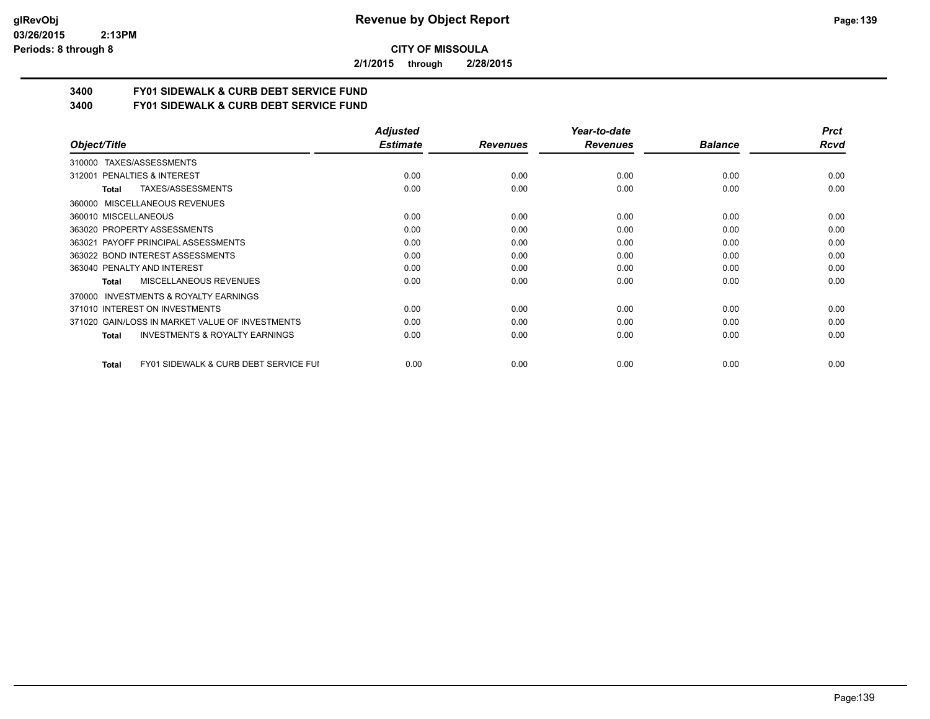#### **03/26/2015 2:13PM Periods: 8 through 8**

**CITY OF MISSOULA**

**2/1/2015 through 2/28/2015**

# **3400 FY01 SIDEWALK & CURB DEBT SERVICE FUND**

**3400 FY01 SIDEWALK & CURB DEBT SERVICE FUND**

|                                                           | <b>Adjusted</b> |                 | Year-to-date    |                | <b>Prct</b> |
|-----------------------------------------------------------|-----------------|-----------------|-----------------|----------------|-------------|
| Object/Title                                              | <b>Estimate</b> | <b>Revenues</b> | <b>Revenues</b> | <b>Balance</b> | Rcvd        |
| TAXES/ASSESSMENTS<br>310000                               |                 |                 |                 |                |             |
| 312001 PENALTIES & INTEREST                               | 0.00            | 0.00            | 0.00            | 0.00           | 0.00        |
| TAXES/ASSESSMENTS<br>Total                                | 0.00            | 0.00            | 0.00            | 0.00           | 0.00        |
| MISCELLANEOUS REVENUES<br>360000                          |                 |                 |                 |                |             |
| 360010 MISCELLANEOUS                                      | 0.00            | 0.00            | 0.00            | 0.00           | 0.00        |
| 363020 PROPERTY ASSESSMENTS                               | 0.00            | 0.00            | 0.00            | 0.00           | 0.00        |
| 363021 PAYOFF PRINCIPAL ASSESSMENTS                       | 0.00            | 0.00            | 0.00            | 0.00           | 0.00        |
| 363022 BOND INTEREST ASSESSMENTS                          | 0.00            | 0.00            | 0.00            | 0.00           | 0.00        |
| 363040 PENALTY AND INTEREST                               | 0.00            | 0.00            | 0.00            | 0.00           | 0.00        |
| MISCELLANEOUS REVENUES<br>Total                           | 0.00            | 0.00            | 0.00            | 0.00           | 0.00        |
| <b>INVESTMENTS &amp; ROYALTY EARNINGS</b><br>370000       |                 |                 |                 |                |             |
| 371010 INTEREST ON INVESTMENTS                            | 0.00            | 0.00            | 0.00            | 0.00           | 0.00        |
| 371020 GAIN/LOSS IN MARKET VALUE OF INVESTMENTS           | 0.00            | 0.00            | 0.00            | 0.00           | 0.00        |
| <b>INVESTMENTS &amp; ROYALTY EARNINGS</b><br><b>Total</b> | 0.00            | 0.00            | 0.00            | 0.00           | 0.00        |
| <b>FY01 SIDEWALK &amp; CURB DEBT SERVICE FUI</b><br>Total | 0.00            | 0.00            | 0.00            | 0.00           | 0.00        |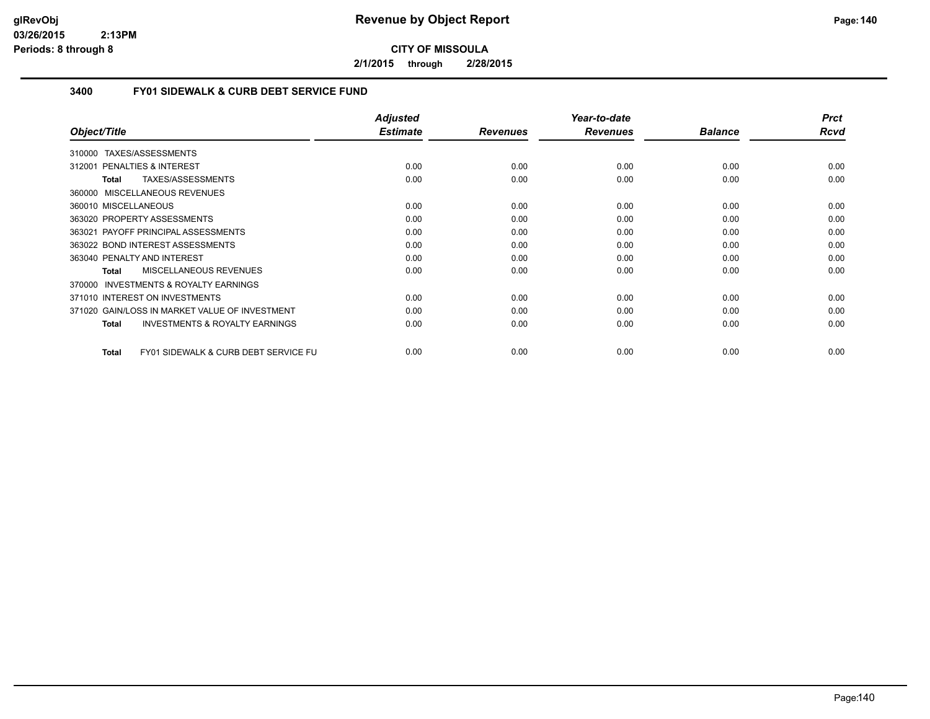**2/1/2015 through 2/28/2015**

## **3400 FY01 SIDEWALK & CURB DEBT SERVICE FUND**

|                                                           | <b>Adjusted</b> |                 | Year-to-date    |                | <b>Prct</b> |
|-----------------------------------------------------------|-----------------|-----------------|-----------------|----------------|-------------|
| Object/Title                                              | <b>Estimate</b> | <b>Revenues</b> | <b>Revenues</b> | <b>Balance</b> | Rcvd        |
| 310000 TAXES/ASSESSMENTS                                  |                 |                 |                 |                |             |
| <b>PENALTIES &amp; INTEREST</b><br>312001                 | 0.00            | 0.00            | 0.00            | 0.00           | 0.00        |
| TAXES/ASSESSMENTS<br><b>Total</b>                         | 0.00            | 0.00            | 0.00            | 0.00           | 0.00        |
| 360000 MISCELLANEOUS REVENUES                             |                 |                 |                 |                |             |
| 360010 MISCELLANEOUS                                      | 0.00            | 0.00            | 0.00            | 0.00           | 0.00        |
| 363020 PROPERTY ASSESSMENTS                               | 0.00            | 0.00            | 0.00            | 0.00           | 0.00        |
| PAYOFF PRINCIPAL ASSESSMENTS<br>363021                    | 0.00            | 0.00            | 0.00            | 0.00           | 0.00        |
| 363022 BOND INTEREST ASSESSMENTS                          | 0.00            | 0.00            | 0.00            | 0.00           | 0.00        |
| 363040 PENALTY AND INTEREST                               | 0.00            | 0.00            | 0.00            | 0.00           | 0.00        |
| <b>MISCELLANEOUS REVENUES</b><br>Total                    | 0.00            | 0.00            | 0.00            | 0.00           | 0.00        |
| INVESTMENTS & ROYALTY EARNINGS<br>370000                  |                 |                 |                 |                |             |
| 371010 INTEREST ON INVESTMENTS                            | 0.00            | 0.00            | 0.00            | 0.00           | 0.00        |
| 371020 GAIN/LOSS IN MARKET VALUE OF INVESTMENT            | 0.00            | 0.00            | 0.00            | 0.00           | 0.00        |
| <b>INVESTMENTS &amp; ROYALTY EARNINGS</b><br><b>Total</b> | 0.00            | 0.00            | 0.00            | 0.00           | 0.00        |
| FY01 SIDEWALK & CURB DEBT SERVICE FU<br><b>Total</b>      | 0.00            | 0.00            | 0.00            | 0.00           | 0.00        |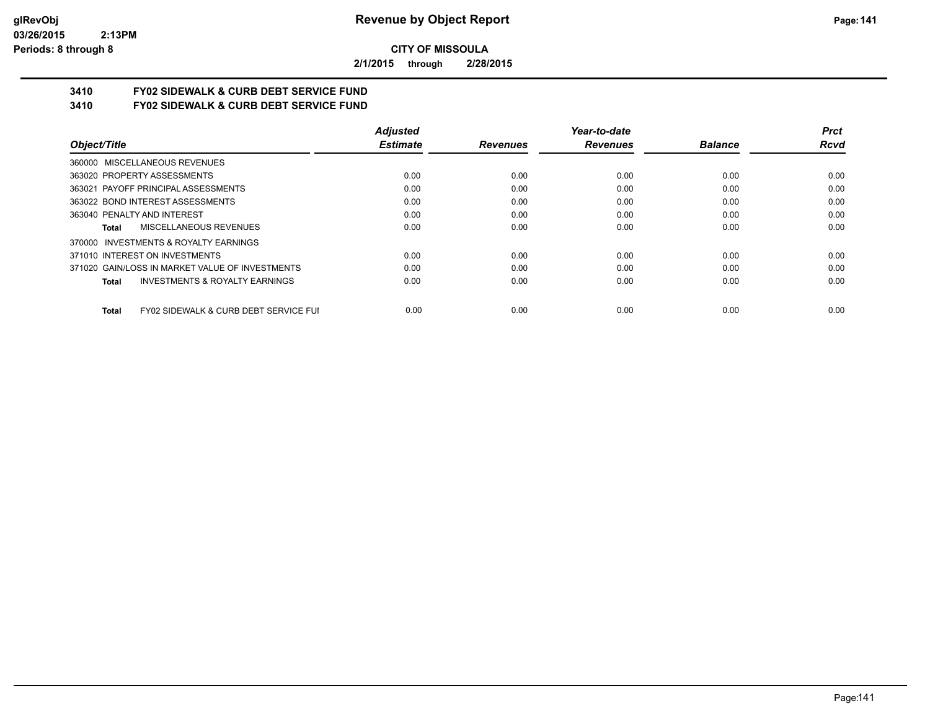**2/1/2015 through 2/28/2015**

# **3410 FY02 SIDEWALK & CURB DEBT SERVICE FUND**

**3410 FY02 SIDEWALK & CURB DEBT SERVICE FUND**

|                                                                  | <b>Adjusted</b> |                 | Year-to-date    |                | <b>Prct</b> |
|------------------------------------------------------------------|-----------------|-----------------|-----------------|----------------|-------------|
| Object/Title                                                     | <b>Estimate</b> | <b>Revenues</b> | <b>Revenues</b> | <b>Balance</b> | Rcvd        |
| 360000 MISCELLANEOUS REVENUES                                    |                 |                 |                 |                |             |
| 363020 PROPERTY ASSESSMENTS                                      | 0.00            | 0.00            | 0.00            | 0.00           | 0.00        |
| 363021 PAYOFF PRINCIPAL ASSESSMENTS                              | 0.00            | 0.00            | 0.00            | 0.00           | 0.00        |
| 363022 BOND INTEREST ASSESSMENTS                                 | 0.00            | 0.00            | 0.00            | 0.00           | 0.00        |
| 363040 PENALTY AND INTEREST                                      | 0.00            | 0.00            | 0.00            | 0.00           | 0.00        |
| MISCELLANEOUS REVENUES<br>Total                                  | 0.00            | 0.00            | 0.00            | 0.00           | 0.00        |
| INVESTMENTS & ROYALTY EARNINGS<br>370000                         |                 |                 |                 |                |             |
| 371010 INTEREST ON INVESTMENTS                                   | 0.00            | 0.00            | 0.00            | 0.00           | 0.00        |
| 371020 GAIN/LOSS IN MARKET VALUE OF INVESTMENTS                  | 0.00            | 0.00            | 0.00            | 0.00           | 0.00        |
| <b>INVESTMENTS &amp; ROYALTY EARNINGS</b><br><b>Total</b>        | 0.00            | 0.00            | 0.00            | 0.00           | 0.00        |
| <b>FY02 SIDEWALK &amp; CURB DEBT SERVICE FUI</b><br><b>Total</b> | 0.00            | 0.00            | 0.00            | 0.00           | 0.00        |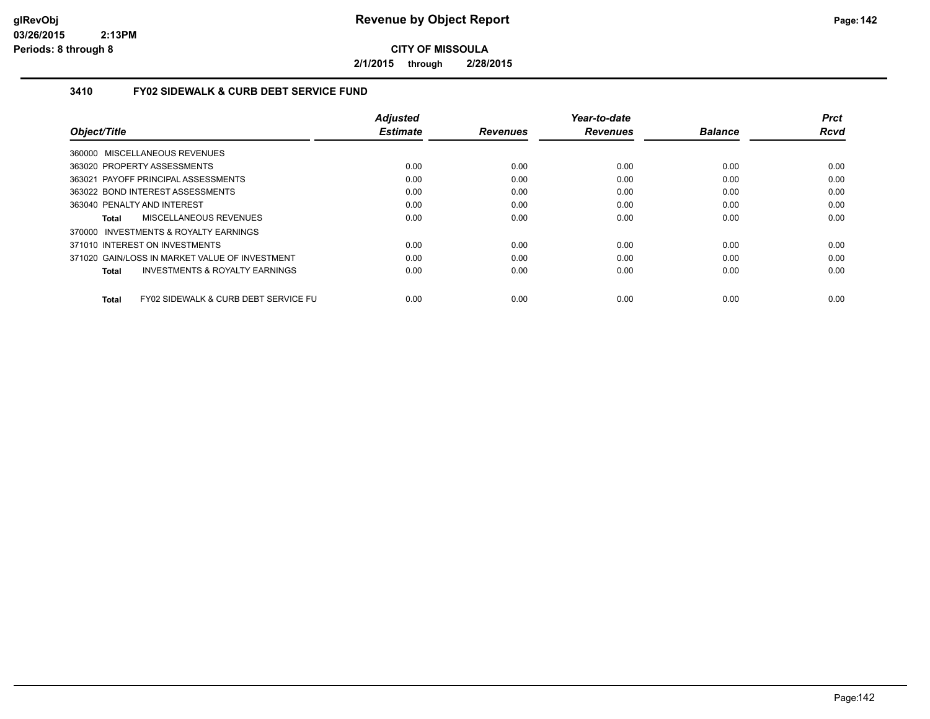**2/1/2015 through 2/28/2015**

## **3410 FY02 SIDEWALK & CURB DEBT SERVICE FUND**

|                                                    | <b>Adjusted</b> |                 | Year-to-date    |                | Prct        |
|----------------------------------------------------|-----------------|-----------------|-----------------|----------------|-------------|
| Object/Title                                       | <b>Estimate</b> | <b>Revenues</b> | <b>Revenues</b> | <b>Balance</b> | <b>Rcvd</b> |
| 360000 MISCELLANEOUS REVENUES                      |                 |                 |                 |                |             |
| 363020 PROPERTY ASSESSMENTS                        | 0.00            | 0.00            | 0.00            | 0.00           | 0.00        |
| 363021 PAYOFF PRINCIPAL ASSESSMENTS                | 0.00            | 0.00            | 0.00            | 0.00           | 0.00        |
| 363022 BOND INTEREST ASSESSMENTS                   | 0.00            | 0.00            | 0.00            | 0.00           | 0.00        |
| 363040 PENALTY AND INTEREST                        | 0.00            | 0.00            | 0.00            | 0.00           | 0.00        |
| MISCELLANEOUS REVENUES<br>Total                    | 0.00            | 0.00            | 0.00            | 0.00           | 0.00        |
| 370000 INVESTMENTS & ROYALTY EARNINGS              |                 |                 |                 |                |             |
| 371010 INTEREST ON INVESTMENTS                     | 0.00            | 0.00            | 0.00            | 0.00           | 0.00        |
| 371020 GAIN/LOSS IN MARKET VALUE OF INVESTMENT     | 0.00            | 0.00            | 0.00            | 0.00           | 0.00        |
| <b>INVESTMENTS &amp; ROYALTY EARNINGS</b><br>Total | 0.00            | 0.00            | 0.00            | 0.00           | 0.00        |
| FY02 SIDEWALK & CURB DEBT SERVICE FU<br>Total      | 0.00            | 0.00            | 0.00            | 0.00           | 0.00        |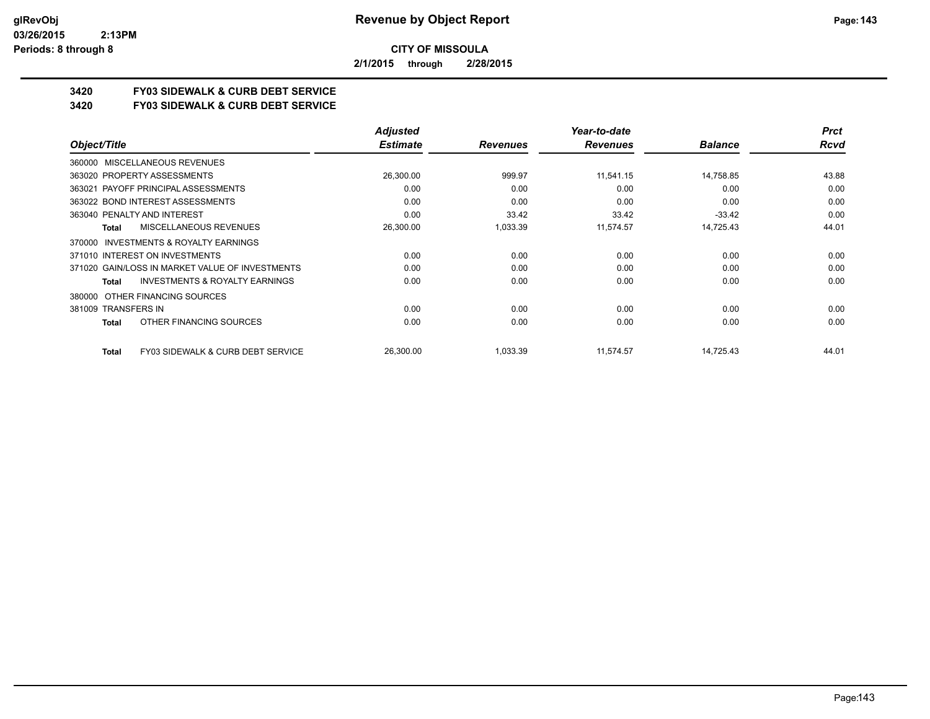**2/1/2015 through 2/28/2015**

# **3420 FY03 SIDEWALK & CURB DEBT SERVICE**

**3420 FY03 SIDEWALK & CURB DEBT SERVICE**

|                                                    | <b>Adjusted</b> |                 | Year-to-date    |                | <b>Prct</b> |
|----------------------------------------------------|-----------------|-----------------|-----------------|----------------|-------------|
| Object/Title                                       | <b>Estimate</b> | <b>Revenues</b> | <b>Revenues</b> | <b>Balance</b> | Rcvd        |
| 360000 MISCELLANEOUS REVENUES                      |                 |                 |                 |                |             |
| 363020 PROPERTY ASSESSMENTS                        | 26,300.00       | 999.97          | 11,541.15       | 14,758.85      | 43.88       |
| 363021 PAYOFF PRINCIPAL ASSESSMENTS                | 0.00            | 0.00            | 0.00            | 0.00           | 0.00        |
| 363022 BOND INTEREST ASSESSMENTS                   | 0.00            | 0.00            | 0.00            | 0.00           | 0.00        |
| 363040 PENALTY AND INTEREST                        | 0.00            | 33.42           | 33.42           | $-33.42$       | 0.00        |
| <b>MISCELLANEOUS REVENUES</b><br>Total             | 26,300.00       | 1,033.39        | 11,574.57       | 14,725.43      | 44.01       |
| 370000 INVESTMENTS & ROYALTY EARNINGS              |                 |                 |                 |                |             |
| 371010 INTEREST ON INVESTMENTS                     | 0.00            | 0.00            | 0.00            | 0.00           | 0.00        |
| 371020 GAIN/LOSS IN MARKET VALUE OF INVESTMENTS    | 0.00            | 0.00            | 0.00            | 0.00           | 0.00        |
| <b>INVESTMENTS &amp; ROYALTY EARNINGS</b><br>Total | 0.00            | 0.00            | 0.00            | 0.00           | 0.00        |
| OTHER FINANCING SOURCES<br>380000                  |                 |                 |                 |                |             |
| 381009 TRANSFERS IN                                | 0.00            | 0.00            | 0.00            | 0.00           | 0.00        |
| OTHER FINANCING SOURCES<br>Total                   | 0.00            | 0.00            | 0.00            | 0.00           | 0.00        |
| FY03 SIDEWALK & CURB DEBT SERVICE<br><b>Total</b>  | 26,300.00       | 1,033.39        | 11,574.57       | 14,725.43      | 44.01       |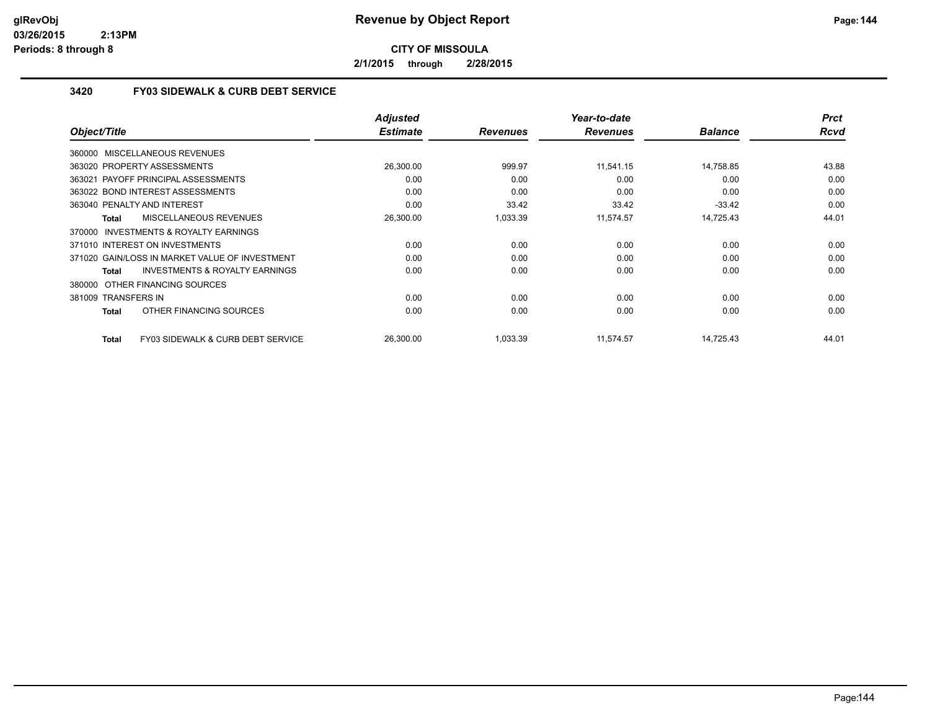**2/1/2015 through 2/28/2015**

## **3420 FY03 SIDEWALK & CURB DEBT SERVICE**

| Object/Title                                        | <b>Adjusted</b><br><b>Estimate</b> | <b>Revenues</b> | Year-to-date<br><b>Revenues</b> | <b>Balance</b> | <b>Prct</b><br><b>Rcvd</b> |
|-----------------------------------------------------|------------------------------------|-----------------|---------------------------------|----------------|----------------------------|
| 360000 MISCELLANEOUS REVENUES                       |                                    |                 |                                 |                |                            |
| 363020 PROPERTY ASSESSMENTS                         | 26.300.00                          | 999.97          | 11,541.15                       | 14,758.85      | 43.88                      |
| 363021 PAYOFF PRINCIPAL ASSESSMENTS                 | 0.00                               | 0.00            | 0.00                            | 0.00           | 0.00                       |
| 363022 BOND INTEREST ASSESSMENTS                    | 0.00                               | 0.00            | 0.00                            | 0.00           | 0.00                       |
| 363040 PENALTY AND INTEREST                         | 0.00                               | 33.42           | 33.42                           | $-33.42$       | 0.00                       |
| MISCELLANEOUS REVENUES<br>Total                     | 26,300.00                          | 1,033.39        | 11,574.57                       | 14,725.43      | 44.01                      |
| <b>INVESTMENTS &amp; ROYALTY EARNINGS</b><br>370000 |                                    |                 |                                 |                |                            |
| 371010 INTEREST ON INVESTMENTS                      | 0.00                               | 0.00            | 0.00                            | 0.00           | 0.00                       |
| 371020 GAIN/LOSS IN MARKET VALUE OF INVESTMENT      | 0.00                               | 0.00            | 0.00                            | 0.00           | 0.00                       |
| <b>INVESTMENTS &amp; ROYALTY EARNINGS</b><br>Total  | 0.00                               | 0.00            | 0.00                            | 0.00           | 0.00                       |
| 380000 OTHER FINANCING SOURCES                      |                                    |                 |                                 |                |                            |
| 381009 TRANSFERS IN                                 | 0.00                               | 0.00            | 0.00                            | 0.00           | 0.00                       |
| OTHER FINANCING SOURCES<br>Total                    | 0.00                               | 0.00            | 0.00                            | 0.00           | 0.00                       |
| FY03 SIDEWALK & CURB DEBT SERVICE<br>Total          | 26.300.00                          | 1.033.39        | 11,574.57                       | 14,725.43      | 44.01                      |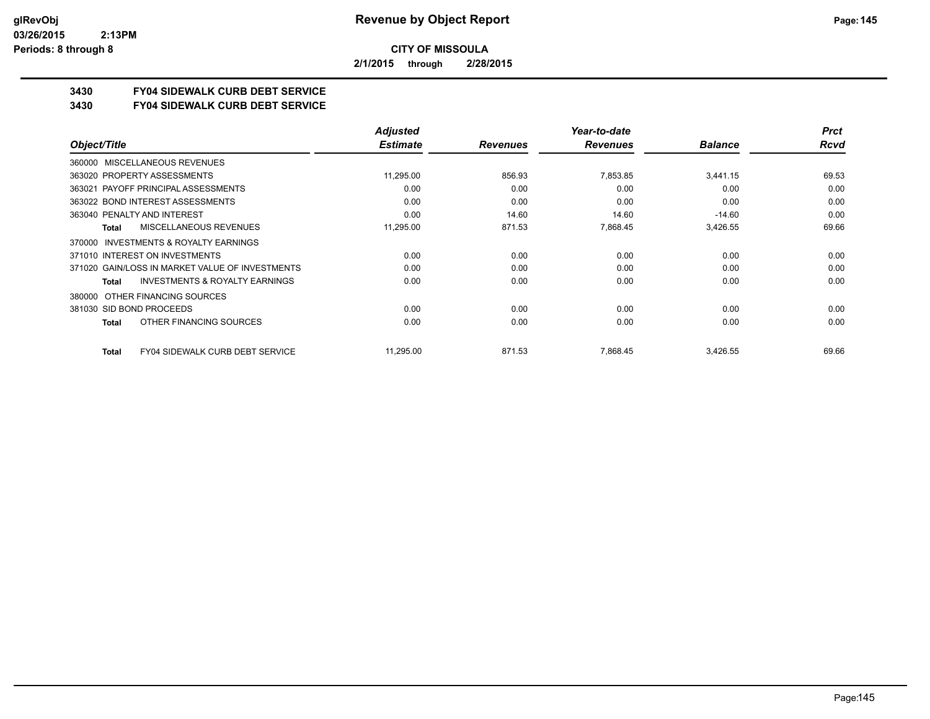**2/1/2015 through 2/28/2015**

# **3430 FY04 SIDEWALK CURB DEBT SERVICE**

#### **3430 FY04 SIDEWALK CURB DEBT SERVICE**

|                                                           | <b>Adjusted</b> |                 | Year-to-date    |                | <b>Prct</b> |
|-----------------------------------------------------------|-----------------|-----------------|-----------------|----------------|-------------|
| Object/Title                                              | <b>Estimate</b> | <b>Revenues</b> | <b>Revenues</b> | <b>Balance</b> | <b>Rcvd</b> |
| MISCELLANEOUS REVENUES<br>360000                          |                 |                 |                 |                |             |
| 363020 PROPERTY ASSESSMENTS                               | 11,295.00       | 856.93          | 7.853.85        | 3.441.15       | 69.53       |
| 363021 PAYOFF PRINCIPAL ASSESSMENTS                       | 0.00            | 0.00            | 0.00            | 0.00           | 0.00        |
| 363022 BOND INTEREST ASSESSMENTS                          | 0.00            | 0.00            | 0.00            | 0.00           | 0.00        |
| 363040 PENALTY AND INTEREST                               | 0.00            | 14.60           | 14.60           | $-14.60$       | 0.00        |
| MISCELLANEOUS REVENUES<br><b>Total</b>                    | 11,295.00       | 871.53          | 7,868.45        | 3,426.55       | 69.66       |
| <b>INVESTMENTS &amp; ROYALTY EARNINGS</b><br>370000       |                 |                 |                 |                |             |
| 371010 INTEREST ON INVESTMENTS                            | 0.00            | 0.00            | 0.00            | 0.00           | 0.00        |
| 371020 GAIN/LOSS IN MARKET VALUE OF INVESTMENTS           | 0.00            | 0.00            | 0.00            | 0.00           | 0.00        |
| <b>INVESTMENTS &amp; ROYALTY EARNINGS</b><br><b>Total</b> | 0.00            | 0.00            | 0.00            | 0.00           | 0.00        |
| OTHER FINANCING SOURCES<br>380000                         |                 |                 |                 |                |             |
| 381030 SID BOND PROCEEDS                                  | 0.00            | 0.00            | 0.00            | 0.00           | 0.00        |
| OTHER FINANCING SOURCES<br><b>Total</b>                   | 0.00            | 0.00            | 0.00            | 0.00           | 0.00        |
| <b>FY04 SIDEWALK CURB DEBT SERVICE</b><br><b>Total</b>    | 11,295.00       | 871.53          | 7,868.45        | 3,426.55       | 69.66       |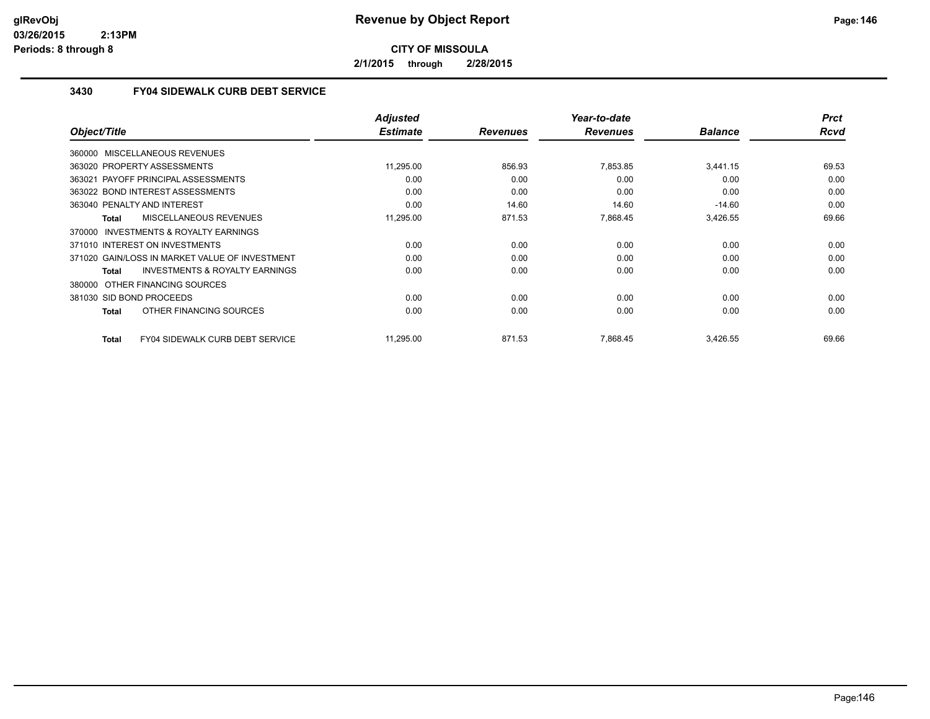**2/1/2015 through 2/28/2015**

## **3430 FY04 SIDEWALK CURB DEBT SERVICE**

|                                                    | <b>Adjusted</b> |                 | Year-to-date    |                | <b>Prct</b> |
|----------------------------------------------------|-----------------|-----------------|-----------------|----------------|-------------|
| Object/Title                                       | <b>Estimate</b> | <b>Revenues</b> | <b>Revenues</b> | <b>Balance</b> | <b>Rcvd</b> |
| 360000 MISCELLANEOUS REVENUES                      |                 |                 |                 |                |             |
| 363020 PROPERTY ASSESSMENTS                        | 11,295.00       | 856.93          | 7,853.85        | 3,441.15       | 69.53       |
| 363021 PAYOFF PRINCIPAL ASSESSMENTS                | 0.00            | 0.00            | 0.00            | 0.00           | 0.00        |
| 363022 BOND INTEREST ASSESSMENTS                   | 0.00            | 0.00            | 0.00            | 0.00           | 0.00        |
| 363040 PENALTY AND INTEREST                        | 0.00            | 14.60           | 14.60           | $-14.60$       | 0.00        |
| MISCELLANEOUS REVENUES<br>Total                    | 11,295.00       | 871.53          | 7,868.45        | 3,426.55       | 69.66       |
| 370000 INVESTMENTS & ROYALTY EARNINGS              |                 |                 |                 |                |             |
| 371010 INTEREST ON INVESTMENTS                     | 0.00            | 0.00            | 0.00            | 0.00           | 0.00        |
| 371020 GAIN/LOSS IN MARKET VALUE OF INVESTMENT     | 0.00            | 0.00            | 0.00            | 0.00           | 0.00        |
| <b>INVESTMENTS &amp; ROYALTY EARNINGS</b><br>Total | 0.00            | 0.00            | 0.00            | 0.00           | 0.00        |
| 380000 OTHER FINANCING SOURCES                     |                 |                 |                 |                |             |
| 381030 SID BOND PROCEEDS                           | 0.00            | 0.00            | 0.00            | 0.00           | 0.00        |
| OTHER FINANCING SOURCES<br>Total                   | 0.00            | 0.00            | 0.00            | 0.00           | 0.00        |
|                                                    |                 |                 |                 |                |             |
| FY04 SIDEWALK CURB DEBT SERVICE<br>Total           | 11,295.00       | 871.53          | 7,868.45        | 3,426.55       | 69.66       |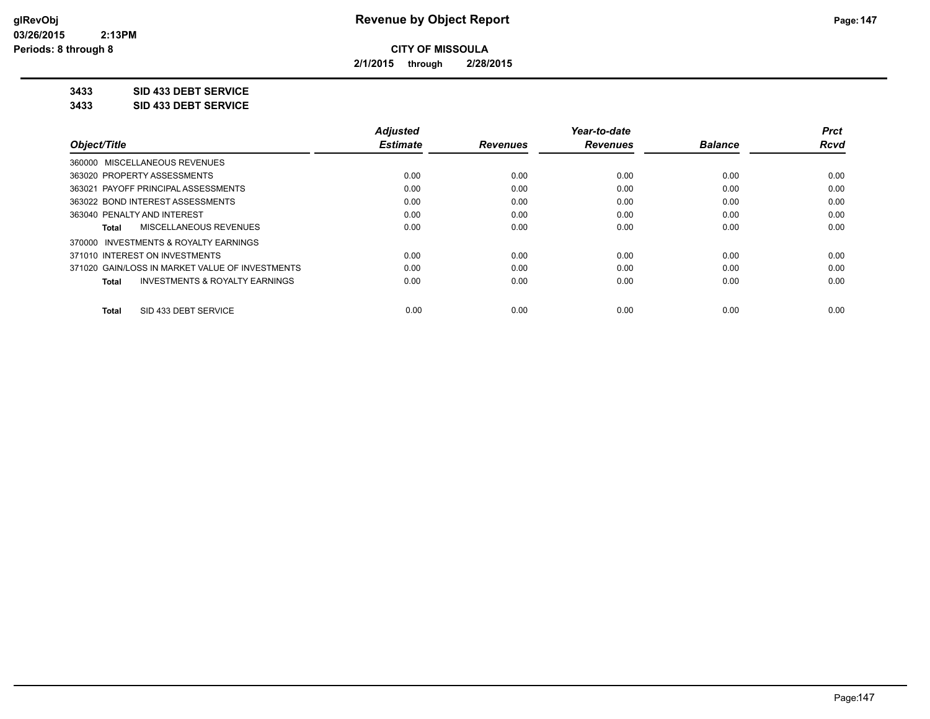**2/1/2015 through 2/28/2015**

**3433 SID 433 DEBT SERVICE**

**3433 SID 433 DEBT SERVICE**

|                                                    | <b>Adjusted</b> |                 | Year-to-date    |                | <b>Prct</b> |
|----------------------------------------------------|-----------------|-----------------|-----------------|----------------|-------------|
| Object/Title                                       | <b>Estimate</b> | <b>Revenues</b> | <b>Revenues</b> | <b>Balance</b> | Rcvd        |
| 360000 MISCELLANEOUS REVENUES                      |                 |                 |                 |                |             |
| 363020 PROPERTY ASSESSMENTS                        | 0.00            | 0.00            | 0.00            | 0.00           | 0.00        |
| 363021 PAYOFF PRINCIPAL ASSESSMENTS                | 0.00            | 0.00            | 0.00            | 0.00           | 0.00        |
| 363022 BOND INTEREST ASSESSMENTS                   | 0.00            | 0.00            | 0.00            | 0.00           | 0.00        |
| 363040 PENALTY AND INTEREST                        | 0.00            | 0.00            | 0.00            | 0.00           | 0.00        |
| MISCELLANEOUS REVENUES<br>Total                    | 0.00            | 0.00            | 0.00            | 0.00           | 0.00        |
| 370000 INVESTMENTS & ROYALTY EARNINGS              |                 |                 |                 |                |             |
| 371010 INTEREST ON INVESTMENTS                     | 0.00            | 0.00            | 0.00            | 0.00           | 0.00        |
| 371020 GAIN/LOSS IN MARKET VALUE OF INVESTMENTS    | 0.00            | 0.00            | 0.00            | 0.00           | 0.00        |
| <b>INVESTMENTS &amp; ROYALTY EARNINGS</b><br>Total | 0.00            | 0.00            | 0.00            | 0.00           | 0.00        |
| SID 433 DEBT SERVICE<br>Total                      | 0.00            | 0.00            | 0.00            | 0.00           | 0.00        |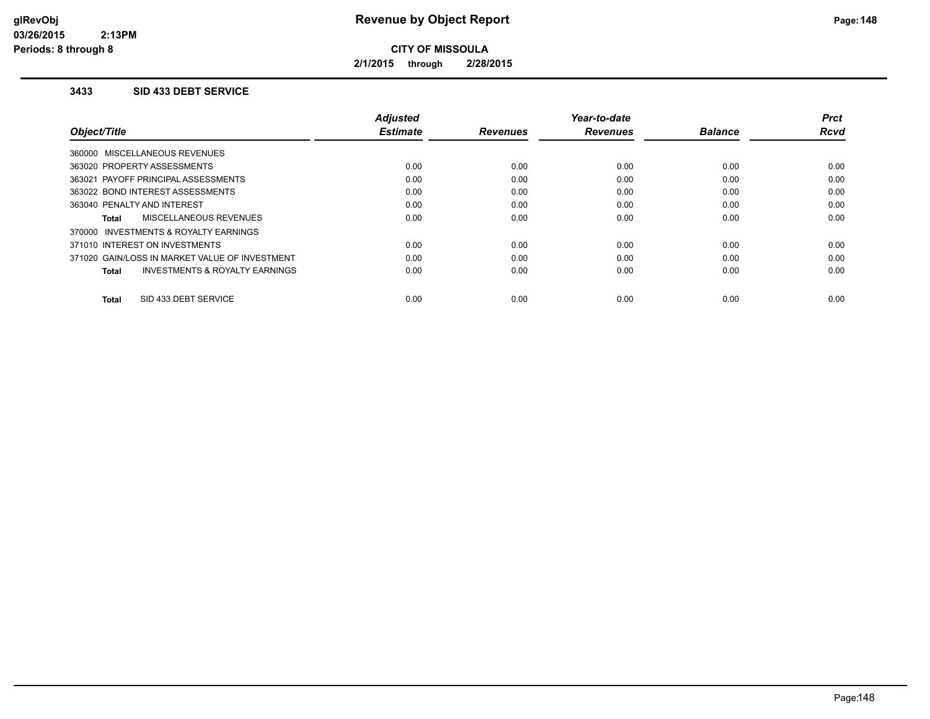**2/1/2015 through 2/28/2015**

#### **3433 SID 433 DEBT SERVICE**

|                                                    | <b>Adjusted</b> |                 | Year-to-date    |                | Prct        |
|----------------------------------------------------|-----------------|-----------------|-----------------|----------------|-------------|
| Object/Title                                       | <b>Estimate</b> | <b>Revenues</b> | <b>Revenues</b> | <b>Balance</b> | <b>Rcvd</b> |
| 360000 MISCELLANEOUS REVENUES                      |                 |                 |                 |                |             |
| 363020 PROPERTY ASSESSMENTS                        | 0.00            | 0.00            | 0.00            | 0.00           | 0.00        |
| 363021 PAYOFF PRINCIPAL ASSESSMENTS                | 0.00            | 0.00            | 0.00            | 0.00           | 0.00        |
| 363022 BOND INTEREST ASSESSMENTS                   | 0.00            | 0.00            | 0.00            | 0.00           | 0.00        |
| 363040 PENALTY AND INTEREST                        | 0.00            | 0.00            | 0.00            | 0.00           | 0.00        |
| <b>MISCELLANEOUS REVENUES</b><br>Total             | 0.00            | 0.00            | 0.00            | 0.00           | 0.00        |
| 370000 INVESTMENTS & ROYALTY EARNINGS              |                 |                 |                 |                |             |
| 371010 INTEREST ON INVESTMENTS                     | 0.00            | 0.00            | 0.00            | 0.00           | 0.00        |
| 371020 GAIN/LOSS IN MARKET VALUE OF INVESTMENT     | 0.00            | 0.00            | 0.00            | 0.00           | 0.00        |
| <b>INVESTMENTS &amp; ROYALTY EARNINGS</b><br>Total | 0.00            | 0.00            | 0.00            | 0.00           | 0.00        |
|                                                    |                 |                 |                 |                |             |
| SID 433 DEBT SERVICE<br>Total                      | 0.00            | 0.00            | 0.00            | 0.00           | 0.00        |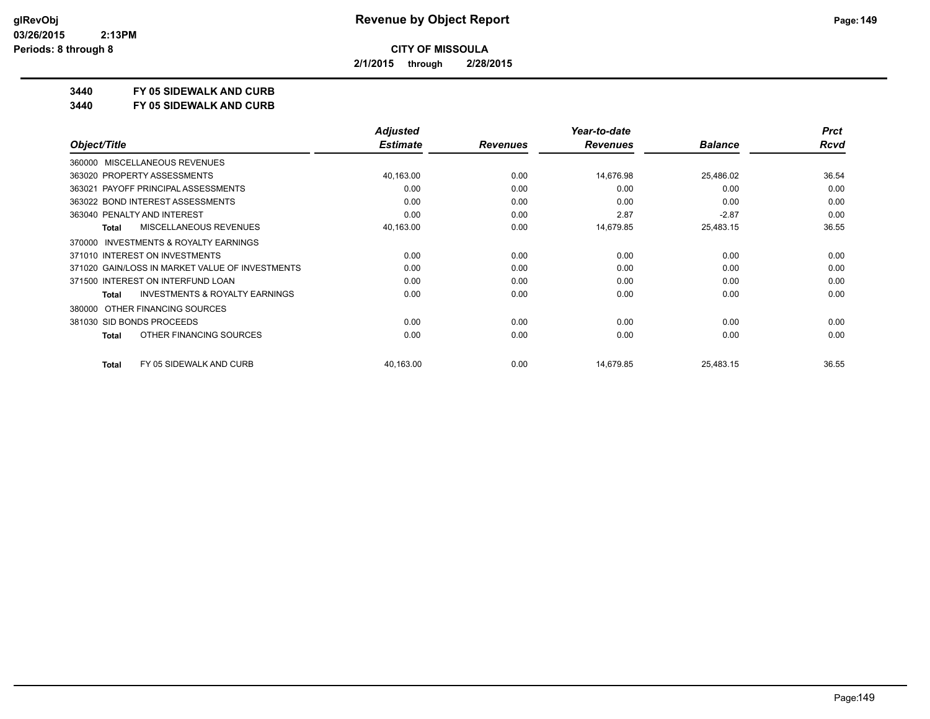**2/1/2015 through 2/28/2015**

**3440 FY 05 SIDEWALK AND CURB**

**3440 FY 05 SIDEWALK AND CURB**

|                                                    | <b>Adjusted</b> |                 | Year-to-date    |                | <b>Prct</b> |
|----------------------------------------------------|-----------------|-----------------|-----------------|----------------|-------------|
| Object/Title                                       | <b>Estimate</b> | <b>Revenues</b> | <b>Revenues</b> | <b>Balance</b> | <b>Rcvd</b> |
| 360000 MISCELLANEOUS REVENUES                      |                 |                 |                 |                |             |
| 363020 PROPERTY ASSESSMENTS                        | 40,163.00       | 0.00            | 14,676.98       | 25,486.02      | 36.54       |
| 363021 PAYOFF PRINCIPAL ASSESSMENTS                | 0.00            | 0.00            | 0.00            | 0.00           | 0.00        |
| 363022 BOND INTEREST ASSESSMENTS                   | 0.00            | 0.00            | 0.00            | 0.00           | 0.00        |
| 363040 PENALTY AND INTEREST                        | 0.00            | 0.00            | 2.87            | $-2.87$        | 0.00        |
| <b>MISCELLANEOUS REVENUES</b><br>Total             | 40,163.00       | 0.00            | 14,679.85       | 25,483.15      | 36.55       |
| INVESTMENTS & ROYALTY EARNINGS<br>370000           |                 |                 |                 |                |             |
| 371010 INTEREST ON INVESTMENTS                     | 0.00            | 0.00            | 0.00            | 0.00           | 0.00        |
| 371020 GAIN/LOSS IN MARKET VALUE OF INVESTMENTS    | 0.00            | 0.00            | 0.00            | 0.00           | 0.00        |
| 371500 INTEREST ON INTERFUND LOAN                  | 0.00            | 0.00            | 0.00            | 0.00           | 0.00        |
| <b>INVESTMENTS &amp; ROYALTY EARNINGS</b><br>Total | 0.00            | 0.00            | 0.00            | 0.00           | 0.00        |
| OTHER FINANCING SOURCES<br>380000                  |                 |                 |                 |                |             |
| 381030 SID BONDS PROCEEDS                          | 0.00            | 0.00            | 0.00            | 0.00           | 0.00        |
| OTHER FINANCING SOURCES<br>Total                   | 0.00            | 0.00            | 0.00            | 0.00           | 0.00        |
| FY 05 SIDEWALK AND CURB<br><b>Total</b>            | 40,163.00       | 0.00            | 14,679.85       | 25,483.15      | 36.55       |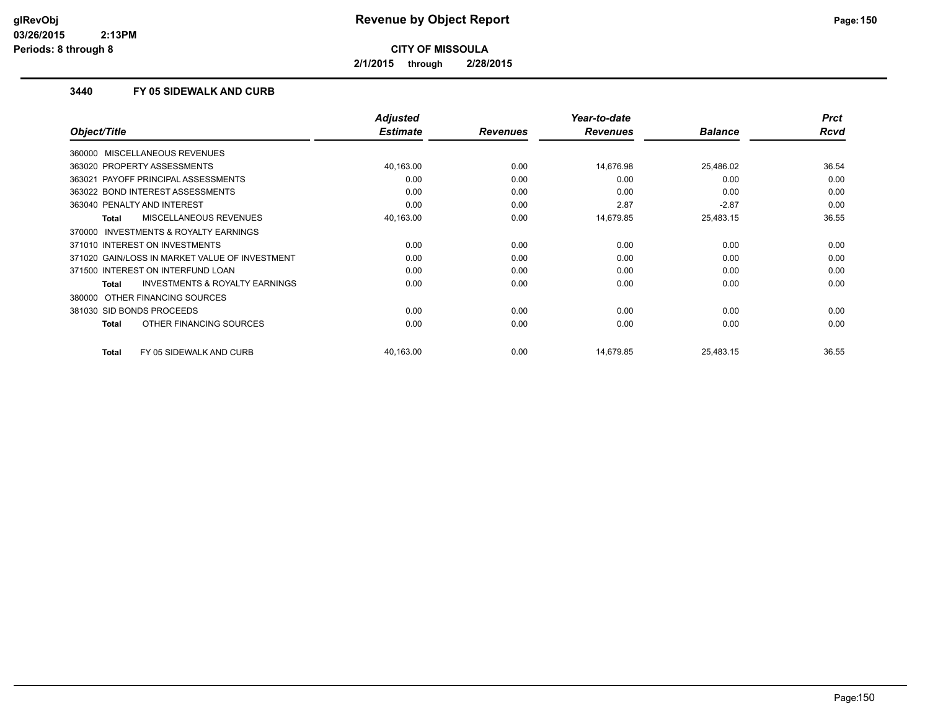**2/1/2015 through 2/28/2015**

### **3440 FY 05 SIDEWALK AND CURB**

|                                                           | <b>Adjusted</b> |                 | Year-to-date    |                | <b>Prct</b> |
|-----------------------------------------------------------|-----------------|-----------------|-----------------|----------------|-------------|
| Object/Title                                              | <b>Estimate</b> | <b>Revenues</b> | <b>Revenues</b> | <b>Balance</b> | <b>Rcvd</b> |
| 360000 MISCELLANEOUS REVENUES                             |                 |                 |                 |                |             |
| 363020 PROPERTY ASSESSMENTS                               | 40,163.00       | 0.00            | 14,676.98       | 25,486.02      | 36.54       |
| 363021 PAYOFF PRINCIPAL ASSESSMENTS                       | 0.00            | 0.00            | 0.00            | 0.00           | 0.00        |
| 363022 BOND INTEREST ASSESSMENTS                          | 0.00            | 0.00            | 0.00            | 0.00           | 0.00        |
| 363040 PENALTY AND INTEREST                               | 0.00            | 0.00            | 2.87            | $-2.87$        | 0.00        |
| <b>MISCELLANEOUS REVENUES</b><br>Total                    | 40,163.00       | 0.00            | 14,679.85       | 25,483.15      | 36.55       |
| 370000 INVESTMENTS & ROYALTY EARNINGS                     |                 |                 |                 |                |             |
| 371010 INTEREST ON INVESTMENTS                            | 0.00            | 0.00            | 0.00            | 0.00           | 0.00        |
| 371020 GAIN/LOSS IN MARKET VALUE OF INVESTMENT            | 0.00            | 0.00            | 0.00            | 0.00           | 0.00        |
| 371500 INTEREST ON INTERFUND LOAN                         | 0.00            | 0.00            | 0.00            | 0.00           | 0.00        |
| <b>INVESTMENTS &amp; ROYALTY EARNINGS</b><br><b>Total</b> | 0.00            | 0.00            | 0.00            | 0.00           | 0.00        |
| 380000 OTHER FINANCING SOURCES                            |                 |                 |                 |                |             |
| 381030 SID BONDS PROCEEDS                                 | 0.00            | 0.00            | 0.00            | 0.00           | 0.00        |
| OTHER FINANCING SOURCES<br><b>Total</b>                   | 0.00            | 0.00            | 0.00            | 0.00           | 0.00        |
| <b>Total</b><br>FY 05 SIDEWALK AND CURB                   | 40,163.00       | 0.00            | 14,679.85       | 25,483.15      | 36.55       |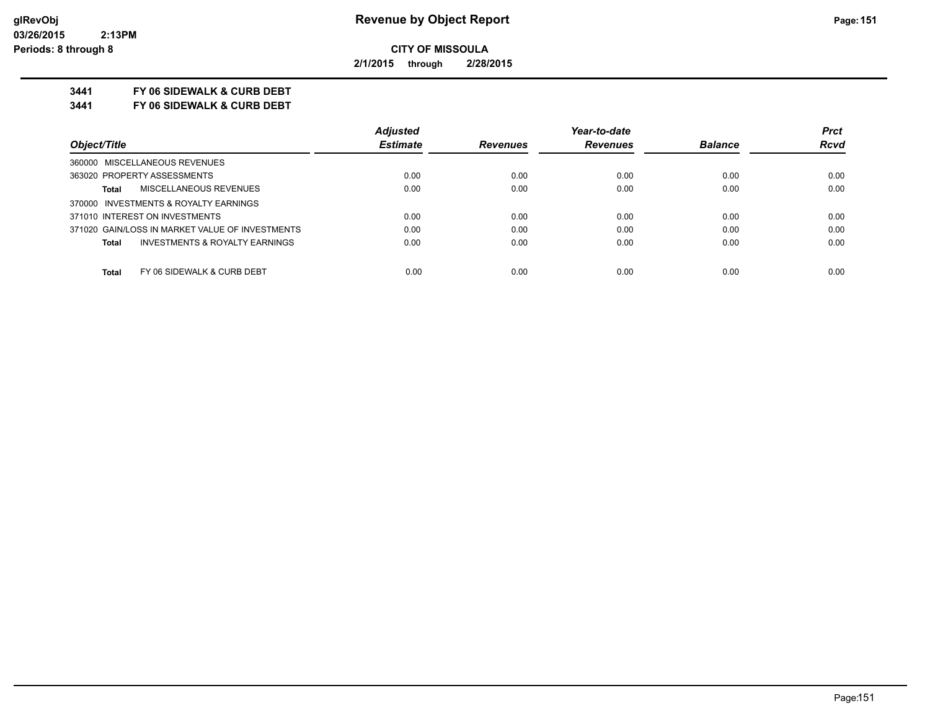**2/1/2015 through 2/28/2015**

## **3441 FY 06 SIDEWALK & CURB DEBT**

**3441 FY 06 SIDEWALK & CURB DEBT**

|                                                 | <b>Adjusted</b> |                 | Year-to-date    |                | <b>Prct</b> |
|-------------------------------------------------|-----------------|-----------------|-----------------|----------------|-------------|
| Object/Title                                    | <b>Estimate</b> | <b>Revenues</b> | <b>Revenues</b> | <b>Balance</b> | <b>Rcvd</b> |
| 360000 MISCELLANEOUS REVENUES                   |                 |                 |                 |                |             |
| 363020 PROPERTY ASSESSMENTS                     | 0.00            | 0.00            | 0.00            | 0.00           | 0.00        |
| MISCELLANEOUS REVENUES<br>Total                 | 0.00            | 0.00            | 0.00            | 0.00           | 0.00        |
| 370000 INVESTMENTS & ROYALTY EARNINGS           |                 |                 |                 |                |             |
| 371010 INTEREST ON INVESTMENTS                  | 0.00            | 0.00            | 0.00            | 0.00           | 0.00        |
| 371020 GAIN/LOSS IN MARKET VALUE OF INVESTMENTS | 0.00            | 0.00            | 0.00            | 0.00           | 0.00        |
| INVESTMENTS & ROYALTY EARNINGS<br>Total         | 0.00            | 0.00            | 0.00            | 0.00           | 0.00        |
|                                                 |                 |                 |                 |                |             |
| Total<br>FY 06 SIDEWALK & CURB DEBT             | 0.00            | 0.00            | 0.00            | 0.00           | 0.00        |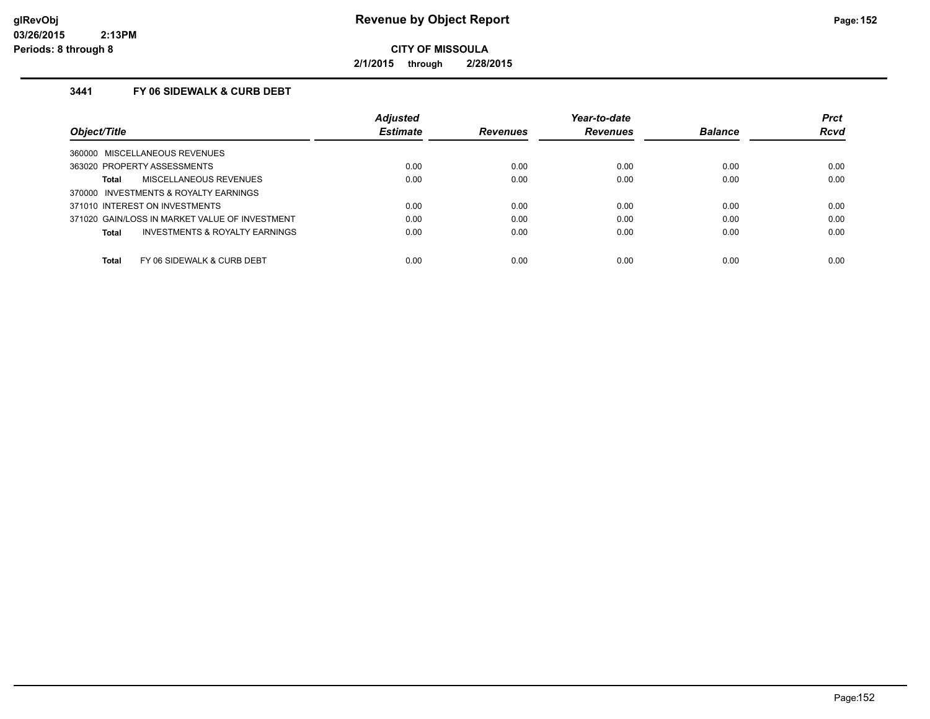**2/1/2015 through 2/28/2015**

## **3441 FY 06 SIDEWALK & CURB DEBT**

|                                                | <b>Adjusted</b> |                 | Year-to-date    |                | <b>Prct</b> |
|------------------------------------------------|-----------------|-----------------|-----------------|----------------|-------------|
| Object/Title                                   | <b>Estimate</b> | <b>Revenues</b> | <b>Revenues</b> | <b>Balance</b> | <b>Rcvd</b> |
| 360000 MISCELLANEOUS REVENUES                  |                 |                 |                 |                |             |
| 363020 PROPERTY ASSESSMENTS                    | 0.00            | 0.00            | 0.00            | 0.00           | 0.00        |
| MISCELLANEOUS REVENUES<br>Total                | 0.00            | 0.00            | 0.00            | 0.00           | 0.00        |
| 370000 INVESTMENTS & ROYALTY EARNINGS          |                 |                 |                 |                |             |
| 371010 INTEREST ON INVESTMENTS                 | 0.00            | 0.00            | 0.00            | 0.00           | 0.00        |
| 371020 GAIN/LOSS IN MARKET VALUE OF INVESTMENT | 0.00            | 0.00            | 0.00            | 0.00           | 0.00        |
| INVESTMENTS & ROYALTY EARNINGS<br>Total        | 0.00            | 0.00            | 0.00            | 0.00           | 0.00        |
| Total<br>FY 06 SIDEWALK & CURB DEBT            | 0.00            | 0.00            | 0.00            | 0.00           | 0.00        |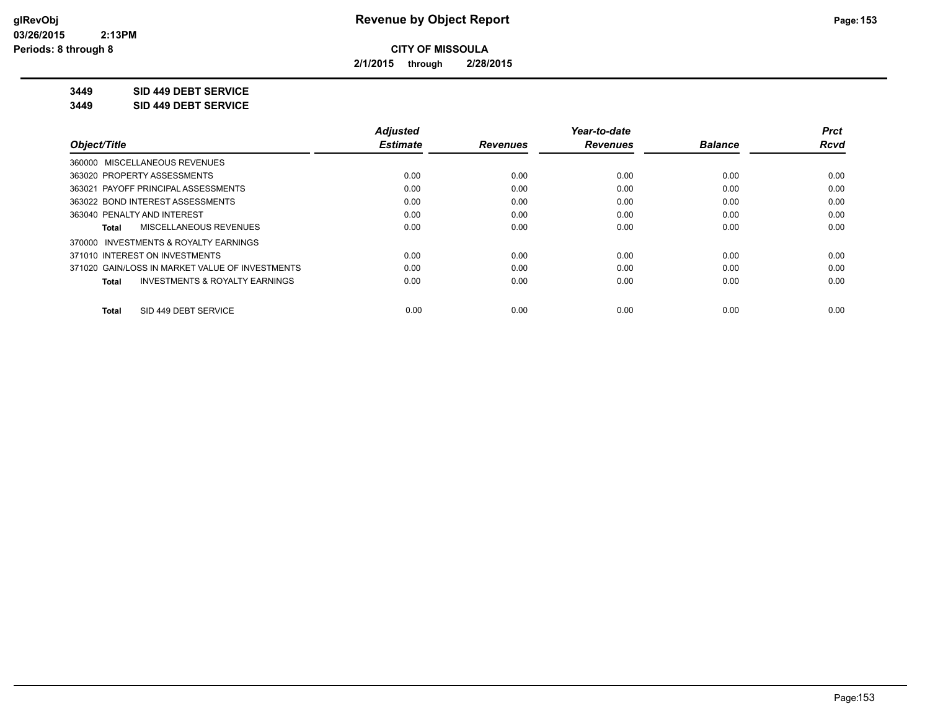**2/1/2015 through 2/28/2015**

**3449 SID 449 DEBT SERVICE**

**3449 SID 449 DEBT SERVICE**

|                                                           | <b>Adjusted</b> |                 | Year-to-date    |                | <b>Prct</b> |
|-----------------------------------------------------------|-----------------|-----------------|-----------------|----------------|-------------|
| Object/Title                                              | <b>Estimate</b> | <b>Revenues</b> | <b>Revenues</b> | <b>Balance</b> | Rcvd        |
| 360000 MISCELLANEOUS REVENUES                             |                 |                 |                 |                |             |
| 363020 PROPERTY ASSESSMENTS                               | 0.00            | 0.00            | 0.00            | 0.00           | 0.00        |
| 363021 PAYOFF PRINCIPAL ASSESSMENTS                       | 0.00            | 0.00            | 0.00            | 0.00           | 0.00        |
| 363022 BOND INTEREST ASSESSMENTS                          | 0.00            | 0.00            | 0.00            | 0.00           | 0.00        |
| 363040 PENALTY AND INTEREST                               | 0.00            | 0.00            | 0.00            | 0.00           | 0.00        |
| MISCELLANEOUS REVENUES<br>Total                           | 0.00            | 0.00            | 0.00            | 0.00           | 0.00        |
| 370000 INVESTMENTS & ROYALTY EARNINGS                     |                 |                 |                 |                |             |
| 371010 INTEREST ON INVESTMENTS                            | 0.00            | 0.00            | 0.00            | 0.00           | 0.00        |
| 371020 GAIN/LOSS IN MARKET VALUE OF INVESTMENTS           | 0.00            | 0.00            | 0.00            | 0.00           | 0.00        |
| <b>INVESTMENTS &amp; ROYALTY EARNINGS</b><br><b>Total</b> | 0.00            | 0.00            | 0.00            | 0.00           | 0.00        |
| SID 449 DEBT SERVICE<br>Total                             | 0.00            | 0.00            | 0.00            | 0.00           | 0.00        |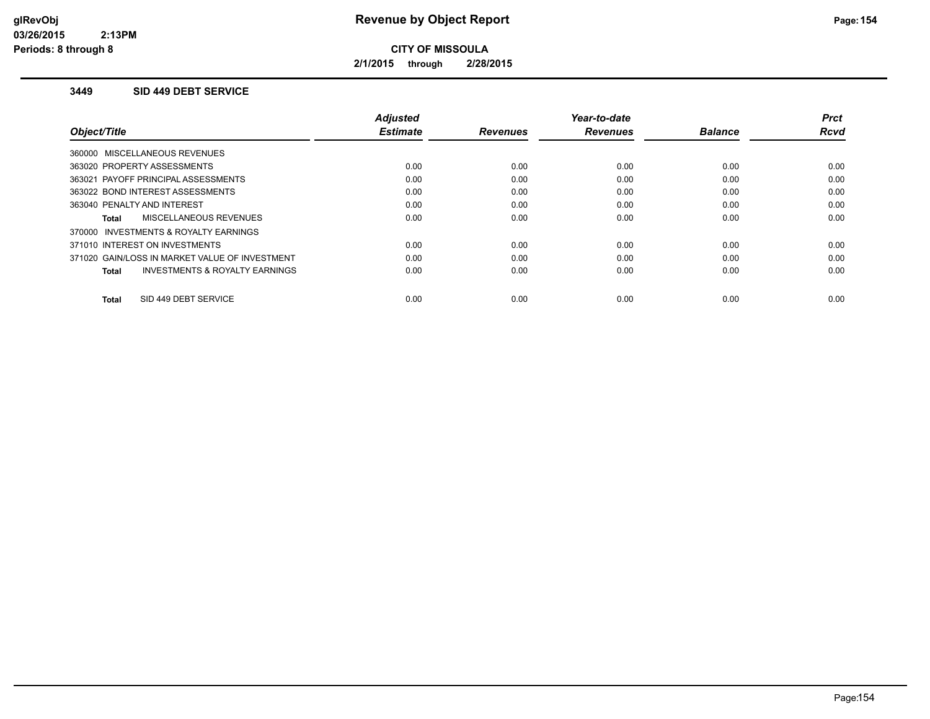**2/1/2015 through 2/28/2015**

#### **3449 SID 449 DEBT SERVICE**

|                                                    | <b>Adjusted</b> |                 | Year-to-date    |                | <b>Prct</b> |
|----------------------------------------------------|-----------------|-----------------|-----------------|----------------|-------------|
| Object/Title                                       | <b>Estimate</b> | <b>Revenues</b> | <b>Revenues</b> | <b>Balance</b> | <b>Rcvd</b> |
| 360000 MISCELLANEOUS REVENUES                      |                 |                 |                 |                |             |
| 363020 PROPERTY ASSESSMENTS                        | 0.00            | 0.00            | 0.00            | 0.00           | 0.00        |
| 363021 PAYOFF PRINCIPAL ASSESSMENTS                | 0.00            | 0.00            | 0.00            | 0.00           | 0.00        |
| 363022 BOND INTEREST ASSESSMENTS                   | 0.00            | 0.00            | 0.00            | 0.00           | 0.00        |
| 363040 PENALTY AND INTEREST                        | 0.00            | 0.00            | 0.00            | 0.00           | 0.00        |
| <b>MISCELLANEOUS REVENUES</b><br>Total             | 0.00            | 0.00            | 0.00            | 0.00           | 0.00        |
| 370000 INVESTMENTS & ROYALTY EARNINGS              |                 |                 |                 |                |             |
| 371010 INTEREST ON INVESTMENTS                     | 0.00            | 0.00            | 0.00            | 0.00           | 0.00        |
| 371020 GAIN/LOSS IN MARKET VALUE OF INVESTMENT     | 0.00            | 0.00            | 0.00            | 0.00           | 0.00        |
| <b>INVESTMENTS &amp; ROYALTY EARNINGS</b><br>Total | 0.00            | 0.00            | 0.00            | 0.00           | 0.00        |
|                                                    |                 |                 |                 |                |             |
| SID 449 DEBT SERVICE<br>Total                      | 0.00            | 0.00            | 0.00            | 0.00           | 0.00        |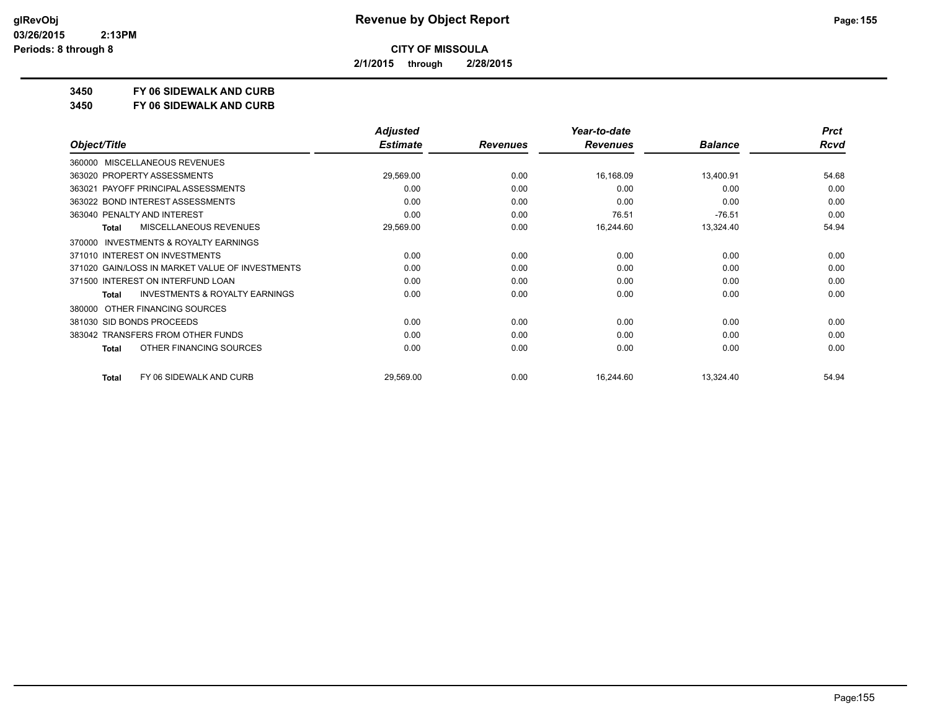**2/1/2015 through 2/28/2015**

**3450 FY 06 SIDEWALK AND CURB**

**3450 FY 06 SIDEWALK AND CURB**

|                                                    | <b>Adjusted</b> |                 | Year-to-date    |                | <b>Prct</b> |
|----------------------------------------------------|-----------------|-----------------|-----------------|----------------|-------------|
| Object/Title                                       | <b>Estimate</b> | <b>Revenues</b> | <b>Revenues</b> | <b>Balance</b> | <b>Rcvd</b> |
| <b>MISCELLANEOUS REVENUES</b><br>360000            |                 |                 |                 |                |             |
| 363020 PROPERTY ASSESSMENTS                        | 29,569.00       | 0.00            | 16,168.09       | 13,400.91      | 54.68       |
| 363021 PAYOFF PRINCIPAL ASSESSMENTS                | 0.00            | 0.00            | 0.00            | 0.00           | 0.00        |
| 363022 BOND INTEREST ASSESSMENTS                   | 0.00            | 0.00            | 0.00            | 0.00           | 0.00        |
| 363040 PENALTY AND INTEREST                        | 0.00            | 0.00            | 76.51           | $-76.51$       | 0.00        |
| MISCELLANEOUS REVENUES<br>Total                    | 29,569.00       | 0.00            | 16,244.60       | 13,324.40      | 54.94       |
| INVESTMENTS & ROYALTY EARNINGS<br>370000           |                 |                 |                 |                |             |
| 371010 INTEREST ON INVESTMENTS                     | 0.00            | 0.00            | 0.00            | 0.00           | 0.00        |
| 371020 GAIN/LOSS IN MARKET VALUE OF INVESTMENTS    | 0.00            | 0.00            | 0.00            | 0.00           | 0.00        |
| 371500 INTEREST ON INTERFUND LOAN                  | 0.00            | 0.00            | 0.00            | 0.00           | 0.00        |
| <b>INVESTMENTS &amp; ROYALTY EARNINGS</b><br>Total | 0.00            | 0.00            | 0.00            | 0.00           | 0.00        |
| OTHER FINANCING SOURCES<br>380000                  |                 |                 |                 |                |             |
| 381030 SID BONDS PROCEEDS                          | 0.00            | 0.00            | 0.00            | 0.00           | 0.00        |
| 383042 TRANSFERS FROM OTHER FUNDS                  | 0.00            | 0.00            | 0.00            | 0.00           | 0.00        |
| OTHER FINANCING SOURCES<br>Total                   | 0.00            | 0.00            | 0.00            | 0.00           | 0.00        |
| FY 06 SIDEWALK AND CURB<br><b>Total</b>            | 29,569.00       | 0.00            | 16,244.60       | 13,324.40      | 54.94       |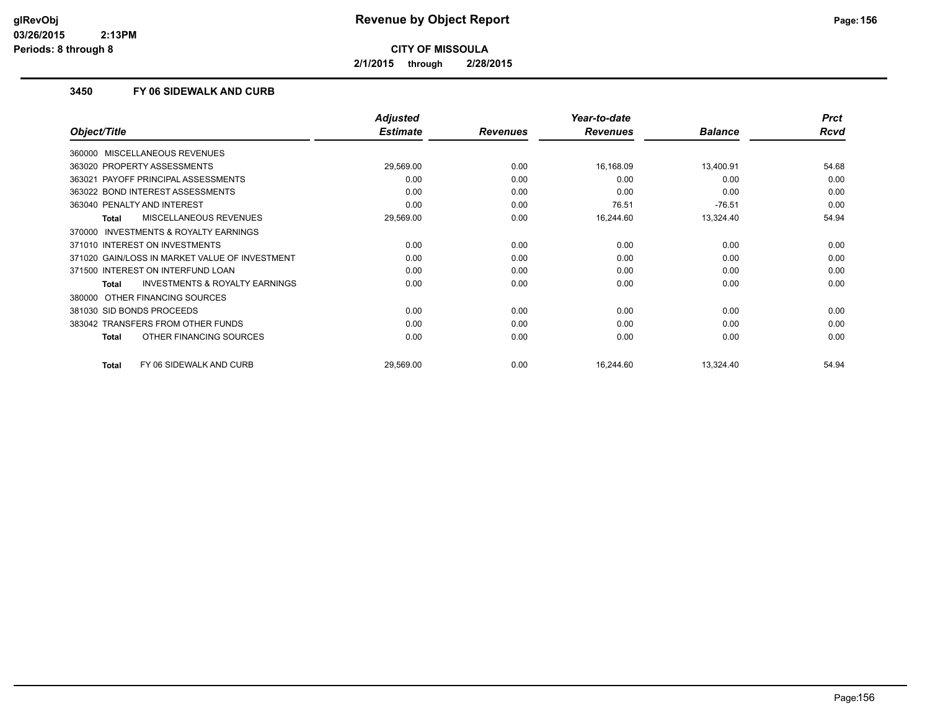**2/1/2015 through 2/28/2015**

## **3450 FY 06 SIDEWALK AND CURB**

|                                                           | <b>Adjusted</b> |                 | Year-to-date    |                | <b>Prct</b> |
|-----------------------------------------------------------|-----------------|-----------------|-----------------|----------------|-------------|
| Object/Title                                              | <b>Estimate</b> | <b>Revenues</b> | <b>Revenues</b> | <b>Balance</b> | <b>Rcvd</b> |
| MISCELLANEOUS REVENUES<br>360000                          |                 |                 |                 |                |             |
| 363020 PROPERTY ASSESSMENTS                               | 29,569.00       | 0.00            | 16,168.09       | 13,400.91      | 54.68       |
| 363021 PAYOFF PRINCIPAL ASSESSMENTS                       | 0.00            | 0.00            | 0.00            | 0.00           | 0.00        |
| 363022 BOND INTEREST ASSESSMENTS                          | 0.00            | 0.00            | 0.00            | 0.00           | 0.00        |
| 363040 PENALTY AND INTEREST                               | 0.00            | 0.00            | 76.51           | $-76.51$       | 0.00        |
| <b>MISCELLANEOUS REVENUES</b><br><b>Total</b>             | 29,569.00       | 0.00            | 16,244.60       | 13,324.40      | 54.94       |
| INVESTMENTS & ROYALTY EARNINGS<br>370000                  |                 |                 |                 |                |             |
| 371010 INTEREST ON INVESTMENTS                            | 0.00            | 0.00            | 0.00            | 0.00           | 0.00        |
| 371020 GAIN/LOSS IN MARKET VALUE OF INVESTMENT            | 0.00            | 0.00            | 0.00            | 0.00           | 0.00        |
| 371500 INTEREST ON INTERFUND LOAN                         | 0.00            | 0.00            | 0.00            | 0.00           | 0.00        |
| <b>INVESTMENTS &amp; ROYALTY EARNINGS</b><br><b>Total</b> | 0.00            | 0.00            | 0.00            | 0.00           | 0.00        |
| OTHER FINANCING SOURCES<br>380000                         |                 |                 |                 |                |             |
| 381030 SID BONDS PROCEEDS                                 | 0.00            | 0.00            | 0.00            | 0.00           | 0.00        |
| 383042 TRANSFERS FROM OTHER FUNDS                         | 0.00            | 0.00            | 0.00            | 0.00           | 0.00        |
| OTHER FINANCING SOURCES<br><b>Total</b>                   | 0.00            | 0.00            | 0.00            | 0.00           | 0.00        |
| FY 06 SIDEWALK AND CURB<br><b>Total</b>                   | 29,569.00       | 0.00            | 16,244.60       | 13,324.40      | 54.94       |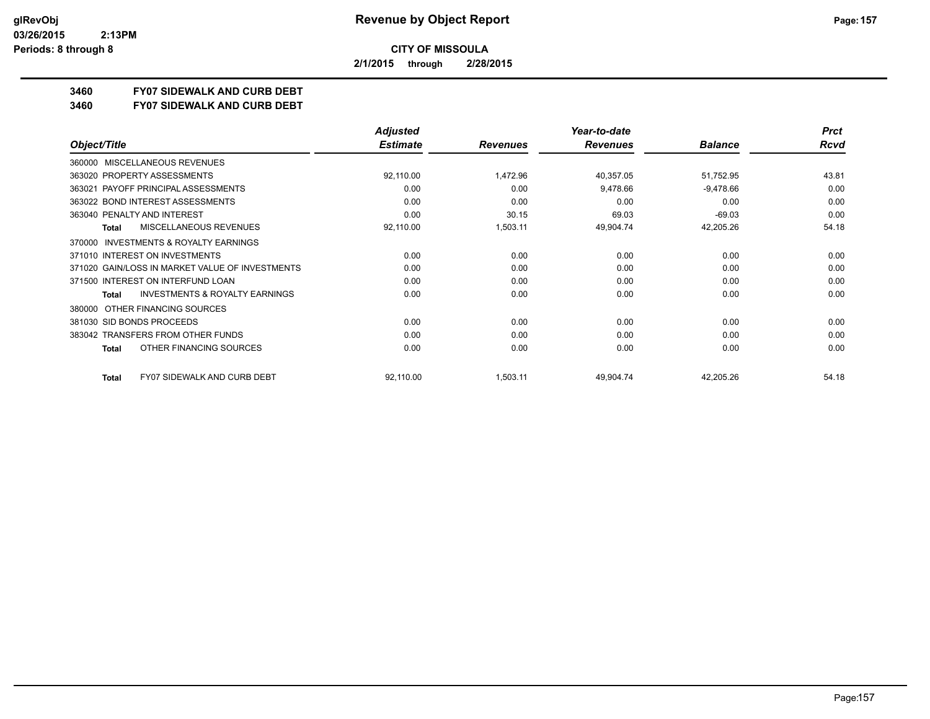**2/1/2015 through 2/28/2015**

# **3460 FY07 SIDEWALK AND CURB DEBT**

#### **3460 FY07 SIDEWALK AND CURB DEBT**

|                                                     | <b>Adjusted</b> |                 | Year-to-date    |                | <b>Prct</b> |
|-----------------------------------------------------|-----------------|-----------------|-----------------|----------------|-------------|
| Object/Title                                        | <b>Estimate</b> | <b>Revenues</b> | <b>Revenues</b> | <b>Balance</b> | Rcvd        |
| MISCELLANEOUS REVENUES<br>360000                    |                 |                 |                 |                |             |
| 363020 PROPERTY ASSESSMENTS                         | 92,110.00       | 1,472.96        | 40,357.05       | 51,752.95      | 43.81       |
| PAYOFF PRINCIPAL ASSESSMENTS<br>363021              | 0.00            | 0.00            | 9,478.66        | $-9,478.66$    | 0.00        |
| 363022 BOND INTEREST ASSESSMENTS                    | 0.00            | 0.00            | 0.00            | 0.00           | 0.00        |
| 363040 PENALTY AND INTEREST                         | 0.00            | 30.15           | 69.03           | $-69.03$       | 0.00        |
| MISCELLANEOUS REVENUES<br>Total                     | 92,110.00       | 1,503.11        | 49,904.74       | 42,205.26      | 54.18       |
| <b>INVESTMENTS &amp; ROYALTY EARNINGS</b><br>370000 |                 |                 |                 |                |             |
| 371010 INTEREST ON INVESTMENTS                      | 0.00            | 0.00            | 0.00            | 0.00           | 0.00        |
| 371020 GAIN/LOSS IN MARKET VALUE OF INVESTMENTS     | 0.00            | 0.00            | 0.00            | 0.00           | 0.00        |
| 371500 INTEREST ON INTERFUND LOAN                   | 0.00            | 0.00            | 0.00            | 0.00           | 0.00        |
| <b>INVESTMENTS &amp; ROYALTY EARNINGS</b><br>Total  | 0.00            | 0.00            | 0.00            | 0.00           | 0.00        |
| OTHER FINANCING SOURCES<br>380000                   |                 |                 |                 |                |             |
| 381030 SID BONDS PROCEEDS                           | 0.00            | 0.00            | 0.00            | 0.00           | 0.00        |
| 383042 TRANSFERS FROM OTHER FUNDS                   | 0.00            | 0.00            | 0.00            | 0.00           | 0.00        |
| OTHER FINANCING SOURCES<br>Total                    | 0.00            | 0.00            | 0.00            | 0.00           | 0.00        |
| <b>FY07 SIDEWALK AND CURB DEBT</b><br>Total         | 92,110.00       | 1,503.11        | 49,904.74       | 42,205.26      | 54.18       |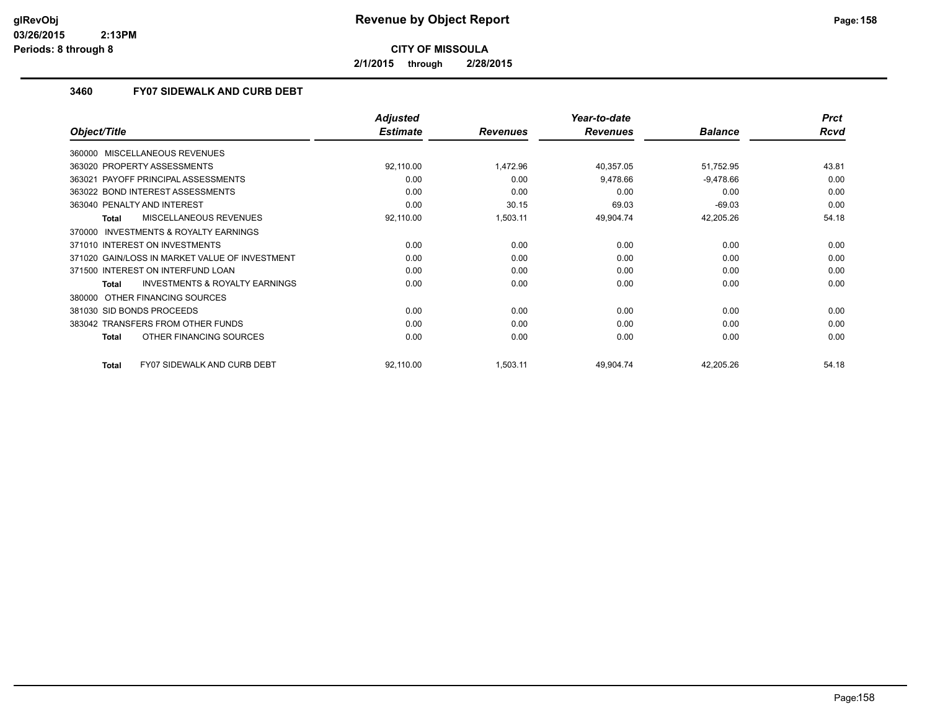**2/1/2015 through 2/28/2015**

## **3460 FY07 SIDEWALK AND CURB DEBT**

|                                                    | <b>Adjusted</b> |                 | Year-to-date    |                | <b>Prct</b> |
|----------------------------------------------------|-----------------|-----------------|-----------------|----------------|-------------|
| Object/Title                                       | <b>Estimate</b> | <b>Revenues</b> | <b>Revenues</b> | <b>Balance</b> | <b>Rcvd</b> |
| 360000 MISCELLANEOUS REVENUES                      |                 |                 |                 |                |             |
| 363020 PROPERTY ASSESSMENTS                        | 92,110.00       | 1,472.96        | 40,357.05       | 51,752.95      | 43.81       |
| PAYOFF PRINCIPAL ASSESSMENTS<br>363021             | 0.00            | 0.00            | 9,478.66        | $-9,478.66$    | 0.00        |
| 363022 BOND INTEREST ASSESSMENTS                   | 0.00            | 0.00            | 0.00            | 0.00           | 0.00        |
| 363040 PENALTY AND INTEREST                        | 0.00            | 30.15           | 69.03           | $-69.03$       | 0.00        |
| MISCELLANEOUS REVENUES<br>Total                    | 92,110.00       | 1,503.11        | 49,904.74       | 42,205.26      | 54.18       |
| 370000 INVESTMENTS & ROYALTY EARNINGS              |                 |                 |                 |                |             |
| 371010 INTEREST ON INVESTMENTS                     | 0.00            | 0.00            | 0.00            | 0.00           | 0.00        |
| 371020 GAIN/LOSS IN MARKET VALUE OF INVESTMENT     | 0.00            | 0.00            | 0.00            | 0.00           | 0.00        |
| 371500 INTEREST ON INTERFUND LOAN                  | 0.00            | 0.00            | 0.00            | 0.00           | 0.00        |
| <b>INVESTMENTS &amp; ROYALTY EARNINGS</b><br>Total | 0.00            | 0.00            | 0.00            | 0.00           | 0.00        |
| OTHER FINANCING SOURCES<br>380000                  |                 |                 |                 |                |             |
| 381030 SID BONDS PROCEEDS                          | 0.00            | 0.00            | 0.00            | 0.00           | 0.00        |
| 383042 TRANSFERS FROM OTHER FUNDS                  | 0.00            | 0.00            | 0.00            | 0.00           | 0.00        |
| OTHER FINANCING SOURCES<br><b>Total</b>            | 0.00            | 0.00            | 0.00            | 0.00           | 0.00        |
| <b>FY07 SIDEWALK AND CURB DEBT</b><br><b>Total</b> | 92,110.00       | 1,503.11        | 49,904.74       | 42,205.26      | 54.18       |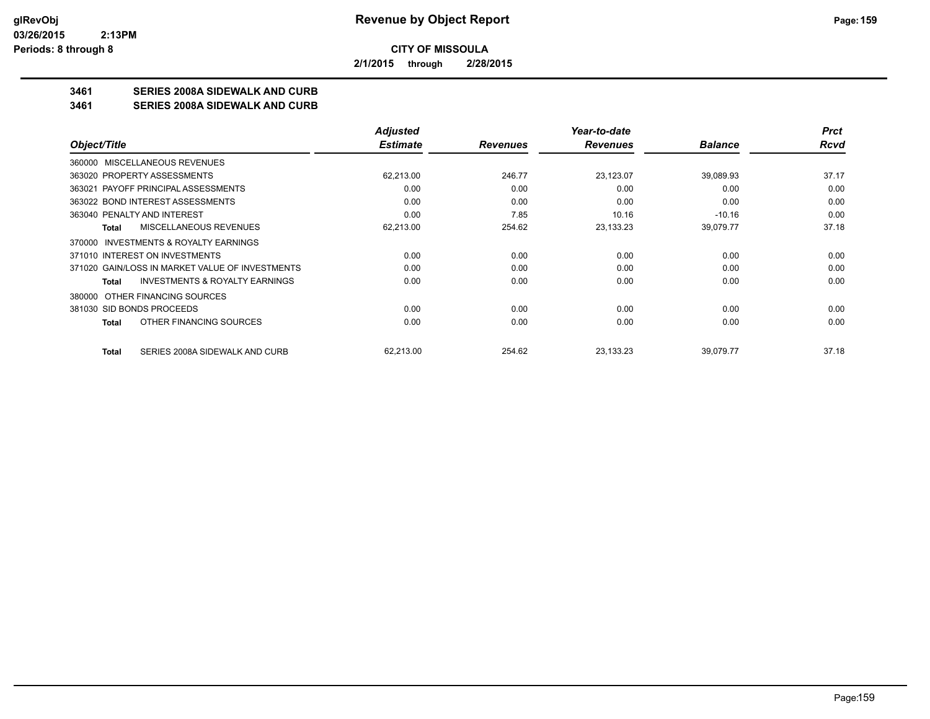**2/1/2015 through 2/28/2015**

## **3461 SERIES 2008A SIDEWALK AND CURB**

#### **3461 SERIES 2008A SIDEWALK AND CURB**

|                                                    | <b>Adjusted</b> |                 | Year-to-date    |                | <b>Prct</b> |
|----------------------------------------------------|-----------------|-----------------|-----------------|----------------|-------------|
| Object/Title                                       | <b>Estimate</b> | <b>Revenues</b> | <b>Revenues</b> | <b>Balance</b> | <b>Rcvd</b> |
| 360000 MISCELLANEOUS REVENUES                      |                 |                 |                 |                |             |
| 363020 PROPERTY ASSESSMENTS                        | 62,213.00       | 246.77          | 23,123.07       | 39,089.93      | 37.17       |
| 363021 PAYOFF PRINCIPAL ASSESSMENTS                | 0.00            | 0.00            | 0.00            | 0.00           | 0.00        |
| 363022 BOND INTEREST ASSESSMENTS                   | 0.00            | 0.00            | 0.00            | 0.00           | 0.00        |
| 363040 PENALTY AND INTEREST                        | 0.00            | 7.85            | 10.16           | $-10.16$       | 0.00        |
| MISCELLANEOUS REVENUES<br><b>Total</b>             | 62,213.00       | 254.62          | 23,133.23       | 39,079.77      | 37.18       |
| 370000 INVESTMENTS & ROYALTY EARNINGS              |                 |                 |                 |                |             |
| 371010 INTEREST ON INVESTMENTS                     | 0.00            | 0.00            | 0.00            | 0.00           | 0.00        |
| 371020 GAIN/LOSS IN MARKET VALUE OF INVESTMENTS    | 0.00            | 0.00            | 0.00            | 0.00           | 0.00        |
| <b>INVESTMENTS &amp; ROYALTY EARNINGS</b><br>Total | 0.00            | 0.00            | 0.00            | 0.00           | 0.00        |
| OTHER FINANCING SOURCES<br>380000                  |                 |                 |                 |                |             |
| 381030 SID BONDS PROCEEDS                          | 0.00            | 0.00            | 0.00            | 0.00           | 0.00        |
| OTHER FINANCING SOURCES<br>Total                   | 0.00            | 0.00            | 0.00            | 0.00           | 0.00        |
| SERIES 2008A SIDEWALK AND CURB<br><b>Total</b>     | 62,213.00       | 254.62          | 23,133.23       | 39,079.77      | 37.18       |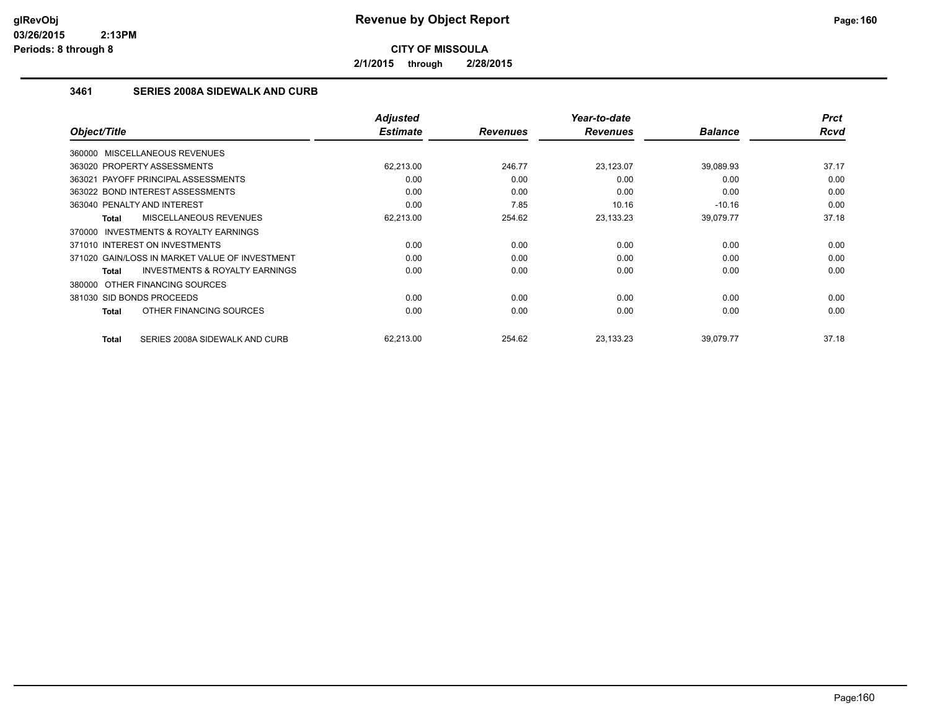**2/1/2015 through 2/28/2015**

## **3461 SERIES 2008A SIDEWALK AND CURB**

|                                                    | <b>Adjusted</b> |                 | Year-to-date    |                | <b>Prct</b> |
|----------------------------------------------------|-----------------|-----------------|-----------------|----------------|-------------|
| Object/Title                                       | <b>Estimate</b> | <b>Revenues</b> | <b>Revenues</b> | <b>Balance</b> | Rcvd        |
| 360000 MISCELLANEOUS REVENUES                      |                 |                 |                 |                |             |
| 363020 PROPERTY ASSESSMENTS                        | 62,213.00       | 246.77          | 23,123.07       | 39,089.93      | 37.17       |
| 363021 PAYOFF PRINCIPAL ASSESSMENTS                | 0.00            | 0.00            | 0.00            | 0.00           | 0.00        |
| 363022 BOND INTEREST ASSESSMENTS                   | 0.00            | 0.00            | 0.00            | 0.00           | 0.00        |
| 363040 PENALTY AND INTEREST                        | 0.00            | 7.85            | 10.16           | $-10.16$       | 0.00        |
| MISCELLANEOUS REVENUES<br>Total                    | 62,213.00       | 254.62          | 23,133.23       | 39,079.77      | 37.18       |
| 370000 INVESTMENTS & ROYALTY EARNINGS              |                 |                 |                 |                |             |
| 371010 INTEREST ON INVESTMENTS                     | 0.00            | 0.00            | 0.00            | 0.00           | 0.00        |
| 371020 GAIN/LOSS IN MARKET VALUE OF INVESTMENT     | 0.00            | 0.00            | 0.00            | 0.00           | 0.00        |
| <b>INVESTMENTS &amp; ROYALTY EARNINGS</b><br>Total | 0.00            | 0.00            | 0.00            | 0.00           | 0.00        |
| 380000 OTHER FINANCING SOURCES                     |                 |                 |                 |                |             |
| 381030 SID BONDS PROCEEDS                          | 0.00            | 0.00            | 0.00            | 0.00           | 0.00        |
| OTHER FINANCING SOURCES<br>Total                   | 0.00            | 0.00            | 0.00            | 0.00           | 0.00        |
| SERIES 2008A SIDEWALK AND CURB<br>Total            | 62.213.00       | 254.62          | 23.133.23       | 39.079.77      | 37.18       |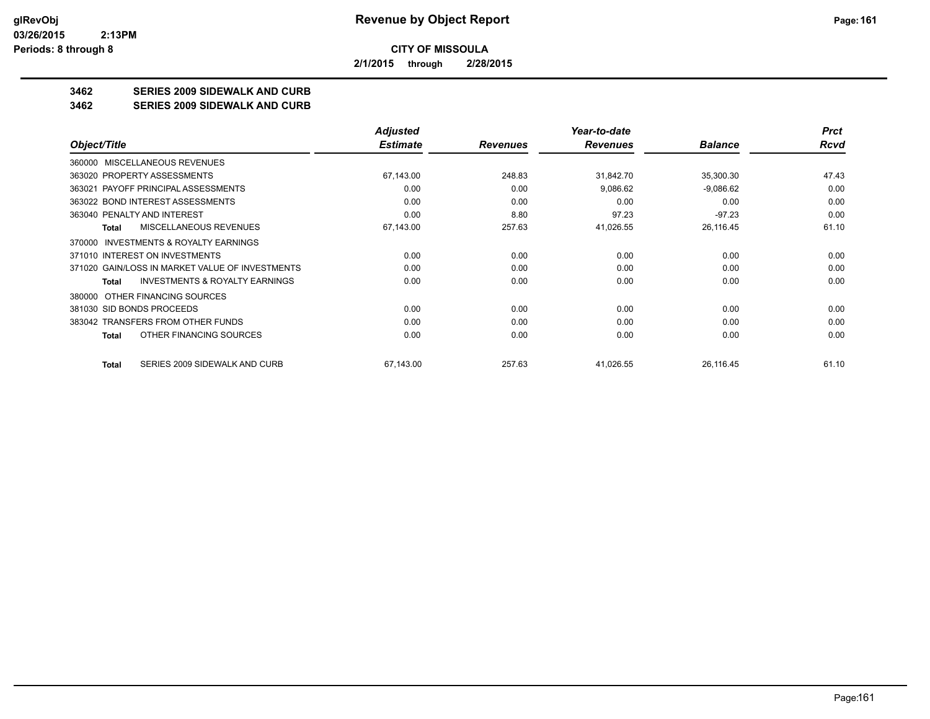**2/1/2015 through 2/28/2015**

# **3462 SERIES 2009 SIDEWALK AND CURB**

#### **3462 SERIES 2009 SIDEWALK AND CURB**

|                                                    | <b>Adjusted</b> |                 | Year-to-date    |                | <b>Prct</b> |
|----------------------------------------------------|-----------------|-----------------|-----------------|----------------|-------------|
| Object/Title                                       | <b>Estimate</b> | <b>Revenues</b> | <b>Revenues</b> | <b>Balance</b> | Rcvd        |
| MISCELLANEOUS REVENUES<br>360000                   |                 |                 |                 |                |             |
| 363020 PROPERTY ASSESSMENTS                        | 67,143.00       | 248.83          | 31,842.70       | 35,300.30      | 47.43       |
| 363021 PAYOFF PRINCIPAL ASSESSMENTS                | 0.00            | 0.00            | 9,086.62        | $-9,086.62$    | 0.00        |
| 363022 BOND INTEREST ASSESSMENTS                   | 0.00            | 0.00            | 0.00            | 0.00           | 0.00        |
| 363040 PENALTY AND INTEREST                        | 0.00            | 8.80            | 97.23           | $-97.23$       | 0.00        |
| MISCELLANEOUS REVENUES<br><b>Total</b>             | 67,143.00       | 257.63          | 41,026.55       | 26,116.45      | 61.10       |
| INVESTMENTS & ROYALTY EARNINGS<br>370000           |                 |                 |                 |                |             |
| 371010 INTEREST ON INVESTMENTS                     | 0.00            | 0.00            | 0.00            | 0.00           | 0.00        |
| 371020 GAIN/LOSS IN MARKET VALUE OF INVESTMENTS    | 0.00            | 0.00            | 0.00            | 0.00           | 0.00        |
| <b>INVESTMENTS &amp; ROYALTY EARNINGS</b><br>Total | 0.00            | 0.00            | 0.00            | 0.00           | 0.00        |
| OTHER FINANCING SOURCES<br>380000                  |                 |                 |                 |                |             |
| 381030 SID BONDS PROCEEDS                          | 0.00            | 0.00            | 0.00            | 0.00           | 0.00        |
| 383042 TRANSFERS FROM OTHER FUNDS                  | 0.00            | 0.00            | 0.00            | 0.00           | 0.00        |
| OTHER FINANCING SOURCES<br>Total                   | 0.00            | 0.00            | 0.00            | 0.00           | 0.00        |
| SERIES 2009 SIDEWALK AND CURB<br>Total             | 67,143.00       | 257.63          | 41,026.55       | 26,116.45      | 61.10       |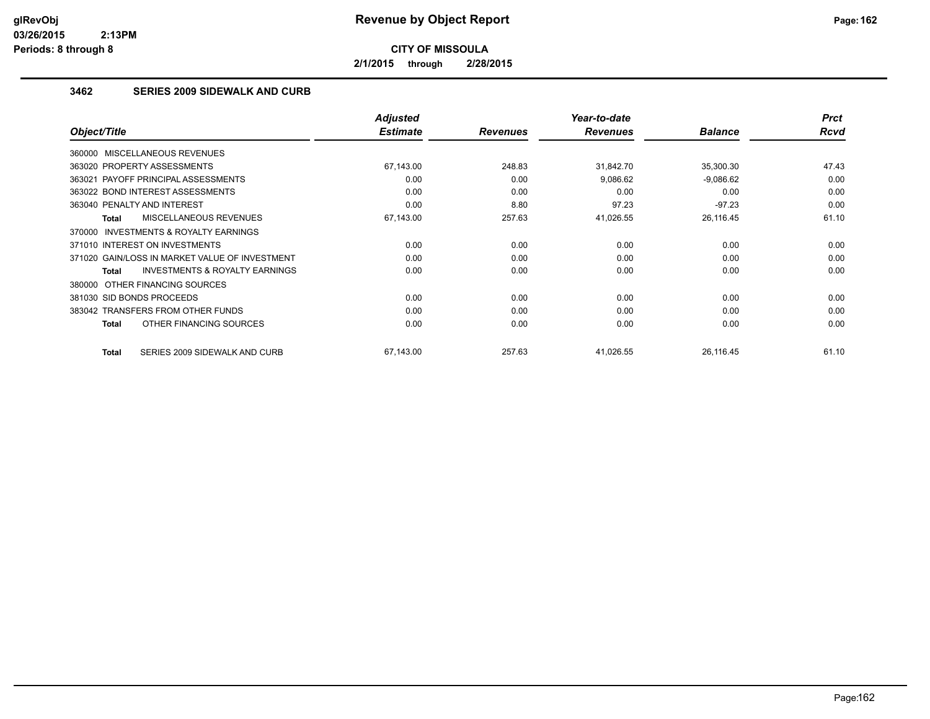**2/1/2015 through 2/28/2015**

## **3462 SERIES 2009 SIDEWALK AND CURB**

|                                                     | <b>Adjusted</b> |                 | Year-to-date    |                | <b>Prct</b> |
|-----------------------------------------------------|-----------------|-----------------|-----------------|----------------|-------------|
| Object/Title                                        | <b>Estimate</b> | <b>Revenues</b> | <b>Revenues</b> | <b>Balance</b> | <b>Rcvd</b> |
| 360000 MISCELLANEOUS REVENUES                       |                 |                 |                 |                |             |
| 363020 PROPERTY ASSESSMENTS                         | 67,143.00       | 248.83          | 31,842.70       | 35,300.30      | 47.43       |
| 363021 PAYOFF PRINCIPAL ASSESSMENTS                 | 0.00            | 0.00            | 9,086.62        | $-9,086.62$    | 0.00        |
| 363022 BOND INTEREST ASSESSMENTS                    | 0.00            | 0.00            | 0.00            | 0.00           | 0.00        |
| 363040 PENALTY AND INTEREST                         | 0.00            | 8.80            | 97.23           | $-97.23$       | 0.00        |
| <b>MISCELLANEOUS REVENUES</b><br>Total              | 67,143.00       | 257.63          | 41,026.55       | 26,116.45      | 61.10       |
| <b>INVESTMENTS &amp; ROYALTY EARNINGS</b><br>370000 |                 |                 |                 |                |             |
| 371010 INTEREST ON INVESTMENTS                      | 0.00            | 0.00            | 0.00            | 0.00           | 0.00        |
| 371020 GAIN/LOSS IN MARKET VALUE OF INVESTMENT      | 0.00            | 0.00            | 0.00            | 0.00           | 0.00        |
| <b>INVESTMENTS &amp; ROYALTY EARNINGS</b><br>Total  | 0.00            | 0.00            | 0.00            | 0.00           | 0.00        |
| 380000 OTHER FINANCING SOURCES                      |                 |                 |                 |                |             |
| 381030 SID BONDS PROCEEDS                           | 0.00            | 0.00            | 0.00            | 0.00           | 0.00        |
| 383042 TRANSFERS FROM OTHER FUNDS                   | 0.00            | 0.00            | 0.00            | 0.00           | 0.00        |
| OTHER FINANCING SOURCES<br>Total                    | 0.00            | 0.00            | 0.00            | 0.00           | 0.00        |
| <b>Total</b><br>SERIES 2009 SIDEWALK AND CURB       | 67,143.00       | 257.63          | 41,026.55       | 26,116.45      | 61.10       |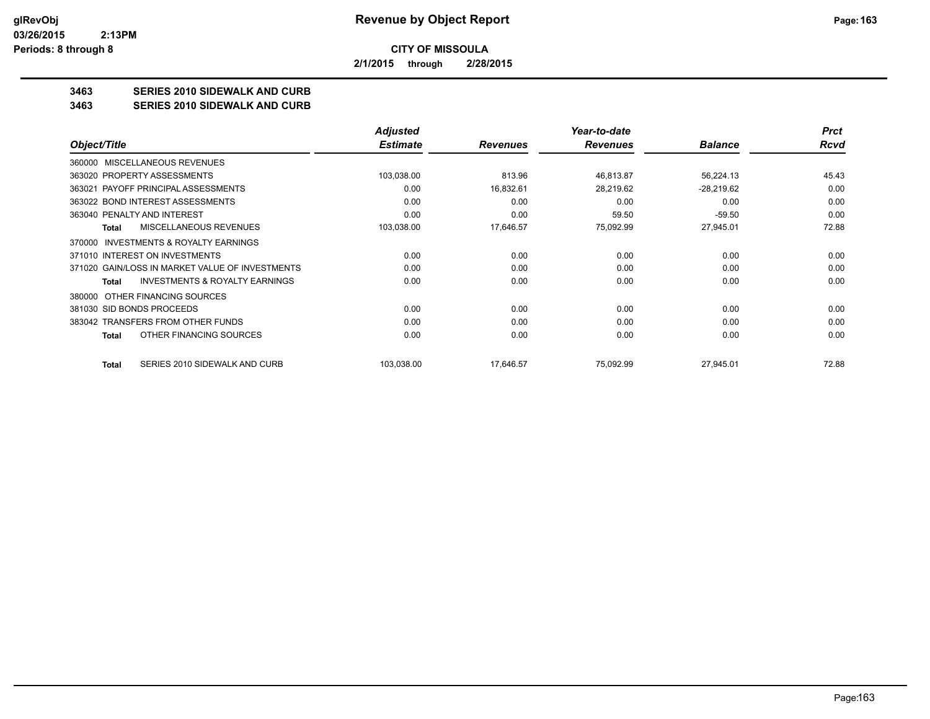**2/1/2015 through 2/28/2015**

## **3463 SERIES 2010 SIDEWALK AND CURB**

**3463 SERIES 2010 SIDEWALK AND CURB**

|                                                           | <b>Adjusted</b> |                 | Year-to-date    |                | <b>Prct</b> |
|-----------------------------------------------------------|-----------------|-----------------|-----------------|----------------|-------------|
| Object/Title                                              | <b>Estimate</b> | <b>Revenues</b> | <b>Revenues</b> | <b>Balance</b> | Rcvd        |
| MISCELLANEOUS REVENUES<br>360000                          |                 |                 |                 |                |             |
| 363020 PROPERTY ASSESSMENTS                               | 103,038.00      | 813.96          | 46,813.87       | 56,224.13      | 45.43       |
| 363021 PAYOFF PRINCIPAL ASSESSMENTS                       | 0.00            | 16,832.61       | 28,219.62       | $-28,219.62$   | 0.00        |
| 363022 BOND INTEREST ASSESSMENTS                          | 0.00            | 0.00            | 0.00            | 0.00           | 0.00        |
| 363040 PENALTY AND INTEREST                               | 0.00            | 0.00            | 59.50           | $-59.50$       | 0.00        |
| MISCELLANEOUS REVENUES<br>Total                           | 103,038.00      | 17,646.57       | 75,092.99       | 27,945.01      | 72.88       |
| <b>INVESTMENTS &amp; ROYALTY EARNINGS</b><br>370000       |                 |                 |                 |                |             |
| 371010 INTEREST ON INVESTMENTS                            | 0.00            | 0.00            | 0.00            | 0.00           | 0.00        |
| 371020 GAIN/LOSS IN MARKET VALUE OF INVESTMENTS           | 0.00            | 0.00            | 0.00            | 0.00           | 0.00        |
| <b>INVESTMENTS &amp; ROYALTY EARNINGS</b><br><b>Total</b> | 0.00            | 0.00            | 0.00            | 0.00           | 0.00        |
| OTHER FINANCING SOURCES<br>380000                         |                 |                 |                 |                |             |
| 381030 SID BONDS PROCEEDS                                 | 0.00            | 0.00            | 0.00            | 0.00           | 0.00        |
| 383042 TRANSFERS FROM OTHER FUNDS                         | 0.00            | 0.00            | 0.00            | 0.00           | 0.00        |
| OTHER FINANCING SOURCES<br>Total                          | 0.00            | 0.00            | 0.00            | 0.00           | 0.00        |
| SERIES 2010 SIDEWALK AND CURB<br>Total                    | 103,038.00      | 17,646.57       | 75,092.99       | 27,945.01      | 72.88       |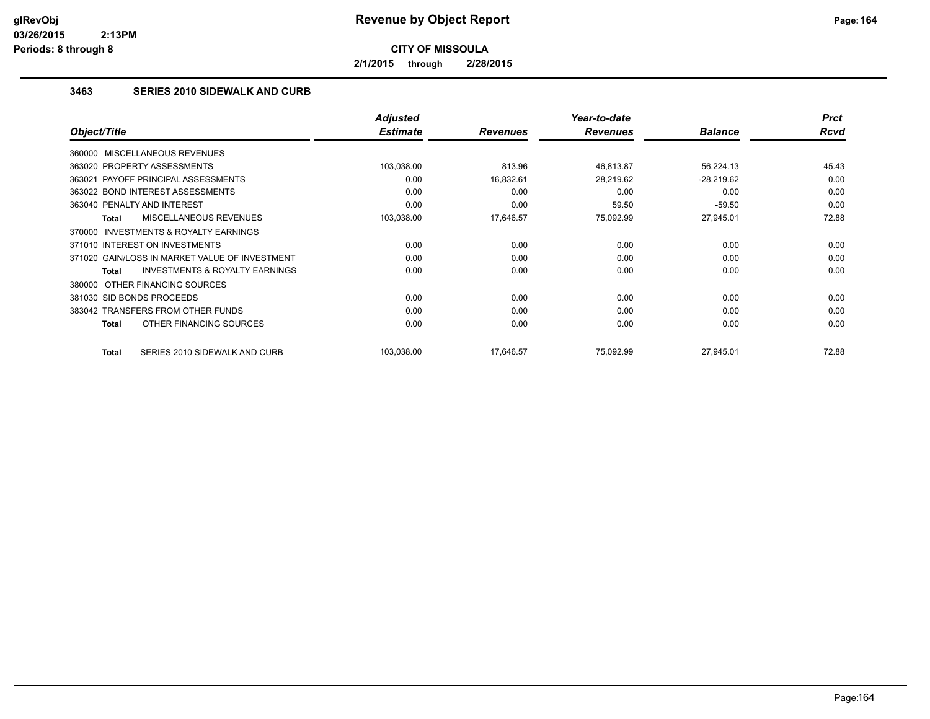**2/1/2015 through 2/28/2015**

## **3463 SERIES 2010 SIDEWALK AND CURB**

|                                                           | <b>Adjusted</b> |                 | Year-to-date    |                | <b>Prct</b> |
|-----------------------------------------------------------|-----------------|-----------------|-----------------|----------------|-------------|
| Object/Title                                              | <b>Estimate</b> | <b>Revenues</b> | <b>Revenues</b> | <b>Balance</b> | Rcvd        |
| MISCELLANEOUS REVENUES<br>360000                          |                 |                 |                 |                |             |
| 363020 PROPERTY ASSESSMENTS                               | 103,038.00      | 813.96          | 46,813.87       | 56,224.13      | 45.43       |
| 363021 PAYOFF PRINCIPAL ASSESSMENTS                       | 0.00            | 16,832.61       | 28,219.62       | $-28,219.62$   | 0.00        |
| 363022 BOND INTEREST ASSESSMENTS                          | 0.00            | 0.00            | 0.00            | 0.00           | 0.00        |
| 363040 PENALTY AND INTEREST                               | 0.00            | 0.00            | 59.50           | $-59.50$       | 0.00        |
| <b>MISCELLANEOUS REVENUES</b><br><b>Total</b>             | 103,038.00      | 17,646.57       | 75,092.99       | 27,945.01      | 72.88       |
| INVESTMENTS & ROYALTY EARNINGS<br>370000                  |                 |                 |                 |                |             |
| 371010 INTEREST ON INVESTMENTS                            | 0.00            | 0.00            | 0.00            | 0.00           | 0.00        |
| 371020 GAIN/LOSS IN MARKET VALUE OF INVESTMENT            | 0.00            | 0.00            | 0.00            | 0.00           | 0.00        |
| <b>INVESTMENTS &amp; ROYALTY EARNINGS</b><br><b>Total</b> | 0.00            | 0.00            | 0.00            | 0.00           | 0.00        |
| OTHER FINANCING SOURCES<br>380000                         |                 |                 |                 |                |             |
| 381030 SID BONDS PROCEEDS                                 | 0.00            | 0.00            | 0.00            | 0.00           | 0.00        |
| 383042 TRANSFERS FROM OTHER FUNDS                         | 0.00            | 0.00            | 0.00            | 0.00           | 0.00        |
| OTHER FINANCING SOURCES<br><b>Total</b>                   | 0.00            | 0.00            | 0.00            | 0.00           | 0.00        |
| SERIES 2010 SIDEWALK AND CURB<br><b>Total</b>             | 103,038.00      | 17.646.57       | 75,092.99       | 27,945.01      | 72.88       |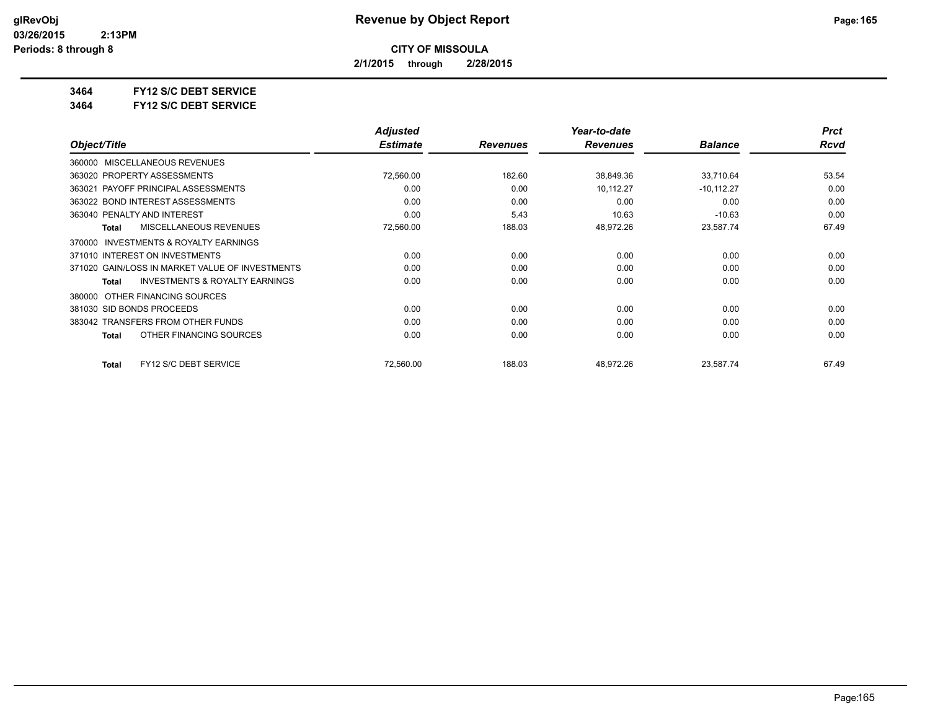**2/1/2015 through 2/28/2015**

**3464 FY12 S/C DEBT SERVICE**

**3464 FY12 S/C DEBT SERVICE**

|                                                    | <b>Adjusted</b> |                 | Year-to-date    |                | <b>Prct</b> |
|----------------------------------------------------|-----------------|-----------------|-----------------|----------------|-------------|
| Object/Title                                       | <b>Estimate</b> | <b>Revenues</b> | <b>Revenues</b> | <b>Balance</b> | <b>Rcvd</b> |
| MISCELLANEOUS REVENUES<br>360000                   |                 |                 |                 |                |             |
| 363020 PROPERTY ASSESSMENTS                        | 72,560.00       | 182.60          | 38,849.36       | 33,710.64      | 53.54       |
| 363021 PAYOFF PRINCIPAL ASSESSMENTS                | 0.00            | 0.00            | 10,112.27       | $-10, 112.27$  | 0.00        |
| 363022 BOND INTEREST ASSESSMENTS                   | 0.00            | 0.00            | 0.00            | 0.00           | 0.00        |
| 363040 PENALTY AND INTEREST                        | 0.00            | 5.43            | 10.63           | $-10.63$       | 0.00        |
| MISCELLANEOUS REVENUES<br>Total                    | 72,560.00       | 188.03          | 48,972.26       | 23,587.74      | 67.49       |
| INVESTMENTS & ROYALTY EARNINGS<br>370000           |                 |                 |                 |                |             |
| 371010 INTEREST ON INVESTMENTS                     | 0.00            | 0.00            | 0.00            | 0.00           | 0.00        |
| 371020 GAIN/LOSS IN MARKET VALUE OF INVESTMENTS    | 0.00            | 0.00            | 0.00            | 0.00           | 0.00        |
| <b>INVESTMENTS &amp; ROYALTY EARNINGS</b><br>Total | 0.00            | 0.00            | 0.00            | 0.00           | 0.00        |
| OTHER FINANCING SOURCES<br>380000                  |                 |                 |                 |                |             |
| 381030 SID BONDS PROCEEDS                          | 0.00            | 0.00            | 0.00            | 0.00           | 0.00        |
| 383042 TRANSFERS FROM OTHER FUNDS                  | 0.00            | 0.00            | 0.00            | 0.00           | 0.00        |
| OTHER FINANCING SOURCES<br>Total                   | 0.00            | 0.00            | 0.00            | 0.00           | 0.00        |
| FY12 S/C DEBT SERVICE<br><b>Total</b>              | 72,560.00       | 188.03          | 48,972.26       | 23,587.74      | 67.49       |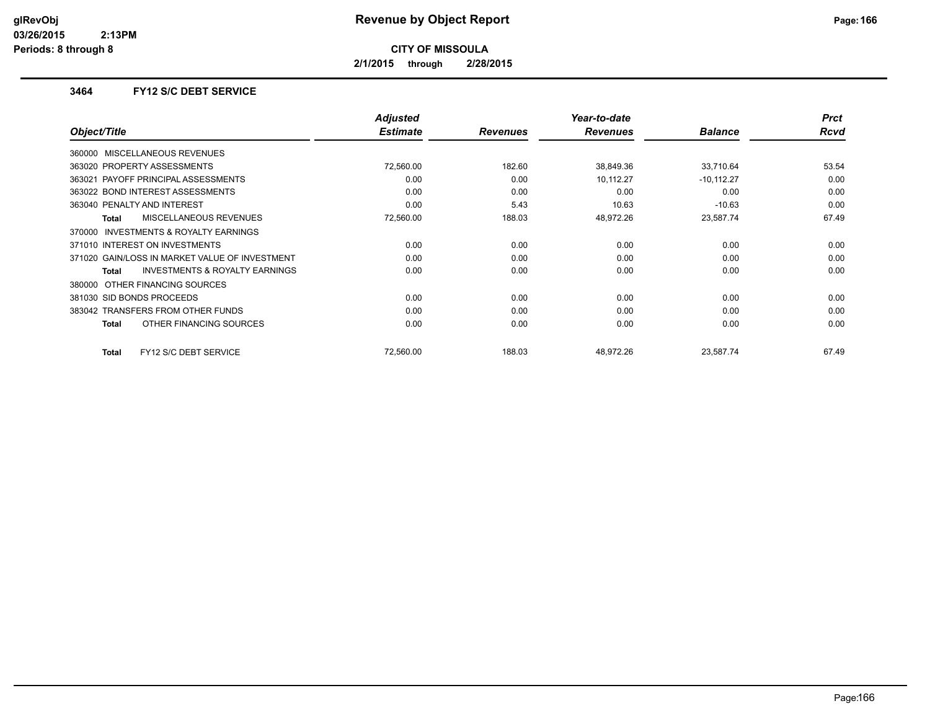**2/1/2015 through 2/28/2015**

### **3464 FY12 S/C DEBT SERVICE**

|                                                           | <b>Adjusted</b> |                 | Year-to-date    |                | <b>Prct</b> |
|-----------------------------------------------------------|-----------------|-----------------|-----------------|----------------|-------------|
| Object/Title                                              | <b>Estimate</b> | <b>Revenues</b> | <b>Revenues</b> | <b>Balance</b> | <b>Rcvd</b> |
| 360000 MISCELLANEOUS REVENUES                             |                 |                 |                 |                |             |
| 363020 PROPERTY ASSESSMENTS                               | 72,560.00       | 182.60          | 38,849.36       | 33,710.64      | 53.54       |
| 363021 PAYOFF PRINCIPAL ASSESSMENTS                       | 0.00            | 0.00            | 10,112.27       | $-10,112.27$   | 0.00        |
| 363022 BOND INTEREST ASSESSMENTS                          | 0.00            | 0.00            | 0.00            | 0.00           | 0.00        |
| 363040 PENALTY AND INTEREST                               | 0.00            | 5.43            | 10.63           | $-10.63$       | 0.00        |
| <b>MISCELLANEOUS REVENUES</b><br><b>Total</b>             | 72,560.00       | 188.03          | 48,972.26       | 23,587.74      | 67.49       |
| INVESTMENTS & ROYALTY EARNINGS<br>370000                  |                 |                 |                 |                |             |
| 371010 INTEREST ON INVESTMENTS                            | 0.00            | 0.00            | 0.00            | 0.00           | 0.00        |
| 371020 GAIN/LOSS IN MARKET VALUE OF INVESTMENT            | 0.00            | 0.00            | 0.00            | 0.00           | 0.00        |
| <b>INVESTMENTS &amp; ROYALTY EARNINGS</b><br><b>Total</b> | 0.00            | 0.00            | 0.00            | 0.00           | 0.00        |
| 380000 OTHER FINANCING SOURCES                            |                 |                 |                 |                |             |
| 381030 SID BONDS PROCEEDS                                 | 0.00            | 0.00            | 0.00            | 0.00           | 0.00        |
| 383042 TRANSFERS FROM OTHER FUNDS                         | 0.00            | 0.00            | 0.00            | 0.00           | 0.00        |
| OTHER FINANCING SOURCES<br>Total                          | 0.00            | 0.00            | 0.00            | 0.00           | 0.00        |
| FY12 S/C DEBT SERVICE<br><b>Total</b>                     | 72,560.00       | 188.03          | 48,972.26       | 23,587.74      | 67.49       |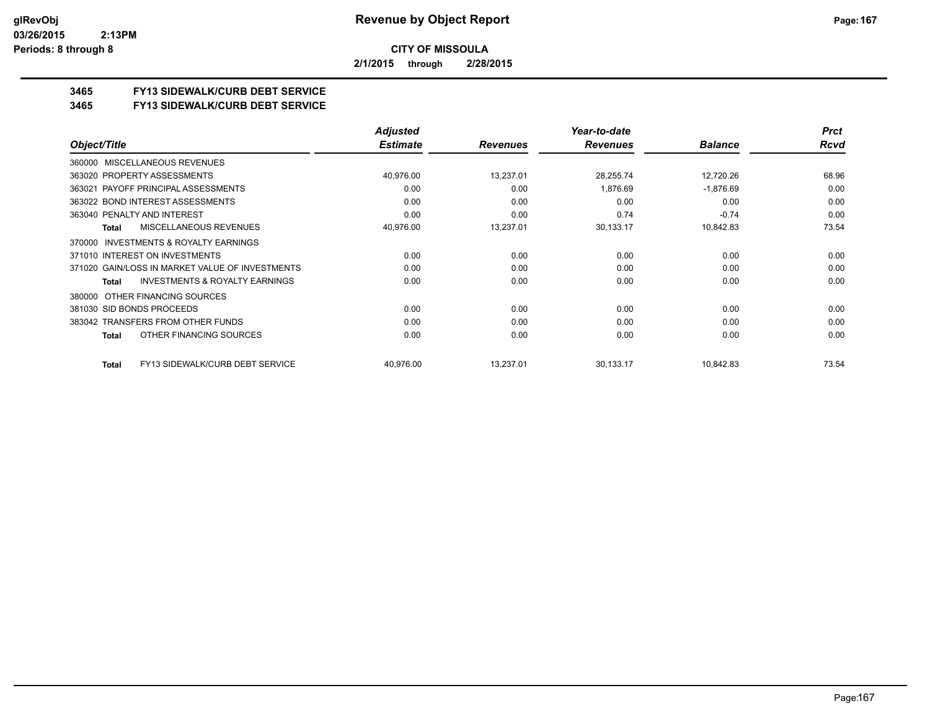**2/1/2015 through 2/28/2015**

## **3465 FY13 SIDEWALK/CURB DEBT SERVICE**

#### **3465 FY13 SIDEWALK/CURB DEBT SERVICE**

|                                                     | <b>Adjusted</b> |                 | Year-to-date    |                | <b>Prct</b> |
|-----------------------------------------------------|-----------------|-----------------|-----------------|----------------|-------------|
| Object/Title                                        | <b>Estimate</b> | <b>Revenues</b> | <b>Revenues</b> | <b>Balance</b> | Rcvd        |
| <b>MISCELLANEOUS REVENUES</b><br>360000             |                 |                 |                 |                |             |
| 363020 PROPERTY ASSESSMENTS                         | 40,976.00       | 13,237.01       | 28,255.74       | 12,720.26      | 68.96       |
| 363021 PAYOFF PRINCIPAL ASSESSMENTS                 | 0.00            | 0.00            | 1.876.69        | $-1,876.69$    | 0.00        |
| 363022 BOND INTEREST ASSESSMENTS                    | 0.00            | 0.00            | 0.00            | 0.00           | 0.00        |
| 363040 PENALTY AND INTEREST                         | 0.00            | 0.00            | 0.74            | $-0.74$        | 0.00        |
| MISCELLANEOUS REVENUES<br>Total                     | 40,976.00       | 13,237.01       | 30,133.17       | 10,842.83      | 73.54       |
| <b>INVESTMENTS &amp; ROYALTY EARNINGS</b><br>370000 |                 |                 |                 |                |             |
| 371010 INTEREST ON INVESTMENTS                      | 0.00            | 0.00            | 0.00            | 0.00           | 0.00        |
| 371020 GAIN/LOSS IN MARKET VALUE OF INVESTMENTS     | 0.00            | 0.00            | 0.00            | 0.00           | 0.00        |
| <b>INVESTMENTS &amp; ROYALTY EARNINGS</b><br>Total  | 0.00            | 0.00            | 0.00            | 0.00           | 0.00        |
| 380000 OTHER FINANCING SOURCES                      |                 |                 |                 |                |             |
| 381030 SID BONDS PROCEEDS                           | 0.00            | 0.00            | 0.00            | 0.00           | 0.00        |
| 383042 TRANSFERS FROM OTHER FUNDS                   | 0.00            | 0.00            | 0.00            | 0.00           | 0.00        |
| OTHER FINANCING SOURCES<br>Total                    | 0.00            | 0.00            | 0.00            | 0.00           | 0.00        |
| FY13 SIDEWALK/CURB DEBT SERVICE<br>Total            | 40,976.00       | 13,237.01       | 30,133.17       | 10,842.83      | 73.54       |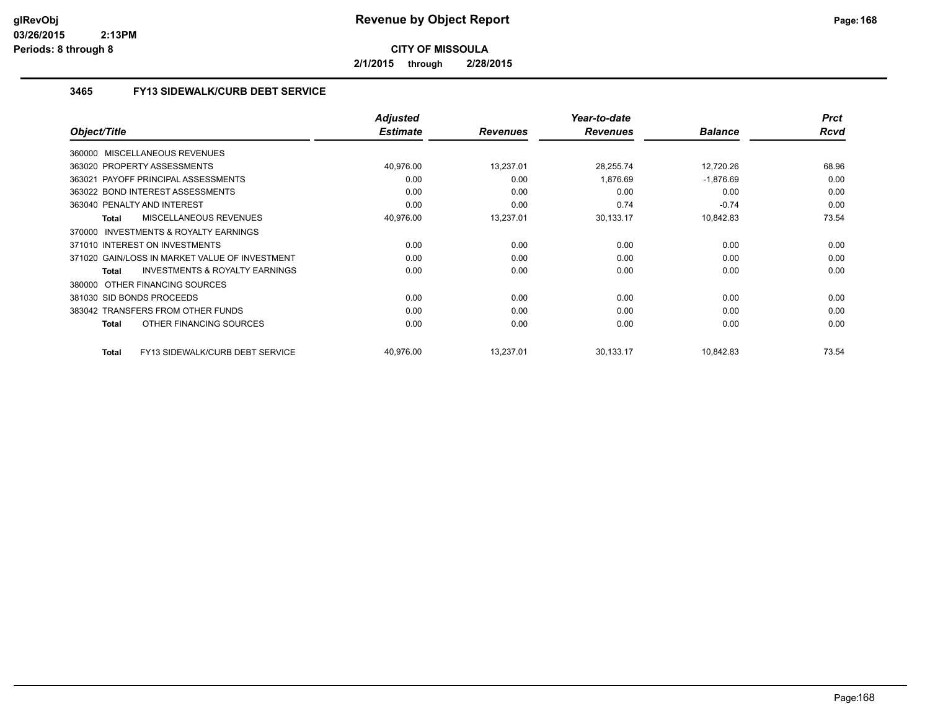**2/1/2015 through 2/28/2015**

## **3465 FY13 SIDEWALK/CURB DEBT SERVICE**

|                                                           | <b>Adjusted</b> |                 | Year-to-date    |                | <b>Prct</b> |
|-----------------------------------------------------------|-----------------|-----------------|-----------------|----------------|-------------|
| Object/Title                                              | <b>Estimate</b> | <b>Revenues</b> | <b>Revenues</b> | <b>Balance</b> | <b>Rcvd</b> |
| 360000 MISCELLANEOUS REVENUES                             |                 |                 |                 |                |             |
| 363020 PROPERTY ASSESSMENTS                               | 40,976.00       | 13,237.01       | 28,255.74       | 12,720.26      | 68.96       |
| 363021 PAYOFF PRINCIPAL ASSESSMENTS                       | 0.00            | 0.00            | 1,876.69        | $-1,876.69$    | 0.00        |
| 363022 BOND INTEREST ASSESSMENTS                          | 0.00            | 0.00            | 0.00            | 0.00           | 0.00        |
| 363040 PENALTY AND INTEREST                               | 0.00            | 0.00            | 0.74            | $-0.74$        | 0.00        |
| MISCELLANEOUS REVENUES<br><b>Total</b>                    | 40,976.00       | 13,237.01       | 30,133.17       | 10,842.83      | 73.54       |
| <b>INVESTMENTS &amp; ROYALTY EARNINGS</b><br>370000       |                 |                 |                 |                |             |
| 371010 INTEREST ON INVESTMENTS                            | 0.00            | 0.00            | 0.00            | 0.00           | 0.00        |
| 371020 GAIN/LOSS IN MARKET VALUE OF INVESTMENT            | 0.00            | 0.00            | 0.00            | 0.00           | 0.00        |
| <b>INVESTMENTS &amp; ROYALTY EARNINGS</b><br><b>Total</b> | 0.00            | 0.00            | 0.00            | 0.00           | 0.00        |
| OTHER FINANCING SOURCES<br>380000                         |                 |                 |                 |                |             |
| 381030 SID BONDS PROCEEDS                                 | 0.00            | 0.00            | 0.00            | 0.00           | 0.00        |
| 383042 TRANSFERS FROM OTHER FUNDS                         | 0.00            | 0.00            | 0.00            | 0.00           | 0.00        |
| OTHER FINANCING SOURCES<br><b>Total</b>                   | 0.00            | 0.00            | 0.00            | 0.00           | 0.00        |
| <b>FY13 SIDEWALK/CURB DEBT SERVICE</b><br>Total           | 40,976.00       | 13,237.01       | 30,133.17       | 10.842.83      | 73.54       |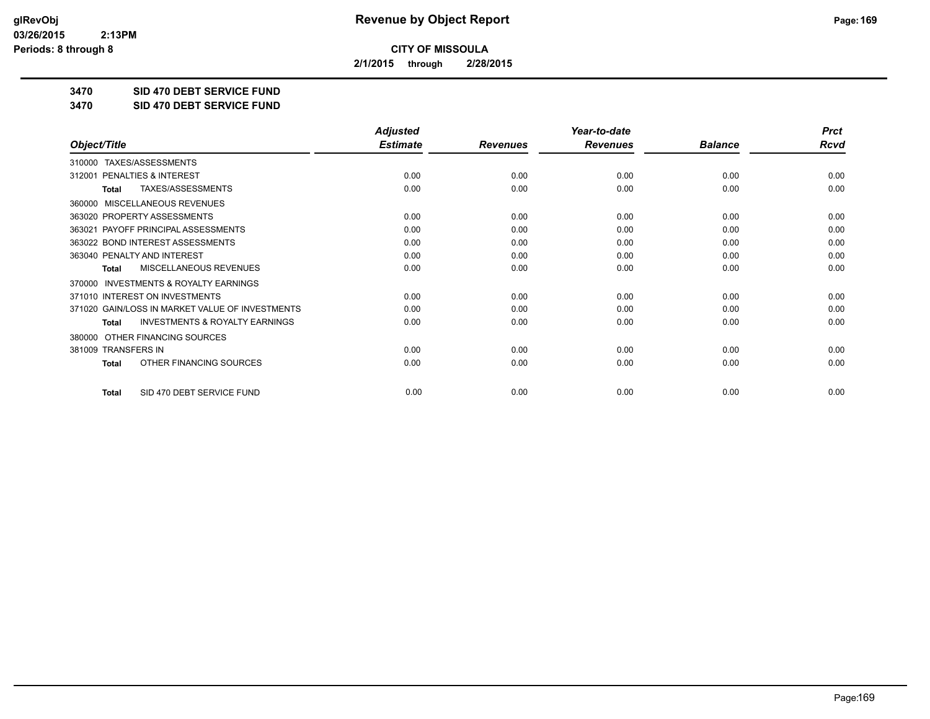**2/1/2015 through 2/28/2015**

**3470 SID 470 DEBT SERVICE FUND**

**3470 SID 470 DEBT SERVICE FUND**

|                                                           | <b>Adjusted</b> |                 | Year-to-date    |                | <b>Prct</b> |
|-----------------------------------------------------------|-----------------|-----------------|-----------------|----------------|-------------|
| Object/Title                                              | <b>Estimate</b> | <b>Revenues</b> | <b>Revenues</b> | <b>Balance</b> | <b>Rcvd</b> |
| TAXES/ASSESSMENTS<br>310000                               |                 |                 |                 |                |             |
| PENALTIES & INTEREST<br>312001                            | 0.00            | 0.00            | 0.00            | 0.00           | 0.00        |
| TAXES/ASSESSMENTS<br><b>Total</b>                         | 0.00            | 0.00            | 0.00            | 0.00           | 0.00        |
| MISCELLANEOUS REVENUES<br>360000                          |                 |                 |                 |                |             |
| 363020 PROPERTY ASSESSMENTS                               | 0.00            | 0.00            | 0.00            | 0.00           | 0.00        |
| 363021 PAYOFF PRINCIPAL ASSESSMENTS                       | 0.00            | 0.00            | 0.00            | 0.00           | 0.00        |
| 363022 BOND INTEREST ASSESSMENTS                          | 0.00            | 0.00            | 0.00            | 0.00           | 0.00        |
| 363040 PENALTY AND INTEREST                               | 0.00            | 0.00            | 0.00            | 0.00           | 0.00        |
| MISCELLANEOUS REVENUES<br><b>Total</b>                    | 0.00            | 0.00            | 0.00            | 0.00           | 0.00        |
| <b>INVESTMENTS &amp; ROYALTY EARNINGS</b><br>370000       |                 |                 |                 |                |             |
| 371010 INTEREST ON INVESTMENTS                            | 0.00            | 0.00            | 0.00            | 0.00           | 0.00        |
| 371020 GAIN/LOSS IN MARKET VALUE OF INVESTMENTS           | 0.00            | 0.00            | 0.00            | 0.00           | 0.00        |
| <b>INVESTMENTS &amp; ROYALTY EARNINGS</b><br><b>Total</b> | 0.00            | 0.00            | 0.00            | 0.00           | 0.00        |
| OTHER FINANCING SOURCES<br>380000                         |                 |                 |                 |                |             |
| 381009 TRANSFERS IN                                       | 0.00            | 0.00            | 0.00            | 0.00           | 0.00        |
| OTHER FINANCING SOURCES<br><b>Total</b>                   | 0.00            | 0.00            | 0.00            | 0.00           | 0.00        |
| SID 470 DEBT SERVICE FUND<br><b>Total</b>                 | 0.00            | 0.00            | 0.00            | 0.00           | 0.00        |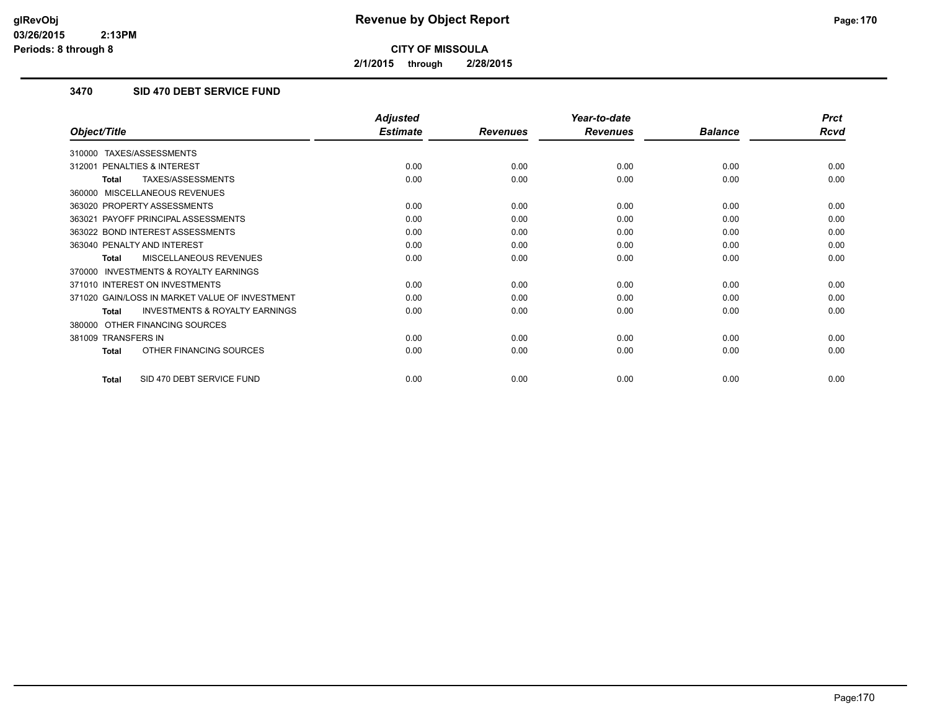**2/1/2015 through 2/28/2015**

## **3470 SID 470 DEBT SERVICE FUND**

|                                                           | <b>Adjusted</b> |                 | Year-to-date    |                | <b>Prct</b> |
|-----------------------------------------------------------|-----------------|-----------------|-----------------|----------------|-------------|
| Object/Title                                              | <b>Estimate</b> | <b>Revenues</b> | <b>Revenues</b> | <b>Balance</b> | <b>Rcvd</b> |
| TAXES/ASSESSMENTS<br>310000                               |                 |                 |                 |                |             |
| PENALTIES & INTEREST<br>312001                            | 0.00            | 0.00            | 0.00            | 0.00           | 0.00        |
| TAXES/ASSESSMENTS<br><b>Total</b>                         | 0.00            | 0.00            | 0.00            | 0.00           | 0.00        |
| MISCELLANEOUS REVENUES<br>360000                          |                 |                 |                 |                |             |
| 363020 PROPERTY ASSESSMENTS                               | 0.00            | 0.00            | 0.00            | 0.00           | 0.00        |
| 363021 PAYOFF PRINCIPAL ASSESSMENTS                       | 0.00            | 0.00            | 0.00            | 0.00           | 0.00        |
| 363022 BOND INTEREST ASSESSMENTS                          | 0.00            | 0.00            | 0.00            | 0.00           | 0.00        |
| 363040 PENALTY AND INTEREST                               | 0.00            | 0.00            | 0.00            | 0.00           | 0.00        |
| <b>MISCELLANEOUS REVENUES</b><br><b>Total</b>             | 0.00            | 0.00            | 0.00            | 0.00           | 0.00        |
| <b>INVESTMENTS &amp; ROYALTY EARNINGS</b><br>370000       |                 |                 |                 |                |             |
| 371010 INTEREST ON INVESTMENTS                            | 0.00            | 0.00            | 0.00            | 0.00           | 0.00        |
| 371020 GAIN/LOSS IN MARKET VALUE OF INVESTMENT            | 0.00            | 0.00            | 0.00            | 0.00           | 0.00        |
| <b>INVESTMENTS &amp; ROYALTY EARNINGS</b><br><b>Total</b> | 0.00            | 0.00            | 0.00            | 0.00           | 0.00        |
| OTHER FINANCING SOURCES<br>380000                         |                 |                 |                 |                |             |
| 381009 TRANSFERS IN                                       | 0.00            | 0.00            | 0.00            | 0.00           | 0.00        |
| OTHER FINANCING SOURCES<br><b>Total</b>                   | 0.00            | 0.00            | 0.00            | 0.00           | 0.00        |
| SID 470 DEBT SERVICE FUND<br><b>Total</b>                 | 0.00            | 0.00            | 0.00            | 0.00           | 0.00        |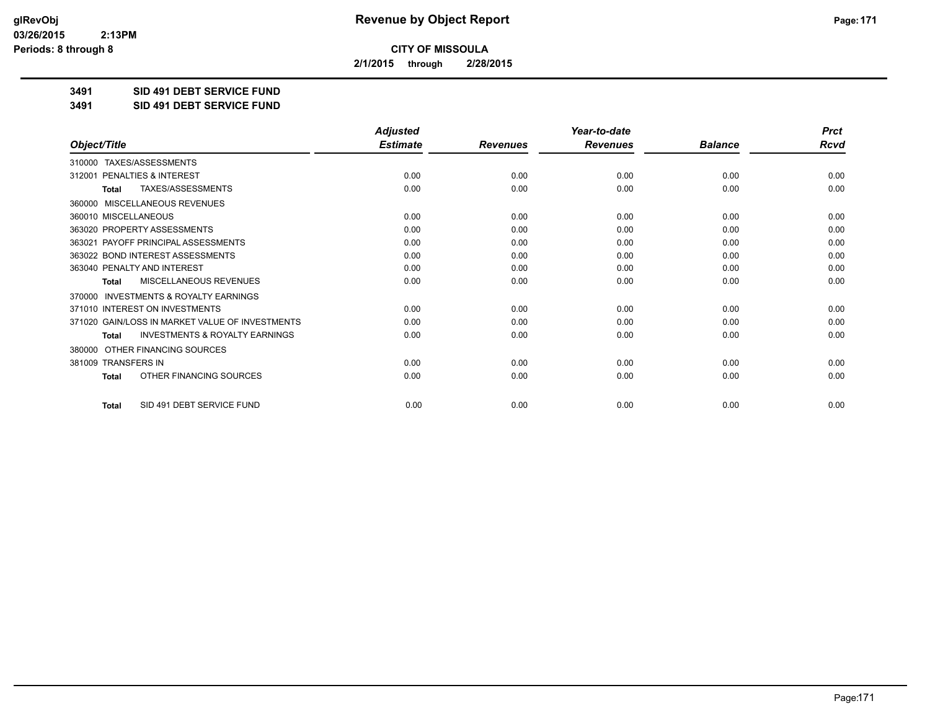**2/1/2015 through 2/28/2015**

**3491 SID 491 DEBT SERVICE FUND**

**3491 SID 491 DEBT SERVICE FUND**

|                                                           | <b>Adjusted</b> |                 | Year-to-date    |                | <b>Prct</b> |
|-----------------------------------------------------------|-----------------|-----------------|-----------------|----------------|-------------|
| Object/Title                                              | <b>Estimate</b> | <b>Revenues</b> | <b>Revenues</b> | <b>Balance</b> | <b>Rcvd</b> |
| 310000 TAXES/ASSESSMENTS                                  |                 |                 |                 |                |             |
| PENALTIES & INTEREST<br>312001                            | 0.00            | 0.00            | 0.00            | 0.00           | 0.00        |
| TAXES/ASSESSMENTS<br><b>Total</b>                         | 0.00            | 0.00            | 0.00            | 0.00           | 0.00        |
| <b>MISCELLANEOUS REVENUES</b><br>360000                   |                 |                 |                 |                |             |
| 360010 MISCELLANEOUS                                      | 0.00            | 0.00            | 0.00            | 0.00           | 0.00        |
| 363020 PROPERTY ASSESSMENTS                               | 0.00            | 0.00            | 0.00            | 0.00           | 0.00        |
| 363021 PAYOFF PRINCIPAL ASSESSMENTS                       | 0.00            | 0.00            | 0.00            | 0.00           | 0.00        |
| 363022 BOND INTEREST ASSESSMENTS                          | 0.00            | 0.00            | 0.00            | 0.00           | 0.00        |
| 363040 PENALTY AND INTEREST                               | 0.00            | 0.00            | 0.00            | 0.00           | 0.00        |
| MISCELLANEOUS REVENUES<br>Total                           | 0.00            | 0.00            | 0.00            | 0.00           | 0.00        |
| <b>INVESTMENTS &amp; ROYALTY EARNINGS</b><br>370000       |                 |                 |                 |                |             |
| 371010 INTEREST ON INVESTMENTS                            | 0.00            | 0.00            | 0.00            | 0.00           | 0.00        |
| 371020 GAIN/LOSS IN MARKET VALUE OF INVESTMENTS           | 0.00            | 0.00            | 0.00            | 0.00           | 0.00        |
| <b>INVESTMENTS &amp; ROYALTY EARNINGS</b><br><b>Total</b> | 0.00            | 0.00            | 0.00            | 0.00           | 0.00        |
| OTHER FINANCING SOURCES<br>380000                         |                 |                 |                 |                |             |
| 381009 TRANSFERS IN                                       | 0.00            | 0.00            | 0.00            | 0.00           | 0.00        |
| OTHER FINANCING SOURCES<br><b>Total</b>                   | 0.00            | 0.00            | 0.00            | 0.00           | 0.00        |
| SID 491 DEBT SERVICE FUND<br><b>Total</b>                 | 0.00            | 0.00            | 0.00            | 0.00           | 0.00        |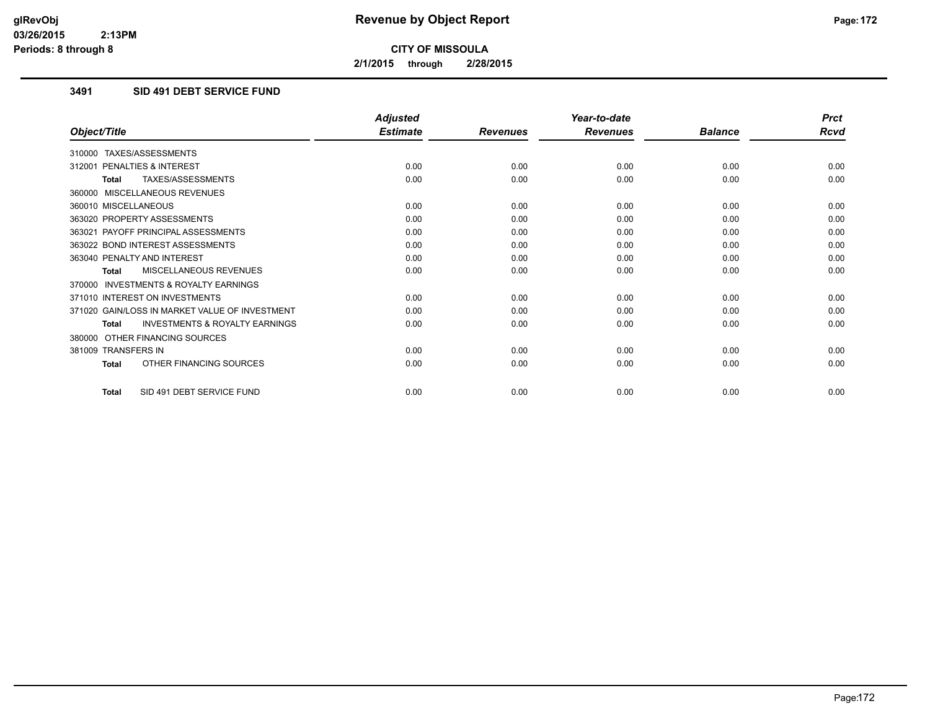**2/1/2015 through 2/28/2015**

## **3491 SID 491 DEBT SERVICE FUND**

|                                                           | <b>Adjusted</b> |                 | Year-to-date    |                | <b>Prct</b> |
|-----------------------------------------------------------|-----------------|-----------------|-----------------|----------------|-------------|
| Object/Title                                              | <b>Estimate</b> | <b>Revenues</b> | <b>Revenues</b> | <b>Balance</b> | <b>Rcvd</b> |
| 310000 TAXES/ASSESSMENTS                                  |                 |                 |                 |                |             |
| PENALTIES & INTEREST<br>312001                            | 0.00            | 0.00            | 0.00            | 0.00           | 0.00        |
| TAXES/ASSESSMENTS<br><b>Total</b>                         | 0.00            | 0.00            | 0.00            | 0.00           | 0.00        |
| 360000 MISCELLANEOUS REVENUES                             |                 |                 |                 |                |             |
| 360010 MISCELLANEOUS                                      | 0.00            | 0.00            | 0.00            | 0.00           | 0.00        |
| 363020 PROPERTY ASSESSMENTS                               | 0.00            | 0.00            | 0.00            | 0.00           | 0.00        |
| 363021 PAYOFF PRINCIPAL ASSESSMENTS                       | 0.00            | 0.00            | 0.00            | 0.00           | 0.00        |
| 363022 BOND INTEREST ASSESSMENTS                          | 0.00            | 0.00            | 0.00            | 0.00           | 0.00        |
| 363040 PENALTY AND INTEREST                               | 0.00            | 0.00            | 0.00            | 0.00           | 0.00        |
| MISCELLANEOUS REVENUES<br><b>Total</b>                    | 0.00            | 0.00            | 0.00            | 0.00           | 0.00        |
| <b>INVESTMENTS &amp; ROYALTY EARNINGS</b><br>370000       |                 |                 |                 |                |             |
| 371010 INTEREST ON INVESTMENTS                            | 0.00            | 0.00            | 0.00            | 0.00           | 0.00        |
| 371020 GAIN/LOSS IN MARKET VALUE OF INVESTMENT            | 0.00            | 0.00            | 0.00            | 0.00           | 0.00        |
| <b>INVESTMENTS &amp; ROYALTY EARNINGS</b><br><b>Total</b> | 0.00            | 0.00            | 0.00            | 0.00           | 0.00        |
| OTHER FINANCING SOURCES<br>380000                         |                 |                 |                 |                |             |
| 381009 TRANSFERS IN                                       | 0.00            | 0.00            | 0.00            | 0.00           | 0.00        |
| OTHER FINANCING SOURCES<br><b>Total</b>                   | 0.00            | 0.00            | 0.00            | 0.00           | 0.00        |
| SID 491 DEBT SERVICE FUND<br><b>Total</b>                 | 0.00            | 0.00            | 0.00            | 0.00           | 0.00        |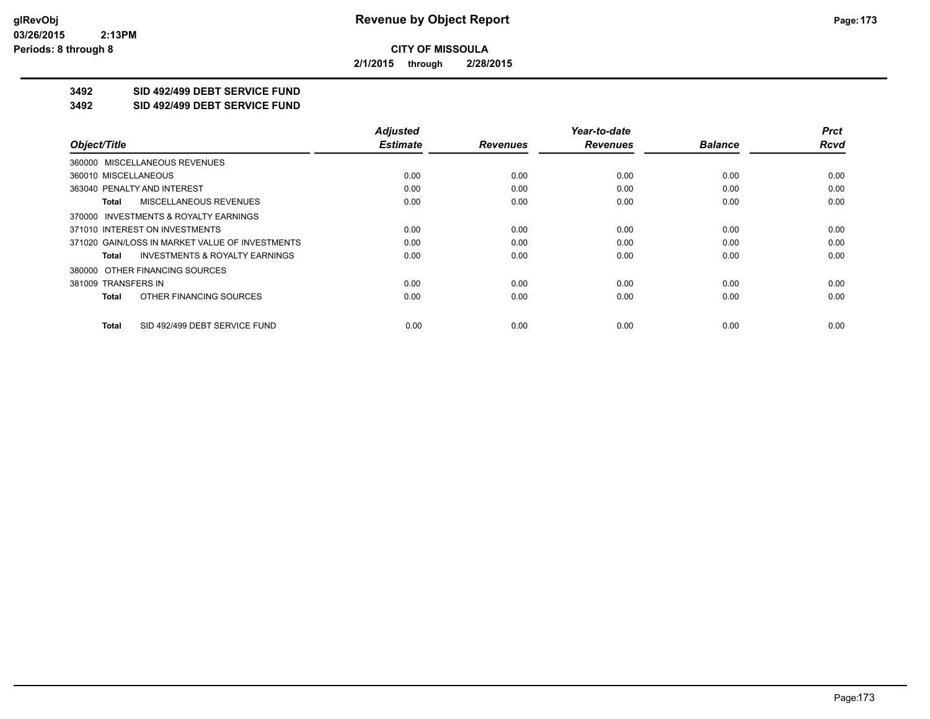**2/1/2015 through 2/28/2015**

## **3492 SID 492/499 DEBT SERVICE FUND**

**3492 SID 492/499 DEBT SERVICE FUND**

|                                                    | <b>Adjusted</b> |                 | Year-to-date    |                | <b>Prct</b> |
|----------------------------------------------------|-----------------|-----------------|-----------------|----------------|-------------|
| Object/Title                                       | <b>Estimate</b> | <b>Revenues</b> | <b>Revenues</b> | <b>Balance</b> | <b>Rcvd</b> |
| 360000 MISCELLANEOUS REVENUES                      |                 |                 |                 |                |             |
| 360010 MISCELLANEOUS                               | 0.00            | 0.00            | 0.00            | 0.00           | 0.00        |
| 363040 PENALTY AND INTEREST                        | 0.00            | 0.00            | 0.00            | 0.00           | 0.00        |
| <b>MISCELLANEOUS REVENUES</b><br>Total             | 0.00            | 0.00            | 0.00            | 0.00           | 0.00        |
| 370000 INVESTMENTS & ROYALTY EARNINGS              |                 |                 |                 |                |             |
| 371010 INTEREST ON INVESTMENTS                     | 0.00            | 0.00            | 0.00            | 0.00           | 0.00        |
| 371020 GAIN/LOSS IN MARKET VALUE OF INVESTMENTS    | 0.00            | 0.00            | 0.00            | 0.00           | 0.00        |
| <b>INVESTMENTS &amp; ROYALTY EARNINGS</b><br>Total | 0.00            | 0.00            | 0.00            | 0.00           | 0.00        |
| 380000 OTHER FINANCING SOURCES                     |                 |                 |                 |                |             |
| 381009 TRANSFERS IN                                | 0.00            | 0.00            | 0.00            | 0.00           | 0.00        |
| OTHER FINANCING SOURCES<br>Total                   | 0.00            | 0.00            | 0.00            | 0.00           | 0.00        |
| SID 492/499 DEBT SERVICE FUND<br>Total             | 0.00            | 0.00            | 0.00            | 0.00           | 0.00        |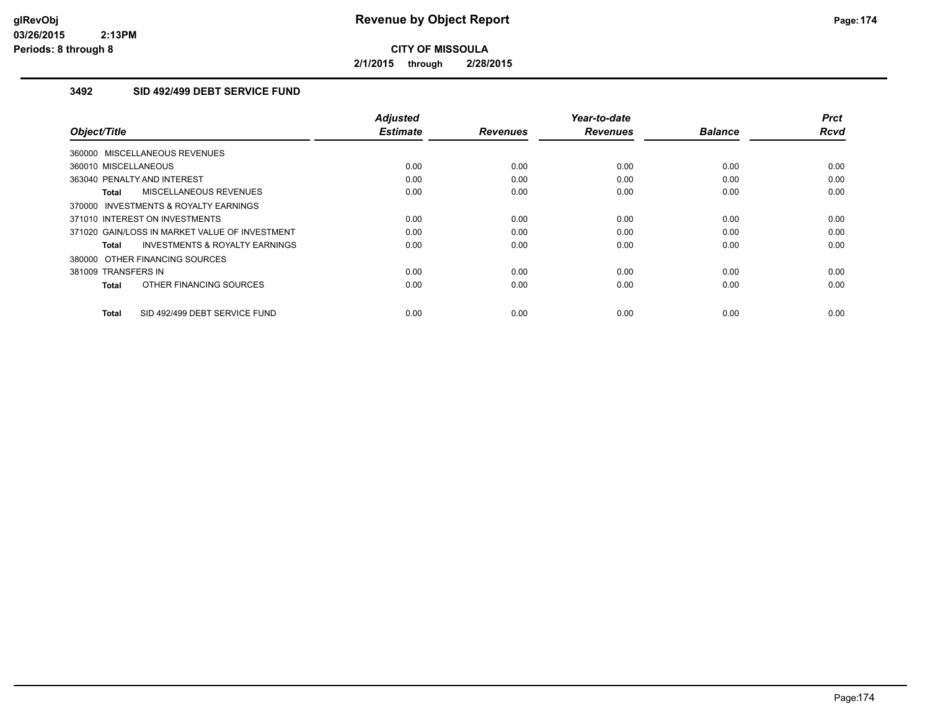**2/1/2015 through 2/28/2015**

## **3492 SID 492/499 DEBT SERVICE FUND**

| Object/Title                                   | <b>Adjusted</b><br><b>Estimate</b> | <b>Revenues</b> | Year-to-date<br><b>Revenues</b> | <b>Balance</b> | <b>Prct</b><br><b>Rcvd</b> |
|------------------------------------------------|------------------------------------|-----------------|---------------------------------|----------------|----------------------------|
| 360000 MISCELLANEOUS REVENUES                  |                                    |                 |                                 |                |                            |
| 360010 MISCELLANEOUS                           | 0.00                               | 0.00            | 0.00                            | 0.00           | 0.00                       |
| 363040 PENALTY AND INTEREST                    | 0.00                               | 0.00            | 0.00                            | 0.00           | 0.00                       |
| <b>MISCELLANEOUS REVENUES</b><br>Total         | 0.00                               | 0.00            | 0.00                            | 0.00           | 0.00                       |
| 370000 INVESTMENTS & ROYALTY EARNINGS          |                                    |                 |                                 |                |                            |
| 371010 INTEREST ON INVESTMENTS                 | 0.00                               | 0.00            | 0.00                            | 0.00           | 0.00                       |
| 371020 GAIN/LOSS IN MARKET VALUE OF INVESTMENT | 0.00                               | 0.00            | 0.00                            | 0.00           | 0.00                       |
| INVESTMENTS & ROYALTY EARNINGS<br><b>Total</b> | 0.00                               | 0.00            | 0.00                            | 0.00           | 0.00                       |
| 380000 OTHER FINANCING SOURCES                 |                                    |                 |                                 |                |                            |
| 381009 TRANSFERS IN                            | 0.00                               | 0.00            | 0.00                            | 0.00           | 0.00                       |
| OTHER FINANCING SOURCES<br><b>Total</b>        | 0.00                               | 0.00            | 0.00                            | 0.00           | 0.00                       |
| SID 492/499 DEBT SERVICE FUND<br><b>Total</b>  | 0.00                               | 0.00            | 0.00                            | 0.00           | 0.00                       |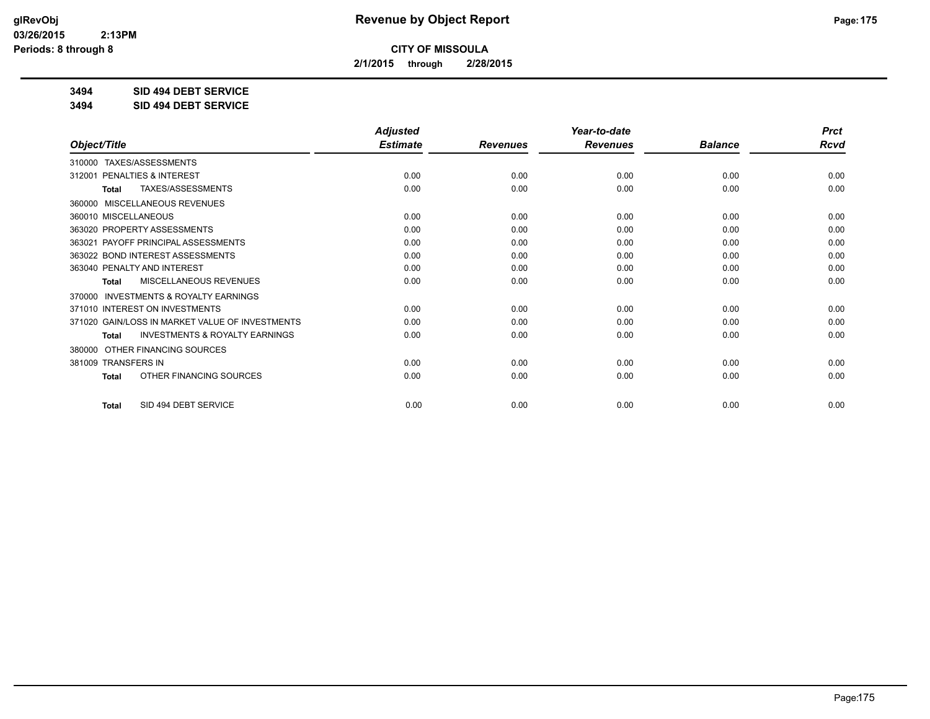**2/1/2015 through 2/28/2015**

**3494 SID 494 DEBT SERVICE**

**3494 SID 494 DEBT SERVICE**

|                                                     | <b>Adjusted</b> |                 | Year-to-date    |                | <b>Prct</b> |
|-----------------------------------------------------|-----------------|-----------------|-----------------|----------------|-------------|
| Object/Title                                        | <b>Estimate</b> | <b>Revenues</b> | <b>Revenues</b> | <b>Balance</b> | <b>Rcvd</b> |
| 310000 TAXES/ASSESSMENTS                            |                 |                 |                 |                |             |
| PENALTIES & INTEREST<br>312001                      | 0.00            | 0.00            | 0.00            | 0.00           | 0.00        |
| <b>TAXES/ASSESSMENTS</b><br><b>Total</b>            | 0.00            | 0.00            | 0.00            | 0.00           | 0.00        |
| MISCELLANEOUS REVENUES<br>360000                    |                 |                 |                 |                |             |
| 360010 MISCELLANEOUS                                | 0.00            | 0.00            | 0.00            | 0.00           | 0.00        |
| 363020 PROPERTY ASSESSMENTS                         | 0.00            | 0.00            | 0.00            | 0.00           | 0.00        |
| 363021 PAYOFF PRINCIPAL ASSESSMENTS                 | 0.00            | 0.00            | 0.00            | 0.00           | 0.00        |
| 363022 BOND INTEREST ASSESSMENTS                    | 0.00            | 0.00            | 0.00            | 0.00           | 0.00        |
| 363040 PENALTY AND INTEREST                         | 0.00            | 0.00            | 0.00            | 0.00           | 0.00        |
| MISCELLANEOUS REVENUES<br>Total                     | 0.00            | 0.00            | 0.00            | 0.00           | 0.00        |
| <b>INVESTMENTS &amp; ROYALTY EARNINGS</b><br>370000 |                 |                 |                 |                |             |
| 371010 INTEREST ON INVESTMENTS                      | 0.00            | 0.00            | 0.00            | 0.00           | 0.00        |
| 371020 GAIN/LOSS IN MARKET VALUE OF INVESTMENTS     | 0.00            | 0.00            | 0.00            | 0.00           | 0.00        |
| <b>INVESTMENTS &amp; ROYALTY EARNINGS</b><br>Total  | 0.00            | 0.00            | 0.00            | 0.00           | 0.00        |
| OTHER FINANCING SOURCES<br>380000                   |                 |                 |                 |                |             |
| 381009 TRANSFERS IN                                 | 0.00            | 0.00            | 0.00            | 0.00           | 0.00        |
| OTHER FINANCING SOURCES<br><b>Total</b>             | 0.00            | 0.00            | 0.00            | 0.00           | 0.00        |
| SID 494 DEBT SERVICE<br><b>Total</b>                | 0.00            | 0.00            | 0.00            | 0.00           | 0.00        |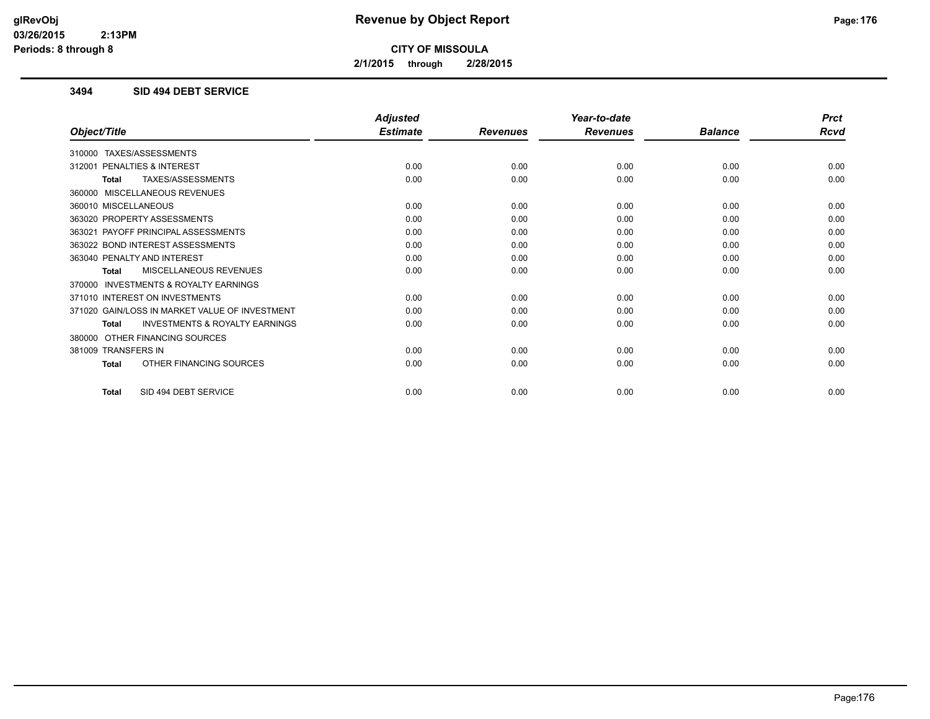**2/1/2015 through 2/28/2015**

### **3494 SID 494 DEBT SERVICE**

|                                                           | <b>Adjusted</b> |                 | Year-to-date    |                | <b>Prct</b> |
|-----------------------------------------------------------|-----------------|-----------------|-----------------|----------------|-------------|
| Object/Title                                              | <b>Estimate</b> | <b>Revenues</b> | <b>Revenues</b> | <b>Balance</b> | <b>Rcvd</b> |
| 310000 TAXES/ASSESSMENTS                                  |                 |                 |                 |                |             |
| PENALTIES & INTEREST<br>312001                            | 0.00            | 0.00            | 0.00            | 0.00           | 0.00        |
| TAXES/ASSESSMENTS<br><b>Total</b>                         | 0.00            | 0.00            | 0.00            | 0.00           | 0.00        |
| 360000 MISCELLANEOUS REVENUES                             |                 |                 |                 |                |             |
| 360010 MISCELLANEOUS                                      | 0.00            | 0.00            | 0.00            | 0.00           | 0.00        |
| 363020 PROPERTY ASSESSMENTS                               | 0.00            | 0.00            | 0.00            | 0.00           | 0.00        |
| 363021 PAYOFF PRINCIPAL ASSESSMENTS                       | 0.00            | 0.00            | 0.00            | 0.00           | 0.00        |
| 363022 BOND INTEREST ASSESSMENTS                          | 0.00            | 0.00            | 0.00            | 0.00           | 0.00        |
| 363040 PENALTY AND INTEREST                               | 0.00            | 0.00            | 0.00            | 0.00           | 0.00        |
| MISCELLANEOUS REVENUES<br><b>Total</b>                    | 0.00            | 0.00            | 0.00            | 0.00           | 0.00        |
| 370000 INVESTMENTS & ROYALTY EARNINGS                     |                 |                 |                 |                |             |
| 371010 INTEREST ON INVESTMENTS                            | 0.00            | 0.00            | 0.00            | 0.00           | 0.00        |
| 371020 GAIN/LOSS IN MARKET VALUE OF INVESTMENT            | 0.00            | 0.00            | 0.00            | 0.00           | 0.00        |
| <b>INVESTMENTS &amp; ROYALTY EARNINGS</b><br><b>Total</b> | 0.00            | 0.00            | 0.00            | 0.00           | 0.00        |
| OTHER FINANCING SOURCES<br>380000                         |                 |                 |                 |                |             |
| 381009 TRANSFERS IN                                       | 0.00            | 0.00            | 0.00            | 0.00           | 0.00        |
| OTHER FINANCING SOURCES<br><b>Total</b>                   | 0.00            | 0.00            | 0.00            | 0.00           | 0.00        |
| SID 494 DEBT SERVICE<br><b>Total</b>                      | 0.00            | 0.00            | 0.00            | 0.00           | 0.00        |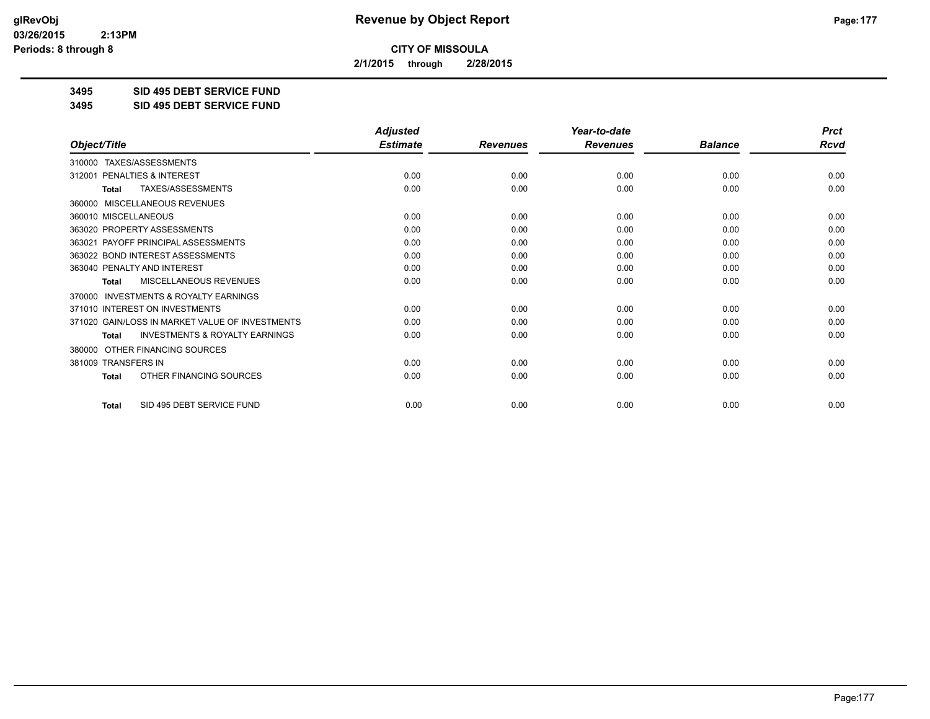**2/1/2015 through 2/28/2015**

**3495 SID 495 DEBT SERVICE FUND**

**3495 SID 495 DEBT SERVICE FUND**

|                                                           | <b>Adjusted</b> |                 | Year-to-date    |                | <b>Prct</b> |
|-----------------------------------------------------------|-----------------|-----------------|-----------------|----------------|-------------|
| Object/Title                                              | <b>Estimate</b> | <b>Revenues</b> | <b>Revenues</b> | <b>Balance</b> | <b>Rcvd</b> |
| TAXES/ASSESSMENTS<br>310000                               |                 |                 |                 |                |             |
| 312001 PENALTIES & INTEREST                               | 0.00            | 0.00            | 0.00            | 0.00           | 0.00        |
| TAXES/ASSESSMENTS<br><b>Total</b>                         | 0.00            | 0.00            | 0.00            | 0.00           | 0.00        |
| MISCELLANEOUS REVENUES<br>360000                          |                 |                 |                 |                |             |
| 360010 MISCELLANEOUS                                      | 0.00            | 0.00            | 0.00            | 0.00           | 0.00        |
| 363020 PROPERTY ASSESSMENTS                               | 0.00            | 0.00            | 0.00            | 0.00           | 0.00        |
| 363021 PAYOFF PRINCIPAL ASSESSMENTS                       | 0.00            | 0.00            | 0.00            | 0.00           | 0.00        |
| 363022 BOND INTEREST ASSESSMENTS                          | 0.00            | 0.00            | 0.00            | 0.00           | 0.00        |
| 363040 PENALTY AND INTEREST                               | 0.00            | 0.00            | 0.00            | 0.00           | 0.00        |
| <b>MISCELLANEOUS REVENUES</b><br><b>Total</b>             | 0.00            | 0.00            | 0.00            | 0.00           | 0.00        |
| <b>INVESTMENTS &amp; ROYALTY EARNINGS</b><br>370000       |                 |                 |                 |                |             |
| 371010 INTEREST ON INVESTMENTS                            | 0.00            | 0.00            | 0.00            | 0.00           | 0.00        |
| 371020 GAIN/LOSS IN MARKET VALUE OF INVESTMENTS           | 0.00            | 0.00            | 0.00            | 0.00           | 0.00        |
| <b>INVESTMENTS &amp; ROYALTY EARNINGS</b><br><b>Total</b> | 0.00            | 0.00            | 0.00            | 0.00           | 0.00        |
| OTHER FINANCING SOURCES<br>380000                         |                 |                 |                 |                |             |
| 381009 TRANSFERS IN                                       | 0.00            | 0.00            | 0.00            | 0.00           | 0.00        |
| OTHER FINANCING SOURCES<br><b>Total</b>                   | 0.00            | 0.00            | 0.00            | 0.00           | 0.00        |
| SID 495 DEBT SERVICE FUND<br><b>Total</b>                 | 0.00            | 0.00            | 0.00            | 0.00           | 0.00        |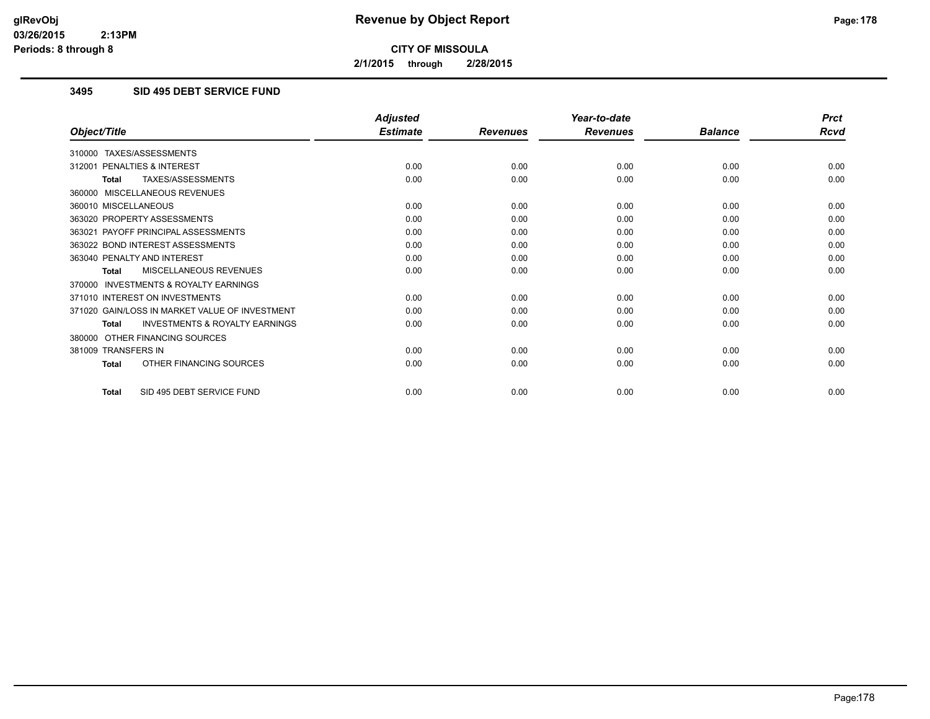**2/1/2015 through 2/28/2015**

## **3495 SID 495 DEBT SERVICE FUND**

|                                                           | <b>Adjusted</b> |                 | Year-to-date    |                | <b>Prct</b> |
|-----------------------------------------------------------|-----------------|-----------------|-----------------|----------------|-------------|
| Object/Title                                              | <b>Estimate</b> | <b>Revenues</b> | <b>Revenues</b> | <b>Balance</b> | <b>Rcvd</b> |
| 310000 TAXES/ASSESSMENTS                                  |                 |                 |                 |                |             |
| PENALTIES & INTEREST<br>312001                            | 0.00            | 0.00            | 0.00            | 0.00           | 0.00        |
| TAXES/ASSESSMENTS<br><b>Total</b>                         | 0.00            | 0.00            | 0.00            | 0.00           | 0.00        |
| 360000 MISCELLANEOUS REVENUES                             |                 |                 |                 |                |             |
| 360010 MISCELLANEOUS                                      | 0.00            | 0.00            | 0.00            | 0.00           | 0.00        |
| 363020 PROPERTY ASSESSMENTS                               | 0.00            | 0.00            | 0.00            | 0.00           | 0.00        |
| 363021 PAYOFF PRINCIPAL ASSESSMENTS                       | 0.00            | 0.00            | 0.00            | 0.00           | 0.00        |
| 363022 BOND INTEREST ASSESSMENTS                          | 0.00            | 0.00            | 0.00            | 0.00           | 0.00        |
| 363040 PENALTY AND INTEREST                               | 0.00            | 0.00            | 0.00            | 0.00           | 0.00        |
| MISCELLANEOUS REVENUES<br><b>Total</b>                    | 0.00            | 0.00            | 0.00            | 0.00           | 0.00        |
| <b>INVESTMENTS &amp; ROYALTY EARNINGS</b><br>370000       |                 |                 |                 |                |             |
| 371010 INTEREST ON INVESTMENTS                            | 0.00            | 0.00            | 0.00            | 0.00           | 0.00        |
| 371020 GAIN/LOSS IN MARKET VALUE OF INVESTMENT            | 0.00            | 0.00            | 0.00            | 0.00           | 0.00        |
| <b>INVESTMENTS &amp; ROYALTY EARNINGS</b><br><b>Total</b> | 0.00            | 0.00            | 0.00            | 0.00           | 0.00        |
| OTHER FINANCING SOURCES<br>380000                         |                 |                 |                 |                |             |
| 381009 TRANSFERS IN                                       | 0.00            | 0.00            | 0.00            | 0.00           | 0.00        |
| OTHER FINANCING SOURCES<br><b>Total</b>                   | 0.00            | 0.00            | 0.00            | 0.00           | 0.00        |
| SID 495 DEBT SERVICE FUND<br><b>Total</b>                 | 0.00            | 0.00            | 0.00            | 0.00           | 0.00        |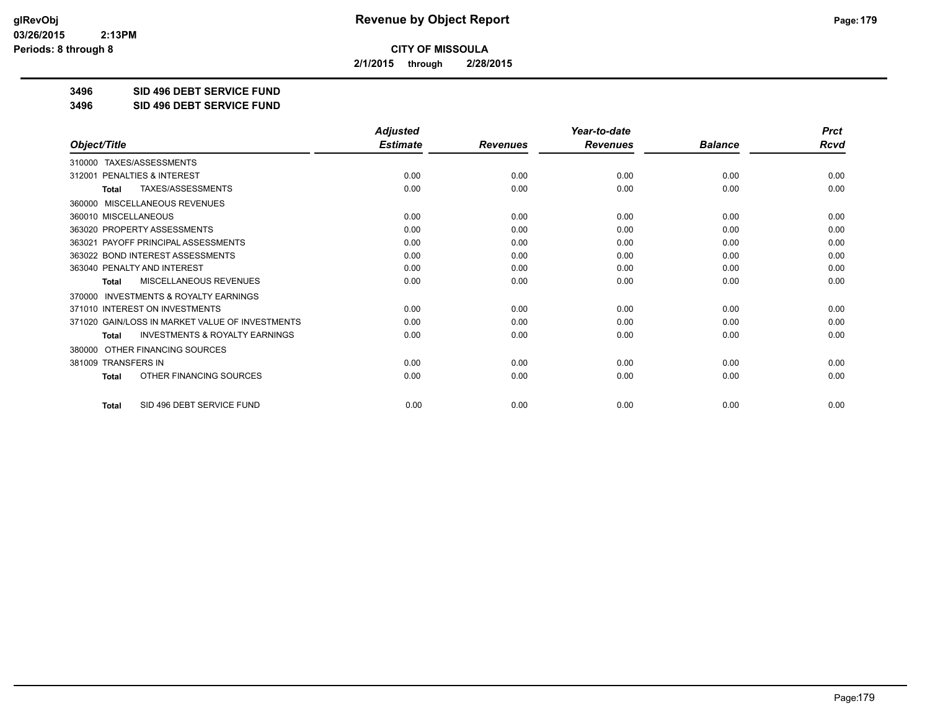**2/1/2015 through 2/28/2015**

**3496 SID 496 DEBT SERVICE FUND**

**3496 SID 496 DEBT SERVICE FUND**

|                                                           | <b>Adjusted</b> |                 | Year-to-date    |                | <b>Prct</b> |
|-----------------------------------------------------------|-----------------|-----------------|-----------------|----------------|-------------|
| Object/Title                                              | <b>Estimate</b> | <b>Revenues</b> | <b>Revenues</b> | <b>Balance</b> | <b>Rcvd</b> |
| TAXES/ASSESSMENTS<br>310000                               |                 |                 |                 |                |             |
| 312001 PENALTIES & INTEREST                               | 0.00            | 0.00            | 0.00            | 0.00           | 0.00        |
| TAXES/ASSESSMENTS<br><b>Total</b>                         | 0.00            | 0.00            | 0.00            | 0.00           | 0.00        |
| MISCELLANEOUS REVENUES<br>360000                          |                 |                 |                 |                |             |
| 360010 MISCELLANEOUS                                      | 0.00            | 0.00            | 0.00            | 0.00           | 0.00        |
| 363020 PROPERTY ASSESSMENTS                               | 0.00            | 0.00            | 0.00            | 0.00           | 0.00        |
| 363021 PAYOFF PRINCIPAL ASSESSMENTS                       | 0.00            | 0.00            | 0.00            | 0.00           | 0.00        |
| 363022 BOND INTEREST ASSESSMENTS                          | 0.00            | 0.00            | 0.00            | 0.00           | 0.00        |
| 363040 PENALTY AND INTEREST                               | 0.00            | 0.00            | 0.00            | 0.00           | 0.00        |
| <b>MISCELLANEOUS REVENUES</b><br><b>Total</b>             | 0.00            | 0.00            | 0.00            | 0.00           | 0.00        |
| <b>INVESTMENTS &amp; ROYALTY EARNINGS</b><br>370000       |                 |                 |                 |                |             |
| 371010 INTEREST ON INVESTMENTS                            | 0.00            | 0.00            | 0.00            | 0.00           | 0.00        |
| 371020 GAIN/LOSS IN MARKET VALUE OF INVESTMENTS           | 0.00            | 0.00            | 0.00            | 0.00           | 0.00        |
| <b>INVESTMENTS &amp; ROYALTY EARNINGS</b><br><b>Total</b> | 0.00            | 0.00            | 0.00            | 0.00           | 0.00        |
| OTHER FINANCING SOURCES<br>380000                         |                 |                 |                 |                |             |
| 381009 TRANSFERS IN                                       | 0.00            | 0.00            | 0.00            | 0.00           | 0.00        |
| OTHER FINANCING SOURCES<br><b>Total</b>                   | 0.00            | 0.00            | 0.00            | 0.00           | 0.00        |
| SID 496 DEBT SERVICE FUND<br><b>Total</b>                 | 0.00            | 0.00            | 0.00            | 0.00           | 0.00        |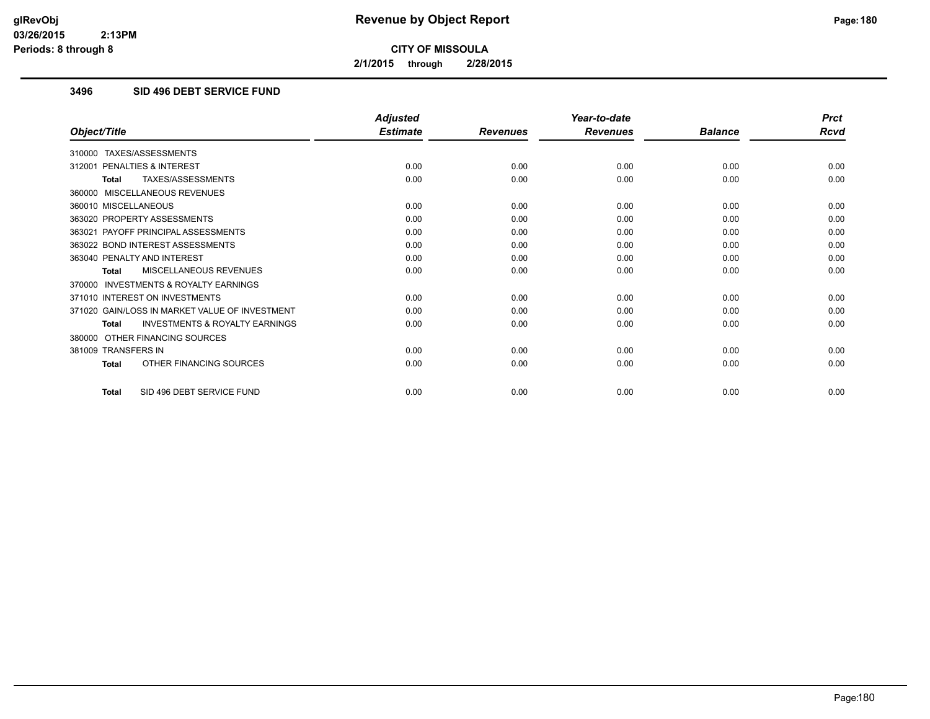**2/1/2015 through 2/28/2015**

## **3496 SID 496 DEBT SERVICE FUND**

|                                                           | <b>Adjusted</b> |                 | Year-to-date    |                | <b>Prct</b> |
|-----------------------------------------------------------|-----------------|-----------------|-----------------|----------------|-------------|
| Object/Title                                              | <b>Estimate</b> | <b>Revenues</b> | <b>Revenues</b> | <b>Balance</b> | <b>Rcvd</b> |
| 310000 TAXES/ASSESSMENTS                                  |                 |                 |                 |                |             |
| PENALTIES & INTEREST<br>312001                            | 0.00            | 0.00            | 0.00            | 0.00           | 0.00        |
| TAXES/ASSESSMENTS<br><b>Total</b>                         | 0.00            | 0.00            | 0.00            | 0.00           | 0.00        |
| 360000 MISCELLANEOUS REVENUES                             |                 |                 |                 |                |             |
| 360010 MISCELLANEOUS                                      | 0.00            | 0.00            | 0.00            | 0.00           | 0.00        |
| 363020 PROPERTY ASSESSMENTS                               | 0.00            | 0.00            | 0.00            | 0.00           | 0.00        |
| 363021 PAYOFF PRINCIPAL ASSESSMENTS                       | 0.00            | 0.00            | 0.00            | 0.00           | 0.00        |
| 363022 BOND INTEREST ASSESSMENTS                          | 0.00            | 0.00            | 0.00            | 0.00           | 0.00        |
| 363040 PENALTY AND INTEREST                               | 0.00            | 0.00            | 0.00            | 0.00           | 0.00        |
| MISCELLANEOUS REVENUES<br><b>Total</b>                    | 0.00            | 0.00            | 0.00            | 0.00           | 0.00        |
| <b>INVESTMENTS &amp; ROYALTY EARNINGS</b><br>370000       |                 |                 |                 |                |             |
| 371010 INTEREST ON INVESTMENTS                            | 0.00            | 0.00            | 0.00            | 0.00           | 0.00        |
| 371020 GAIN/LOSS IN MARKET VALUE OF INVESTMENT            | 0.00            | 0.00            | 0.00            | 0.00           | 0.00        |
| <b>INVESTMENTS &amp; ROYALTY EARNINGS</b><br><b>Total</b> | 0.00            | 0.00            | 0.00            | 0.00           | 0.00        |
| 380000 OTHER FINANCING SOURCES                            |                 |                 |                 |                |             |
| 381009 TRANSFERS IN                                       | 0.00            | 0.00            | 0.00            | 0.00           | 0.00        |
| OTHER FINANCING SOURCES<br><b>Total</b>                   | 0.00            | 0.00            | 0.00            | 0.00           | 0.00        |
| SID 496 DEBT SERVICE FUND<br><b>Total</b>                 | 0.00            | 0.00            | 0.00            | 0.00           | 0.00        |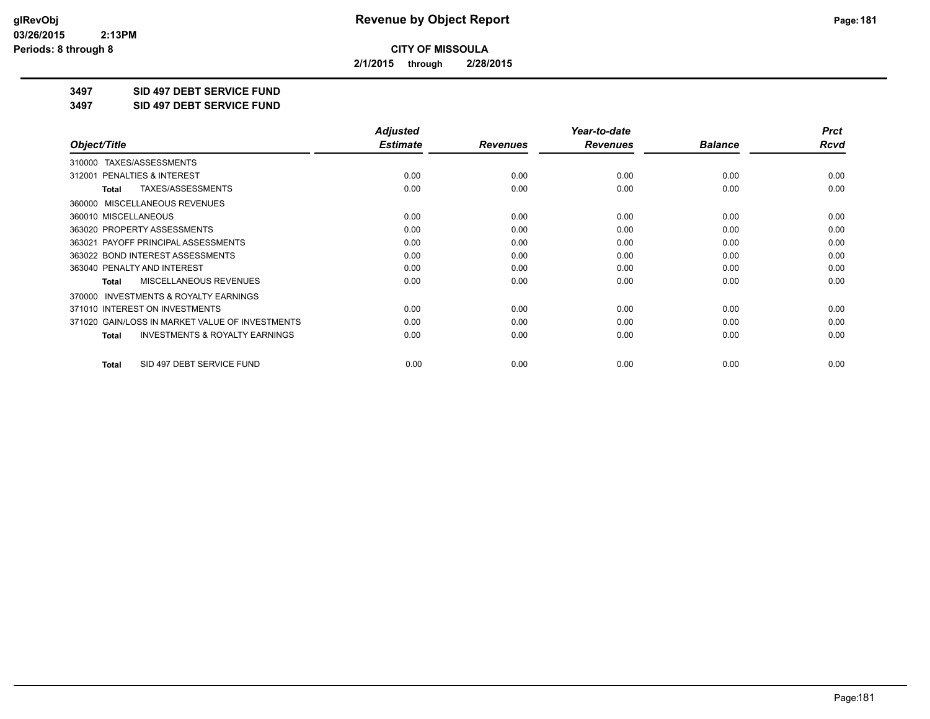**2/1/2015 through 2/28/2015**

**3497 SID 497 DEBT SERVICE FUND**

**3497 SID 497 DEBT SERVICE FUND**

|                                                           | <b>Adjusted</b> |                 | Year-to-date    |                | <b>Prct</b> |
|-----------------------------------------------------------|-----------------|-----------------|-----------------|----------------|-------------|
| Object/Title                                              | <b>Estimate</b> | <b>Revenues</b> | <b>Revenues</b> | <b>Balance</b> | Rcvd        |
| TAXES/ASSESSMENTS<br>310000                               |                 |                 |                 |                |             |
| 312001 PENALTIES & INTEREST                               | 0.00            | 0.00            | 0.00            | 0.00           | 0.00        |
| TAXES/ASSESSMENTS<br>Total                                | 0.00            | 0.00            | 0.00            | 0.00           | 0.00        |
| MISCELLANEOUS REVENUES<br>360000                          |                 |                 |                 |                |             |
| 360010 MISCELLANEOUS                                      | 0.00            | 0.00            | 0.00            | 0.00           | 0.00        |
| 363020 PROPERTY ASSESSMENTS                               | 0.00            | 0.00            | 0.00            | 0.00           | 0.00        |
| 363021 PAYOFF PRINCIPAL ASSESSMENTS                       | 0.00            | 0.00            | 0.00            | 0.00           | 0.00        |
| 363022 BOND INTEREST ASSESSMENTS                          | 0.00            | 0.00            | 0.00            | 0.00           | 0.00        |
| 363040 PENALTY AND INTEREST                               | 0.00            | 0.00            | 0.00            | 0.00           | 0.00        |
| <b>MISCELLANEOUS REVENUES</b><br>Total                    | 0.00            | 0.00            | 0.00            | 0.00           | 0.00        |
| <b>INVESTMENTS &amp; ROYALTY EARNINGS</b><br>370000       |                 |                 |                 |                |             |
| 371010 INTEREST ON INVESTMENTS                            | 0.00            | 0.00            | 0.00            | 0.00           | 0.00        |
| 371020 GAIN/LOSS IN MARKET VALUE OF INVESTMENTS           | 0.00            | 0.00            | 0.00            | 0.00           | 0.00        |
| <b>INVESTMENTS &amp; ROYALTY EARNINGS</b><br><b>Total</b> | 0.00            | 0.00            | 0.00            | 0.00           | 0.00        |
| SID 497 DEBT SERVICE FUND<br><b>Total</b>                 | 0.00            | 0.00            | 0.00            | 0.00           | 0.00        |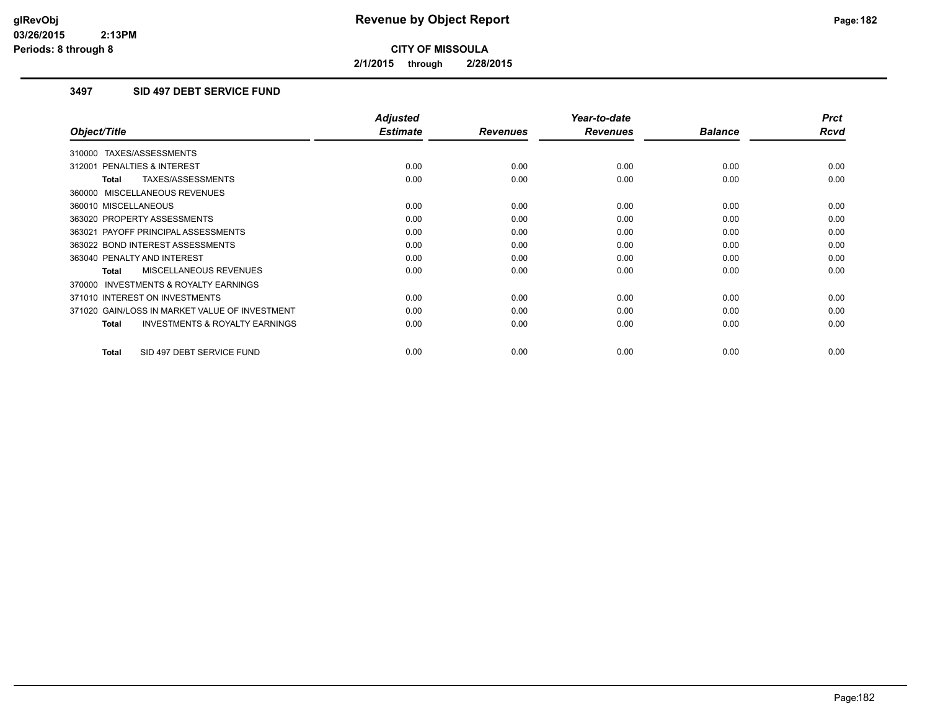**2/1/2015 through 2/28/2015**

# **3497 SID 497 DEBT SERVICE FUND**

|                                                           | <b>Adjusted</b> |                 | Year-to-date    |                | <b>Prct</b> |
|-----------------------------------------------------------|-----------------|-----------------|-----------------|----------------|-------------|
| Object/Title                                              | <b>Estimate</b> | <b>Revenues</b> | <b>Revenues</b> | <b>Balance</b> | <b>Rcvd</b> |
| 310000 TAXES/ASSESSMENTS                                  |                 |                 |                 |                |             |
| 312001 PENALTIES & INTEREST                               | 0.00            | 0.00            | 0.00            | 0.00           | 0.00        |
| TAXES/ASSESSMENTS<br><b>Total</b>                         | 0.00            | 0.00            | 0.00            | 0.00           | 0.00        |
| 360000 MISCELLANEOUS REVENUES                             |                 |                 |                 |                |             |
| 360010 MISCELLANEOUS                                      | 0.00            | 0.00            | 0.00            | 0.00           | 0.00        |
| 363020 PROPERTY ASSESSMENTS                               | 0.00            | 0.00            | 0.00            | 0.00           | 0.00        |
| 363021 PAYOFF PRINCIPAL ASSESSMENTS                       | 0.00            | 0.00            | 0.00            | 0.00           | 0.00        |
| 363022 BOND INTEREST ASSESSMENTS                          | 0.00            | 0.00            | 0.00            | 0.00           | 0.00        |
| 363040 PENALTY AND INTEREST                               | 0.00            | 0.00            | 0.00            | 0.00           | 0.00        |
| MISCELLANEOUS REVENUES<br><b>Total</b>                    | 0.00            | 0.00            | 0.00            | 0.00           | 0.00        |
| <b>INVESTMENTS &amp; ROYALTY EARNINGS</b><br>370000       |                 |                 |                 |                |             |
| 371010 INTEREST ON INVESTMENTS                            | 0.00            | 0.00            | 0.00            | 0.00           | 0.00        |
| 371020 GAIN/LOSS IN MARKET VALUE OF INVESTMENT            | 0.00            | 0.00            | 0.00            | 0.00           | 0.00        |
| <b>INVESTMENTS &amp; ROYALTY EARNINGS</b><br><b>Total</b> | 0.00            | 0.00            | 0.00            | 0.00           | 0.00        |
| SID 497 DEBT SERVICE FUND<br><b>Total</b>                 | 0.00            | 0.00            | 0.00            | 0.00           | 0.00        |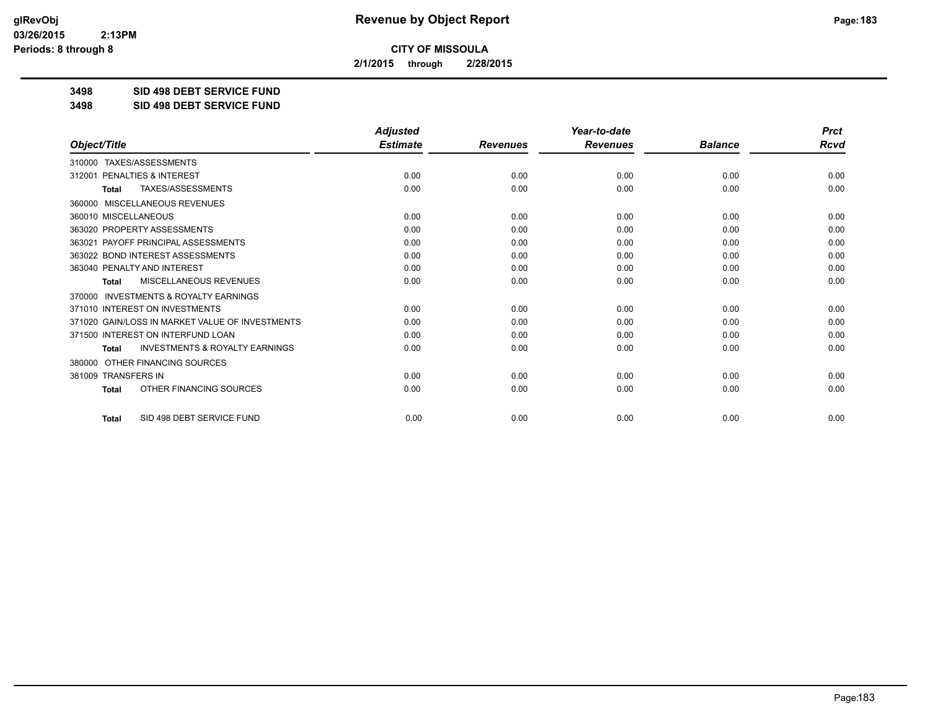**2/1/2015 through 2/28/2015**

**3498 SID 498 DEBT SERVICE FUND**

**3498 SID 498 DEBT SERVICE FUND**

|                                                           | <b>Adjusted</b> |                 | Year-to-date    |                |      |
|-----------------------------------------------------------|-----------------|-----------------|-----------------|----------------|------|
| Object/Title                                              | <b>Estimate</b> | <b>Revenues</b> | <b>Revenues</b> | <b>Balance</b> | Rcvd |
| TAXES/ASSESSMENTS<br>310000                               |                 |                 |                 |                |      |
| 312001 PENALTIES & INTEREST                               | 0.00            | 0.00            | 0.00            | 0.00           | 0.00 |
| <b>TAXES/ASSESSMENTS</b><br><b>Total</b>                  | 0.00            | 0.00            | 0.00            | 0.00           | 0.00 |
| MISCELLANEOUS REVENUES<br>360000                          |                 |                 |                 |                |      |
| 360010 MISCELLANEOUS                                      | 0.00            | 0.00            | 0.00            | 0.00           | 0.00 |
| 363020 PROPERTY ASSESSMENTS                               | 0.00            | 0.00            | 0.00            | 0.00           | 0.00 |
| 363021 PAYOFF PRINCIPAL ASSESSMENTS                       | 0.00            | 0.00            | 0.00            | 0.00           | 0.00 |
| 363022 BOND INTEREST ASSESSMENTS                          | 0.00            | 0.00            | 0.00            | 0.00           | 0.00 |
| 363040 PENALTY AND INTEREST                               | 0.00            | 0.00            | 0.00            | 0.00           | 0.00 |
| MISCELLANEOUS REVENUES<br><b>Total</b>                    | 0.00            | 0.00            | 0.00            | 0.00           | 0.00 |
| 370000 INVESTMENTS & ROYALTY EARNINGS                     |                 |                 |                 |                |      |
| 371010 INTEREST ON INVESTMENTS                            | 0.00            | 0.00            | 0.00            | 0.00           | 0.00 |
| 371020 GAIN/LOSS IN MARKET VALUE OF INVESTMENTS           | 0.00            | 0.00            | 0.00            | 0.00           | 0.00 |
| 371500 INTEREST ON INTERFUND LOAN                         | 0.00            | 0.00            | 0.00            | 0.00           | 0.00 |
| <b>INVESTMENTS &amp; ROYALTY EARNINGS</b><br><b>Total</b> | 0.00            | 0.00            | 0.00            | 0.00           | 0.00 |
| OTHER FINANCING SOURCES<br>380000                         |                 |                 |                 |                |      |
| 381009 TRANSFERS IN                                       | 0.00            | 0.00            | 0.00            | 0.00           | 0.00 |
| OTHER FINANCING SOURCES<br><b>Total</b>                   | 0.00            | 0.00            | 0.00            | 0.00           | 0.00 |
| SID 498 DEBT SERVICE FUND<br><b>Total</b>                 | 0.00            | 0.00            | 0.00            | 0.00           | 0.00 |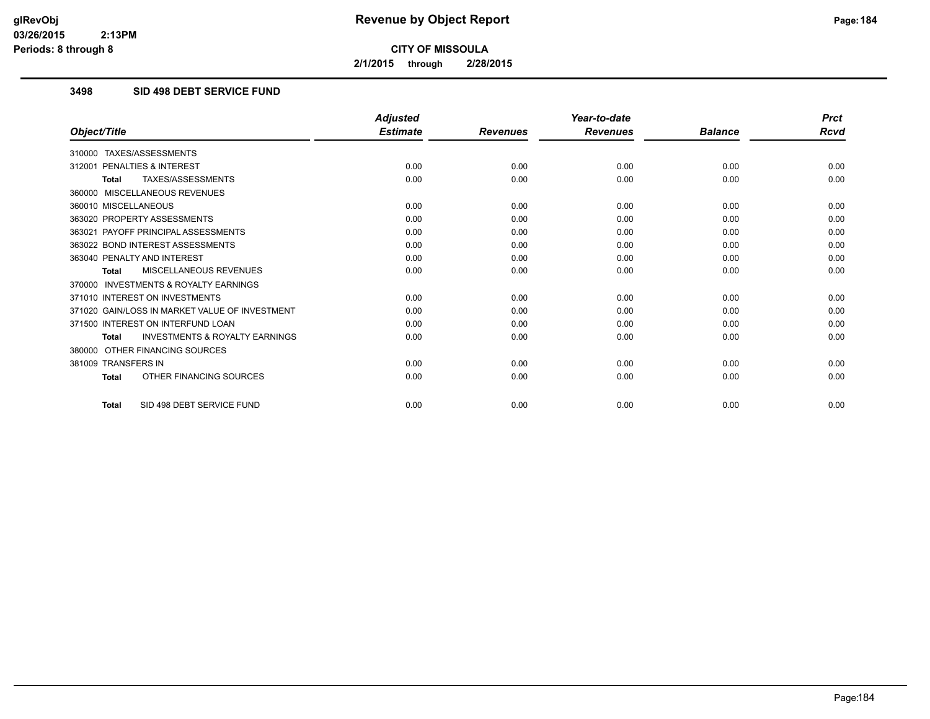**2/1/2015 through 2/28/2015**

# **3498 SID 498 DEBT SERVICE FUND**

|                                                           | <b>Adjusted</b> |                 | Year-to-date    |                | <b>Prct</b> |
|-----------------------------------------------------------|-----------------|-----------------|-----------------|----------------|-------------|
| Object/Title                                              | <b>Estimate</b> | <b>Revenues</b> | <b>Revenues</b> | <b>Balance</b> | <b>Rcvd</b> |
| TAXES/ASSESSMENTS<br>310000                               |                 |                 |                 |                |             |
| 312001 PENALTIES & INTEREST                               | 0.00            | 0.00            | 0.00            | 0.00           | 0.00        |
| TAXES/ASSESSMENTS<br><b>Total</b>                         | 0.00            | 0.00            | 0.00            | 0.00           | 0.00        |
| 360000 MISCELLANEOUS REVENUES                             |                 |                 |                 |                |             |
| 360010 MISCELLANEOUS                                      | 0.00            | 0.00            | 0.00            | 0.00           | 0.00        |
| 363020 PROPERTY ASSESSMENTS                               | 0.00            | 0.00            | 0.00            | 0.00           | 0.00        |
| 363021 PAYOFF PRINCIPAL ASSESSMENTS                       | 0.00            | 0.00            | 0.00            | 0.00           | 0.00        |
| 363022 BOND INTEREST ASSESSMENTS                          | 0.00            | 0.00            | 0.00            | 0.00           | 0.00        |
| 363040 PENALTY AND INTEREST                               | 0.00            | 0.00            | 0.00            | 0.00           | 0.00        |
| MISCELLANEOUS REVENUES<br><b>Total</b>                    | 0.00            | 0.00            | 0.00            | 0.00           | 0.00        |
| 370000 INVESTMENTS & ROYALTY EARNINGS                     |                 |                 |                 |                |             |
| 371010 INTEREST ON INVESTMENTS                            | 0.00            | 0.00            | 0.00            | 0.00           | 0.00        |
| 371020 GAIN/LOSS IN MARKET VALUE OF INVESTMENT            | 0.00            | 0.00            | 0.00            | 0.00           | 0.00        |
| 371500 INTEREST ON INTERFUND LOAN                         | 0.00            | 0.00            | 0.00            | 0.00           | 0.00        |
| <b>INVESTMENTS &amp; ROYALTY EARNINGS</b><br><b>Total</b> | 0.00            | 0.00            | 0.00            | 0.00           | 0.00        |
| OTHER FINANCING SOURCES<br>380000                         |                 |                 |                 |                |             |
| 381009 TRANSFERS IN                                       | 0.00            | 0.00            | 0.00            | 0.00           | 0.00        |
| OTHER FINANCING SOURCES<br><b>Total</b>                   | 0.00            | 0.00            | 0.00            | 0.00           | 0.00        |
| SID 498 DEBT SERVICE FUND<br>Total                        | 0.00            | 0.00            | 0.00            | 0.00           | 0.00        |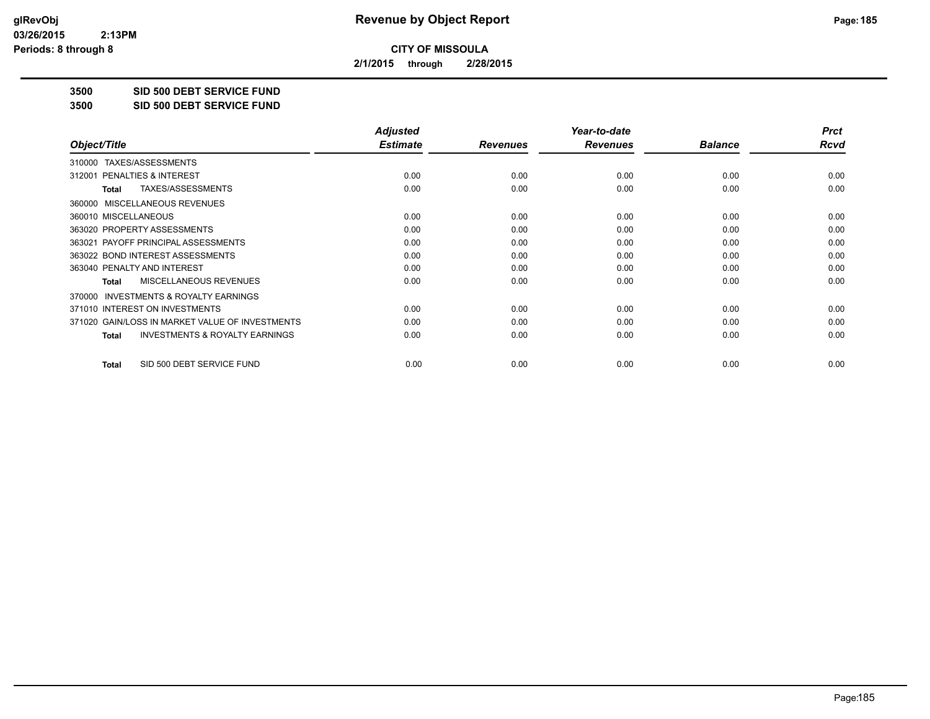**2/1/2015 through 2/28/2015**

**3500 SID 500 DEBT SERVICE FUND**

**3500 SID 500 DEBT SERVICE FUND**

|                                                           | <b>Adjusted</b> |                 | Year-to-date    |                | <b>Prct</b> |
|-----------------------------------------------------------|-----------------|-----------------|-----------------|----------------|-------------|
| Object/Title                                              | <b>Estimate</b> | <b>Revenues</b> | <b>Revenues</b> | <b>Balance</b> | Rcvd        |
| TAXES/ASSESSMENTS<br>310000                               |                 |                 |                 |                |             |
| 312001 PENALTIES & INTEREST                               | 0.00            | 0.00            | 0.00            | 0.00           | 0.00        |
| TAXES/ASSESSMENTS<br>Total                                | 0.00            | 0.00            | 0.00            | 0.00           | 0.00        |
| MISCELLANEOUS REVENUES<br>360000                          |                 |                 |                 |                |             |
| 360010 MISCELLANEOUS                                      | 0.00            | 0.00            | 0.00            | 0.00           | 0.00        |
| 363020 PROPERTY ASSESSMENTS                               | 0.00            | 0.00            | 0.00            | 0.00           | 0.00        |
| 363021 PAYOFF PRINCIPAL ASSESSMENTS                       | 0.00            | 0.00            | 0.00            | 0.00           | 0.00        |
| 363022 BOND INTEREST ASSESSMENTS                          | 0.00            | 0.00            | 0.00            | 0.00           | 0.00        |
| 363040 PENALTY AND INTEREST                               | 0.00            | 0.00            | 0.00            | 0.00           | 0.00        |
| MISCELLANEOUS REVENUES<br><b>Total</b>                    | 0.00            | 0.00            | 0.00            | 0.00           | 0.00        |
| <b>INVESTMENTS &amp; ROYALTY EARNINGS</b><br>370000       |                 |                 |                 |                |             |
| 371010 INTEREST ON INVESTMENTS                            | 0.00            | 0.00            | 0.00            | 0.00           | 0.00        |
| 371020 GAIN/LOSS IN MARKET VALUE OF INVESTMENTS           | 0.00            | 0.00            | 0.00            | 0.00           | 0.00        |
| <b>INVESTMENTS &amp; ROYALTY EARNINGS</b><br><b>Total</b> | 0.00            | 0.00            | 0.00            | 0.00           | 0.00        |
| SID 500 DEBT SERVICE FUND<br><b>Total</b>                 | 0.00            | 0.00            | 0.00            | 0.00           | 0.00        |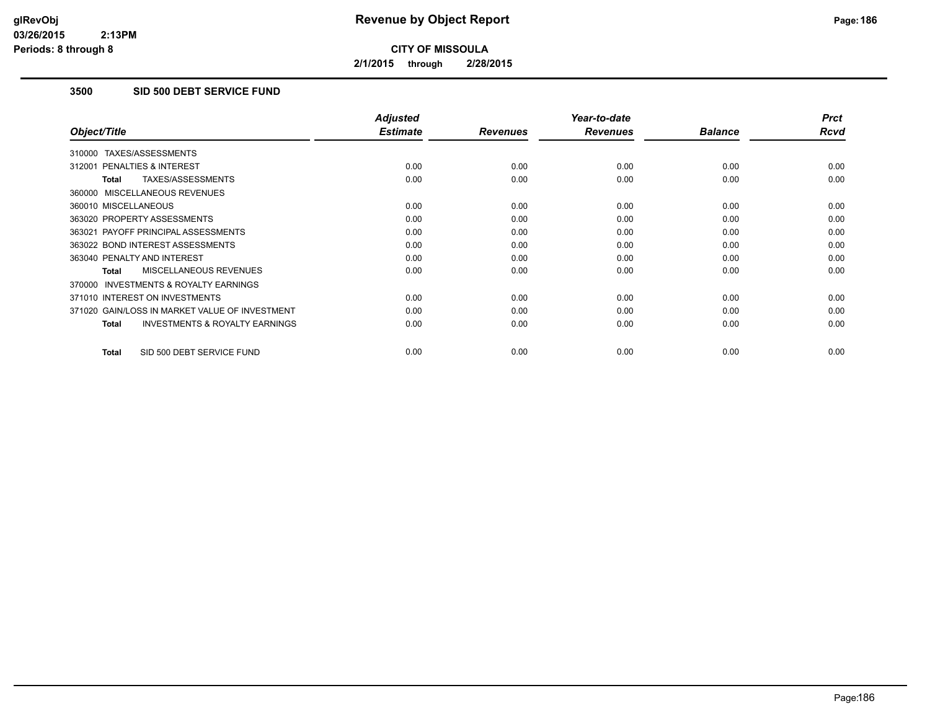**2/1/2015 through 2/28/2015**

# **3500 SID 500 DEBT SERVICE FUND**

|                                                     | <b>Adjusted</b> |                 | Year-to-date    |                | <b>Prct</b> |
|-----------------------------------------------------|-----------------|-----------------|-----------------|----------------|-------------|
| Object/Title                                        | <b>Estimate</b> | <b>Revenues</b> | <b>Revenues</b> | <b>Balance</b> | <b>Rcvd</b> |
| 310000 TAXES/ASSESSMENTS                            |                 |                 |                 |                |             |
| 312001 PENALTIES & INTEREST                         | 0.00            | 0.00            | 0.00            | 0.00           | 0.00        |
| TAXES/ASSESSMENTS<br><b>Total</b>                   | 0.00            | 0.00            | 0.00            | 0.00           | 0.00        |
| 360000 MISCELLANEOUS REVENUES                       |                 |                 |                 |                |             |
| 360010 MISCELLANEOUS                                | 0.00            | 0.00            | 0.00            | 0.00           | 0.00        |
| 363020 PROPERTY ASSESSMENTS                         | 0.00            | 0.00            | 0.00            | 0.00           | 0.00        |
| 363021 PAYOFF PRINCIPAL ASSESSMENTS                 | 0.00            | 0.00            | 0.00            | 0.00           | 0.00        |
| 363022 BOND INTEREST ASSESSMENTS                    | 0.00            | 0.00            | 0.00            | 0.00           | 0.00        |
| 363040 PENALTY AND INTEREST                         | 0.00            | 0.00            | 0.00            | 0.00           | 0.00        |
| <b>MISCELLANEOUS REVENUES</b><br>Total              | 0.00            | 0.00            | 0.00            | 0.00           | 0.00        |
| <b>INVESTMENTS &amp; ROYALTY EARNINGS</b><br>370000 |                 |                 |                 |                |             |
| 371010 INTEREST ON INVESTMENTS                      | 0.00            | 0.00            | 0.00            | 0.00           | 0.00        |
| 371020 GAIN/LOSS IN MARKET VALUE OF INVESTMENT      | 0.00            | 0.00            | 0.00            | 0.00           | 0.00        |
| <b>INVESTMENTS &amp; ROYALTY EARNINGS</b><br>Total  | 0.00            | 0.00            | 0.00            | 0.00           | 0.00        |
| SID 500 DEBT SERVICE FUND<br><b>Total</b>           | 0.00            | 0.00            | 0.00            | 0.00           | 0.00        |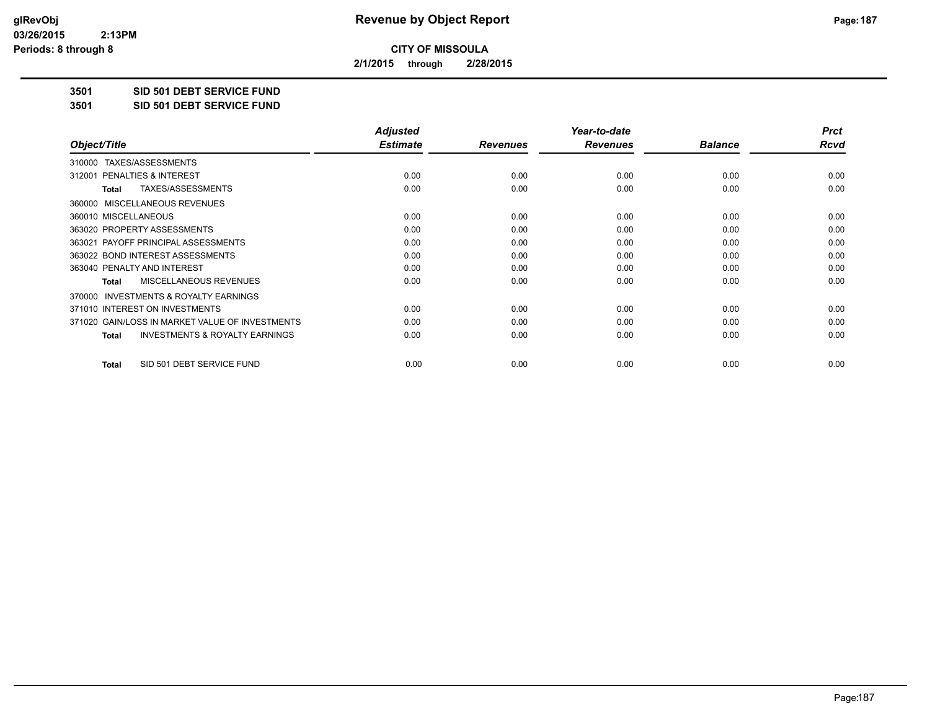**2/1/2015 through 2/28/2015**

**3501 SID 501 DEBT SERVICE FUND**

**3501 SID 501 DEBT SERVICE FUND**

|                                                           | <b>Adjusted</b> |                 | Year-to-date    |                | <b>Prct</b> |
|-----------------------------------------------------------|-----------------|-----------------|-----------------|----------------|-------------|
| Object/Title                                              | <b>Estimate</b> | <b>Revenues</b> | <b>Revenues</b> | <b>Balance</b> | Rcvd        |
| TAXES/ASSESSMENTS<br>310000                               |                 |                 |                 |                |             |
| 312001 PENALTIES & INTEREST                               | 0.00            | 0.00            | 0.00            | 0.00           | 0.00        |
| TAXES/ASSESSMENTS<br>Total                                | 0.00            | 0.00            | 0.00            | 0.00           | 0.00        |
| MISCELLANEOUS REVENUES<br>360000                          |                 |                 |                 |                |             |
| 360010 MISCELLANEOUS                                      | 0.00            | 0.00            | 0.00            | 0.00           | 0.00        |
| 363020 PROPERTY ASSESSMENTS                               | 0.00            | 0.00            | 0.00            | 0.00           | 0.00        |
| 363021 PAYOFF PRINCIPAL ASSESSMENTS                       | 0.00            | 0.00            | 0.00            | 0.00           | 0.00        |
| 363022 BOND INTEREST ASSESSMENTS                          | 0.00            | 0.00            | 0.00            | 0.00           | 0.00        |
| 363040 PENALTY AND INTEREST                               | 0.00            | 0.00            | 0.00            | 0.00           | 0.00        |
| MISCELLANEOUS REVENUES<br><b>Total</b>                    | 0.00            | 0.00            | 0.00            | 0.00           | 0.00        |
| <b>INVESTMENTS &amp; ROYALTY EARNINGS</b><br>370000       |                 |                 |                 |                |             |
| 371010 INTEREST ON INVESTMENTS                            | 0.00            | 0.00            | 0.00            | 0.00           | 0.00        |
| 371020 GAIN/LOSS IN MARKET VALUE OF INVESTMENTS           | 0.00            | 0.00            | 0.00            | 0.00           | 0.00        |
| <b>INVESTMENTS &amp; ROYALTY EARNINGS</b><br><b>Total</b> | 0.00            | 0.00            | 0.00            | 0.00           | 0.00        |
| SID 501 DEBT SERVICE FUND<br><b>Total</b>                 | 0.00            | 0.00            | 0.00            | 0.00           | 0.00        |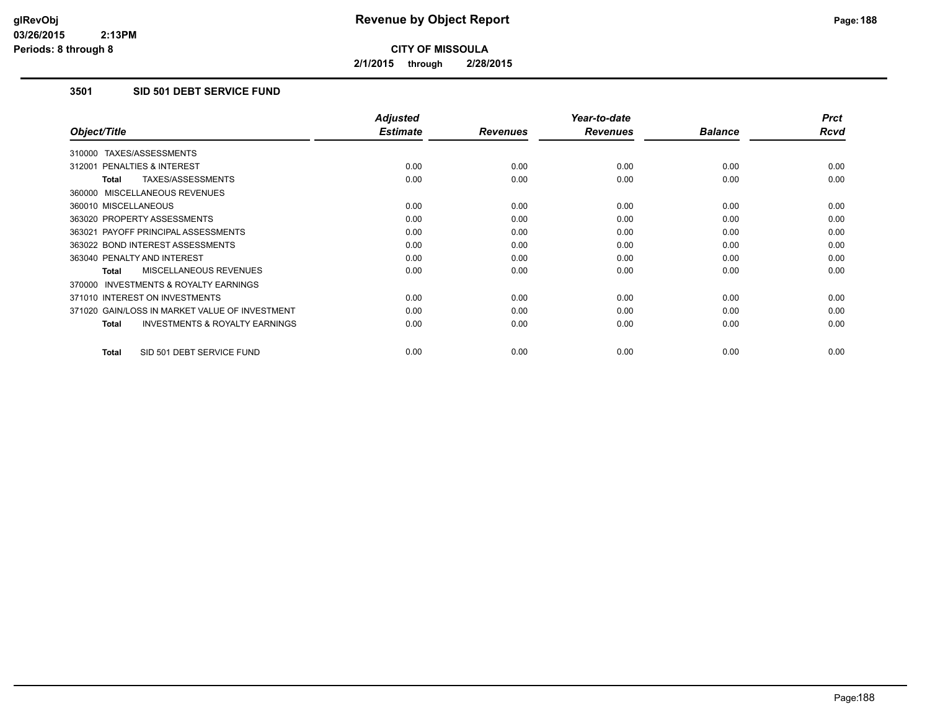**2/1/2015 through 2/28/2015**

# **3501 SID 501 DEBT SERVICE FUND**

|                                                           | <b>Adjusted</b> |                 | Year-to-date    |                | <b>Prct</b> |
|-----------------------------------------------------------|-----------------|-----------------|-----------------|----------------|-------------|
| Object/Title                                              | <b>Estimate</b> | <b>Revenues</b> | <b>Revenues</b> | <b>Balance</b> | <b>Rcvd</b> |
| 310000 TAXES/ASSESSMENTS                                  |                 |                 |                 |                |             |
| 312001 PENALTIES & INTEREST                               | 0.00            | 0.00            | 0.00            | 0.00           | 0.00        |
| TAXES/ASSESSMENTS<br><b>Total</b>                         | 0.00            | 0.00            | 0.00            | 0.00           | 0.00        |
| 360000 MISCELLANEOUS REVENUES                             |                 |                 |                 |                |             |
| 360010 MISCELLANEOUS                                      | 0.00            | 0.00            | 0.00            | 0.00           | 0.00        |
| 363020 PROPERTY ASSESSMENTS                               | 0.00            | 0.00            | 0.00            | 0.00           | 0.00        |
| 363021 PAYOFF PRINCIPAL ASSESSMENTS                       | 0.00            | 0.00            | 0.00            | 0.00           | 0.00        |
| 363022 BOND INTEREST ASSESSMENTS                          | 0.00            | 0.00            | 0.00            | 0.00           | 0.00        |
| 363040 PENALTY AND INTEREST                               | 0.00            | 0.00            | 0.00            | 0.00           | 0.00        |
| <b>MISCELLANEOUS REVENUES</b><br>Total                    | 0.00            | 0.00            | 0.00            | 0.00           | 0.00        |
| <b>INVESTMENTS &amp; ROYALTY EARNINGS</b><br>370000       |                 |                 |                 |                |             |
| 371010 INTEREST ON INVESTMENTS                            | 0.00            | 0.00            | 0.00            | 0.00           | 0.00        |
| 371020 GAIN/LOSS IN MARKET VALUE OF INVESTMENT            | 0.00            | 0.00            | 0.00            | 0.00           | 0.00        |
| <b>INVESTMENTS &amp; ROYALTY EARNINGS</b><br><b>Total</b> | 0.00            | 0.00            | 0.00            | 0.00           | 0.00        |
|                                                           |                 |                 |                 |                |             |
| SID 501 DEBT SERVICE FUND<br><b>Total</b>                 | 0.00            | 0.00            | 0.00            | 0.00           | 0.00        |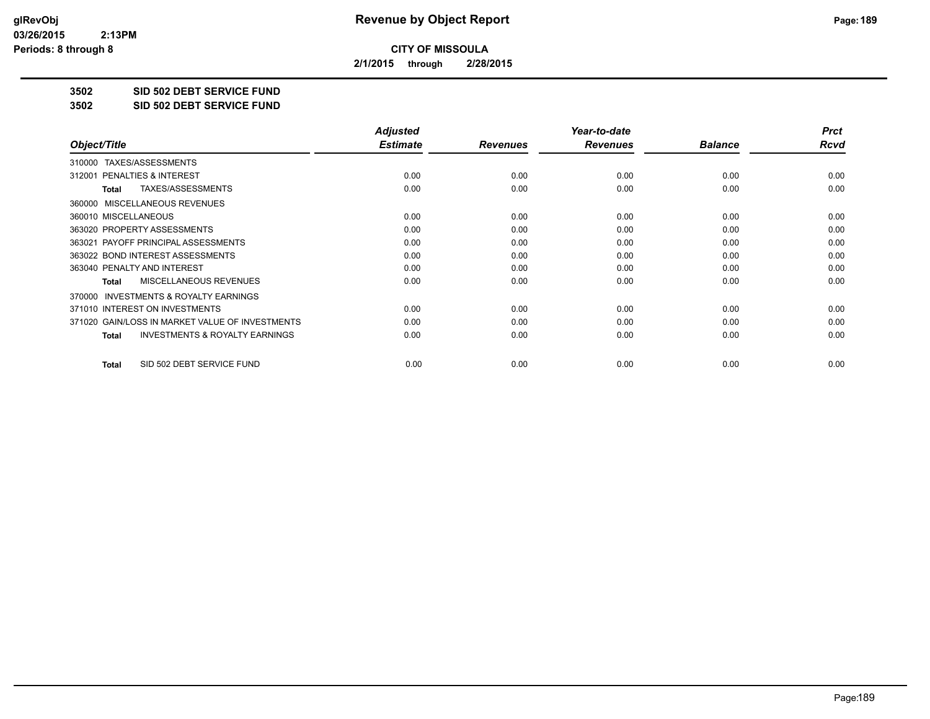**2/1/2015 through 2/28/2015**

**3502 SID 502 DEBT SERVICE FUND**

**3502 SID 502 DEBT SERVICE FUND**

|                                                           | <b>Adjusted</b> |                 | Year-to-date    |                | <b>Prct</b> |
|-----------------------------------------------------------|-----------------|-----------------|-----------------|----------------|-------------|
| Object/Title                                              | <b>Estimate</b> | <b>Revenues</b> | <b>Revenues</b> | <b>Balance</b> | Rcvd        |
| TAXES/ASSESSMENTS<br>310000                               |                 |                 |                 |                |             |
| 312001 PENALTIES & INTEREST                               | 0.00            | 0.00            | 0.00            | 0.00           | 0.00        |
| TAXES/ASSESSMENTS<br><b>Total</b>                         | 0.00            | 0.00            | 0.00            | 0.00           | 0.00        |
| MISCELLANEOUS REVENUES<br>360000                          |                 |                 |                 |                |             |
| 360010 MISCELLANEOUS                                      | 0.00            | 0.00            | 0.00            | 0.00           | 0.00        |
| 363020 PROPERTY ASSESSMENTS                               | 0.00            | 0.00            | 0.00            | 0.00           | 0.00        |
| 363021 PAYOFF PRINCIPAL ASSESSMENTS                       | 0.00            | 0.00            | 0.00            | 0.00           | 0.00        |
| 363022 BOND INTEREST ASSESSMENTS                          | 0.00            | 0.00            | 0.00            | 0.00           | 0.00        |
| 363040 PENALTY AND INTEREST                               | 0.00            | 0.00            | 0.00            | 0.00           | 0.00        |
| <b>MISCELLANEOUS REVENUES</b><br>Total                    | 0.00            | 0.00            | 0.00            | 0.00           | 0.00        |
| <b>INVESTMENTS &amp; ROYALTY EARNINGS</b><br>370000       |                 |                 |                 |                |             |
| 371010 INTEREST ON INVESTMENTS                            | 0.00            | 0.00            | 0.00            | 0.00           | 0.00        |
| 371020 GAIN/LOSS IN MARKET VALUE OF INVESTMENTS           | 0.00            | 0.00            | 0.00            | 0.00           | 0.00        |
| <b>INVESTMENTS &amp; ROYALTY EARNINGS</b><br><b>Total</b> | 0.00            | 0.00            | 0.00            | 0.00           | 0.00        |
| SID 502 DEBT SERVICE FUND<br><b>Total</b>                 | 0.00            | 0.00            | 0.00            | 0.00           | 0.00        |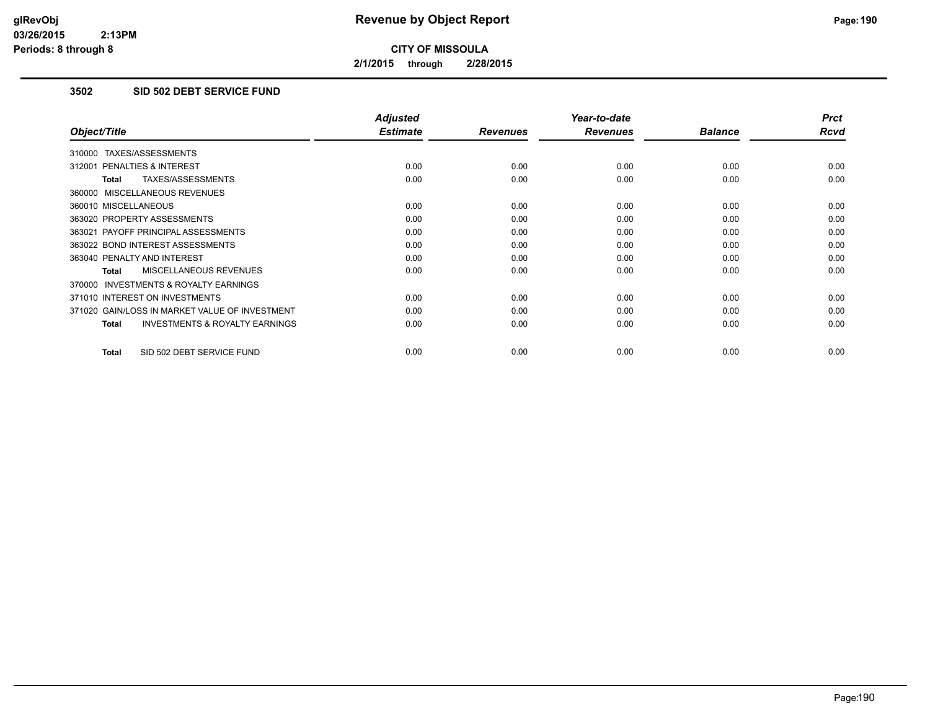**2/1/2015 through 2/28/2015**

#### **3502 SID 502 DEBT SERVICE FUND**

|                                                     | <b>Adjusted</b> |                 | Year-to-date    |                | <b>Prct</b> |
|-----------------------------------------------------|-----------------|-----------------|-----------------|----------------|-------------|
| Object/Title                                        | <b>Estimate</b> | <b>Revenues</b> | <b>Revenues</b> | <b>Balance</b> | <b>Rcvd</b> |
| 310000 TAXES/ASSESSMENTS                            |                 |                 |                 |                |             |
| 312001 PENALTIES & INTEREST                         | 0.00            | 0.00            | 0.00            | 0.00           | 0.00        |
| TAXES/ASSESSMENTS<br><b>Total</b>                   | 0.00            | 0.00            | 0.00            | 0.00           | 0.00        |
| 360000 MISCELLANEOUS REVENUES                       |                 |                 |                 |                |             |
| 360010 MISCELLANEOUS                                | 0.00            | 0.00            | 0.00            | 0.00           | 0.00        |
| 363020 PROPERTY ASSESSMENTS                         | 0.00            | 0.00            | 0.00            | 0.00           | 0.00        |
| 363021 PAYOFF PRINCIPAL ASSESSMENTS                 | 0.00            | 0.00            | 0.00            | 0.00           | 0.00        |
| 363022 BOND INTEREST ASSESSMENTS                    | 0.00            | 0.00            | 0.00            | 0.00           | 0.00        |
| 363040 PENALTY AND INTEREST                         | 0.00            | 0.00            | 0.00            | 0.00           | 0.00        |
| <b>MISCELLANEOUS REVENUES</b><br>Total              | 0.00            | 0.00            | 0.00            | 0.00           | 0.00        |
| <b>INVESTMENTS &amp; ROYALTY EARNINGS</b><br>370000 |                 |                 |                 |                |             |
| 371010 INTEREST ON INVESTMENTS                      | 0.00            | 0.00            | 0.00            | 0.00           | 0.00        |
| 371020 GAIN/LOSS IN MARKET VALUE OF INVESTMENT      | 0.00            | 0.00            | 0.00            | 0.00           | 0.00        |
| <b>INVESTMENTS &amp; ROYALTY EARNINGS</b><br>Total  | 0.00            | 0.00            | 0.00            | 0.00           | 0.00        |
| SID 502 DEBT SERVICE FUND<br><b>Total</b>           | 0.00            | 0.00            | 0.00            | 0.00           | 0.00        |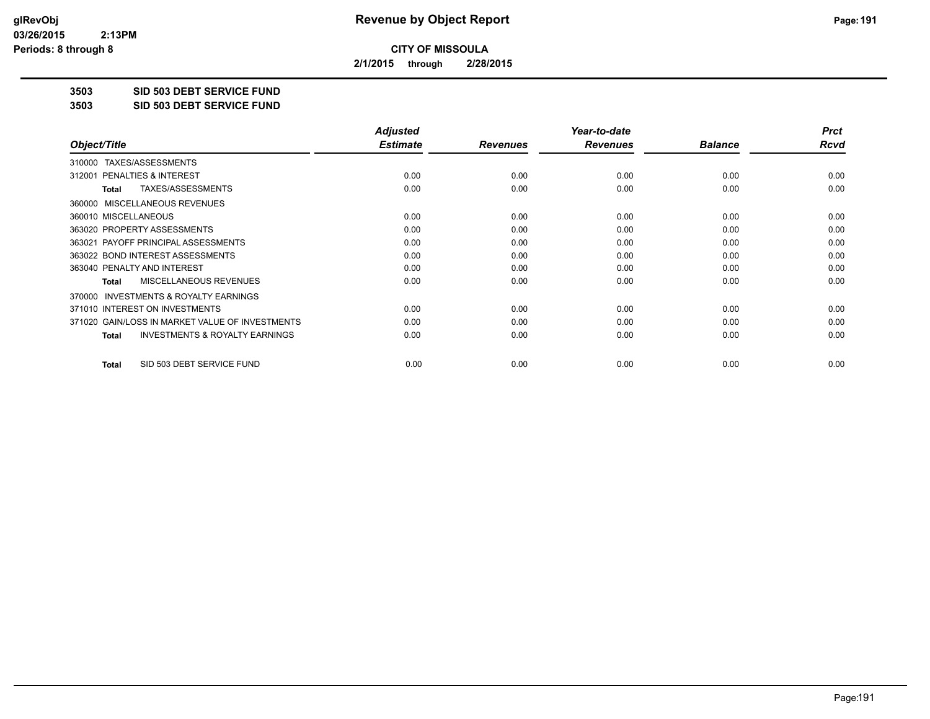**2/1/2015 through 2/28/2015**

**3503 SID 503 DEBT SERVICE FUND**

**3503 SID 503 DEBT SERVICE FUND**

|                                                           | <b>Adjusted</b> |                 | Year-to-date    |                | <b>Prct</b> |
|-----------------------------------------------------------|-----------------|-----------------|-----------------|----------------|-------------|
| Object/Title                                              | <b>Estimate</b> | <b>Revenues</b> | <b>Revenues</b> | <b>Balance</b> | Rcvd        |
| TAXES/ASSESSMENTS<br>310000                               |                 |                 |                 |                |             |
| 312001 PENALTIES & INTEREST                               | 0.00            | 0.00            | 0.00            | 0.00           | 0.00        |
| TAXES/ASSESSMENTS<br>Total                                | 0.00            | 0.00            | 0.00            | 0.00           | 0.00        |
| MISCELLANEOUS REVENUES<br>360000                          |                 |                 |                 |                |             |
| 360010 MISCELLANEOUS                                      | 0.00            | 0.00            | 0.00            | 0.00           | 0.00        |
| 363020 PROPERTY ASSESSMENTS                               | 0.00            | 0.00            | 0.00            | 0.00           | 0.00        |
| 363021 PAYOFF PRINCIPAL ASSESSMENTS                       | 0.00            | 0.00            | 0.00            | 0.00           | 0.00        |
| 363022 BOND INTEREST ASSESSMENTS                          | 0.00            | 0.00            | 0.00            | 0.00           | 0.00        |
| 363040 PENALTY AND INTEREST                               | 0.00            | 0.00            | 0.00            | 0.00           | 0.00        |
| MISCELLANEOUS REVENUES<br><b>Total</b>                    | 0.00            | 0.00            | 0.00            | 0.00           | 0.00        |
| <b>INVESTMENTS &amp; ROYALTY EARNINGS</b><br>370000       |                 |                 |                 |                |             |
| 371010 INTEREST ON INVESTMENTS                            | 0.00            | 0.00            | 0.00            | 0.00           | 0.00        |
| 371020 GAIN/LOSS IN MARKET VALUE OF INVESTMENTS           | 0.00            | 0.00            | 0.00            | 0.00           | 0.00        |
| <b>INVESTMENTS &amp; ROYALTY EARNINGS</b><br><b>Total</b> | 0.00            | 0.00            | 0.00            | 0.00           | 0.00        |
| SID 503 DEBT SERVICE FUND<br>Total                        | 0.00            | 0.00            | 0.00            | 0.00           | 0.00        |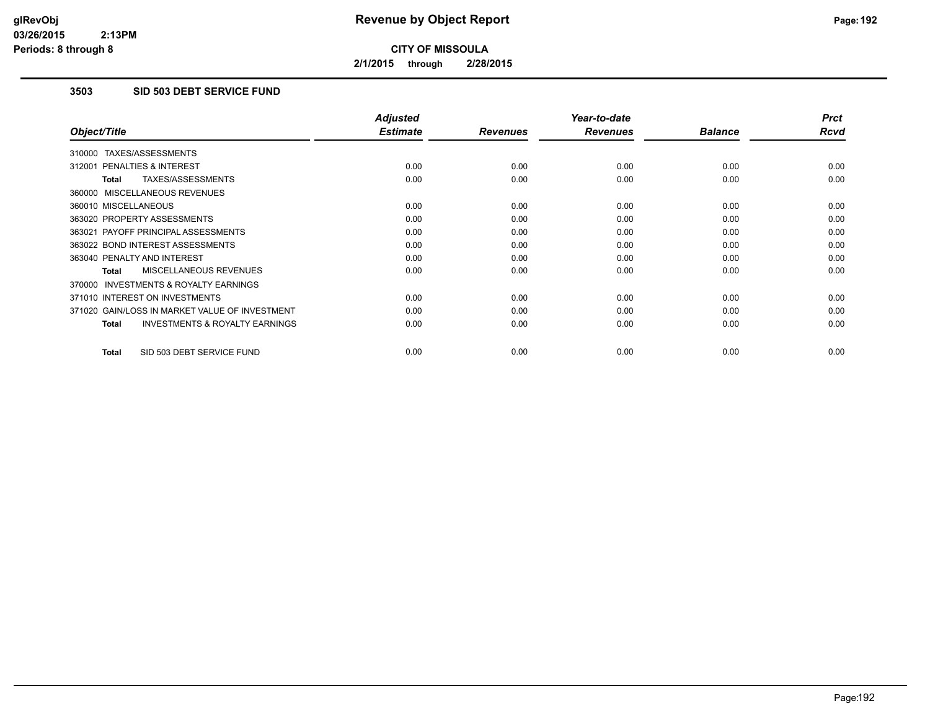**2/1/2015 through 2/28/2015**

# **3503 SID 503 DEBT SERVICE FUND**

|                                                     | <b>Adjusted</b> |                 | Year-to-date    |                | <b>Prct</b> |
|-----------------------------------------------------|-----------------|-----------------|-----------------|----------------|-------------|
| Object/Title                                        | <b>Estimate</b> | <b>Revenues</b> | <b>Revenues</b> | <b>Balance</b> | <b>Rcvd</b> |
| 310000 TAXES/ASSESSMENTS                            |                 |                 |                 |                |             |
| 312001 PENALTIES & INTEREST                         | 0.00            | 0.00            | 0.00            | 0.00           | 0.00        |
| TAXES/ASSESSMENTS<br><b>Total</b>                   | 0.00            | 0.00            | 0.00            | 0.00           | 0.00        |
| 360000 MISCELLANEOUS REVENUES                       |                 |                 |                 |                |             |
| 360010 MISCELLANEOUS                                | 0.00            | 0.00            | 0.00            | 0.00           | 0.00        |
| 363020 PROPERTY ASSESSMENTS                         | 0.00            | 0.00            | 0.00            | 0.00           | 0.00        |
| 363021 PAYOFF PRINCIPAL ASSESSMENTS                 | 0.00            | 0.00            | 0.00            | 0.00           | 0.00        |
| 363022 BOND INTEREST ASSESSMENTS                    | 0.00            | 0.00            | 0.00            | 0.00           | 0.00        |
| 363040 PENALTY AND INTEREST                         | 0.00            | 0.00            | 0.00            | 0.00           | 0.00        |
| <b>MISCELLANEOUS REVENUES</b><br>Total              | 0.00            | 0.00            | 0.00            | 0.00           | 0.00        |
| <b>INVESTMENTS &amp; ROYALTY EARNINGS</b><br>370000 |                 |                 |                 |                |             |
| 371010 INTEREST ON INVESTMENTS                      | 0.00            | 0.00            | 0.00            | 0.00           | 0.00        |
| 371020 GAIN/LOSS IN MARKET VALUE OF INVESTMENT      | 0.00            | 0.00            | 0.00            | 0.00           | 0.00        |
| <b>INVESTMENTS &amp; ROYALTY EARNINGS</b><br>Total  | 0.00            | 0.00            | 0.00            | 0.00           | 0.00        |
| SID 503 DEBT SERVICE FUND<br><b>Total</b>           | 0.00            | 0.00            | 0.00            | 0.00           | 0.00        |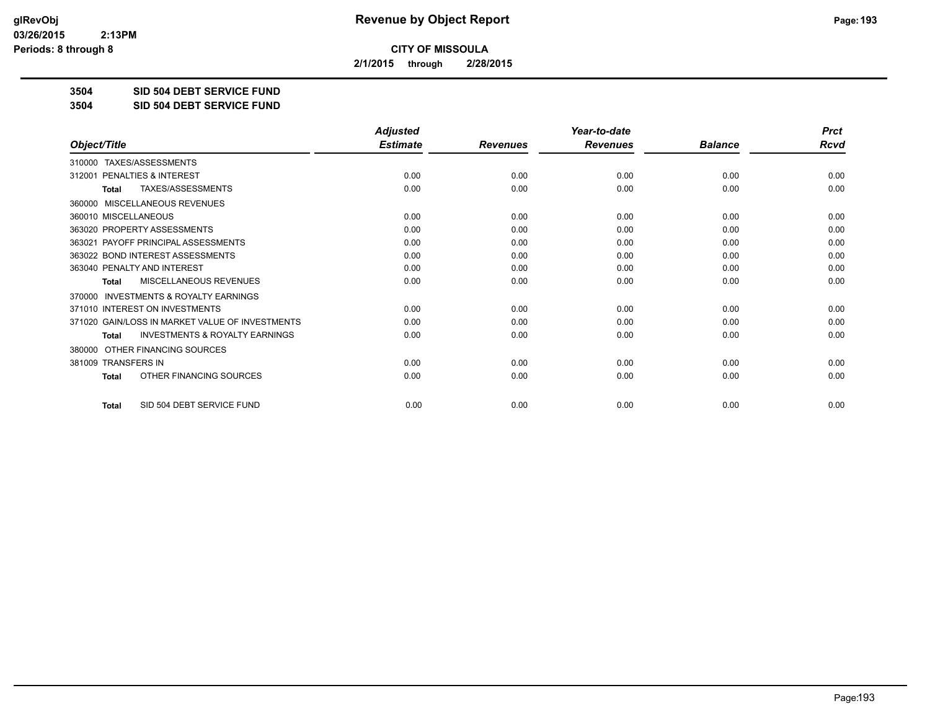**2/1/2015 through 2/28/2015**

**3504 SID 504 DEBT SERVICE FUND**

**3504 SID 504 DEBT SERVICE FUND**

|                                                           | <b>Adjusted</b> |                 | Year-to-date    |                | <b>Prct</b> |
|-----------------------------------------------------------|-----------------|-----------------|-----------------|----------------|-------------|
| Object/Title                                              | <b>Estimate</b> | <b>Revenues</b> | <b>Revenues</b> | <b>Balance</b> | <b>Rcvd</b> |
| TAXES/ASSESSMENTS<br>310000                               |                 |                 |                 |                |             |
| 312001 PENALTIES & INTEREST                               | 0.00            | 0.00            | 0.00            | 0.00           | 0.00        |
| TAXES/ASSESSMENTS<br><b>Total</b>                         | 0.00            | 0.00            | 0.00            | 0.00           | 0.00        |
| MISCELLANEOUS REVENUES<br>360000                          |                 |                 |                 |                |             |
| 360010 MISCELLANEOUS                                      | 0.00            | 0.00            | 0.00            | 0.00           | 0.00        |
| 363020 PROPERTY ASSESSMENTS                               | 0.00            | 0.00            | 0.00            | 0.00           | 0.00        |
| 363021 PAYOFF PRINCIPAL ASSESSMENTS                       | 0.00            | 0.00            | 0.00            | 0.00           | 0.00        |
| 363022 BOND INTEREST ASSESSMENTS                          | 0.00            | 0.00            | 0.00            | 0.00           | 0.00        |
| 363040 PENALTY AND INTEREST                               | 0.00            | 0.00            | 0.00            | 0.00           | 0.00        |
| <b>MISCELLANEOUS REVENUES</b><br><b>Total</b>             | 0.00            | 0.00            | 0.00            | 0.00           | 0.00        |
| <b>INVESTMENTS &amp; ROYALTY EARNINGS</b><br>370000       |                 |                 |                 |                |             |
| 371010 INTEREST ON INVESTMENTS                            | 0.00            | 0.00            | 0.00            | 0.00           | 0.00        |
| 371020 GAIN/LOSS IN MARKET VALUE OF INVESTMENTS           | 0.00            | 0.00            | 0.00            | 0.00           | 0.00        |
| <b>INVESTMENTS &amp; ROYALTY EARNINGS</b><br><b>Total</b> | 0.00            | 0.00            | 0.00            | 0.00           | 0.00        |
| OTHER FINANCING SOURCES<br>380000                         |                 |                 |                 |                |             |
| 381009 TRANSFERS IN                                       | 0.00            | 0.00            | 0.00            | 0.00           | 0.00        |
| OTHER FINANCING SOURCES<br><b>Total</b>                   | 0.00            | 0.00            | 0.00            | 0.00           | 0.00        |
| SID 504 DEBT SERVICE FUND<br><b>Total</b>                 | 0.00            | 0.00            | 0.00            | 0.00           | 0.00        |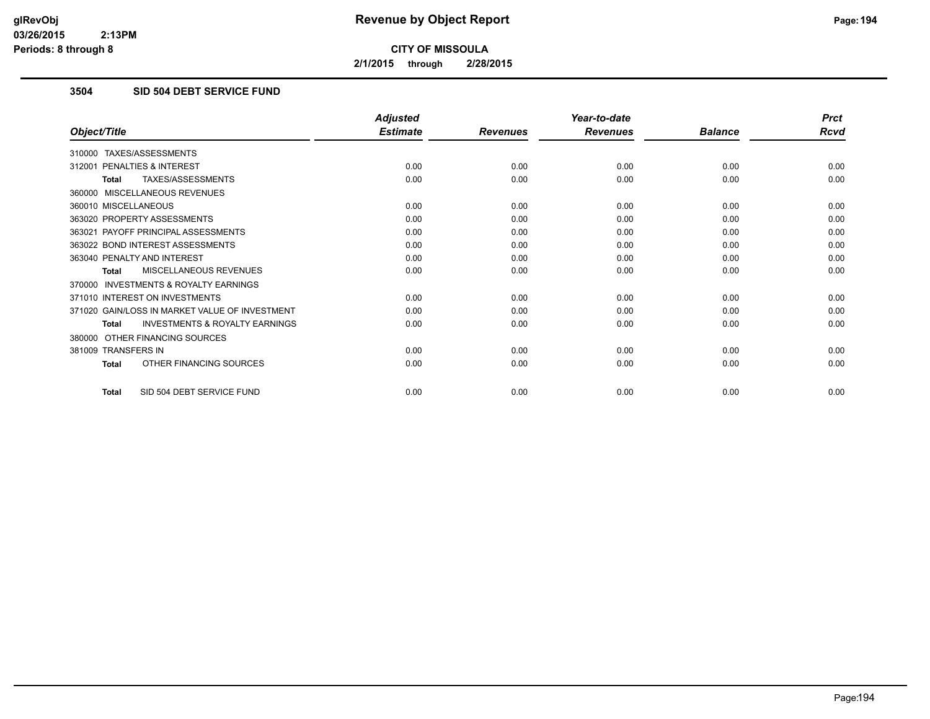**2/1/2015 through 2/28/2015**

# **3504 SID 504 DEBT SERVICE FUND**

|                                                           | <b>Adjusted</b> |                 | Year-to-date    |                | <b>Prct</b> |
|-----------------------------------------------------------|-----------------|-----------------|-----------------|----------------|-------------|
| Object/Title                                              | <b>Estimate</b> | <b>Revenues</b> | <b>Revenues</b> | <b>Balance</b> | <b>Rcvd</b> |
| 310000 TAXES/ASSESSMENTS                                  |                 |                 |                 |                |             |
| PENALTIES & INTEREST<br>312001                            | 0.00            | 0.00            | 0.00            | 0.00           | 0.00        |
| TAXES/ASSESSMENTS<br><b>Total</b>                         | 0.00            | 0.00            | 0.00            | 0.00           | 0.00        |
| 360000 MISCELLANEOUS REVENUES                             |                 |                 |                 |                |             |
| 360010 MISCELLANEOUS                                      | 0.00            | 0.00            | 0.00            | 0.00           | 0.00        |
| 363020 PROPERTY ASSESSMENTS                               | 0.00            | 0.00            | 0.00            | 0.00           | 0.00        |
| 363021 PAYOFF PRINCIPAL ASSESSMENTS                       | 0.00            | 0.00            | 0.00            | 0.00           | 0.00        |
| 363022 BOND INTEREST ASSESSMENTS                          | 0.00            | 0.00            | 0.00            | 0.00           | 0.00        |
| 363040 PENALTY AND INTEREST                               | 0.00            | 0.00            | 0.00            | 0.00           | 0.00        |
| <b>MISCELLANEOUS REVENUES</b><br><b>Total</b>             | 0.00            | 0.00            | 0.00            | 0.00           | 0.00        |
| <b>INVESTMENTS &amp; ROYALTY EARNINGS</b><br>370000       |                 |                 |                 |                |             |
| 371010 INTEREST ON INVESTMENTS                            | 0.00            | 0.00            | 0.00            | 0.00           | 0.00        |
| 371020 GAIN/LOSS IN MARKET VALUE OF INVESTMENT            | 0.00            | 0.00            | 0.00            | 0.00           | 0.00        |
| <b>INVESTMENTS &amp; ROYALTY EARNINGS</b><br><b>Total</b> | 0.00            | 0.00            | 0.00            | 0.00           | 0.00        |
| 380000 OTHER FINANCING SOURCES                            |                 |                 |                 |                |             |
| 381009 TRANSFERS IN                                       | 0.00            | 0.00            | 0.00            | 0.00           | 0.00        |
| OTHER FINANCING SOURCES<br><b>Total</b>                   | 0.00            | 0.00            | 0.00            | 0.00           | 0.00        |
| SID 504 DEBT SERVICE FUND<br><b>Total</b>                 | 0.00            | 0.00            | 0.00            | 0.00           | 0.00        |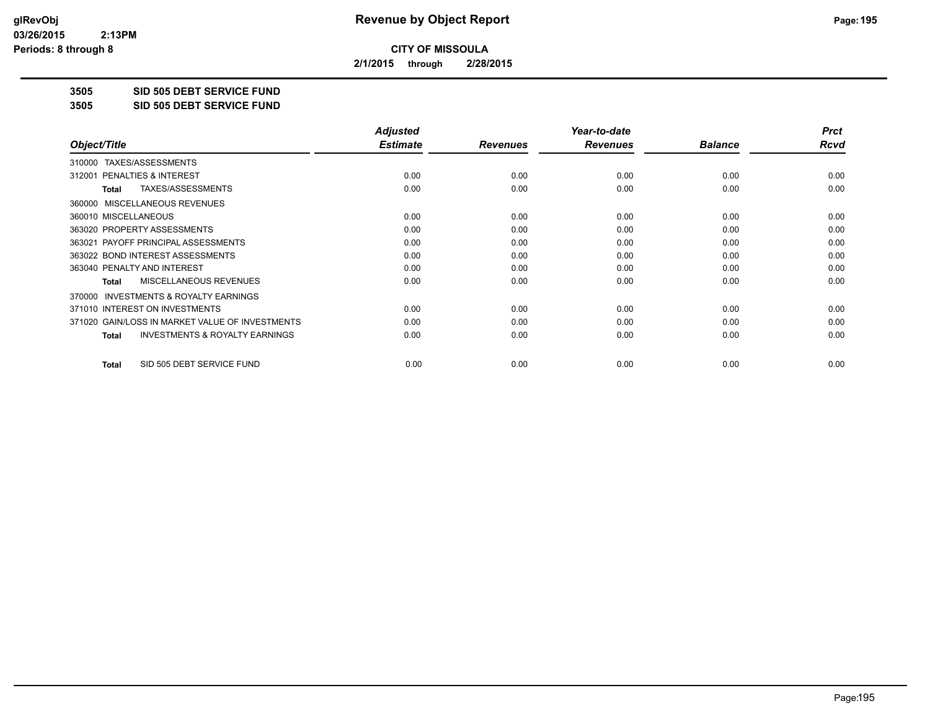**2/1/2015 through 2/28/2015**

**3505 SID 505 DEBT SERVICE FUND**

**3505 SID 505 DEBT SERVICE FUND**

|                                                           | <b>Adjusted</b> |                 | Year-to-date    |                | <b>Prct</b> |
|-----------------------------------------------------------|-----------------|-----------------|-----------------|----------------|-------------|
| Object/Title                                              | <b>Estimate</b> | <b>Revenues</b> | <b>Revenues</b> | <b>Balance</b> | Rcvd        |
| TAXES/ASSESSMENTS<br>310000                               |                 |                 |                 |                |             |
| 312001 PENALTIES & INTEREST                               | 0.00            | 0.00            | 0.00            | 0.00           | 0.00        |
| TAXES/ASSESSMENTS<br>Total                                | 0.00            | 0.00            | 0.00            | 0.00           | 0.00        |
| MISCELLANEOUS REVENUES<br>360000                          |                 |                 |                 |                |             |
| 360010 MISCELLANEOUS                                      | 0.00            | 0.00            | 0.00            | 0.00           | 0.00        |
| 363020 PROPERTY ASSESSMENTS                               | 0.00            | 0.00            | 0.00            | 0.00           | 0.00        |
| 363021 PAYOFF PRINCIPAL ASSESSMENTS                       | 0.00            | 0.00            | 0.00            | 0.00           | 0.00        |
| 363022 BOND INTEREST ASSESSMENTS                          | 0.00            | 0.00            | 0.00            | 0.00           | 0.00        |
| 363040 PENALTY AND INTEREST                               | 0.00            | 0.00            | 0.00            | 0.00           | 0.00        |
| MISCELLANEOUS REVENUES<br><b>Total</b>                    | 0.00            | 0.00            | 0.00            | 0.00           | 0.00        |
| <b>INVESTMENTS &amp; ROYALTY EARNINGS</b><br>370000       |                 |                 |                 |                |             |
| 371010 INTEREST ON INVESTMENTS                            | 0.00            | 0.00            | 0.00            | 0.00           | 0.00        |
| 371020 GAIN/LOSS IN MARKET VALUE OF INVESTMENTS           | 0.00            | 0.00            | 0.00            | 0.00           | 0.00        |
| <b>INVESTMENTS &amp; ROYALTY EARNINGS</b><br><b>Total</b> | 0.00            | 0.00            | 0.00            | 0.00           | 0.00        |
| SID 505 DEBT SERVICE FUND<br><b>Total</b>                 | 0.00            | 0.00            | 0.00            | 0.00           | 0.00        |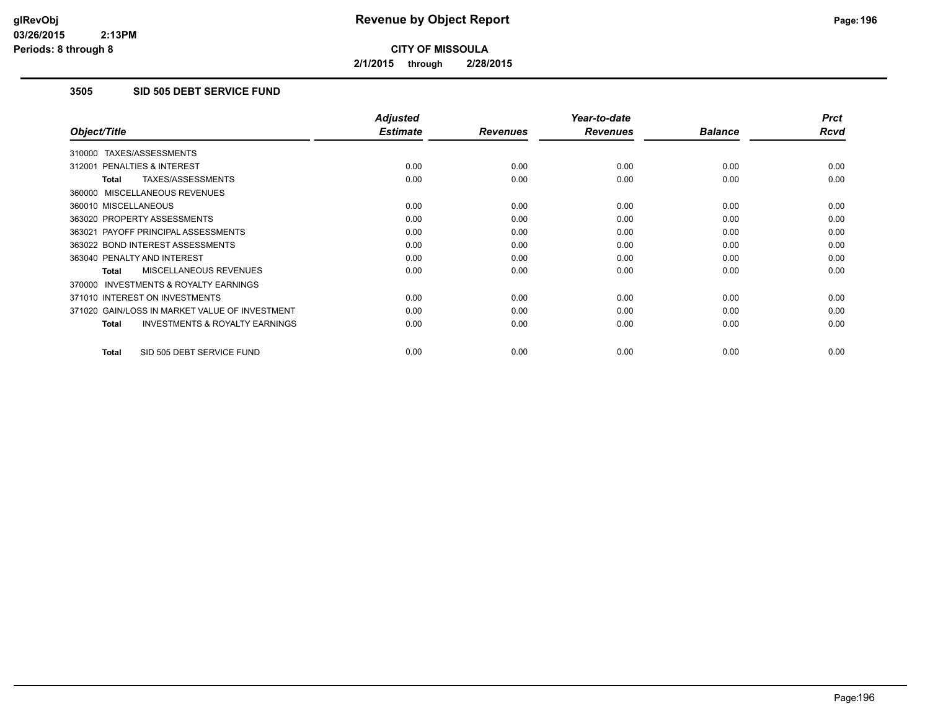**2/1/2015 through 2/28/2015**

# **3505 SID 505 DEBT SERVICE FUND**

|                                                     | <b>Adjusted</b> |                 | Year-to-date    |                | <b>Prct</b> |
|-----------------------------------------------------|-----------------|-----------------|-----------------|----------------|-------------|
| Object/Title                                        | <b>Estimate</b> | <b>Revenues</b> | <b>Revenues</b> | <b>Balance</b> | <b>Rcvd</b> |
| 310000 TAXES/ASSESSMENTS                            |                 |                 |                 |                |             |
| 312001 PENALTIES & INTEREST                         | 0.00            | 0.00            | 0.00            | 0.00           | 0.00        |
| TAXES/ASSESSMENTS<br><b>Total</b>                   | 0.00            | 0.00            | 0.00            | 0.00           | 0.00        |
| 360000 MISCELLANEOUS REVENUES                       |                 |                 |                 |                |             |
| 360010 MISCELLANEOUS                                | 0.00            | 0.00            | 0.00            | 0.00           | 0.00        |
| 363020 PROPERTY ASSESSMENTS                         | 0.00            | 0.00            | 0.00            | 0.00           | 0.00        |
| 363021 PAYOFF PRINCIPAL ASSESSMENTS                 | 0.00            | 0.00            | 0.00            | 0.00           | 0.00        |
| 363022 BOND INTEREST ASSESSMENTS                    | 0.00            | 0.00            | 0.00            | 0.00           | 0.00        |
| 363040 PENALTY AND INTEREST                         | 0.00            | 0.00            | 0.00            | 0.00           | 0.00        |
| <b>MISCELLANEOUS REVENUES</b><br>Total              | 0.00            | 0.00            | 0.00            | 0.00           | 0.00        |
| <b>INVESTMENTS &amp; ROYALTY EARNINGS</b><br>370000 |                 |                 |                 |                |             |
| 371010 INTEREST ON INVESTMENTS                      | 0.00            | 0.00            | 0.00            | 0.00           | 0.00        |
| 371020 GAIN/LOSS IN MARKET VALUE OF INVESTMENT      | 0.00            | 0.00            | 0.00            | 0.00           | 0.00        |
| <b>INVESTMENTS &amp; ROYALTY EARNINGS</b><br>Total  | 0.00            | 0.00            | 0.00            | 0.00           | 0.00        |
| SID 505 DEBT SERVICE FUND<br><b>Total</b>           | 0.00            | 0.00            | 0.00            | 0.00           | 0.00        |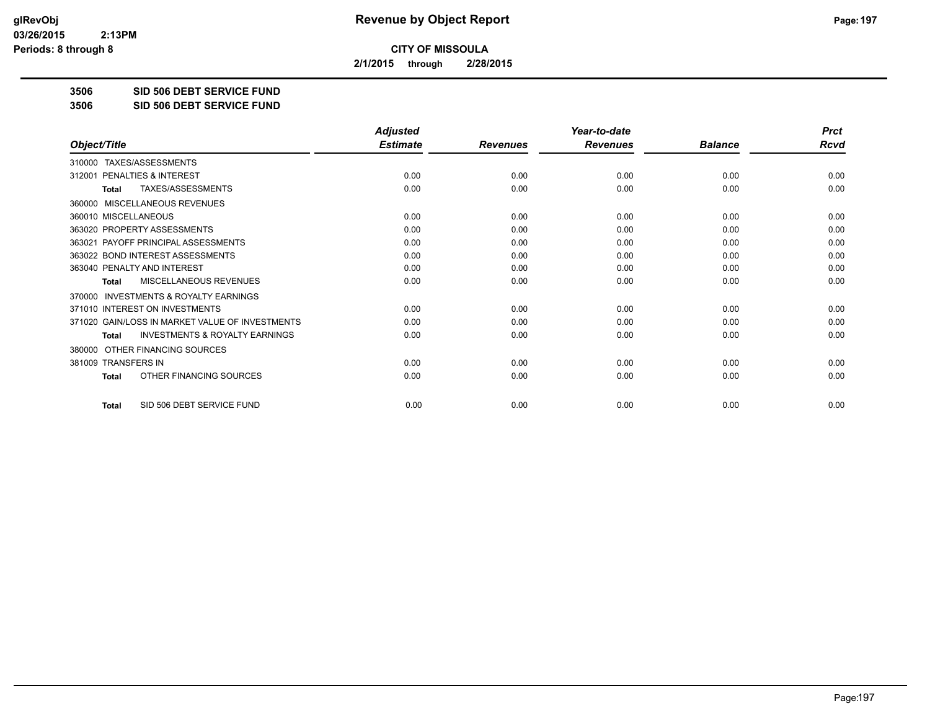**2/1/2015 through 2/28/2015**

**3506 SID 506 DEBT SERVICE FUND**

**3506 SID 506 DEBT SERVICE FUND**

|                                                           | <b>Adjusted</b> |                 | Year-to-date    |                | <b>Prct</b> |
|-----------------------------------------------------------|-----------------|-----------------|-----------------|----------------|-------------|
| Object/Title                                              | <b>Estimate</b> | <b>Revenues</b> | <b>Revenues</b> | <b>Balance</b> | <b>Rcvd</b> |
| TAXES/ASSESSMENTS<br>310000                               |                 |                 |                 |                |             |
| 312001 PENALTIES & INTEREST                               | 0.00            | 0.00            | 0.00            | 0.00           | 0.00        |
| TAXES/ASSESSMENTS<br><b>Total</b>                         | 0.00            | 0.00            | 0.00            | 0.00           | 0.00        |
| MISCELLANEOUS REVENUES<br>360000                          |                 |                 |                 |                |             |
| 360010 MISCELLANEOUS                                      | 0.00            | 0.00            | 0.00            | 0.00           | 0.00        |
| 363020 PROPERTY ASSESSMENTS                               | 0.00            | 0.00            | 0.00            | 0.00           | 0.00        |
| 363021 PAYOFF PRINCIPAL ASSESSMENTS                       | 0.00            | 0.00            | 0.00            | 0.00           | 0.00        |
| 363022 BOND INTEREST ASSESSMENTS                          | 0.00            | 0.00            | 0.00            | 0.00           | 0.00        |
| 363040 PENALTY AND INTEREST                               | 0.00            | 0.00            | 0.00            | 0.00           | 0.00        |
| <b>MISCELLANEOUS REVENUES</b><br><b>Total</b>             | 0.00            | 0.00            | 0.00            | 0.00           | 0.00        |
| <b>INVESTMENTS &amp; ROYALTY EARNINGS</b><br>370000       |                 |                 |                 |                |             |
| 371010 INTEREST ON INVESTMENTS                            | 0.00            | 0.00            | 0.00            | 0.00           | 0.00        |
| 371020 GAIN/LOSS IN MARKET VALUE OF INVESTMENTS           | 0.00            | 0.00            | 0.00            | 0.00           | 0.00        |
| <b>INVESTMENTS &amp; ROYALTY EARNINGS</b><br><b>Total</b> | 0.00            | 0.00            | 0.00            | 0.00           | 0.00        |
| OTHER FINANCING SOURCES<br>380000                         |                 |                 |                 |                |             |
| 381009 TRANSFERS IN                                       | 0.00            | 0.00            | 0.00            | 0.00           | 0.00        |
| OTHER FINANCING SOURCES<br><b>Total</b>                   | 0.00            | 0.00            | 0.00            | 0.00           | 0.00        |
| SID 506 DEBT SERVICE FUND<br><b>Total</b>                 | 0.00            | 0.00            | 0.00            | 0.00           | 0.00        |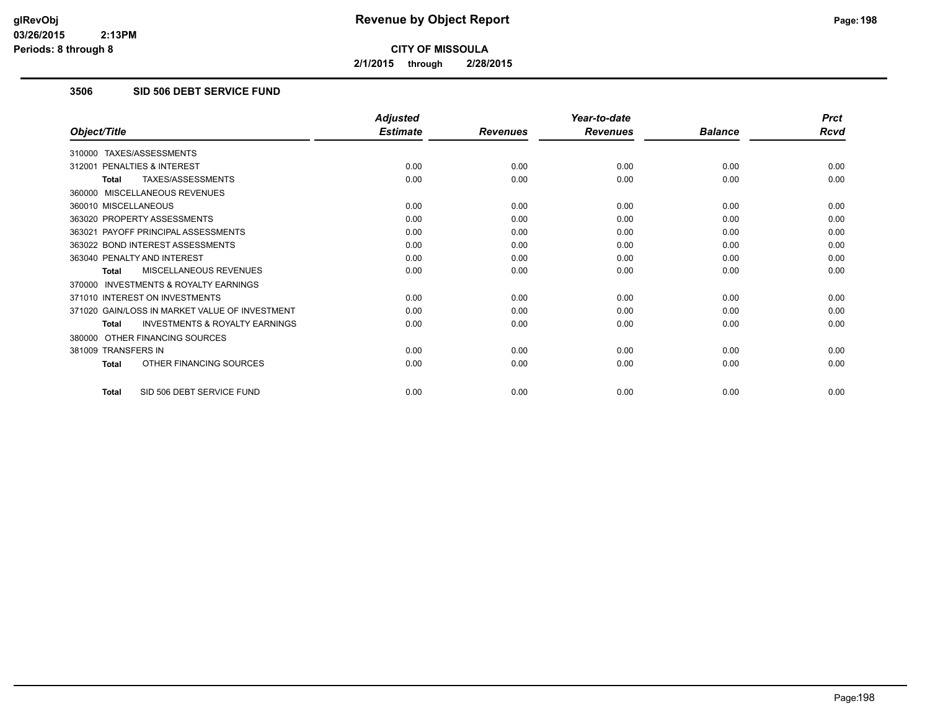**2/1/2015 through 2/28/2015**

# **3506 SID 506 DEBT SERVICE FUND**

|                                                           | <b>Adjusted</b> |                 | Year-to-date    |                | <b>Prct</b> |
|-----------------------------------------------------------|-----------------|-----------------|-----------------|----------------|-------------|
| Object/Title                                              | <b>Estimate</b> | <b>Revenues</b> | <b>Revenues</b> | <b>Balance</b> | <b>Rcvd</b> |
| 310000 TAXES/ASSESSMENTS                                  |                 |                 |                 |                |             |
| PENALTIES & INTEREST<br>312001                            | 0.00            | 0.00            | 0.00            | 0.00           | 0.00        |
| TAXES/ASSESSMENTS<br><b>Total</b>                         | 0.00            | 0.00            | 0.00            | 0.00           | 0.00        |
| 360000 MISCELLANEOUS REVENUES                             |                 |                 |                 |                |             |
| 360010 MISCELLANEOUS                                      | 0.00            | 0.00            | 0.00            | 0.00           | 0.00        |
| 363020 PROPERTY ASSESSMENTS                               | 0.00            | 0.00            | 0.00            | 0.00           | 0.00        |
| 363021 PAYOFF PRINCIPAL ASSESSMENTS                       | 0.00            | 0.00            | 0.00            | 0.00           | 0.00        |
| 363022 BOND INTEREST ASSESSMENTS                          | 0.00            | 0.00            | 0.00            | 0.00           | 0.00        |
| 363040 PENALTY AND INTEREST                               | 0.00            | 0.00            | 0.00            | 0.00           | 0.00        |
| <b>MISCELLANEOUS REVENUES</b><br><b>Total</b>             | 0.00            | 0.00            | 0.00            | 0.00           | 0.00        |
| <b>INVESTMENTS &amp; ROYALTY EARNINGS</b><br>370000       |                 |                 |                 |                |             |
| 371010 INTEREST ON INVESTMENTS                            | 0.00            | 0.00            | 0.00            | 0.00           | 0.00        |
| 371020 GAIN/LOSS IN MARKET VALUE OF INVESTMENT            | 0.00            | 0.00            | 0.00            | 0.00           | 0.00        |
| <b>INVESTMENTS &amp; ROYALTY EARNINGS</b><br><b>Total</b> | 0.00            | 0.00            | 0.00            | 0.00           | 0.00        |
| OTHER FINANCING SOURCES<br>380000                         |                 |                 |                 |                |             |
| 381009 TRANSFERS IN                                       | 0.00            | 0.00            | 0.00            | 0.00           | 0.00        |
| OTHER FINANCING SOURCES<br><b>Total</b>                   | 0.00            | 0.00            | 0.00            | 0.00           | 0.00        |
| SID 506 DEBT SERVICE FUND<br><b>Total</b>                 | 0.00            | 0.00            | 0.00            | 0.00           | 0.00        |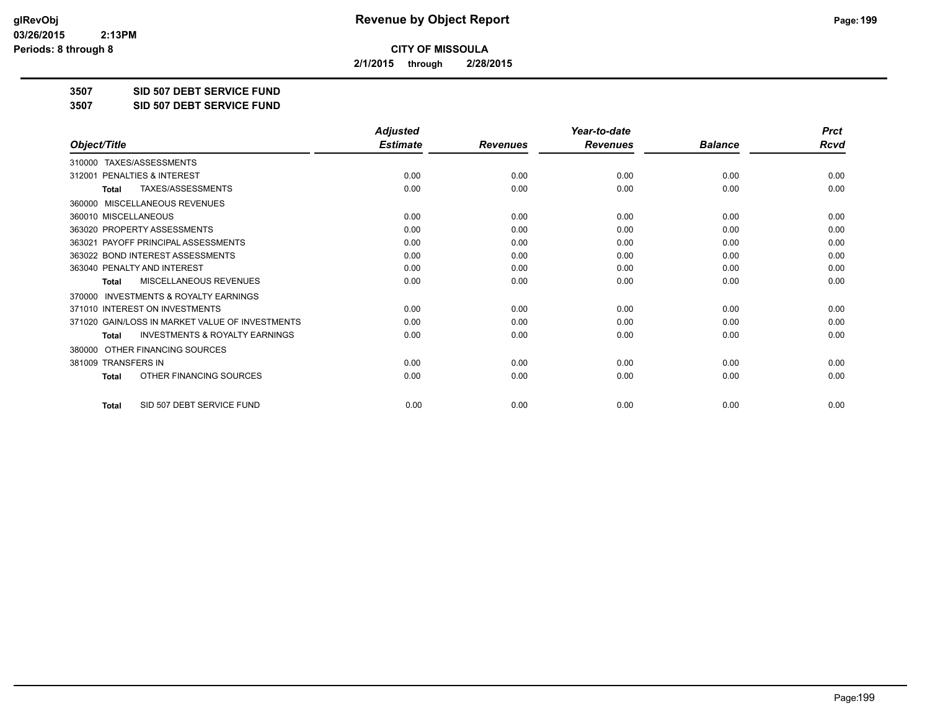**2/1/2015 through 2/28/2015**

**3507 SID 507 DEBT SERVICE FUND**

**3507 SID 507 DEBT SERVICE FUND**

|                                                           | <b>Adjusted</b> |                 | Year-to-date    |                | <b>Prct</b> |
|-----------------------------------------------------------|-----------------|-----------------|-----------------|----------------|-------------|
| Object/Title                                              | <b>Estimate</b> | <b>Revenues</b> | <b>Revenues</b> | <b>Balance</b> | <b>Rcvd</b> |
| 310000 TAXES/ASSESSMENTS                                  |                 |                 |                 |                |             |
| PENALTIES & INTEREST<br>312001                            | 0.00            | 0.00            | 0.00            | 0.00           | 0.00        |
| TAXES/ASSESSMENTS<br><b>Total</b>                         | 0.00            | 0.00            | 0.00            | 0.00           | 0.00        |
| MISCELLANEOUS REVENUES<br>360000                          |                 |                 |                 |                |             |
| 360010 MISCELLANEOUS                                      | 0.00            | 0.00            | 0.00            | 0.00           | 0.00        |
| 363020 PROPERTY ASSESSMENTS                               | 0.00            | 0.00            | 0.00            | 0.00           | 0.00        |
| PAYOFF PRINCIPAL ASSESSMENTS<br>363021                    | 0.00            | 0.00            | 0.00            | 0.00           | 0.00        |
| 363022 BOND INTEREST ASSESSMENTS                          | 0.00            | 0.00            | 0.00            | 0.00           | 0.00        |
| 363040 PENALTY AND INTEREST                               | 0.00            | 0.00            | 0.00            | 0.00           | 0.00        |
| MISCELLANEOUS REVENUES<br><b>Total</b>                    | 0.00            | 0.00            | 0.00            | 0.00           | 0.00        |
| <b>INVESTMENTS &amp; ROYALTY EARNINGS</b><br>370000       |                 |                 |                 |                |             |
| 371010 INTEREST ON INVESTMENTS                            | 0.00            | 0.00            | 0.00            | 0.00           | 0.00        |
| 371020 GAIN/LOSS IN MARKET VALUE OF INVESTMENTS           | 0.00            | 0.00            | 0.00            | 0.00           | 0.00        |
| <b>INVESTMENTS &amp; ROYALTY EARNINGS</b><br><b>Total</b> | 0.00            | 0.00            | 0.00            | 0.00           | 0.00        |
| OTHER FINANCING SOURCES<br>380000                         |                 |                 |                 |                |             |
| 381009 TRANSFERS IN                                       | 0.00            | 0.00            | 0.00            | 0.00           | 0.00        |
| OTHER FINANCING SOURCES<br><b>Total</b>                   | 0.00            | 0.00            | 0.00            | 0.00           | 0.00        |
| SID 507 DEBT SERVICE FUND<br><b>Total</b>                 | 0.00            | 0.00            | 0.00            | 0.00           | 0.00        |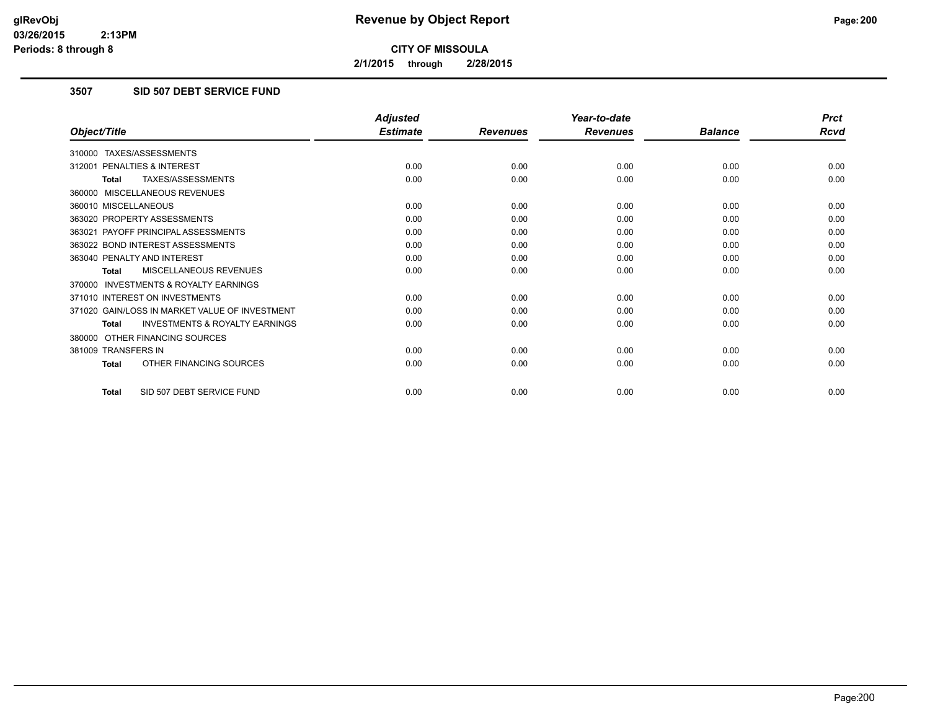**2/1/2015 through 2/28/2015**

# **3507 SID 507 DEBT SERVICE FUND**

|                                                           | <b>Adjusted</b> |                 | Year-to-date    |                | <b>Prct</b> |
|-----------------------------------------------------------|-----------------|-----------------|-----------------|----------------|-------------|
| Object/Title                                              | <b>Estimate</b> | <b>Revenues</b> | <b>Revenues</b> | <b>Balance</b> | <b>Rcvd</b> |
| 310000 TAXES/ASSESSMENTS                                  |                 |                 |                 |                |             |
| 312001 PENALTIES & INTEREST                               | 0.00            | 0.00            | 0.00            | 0.00           | 0.00        |
| TAXES/ASSESSMENTS<br><b>Total</b>                         | 0.00            | 0.00            | 0.00            | 0.00           | 0.00        |
| 360000 MISCELLANEOUS REVENUES                             |                 |                 |                 |                |             |
| 360010 MISCELLANEOUS                                      | 0.00            | 0.00            | 0.00            | 0.00           | 0.00        |
| 363020 PROPERTY ASSESSMENTS                               | 0.00            | 0.00            | 0.00            | 0.00           | 0.00        |
| 363021 PAYOFF PRINCIPAL ASSESSMENTS                       | 0.00            | 0.00            | 0.00            | 0.00           | 0.00        |
| 363022 BOND INTEREST ASSESSMENTS                          | 0.00            | 0.00            | 0.00            | 0.00           | 0.00        |
| 363040 PENALTY AND INTEREST                               | 0.00            | 0.00            | 0.00            | 0.00           | 0.00        |
| MISCELLANEOUS REVENUES<br><b>Total</b>                    | 0.00            | 0.00            | 0.00            | 0.00           | 0.00        |
| <b>INVESTMENTS &amp; ROYALTY EARNINGS</b><br>370000       |                 |                 |                 |                |             |
| 371010 INTEREST ON INVESTMENTS                            | 0.00            | 0.00            | 0.00            | 0.00           | 0.00        |
| 371020 GAIN/LOSS IN MARKET VALUE OF INVESTMENT            | 0.00            | 0.00            | 0.00            | 0.00           | 0.00        |
| <b>INVESTMENTS &amp; ROYALTY EARNINGS</b><br><b>Total</b> | 0.00            | 0.00            | 0.00            | 0.00           | 0.00        |
| 380000 OTHER FINANCING SOURCES                            |                 |                 |                 |                |             |
| 381009 TRANSFERS IN                                       | 0.00            | 0.00            | 0.00            | 0.00           | 0.00        |
| OTHER FINANCING SOURCES<br>Total                          | 0.00            | 0.00            | 0.00            | 0.00           | 0.00        |
| SID 507 DEBT SERVICE FUND<br>Total                        | 0.00            | 0.00            | 0.00            | 0.00           | 0.00        |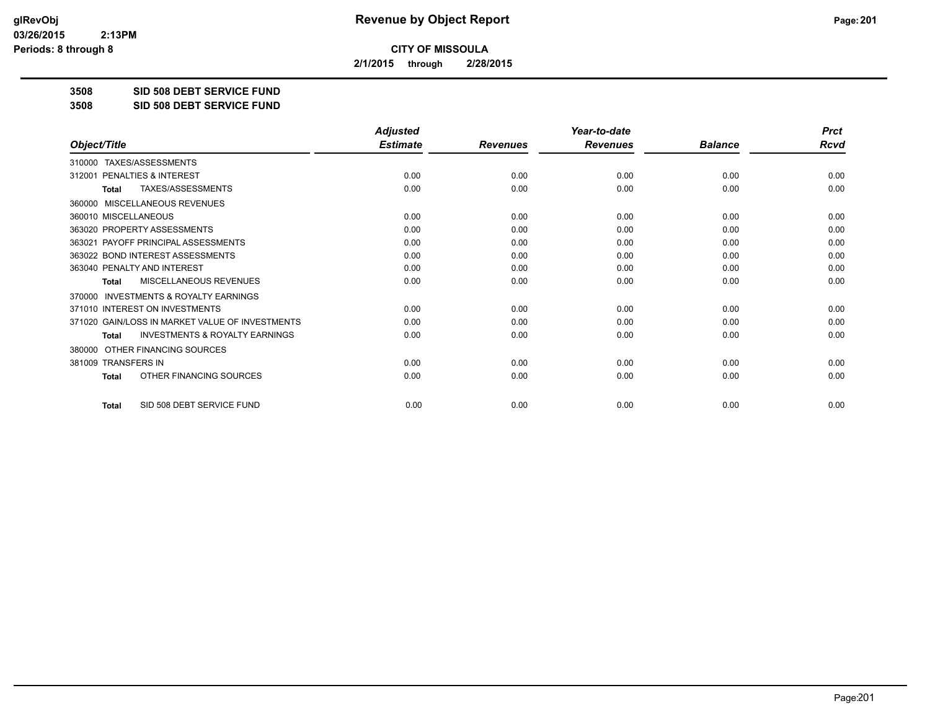**2/1/2015 through 2/28/2015**

**3508 SID 508 DEBT SERVICE FUND**

**3508 SID 508 DEBT SERVICE FUND**

|                                                           | <b>Adjusted</b> |                 | Year-to-date    |                | <b>Prct</b> |
|-----------------------------------------------------------|-----------------|-----------------|-----------------|----------------|-------------|
| Object/Title                                              | <b>Estimate</b> | <b>Revenues</b> | <b>Revenues</b> | <b>Balance</b> | <b>Rcvd</b> |
| TAXES/ASSESSMENTS<br>310000                               |                 |                 |                 |                |             |
| 312001 PENALTIES & INTEREST                               | 0.00            | 0.00            | 0.00            | 0.00           | 0.00        |
| TAXES/ASSESSMENTS<br><b>Total</b>                         | 0.00            | 0.00            | 0.00            | 0.00           | 0.00        |
| MISCELLANEOUS REVENUES<br>360000                          |                 |                 |                 |                |             |
| 360010 MISCELLANEOUS                                      | 0.00            | 0.00            | 0.00            | 0.00           | 0.00        |
| 363020 PROPERTY ASSESSMENTS                               | 0.00            | 0.00            | 0.00            | 0.00           | 0.00        |
| 363021 PAYOFF PRINCIPAL ASSESSMENTS                       | 0.00            | 0.00            | 0.00            | 0.00           | 0.00        |
| 363022 BOND INTEREST ASSESSMENTS                          | 0.00            | 0.00            | 0.00            | 0.00           | 0.00        |
| 363040 PENALTY AND INTEREST                               | 0.00            | 0.00            | 0.00            | 0.00           | 0.00        |
| <b>MISCELLANEOUS REVENUES</b><br><b>Total</b>             | 0.00            | 0.00            | 0.00            | 0.00           | 0.00        |
| <b>INVESTMENTS &amp; ROYALTY EARNINGS</b><br>370000       |                 |                 |                 |                |             |
| 371010 INTEREST ON INVESTMENTS                            | 0.00            | 0.00            | 0.00            | 0.00           | 0.00        |
| 371020 GAIN/LOSS IN MARKET VALUE OF INVESTMENTS           | 0.00            | 0.00            | 0.00            | 0.00           | 0.00        |
| <b>INVESTMENTS &amp; ROYALTY EARNINGS</b><br><b>Total</b> | 0.00            | 0.00            | 0.00            | 0.00           | 0.00        |
| OTHER FINANCING SOURCES<br>380000                         |                 |                 |                 |                |             |
| 381009 TRANSFERS IN                                       | 0.00            | 0.00            | 0.00            | 0.00           | 0.00        |
| OTHER FINANCING SOURCES<br><b>Total</b>                   | 0.00            | 0.00            | 0.00            | 0.00           | 0.00        |
| SID 508 DEBT SERVICE FUND<br><b>Total</b>                 | 0.00            | 0.00            | 0.00            | 0.00           | 0.00        |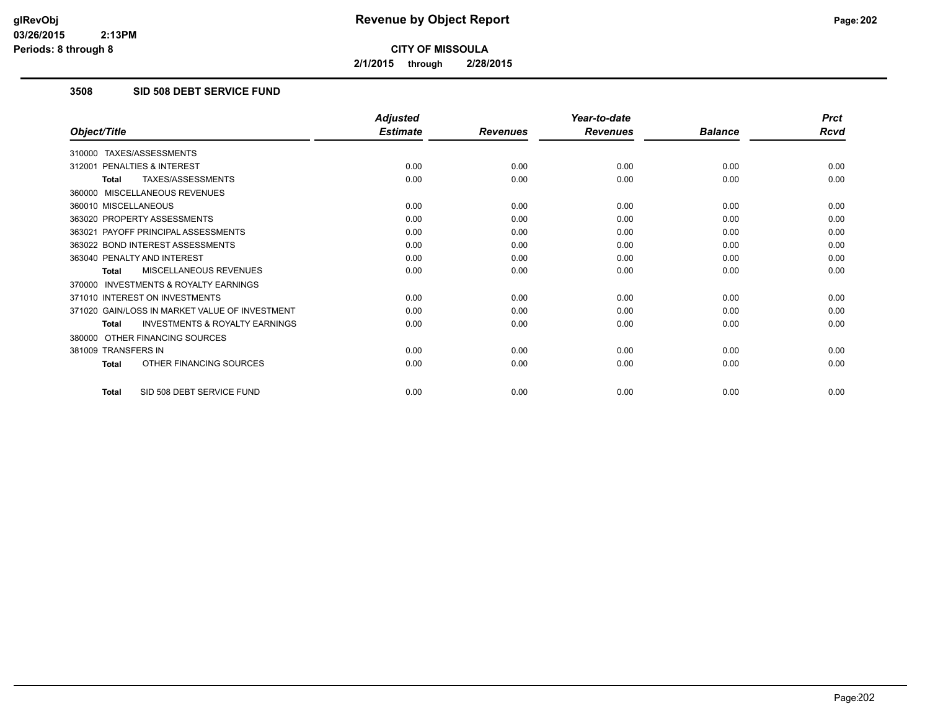**2/1/2015 through 2/28/2015**

# **3508 SID 508 DEBT SERVICE FUND**

|                                                           | <b>Adjusted</b> |                 | Year-to-date    |                | <b>Prct</b> |
|-----------------------------------------------------------|-----------------|-----------------|-----------------|----------------|-------------|
| Object/Title                                              | <b>Estimate</b> | <b>Revenues</b> | <b>Revenues</b> | <b>Balance</b> | <b>Rcvd</b> |
| 310000 TAXES/ASSESSMENTS                                  |                 |                 |                 |                |             |
| PENALTIES & INTEREST<br>312001                            | 0.00            | 0.00            | 0.00            | 0.00           | 0.00        |
| TAXES/ASSESSMENTS<br><b>Total</b>                         | 0.00            | 0.00            | 0.00            | 0.00           | 0.00        |
| 360000 MISCELLANEOUS REVENUES                             |                 |                 |                 |                |             |
| 360010 MISCELLANEOUS                                      | 0.00            | 0.00            | 0.00            | 0.00           | 0.00        |
| 363020 PROPERTY ASSESSMENTS                               | 0.00            | 0.00            | 0.00            | 0.00           | 0.00        |
| 363021 PAYOFF PRINCIPAL ASSESSMENTS                       | 0.00            | 0.00            | 0.00            | 0.00           | 0.00        |
| 363022 BOND INTEREST ASSESSMENTS                          | 0.00            | 0.00            | 0.00            | 0.00           | 0.00        |
| 363040 PENALTY AND INTEREST                               | 0.00            | 0.00            | 0.00            | 0.00           | 0.00        |
| <b>MISCELLANEOUS REVENUES</b><br><b>Total</b>             | 0.00            | 0.00            | 0.00            | 0.00           | 0.00        |
| <b>INVESTMENTS &amp; ROYALTY EARNINGS</b><br>370000       |                 |                 |                 |                |             |
| 371010 INTEREST ON INVESTMENTS                            | 0.00            | 0.00            | 0.00            | 0.00           | 0.00        |
| 371020 GAIN/LOSS IN MARKET VALUE OF INVESTMENT            | 0.00            | 0.00            | 0.00            | 0.00           | 0.00        |
| <b>INVESTMENTS &amp; ROYALTY EARNINGS</b><br><b>Total</b> | 0.00            | 0.00            | 0.00            | 0.00           | 0.00        |
| 380000 OTHER FINANCING SOURCES                            |                 |                 |                 |                |             |
| 381009 TRANSFERS IN                                       | 0.00            | 0.00            | 0.00            | 0.00           | 0.00        |
| OTHER FINANCING SOURCES<br><b>Total</b>                   | 0.00            | 0.00            | 0.00            | 0.00           | 0.00        |
| SID 508 DEBT SERVICE FUND<br><b>Total</b>                 | 0.00            | 0.00            | 0.00            | 0.00           | 0.00        |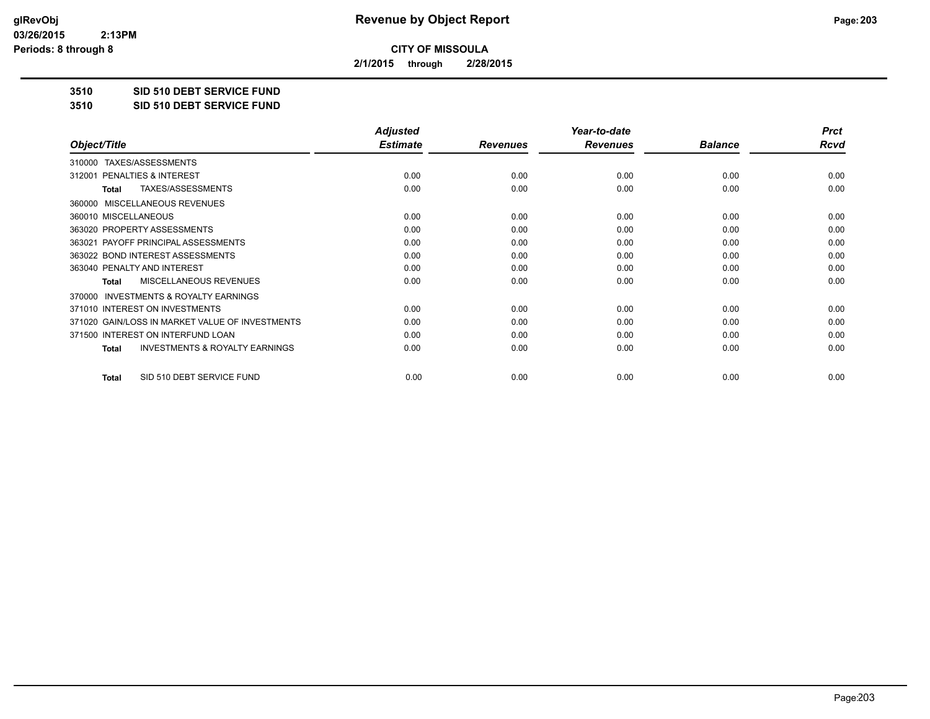**2/1/2015 through 2/28/2015**

**3510 SID 510 DEBT SERVICE FUND**

**3510 SID 510 DEBT SERVICE FUND**

|                                                           | <b>Adjusted</b> |                 | Year-to-date    |                | <b>Prct</b> |
|-----------------------------------------------------------|-----------------|-----------------|-----------------|----------------|-------------|
| Object/Title                                              | <b>Estimate</b> | <b>Revenues</b> | <b>Revenues</b> | <b>Balance</b> | <b>Rcvd</b> |
| TAXES/ASSESSMENTS<br>310000                               |                 |                 |                 |                |             |
| <b>PENALTIES &amp; INTEREST</b><br>312001                 | 0.00            | 0.00            | 0.00            | 0.00           | 0.00        |
| TAXES/ASSESSMENTS<br><b>Total</b>                         | 0.00            | 0.00            | 0.00            | 0.00           | 0.00        |
| MISCELLANEOUS REVENUES<br>360000                          |                 |                 |                 |                |             |
| 360010 MISCELLANEOUS                                      | 0.00            | 0.00            | 0.00            | 0.00           | 0.00        |
| 363020 PROPERTY ASSESSMENTS                               | 0.00            | 0.00            | 0.00            | 0.00           | 0.00        |
| 363021 PAYOFF PRINCIPAL ASSESSMENTS                       | 0.00            | 0.00            | 0.00            | 0.00           | 0.00        |
| 363022 BOND INTEREST ASSESSMENTS                          | 0.00            | 0.00            | 0.00            | 0.00           | 0.00        |
| 363040 PENALTY AND INTEREST                               | 0.00            | 0.00            | 0.00            | 0.00           | 0.00        |
| <b>MISCELLANEOUS REVENUES</b><br><b>Total</b>             | 0.00            | 0.00            | 0.00            | 0.00           | 0.00        |
| <b>INVESTMENTS &amp; ROYALTY EARNINGS</b><br>370000       |                 |                 |                 |                |             |
| 371010 INTEREST ON INVESTMENTS                            | 0.00            | 0.00            | 0.00            | 0.00           | 0.00        |
| 371020 GAIN/LOSS IN MARKET VALUE OF INVESTMENTS           | 0.00            | 0.00            | 0.00            | 0.00           | 0.00        |
| 371500 INTEREST ON INTERFUND LOAN                         | 0.00            | 0.00            | 0.00            | 0.00           | 0.00        |
| <b>INVESTMENTS &amp; ROYALTY EARNINGS</b><br><b>Total</b> | 0.00            | 0.00            | 0.00            | 0.00           | 0.00        |
| SID 510 DEBT SERVICE FUND<br><b>Total</b>                 | 0.00            | 0.00            | 0.00            | 0.00           | 0.00        |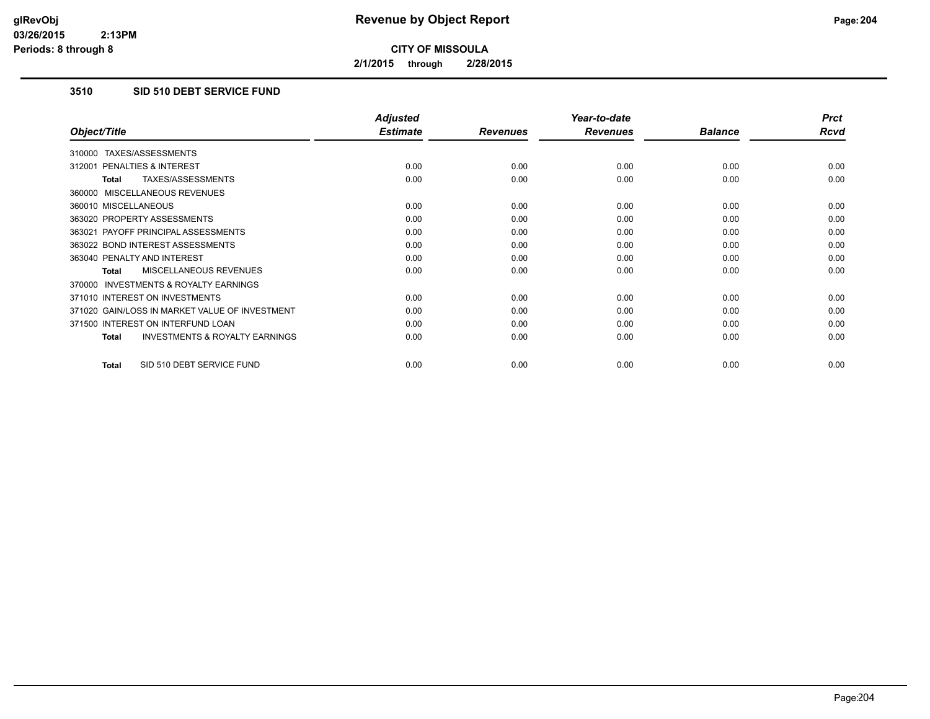**2/1/2015 through 2/28/2015**

# **3510 SID 510 DEBT SERVICE FUND**

|                                                           | <b>Adjusted</b> |                 | Year-to-date    |                | <b>Prct</b> |
|-----------------------------------------------------------|-----------------|-----------------|-----------------|----------------|-------------|
| Object/Title                                              | <b>Estimate</b> | <b>Revenues</b> | <b>Revenues</b> | <b>Balance</b> | Rcvd        |
| TAXES/ASSESSMENTS<br>310000                               |                 |                 |                 |                |             |
| 312001 PENALTIES & INTEREST                               | 0.00            | 0.00            | 0.00            | 0.00           | 0.00        |
| TAXES/ASSESSMENTS<br><b>Total</b>                         | 0.00            | 0.00            | 0.00            | 0.00           | 0.00        |
| 360000 MISCELLANEOUS REVENUES                             |                 |                 |                 |                |             |
| 360010 MISCELLANEOUS                                      | 0.00            | 0.00            | 0.00            | 0.00           | 0.00        |
| 363020 PROPERTY ASSESSMENTS                               | 0.00            | 0.00            | 0.00            | 0.00           | 0.00        |
| 363021 PAYOFF PRINCIPAL ASSESSMENTS                       | 0.00            | 0.00            | 0.00            | 0.00           | 0.00        |
| 363022 BOND INTEREST ASSESSMENTS                          | 0.00            | 0.00            | 0.00            | 0.00           | 0.00        |
| 363040 PENALTY AND INTEREST                               | 0.00            | 0.00            | 0.00            | 0.00           | 0.00        |
| <b>MISCELLANEOUS REVENUES</b><br><b>Total</b>             | 0.00            | 0.00            | 0.00            | 0.00           | 0.00        |
| <b>INVESTMENTS &amp; ROYALTY EARNINGS</b><br>370000       |                 |                 |                 |                |             |
| 371010 INTEREST ON INVESTMENTS                            | 0.00            | 0.00            | 0.00            | 0.00           | 0.00        |
| 371020 GAIN/LOSS IN MARKET VALUE OF INVESTMENT            | 0.00            | 0.00            | 0.00            | 0.00           | 0.00        |
| 371500 INTEREST ON INTERFUND LOAN                         | 0.00            | 0.00            | 0.00            | 0.00           | 0.00        |
| <b>INVESTMENTS &amp; ROYALTY EARNINGS</b><br><b>Total</b> | 0.00            | 0.00            | 0.00            | 0.00           | 0.00        |
| SID 510 DEBT SERVICE FUND<br><b>Total</b>                 | 0.00            | 0.00            | 0.00            | 0.00           | 0.00        |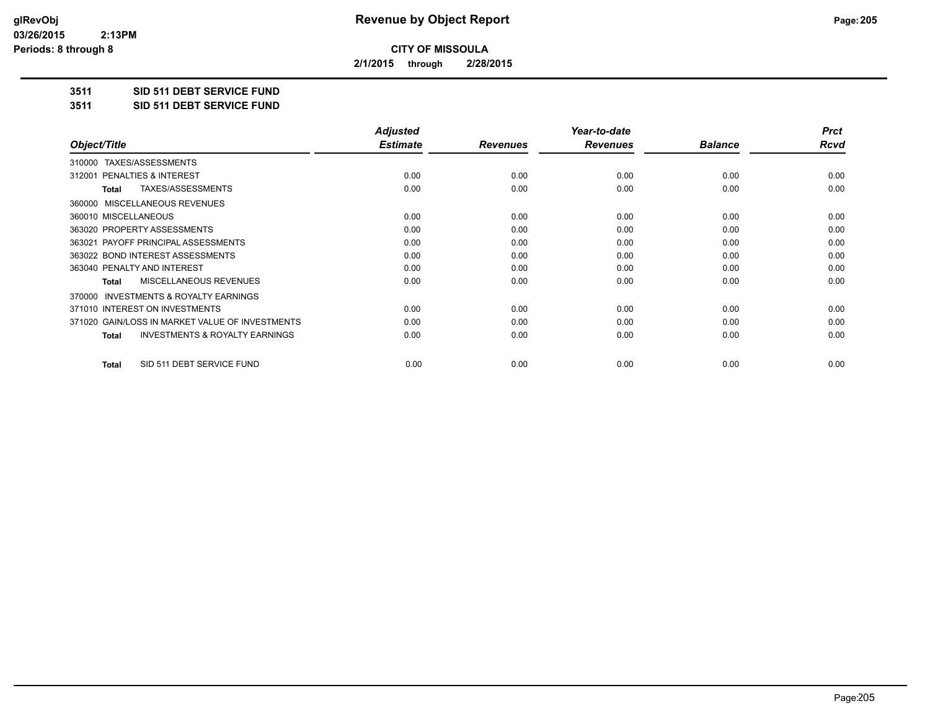**2/1/2015 through 2/28/2015**

**3511 SID 511 DEBT SERVICE FUND**

**3511 SID 511 DEBT SERVICE FUND**

|                                                           | <b>Adjusted</b> |                 | Year-to-date    |                | <b>Prct</b> |
|-----------------------------------------------------------|-----------------|-----------------|-----------------|----------------|-------------|
| Object/Title                                              | <b>Estimate</b> | <b>Revenues</b> | <b>Revenues</b> | <b>Balance</b> | Rcvd        |
| TAXES/ASSESSMENTS<br>310000                               |                 |                 |                 |                |             |
| 312001 PENALTIES & INTEREST                               | 0.00            | 0.00            | 0.00            | 0.00           | 0.00        |
| TAXES/ASSESSMENTS<br><b>Total</b>                         | 0.00            | 0.00            | 0.00            | 0.00           | 0.00        |
| MISCELLANEOUS REVENUES<br>360000                          |                 |                 |                 |                |             |
| 360010 MISCELLANEOUS                                      | 0.00            | 0.00            | 0.00            | 0.00           | 0.00        |
| 363020 PROPERTY ASSESSMENTS                               | 0.00            | 0.00            | 0.00            | 0.00           | 0.00        |
| 363021 PAYOFF PRINCIPAL ASSESSMENTS                       | 0.00            | 0.00            | 0.00            | 0.00           | 0.00        |
| 363022 BOND INTEREST ASSESSMENTS                          | 0.00            | 0.00            | 0.00            | 0.00           | 0.00        |
| 363040 PENALTY AND INTEREST                               | 0.00            | 0.00            | 0.00            | 0.00           | 0.00        |
| MISCELLANEOUS REVENUES<br><b>Total</b>                    | 0.00            | 0.00            | 0.00            | 0.00           | 0.00        |
| <b>INVESTMENTS &amp; ROYALTY EARNINGS</b><br>370000       |                 |                 |                 |                |             |
| 371010 INTEREST ON INVESTMENTS                            | 0.00            | 0.00            | 0.00            | 0.00           | 0.00        |
| 371020 GAIN/LOSS IN MARKET VALUE OF INVESTMENTS           | 0.00            | 0.00            | 0.00            | 0.00           | 0.00        |
| <b>INVESTMENTS &amp; ROYALTY EARNINGS</b><br><b>Total</b> | 0.00            | 0.00            | 0.00            | 0.00           | 0.00        |
| SID 511 DEBT SERVICE FUND<br><b>Total</b>                 | 0.00            | 0.00            | 0.00            | 0.00           | 0.00        |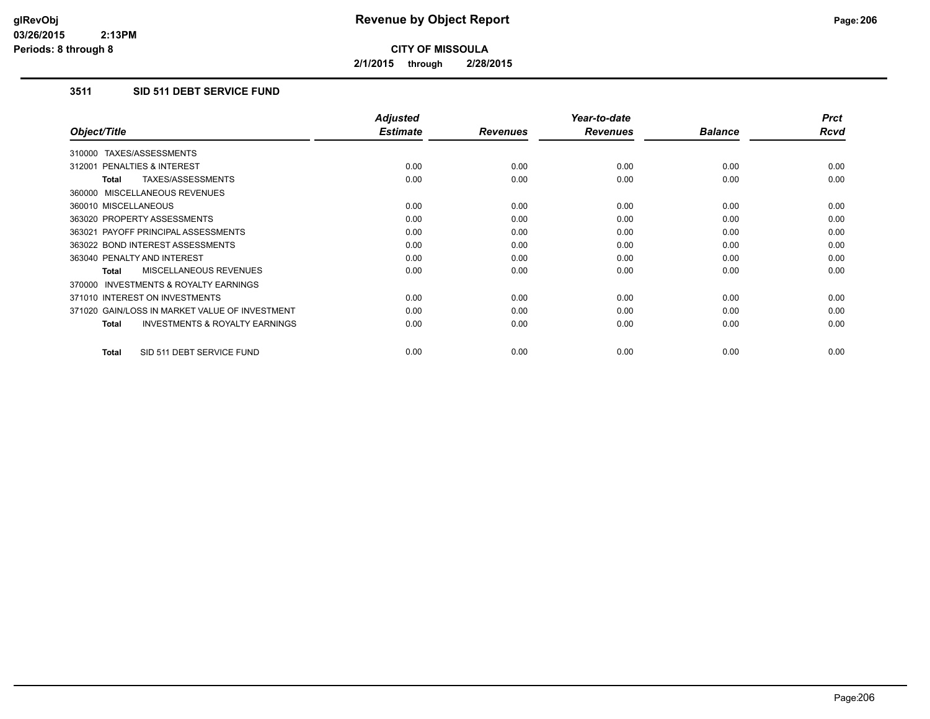**2/1/2015 through 2/28/2015**

# **3511 SID 511 DEBT SERVICE FUND**

|                                                           | <b>Adjusted</b> |                 | Year-to-date    |                | <b>Prct</b> |
|-----------------------------------------------------------|-----------------|-----------------|-----------------|----------------|-------------|
| Object/Title                                              | <b>Estimate</b> | <b>Revenues</b> | <b>Revenues</b> | <b>Balance</b> | <b>Rcvd</b> |
| 310000 TAXES/ASSESSMENTS                                  |                 |                 |                 |                |             |
| 312001 PENALTIES & INTEREST                               | 0.00            | 0.00            | 0.00            | 0.00           | 0.00        |
| TAXES/ASSESSMENTS<br><b>Total</b>                         | 0.00            | 0.00            | 0.00            | 0.00           | 0.00        |
| 360000 MISCELLANEOUS REVENUES                             |                 |                 |                 |                |             |
| 360010 MISCELLANEOUS                                      | 0.00            | 0.00            | 0.00            | 0.00           | 0.00        |
| 363020 PROPERTY ASSESSMENTS                               | 0.00            | 0.00            | 0.00            | 0.00           | 0.00        |
| 363021 PAYOFF PRINCIPAL ASSESSMENTS                       | 0.00            | 0.00            | 0.00            | 0.00           | 0.00        |
| 363022 BOND INTEREST ASSESSMENTS                          | 0.00            | 0.00            | 0.00            | 0.00           | 0.00        |
| 363040 PENALTY AND INTEREST                               | 0.00            | 0.00            | 0.00            | 0.00           | 0.00        |
| MISCELLANEOUS REVENUES<br><b>Total</b>                    | 0.00            | 0.00            | 0.00            | 0.00           | 0.00        |
| INVESTMENTS & ROYALTY EARNINGS<br>370000                  |                 |                 |                 |                |             |
| 371010 INTEREST ON INVESTMENTS                            | 0.00            | 0.00            | 0.00            | 0.00           | 0.00        |
| 371020 GAIN/LOSS IN MARKET VALUE OF INVESTMENT            | 0.00            | 0.00            | 0.00            | 0.00           | 0.00        |
| <b>INVESTMENTS &amp; ROYALTY EARNINGS</b><br><b>Total</b> | 0.00            | 0.00            | 0.00            | 0.00           | 0.00        |
| SID 511 DEBT SERVICE FUND<br><b>Total</b>                 | 0.00            | 0.00            | 0.00            | 0.00           | 0.00        |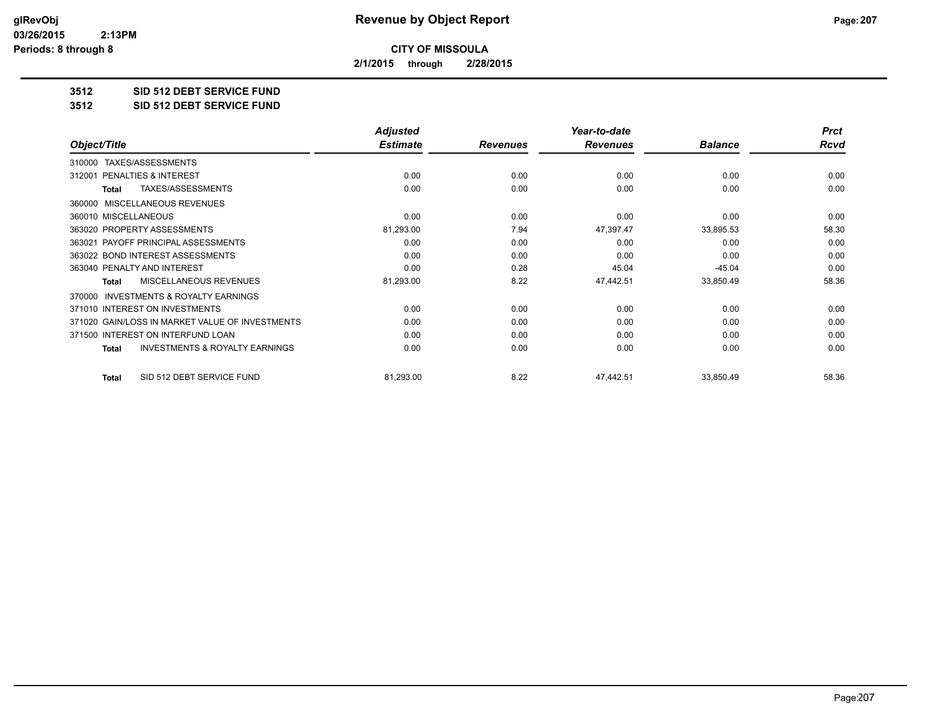**2/1/2015 through 2/28/2015**

#### **3512 SID 512 DEBT SERVICE FUND**

**3512 SID 512 DEBT SERVICE FUND**

|                                                           | <b>Adjusted</b> |                 | Year-to-date    |                | <b>Prct</b> |
|-----------------------------------------------------------|-----------------|-----------------|-----------------|----------------|-------------|
| Object/Title                                              | <b>Estimate</b> | <b>Revenues</b> | <b>Revenues</b> | <b>Balance</b> | Rcvd        |
| TAXES/ASSESSMENTS<br>310000                               |                 |                 |                 |                |             |
| PENALTIES & INTEREST<br>312001                            | 0.00            | 0.00            | 0.00            | 0.00           | 0.00        |
| TAXES/ASSESSMENTS<br><b>Total</b>                         | 0.00            | 0.00            | 0.00            | 0.00           | 0.00        |
| MISCELLANEOUS REVENUES<br>360000                          |                 |                 |                 |                |             |
| 360010 MISCELLANEOUS                                      | 0.00            | 0.00            | 0.00            | 0.00           | 0.00        |
| 363020 PROPERTY ASSESSMENTS                               | 81,293.00       | 7.94            | 47,397.47       | 33,895.53      | 58.30       |
| 363021 PAYOFF PRINCIPAL ASSESSMENTS                       | 0.00            | 0.00            | 0.00            | 0.00           | 0.00        |
| 363022 BOND INTEREST ASSESSMENTS                          | 0.00            | 0.00            | 0.00            | 0.00           | 0.00        |
| 363040 PENALTY AND INTEREST                               | 0.00            | 0.28            | 45.04           | $-45.04$       | 0.00        |
| <b>MISCELLANEOUS REVENUES</b><br><b>Total</b>             | 81,293.00       | 8.22            | 47,442.51       | 33,850.49      | 58.36       |
| <b>INVESTMENTS &amp; ROYALTY EARNINGS</b><br>370000       |                 |                 |                 |                |             |
| 371010 INTEREST ON INVESTMENTS                            | 0.00            | 0.00            | 0.00            | 0.00           | 0.00        |
| 371020 GAIN/LOSS IN MARKET VALUE OF INVESTMENTS           | 0.00            | 0.00            | 0.00            | 0.00           | 0.00        |
| 371500 INTEREST ON INTERFUND LOAN                         | 0.00            | 0.00            | 0.00            | 0.00           | 0.00        |
| <b>INVESTMENTS &amp; ROYALTY EARNINGS</b><br><b>Total</b> | 0.00            | 0.00            | 0.00            | 0.00           | 0.00        |
| SID 512 DEBT SERVICE FUND<br><b>Total</b>                 | 81,293.00       | 8.22            | 47,442.51       | 33,850.49      | 58.36       |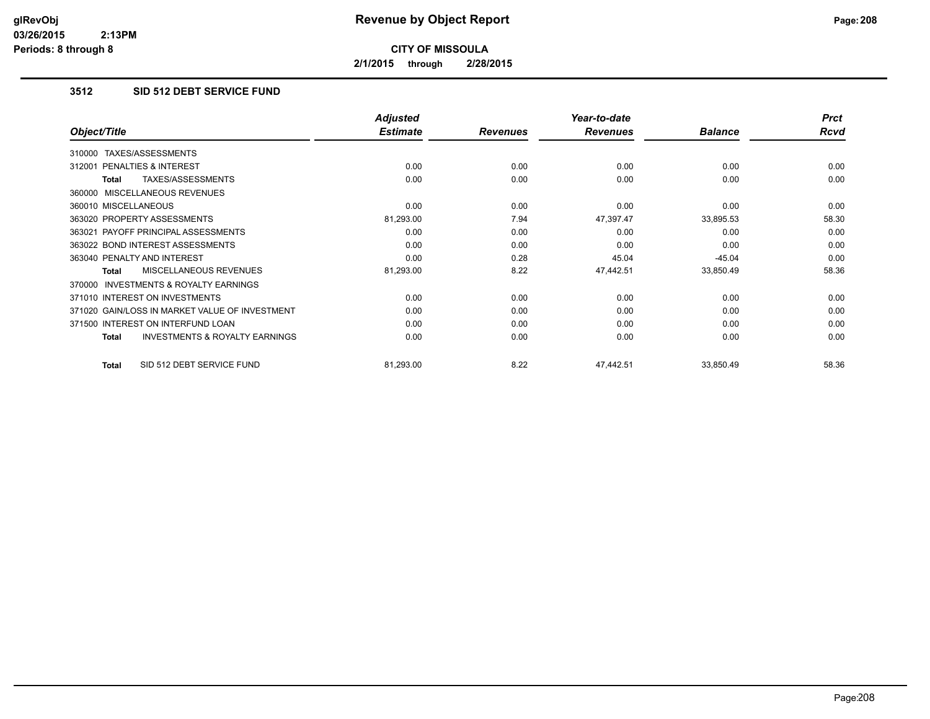**2/1/2015 through 2/28/2015**

# **3512 SID 512 DEBT SERVICE FUND**

|                                                    | <b>Adjusted</b> |                 | Year-to-date    |                | <b>Prct</b> |
|----------------------------------------------------|-----------------|-----------------|-----------------|----------------|-------------|
| Object/Title                                       | <b>Estimate</b> | <b>Revenues</b> | <b>Revenues</b> | <b>Balance</b> | <b>Rcvd</b> |
| TAXES/ASSESSMENTS<br>310000                        |                 |                 |                 |                |             |
| <b>PENALTIES &amp; INTEREST</b><br>312001          | 0.00            | 0.00            | 0.00            | 0.00           | 0.00        |
| TAXES/ASSESSMENTS<br>Total                         | 0.00            | 0.00            | 0.00            | 0.00           | 0.00        |
| 360000 MISCELLANEOUS REVENUES                      |                 |                 |                 |                |             |
| 360010 MISCELLANEOUS                               | 0.00            | 0.00            | 0.00            | 0.00           | 0.00        |
| 363020 PROPERTY ASSESSMENTS                        | 81,293.00       | 7.94            | 47,397.47       | 33,895.53      | 58.30       |
| 363021 PAYOFF PRINCIPAL ASSESSMENTS                | 0.00            | 0.00            | 0.00            | 0.00           | 0.00        |
| 363022 BOND INTEREST ASSESSMENTS                   | 0.00            | 0.00            | 0.00            | 0.00           | 0.00        |
| 363040 PENALTY AND INTEREST                        | 0.00            | 0.28            | 45.04           | $-45.04$       | 0.00        |
| MISCELLANEOUS REVENUES<br><b>Total</b>             | 81,293.00       | 8.22            | 47,442.51       | 33,850.49      | 58.36       |
| 370000 INVESTMENTS & ROYALTY EARNINGS              |                 |                 |                 |                |             |
| 371010 INTEREST ON INVESTMENTS                     | 0.00            | 0.00            | 0.00            | 0.00           | 0.00        |
| 371020 GAIN/LOSS IN MARKET VALUE OF INVESTMENT     | 0.00            | 0.00            | 0.00            | 0.00           | 0.00        |
| 371500 INTEREST ON INTERFUND LOAN                  | 0.00            | 0.00            | 0.00            | 0.00           | 0.00        |
| <b>INVESTMENTS &amp; ROYALTY EARNINGS</b><br>Total | 0.00            | 0.00            | 0.00            | 0.00           | 0.00        |
| SID 512 DEBT SERVICE FUND<br>Total                 | 81,293.00       | 8.22            | 47,442.51       | 33,850.49      | 58.36       |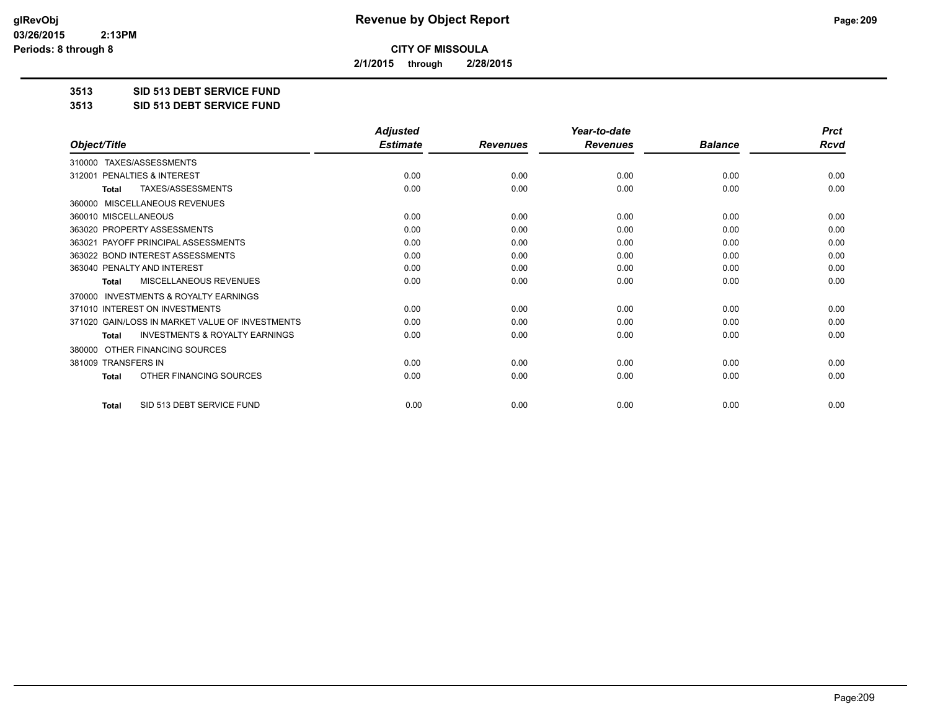**2/1/2015 through 2/28/2015**

**3513 SID 513 DEBT SERVICE FUND**

**3513 SID 513 DEBT SERVICE FUND**

|                                                           | <b>Adjusted</b> |                 | Year-to-date    |                | <b>Prct</b> |
|-----------------------------------------------------------|-----------------|-----------------|-----------------|----------------|-------------|
| Object/Title                                              | <b>Estimate</b> | <b>Revenues</b> | <b>Revenues</b> | <b>Balance</b> | <b>Rcvd</b> |
| TAXES/ASSESSMENTS<br>310000                               |                 |                 |                 |                |             |
| 312001 PENALTIES & INTEREST                               | 0.00            | 0.00            | 0.00            | 0.00           | 0.00        |
| TAXES/ASSESSMENTS<br><b>Total</b>                         | 0.00            | 0.00            | 0.00            | 0.00           | 0.00        |
| MISCELLANEOUS REVENUES<br>360000                          |                 |                 |                 |                |             |
| 360010 MISCELLANEOUS                                      | 0.00            | 0.00            | 0.00            | 0.00           | 0.00        |
| 363020 PROPERTY ASSESSMENTS                               | 0.00            | 0.00            | 0.00            | 0.00           | 0.00        |
| 363021 PAYOFF PRINCIPAL ASSESSMENTS                       | 0.00            | 0.00            | 0.00            | 0.00           | 0.00        |
| 363022 BOND INTEREST ASSESSMENTS                          | 0.00            | 0.00            | 0.00            | 0.00           | 0.00        |
| 363040 PENALTY AND INTEREST                               | 0.00            | 0.00            | 0.00            | 0.00           | 0.00        |
| <b>MISCELLANEOUS REVENUES</b><br><b>Total</b>             | 0.00            | 0.00            | 0.00            | 0.00           | 0.00        |
| <b>INVESTMENTS &amp; ROYALTY EARNINGS</b><br>370000       |                 |                 |                 |                |             |
| 371010 INTEREST ON INVESTMENTS                            | 0.00            | 0.00            | 0.00            | 0.00           | 0.00        |
| 371020 GAIN/LOSS IN MARKET VALUE OF INVESTMENTS           | 0.00            | 0.00            | 0.00            | 0.00           | 0.00        |
| <b>INVESTMENTS &amp; ROYALTY EARNINGS</b><br><b>Total</b> | 0.00            | 0.00            | 0.00            | 0.00           | 0.00        |
| OTHER FINANCING SOURCES<br>380000                         |                 |                 |                 |                |             |
| 381009 TRANSFERS IN                                       | 0.00            | 0.00            | 0.00            | 0.00           | 0.00        |
| OTHER FINANCING SOURCES<br><b>Total</b>                   | 0.00            | 0.00            | 0.00            | 0.00           | 0.00        |
| SID 513 DEBT SERVICE FUND<br><b>Total</b>                 | 0.00            | 0.00            | 0.00            | 0.00           | 0.00        |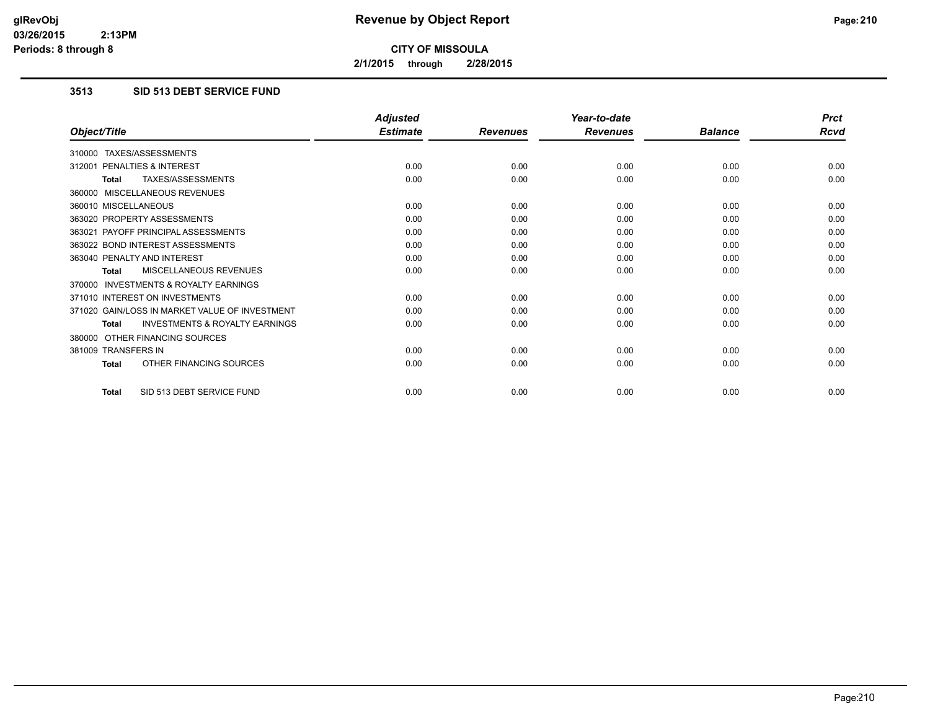**2/1/2015 through 2/28/2015**

# **3513 SID 513 DEBT SERVICE FUND**

|                                                           | <b>Adjusted</b> |                 | Year-to-date    |                | <b>Prct</b> |
|-----------------------------------------------------------|-----------------|-----------------|-----------------|----------------|-------------|
| Object/Title                                              | <b>Estimate</b> | <b>Revenues</b> | <b>Revenues</b> | <b>Balance</b> | <b>Rcvd</b> |
| 310000 TAXES/ASSESSMENTS                                  |                 |                 |                 |                |             |
| PENALTIES & INTEREST<br>312001                            | 0.00            | 0.00            | 0.00            | 0.00           | 0.00        |
| TAXES/ASSESSMENTS<br><b>Total</b>                         | 0.00            | 0.00            | 0.00            | 0.00           | 0.00        |
| 360000 MISCELLANEOUS REVENUES                             |                 |                 |                 |                |             |
| 360010 MISCELLANEOUS                                      | 0.00            | 0.00            | 0.00            | 0.00           | 0.00        |
| 363020 PROPERTY ASSESSMENTS                               | 0.00            | 0.00            | 0.00            | 0.00           | 0.00        |
| 363021 PAYOFF PRINCIPAL ASSESSMENTS                       | 0.00            | 0.00            | 0.00            | 0.00           | 0.00        |
| 363022 BOND INTEREST ASSESSMENTS                          | 0.00            | 0.00            | 0.00            | 0.00           | 0.00        |
| 363040 PENALTY AND INTEREST                               | 0.00            | 0.00            | 0.00            | 0.00           | 0.00        |
| <b>MISCELLANEOUS REVENUES</b><br><b>Total</b>             | 0.00            | 0.00            | 0.00            | 0.00           | 0.00        |
| <b>INVESTMENTS &amp; ROYALTY EARNINGS</b><br>370000       |                 |                 |                 |                |             |
| 371010 INTEREST ON INVESTMENTS                            | 0.00            | 0.00            | 0.00            | 0.00           | 0.00        |
| 371020 GAIN/LOSS IN MARKET VALUE OF INVESTMENT            | 0.00            | 0.00            | 0.00            | 0.00           | 0.00        |
| <b>INVESTMENTS &amp; ROYALTY EARNINGS</b><br><b>Total</b> | 0.00            | 0.00            | 0.00            | 0.00           | 0.00        |
| OTHER FINANCING SOURCES<br>380000                         |                 |                 |                 |                |             |
| 381009 TRANSFERS IN                                       | 0.00            | 0.00            | 0.00            | 0.00           | 0.00        |
| OTHER FINANCING SOURCES<br><b>Total</b>                   | 0.00            | 0.00            | 0.00            | 0.00           | 0.00        |
| SID 513 DEBT SERVICE FUND<br><b>Total</b>                 | 0.00            | 0.00            | 0.00            | 0.00           | 0.00        |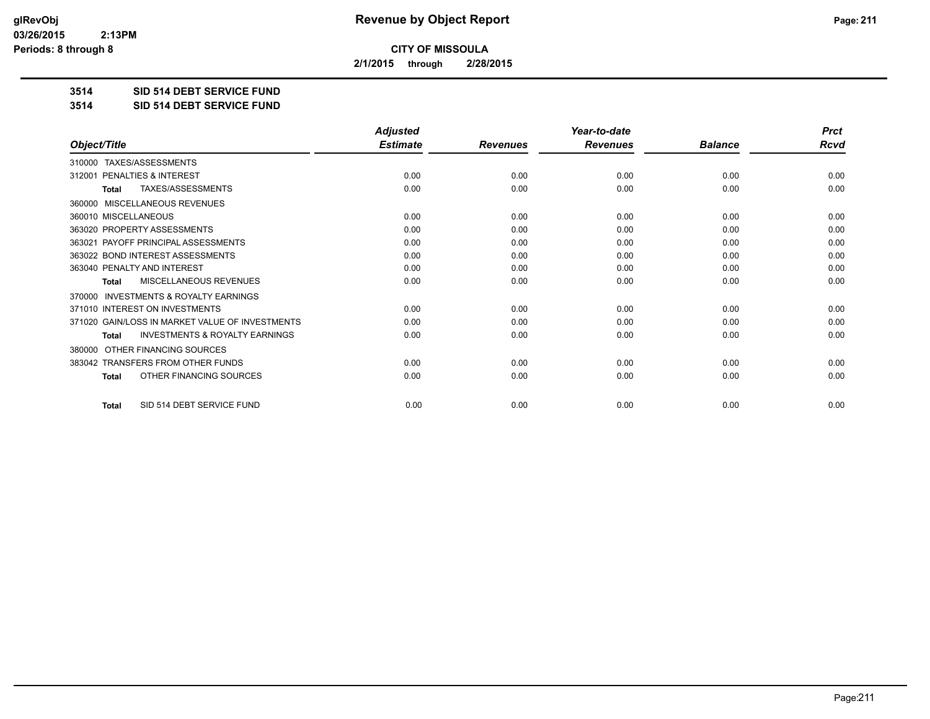**2/1/2015 through 2/28/2015**

**3514 SID 514 DEBT SERVICE FUND**

**3514 SID 514 DEBT SERVICE FUND**

|                                                           | <b>Adjusted</b> |                 | Year-to-date    |                | <b>Prct</b> |
|-----------------------------------------------------------|-----------------|-----------------|-----------------|----------------|-------------|
| Object/Title                                              | <b>Estimate</b> | <b>Revenues</b> | <b>Revenues</b> | <b>Balance</b> | <b>Rcvd</b> |
| 310000 TAXES/ASSESSMENTS                                  |                 |                 |                 |                |             |
| PENALTIES & INTEREST<br>312001                            | 0.00            | 0.00            | 0.00            | 0.00           | 0.00        |
| <b>TAXES/ASSESSMENTS</b><br><b>Total</b>                  | 0.00            | 0.00            | 0.00            | 0.00           | 0.00        |
| MISCELLANEOUS REVENUES<br>360000                          |                 |                 |                 |                |             |
| 360010 MISCELLANEOUS                                      | 0.00            | 0.00            | 0.00            | 0.00           | 0.00        |
| 363020 PROPERTY ASSESSMENTS                               | 0.00            | 0.00            | 0.00            | 0.00           | 0.00        |
| 363021 PAYOFF PRINCIPAL ASSESSMENTS                       | 0.00            | 0.00            | 0.00            | 0.00           | 0.00        |
| 363022 BOND INTEREST ASSESSMENTS                          | 0.00            | 0.00            | 0.00            | 0.00           | 0.00        |
| 363040 PENALTY AND INTEREST                               | 0.00            | 0.00            | 0.00            | 0.00           | 0.00        |
| MISCELLANEOUS REVENUES<br>Total                           | 0.00            | 0.00            | 0.00            | 0.00           | 0.00        |
| INVESTMENTS & ROYALTY EARNINGS<br>370000                  |                 |                 |                 |                |             |
| 371010 INTEREST ON INVESTMENTS                            | 0.00            | 0.00            | 0.00            | 0.00           | 0.00        |
| 371020 GAIN/LOSS IN MARKET VALUE OF INVESTMENTS           | 0.00            | 0.00            | 0.00            | 0.00           | 0.00        |
| <b>INVESTMENTS &amp; ROYALTY EARNINGS</b><br><b>Total</b> | 0.00            | 0.00            | 0.00            | 0.00           | 0.00        |
| OTHER FINANCING SOURCES<br>380000                         |                 |                 |                 |                |             |
| 383042 TRANSFERS FROM OTHER FUNDS                         | 0.00            | 0.00            | 0.00            | 0.00           | 0.00        |
| OTHER FINANCING SOURCES<br><b>Total</b>                   | 0.00            | 0.00            | 0.00            | 0.00           | 0.00        |
| SID 514 DEBT SERVICE FUND<br><b>Total</b>                 | 0.00            | 0.00            | 0.00            | 0.00           | 0.00        |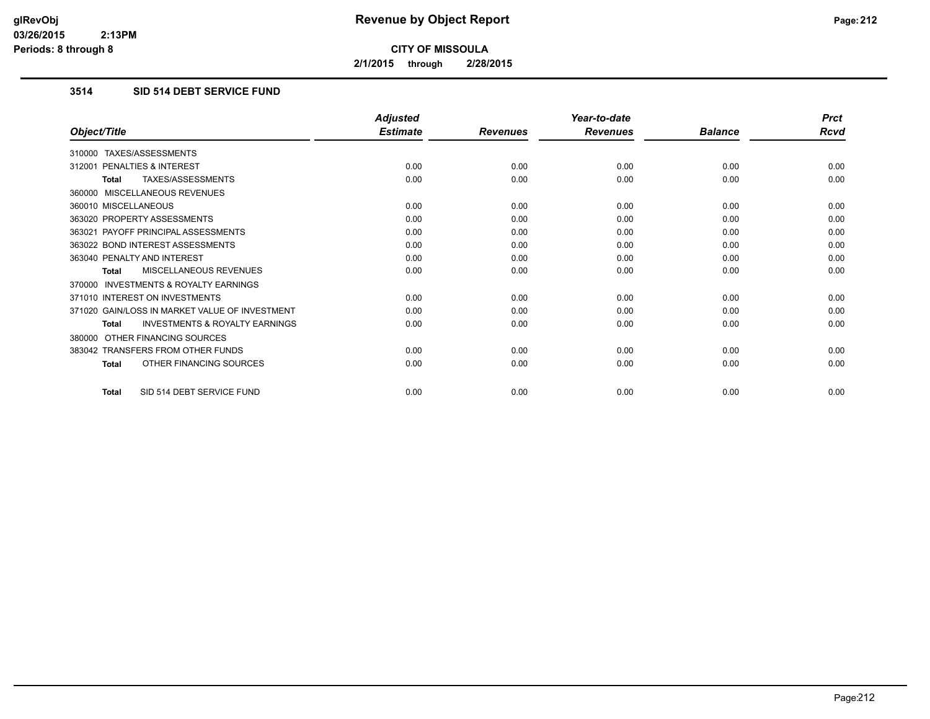**2/1/2015 through 2/28/2015**

# **3514 SID 514 DEBT SERVICE FUND**

|                                                           | <b>Adjusted</b> |                 | Year-to-date    |                | <b>Prct</b> |
|-----------------------------------------------------------|-----------------|-----------------|-----------------|----------------|-------------|
| Object/Title                                              | <b>Estimate</b> | <b>Revenues</b> | <b>Revenues</b> | <b>Balance</b> | Rcvd        |
| 310000 TAXES/ASSESSMENTS                                  |                 |                 |                 |                |             |
| 312001 PENALTIES & INTEREST                               | 0.00            | 0.00            | 0.00            | 0.00           | 0.00        |
| <b>TAXES/ASSESSMENTS</b><br><b>Total</b>                  | 0.00            | 0.00            | 0.00            | 0.00           | 0.00        |
| 360000 MISCELLANEOUS REVENUES                             |                 |                 |                 |                |             |
| 360010 MISCELLANEOUS                                      | 0.00            | 0.00            | 0.00            | 0.00           | 0.00        |
| 363020 PROPERTY ASSESSMENTS                               | 0.00            | 0.00            | 0.00            | 0.00           | 0.00        |
| 363021 PAYOFF PRINCIPAL ASSESSMENTS                       | 0.00            | 0.00            | 0.00            | 0.00           | 0.00        |
| 363022 BOND INTEREST ASSESSMENTS                          | 0.00            | 0.00            | 0.00            | 0.00           | 0.00        |
| 363040 PENALTY AND INTEREST                               | 0.00            | 0.00            | 0.00            | 0.00           | 0.00        |
| <b>MISCELLANEOUS REVENUES</b><br><b>Total</b>             | 0.00            | 0.00            | 0.00            | 0.00           | 0.00        |
| <b>INVESTMENTS &amp; ROYALTY EARNINGS</b><br>370000       |                 |                 |                 |                |             |
| 371010 INTEREST ON INVESTMENTS                            | 0.00            | 0.00            | 0.00            | 0.00           | 0.00        |
| 371020 GAIN/LOSS IN MARKET VALUE OF INVESTMENT            | 0.00            | 0.00            | 0.00            | 0.00           | 0.00        |
| <b>INVESTMENTS &amp; ROYALTY EARNINGS</b><br><b>Total</b> | 0.00            | 0.00            | 0.00            | 0.00           | 0.00        |
| OTHER FINANCING SOURCES<br>380000                         |                 |                 |                 |                |             |
| 383042 TRANSFERS FROM OTHER FUNDS                         | 0.00            | 0.00            | 0.00            | 0.00           | 0.00        |
| OTHER FINANCING SOURCES<br><b>Total</b>                   | 0.00            | 0.00            | 0.00            | 0.00           | 0.00        |
| SID 514 DEBT SERVICE FUND<br>Total                        | 0.00            | 0.00            | 0.00            | 0.00           | 0.00        |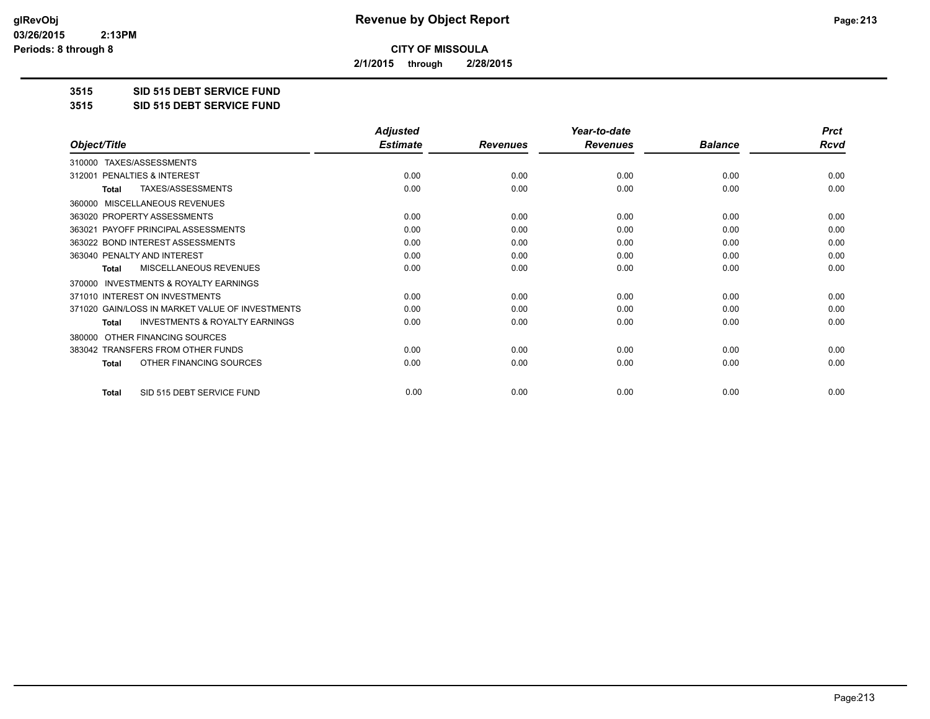**2/1/2015 through 2/28/2015**

**3515 SID 515 DEBT SERVICE FUND**

**3515 SID 515 DEBT SERVICE FUND**

|                                                           | <b>Adjusted</b> |                 | Year-to-date    |                | <b>Prct</b> |
|-----------------------------------------------------------|-----------------|-----------------|-----------------|----------------|-------------|
| Object/Title                                              | <b>Estimate</b> | <b>Revenues</b> | <b>Revenues</b> | <b>Balance</b> | <b>Rcvd</b> |
| TAXES/ASSESSMENTS<br>310000                               |                 |                 |                 |                |             |
| PENALTIES & INTEREST<br>312001                            | 0.00            | 0.00            | 0.00            | 0.00           | 0.00        |
| TAXES/ASSESSMENTS<br>Total                                | 0.00            | 0.00            | 0.00            | 0.00           | 0.00        |
| MISCELLANEOUS REVENUES<br>360000                          |                 |                 |                 |                |             |
| 363020 PROPERTY ASSESSMENTS                               | 0.00            | 0.00            | 0.00            | 0.00           | 0.00        |
| PAYOFF PRINCIPAL ASSESSMENTS<br>363021                    | 0.00            | 0.00            | 0.00            | 0.00           | 0.00        |
| 363022 BOND INTEREST ASSESSMENTS                          | 0.00            | 0.00            | 0.00            | 0.00           | 0.00        |
| 363040 PENALTY AND INTEREST                               | 0.00            | 0.00            | 0.00            | 0.00           | 0.00        |
| MISCELLANEOUS REVENUES<br>Total                           | 0.00            | 0.00            | 0.00            | 0.00           | 0.00        |
| <b>INVESTMENTS &amp; ROYALTY EARNINGS</b><br>370000       |                 |                 |                 |                |             |
| 371010 INTEREST ON INVESTMENTS                            | 0.00            | 0.00            | 0.00            | 0.00           | 0.00        |
| 371020 GAIN/LOSS IN MARKET VALUE OF INVESTMENTS           | 0.00            | 0.00            | 0.00            | 0.00           | 0.00        |
| <b>INVESTMENTS &amp; ROYALTY EARNINGS</b><br><b>Total</b> | 0.00            | 0.00            | 0.00            | 0.00           | 0.00        |
| OTHER FINANCING SOURCES<br>380000                         |                 |                 |                 |                |             |
| 383042 TRANSFERS FROM OTHER FUNDS                         | 0.00            | 0.00            | 0.00            | 0.00           | 0.00        |
| OTHER FINANCING SOURCES<br><b>Total</b>                   | 0.00            | 0.00            | 0.00            | 0.00           | 0.00        |
| SID 515 DEBT SERVICE FUND<br><b>Total</b>                 | 0.00            | 0.00            | 0.00            | 0.00           | 0.00        |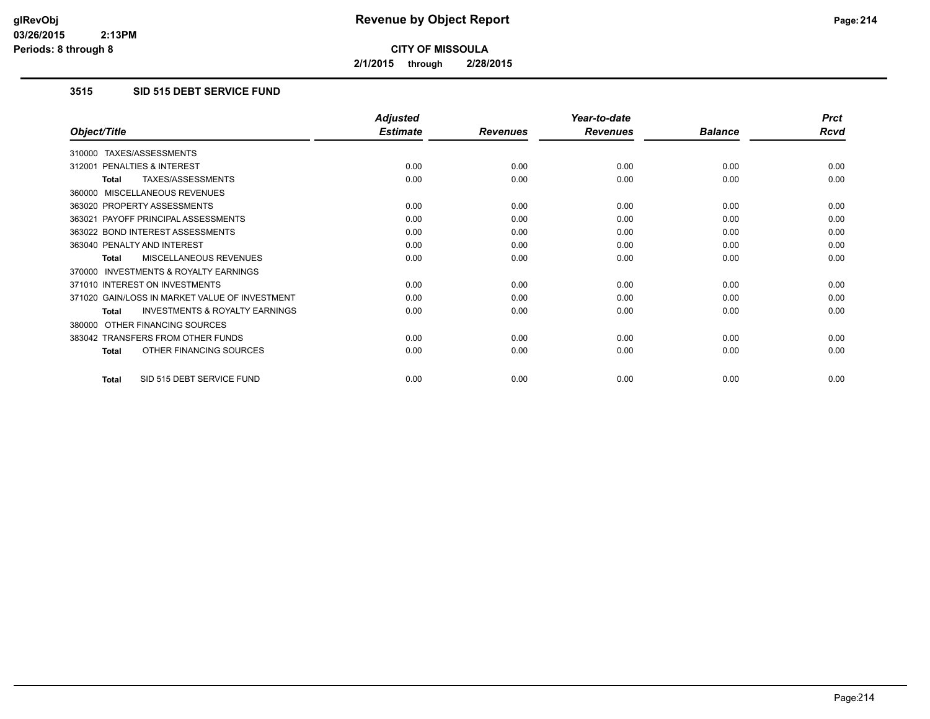**2/1/2015 through 2/28/2015**

# **3515 SID 515 DEBT SERVICE FUND**

|                                                           | <b>Adjusted</b> |                 | Year-to-date    |                | <b>Prct</b> |
|-----------------------------------------------------------|-----------------|-----------------|-----------------|----------------|-------------|
| Object/Title                                              | <b>Estimate</b> | <b>Revenues</b> | <b>Revenues</b> | <b>Balance</b> | <b>Rcvd</b> |
| TAXES/ASSESSMENTS<br>310000                               |                 |                 |                 |                |             |
| <b>PENALTIES &amp; INTEREST</b><br>312001                 | 0.00            | 0.00            | 0.00            | 0.00           | 0.00        |
| TAXES/ASSESSMENTS<br><b>Total</b>                         | 0.00            | 0.00            | 0.00            | 0.00           | 0.00        |
| MISCELLANEOUS REVENUES<br>360000                          |                 |                 |                 |                |             |
| 363020 PROPERTY ASSESSMENTS                               | 0.00            | 0.00            | 0.00            | 0.00           | 0.00        |
| 363021 PAYOFF PRINCIPAL ASSESSMENTS                       | 0.00            | 0.00            | 0.00            | 0.00           | 0.00        |
| 363022 BOND INTEREST ASSESSMENTS                          | 0.00            | 0.00            | 0.00            | 0.00           | 0.00        |
| 363040 PENALTY AND INTEREST                               | 0.00            | 0.00            | 0.00            | 0.00           | 0.00        |
| <b>MISCELLANEOUS REVENUES</b><br><b>Total</b>             | 0.00            | 0.00            | 0.00            | 0.00           | 0.00        |
| <b>INVESTMENTS &amp; ROYALTY EARNINGS</b><br>370000       |                 |                 |                 |                |             |
| 371010 INTEREST ON INVESTMENTS                            | 0.00            | 0.00            | 0.00            | 0.00           | 0.00        |
| 371020 GAIN/LOSS IN MARKET VALUE OF INVESTMENT            | 0.00            | 0.00            | 0.00            | 0.00           | 0.00        |
| <b>INVESTMENTS &amp; ROYALTY EARNINGS</b><br><b>Total</b> | 0.00            | 0.00            | 0.00            | 0.00           | 0.00        |
| OTHER FINANCING SOURCES<br>380000                         |                 |                 |                 |                |             |
| 383042 TRANSFERS FROM OTHER FUNDS                         | 0.00            | 0.00            | 0.00            | 0.00           | 0.00        |
| OTHER FINANCING SOURCES<br><b>Total</b>                   | 0.00            | 0.00            | 0.00            | 0.00           | 0.00        |
| SID 515 DEBT SERVICE FUND<br>Total                        | 0.00            | 0.00            | 0.00            | 0.00           | 0.00        |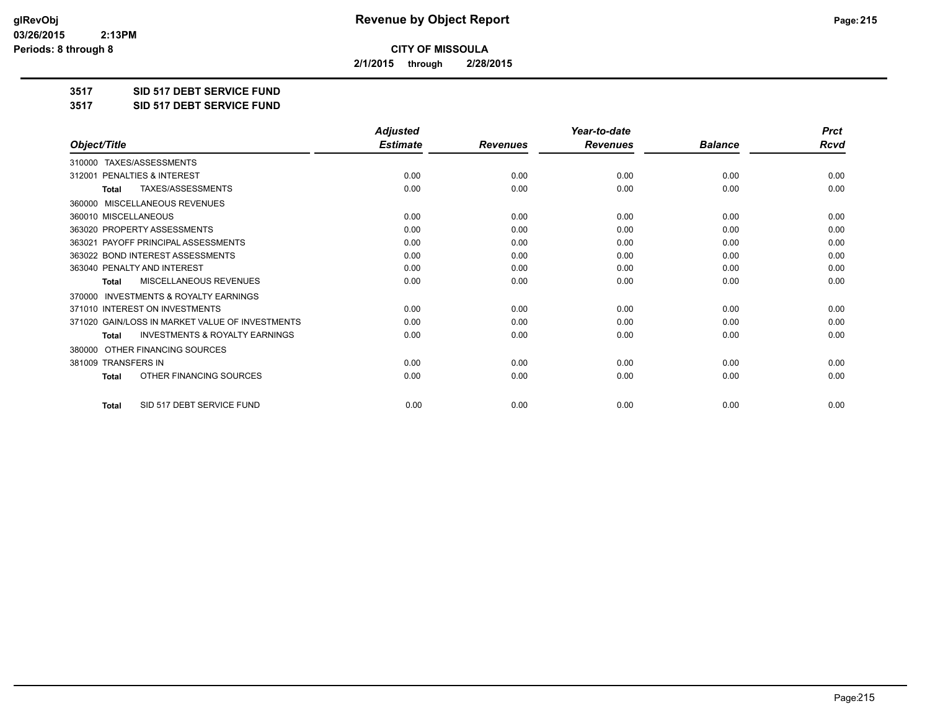**2/1/2015 through 2/28/2015**

**3517 SID 517 DEBT SERVICE FUND**

**3517 SID 517 DEBT SERVICE FUND**

|                                                           | <b>Adjusted</b> |                 | Year-to-date    |                | <b>Prct</b> |
|-----------------------------------------------------------|-----------------|-----------------|-----------------|----------------|-------------|
| Object/Title                                              | <b>Estimate</b> | <b>Revenues</b> | <b>Revenues</b> | <b>Balance</b> | <b>Rcvd</b> |
| TAXES/ASSESSMENTS<br>310000                               |                 |                 |                 |                |             |
| 312001 PENALTIES & INTEREST                               | 0.00            | 0.00            | 0.00            | 0.00           | 0.00        |
| TAXES/ASSESSMENTS<br><b>Total</b>                         | 0.00            | 0.00            | 0.00            | 0.00           | 0.00        |
| MISCELLANEOUS REVENUES<br>360000                          |                 |                 |                 |                |             |
| 360010 MISCELLANEOUS                                      | 0.00            | 0.00            | 0.00            | 0.00           | 0.00        |
| 363020 PROPERTY ASSESSMENTS                               | 0.00            | 0.00            | 0.00            | 0.00           | 0.00        |
| 363021 PAYOFF PRINCIPAL ASSESSMENTS                       | 0.00            | 0.00            | 0.00            | 0.00           | 0.00        |
| 363022 BOND INTEREST ASSESSMENTS                          | 0.00            | 0.00            | 0.00            | 0.00           | 0.00        |
| 363040 PENALTY AND INTEREST                               | 0.00            | 0.00            | 0.00            | 0.00           | 0.00        |
| <b>MISCELLANEOUS REVENUES</b><br><b>Total</b>             | 0.00            | 0.00            | 0.00            | 0.00           | 0.00        |
| <b>INVESTMENTS &amp; ROYALTY EARNINGS</b><br>370000       |                 |                 |                 |                |             |
| 371010 INTEREST ON INVESTMENTS                            | 0.00            | 0.00            | 0.00            | 0.00           | 0.00        |
| 371020 GAIN/LOSS IN MARKET VALUE OF INVESTMENTS           | 0.00            | 0.00            | 0.00            | 0.00           | 0.00        |
| <b>INVESTMENTS &amp; ROYALTY EARNINGS</b><br><b>Total</b> | 0.00            | 0.00            | 0.00            | 0.00           | 0.00        |
| OTHER FINANCING SOURCES<br>380000                         |                 |                 |                 |                |             |
| 381009 TRANSFERS IN                                       | 0.00            | 0.00            | 0.00            | 0.00           | 0.00        |
| OTHER FINANCING SOURCES<br>Total                          | 0.00            | 0.00            | 0.00            | 0.00           | 0.00        |
| SID 517 DEBT SERVICE FUND<br><b>Total</b>                 | 0.00            | 0.00            | 0.00            | 0.00           | 0.00        |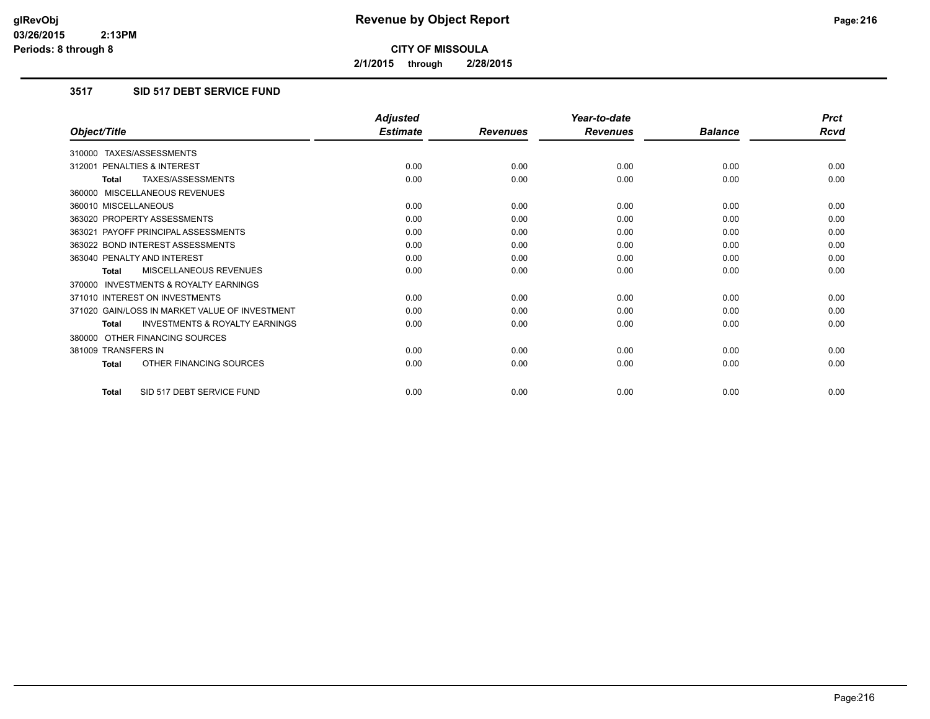**2/1/2015 through 2/28/2015**

# **3517 SID 517 DEBT SERVICE FUND**

|                                                           | <b>Adjusted</b> |                 | Year-to-date    |                | <b>Prct</b> |
|-----------------------------------------------------------|-----------------|-----------------|-----------------|----------------|-------------|
| Object/Title                                              | <b>Estimate</b> | <b>Revenues</b> | <b>Revenues</b> | <b>Balance</b> | <b>Rcvd</b> |
| 310000 TAXES/ASSESSMENTS                                  |                 |                 |                 |                |             |
| 312001 PENALTIES & INTEREST                               | 0.00            | 0.00            | 0.00            | 0.00           | 0.00        |
| TAXES/ASSESSMENTS<br><b>Total</b>                         | 0.00            | 0.00            | 0.00            | 0.00           | 0.00        |
| 360000 MISCELLANEOUS REVENUES                             |                 |                 |                 |                |             |
| 360010 MISCELLANEOUS                                      | 0.00            | 0.00            | 0.00            | 0.00           | 0.00        |
| 363020 PROPERTY ASSESSMENTS                               | 0.00            | 0.00            | 0.00            | 0.00           | 0.00        |
| 363021 PAYOFF PRINCIPAL ASSESSMENTS                       | 0.00            | 0.00            | 0.00            | 0.00           | 0.00        |
| 363022 BOND INTEREST ASSESSMENTS                          | 0.00            | 0.00            | 0.00            | 0.00           | 0.00        |
| 363040 PENALTY AND INTEREST                               | 0.00            | 0.00            | 0.00            | 0.00           | 0.00        |
| MISCELLANEOUS REVENUES<br><b>Total</b>                    | 0.00            | 0.00            | 0.00            | 0.00           | 0.00        |
| <b>INVESTMENTS &amp; ROYALTY EARNINGS</b><br>370000       |                 |                 |                 |                |             |
| 371010 INTEREST ON INVESTMENTS                            | 0.00            | 0.00            | 0.00            | 0.00           | 0.00        |
| 371020 GAIN/LOSS IN MARKET VALUE OF INVESTMENT            | 0.00            | 0.00            | 0.00            | 0.00           | 0.00        |
| <b>INVESTMENTS &amp; ROYALTY EARNINGS</b><br><b>Total</b> | 0.00            | 0.00            | 0.00            | 0.00           | 0.00        |
| 380000 OTHER FINANCING SOURCES                            |                 |                 |                 |                |             |
| 381009 TRANSFERS IN                                       | 0.00            | 0.00            | 0.00            | 0.00           | 0.00        |
| OTHER FINANCING SOURCES<br><b>Total</b>                   | 0.00            | 0.00            | 0.00            | 0.00           | 0.00        |
| SID 517 DEBT SERVICE FUND<br>Total                        | 0.00            | 0.00            | 0.00            | 0.00           | 0.00        |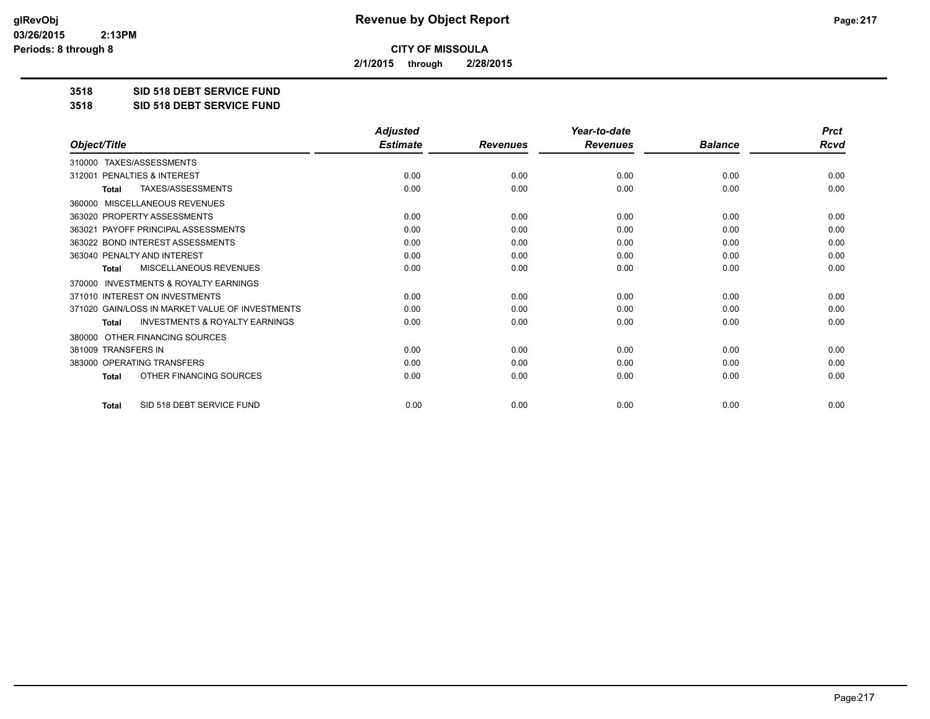**2/1/2015 through 2/28/2015**

**3518 SID 518 DEBT SERVICE FUND**

**3518 SID 518 DEBT SERVICE FUND**

|                                                           | <b>Adjusted</b> |                 | Year-to-date    |                | <b>Prct</b> |
|-----------------------------------------------------------|-----------------|-----------------|-----------------|----------------|-------------|
| Object/Title                                              | <b>Estimate</b> | <b>Revenues</b> | <b>Revenues</b> | <b>Balance</b> | <b>Rcvd</b> |
| 310000 TAXES/ASSESSMENTS                                  |                 |                 |                 |                |             |
| PENALTIES & INTEREST<br>312001                            | 0.00            | 0.00            | 0.00            | 0.00           | 0.00        |
| TAXES/ASSESSMENTS<br><b>Total</b>                         | 0.00            | 0.00            | 0.00            | 0.00           | 0.00        |
| MISCELLANEOUS REVENUES<br>360000                          |                 |                 |                 |                |             |
| 363020 PROPERTY ASSESSMENTS                               | 0.00            | 0.00            | 0.00            | 0.00           | 0.00        |
| 363021 PAYOFF PRINCIPAL ASSESSMENTS                       | 0.00            | 0.00            | 0.00            | 0.00           | 0.00        |
| 363022 BOND INTEREST ASSESSMENTS                          | 0.00            | 0.00            | 0.00            | 0.00           | 0.00        |
| 363040 PENALTY AND INTEREST                               | 0.00            | 0.00            | 0.00            | 0.00           | 0.00        |
| MISCELLANEOUS REVENUES<br><b>Total</b>                    | 0.00            | 0.00            | 0.00            | 0.00           | 0.00        |
| <b>INVESTMENTS &amp; ROYALTY EARNINGS</b><br>370000       |                 |                 |                 |                |             |
| 371010 INTEREST ON INVESTMENTS                            | 0.00            | 0.00            | 0.00            | 0.00           | 0.00        |
| 371020 GAIN/LOSS IN MARKET VALUE OF INVESTMENTS           | 0.00            | 0.00            | 0.00            | 0.00           | 0.00        |
| <b>INVESTMENTS &amp; ROYALTY EARNINGS</b><br><b>Total</b> | 0.00            | 0.00            | 0.00            | 0.00           | 0.00        |
| OTHER FINANCING SOURCES<br>380000                         |                 |                 |                 |                |             |
| 381009 TRANSFERS IN                                       | 0.00            | 0.00            | 0.00            | 0.00           | 0.00        |
| 383000 OPERATING TRANSFERS                                | 0.00            | 0.00            | 0.00            | 0.00           | 0.00        |
| OTHER FINANCING SOURCES<br><b>Total</b>                   | 0.00            | 0.00            | 0.00            | 0.00           | 0.00        |
| SID 518 DEBT SERVICE FUND<br><b>Total</b>                 | 0.00            | 0.00            | 0.00            | 0.00           | 0.00        |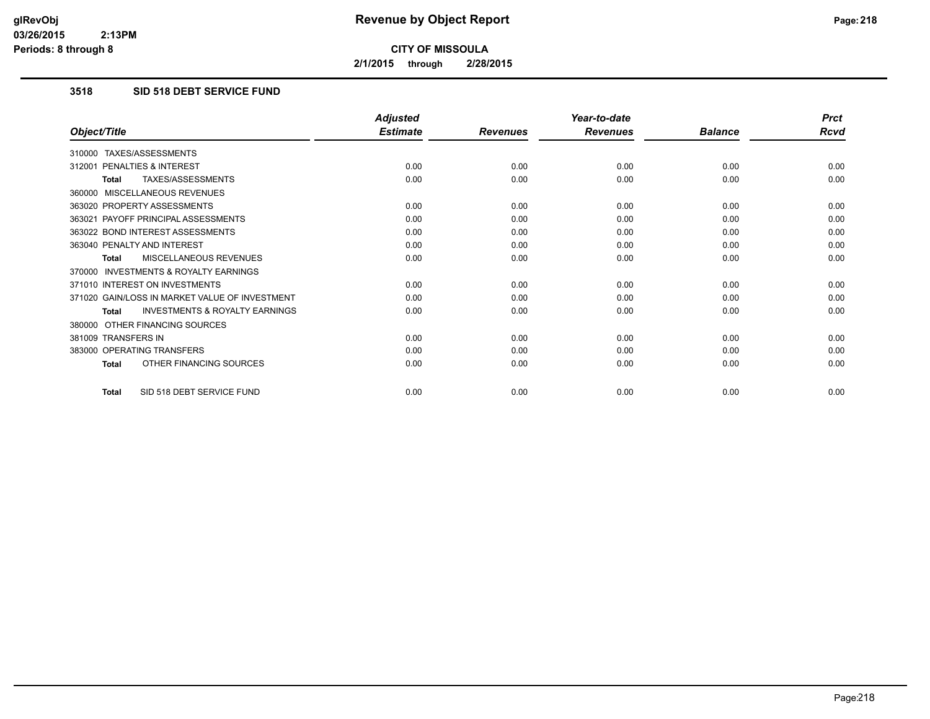**2/1/2015 through 2/28/2015**

### **3518 SID 518 DEBT SERVICE FUND**

|                                                           | <b>Adjusted</b> |                 | Year-to-date    |                | <b>Prct</b> |
|-----------------------------------------------------------|-----------------|-----------------|-----------------|----------------|-------------|
| Object/Title                                              | <b>Estimate</b> | <b>Revenues</b> | <b>Revenues</b> | <b>Balance</b> | <b>Rcvd</b> |
| 310000 TAXES/ASSESSMENTS                                  |                 |                 |                 |                |             |
| 312001 PENALTIES & INTEREST                               | 0.00            | 0.00            | 0.00            | 0.00           | 0.00        |
| <b>TAXES/ASSESSMENTS</b><br><b>Total</b>                  | 0.00            | 0.00            | 0.00            | 0.00           | 0.00        |
| 360000 MISCELLANEOUS REVENUES                             |                 |                 |                 |                |             |
| 363020 PROPERTY ASSESSMENTS                               | 0.00            | 0.00            | 0.00            | 0.00           | 0.00        |
| 363021 PAYOFF PRINCIPAL ASSESSMENTS                       | 0.00            | 0.00            | 0.00            | 0.00           | 0.00        |
| 363022 BOND INTEREST ASSESSMENTS                          | 0.00            | 0.00            | 0.00            | 0.00           | 0.00        |
| 363040 PENALTY AND INTEREST                               | 0.00            | 0.00            | 0.00            | 0.00           | 0.00        |
| MISCELLANEOUS REVENUES<br>Total                           | 0.00            | 0.00            | 0.00            | 0.00           | 0.00        |
| <b>INVESTMENTS &amp; ROYALTY EARNINGS</b><br>370000       |                 |                 |                 |                |             |
| 371010 INTEREST ON INVESTMENTS                            | 0.00            | 0.00            | 0.00            | 0.00           | 0.00        |
| 371020 GAIN/LOSS IN MARKET VALUE OF INVESTMENT            | 0.00            | 0.00            | 0.00            | 0.00           | 0.00        |
| <b>INVESTMENTS &amp; ROYALTY EARNINGS</b><br><b>Total</b> | 0.00            | 0.00            | 0.00            | 0.00           | 0.00        |
| 380000 OTHER FINANCING SOURCES                            |                 |                 |                 |                |             |
| 381009 TRANSFERS IN                                       | 0.00            | 0.00            | 0.00            | 0.00           | 0.00        |
| 383000 OPERATING TRANSFERS                                | 0.00            | 0.00            | 0.00            | 0.00           | 0.00        |
| OTHER FINANCING SOURCES<br><b>Total</b>                   | 0.00            | 0.00            | 0.00            | 0.00           | 0.00        |
| SID 518 DEBT SERVICE FUND<br><b>Total</b>                 | 0.00            | 0.00            | 0.00            | 0.00           | 0.00        |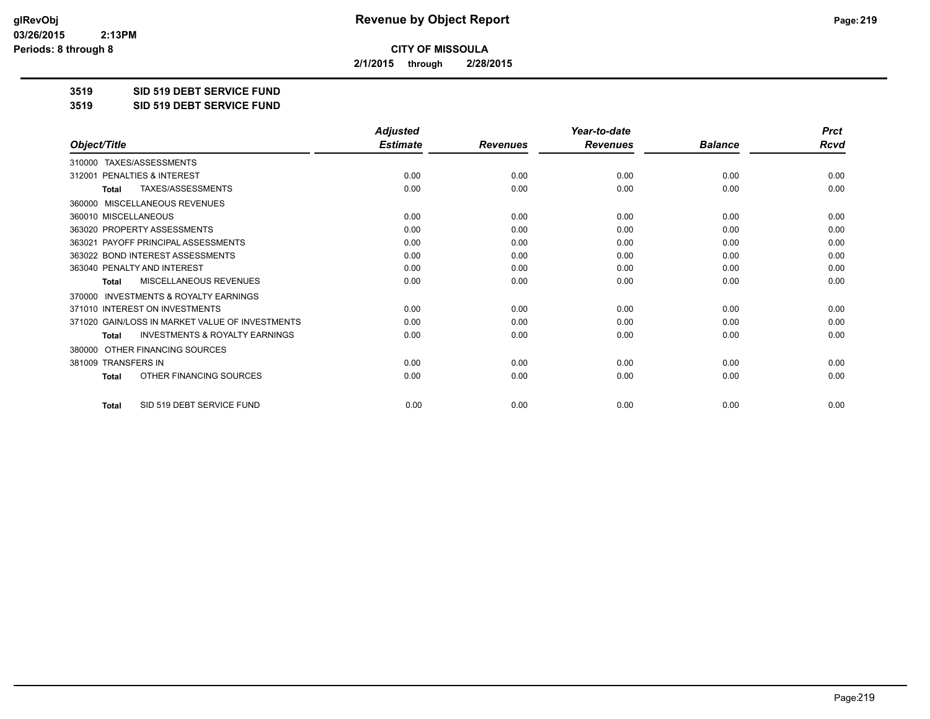**2/1/2015 through 2/28/2015**

**3519 SID 519 DEBT SERVICE FUND**

**3519 SID 519 DEBT SERVICE FUND**

|                                                           | <b>Adjusted</b> |                 | Year-to-date    |                | <b>Prct</b> |
|-----------------------------------------------------------|-----------------|-----------------|-----------------|----------------|-------------|
| Object/Title                                              | <b>Estimate</b> | <b>Revenues</b> | <b>Revenues</b> | <b>Balance</b> | <b>Rcvd</b> |
| TAXES/ASSESSMENTS<br>310000                               |                 |                 |                 |                |             |
| 312001 PENALTIES & INTEREST                               | 0.00            | 0.00            | 0.00            | 0.00           | 0.00        |
| TAXES/ASSESSMENTS<br><b>Total</b>                         | 0.00            | 0.00            | 0.00            | 0.00           | 0.00        |
| MISCELLANEOUS REVENUES<br>360000                          |                 |                 |                 |                |             |
| 360010 MISCELLANEOUS                                      | 0.00            | 0.00            | 0.00            | 0.00           | 0.00        |
| 363020 PROPERTY ASSESSMENTS                               | 0.00            | 0.00            | 0.00            | 0.00           | 0.00        |
| 363021 PAYOFF PRINCIPAL ASSESSMENTS                       | 0.00            | 0.00            | 0.00            | 0.00           | 0.00        |
| 363022 BOND INTEREST ASSESSMENTS                          | 0.00            | 0.00            | 0.00            | 0.00           | 0.00        |
| 363040 PENALTY AND INTEREST                               | 0.00            | 0.00            | 0.00            | 0.00           | 0.00        |
| MISCELLANEOUS REVENUES<br><b>Total</b>                    | 0.00            | 0.00            | 0.00            | 0.00           | 0.00        |
| <b>INVESTMENTS &amp; ROYALTY EARNINGS</b><br>370000       |                 |                 |                 |                |             |
| 371010 INTEREST ON INVESTMENTS                            | 0.00            | 0.00            | 0.00            | 0.00           | 0.00        |
| 371020 GAIN/LOSS IN MARKET VALUE OF INVESTMENTS           | 0.00            | 0.00            | 0.00            | 0.00           | 0.00        |
| <b>INVESTMENTS &amp; ROYALTY EARNINGS</b><br><b>Total</b> | 0.00            | 0.00            | 0.00            | 0.00           | 0.00        |
| OTHER FINANCING SOURCES<br>380000                         |                 |                 |                 |                |             |
| 381009 TRANSFERS IN                                       | 0.00            | 0.00            | 0.00            | 0.00           | 0.00        |
| OTHER FINANCING SOURCES<br><b>Total</b>                   | 0.00            | 0.00            | 0.00            | 0.00           | 0.00        |
| SID 519 DEBT SERVICE FUND<br><b>Total</b>                 | 0.00            | 0.00            | 0.00            | 0.00           | 0.00        |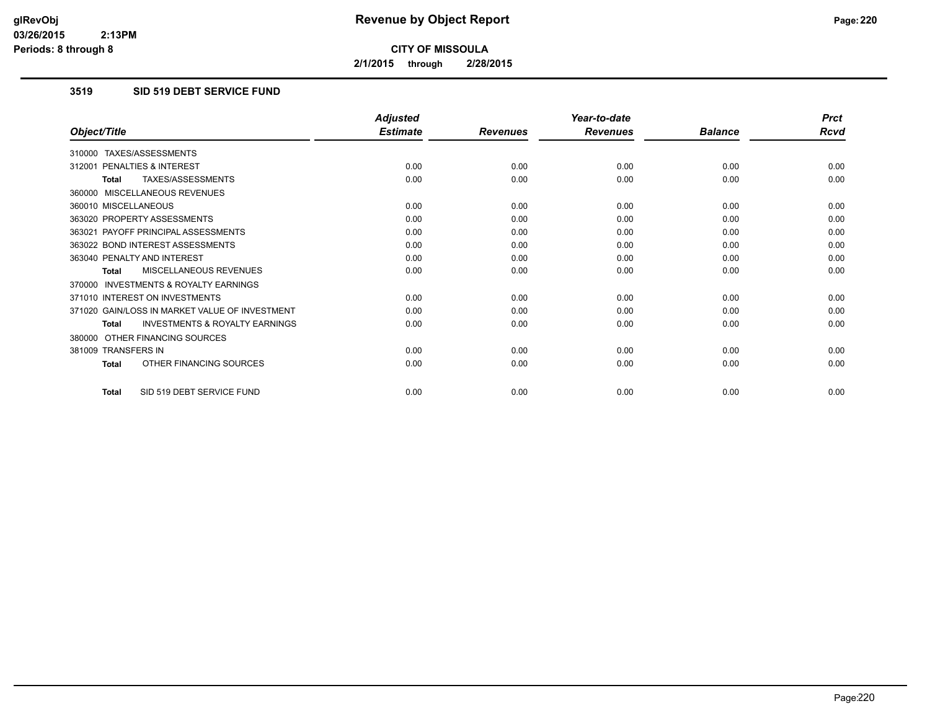**2/1/2015 through 2/28/2015**

### **3519 SID 519 DEBT SERVICE FUND**

|                                                           | <b>Adjusted</b> |                 | Year-to-date    |                | <b>Prct</b> |
|-----------------------------------------------------------|-----------------|-----------------|-----------------|----------------|-------------|
| Object/Title                                              | <b>Estimate</b> | <b>Revenues</b> | <b>Revenues</b> | <b>Balance</b> | <b>Rcvd</b> |
| 310000 TAXES/ASSESSMENTS                                  |                 |                 |                 |                |             |
| PENALTIES & INTEREST<br>312001                            | 0.00            | 0.00            | 0.00            | 0.00           | 0.00        |
| TAXES/ASSESSMENTS<br><b>Total</b>                         | 0.00            | 0.00            | 0.00            | 0.00           | 0.00        |
| 360000 MISCELLANEOUS REVENUES                             |                 |                 |                 |                |             |
| 360010 MISCELLANEOUS                                      | 0.00            | 0.00            | 0.00            | 0.00           | 0.00        |
| 363020 PROPERTY ASSESSMENTS                               | 0.00            | 0.00            | 0.00            | 0.00           | 0.00        |
| 363021 PAYOFF PRINCIPAL ASSESSMENTS                       | 0.00            | 0.00            | 0.00            | 0.00           | 0.00        |
| 363022 BOND INTEREST ASSESSMENTS                          | 0.00            | 0.00            | 0.00            | 0.00           | 0.00        |
| 363040 PENALTY AND INTEREST                               | 0.00            | 0.00            | 0.00            | 0.00           | 0.00        |
| MISCELLANEOUS REVENUES<br><b>Total</b>                    | 0.00            | 0.00            | 0.00            | 0.00           | 0.00        |
| <b>INVESTMENTS &amp; ROYALTY EARNINGS</b><br>370000       |                 |                 |                 |                |             |
| 371010 INTEREST ON INVESTMENTS                            | 0.00            | 0.00            | 0.00            | 0.00           | 0.00        |
| 371020 GAIN/LOSS IN MARKET VALUE OF INVESTMENT            | 0.00            | 0.00            | 0.00            | 0.00           | 0.00        |
| <b>INVESTMENTS &amp; ROYALTY EARNINGS</b><br><b>Total</b> | 0.00            | 0.00            | 0.00            | 0.00           | 0.00        |
| 380000 OTHER FINANCING SOURCES                            |                 |                 |                 |                |             |
| 381009 TRANSFERS IN                                       | 0.00            | 0.00            | 0.00            | 0.00           | 0.00        |
| OTHER FINANCING SOURCES<br><b>Total</b>                   | 0.00            | 0.00            | 0.00            | 0.00           | 0.00        |
| SID 519 DEBT SERVICE FUND<br><b>Total</b>                 | 0.00            | 0.00            | 0.00            | 0.00           | 0.00        |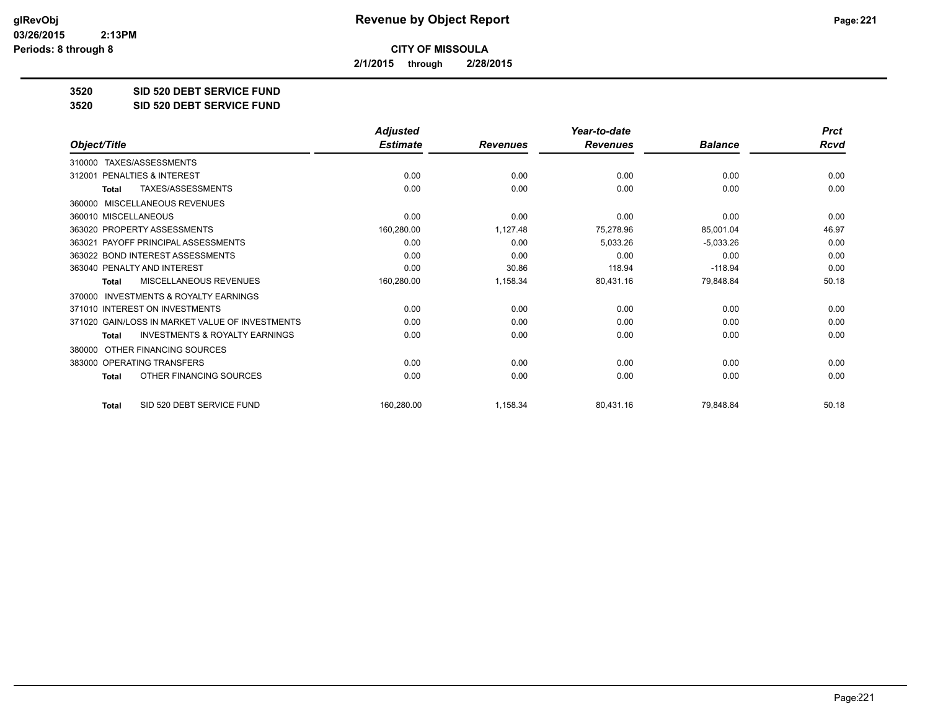**2/1/2015 through 2/28/2015**

**3520 SID 520 DEBT SERVICE FUND**

**3520 SID 520 DEBT SERVICE FUND**

|                                                    | <b>Adjusted</b> |                 | Year-to-date    |                | <b>Prct</b> |
|----------------------------------------------------|-----------------|-----------------|-----------------|----------------|-------------|
| Object/Title                                       | <b>Estimate</b> | <b>Revenues</b> | <b>Revenues</b> | <b>Balance</b> | <b>Rcvd</b> |
| TAXES/ASSESSMENTS<br>310000                        |                 |                 |                 |                |             |
| <b>PENALTIES &amp; INTEREST</b><br>312001          | 0.00            | 0.00            | 0.00            | 0.00           | 0.00        |
| TAXES/ASSESSMENTS<br><b>Total</b>                  | 0.00            | 0.00            | 0.00            | 0.00           | 0.00        |
| MISCELLANEOUS REVENUES<br>360000                   |                 |                 |                 |                |             |
| 360010 MISCELLANEOUS                               | 0.00            | 0.00            | 0.00            | 0.00           | 0.00        |
| 363020 PROPERTY ASSESSMENTS                        | 160,280.00      | 1,127.48        | 75,278.96       | 85,001.04      | 46.97       |
| 363021 PAYOFF PRINCIPAL ASSESSMENTS                | 0.00            | 0.00            | 5,033.26        | $-5,033.26$    | 0.00        |
| 363022 BOND INTEREST ASSESSMENTS                   | 0.00            | 0.00            | 0.00            | 0.00           | 0.00        |
| 363040 PENALTY AND INTEREST                        | 0.00            | 30.86           | 118.94          | $-118.94$      | 0.00        |
| MISCELLANEOUS REVENUES<br><b>Total</b>             | 160,280.00      | 1,158.34        | 80,431.16       | 79,848.84      | 50.18       |
| INVESTMENTS & ROYALTY EARNINGS<br>370000           |                 |                 |                 |                |             |
| 371010 INTEREST ON INVESTMENTS                     | 0.00            | 0.00            | 0.00            | 0.00           | 0.00        |
| 371020 GAIN/LOSS IN MARKET VALUE OF INVESTMENTS    | 0.00            | 0.00            | 0.00            | 0.00           | 0.00        |
| <b>INVESTMENTS &amp; ROYALTY EARNINGS</b><br>Total | 0.00            | 0.00            | 0.00            | 0.00           | 0.00        |
| OTHER FINANCING SOURCES<br>380000                  |                 |                 |                 |                |             |
| 383000 OPERATING TRANSFERS                         | 0.00            | 0.00            | 0.00            | 0.00           | 0.00        |
| OTHER FINANCING SOURCES<br>Total                   | 0.00            | 0.00            | 0.00            | 0.00           | 0.00        |
| SID 520 DEBT SERVICE FUND<br><b>Total</b>          | 160,280.00      | 1,158.34        | 80,431.16       | 79,848.84      | 50.18       |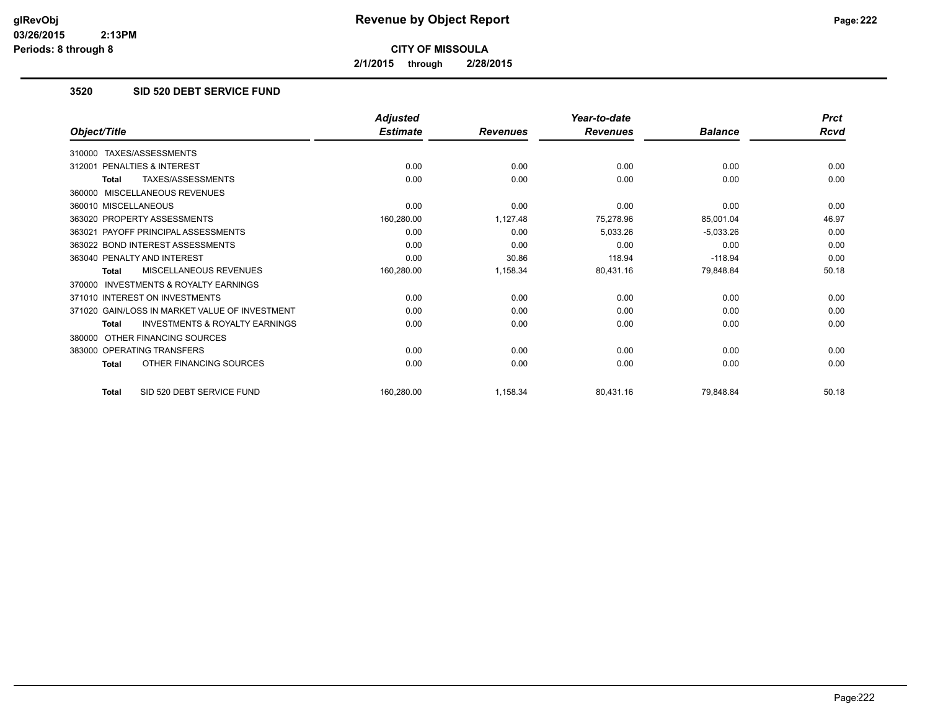**2/1/2015 through 2/28/2015**

### **3520 SID 520 DEBT SERVICE FUND**

|                                                    | <b>Adjusted</b> |                 | Year-to-date    |                | <b>Prct</b> |
|----------------------------------------------------|-----------------|-----------------|-----------------|----------------|-------------|
| Object/Title                                       | <b>Estimate</b> | <b>Revenues</b> | <b>Revenues</b> | <b>Balance</b> | Rcvd        |
| 310000 TAXES/ASSESSMENTS                           |                 |                 |                 |                |             |
| PENALTIES & INTEREST<br>312001                     | 0.00            | 0.00            | 0.00            | 0.00           | 0.00        |
| TAXES/ASSESSMENTS<br><b>Total</b>                  | 0.00            | 0.00            | 0.00            | 0.00           | 0.00        |
| 360000 MISCELLANEOUS REVENUES                      |                 |                 |                 |                |             |
| 360010 MISCELLANEOUS                               | 0.00            | 0.00            | 0.00            | 0.00           | 0.00        |
| 363020 PROPERTY ASSESSMENTS                        | 160,280.00      | 1,127.48        | 75,278.96       | 85,001.04      | 46.97       |
| 363021 PAYOFF PRINCIPAL ASSESSMENTS                | 0.00            | 0.00            | 5,033.26        | $-5,033.26$    | 0.00        |
| 363022 BOND INTEREST ASSESSMENTS                   | 0.00            | 0.00            | 0.00            | 0.00           | 0.00        |
| 363040 PENALTY AND INTEREST                        | 0.00            | 30.86           | 118.94          | $-118.94$      | 0.00        |
| MISCELLANEOUS REVENUES<br><b>Total</b>             | 160,280.00      | 1,158.34        | 80,431.16       | 79,848.84      | 50.18       |
| 370000 INVESTMENTS & ROYALTY EARNINGS              |                 |                 |                 |                |             |
| 371010 INTEREST ON INVESTMENTS                     | 0.00            | 0.00            | 0.00            | 0.00           | 0.00        |
| 371020 GAIN/LOSS IN MARKET VALUE OF INVESTMENT     | 0.00            | 0.00            | 0.00            | 0.00           | 0.00        |
| <b>INVESTMENTS &amp; ROYALTY EARNINGS</b><br>Total | 0.00            | 0.00            | 0.00            | 0.00           | 0.00        |
| 380000 OTHER FINANCING SOURCES                     |                 |                 |                 |                |             |
| 383000 OPERATING TRANSFERS                         | 0.00            | 0.00            | 0.00            | 0.00           | 0.00        |
| OTHER FINANCING SOURCES<br>Total                   | 0.00            | 0.00            | 0.00            | 0.00           | 0.00        |
| SID 520 DEBT SERVICE FUND<br><b>Total</b>          | 160,280.00      | 1,158.34        | 80,431.16       | 79,848.84      | 50.18       |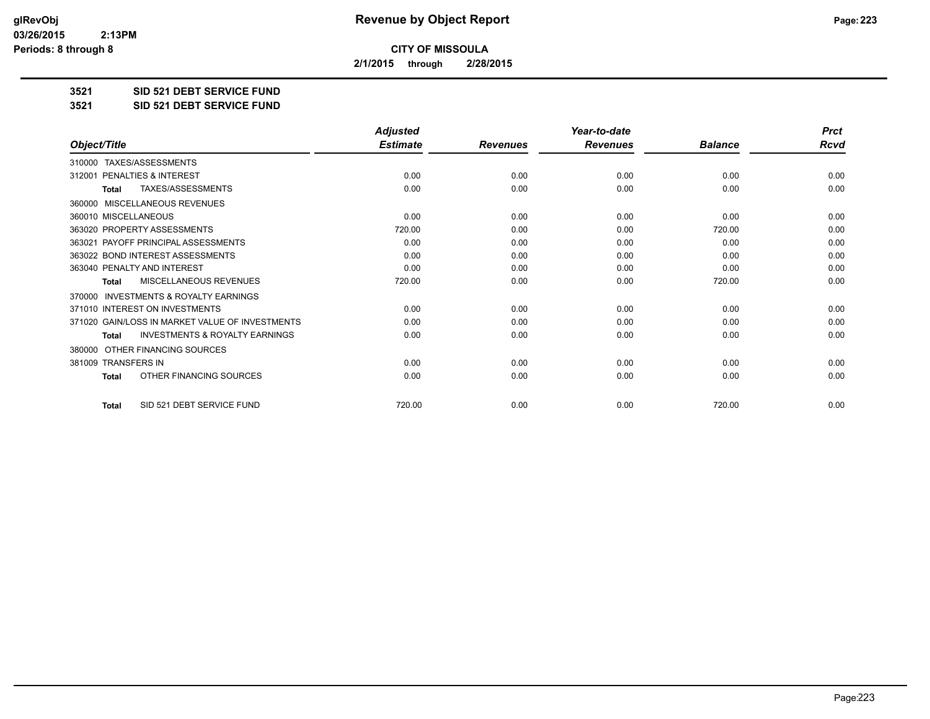**2/1/2015 through 2/28/2015**

**3521 SID 521 DEBT SERVICE FUND**

**3521 SID 521 DEBT SERVICE FUND**

|                                                           | <b>Adjusted</b> |                 | Year-to-date    |                | <b>Prct</b> |
|-----------------------------------------------------------|-----------------|-----------------|-----------------|----------------|-------------|
| Object/Title                                              | <b>Estimate</b> | <b>Revenues</b> | <b>Revenues</b> | <b>Balance</b> | <b>Rcvd</b> |
| TAXES/ASSESSMENTS<br>310000                               |                 |                 |                 |                |             |
| 312001 PENALTIES & INTEREST                               | 0.00            | 0.00            | 0.00            | 0.00           | 0.00        |
| TAXES/ASSESSMENTS<br><b>Total</b>                         | 0.00            | 0.00            | 0.00            | 0.00           | 0.00        |
| MISCELLANEOUS REVENUES<br>360000                          |                 |                 |                 |                |             |
| 360010 MISCELLANEOUS                                      | 0.00            | 0.00            | 0.00            | 0.00           | 0.00        |
| 363020 PROPERTY ASSESSMENTS                               | 720.00          | 0.00            | 0.00            | 720.00         | 0.00        |
| 363021 PAYOFF PRINCIPAL ASSESSMENTS                       | 0.00            | 0.00            | 0.00            | 0.00           | 0.00        |
| 363022 BOND INTEREST ASSESSMENTS                          | 0.00            | 0.00            | 0.00            | 0.00           | 0.00        |
| 363040 PENALTY AND INTEREST                               | 0.00            | 0.00            | 0.00            | 0.00           | 0.00        |
| <b>MISCELLANEOUS REVENUES</b><br><b>Total</b>             | 720.00          | 0.00            | 0.00            | 720.00         | 0.00        |
| <b>INVESTMENTS &amp; ROYALTY EARNINGS</b><br>370000       |                 |                 |                 |                |             |
| 371010 INTEREST ON INVESTMENTS                            | 0.00            | 0.00            | 0.00            | 0.00           | 0.00        |
| 371020 GAIN/LOSS IN MARKET VALUE OF INVESTMENTS           | 0.00            | 0.00            | 0.00            | 0.00           | 0.00        |
| <b>INVESTMENTS &amp; ROYALTY EARNINGS</b><br><b>Total</b> | 0.00            | 0.00            | 0.00            | 0.00           | 0.00        |
| OTHER FINANCING SOURCES<br>380000                         |                 |                 |                 |                |             |
| 381009 TRANSFERS IN                                       | 0.00            | 0.00            | 0.00            | 0.00           | 0.00        |
| OTHER FINANCING SOURCES<br>Total                          | 0.00            | 0.00            | 0.00            | 0.00           | 0.00        |
| SID 521 DEBT SERVICE FUND<br><b>Total</b>                 | 720.00          | 0.00            | 0.00            | 720.00         | 0.00        |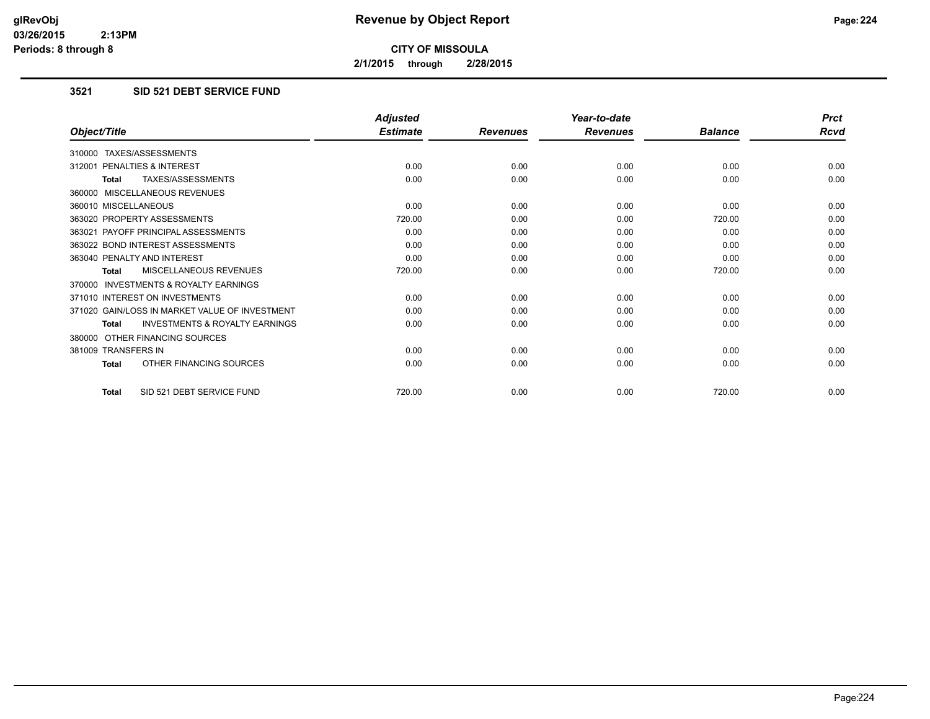**2/1/2015 through 2/28/2015**

### **3521 SID 521 DEBT SERVICE FUND**

|                                                           | <b>Adjusted</b> |                 | Year-to-date    |                | <b>Prct</b> |
|-----------------------------------------------------------|-----------------|-----------------|-----------------|----------------|-------------|
| Object/Title                                              | <b>Estimate</b> | <b>Revenues</b> | <b>Revenues</b> | <b>Balance</b> | <b>Rcvd</b> |
| 310000 TAXES/ASSESSMENTS                                  |                 |                 |                 |                |             |
| PENALTIES & INTEREST<br>312001                            | 0.00            | 0.00            | 0.00            | 0.00           | 0.00        |
| TAXES/ASSESSMENTS<br><b>Total</b>                         | 0.00            | 0.00            | 0.00            | 0.00           | 0.00        |
| 360000 MISCELLANEOUS REVENUES                             |                 |                 |                 |                |             |
| 360010 MISCELLANEOUS                                      | 0.00            | 0.00            | 0.00            | 0.00           | 0.00        |
| 363020 PROPERTY ASSESSMENTS                               | 720.00          | 0.00            | 0.00            | 720.00         | 0.00        |
| 363021 PAYOFF PRINCIPAL ASSESSMENTS                       | 0.00            | 0.00            | 0.00            | 0.00           | 0.00        |
| 363022 BOND INTEREST ASSESSMENTS                          | 0.00            | 0.00            | 0.00            | 0.00           | 0.00        |
| 363040 PENALTY AND INTEREST                               | 0.00            | 0.00            | 0.00            | 0.00           | 0.00        |
| MISCELLANEOUS REVENUES<br><b>Total</b>                    | 720.00          | 0.00            | 0.00            | 720.00         | 0.00        |
| <b>INVESTMENTS &amp; ROYALTY EARNINGS</b><br>370000       |                 |                 |                 |                |             |
| 371010 INTEREST ON INVESTMENTS                            | 0.00            | 0.00            | 0.00            | 0.00           | 0.00        |
| 371020 GAIN/LOSS IN MARKET VALUE OF INVESTMENT            | 0.00            | 0.00            | 0.00            | 0.00           | 0.00        |
| <b>INVESTMENTS &amp; ROYALTY EARNINGS</b><br><b>Total</b> | 0.00            | 0.00            | 0.00            | 0.00           | 0.00        |
| OTHER FINANCING SOURCES<br>380000                         |                 |                 |                 |                |             |
| 381009 TRANSFERS IN                                       | 0.00            | 0.00            | 0.00            | 0.00           | 0.00        |
| OTHER FINANCING SOURCES<br><b>Total</b>                   | 0.00            | 0.00            | 0.00            | 0.00           | 0.00        |
| SID 521 DEBT SERVICE FUND<br><b>Total</b>                 | 720.00          | 0.00            | 0.00            | 720.00         | 0.00        |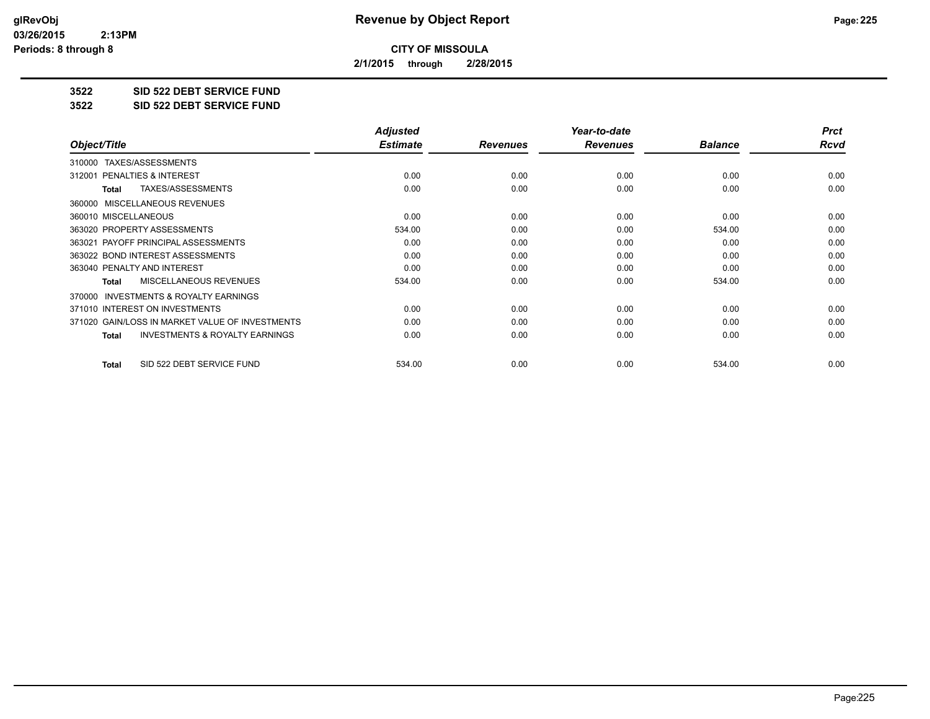**2/1/2015 through 2/28/2015**

**3522 SID 522 DEBT SERVICE FUND**

**3522 SID 522 DEBT SERVICE FUND**

|                                                           | <b>Adjusted</b> |                 | Year-to-date    |                | <b>Prct</b> |
|-----------------------------------------------------------|-----------------|-----------------|-----------------|----------------|-------------|
| Object/Title                                              | <b>Estimate</b> | <b>Revenues</b> | <b>Revenues</b> | <b>Balance</b> | Rcvd        |
| TAXES/ASSESSMENTS<br>310000                               |                 |                 |                 |                |             |
| 312001 PENALTIES & INTEREST                               | 0.00            | 0.00            | 0.00            | 0.00           | 0.00        |
| TAXES/ASSESSMENTS<br>Total                                | 0.00            | 0.00            | 0.00            | 0.00           | 0.00        |
| MISCELLANEOUS REVENUES<br>360000                          |                 |                 |                 |                |             |
| 360010 MISCELLANEOUS                                      | 0.00            | 0.00            | 0.00            | 0.00           | 0.00        |
| 363020 PROPERTY ASSESSMENTS                               | 534.00          | 0.00            | 0.00            | 534.00         | 0.00        |
| 363021 PAYOFF PRINCIPAL ASSESSMENTS                       | 0.00            | 0.00            | 0.00            | 0.00           | 0.00        |
| 363022 BOND INTEREST ASSESSMENTS                          | 0.00            | 0.00            | 0.00            | 0.00           | 0.00        |
| 363040 PENALTY AND INTEREST                               | 0.00            | 0.00            | 0.00            | 0.00           | 0.00        |
| <b>MISCELLANEOUS REVENUES</b><br><b>Total</b>             | 534.00          | 0.00            | 0.00            | 534.00         | 0.00        |
| 370000 INVESTMENTS & ROYALTY EARNINGS                     |                 |                 |                 |                |             |
| 371010 INTEREST ON INVESTMENTS                            | 0.00            | 0.00            | 0.00            | 0.00           | 0.00        |
| 371020 GAIN/LOSS IN MARKET VALUE OF INVESTMENTS           | 0.00            | 0.00            | 0.00            | 0.00           | 0.00        |
| <b>INVESTMENTS &amp; ROYALTY EARNINGS</b><br><b>Total</b> | 0.00            | 0.00            | 0.00            | 0.00           | 0.00        |
| SID 522 DEBT SERVICE FUND<br><b>Total</b>                 | 534.00          | 0.00            | 0.00            | 534.00         | 0.00        |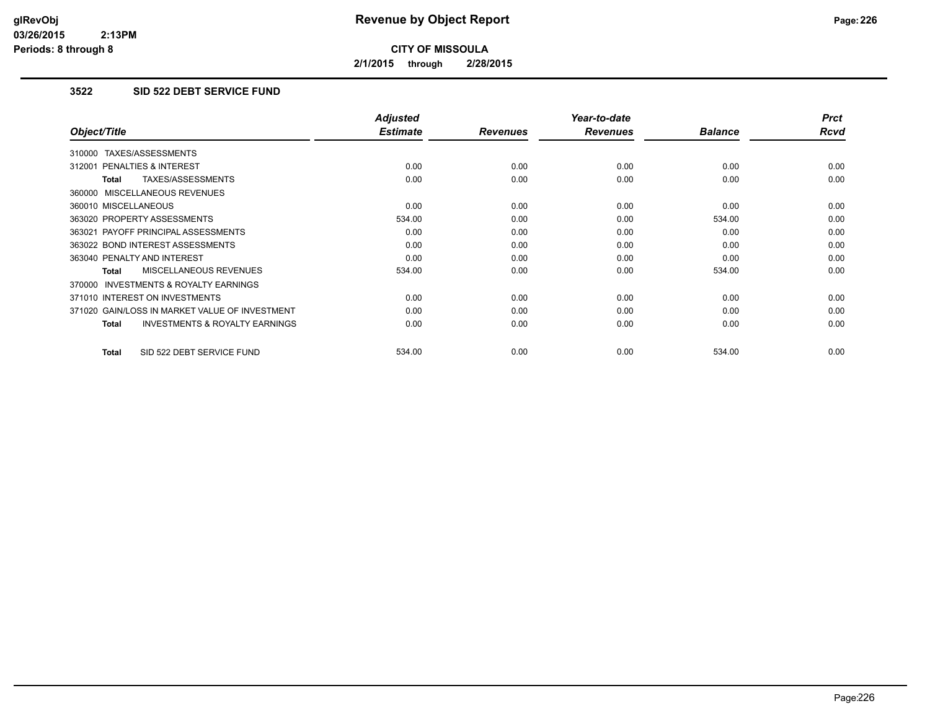**2/1/2015 through 2/28/2015**

### **3522 SID 522 DEBT SERVICE FUND**

|                                                           | <b>Adjusted</b> |                 | Year-to-date    |                | <b>Prct</b> |
|-----------------------------------------------------------|-----------------|-----------------|-----------------|----------------|-------------|
| Object/Title                                              | <b>Estimate</b> | <b>Revenues</b> | <b>Revenues</b> | <b>Balance</b> | <b>Rcvd</b> |
| 310000 TAXES/ASSESSMENTS                                  |                 |                 |                 |                |             |
| 312001 PENALTIES & INTEREST                               | 0.00            | 0.00            | 0.00            | 0.00           | 0.00        |
| <b>TAXES/ASSESSMENTS</b><br><b>Total</b>                  | 0.00            | 0.00            | 0.00            | 0.00           | 0.00        |
| 360000 MISCELLANEOUS REVENUES                             |                 |                 |                 |                |             |
| 360010 MISCELLANEOUS                                      | 0.00            | 0.00            | 0.00            | 0.00           | 0.00        |
| 363020 PROPERTY ASSESSMENTS                               | 534.00          | 0.00            | 0.00            | 534.00         | 0.00        |
| 363021 PAYOFF PRINCIPAL ASSESSMENTS                       | 0.00            | 0.00            | 0.00            | 0.00           | 0.00        |
| 363022 BOND INTEREST ASSESSMENTS                          | 0.00            | 0.00            | 0.00            | 0.00           | 0.00        |
| 363040 PENALTY AND INTEREST                               | 0.00            | 0.00            | 0.00            | 0.00           | 0.00        |
| MISCELLANEOUS REVENUES<br><b>Total</b>                    | 534.00          | 0.00            | 0.00            | 534.00         | 0.00        |
| <b>INVESTMENTS &amp; ROYALTY EARNINGS</b><br>370000       |                 |                 |                 |                |             |
| 371010 INTEREST ON INVESTMENTS                            | 0.00            | 0.00            | 0.00            | 0.00           | 0.00        |
| 371020 GAIN/LOSS IN MARKET VALUE OF INVESTMENT            | 0.00            | 0.00            | 0.00            | 0.00           | 0.00        |
| <b>INVESTMENTS &amp; ROYALTY EARNINGS</b><br><b>Total</b> | 0.00            | 0.00            | 0.00            | 0.00           | 0.00        |
| SID 522 DEBT SERVICE FUND<br><b>Total</b>                 | 534.00          | 0.00            | 0.00            | 534.00         | 0.00        |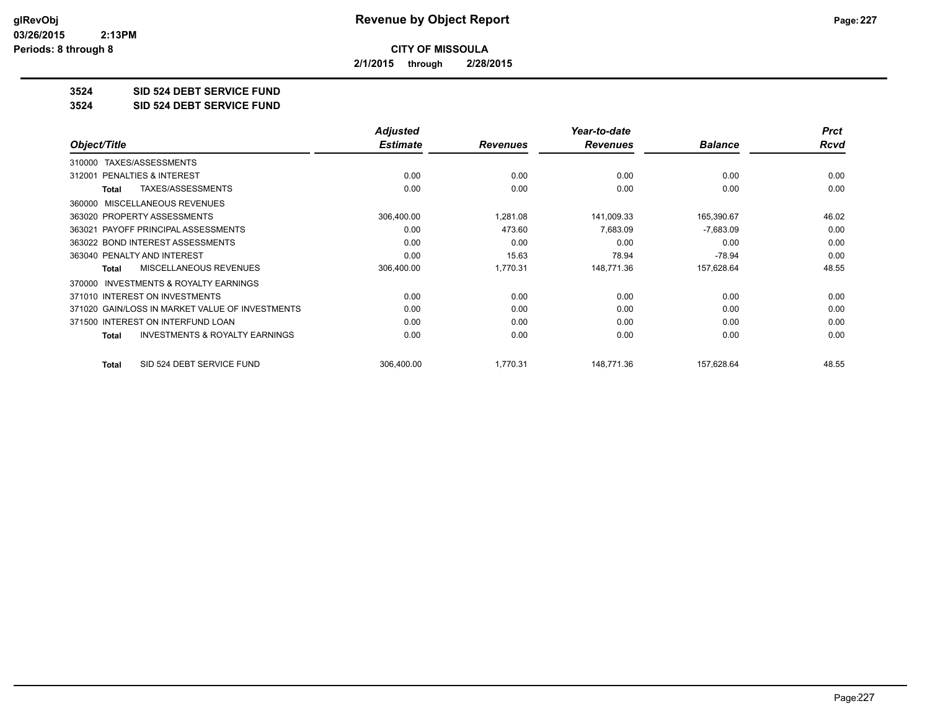**2/1/2015 through 2/28/2015**

**3524 SID 524 DEBT SERVICE FUND**

**3524 SID 524 DEBT SERVICE FUND**

|                                                     | <b>Adjusted</b> |                 | Year-to-date    |                | <b>Prct</b> |
|-----------------------------------------------------|-----------------|-----------------|-----------------|----------------|-------------|
| Object/Title                                        | <b>Estimate</b> | <b>Revenues</b> | <b>Revenues</b> | <b>Balance</b> | Rcvd        |
| TAXES/ASSESSMENTS<br>310000                         |                 |                 |                 |                |             |
| <b>PENALTIES &amp; INTEREST</b><br>312001           | 0.00            | 0.00            | 0.00            | 0.00           | 0.00        |
| TAXES/ASSESSMENTS<br>Total                          | 0.00            | 0.00            | 0.00            | 0.00           | 0.00        |
| 360000 MISCELLANEOUS REVENUES                       |                 |                 |                 |                |             |
| 363020 PROPERTY ASSESSMENTS                         | 306,400.00      | 1,281.08        | 141,009.33      | 165,390.67     | 46.02       |
| 363021 PAYOFF PRINCIPAL ASSESSMENTS                 | 0.00            | 473.60          | 7,683.09        | $-7,683.09$    | 0.00        |
| 363022 BOND INTEREST ASSESSMENTS                    | 0.00            | 0.00            | 0.00            | 0.00           | 0.00        |
| 363040 PENALTY AND INTEREST                         | 0.00            | 15.63           | 78.94           | $-78.94$       | 0.00        |
| <b>MISCELLANEOUS REVENUES</b><br>Total              | 306,400.00      | 1,770.31        | 148,771.36      | 157,628.64     | 48.55       |
| <b>INVESTMENTS &amp; ROYALTY EARNINGS</b><br>370000 |                 |                 |                 |                |             |
| 371010 INTEREST ON INVESTMENTS                      | 0.00            | 0.00            | 0.00            | 0.00           | 0.00        |
| 371020 GAIN/LOSS IN MARKET VALUE OF INVESTMENTS     | 0.00            | 0.00            | 0.00            | 0.00           | 0.00        |
| 371500 INTEREST ON INTERFUND LOAN                   | 0.00            | 0.00            | 0.00            | 0.00           | 0.00        |
| <b>INVESTMENTS &amp; ROYALTY EARNINGS</b><br>Total  | 0.00            | 0.00            | 0.00            | 0.00           | 0.00        |
| SID 524 DEBT SERVICE FUND<br><b>Total</b>           | 306,400.00      | 1,770.31        | 148,771.36      | 157,628.64     | 48.55       |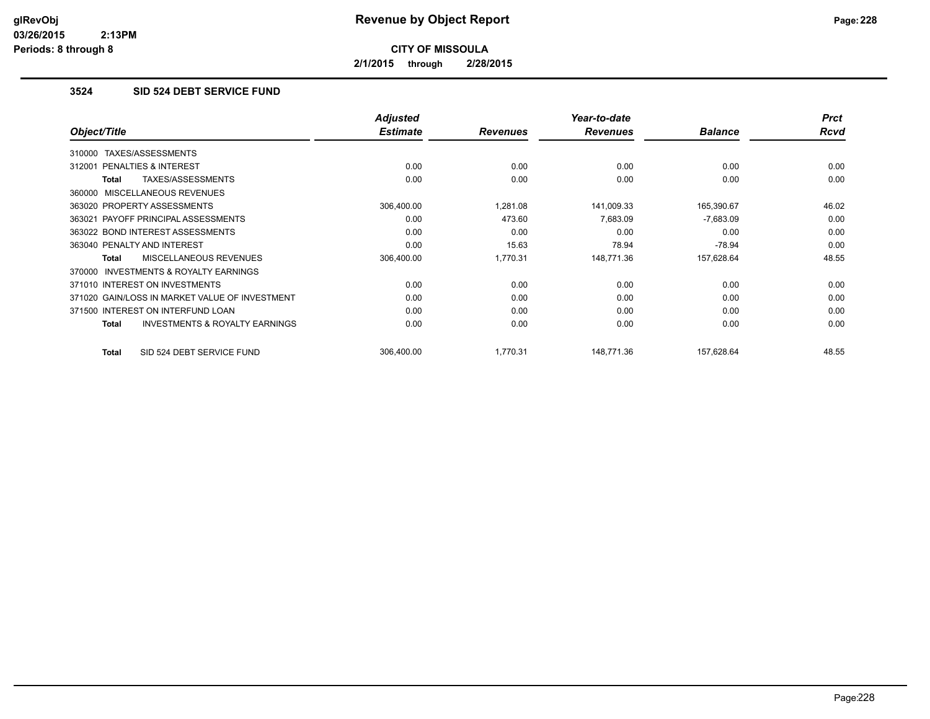**2/1/2015 through 2/28/2015**

### **3524 SID 524 DEBT SERVICE FUND**

|                                                     | <b>Adjusted</b> |                 | Year-to-date    |                | <b>Prct</b> |
|-----------------------------------------------------|-----------------|-----------------|-----------------|----------------|-------------|
| Object/Title                                        | <b>Estimate</b> | <b>Revenues</b> | <b>Revenues</b> | <b>Balance</b> | <b>Rcvd</b> |
| TAXES/ASSESSMENTS<br>310000                         |                 |                 |                 |                |             |
| 312001 PENALTIES & INTEREST                         | 0.00            | 0.00            | 0.00            | 0.00           | 0.00        |
| TAXES/ASSESSMENTS<br>Total                          | 0.00            | 0.00            | 0.00            | 0.00           | 0.00        |
| 360000 MISCELLANEOUS REVENUES                       |                 |                 |                 |                |             |
| 363020 PROPERTY ASSESSMENTS                         | 306,400.00      | 1,281.08        | 141,009.33      | 165,390.67     | 46.02       |
| 363021 PAYOFF PRINCIPAL ASSESSMENTS                 | 0.00            | 473.60          | 7,683.09        | $-7,683.09$    | 0.00        |
| 363022 BOND INTEREST ASSESSMENTS                    | 0.00            | 0.00            | 0.00            | 0.00           | 0.00        |
| 363040 PENALTY AND INTEREST                         | 0.00            | 15.63           | 78.94           | $-78.94$       | 0.00        |
| <b>MISCELLANEOUS REVENUES</b><br><b>Total</b>       | 306,400.00      | 1,770.31        | 148,771.36      | 157,628.64     | 48.55       |
| <b>INVESTMENTS &amp; ROYALTY EARNINGS</b><br>370000 |                 |                 |                 |                |             |
| 371010 INTEREST ON INVESTMENTS                      | 0.00            | 0.00            | 0.00            | 0.00           | 0.00        |
| 371020 GAIN/LOSS IN MARKET VALUE OF INVESTMENT      | 0.00            | 0.00            | 0.00            | 0.00           | 0.00        |
| 371500 INTEREST ON INTERFUND LOAN                   | 0.00            | 0.00            | 0.00            | 0.00           | 0.00        |
| <b>INVESTMENTS &amp; ROYALTY EARNINGS</b><br>Total  | 0.00            | 0.00            | 0.00            | 0.00           | 0.00        |
| SID 524 DEBT SERVICE FUND<br>Total                  | 306,400.00      | 1,770.31        | 148.771.36      | 157,628.64     | 48.55       |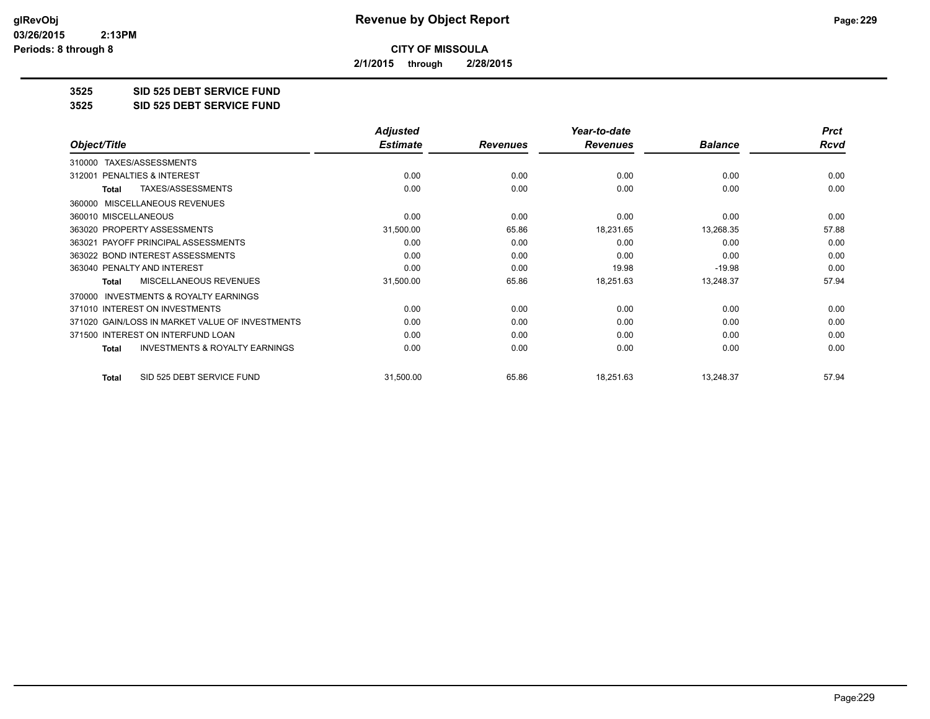**2/1/2015 through 2/28/2015**

**3525 SID 525 DEBT SERVICE FUND**

**3525 SID 525 DEBT SERVICE FUND**

|                                                           | <b>Adjusted</b> |                 | Year-to-date    |                | <b>Prct</b> |
|-----------------------------------------------------------|-----------------|-----------------|-----------------|----------------|-------------|
| Object/Title                                              | <b>Estimate</b> | <b>Revenues</b> | <b>Revenues</b> | <b>Balance</b> | <b>Rcvd</b> |
| TAXES/ASSESSMENTS<br>310000                               |                 |                 |                 |                |             |
| PENALTIES & INTEREST<br>312001                            | 0.00            | 0.00            | 0.00            | 0.00           | 0.00        |
| TAXES/ASSESSMENTS<br><b>Total</b>                         | 0.00            | 0.00            | 0.00            | 0.00           | 0.00        |
| MISCELLANEOUS REVENUES<br>360000                          |                 |                 |                 |                |             |
| 360010 MISCELLANEOUS                                      | 0.00            | 0.00            | 0.00            | 0.00           | 0.00        |
| 363020 PROPERTY ASSESSMENTS                               | 31,500.00       | 65.86           | 18,231.65       | 13,268.35      | 57.88       |
| 363021 PAYOFF PRINCIPAL ASSESSMENTS                       | 0.00            | 0.00            | 0.00            | 0.00           | 0.00        |
| 363022 BOND INTEREST ASSESSMENTS                          | 0.00            | 0.00            | 0.00            | 0.00           | 0.00        |
| 363040 PENALTY AND INTEREST                               | 0.00            | 0.00            | 19.98           | $-19.98$       | 0.00        |
| <b>MISCELLANEOUS REVENUES</b><br><b>Total</b>             | 31,500.00       | 65.86           | 18,251.63       | 13,248.37      | 57.94       |
| <b>INVESTMENTS &amp; ROYALTY EARNINGS</b><br>370000       |                 |                 |                 |                |             |
| 371010 INTEREST ON INVESTMENTS                            | 0.00            | 0.00            | 0.00            | 0.00           | 0.00        |
| 371020 GAIN/LOSS IN MARKET VALUE OF INVESTMENTS           | 0.00            | 0.00            | 0.00            | 0.00           | 0.00        |
| 371500 INTEREST ON INTERFUND LOAN                         | 0.00            | 0.00            | 0.00            | 0.00           | 0.00        |
| <b>INVESTMENTS &amp; ROYALTY EARNINGS</b><br><b>Total</b> | 0.00            | 0.00            | 0.00            | 0.00           | 0.00        |
| SID 525 DEBT SERVICE FUND<br><b>Total</b>                 | 31,500.00       | 65.86           | 18,251.63       | 13,248.37      | 57.94       |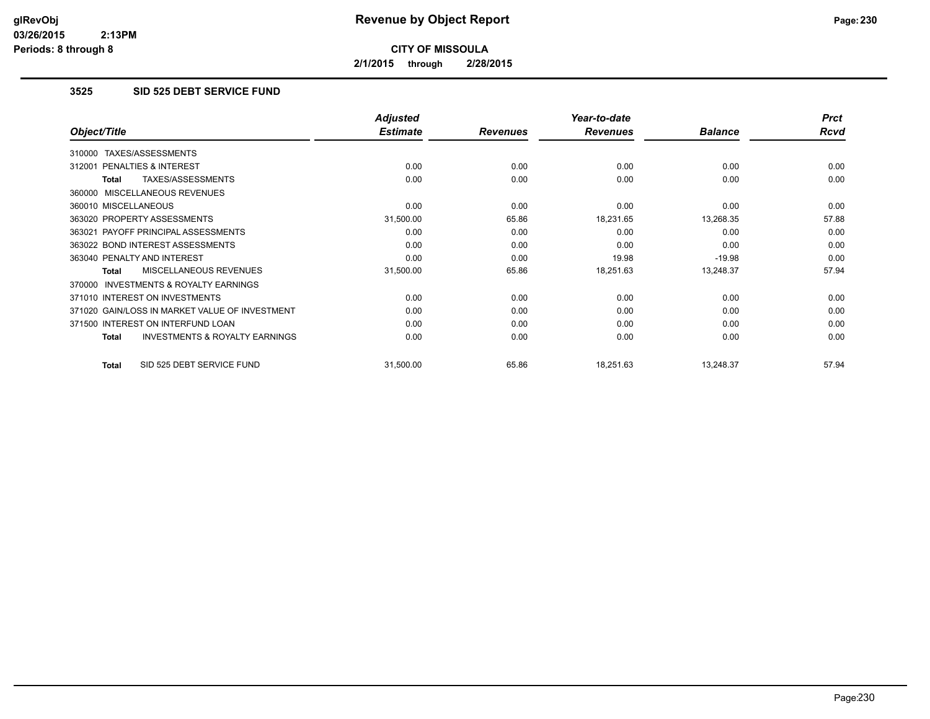**2/1/2015 through 2/28/2015**

### **3525 SID 525 DEBT SERVICE FUND**

|                                                           | <b>Adjusted</b> |                 | Year-to-date    |                | <b>Prct</b> |
|-----------------------------------------------------------|-----------------|-----------------|-----------------|----------------|-------------|
| Object/Title                                              | <b>Estimate</b> | <b>Revenues</b> | <b>Revenues</b> | <b>Balance</b> | <b>Rcvd</b> |
| TAXES/ASSESSMENTS<br>310000                               |                 |                 |                 |                |             |
| PENALTIES & INTEREST<br>312001                            | 0.00            | 0.00            | 0.00            | 0.00           | 0.00        |
| TAXES/ASSESSMENTS<br><b>Total</b>                         | 0.00            | 0.00            | 0.00            | 0.00           | 0.00        |
| 360000 MISCELLANEOUS REVENUES                             |                 |                 |                 |                |             |
| 360010 MISCELLANEOUS                                      | 0.00            | 0.00            | 0.00            | 0.00           | 0.00        |
| 363020 PROPERTY ASSESSMENTS                               | 31,500.00       | 65.86           | 18,231.65       | 13,268.35      | 57.88       |
| 363021 PAYOFF PRINCIPAL ASSESSMENTS                       | 0.00            | 0.00            | 0.00            | 0.00           | 0.00        |
| 363022 BOND INTEREST ASSESSMENTS                          | 0.00            | 0.00            | 0.00            | 0.00           | 0.00        |
| 363040 PENALTY AND INTEREST                               | 0.00            | 0.00            | 19.98           | $-19.98$       | 0.00        |
| <b>MISCELLANEOUS REVENUES</b><br>Total                    | 31,500.00       | 65.86           | 18,251.63       | 13,248.37      | 57.94       |
| INVESTMENTS & ROYALTY EARNINGS<br>370000                  |                 |                 |                 |                |             |
| 371010 INTEREST ON INVESTMENTS                            | 0.00            | 0.00            | 0.00            | 0.00           | 0.00        |
| 371020 GAIN/LOSS IN MARKET VALUE OF INVESTMENT            | 0.00            | 0.00            | 0.00            | 0.00           | 0.00        |
| 371500 INTEREST ON INTERFUND LOAN                         | 0.00            | 0.00            | 0.00            | 0.00           | 0.00        |
| <b>INVESTMENTS &amp; ROYALTY EARNINGS</b><br><b>Total</b> | 0.00            | 0.00            | 0.00            | 0.00           | 0.00        |
| SID 525 DEBT SERVICE FUND<br><b>Total</b>                 | 31,500.00       | 65.86           | 18,251.63       | 13,248.37      | 57.94       |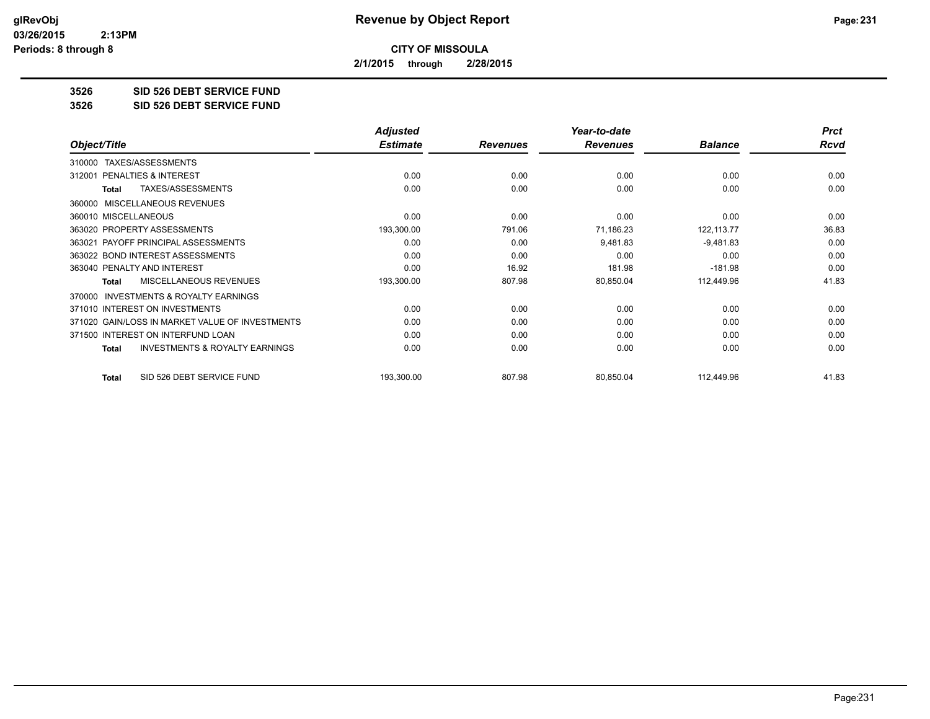**2/1/2015 through 2/28/2015**

**3526 SID 526 DEBT SERVICE FUND**

**3526 SID 526 DEBT SERVICE FUND**

|                                                           | <b>Adjusted</b> |                 | Year-to-date    |                | <b>Prct</b> |
|-----------------------------------------------------------|-----------------|-----------------|-----------------|----------------|-------------|
| Object/Title                                              | <b>Estimate</b> | <b>Revenues</b> | <b>Revenues</b> | <b>Balance</b> | Rcvd        |
| TAXES/ASSESSMENTS<br>310000                               |                 |                 |                 |                |             |
| <b>PENALTIES &amp; INTEREST</b><br>312001                 | 0.00            | 0.00            | 0.00            | 0.00           | 0.00        |
| TAXES/ASSESSMENTS<br><b>Total</b>                         | 0.00            | 0.00            | 0.00            | 0.00           | 0.00        |
| MISCELLANEOUS REVENUES<br>360000                          |                 |                 |                 |                |             |
| 360010 MISCELLANEOUS                                      | 0.00            | 0.00            | 0.00            | 0.00           | 0.00        |
| 363020 PROPERTY ASSESSMENTS                               | 193,300.00      | 791.06          | 71,186.23       | 122, 113.77    | 36.83       |
| 363021 PAYOFF PRINCIPAL ASSESSMENTS                       | 0.00            | 0.00            | 9,481.83        | $-9,481.83$    | 0.00        |
| 363022 BOND INTEREST ASSESSMENTS                          | 0.00            | 0.00            | 0.00            | 0.00           | 0.00        |
| 363040 PENALTY AND INTEREST                               | 0.00            | 16.92           | 181.98          | $-181.98$      | 0.00        |
| <b>MISCELLANEOUS REVENUES</b><br>Total                    | 193,300.00      | 807.98          | 80,850.04       | 112,449.96     | 41.83       |
| <b>INVESTMENTS &amp; ROYALTY EARNINGS</b><br>370000       |                 |                 |                 |                |             |
| 371010 INTEREST ON INVESTMENTS                            | 0.00            | 0.00            | 0.00            | 0.00           | 0.00        |
| 371020 GAIN/LOSS IN MARKET VALUE OF INVESTMENTS           | 0.00            | 0.00            | 0.00            | 0.00           | 0.00        |
| 371500 INTEREST ON INTERFUND LOAN                         | 0.00            | 0.00            | 0.00            | 0.00           | 0.00        |
| <b>INVESTMENTS &amp; ROYALTY EARNINGS</b><br><b>Total</b> | 0.00            | 0.00            | 0.00            | 0.00           | 0.00        |
| SID 526 DEBT SERVICE FUND<br><b>Total</b>                 | 193,300.00      | 807.98          | 80,850.04       | 112,449.96     | 41.83       |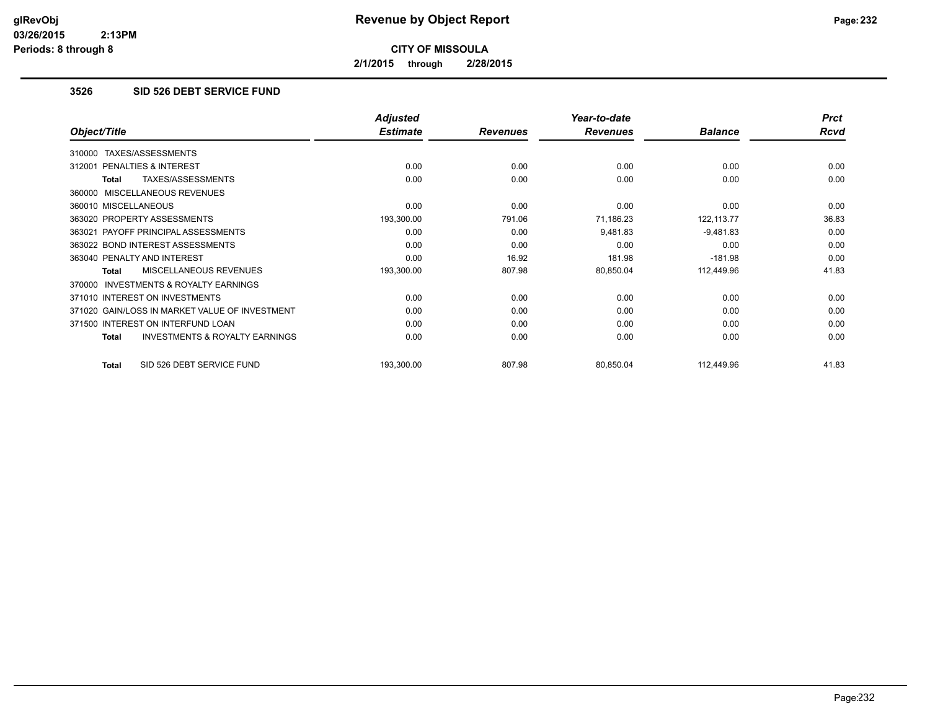**2/1/2015 through 2/28/2015**

### **3526 SID 526 DEBT SERVICE FUND**

|                                                           | <b>Adjusted</b> |                 | Year-to-date    |                | <b>Prct</b> |
|-----------------------------------------------------------|-----------------|-----------------|-----------------|----------------|-------------|
| Object/Title                                              | <b>Estimate</b> | <b>Revenues</b> | <b>Revenues</b> | <b>Balance</b> | Rcvd        |
| TAXES/ASSESSMENTS<br>310000                               |                 |                 |                 |                |             |
| <b>PENALTIES &amp; INTEREST</b><br>312001                 | 0.00            | 0.00            | 0.00            | 0.00           | 0.00        |
| TAXES/ASSESSMENTS<br>Total                                | 0.00            | 0.00            | 0.00            | 0.00           | 0.00        |
| 360000 MISCELLANEOUS REVENUES                             |                 |                 |                 |                |             |
| 360010 MISCELLANEOUS                                      | 0.00            | 0.00            | 0.00            | 0.00           | 0.00        |
| 363020 PROPERTY ASSESSMENTS                               | 193,300.00      | 791.06          | 71,186.23       | 122, 113. 77   | 36.83       |
| 363021 PAYOFF PRINCIPAL ASSESSMENTS                       | 0.00            | 0.00            | 9,481.83        | $-9,481.83$    | 0.00        |
| 363022 BOND INTEREST ASSESSMENTS                          | 0.00            | 0.00            | 0.00            | 0.00           | 0.00        |
| 363040 PENALTY AND INTEREST                               | 0.00            | 16.92           | 181.98          | $-181.98$      | 0.00        |
| <b>MISCELLANEOUS REVENUES</b><br><b>Total</b>             | 193,300.00      | 807.98          | 80,850.04       | 112,449.96     | 41.83       |
| <b>INVESTMENTS &amp; ROYALTY EARNINGS</b><br>370000       |                 |                 |                 |                |             |
| 371010 INTEREST ON INVESTMENTS                            | 0.00            | 0.00            | 0.00            | 0.00           | 0.00        |
| 371020 GAIN/LOSS IN MARKET VALUE OF INVESTMENT            | 0.00            | 0.00            | 0.00            | 0.00           | 0.00        |
| 371500 INTEREST ON INTERFUND LOAN                         | 0.00            | 0.00            | 0.00            | 0.00           | 0.00        |
| <b>INVESTMENTS &amp; ROYALTY EARNINGS</b><br><b>Total</b> | 0.00            | 0.00            | 0.00            | 0.00           | 0.00        |
| SID 526 DEBT SERVICE FUND<br><b>Total</b>                 | 193,300.00      | 807.98          | 80,850.04       | 112,449.96     | 41.83       |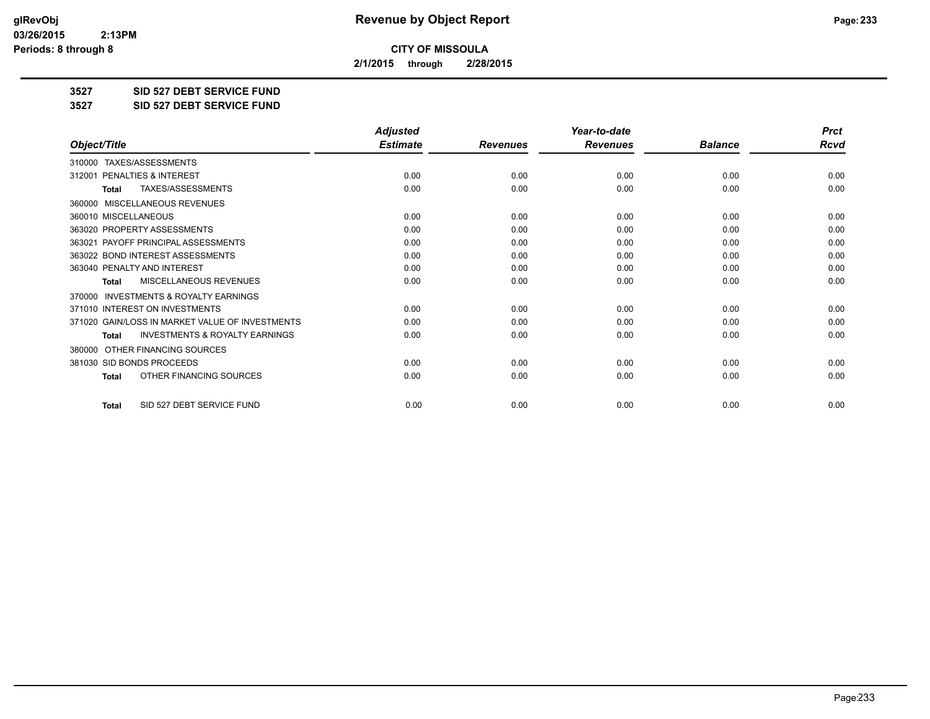**2/1/2015 through 2/28/2015**

**3527 SID 527 DEBT SERVICE FUND**

**3527 SID 527 DEBT SERVICE FUND**

|                                                           | <b>Adjusted</b> |                 | Year-to-date    |                | <b>Prct</b> |
|-----------------------------------------------------------|-----------------|-----------------|-----------------|----------------|-------------|
| Object/Title                                              | <b>Estimate</b> | <b>Revenues</b> | <b>Revenues</b> | <b>Balance</b> | <b>Rcvd</b> |
| TAXES/ASSESSMENTS<br>310000                               |                 |                 |                 |                |             |
| 312001 PENALTIES & INTEREST                               | 0.00            | 0.00            | 0.00            | 0.00           | 0.00        |
| TAXES/ASSESSMENTS<br><b>Total</b>                         | 0.00            | 0.00            | 0.00            | 0.00           | 0.00        |
| MISCELLANEOUS REVENUES<br>360000                          |                 |                 |                 |                |             |
| 360010 MISCELLANEOUS                                      | 0.00            | 0.00            | 0.00            | 0.00           | 0.00        |
| 363020 PROPERTY ASSESSMENTS                               | 0.00            | 0.00            | 0.00            | 0.00           | 0.00        |
| 363021 PAYOFF PRINCIPAL ASSESSMENTS                       | 0.00            | 0.00            | 0.00            | 0.00           | 0.00        |
| 363022 BOND INTEREST ASSESSMENTS                          | 0.00            | 0.00            | 0.00            | 0.00           | 0.00        |
| 363040 PENALTY AND INTEREST                               | 0.00            | 0.00            | 0.00            | 0.00           | 0.00        |
| <b>MISCELLANEOUS REVENUES</b><br><b>Total</b>             | 0.00            | 0.00            | 0.00            | 0.00           | 0.00        |
| <b>INVESTMENTS &amp; ROYALTY EARNINGS</b><br>370000       |                 |                 |                 |                |             |
| 371010 INTEREST ON INVESTMENTS                            | 0.00            | 0.00            | 0.00            | 0.00           | 0.00        |
| 371020 GAIN/LOSS IN MARKET VALUE OF INVESTMENTS           | 0.00            | 0.00            | 0.00            | 0.00           | 0.00        |
| <b>INVESTMENTS &amp; ROYALTY EARNINGS</b><br><b>Total</b> | 0.00            | 0.00            | 0.00            | 0.00           | 0.00        |
| OTHER FINANCING SOURCES<br>380000                         |                 |                 |                 |                |             |
| 381030 SID BONDS PROCEEDS                                 | 0.00            | 0.00            | 0.00            | 0.00           | 0.00        |
| OTHER FINANCING SOURCES<br>Total                          | 0.00            | 0.00            | 0.00            | 0.00           | 0.00        |
| SID 527 DEBT SERVICE FUND<br><b>Total</b>                 | 0.00            | 0.00            | 0.00            | 0.00           | 0.00        |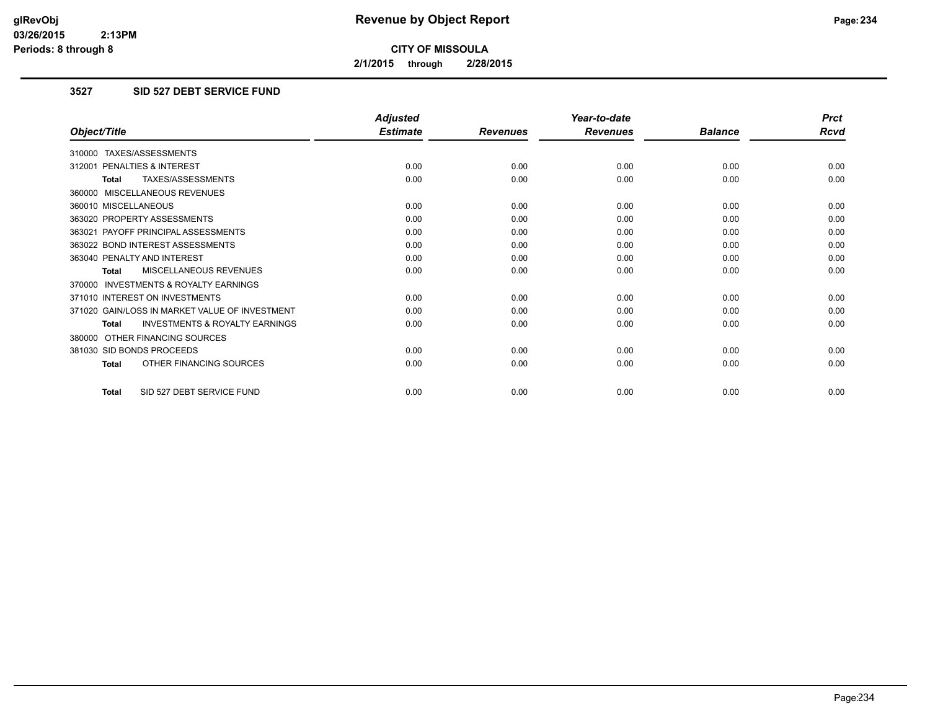**2/1/2015 through 2/28/2015**

### **3527 SID 527 DEBT SERVICE FUND**

|                                                           | <b>Adjusted</b> |                 | Year-to-date    |                | <b>Prct</b> |
|-----------------------------------------------------------|-----------------|-----------------|-----------------|----------------|-------------|
| Object/Title                                              | <b>Estimate</b> | <b>Revenues</b> | <b>Revenues</b> | <b>Balance</b> | <b>Rcvd</b> |
| 310000 TAXES/ASSESSMENTS                                  |                 |                 |                 |                |             |
| PENALTIES & INTEREST<br>312001                            | 0.00            | 0.00            | 0.00            | 0.00           | 0.00        |
| TAXES/ASSESSMENTS<br><b>Total</b>                         | 0.00            | 0.00            | 0.00            | 0.00           | 0.00        |
| 360000 MISCELLANEOUS REVENUES                             |                 |                 |                 |                |             |
| 360010 MISCELLANEOUS                                      | 0.00            | 0.00            | 0.00            | 0.00           | 0.00        |
| 363020 PROPERTY ASSESSMENTS                               | 0.00            | 0.00            | 0.00            | 0.00           | 0.00        |
| 363021 PAYOFF PRINCIPAL ASSESSMENTS                       | 0.00            | 0.00            | 0.00            | 0.00           | 0.00        |
| 363022 BOND INTEREST ASSESSMENTS                          | 0.00            | 0.00            | 0.00            | 0.00           | 0.00        |
| 363040 PENALTY AND INTEREST                               | 0.00            | 0.00            | 0.00            | 0.00           | 0.00        |
| MISCELLANEOUS REVENUES<br><b>Total</b>                    | 0.00            | 0.00            | 0.00            | 0.00           | 0.00        |
| <b>INVESTMENTS &amp; ROYALTY EARNINGS</b><br>370000       |                 |                 |                 |                |             |
| 371010 INTEREST ON INVESTMENTS                            | 0.00            | 0.00            | 0.00            | 0.00           | 0.00        |
| 371020 GAIN/LOSS IN MARKET VALUE OF INVESTMENT            | 0.00            | 0.00            | 0.00            | 0.00           | 0.00        |
| <b>INVESTMENTS &amp; ROYALTY EARNINGS</b><br><b>Total</b> | 0.00            | 0.00            | 0.00            | 0.00           | 0.00        |
| 380000 OTHER FINANCING SOURCES                            |                 |                 |                 |                |             |
| 381030 SID BONDS PROCEEDS                                 | 0.00            | 0.00            | 0.00            | 0.00           | 0.00        |
| OTHER FINANCING SOURCES<br><b>Total</b>                   | 0.00            | 0.00            | 0.00            | 0.00           | 0.00        |
| SID 527 DEBT SERVICE FUND<br><b>Total</b>                 | 0.00            | 0.00            | 0.00            | 0.00           | 0.00        |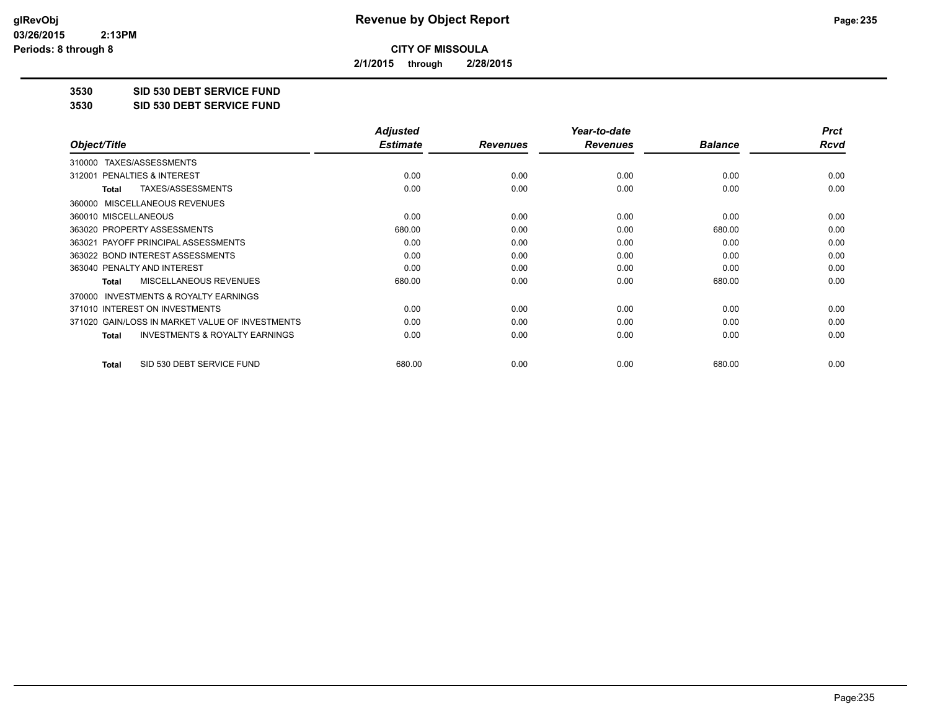**2/1/2015 through 2/28/2015**

**3530 SID 530 DEBT SERVICE FUND**

**3530 SID 530 DEBT SERVICE FUND**

|                                                           | <b>Adjusted</b> |                 | Year-to-date    |                | <b>Prct</b> |
|-----------------------------------------------------------|-----------------|-----------------|-----------------|----------------|-------------|
| Object/Title                                              | <b>Estimate</b> | <b>Revenues</b> | <b>Revenues</b> | <b>Balance</b> | Rcvd        |
| TAXES/ASSESSMENTS<br>310000                               |                 |                 |                 |                |             |
| 312001 PENALTIES & INTEREST                               | 0.00            | 0.00            | 0.00            | 0.00           | 0.00        |
| TAXES/ASSESSMENTS<br>Total                                | 0.00            | 0.00            | 0.00            | 0.00           | 0.00        |
| MISCELLANEOUS REVENUES<br>360000                          |                 |                 |                 |                |             |
| 360010 MISCELLANEOUS                                      | 0.00            | 0.00            | 0.00            | 0.00           | 0.00        |
| 363020 PROPERTY ASSESSMENTS                               | 680.00          | 0.00            | 0.00            | 680.00         | 0.00        |
| 363021 PAYOFF PRINCIPAL ASSESSMENTS                       | 0.00            | 0.00            | 0.00            | 0.00           | 0.00        |
| 363022 BOND INTEREST ASSESSMENTS                          | 0.00            | 0.00            | 0.00            | 0.00           | 0.00        |
| 363040 PENALTY AND INTEREST                               | 0.00            | 0.00            | 0.00            | 0.00           | 0.00        |
| MISCELLANEOUS REVENUES<br><b>Total</b>                    | 680.00          | 0.00            | 0.00            | 680.00         | 0.00        |
| <b>INVESTMENTS &amp; ROYALTY EARNINGS</b><br>370000       |                 |                 |                 |                |             |
| 371010 INTEREST ON INVESTMENTS                            | 0.00            | 0.00            | 0.00            | 0.00           | 0.00        |
| 371020 GAIN/LOSS IN MARKET VALUE OF INVESTMENTS           | 0.00            | 0.00            | 0.00            | 0.00           | 0.00        |
| <b>INVESTMENTS &amp; ROYALTY EARNINGS</b><br><b>Total</b> | 0.00            | 0.00            | 0.00            | 0.00           | 0.00        |
| SID 530 DEBT SERVICE FUND<br><b>Total</b>                 | 680.00          | 0.00            | 0.00            | 680.00         | 0.00        |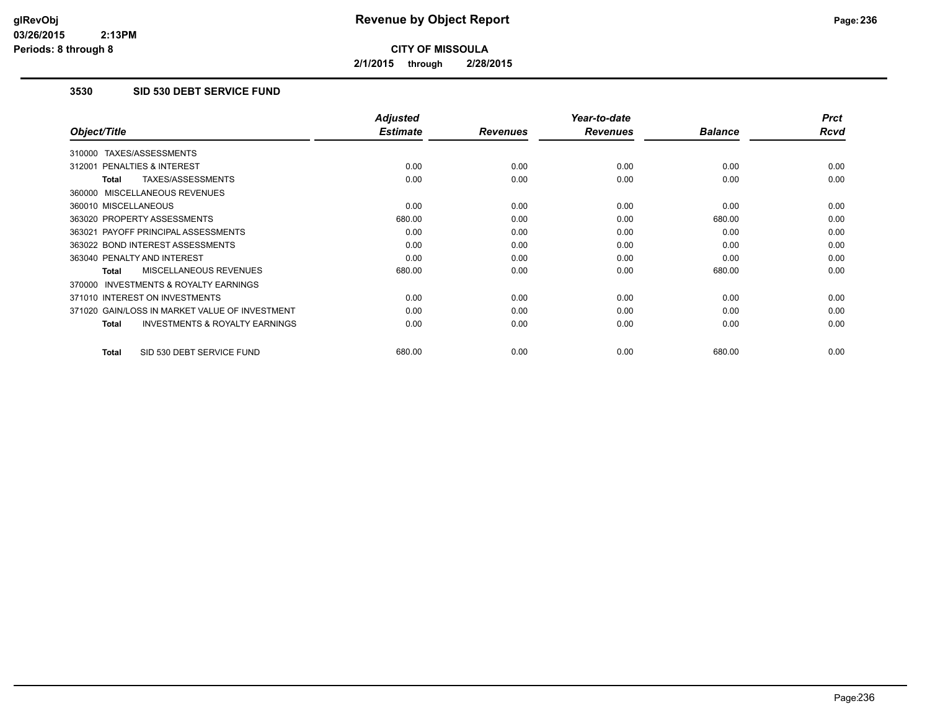**2/1/2015 through 2/28/2015**

### **3530 SID 530 DEBT SERVICE FUND**

|                                                           | <b>Adjusted</b> |                 | Year-to-date    |                | <b>Prct</b> |
|-----------------------------------------------------------|-----------------|-----------------|-----------------|----------------|-------------|
| Object/Title                                              | <b>Estimate</b> | <b>Revenues</b> | <b>Revenues</b> | <b>Balance</b> | <b>Rcvd</b> |
| 310000 TAXES/ASSESSMENTS                                  |                 |                 |                 |                |             |
| 312001 PENALTIES & INTEREST                               | 0.00            | 0.00            | 0.00            | 0.00           | 0.00        |
| TAXES/ASSESSMENTS<br><b>Total</b>                         | 0.00            | 0.00            | 0.00            | 0.00           | 0.00        |
| 360000 MISCELLANEOUS REVENUES                             |                 |                 |                 |                |             |
| 360010 MISCELLANEOUS                                      | 0.00            | 0.00            | 0.00            | 0.00           | 0.00        |
| 363020 PROPERTY ASSESSMENTS                               | 680.00          | 0.00            | 0.00            | 680.00         | 0.00        |
| 363021 PAYOFF PRINCIPAL ASSESSMENTS                       | 0.00            | 0.00            | 0.00            | 0.00           | 0.00        |
| 363022 BOND INTEREST ASSESSMENTS                          | 0.00            | 0.00            | 0.00            | 0.00           | 0.00        |
| 363040 PENALTY AND INTEREST                               | 0.00            | 0.00            | 0.00            | 0.00           | 0.00        |
| MISCELLANEOUS REVENUES<br><b>Total</b>                    | 680.00          | 0.00            | 0.00            | 680.00         | 0.00        |
| INVESTMENTS & ROYALTY EARNINGS<br>370000                  |                 |                 |                 |                |             |
| 371010 INTEREST ON INVESTMENTS                            | 0.00            | 0.00            | 0.00            | 0.00           | 0.00        |
| 371020 GAIN/LOSS IN MARKET VALUE OF INVESTMENT            | 0.00            | 0.00            | 0.00            | 0.00           | 0.00        |
| <b>INVESTMENTS &amp; ROYALTY EARNINGS</b><br><b>Total</b> | 0.00            | 0.00            | 0.00            | 0.00           | 0.00        |
| SID 530 DEBT SERVICE FUND<br><b>Total</b>                 | 680.00          | 0.00            | 0.00            | 680.00         | 0.00        |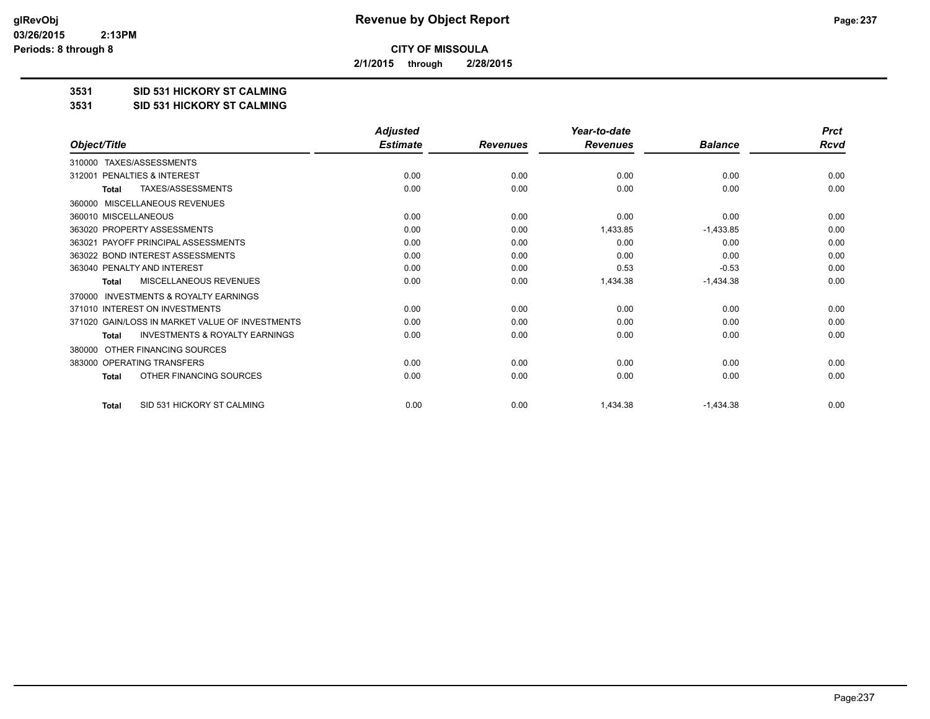**2/1/2015 through 2/28/2015**

#### **3531 SID 531 HICKORY ST CALMING**

#### **3531 SID 531 HICKORY ST CALMING**

|                                                     | <b>Adjusted</b> |                 | Year-to-date    |                | <b>Prct</b> |
|-----------------------------------------------------|-----------------|-----------------|-----------------|----------------|-------------|
| Object/Title                                        | <b>Estimate</b> | <b>Revenues</b> | <b>Revenues</b> | <b>Balance</b> | Rcvd        |
| TAXES/ASSESSMENTS<br>310000                         |                 |                 |                 |                |             |
| PENALTIES & INTEREST<br>312001                      | 0.00            | 0.00            | 0.00            | 0.00           | 0.00        |
| TAXES/ASSESSMENTS<br><b>Total</b>                   | 0.00            | 0.00            | 0.00            | 0.00           | 0.00        |
| MISCELLANEOUS REVENUES<br>360000                    |                 |                 |                 |                |             |
| 360010 MISCELLANEOUS                                | 0.00            | 0.00            | 0.00            | 0.00           | 0.00        |
| 363020 PROPERTY ASSESSMENTS                         | 0.00            | 0.00            | 1,433.85        | $-1,433.85$    | 0.00        |
| PAYOFF PRINCIPAL ASSESSMENTS<br>363021              | 0.00            | 0.00            | 0.00            | 0.00           | 0.00        |
| 363022 BOND INTEREST ASSESSMENTS                    | 0.00            | 0.00            | 0.00            | 0.00           | 0.00        |
| 363040 PENALTY AND INTEREST                         | 0.00            | 0.00            | 0.53            | $-0.53$        | 0.00        |
| MISCELLANEOUS REVENUES<br>Total                     | 0.00            | 0.00            | 1,434.38        | $-1,434.38$    | 0.00        |
| <b>INVESTMENTS &amp; ROYALTY EARNINGS</b><br>370000 |                 |                 |                 |                |             |
| 371010 INTEREST ON INVESTMENTS                      | 0.00            | 0.00            | 0.00            | 0.00           | 0.00        |
| 371020 GAIN/LOSS IN MARKET VALUE OF INVESTMENTS     | 0.00            | 0.00            | 0.00            | 0.00           | 0.00        |
| <b>INVESTMENTS &amp; ROYALTY EARNINGS</b><br>Total  | 0.00            | 0.00            | 0.00            | 0.00           | 0.00        |
| OTHER FINANCING SOURCES<br>380000                   |                 |                 |                 |                |             |
| 383000 OPERATING TRANSFERS                          | 0.00            | 0.00            | 0.00            | 0.00           | 0.00        |
| OTHER FINANCING SOURCES<br><b>Total</b>             | 0.00            | 0.00            | 0.00            | 0.00           | 0.00        |
| SID 531 HICKORY ST CALMING<br><b>Total</b>          | 0.00            | 0.00            | 1,434.38        | $-1,434.38$    | 0.00        |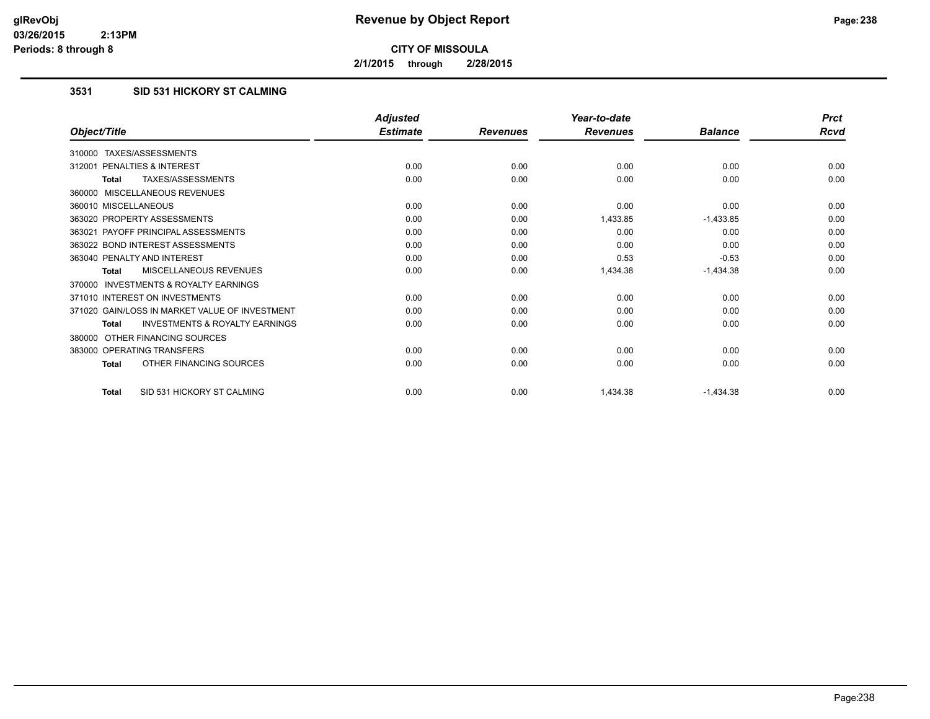**2/1/2015 through 2/28/2015**

## **3531 SID 531 HICKORY ST CALMING**

|                                                           | <b>Adjusted</b> |                 | Year-to-date    |                | <b>Prct</b> |
|-----------------------------------------------------------|-----------------|-----------------|-----------------|----------------|-------------|
| Object/Title                                              | <b>Estimate</b> | <b>Revenues</b> | <b>Revenues</b> | <b>Balance</b> | <b>Rcvd</b> |
| TAXES/ASSESSMENTS<br>310000                               |                 |                 |                 |                |             |
| PENALTIES & INTEREST<br>312001                            | 0.00            | 0.00            | 0.00            | 0.00           | 0.00        |
| TAXES/ASSESSMENTS<br><b>Total</b>                         | 0.00            | 0.00            | 0.00            | 0.00           | 0.00        |
| MISCELLANEOUS REVENUES<br>360000                          |                 |                 |                 |                |             |
| 360010 MISCELLANEOUS                                      | 0.00            | 0.00            | 0.00            | 0.00           | 0.00        |
| 363020 PROPERTY ASSESSMENTS                               | 0.00            | 0.00            | 1,433.85        | $-1,433.85$    | 0.00        |
| 363021 PAYOFF PRINCIPAL ASSESSMENTS                       | 0.00            | 0.00            | 0.00            | 0.00           | 0.00        |
| 363022 BOND INTEREST ASSESSMENTS                          | 0.00            | 0.00            | 0.00            | 0.00           | 0.00        |
| 363040 PENALTY AND INTEREST                               | 0.00            | 0.00            | 0.53            | $-0.53$        | 0.00        |
| <b>MISCELLANEOUS REVENUES</b><br><b>Total</b>             | 0.00            | 0.00            | 1,434.38        | $-1,434.38$    | 0.00        |
| <b>INVESTMENTS &amp; ROYALTY EARNINGS</b><br>370000       |                 |                 |                 |                |             |
| 371010 INTEREST ON INVESTMENTS                            | 0.00            | 0.00            | 0.00            | 0.00           | 0.00        |
| 371020 GAIN/LOSS IN MARKET VALUE OF INVESTMENT            | 0.00            | 0.00            | 0.00            | 0.00           | 0.00        |
| <b>INVESTMENTS &amp; ROYALTY EARNINGS</b><br><b>Total</b> | 0.00            | 0.00            | 0.00            | 0.00           | 0.00        |
| OTHER FINANCING SOURCES<br>380000                         |                 |                 |                 |                |             |
| 383000 OPERATING TRANSFERS                                | 0.00            | 0.00            | 0.00            | 0.00           | 0.00        |
| OTHER FINANCING SOURCES<br><b>Total</b>                   | 0.00            | 0.00            | 0.00            | 0.00           | 0.00        |
| SID 531 HICKORY ST CALMING<br><b>Total</b>                | 0.00            | 0.00            | 1,434.38        | $-1,434.38$    | 0.00        |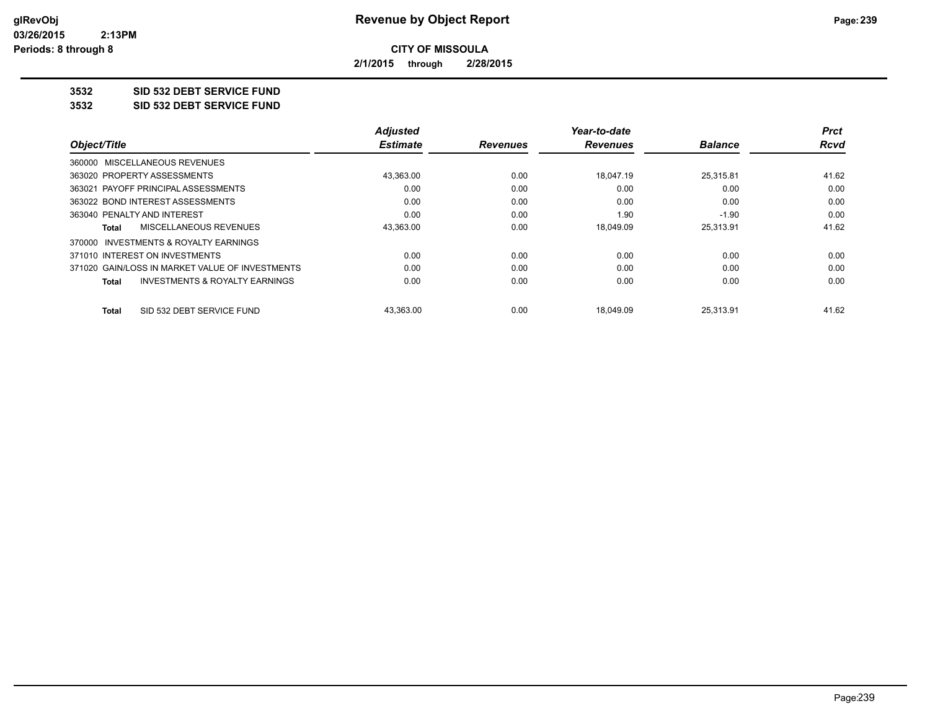**2/1/2015 through 2/28/2015**

## **3532 SID 532 DEBT SERVICE FUND**

**3532 SID 532 DEBT SERVICE FUND**

|                                                    | <b>Adjusted</b> |                 | Year-to-date    |                | <b>Prct</b> |
|----------------------------------------------------|-----------------|-----------------|-----------------|----------------|-------------|
| Object/Title                                       | <b>Estimate</b> | <b>Revenues</b> | <b>Revenues</b> | <b>Balance</b> | Rcvd        |
| 360000 MISCELLANEOUS REVENUES                      |                 |                 |                 |                |             |
| 363020 PROPERTY ASSESSMENTS                        | 43,363.00       | 0.00            | 18.047.19       | 25,315.81      | 41.62       |
| PAYOFF PRINCIPAL ASSESSMENTS<br>363021             | 0.00            | 0.00            | 0.00            | 0.00           | 0.00        |
| 363022 BOND INTEREST ASSESSMENTS                   | 0.00            | 0.00            | 0.00            | 0.00           | 0.00        |
| 363040 PENALTY AND INTEREST                        | 0.00            | 0.00            | 1.90            | $-1.90$        | 0.00        |
| MISCELLANEOUS REVENUES<br>Total                    | 43,363.00       | 0.00            | 18.049.09       | 25,313.91      | 41.62       |
| 370000 INVESTMENTS & ROYALTY EARNINGS              |                 |                 |                 |                |             |
| 371010 INTEREST ON INVESTMENTS                     | 0.00            | 0.00            | 0.00            | 0.00           | 0.00        |
| 371020 GAIN/LOSS IN MARKET VALUE OF INVESTMENTS    | 0.00            | 0.00            | 0.00            | 0.00           | 0.00        |
| <b>INVESTMENTS &amp; ROYALTY EARNINGS</b><br>Total | 0.00            | 0.00            | 0.00            | 0.00           | 0.00        |
| SID 532 DEBT SERVICE FUND<br>Total                 | 43.363.00       | 0.00            | 18.049.09       | 25.313.91      | 41.62       |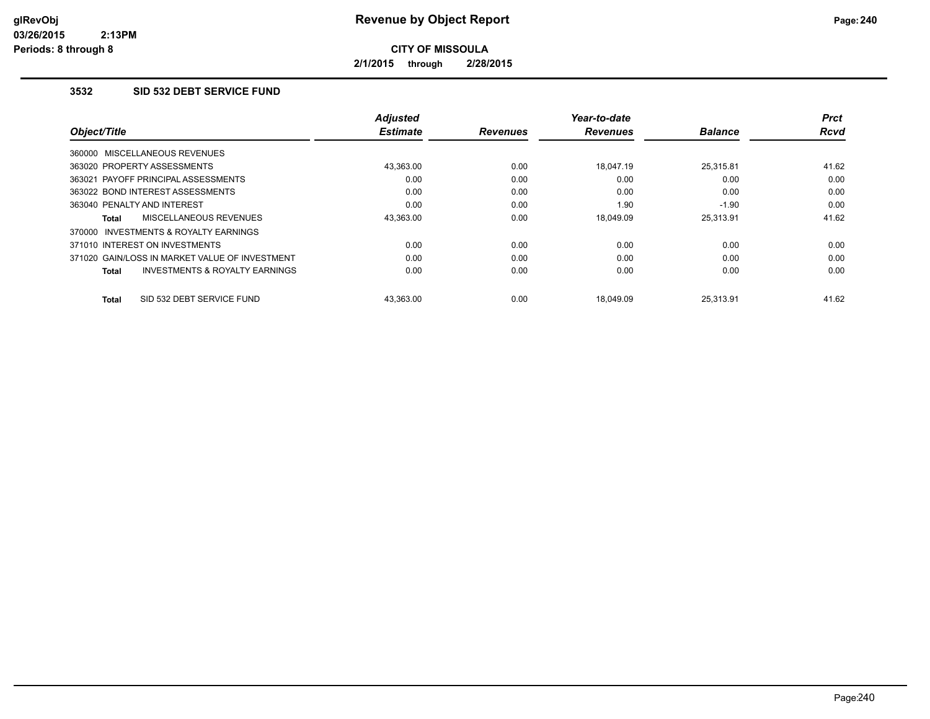**2/1/2015 through 2/28/2015**

### **3532 SID 532 DEBT SERVICE FUND**

|                                                           | <b>Adjusted</b> |                 | Year-to-date    |                | <b>Prct</b> |
|-----------------------------------------------------------|-----------------|-----------------|-----------------|----------------|-------------|
| Object/Title                                              | <b>Estimate</b> | <b>Revenues</b> | <b>Revenues</b> | <b>Balance</b> | <b>Rcvd</b> |
| 360000 MISCELLANEOUS REVENUES                             |                 |                 |                 |                |             |
| 363020 PROPERTY ASSESSMENTS                               | 43.363.00       | 0.00            | 18.047.19       | 25.315.81      | 41.62       |
| 363021 PAYOFF PRINCIPAL ASSESSMENTS                       | 0.00            | 0.00            | 0.00            | 0.00           | 0.00        |
| 363022 BOND INTEREST ASSESSMENTS                          | 0.00            | 0.00            | 0.00            | 0.00           | 0.00        |
| 363040 PENALTY AND INTEREST                               | 0.00            | 0.00            | 1.90            | $-1.90$        | 0.00        |
| MISCELLANEOUS REVENUES<br><b>Total</b>                    | 43,363.00       | 0.00            | 18,049.09       | 25,313.91      | 41.62       |
| <b>INVESTMENTS &amp; ROYALTY EARNINGS</b><br>370000       |                 |                 |                 |                |             |
| 371010 INTEREST ON INVESTMENTS                            | 0.00            | 0.00            | 0.00            | 0.00           | 0.00        |
| 371020 GAIN/LOSS IN MARKET VALUE OF INVESTMENT            | 0.00            | 0.00            | 0.00            | 0.00           | 0.00        |
| <b>INVESTMENTS &amp; ROYALTY EARNINGS</b><br><b>Total</b> | 0.00            | 0.00            | 0.00            | 0.00           | 0.00        |
| SID 532 DEBT SERVICE FUND<br><b>Total</b>                 | 43.363.00       | 0.00            | 18.049.09       | 25.313.91      | 41.62       |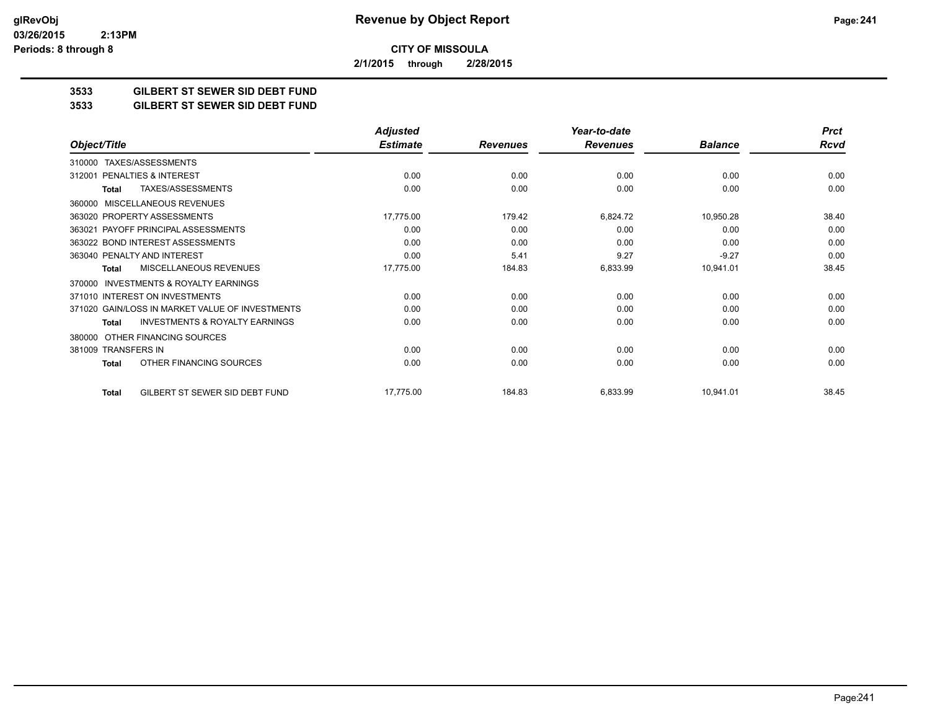**2/1/2015 through 2/28/2015**

# **3533 GILBERT ST SEWER SID DEBT FUND**

#### **3533 GILBERT ST SEWER SID DEBT FUND**

|                                                           | <b>Adjusted</b> |                 | Year-to-date    |                | <b>Prct</b> |
|-----------------------------------------------------------|-----------------|-----------------|-----------------|----------------|-------------|
| Object/Title                                              | <b>Estimate</b> | <b>Revenues</b> | <b>Revenues</b> | <b>Balance</b> | <b>Rcvd</b> |
| TAXES/ASSESSMENTS<br>310000                               |                 |                 |                 |                |             |
| PENALTIES & INTEREST<br>312001                            | 0.00            | 0.00            | 0.00            | 0.00           | 0.00        |
| <b>TAXES/ASSESSMENTS</b><br><b>Total</b>                  | 0.00            | 0.00            | 0.00            | 0.00           | 0.00        |
| <b>MISCELLANEOUS REVENUES</b><br>360000                   |                 |                 |                 |                |             |
| 363020 PROPERTY ASSESSMENTS                               | 17,775.00       | 179.42          | 6,824.72        | 10,950.28      | 38.40       |
| 363021 PAYOFF PRINCIPAL ASSESSMENTS                       | 0.00            | 0.00            | 0.00            | 0.00           | 0.00        |
| 363022 BOND INTEREST ASSESSMENTS                          | 0.00            | 0.00            | 0.00            | 0.00           | 0.00        |
| 363040 PENALTY AND INTEREST                               | 0.00            | 5.41            | 9.27            | $-9.27$        | 0.00        |
| <b>MISCELLANEOUS REVENUES</b><br><b>Total</b>             | 17,775.00       | 184.83          | 6,833.99        | 10,941.01      | 38.45       |
| <b>INVESTMENTS &amp; ROYALTY EARNINGS</b><br>370000       |                 |                 |                 |                |             |
| 371010 INTEREST ON INVESTMENTS                            | 0.00            | 0.00            | 0.00            | 0.00           | 0.00        |
| 371020 GAIN/LOSS IN MARKET VALUE OF INVESTMENTS           | 0.00            | 0.00            | 0.00            | 0.00           | 0.00        |
| <b>INVESTMENTS &amp; ROYALTY EARNINGS</b><br><b>Total</b> | 0.00            | 0.00            | 0.00            | 0.00           | 0.00        |
| OTHER FINANCING SOURCES<br>380000                         |                 |                 |                 |                |             |
| 381009 TRANSFERS IN                                       | 0.00            | 0.00            | 0.00            | 0.00           | 0.00        |
| OTHER FINANCING SOURCES<br><b>Total</b>                   | 0.00            | 0.00            | 0.00            | 0.00           | 0.00        |
| GILBERT ST SEWER SID DEBT FUND<br><b>Total</b>            | 17,775.00       | 184.83          | 6,833.99        | 10,941.01      | 38.45       |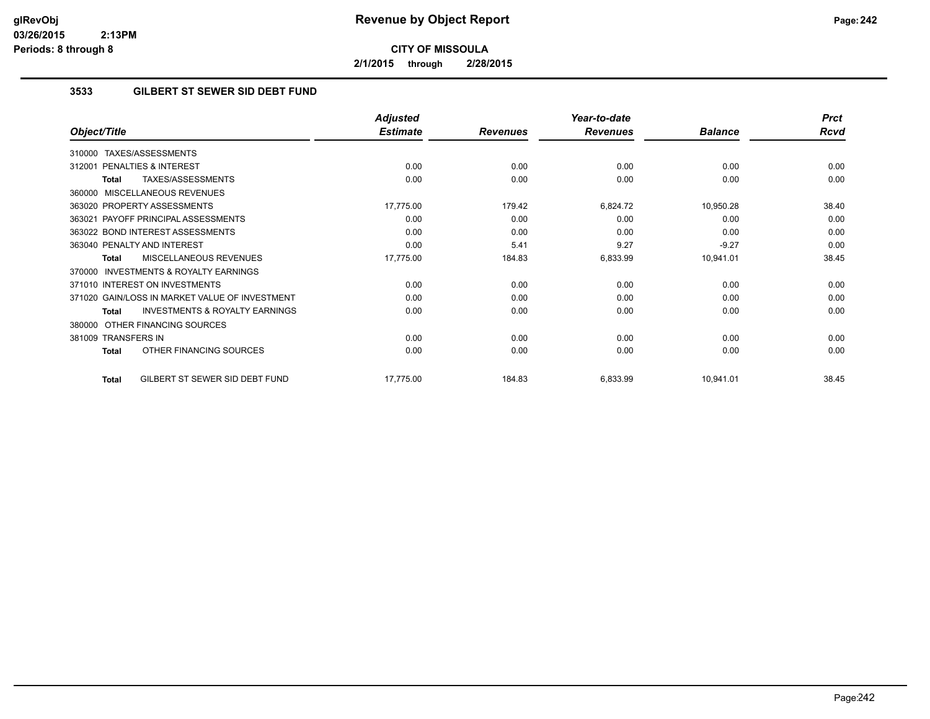**2/1/2015 through 2/28/2015**

### **3533 GILBERT ST SEWER SID DEBT FUND**

|                                                           | <b>Adjusted</b> |                 | Year-to-date    |                | <b>Prct</b> |
|-----------------------------------------------------------|-----------------|-----------------|-----------------|----------------|-------------|
| Object/Title                                              | <b>Estimate</b> | <b>Revenues</b> | <b>Revenues</b> | <b>Balance</b> | <b>Rcvd</b> |
| TAXES/ASSESSMENTS<br>310000                               |                 |                 |                 |                |             |
| 312001 PENALTIES & INTEREST                               | 0.00            | 0.00            | 0.00            | 0.00           | 0.00        |
| TAXES/ASSESSMENTS<br><b>Total</b>                         | 0.00            | 0.00            | 0.00            | 0.00           | 0.00        |
| 360000 MISCELLANEOUS REVENUES                             |                 |                 |                 |                |             |
| 363020 PROPERTY ASSESSMENTS                               | 17,775.00       | 179.42          | 6,824.72        | 10,950.28      | 38.40       |
| 363021 PAYOFF PRINCIPAL ASSESSMENTS                       | 0.00            | 0.00            | 0.00            | 0.00           | 0.00        |
| 363022 BOND INTEREST ASSESSMENTS                          | 0.00            | 0.00            | 0.00            | 0.00           | 0.00        |
| 363040 PENALTY AND INTEREST                               | 0.00            | 5.41            | 9.27            | $-9.27$        | 0.00        |
| MISCELLANEOUS REVENUES<br>Total                           | 17,775.00       | 184.83          | 6,833.99        | 10,941.01      | 38.45       |
| <b>INVESTMENTS &amp; ROYALTY EARNINGS</b><br>370000       |                 |                 |                 |                |             |
| 371010 INTEREST ON INVESTMENTS                            | 0.00            | 0.00            | 0.00            | 0.00           | 0.00        |
| 371020 GAIN/LOSS IN MARKET VALUE OF INVESTMENT            | 0.00            | 0.00            | 0.00            | 0.00           | 0.00        |
| <b>INVESTMENTS &amp; ROYALTY EARNINGS</b><br><b>Total</b> | 0.00            | 0.00            | 0.00            | 0.00           | 0.00        |
| OTHER FINANCING SOURCES<br>380000                         |                 |                 |                 |                |             |
| 381009 TRANSFERS IN                                       | 0.00            | 0.00            | 0.00            | 0.00           | 0.00        |
| OTHER FINANCING SOURCES<br><b>Total</b>                   | 0.00            | 0.00            | 0.00            | 0.00           | 0.00        |
| GILBERT ST SEWER SID DEBT FUND<br><b>Total</b>            | 17,775.00       | 184.83          | 6,833.99        | 10,941.01      | 38.45       |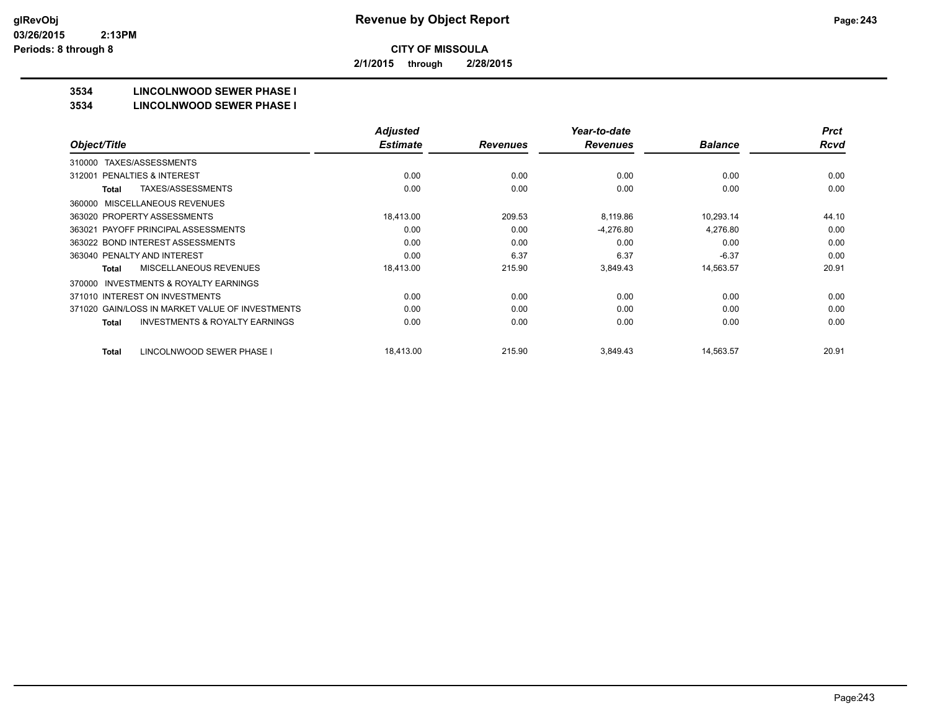**2/1/2015 through 2/28/2015**

# **3534 LINCOLNWOOD SEWER PHASE I**

#### **3534 LINCOLNWOOD SEWER PHASE I**

|                                                    | <b>Adjusted</b> |                 | Year-to-date    |                | <b>Prct</b> |
|----------------------------------------------------|-----------------|-----------------|-----------------|----------------|-------------|
| Object/Title                                       | <b>Estimate</b> | <b>Revenues</b> | <b>Revenues</b> | <b>Balance</b> | <b>Rcvd</b> |
| TAXES/ASSESSMENTS<br>310000                        |                 |                 |                 |                |             |
| PENALTIES & INTEREST<br>312001                     | 0.00            | 0.00            | 0.00            | 0.00           | 0.00        |
| TAXES/ASSESSMENTS<br><b>Total</b>                  | 0.00            | 0.00            | 0.00            | 0.00           | 0.00        |
| MISCELLANEOUS REVENUES<br>360000                   |                 |                 |                 |                |             |
| 363020 PROPERTY ASSESSMENTS                        | 18,413.00       | 209.53          | 8,119.86        | 10,293.14      | 44.10       |
| 363021 PAYOFF PRINCIPAL ASSESSMENTS                | 0.00            | 0.00            | $-4,276.80$     | 4,276.80       | 0.00        |
| 363022 BOND INTEREST ASSESSMENTS                   | 0.00            | 0.00            | 0.00            | 0.00           | 0.00        |
| 363040 PENALTY AND INTEREST                        | 0.00            | 6.37            | 6.37            | $-6.37$        | 0.00        |
| MISCELLANEOUS REVENUES<br>Total                    | 18,413.00       | 215.90          | 3,849.43        | 14,563.57      | 20.91       |
| INVESTMENTS & ROYALTY EARNINGS<br>370000           |                 |                 |                 |                |             |
| 371010 INTEREST ON INVESTMENTS                     | 0.00            | 0.00            | 0.00            | 0.00           | 0.00        |
| 371020 GAIN/LOSS IN MARKET VALUE OF INVESTMENTS    | 0.00            | 0.00            | 0.00            | 0.00           | 0.00        |
| <b>INVESTMENTS &amp; ROYALTY EARNINGS</b><br>Total | 0.00            | 0.00            | 0.00            | 0.00           | 0.00        |
| LINCOLNWOOD SEWER PHASE I<br><b>Total</b>          | 18,413.00       | 215.90          | 3,849.43        | 14,563.57      | 20.91       |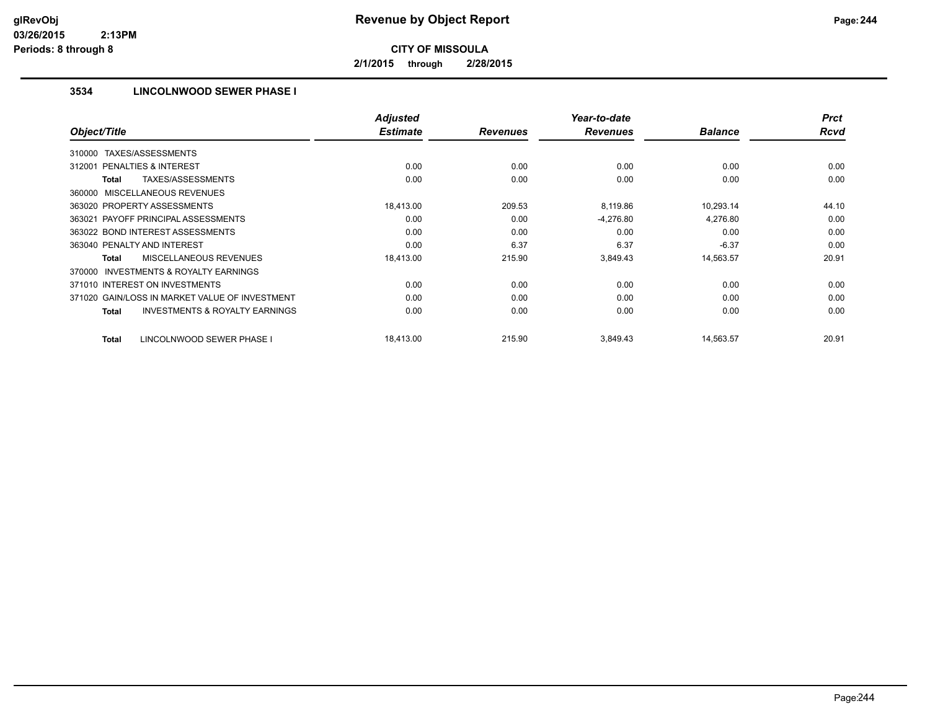**2/1/2015 through 2/28/2015**

### **3534 LINCOLNWOOD SEWER PHASE I**

|                                                           | <b>Adjusted</b> |                 | Year-to-date    |                | <b>Prct</b> |
|-----------------------------------------------------------|-----------------|-----------------|-----------------|----------------|-------------|
| Object/Title                                              | <b>Estimate</b> | <b>Revenues</b> | <b>Revenues</b> | <b>Balance</b> | <b>Rcvd</b> |
| TAXES/ASSESSMENTS<br>310000                               |                 |                 |                 |                |             |
| <b>PENALTIES &amp; INTEREST</b><br>312001                 | 0.00            | 0.00            | 0.00            | 0.00           | 0.00        |
| <b>TAXES/ASSESSMENTS</b><br>Total                         | 0.00            | 0.00            | 0.00            | 0.00           | 0.00        |
| 360000 MISCELLANEOUS REVENUES                             |                 |                 |                 |                |             |
| 363020 PROPERTY ASSESSMENTS                               | 18,413.00       | 209.53          | 8,119.86        | 10,293.14      | 44.10       |
| 363021 PAYOFF PRINCIPAL ASSESSMENTS                       | 0.00            | 0.00            | $-4,276.80$     | 4,276.80       | 0.00        |
| 363022 BOND INTEREST ASSESSMENTS                          | 0.00            | 0.00            | 0.00            | 0.00           | 0.00        |
| 363040 PENALTY AND INTEREST                               | 0.00            | 6.37            | 6.37            | $-6.37$        | 0.00        |
| <b>MISCELLANEOUS REVENUES</b><br>Total                    | 18,413.00       | 215.90          | 3,849.43        | 14,563.57      | 20.91       |
| <b>INVESTMENTS &amp; ROYALTY EARNINGS</b><br>370000       |                 |                 |                 |                |             |
| 371010 INTEREST ON INVESTMENTS                            | 0.00            | 0.00            | 0.00            | 0.00           | 0.00        |
| 371020 GAIN/LOSS IN MARKET VALUE OF INVESTMENT            | 0.00            | 0.00            | 0.00            | 0.00           | 0.00        |
| <b>INVESTMENTS &amp; ROYALTY EARNINGS</b><br><b>Total</b> | 0.00            | 0.00            | 0.00            | 0.00           | 0.00        |
| LINCOLNWOOD SEWER PHASE I<br><b>Total</b>                 | 18,413.00       | 215.90          | 3,849.43        | 14,563.57      | 20.91       |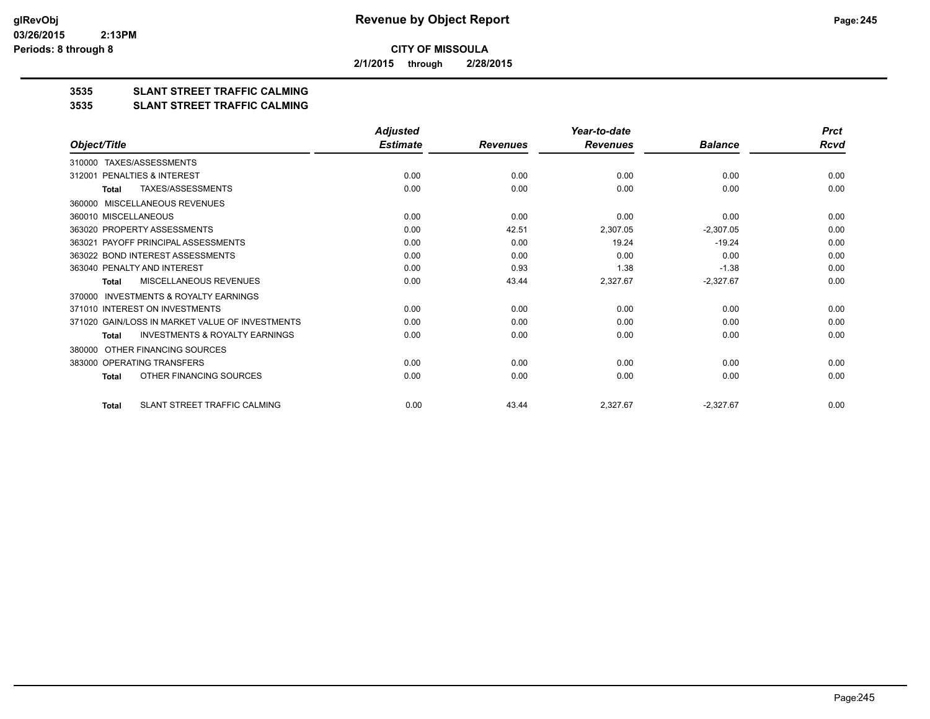**2/1/2015 through 2/28/2015**

### **3535 SLANT STREET TRAFFIC CALMING**

#### **3535 SLANT STREET TRAFFIC CALMING**

|                                                           | <b>Adjusted</b> |                 | Year-to-date    |                | <b>Prct</b> |
|-----------------------------------------------------------|-----------------|-----------------|-----------------|----------------|-------------|
| Object/Title                                              | <b>Estimate</b> | <b>Revenues</b> | <b>Revenues</b> | <b>Balance</b> | <b>Rcvd</b> |
| TAXES/ASSESSMENTS<br>310000                               |                 |                 |                 |                |             |
| PENALTIES & INTEREST<br>312001                            | 0.00            | 0.00            | 0.00            | 0.00           | 0.00        |
| <b>TAXES/ASSESSMENTS</b><br><b>Total</b>                  | 0.00            | 0.00            | 0.00            | 0.00           | 0.00        |
| <b>MISCELLANEOUS REVENUES</b><br>360000                   |                 |                 |                 |                |             |
| 360010 MISCELLANEOUS                                      | 0.00            | 0.00            | 0.00            | 0.00           | 0.00        |
| 363020 PROPERTY ASSESSMENTS                               | 0.00            | 42.51           | 2,307.05        | $-2,307.05$    | 0.00        |
| PAYOFF PRINCIPAL ASSESSMENTS<br>363021                    | 0.00            | 0.00            | 19.24           | $-19.24$       | 0.00        |
| 363022 BOND INTEREST ASSESSMENTS                          | 0.00            | 0.00            | 0.00            | 0.00           | 0.00        |
| 363040 PENALTY AND INTEREST                               | 0.00            | 0.93            | 1.38            | $-1.38$        | 0.00        |
| MISCELLANEOUS REVENUES<br>Total                           | 0.00            | 43.44           | 2,327.67        | $-2,327.67$    | 0.00        |
| <b>INVESTMENTS &amp; ROYALTY EARNINGS</b><br>370000       |                 |                 |                 |                |             |
| 371010 INTEREST ON INVESTMENTS                            | 0.00            | 0.00            | 0.00            | 0.00           | 0.00        |
| 371020 GAIN/LOSS IN MARKET VALUE OF INVESTMENTS           | 0.00            | 0.00            | 0.00            | 0.00           | 0.00        |
| <b>INVESTMENTS &amp; ROYALTY EARNINGS</b><br><b>Total</b> | 0.00            | 0.00            | 0.00            | 0.00           | 0.00        |
| OTHER FINANCING SOURCES<br>380000                         |                 |                 |                 |                |             |
| OPERATING TRANSFERS<br>383000                             | 0.00            | 0.00            | 0.00            | 0.00           | 0.00        |
| OTHER FINANCING SOURCES<br>Total                          | 0.00            | 0.00            | 0.00            | 0.00           | 0.00        |
| SLANT STREET TRAFFIC CALMING<br><b>Total</b>              | 0.00            | 43.44           | 2,327.67        | $-2,327.67$    | 0.00        |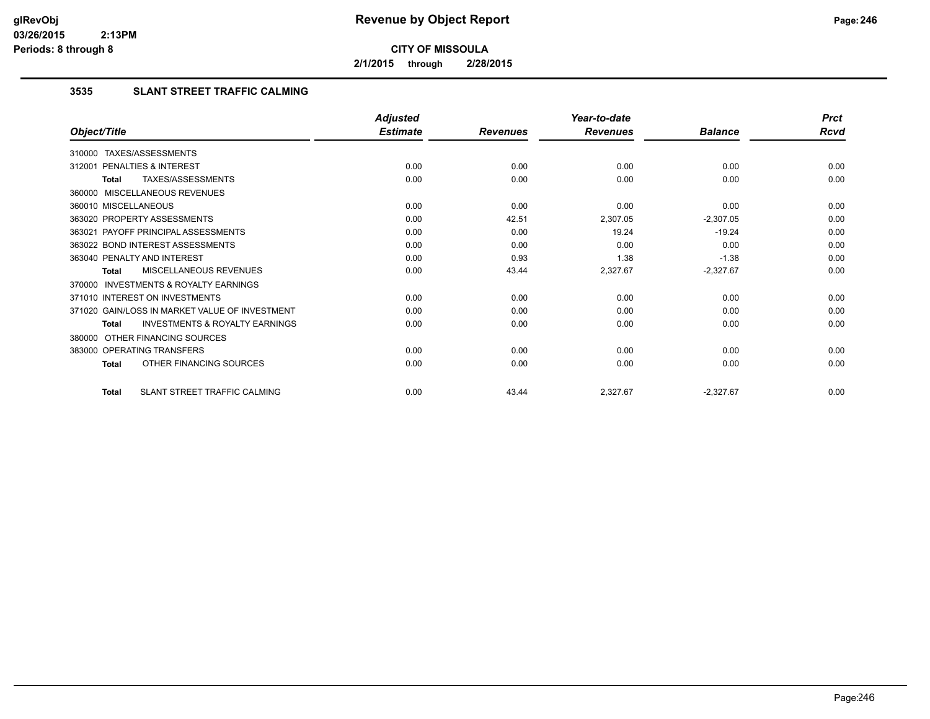**2/1/2015 through 2/28/2015**

### **3535 SLANT STREET TRAFFIC CALMING**

|                                                           | <b>Adjusted</b> |                 | Year-to-date    |                | <b>Prct</b> |
|-----------------------------------------------------------|-----------------|-----------------|-----------------|----------------|-------------|
| Object/Title                                              | <b>Estimate</b> | <b>Revenues</b> | <b>Revenues</b> | <b>Balance</b> | <b>Rcvd</b> |
| 310000 TAXES/ASSESSMENTS                                  |                 |                 |                 |                |             |
| PENALTIES & INTEREST<br>312001                            | 0.00            | 0.00            | 0.00            | 0.00           | 0.00        |
| TAXES/ASSESSMENTS<br><b>Total</b>                         | 0.00            | 0.00            | 0.00            | 0.00           | 0.00        |
| 360000 MISCELLANEOUS REVENUES                             |                 |                 |                 |                |             |
| 360010 MISCELLANEOUS                                      | 0.00            | 0.00            | 0.00            | 0.00           | 0.00        |
| 363020 PROPERTY ASSESSMENTS                               | 0.00            | 42.51           | 2,307.05        | $-2,307.05$    | 0.00        |
| 363021 PAYOFF PRINCIPAL ASSESSMENTS                       | 0.00            | 0.00            | 19.24           | $-19.24$       | 0.00        |
| 363022 BOND INTEREST ASSESSMENTS                          | 0.00            | 0.00            | 0.00            | 0.00           | 0.00        |
| 363040 PENALTY AND INTEREST                               | 0.00            | 0.93            | 1.38            | $-1.38$        | 0.00        |
| MISCELLANEOUS REVENUES<br><b>Total</b>                    | 0.00            | 43.44           | 2,327.67        | $-2,327.67$    | 0.00        |
| <b>INVESTMENTS &amp; ROYALTY EARNINGS</b><br>370000       |                 |                 |                 |                |             |
| 371010 INTEREST ON INVESTMENTS                            | 0.00            | 0.00            | 0.00            | 0.00           | 0.00        |
| 371020 GAIN/LOSS IN MARKET VALUE OF INVESTMENT            | 0.00            | 0.00            | 0.00            | 0.00           | 0.00        |
| <b>INVESTMENTS &amp; ROYALTY EARNINGS</b><br><b>Total</b> | 0.00            | 0.00            | 0.00            | 0.00           | 0.00        |
| OTHER FINANCING SOURCES<br>380000                         |                 |                 |                 |                |             |
| 383000 OPERATING TRANSFERS                                | 0.00            | 0.00            | 0.00            | 0.00           | 0.00        |
| OTHER FINANCING SOURCES<br><b>Total</b>                   | 0.00            | 0.00            | 0.00            | 0.00           | 0.00        |
| SLANT STREET TRAFFIC CALMING<br><b>Total</b>              | 0.00            | 43.44           | 2,327.67        | $-2,327.67$    | 0.00        |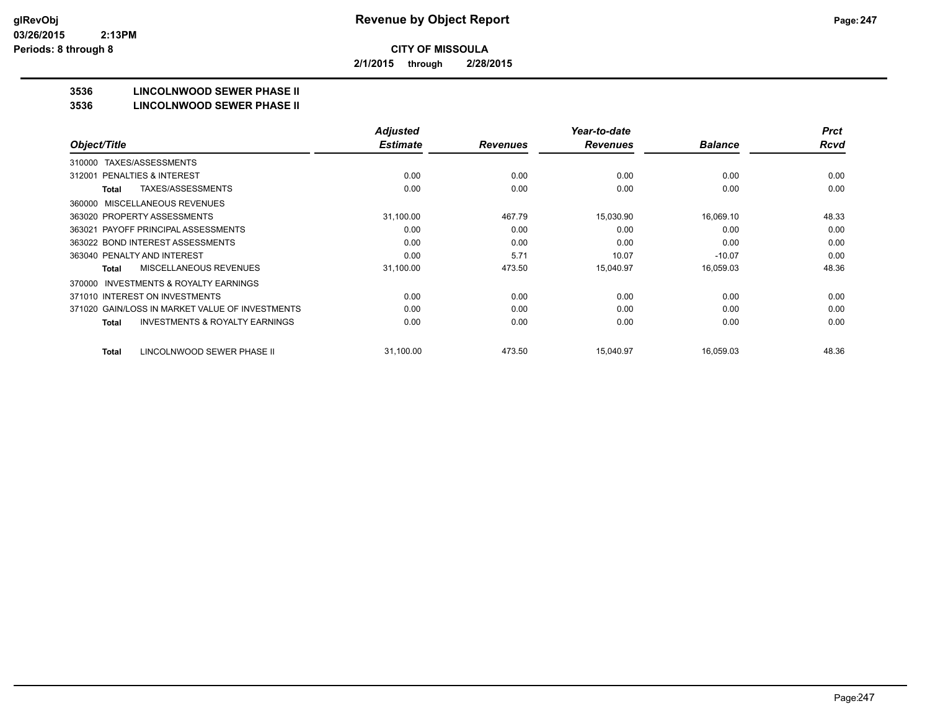**2/1/2015 through 2/28/2015**

# **3536 LINCOLNWOOD SEWER PHASE II**

#### **3536 LINCOLNWOOD SEWER PHASE II**

|                                                    | <b>Adjusted</b> |                 | Year-to-date    |                | <b>Prct</b> |
|----------------------------------------------------|-----------------|-----------------|-----------------|----------------|-------------|
| Object/Title                                       | <b>Estimate</b> | <b>Revenues</b> | <b>Revenues</b> | <b>Balance</b> | <b>Rcvd</b> |
| TAXES/ASSESSMENTS<br>310000                        |                 |                 |                 |                |             |
| PENALTIES & INTEREST<br>312001                     | 0.00            | 0.00            | 0.00            | 0.00           | 0.00        |
| TAXES/ASSESSMENTS<br><b>Total</b>                  | 0.00            | 0.00            | 0.00            | 0.00           | 0.00        |
| MISCELLANEOUS REVENUES<br>360000                   |                 |                 |                 |                |             |
| 363020 PROPERTY ASSESSMENTS                        | 31,100.00       | 467.79          | 15,030.90       | 16,069.10      | 48.33       |
| 363021 PAYOFF PRINCIPAL ASSESSMENTS                | 0.00            | 0.00            | 0.00            | 0.00           | 0.00        |
| 363022 BOND INTEREST ASSESSMENTS                   | 0.00            | 0.00            | 0.00            | 0.00           | 0.00        |
| 363040 PENALTY AND INTEREST                        | 0.00            | 5.71            | 10.07           | $-10.07$       | 0.00        |
| MISCELLANEOUS REVENUES<br>Total                    | 31,100.00       | 473.50          | 15,040.97       | 16,059.03      | 48.36       |
| INVESTMENTS & ROYALTY EARNINGS<br>370000           |                 |                 |                 |                |             |
| 371010 INTEREST ON INVESTMENTS                     | 0.00            | 0.00            | 0.00            | 0.00           | 0.00        |
| 371020 GAIN/LOSS IN MARKET VALUE OF INVESTMENTS    | 0.00            | 0.00            | 0.00            | 0.00           | 0.00        |
| <b>INVESTMENTS &amp; ROYALTY EARNINGS</b><br>Total | 0.00            | 0.00            | 0.00            | 0.00           | 0.00        |
| LINCOLNWOOD SEWER PHASE II<br><b>Total</b>         | 31,100.00       | 473.50          | 15,040.97       | 16,059.03      | 48.36       |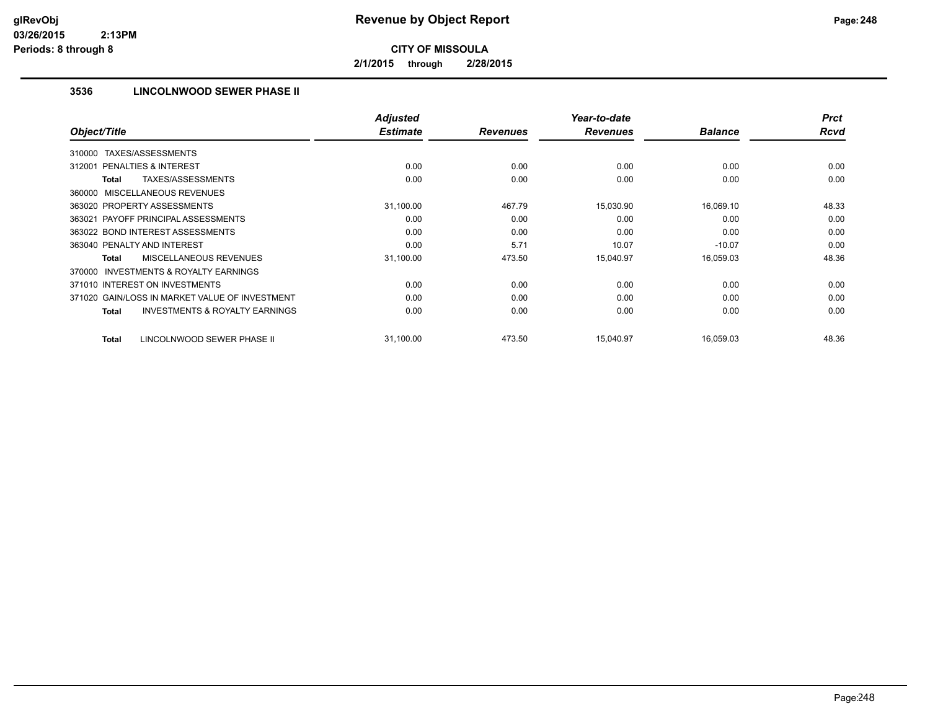**2/1/2015 through 2/28/2015**

### **3536 LINCOLNWOOD SEWER PHASE II**

| Object/Title                                              | <b>Adjusted</b><br><b>Estimate</b> | <b>Revenues</b> | Year-to-date<br><b>Revenues</b> | <b>Balance</b> | <b>Prct</b><br><b>Rcvd</b> |
|-----------------------------------------------------------|------------------------------------|-----------------|---------------------------------|----------------|----------------------------|
|                                                           |                                    |                 |                                 |                |                            |
| TAXES/ASSESSMENTS<br>310000                               |                                    |                 |                                 |                |                            |
| 312001 PENALTIES & INTEREST                               | 0.00                               | 0.00            | 0.00                            | 0.00           | 0.00                       |
| <b>TAXES/ASSESSMENTS</b><br><b>Total</b>                  | 0.00                               | 0.00            | 0.00                            | 0.00           | 0.00                       |
| 360000 MISCELLANEOUS REVENUES                             |                                    |                 |                                 |                |                            |
| 363020 PROPERTY ASSESSMENTS                               | 31,100.00                          | 467.79          | 15,030.90                       | 16,069.10      | 48.33                      |
| 363021 PAYOFF PRINCIPAL ASSESSMENTS                       | 0.00                               | 0.00            | 0.00                            | 0.00           | 0.00                       |
| 363022 BOND INTEREST ASSESSMENTS                          | 0.00                               | 0.00            | 0.00                            | 0.00           | 0.00                       |
| 363040 PENALTY AND INTEREST                               | 0.00                               | 5.71            | 10.07                           | $-10.07$       | 0.00                       |
| MISCELLANEOUS REVENUES<br><b>Total</b>                    | 31,100.00                          | 473.50          | 15,040.97                       | 16,059.03      | 48.36                      |
| <b>INVESTMENTS &amp; ROYALTY EARNINGS</b><br>370000       |                                    |                 |                                 |                |                            |
| 371010 INTEREST ON INVESTMENTS                            | 0.00                               | 0.00            | 0.00                            | 0.00           | 0.00                       |
| 371020 GAIN/LOSS IN MARKET VALUE OF INVESTMENT            | 0.00                               | 0.00            | 0.00                            | 0.00           | 0.00                       |
| <b>INVESTMENTS &amp; ROYALTY EARNINGS</b><br><b>Total</b> | 0.00                               | 0.00            | 0.00                            | 0.00           | 0.00                       |
| LINCOLNWOOD SEWER PHASE II<br><b>Total</b>                | 31,100.00                          | 473.50          | 15,040.97                       | 16,059.03      | 48.36                      |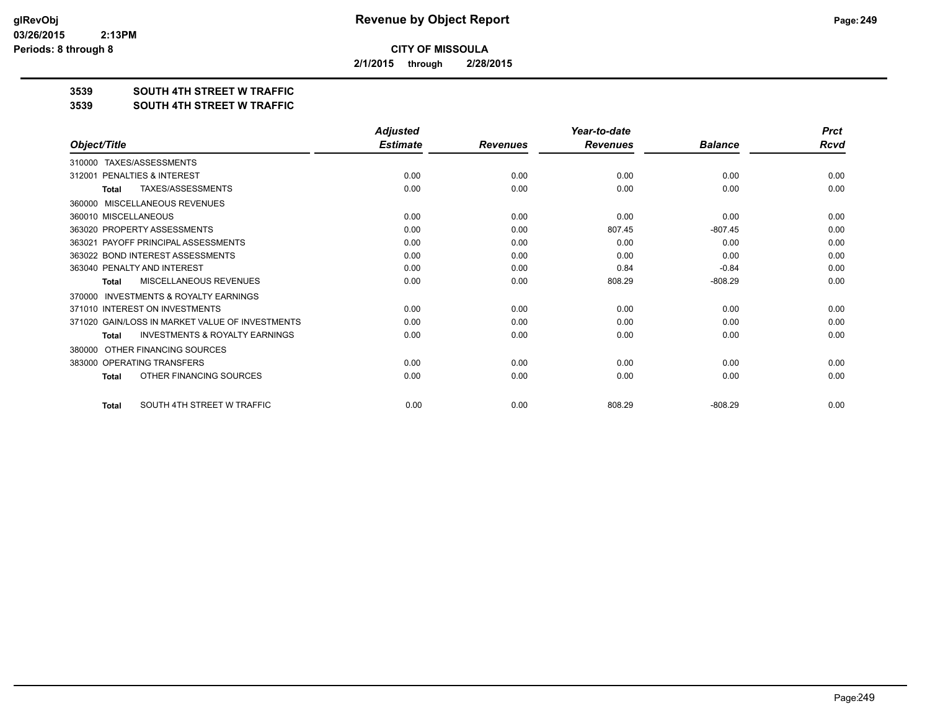**2/1/2015 through 2/28/2015**

#### **3539 SOUTH 4TH STREET W TRAFFIC**

#### **3539 SOUTH 4TH STREET W TRAFFIC**

|                                                           | <b>Adjusted</b> |                 | Year-to-date    |                | <b>Prct</b> |
|-----------------------------------------------------------|-----------------|-----------------|-----------------|----------------|-------------|
| Object/Title                                              | <b>Estimate</b> | <b>Revenues</b> | <b>Revenues</b> | <b>Balance</b> | Rcvd        |
| TAXES/ASSESSMENTS<br>310000                               |                 |                 |                 |                |             |
| PENALTIES & INTEREST<br>312001                            | 0.00            | 0.00            | 0.00            | 0.00           | 0.00        |
| TAXES/ASSESSMENTS<br><b>Total</b>                         | 0.00            | 0.00            | 0.00            | 0.00           | 0.00        |
| MISCELLANEOUS REVENUES<br>360000                          |                 |                 |                 |                |             |
| 360010 MISCELLANEOUS                                      | 0.00            | 0.00            | 0.00            | 0.00           | 0.00        |
| 363020 PROPERTY ASSESSMENTS                               | 0.00            | 0.00            | 807.45          | $-807.45$      | 0.00        |
| 363021 PAYOFF PRINCIPAL ASSESSMENTS                       | 0.00            | 0.00            | 0.00            | 0.00           | 0.00        |
| 363022 BOND INTEREST ASSESSMENTS                          | 0.00            | 0.00            | 0.00            | 0.00           | 0.00        |
| 363040 PENALTY AND INTEREST                               | 0.00            | 0.00            | 0.84            | $-0.84$        | 0.00        |
| MISCELLANEOUS REVENUES<br><b>Total</b>                    | 0.00            | 0.00            | 808.29          | $-808.29$      | 0.00        |
| <b>INVESTMENTS &amp; ROYALTY EARNINGS</b><br>370000       |                 |                 |                 |                |             |
| 371010 INTEREST ON INVESTMENTS                            | 0.00            | 0.00            | 0.00            | 0.00           | 0.00        |
| 371020 GAIN/LOSS IN MARKET VALUE OF INVESTMENTS           | 0.00            | 0.00            | 0.00            | 0.00           | 0.00        |
| <b>INVESTMENTS &amp; ROYALTY EARNINGS</b><br><b>Total</b> | 0.00            | 0.00            | 0.00            | 0.00           | 0.00        |
| OTHER FINANCING SOURCES<br>380000                         |                 |                 |                 |                |             |
| OPERATING TRANSFERS<br>383000                             | 0.00            | 0.00            | 0.00            | 0.00           | 0.00        |
| OTHER FINANCING SOURCES<br><b>Total</b>                   | 0.00            | 0.00            | 0.00            | 0.00           | 0.00        |
| SOUTH 4TH STREET W TRAFFIC<br><b>Total</b>                | 0.00            | 0.00            | 808.29          | $-808.29$      | 0.00        |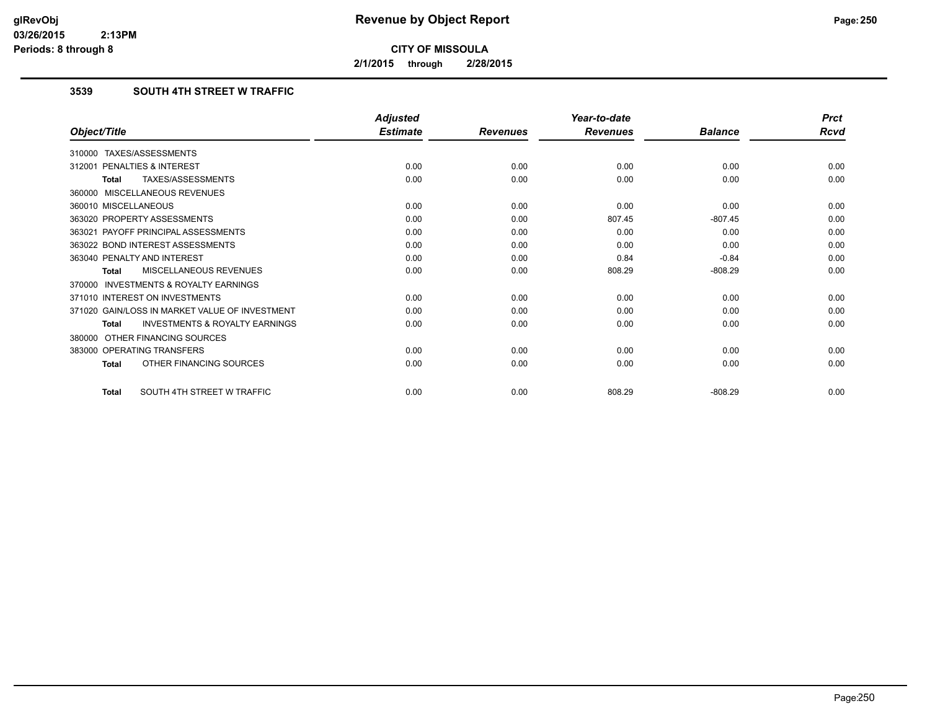**2/1/2015 through 2/28/2015**

### **3539 SOUTH 4TH STREET W TRAFFIC**

|                                                           | <b>Adjusted</b> |                 | Year-to-date    |                | <b>Prct</b> |
|-----------------------------------------------------------|-----------------|-----------------|-----------------|----------------|-------------|
| Object/Title                                              | <b>Estimate</b> | <b>Revenues</b> | <b>Revenues</b> | <b>Balance</b> | Rcvd        |
| 310000 TAXES/ASSESSMENTS                                  |                 |                 |                 |                |             |
| PENALTIES & INTEREST<br>312001                            | 0.00            | 0.00            | 0.00            | 0.00           | 0.00        |
| TAXES/ASSESSMENTS<br><b>Total</b>                         | 0.00            | 0.00            | 0.00            | 0.00           | 0.00        |
| 360000 MISCELLANEOUS REVENUES                             |                 |                 |                 |                |             |
| 360010 MISCELLANEOUS                                      | 0.00            | 0.00            | 0.00            | 0.00           | 0.00        |
| 363020 PROPERTY ASSESSMENTS                               | 0.00            | 0.00            | 807.45          | $-807.45$      | 0.00        |
| 363021 PAYOFF PRINCIPAL ASSESSMENTS                       | 0.00            | 0.00            | 0.00            | 0.00           | 0.00        |
| 363022 BOND INTEREST ASSESSMENTS                          | 0.00            | 0.00            | 0.00            | 0.00           | 0.00        |
| 363040 PENALTY AND INTEREST                               | 0.00            | 0.00            | 0.84            | $-0.84$        | 0.00        |
| MISCELLANEOUS REVENUES<br><b>Total</b>                    | 0.00            | 0.00            | 808.29          | $-808.29$      | 0.00        |
| <b>INVESTMENTS &amp; ROYALTY EARNINGS</b><br>370000       |                 |                 |                 |                |             |
| 371010 INTEREST ON INVESTMENTS                            | 0.00            | 0.00            | 0.00            | 0.00           | 0.00        |
| 371020 GAIN/LOSS IN MARKET VALUE OF INVESTMENT            | 0.00            | 0.00            | 0.00            | 0.00           | 0.00        |
| <b>INVESTMENTS &amp; ROYALTY EARNINGS</b><br><b>Total</b> | 0.00            | 0.00            | 0.00            | 0.00           | 0.00        |
| OTHER FINANCING SOURCES<br>380000                         |                 |                 |                 |                |             |
| 383000 OPERATING TRANSFERS                                | 0.00            | 0.00            | 0.00            | 0.00           | 0.00        |
| OTHER FINANCING SOURCES<br><b>Total</b>                   | 0.00            | 0.00            | 0.00            | 0.00           | 0.00        |
| SOUTH 4TH STREET W TRAFFIC<br><b>Total</b>                | 0.00            | 0.00            | 808.29          | $-808.29$      | 0.00        |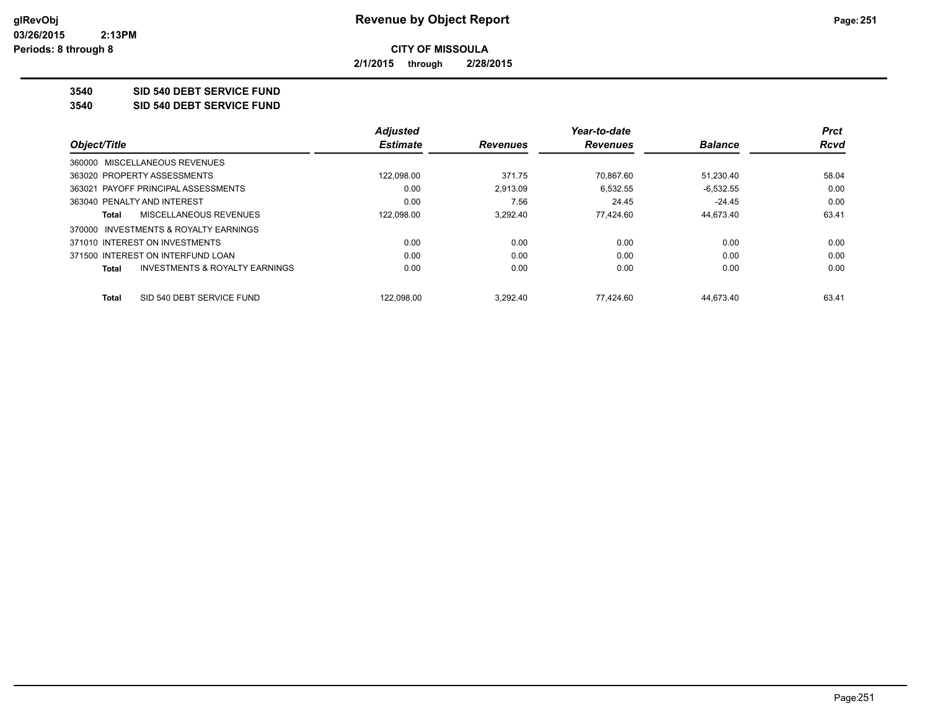**2/1/2015 through 2/28/2015**

**3540 SID 540 DEBT SERVICE FUND**

**3540 SID 540 DEBT SERVICE FUND**

|                                                    | <b>Adjusted</b> |                 | Year-to-date    |                | <b>Prct</b> |
|----------------------------------------------------|-----------------|-----------------|-----------------|----------------|-------------|
| Object/Title                                       | <b>Estimate</b> | <b>Revenues</b> | <b>Revenues</b> | <b>Balance</b> | <b>Rcvd</b> |
| 360000 MISCELLANEOUS REVENUES                      |                 |                 |                 |                |             |
| 363020 PROPERTY ASSESSMENTS                        | 122.098.00      | 371.75          | 70.867.60       | 51.230.40      | 58.04       |
| 363021 PAYOFF PRINCIPAL ASSESSMENTS                | 0.00            | 2.913.09        | 6,532.55        | $-6,532.55$    | 0.00        |
| 363040 PENALTY AND INTEREST                        | 0.00            | 7.56            | 24.45           | $-24.45$       | 0.00        |
| MISCELLANEOUS REVENUES<br>Total                    | 122,098.00      | 3,292.40        | 77.424.60       | 44,673.40      | 63.41       |
| 370000 INVESTMENTS & ROYALTY EARNINGS              |                 |                 |                 |                |             |
| 371010 INTEREST ON INVESTMENTS                     | 0.00            | 0.00            | 0.00            | 0.00           | 0.00        |
| 371500 INTEREST ON INTERFUND LOAN                  | 0.00            | 0.00            | 0.00            | 0.00           | 0.00        |
| <b>INVESTMENTS &amp; ROYALTY EARNINGS</b><br>Total | 0.00            | 0.00            | 0.00            | 0.00           | 0.00        |
| SID 540 DEBT SERVICE FUND<br>Total                 | 122.098.00      | 3.292.40        | 77.424.60       | 44.673.40      | 63.41       |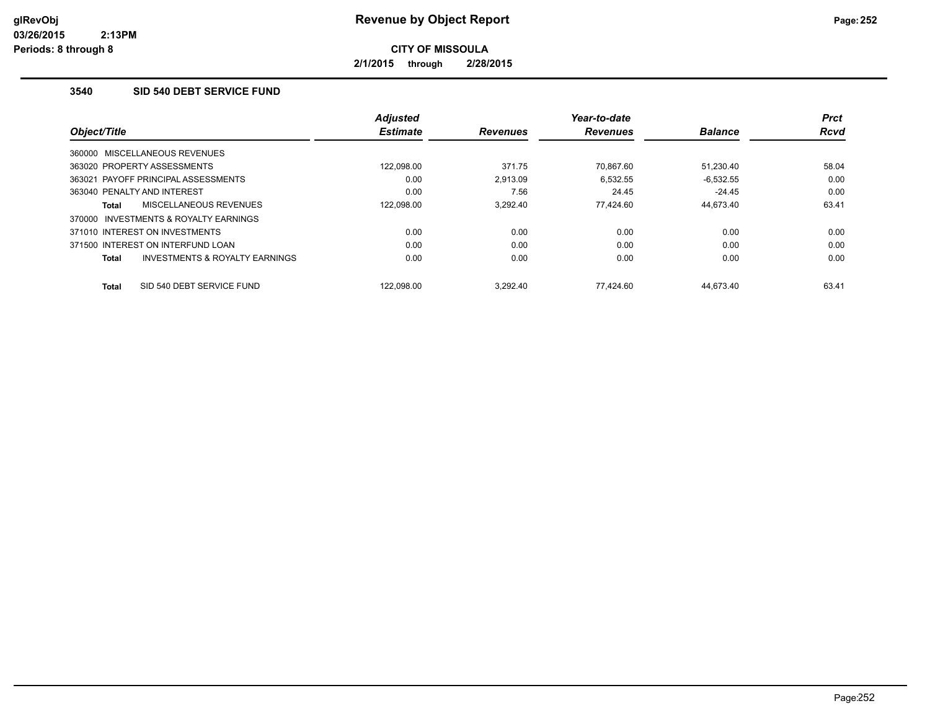**2/1/2015 through 2/28/2015**

### **3540 SID 540 DEBT SERVICE FUND**

| Object/Title                                        | <b>Adjusted</b><br><b>Estimate</b> | <b>Revenues</b> | Year-to-date<br><b>Revenues</b> | <b>Balance</b> | <b>Prct</b><br><b>Rcvd</b> |
|-----------------------------------------------------|------------------------------------|-----------------|---------------------------------|----------------|----------------------------|
| 360000 MISCELLANEOUS REVENUES                       |                                    |                 |                                 |                |                            |
| 363020 PROPERTY ASSESSMENTS                         | 122.098.00                         | 371.75          | 70.867.60                       | 51.230.40      | 58.04                      |
| 363021 PAYOFF PRINCIPAL ASSESSMENTS                 | 0.00                               | 2.913.09        | 6.532.55                        | $-6.532.55$    | 0.00                       |
| 363040 PENALTY AND INTEREST                         | 0.00                               | 7.56            | 24.45                           | $-24.45$       | 0.00                       |
| MISCELLANEOUS REVENUES<br>Total                     | 122,098.00                         | 3.292.40        | 77.424.60                       | 44.673.40      | 63.41                      |
| <b>INVESTMENTS &amp; ROYALTY EARNINGS</b><br>370000 |                                    |                 |                                 |                |                            |
| 371010 INTEREST ON INVESTMENTS                      | 0.00                               | 0.00            | 0.00                            | 0.00           | 0.00                       |
| 371500 INTEREST ON INTERFUND LOAN                   | 0.00                               | 0.00            | 0.00                            | 0.00           | 0.00                       |
| INVESTMENTS & ROYALTY EARNINGS<br>Total             | 0.00                               | 0.00            | 0.00                            | 0.00           | 0.00                       |
| SID 540 DEBT SERVICE FUND<br><b>Total</b>           | 122.098.00                         | 3.292.40        | 77.424.60                       | 44.673.40      | 63.41                      |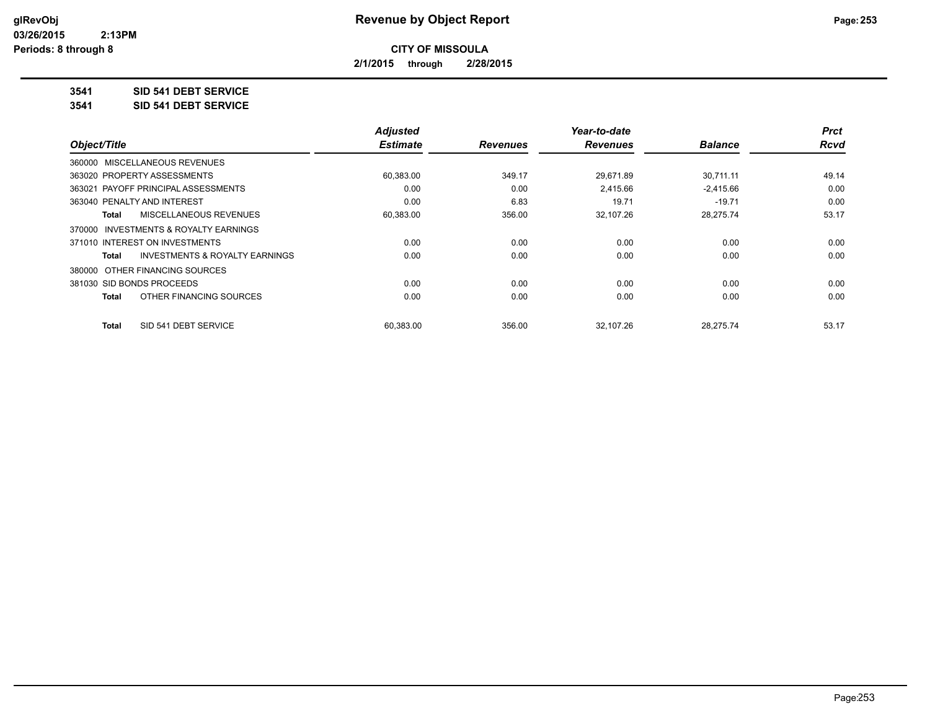**2/1/2015 through 2/28/2015**

# **3541 SID 541 DEBT SERVICE**

**3541 SID 541 DEBT SERVICE**

|                                         | <b>Adjusted</b> |                 | Year-to-date    |                | <b>Prct</b> |
|-----------------------------------------|-----------------|-----------------|-----------------|----------------|-------------|
| Object/Title                            | <b>Estimate</b> | <b>Revenues</b> | <b>Revenues</b> | <b>Balance</b> | <b>Rcvd</b> |
| 360000 MISCELLANEOUS REVENUES           |                 |                 |                 |                |             |
| 363020 PROPERTY ASSESSMENTS             | 60,383.00       | 349.17          | 29.671.89       | 30,711.11      | 49.14       |
| 363021 PAYOFF PRINCIPAL ASSESSMENTS     | 0.00            | 0.00            | 2.415.66        | $-2,415.66$    | 0.00        |
| 363040 PENALTY AND INTEREST             | 0.00            | 6.83            | 19.71           | $-19.71$       | 0.00        |
| MISCELLANEOUS REVENUES<br>Total         | 60,383.00       | 356.00          | 32,107.26       | 28,275.74      | 53.17       |
| 370000 INVESTMENTS & ROYALTY EARNINGS   |                 |                 |                 |                |             |
| 371010 INTEREST ON INVESTMENTS          | 0.00            | 0.00            | 0.00            | 0.00           | 0.00        |
| INVESTMENTS & ROYALTY EARNINGS<br>Total | 0.00            | 0.00            | 0.00            | 0.00           | 0.00        |
| 380000 OTHER FINANCING SOURCES          |                 |                 |                 |                |             |
| 381030 SID BONDS PROCEEDS               | 0.00            | 0.00            | 0.00            | 0.00           | 0.00        |
| OTHER FINANCING SOURCES<br>Total        | 0.00            | 0.00            | 0.00            | 0.00           | 0.00        |
| SID 541 DEBT SERVICE<br>Total           | 60.383.00       | 356.00          | 32,107.26       | 28.275.74      | 53.17       |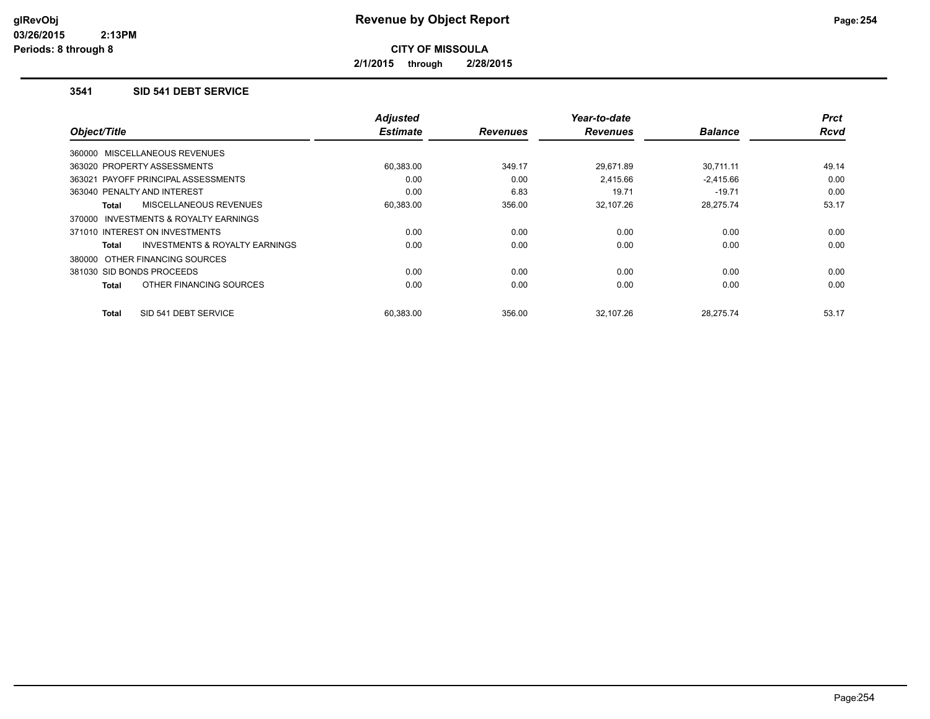**2/1/2015 through 2/28/2015**

### **3541 SID 541 DEBT SERVICE**

| Object/Title                                       | <b>Adjusted</b><br><b>Estimate</b> | <b>Revenues</b> | Year-to-date<br><b>Revenues</b> | <b>Balance</b> | <b>Prct</b><br><b>Rcvd</b> |
|----------------------------------------------------|------------------------------------|-----------------|---------------------------------|----------------|----------------------------|
| 360000 MISCELLANEOUS REVENUES                      |                                    |                 |                                 |                |                            |
| 363020 PROPERTY ASSESSMENTS                        | 60,383.00                          | 349.17          | 29,671.89                       | 30,711.11      | 49.14                      |
| 363021 PAYOFF PRINCIPAL ASSESSMENTS                | 0.00                               | 0.00            | 2,415.66                        | $-2,415.66$    | 0.00                       |
| 363040 PENALTY AND INTEREST                        | 0.00                               | 6.83            | 19.71                           | $-19.71$       | 0.00                       |
| <b>MISCELLANEOUS REVENUES</b><br>Total             | 60,383.00                          | 356.00          | 32.107.26                       | 28.275.74      | 53.17                      |
| INVESTMENTS & ROYALTY EARNINGS<br>370000           |                                    |                 |                                 |                |                            |
| 371010 INTEREST ON INVESTMENTS                     | 0.00                               | 0.00            | 0.00                            | 0.00           | 0.00                       |
| <b>INVESTMENTS &amp; ROYALTY EARNINGS</b><br>Total | 0.00                               | 0.00            | 0.00                            | 0.00           | 0.00                       |
| 380000 OTHER FINANCING SOURCES                     |                                    |                 |                                 |                |                            |
| 381030 SID BONDS PROCEEDS                          | 0.00                               | 0.00            | 0.00                            | 0.00           | 0.00                       |
| OTHER FINANCING SOURCES<br>Total                   | 0.00                               | 0.00            | 0.00                            | 0.00           | 0.00                       |
|                                                    |                                    |                 |                                 |                |                            |
| SID 541 DEBT SERVICE<br>Total                      | 60,383.00                          | 356.00          | 32.107.26                       | 28.275.74      | 53.17                      |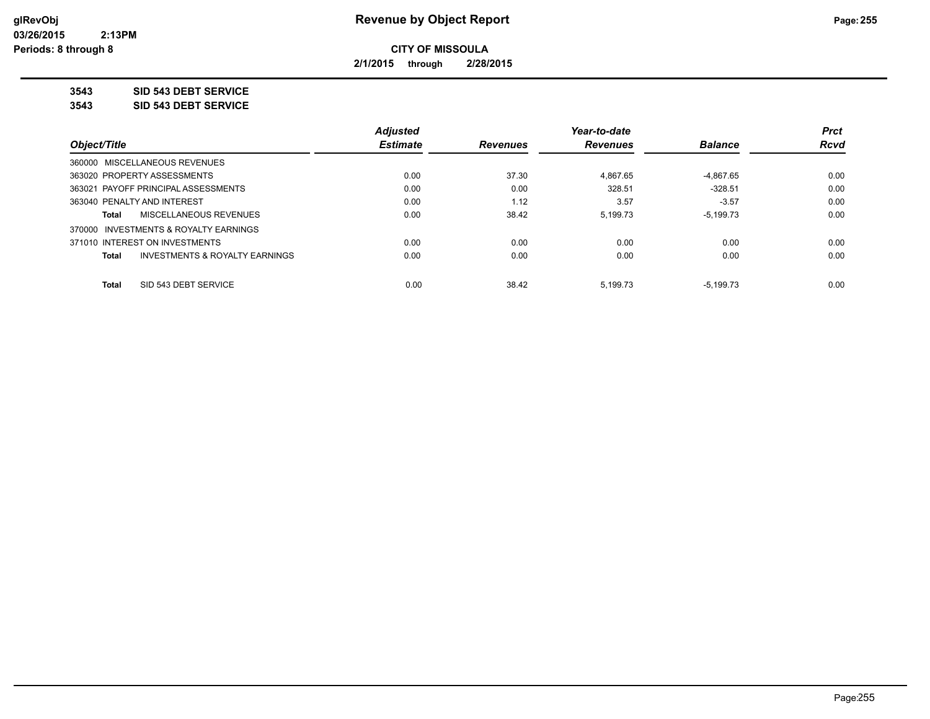**2/1/2015 through 2/28/2015**

**3543 SID 543 DEBT SERVICE**

**3543 SID 543 DEBT SERVICE**

|                                                    | <b>Adjusted</b> |                 | Year-to-date    |                | <b>Prct</b> |
|----------------------------------------------------|-----------------|-----------------|-----------------|----------------|-------------|
| Object/Title                                       | <b>Estimate</b> | <b>Revenues</b> | <b>Revenues</b> | <b>Balance</b> | Rcvd        |
| 360000 MISCELLANEOUS REVENUES                      |                 |                 |                 |                |             |
| 363020 PROPERTY ASSESSMENTS                        | 0.00            | 37.30           | 4.867.65        | $-4.867.65$    | 0.00        |
| 363021 PAYOFF PRINCIPAL ASSESSMENTS                | 0.00            | 0.00            | 328.51          | $-328.51$      | 0.00        |
| 363040 PENALTY AND INTEREST                        | 0.00            | 1.12            | 3.57            | $-3.57$        | 0.00        |
| MISCELLANEOUS REVENUES<br>Total                    | 0.00            | 38.42           | 5.199.73        | $-5.199.73$    | 0.00        |
| 370000 INVESTMENTS & ROYALTY EARNINGS              |                 |                 |                 |                |             |
| 371010 INTEREST ON INVESTMENTS                     | 0.00            | 0.00            | 0.00            | 0.00           | 0.00        |
| <b>INVESTMENTS &amp; ROYALTY EARNINGS</b><br>Total | 0.00            | 0.00            | 0.00            | 0.00           | 0.00        |
| SID 543 DEBT SERVICE<br><b>Total</b>               | 0.00            | 38.42           | 5.199.73        | $-5.199.73$    | 0.00        |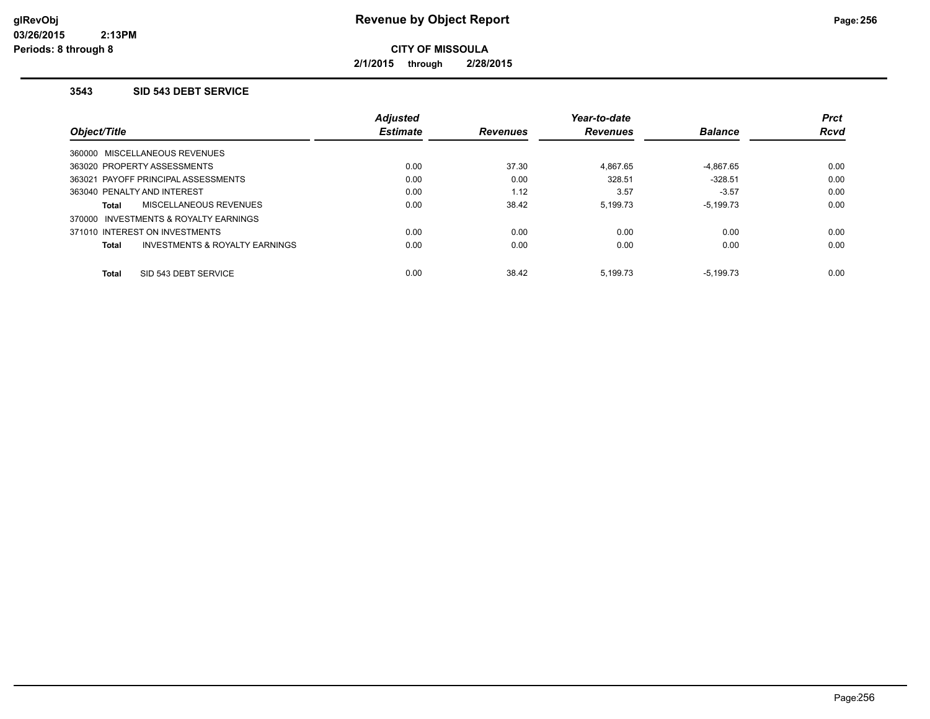**2/1/2015 through 2/28/2015**

### **3543 SID 543 DEBT SERVICE**

|                                                    | <b>Adjusted</b> |                 | Year-to-date    |                | <b>Prct</b> |
|----------------------------------------------------|-----------------|-----------------|-----------------|----------------|-------------|
| Object/Title                                       | <b>Estimate</b> | <b>Revenues</b> | <b>Revenues</b> | <b>Balance</b> | <b>Rcvd</b> |
| 360000 MISCELLANEOUS REVENUES                      |                 |                 |                 |                |             |
| 363020 PROPERTY ASSESSMENTS                        | 0.00            | 37.30           | 4.867.65        | $-4,867.65$    | 0.00        |
| 363021 PAYOFF PRINCIPAL ASSESSMENTS                | 0.00            | 0.00            | 328.51          | $-328.51$      | 0.00        |
| 363040 PENALTY AND INTEREST                        | 0.00            | 1.12            | 3.57            | $-3.57$        | 0.00        |
| <b>MISCELLANEOUS REVENUES</b><br>Total             | 0.00            | 38.42           | 5.199.73        | $-5.199.73$    | 0.00        |
| 370000 INVESTMENTS & ROYALTY EARNINGS              |                 |                 |                 |                |             |
| 371010 INTEREST ON INVESTMENTS                     | 0.00            | 0.00            | 0.00            | 0.00           | 0.00        |
| <b>INVESTMENTS &amp; ROYALTY EARNINGS</b><br>Total | 0.00            | 0.00            | 0.00            | 0.00           | 0.00        |
| SID 543 DEBT SERVICE<br><b>Total</b>               | 0.00            | 38.42           | 5.199.73        | $-5.199.73$    | 0.00        |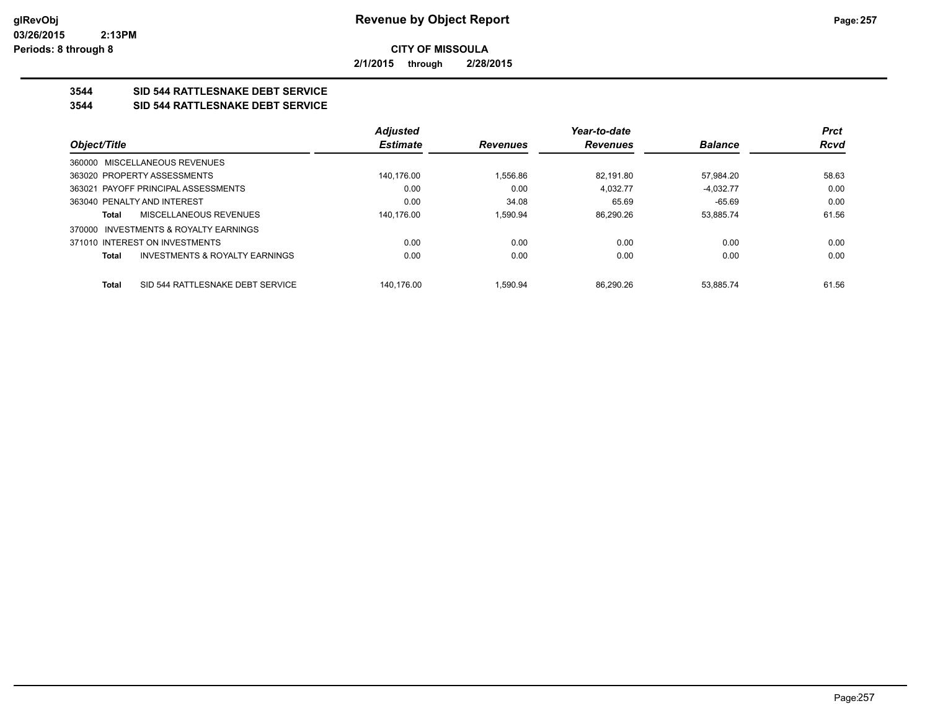**2/1/2015 through 2/28/2015**

# **3544 SID 544 RATTLESNAKE DEBT SERVICE**

### **3544 SID 544 RATTLESNAKE DEBT SERVICE**

|                                                           | <b>Adjusted</b> |                 | Year-to-date    |                | <b>Prct</b> |
|-----------------------------------------------------------|-----------------|-----------------|-----------------|----------------|-------------|
| Object/Title                                              | <b>Estimate</b> | <b>Revenues</b> | <b>Revenues</b> | <b>Balance</b> | <b>Rcvd</b> |
| 360000 MISCELLANEOUS REVENUES                             |                 |                 |                 |                |             |
| 363020 PROPERTY ASSESSMENTS                               | 140.176.00      | 1,556.86        | 82.191.80       | 57,984.20      | 58.63       |
| 363021 PAYOFF PRINCIPAL ASSESSMENTS                       | 0.00            | 0.00            | 4.032.77        | $-4.032.77$    | 0.00        |
| 363040 PENALTY AND INTEREST                               | 0.00            | 34.08           | 65.69           | $-65.69$       | 0.00        |
| MISCELLANEOUS REVENUES<br>Total                           | 140.176.00      | 1.590.94        | 86.290.26       | 53.885.74      | 61.56       |
| 370000 INVESTMENTS & ROYALTY EARNINGS                     |                 |                 |                 |                |             |
| 371010 INTEREST ON INVESTMENTS                            | 0.00            | 0.00            | 0.00            | 0.00           | 0.00        |
| <b>INVESTMENTS &amp; ROYALTY EARNINGS</b><br><b>Total</b> | 0.00            | 0.00            | 0.00            | 0.00           | 0.00        |
| SID 544 RATTLESNAKE DEBT SERVICE<br><b>Total</b>          | 140.176.00      | 1.590.94        | 86.290.26       | 53.885.74      | 61.56       |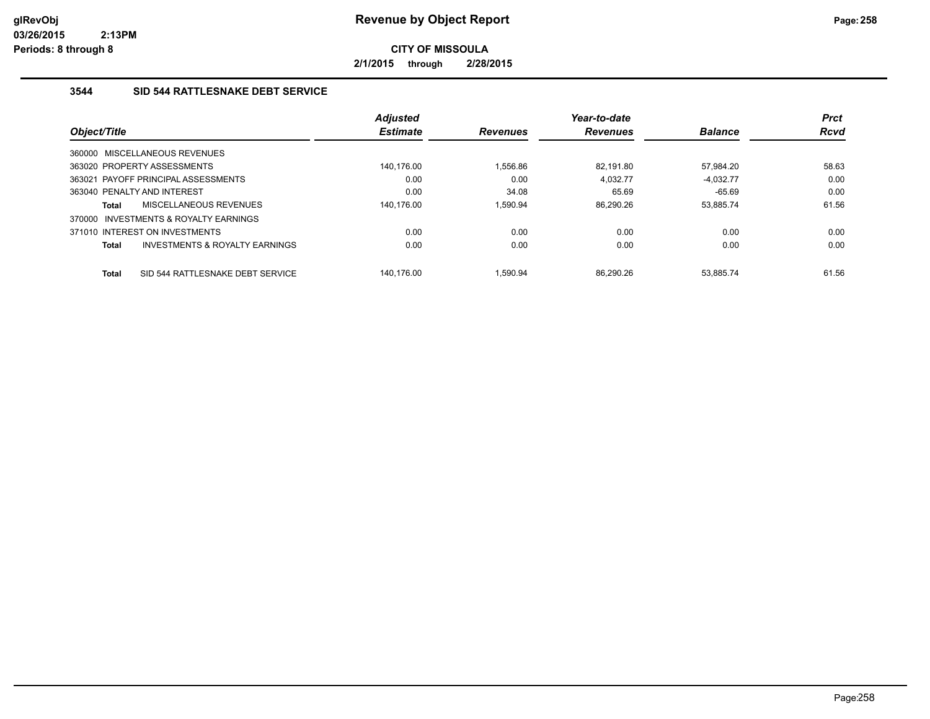**2/1/2015 through 2/28/2015**

# **3544 SID 544 RATTLESNAKE DEBT SERVICE**

|              |                                     | <b>Adjusted</b> |                 | Year-to-date    |                | <b>Prct</b> |
|--------------|-------------------------------------|-----------------|-----------------|-----------------|----------------|-------------|
| Object/Title |                                     | <b>Estimate</b> | <b>Revenues</b> | <b>Revenues</b> | <b>Balance</b> | <b>Rcvd</b> |
|              | 360000 MISCELLANEOUS REVENUES       |                 |                 |                 |                |             |
|              | 363020 PROPERTY ASSESSMENTS         | 140.176.00      | 1.556.86        | 82.191.80       | 57.984.20      | 58.63       |
|              | 363021 PAYOFF PRINCIPAL ASSESSMENTS | 0.00            | 0.00            | 4.032.77        | $-4,032.77$    | 0.00        |
|              | 363040 PENALTY AND INTEREST         | 0.00            | 34.08           | 65.69           | $-65.69$       | 0.00        |
| <b>Total</b> | MISCELLANEOUS REVENUES              | 140.176.00      | 1.590.94        | 86.290.26       | 53.885.74      | 61.56       |
| 370000       | INVESTMENTS & ROYALTY EARNINGS      |                 |                 |                 |                |             |
|              | 371010 INTEREST ON INVESTMENTS      | 0.00            | 0.00            | 0.00            | 0.00           | 0.00        |
| <b>Total</b> | INVESTMENTS & ROYALTY EARNINGS      | 0.00            | 0.00            | 0.00            | 0.00           | 0.00        |
| <b>Total</b> | SID 544 RATTLESNAKE DEBT SERVICE    | 140.176.00      | 1.590.94        | 86.290.26       | 53.885.74      | 61.56       |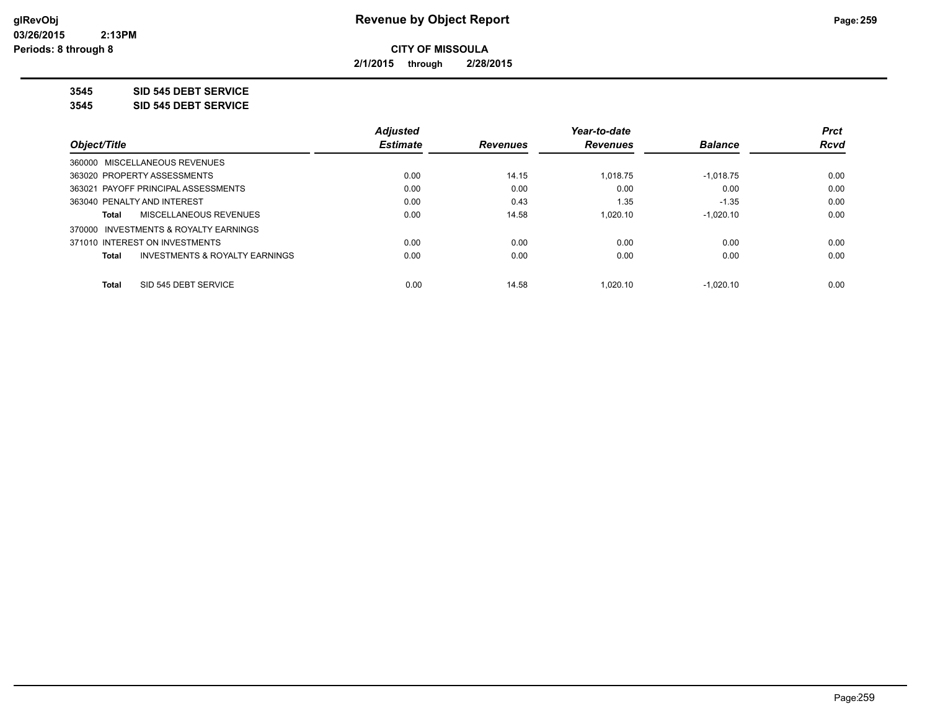**2/1/2015 through 2/28/2015**

**3545 SID 545 DEBT SERVICE**

**3545 SID 545 DEBT SERVICE**

|                                                    | <b>Adjusted</b> |                 | Year-to-date    |                | <b>Prct</b> |
|----------------------------------------------------|-----------------|-----------------|-----------------|----------------|-------------|
| Object/Title                                       | <b>Estimate</b> | <b>Revenues</b> | <b>Revenues</b> | <b>Balance</b> | Rcvd        |
| 360000 MISCELLANEOUS REVENUES                      |                 |                 |                 |                |             |
| 363020 PROPERTY ASSESSMENTS                        | 0.00            | 14.15           | 1.018.75        | $-1.018.75$    | 0.00        |
| 363021 PAYOFF PRINCIPAL ASSESSMENTS                | 0.00            | 0.00            | 0.00            | 0.00           | 0.00        |
| 363040 PENALTY AND INTEREST                        | 0.00            | 0.43            | 1.35            | $-1.35$        | 0.00        |
| MISCELLANEOUS REVENUES<br>Total                    | 0.00            | 14.58           | 1.020.10        | $-1.020.10$    | 0.00        |
| 370000 INVESTMENTS & ROYALTY EARNINGS              |                 |                 |                 |                |             |
| 371010 INTEREST ON INVESTMENTS                     | 0.00            | 0.00            | 0.00            | 0.00           | 0.00        |
| <b>INVESTMENTS &amp; ROYALTY EARNINGS</b><br>Total | 0.00            | 0.00            | 0.00            | 0.00           | 0.00        |
| SID 545 DEBT SERVICE<br><b>Total</b>               | 0.00            | 14.58           | 1.020.10        | $-1.020.10$    | 0.00        |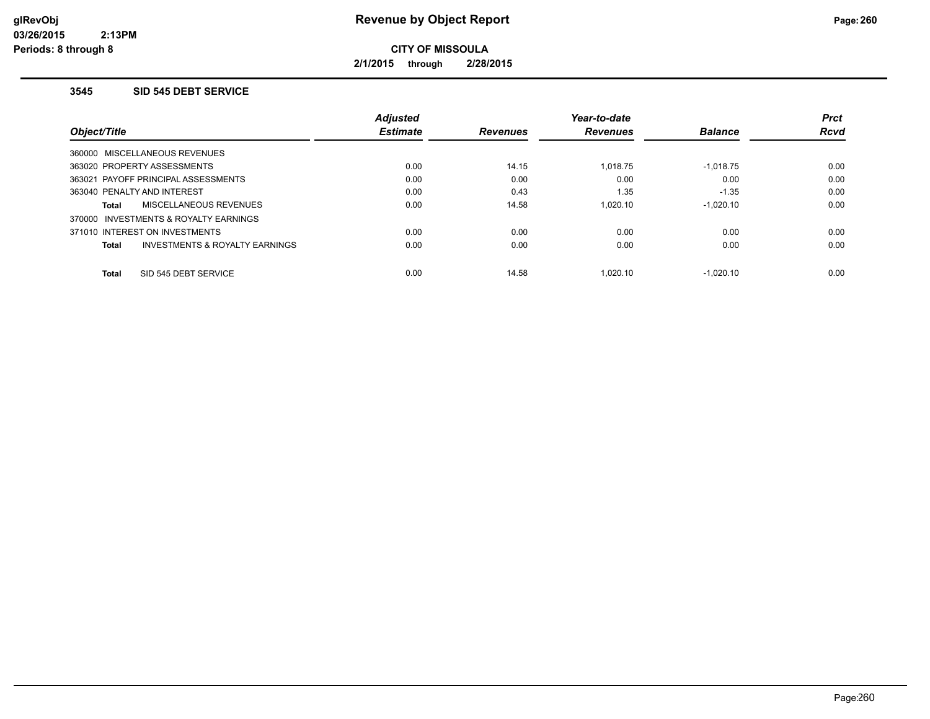**2/1/2015 through 2/28/2015**

### **3545 SID 545 DEBT SERVICE**

|                                                    | <b>Adjusted</b> |                 | Year-to-date    |                | <b>Prct</b> |
|----------------------------------------------------|-----------------|-----------------|-----------------|----------------|-------------|
| Object/Title                                       | <b>Estimate</b> | <b>Revenues</b> | <b>Revenues</b> | <b>Balance</b> | <b>Rcvd</b> |
| 360000 MISCELLANEOUS REVENUES                      |                 |                 |                 |                |             |
| 363020 PROPERTY ASSESSMENTS                        | 0.00            | 14.15           | 1.018.75        | $-1.018.75$    | 0.00        |
| 363021 PAYOFF PRINCIPAL ASSESSMENTS                | 0.00            | 0.00            | 0.00            | 0.00           | 0.00        |
| 363040 PENALTY AND INTEREST                        | 0.00            | 0.43            | 1.35            | $-1.35$        | 0.00        |
| MISCELLANEOUS REVENUES<br>Total                    | 0.00            | 14.58           | 1.020.10        | $-1.020.10$    | 0.00        |
| 370000 INVESTMENTS & ROYALTY EARNINGS              |                 |                 |                 |                |             |
| 371010 INTEREST ON INVESTMENTS                     | 0.00            | 0.00            | 0.00            | 0.00           | 0.00        |
| <b>INVESTMENTS &amp; ROYALTY EARNINGS</b><br>Total | 0.00            | 0.00            | 0.00            | 0.00           | 0.00        |
| SID 545 DEBT SERVICE<br><b>Total</b>               | 0.00            | 14.58           | 1.020.10        | $-1.020.10$    | 0.00        |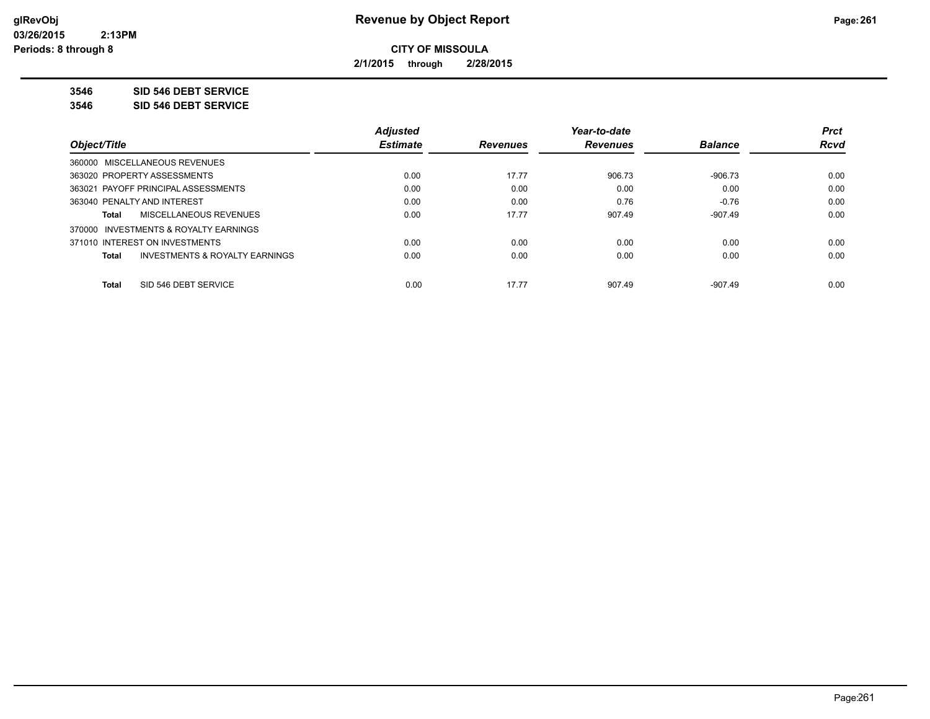**2/1/2015 through 2/28/2015**

**3546 SID 546 DEBT SERVICE**

**3546 SID 546 DEBT SERVICE**

|                                                    | <b>Adjusted</b> |                 | Year-to-date    |                | <b>Prct</b> |
|----------------------------------------------------|-----------------|-----------------|-----------------|----------------|-------------|
| Object/Title                                       | <b>Estimate</b> | <b>Revenues</b> | <b>Revenues</b> | <b>Balance</b> | Rcvd        |
| 360000 MISCELLANEOUS REVENUES                      |                 |                 |                 |                |             |
| 363020 PROPERTY ASSESSMENTS                        | 0.00            | 17.77           | 906.73          | $-906.73$      | 0.00        |
| 363021 PAYOFF PRINCIPAL ASSESSMENTS                | 0.00            | 0.00            | 0.00            | 0.00           | 0.00        |
| 363040 PENALTY AND INTEREST                        | 0.00            | 0.00            | 0.76            | $-0.76$        | 0.00        |
| MISCELLANEOUS REVENUES<br>Total                    | 0.00            | 17.77           | 907.49          | $-907.49$      | 0.00        |
| 370000 INVESTMENTS & ROYALTY EARNINGS              |                 |                 |                 |                |             |
| 371010 INTEREST ON INVESTMENTS                     | 0.00            | 0.00            | 0.00            | 0.00           | 0.00        |
| <b>INVESTMENTS &amp; ROYALTY EARNINGS</b><br>Total | 0.00            | 0.00            | 0.00            | 0.00           | 0.00        |
| SID 546 DEBT SERVICE<br><b>Total</b>               | 0.00            | 17.77           | 907.49          | $-907.49$      | 0.00        |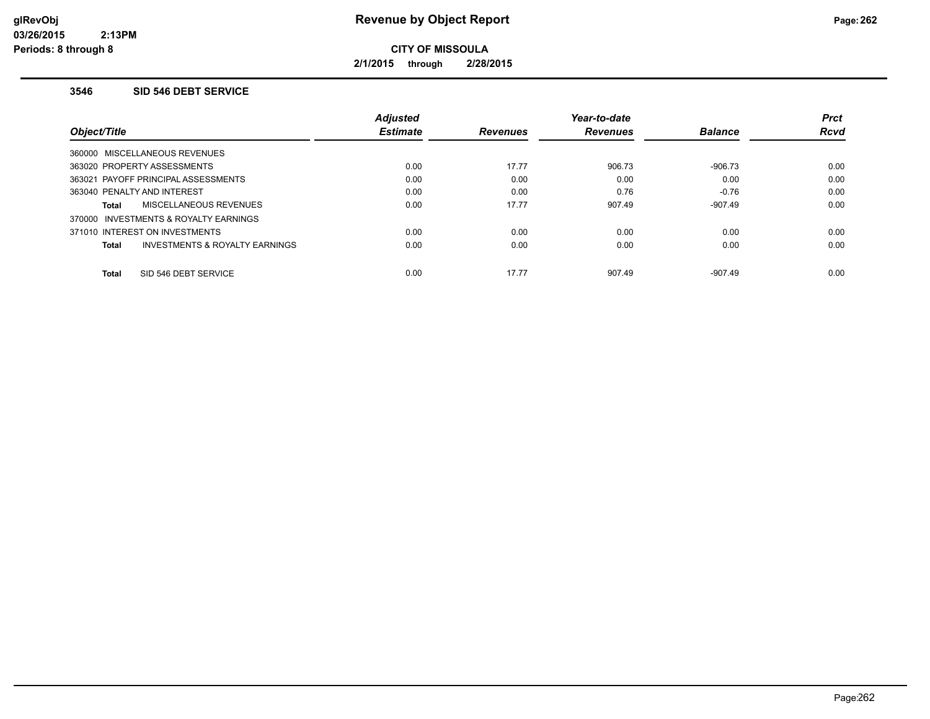**2/1/2015 through 2/28/2015**

### **3546 SID 546 DEBT SERVICE**

|                                         | <b>Adjusted</b> |                 | Year-to-date    |                | <b>Prct</b> |
|-----------------------------------------|-----------------|-----------------|-----------------|----------------|-------------|
| Obiect/Title                            | <b>Estimate</b> | <b>Revenues</b> | <b>Revenues</b> | <b>Balance</b> | <b>Rcvd</b> |
| 360000 MISCELLANEOUS REVENUES           |                 |                 |                 |                |             |
| 363020 PROPERTY ASSESSMENTS             | 0.00            | 17.77           | 906.73          | $-906.73$      | 0.00        |
| 363021 PAYOFF PRINCIPAL ASSESSMENTS     | 0.00            | 0.00            | 0.00            | 0.00           | 0.00        |
| 363040 PENALTY AND INTEREST             | 0.00            | 0.00            | 0.76            | $-0.76$        | 0.00        |
| MISCELLANEOUS REVENUES<br>Total         | 0.00            | 17.77           | 907.49          | $-907.49$      | 0.00        |
| 370000 INVESTMENTS & ROYALTY EARNINGS   |                 |                 |                 |                |             |
| 371010 INTEREST ON INVESTMENTS          | 0.00            | 0.00            | 0.00            | 0.00           | 0.00        |
| INVESTMENTS & ROYALTY EARNINGS<br>Total | 0.00            | 0.00            | 0.00            | 0.00           | 0.00        |
| SID 546 DEBT SERVICE<br><b>Total</b>    | 0.00            | 17.77           | 907.49          | $-907.49$      | 0.00        |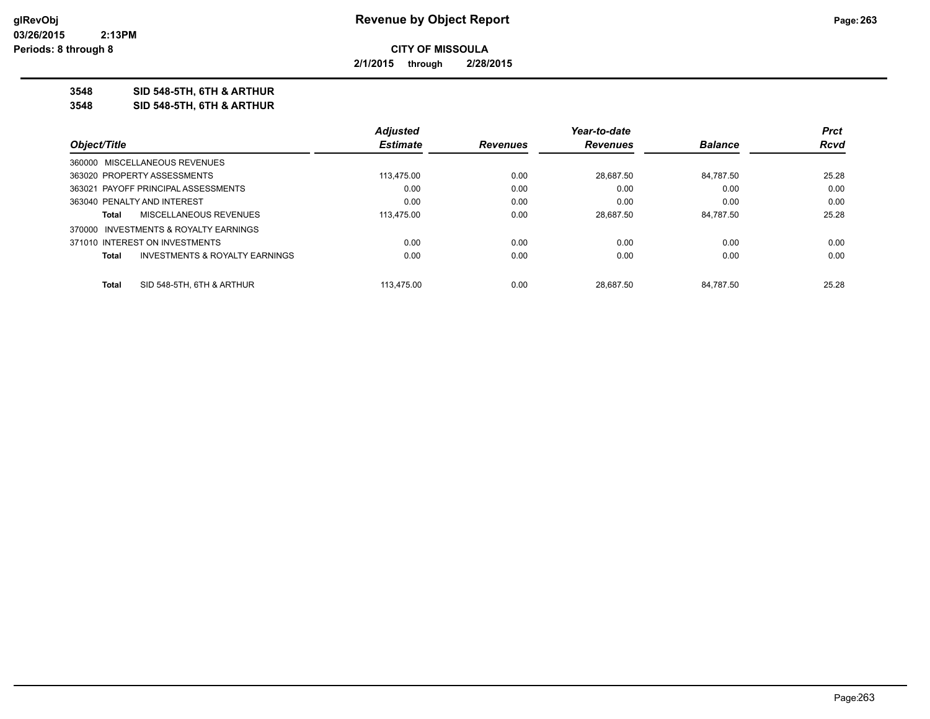**2/1/2015 through 2/28/2015**

**3548 SID 548-5TH, 6TH & ARTHUR**

**3548 SID 548-5TH, 6TH & ARTHUR**

|                                                           | <b>Adjusted</b> |                 | Year-to-date    |                | <b>Prct</b> |
|-----------------------------------------------------------|-----------------|-----------------|-----------------|----------------|-------------|
| Object/Title                                              | <b>Estimate</b> | <b>Revenues</b> | <b>Revenues</b> | <b>Balance</b> | Rcvd        |
| 360000 MISCELLANEOUS REVENUES                             |                 |                 |                 |                |             |
| 363020 PROPERTY ASSESSMENTS                               | 113,475.00      | 0.00            | 28.687.50       | 84.787.50      | 25.28       |
| 363021 PAYOFF PRINCIPAL ASSESSMENTS                       | 0.00            | 0.00            | 0.00            | 0.00           | 0.00        |
| 363040 PENALTY AND INTEREST                               | 0.00            | 0.00            | 0.00            | 0.00           | 0.00        |
| MISCELLANEOUS REVENUES<br><b>Total</b>                    | 113.475.00      | 0.00            | 28.687.50       | 84.787.50      | 25.28       |
| 370000 INVESTMENTS & ROYALTY EARNINGS                     |                 |                 |                 |                |             |
| 371010 INTEREST ON INVESTMENTS                            | 0.00            | 0.00            | 0.00            | 0.00           | 0.00        |
| <b>INVESTMENTS &amp; ROYALTY EARNINGS</b><br><b>Total</b> | 0.00            | 0.00            | 0.00            | 0.00           | 0.00        |
| SID 548-5TH, 6TH & ARTHUR<br><b>Total</b>                 | 113.475.00      | 0.00            | 28.687.50       | 84.787.50      | 25.28       |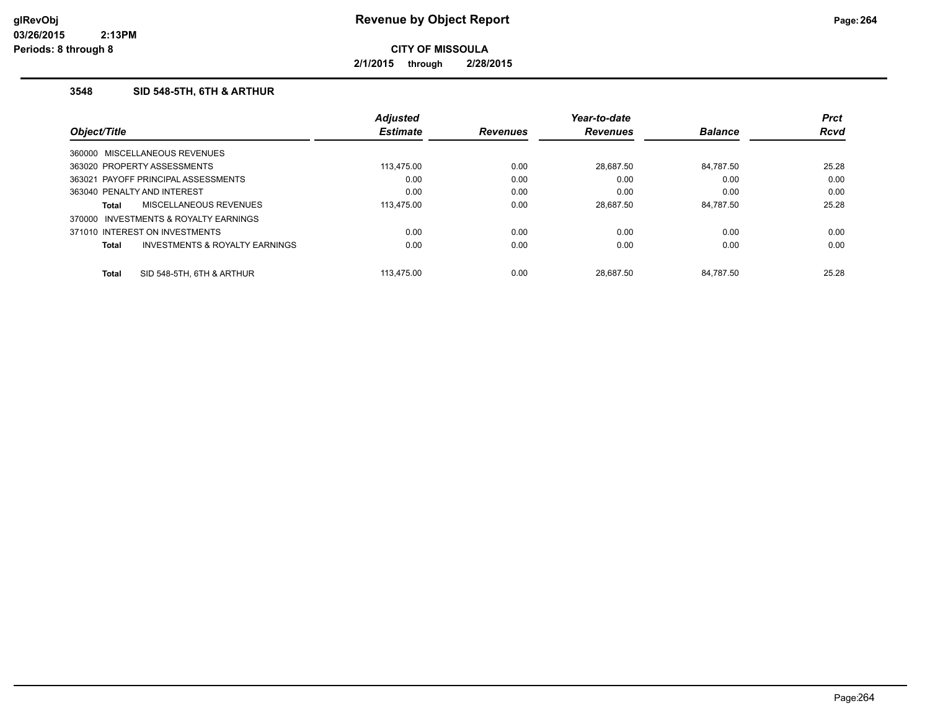**2/1/2015 through 2/28/2015**

# **3548 SID 548-5TH, 6TH & ARTHUR**

|              |                                     | <b>Adjusted</b> |                 | Year-to-date    |                | <b>Prct</b> |
|--------------|-------------------------------------|-----------------|-----------------|-----------------|----------------|-------------|
| Object/Title |                                     | <b>Estimate</b> | <b>Revenues</b> | <b>Revenues</b> | <b>Balance</b> | <b>Rcvd</b> |
|              | 360000 MISCELLANEOUS REVENUES       |                 |                 |                 |                |             |
|              | 363020 PROPERTY ASSESSMENTS         | 113.475.00      | 0.00            | 28.687.50       | 84.787.50      | 25.28       |
|              | 363021 PAYOFF PRINCIPAL ASSESSMENTS | 0.00            | 0.00            | 0.00            | 0.00           | 0.00        |
|              | 363040 PENALTY AND INTEREST         | 0.00            | 0.00            | 0.00            | 0.00           | 0.00        |
| Total        | MISCELLANEOUS REVENUES              | 113.475.00      | 0.00            | 28.687.50       | 84.787.50      | 25.28       |
| 370000       | INVESTMENTS & ROYALTY EARNINGS      |                 |                 |                 |                |             |
|              | 371010 INTEREST ON INVESTMENTS      | 0.00            | 0.00            | 0.00            | 0.00           | 0.00        |
| Total        | INVESTMENTS & ROYALTY EARNINGS      | 0.00            | 0.00            | 0.00            | 0.00           | 0.00        |
| <b>Total</b> | SID 548-5TH, 6TH & ARTHUR           | 113.475.00      | 0.00            | 28.687.50       | 84.787.50      | 25.28       |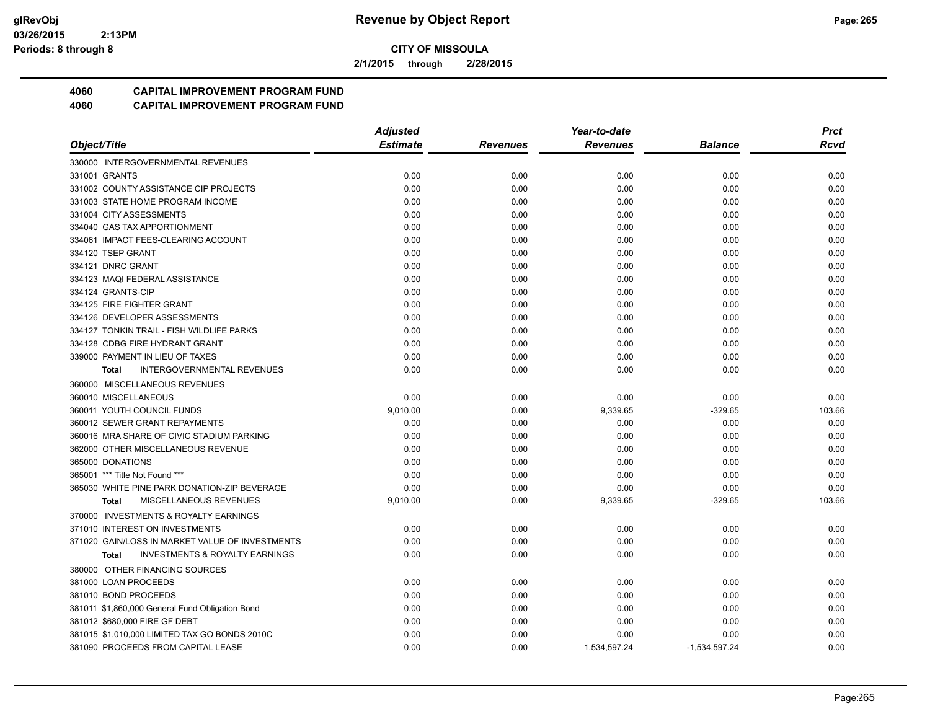**2/1/2015 through 2/28/2015**

# **4060 CAPITAL IMPROVEMENT PROGRAM FUND**

|                                                           | <b>Adjusted</b> |                 | Year-to-date    |                 | <b>Prct</b> |
|-----------------------------------------------------------|-----------------|-----------------|-----------------|-----------------|-------------|
| Object/Title                                              | <b>Estimate</b> | <b>Revenues</b> | <b>Revenues</b> | Balance         | Rcvd        |
| 330000 INTERGOVERNMENTAL REVENUES                         |                 |                 |                 |                 |             |
| 331001 GRANTS                                             | 0.00            | 0.00            | 0.00            | 0.00            | 0.00        |
| 331002 COUNTY ASSISTANCE CIP PROJECTS                     | 0.00            | 0.00            | 0.00            | 0.00            | 0.00        |
| 331003 STATE HOME PROGRAM INCOME                          | 0.00            | 0.00            | 0.00            | 0.00            | 0.00        |
| 331004 CITY ASSESSMENTS                                   | 0.00            | 0.00            | 0.00            | 0.00            | 0.00        |
| 334040 GAS TAX APPORTIONMENT                              | 0.00            | 0.00            | 0.00            | 0.00            | 0.00        |
| 334061 IMPACT FEES-CLEARING ACCOUNT                       | 0.00            | 0.00            | 0.00            | 0.00            | 0.00        |
| 334120 TSEP GRANT                                         | 0.00            | 0.00            | 0.00            | 0.00            | 0.00        |
| 334121 DNRC GRANT                                         | 0.00            | 0.00            | 0.00            | 0.00            | 0.00        |
| 334123 MAQI FEDERAL ASSISTANCE                            | 0.00            | 0.00            | 0.00            | 0.00            | 0.00        |
| 334124 GRANTS-CIP                                         | 0.00            | 0.00            | 0.00            | 0.00            | 0.00        |
| 334125 FIRE FIGHTER GRANT                                 | 0.00            | 0.00            | 0.00            | 0.00            | 0.00        |
| 334126 DEVELOPER ASSESSMENTS                              | 0.00            | 0.00            | 0.00            | 0.00            | 0.00        |
| 334127 TONKIN TRAIL - FISH WILDLIFE PARKS                 | 0.00            | 0.00            | 0.00            | 0.00            | 0.00        |
| 334128 CDBG FIRE HYDRANT GRANT                            | 0.00            | 0.00            | 0.00            | 0.00            | 0.00        |
| 339000 PAYMENT IN LIEU OF TAXES                           | 0.00            | 0.00            | 0.00            | 0.00            | 0.00        |
| <b>INTERGOVERNMENTAL REVENUES</b><br><b>Total</b>         | 0.00            | 0.00            | 0.00            | 0.00            | 0.00        |
| 360000 MISCELLANEOUS REVENUES                             |                 |                 |                 |                 |             |
| 360010 MISCELLANEOUS                                      | 0.00            | 0.00            | 0.00            | 0.00            | 0.00        |
| 360011 YOUTH COUNCIL FUNDS                                | 9,010.00        | 0.00            | 9,339.65        | $-329.65$       | 103.66      |
| 360012 SEWER GRANT REPAYMENTS                             | 0.00            | 0.00            | 0.00            | 0.00            | 0.00        |
| 360016 MRA SHARE OF CIVIC STADIUM PARKING                 | 0.00            | 0.00            | 0.00            | 0.00            | 0.00        |
| 362000 OTHER MISCELLANEOUS REVENUE                        | 0.00            | 0.00            | 0.00            | 0.00            | 0.00        |
| 365000 DONATIONS                                          | 0.00            | 0.00            | 0.00            | 0.00            | 0.00        |
| 365001 *** Title Not Found ***                            | 0.00            | 0.00            | 0.00            | 0.00            | 0.00        |
| 365030 WHITE PINE PARK DONATION-ZIP BEVERAGE              | 0.00            | 0.00            | 0.00            | 0.00            | 0.00        |
| MISCELLANEOUS REVENUES<br><b>Total</b>                    | 9,010.00        | 0.00            | 9,339.65        | $-329.65$       | 103.66      |
| 370000 INVESTMENTS & ROYALTY EARNINGS                     |                 |                 |                 |                 |             |
| 371010 INTEREST ON INVESTMENTS                            | 0.00            | 0.00            | 0.00            | 0.00            | 0.00        |
| 371020 GAIN/LOSS IN MARKET VALUE OF INVESTMENTS           | 0.00            | 0.00            | 0.00            | 0.00            | 0.00        |
| <b>INVESTMENTS &amp; ROYALTY EARNINGS</b><br><b>Total</b> | 0.00            | 0.00            | 0.00            | 0.00            | 0.00        |
| 380000 OTHER FINANCING SOURCES                            |                 |                 |                 |                 |             |
| 381000 LOAN PROCEEDS                                      | 0.00            | 0.00            | 0.00            | 0.00            | 0.00        |
| 381010 BOND PROCEEDS                                      | 0.00            | 0.00            | 0.00            | 0.00            | 0.00        |
| 381011 \$1,860,000 General Fund Obligation Bond           | 0.00            | 0.00            | 0.00            | 0.00            | 0.00        |
| 381012 \$680,000 FIRE GF DEBT                             | 0.00            | 0.00            | 0.00            | 0.00            | 0.00        |
| 381015 \$1,010,000 LIMITED TAX GO BONDS 2010C             | 0.00            | 0.00            | 0.00            | 0.00            | 0.00        |
| 381090 PROCEEDS FROM CAPITAL LEASE                        | 0.00            | 0.00            | 1,534,597.24    | $-1,534,597.24$ | 0.00        |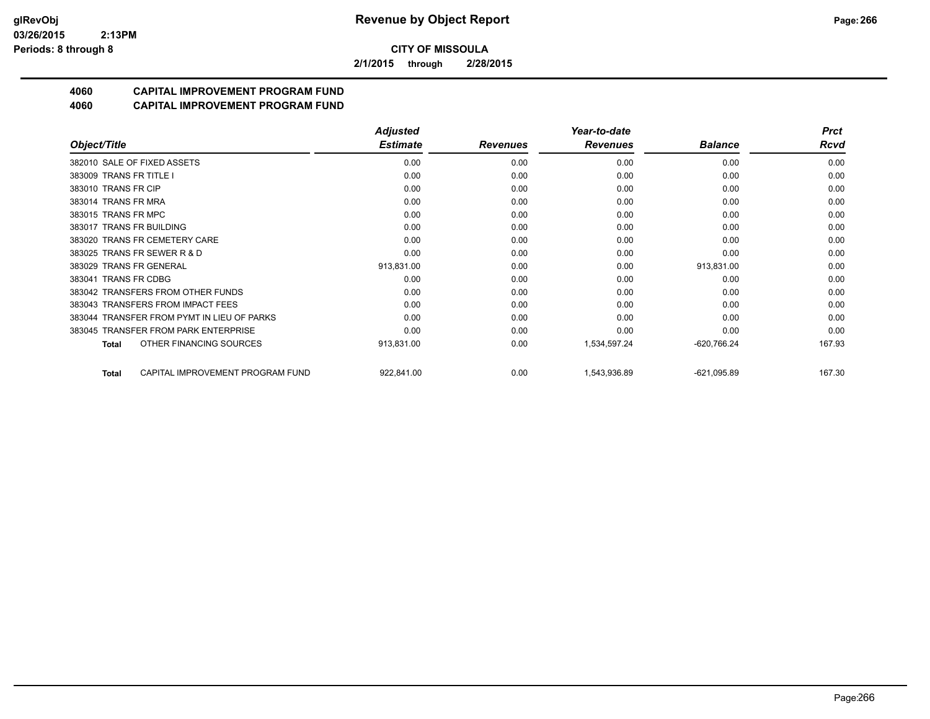**2/1/2015 through 2/28/2015**

# **4060 CAPITAL IMPROVEMENT PROGRAM FUND**

|                                            | <b>Adjusted</b> |                 | Year-to-date    |                | <b>Prct</b> |
|--------------------------------------------|-----------------|-----------------|-----------------|----------------|-------------|
| Object/Title                               | <b>Estimate</b> | <b>Revenues</b> | <b>Revenues</b> | <b>Balance</b> | <b>Rcvd</b> |
| 382010 SALE OF FIXED ASSETS                | 0.00            | 0.00            | 0.00            | 0.00           | 0.00        |
| 383009 TRANS FR TITLE I                    | 0.00            | 0.00            | 0.00            | 0.00           | 0.00        |
| 383010 TRANS FR CIP                        | 0.00            | 0.00            | 0.00            | 0.00           | 0.00        |
| 383014 TRANS FR MRA                        | 0.00            | 0.00            | 0.00            | 0.00           | 0.00        |
| 383015 TRANS FR MPC                        | 0.00            | 0.00            | 0.00            | 0.00           | 0.00        |
| 383017 TRANS FR BUILDING                   | 0.00            | 0.00            | 0.00            | 0.00           | 0.00        |
| 383020 TRANS FR CEMETERY CARE              | 0.00            | 0.00            | 0.00            | 0.00           | 0.00        |
| 383025 TRANS FR SEWER R & D                | 0.00            | 0.00            | 0.00            | 0.00           | 0.00        |
| 383029 TRANS FR GENERAL                    | 913,831.00      | 0.00            | 0.00            | 913,831.00     | 0.00        |
| 383041 TRANS FR CDBG                       | 0.00            | 0.00            | 0.00            | 0.00           | 0.00        |
| 383042 TRANSFERS FROM OTHER FUNDS          | 0.00            | 0.00            | 0.00            | 0.00           | 0.00        |
| 383043 TRANSFERS FROM IMPACT FEES          | 0.00            | 0.00            | 0.00            | 0.00           | 0.00        |
| 383044 TRANSFER FROM PYMT IN LIEU OF PARKS | 0.00            | 0.00            | 0.00            | 0.00           | 0.00        |
| 383045 TRANSFER FROM PARK ENTERPRISE       | 0.00            | 0.00            | 0.00            | 0.00           | 0.00        |
| OTHER FINANCING SOURCES<br>Total           | 913,831.00      | 0.00            | 1,534,597.24    | $-620,766.24$  | 167.93      |
| CAPITAL IMPROVEMENT PROGRAM FUND<br>Total  | 922,841.00      | 0.00            | 1,543,936.89    | $-621,095.89$  | 167.30      |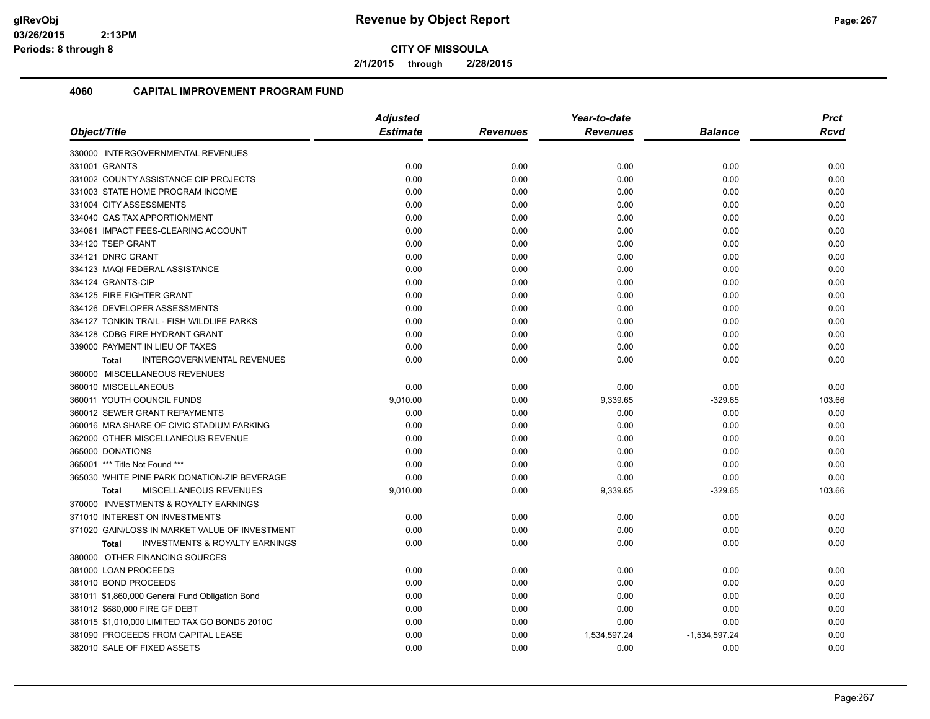**2/1/2015 through 2/28/2015**

| Object/Title                                       | <b>Adjusted</b> |                 | Year-to-date    |                 | <b>Prct</b> |
|----------------------------------------------------|-----------------|-----------------|-----------------|-----------------|-------------|
|                                                    | <b>Estimate</b> | <b>Revenues</b> | <b>Revenues</b> | <b>Balance</b>  | <b>Rcvd</b> |
| 330000 INTERGOVERNMENTAL REVENUES                  |                 |                 |                 |                 |             |
| 331001 GRANTS                                      | 0.00            | 0.00            | 0.00            | 0.00            | 0.00        |
| 331002 COUNTY ASSISTANCE CIP PROJECTS              | 0.00            | 0.00            | 0.00            | 0.00            | 0.00        |
| 331003 STATE HOME PROGRAM INCOME                   | 0.00            | 0.00            | 0.00            | 0.00            | 0.00        |
| 331004 CITY ASSESSMENTS                            | 0.00            | 0.00            | 0.00            | 0.00            | 0.00        |
| 334040 GAS TAX APPORTIONMENT                       | 0.00            | 0.00            | 0.00            | 0.00            | 0.00        |
| 334061 IMPACT FEES-CLEARING ACCOUNT                | 0.00            | 0.00            | 0.00            | 0.00            | 0.00        |
| 334120 TSEP GRANT                                  | 0.00            | 0.00            | 0.00            | 0.00            | 0.00        |
| 334121 DNRC GRANT                                  | 0.00            | 0.00            | 0.00            | 0.00            | 0.00        |
| 334123 MAQI FEDERAL ASSISTANCE                     | 0.00            | 0.00            | 0.00            | 0.00            | 0.00        |
| 334124 GRANTS-CIP                                  | 0.00            | 0.00            | 0.00            | 0.00            | 0.00        |
| 334125 FIRE FIGHTER GRANT                          | 0.00            | 0.00            | 0.00            | 0.00            | 0.00        |
| 334126 DEVELOPER ASSESSMENTS                       | 0.00            | 0.00            | 0.00            | 0.00            | 0.00        |
| 334127 TONKIN TRAIL - FISH WILDLIFE PARKS          | 0.00            | 0.00            | 0.00            | 0.00            | 0.00        |
| 334128 CDBG FIRE HYDRANT GRANT                     | 0.00            | 0.00            | 0.00            | 0.00            | 0.00        |
| 339000 PAYMENT IN LIEU OF TAXES                    | 0.00            | 0.00            | 0.00            | 0.00            | 0.00        |
| INTERGOVERNMENTAL REVENUES<br><b>Total</b>         | 0.00            | 0.00            | 0.00            | 0.00            | 0.00        |
| 360000 MISCELLANEOUS REVENUES                      |                 |                 |                 |                 |             |
| 360010 MISCELLANEOUS                               | 0.00            | 0.00            | 0.00            | 0.00            | 0.00        |
| 360011 YOUTH COUNCIL FUNDS                         | 9,010.00        | 0.00            | 9,339.65        | $-329.65$       | 103.66      |
| 360012 SEWER GRANT REPAYMENTS                      | 0.00            | 0.00            | 0.00            | 0.00            | 0.00        |
| 360016 MRA SHARE OF CIVIC STADIUM PARKING          | 0.00            | 0.00            | 0.00            | 0.00            | 0.00        |
| 362000 OTHER MISCELLANEOUS REVENUE                 | 0.00            | 0.00            | 0.00            | 0.00            | 0.00        |
| 365000 DONATIONS                                   | 0.00            | 0.00            | 0.00            | 0.00            | 0.00        |
| 365001 *** Title Not Found ***                     | 0.00            | 0.00            | 0.00            | 0.00            | 0.00        |
| 365030 WHITE PINE PARK DONATION-ZIP BEVERAGE       | 0.00            | 0.00            | 0.00            | 0.00            | 0.00        |
| MISCELLANEOUS REVENUES<br><b>Total</b>             | 9,010.00        | 0.00            | 9,339.65        | $-329.65$       | 103.66      |
| 370000 INVESTMENTS & ROYALTY EARNINGS              |                 |                 |                 |                 |             |
| 371010 INTEREST ON INVESTMENTS                     | 0.00            | 0.00            | 0.00            | 0.00            | 0.00        |
| 371020 GAIN/LOSS IN MARKET VALUE OF INVESTMENT     | 0.00            | 0.00            | 0.00            | 0.00            | 0.00        |
| <b>INVESTMENTS &amp; ROYALTY EARNINGS</b><br>Total | 0.00            | 0.00            | 0.00            | 0.00            | 0.00        |
| 380000 OTHER FINANCING SOURCES                     |                 |                 |                 |                 |             |
| 381000 LOAN PROCEEDS                               | 0.00            | 0.00            | 0.00            | 0.00            | 0.00        |
| 381010 BOND PROCEEDS                               | 0.00            | 0.00            | 0.00            | 0.00            | 0.00        |
| 381011 \$1,860,000 General Fund Obligation Bond    | 0.00            | 0.00            | 0.00            | 0.00            | 0.00        |
| 381012 \$680,000 FIRE GF DEBT                      | 0.00            | 0.00            | 0.00            | 0.00            | 0.00        |
| 381015 \$1,010,000 LIMITED TAX GO BONDS 2010C      | 0.00            | 0.00            | 0.00            | 0.00            | 0.00        |
| 381090 PROCEEDS FROM CAPITAL LEASE                 | 0.00            | 0.00            | 1,534,597.24    | $-1,534,597.24$ | 0.00        |
| 382010 SALE OF FIXED ASSETS                        | 0.00            | 0.00            | 0.00            | 0.00            | 0.00        |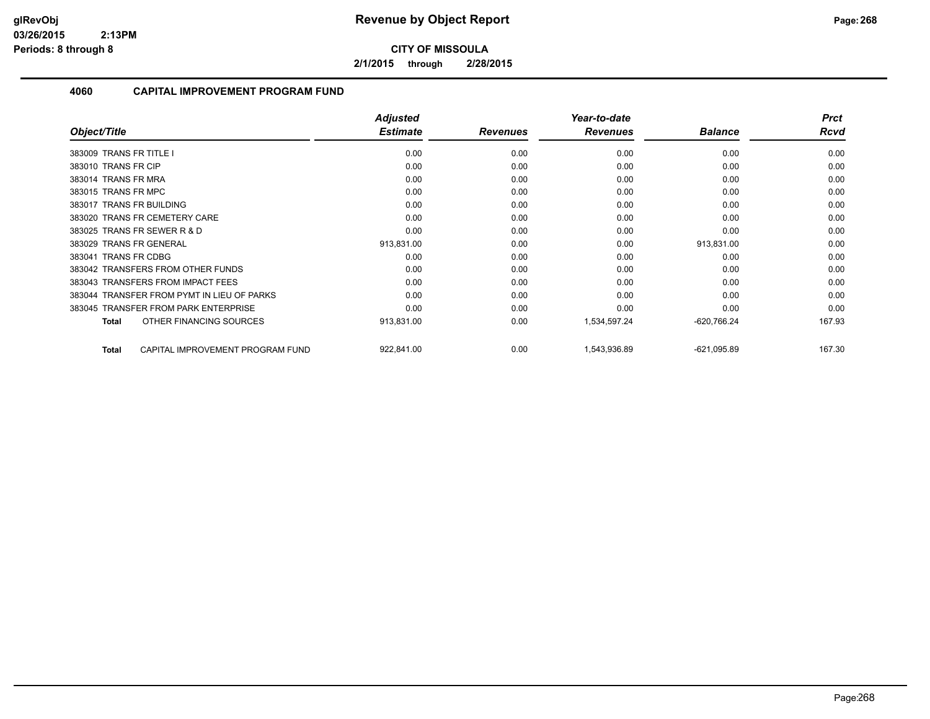**2/1/2015 through 2/28/2015**

| Object/Title                                     | <b>Adjusted</b><br><b>Estimate</b> | <b>Revenues</b> | Year-to-date<br><b>Revenues</b> | <b>Balance</b> | <b>Prct</b><br><b>Rcvd</b> |
|--------------------------------------------------|------------------------------------|-----------------|---------------------------------|----------------|----------------------------|
|                                                  |                                    |                 |                                 |                |                            |
| 383009 TRANS FR TITLE I                          | 0.00                               | 0.00            | 0.00                            | 0.00           | 0.00                       |
| 383010 TRANS FR CIP                              | 0.00                               | 0.00            | 0.00                            | 0.00           | 0.00                       |
| 383014 TRANS FR MRA                              | 0.00                               | 0.00            | 0.00                            | 0.00           | 0.00                       |
| 383015 TRANS FR MPC                              | 0.00                               | 0.00            | 0.00                            | 0.00           | 0.00                       |
| 383017 TRANS FR BUILDING                         | 0.00                               | 0.00            | 0.00                            | 0.00           | 0.00                       |
| 383020 TRANS FR CEMETERY CARE                    | 0.00                               | 0.00            | 0.00                            | 0.00           | 0.00                       |
| 383025 TRANS FR SEWER R & D                      | 0.00                               | 0.00            | 0.00                            | 0.00           | 0.00                       |
| 383029 TRANS FR GENERAL                          | 913,831.00                         | 0.00            | 0.00                            | 913,831.00     | 0.00                       |
| <b>TRANS FR CDBG</b><br>383041                   | 0.00                               | 0.00            | 0.00                            | 0.00           | 0.00                       |
| 383042 TRANSFERS FROM OTHER FUNDS                | 0.00                               | 0.00            | 0.00                            | 0.00           | 0.00                       |
| 383043 TRANSFERS FROM IMPACT FEES                | 0.00                               | 0.00            | 0.00                            | 0.00           | 0.00                       |
| 383044 TRANSFER FROM PYMT IN LIEU OF PARKS       | 0.00                               | 0.00            | 0.00                            | 0.00           | 0.00                       |
| 383045 TRANSFER FROM PARK ENTERPRISE             | 0.00                               | 0.00            | 0.00                            | 0.00           | 0.00                       |
| OTHER FINANCING SOURCES<br><b>Total</b>          | 913,831.00                         | 0.00            | 1,534,597.24                    | $-620,766.24$  | 167.93                     |
| CAPITAL IMPROVEMENT PROGRAM FUND<br><b>Total</b> | 922,841.00                         | 0.00            | 1,543,936.89                    | $-621,095.89$  | 167.30                     |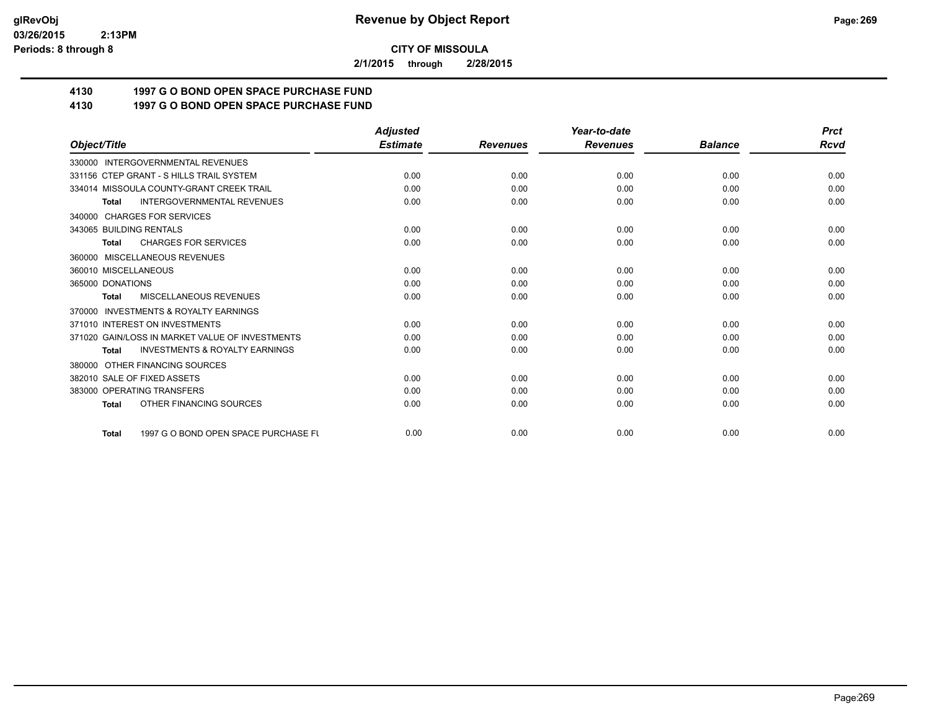**2/1/2015 through 2/28/2015**

# **4130 1997 G O BOND OPEN SPACE PURCHASE FUND**

# **4130 1997 G O BOND OPEN SPACE PURCHASE FUND**

|                                                           | <b>Adjusted</b> |                 | Year-to-date    |                | <b>Prct</b> |
|-----------------------------------------------------------|-----------------|-----------------|-----------------|----------------|-------------|
| Object/Title                                              | <b>Estimate</b> | <b>Revenues</b> | <b>Revenues</b> | <b>Balance</b> | <b>Rcvd</b> |
| 330000 INTERGOVERNMENTAL REVENUES                         |                 |                 |                 |                |             |
| 331156 CTEP GRANT - S HILLS TRAIL SYSTEM                  | 0.00            | 0.00            | 0.00            | 0.00           | 0.00        |
| 334014 MISSOULA COUNTY-GRANT CREEK TRAIL                  | 0.00            | 0.00            | 0.00            | 0.00           | 0.00        |
| <b>INTERGOVERNMENTAL REVENUES</b><br><b>Total</b>         | 0.00            | 0.00            | 0.00            | 0.00           | 0.00        |
| 340000 CHARGES FOR SERVICES                               |                 |                 |                 |                |             |
| 343065 BUILDING RENTALS                                   | 0.00            | 0.00            | 0.00            | 0.00           | 0.00        |
| <b>CHARGES FOR SERVICES</b><br><b>Total</b>               | 0.00            | 0.00            | 0.00            | 0.00           | 0.00        |
| 360000 MISCELLANEOUS REVENUES                             |                 |                 |                 |                |             |
| 360010 MISCELLANEOUS                                      | 0.00            | 0.00            | 0.00            | 0.00           | 0.00        |
| 365000 DONATIONS                                          | 0.00            | 0.00            | 0.00            | 0.00           | 0.00        |
| MISCELLANEOUS REVENUES<br><b>Total</b>                    | 0.00            | 0.00            | 0.00            | 0.00           | 0.00        |
| 370000 INVESTMENTS & ROYALTY EARNINGS                     |                 |                 |                 |                |             |
| 371010 INTEREST ON INVESTMENTS                            | 0.00            | 0.00            | 0.00            | 0.00           | 0.00        |
| 371020 GAIN/LOSS IN MARKET VALUE OF INVESTMENTS           | 0.00            | 0.00            | 0.00            | 0.00           | 0.00        |
| <b>INVESTMENTS &amp; ROYALTY EARNINGS</b><br><b>Total</b> | 0.00            | 0.00            | 0.00            | 0.00           | 0.00        |
| 380000 OTHER FINANCING SOURCES                            |                 |                 |                 |                |             |
| 382010 SALE OF FIXED ASSETS                               | 0.00            | 0.00            | 0.00            | 0.00           | 0.00        |
| 383000 OPERATING TRANSFERS                                | 0.00            | 0.00            | 0.00            | 0.00           | 0.00        |
| OTHER FINANCING SOURCES<br><b>Total</b>                   | 0.00            | 0.00            | 0.00            | 0.00           | 0.00        |
| 1997 G O BOND OPEN SPACE PURCHASE FU<br>Total             | 0.00            | 0.00            | 0.00            | 0.00           | 0.00        |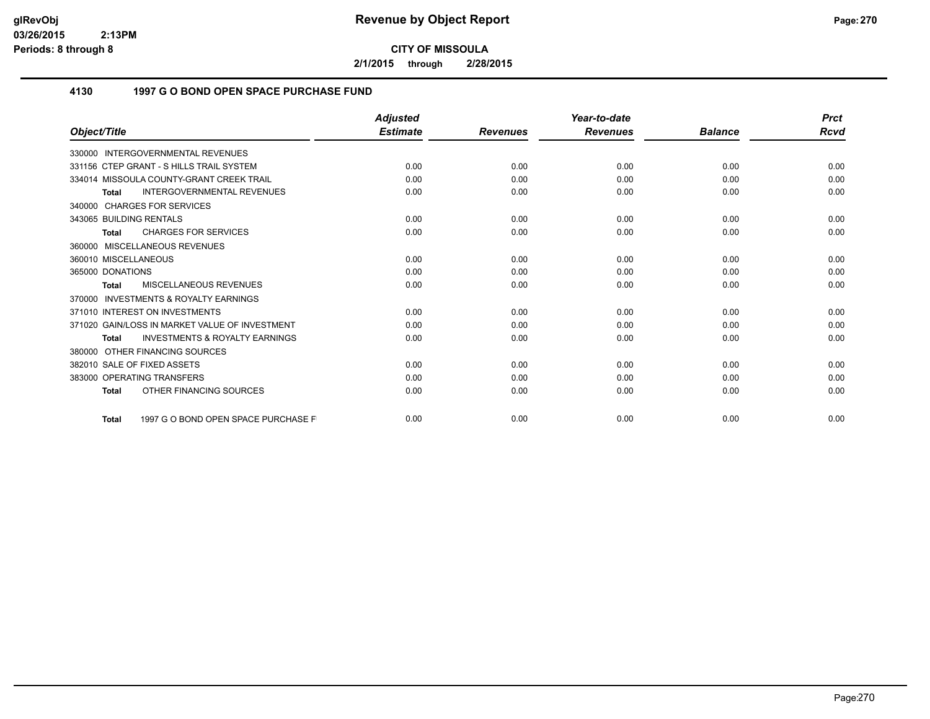**2/1/2015 through 2/28/2015**

# **4130 1997 G O BOND OPEN SPACE PURCHASE FUND**

|                                                           | <b>Adjusted</b> |                 | Year-to-date    |                | <b>Prct</b> |
|-----------------------------------------------------------|-----------------|-----------------|-----------------|----------------|-------------|
| Object/Title                                              | <b>Estimate</b> | <b>Revenues</b> | <b>Revenues</b> | <b>Balance</b> | Rcvd        |
| <b>INTERGOVERNMENTAL REVENUES</b><br>330000               |                 |                 |                 |                |             |
| 331156 CTEP GRANT - S HILLS TRAIL SYSTEM                  | 0.00            | 0.00            | 0.00            | 0.00           | 0.00        |
| 334014 MISSOULA COUNTY-GRANT CREEK TRAIL                  | 0.00            | 0.00            | 0.00            | 0.00           | 0.00        |
| <b>INTERGOVERNMENTAL REVENUES</b><br>Total                | 0.00            | 0.00            | 0.00            | 0.00           | 0.00        |
| 340000 CHARGES FOR SERVICES                               |                 |                 |                 |                |             |
| 343065 BUILDING RENTALS                                   | 0.00            | 0.00            | 0.00            | 0.00           | 0.00        |
| <b>CHARGES FOR SERVICES</b><br>Total                      | 0.00            | 0.00            | 0.00            | 0.00           | 0.00        |
| 360000 MISCELLANEOUS REVENUES                             |                 |                 |                 |                |             |
| 360010 MISCELLANEOUS                                      | 0.00            | 0.00            | 0.00            | 0.00           | 0.00        |
| 365000 DONATIONS                                          | 0.00            | 0.00            | 0.00            | 0.00           | 0.00        |
| MISCELLANEOUS REVENUES<br><b>Total</b>                    | 0.00            | 0.00            | 0.00            | 0.00           | 0.00        |
| <b>INVESTMENTS &amp; ROYALTY EARNINGS</b><br>370000       |                 |                 |                 |                |             |
| 371010 INTEREST ON INVESTMENTS                            | 0.00            | 0.00            | 0.00            | 0.00           | 0.00        |
| 371020 GAIN/LOSS IN MARKET VALUE OF INVESTMENT            | 0.00            | 0.00            | 0.00            | 0.00           | 0.00        |
| <b>INVESTMENTS &amp; ROYALTY EARNINGS</b><br><b>Total</b> | 0.00            | 0.00            | 0.00            | 0.00           | 0.00        |
| 380000 OTHER FINANCING SOURCES                            |                 |                 |                 |                |             |
| 382010 SALE OF FIXED ASSETS                               | 0.00            | 0.00            | 0.00            | 0.00           | 0.00        |
| 383000 OPERATING TRANSFERS                                | 0.00            | 0.00            | 0.00            | 0.00           | 0.00        |
| OTHER FINANCING SOURCES<br><b>Total</b>                   | 0.00            | 0.00            | 0.00            | 0.00           | 0.00        |
| 1997 G O BOND OPEN SPACE PURCHASE F<br><b>Total</b>       | 0.00            | 0.00            | 0.00            | 0.00           | 0.00        |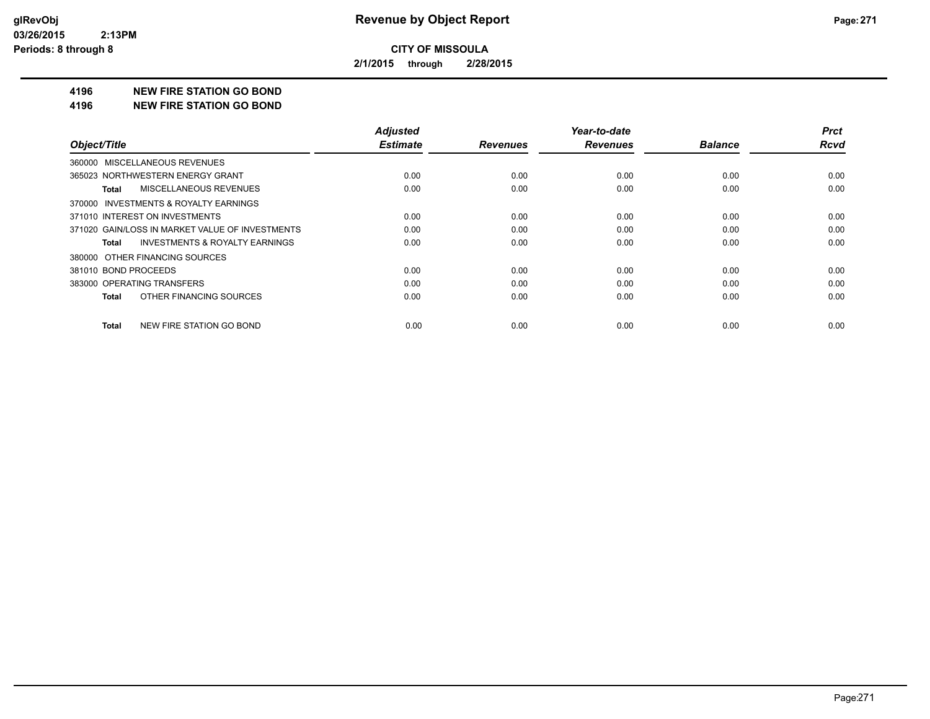**2/1/2015 through 2/28/2015**

#### **4196 NEW FIRE STATION GO BOND**

#### **4196 NEW FIRE STATION GO BOND**

|                                                    | <b>Adjusted</b> |                 | Year-to-date    |                | <b>Prct</b> |
|----------------------------------------------------|-----------------|-----------------|-----------------|----------------|-------------|
| Object/Title                                       | <b>Estimate</b> | <b>Revenues</b> | <b>Revenues</b> | <b>Balance</b> | <b>Rcvd</b> |
| 360000 MISCELLANEOUS REVENUES                      |                 |                 |                 |                |             |
| 365023 NORTHWESTERN ENERGY GRANT                   | 0.00            | 0.00            | 0.00            | 0.00           | 0.00        |
| <b>MISCELLANEOUS REVENUES</b><br>Total             | 0.00            | 0.00            | 0.00            | 0.00           | 0.00        |
| 370000 INVESTMENTS & ROYALTY EARNINGS              |                 |                 |                 |                |             |
| 371010 INTEREST ON INVESTMENTS                     | 0.00            | 0.00            | 0.00            | 0.00           | 0.00        |
| 371020 GAIN/LOSS IN MARKET VALUE OF INVESTMENTS    | 0.00            | 0.00            | 0.00            | 0.00           | 0.00        |
| <b>INVESTMENTS &amp; ROYALTY EARNINGS</b><br>Total | 0.00            | 0.00            | 0.00            | 0.00           | 0.00        |
| 380000 OTHER FINANCING SOURCES                     |                 |                 |                 |                |             |
| 381010 BOND PROCEEDS                               | 0.00            | 0.00            | 0.00            | 0.00           | 0.00        |
| 383000 OPERATING TRANSFERS                         | 0.00            | 0.00            | 0.00            | 0.00           | 0.00        |
| OTHER FINANCING SOURCES<br>Total                   | 0.00            | 0.00            | 0.00            | 0.00           | 0.00        |
| NEW FIRE STATION GO BOND<br>Total                  | 0.00            | 0.00            | 0.00            | 0.00           | 0.00        |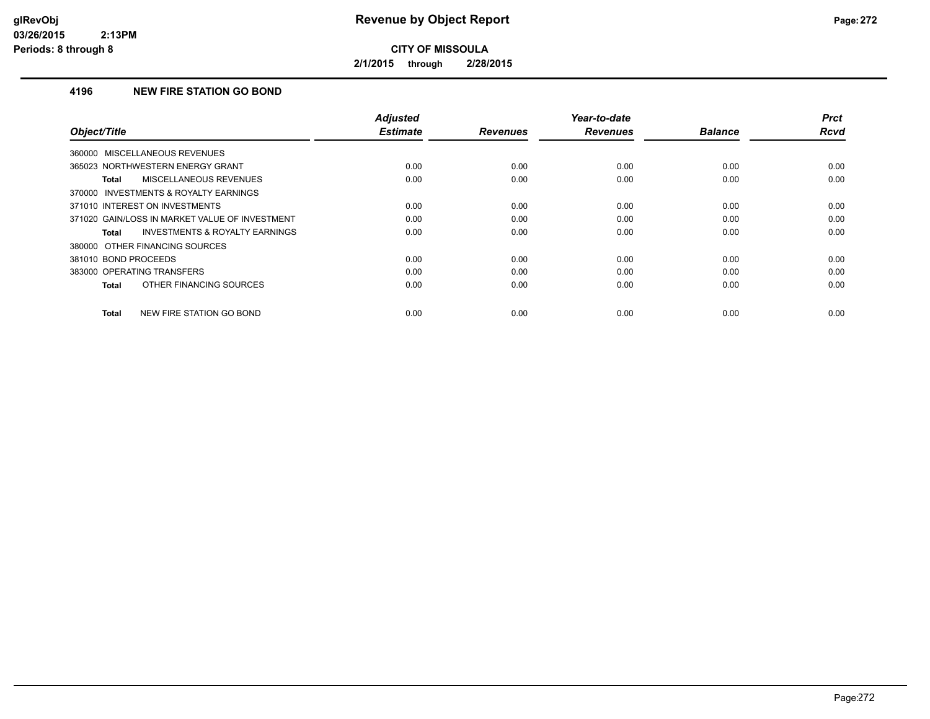**2/1/2015 through 2/28/2015**

# **4196 NEW FIRE STATION GO BOND**

| Object/Title                                       | <b>Adjusted</b><br><b>Estimate</b> | <b>Revenues</b> | Year-to-date<br><b>Revenues</b> | <b>Balance</b> | <b>Prct</b><br><b>Rcvd</b> |
|----------------------------------------------------|------------------------------------|-----------------|---------------------------------|----------------|----------------------------|
| 360000 MISCELLANEOUS REVENUES                      |                                    |                 |                                 |                |                            |
| 365023 NORTHWESTERN ENERGY GRANT                   | 0.00                               | 0.00            | 0.00                            | 0.00           | 0.00                       |
| MISCELLANEOUS REVENUES<br><b>Total</b>             | 0.00                               | 0.00            | 0.00                            | 0.00           | 0.00                       |
| 370000 INVESTMENTS & ROYALTY EARNINGS              |                                    |                 |                                 |                |                            |
| 371010 INTEREST ON INVESTMENTS                     | 0.00                               | 0.00            | 0.00                            | 0.00           | 0.00                       |
| 371020 GAIN/LOSS IN MARKET VALUE OF INVESTMENT     | 0.00                               | 0.00            | 0.00                            | 0.00           | 0.00                       |
| <b>INVESTMENTS &amp; ROYALTY EARNINGS</b><br>Total | 0.00                               | 0.00            | 0.00                            | 0.00           | 0.00                       |
| 380000 OTHER FINANCING SOURCES                     |                                    |                 |                                 |                |                            |
| 381010 BOND PROCEEDS                               | 0.00                               | 0.00            | 0.00                            | 0.00           | 0.00                       |
| 383000 OPERATING TRANSFERS                         | 0.00                               | 0.00            | 0.00                            | 0.00           | 0.00                       |
| OTHER FINANCING SOURCES<br><b>Total</b>            | 0.00                               | 0.00            | 0.00                            | 0.00           | 0.00                       |
| NEW FIRE STATION GO BOND<br><b>Total</b>           | 0.00                               | 0.00            | 0.00                            | 0.00           | 0.00                       |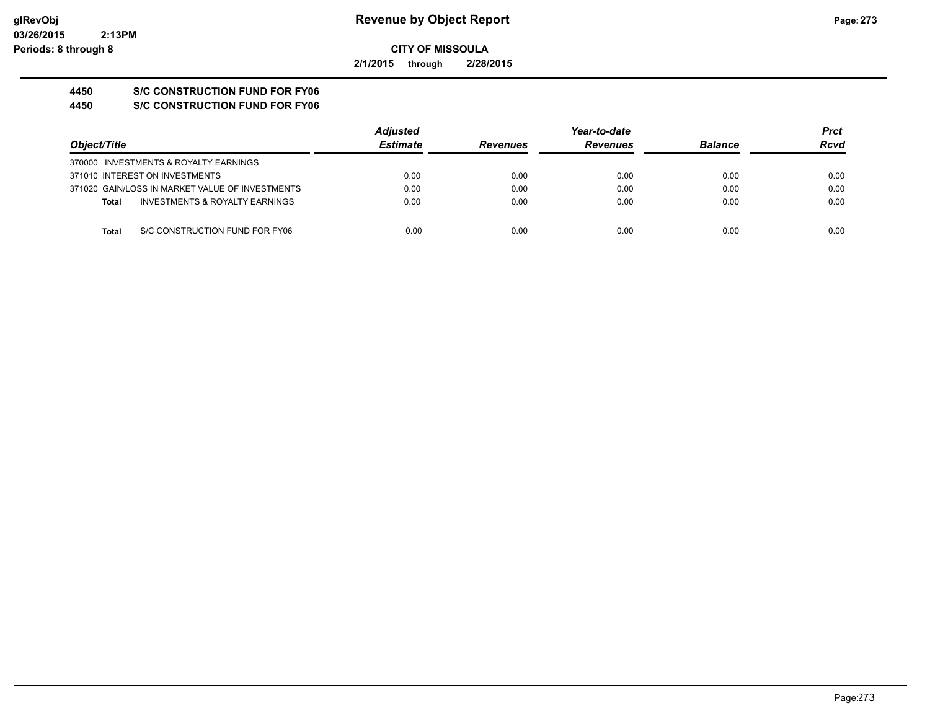**2/1/2015 through 2/28/2015**

# **4450 S/C CONSTRUCTION FUND FOR FY06**

**4450 S/C CONSTRUCTION FUND FOR FY06**

|                                                           | <b>Adjusted</b> |                 | Year-to-date    |                | Prct |
|-----------------------------------------------------------|-----------------|-----------------|-----------------|----------------|------|
| Object/Title                                              | <b>Estimate</b> | <b>Revenues</b> | <b>Revenues</b> | <b>Balance</b> | Rcvd |
| 370000 INVESTMENTS & ROYALTY EARNINGS                     |                 |                 |                 |                |      |
| 371010 INTEREST ON INVESTMENTS                            | 0.00            | 0.00            | 0.00            | 0.00           | 0.00 |
| 371020 GAIN/LOSS IN MARKET VALUE OF INVESTMENTS           | 0.00            | 0.00            | 0.00            | 0.00           | 0.00 |
| <b>INVESTMENTS &amp; ROYALTY EARNINGS</b><br><b>Total</b> | 0.00            | 0.00            | 0.00            | 0.00           | 0.00 |
| S/C CONSTRUCTION FUND FOR FY06<br><b>Total</b>            | 0.00            | 0.00            | 0.00            | 0.00           | 0.00 |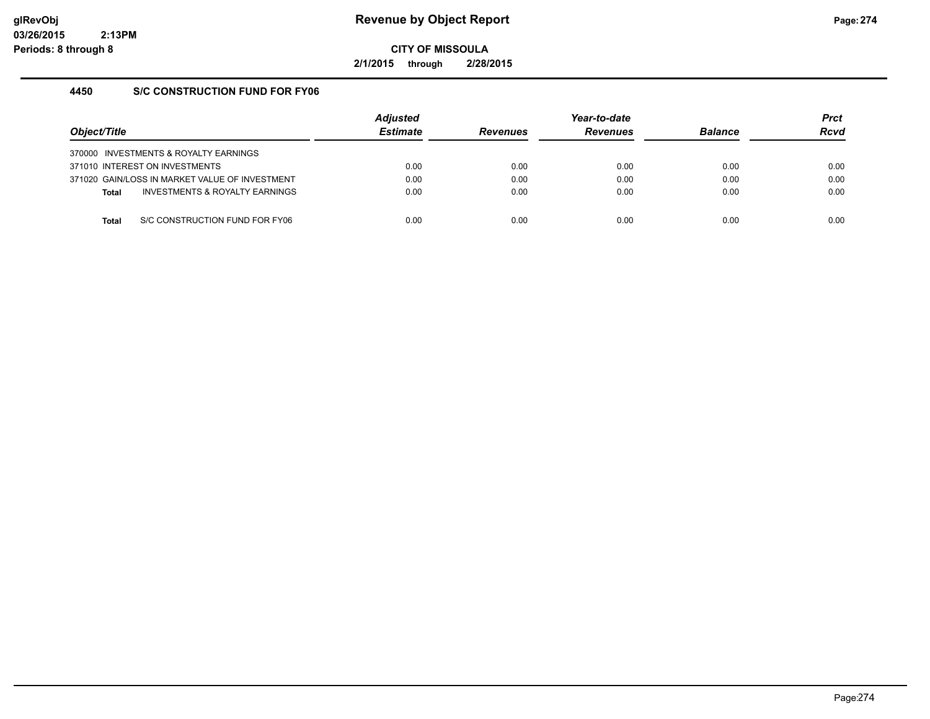**2/1/2015 through 2/28/2015**

# **4450 S/C CONSTRUCTION FUND FOR FY06**

| Object/Title |                                                | <b>Adjusted</b><br><b>Estimate</b> | <b>Revenues</b> | Year-to-date<br><b>Revenues</b> | <b>Balance</b> | <b>Prct</b><br><b>Rcvd</b> |
|--------------|------------------------------------------------|------------------------------------|-----------------|---------------------------------|----------------|----------------------------|
|              | 370000 INVESTMENTS & ROYALTY EARNINGS          |                                    |                 |                                 |                |                            |
|              | 371010 INTEREST ON INVESTMENTS                 | 0.00                               | 0.00            | 0.00                            | 0.00           | 0.00                       |
|              | 371020 GAIN/LOSS IN MARKET VALUE OF INVESTMENT | 0.00                               | 0.00            | 0.00                            | 0.00           | 0.00                       |
| <b>Total</b> | INVESTMENTS & ROYALTY EARNINGS                 | 0.00                               | 0.00            | 0.00                            | 0.00           | 0.00                       |
|              |                                                |                                    |                 |                                 |                |                            |
| Total        | S/C CONSTRUCTION FUND FOR FY06                 | 0.00                               | 0.00            | 0.00                            | 0.00           | 0.00                       |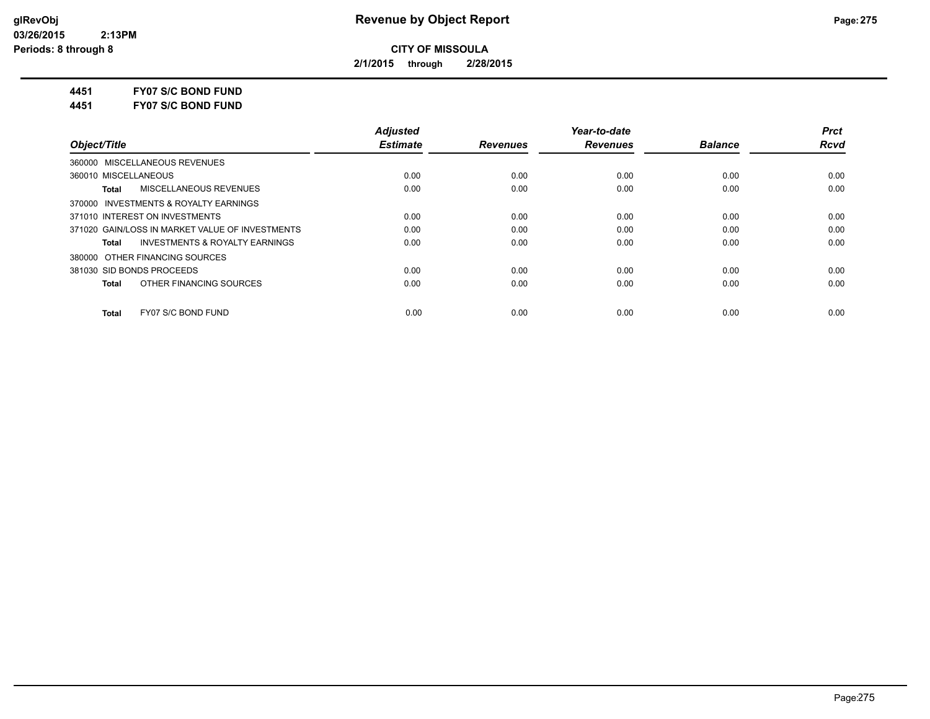**2/1/2015 through 2/28/2015**

**4451 FY07 S/C BOND FUND**

**4451 FY07 S/C BOND FUND**

|                                                 | <b>Adjusted</b> |                 | Year-to-date    |                | <b>Prct</b> |
|-------------------------------------------------|-----------------|-----------------|-----------------|----------------|-------------|
| Object/Title                                    | <b>Estimate</b> | <b>Revenues</b> | <b>Revenues</b> | <b>Balance</b> | <b>Rcvd</b> |
| 360000 MISCELLANEOUS REVENUES                   |                 |                 |                 |                |             |
| 360010 MISCELLANEOUS                            | 0.00            | 0.00            | 0.00            | 0.00           | 0.00        |
| <b>MISCELLANEOUS REVENUES</b><br>Total          | 0.00            | 0.00            | 0.00            | 0.00           | 0.00        |
| 370000 INVESTMENTS & ROYALTY EARNINGS           |                 |                 |                 |                |             |
| 371010 INTEREST ON INVESTMENTS                  | 0.00            | 0.00            | 0.00            | 0.00           | 0.00        |
| 371020 GAIN/LOSS IN MARKET VALUE OF INVESTMENTS | 0.00            | 0.00            | 0.00            | 0.00           | 0.00        |
| INVESTMENTS & ROYALTY EARNINGS<br>Total         | 0.00            | 0.00            | 0.00            | 0.00           | 0.00        |
| 380000 OTHER FINANCING SOURCES                  |                 |                 |                 |                |             |
| 381030 SID BONDS PROCEEDS                       | 0.00            | 0.00            | 0.00            | 0.00           | 0.00        |
| OTHER FINANCING SOURCES<br>Total                | 0.00            | 0.00            | 0.00            | 0.00           | 0.00        |
| FY07 S/C BOND FUND<br><b>Total</b>              | 0.00            | 0.00            | 0.00            | 0.00           | 0.00        |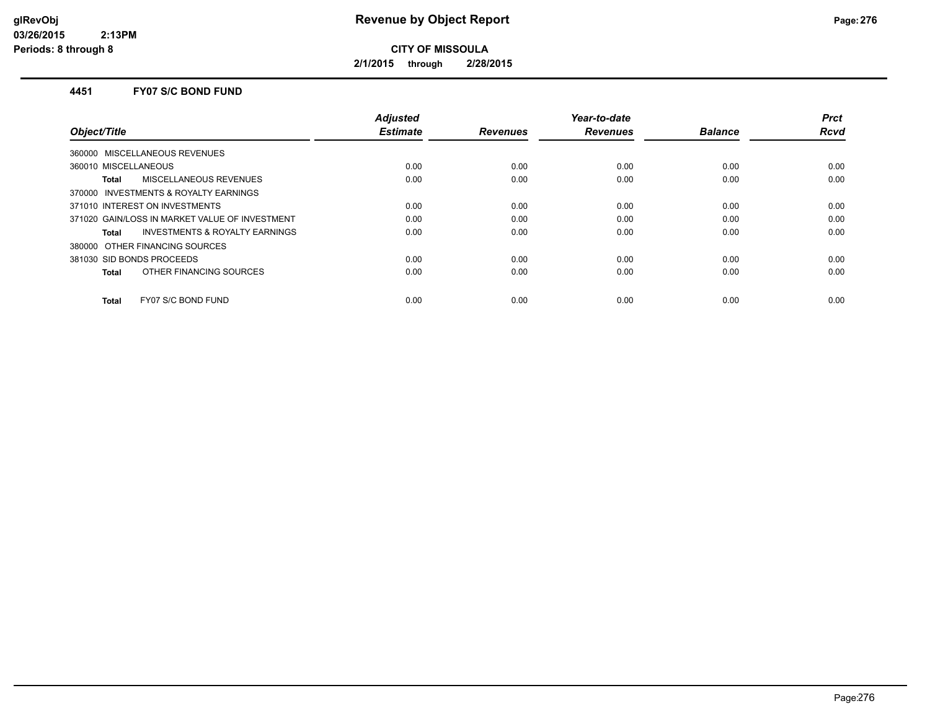**2/1/2015 through 2/28/2015**

#### **4451 FY07 S/C BOND FUND**

| Object/Title                                   | <b>Adjusted</b><br><b>Estimate</b> | <b>Revenues</b> | Year-to-date<br><b>Revenues</b> | <b>Balance</b> | <b>Prct</b><br>Rcvd |
|------------------------------------------------|------------------------------------|-----------------|---------------------------------|----------------|---------------------|
| 360000 MISCELLANEOUS REVENUES                  |                                    |                 |                                 |                |                     |
| 360010 MISCELLANEOUS                           | 0.00                               | 0.00            | 0.00                            | 0.00           | 0.00                |
| MISCELLANEOUS REVENUES<br><b>Total</b>         | 0.00                               | 0.00            | 0.00                            | 0.00           | 0.00                |
| 370000 INVESTMENTS & ROYALTY EARNINGS          |                                    |                 |                                 |                |                     |
| 371010 INTEREST ON INVESTMENTS                 | 0.00                               | 0.00            | 0.00                            | 0.00           | 0.00                |
| 371020 GAIN/LOSS IN MARKET VALUE OF INVESTMENT | 0.00                               | 0.00            | 0.00                            | 0.00           | 0.00                |
| INVESTMENTS & ROYALTY EARNINGS<br>Total        | 0.00                               | 0.00            | 0.00                            | 0.00           | 0.00                |
| 380000 OTHER FINANCING SOURCES                 |                                    |                 |                                 |                |                     |
| 381030 SID BONDS PROCEEDS                      | 0.00                               | 0.00            | 0.00                            | 0.00           | 0.00                |
| OTHER FINANCING SOURCES<br><b>Total</b>        | 0.00                               | 0.00            | 0.00                            | 0.00           | 0.00                |
| FY07 S/C BOND FUND<br><b>Total</b>             | 0.00                               | 0.00            | 0.00                            | 0.00           | 0.00                |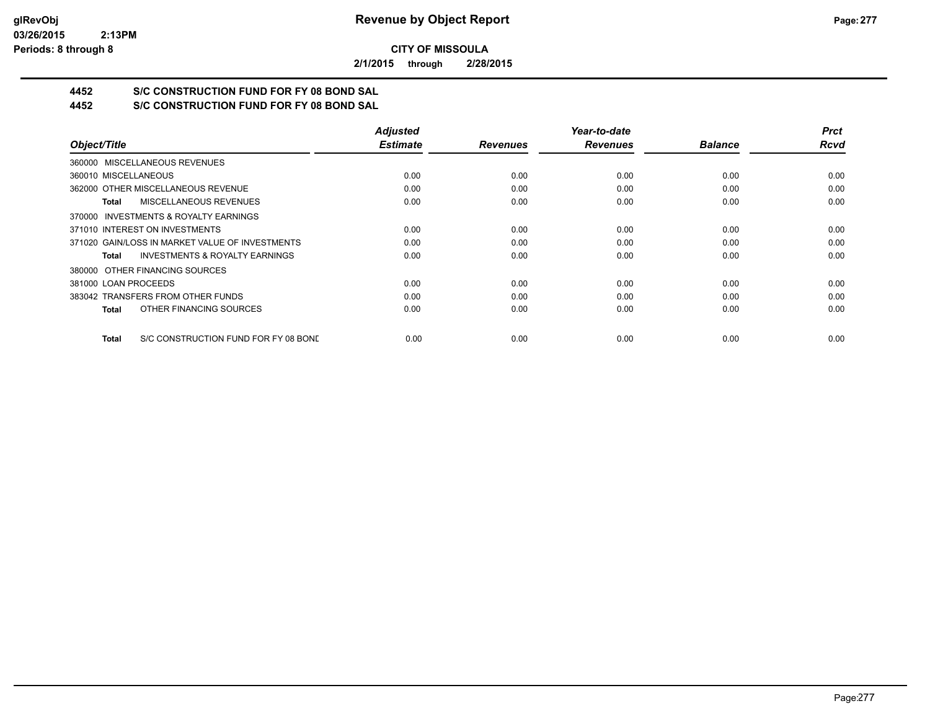**2/1/2015 through 2/28/2015**

# **4452 S/C CONSTRUCTION FUND FOR FY 08 BOND SAL**

**4452 S/C CONSTRUCTION FUND FOR FY 08 BOND SAL**

|                                                      | <b>Adjusted</b> |                 | Year-to-date    |                | <b>Prct</b> |
|------------------------------------------------------|-----------------|-----------------|-----------------|----------------|-------------|
| Object/Title                                         | <b>Estimate</b> | <b>Revenues</b> | <b>Revenues</b> | <b>Balance</b> | <b>Rcvd</b> |
| 360000 MISCELLANEOUS REVENUES                        |                 |                 |                 |                |             |
| 360010 MISCELLANEOUS                                 | 0.00            | 0.00            | 0.00            | 0.00           | 0.00        |
| 362000 OTHER MISCELLANEOUS REVENUE                   | 0.00            | 0.00            | 0.00            | 0.00           | 0.00        |
| MISCELLANEOUS REVENUES<br>Total                      | 0.00            | 0.00            | 0.00            | 0.00           | 0.00        |
| 370000 INVESTMENTS & ROYALTY EARNINGS                |                 |                 |                 |                |             |
| 371010 INTEREST ON INVESTMENTS                       | 0.00            | 0.00            | 0.00            | 0.00           | 0.00        |
| 371020 GAIN/LOSS IN MARKET VALUE OF INVESTMENTS      | 0.00            | 0.00            | 0.00            | 0.00           | 0.00        |
| <b>INVESTMENTS &amp; ROYALTY EARNINGS</b><br>Total   | 0.00            | 0.00            | 0.00            | 0.00           | 0.00        |
| 380000 OTHER FINANCING SOURCES                       |                 |                 |                 |                |             |
| 381000 LOAN PROCEEDS                                 | 0.00            | 0.00            | 0.00            | 0.00           | 0.00        |
| 383042 TRANSFERS FROM OTHER FUNDS                    | 0.00            | 0.00            | 0.00            | 0.00           | 0.00        |
| OTHER FINANCING SOURCES<br>Total                     | 0.00            | 0.00            | 0.00            | 0.00           | 0.00        |
| S/C CONSTRUCTION FUND FOR FY 08 BOND<br><b>Total</b> | 0.00            | 0.00            | 0.00            | 0.00           | 0.00        |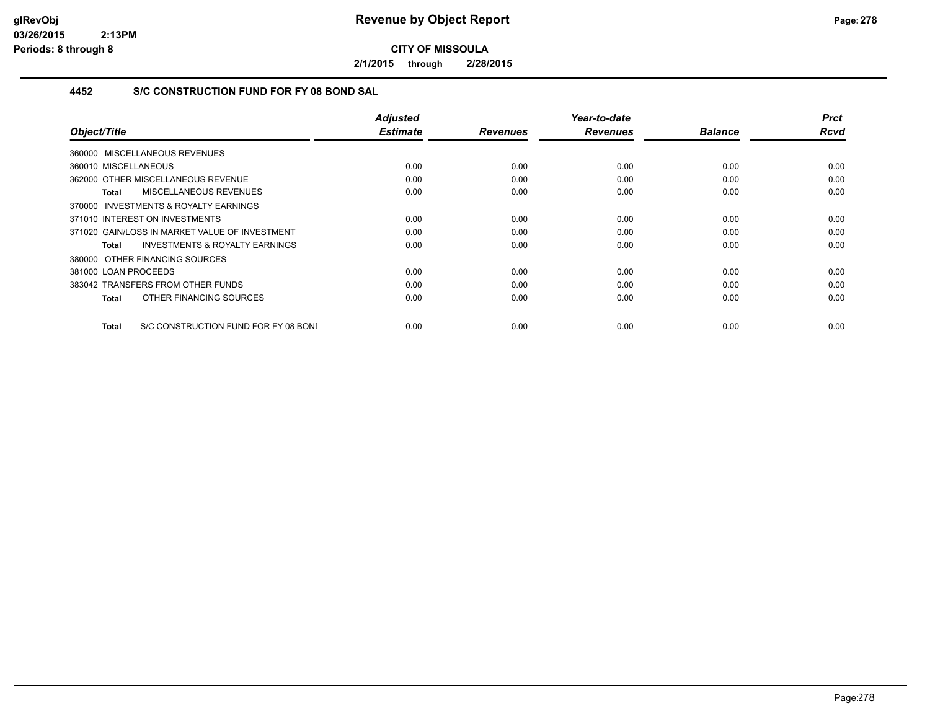**2/1/2015 through 2/28/2015**

# **4452 S/C CONSTRUCTION FUND FOR FY 08 BOND SAL**

| Object/Title                                         | <b>Adjusted</b><br><b>Estimate</b> | <b>Revenues</b> | Year-to-date<br><b>Revenues</b> | <b>Balance</b> | <b>Prct</b><br><b>Rcvd</b> |
|------------------------------------------------------|------------------------------------|-----------------|---------------------------------|----------------|----------------------------|
|                                                      |                                    |                 |                                 |                |                            |
| 360000 MISCELLANEOUS REVENUES                        |                                    |                 |                                 |                |                            |
| 360010 MISCELLANEOUS                                 | 0.00                               | 0.00            | 0.00                            | 0.00           | 0.00                       |
| 362000 OTHER MISCELLANEOUS REVENUE                   | 0.00                               | 0.00            | 0.00                            | 0.00           | 0.00                       |
| MISCELLANEOUS REVENUES<br>Total                      | 0.00                               | 0.00            | 0.00                            | 0.00           | 0.00                       |
| 370000 INVESTMENTS & ROYALTY EARNINGS                |                                    |                 |                                 |                |                            |
| 371010 INTEREST ON INVESTMENTS                       | 0.00                               | 0.00            | 0.00                            | 0.00           | 0.00                       |
| 371020 GAIN/LOSS IN MARKET VALUE OF INVESTMENT       | 0.00                               | 0.00            | 0.00                            | 0.00           | 0.00                       |
| <b>INVESTMENTS &amp; ROYALTY EARNINGS</b><br>Total   | 0.00                               | 0.00            | 0.00                            | 0.00           | 0.00                       |
| 380000 OTHER FINANCING SOURCES                       |                                    |                 |                                 |                |                            |
| 381000 LOAN PROCEEDS                                 | 0.00                               | 0.00            | 0.00                            | 0.00           | 0.00                       |
| 383042 TRANSFERS FROM OTHER FUNDS                    | 0.00                               | 0.00            | 0.00                            | 0.00           | 0.00                       |
| OTHER FINANCING SOURCES<br>Total                     | 0.00                               | 0.00            | 0.00                            | 0.00           | 0.00                       |
|                                                      |                                    |                 |                                 |                |                            |
| S/C CONSTRUCTION FUND FOR FY 08 BONI<br><b>Total</b> | 0.00                               | 0.00            | 0.00                            | 0.00           | 0.00                       |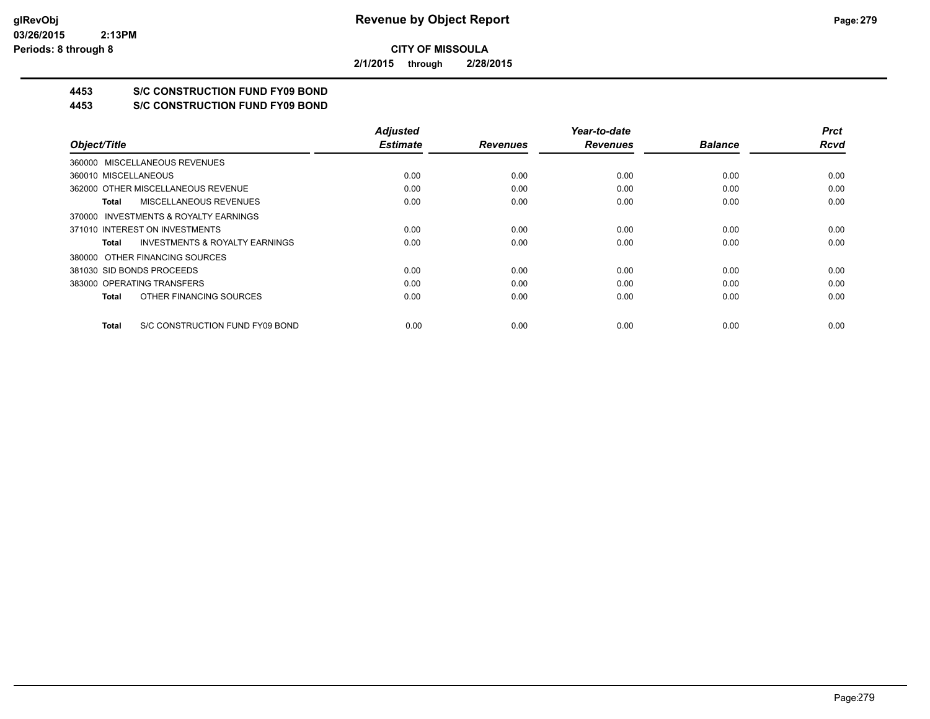**2/1/2015 through 2/28/2015**

# **4453 S/C CONSTRUCTION FUND FY09 BOND**

**4453 S/C CONSTRUCTION FUND FY09 BOND**

|                                                    | <b>Adjusted</b> |                 | Year-to-date    |                | <b>Prct</b> |
|----------------------------------------------------|-----------------|-----------------|-----------------|----------------|-------------|
| Object/Title                                       | <b>Estimate</b> | <b>Revenues</b> | <b>Revenues</b> | <b>Balance</b> | <b>Rcvd</b> |
| 360000 MISCELLANEOUS REVENUES                      |                 |                 |                 |                |             |
| 360010 MISCELLANEOUS                               | 0.00            | 0.00            | 0.00            | 0.00           | 0.00        |
| 362000 OTHER MISCELLANEOUS REVENUE                 | 0.00            | 0.00            | 0.00            | 0.00           | 0.00        |
| MISCELLANEOUS REVENUES<br>Total                    | 0.00            | 0.00            | 0.00            | 0.00           | 0.00        |
| 370000 INVESTMENTS & ROYALTY EARNINGS              |                 |                 |                 |                |             |
| 371010 INTEREST ON INVESTMENTS                     | 0.00            | 0.00            | 0.00            | 0.00           | 0.00        |
| <b>INVESTMENTS &amp; ROYALTY EARNINGS</b><br>Total | 0.00            | 0.00            | 0.00            | 0.00           | 0.00        |
| 380000 OTHER FINANCING SOURCES                     |                 |                 |                 |                |             |
| 381030 SID BONDS PROCEEDS                          | 0.00            | 0.00            | 0.00            | 0.00           | 0.00        |
| 383000 OPERATING TRANSFERS                         | 0.00            | 0.00            | 0.00            | 0.00           | 0.00        |
| OTHER FINANCING SOURCES<br>Total                   | 0.00            | 0.00            | 0.00            | 0.00           | 0.00        |
| S/C CONSTRUCTION FUND FY09 BOND<br>Total           | 0.00            | 0.00            | 0.00            | 0.00           | 0.00        |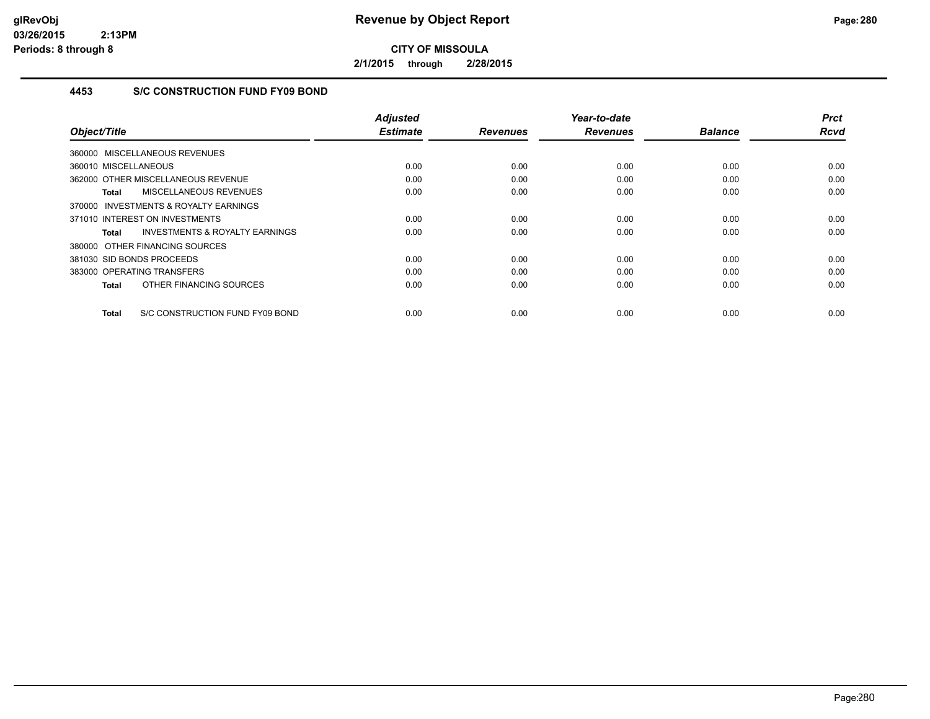**2/1/2015 through 2/28/2015**

### **4453 S/C CONSTRUCTION FUND FY09 BOND**

| Object/Title                                        | Adjusted<br><b>Estimate</b> | <b>Revenues</b> | Year-to-date<br><b>Revenues</b> | <b>Balance</b> | <b>Prct</b><br>Rcvd |
|-----------------------------------------------------|-----------------------------|-----------------|---------------------------------|----------------|---------------------|
|                                                     |                             |                 |                                 |                |                     |
| 360000 MISCELLANEOUS REVENUES                       |                             |                 |                                 |                |                     |
| 360010 MISCELLANEOUS                                | 0.00                        | 0.00            | 0.00                            | 0.00           | 0.00                |
| 362000 OTHER MISCELLANEOUS REVENUE                  | 0.00                        | 0.00            | 0.00                            | 0.00           | 0.00                |
| MISCELLANEOUS REVENUES<br>Total                     | 0.00                        | 0.00            | 0.00                            | 0.00           | 0.00                |
| <b>INVESTMENTS &amp; ROYALTY EARNINGS</b><br>370000 |                             |                 |                                 |                |                     |
| 371010 INTEREST ON INVESTMENTS                      | 0.00                        | 0.00            | 0.00                            | 0.00           | 0.00                |
| <b>INVESTMENTS &amp; ROYALTY EARNINGS</b><br>Total  | 0.00                        | 0.00            | 0.00                            | 0.00           | 0.00                |
| 380000 OTHER FINANCING SOURCES                      |                             |                 |                                 |                |                     |
| 381030 SID BONDS PROCEEDS                           | 0.00                        | 0.00            | 0.00                            | 0.00           | 0.00                |
| 383000 OPERATING TRANSFERS                          | 0.00                        | 0.00            | 0.00                            | 0.00           | 0.00                |
| OTHER FINANCING SOURCES<br>Total                    | 0.00                        | 0.00            | 0.00                            | 0.00           | 0.00                |
| S/C CONSTRUCTION FUND FY09 BOND<br>Total            | 0.00                        | 0.00            | 0.00                            | 0.00           | 0.00                |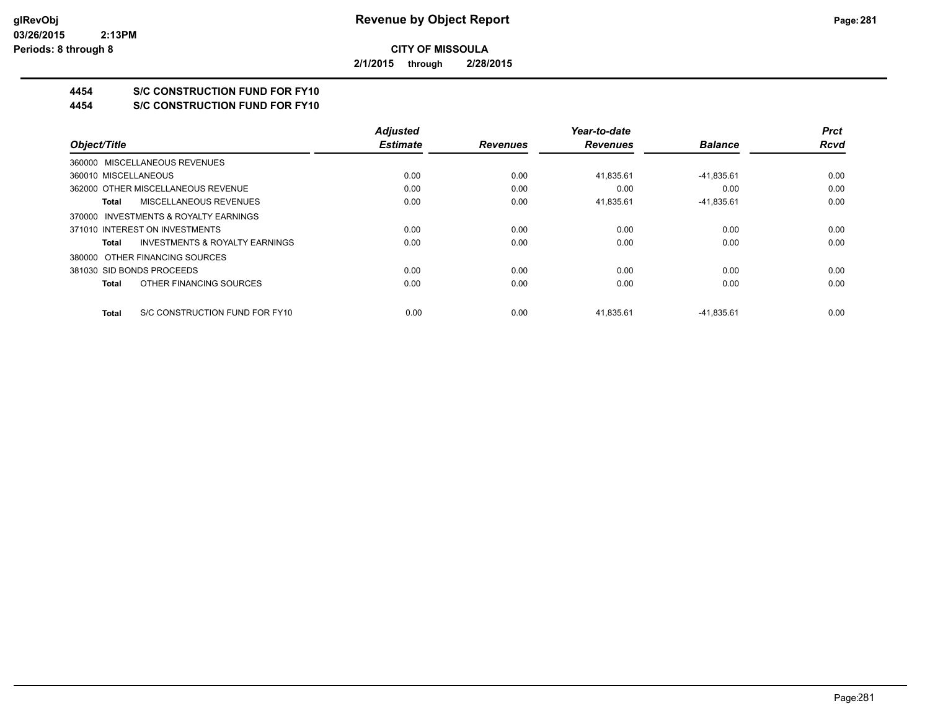**2/1/2015 through 2/28/2015**

# **4454 S/C CONSTRUCTION FUND FOR FY10**

**4454 S/C CONSTRUCTION FUND FOR FY10**

|                                                    | <b>Adjusted</b> |                 | Year-to-date    |                | <b>Prct</b> |
|----------------------------------------------------|-----------------|-----------------|-----------------|----------------|-------------|
| Object/Title                                       | <b>Estimate</b> | <b>Revenues</b> | <b>Revenues</b> | <b>Balance</b> | <b>Rcvd</b> |
| 360000 MISCELLANEOUS REVENUES                      |                 |                 |                 |                |             |
| 360010 MISCELLANEOUS                               | 0.00            | 0.00            | 41,835.61       | $-41,835.61$   | 0.00        |
| 362000 OTHER MISCELLANEOUS REVENUE                 | 0.00            | 0.00            | 0.00            | 0.00           | 0.00        |
| MISCELLANEOUS REVENUES<br>Total                    | 0.00            | 0.00            | 41,835.61       | $-41,835.61$   | 0.00        |
| 370000 INVESTMENTS & ROYALTY EARNINGS              |                 |                 |                 |                |             |
| 371010 INTEREST ON INVESTMENTS                     | 0.00            | 0.00            | 0.00            | 0.00           | 0.00        |
| <b>INVESTMENTS &amp; ROYALTY EARNINGS</b><br>Total | 0.00            | 0.00            | 0.00            | 0.00           | 0.00        |
| 380000 OTHER FINANCING SOURCES                     |                 |                 |                 |                |             |
| 381030 SID BONDS PROCEEDS                          | 0.00            | 0.00            | 0.00            | 0.00           | 0.00        |
| OTHER FINANCING SOURCES<br>Total                   | 0.00            | 0.00            | 0.00            | 0.00           | 0.00        |
| S/C CONSTRUCTION FUND FOR FY10<br>Total            | 0.00            | 0.00            | 41,835.61       | $-41,835.61$   | 0.00        |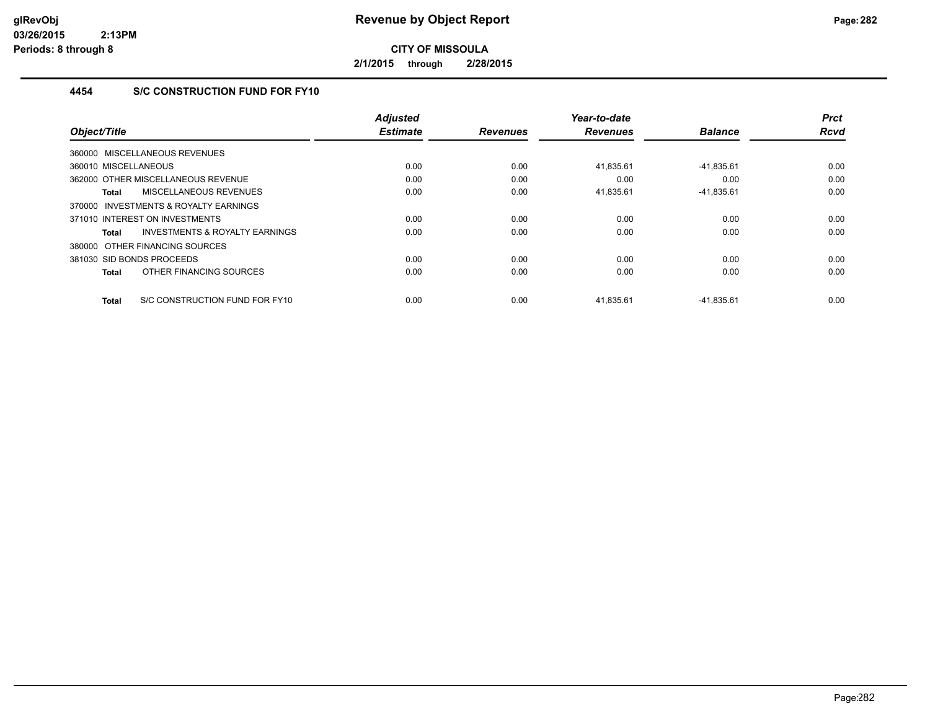**2/1/2015 through 2/28/2015**

# **4454 S/C CONSTRUCTION FUND FOR FY10**

| Object/Title                                   | <b>Adjusted</b><br><b>Estimate</b> | <b>Revenues</b> | Year-to-date<br><b>Revenues</b> | <b>Balance</b> | <b>Prct</b><br><b>Rcvd</b> |
|------------------------------------------------|------------------------------------|-----------------|---------------------------------|----------------|----------------------------|
| 360000 MISCELLANEOUS REVENUES                  |                                    |                 |                                 |                |                            |
| 360010 MISCELLANEOUS                           | 0.00                               | 0.00            | 41,835.61                       | $-41,835.61$   | 0.00                       |
| 362000 OTHER MISCELLANEOUS REVENUE             | 0.00                               | 0.00            | 0.00                            | 0.00           | 0.00                       |
| MISCELLANEOUS REVENUES<br><b>Total</b>         | 0.00                               | 0.00            | 41,835.61                       | $-41,835.61$   | 0.00                       |
| 370000 INVESTMENTS & ROYALTY EARNINGS          |                                    |                 |                                 |                |                            |
| 371010 INTEREST ON INVESTMENTS                 | 0.00                               | 0.00            | 0.00                            | 0.00           | 0.00                       |
| INVESTMENTS & ROYALTY EARNINGS<br><b>Total</b> | 0.00                               | 0.00            | 0.00                            | 0.00           | 0.00                       |
| 380000 OTHER FINANCING SOURCES                 |                                    |                 |                                 |                |                            |
| 381030 SID BONDS PROCEEDS                      | 0.00                               | 0.00            | 0.00                            | 0.00           | 0.00                       |
| OTHER FINANCING SOURCES<br><b>Total</b>        | 0.00                               | 0.00            | 0.00                            | 0.00           | 0.00                       |
| S/C CONSTRUCTION FUND FOR FY10<br><b>Total</b> | 0.00                               | 0.00            | 41.835.61                       | $-41,835.61$   | 0.00                       |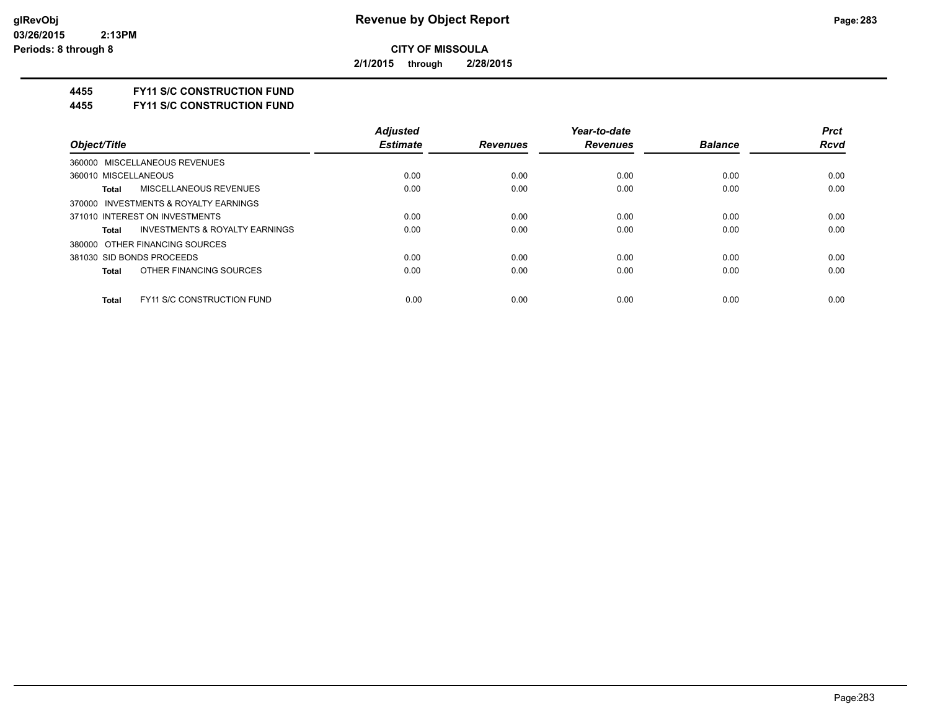**2/1/2015 through 2/28/2015**

### **4455 FY11 S/C CONSTRUCTION FUND**

#### **4455 FY11 S/C CONSTRUCTION FUND**

|                                            | <b>Adjusted</b> |                 | Year-to-date    |                | <b>Prct</b> |
|--------------------------------------------|-----------------|-----------------|-----------------|----------------|-------------|
| Object/Title                               | <b>Estimate</b> | <b>Revenues</b> | <b>Revenues</b> | <b>Balance</b> | <b>Rcvd</b> |
| 360000 MISCELLANEOUS REVENUES              |                 |                 |                 |                |             |
| 360010 MISCELLANEOUS                       | 0.00            | 0.00            | 0.00            | 0.00           | 0.00        |
| <b>MISCELLANEOUS REVENUES</b><br>Total     | 0.00            | 0.00            | 0.00            | 0.00           | 0.00        |
| 370000 INVESTMENTS & ROYALTY EARNINGS      |                 |                 |                 |                |             |
| 371010 INTEREST ON INVESTMENTS             | 0.00            | 0.00            | 0.00            | 0.00           | 0.00        |
| INVESTMENTS & ROYALTY EARNINGS<br>Total    | 0.00            | 0.00            | 0.00            | 0.00           | 0.00        |
| 380000 OTHER FINANCING SOURCES             |                 |                 |                 |                |             |
| 381030 SID BONDS PROCEEDS                  | 0.00            | 0.00            | 0.00            | 0.00           | 0.00        |
| OTHER FINANCING SOURCES<br>Total           | 0.00            | 0.00            | 0.00            | 0.00           | 0.00        |
|                                            |                 |                 |                 |                |             |
| <b>FY11 S/C CONSTRUCTION FUND</b><br>Total | 0.00            | 0.00            | 0.00            | 0.00           | 0.00        |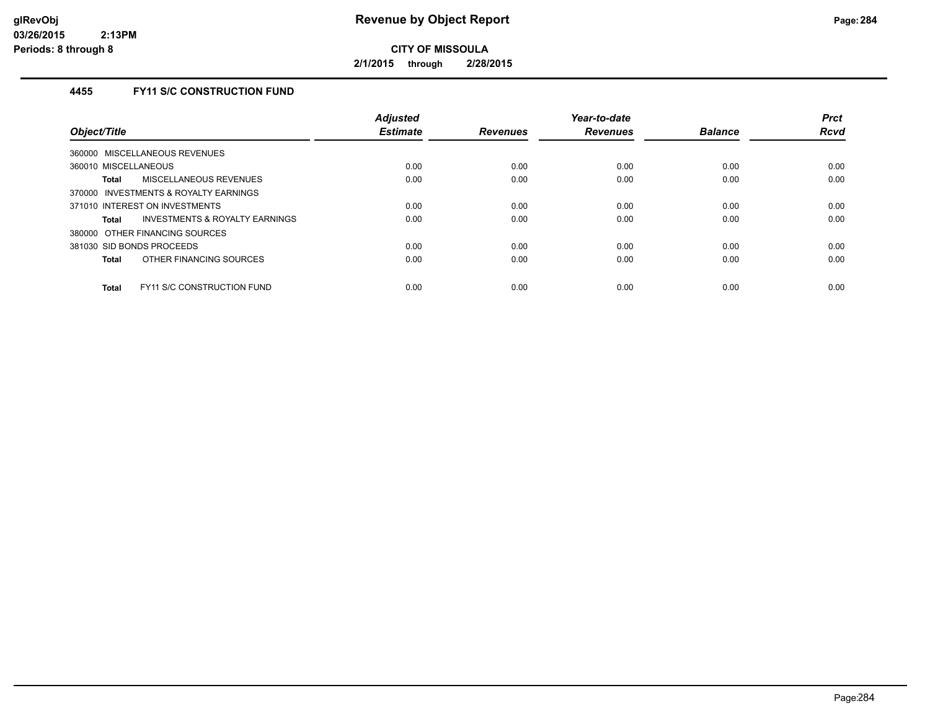**2/1/2015 through 2/28/2015**

# **4455 FY11 S/C CONSTRUCTION FUND**

| Object/Title                                       | <b>Adjusted</b><br><b>Estimate</b> | <b>Revenues</b> | Year-to-date<br><b>Revenues</b> | <b>Balance</b> | <b>Prct</b><br><b>Rcvd</b> |
|----------------------------------------------------|------------------------------------|-----------------|---------------------------------|----------------|----------------------------|
| 360000 MISCELLANEOUS REVENUES                      |                                    |                 |                                 |                |                            |
| 360010 MISCELLANEOUS                               | 0.00                               | 0.00            | 0.00                            | 0.00           | 0.00                       |
| MISCELLANEOUS REVENUES<br>Total                    | 0.00                               | 0.00            | 0.00                            | 0.00           | 0.00                       |
| 370000 INVESTMENTS & ROYALTY EARNINGS              |                                    |                 |                                 |                |                            |
| 371010 INTEREST ON INVESTMENTS                     | 0.00                               | 0.00            | 0.00                            | 0.00           | 0.00                       |
| <b>INVESTMENTS &amp; ROYALTY EARNINGS</b><br>Total | 0.00                               | 0.00            | 0.00                            | 0.00           | 0.00                       |
| 380000 OTHER FINANCING SOURCES                     |                                    |                 |                                 |                |                            |
| 381030 SID BONDS PROCEEDS                          | 0.00                               | 0.00            | 0.00                            | 0.00           | 0.00                       |
| OTHER FINANCING SOURCES<br><b>Total</b>            | 0.00                               | 0.00            | 0.00                            | 0.00           | 0.00                       |
| <b>FY11 S/C CONSTRUCTION FUND</b><br><b>Total</b>  | 0.00                               | 0.00            | 0.00                            | 0.00           | 0.00                       |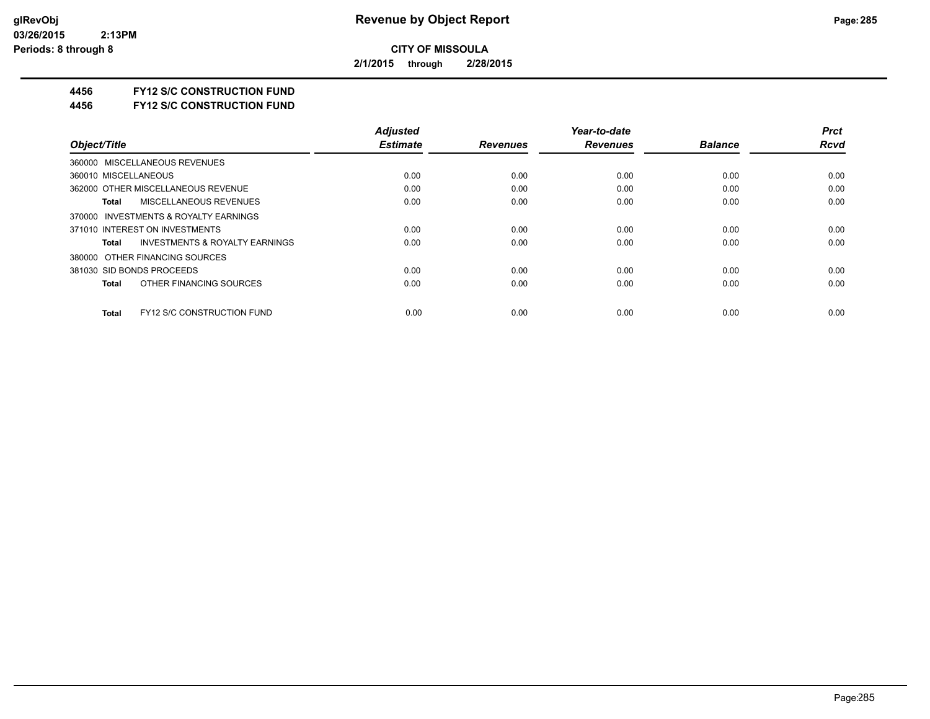**2/1/2015 through 2/28/2015**

### **4456 FY12 S/C CONSTRUCTION FUND**

**4456 FY12 S/C CONSTRUCTION FUND**

|                                                    | <b>Adjusted</b> |                 | Year-to-date    |                | <b>Prct</b> |
|----------------------------------------------------|-----------------|-----------------|-----------------|----------------|-------------|
| Object/Title                                       | <b>Estimate</b> | <b>Revenues</b> | <b>Revenues</b> | <b>Balance</b> | <b>Rcvd</b> |
| 360000 MISCELLANEOUS REVENUES                      |                 |                 |                 |                |             |
| 360010 MISCELLANEOUS                               | 0.00            | 0.00            | 0.00            | 0.00           | 0.00        |
| 362000 OTHER MISCELLANEOUS REVENUE                 | 0.00            | 0.00            | 0.00            | 0.00           | 0.00        |
| <b>MISCELLANEOUS REVENUES</b><br>Total             | 0.00            | 0.00            | 0.00            | 0.00           | 0.00        |
| 370000 INVESTMENTS & ROYALTY EARNINGS              |                 |                 |                 |                |             |
| 371010 INTEREST ON INVESTMENTS                     | 0.00            | 0.00            | 0.00            | 0.00           | 0.00        |
| <b>INVESTMENTS &amp; ROYALTY EARNINGS</b><br>Total | 0.00            | 0.00            | 0.00            | 0.00           | 0.00        |
| 380000 OTHER FINANCING SOURCES                     |                 |                 |                 |                |             |
| 381030 SID BONDS PROCEEDS                          | 0.00            | 0.00            | 0.00            | 0.00           | 0.00        |
| OTHER FINANCING SOURCES<br><b>Total</b>            | 0.00            | 0.00            | 0.00            | 0.00           | 0.00        |
| <b>FY12 S/C CONSTRUCTION FUND</b><br><b>Total</b>  | 0.00            | 0.00            | 0.00            | 0.00           | 0.00        |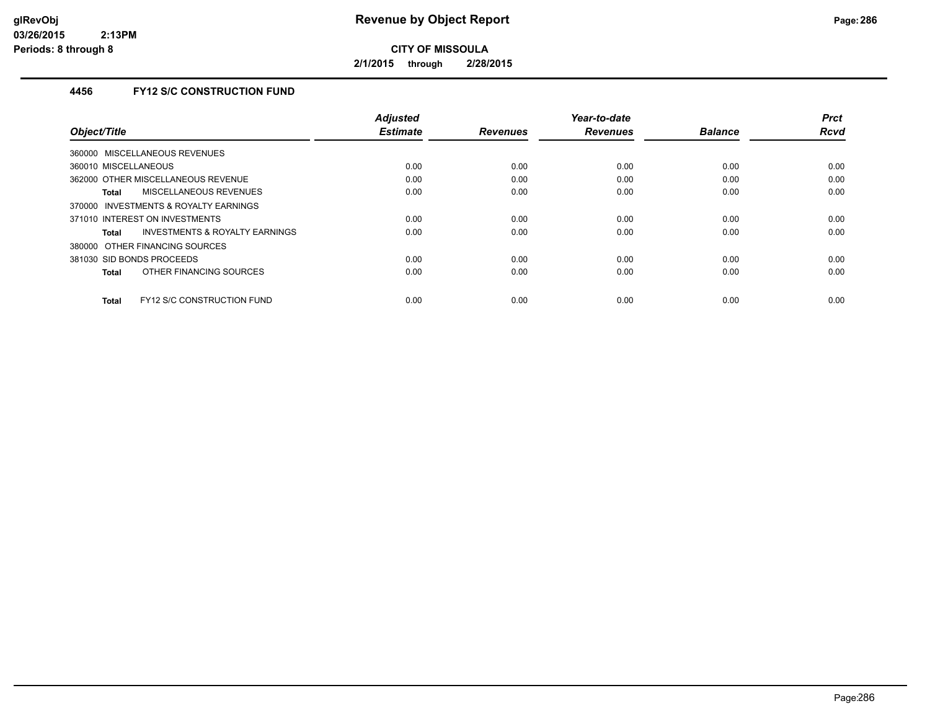**2/1/2015 through 2/28/2015**

# **4456 FY12 S/C CONSTRUCTION FUND**

|                                                   | <b>Adjusted</b><br><b>Estimate</b> |                 | Year-to-date<br><b>Revenues</b> | <b>Balance</b> | <b>Prct</b><br><b>Rcvd</b> |
|---------------------------------------------------|------------------------------------|-----------------|---------------------------------|----------------|----------------------------|
| Object/Title                                      |                                    | <b>Revenues</b> |                                 |                |                            |
| 360000 MISCELLANEOUS REVENUES                     |                                    |                 |                                 |                |                            |
| 360010 MISCELLANEOUS                              | 0.00                               | 0.00            | 0.00                            | 0.00           | 0.00                       |
| 362000 OTHER MISCELLANEOUS REVENUE                | 0.00                               | 0.00            | 0.00                            | 0.00           | 0.00                       |
| MISCELLANEOUS REVENUES<br><b>Total</b>            | 0.00                               | 0.00            | 0.00                            | 0.00           | 0.00                       |
| INVESTMENTS & ROYALTY EARNINGS<br>370000          |                                    |                 |                                 |                |                            |
| 371010 INTEREST ON INVESTMENTS                    | 0.00                               | 0.00            | 0.00                            | 0.00           | 0.00                       |
| INVESTMENTS & ROYALTY EARNINGS<br>Total           | 0.00                               | 0.00            | 0.00                            | 0.00           | 0.00                       |
| 380000 OTHER FINANCING SOURCES                    |                                    |                 |                                 |                |                            |
| 381030 SID BONDS PROCEEDS                         | 0.00                               | 0.00            | 0.00                            | 0.00           | 0.00                       |
| OTHER FINANCING SOURCES<br><b>Total</b>           | 0.00                               | 0.00            | 0.00                            | 0.00           | 0.00                       |
|                                                   |                                    |                 |                                 |                |                            |
| <b>FY12 S/C CONSTRUCTION FUND</b><br><b>Total</b> | 0.00                               | 0.00            | 0.00                            | 0.00           | 0.00                       |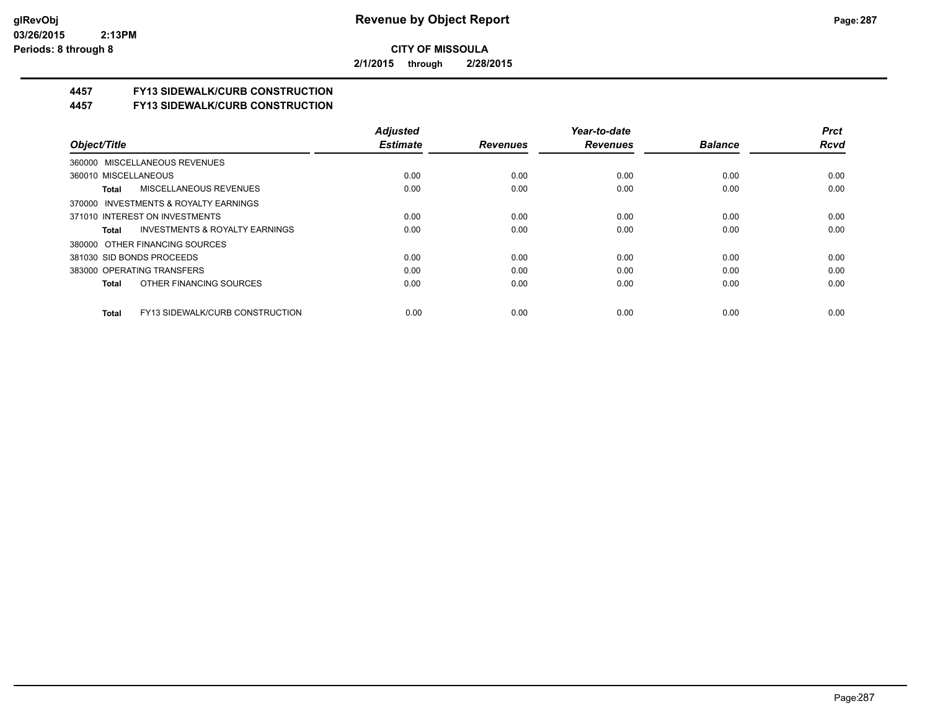**2/1/2015 through 2/28/2015**

# **4457 FY13 SIDEWALK/CURB CONSTRUCTION**

**4457 FY13 SIDEWALK/CURB CONSTRUCTION**

|                                                    | <b>Adiusted</b> |                 | Year-to-date    |                | <b>Prct</b> |
|----------------------------------------------------|-----------------|-----------------|-----------------|----------------|-------------|
| Object/Title                                       | <b>Estimate</b> | <b>Revenues</b> | <b>Revenues</b> | <b>Balance</b> | <b>Rcvd</b> |
| 360000 MISCELLANEOUS REVENUES                      |                 |                 |                 |                |             |
| 360010 MISCELLANEOUS                               | 0.00            | 0.00            | 0.00            | 0.00           | 0.00        |
| <b>MISCELLANEOUS REVENUES</b><br>Total             | 0.00            | 0.00            | 0.00            | 0.00           | 0.00        |
| 370000 INVESTMENTS & ROYALTY EARNINGS              |                 |                 |                 |                |             |
| 371010 INTEREST ON INVESTMENTS                     | 0.00            | 0.00            | 0.00            | 0.00           | 0.00        |
| <b>INVESTMENTS &amp; ROYALTY EARNINGS</b><br>Total | 0.00            | 0.00            | 0.00            | 0.00           | 0.00        |
| 380000 OTHER FINANCING SOURCES                     |                 |                 |                 |                |             |
| 381030 SID BONDS PROCEEDS                          | 0.00            | 0.00            | 0.00            | 0.00           | 0.00        |
| 383000 OPERATING TRANSFERS                         | 0.00            | 0.00            | 0.00            | 0.00           | 0.00        |
| OTHER FINANCING SOURCES<br>Total                   | 0.00            | 0.00            | 0.00            | 0.00           | 0.00        |
| FY13 SIDEWALK/CURB CONSTRUCTION<br>Total           | 0.00            | 0.00            | 0.00            | 0.00           | 0.00        |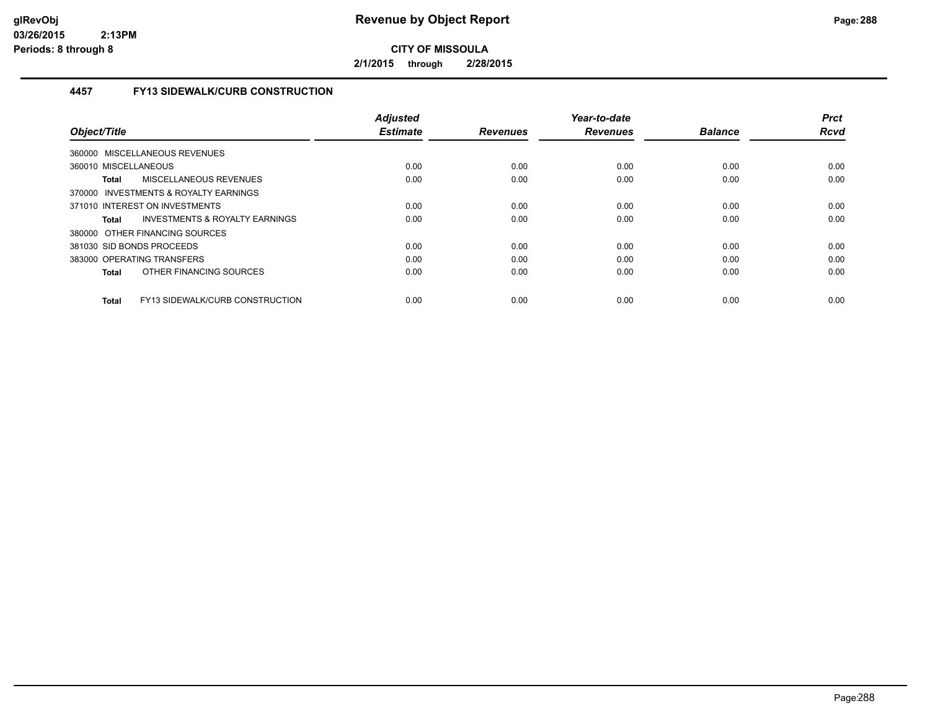**2/1/2015 through 2/28/2015**

### **4457 FY13 SIDEWALK/CURB CONSTRUCTION**

|                                                 | <b>Adjusted</b> |                 | Year-to-date    |                | <b>Prct</b> |
|-------------------------------------------------|-----------------|-----------------|-----------------|----------------|-------------|
| Object/Title                                    | <b>Estimate</b> | <b>Revenues</b> | <b>Revenues</b> | <b>Balance</b> | <b>Rcvd</b> |
| 360000 MISCELLANEOUS REVENUES                   |                 |                 |                 |                |             |
| 360010 MISCELLANEOUS                            | 0.00            | 0.00            | 0.00            | 0.00           | 0.00        |
| MISCELLANEOUS REVENUES<br><b>Total</b>          | 0.00            | 0.00            | 0.00            | 0.00           | 0.00        |
| 370000 INVESTMENTS & ROYALTY EARNINGS           |                 |                 |                 |                |             |
| 371010 INTEREST ON INVESTMENTS                  | 0.00            | 0.00            | 0.00            | 0.00           | 0.00        |
| INVESTMENTS & ROYALTY EARNINGS<br>Total         | 0.00            | 0.00            | 0.00            | 0.00           | 0.00        |
| 380000 OTHER FINANCING SOURCES                  |                 |                 |                 |                |             |
| 381030 SID BONDS PROCEEDS                       | 0.00            | 0.00            | 0.00            | 0.00           | 0.00        |
| 383000 OPERATING TRANSFERS                      | 0.00            | 0.00            | 0.00            | 0.00           | 0.00        |
| OTHER FINANCING SOURCES<br><b>Total</b>         | 0.00            | 0.00            | 0.00            | 0.00           | 0.00        |
| FY13 SIDEWALK/CURB CONSTRUCTION<br><b>Total</b> | 0.00            | 0.00            | 0.00            | 0.00           | 0.00        |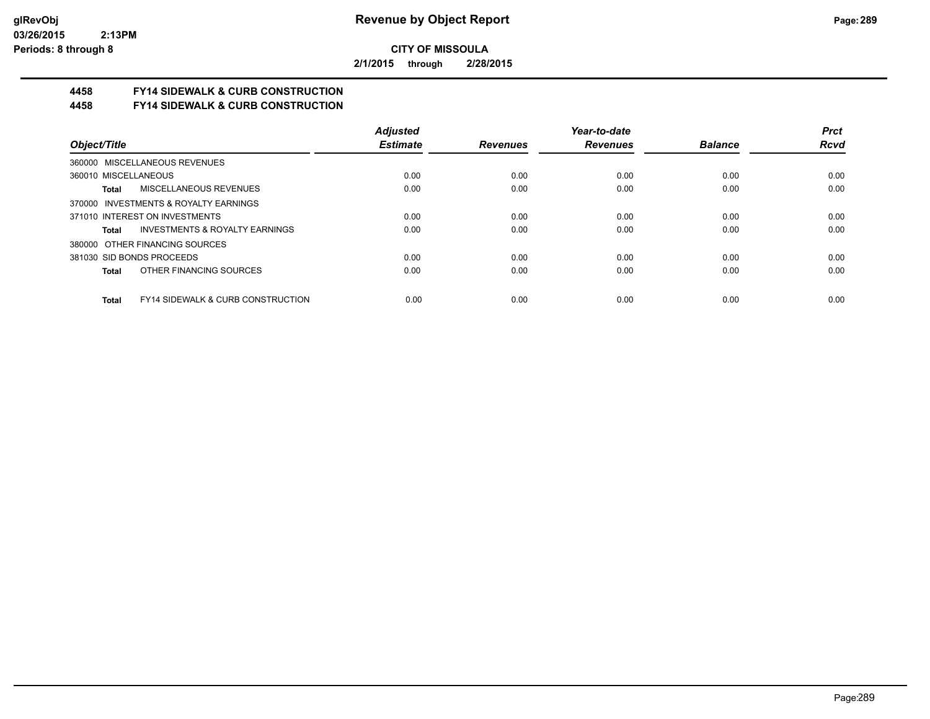**2/1/2015 through 2/28/2015**

# **4458 FY14 SIDEWALK & CURB CONSTRUCTION**

**4458 FY14 SIDEWALK & CURB CONSTRUCTION**

|                                                              | <b>Adjusted</b> |                 | Year-to-date    |                | <b>Prct</b> |
|--------------------------------------------------------------|-----------------|-----------------|-----------------|----------------|-------------|
| Object/Title                                                 | <b>Estimate</b> | <b>Revenues</b> | <b>Revenues</b> | <b>Balance</b> | <b>Rcvd</b> |
| 360000 MISCELLANEOUS REVENUES                                |                 |                 |                 |                |             |
| 360010 MISCELLANEOUS                                         | 0.00            | 0.00            | 0.00            | 0.00           | 0.00        |
| <b>MISCELLANEOUS REVENUES</b><br>Total                       | 0.00            | 0.00            | 0.00            | 0.00           | 0.00        |
| 370000 INVESTMENTS & ROYALTY EARNINGS                        |                 |                 |                 |                |             |
| 371010 INTEREST ON INVESTMENTS                               | 0.00            | 0.00            | 0.00            | 0.00           | 0.00        |
| INVESTMENTS & ROYALTY EARNINGS<br>Total                      | 0.00            | 0.00            | 0.00            | 0.00           | 0.00        |
| 380000 OTHER FINANCING SOURCES                               |                 |                 |                 |                |             |
| 381030 SID BONDS PROCEEDS                                    | 0.00            | 0.00            | 0.00            | 0.00           | 0.00        |
| OTHER FINANCING SOURCES<br><b>Total</b>                      | 0.00            | 0.00            | 0.00            | 0.00           | 0.00        |
|                                                              |                 |                 |                 |                |             |
| <b>FY14 SIDEWALK &amp; CURB CONSTRUCTION</b><br><b>Total</b> | 0.00            | 0.00            | 0.00            | 0.00           | 0.00        |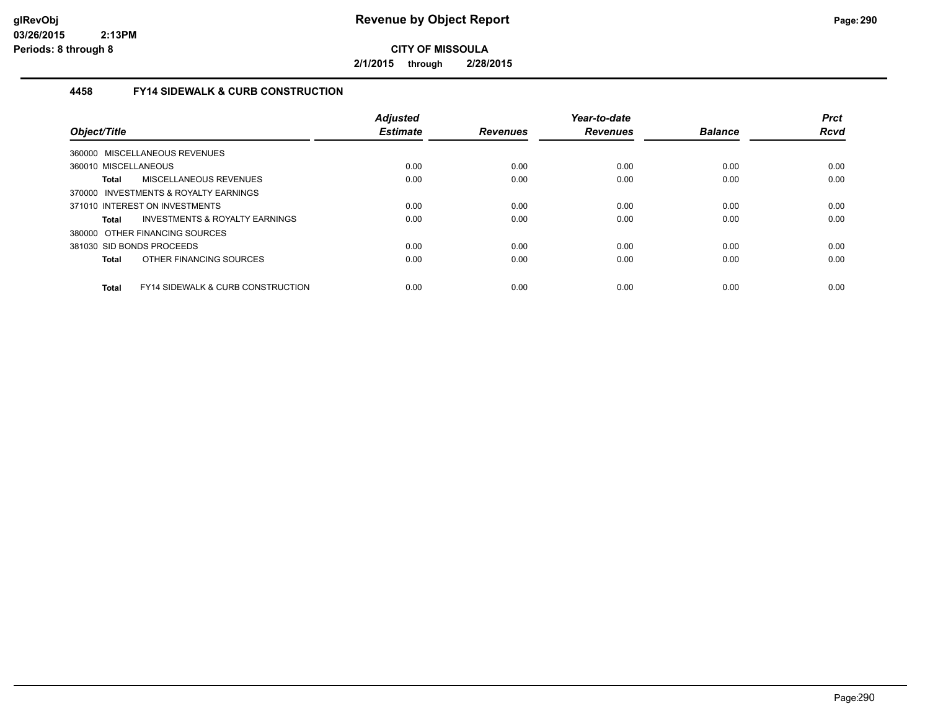**2/1/2015 through 2/28/2015**

## **4458 FY14 SIDEWALK & CURB CONSTRUCTION**

| Object/Title         |                                              | <b>Adjusted</b><br><b>Estimate</b> | <b>Revenues</b> | Year-to-date<br><b>Revenues</b> | <b>Balance</b> | <b>Prct</b><br><b>Rcvd</b> |
|----------------------|----------------------------------------------|------------------------------------|-----------------|---------------------------------|----------------|----------------------------|
|                      | 360000 MISCELLANEOUS REVENUES                |                                    |                 |                                 |                |                            |
| 360010 MISCELLANEOUS |                                              | 0.00                               | 0.00            | 0.00                            | 0.00           | 0.00                       |
| Total                | MISCELLANEOUS REVENUES                       | 0.00                               | 0.00            | 0.00                            | 0.00           | 0.00                       |
|                      | 370000 INVESTMENTS & ROYALTY EARNINGS        |                                    |                 |                                 |                |                            |
|                      | 371010 INTEREST ON INVESTMENTS               | 0.00                               | 0.00            | 0.00                            | 0.00           | 0.00                       |
| <b>Total</b>         | INVESTMENTS & ROYALTY EARNINGS               | 0.00                               | 0.00            | 0.00                            | 0.00           | 0.00                       |
|                      | 380000 OTHER FINANCING SOURCES               |                                    |                 |                                 |                |                            |
|                      | 381030 SID BONDS PROCEEDS                    | 0.00                               | 0.00            | 0.00                            | 0.00           | 0.00                       |
| Total                | OTHER FINANCING SOURCES                      | 0.00                               | 0.00            | 0.00                            | 0.00           | 0.00                       |
| Total                | <b>FY14 SIDEWALK &amp; CURB CONSTRUCTION</b> | 0.00                               | 0.00            | 0.00                            | 0.00           | 0.00                       |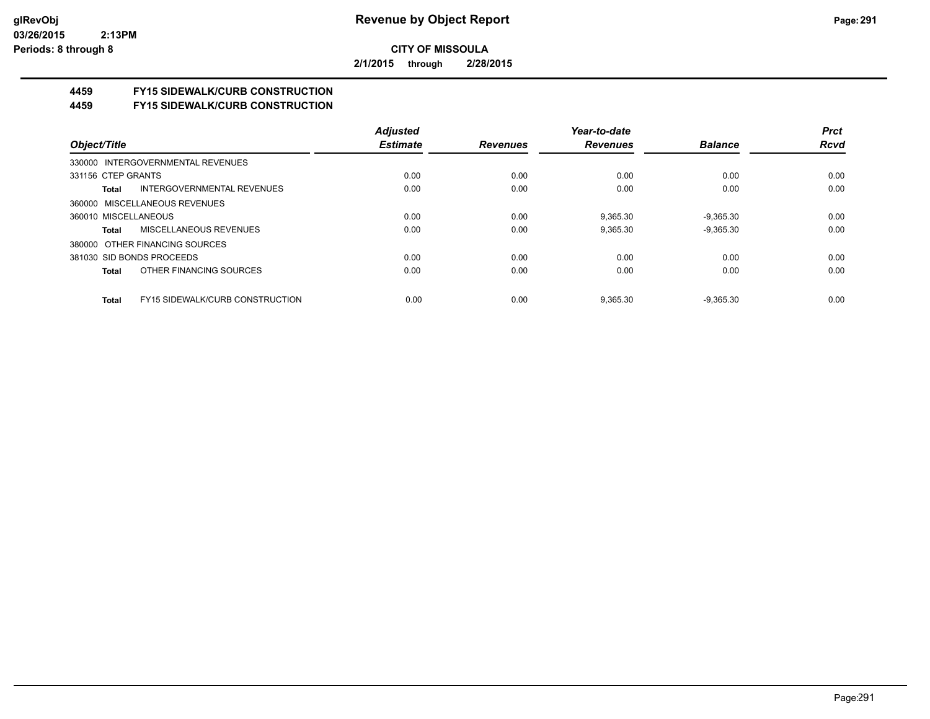**2/1/2015 through 2/28/2015**

# **4459 FY15 SIDEWALK/CURB CONSTRUCTION**

**4459 FY15 SIDEWALK/CURB CONSTRUCTION**

|                                                        | <b>Adjusted</b> |                 | Year-to-date    |                | <b>Prct</b> |
|--------------------------------------------------------|-----------------|-----------------|-----------------|----------------|-------------|
| Object/Title                                           | <b>Estimate</b> | <b>Revenues</b> | <b>Revenues</b> | <b>Balance</b> | <b>Rcvd</b> |
| 330000 INTERGOVERNMENTAL REVENUES                      |                 |                 |                 |                |             |
| 331156 CTEP GRANTS                                     | 0.00            | 0.00            | 0.00            | 0.00           | 0.00        |
| INTERGOVERNMENTAL REVENUES<br>Total                    | 0.00            | 0.00            | 0.00            | 0.00           | 0.00        |
| 360000 MISCELLANEOUS REVENUES                          |                 |                 |                 |                |             |
| 360010 MISCELLANEOUS                                   | 0.00            | 0.00            | 9.365.30        | $-9,365.30$    | 0.00        |
| <b>MISCELLANEOUS REVENUES</b><br>Total                 | 0.00            | 0.00            | 9,365.30        | $-9,365.30$    | 0.00        |
| 380000 OTHER FINANCING SOURCES                         |                 |                 |                 |                |             |
| 381030 SID BONDS PROCEEDS                              | 0.00            | 0.00            | 0.00            | 0.00           | 0.00        |
| OTHER FINANCING SOURCES<br>Total                       | 0.00            | 0.00            | 0.00            | 0.00           | 0.00        |
| <b>FY15 SIDEWALK/CURB CONSTRUCTION</b><br><b>Total</b> | 0.00            | 0.00            | 9.365.30        | $-9.365.30$    | 0.00        |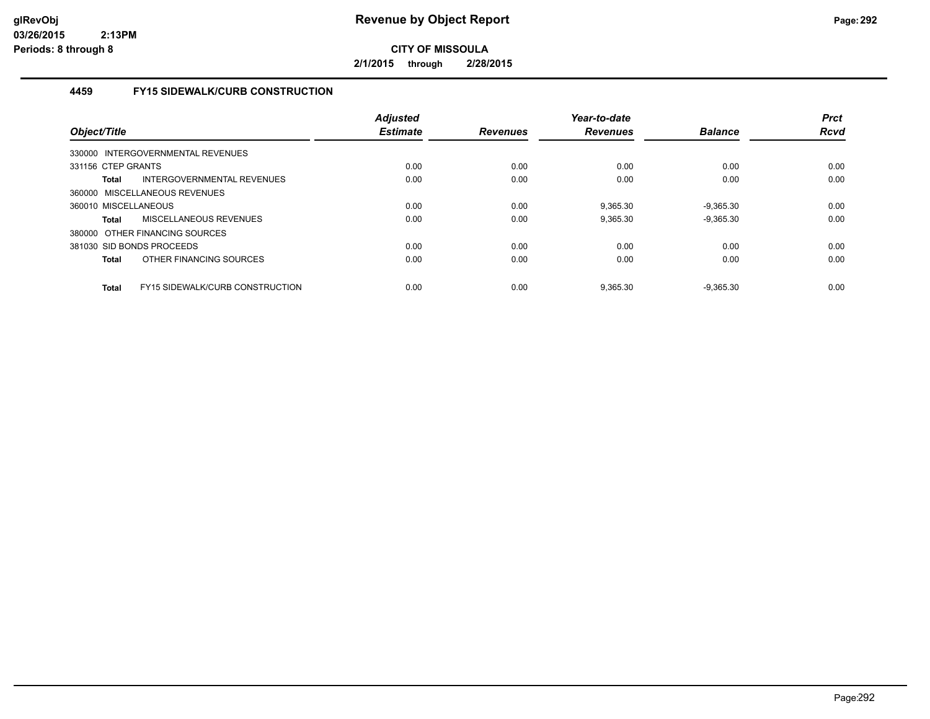**2/1/2015 through 2/28/2015**

## **4459 FY15 SIDEWALK/CURB CONSTRUCTION**

| Object/Title              |                                        | <b>Adjusted</b><br><b>Estimate</b> | <b>Revenues</b> | Year-to-date<br><b>Revenues</b> | <b>Balance</b> | <b>Prct</b><br><b>Rcvd</b> |
|---------------------------|----------------------------------------|------------------------------------|-----------------|---------------------------------|----------------|----------------------------|
|                           | 330000 INTERGOVERNMENTAL REVENUES      |                                    |                 |                                 |                |                            |
| 331156 CTEP GRANTS        |                                        | 0.00                               | 0.00            | 0.00                            | 0.00           | 0.00                       |
| <b>Total</b>              | INTERGOVERNMENTAL REVENUES             | 0.00                               | 0.00            | 0.00                            | 0.00           | 0.00                       |
|                           | 360000 MISCELLANEOUS REVENUES          |                                    |                 |                                 |                |                            |
| 360010 MISCELLANEOUS      |                                        | 0.00                               | 0.00            | 9.365.30                        | $-9,365.30$    | 0.00                       |
| <b>Total</b>              | MISCELLANEOUS REVENUES                 | 0.00                               | 0.00            | 9,365.30                        | $-9,365.30$    | 0.00                       |
|                           | 380000 OTHER FINANCING SOURCES         |                                    |                 |                                 |                |                            |
| 381030 SID BONDS PROCEEDS |                                        | 0.00                               | 0.00            | 0.00                            | 0.00           | 0.00                       |
| <b>Total</b>              | OTHER FINANCING SOURCES                | 0.00                               | 0.00            | 0.00                            | 0.00           | 0.00                       |
| <b>Total</b>              | <b>FY15 SIDEWALK/CURB CONSTRUCTION</b> | 0.00                               | 0.00            | 9.365.30                        | $-9.365.30$    | 0.00                       |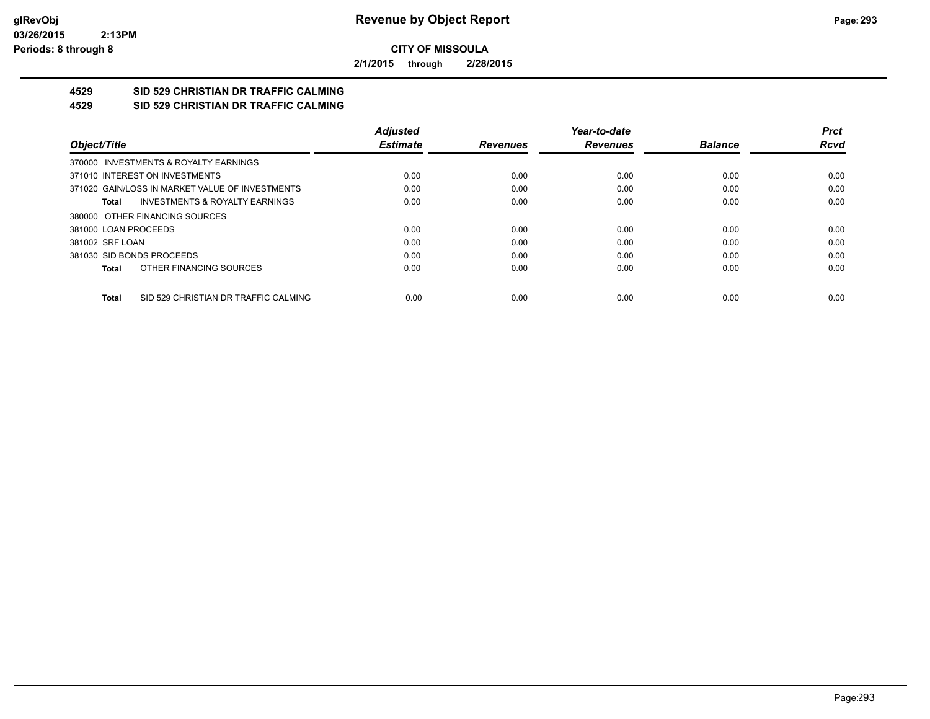**2/1/2015 through 2/28/2015**

#### **4529 SID 529 CHRISTIAN DR TRAFFIC CALMING 4529 SID 529 CHRISTIAN DR TRAFFIC CALMING**

|                                                      | <b>Adjusted</b> |                 | Year-to-date    |                | <b>Prct</b> |
|------------------------------------------------------|-----------------|-----------------|-----------------|----------------|-------------|
| Object/Title                                         | <b>Estimate</b> | <b>Revenues</b> | <b>Revenues</b> | <b>Balance</b> | <b>Rcvd</b> |
| 370000 INVESTMENTS & ROYALTY EARNINGS                |                 |                 |                 |                |             |
| 371010 INTEREST ON INVESTMENTS                       | 0.00            | 0.00            | 0.00            | 0.00           | 0.00        |
| 371020 GAIN/LOSS IN MARKET VALUE OF INVESTMENTS      | 0.00            | 0.00            | 0.00            | 0.00           | 0.00        |
| <b>INVESTMENTS &amp; ROYALTY EARNINGS</b><br>Total   | 0.00            | 0.00            | 0.00            | 0.00           | 0.00        |
| 380000 OTHER FINANCING SOURCES                       |                 |                 |                 |                |             |
| 381000 LOAN PROCEEDS                                 | 0.00            | 0.00            | 0.00            | 0.00           | 0.00        |
| 381002 SRF LOAN                                      | 0.00            | 0.00            | 0.00            | 0.00           | 0.00        |
| 381030 SID BONDS PROCEEDS                            | 0.00            | 0.00            | 0.00            | 0.00           | 0.00        |
| OTHER FINANCING SOURCES<br>Total                     | 0.00            | 0.00            | 0.00            | 0.00           | 0.00        |
|                                                      |                 |                 |                 |                |             |
| SID 529 CHRISTIAN DR TRAFFIC CALMING<br><b>Total</b> | 0.00            | 0.00            | 0.00            | 0.00           | 0.00        |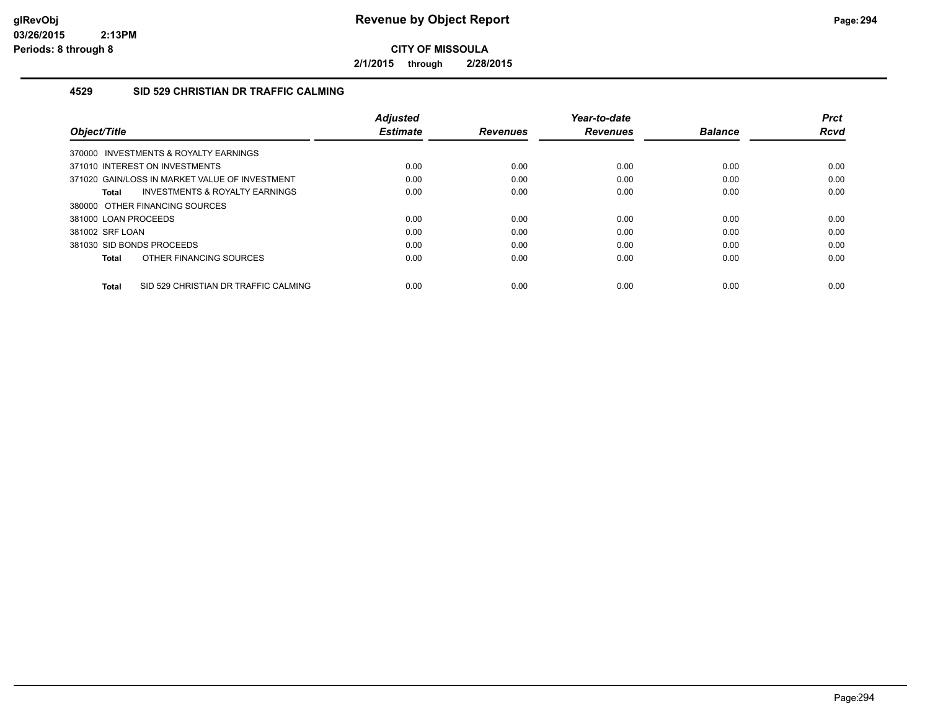**2/1/2015 through 2/28/2015**

### **4529 SID 529 CHRISTIAN DR TRAFFIC CALMING**

| Object/Title                                       | <b>Adjusted</b><br><b>Estimate</b> | <b>Revenues</b> | Year-to-date<br><b>Revenues</b> | <b>Balance</b> | <b>Prct</b><br>Rcvd |
|----------------------------------------------------|------------------------------------|-----------------|---------------------------------|----------------|---------------------|
| 370000 INVESTMENTS & ROYALTY EARNINGS              |                                    |                 |                                 |                |                     |
| 371010 INTEREST ON INVESTMENTS                     | 0.00                               | 0.00            | 0.00                            | 0.00           | 0.00                |
| 371020 GAIN/LOSS IN MARKET VALUE OF INVESTMENT     | 0.00                               | 0.00            | 0.00                            | 0.00           | 0.00                |
| <b>INVESTMENTS &amp; ROYALTY EARNINGS</b><br>Total | 0.00                               | 0.00            | 0.00                            | 0.00           | 0.00                |
| 380000 OTHER FINANCING SOURCES                     |                                    |                 |                                 |                |                     |
| 381000 LOAN PROCEEDS                               | 0.00                               | 0.00            | 0.00                            | 0.00           | 0.00                |
| 381002 SRF LOAN                                    | 0.00                               | 0.00            | 0.00                            | 0.00           | 0.00                |
| 381030 SID BONDS PROCEEDS                          | 0.00                               | 0.00            | 0.00                            | 0.00           | 0.00                |
| OTHER FINANCING SOURCES<br>Total                   | 0.00                               | 0.00            | 0.00                            | 0.00           | 0.00                |
| SID 529 CHRISTIAN DR TRAFFIC CALMING<br>Total      | 0.00                               | 0.00            | 0.00                            | 0.00           | 0.00                |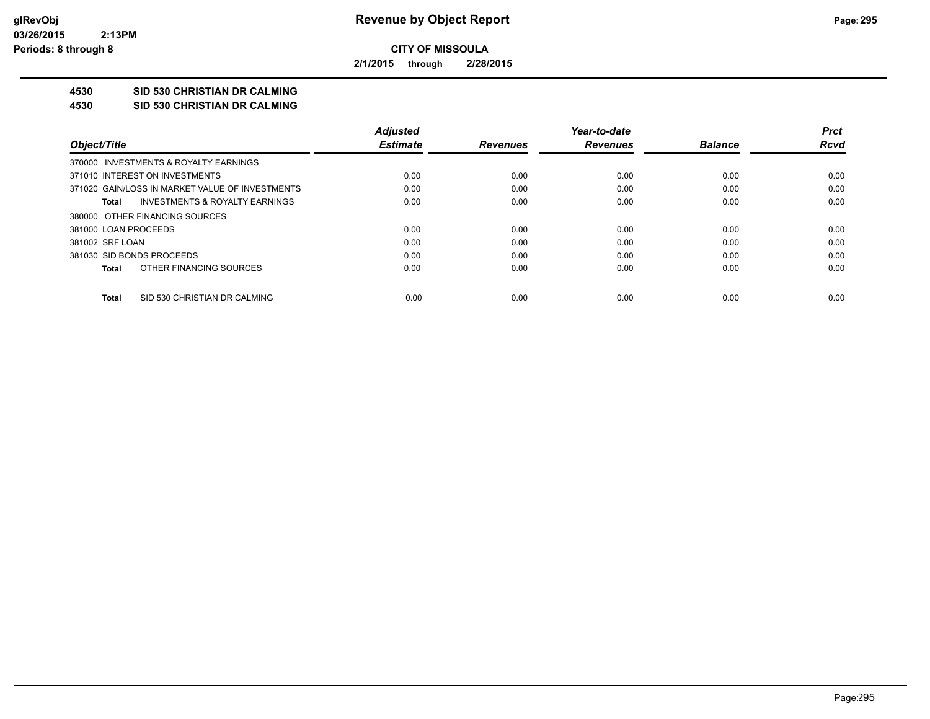**2/1/2015 through 2/28/2015**

## **4530 SID 530 CHRISTIAN DR CALMING**

**4530 SID 530 CHRISTIAN DR CALMING**

|                                                 | <b>Adjusted</b> |                 | Year-to-date    |                | <b>Prct</b> |
|-------------------------------------------------|-----------------|-----------------|-----------------|----------------|-------------|
| Object/Title                                    | <b>Estimate</b> | <b>Revenues</b> | <b>Revenues</b> | <b>Balance</b> | Rcvd        |
| 370000 INVESTMENTS & ROYALTY EARNINGS           |                 |                 |                 |                |             |
| 371010 INTEREST ON INVESTMENTS                  | 0.00            | 0.00            | 0.00            | 0.00           | 0.00        |
| 371020 GAIN/LOSS IN MARKET VALUE OF INVESTMENTS | 0.00            | 0.00            | 0.00            | 0.00           | 0.00        |
| INVESTMENTS & ROYALTY EARNINGS<br>Total         | 0.00            | 0.00            | 0.00            | 0.00           | 0.00        |
| 380000 OTHER FINANCING SOURCES                  |                 |                 |                 |                |             |
| 381000 LOAN PROCEEDS                            | 0.00            | 0.00            | 0.00            | 0.00           | 0.00        |
| 381002 SRF LOAN                                 | 0.00            | 0.00            | 0.00            | 0.00           | 0.00        |
| 381030 SID BONDS PROCEEDS                       | 0.00            | 0.00            | 0.00            | 0.00           | 0.00        |
| OTHER FINANCING SOURCES<br>Total                | 0.00            | 0.00            | 0.00            | 0.00           | 0.00        |
| SID 530 CHRISTIAN DR CALMING<br>Total           | 0.00            | 0.00            | 0.00            | 0.00           | 0.00        |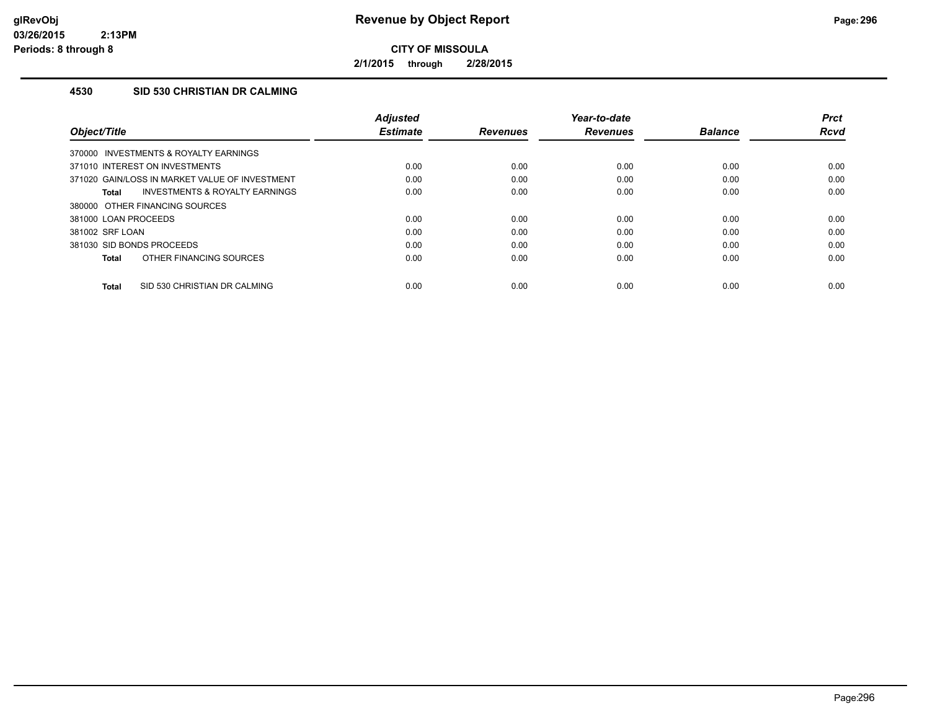**2/1/2015 through 2/28/2015**

## **4530 SID 530 CHRISTIAN DR CALMING**

| Object/Title                                   | <b>Adjusted</b><br><b>Estimate</b> | <b>Revenues</b> | Year-to-date<br><b>Revenues</b> | <b>Balance</b> | <b>Prct</b><br><b>Rcvd</b> |
|------------------------------------------------|------------------------------------|-----------------|---------------------------------|----------------|----------------------------|
| 370000 INVESTMENTS & ROYALTY EARNINGS          |                                    |                 |                                 |                |                            |
| 371010 INTEREST ON INVESTMENTS                 | 0.00                               | 0.00            | 0.00                            | 0.00           | 0.00                       |
| 371020 GAIN/LOSS IN MARKET VALUE OF INVESTMENT | 0.00                               | 0.00            | 0.00                            | 0.00           | 0.00                       |
| INVESTMENTS & ROYALTY EARNINGS<br>Total        | 0.00                               | 0.00            | 0.00                            | 0.00           | 0.00                       |
| 380000 OTHER FINANCING SOURCES                 |                                    |                 |                                 |                |                            |
| 381000 LOAN PROCEEDS                           | 0.00                               | 0.00            | 0.00                            | 0.00           | 0.00                       |
| 381002 SRF LOAN                                | 0.00                               | 0.00            | 0.00                            | 0.00           | 0.00                       |
| 381030 SID BONDS PROCEEDS                      | 0.00                               | 0.00            | 0.00                            | 0.00           | 0.00                       |
| OTHER FINANCING SOURCES<br><b>Total</b>        | 0.00                               | 0.00            | 0.00                            | 0.00           | 0.00                       |
| SID 530 CHRISTIAN DR CALMING<br><b>Total</b>   | 0.00                               | 0.00            | 0.00                            | 0.00           | 0.00                       |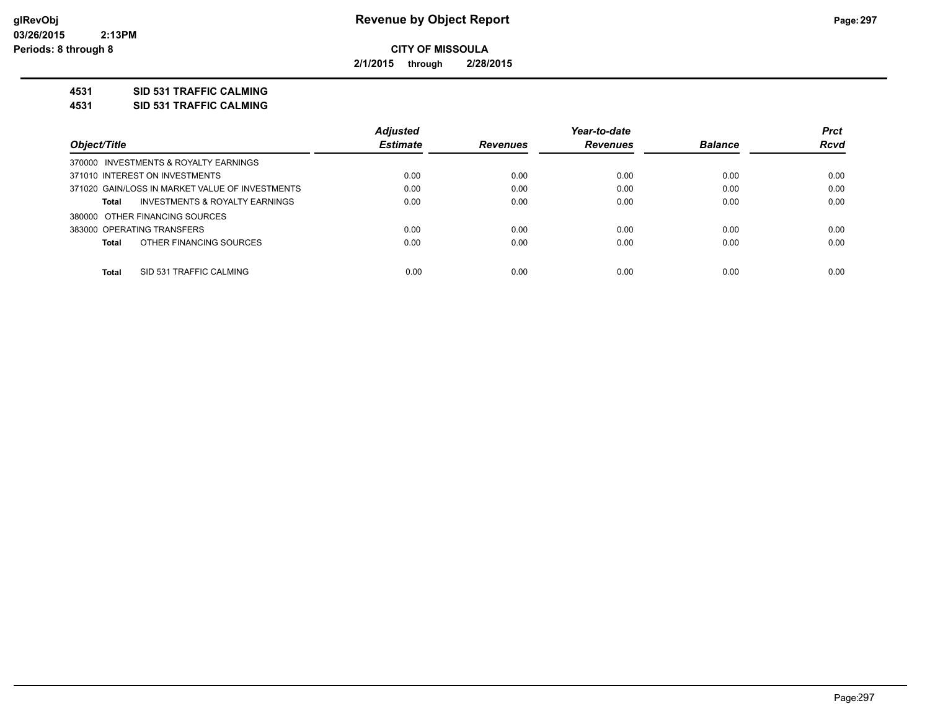**2/1/2015 through 2/28/2015**

### **4531 SID 531 TRAFFIC CALMING**

**4531 SID 531 TRAFFIC CALMING**

|                                                 | <b>Adjusted</b> |                 | Year-to-date    |                | <b>Prct</b> |
|-------------------------------------------------|-----------------|-----------------|-----------------|----------------|-------------|
| Object/Title                                    | <b>Estimate</b> | <b>Revenues</b> | <b>Revenues</b> | <b>Balance</b> | <b>Rcvd</b> |
| 370000 INVESTMENTS & ROYALTY EARNINGS           |                 |                 |                 |                |             |
| 371010 INTEREST ON INVESTMENTS                  | 0.00            | 0.00            | 0.00            | 0.00           | 0.00        |
| 371020 GAIN/LOSS IN MARKET VALUE OF INVESTMENTS | 0.00            | 0.00            | 0.00            | 0.00           | 0.00        |
| INVESTMENTS & ROYALTY EARNINGS<br>Total         | 0.00            | 0.00            | 0.00            | 0.00           | 0.00        |
| 380000 OTHER FINANCING SOURCES                  |                 |                 |                 |                |             |
| 383000 OPERATING TRANSFERS                      | 0.00            | 0.00            | 0.00            | 0.00           | 0.00        |
| OTHER FINANCING SOURCES<br>Total                | 0.00            | 0.00            | 0.00            | 0.00           | 0.00        |
|                                                 |                 |                 |                 |                |             |
| Total<br>SID 531 TRAFFIC CALMING                | 0.00            | 0.00            | 0.00            | 0.00           | 0.00        |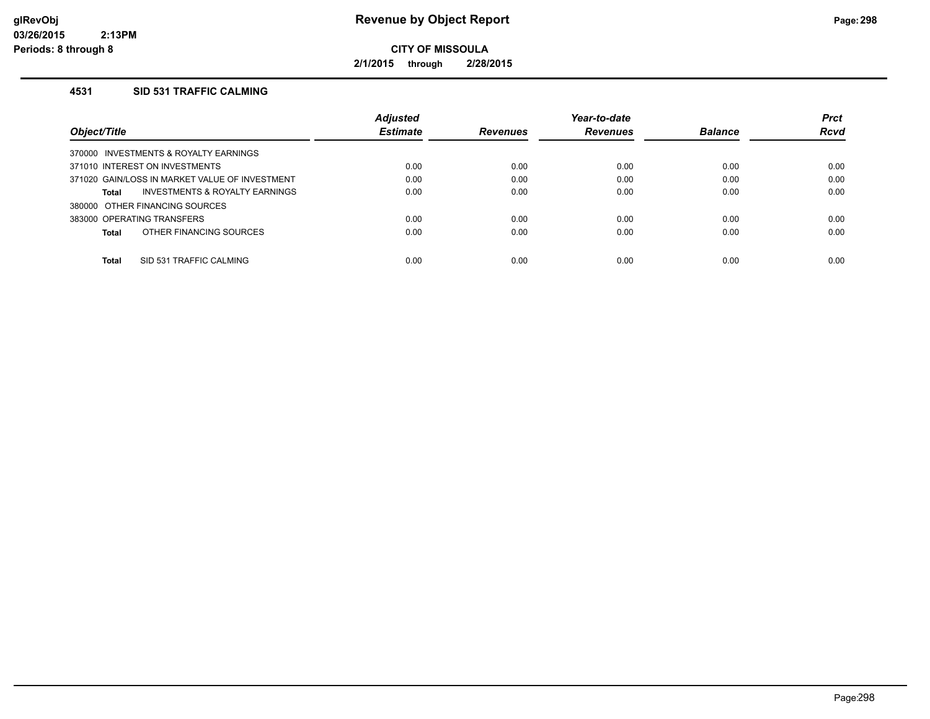**2/1/2015 through 2/28/2015**

## **4531 SID 531 TRAFFIC CALMING**

|                                                | <b>Adjusted</b> |                 | Year-to-date    |                | <b>Prct</b> |
|------------------------------------------------|-----------------|-----------------|-----------------|----------------|-------------|
| Object/Title                                   | <b>Estimate</b> | <b>Revenues</b> | <b>Revenues</b> | <b>Balance</b> | <b>Rcvd</b> |
| 370000 INVESTMENTS & ROYALTY EARNINGS          |                 |                 |                 |                |             |
| 371010 INTEREST ON INVESTMENTS                 | 0.00            | 0.00            | 0.00            | 0.00           | 0.00        |
| 371020 GAIN/LOSS IN MARKET VALUE OF INVESTMENT | 0.00            | 0.00            | 0.00            | 0.00           | 0.00        |
| INVESTMENTS & ROYALTY EARNINGS<br>Total        | 0.00            | 0.00            | 0.00            | 0.00           | 0.00        |
| 380000 OTHER FINANCING SOURCES                 |                 |                 |                 |                |             |
| 383000 OPERATING TRANSFERS                     | 0.00            | 0.00            | 0.00            | 0.00           | 0.00        |
| OTHER FINANCING SOURCES<br>Total               | 0.00            | 0.00            | 0.00            | 0.00           | 0.00        |
|                                                |                 |                 |                 |                |             |
| Total<br>SID 531 TRAFFIC CALMING               | 0.00            | 0.00            | 0.00            | 0.00           | 0.00        |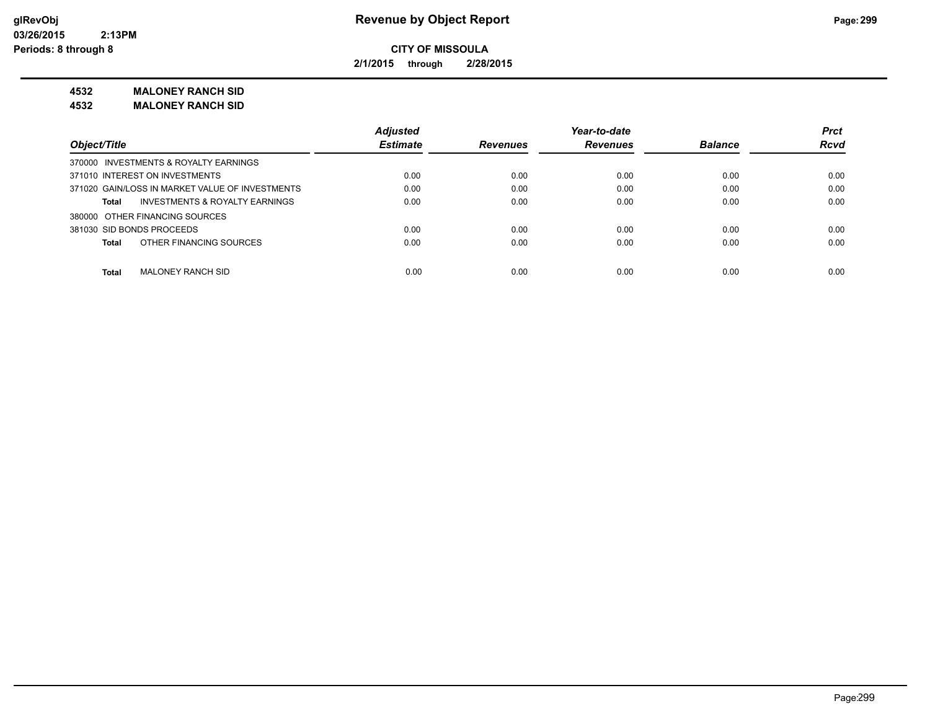**2/1/2015 through 2/28/2015**

## **4532 MALONEY RANCH SID**

**4532 MALONEY RANCH SID**

|                                                 | <b>Adjusted</b> |                 | Year-to-date    |                | <b>Prct</b> |
|-------------------------------------------------|-----------------|-----------------|-----------------|----------------|-------------|
| Object/Title                                    | <b>Estimate</b> | <b>Revenues</b> | <b>Revenues</b> | <b>Balance</b> | <b>Rcvd</b> |
| 370000 INVESTMENTS & ROYALTY EARNINGS           |                 |                 |                 |                |             |
| 371010 INTEREST ON INVESTMENTS                  | 0.00            | 0.00            | 0.00            | 0.00           | 0.00        |
| 371020 GAIN/LOSS IN MARKET VALUE OF INVESTMENTS | 0.00            | 0.00            | 0.00            | 0.00           | 0.00        |
| INVESTMENTS & ROYALTY EARNINGS<br>Total         | 0.00            | 0.00            | 0.00            | 0.00           | 0.00        |
| 380000 OTHER FINANCING SOURCES                  |                 |                 |                 |                |             |
| 381030 SID BONDS PROCEEDS                       | 0.00            | 0.00            | 0.00            | 0.00           | 0.00        |
| OTHER FINANCING SOURCES<br>Total                | 0.00            | 0.00            | 0.00            | 0.00           | 0.00        |
|                                                 |                 |                 |                 |                |             |
| <b>Total</b><br>MALONEY RANCH SID               | 0.00            | 0.00            | 0.00            | 0.00           | 0.00        |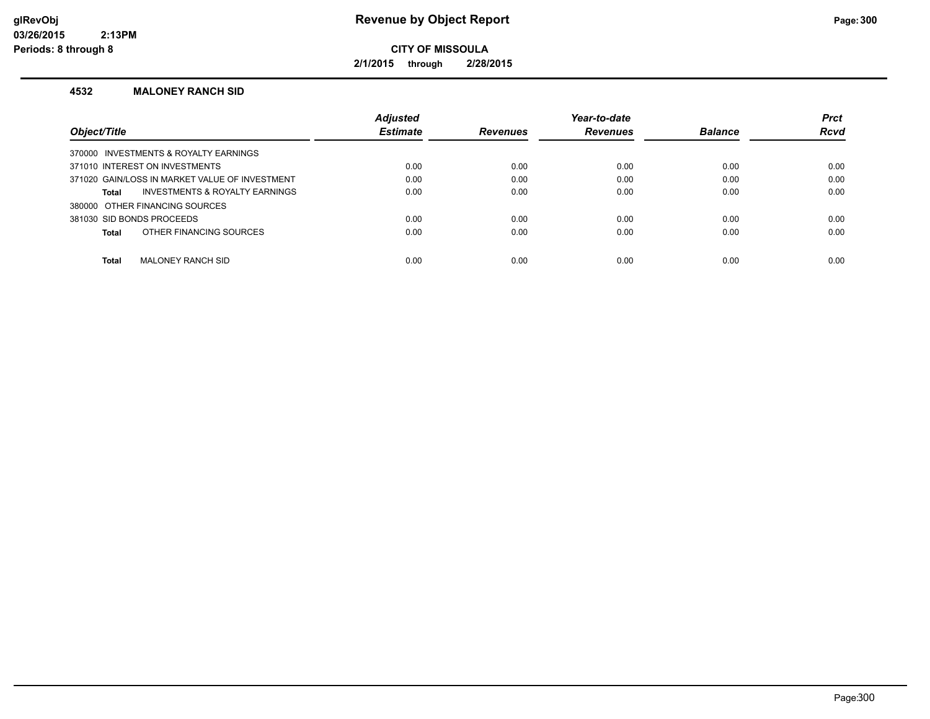## **glRevObj Revenue by Object Report Page:300**

**CITY OF MISSOULA**

**2/1/2015 through 2/28/2015**

### **4532 MALONEY RANCH SID**

|                                                | <b>Adjusted</b> |                 | Year-to-date    |                | <b>Prct</b> |
|------------------------------------------------|-----------------|-----------------|-----------------|----------------|-------------|
| Object/Title                                   | <b>Estimate</b> | <b>Revenues</b> | <b>Revenues</b> | <b>Balance</b> | <b>Rcvd</b> |
| 370000 INVESTMENTS & ROYALTY EARNINGS          |                 |                 |                 |                |             |
| 371010 INTEREST ON INVESTMENTS                 | 0.00            | 0.00            | 0.00            | 0.00           | 0.00        |
| 371020 GAIN/LOSS IN MARKET VALUE OF INVESTMENT | 0.00            | 0.00            | 0.00            | 0.00           | 0.00        |
| INVESTMENTS & ROYALTY EARNINGS<br>Total        | 0.00            | 0.00            | 0.00            | 0.00           | 0.00        |
| 380000 OTHER FINANCING SOURCES                 |                 |                 |                 |                |             |
| 381030 SID BONDS PROCEEDS                      | 0.00            | 0.00            | 0.00            | 0.00           | 0.00        |
| OTHER FINANCING SOURCES<br>Total               | 0.00            | 0.00            | 0.00            | 0.00           | 0.00        |
|                                                |                 |                 |                 |                |             |
| <b>Total</b><br>MALONEY RANCH SID              | 0.00            | 0.00            | 0.00            | 0.00           | 0.00        |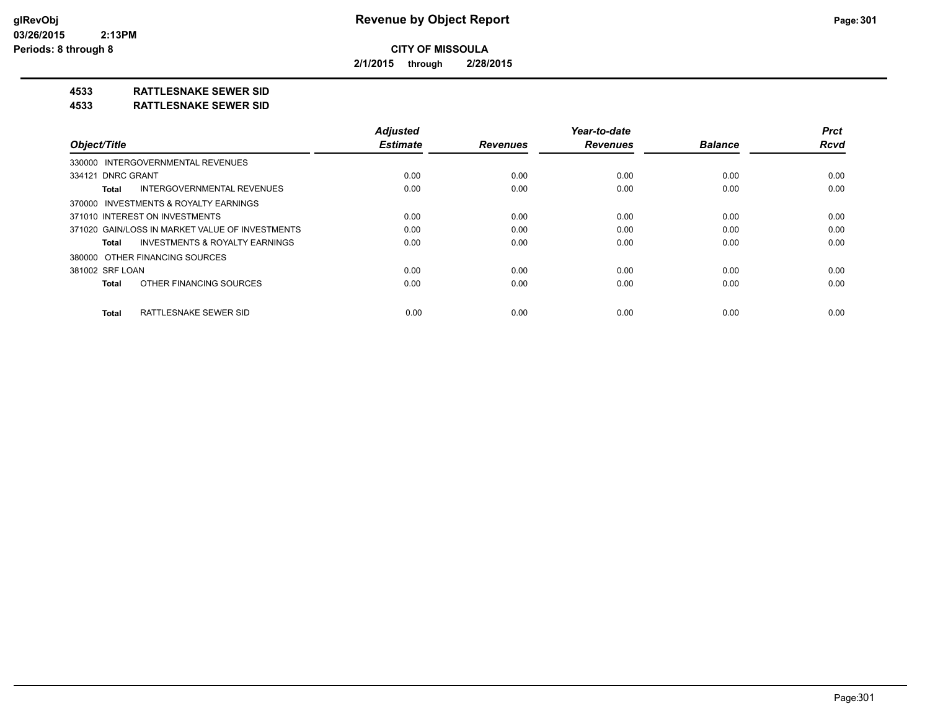**2/1/2015 through 2/28/2015**

## **4533 RATTLESNAKE SEWER SID**

#### **4533 RATTLESNAKE SEWER SID**

|                                                    | <b>Adjusted</b> |                 | Year-to-date    |                | <b>Prct</b> |
|----------------------------------------------------|-----------------|-----------------|-----------------|----------------|-------------|
| Object/Title                                       | <b>Estimate</b> | <b>Revenues</b> | <b>Revenues</b> | <b>Balance</b> | <b>Rcvd</b> |
| 330000 INTERGOVERNMENTAL REVENUES                  |                 |                 |                 |                |             |
| 334121 DNRC GRANT                                  | 0.00            | 0.00            | 0.00            | 0.00           | 0.00        |
| INTERGOVERNMENTAL REVENUES<br>Total                | 0.00            | 0.00            | 0.00            | 0.00           | 0.00        |
| 370000 INVESTMENTS & ROYALTY EARNINGS              |                 |                 |                 |                |             |
| 371010 INTEREST ON INVESTMENTS                     | 0.00            | 0.00            | 0.00            | 0.00           | 0.00        |
| 371020 GAIN/LOSS IN MARKET VALUE OF INVESTMENTS    | 0.00            | 0.00            | 0.00            | 0.00           | 0.00        |
| <b>INVESTMENTS &amp; ROYALTY EARNINGS</b><br>Total | 0.00            | 0.00            | 0.00            | 0.00           | 0.00        |
| 380000 OTHER FINANCING SOURCES                     |                 |                 |                 |                |             |
| 381002 SRF LOAN                                    | 0.00            | 0.00            | 0.00            | 0.00           | 0.00        |
| OTHER FINANCING SOURCES<br>Total                   | 0.00            | 0.00            | 0.00            | 0.00           | 0.00        |
| <b>RATTLESNAKE SEWER SID</b><br><b>Total</b>       | 0.00            | 0.00            | 0.00            | 0.00           | 0.00        |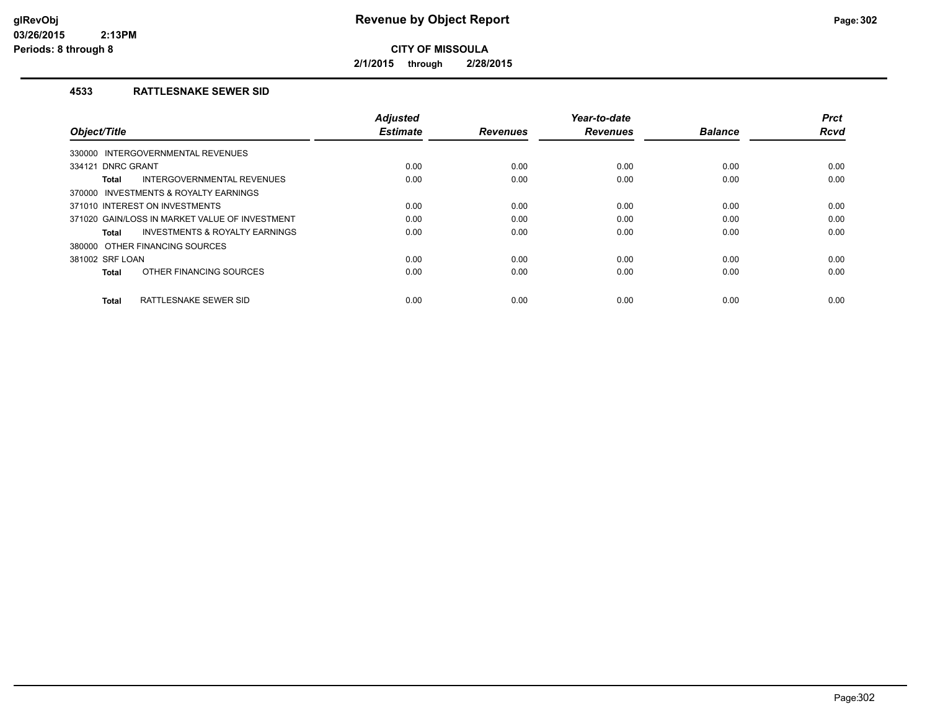**2/1/2015 through 2/28/2015**

## **4533 RATTLESNAKE SEWER SID**

| Object/Title                                       | <b>Adjusted</b><br><b>Estimate</b> | <b>Revenues</b> | Year-to-date<br><b>Revenues</b> | <b>Balance</b> | <b>Prct</b><br>Rcvd |
|----------------------------------------------------|------------------------------------|-----------------|---------------------------------|----------------|---------------------|
|                                                    |                                    |                 |                                 |                |                     |
| 330000 INTERGOVERNMENTAL REVENUES                  |                                    |                 |                                 |                |                     |
| 334121 DNRC GRANT                                  | 0.00                               | 0.00            | 0.00                            | 0.00           | 0.00                |
| INTERGOVERNMENTAL REVENUES<br>Total                | 0.00                               | 0.00            | 0.00                            | 0.00           | 0.00                |
| 370000 INVESTMENTS & ROYALTY EARNINGS              |                                    |                 |                                 |                |                     |
| 371010 INTEREST ON INVESTMENTS                     | 0.00                               | 0.00            | 0.00                            | 0.00           | 0.00                |
| 371020 GAIN/LOSS IN MARKET VALUE OF INVESTMENT     | 0.00                               | 0.00            | 0.00                            | 0.00           | 0.00                |
| <b>INVESTMENTS &amp; ROYALTY EARNINGS</b><br>Total | 0.00                               | 0.00            | 0.00                            | 0.00           | 0.00                |
| 380000 OTHER FINANCING SOURCES                     |                                    |                 |                                 |                |                     |
| 381002 SRF LOAN                                    | 0.00                               | 0.00            | 0.00                            | 0.00           | 0.00                |
| OTHER FINANCING SOURCES<br>Total                   | 0.00                               | 0.00            | 0.00                            | 0.00           | 0.00                |
|                                                    |                                    |                 |                                 |                |                     |
| <b>RATTLESNAKE SEWER SID</b><br>Total              | 0.00                               | 0.00            | 0.00                            | 0.00           | 0.00                |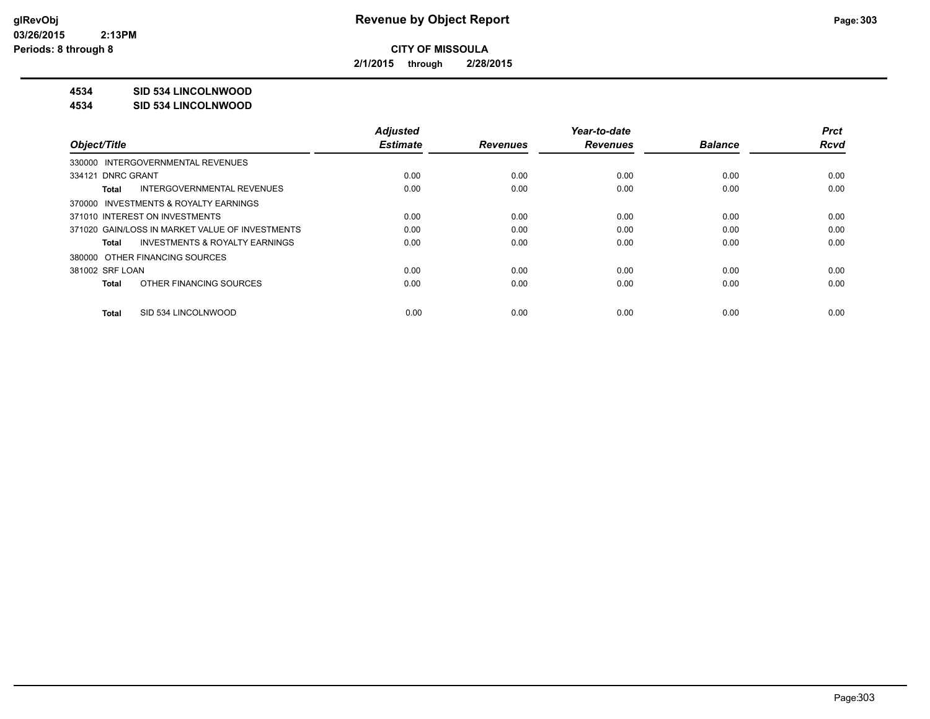**2/1/2015 through 2/28/2015**

## **4534 SID 534 LINCOLNWOOD**

#### **4534 SID 534 LINCOLNWOOD**

|                                                 | <b>Adjusted</b> |                 | Year-to-date    |                | <b>Prct</b> |
|-------------------------------------------------|-----------------|-----------------|-----------------|----------------|-------------|
| Object/Title                                    | <b>Estimate</b> | <b>Revenues</b> | <b>Revenues</b> | <b>Balance</b> | <b>Rcvd</b> |
| 330000 INTERGOVERNMENTAL REVENUES               |                 |                 |                 |                |             |
| 334121 DNRC GRANT                               | 0.00            | 0.00            | 0.00            | 0.00           | 0.00        |
| <b>INTERGOVERNMENTAL REVENUES</b><br>Total      | 0.00            | 0.00            | 0.00            | 0.00           | 0.00        |
| 370000 INVESTMENTS & ROYALTY EARNINGS           |                 |                 |                 |                |             |
| 371010 INTEREST ON INVESTMENTS                  | 0.00            | 0.00            | 0.00            | 0.00           | 0.00        |
| 371020 GAIN/LOSS IN MARKET VALUE OF INVESTMENTS | 0.00            | 0.00            | 0.00            | 0.00           | 0.00        |
| INVESTMENTS & ROYALTY EARNINGS<br>Total         | 0.00            | 0.00            | 0.00            | 0.00           | 0.00        |
| 380000 OTHER FINANCING SOURCES                  |                 |                 |                 |                |             |
| 381002 SRF LOAN                                 | 0.00            | 0.00            | 0.00            | 0.00           | 0.00        |
| OTHER FINANCING SOURCES<br>Total                | 0.00            | 0.00            | 0.00            | 0.00           | 0.00        |
|                                                 |                 |                 |                 |                |             |
| SID 534 LINCOLNWOOD<br>Total                    | 0.00            | 0.00            | 0.00            | 0.00           | 0.00        |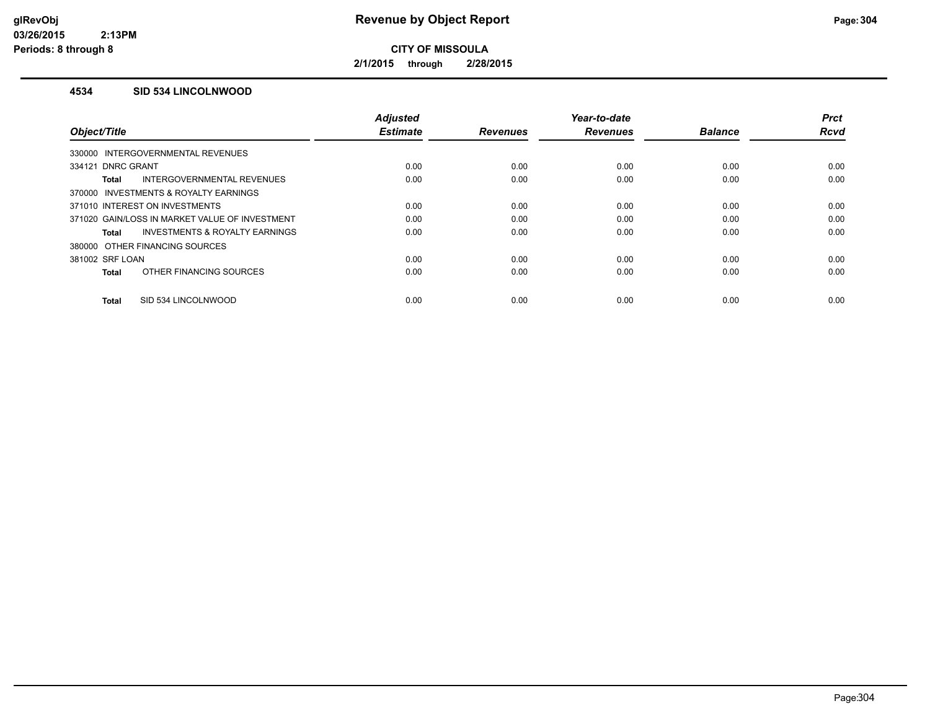**2/1/2015 through 2/28/2015**

### **4534 SID 534 LINCOLNWOOD**

|                                                | <b>Adjusted</b> |                 | Year-to-date    |                | <b>Prct</b> |
|------------------------------------------------|-----------------|-----------------|-----------------|----------------|-------------|
| Object/Title                                   | <b>Estimate</b> | <b>Revenues</b> | <b>Revenues</b> | <b>Balance</b> | <b>Rcvd</b> |
| 330000 INTERGOVERNMENTAL REVENUES              |                 |                 |                 |                |             |
| 334121 DNRC GRANT                              | 0.00            | 0.00            | 0.00            | 0.00           | 0.00        |
| INTERGOVERNMENTAL REVENUES<br>Total            | 0.00            | 0.00            | 0.00            | 0.00           | 0.00        |
| 370000 INVESTMENTS & ROYALTY EARNINGS          |                 |                 |                 |                |             |
| 371010 INTEREST ON INVESTMENTS                 | 0.00            | 0.00            | 0.00            | 0.00           | 0.00        |
| 371020 GAIN/LOSS IN MARKET VALUE OF INVESTMENT | 0.00            | 0.00            | 0.00            | 0.00           | 0.00        |
| INVESTMENTS & ROYALTY EARNINGS<br>Total        | 0.00            | 0.00            | 0.00            | 0.00           | 0.00        |
| 380000 OTHER FINANCING SOURCES                 |                 |                 |                 |                |             |
| 381002 SRF LOAN                                | 0.00            | 0.00            | 0.00            | 0.00           | 0.00        |
| OTHER FINANCING SOURCES<br><b>Total</b>        | 0.00            | 0.00            | 0.00            | 0.00           | 0.00        |
| SID 534 LINCOLNWOOD<br><b>Total</b>            | 0.00            | 0.00            | 0.00            | 0.00           | 0.00        |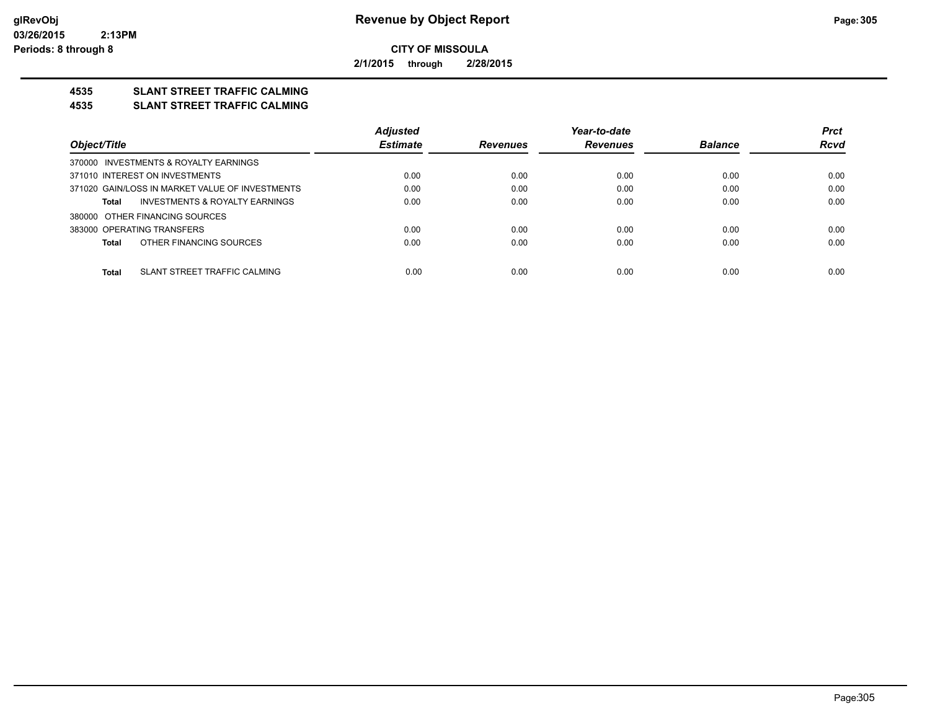**2/1/2015 through 2/28/2015**

## **4535 SLANT STREET TRAFFIC CALMING**

#### **4535 SLANT STREET TRAFFIC CALMING**

|                                                 | <b>Adjusted</b> |                 | Year-to-date    |                | <b>Prct</b> |
|-------------------------------------------------|-----------------|-----------------|-----------------|----------------|-------------|
| Object/Title                                    | <b>Estimate</b> | <b>Revenues</b> | <b>Revenues</b> | <b>Balance</b> | <b>Rcvd</b> |
| 370000 INVESTMENTS & ROYALTY EARNINGS           |                 |                 |                 |                |             |
| 371010 INTEREST ON INVESTMENTS                  | 0.00            | 0.00            | 0.00            | 0.00           | 0.00        |
| 371020 GAIN/LOSS IN MARKET VALUE OF INVESTMENTS | 0.00            | 0.00            | 0.00            | 0.00           | 0.00        |
| INVESTMENTS & ROYALTY EARNINGS<br>Total         | 0.00            | 0.00            | 0.00            | 0.00           | 0.00        |
| 380000 OTHER FINANCING SOURCES                  |                 |                 |                 |                |             |
| 383000 OPERATING TRANSFERS                      | 0.00            | 0.00            | 0.00            | 0.00           | 0.00        |
| OTHER FINANCING SOURCES<br>Total                | 0.00            | 0.00            | 0.00            | 0.00           | 0.00        |
|                                                 |                 |                 |                 |                |             |
| SLANT STREET TRAFFIC CALMING<br>Total           | 0.00            | 0.00            | 0.00            | 0.00           | 0.00        |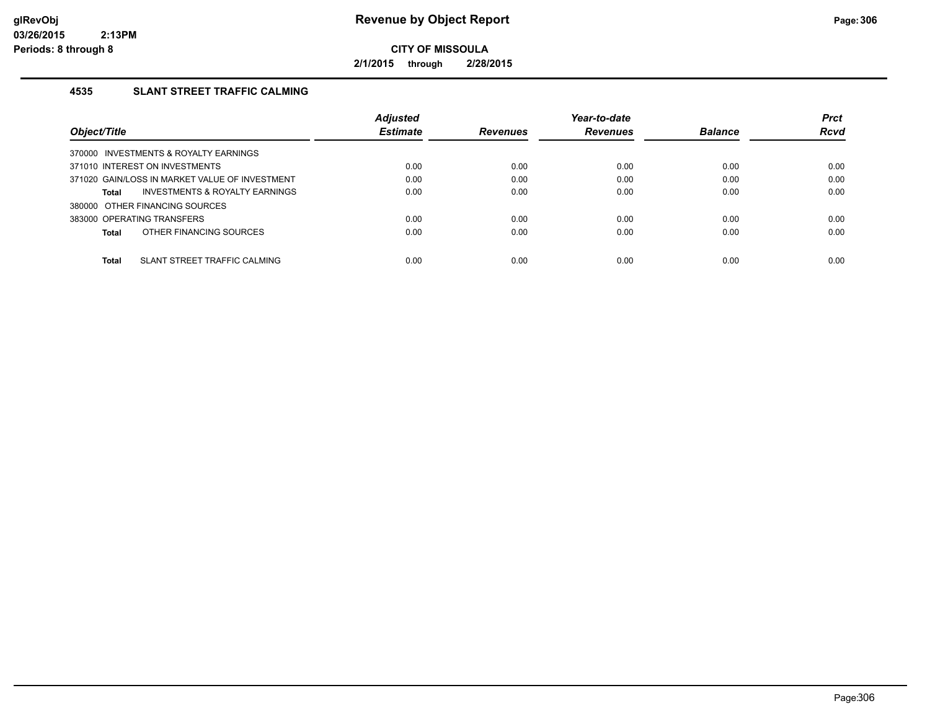**2/1/2015 through 2/28/2015**

## **4535 SLANT STREET TRAFFIC CALMING**

|                                                    | <b>Adjusted</b> |                 | Year-to-date    |                | <b>Prct</b> |
|----------------------------------------------------|-----------------|-----------------|-----------------|----------------|-------------|
| Object/Title                                       | <b>Estimate</b> | <b>Revenues</b> | <b>Revenues</b> | <b>Balance</b> | Rcvd        |
| 370000 INVESTMENTS & ROYALTY EARNINGS              |                 |                 |                 |                |             |
| 371010 INTEREST ON INVESTMENTS                     | 0.00            | 0.00            | 0.00            | 0.00           | 0.00        |
| 371020 GAIN/LOSS IN MARKET VALUE OF INVESTMENT     | 0.00            | 0.00            | 0.00            | 0.00           | 0.00        |
| <b>INVESTMENTS &amp; ROYALTY EARNINGS</b><br>Total | 0.00            | 0.00            | 0.00            | 0.00           | 0.00        |
| 380000 OTHER FINANCING SOURCES                     |                 |                 |                 |                |             |
| 383000 OPERATING TRANSFERS                         | 0.00            | 0.00            | 0.00            | 0.00           | 0.00        |
| OTHER FINANCING SOURCES<br>Total                   | 0.00            | 0.00            | 0.00            | 0.00           | 0.00        |
|                                                    |                 |                 |                 |                |             |
| <b>Total</b><br>SLANT STREET TRAFFIC CALMING       | 0.00            | 0.00            | 0.00            | 0.00           | 0.00        |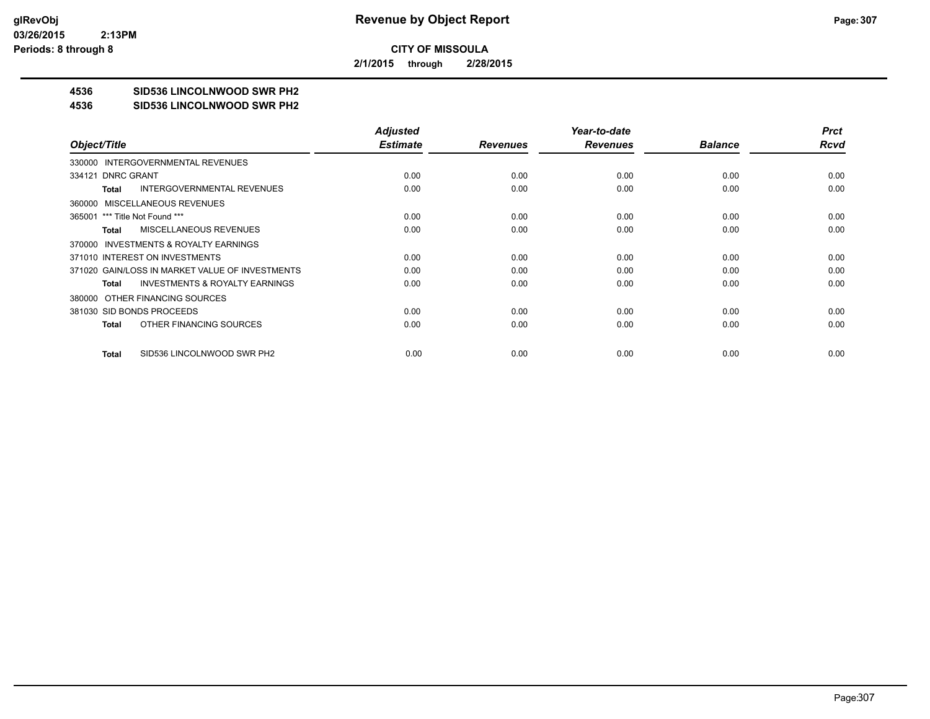**2/1/2015 through 2/28/2015**

## **4536 SID536 LINCOLNWOOD SWR PH2**

#### **4536 SID536 LINCOLNWOOD SWR PH2**

|                                                    | <b>Adjusted</b> |                 | Year-to-date    |                | <b>Prct</b> |
|----------------------------------------------------|-----------------|-----------------|-----------------|----------------|-------------|
| Object/Title                                       | <b>Estimate</b> | <b>Revenues</b> | <b>Revenues</b> | <b>Balance</b> | <b>Rcvd</b> |
| 330000 INTERGOVERNMENTAL REVENUES                  |                 |                 |                 |                |             |
| 334121 DNRC GRANT                                  | 0.00            | 0.00            | 0.00            | 0.00           | 0.00        |
| <b>INTERGOVERNMENTAL REVENUES</b><br>Total         | 0.00            | 0.00            | 0.00            | 0.00           | 0.00        |
| 360000 MISCELLANEOUS REVENUES                      |                 |                 |                 |                |             |
| 365001 *** Title Not Found ***                     | 0.00            | 0.00            | 0.00            | 0.00           | 0.00        |
| MISCELLANEOUS REVENUES<br>Total                    | 0.00            | 0.00            | 0.00            | 0.00           | 0.00        |
| 370000 INVESTMENTS & ROYALTY EARNINGS              |                 |                 |                 |                |             |
| 371010 INTEREST ON INVESTMENTS                     | 0.00            | 0.00            | 0.00            | 0.00           | 0.00        |
| 371020 GAIN/LOSS IN MARKET VALUE OF INVESTMENTS    | 0.00            | 0.00            | 0.00            | 0.00           | 0.00        |
| <b>INVESTMENTS &amp; ROYALTY EARNINGS</b><br>Total | 0.00            | 0.00            | 0.00            | 0.00           | 0.00        |
| 380000 OTHER FINANCING SOURCES                     |                 |                 |                 |                |             |
| 381030 SID BONDS PROCEEDS                          | 0.00            | 0.00            | 0.00            | 0.00           | 0.00        |
| OTHER FINANCING SOURCES<br>Total                   | 0.00            | 0.00            | 0.00            | 0.00           | 0.00        |
|                                                    |                 |                 |                 |                |             |
| SID536 LINCOLNWOOD SWR PH2<br>Total                | 0.00            | 0.00            | 0.00            | 0.00           | 0.00        |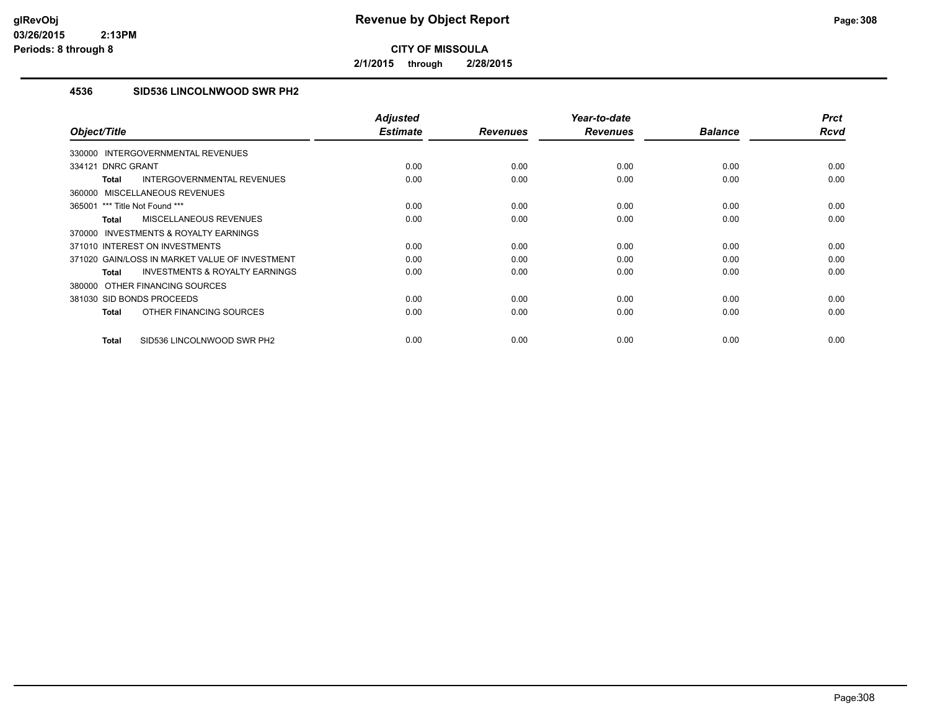**2/1/2015 through 2/28/2015**

## **4536 SID536 LINCOLNWOOD SWR PH2**

| Object/Title                                              | <b>Adjusted</b><br><b>Estimate</b> | <b>Revenues</b> | Year-to-date<br><b>Revenues</b> | <b>Balance</b> | <b>Prct</b><br><b>Rcvd</b> |
|-----------------------------------------------------------|------------------------------------|-----------------|---------------------------------|----------------|----------------------------|
| 330000 INTERGOVERNMENTAL REVENUES                         |                                    |                 |                                 |                |                            |
| 334121 DNRC GRANT                                         | 0.00                               | 0.00            | 0.00                            | 0.00           | 0.00                       |
| INTERGOVERNMENTAL REVENUES<br><b>Total</b>                | 0.00                               | 0.00            | 0.00                            | 0.00           | 0.00                       |
| 360000 MISCELLANEOUS REVENUES                             |                                    |                 |                                 |                |                            |
| 365001 *** Title Not Found ***                            | 0.00                               | 0.00            | 0.00                            | 0.00           | 0.00                       |
| <b>MISCELLANEOUS REVENUES</b><br><b>Total</b>             | 0.00                               | 0.00            | 0.00                            | 0.00           | 0.00                       |
| 370000 INVESTMENTS & ROYALTY EARNINGS                     |                                    |                 |                                 |                |                            |
| 371010 INTEREST ON INVESTMENTS                            | 0.00                               | 0.00            | 0.00                            | 0.00           | 0.00                       |
| 371020 GAIN/LOSS IN MARKET VALUE OF INVESTMENT            | 0.00                               | 0.00            | 0.00                            | 0.00           | 0.00                       |
| <b>INVESTMENTS &amp; ROYALTY EARNINGS</b><br><b>Total</b> | 0.00                               | 0.00            | 0.00                            | 0.00           | 0.00                       |
| 380000 OTHER FINANCING SOURCES                            |                                    |                 |                                 |                |                            |
| 381030 SID BONDS PROCEEDS                                 | 0.00                               | 0.00            | 0.00                            | 0.00           | 0.00                       |
| OTHER FINANCING SOURCES<br><b>Total</b>                   | 0.00                               | 0.00            | 0.00                            | 0.00           | 0.00                       |
| SID536 LINCOLNWOOD SWR PH2<br><b>Total</b>                | 0.00                               | 0.00            | 0.00                            | 0.00           | 0.00                       |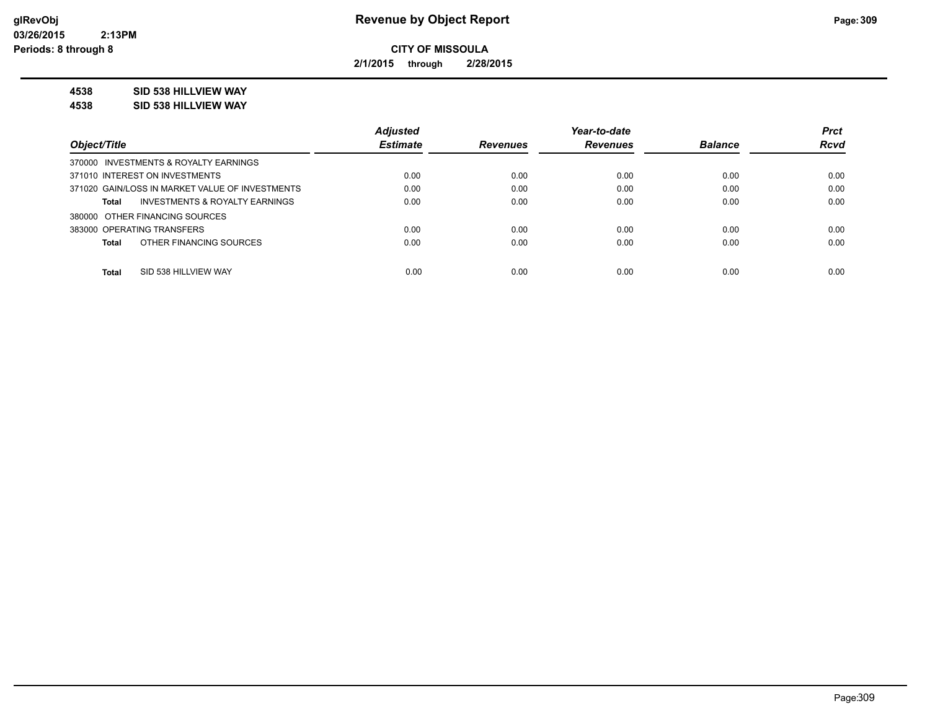**2/1/2015 through 2/28/2015**

## **4538 SID 538 HILLVIEW WAY**

**4538 SID 538 HILLVIEW WAY**

|                                                 | <b>Adjusted</b> |                 | Year-to-date    |                | <b>Prct</b> |
|-------------------------------------------------|-----------------|-----------------|-----------------|----------------|-------------|
| Object/Title                                    | <b>Estimate</b> | <b>Revenues</b> | <b>Revenues</b> | <b>Balance</b> | <b>Rcvd</b> |
| 370000 INVESTMENTS & ROYALTY EARNINGS           |                 |                 |                 |                |             |
| 371010 INTEREST ON INVESTMENTS                  | 0.00            | 0.00            | 0.00            | 0.00           | 0.00        |
| 371020 GAIN/LOSS IN MARKET VALUE OF INVESTMENTS | 0.00            | 0.00            | 0.00            | 0.00           | 0.00        |
| INVESTMENTS & ROYALTY EARNINGS<br>Total         | 0.00            | 0.00            | 0.00            | 0.00           | 0.00        |
| 380000 OTHER FINANCING SOURCES                  |                 |                 |                 |                |             |
| 383000 OPERATING TRANSFERS                      | 0.00            | 0.00            | 0.00            | 0.00           | 0.00        |
| OTHER FINANCING SOURCES<br><b>Total</b>         | 0.00            | 0.00            | 0.00            | 0.00           | 0.00        |
|                                                 |                 |                 |                 |                |             |
| <b>Total</b><br>SID 538 HILLVIEW WAY            | 0.00            | 0.00            | 0.00            | 0.00           | 0.00        |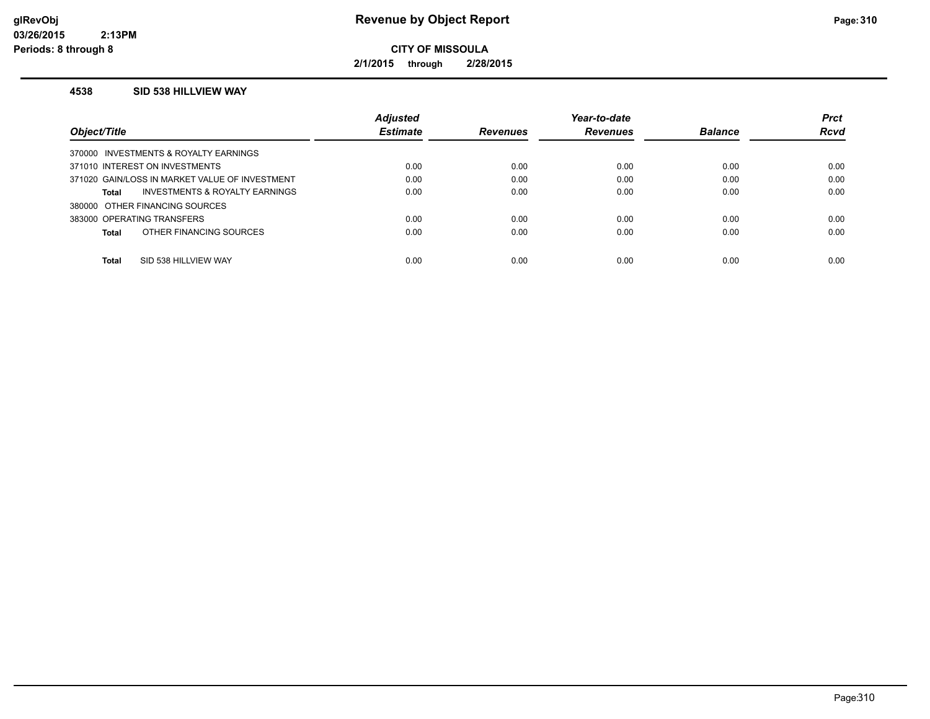**2/1/2015 through 2/28/2015**

### **4538 SID 538 HILLVIEW WAY**

|                                                | <b>Adjusted</b> |                 | Year-to-date    |                | <b>Prct</b> |
|------------------------------------------------|-----------------|-----------------|-----------------|----------------|-------------|
| Object/Title                                   | <b>Estimate</b> | <b>Revenues</b> | <b>Revenues</b> | <b>Balance</b> | <b>Rcvd</b> |
| 370000 INVESTMENTS & ROYALTY EARNINGS          |                 |                 |                 |                |             |
| 371010 INTEREST ON INVESTMENTS                 | 0.00            | 0.00            | 0.00            | 0.00           | 0.00        |
| 371020 GAIN/LOSS IN MARKET VALUE OF INVESTMENT | 0.00            | 0.00            | 0.00            | 0.00           | 0.00        |
| INVESTMENTS & ROYALTY EARNINGS<br>Total        | 0.00            | 0.00            | 0.00            | 0.00           | 0.00        |
| 380000 OTHER FINANCING SOURCES                 |                 |                 |                 |                |             |
| 383000 OPERATING TRANSFERS                     | 0.00            | 0.00            | 0.00            | 0.00           | 0.00        |
| OTHER FINANCING SOURCES<br>Total               | 0.00            | 0.00            | 0.00            | 0.00           | 0.00        |
|                                                |                 |                 |                 |                |             |
| Total<br>SID 538 HILLVIEW WAY                  | 0.00            | 0.00            | 0.00            | 0.00           | 0.00        |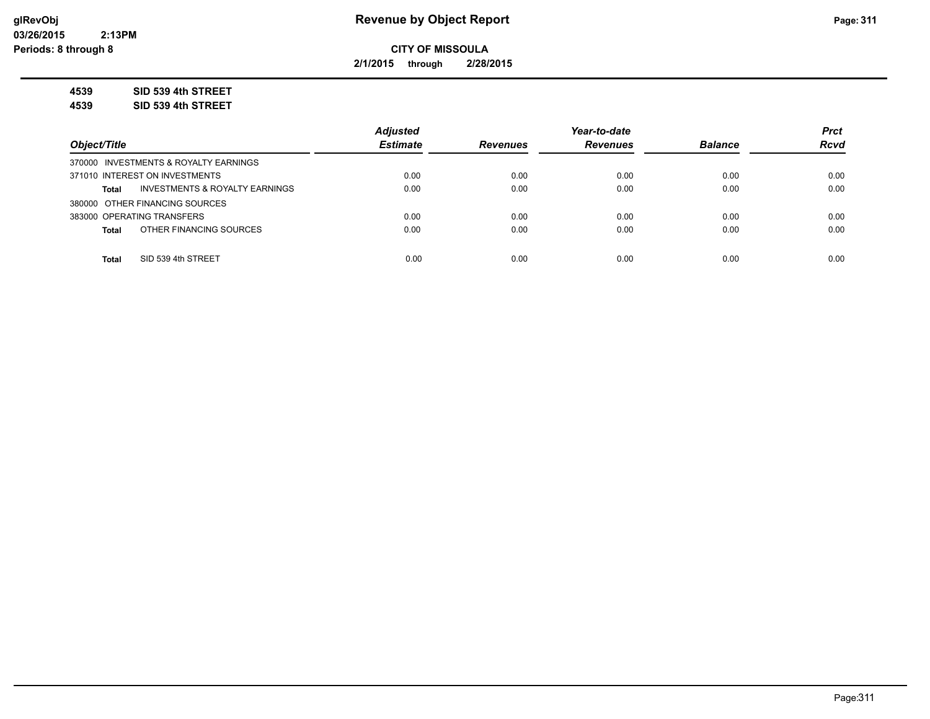**2/1/2015 through 2/28/2015**

**4539 SID 539 4th STREET**

**4539 SID 539 4th STREET**

|                                                    | <b>Adiusted</b> |                 | Year-to-date    |                | <b>Prct</b> |
|----------------------------------------------------|-----------------|-----------------|-----------------|----------------|-------------|
| Object/Title                                       | <b>Estimate</b> | <b>Revenues</b> | <b>Revenues</b> | <b>Balance</b> | <b>Rcvd</b> |
| 370000 INVESTMENTS & ROYALTY EARNINGS              |                 |                 |                 |                |             |
| 371010 INTEREST ON INVESTMENTS                     | 0.00            | 0.00            | 0.00            | 0.00           | 0.00        |
| <b>INVESTMENTS &amp; ROYALTY EARNINGS</b><br>Total | 0.00            | 0.00            | 0.00            | 0.00           | 0.00        |
| 380000 OTHER FINANCING SOURCES                     |                 |                 |                 |                |             |
| 383000 OPERATING TRANSFERS                         | 0.00            | 0.00            | 0.00            | 0.00           | 0.00        |
| OTHER FINANCING SOURCES<br><b>Total</b>            | 0.00            | 0.00            | 0.00            | 0.00           | 0.00        |
|                                                    |                 |                 |                 |                |             |
| SID 539 4th STREET<br>Total                        | 0.00            | 0.00            | 0.00            | 0.00           | 0.00        |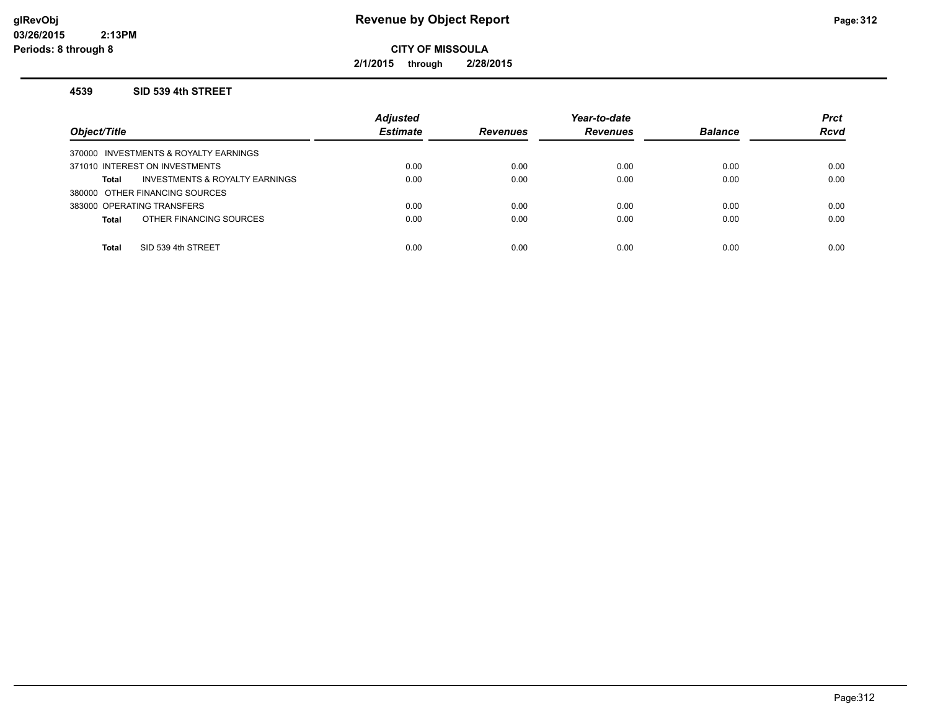## **glRevObj Revenue by Object Report Page:312**

**CITY OF MISSOULA**

**2/1/2015 through 2/28/2015**

#### **4539 SID 539 4th STREET**

| Object/Title                                              | <b>Adjusted</b><br><b>Estimate</b> | <b>Revenues</b> | Year-to-date<br><b>Revenues</b> | <b>Balance</b> | <b>Prct</b><br><b>Rcvd</b> |
|-----------------------------------------------------------|------------------------------------|-----------------|---------------------------------|----------------|----------------------------|
| 370000 INVESTMENTS & ROYALTY EARNINGS                     |                                    |                 |                                 |                |                            |
| 371010 INTEREST ON INVESTMENTS                            | 0.00                               | 0.00            | 0.00                            | 0.00           | 0.00                       |
| <b>INVESTMENTS &amp; ROYALTY EARNINGS</b><br><b>Total</b> | 0.00                               | 0.00            | 0.00                            | 0.00           | 0.00                       |
| 380000 OTHER FINANCING SOURCES                            |                                    |                 |                                 |                |                            |
| 383000 OPERATING TRANSFERS                                | 0.00                               | 0.00            | 0.00                            | 0.00           | 0.00                       |
| OTHER FINANCING SOURCES<br><b>Total</b>                   | 0.00                               | 0.00            | 0.00                            | 0.00           | 0.00                       |
|                                                           |                                    |                 |                                 |                |                            |
| SID 539 4th STREET<br><b>Total</b>                        | 0.00                               | 0.00            | 0.00                            | 0.00           | 0.00                       |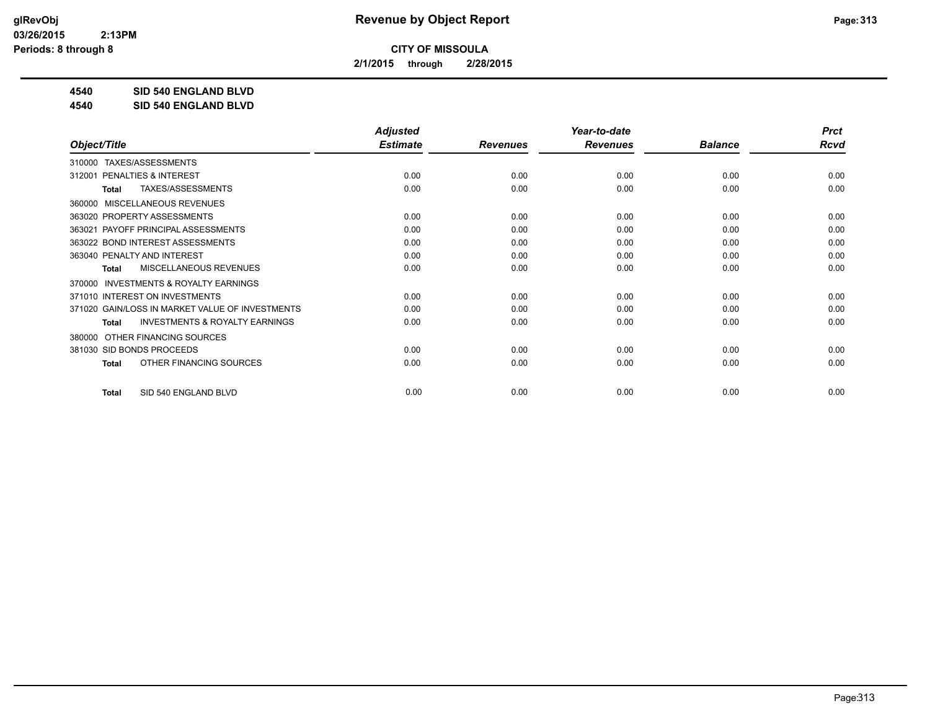**2/1/2015 through 2/28/2015**

**4540 SID 540 ENGLAND BLVD**

**4540 SID 540 ENGLAND BLVD**

|                                                           | <b>Adjusted</b> |                 | Year-to-date    |                | <b>Prct</b> |
|-----------------------------------------------------------|-----------------|-----------------|-----------------|----------------|-------------|
| Object/Title                                              | <b>Estimate</b> | <b>Revenues</b> | <b>Revenues</b> | <b>Balance</b> | <b>Rcvd</b> |
| TAXES/ASSESSMENTS<br>310000                               |                 |                 |                 |                |             |
| <b>PENALTIES &amp; INTEREST</b><br>312001                 | 0.00            | 0.00            | 0.00            | 0.00           | 0.00        |
| TAXES/ASSESSMENTS<br><b>Total</b>                         | 0.00            | 0.00            | 0.00            | 0.00           | 0.00        |
| MISCELLANEOUS REVENUES<br>360000                          |                 |                 |                 |                |             |
| 363020 PROPERTY ASSESSMENTS                               | 0.00            | 0.00            | 0.00            | 0.00           | 0.00        |
| PAYOFF PRINCIPAL ASSESSMENTS<br>363021                    | 0.00            | 0.00            | 0.00            | 0.00           | 0.00        |
| 363022 BOND INTEREST ASSESSMENTS                          | 0.00            | 0.00            | 0.00            | 0.00           | 0.00        |
| 363040 PENALTY AND INTEREST                               | 0.00            | 0.00            | 0.00            | 0.00           | 0.00        |
| <b>MISCELLANEOUS REVENUES</b><br><b>Total</b>             | 0.00            | 0.00            | 0.00            | 0.00           | 0.00        |
| <b>INVESTMENTS &amp; ROYALTY EARNINGS</b><br>370000       |                 |                 |                 |                |             |
| 371010 INTEREST ON INVESTMENTS                            | 0.00            | 0.00            | 0.00            | 0.00           | 0.00        |
| 371020 GAIN/LOSS IN MARKET VALUE OF INVESTMENTS           | 0.00            | 0.00            | 0.00            | 0.00           | 0.00        |
| <b>INVESTMENTS &amp; ROYALTY EARNINGS</b><br><b>Total</b> | 0.00            | 0.00            | 0.00            | 0.00           | 0.00        |
| OTHER FINANCING SOURCES<br>380000                         |                 |                 |                 |                |             |
| 381030 SID BONDS PROCEEDS                                 | 0.00            | 0.00            | 0.00            | 0.00           | 0.00        |
| OTHER FINANCING SOURCES<br><b>Total</b>                   | 0.00            | 0.00            | 0.00            | 0.00           | 0.00        |
|                                                           |                 |                 |                 |                |             |
| SID 540 ENGLAND BLVD<br><b>Total</b>                      | 0.00            | 0.00            | 0.00            | 0.00           | 0.00        |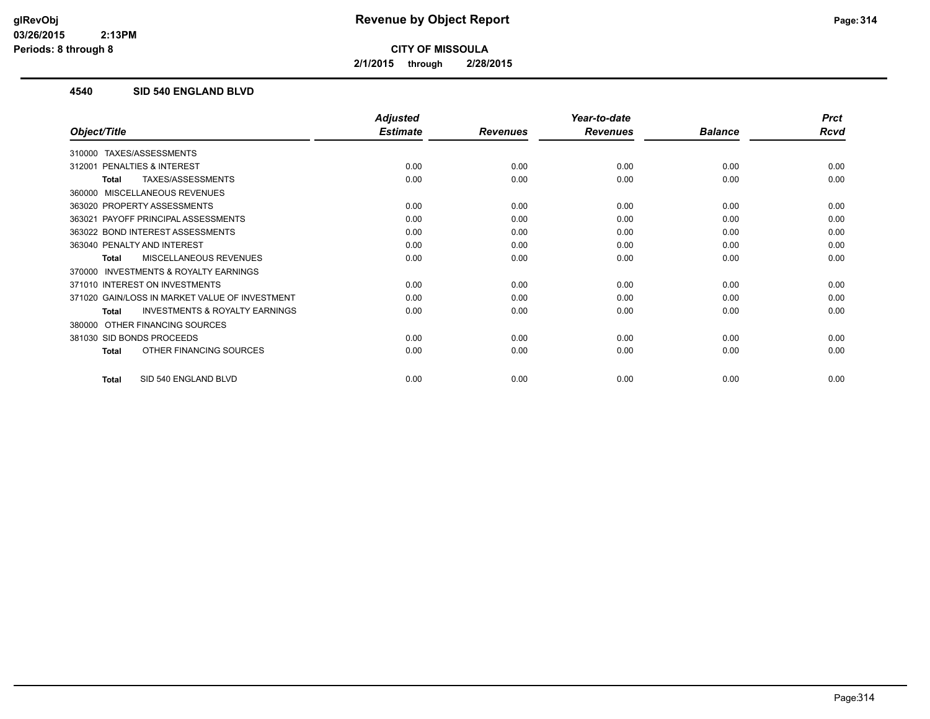**2/1/2015 through 2/28/2015**

## **4540 SID 540 ENGLAND BLVD**

|                                                           | <b>Adjusted</b> |                 | Year-to-date    |                | <b>Prct</b> |
|-----------------------------------------------------------|-----------------|-----------------|-----------------|----------------|-------------|
| Object/Title                                              | <b>Estimate</b> | <b>Revenues</b> | <b>Revenues</b> | <b>Balance</b> | <b>Rcvd</b> |
| TAXES/ASSESSMENTS<br>310000                               |                 |                 |                 |                |             |
| PENALTIES & INTEREST<br>312001                            | 0.00            | 0.00            | 0.00            | 0.00           | 0.00        |
| TAXES/ASSESSMENTS<br><b>Total</b>                         | 0.00            | 0.00            | 0.00            | 0.00           | 0.00        |
| MISCELLANEOUS REVENUES<br>360000                          |                 |                 |                 |                |             |
| 363020 PROPERTY ASSESSMENTS                               | 0.00            | 0.00            | 0.00            | 0.00           | 0.00        |
| PAYOFF PRINCIPAL ASSESSMENTS<br>363021                    | 0.00            | 0.00            | 0.00            | 0.00           | 0.00        |
| 363022 BOND INTEREST ASSESSMENTS                          | 0.00            | 0.00            | 0.00            | 0.00           | 0.00        |
| 363040 PENALTY AND INTEREST                               | 0.00            | 0.00            | 0.00            | 0.00           | 0.00        |
| <b>MISCELLANEOUS REVENUES</b><br>Total                    | 0.00            | 0.00            | 0.00            | 0.00           | 0.00        |
| <b>INVESTMENTS &amp; ROYALTY EARNINGS</b><br>370000       |                 |                 |                 |                |             |
| 371010 INTEREST ON INVESTMENTS                            | 0.00            | 0.00            | 0.00            | 0.00           | 0.00        |
| 371020 GAIN/LOSS IN MARKET VALUE OF INVESTMENT            | 0.00            | 0.00            | 0.00            | 0.00           | 0.00        |
| <b>INVESTMENTS &amp; ROYALTY EARNINGS</b><br><b>Total</b> | 0.00            | 0.00            | 0.00            | 0.00           | 0.00        |
| OTHER FINANCING SOURCES<br>380000                         |                 |                 |                 |                |             |
| 381030 SID BONDS PROCEEDS                                 | 0.00            | 0.00            | 0.00            | 0.00           | 0.00        |
| OTHER FINANCING SOURCES<br><b>Total</b>                   | 0.00            | 0.00            | 0.00            | 0.00           | 0.00        |
| SID 540 ENGLAND BLVD<br><b>Total</b>                      | 0.00            | 0.00            | 0.00            | 0.00           | 0.00        |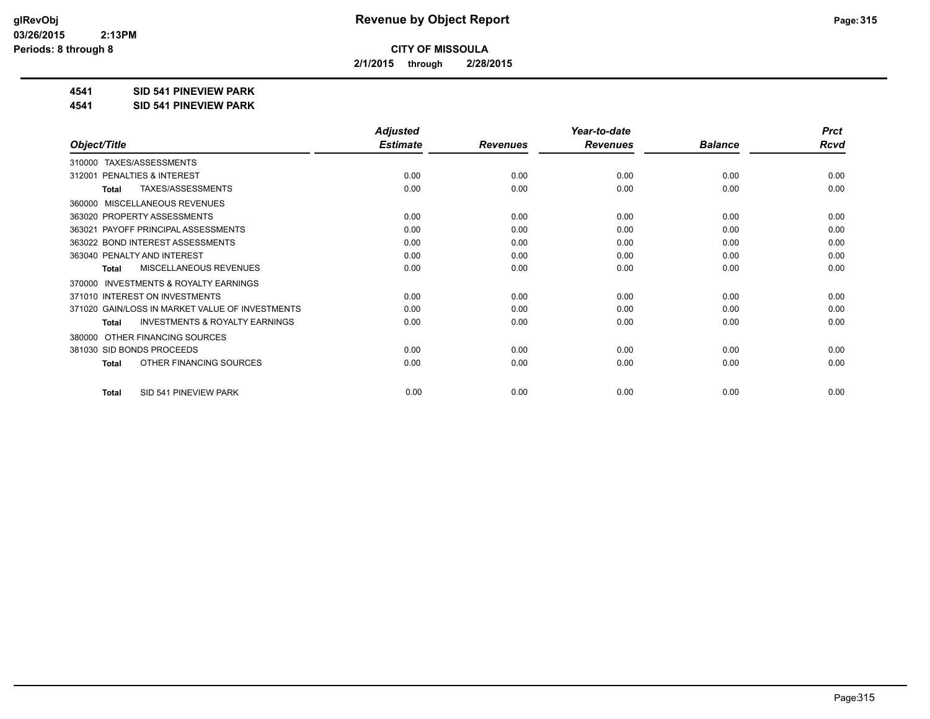**2/1/2015 through 2/28/2015**

## **4541 SID 541 PINEVIEW PARK**

**4541 SID 541 PINEVIEW PARK**

|                                                           | <b>Adjusted</b> |                 | Year-to-date    |                | <b>Prct</b> |
|-----------------------------------------------------------|-----------------|-----------------|-----------------|----------------|-------------|
| Object/Title                                              | <b>Estimate</b> | <b>Revenues</b> | <b>Revenues</b> | <b>Balance</b> | <b>Rcvd</b> |
| TAXES/ASSESSMENTS<br>310000                               |                 |                 |                 |                |             |
| PENALTIES & INTEREST<br>312001                            | 0.00            | 0.00            | 0.00            | 0.00           | 0.00        |
| TAXES/ASSESSMENTS<br><b>Total</b>                         | 0.00            | 0.00            | 0.00            | 0.00           | 0.00        |
| MISCELLANEOUS REVENUES<br>360000                          |                 |                 |                 |                |             |
| 363020 PROPERTY ASSESSMENTS                               | 0.00            | 0.00            | 0.00            | 0.00           | 0.00        |
| PAYOFF PRINCIPAL ASSESSMENTS<br>363021                    | 0.00            | 0.00            | 0.00            | 0.00           | 0.00        |
| 363022 BOND INTEREST ASSESSMENTS                          | 0.00            | 0.00            | 0.00            | 0.00           | 0.00        |
| 363040 PENALTY AND INTEREST                               | 0.00            | 0.00            | 0.00            | 0.00           | 0.00        |
| <b>MISCELLANEOUS REVENUES</b><br>Total                    | 0.00            | 0.00            | 0.00            | 0.00           | 0.00        |
| <b>INVESTMENTS &amp; ROYALTY EARNINGS</b><br>370000       |                 |                 |                 |                |             |
| 371010 INTEREST ON INVESTMENTS                            | 0.00            | 0.00            | 0.00            | 0.00           | 0.00        |
| 371020 GAIN/LOSS IN MARKET VALUE OF INVESTMENTS           | 0.00            | 0.00            | 0.00            | 0.00           | 0.00        |
| <b>INVESTMENTS &amp; ROYALTY EARNINGS</b><br><b>Total</b> | 0.00            | 0.00            | 0.00            | 0.00           | 0.00        |
| OTHER FINANCING SOURCES<br>380000                         |                 |                 |                 |                |             |
| 381030 SID BONDS PROCEEDS                                 | 0.00            | 0.00            | 0.00            | 0.00           | 0.00        |
| OTHER FINANCING SOURCES<br><b>Total</b>                   | 0.00            | 0.00            | 0.00            | 0.00           | 0.00        |
|                                                           |                 |                 |                 |                |             |
| SID 541 PINEVIEW PARK<br><b>Total</b>                     | 0.00            | 0.00            | 0.00            | 0.00           | 0.00        |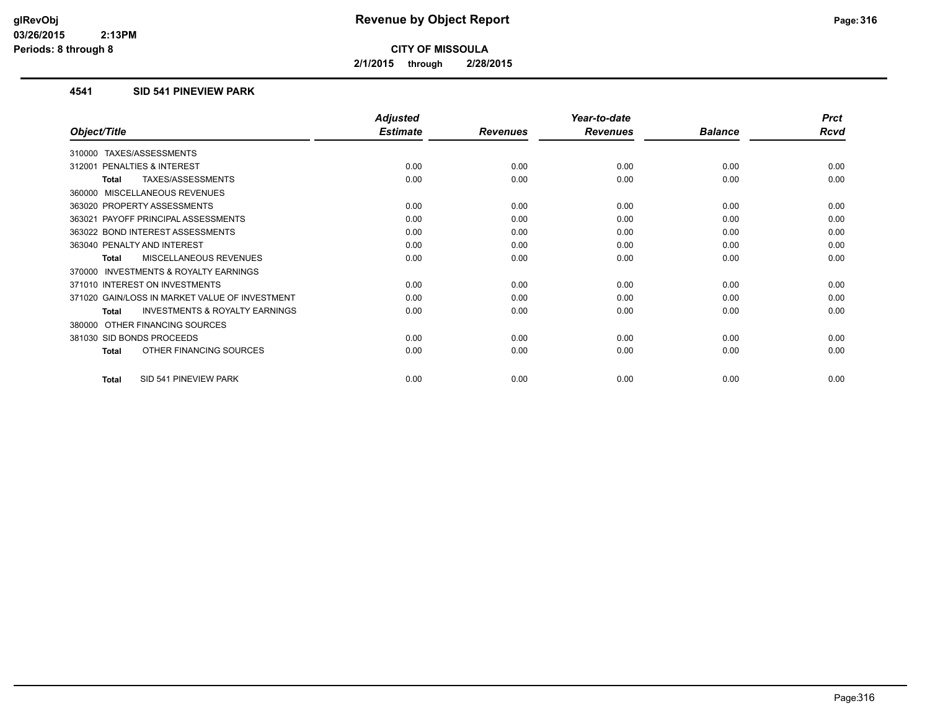**2/1/2015 through 2/28/2015**

### **4541 SID 541 PINEVIEW PARK**

|                                                           | <b>Adjusted</b> |                 | Year-to-date    |                | <b>Prct</b> |
|-----------------------------------------------------------|-----------------|-----------------|-----------------|----------------|-------------|
| Object/Title                                              | <b>Estimate</b> | <b>Revenues</b> | <b>Revenues</b> | <b>Balance</b> | <b>Rcvd</b> |
| TAXES/ASSESSMENTS<br>310000                               |                 |                 |                 |                |             |
| PENALTIES & INTEREST<br>312001                            | 0.00            | 0.00            | 0.00            | 0.00           | 0.00        |
| TAXES/ASSESSMENTS<br>Total                                | 0.00            | 0.00            | 0.00            | 0.00           | 0.00        |
| 360000 MISCELLANEOUS REVENUES                             |                 |                 |                 |                |             |
| 363020 PROPERTY ASSESSMENTS                               | 0.00            | 0.00            | 0.00            | 0.00           | 0.00        |
| 363021 PAYOFF PRINCIPAL ASSESSMENTS                       | 0.00            | 0.00            | 0.00            | 0.00           | 0.00        |
| 363022 BOND INTEREST ASSESSMENTS                          | 0.00            | 0.00            | 0.00            | 0.00           | 0.00        |
| 363040 PENALTY AND INTEREST                               | 0.00            | 0.00            | 0.00            | 0.00           | 0.00        |
| <b>MISCELLANEOUS REVENUES</b><br><b>Total</b>             | 0.00            | 0.00            | 0.00            | 0.00           | 0.00        |
| <b>INVESTMENTS &amp; ROYALTY EARNINGS</b><br>370000       |                 |                 |                 |                |             |
| 371010 INTEREST ON INVESTMENTS                            | 0.00            | 0.00            | 0.00            | 0.00           | 0.00        |
| 371020 GAIN/LOSS IN MARKET VALUE OF INVESTMENT            | 0.00            | 0.00            | 0.00            | 0.00           | 0.00        |
| <b>INVESTMENTS &amp; ROYALTY EARNINGS</b><br><b>Total</b> | 0.00            | 0.00            | 0.00            | 0.00           | 0.00        |
| OTHER FINANCING SOURCES<br>380000                         |                 |                 |                 |                |             |
| 381030 SID BONDS PROCEEDS                                 | 0.00            | 0.00            | 0.00            | 0.00           | 0.00        |
| OTHER FINANCING SOURCES<br><b>Total</b>                   | 0.00            | 0.00            | 0.00            | 0.00           | 0.00        |
|                                                           |                 |                 |                 |                |             |
| SID 541 PINEVIEW PARK<br><b>Total</b>                     | 0.00            | 0.00            | 0.00            | 0.00           | 0.00        |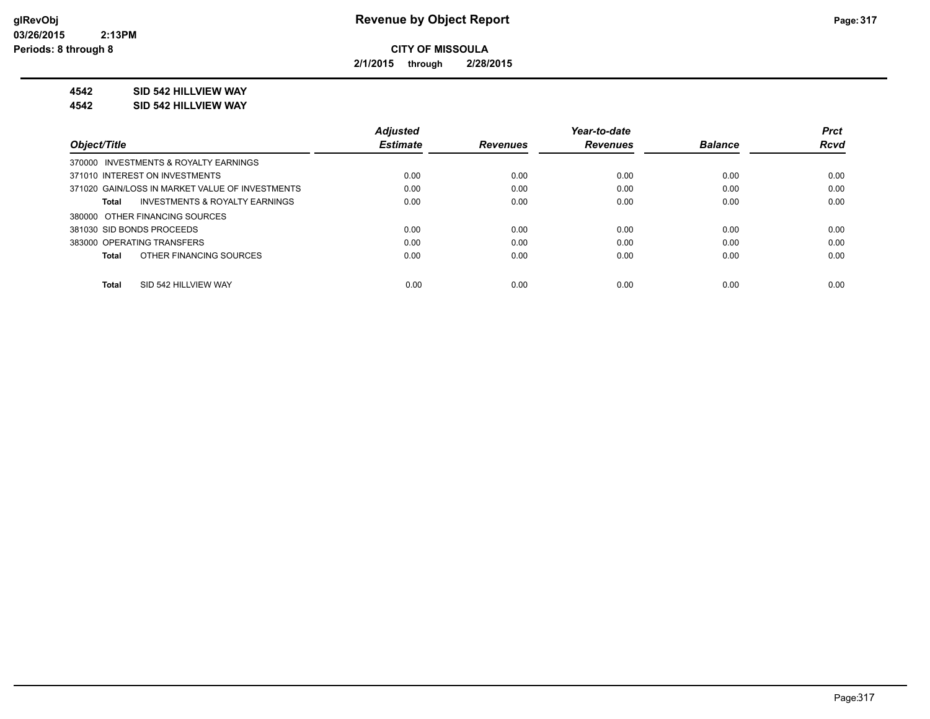**2/1/2015 through 2/28/2015**

## **4542 SID 542 HILLVIEW WAY**

#### **4542 SID 542 HILLVIEW WAY**

|                                                    | <b>Adjusted</b> |                 | Year-to-date    |                | <b>Prct</b> |
|----------------------------------------------------|-----------------|-----------------|-----------------|----------------|-------------|
| Object/Title                                       | <b>Estimate</b> | <b>Revenues</b> | <b>Revenues</b> | <b>Balance</b> | <b>Rcvd</b> |
| 370000 INVESTMENTS & ROYALTY EARNINGS              |                 |                 |                 |                |             |
| 371010 INTEREST ON INVESTMENTS                     | 0.00            | 0.00            | 0.00            | 0.00           | 0.00        |
| 371020 GAIN/LOSS IN MARKET VALUE OF INVESTMENTS    | 0.00            | 0.00            | 0.00            | 0.00           | 0.00        |
| <b>INVESTMENTS &amp; ROYALTY EARNINGS</b><br>Total | 0.00            | 0.00            | 0.00            | 0.00           | 0.00        |
| 380000 OTHER FINANCING SOURCES                     |                 |                 |                 |                |             |
| 381030 SID BONDS PROCEEDS                          | 0.00            | 0.00            | 0.00            | 0.00           | 0.00        |
| 383000 OPERATING TRANSFERS                         | 0.00            | 0.00            | 0.00            | 0.00           | 0.00        |
| OTHER FINANCING SOURCES<br>Total                   | 0.00            | 0.00            | 0.00            | 0.00           | 0.00        |
|                                                    |                 |                 |                 |                |             |
| SID 542 HILLVIEW WAY<br>Total                      | 0.00            | 0.00            | 0.00            | 0.00           | 0.00        |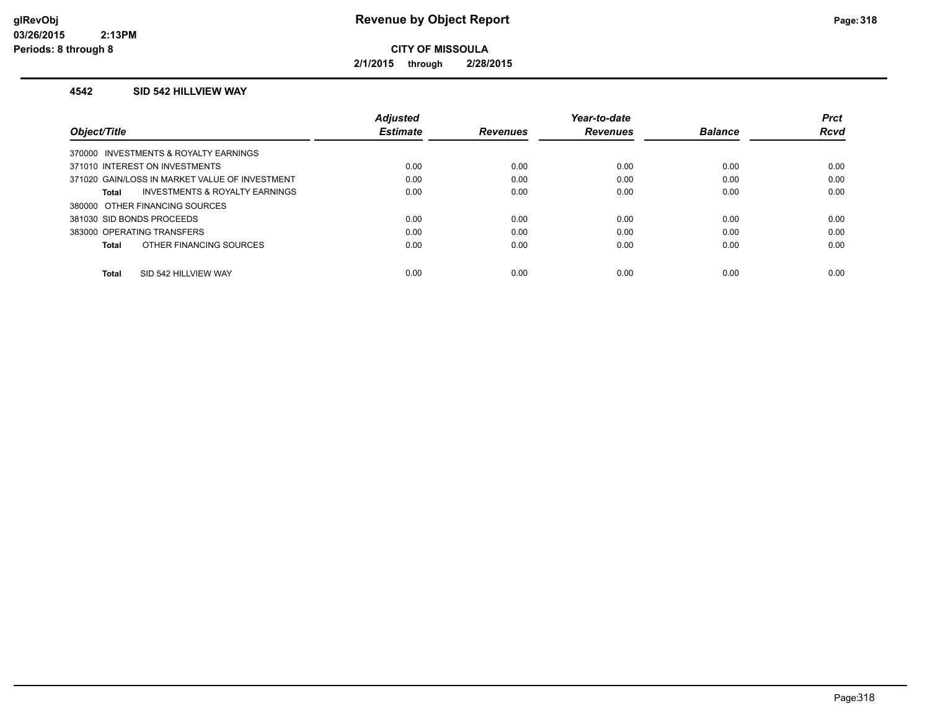**2/1/2015 through 2/28/2015**

### **4542 SID 542 HILLVIEW WAY**

|                                                           | <b>Adjusted</b> |                 | Year-to-date    |                | <b>Prct</b> |
|-----------------------------------------------------------|-----------------|-----------------|-----------------|----------------|-------------|
| Object/Title                                              | <b>Estimate</b> | <b>Revenues</b> | <b>Revenues</b> | <b>Balance</b> | <b>Rcvd</b> |
| 370000 INVESTMENTS & ROYALTY EARNINGS                     |                 |                 |                 |                |             |
| 371010 INTEREST ON INVESTMENTS                            | 0.00            | 0.00            | 0.00            | 0.00           | 0.00        |
| 371020 GAIN/LOSS IN MARKET VALUE OF INVESTMENT            | 0.00            | 0.00            | 0.00            | 0.00           | 0.00        |
| <b>INVESTMENTS &amp; ROYALTY EARNINGS</b><br><b>Total</b> | 0.00            | 0.00            | 0.00            | 0.00           | 0.00        |
| 380000 OTHER FINANCING SOURCES                            |                 |                 |                 |                |             |
| 381030 SID BONDS PROCEEDS                                 | 0.00            | 0.00            | 0.00            | 0.00           | 0.00        |
| 383000 OPERATING TRANSFERS                                | 0.00            | 0.00            | 0.00            | 0.00           | 0.00        |
| OTHER FINANCING SOURCES<br><b>Total</b>                   | 0.00            | 0.00            | 0.00            | 0.00           | 0.00        |
|                                                           |                 |                 |                 |                |             |
| SID 542 HILLVIEW WAY<br><b>Total</b>                      | 0.00            | 0.00            | 0.00            | 0.00           | 0.00        |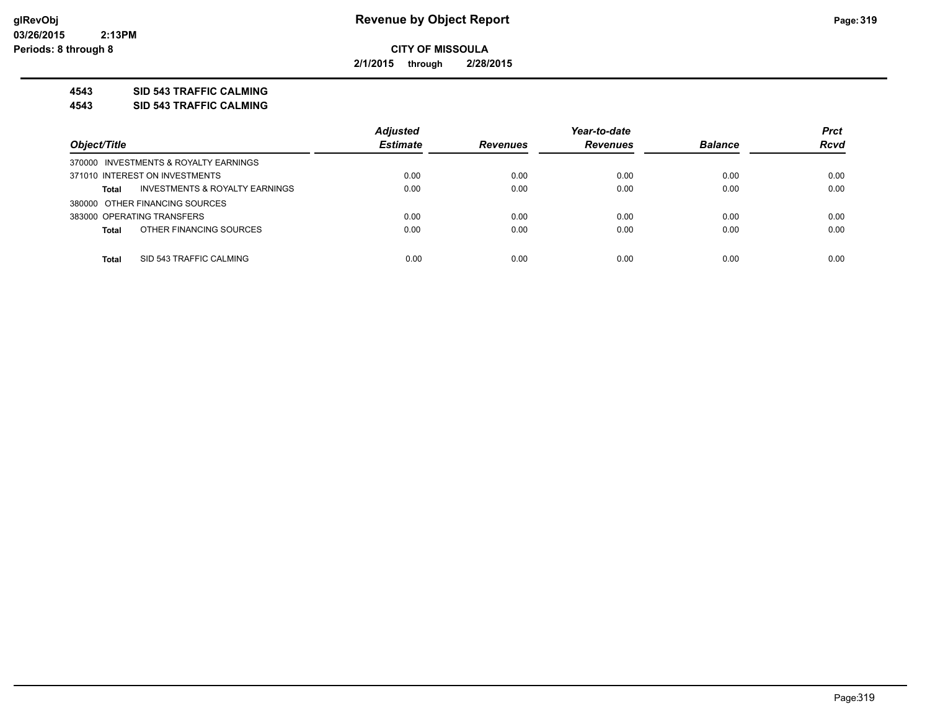**2/1/2015 through 2/28/2015**

### **4543 SID 543 TRAFFIC CALMING**

**4543 SID 543 TRAFFIC CALMING**

|                                                | <b>Adjusted</b> |                 | Year-to-date    |                | <b>Prct</b> |
|------------------------------------------------|-----------------|-----------------|-----------------|----------------|-------------|
| Object/Title                                   | <b>Estimate</b> | <b>Revenues</b> | <b>Revenues</b> | <b>Balance</b> | <b>Rcvd</b> |
| 370000 INVESTMENTS & ROYALTY EARNINGS          |                 |                 |                 |                |             |
| 371010 INTEREST ON INVESTMENTS                 | 0.00            | 0.00            | 0.00            | 0.00           | 0.00        |
| INVESTMENTS & ROYALTY EARNINGS<br><b>Total</b> | 0.00            | 0.00            | 0.00            | 0.00           | 0.00        |
| 380000 OTHER FINANCING SOURCES                 |                 |                 |                 |                |             |
| 383000 OPERATING TRANSFERS                     | 0.00            | 0.00            | 0.00            | 0.00           | 0.00        |
| OTHER FINANCING SOURCES<br><b>Total</b>        | 0.00            | 0.00            | 0.00            | 0.00           | 0.00        |
|                                                |                 |                 |                 |                |             |
| SID 543 TRAFFIC CALMING<br><b>Total</b>        | 0.00            | 0.00            | 0.00            | 0.00           | 0.00        |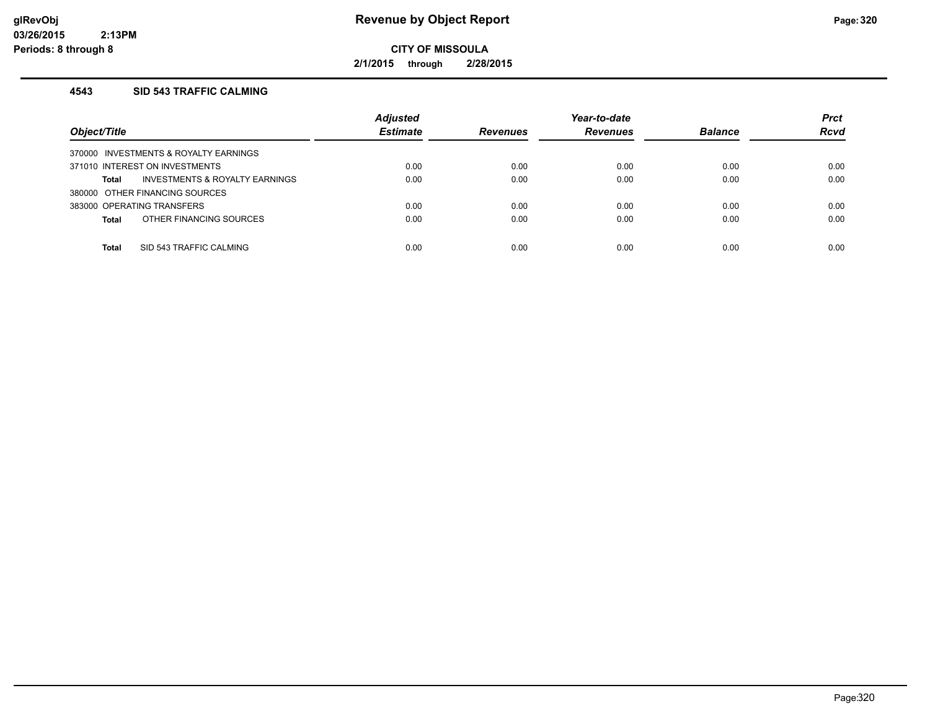**2/1/2015 through 2/28/2015**

## **4543 SID 543 TRAFFIC CALMING**

| Object/Title                            | <b>Adjusted</b><br><b>Estimate</b> | <b>Revenues</b> | Year-to-date<br><b>Revenues</b> | <b>Balance</b> | <b>Prct</b><br><b>Rcvd</b> |
|-----------------------------------------|------------------------------------|-----------------|---------------------------------|----------------|----------------------------|
| 370000 INVESTMENTS & ROYALTY EARNINGS   |                                    |                 |                                 |                |                            |
| 371010 INTEREST ON INVESTMENTS          | 0.00                               | 0.00            | 0.00                            | 0.00           | 0.00                       |
| INVESTMENTS & ROYALTY EARNINGS<br>Total | 0.00                               | 0.00            | 0.00                            | 0.00           | 0.00                       |
| 380000 OTHER FINANCING SOURCES          |                                    |                 |                                 |                |                            |
| 383000 OPERATING TRANSFERS              | 0.00                               | 0.00            | 0.00                            | 0.00           | 0.00                       |
| OTHER FINANCING SOURCES<br><b>Total</b> | 0.00                               | 0.00            | 0.00                            | 0.00           | 0.00                       |
|                                         |                                    |                 |                                 |                |                            |
| SID 543 TRAFFIC CALMING<br><b>Total</b> | 0.00                               | 0.00            | 0.00                            | 0.00           | 0.00                       |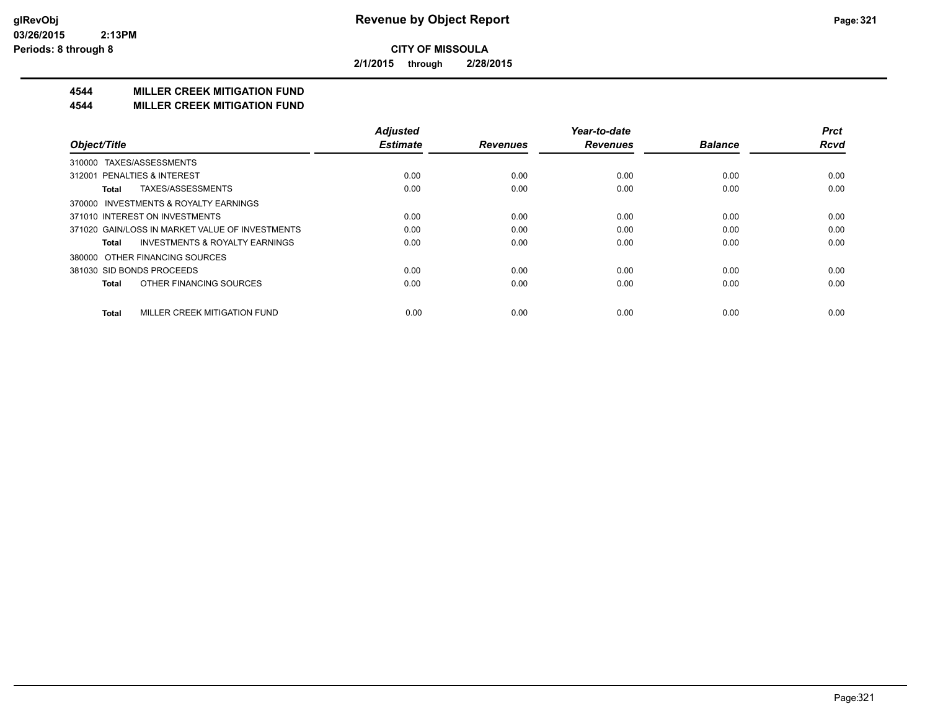**2/1/2015 through 2/28/2015**

## **4544 MILLER CREEK MITIGATION FUND**

#### **4544 MILLER CREEK MITIGATION FUND**

|                                                    | <b>Adjusted</b> |                 | Year-to-date    |                | <b>Prct</b> |
|----------------------------------------------------|-----------------|-----------------|-----------------|----------------|-------------|
| Object/Title                                       | <b>Estimate</b> | <b>Revenues</b> | <b>Revenues</b> | <b>Balance</b> | <b>Rcvd</b> |
| TAXES/ASSESSMENTS<br>310000                        |                 |                 |                 |                |             |
| 312001 PENALTIES & INTEREST                        | 0.00            | 0.00            | 0.00            | 0.00           | 0.00        |
| TAXES/ASSESSMENTS<br>Total                         | 0.00            | 0.00            | 0.00            | 0.00           | 0.00        |
| 370000 INVESTMENTS & ROYALTY EARNINGS              |                 |                 |                 |                |             |
| 371010 INTEREST ON INVESTMENTS                     | 0.00            | 0.00            | 0.00            | 0.00           | 0.00        |
| 371020 GAIN/LOSS IN MARKET VALUE OF INVESTMENTS    | 0.00            | 0.00            | 0.00            | 0.00           | 0.00        |
| <b>INVESTMENTS &amp; ROYALTY EARNINGS</b><br>Total | 0.00            | 0.00            | 0.00            | 0.00           | 0.00        |
| OTHER FINANCING SOURCES<br>380000                  |                 |                 |                 |                |             |
| 381030 SID BONDS PROCEEDS                          | 0.00            | 0.00            | 0.00            | 0.00           | 0.00        |
| OTHER FINANCING SOURCES<br><b>Total</b>            | 0.00            | 0.00            | 0.00            | 0.00           | 0.00        |
| MILLER CREEK MITIGATION FUND<br><b>Total</b>       | 0.00            | 0.00            | 0.00            | 0.00           | 0.00        |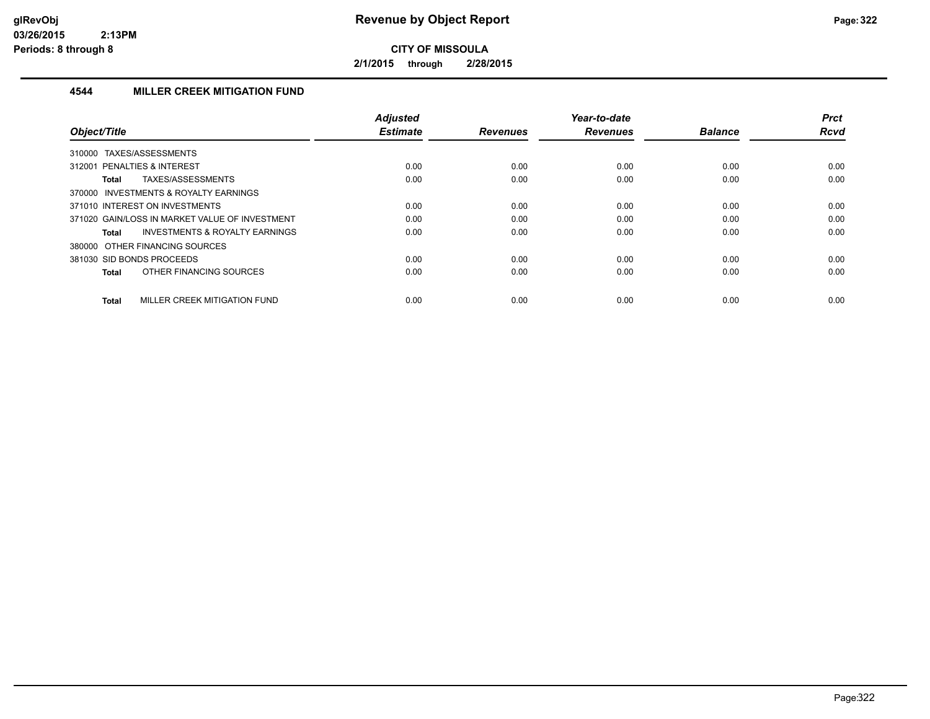**2/1/2015 through 2/28/2015**

## **4544 MILLER CREEK MITIGATION FUND**

|                                                    | <b>Adjusted</b> |                 | Year-to-date    |                | <b>Prct</b> |
|----------------------------------------------------|-----------------|-----------------|-----------------|----------------|-------------|
| Object/Title                                       | <b>Estimate</b> | <b>Revenues</b> | <b>Revenues</b> | <b>Balance</b> | <b>Rcvd</b> |
| TAXES/ASSESSMENTS<br>310000                        |                 |                 |                 |                |             |
| 312001 PENALTIES & INTEREST                        | 0.00            | 0.00            | 0.00            | 0.00           | 0.00        |
| TAXES/ASSESSMENTS<br><b>Total</b>                  | 0.00            | 0.00            | 0.00            | 0.00           | 0.00        |
| 370000 INVESTMENTS & ROYALTY EARNINGS              |                 |                 |                 |                |             |
| 371010 INTEREST ON INVESTMENTS                     | 0.00            | 0.00            | 0.00            | 0.00           | 0.00        |
| 371020 GAIN/LOSS IN MARKET VALUE OF INVESTMENT     | 0.00            | 0.00            | 0.00            | 0.00           | 0.00        |
| <b>INVESTMENTS &amp; ROYALTY EARNINGS</b><br>Total | 0.00            | 0.00            | 0.00            | 0.00           | 0.00        |
| 380000 OTHER FINANCING SOURCES                     |                 |                 |                 |                |             |
| 381030 SID BONDS PROCEEDS                          | 0.00            | 0.00            | 0.00            | 0.00           | 0.00        |
| OTHER FINANCING SOURCES<br><b>Total</b>            | 0.00            | 0.00            | 0.00            | 0.00           | 0.00        |
|                                                    |                 |                 |                 |                |             |
| MILLER CREEK MITIGATION FUND<br><b>Total</b>       | 0.00            | 0.00            | 0.00            | 0.00           | 0.00        |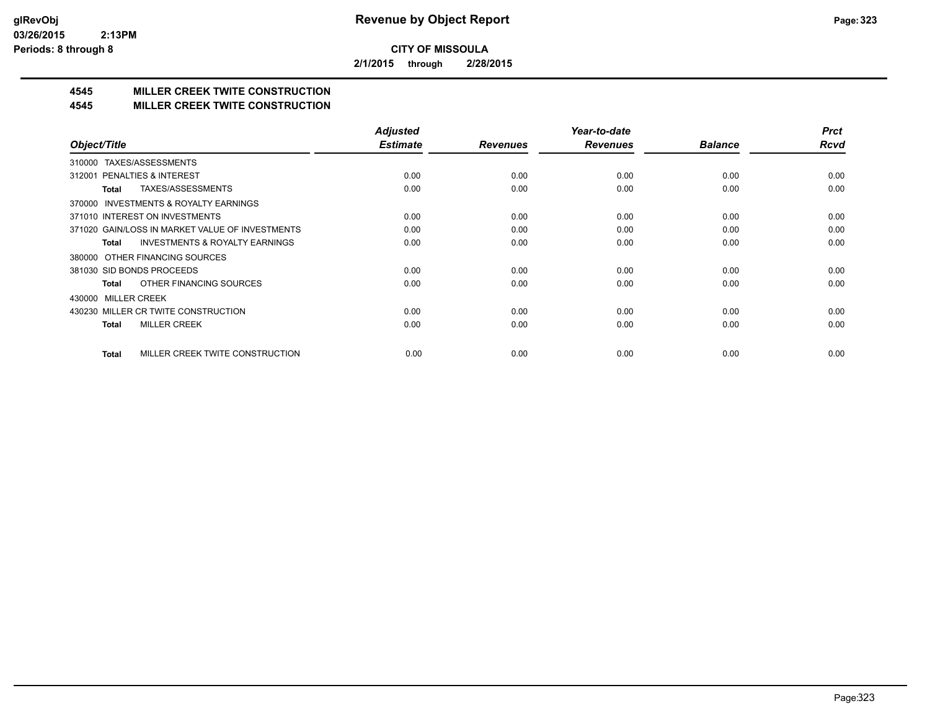**2/1/2015 through 2/28/2015**

# **4545 MILLER CREEK TWITE CONSTRUCTION**

### **4545 MILLER CREEK TWITE CONSTRUCTION**

|                                                     | <b>Adjusted</b> |                 | Year-to-date    |                | <b>Prct</b> |
|-----------------------------------------------------|-----------------|-----------------|-----------------|----------------|-------------|
| Object/Title                                        | <b>Estimate</b> | <b>Revenues</b> | <b>Revenues</b> | <b>Balance</b> | <b>Rcvd</b> |
| TAXES/ASSESSMENTS<br>310000                         |                 |                 |                 |                |             |
| 312001 PENALTIES & INTEREST                         | 0.00            | 0.00            | 0.00            | 0.00           | 0.00        |
| TAXES/ASSESSMENTS<br>Total                          | 0.00            | 0.00            | 0.00            | 0.00           | 0.00        |
| <b>INVESTMENTS &amp; ROYALTY EARNINGS</b><br>370000 |                 |                 |                 |                |             |
| 371010 INTEREST ON INVESTMENTS                      | 0.00            | 0.00            | 0.00            | 0.00           | 0.00        |
| 371020 GAIN/LOSS IN MARKET VALUE OF INVESTMENTS     | 0.00            | 0.00            | 0.00            | 0.00           | 0.00        |
| <b>INVESTMENTS &amp; ROYALTY EARNINGS</b><br>Total  | 0.00            | 0.00            | 0.00            | 0.00           | 0.00        |
| OTHER FINANCING SOURCES<br>380000                   |                 |                 |                 |                |             |
| 381030 SID BONDS PROCEEDS                           | 0.00            | 0.00            | 0.00            | 0.00           | 0.00        |
| OTHER FINANCING SOURCES<br>Total                    | 0.00            | 0.00            | 0.00            | 0.00           | 0.00        |
| <b>MILLER CREEK</b><br>430000                       |                 |                 |                 |                |             |
| 430230 MILLER CR TWITE CONSTRUCTION                 | 0.00            | 0.00            | 0.00            | 0.00           | 0.00        |
| <b>MILLER CREEK</b><br>Total                        | 0.00            | 0.00            | 0.00            | 0.00           | 0.00        |
|                                                     |                 |                 |                 |                |             |
| MILLER CREEK TWITE CONSTRUCTION<br><b>Total</b>     | 0.00            | 0.00            | 0.00            | 0.00           | 0.00        |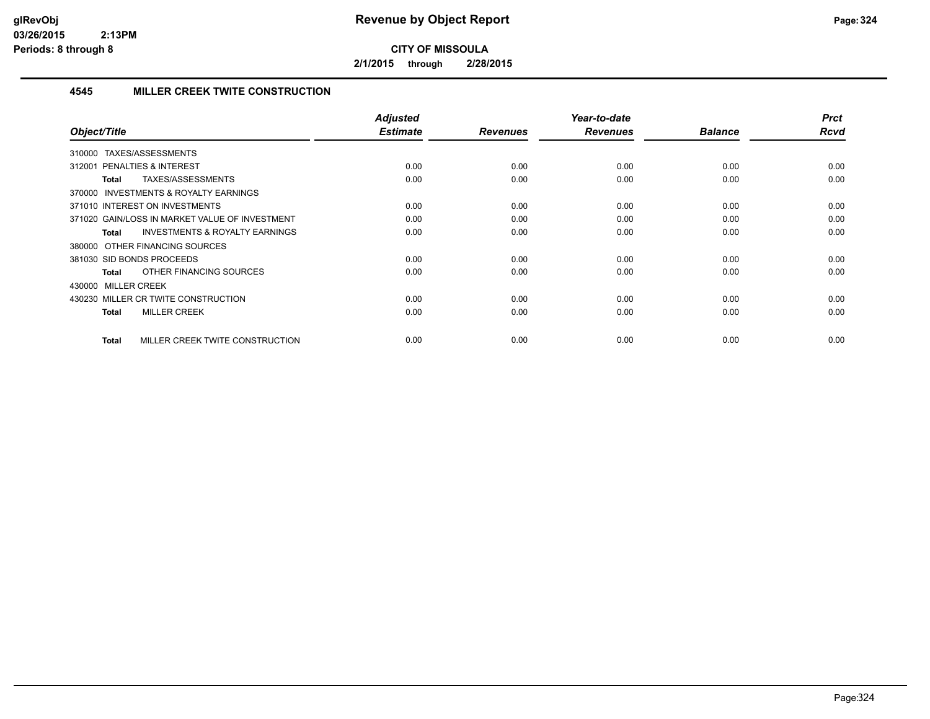**2/1/2015 through 2/28/2015**

## **4545 MILLER CREEK TWITE CONSTRUCTION**

| Object/Title                                              | Adjusted<br><b>Estimate</b> | <b>Revenues</b> | Year-to-date<br><b>Revenues</b> | <b>Balance</b> | <b>Prct</b><br>Rcvd |
|-----------------------------------------------------------|-----------------------------|-----------------|---------------------------------|----------------|---------------------|
|                                                           |                             |                 |                                 |                |                     |
| TAXES/ASSESSMENTS<br>310000                               |                             |                 |                                 |                |                     |
| PENALTIES & INTEREST<br>312001                            | 0.00                        | 0.00            | 0.00                            | 0.00           | 0.00                |
| TAXES/ASSESSMENTS<br><b>Total</b>                         | 0.00                        | 0.00            | 0.00                            | 0.00           | 0.00                |
| 370000 INVESTMENTS & ROYALTY EARNINGS                     |                             |                 |                                 |                |                     |
| 371010 INTEREST ON INVESTMENTS                            | 0.00                        | 0.00            | 0.00                            | 0.00           | 0.00                |
| 371020 GAIN/LOSS IN MARKET VALUE OF INVESTMENT            | 0.00                        | 0.00            | 0.00                            | 0.00           | 0.00                |
| <b>INVESTMENTS &amp; ROYALTY EARNINGS</b><br><b>Total</b> | 0.00                        | 0.00            | 0.00                            | 0.00           | 0.00                |
| 380000 OTHER FINANCING SOURCES                            |                             |                 |                                 |                |                     |
| 381030 SID BONDS PROCEEDS                                 | 0.00                        | 0.00            | 0.00                            | 0.00           | 0.00                |
| OTHER FINANCING SOURCES<br><b>Total</b>                   | 0.00                        | 0.00            | 0.00                            | 0.00           | 0.00                |
| 430000 MILLER CREEK                                       |                             |                 |                                 |                |                     |
| 430230 MILLER CR TWITE CONSTRUCTION                       | 0.00                        | 0.00            | 0.00                            | 0.00           | 0.00                |
| <b>MILLER CREEK</b><br><b>Total</b>                       | 0.00                        | 0.00            | 0.00                            | 0.00           | 0.00                |
|                                                           |                             |                 |                                 |                |                     |
| MILLER CREEK TWITE CONSTRUCTION<br><b>Total</b>           | 0.00                        | 0.00            | 0.00                            | 0.00           | 0.00                |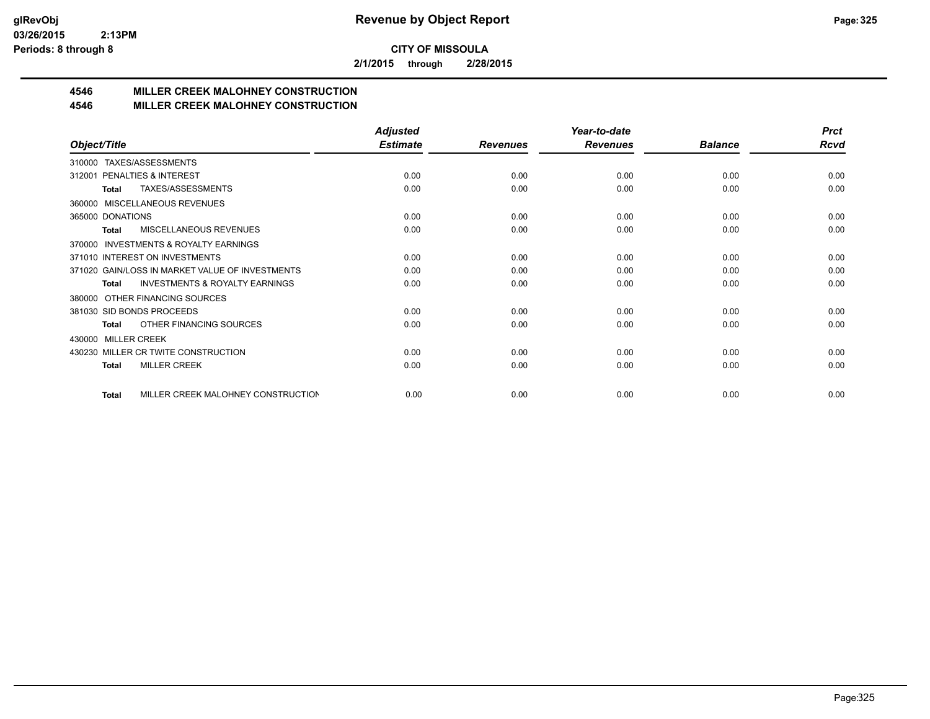**2/1/2015 through 2/28/2015**

# **4546 MILLER CREEK MALOHNEY CONSTRUCTION**

## **4546 MILLER CREEK MALOHNEY CONSTRUCTION**

|                                                           | <b>Adjusted</b> |                 | Year-to-date    |                | <b>Prct</b> |
|-----------------------------------------------------------|-----------------|-----------------|-----------------|----------------|-------------|
| Object/Title                                              | <b>Estimate</b> | <b>Revenues</b> | <b>Revenues</b> | <b>Balance</b> | Rcvd        |
| TAXES/ASSESSMENTS<br>310000                               |                 |                 |                 |                |             |
| PENALTIES & INTEREST<br>312001                            | 0.00            | 0.00            | 0.00            | 0.00           | 0.00        |
| TAXES/ASSESSMENTS<br>Total                                | 0.00            | 0.00            | 0.00            | 0.00           | 0.00        |
| MISCELLANEOUS REVENUES<br>360000                          |                 |                 |                 |                |             |
| 365000 DONATIONS                                          | 0.00            | 0.00            | 0.00            | 0.00           | 0.00        |
| <b>MISCELLANEOUS REVENUES</b><br><b>Total</b>             | 0.00            | 0.00            | 0.00            | 0.00           | 0.00        |
| <b>INVESTMENTS &amp; ROYALTY EARNINGS</b><br>370000       |                 |                 |                 |                |             |
| 371010 INTEREST ON INVESTMENTS                            | 0.00            | 0.00            | 0.00            | 0.00           | 0.00        |
| 371020 GAIN/LOSS IN MARKET VALUE OF INVESTMENTS           | 0.00            | 0.00            | 0.00            | 0.00           | 0.00        |
| <b>INVESTMENTS &amp; ROYALTY EARNINGS</b><br><b>Total</b> | 0.00            | 0.00            | 0.00            | 0.00           | 0.00        |
| OTHER FINANCING SOURCES<br>380000                         |                 |                 |                 |                |             |
| 381030 SID BONDS PROCEEDS                                 | 0.00            | 0.00            | 0.00            | 0.00           | 0.00        |
| OTHER FINANCING SOURCES<br>Total                          | 0.00            | 0.00            | 0.00            | 0.00           | 0.00        |
| <b>MILLER CREEK</b><br>430000                             |                 |                 |                 |                |             |
| 430230 MILLER CR TWITE CONSTRUCTION                       | 0.00            | 0.00            | 0.00            | 0.00           | 0.00        |
| <b>MILLER CREEK</b><br><b>Total</b>                       | 0.00            | 0.00            | 0.00            | 0.00           | 0.00        |
|                                                           |                 |                 |                 |                |             |
| MILLER CREEK MALOHNEY CONSTRUCTION<br>Total               | 0.00            | 0.00            | 0.00            | 0.00           | 0.00        |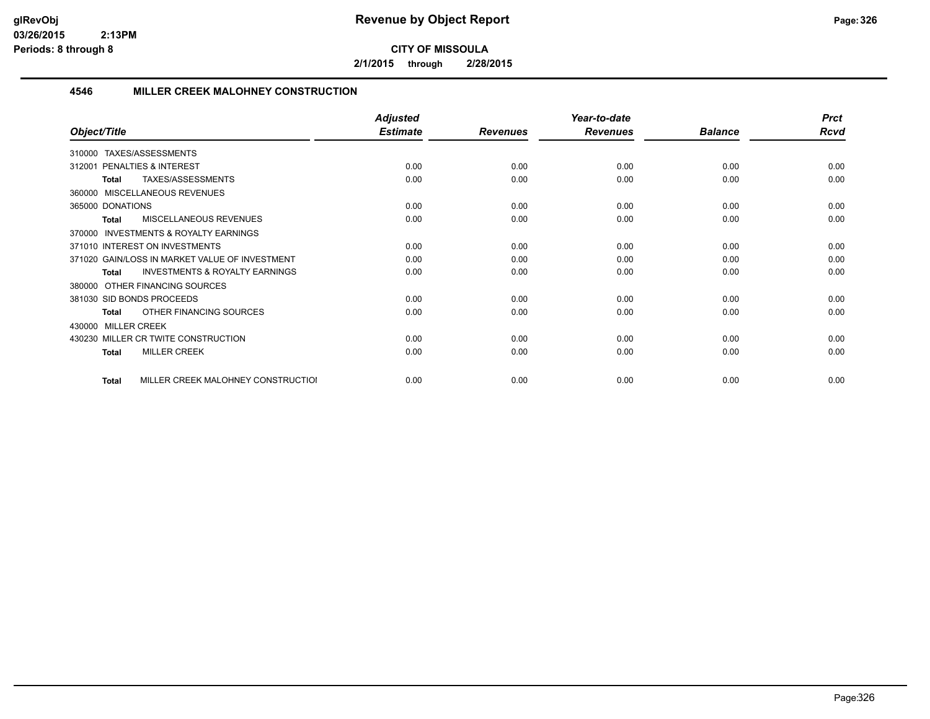**2/1/2015 through 2/28/2015**

### **4546 MILLER CREEK MALOHNEY CONSTRUCTION**

|                                                           | <b>Adjusted</b> |                 | Year-to-date    |                | <b>Prct</b> |
|-----------------------------------------------------------|-----------------|-----------------|-----------------|----------------|-------------|
| Object/Title                                              | <b>Estimate</b> | <b>Revenues</b> | <b>Revenues</b> | <b>Balance</b> | <b>Rcvd</b> |
| TAXES/ASSESSMENTS<br>310000                               |                 |                 |                 |                |             |
| 312001 PENALTIES & INTEREST                               | 0.00            | 0.00            | 0.00            | 0.00           | 0.00        |
| TAXES/ASSESSMENTS<br><b>Total</b>                         | 0.00            | 0.00            | 0.00            | 0.00           | 0.00        |
| 360000 MISCELLANEOUS REVENUES                             |                 |                 |                 |                |             |
| 365000 DONATIONS                                          | 0.00            | 0.00            | 0.00            | 0.00           | 0.00        |
| <b>MISCELLANEOUS REVENUES</b><br><b>Total</b>             | 0.00            | 0.00            | 0.00            | 0.00           | 0.00        |
| <b>INVESTMENTS &amp; ROYALTY EARNINGS</b><br>370000       |                 |                 |                 |                |             |
| 371010 INTEREST ON INVESTMENTS                            | 0.00            | 0.00            | 0.00            | 0.00           | 0.00        |
| 371020 GAIN/LOSS IN MARKET VALUE OF INVESTMENT            | 0.00            | 0.00            | 0.00            | 0.00           | 0.00        |
| <b>INVESTMENTS &amp; ROYALTY EARNINGS</b><br><b>Total</b> | 0.00            | 0.00            | 0.00            | 0.00           | 0.00        |
| 380000 OTHER FINANCING SOURCES                            |                 |                 |                 |                |             |
| 381030 SID BONDS PROCEEDS                                 | 0.00            | 0.00            | 0.00            | 0.00           | 0.00        |
| OTHER FINANCING SOURCES<br><b>Total</b>                   | 0.00            | 0.00            | 0.00            | 0.00           | 0.00        |
| 430000 MILLER CREEK                                       |                 |                 |                 |                |             |
| 430230 MILLER CR TWITE CONSTRUCTION                       | 0.00            | 0.00            | 0.00            | 0.00           | 0.00        |
| <b>MILLER CREEK</b><br><b>Total</b>                       | 0.00            | 0.00            | 0.00            | 0.00           | 0.00        |
| MILLER CREEK MALOHNEY CONSTRUCTIOI<br><b>Total</b>        | 0.00            | 0.00            | 0.00            | 0.00           | 0.00        |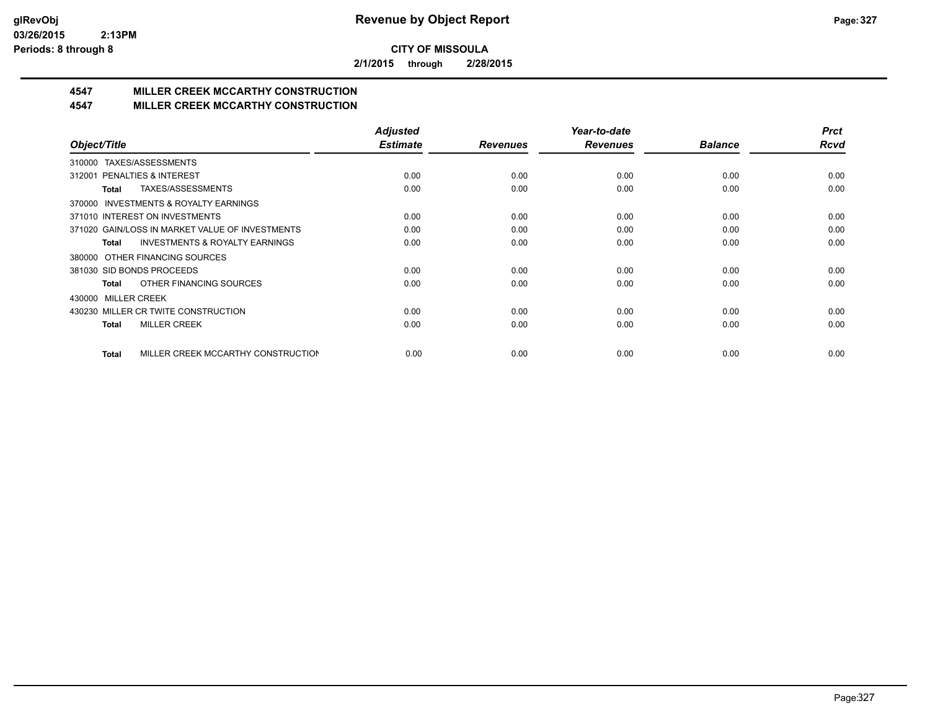**2/1/2015 through 2/28/2015**

# **4547 MILLER CREEK MCCARTHY CONSTRUCTION**

### **4547 MILLER CREEK MCCARTHY CONSTRUCTION**

|                                                     | <b>Adjusted</b> |                 | Year-to-date    |                | <b>Prct</b> |
|-----------------------------------------------------|-----------------|-----------------|-----------------|----------------|-------------|
| Object/Title                                        | <b>Estimate</b> | <b>Revenues</b> | <b>Revenues</b> | <b>Balance</b> | <b>Rcvd</b> |
| TAXES/ASSESSMENTS<br>310000                         |                 |                 |                 |                |             |
| 312001 PENALTIES & INTEREST                         | 0.00            | 0.00            | 0.00            | 0.00           | 0.00        |
| TAXES/ASSESSMENTS<br>Total                          | 0.00            | 0.00            | 0.00            | 0.00           | 0.00        |
| <b>INVESTMENTS &amp; ROYALTY EARNINGS</b><br>370000 |                 |                 |                 |                |             |
| 371010 INTEREST ON INVESTMENTS                      | 0.00            | 0.00            | 0.00            | 0.00           | 0.00        |
| 371020 GAIN/LOSS IN MARKET VALUE OF INVESTMENTS     | 0.00            | 0.00            | 0.00            | 0.00           | 0.00        |
| <b>INVESTMENTS &amp; ROYALTY EARNINGS</b><br>Total  | 0.00            | 0.00            | 0.00            | 0.00           | 0.00        |
| 380000 OTHER FINANCING SOURCES                      |                 |                 |                 |                |             |
| 381030 SID BONDS PROCEEDS                           | 0.00            | 0.00            | 0.00            | 0.00           | 0.00        |
| OTHER FINANCING SOURCES<br>Total                    | 0.00            | 0.00            | 0.00            | 0.00           | 0.00        |
| <b>MILLER CREEK</b><br>430000                       |                 |                 |                 |                |             |
| 430230 MILLER CR TWITE CONSTRUCTION                 | 0.00            | 0.00            | 0.00            | 0.00           | 0.00        |
| <b>MILLER CREEK</b><br>Total                        | 0.00            | 0.00            | 0.00            | 0.00           | 0.00        |
|                                                     |                 |                 |                 |                |             |
| MILLER CREEK MCCARTHY CONSTRUCTION<br><b>Total</b>  | 0.00            | 0.00            | 0.00            | 0.00           | 0.00        |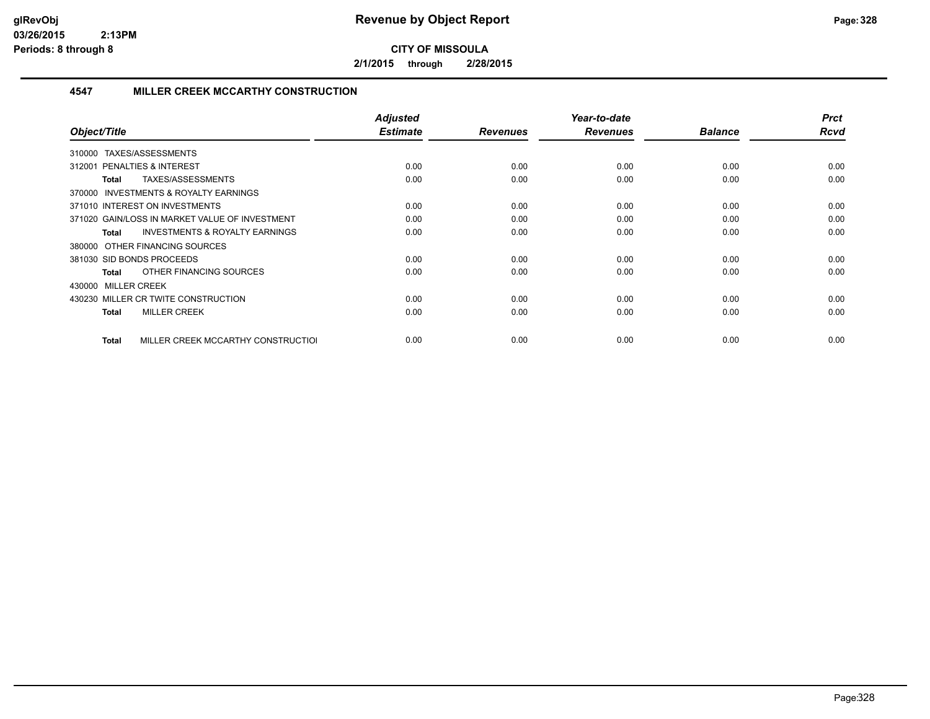**2/1/2015 through 2/28/2015**

### **4547 MILLER CREEK MCCARTHY CONSTRUCTION**

| Object/Title                                              | <b>Adjusted</b><br><b>Estimate</b> | <b>Revenues</b> | Year-to-date<br><b>Revenues</b> | <b>Balance</b> | <b>Prct</b><br><b>Rcvd</b> |
|-----------------------------------------------------------|------------------------------------|-----------------|---------------------------------|----------------|----------------------------|
| TAXES/ASSESSMENTS<br>310000                               |                                    |                 |                                 |                |                            |
| 312001 PENALTIES & INTEREST                               | 0.00                               | 0.00            | 0.00                            | 0.00           | 0.00                       |
| TAXES/ASSESSMENTS<br><b>Total</b>                         | 0.00                               | 0.00            | 0.00                            | 0.00           | 0.00                       |
| <b>INVESTMENTS &amp; ROYALTY EARNINGS</b><br>370000       |                                    |                 |                                 |                |                            |
| 371010 INTEREST ON INVESTMENTS                            | 0.00                               | 0.00            | 0.00                            | 0.00           | 0.00                       |
| 371020 GAIN/LOSS IN MARKET VALUE OF INVESTMENT            | 0.00                               | 0.00            | 0.00                            | 0.00           | 0.00                       |
| <b>INVESTMENTS &amp; ROYALTY EARNINGS</b><br><b>Total</b> | 0.00                               | 0.00            | 0.00                            | 0.00           | 0.00                       |
| 380000 OTHER FINANCING SOURCES                            |                                    |                 |                                 |                |                            |
| 381030 SID BONDS PROCEEDS                                 | 0.00                               | 0.00            | 0.00                            | 0.00           | 0.00                       |
| OTHER FINANCING SOURCES<br><b>Total</b>                   | 0.00                               | 0.00            | 0.00                            | 0.00           | 0.00                       |
| 430000 MILLER CREEK                                       |                                    |                 |                                 |                |                            |
| 430230 MILLER CR TWITE CONSTRUCTION                       | 0.00                               | 0.00            | 0.00                            | 0.00           | 0.00                       |
| <b>MILLER CREEK</b><br><b>Total</b>                       | 0.00                               | 0.00            | 0.00                            | 0.00           | 0.00                       |
|                                                           |                                    |                 |                                 |                |                            |
| MILLER CREEK MCCARTHY CONSTRUCTIOI<br><b>Total</b>        | 0.00                               | 0.00            | 0.00                            | 0.00           | 0.00                       |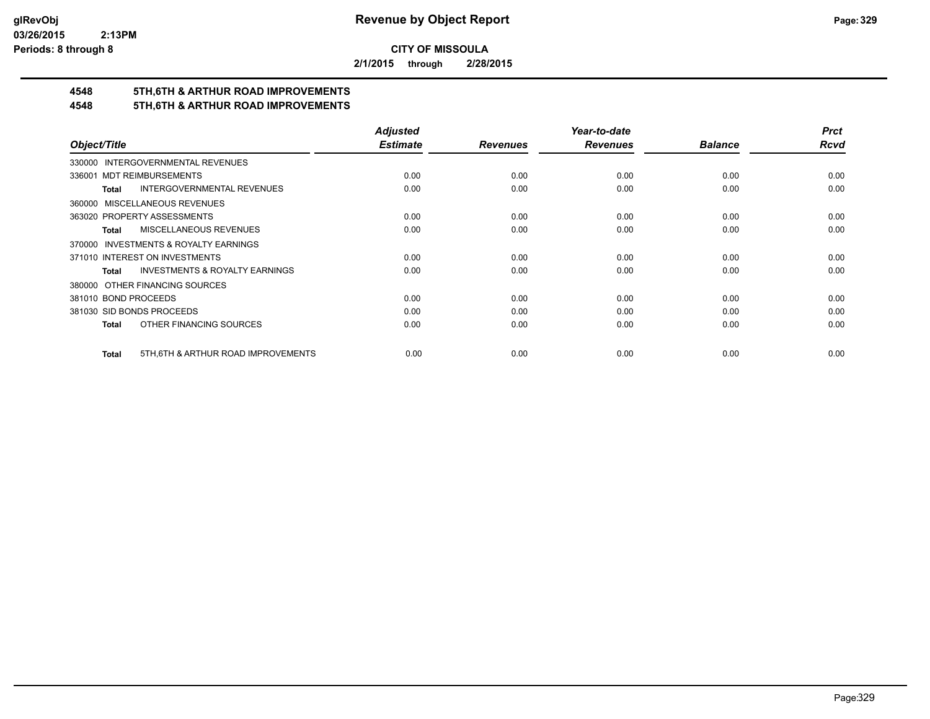**2/1/2015 through 2/28/2015**

# **4548 5TH,6TH & ARTHUR ROAD IMPROVEMENTS**

## **4548 5TH,6TH & ARTHUR ROAD IMPROVEMENTS**

|                                                           | <b>Adjusted</b> |                 | Year-to-date    |                | <b>Prct</b> |
|-----------------------------------------------------------|-----------------|-----------------|-----------------|----------------|-------------|
| Object/Title                                              | <b>Estimate</b> | <b>Revenues</b> | <b>Revenues</b> | <b>Balance</b> | <b>Rcvd</b> |
| 330000 INTERGOVERNMENTAL REVENUES                         |                 |                 |                 |                |             |
| <b>MDT REIMBURSEMENTS</b><br>336001                       | 0.00            | 0.00            | 0.00            | 0.00           | 0.00        |
| <b>INTERGOVERNMENTAL REVENUES</b><br>Total                | 0.00            | 0.00            | 0.00            | 0.00           | 0.00        |
| 360000 MISCELLANEOUS REVENUES                             |                 |                 |                 |                |             |
| 363020 PROPERTY ASSESSMENTS                               | 0.00            | 0.00            | 0.00            | 0.00           | 0.00        |
| MISCELLANEOUS REVENUES<br>Total                           | 0.00            | 0.00            | 0.00            | 0.00           | 0.00        |
| 370000 INVESTMENTS & ROYALTY EARNINGS                     |                 |                 |                 |                |             |
| 371010 INTEREST ON INVESTMENTS                            | 0.00            | 0.00            | 0.00            | 0.00           | 0.00        |
| <b>INVESTMENTS &amp; ROYALTY EARNINGS</b><br><b>Total</b> | 0.00            | 0.00            | 0.00            | 0.00           | 0.00        |
| 380000 OTHER FINANCING SOURCES                            |                 |                 |                 |                |             |
| 381010 BOND PROCEEDS                                      | 0.00            | 0.00            | 0.00            | 0.00           | 0.00        |
| 381030 SID BONDS PROCEEDS                                 | 0.00            | 0.00            | 0.00            | 0.00           | 0.00        |
| OTHER FINANCING SOURCES<br><b>Total</b>                   | 0.00            | 0.00            | 0.00            | 0.00           | 0.00        |
| 5TH, 6TH & ARTHUR ROAD IMPROVEMENTS<br><b>Total</b>       | 0.00            | 0.00            | 0.00            | 0.00           | 0.00        |
|                                                           |                 |                 |                 |                |             |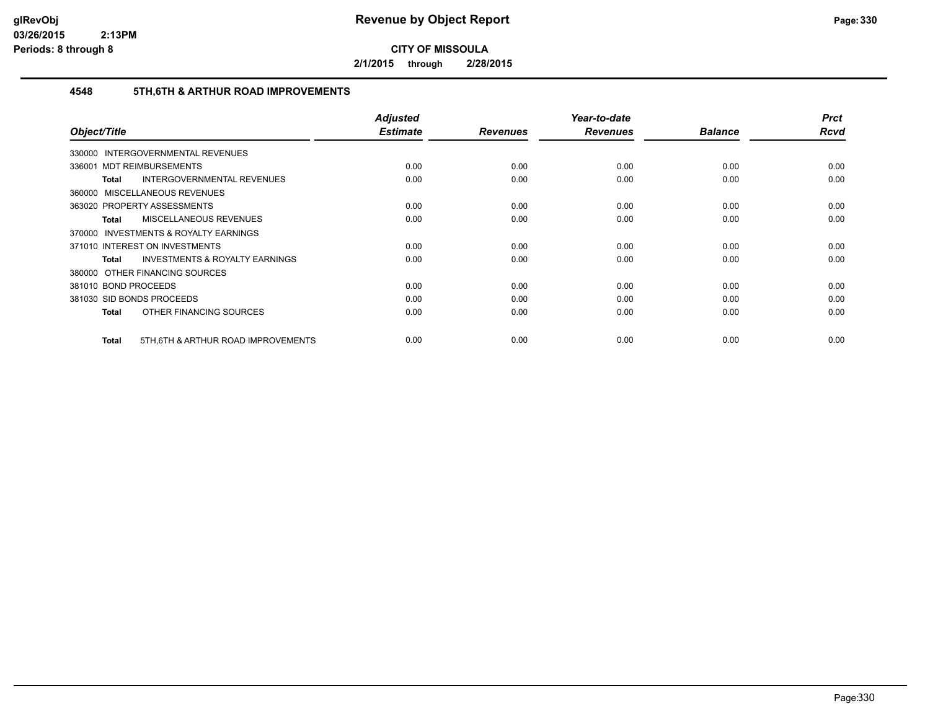**2/1/2015 through 2/28/2015**

### **4548 5TH,6TH & ARTHUR ROAD IMPROVEMENTS**

| Object/Title                                       | <b>Adjusted</b><br><b>Estimate</b> | <b>Revenues</b> | Year-to-date<br><b>Revenues</b> | <b>Balance</b> | <b>Prct</b><br><b>Rcvd</b> |
|----------------------------------------------------|------------------------------------|-----------------|---------------------------------|----------------|----------------------------|
| INTERGOVERNMENTAL REVENUES<br>330000               |                                    |                 |                                 |                |                            |
| 336001 MDT REIMBURSEMENTS                          | 0.00                               | 0.00            | 0.00                            | 0.00           | 0.00                       |
| <b>INTERGOVERNMENTAL REVENUES</b><br>Total         | 0.00                               | 0.00            | 0.00                            | 0.00           | 0.00                       |
| 360000 MISCELLANEOUS REVENUES                      |                                    |                 |                                 |                |                            |
| 363020 PROPERTY ASSESSMENTS                        | 0.00                               | 0.00            | 0.00                            | 0.00           | 0.00                       |
| <b>MISCELLANEOUS REVENUES</b><br>Total             | 0.00                               | 0.00            | 0.00                            | 0.00           | 0.00                       |
| 370000 INVESTMENTS & ROYALTY EARNINGS              |                                    |                 |                                 |                |                            |
| 371010 INTEREST ON INVESTMENTS                     | 0.00                               | 0.00            | 0.00                            | 0.00           | 0.00                       |
| <b>INVESTMENTS &amp; ROYALTY EARNINGS</b><br>Total | 0.00                               | 0.00            | 0.00                            | 0.00           | 0.00                       |
| 380000 OTHER FINANCING SOURCES                     |                                    |                 |                                 |                |                            |
| 381010 BOND PROCEEDS                               | 0.00                               | 0.00            | 0.00                            | 0.00           | 0.00                       |
| 381030 SID BONDS PROCEEDS                          | 0.00                               | 0.00            | 0.00                            | 0.00           | 0.00                       |
| OTHER FINANCING SOURCES<br>Total                   | 0.00                               | 0.00            | 0.00                            | 0.00           | 0.00                       |
| 5TH, 6TH & ARTHUR ROAD IMPROVEMENTS<br>Total       | 0.00                               | 0.00            | 0.00                            | 0.00           | 0.00                       |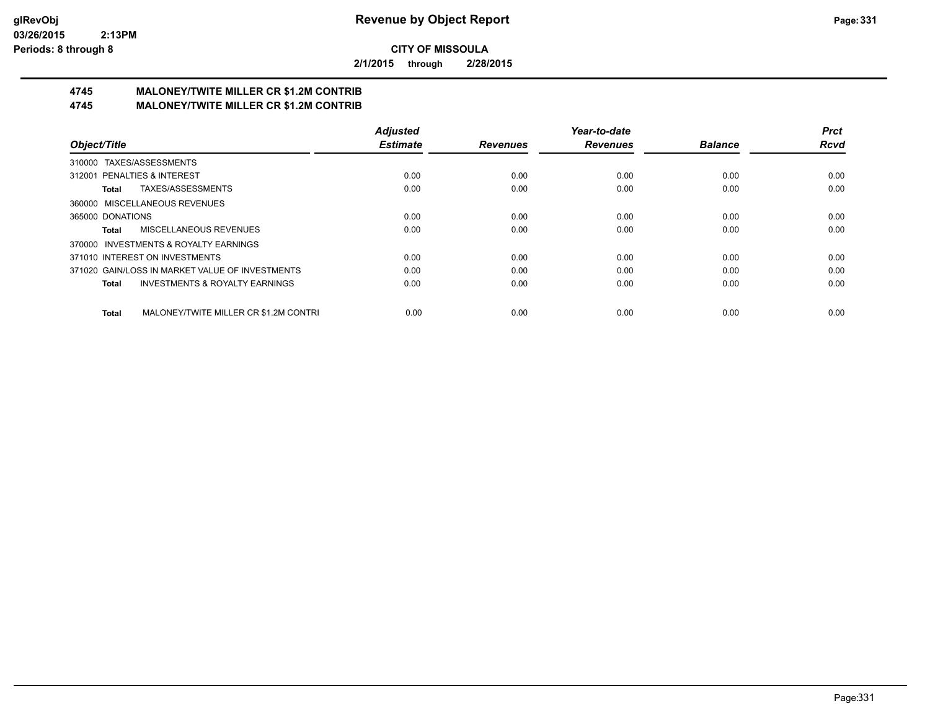**2/1/2015 through 2/28/2015**

# **4745 MALONEY/TWITE MILLER CR \$1.2M CONTRIB**

**4745 MALONEY/TWITE MILLER CR \$1.2M CONTRIB**

|                                                           | <b>Adjusted</b> |                 | Year-to-date    |                | <b>Prct</b> |
|-----------------------------------------------------------|-----------------|-----------------|-----------------|----------------|-------------|
| Object/Title                                              | <b>Estimate</b> | <b>Revenues</b> | <b>Revenues</b> | <b>Balance</b> | <b>Rcvd</b> |
| 310000 TAXES/ASSESSMENTS                                  |                 |                 |                 |                |             |
| 312001 PENALTIES & INTEREST                               | 0.00            | 0.00            | 0.00            | 0.00           | 0.00        |
| TAXES/ASSESSMENTS<br>Total                                | 0.00            | 0.00            | 0.00            | 0.00           | 0.00        |
| 360000 MISCELLANEOUS REVENUES                             |                 |                 |                 |                |             |
| 365000 DONATIONS                                          | 0.00            | 0.00            | 0.00            | 0.00           | 0.00        |
| MISCELLANEOUS REVENUES<br>Total                           | 0.00            | 0.00            | 0.00            | 0.00           | 0.00        |
| 370000 INVESTMENTS & ROYALTY EARNINGS                     |                 |                 |                 |                |             |
| 371010 INTEREST ON INVESTMENTS                            | 0.00            | 0.00            | 0.00            | 0.00           | 0.00        |
| 371020 GAIN/LOSS IN MARKET VALUE OF INVESTMENTS           | 0.00            | 0.00            | 0.00            | 0.00           | 0.00        |
| <b>INVESTMENTS &amp; ROYALTY EARNINGS</b><br><b>Total</b> | 0.00            | 0.00            | 0.00            | 0.00           | 0.00        |
| MALONEY/TWITE MILLER CR \$1.2M CONTRI<br><b>Total</b>     | 0.00            | 0.00            | 0.00            | 0.00           | 0.00        |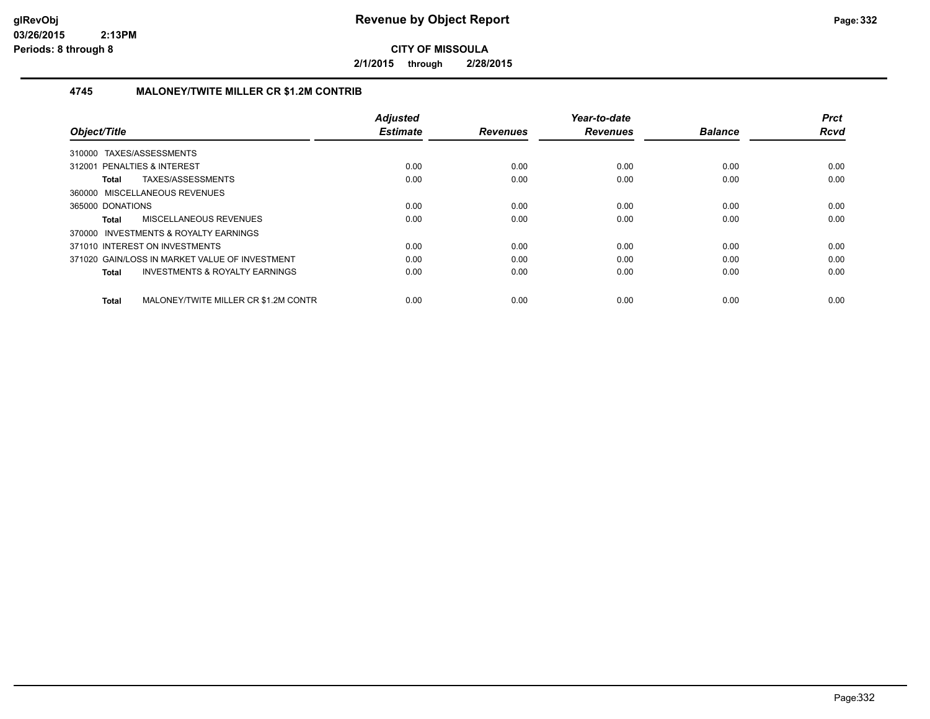**2/1/2015 through 2/28/2015**

### **4745 MALONEY/TWITE MILLER CR \$1.2M CONTRIB**

| Object/Title                                         | <b>Adjusted</b><br><b>Estimate</b> | <b>Revenues</b> | Year-to-date<br><b>Revenues</b> | <b>Balance</b> | <b>Prct</b><br><b>Rcvd</b> |
|------------------------------------------------------|------------------------------------|-----------------|---------------------------------|----------------|----------------------------|
|                                                      |                                    |                 |                                 |                |                            |
| TAXES/ASSESSMENTS<br>310000                          |                                    |                 |                                 |                |                            |
| 312001 PENALTIES & INTEREST                          | 0.00                               | 0.00            | 0.00                            | 0.00           | 0.00                       |
| TAXES/ASSESSMENTS<br>Total                           | 0.00                               | 0.00            | 0.00                            | 0.00           | 0.00                       |
| 360000 MISCELLANEOUS REVENUES                        |                                    |                 |                                 |                |                            |
| 365000 DONATIONS                                     | 0.00                               | 0.00            | 0.00                            | 0.00           | 0.00                       |
| MISCELLANEOUS REVENUES<br>Total                      | 0.00                               | 0.00            | 0.00                            | 0.00           | 0.00                       |
| 370000 INVESTMENTS & ROYALTY EARNINGS                |                                    |                 |                                 |                |                            |
| 371010 INTEREST ON INVESTMENTS                       | 0.00                               | 0.00            | 0.00                            | 0.00           | 0.00                       |
| 371020 GAIN/LOSS IN MARKET VALUE OF INVESTMENT       | 0.00                               | 0.00            | 0.00                            | 0.00           | 0.00                       |
| <b>INVESTMENTS &amp; ROYALTY EARNINGS</b><br>Total   | 0.00                               | 0.00            | 0.00                            | 0.00           | 0.00                       |
|                                                      |                                    |                 |                                 |                |                            |
| MALONEY/TWITE MILLER CR \$1.2M CONTR<br><b>Total</b> | 0.00                               | 0.00            | 0.00                            | 0.00           | 0.00                       |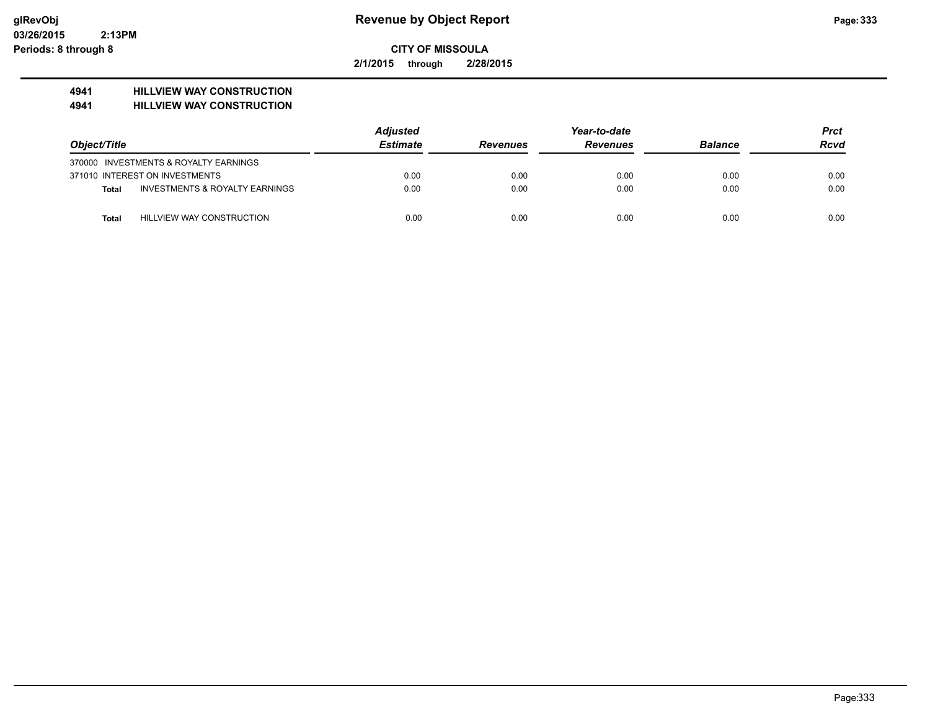**2/1/2015 through 2/28/2015**

# **4941 HILLVIEW WAY CONSTRUCTION**

#### **4941 HILLVIEW WAY CONSTRUCTION**

|              |                                           | <b>Adjusted</b> |                 | Year-to-date    |                | <b>Prct</b> |
|--------------|-------------------------------------------|-----------------|-----------------|-----------------|----------------|-------------|
| Object/Title |                                           | <b>Estimate</b> | <b>Revenues</b> | <b>Revenues</b> | <b>Balance</b> | <b>Rcvd</b> |
|              | 370000 INVESTMENTS & ROYALTY EARNINGS     |                 |                 |                 |                |             |
|              | 371010 INTEREST ON INVESTMENTS            | 0.00            | 0.00            | 0.00            | 0.00           | 0.00        |
| Total        | <b>INVESTMENTS &amp; ROYALTY EARNINGS</b> | 0.00            | 0.00            | 0.00            | 0.00           | 0.00        |
| Total        | HILLVIEW WAY CONSTRUCTION                 | 0.00            | 0.00            | 0.00            | 0.00           | 0.00        |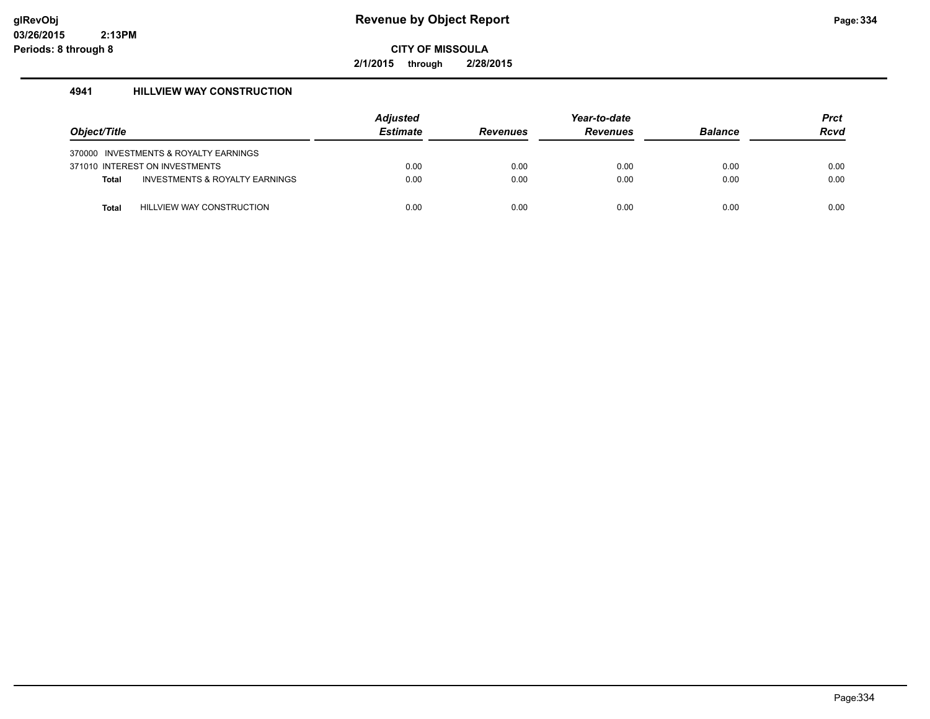## **glRevObj Revenue by Object Report Page:334**

**CITY OF MISSOULA**

**2/1/2015 through 2/28/2015**

### **4941 HILLVIEW WAY CONSTRUCTION**

| Object/Title |                                       | <b>Adjusted</b><br><b>Estimate</b> | <b>Revenues</b> | Year-to-date<br><b>Revenues</b> | <b>Balance</b> | <b>Prct</b><br><b>Rcvd</b> |
|--------------|---------------------------------------|------------------------------------|-----------------|---------------------------------|----------------|----------------------------|
|              | 370000 INVESTMENTS & ROYALTY EARNINGS |                                    |                 |                                 |                |                            |
|              | 371010 INTEREST ON INVESTMENTS        | 0.00                               | 0.00            | 0.00                            | 0.00           | 0.00                       |
| <b>Total</b> | INVESTMENTS & ROYALTY EARNINGS        | 0.00                               | 0.00            | 0.00                            | 0.00           | 0.00                       |
| Total        | <b>HILLVIEW WAY CONSTRUCTION</b>      | 0.00                               | 0.00            | 0.00                            | 0.00           | 0.00                       |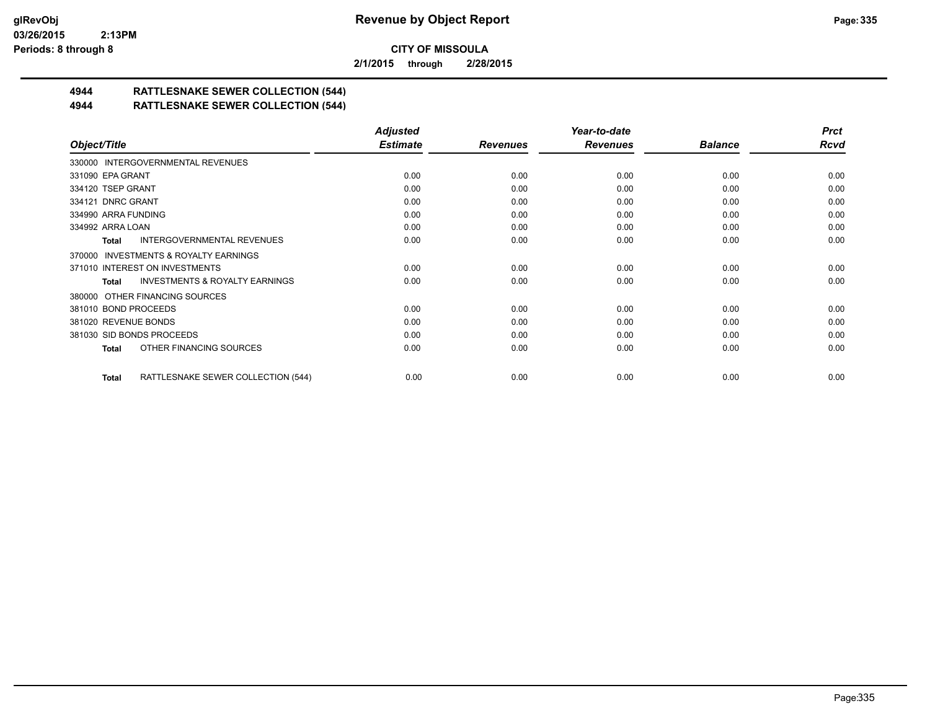**2/1/2015 through 2/28/2015**

# **4944 RATTLESNAKE SEWER COLLECTION (544)**

### **4944 RATTLESNAKE SEWER COLLECTION (544)**

|                                                    | <b>Adjusted</b> |                 | Year-to-date    |                | <b>Prct</b> |
|----------------------------------------------------|-----------------|-----------------|-----------------|----------------|-------------|
| Object/Title                                       | <b>Estimate</b> | <b>Revenues</b> | <b>Revenues</b> | <b>Balance</b> | <b>Rcvd</b> |
| 330000 INTERGOVERNMENTAL REVENUES                  |                 |                 |                 |                |             |
| 331090 EPA GRANT                                   | 0.00            | 0.00            | 0.00            | 0.00           | 0.00        |
| 334120 TSEP GRANT                                  | 0.00            | 0.00            | 0.00            | 0.00           | 0.00        |
| 334121 DNRC GRANT                                  | 0.00            | 0.00            | 0.00            | 0.00           | 0.00        |
| 334990 ARRA FUNDING                                | 0.00            | 0.00            | 0.00            | 0.00           | 0.00        |
| 334992 ARRA LOAN                                   | 0.00            | 0.00            | 0.00            | 0.00           | 0.00        |
| <b>INTERGOVERNMENTAL REVENUES</b><br>Total         | 0.00            | 0.00            | 0.00            | 0.00           | 0.00        |
| 370000 INVESTMENTS & ROYALTY EARNINGS              |                 |                 |                 |                |             |
| 371010 INTEREST ON INVESTMENTS                     | 0.00            | 0.00            | 0.00            | 0.00           | 0.00        |
| <b>INVESTMENTS &amp; ROYALTY EARNINGS</b><br>Total | 0.00            | 0.00            | 0.00            | 0.00           | 0.00        |
| 380000 OTHER FINANCING SOURCES                     |                 |                 |                 |                |             |
| 381010 BOND PROCEEDS                               | 0.00            | 0.00            | 0.00            | 0.00           | 0.00        |
| 381020 REVENUE BONDS                               | 0.00            | 0.00            | 0.00            | 0.00           | 0.00        |
| 381030 SID BONDS PROCEEDS                          | 0.00            | 0.00            | 0.00            | 0.00           | 0.00        |
| OTHER FINANCING SOURCES<br>Total                   | 0.00            | 0.00            | 0.00            | 0.00           | 0.00        |
| RATTLESNAKE SEWER COLLECTION (544)<br>Total        | 0.00            | 0.00            | 0.00            | 0.00           | 0.00        |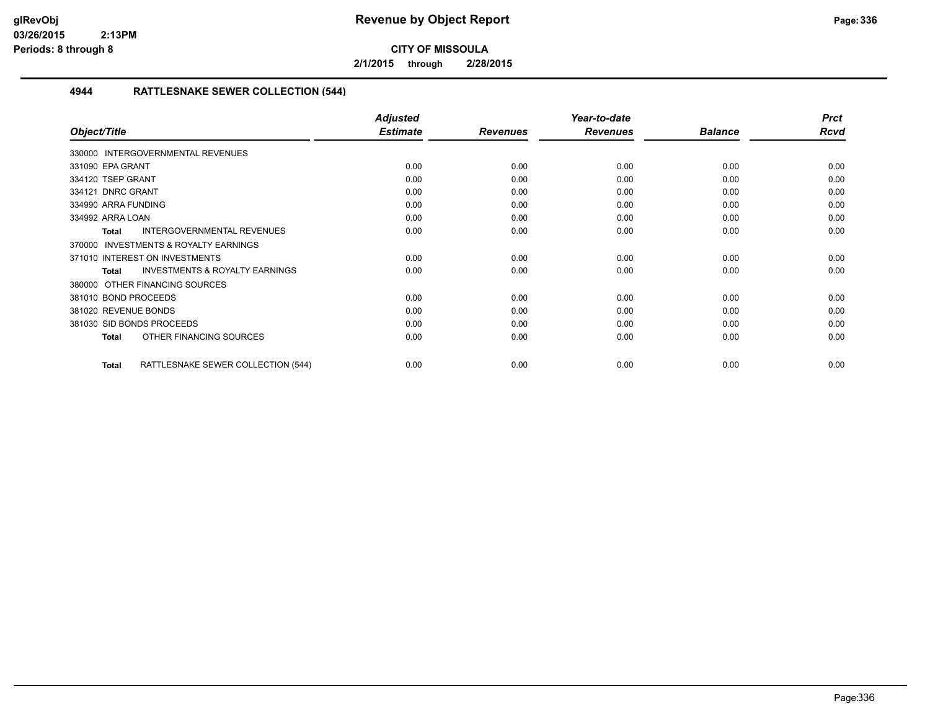**2/1/2015 through 2/28/2015**

## **4944 RATTLESNAKE SEWER COLLECTION (544)**

|                                                           | <b>Adjusted</b> |                 | Year-to-date    |                | <b>Prct</b> |
|-----------------------------------------------------------|-----------------|-----------------|-----------------|----------------|-------------|
| Object/Title                                              | <b>Estimate</b> | <b>Revenues</b> | <b>Revenues</b> | <b>Balance</b> | <b>Rcvd</b> |
| 330000 INTERGOVERNMENTAL REVENUES                         |                 |                 |                 |                |             |
| 331090 EPA GRANT                                          | 0.00            | 0.00            | 0.00            | 0.00           | 0.00        |
| 334120 TSEP GRANT                                         | 0.00            | 0.00            | 0.00            | 0.00           | 0.00        |
| 334121 DNRC GRANT                                         | 0.00            | 0.00            | 0.00            | 0.00           | 0.00        |
| 334990 ARRA FUNDING                                       | 0.00            | 0.00            | 0.00            | 0.00           | 0.00        |
| 334992 ARRA LOAN                                          | 0.00            | 0.00            | 0.00            | 0.00           | 0.00        |
| <b>INTERGOVERNMENTAL REVENUES</b><br><b>Total</b>         | 0.00            | 0.00            | 0.00            | 0.00           | 0.00        |
| INVESTMENTS & ROYALTY EARNINGS<br>370000                  |                 |                 |                 |                |             |
| 371010 INTEREST ON INVESTMENTS                            | 0.00            | 0.00            | 0.00            | 0.00           | 0.00        |
| <b>INVESTMENTS &amp; ROYALTY EARNINGS</b><br><b>Total</b> | 0.00            | 0.00            | 0.00            | 0.00           | 0.00        |
| 380000 OTHER FINANCING SOURCES                            |                 |                 |                 |                |             |
| 381010 BOND PROCEEDS                                      | 0.00            | 0.00            | 0.00            | 0.00           | 0.00        |
| 381020 REVENUE BONDS                                      | 0.00            | 0.00            | 0.00            | 0.00           | 0.00        |
| 381030 SID BONDS PROCEEDS                                 | 0.00            | 0.00            | 0.00            | 0.00           | 0.00        |
| OTHER FINANCING SOURCES<br><b>Total</b>                   | 0.00            | 0.00            | 0.00            | 0.00           | 0.00        |
| RATTLESNAKE SEWER COLLECTION (544)<br><b>Total</b>        | 0.00            | 0.00            | 0.00            | 0.00           | 0.00        |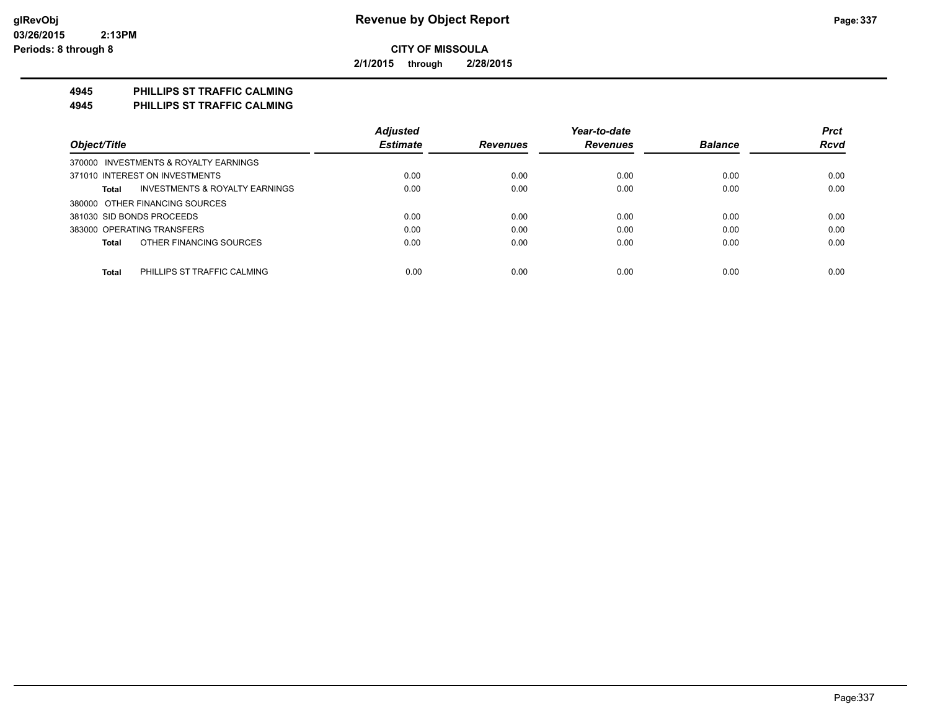**2/1/2015 through 2/28/2015**

## **4945 PHILLIPS ST TRAFFIC CALMING**

**4945 PHILLIPS ST TRAFFIC CALMING**

|                                             | <b>Adjusted</b> |                 | Year-to-date    |                | <b>Prct</b> |
|---------------------------------------------|-----------------|-----------------|-----------------|----------------|-------------|
| Object/Title                                | <b>Estimate</b> | <b>Revenues</b> | <b>Revenues</b> | <b>Balance</b> | <b>Rcvd</b> |
| 370000 INVESTMENTS & ROYALTY EARNINGS       |                 |                 |                 |                |             |
| 371010 INTEREST ON INVESTMENTS              | 0.00            | 0.00            | 0.00            | 0.00           | 0.00        |
| INVESTMENTS & ROYALTY EARNINGS<br>Total     | 0.00            | 0.00            | 0.00            | 0.00           | 0.00        |
| 380000 OTHER FINANCING SOURCES              |                 |                 |                 |                |             |
| 381030 SID BONDS PROCEEDS                   | 0.00            | 0.00            | 0.00            | 0.00           | 0.00        |
| 383000 OPERATING TRANSFERS                  | 0.00            | 0.00            | 0.00            | 0.00           | 0.00        |
| OTHER FINANCING SOURCES<br>Total            | 0.00            | 0.00            | 0.00            | 0.00           | 0.00        |
| <b>Total</b><br>PHILLIPS ST TRAFFIC CALMING | 0.00            | 0.00            | 0.00            | 0.00           | 0.00        |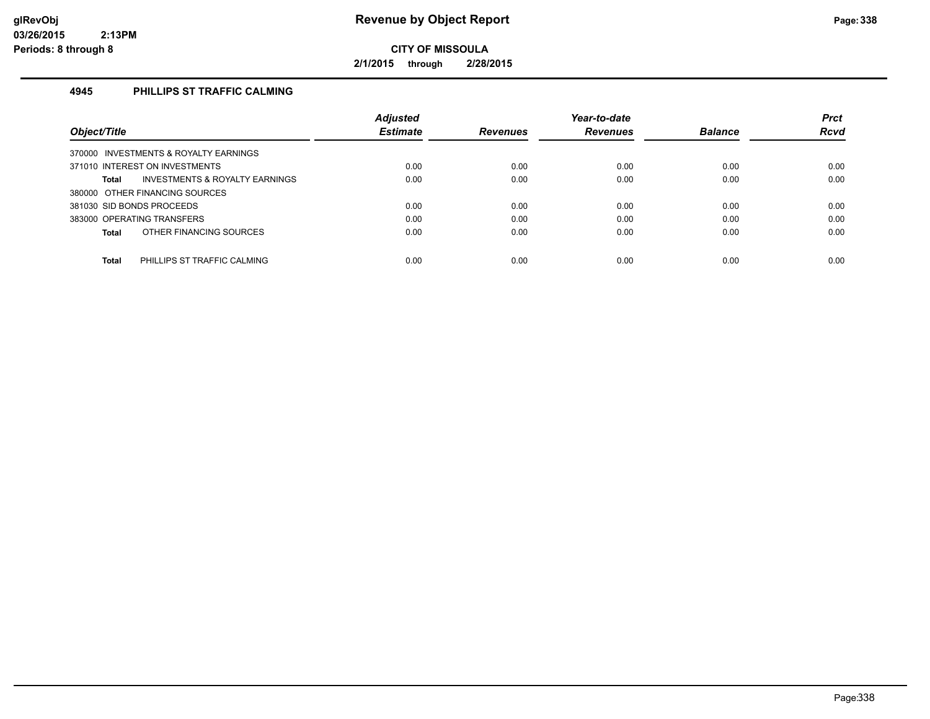**2/1/2015 through 2/28/2015**

### **4945 PHILLIPS ST TRAFFIC CALMING**

|                                                | <b>Adjusted</b> |                 | Year-to-date    |                | <b>Prct</b> |
|------------------------------------------------|-----------------|-----------------|-----------------|----------------|-------------|
| Object/Title                                   | <b>Estimate</b> | <b>Revenues</b> | <b>Revenues</b> | <b>Balance</b> | <b>Rcvd</b> |
| 370000 INVESTMENTS & ROYALTY EARNINGS          |                 |                 |                 |                |             |
| 371010 INTEREST ON INVESTMENTS                 | 0.00            | 0.00            | 0.00            | 0.00           | 0.00        |
| INVESTMENTS & ROYALTY EARNINGS<br><b>Total</b> | 0.00            | 0.00            | 0.00            | 0.00           | 0.00        |
| 380000 OTHER FINANCING SOURCES                 |                 |                 |                 |                |             |
| 381030 SID BONDS PROCEEDS                      | 0.00            | 0.00            | 0.00            | 0.00           | 0.00        |
| 383000 OPERATING TRANSFERS                     | 0.00            | 0.00            | 0.00            | 0.00           | 0.00        |
| OTHER FINANCING SOURCES<br><b>Total</b>        | 0.00            | 0.00            | 0.00            | 0.00           | 0.00        |
|                                                |                 |                 |                 |                |             |
| <b>Total</b><br>PHILLIPS ST TRAFFIC CALMING    | 0.00            | 0.00            | 0.00            | 0.00           | 0.00        |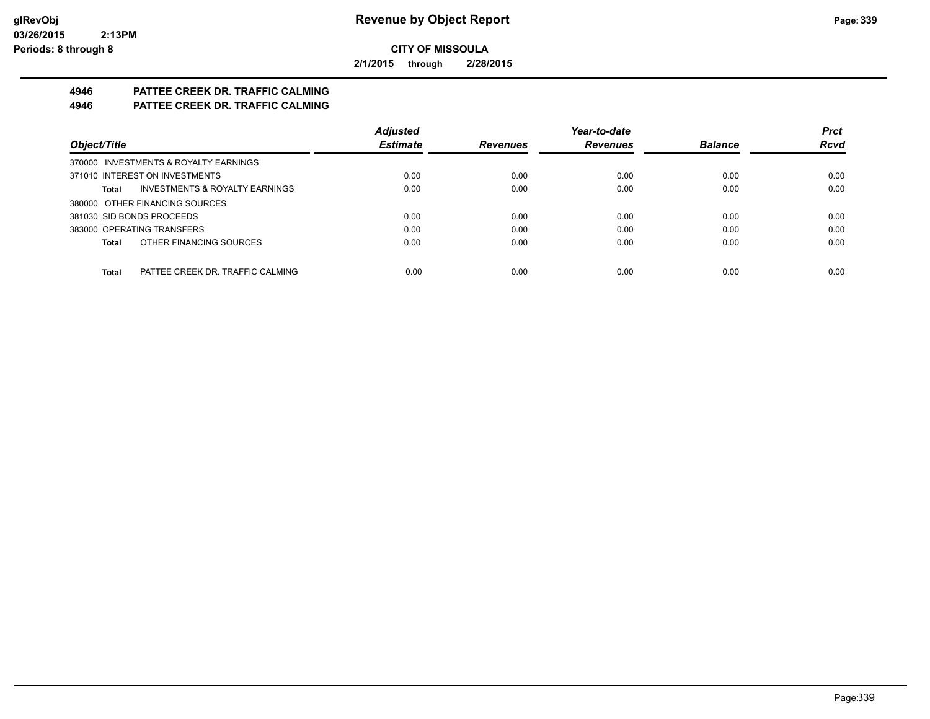**2/1/2015 through 2/28/2015**

# **4946 PATTEE CREEK DR. TRAFFIC CALMING**

**4946 PATTEE CREEK DR. TRAFFIC CALMING**

|                                                  | <b>Adjusted</b> |                 | Year-to-date    |                | <b>Prct</b> |
|--------------------------------------------------|-----------------|-----------------|-----------------|----------------|-------------|
| Object/Title                                     | <b>Estimate</b> | <b>Revenues</b> | <b>Revenues</b> | <b>Balance</b> | <b>Rcvd</b> |
| 370000 INVESTMENTS & ROYALTY EARNINGS            |                 |                 |                 |                |             |
| 371010 INTEREST ON INVESTMENTS                   | 0.00            | 0.00            | 0.00            | 0.00           | 0.00        |
| INVESTMENTS & ROYALTY EARNINGS<br>Total          | 0.00            | 0.00            | 0.00            | 0.00           | 0.00        |
| 380000 OTHER FINANCING SOURCES                   |                 |                 |                 |                |             |
| 381030 SID BONDS PROCEEDS                        | 0.00            | 0.00            | 0.00            | 0.00           | 0.00        |
| 383000 OPERATING TRANSFERS                       | 0.00            | 0.00            | 0.00            | 0.00           | 0.00        |
| OTHER FINANCING SOURCES<br>Total                 | 0.00            | 0.00            | 0.00            | 0.00           | 0.00        |
|                                                  |                 |                 |                 |                |             |
| PATTEE CREEK DR. TRAFFIC CALMING<br><b>Total</b> | 0.00            | 0.00            | 0.00            | 0.00           | 0.00        |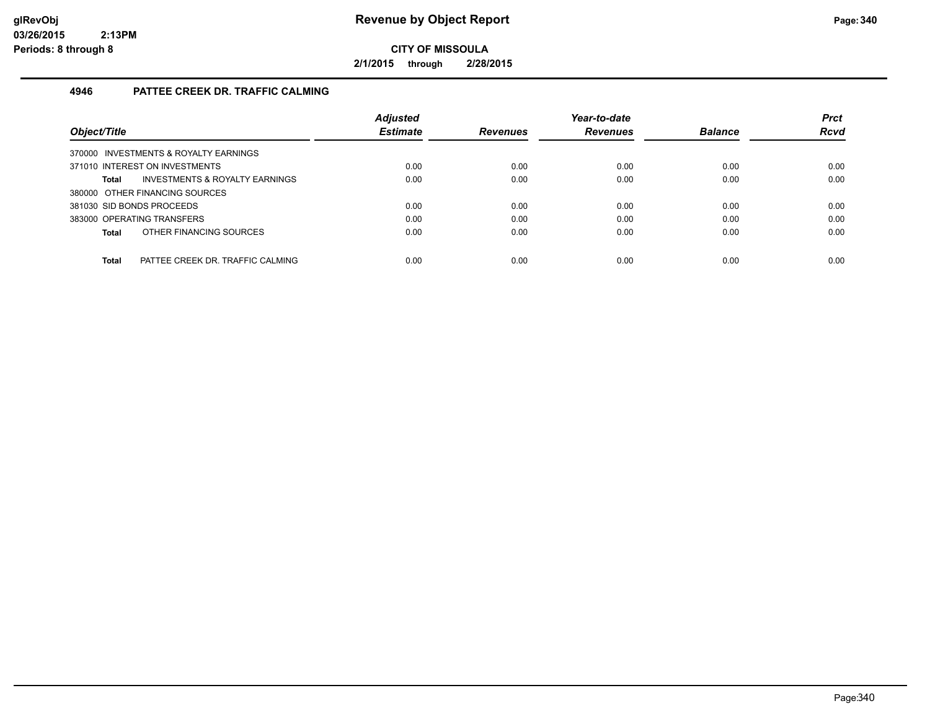**2/1/2015 through 2/28/2015**

### **4946 PATTEE CREEK DR. TRAFFIC CALMING**

| Object/Title                              | <b>Adjusted</b><br><b>Estimate</b> | <b>Revenues</b> | Year-to-date<br><b>Revenues</b> | <b>Balance</b> | <b>Prct</b><br><b>Rcvd</b> |
|-------------------------------------------|------------------------------------|-----------------|---------------------------------|----------------|----------------------------|
|                                           |                                    |                 |                                 |                |                            |
| 370000 INVESTMENTS & ROYALTY EARNINGS     |                                    |                 |                                 |                |                            |
| 371010 INTEREST ON INVESTMENTS            | 0.00                               | 0.00            | 0.00                            | 0.00           | 0.00                       |
| INVESTMENTS & ROYALTY EARNINGS<br>Total   | 0.00                               | 0.00            | 0.00                            | 0.00           | 0.00                       |
| 380000 OTHER FINANCING SOURCES            |                                    |                 |                                 |                |                            |
| 381030 SID BONDS PROCEEDS                 | 0.00                               | 0.00            | 0.00                            | 0.00           | 0.00                       |
| 383000 OPERATING TRANSFERS                | 0.00                               | 0.00            | 0.00                            | 0.00           | 0.00                       |
| OTHER FINANCING SOURCES<br>Total          | 0.00                               | 0.00            | 0.00                            | 0.00           | 0.00                       |
|                                           |                                    |                 |                                 |                |                            |
| Total<br>PATTEE CREEK DR. TRAFFIC CALMING | 0.00                               | 0.00            | 0.00                            | 0.00           | 0.00                       |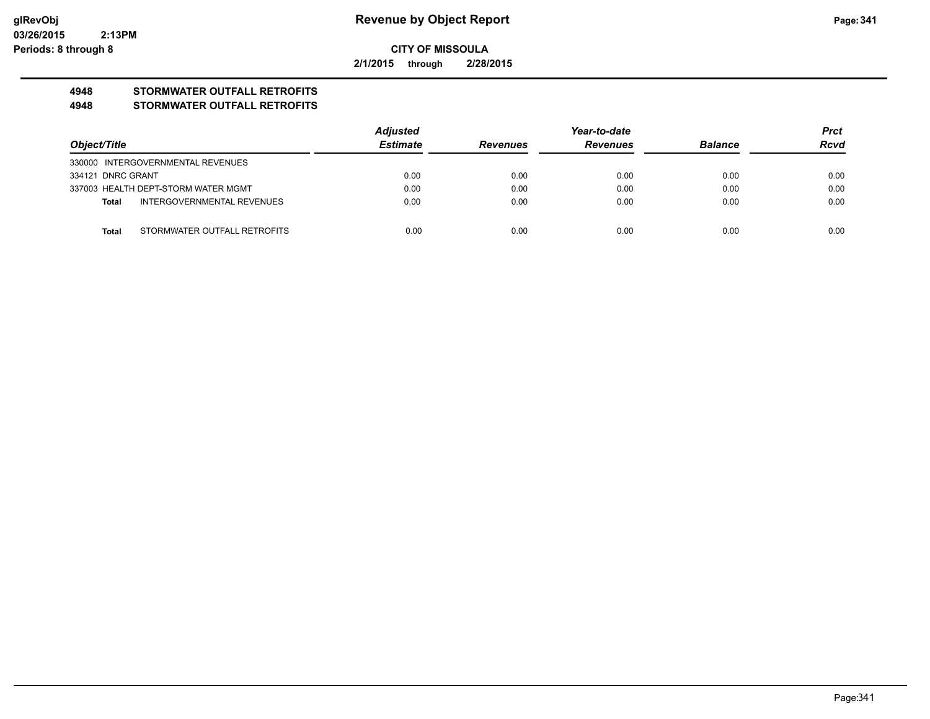**2/1/2015 through 2/28/2015**

# **4948 STORMWATER OUTFALL RETROFITS**

### **4948 STORMWATER OUTFALL RETROFITS**

|                   |                                     | Adjusted        |                 | Year-to-date    |                |             |
|-------------------|-------------------------------------|-----------------|-----------------|-----------------|----------------|-------------|
| Object/Title      |                                     | <b>Estimate</b> | <b>Revenues</b> | <b>Revenues</b> | <b>Balance</b> | <b>Rcvd</b> |
|                   | 330000 INTERGOVERNMENTAL REVENUES   |                 |                 |                 |                |             |
| 334121 DNRC GRANT |                                     | 0.00            | 0.00            | 0.00            | 0.00           | 0.00        |
|                   | 337003 HEALTH DEPT-STORM WATER MGMT | 0.00            | 0.00            | 0.00            | 0.00           | 0.00        |
| Total             | INTERGOVERNMENTAL REVENUES          | 0.00            | 0.00            | 0.00            | 0.00           | 0.00        |
|                   |                                     |                 |                 |                 |                |             |
| Total             | STORMWATER OUTFALL RETROFITS        | 0.00            | 0.00            | 0.00            | 0.00           | 0.00        |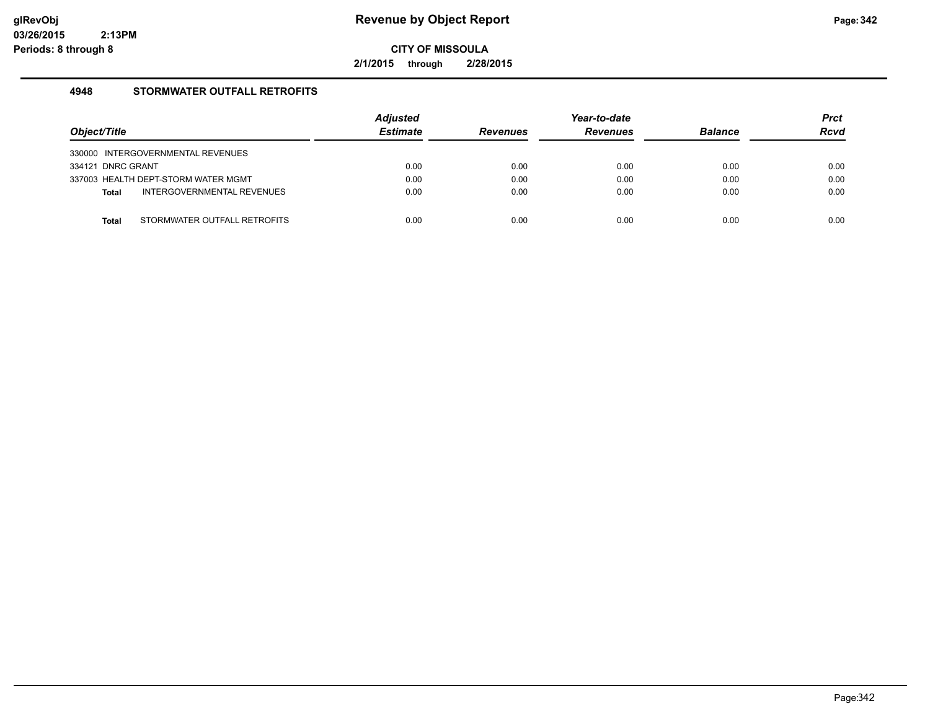**2/1/2015 through 2/28/2015**

### **4948 STORMWATER OUTFALL RETROFITS**

| Object/Title                               | <b>Adjusted</b><br><b>Estimate</b> | <b>Revenues</b> | Year-to-date<br><b>Revenues</b> | <b>Balance</b> | <b>Prct</b><br><b>Rcvd</b> |
|--------------------------------------------|------------------------------------|-----------------|---------------------------------|----------------|----------------------------|
| 330000 INTERGOVERNMENTAL REVENUES          |                                    |                 |                                 |                |                            |
| 334121 DNRC GRANT                          | 0.00                               | 0.00            | 0.00                            | 0.00           | 0.00                       |
| 337003 HEALTH DEPT-STORM WATER MGMT        | 0.00                               | 0.00            | 0.00                            | 0.00           | 0.00                       |
| INTERGOVERNMENTAL REVENUES<br><b>Total</b> | 0.00                               | 0.00            | 0.00                            | 0.00           | 0.00                       |
|                                            |                                    |                 |                                 |                |                            |
| STORMWATER OUTFALL RETROFITS<br>Total      | 0.00                               | 0.00            | 0.00                            | 0.00           | 0.00                       |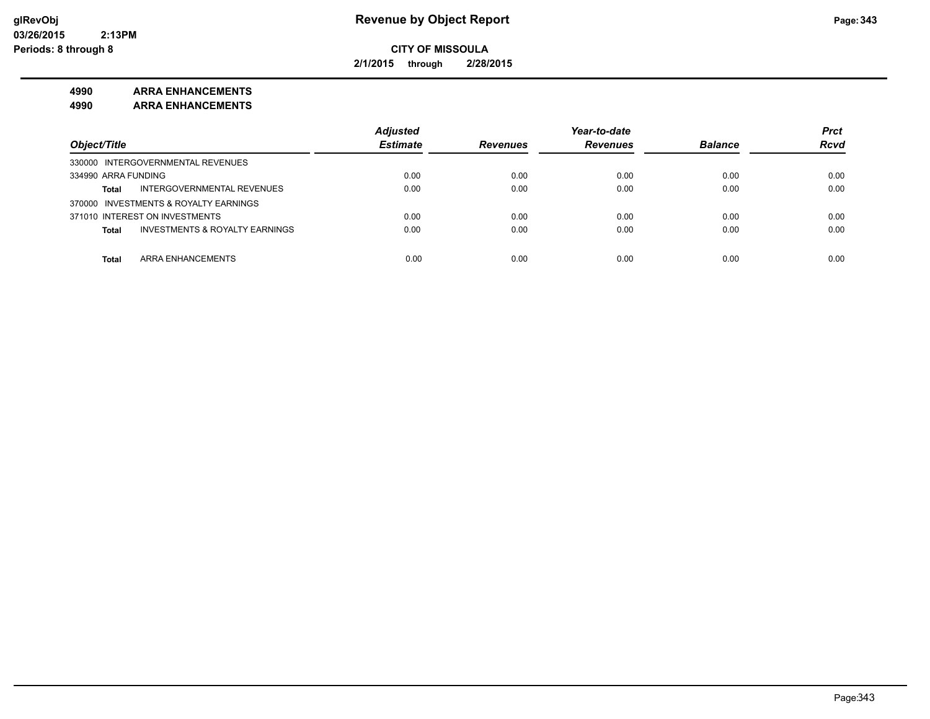**2/1/2015 through 2/28/2015**

### **4990 ARRA ENHANCEMENTS**

**4990 ARRA ENHANCEMENTS**

|                                                           | Adjusted        |                 | Year-to-date    |                | <b>Prct</b> |
|-----------------------------------------------------------|-----------------|-----------------|-----------------|----------------|-------------|
| Object/Title                                              | <b>Estimate</b> | <b>Revenues</b> | <b>Revenues</b> | <b>Balance</b> | <b>Rcvd</b> |
| 330000 INTERGOVERNMENTAL REVENUES                         |                 |                 |                 |                |             |
| 334990 ARRA FUNDING                                       | 0.00            | 0.00            | 0.00            | 0.00           | 0.00        |
| INTERGOVERNMENTAL REVENUES<br><b>Total</b>                | 0.00            | 0.00            | 0.00            | 0.00           | 0.00        |
| 370000 INVESTMENTS & ROYALTY EARNINGS                     |                 |                 |                 |                |             |
| 371010 INTEREST ON INVESTMENTS                            | 0.00            | 0.00            | 0.00            | 0.00           | 0.00        |
| <b>INVESTMENTS &amp; ROYALTY EARNINGS</b><br><b>Total</b> | 0.00            | 0.00            | 0.00            | 0.00           | 0.00        |
|                                                           |                 |                 |                 |                |             |
| ARRA ENHANCEMENTS<br>Total                                | 0.00            | 0.00            | 0.00            | 0.00           | 0.00        |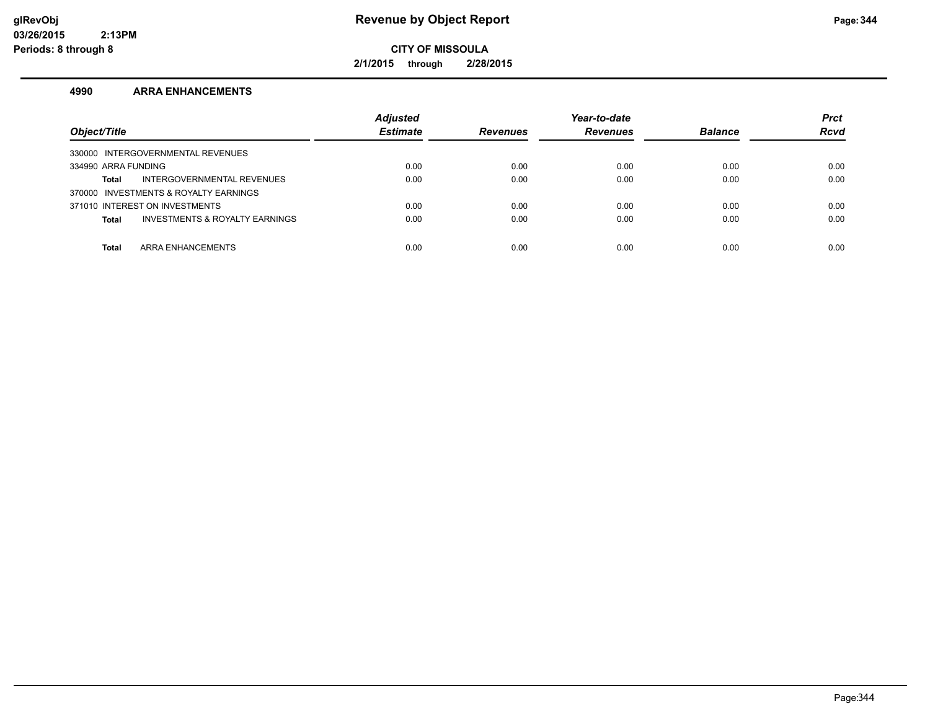**2/1/2015 through 2/28/2015**

### **4990 ARRA ENHANCEMENTS**

| Object/Title                                              | <b>Adjusted</b><br><b>Estimate</b> | <b>Revenues</b> | Year-to-date<br><b>Revenues</b> | <b>Balance</b> | <b>Prct</b><br><b>Rcvd</b> |
|-----------------------------------------------------------|------------------------------------|-----------------|---------------------------------|----------------|----------------------------|
| 330000 INTERGOVERNMENTAL REVENUES                         |                                    |                 |                                 |                |                            |
| 334990 ARRA FUNDING                                       | 0.00                               | 0.00            | 0.00                            | 0.00           | 0.00                       |
| INTERGOVERNMENTAL REVENUES<br>Total                       | 0.00                               | 0.00            | 0.00                            | 0.00           | 0.00                       |
| 370000 INVESTMENTS & ROYALTY EARNINGS                     |                                    |                 |                                 |                |                            |
| 371010 INTEREST ON INVESTMENTS                            | 0.00                               | 0.00            | 0.00                            | 0.00           | 0.00                       |
| <b>INVESTMENTS &amp; ROYALTY EARNINGS</b><br><b>Total</b> | 0.00                               | 0.00            | 0.00                            | 0.00           | 0.00                       |
|                                                           |                                    |                 |                                 |                |                            |
| <b>ARRA ENHANCEMENTS</b><br><b>Total</b>                  | 0.00                               | 0.00            | 0.00                            | 0.00           | 0.00                       |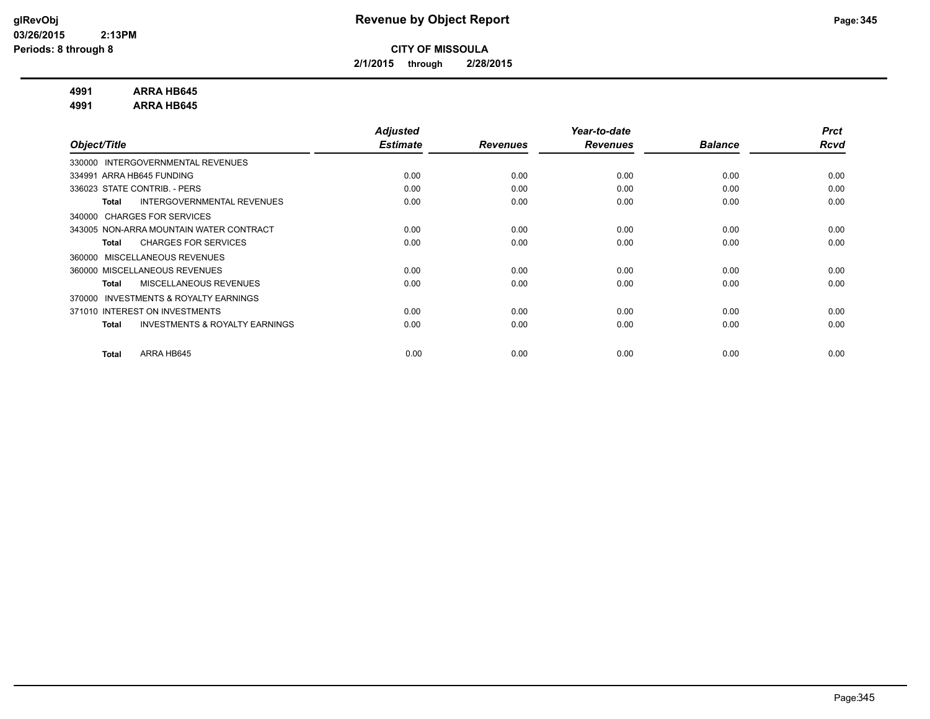**2/1/2015 through 2/28/2015**

### **4991 ARRA HB645**

**4991 ARRA HB645**

|                                                           | <b>Adjusted</b> |                 | Year-to-date    |                | <b>Prct</b> |
|-----------------------------------------------------------|-----------------|-----------------|-----------------|----------------|-------------|
| Object/Title                                              | <b>Estimate</b> | <b>Revenues</b> | <b>Revenues</b> | <b>Balance</b> | Rcvd        |
| 330000 INTERGOVERNMENTAL REVENUES                         |                 |                 |                 |                |             |
| 334991 ARRA HB645 FUNDING                                 | 0.00            | 0.00            | 0.00            | 0.00           | 0.00        |
| 336023 STATE CONTRIB. - PERS                              | 0.00            | 0.00            | 0.00            | 0.00           | 0.00        |
| <b>INTERGOVERNMENTAL REVENUES</b><br><b>Total</b>         | 0.00            | 0.00            | 0.00            | 0.00           | 0.00        |
| 340000 CHARGES FOR SERVICES                               |                 |                 |                 |                |             |
| 343005 NON-ARRA MOUNTAIN WATER CONTRACT                   | 0.00            | 0.00            | 0.00            | 0.00           | 0.00        |
| <b>CHARGES FOR SERVICES</b><br><b>Total</b>               | 0.00            | 0.00            | 0.00            | 0.00           | 0.00        |
| 360000 MISCELLANEOUS REVENUES                             |                 |                 |                 |                |             |
| 360000 MISCELLANEOUS REVENUES                             | 0.00            | 0.00            | 0.00            | 0.00           | 0.00        |
| <b>MISCELLANEOUS REVENUES</b><br><b>Total</b>             | 0.00            | 0.00            | 0.00            | 0.00           | 0.00        |
| <b>INVESTMENTS &amp; ROYALTY EARNINGS</b><br>370000       |                 |                 |                 |                |             |
| 371010 INTEREST ON INVESTMENTS                            | 0.00            | 0.00            | 0.00            | 0.00           | 0.00        |
| <b>INVESTMENTS &amp; ROYALTY EARNINGS</b><br><b>Total</b> | 0.00            | 0.00            | 0.00            | 0.00           | 0.00        |
|                                                           |                 |                 |                 |                |             |
| ARRA HB645<br><b>Total</b>                                | 0.00            | 0.00            | 0.00            | 0.00           | 0.00        |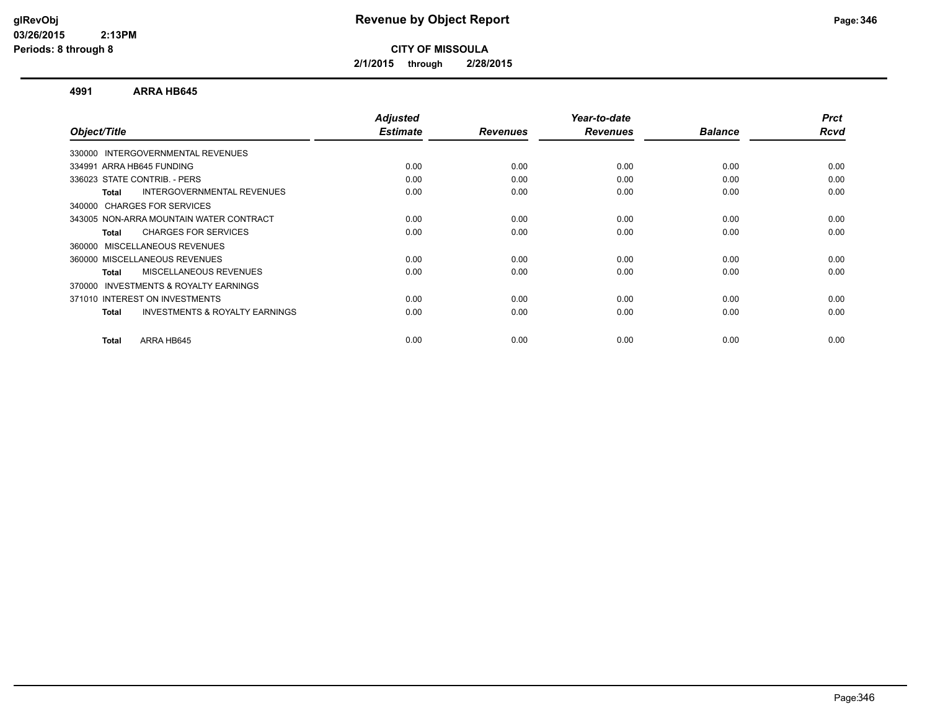**2/1/2015 through 2/28/2015**

### **4991 ARRA HB645**

| Object/Title                                              | <b>Adjusted</b><br><b>Estimate</b> | <b>Revenues</b> | Year-to-date<br><b>Revenues</b> | <b>Balance</b> | <b>Prct</b><br>Rcvd |
|-----------------------------------------------------------|------------------------------------|-----------------|---------------------------------|----------------|---------------------|
| <b>INTERGOVERNMENTAL REVENUES</b><br>330000               |                                    |                 |                                 |                |                     |
|                                                           |                                    |                 |                                 |                |                     |
| 334991 ARRA HB645 FUNDING                                 | 0.00                               | 0.00            | 0.00                            | 0.00           | 0.00                |
| 336023 STATE CONTRIB. - PERS                              | 0.00                               | 0.00            | 0.00                            | 0.00           | 0.00                |
| INTERGOVERNMENTAL REVENUES<br><b>Total</b>                | 0.00                               | 0.00            | 0.00                            | 0.00           | 0.00                |
| 340000 CHARGES FOR SERVICES                               |                                    |                 |                                 |                |                     |
| 343005 NON-ARRA MOUNTAIN WATER CONTRACT                   | 0.00                               | 0.00            | 0.00                            | 0.00           | 0.00                |
| <b>CHARGES FOR SERVICES</b><br><b>Total</b>               | 0.00                               | 0.00            | 0.00                            | 0.00           | 0.00                |
| 360000 MISCELLANEOUS REVENUES                             |                                    |                 |                                 |                |                     |
| 360000 MISCELLANEOUS REVENUES                             | 0.00                               | 0.00            | 0.00                            | 0.00           | 0.00                |
| <b>MISCELLANEOUS REVENUES</b><br><b>Total</b>             | 0.00                               | 0.00            | 0.00                            | 0.00           | 0.00                |
| <b>INVESTMENTS &amp; ROYALTY EARNINGS</b><br>370000       |                                    |                 |                                 |                |                     |
| 371010 INTEREST ON INVESTMENTS                            | 0.00                               | 0.00            | 0.00                            | 0.00           | 0.00                |
| <b>INVESTMENTS &amp; ROYALTY EARNINGS</b><br><b>Total</b> | 0.00                               | 0.00            | 0.00                            | 0.00           | 0.00                |
| ARRA HB645<br>Total                                       | 0.00                               | 0.00            | 0.00                            | 0.00           | 0.00                |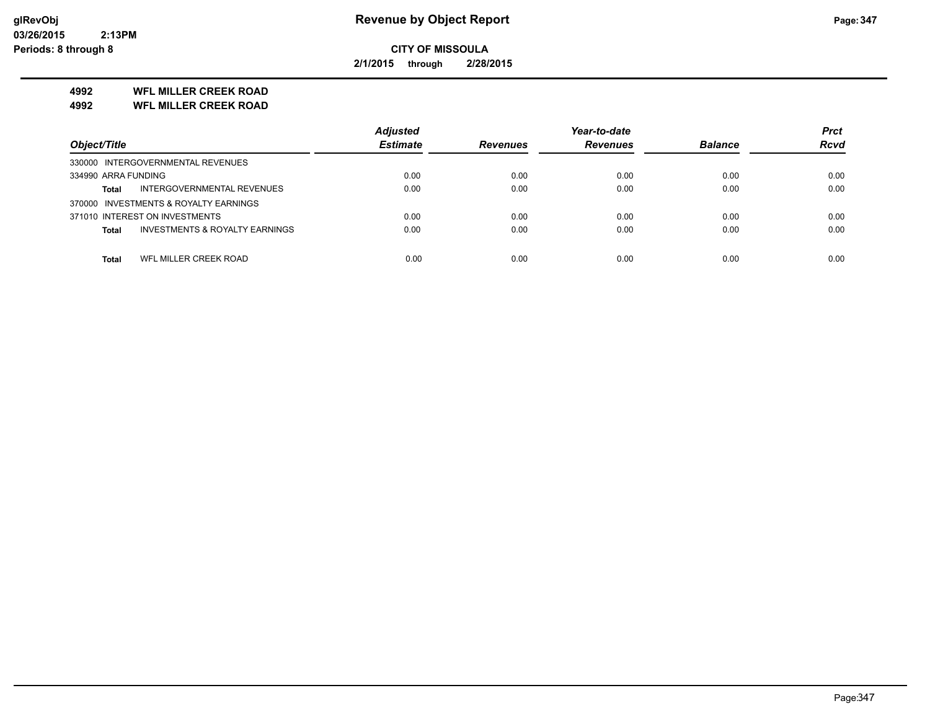**2/1/2015 through 2/28/2015**

## **4992 WFL MILLER CREEK ROAD**

**4992 WFL MILLER CREEK ROAD**

|                                                           | <b>Adjusted</b> |                 | Year-to-date    |                | <b>Prct</b> |
|-----------------------------------------------------------|-----------------|-----------------|-----------------|----------------|-------------|
| Object/Title                                              | <b>Estimate</b> | <b>Revenues</b> | <b>Revenues</b> | <b>Balance</b> | <b>Rcvd</b> |
| 330000 INTERGOVERNMENTAL REVENUES                         |                 |                 |                 |                |             |
| 334990 ARRA FUNDING                                       | 0.00            | 0.00            | 0.00            | 0.00           | 0.00        |
| INTERGOVERNMENTAL REVENUES<br><b>Total</b>                | 0.00            | 0.00            | 0.00            | 0.00           | 0.00        |
| 370000 INVESTMENTS & ROYALTY EARNINGS                     |                 |                 |                 |                |             |
| 371010 INTEREST ON INVESTMENTS                            | 0.00            | 0.00            | 0.00            | 0.00           | 0.00        |
| <b>INVESTMENTS &amp; ROYALTY EARNINGS</b><br><b>Total</b> | 0.00            | 0.00            | 0.00            | 0.00           | 0.00        |
| WFL MILLER CREEK ROAD<br>Total                            | 0.00            | 0.00            | 0.00            | 0.00           | 0.00        |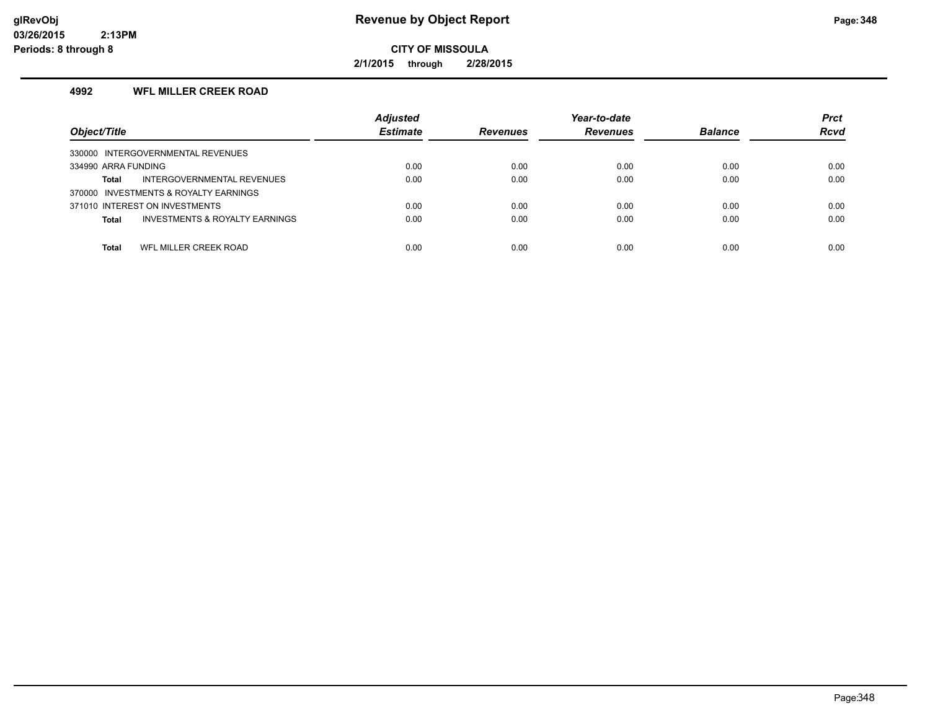**2/1/2015 through 2/28/2015**

### **4992 WFL MILLER CREEK ROAD**

| Object/Title                                              | <b>Adjusted</b><br><b>Estimate</b> | <b>Revenues</b> | Year-to-date<br><b>Revenues</b> | <b>Balance</b> | <b>Prct</b><br><b>Rcvd</b> |
|-----------------------------------------------------------|------------------------------------|-----------------|---------------------------------|----------------|----------------------------|
| 330000 INTERGOVERNMENTAL REVENUES                         |                                    |                 |                                 |                |                            |
| 334990 ARRA FUNDING                                       | 0.00                               | 0.00            | 0.00                            | 0.00           | 0.00                       |
| INTERGOVERNMENTAL REVENUES<br>Total                       | 0.00                               | 0.00            | 0.00                            | 0.00           | 0.00                       |
| 370000 INVESTMENTS & ROYALTY EARNINGS                     |                                    |                 |                                 |                |                            |
| 371010 INTEREST ON INVESTMENTS                            | 0.00                               | 0.00            | 0.00                            | 0.00           | 0.00                       |
| <b>INVESTMENTS &amp; ROYALTY EARNINGS</b><br><b>Total</b> | 0.00                               | 0.00            | 0.00                            | 0.00           | 0.00                       |
|                                                           |                                    |                 |                                 |                |                            |
| WFL MILLER CREEK ROAD<br><b>Total</b>                     | 0.00                               | 0.00            | 0.00                            | 0.00           | 0.00                       |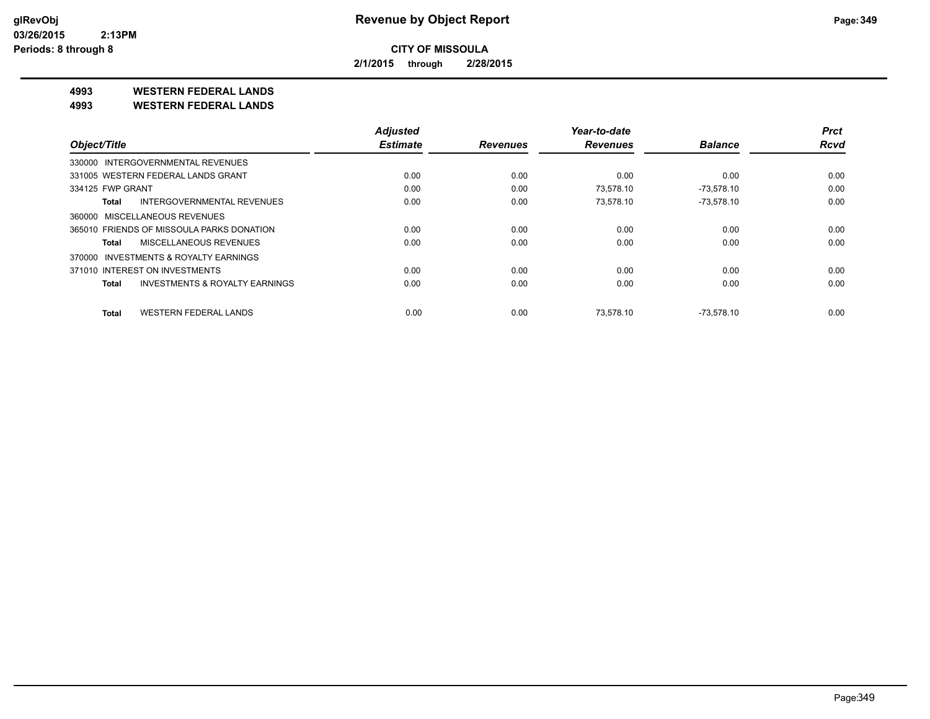**2/1/2015 through 2/28/2015**

**4993 WESTERN FEDERAL LANDS**

**4993 WESTERN FEDERAL LANDS**

|                                                | <b>Adjusted</b> |                 | Year-to-date    |                | <b>Prct</b> |
|------------------------------------------------|-----------------|-----------------|-----------------|----------------|-------------|
| Object/Title                                   | <b>Estimate</b> | <b>Revenues</b> | <b>Revenues</b> | <b>Balance</b> | <b>Rcvd</b> |
| 330000 INTERGOVERNMENTAL REVENUES              |                 |                 |                 |                |             |
| 331005 WESTERN FEDERAL LANDS GRANT             | 0.00            | 0.00            | 0.00            | 0.00           | 0.00        |
| 334125 FWP GRANT                               | 0.00            | 0.00            | 73.578.10       | $-73.578.10$   | 0.00        |
| <b>INTERGOVERNMENTAL REVENUES</b><br>Total     | 0.00            | 0.00            | 73,578.10       | $-73,578.10$   | 0.00        |
| 360000 MISCELLANEOUS REVENUES                  |                 |                 |                 |                |             |
| 365010 FRIENDS OF MISSOULA PARKS DONATION      | 0.00            | 0.00            | 0.00            | 0.00           | 0.00        |
| MISCELLANEOUS REVENUES<br>Total                | 0.00            | 0.00            | 0.00            | 0.00           | 0.00        |
| INVESTMENTS & ROYALTY EARNINGS<br>370000       |                 |                 |                 |                |             |
| 371010 INTEREST ON INVESTMENTS                 | 0.00            | 0.00            | 0.00            | 0.00           | 0.00        |
| INVESTMENTS & ROYALTY EARNINGS<br><b>Total</b> | 0.00            | 0.00            | 0.00            | 0.00           | 0.00        |
| <b>WESTERN FEDERAL LANDS</b><br><b>Total</b>   | 0.00            | 0.00            | 73.578.10       | $-73.578.10$   | 0.00        |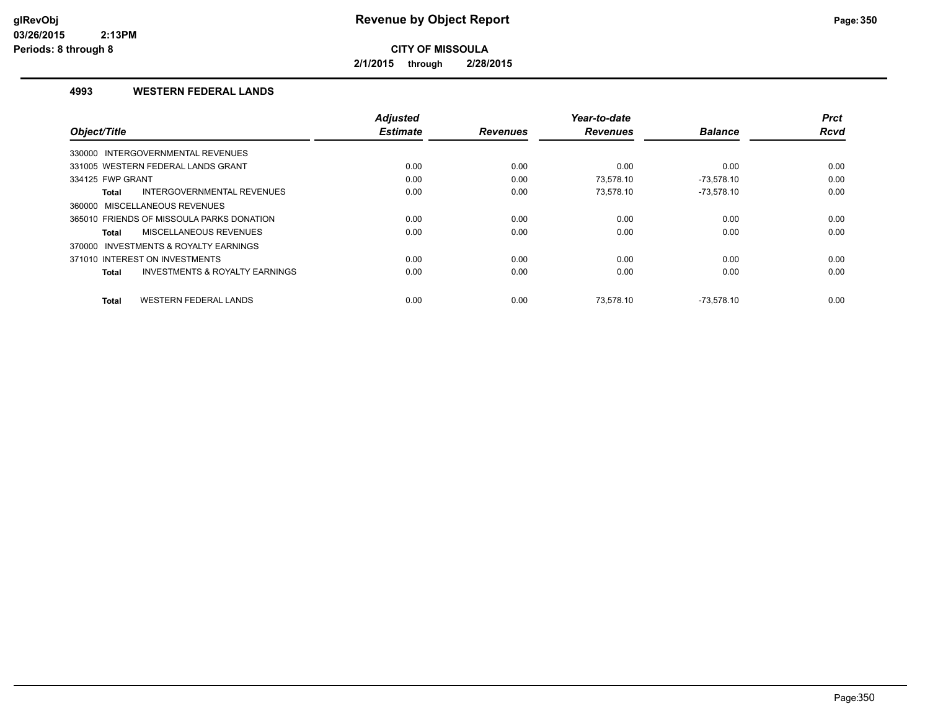**2/1/2015 through 2/28/2015**

### **4993 WESTERN FEDERAL LANDS**

|                                                           | <b>Adjusted</b> |                 | Year-to-date    |                | <b>Prct</b> |
|-----------------------------------------------------------|-----------------|-----------------|-----------------|----------------|-------------|
| Object/Title                                              | <b>Estimate</b> | <b>Revenues</b> | <b>Revenues</b> | <b>Balance</b> | <b>Rcvd</b> |
| 330000 INTERGOVERNMENTAL REVENUES                         |                 |                 |                 |                |             |
| 331005 WESTERN FEDERAL LANDS GRANT                        | 0.00            | 0.00            | 0.00            | 0.00           | 0.00        |
| 334125 FWP GRANT                                          | 0.00            | 0.00            | 73.578.10       | $-73,578.10$   | 0.00        |
| INTERGOVERNMENTAL REVENUES<br><b>Total</b>                | 0.00            | 0.00            | 73.578.10       | $-73,578.10$   | 0.00        |
| 360000 MISCELLANEOUS REVENUES                             |                 |                 |                 |                |             |
| 365010 FRIENDS OF MISSOULA PARKS DONATION                 | 0.00            | 0.00            | 0.00            | 0.00           | 0.00        |
| MISCELLANEOUS REVENUES<br>Total                           | 0.00            | 0.00            | 0.00            | 0.00           | 0.00        |
| 370000 INVESTMENTS & ROYALTY EARNINGS                     |                 |                 |                 |                |             |
| 371010 INTEREST ON INVESTMENTS                            | 0.00            | 0.00            | 0.00            | 0.00           | 0.00        |
| <b>INVESTMENTS &amp; ROYALTY EARNINGS</b><br><b>Total</b> | 0.00            | 0.00            | 0.00            | 0.00           | 0.00        |
|                                                           |                 |                 |                 |                |             |
| <b>WESTERN FEDERAL LANDS</b><br><b>Total</b>              | 0.00            | 0.00            | 73.578.10       | $-73.578.10$   | 0.00        |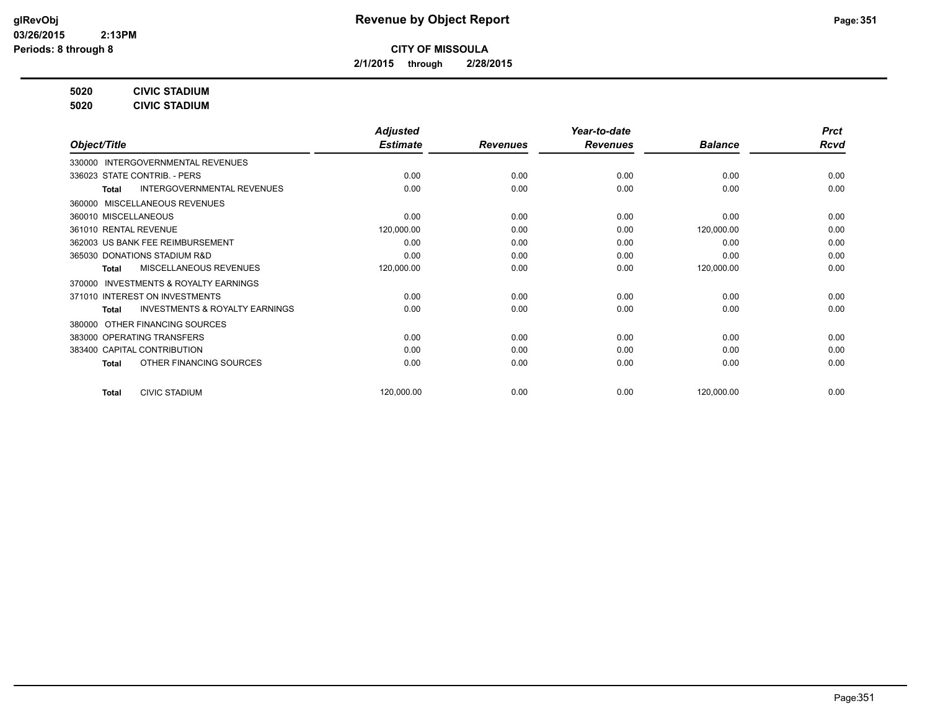**2/1/2015 through 2/28/2015**

**5020 CIVIC STADIUM**

**5020 CIVIC STADIUM**

|                                                           | <b>Adjusted</b> |                 | Year-to-date    |                | <b>Prct</b> |
|-----------------------------------------------------------|-----------------|-----------------|-----------------|----------------|-------------|
| Object/Title                                              | <b>Estimate</b> | <b>Revenues</b> | <b>Revenues</b> | <b>Balance</b> | <b>Rcvd</b> |
| 330000 INTERGOVERNMENTAL REVENUES                         |                 |                 |                 |                |             |
| 336023 STATE CONTRIB. - PERS                              | 0.00            | 0.00            | 0.00            | 0.00           | 0.00        |
| <b>INTERGOVERNMENTAL REVENUES</b><br><b>Total</b>         | 0.00            | 0.00            | 0.00            | 0.00           | 0.00        |
| 360000 MISCELLANEOUS REVENUES                             |                 |                 |                 |                |             |
| 360010 MISCELLANEOUS                                      | 0.00            | 0.00            | 0.00            | 0.00           | 0.00        |
| 361010 RENTAL REVENUE                                     | 120,000.00      | 0.00            | 0.00            | 120,000.00     | 0.00        |
| 362003 US BANK FEE REIMBURSEMENT                          | 0.00            | 0.00            | 0.00            | 0.00           | 0.00        |
| 365030 DONATIONS STADIUM R&D                              | 0.00            | 0.00            | 0.00            | 0.00           | 0.00        |
| MISCELLANEOUS REVENUES<br><b>Total</b>                    | 120,000.00      | 0.00            | 0.00            | 120,000.00     | 0.00        |
| 370000 INVESTMENTS & ROYALTY EARNINGS                     |                 |                 |                 |                |             |
| 371010 INTEREST ON INVESTMENTS                            | 0.00            | 0.00            | 0.00            | 0.00           | 0.00        |
| <b>INVESTMENTS &amp; ROYALTY EARNINGS</b><br><b>Total</b> | 0.00            | 0.00            | 0.00            | 0.00           | 0.00        |
| OTHER FINANCING SOURCES<br>380000                         |                 |                 |                 |                |             |
| 383000 OPERATING TRANSFERS                                | 0.00            | 0.00            | 0.00            | 0.00           | 0.00        |
| 383400 CAPITAL CONTRIBUTION                               | 0.00            | 0.00            | 0.00            | 0.00           | 0.00        |
| OTHER FINANCING SOURCES<br><b>Total</b>                   | 0.00            | 0.00            | 0.00            | 0.00           | 0.00        |
|                                                           |                 |                 |                 |                |             |
| <b>CIVIC STADIUM</b><br><b>Total</b>                      | 120,000.00      | 0.00            | 0.00            | 120,000.00     | 0.00        |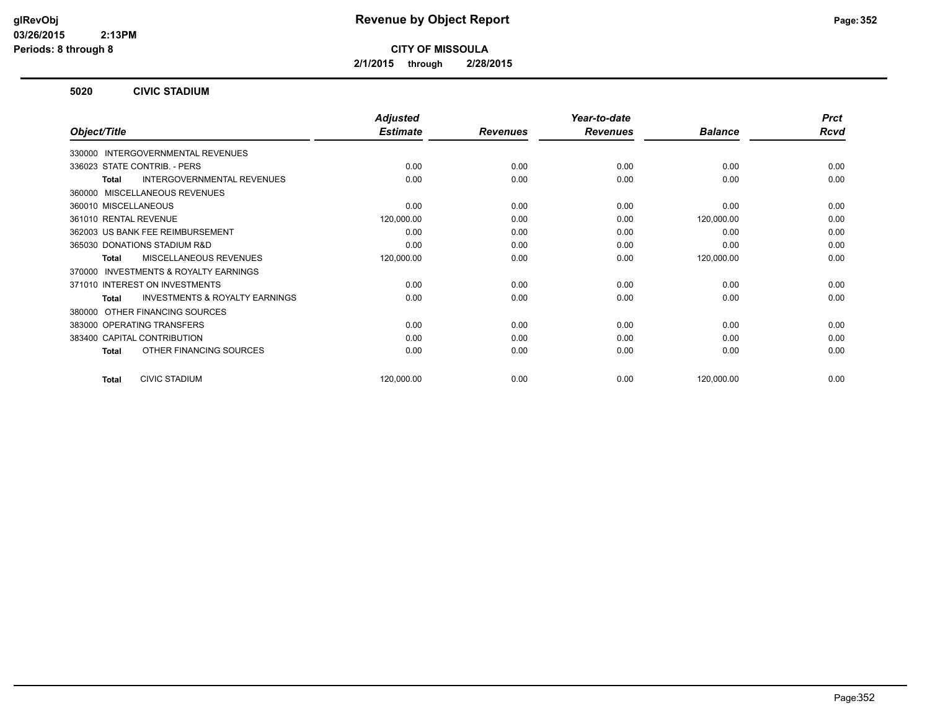**2/1/2015 through 2/28/2015**

### **5020 CIVIC STADIUM**

|                                                           | <b>Adjusted</b> |                 | Year-to-date    |                | <b>Prct</b> |
|-----------------------------------------------------------|-----------------|-----------------|-----------------|----------------|-------------|
| Object/Title                                              | <b>Estimate</b> | <b>Revenues</b> | <b>Revenues</b> | <b>Balance</b> | <b>Rcvd</b> |
| 330000 INTERGOVERNMENTAL REVENUES                         |                 |                 |                 |                |             |
| 336023 STATE CONTRIB. - PERS                              | 0.00            | 0.00            | 0.00            | 0.00           | 0.00        |
| <b>INTERGOVERNMENTAL REVENUES</b><br>Total                | 0.00            | 0.00            | 0.00            | 0.00           | 0.00        |
| 360000 MISCELLANEOUS REVENUES                             |                 |                 |                 |                |             |
| 360010 MISCELLANEOUS                                      | 0.00            | 0.00            | 0.00            | 0.00           | 0.00        |
| 361010 RENTAL REVENUE                                     | 120,000.00      | 0.00            | 0.00            | 120,000.00     | 0.00        |
| 362003 US BANK FEE REIMBURSEMENT                          | 0.00            | 0.00            | 0.00            | 0.00           | 0.00        |
| 365030 DONATIONS STADIUM R&D                              | 0.00            | 0.00            | 0.00            | 0.00           | 0.00        |
| <b>MISCELLANEOUS REVENUES</b><br><b>Total</b>             | 120,000.00      | 0.00            | 0.00            | 120,000.00     | 0.00        |
| INVESTMENTS & ROYALTY EARNINGS<br>370000                  |                 |                 |                 |                |             |
| 371010 INTEREST ON INVESTMENTS                            | 0.00            | 0.00            | 0.00            | 0.00           | 0.00        |
| <b>INVESTMENTS &amp; ROYALTY EARNINGS</b><br><b>Total</b> | 0.00            | 0.00            | 0.00            | 0.00           | 0.00        |
| OTHER FINANCING SOURCES<br>380000                         |                 |                 |                 |                |             |
| 383000 OPERATING TRANSFERS                                | 0.00            | 0.00            | 0.00            | 0.00           | 0.00        |
| 383400 CAPITAL CONTRIBUTION                               | 0.00            | 0.00            | 0.00            | 0.00           | 0.00        |
| OTHER FINANCING SOURCES<br>Total                          | 0.00            | 0.00            | 0.00            | 0.00           | 0.00        |
| <b>CIVIC STADIUM</b><br><b>Total</b>                      | 120,000.00      | 0.00            | 0.00            | 120,000.00     | 0.00        |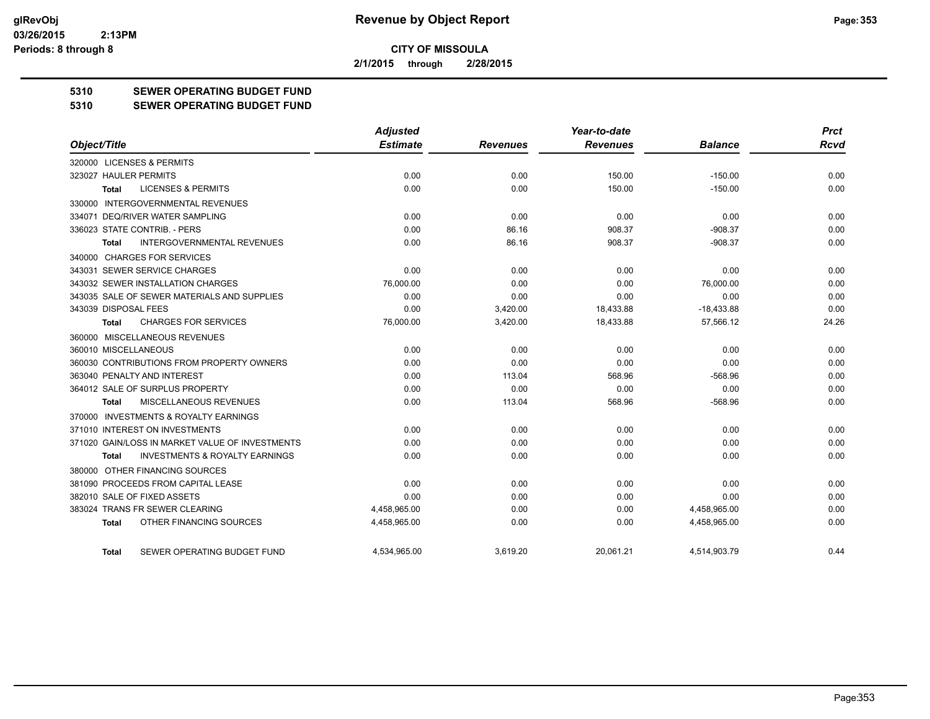**2/1/2015 through 2/28/2015**

## **5310 SEWER OPERATING BUDGET FUND**

#### **5310 SEWER OPERATING BUDGET FUND**

|                                                    | <b>Adjusted</b> |                 | Year-to-date    |                | <b>Prct</b> |
|----------------------------------------------------|-----------------|-----------------|-----------------|----------------|-------------|
| Object/Title                                       | <b>Estimate</b> | <b>Revenues</b> | <b>Revenues</b> | <b>Balance</b> | <b>Rcvd</b> |
| 320000 LICENSES & PERMITS                          |                 |                 |                 |                |             |
| 323027 HAULER PERMITS                              | 0.00            | 0.00            | 150.00          | $-150.00$      | 0.00        |
| <b>LICENSES &amp; PERMITS</b><br><b>Total</b>      | 0.00            | 0.00            | 150.00          | $-150.00$      | 0.00        |
| 330000 INTERGOVERNMENTAL REVENUES                  |                 |                 |                 |                |             |
| 334071 DEQ/RIVER WATER SAMPLING                    | 0.00            | 0.00            | 0.00            | 0.00           | 0.00        |
| 336023 STATE CONTRIB. - PERS                       | 0.00            | 86.16           | 908.37          | $-908.37$      | 0.00        |
| <b>INTERGOVERNMENTAL REVENUES</b><br><b>Total</b>  | 0.00            | 86.16           | 908.37          | $-908.37$      | 0.00        |
| 340000 CHARGES FOR SERVICES                        |                 |                 |                 |                |             |
| 343031 SEWER SERVICE CHARGES                       | 0.00            | 0.00            | 0.00            | 0.00           | 0.00        |
| 343032 SEWER INSTALLATION CHARGES                  | 76,000.00       | 0.00            | 0.00            | 76,000.00      | 0.00        |
| 343035 SALE OF SEWER MATERIALS AND SUPPLIES        | 0.00            | 0.00            | 0.00            | 0.00           | 0.00        |
| 343039 DISPOSAL FEES                               | 0.00            | 3,420.00        | 18,433.88       | $-18,433.88$   | 0.00        |
| <b>CHARGES FOR SERVICES</b><br><b>Total</b>        | 76,000.00       | 3,420.00        | 18,433.88       | 57,566.12      | 24.26       |
| 360000 MISCELLANEOUS REVENUES                      |                 |                 |                 |                |             |
| 360010 MISCELLANEOUS                               | 0.00            | 0.00            | 0.00            | 0.00           | 0.00        |
| 360030 CONTRIBUTIONS FROM PROPERTY OWNERS          | 0.00            | 0.00            | 0.00            | 0.00           | 0.00        |
| 363040 PENALTY AND INTEREST                        | 0.00            | 113.04          | 568.96          | $-568.96$      | 0.00        |
| 364012 SALE OF SURPLUS PROPERTY                    | 0.00            | 0.00            | 0.00            | 0.00           | 0.00        |
| MISCELLANEOUS REVENUES<br>Total                    | 0.00            | 113.04          | 568.96          | $-568.96$      | 0.00        |
| 370000 INVESTMENTS & ROYALTY EARNINGS              |                 |                 |                 |                |             |
| 371010 INTEREST ON INVESTMENTS                     | 0.00            | 0.00            | 0.00            | 0.00           | 0.00        |
| 371020 GAIN/LOSS IN MARKET VALUE OF INVESTMENTS    | 0.00            | 0.00            | 0.00            | 0.00           | 0.00        |
| <b>INVESTMENTS &amp; ROYALTY EARNINGS</b><br>Total | 0.00            | 0.00            | 0.00            | 0.00           | 0.00        |
| 380000 OTHER FINANCING SOURCES                     |                 |                 |                 |                |             |
| 381090 PROCEEDS FROM CAPITAL LEASE                 | 0.00            | 0.00            | 0.00            | 0.00           | 0.00        |
| 382010 SALE OF FIXED ASSETS                        | 0.00            | 0.00            | 0.00            | 0.00           | 0.00        |
| 383024 TRANS FR SEWER CLEARING                     | 4,458,965.00    | 0.00            | 0.00            | 4,458,965.00   | 0.00        |
| OTHER FINANCING SOURCES<br><b>Total</b>            | 4,458,965.00    | 0.00            | 0.00            | 4,458,965.00   | 0.00        |
| SEWER OPERATING BUDGET FUND<br>Total               | 4.534.965.00    | 3.619.20        | 20.061.21       | 4.514.903.79   | 0.44        |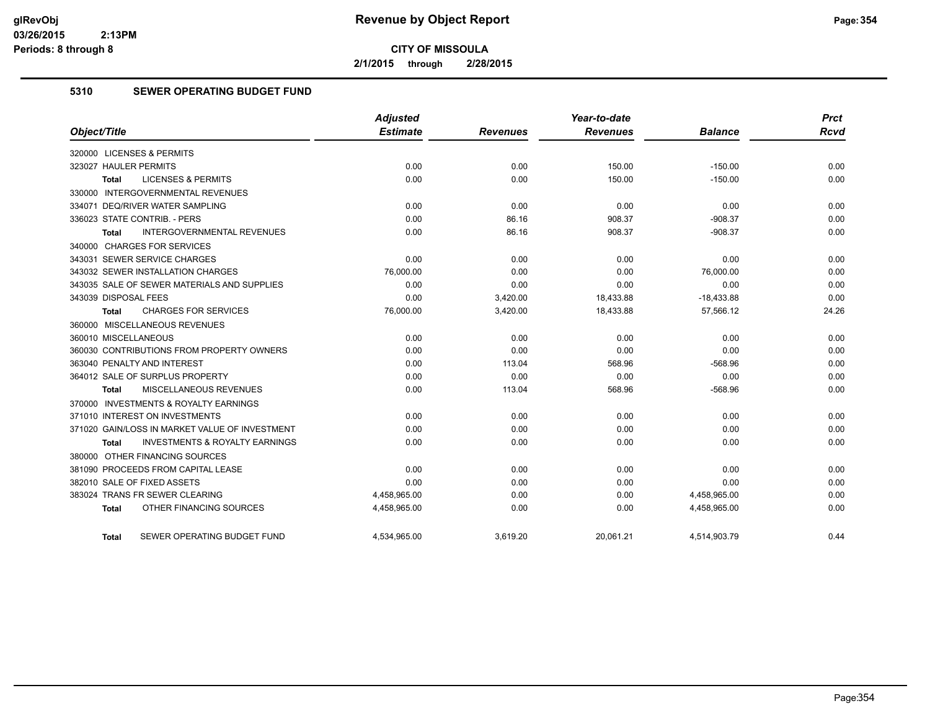**2/1/2015 through 2/28/2015**

### **5310 SEWER OPERATING BUDGET FUND**

| Object/Title                                       | <b>Adjusted</b><br><b>Estimate</b> | <b>Revenues</b> | Year-to-date<br><b>Revenues</b> | <b>Balance</b> | <b>Prct</b><br><b>Rcvd</b> |
|----------------------------------------------------|------------------------------------|-----------------|---------------------------------|----------------|----------------------------|
|                                                    |                                    |                 |                                 |                |                            |
| 320000 LICENSES & PERMITS                          |                                    |                 |                                 |                |                            |
| 323027 HAULER PERMITS                              | 0.00                               | 0.00            | 150.00                          | $-150.00$      | 0.00                       |
| <b>LICENSES &amp; PERMITS</b><br><b>Total</b>      | 0.00                               | 0.00            | 150.00                          | $-150.00$      | 0.00                       |
| 330000 INTERGOVERNMENTAL REVENUES                  |                                    |                 |                                 |                |                            |
| 334071 DEQ/RIVER WATER SAMPLING                    | 0.00                               | 0.00            | 0.00                            | 0.00           | 0.00                       |
| 336023 STATE CONTRIB. - PERS                       | 0.00                               | 86.16           | 908.37                          | $-908.37$      | 0.00                       |
| INTERGOVERNMENTAL REVENUES<br>Total                | 0.00                               | 86.16           | 908.37                          | $-908.37$      | 0.00                       |
| 340000 CHARGES FOR SERVICES                        |                                    |                 |                                 |                |                            |
| 343031 SEWER SERVICE CHARGES                       | 0.00                               | 0.00            | 0.00                            | 0.00           | 0.00                       |
| 343032 SEWER INSTALLATION CHARGES                  | 76,000.00                          | 0.00            | 0.00                            | 76,000.00      | 0.00                       |
| 343035 SALE OF SEWER MATERIALS AND SUPPLIES        | 0.00                               | 0.00            | 0.00                            | 0.00           | 0.00                       |
| 343039 DISPOSAL FEES                               | 0.00                               | 3,420.00        | 18,433.88                       | $-18,433.88$   | 0.00                       |
| <b>CHARGES FOR SERVICES</b><br>Total               | 76,000.00                          | 3,420.00        | 18,433.88                       | 57,566.12      | 24.26                      |
| 360000 MISCELLANEOUS REVENUES                      |                                    |                 |                                 |                |                            |
| 360010 MISCELLANEOUS                               | 0.00                               | 0.00            | 0.00                            | 0.00           | 0.00                       |
| 360030 CONTRIBUTIONS FROM PROPERTY OWNERS          | 0.00                               | 0.00            | 0.00                            | 0.00           | 0.00                       |
| 363040 PENALTY AND INTEREST                        | 0.00                               | 113.04          | 568.96                          | $-568.96$      | 0.00                       |
| 364012 SALE OF SURPLUS PROPERTY                    | 0.00                               | 0.00            | 0.00                            | 0.00           | 0.00                       |
| MISCELLANEOUS REVENUES<br><b>Total</b>             | 0.00                               | 113.04          | 568.96                          | $-568.96$      | 0.00                       |
| 370000 INVESTMENTS & ROYALTY EARNINGS              |                                    |                 |                                 |                |                            |
| 371010 INTEREST ON INVESTMENTS                     | 0.00                               | 0.00            | 0.00                            | 0.00           | 0.00                       |
| 371020 GAIN/LOSS IN MARKET VALUE OF INVESTMENT     | 0.00                               | 0.00            | 0.00                            | 0.00           | 0.00                       |
| <b>INVESTMENTS &amp; ROYALTY EARNINGS</b><br>Total | 0.00                               | 0.00            | 0.00                            | 0.00           | 0.00                       |
| 380000 OTHER FINANCING SOURCES                     |                                    |                 |                                 |                |                            |
| 381090 PROCEEDS FROM CAPITAL LEASE                 | 0.00                               | 0.00            | 0.00                            | 0.00           | 0.00                       |
| 382010 SALE OF FIXED ASSETS                        | 0.00                               | 0.00            | 0.00                            | 0.00           | 0.00                       |
| 383024 TRANS FR SEWER CLEARING                     | 4,458,965.00                       | 0.00            | 0.00                            | 4,458,965.00   | 0.00                       |
| OTHER FINANCING SOURCES<br><b>Total</b>            | 4,458,965.00                       | 0.00            | 0.00                            | 4,458,965.00   | 0.00                       |
|                                                    |                                    |                 |                                 |                |                            |
| SEWER OPERATING BUDGET FUND<br>Total               | 4,534,965.00                       | 3.619.20        | 20,061.21                       | 4,514,903.79   | 0.44                       |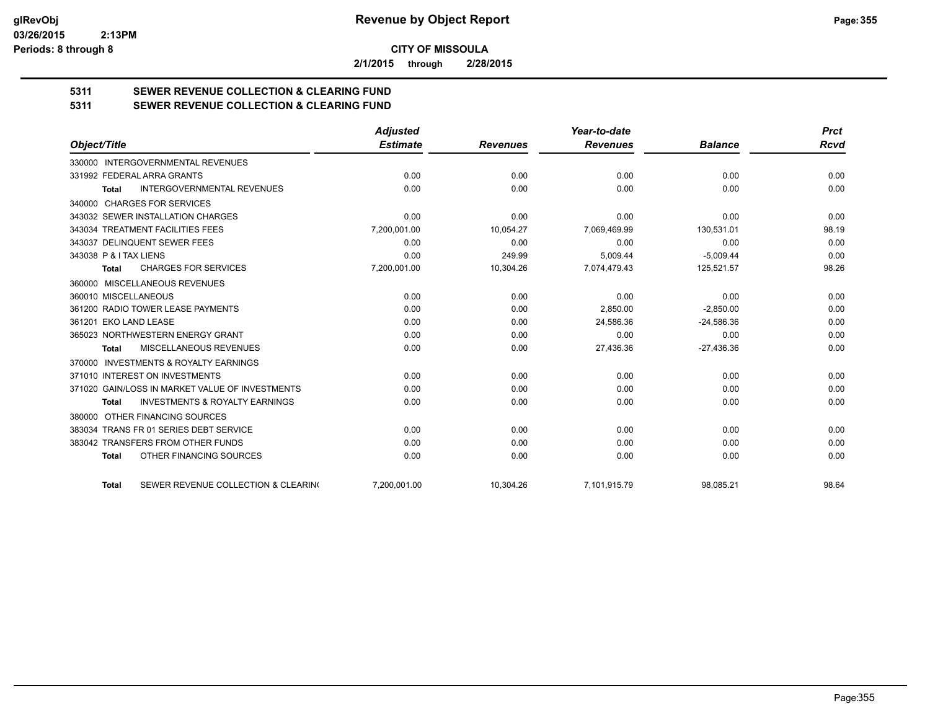**2/1/2015 through 2/28/2015**

# **5311 SEWER REVENUE COLLECTION & CLEARING FUND**

| 5311 | <b>SEWER REVENUE COLLECTION &amp; CLEARING FUND</b> |
|------|-----------------------------------------------------|
|      |                                                     |

|                                                           | <b>Adjusted</b> |                 | Year-to-date    |                | <b>Prct</b> |
|-----------------------------------------------------------|-----------------|-----------------|-----------------|----------------|-------------|
| Object/Title                                              | <b>Estimate</b> | <b>Revenues</b> | <b>Revenues</b> | <b>Balance</b> | <b>Rcvd</b> |
| 330000 INTERGOVERNMENTAL REVENUES                         |                 |                 |                 |                |             |
| 331992 FEDERAL ARRA GRANTS                                | 0.00            | 0.00            | 0.00            | 0.00           | 0.00        |
| <b>INTERGOVERNMENTAL REVENUES</b><br><b>Total</b>         | 0.00            | 0.00            | 0.00            | 0.00           | 0.00        |
| 340000 CHARGES FOR SERVICES                               |                 |                 |                 |                |             |
| 343032 SEWER INSTALLATION CHARGES                         | 0.00            | 0.00            | 0.00            | 0.00           | 0.00        |
| 343034 TREATMENT FACILITIES FEES                          | 7,200,001.00    | 10.054.27       | 7,069,469.99    | 130,531.01     | 98.19       |
| 343037 DELINQUENT SEWER FEES                              | 0.00            | 0.00            | 0.00            | 0.00           | 0.00        |
| 343038 P & I TAX LIENS                                    | 0.00            | 249.99          | 5.009.44        | $-5.009.44$    | 0.00        |
| <b>CHARGES FOR SERVICES</b><br><b>Total</b>               | 7,200,001.00    | 10,304.26       | 7,074,479.43    | 125,521.57     | 98.26       |
| MISCELLANEOUS REVENUES<br>360000                          |                 |                 |                 |                |             |
| 360010 MISCELLANEOUS                                      | 0.00            | 0.00            | 0.00            | 0.00           | 0.00        |
| 361200 RADIO TOWER LEASE PAYMENTS                         | 0.00            | 0.00            | 2,850.00        | $-2,850.00$    | 0.00        |
| 361201 EKO LAND LEASE                                     | 0.00            | 0.00            | 24.586.36       | $-24,586.36$   | 0.00        |
| 365023 NORTHWESTERN ENERGY GRANT                          | 0.00            | 0.00            | 0.00            | 0.00           | 0.00        |
| <b>MISCELLANEOUS REVENUES</b><br><b>Total</b>             | 0.00            | 0.00            | 27,436.36       | $-27,436.36$   | 0.00        |
| <b>INVESTMENTS &amp; ROYALTY EARNINGS</b><br>370000       |                 |                 |                 |                |             |
| 371010 INTEREST ON INVESTMENTS                            | 0.00            | 0.00            | 0.00            | 0.00           | 0.00        |
| 371020 GAIN/LOSS IN MARKET VALUE OF INVESTMENTS           | 0.00            | 0.00            | 0.00            | 0.00           | 0.00        |
| <b>INVESTMENTS &amp; ROYALTY EARNINGS</b><br><b>Total</b> | 0.00            | 0.00            | 0.00            | 0.00           | 0.00        |
| OTHER FINANCING SOURCES<br>380000                         |                 |                 |                 |                |             |
| 383034 TRANS FR 01 SERIES DEBT SERVICE                    | 0.00            | 0.00            | 0.00            | 0.00           | 0.00        |
| 383042 TRANSFERS FROM OTHER FUNDS                         | 0.00            | 0.00            | 0.00            | 0.00           | 0.00        |
| OTHER FINANCING SOURCES<br><b>Total</b>                   | 0.00            | 0.00            | 0.00            | 0.00           | 0.00        |
| SEWER REVENUE COLLECTION & CLEARING<br><b>Total</b>       | 7,200,001.00    | 10,304.26       | 7,101,915.79    | 98,085.21      | 98.64       |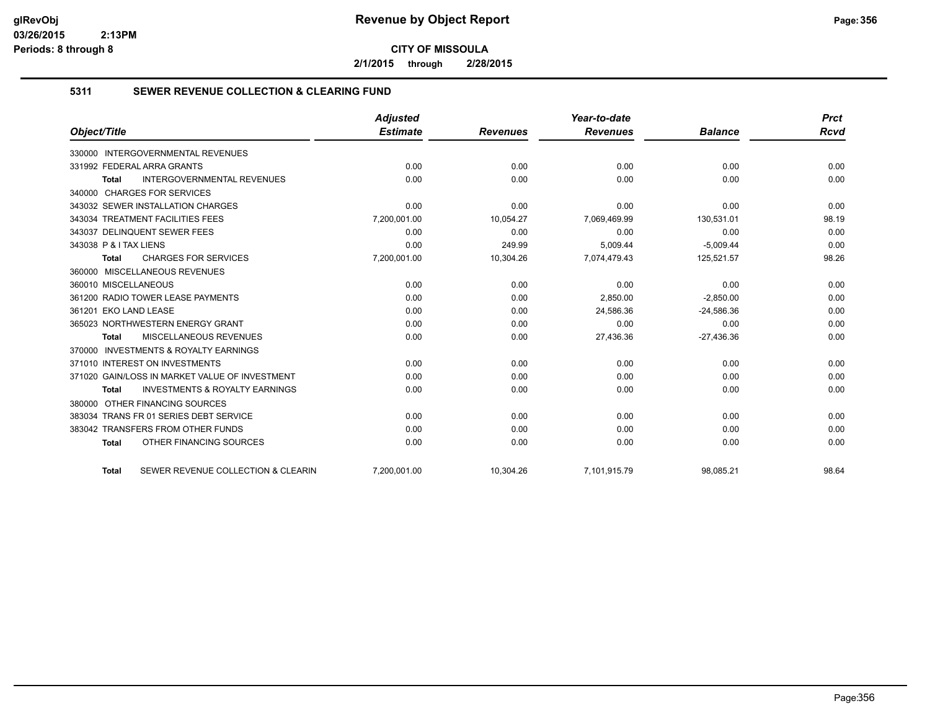**2/1/2015 through 2/28/2015**

### **5311 SEWER REVENUE COLLECTION & CLEARING FUND**

|                                                    | <b>Adjusted</b> |                 | Year-to-date    |                | <b>Prct</b> |
|----------------------------------------------------|-----------------|-----------------|-----------------|----------------|-------------|
| Object/Title                                       | <b>Estimate</b> | <b>Revenues</b> | <b>Revenues</b> | <b>Balance</b> | Rcvd        |
| 330000 INTERGOVERNMENTAL REVENUES                  |                 |                 |                 |                |             |
| 331992 FEDERAL ARRA GRANTS                         | 0.00            | 0.00            | 0.00            | 0.00           | 0.00        |
| <b>INTERGOVERNMENTAL REVENUES</b><br>Total         | 0.00            | 0.00            | 0.00            | 0.00           | 0.00        |
| 340000 CHARGES FOR SERVICES                        |                 |                 |                 |                |             |
| 343032 SEWER INSTALLATION CHARGES                  | 0.00            | 0.00            | 0.00            | 0.00           | 0.00        |
| 343034 TREATMENT FACILITIES FEES                   | 7,200,001.00    | 10,054.27       | 7,069,469.99    | 130,531.01     | 98.19       |
| 343037 DELINQUENT SEWER FEES                       | 0.00            | 0.00            | 0.00            | 0.00           | 0.00        |
| 343038 P & I TAX LIENS                             | 0.00            | 249.99          | 5,009.44        | $-5,009.44$    | 0.00        |
| <b>CHARGES FOR SERVICES</b><br><b>Total</b>        | 7,200,001.00    | 10,304.26       | 7,074,479.43    | 125,521.57     | 98.26       |
| 360000 MISCELLANEOUS REVENUES                      |                 |                 |                 |                |             |
| 360010 MISCELLANEOUS                               | 0.00            | 0.00            | 0.00            | 0.00           | 0.00        |
| 361200 RADIO TOWER LEASE PAYMENTS                  | 0.00            | 0.00            | 2.850.00        | $-2.850.00$    | 0.00        |
| 361201 EKO LAND LEASE                              | 0.00            | 0.00            | 24,586.36       | $-24,586.36$   | 0.00        |
| 365023 NORTHWESTERN ENERGY GRANT                   | 0.00            | 0.00            | 0.00            | 0.00           | 0.00        |
| <b>MISCELLANEOUS REVENUES</b><br>Total             | 0.00            | 0.00            | 27,436.36       | $-27,436.36$   | 0.00        |
| 370000 INVESTMENTS & ROYALTY EARNINGS              |                 |                 |                 |                |             |
| 371010 INTEREST ON INVESTMENTS                     | 0.00            | 0.00            | 0.00            | 0.00           | 0.00        |
| 371020 GAIN/LOSS IN MARKET VALUE OF INVESTMENT     | 0.00            | 0.00            | 0.00            | 0.00           | 0.00        |
| <b>INVESTMENTS &amp; ROYALTY EARNINGS</b><br>Total | 0.00            | 0.00            | 0.00            | 0.00           | 0.00        |
| OTHER FINANCING SOURCES<br>380000                  |                 |                 |                 |                |             |
| 383034 TRANS FR 01 SERIES DEBT SERVICE             | 0.00            | 0.00            | 0.00            | 0.00           | 0.00        |
| 383042 TRANSFERS FROM OTHER FUNDS                  | 0.00            | 0.00            | 0.00            | 0.00           | 0.00        |
| OTHER FINANCING SOURCES<br><b>Total</b>            | 0.00            | 0.00            | 0.00            | 0.00           | 0.00        |
| SEWER REVENUE COLLECTION & CLEARIN<br><b>Total</b> | 7,200,001.00    | 10,304.26       | 7,101,915.79    | 98,085.21      | 98.64       |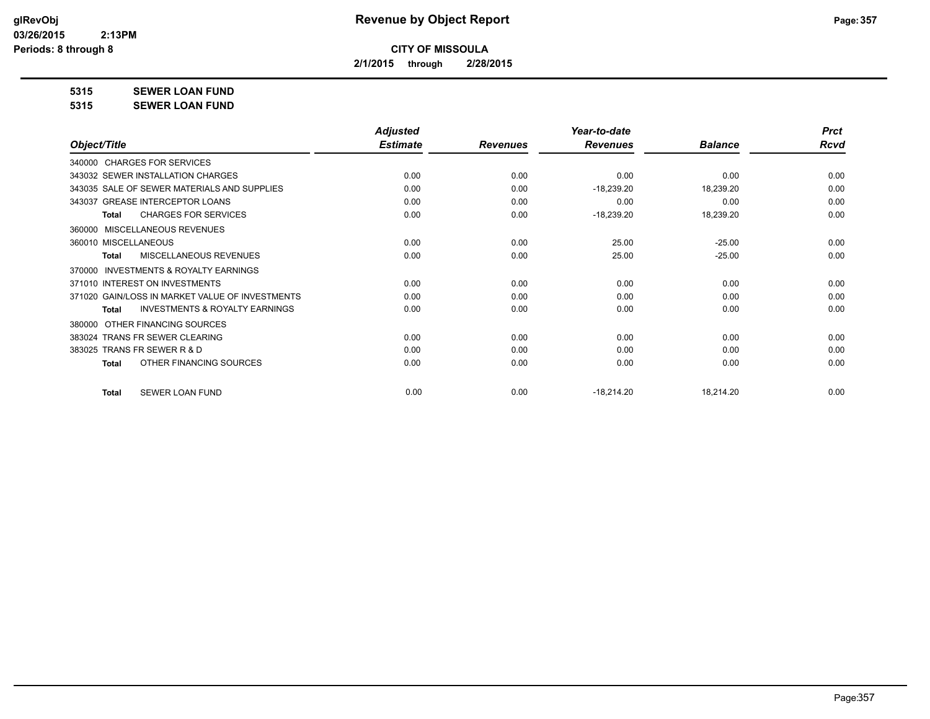**2/1/2015 through 2/28/2015**

**5315 SEWER LOAN FUND**

**5315 SEWER LOAN FUND**

|                                                           | <b>Adjusted</b> |                 | Year-to-date    |                | <b>Prct</b> |
|-----------------------------------------------------------|-----------------|-----------------|-----------------|----------------|-------------|
| Object/Title                                              | <b>Estimate</b> | <b>Revenues</b> | <b>Revenues</b> | <b>Balance</b> | <b>Rcvd</b> |
| 340000 CHARGES FOR SERVICES                               |                 |                 |                 |                |             |
| 343032 SEWER INSTALLATION CHARGES                         | 0.00            | 0.00            | 0.00            | 0.00           | 0.00        |
| 343035 SALE OF SEWER MATERIALS AND SUPPLIES               | 0.00            | 0.00            | $-18,239.20$    | 18,239.20      | 0.00        |
| 343037 GREASE INTERCEPTOR LOANS                           | 0.00            | 0.00            | 0.00            | 0.00           | 0.00        |
| <b>CHARGES FOR SERVICES</b><br><b>Total</b>               | 0.00            | 0.00            | $-18,239.20$    | 18,239.20      | 0.00        |
| MISCELLANEOUS REVENUES<br>360000                          |                 |                 |                 |                |             |
| 360010 MISCELLANEOUS                                      | 0.00            | 0.00            | 25.00           | $-25.00$       | 0.00        |
| MISCELLANEOUS REVENUES<br><b>Total</b>                    | 0.00            | 0.00            | 25.00           | $-25.00$       | 0.00        |
| <b>INVESTMENTS &amp; ROYALTY EARNINGS</b><br>370000       |                 |                 |                 |                |             |
| 371010 INTEREST ON INVESTMENTS                            | 0.00            | 0.00            | 0.00            | 0.00           | 0.00        |
| 371020 GAIN/LOSS IN MARKET VALUE OF INVESTMENTS           | 0.00            | 0.00            | 0.00            | 0.00           | 0.00        |
| <b>INVESTMENTS &amp; ROYALTY EARNINGS</b><br><b>Total</b> | 0.00            | 0.00            | 0.00            | 0.00           | 0.00        |
| OTHER FINANCING SOURCES<br>380000                         |                 |                 |                 |                |             |
| 383024 TRANS FR SEWER CLEARING                            | 0.00            | 0.00            | 0.00            | 0.00           | 0.00        |
| 383025 TRANS FR SEWER R & D                               | 0.00            | 0.00            | 0.00            | 0.00           | 0.00        |
| OTHER FINANCING SOURCES<br><b>Total</b>                   | 0.00            | 0.00            | 0.00            | 0.00           | 0.00        |
|                                                           |                 |                 |                 |                |             |
| <b>SEWER LOAN FUND</b><br><b>Total</b>                    | 0.00            | 0.00            | $-18,214.20$    | 18,214.20      | 0.00        |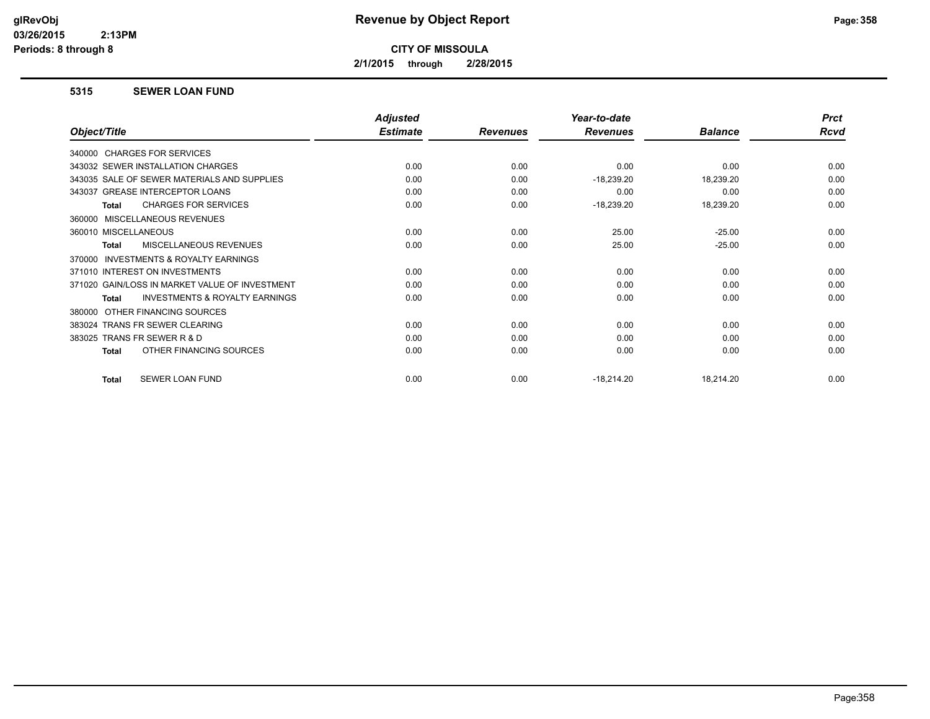**2/1/2015 through 2/28/2015**

### **5315 SEWER LOAN FUND**

|                                                           | <b>Adjusted</b> |                 | Year-to-date    |                | <b>Prct</b> |
|-----------------------------------------------------------|-----------------|-----------------|-----------------|----------------|-------------|
| Object/Title                                              | <b>Estimate</b> | <b>Revenues</b> | <b>Revenues</b> | <b>Balance</b> | <b>Rcvd</b> |
| 340000 CHARGES FOR SERVICES                               |                 |                 |                 |                |             |
| 343032 SEWER INSTALLATION CHARGES                         | 0.00            | 0.00            | 0.00            | 0.00           | 0.00        |
| 343035 SALE OF SEWER MATERIALS AND SUPPLIES               | 0.00            | 0.00            | $-18,239.20$    | 18,239.20      | 0.00        |
| 343037 GREASE INTERCEPTOR LOANS                           | 0.00            | 0.00            | 0.00            | 0.00           | 0.00        |
| <b>CHARGES FOR SERVICES</b><br><b>Total</b>               | 0.00            | 0.00            | $-18,239.20$    | 18,239.20      | 0.00        |
| 360000 MISCELLANEOUS REVENUES                             |                 |                 |                 |                |             |
| 360010 MISCELLANEOUS                                      | 0.00            | 0.00            | 25.00           | $-25.00$       | 0.00        |
| MISCELLANEOUS REVENUES<br><b>Total</b>                    | 0.00            | 0.00            | 25.00           | $-25.00$       | 0.00        |
| <b>INVESTMENTS &amp; ROYALTY EARNINGS</b><br>370000       |                 |                 |                 |                |             |
| 371010 INTEREST ON INVESTMENTS                            | 0.00            | 0.00            | 0.00            | 0.00           | 0.00        |
| 371020 GAIN/LOSS IN MARKET VALUE OF INVESTMENT            | 0.00            | 0.00            | 0.00            | 0.00           | 0.00        |
| <b>INVESTMENTS &amp; ROYALTY EARNINGS</b><br><b>Total</b> | 0.00            | 0.00            | 0.00            | 0.00           | 0.00        |
| OTHER FINANCING SOURCES<br>380000                         |                 |                 |                 |                |             |
| 383024 TRANS FR SEWER CLEARING                            | 0.00            | 0.00            | 0.00            | 0.00           | 0.00        |
| 383025 TRANS FR SEWER R & D                               | 0.00            | 0.00            | 0.00            | 0.00           | 0.00        |
| OTHER FINANCING SOURCES<br><b>Total</b>                   | 0.00            | 0.00            | 0.00            | 0.00           | 0.00        |
|                                                           |                 |                 |                 |                |             |
| SEWER LOAN FUND<br><b>Total</b>                           | 0.00            | 0.00            | $-18,214.20$    | 18,214.20      | 0.00        |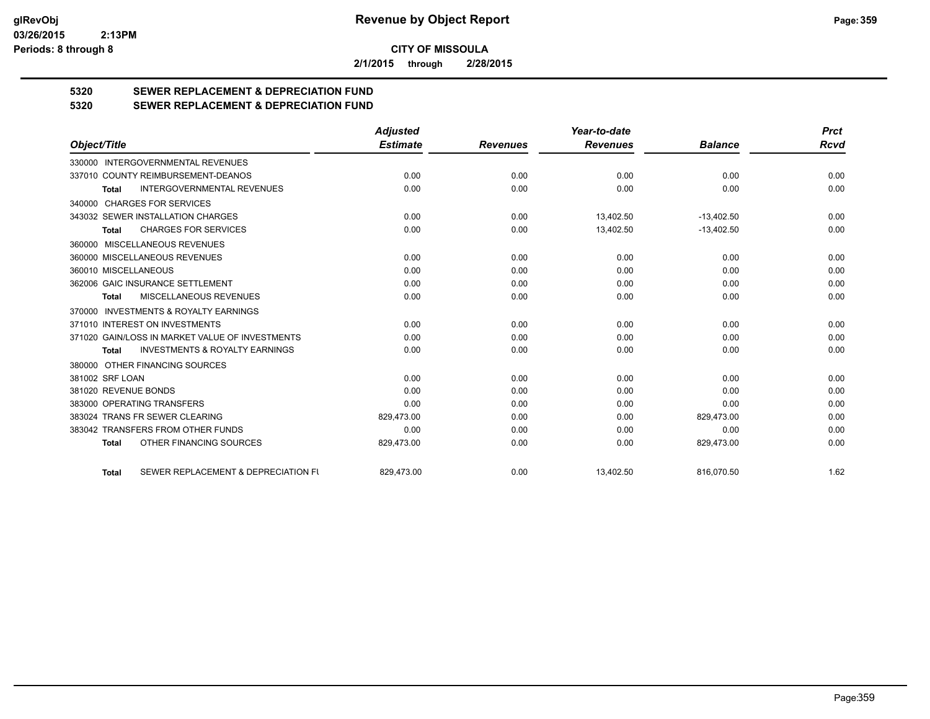**2/1/2015 through 2/28/2015**

# **5320 SEWER REPLACEMENT & DEPRECIATION FUND**

# **5320 SEWER REPLACEMENT & DEPRECIATION FUND**

|                                                           | <b>Adjusted</b> |                 | Year-to-date    |                | <b>Prct</b> |
|-----------------------------------------------------------|-----------------|-----------------|-----------------|----------------|-------------|
| Object/Title                                              | <b>Estimate</b> | <b>Revenues</b> | <b>Revenues</b> | <b>Balance</b> | <b>Rcvd</b> |
| 330000 INTERGOVERNMENTAL REVENUES                         |                 |                 |                 |                |             |
| 337010 COUNTY REIMBURSEMENT-DEANOS                        | 0.00            | 0.00            | 0.00            | 0.00           | 0.00        |
| <b>INTERGOVERNMENTAL REVENUES</b><br><b>Total</b>         | 0.00            | 0.00            | 0.00            | 0.00           | 0.00        |
| 340000 CHARGES FOR SERVICES                               |                 |                 |                 |                |             |
| 343032 SEWER INSTALLATION CHARGES                         | 0.00            | 0.00            | 13,402.50       | $-13,402.50$   | 0.00        |
| <b>CHARGES FOR SERVICES</b><br><b>Total</b>               | 0.00            | 0.00            | 13,402.50       | $-13,402.50$   | 0.00        |
| 360000 MISCELLANEOUS REVENUES                             |                 |                 |                 |                |             |
| 360000 MISCELLANEOUS REVENUES                             | 0.00            | 0.00            | 0.00            | 0.00           | 0.00        |
| 360010 MISCELLANEOUS                                      | 0.00            | 0.00            | 0.00            | 0.00           | 0.00        |
| 362006 GAIC INSURANCE SETTLEMENT                          | 0.00            | 0.00            | 0.00            | 0.00           | 0.00        |
| MISCELLANEOUS REVENUES<br><b>Total</b>                    | 0.00            | 0.00            | 0.00            | 0.00           | 0.00        |
| 370000 INVESTMENTS & ROYALTY EARNINGS                     |                 |                 |                 |                |             |
| 371010 INTEREST ON INVESTMENTS                            | 0.00            | 0.00            | 0.00            | 0.00           | 0.00        |
| 371020 GAIN/LOSS IN MARKET VALUE OF INVESTMENTS           | 0.00            | 0.00            | 0.00            | 0.00           | 0.00        |
| <b>INVESTMENTS &amp; ROYALTY EARNINGS</b><br><b>Total</b> | 0.00            | 0.00            | 0.00            | 0.00           | 0.00        |
| 380000 OTHER FINANCING SOURCES                            |                 |                 |                 |                |             |
| 381002 SRF LOAN                                           | 0.00            | 0.00            | 0.00            | 0.00           | 0.00        |
| 381020 REVENUE BONDS                                      | 0.00            | 0.00            | 0.00            | 0.00           | 0.00        |
| 383000 OPERATING TRANSFERS                                | 0.00            | 0.00            | 0.00            | 0.00           | 0.00        |
| 383024 TRANS FR SEWER CLEARING                            | 829,473.00      | 0.00            | 0.00            | 829,473.00     | 0.00        |
| 383042 TRANSFERS FROM OTHER FUNDS                         | 0.00            | 0.00            | 0.00            | 0.00           | 0.00        |
| OTHER FINANCING SOURCES<br><b>Total</b>                   | 829,473.00      | 0.00            | 0.00            | 829,473.00     | 0.00        |
| SEWER REPLACEMENT & DEPRECIATION FI<br><b>Total</b>       | 829,473.00      | 0.00            | 13,402.50       | 816,070.50     | 1.62        |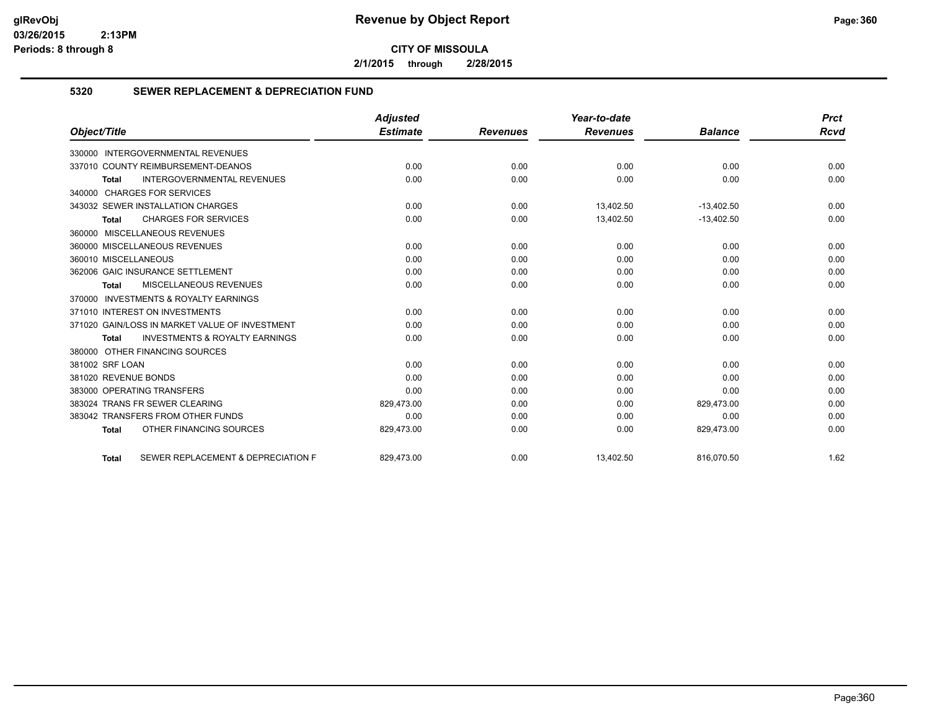**2/1/2015 through 2/28/2015**

### **5320 SEWER REPLACEMENT & DEPRECIATION FUND**

| Object/Title                                       | <b>Adjusted</b> |                 | Year-to-date    |                | <b>Prct</b> |
|----------------------------------------------------|-----------------|-----------------|-----------------|----------------|-------------|
|                                                    | <b>Estimate</b> | <b>Revenues</b> | <b>Revenues</b> | <b>Balance</b> | <b>Rcvd</b> |
| 330000 INTERGOVERNMENTAL REVENUES                  |                 |                 |                 |                |             |
| 337010 COUNTY REIMBURSEMENT-DEANOS                 | 0.00            | 0.00            | 0.00            | 0.00           | 0.00        |
| <b>INTERGOVERNMENTAL REVENUES</b><br><b>Total</b>  | 0.00            | 0.00            | 0.00            | 0.00           | 0.00        |
| 340000 CHARGES FOR SERVICES                        |                 |                 |                 |                |             |
| 343032 SEWER INSTALLATION CHARGES                  | 0.00            | 0.00            | 13,402.50       | $-13,402.50$   | 0.00        |
| <b>CHARGES FOR SERVICES</b><br><b>Total</b>        | 0.00            | 0.00            | 13,402.50       | $-13,402.50$   | 0.00        |
| 360000 MISCELLANEOUS REVENUES                      |                 |                 |                 |                |             |
| 360000 MISCELLANEOUS REVENUES                      | 0.00            | 0.00            | 0.00            | 0.00           | 0.00        |
| 360010 MISCELLANEOUS                               | 0.00            | 0.00            | 0.00            | 0.00           | 0.00        |
| 362006 GAIC INSURANCE SETTLEMENT                   | 0.00            | 0.00            | 0.00            | 0.00           | 0.00        |
| <b>MISCELLANEOUS REVENUES</b><br>Total             | 0.00            | 0.00            | 0.00            | 0.00           | 0.00        |
| 370000 INVESTMENTS & ROYALTY EARNINGS              |                 |                 |                 |                |             |
| 371010 INTEREST ON INVESTMENTS                     | 0.00            | 0.00            | 0.00            | 0.00           | 0.00        |
| 371020 GAIN/LOSS IN MARKET VALUE OF INVESTMENT     | 0.00            | 0.00            | 0.00            | 0.00           | 0.00        |
| <b>INVESTMENTS &amp; ROYALTY EARNINGS</b><br>Total | 0.00            | 0.00            | 0.00            | 0.00           | 0.00        |
| 380000 OTHER FINANCING SOURCES                     |                 |                 |                 |                |             |
| 381002 SRF LOAN                                    | 0.00            | 0.00            | 0.00            | 0.00           | 0.00        |
| 381020 REVENUE BONDS                               | 0.00            | 0.00            | 0.00            | 0.00           | 0.00        |
| 383000 OPERATING TRANSFERS                         | 0.00            | 0.00            | 0.00            | 0.00           | 0.00        |
| 383024 TRANS FR SEWER CLEARING                     | 829,473.00      | 0.00            | 0.00            | 829,473.00     | 0.00        |
| 383042 TRANSFERS FROM OTHER FUNDS                  | 0.00            | 0.00            | 0.00            | 0.00           | 0.00        |
| OTHER FINANCING SOURCES<br><b>Total</b>            | 829,473.00      | 0.00            | 0.00            | 829,473.00     | 0.00        |
| SEWER REPLACEMENT & DEPRECIATION F<br><b>Total</b> | 829.473.00      | 0.00            | 13.402.50       | 816.070.50     | 1.62        |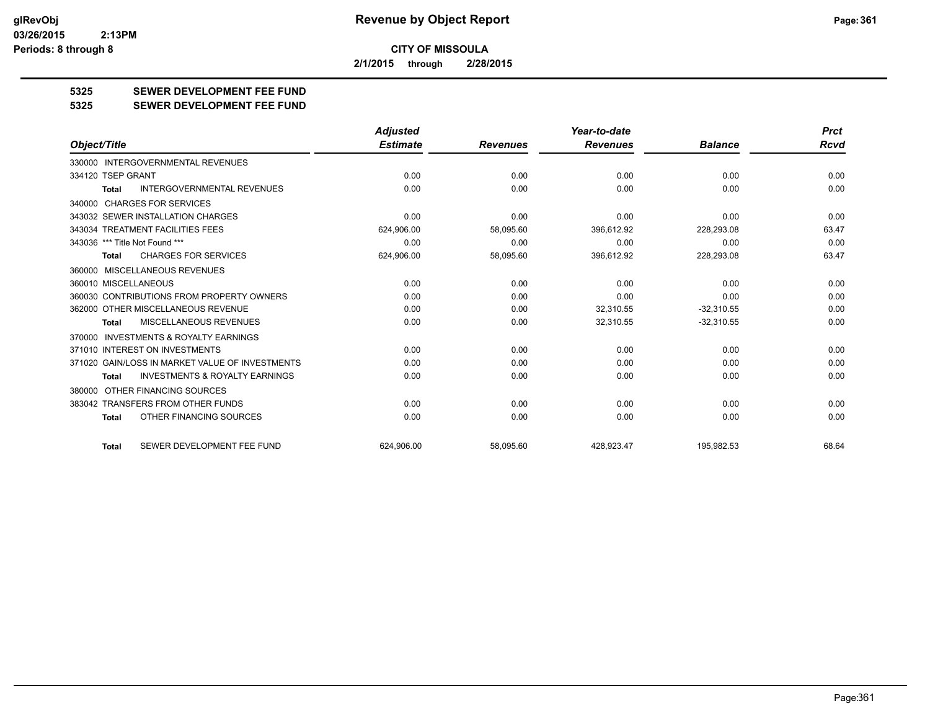**2/1/2015 through 2/28/2015**

# **5325 SEWER DEVELOPMENT FEE FUND**

**5325 SEWER DEVELOPMENT FEE FUND**

|                                                           | <b>Adjusted</b> |                 | Year-to-date    |                | <b>Prct</b> |
|-----------------------------------------------------------|-----------------|-----------------|-----------------|----------------|-------------|
| Object/Title                                              | <b>Estimate</b> | <b>Revenues</b> | <b>Revenues</b> | <b>Balance</b> | <b>Rcvd</b> |
| 330000 INTERGOVERNMENTAL REVENUES                         |                 |                 |                 |                |             |
| 334120 TSEP GRANT                                         | 0.00            | 0.00            | 0.00            | 0.00           | 0.00        |
| <b>INTERGOVERNMENTAL REVENUES</b><br>Total                | 0.00            | 0.00            | 0.00            | 0.00           | 0.00        |
| 340000 CHARGES FOR SERVICES                               |                 |                 |                 |                |             |
| 343032 SEWER INSTALLATION CHARGES                         | 0.00            | 0.00            | 0.00            | 0.00           | 0.00        |
| 343034 TREATMENT FACILITIES FEES                          | 624,906.00      | 58,095.60       | 396,612.92      | 228,293.08     | 63.47       |
| 343036 *** Title Not Found ***                            | 0.00            | 0.00            | 0.00            | 0.00           | 0.00        |
| <b>CHARGES FOR SERVICES</b><br>Total                      | 624,906.00      | 58,095.60       | 396,612.92      | 228,293.08     | 63.47       |
| 360000 MISCELLANEOUS REVENUES                             |                 |                 |                 |                |             |
| 360010 MISCELLANEOUS                                      | 0.00            | 0.00            | 0.00            | 0.00           | 0.00        |
| 360030 CONTRIBUTIONS FROM PROPERTY OWNERS                 | 0.00            | 0.00            | 0.00            | 0.00           | 0.00        |
| 362000 OTHER MISCELLANEOUS REVENUE                        | 0.00            | 0.00            | 32,310.55       | $-32,310.55$   | 0.00        |
| MISCELLANEOUS REVENUES<br><b>Total</b>                    | 0.00            | 0.00            | 32,310.55       | $-32,310.55$   | 0.00        |
| INVESTMENTS & ROYALTY EARNINGS<br>370000                  |                 |                 |                 |                |             |
| 371010 INTEREST ON INVESTMENTS                            | 0.00            | 0.00            | 0.00            | 0.00           | 0.00        |
| 371020 GAIN/LOSS IN MARKET VALUE OF INVESTMENTS           | 0.00            | 0.00            | 0.00            | 0.00           | 0.00        |
| <b>INVESTMENTS &amp; ROYALTY EARNINGS</b><br><b>Total</b> | 0.00            | 0.00            | 0.00            | 0.00           | 0.00        |
| 380000 OTHER FINANCING SOURCES                            |                 |                 |                 |                |             |
| 383042 TRANSFERS FROM OTHER FUNDS                         | 0.00            | 0.00            | 0.00            | 0.00           | 0.00        |
| OTHER FINANCING SOURCES<br>Total                          | 0.00            | 0.00            | 0.00            | 0.00           | 0.00        |
| SEWER DEVELOPMENT FEE FUND<br><b>Total</b>                | 624.906.00      | 58,095.60       | 428.923.47      | 195.982.53     | 68.64       |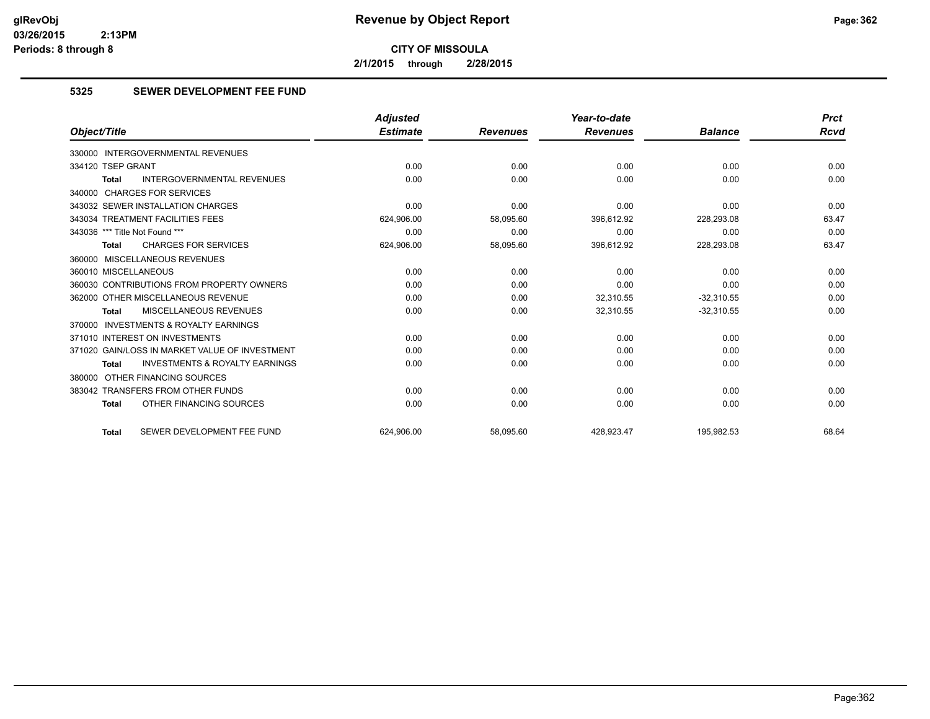**2/1/2015 through 2/28/2015**

# **5325 SEWER DEVELOPMENT FEE FUND**

|                                                    | <b>Adjusted</b> |                 | Year-to-date    |                | <b>Prct</b> |
|----------------------------------------------------|-----------------|-----------------|-----------------|----------------|-------------|
| Object/Title                                       | <b>Estimate</b> | <b>Revenues</b> | <b>Revenues</b> | <b>Balance</b> | Rcvd        |
| 330000 INTERGOVERNMENTAL REVENUES                  |                 |                 |                 |                |             |
| 334120 TSEP GRANT                                  | 0.00            | 0.00            | 0.00            | 0.00           | 0.00        |
| <b>INTERGOVERNMENTAL REVENUES</b><br><b>Total</b>  | 0.00            | 0.00            | 0.00            | 0.00           | 0.00        |
| 340000 CHARGES FOR SERVICES                        |                 |                 |                 |                |             |
| 343032 SEWER INSTALLATION CHARGES                  | 0.00            | 0.00            | 0.00            | 0.00           | 0.00        |
| 343034 TREATMENT FACILITIES FEES                   | 624,906.00      | 58,095.60       | 396,612.92      | 228,293.08     | 63.47       |
| 343036 *** Title Not Found ***                     | 0.00            | 0.00            | 0.00            | 0.00           | 0.00        |
| <b>CHARGES FOR SERVICES</b><br><b>Total</b>        | 624,906.00      | 58,095.60       | 396,612.92      | 228,293.08     | 63.47       |
| 360000 MISCELLANEOUS REVENUES                      |                 |                 |                 |                |             |
| 360010 MISCELLANEOUS                               | 0.00            | 0.00            | 0.00            | 0.00           | 0.00        |
| 360030 CONTRIBUTIONS FROM PROPERTY OWNERS          | 0.00            | 0.00            | 0.00            | 0.00           | 0.00        |
| 362000 OTHER MISCELLANEOUS REVENUE                 | 0.00            | 0.00            | 32,310.55       | $-32,310.55$   | 0.00        |
| MISCELLANEOUS REVENUES<br><b>Total</b>             | 0.00            | 0.00            | 32,310.55       | $-32,310.55$   | 0.00        |
| 370000 INVESTMENTS & ROYALTY EARNINGS              |                 |                 |                 |                |             |
| 371010 INTEREST ON INVESTMENTS                     | 0.00            | 0.00            | 0.00            | 0.00           | 0.00        |
| 371020 GAIN/LOSS IN MARKET VALUE OF INVESTMENT     | 0.00            | 0.00            | 0.00            | 0.00           | 0.00        |
| <b>INVESTMENTS &amp; ROYALTY EARNINGS</b><br>Total | 0.00            | 0.00            | 0.00            | 0.00           | 0.00        |
| 380000 OTHER FINANCING SOURCES                     |                 |                 |                 |                |             |
| 383042 TRANSFERS FROM OTHER FUNDS                  | 0.00            | 0.00            | 0.00            | 0.00           | 0.00        |
| OTHER FINANCING SOURCES<br><b>Total</b>            | 0.00            | 0.00            | 0.00            | 0.00           | 0.00        |
| SEWER DEVELOPMENT FEE FUND<br><b>Total</b>         | 624.906.00      | 58,095.60       | 428.923.47      | 195.982.53     | 68.64       |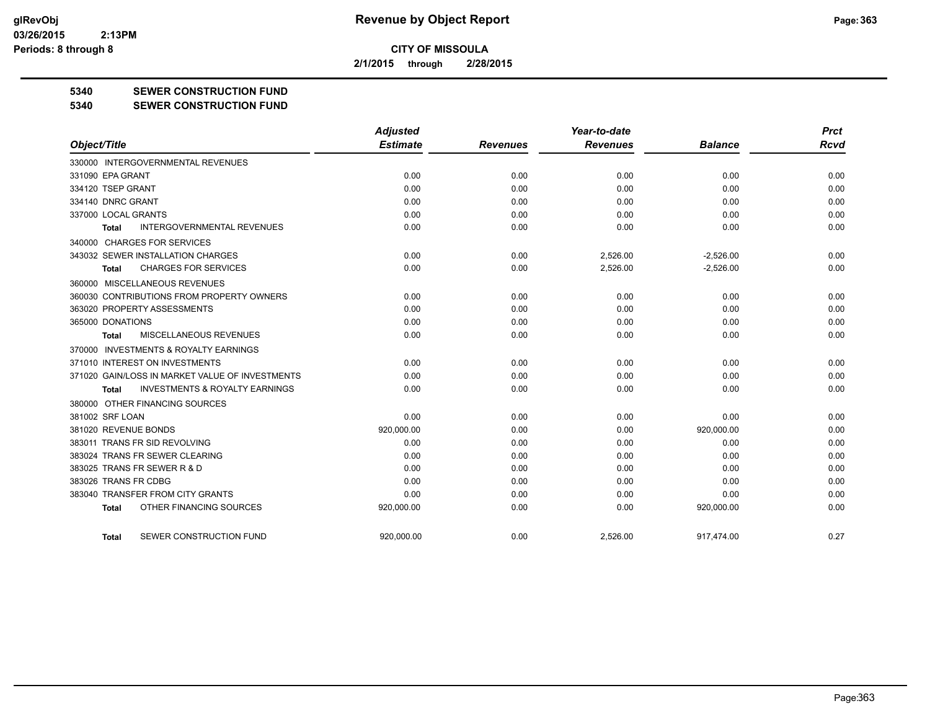**2/1/2015 through 2/28/2015**

## **5340 SEWER CONSTRUCTION FUND**

#### **5340 SEWER CONSTRUCTION FUND**

|                                                     | <b>Adjusted</b> |                 | Year-to-date    |                | <b>Prct</b> |
|-----------------------------------------------------|-----------------|-----------------|-----------------|----------------|-------------|
| Object/Title                                        | <b>Estimate</b> | <b>Revenues</b> | <b>Revenues</b> | <b>Balance</b> | <b>Rcvd</b> |
| 330000 INTERGOVERNMENTAL REVENUES                   |                 |                 |                 |                |             |
| 331090 EPA GRANT                                    | 0.00            | 0.00            | 0.00            | 0.00           | 0.00        |
| 334120 TSEP GRANT                                   | 0.00            | 0.00            | 0.00            | 0.00           | 0.00        |
| 334140 DNRC GRANT                                   | 0.00            | 0.00            | 0.00            | 0.00           | 0.00        |
| 337000 LOCAL GRANTS                                 | 0.00            | 0.00            | 0.00            | 0.00           | 0.00        |
| <b>INTERGOVERNMENTAL REVENUES</b><br><b>Total</b>   | 0.00            | 0.00            | 0.00            | 0.00           | 0.00        |
| 340000 CHARGES FOR SERVICES                         |                 |                 |                 |                |             |
| 343032 SEWER INSTALLATION CHARGES                   | 0.00            | 0.00            | 2,526.00        | $-2,526.00$    | 0.00        |
| <b>CHARGES FOR SERVICES</b><br>Total                | 0.00            | 0.00            | 2,526.00        | $-2,526.00$    | 0.00        |
| 360000 MISCELLANEOUS REVENUES                       |                 |                 |                 |                |             |
| 360030 CONTRIBUTIONS FROM PROPERTY OWNERS           | 0.00            | 0.00            | 0.00            | 0.00           | 0.00        |
| 363020 PROPERTY ASSESSMENTS                         | 0.00            | 0.00            | 0.00            | 0.00           | 0.00        |
| 365000 DONATIONS                                    | 0.00            | 0.00            | 0.00            | 0.00           | 0.00        |
| MISCELLANEOUS REVENUES<br>Total                     | 0.00            | 0.00            | 0.00            | 0.00           | 0.00        |
| <b>INVESTMENTS &amp; ROYALTY EARNINGS</b><br>370000 |                 |                 |                 |                |             |
| 371010 INTEREST ON INVESTMENTS                      | 0.00            | 0.00            | 0.00            | 0.00           | 0.00        |
| 371020 GAIN/LOSS IN MARKET VALUE OF INVESTMENTS     | 0.00            | 0.00            | 0.00            | 0.00           | 0.00        |
| <b>INVESTMENTS &amp; ROYALTY EARNINGS</b><br>Total  | 0.00            | 0.00            | 0.00            | 0.00           | 0.00        |
| 380000 OTHER FINANCING SOURCES                      |                 |                 |                 |                |             |
| 381002 SRF LOAN                                     | 0.00            | 0.00            | 0.00            | 0.00           | 0.00        |
| 381020 REVENUE BONDS                                | 920,000.00      | 0.00            | 0.00            | 920,000.00     | 0.00        |
| 383011 TRANS FR SID REVOLVING                       | 0.00            | 0.00            | 0.00            | 0.00           | 0.00        |
| 383024 TRANS FR SEWER CLEARING                      | 0.00            | 0.00            | 0.00            | 0.00           | 0.00        |
| 383025 TRANS FR SEWER R & D                         | 0.00            | 0.00            | 0.00            | 0.00           | 0.00        |
| 383026 TRANS FR CDBG                                | 0.00            | 0.00            | 0.00            | 0.00           | 0.00        |
| 383040 TRANSFER FROM CITY GRANTS                    | 0.00            | 0.00            | 0.00            | 0.00           | 0.00        |
| OTHER FINANCING SOURCES<br><b>Total</b>             | 920,000.00      | 0.00            | 0.00            | 920,000.00     | 0.00        |
| SEWER CONSTRUCTION FUND<br>Total                    | 920.000.00      | 0.00            | 2,526.00        | 917.474.00     | 0.27        |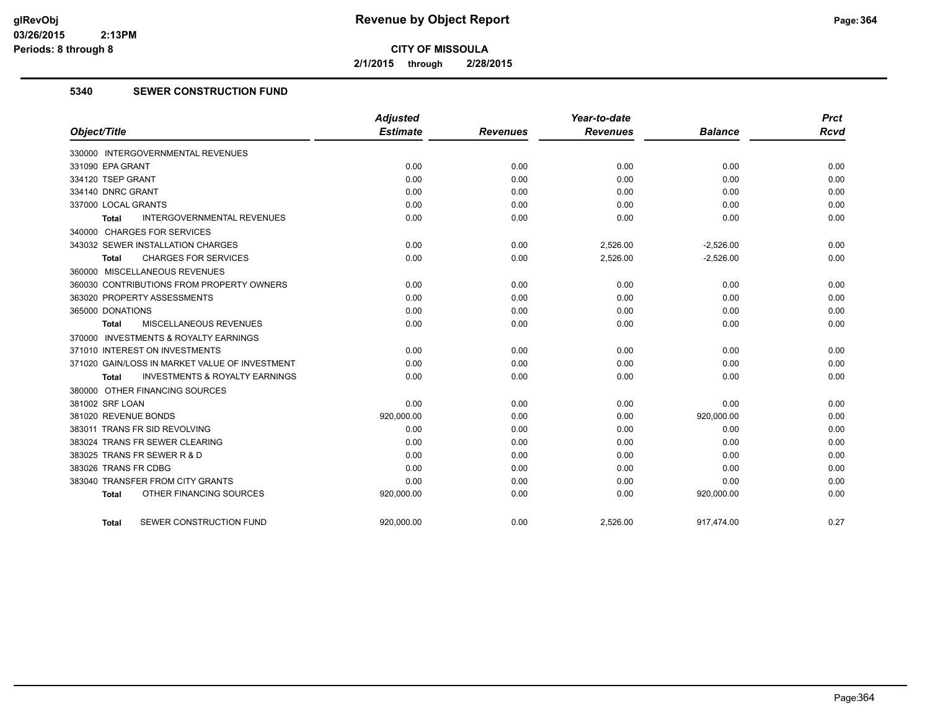**2/1/2015 through 2/28/2015**

# **5340 SEWER CONSTRUCTION FUND**

|                                                    | <b>Adjusted</b> |                 | Year-to-date    |                | <b>Prct</b> |
|----------------------------------------------------|-----------------|-----------------|-----------------|----------------|-------------|
| Object/Title                                       | <b>Estimate</b> | <b>Revenues</b> | <b>Revenues</b> | <b>Balance</b> | <b>Rcvd</b> |
| 330000 INTERGOVERNMENTAL REVENUES                  |                 |                 |                 |                |             |
| 331090 EPA GRANT                                   | 0.00            | 0.00            | 0.00            | 0.00           | 0.00        |
| 334120 TSEP GRANT                                  | 0.00            | 0.00            | 0.00            | 0.00           | 0.00        |
| 334140 DNRC GRANT                                  | 0.00            | 0.00            | 0.00            | 0.00           | 0.00        |
| 337000 LOCAL GRANTS                                | 0.00            | 0.00            | 0.00            | 0.00           | 0.00        |
| <b>INTERGOVERNMENTAL REVENUES</b><br>Total         | 0.00            | 0.00            | 0.00            | 0.00           | 0.00        |
| 340000 CHARGES FOR SERVICES                        |                 |                 |                 |                |             |
| 343032 SEWER INSTALLATION CHARGES                  | 0.00            | 0.00            | 2,526.00        | $-2,526.00$    | 0.00        |
| <b>CHARGES FOR SERVICES</b><br>Total               | 0.00            | 0.00            | 2,526.00        | $-2,526.00$    | 0.00        |
| 360000 MISCELLANEOUS REVENUES                      |                 |                 |                 |                |             |
| 360030 CONTRIBUTIONS FROM PROPERTY OWNERS          | 0.00            | 0.00            | 0.00            | 0.00           | 0.00        |
| 363020 PROPERTY ASSESSMENTS                        | 0.00            | 0.00            | 0.00            | 0.00           | 0.00        |
| 365000 DONATIONS                                   | 0.00            | 0.00            | 0.00            | 0.00           | 0.00        |
| <b>MISCELLANEOUS REVENUES</b><br>Total             | 0.00            | 0.00            | 0.00            | 0.00           | 0.00        |
| 370000 INVESTMENTS & ROYALTY EARNINGS              |                 |                 |                 |                |             |
| 371010 INTEREST ON INVESTMENTS                     | 0.00            | 0.00            | 0.00            | 0.00           | 0.00        |
| 371020 GAIN/LOSS IN MARKET VALUE OF INVESTMENT     | 0.00            | 0.00            | 0.00            | 0.00           | 0.00        |
| <b>INVESTMENTS &amp; ROYALTY EARNINGS</b><br>Total | 0.00            | 0.00            | 0.00            | 0.00           | 0.00        |
| 380000 OTHER FINANCING SOURCES                     |                 |                 |                 |                |             |
| 381002 SRF LOAN                                    | 0.00            | 0.00            | 0.00            | 0.00           | 0.00        |
| 381020 REVENUE BONDS                               | 920,000.00      | 0.00            | 0.00            | 920,000.00     | 0.00        |
| 383011 TRANS FR SID REVOLVING                      | 0.00            | 0.00            | 0.00            | 0.00           | 0.00        |
| 383024 TRANS FR SEWER CLEARING                     | 0.00            | 0.00            | 0.00            | 0.00           | 0.00        |
| 383025 TRANS FR SEWER R & D                        | 0.00            | 0.00            | 0.00            | 0.00           | 0.00        |
| 383026 TRANS FR CDBG                               | 0.00            | 0.00            | 0.00            | 0.00           | 0.00        |
| 383040 TRANSFER FROM CITY GRANTS                   | 0.00            | 0.00            | 0.00            | 0.00           | 0.00        |
| OTHER FINANCING SOURCES<br><b>Total</b>            | 920,000.00      | 0.00            | 0.00            | 920,000.00     | 0.00        |
| SEWER CONSTRUCTION FUND<br><b>Total</b>            | 920,000.00      | 0.00            | 2,526.00        | 917,474.00     | 0.27        |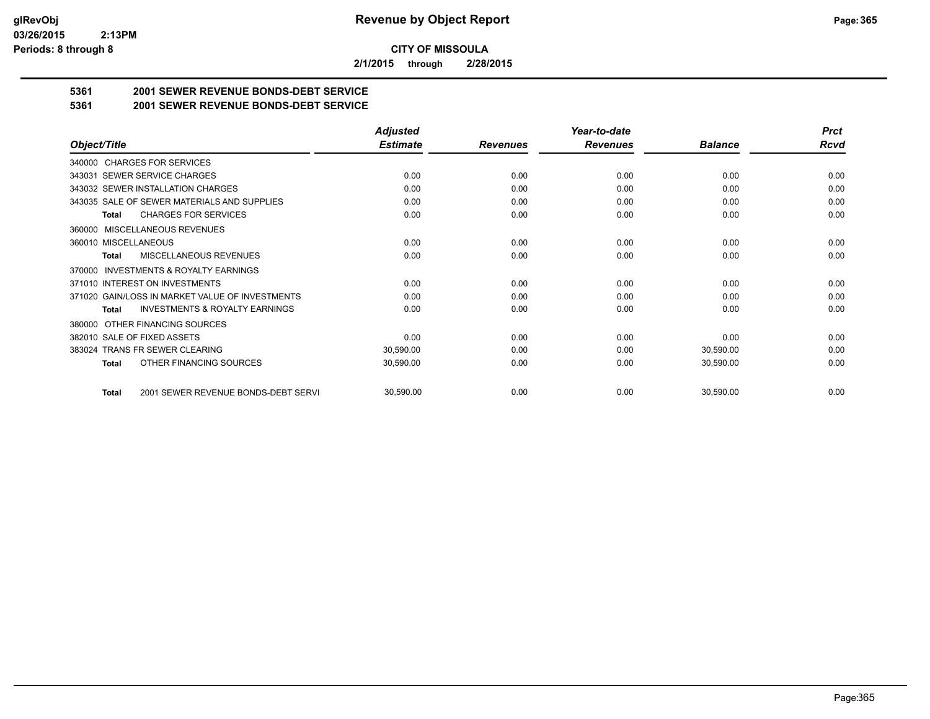**2/1/2015 through 2/28/2015**

# **5361 2001 SEWER REVENUE BONDS-DEBT SERVICE**

**5361 2001 SEWER REVENUE BONDS-DEBT SERVICE**

|                                                           | <b>Adjusted</b> |                 | Year-to-date    |                | <b>Prct</b> |
|-----------------------------------------------------------|-----------------|-----------------|-----------------|----------------|-------------|
| Object/Title                                              | <b>Estimate</b> | <b>Revenues</b> | <b>Revenues</b> | <b>Balance</b> | <b>Rcvd</b> |
| 340000 CHARGES FOR SERVICES                               |                 |                 |                 |                |             |
| <b>SEWER SERVICE CHARGES</b><br>343031                    | 0.00            | 0.00            | 0.00            | 0.00           | 0.00        |
| 343032 SEWER INSTALLATION CHARGES                         | 0.00            | 0.00            | 0.00            | 0.00           | 0.00        |
| 343035 SALE OF SEWER MATERIALS AND SUPPLIES               | 0.00            | 0.00            | 0.00            | 0.00           | 0.00        |
| <b>CHARGES FOR SERVICES</b><br><b>Total</b>               | 0.00            | 0.00            | 0.00            | 0.00           | 0.00        |
| <b>MISCELLANEOUS REVENUES</b><br>360000                   |                 |                 |                 |                |             |
| 360010 MISCELLANEOUS                                      | 0.00            | 0.00            | 0.00            | 0.00           | 0.00        |
| <b>MISCELLANEOUS REVENUES</b><br>Total                    | 0.00            | 0.00            | 0.00            | 0.00           | 0.00        |
| <b>INVESTMENTS &amp; ROYALTY EARNINGS</b><br>370000       |                 |                 |                 |                |             |
| 371010 INTEREST ON INVESTMENTS                            | 0.00            | 0.00            | 0.00            | 0.00           | 0.00        |
| 371020 GAIN/LOSS IN MARKET VALUE OF INVESTMENTS           | 0.00            | 0.00            | 0.00            | 0.00           | 0.00        |
| <b>INVESTMENTS &amp; ROYALTY EARNINGS</b><br><b>Total</b> | 0.00            | 0.00            | 0.00            | 0.00           | 0.00        |
| OTHER FINANCING SOURCES<br>380000                         |                 |                 |                 |                |             |
| 382010 SALE OF FIXED ASSETS                               | 0.00            | 0.00            | 0.00            | 0.00           | 0.00        |
| 383024 TRANS FR SEWER CLEARING                            | 30,590.00       | 0.00            | 0.00            | 30,590.00      | 0.00        |
| OTHER FINANCING SOURCES<br><b>Total</b>                   | 30,590.00       | 0.00            | 0.00            | 30,590.00      | 0.00        |
|                                                           |                 |                 |                 |                |             |
| 2001 SEWER REVENUE BONDS-DEBT SERVI<br><b>Total</b>       | 30,590.00       | 0.00            | 0.00            | 30,590.00      | 0.00        |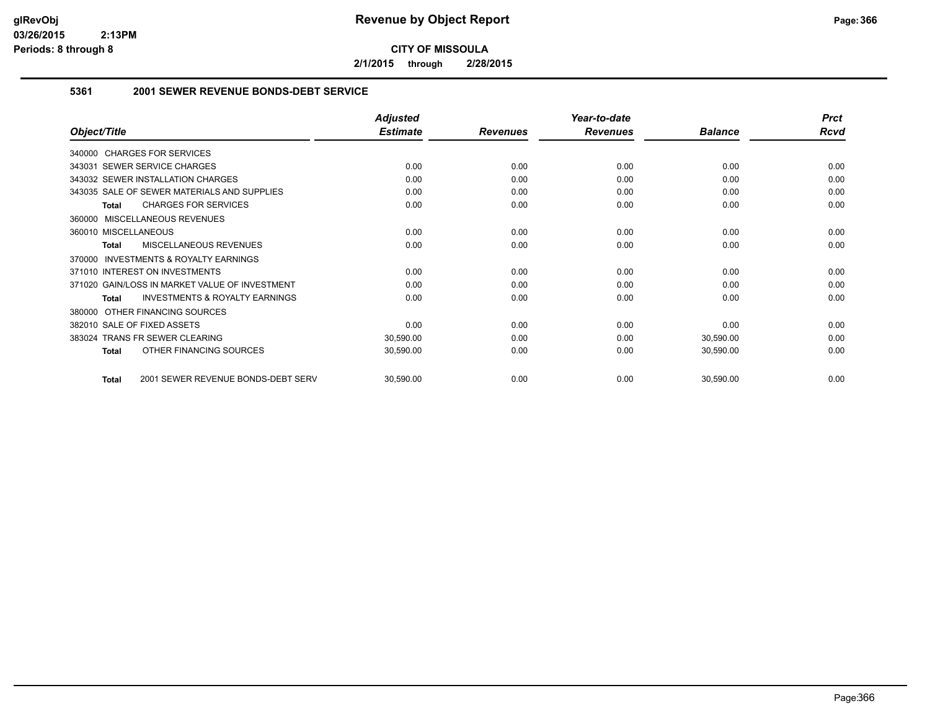**2/1/2015 through 2/28/2015**

## **5361 2001 SEWER REVENUE BONDS-DEBT SERVICE**

|                                                           | <b>Adjusted</b> |                 | Year-to-date    |                | <b>Prct</b> |
|-----------------------------------------------------------|-----------------|-----------------|-----------------|----------------|-------------|
| Object/Title                                              | <b>Estimate</b> | <b>Revenues</b> | <b>Revenues</b> | <b>Balance</b> | Rcvd        |
| 340000 CHARGES FOR SERVICES                               |                 |                 |                 |                |             |
| 343031 SEWER SERVICE CHARGES                              | 0.00            | 0.00            | 0.00            | 0.00           | 0.00        |
| 343032 SEWER INSTALLATION CHARGES                         | 0.00            | 0.00            | 0.00            | 0.00           | 0.00        |
| 343035 SALE OF SEWER MATERIALS AND SUPPLIES               | 0.00            | 0.00            | 0.00            | 0.00           | 0.00        |
| <b>CHARGES FOR SERVICES</b><br><b>Total</b>               | 0.00            | 0.00            | 0.00            | 0.00           | 0.00        |
| MISCELLANEOUS REVENUES<br>360000                          |                 |                 |                 |                |             |
| 360010 MISCELLANEOUS                                      | 0.00            | 0.00            | 0.00            | 0.00           | 0.00        |
| MISCELLANEOUS REVENUES<br><b>Total</b>                    | 0.00            | 0.00            | 0.00            | 0.00           | 0.00        |
| <b>INVESTMENTS &amp; ROYALTY EARNINGS</b><br>370000       |                 |                 |                 |                |             |
| 371010 INTEREST ON INVESTMENTS                            | 0.00            | 0.00            | 0.00            | 0.00           | 0.00        |
| 371020 GAIN/LOSS IN MARKET VALUE OF INVESTMENT            | 0.00            | 0.00            | 0.00            | 0.00           | 0.00        |
| <b>INVESTMENTS &amp; ROYALTY EARNINGS</b><br><b>Total</b> | 0.00            | 0.00            | 0.00            | 0.00           | 0.00        |
| OTHER FINANCING SOURCES<br>380000                         |                 |                 |                 |                |             |
| 382010 SALE OF FIXED ASSETS                               | 0.00            | 0.00            | 0.00            | 0.00           | 0.00        |
| 383024 TRANS FR SEWER CLEARING                            | 30,590.00       | 0.00            | 0.00            | 30,590.00      | 0.00        |
| OTHER FINANCING SOURCES<br><b>Total</b>                   | 30,590.00       | 0.00            | 0.00            | 30,590.00      | 0.00        |
| 2001 SEWER REVENUE BONDS-DEBT SERV<br><b>Total</b>        | 30,590.00       | 0.00            | 0.00            | 30,590.00      | 0.00        |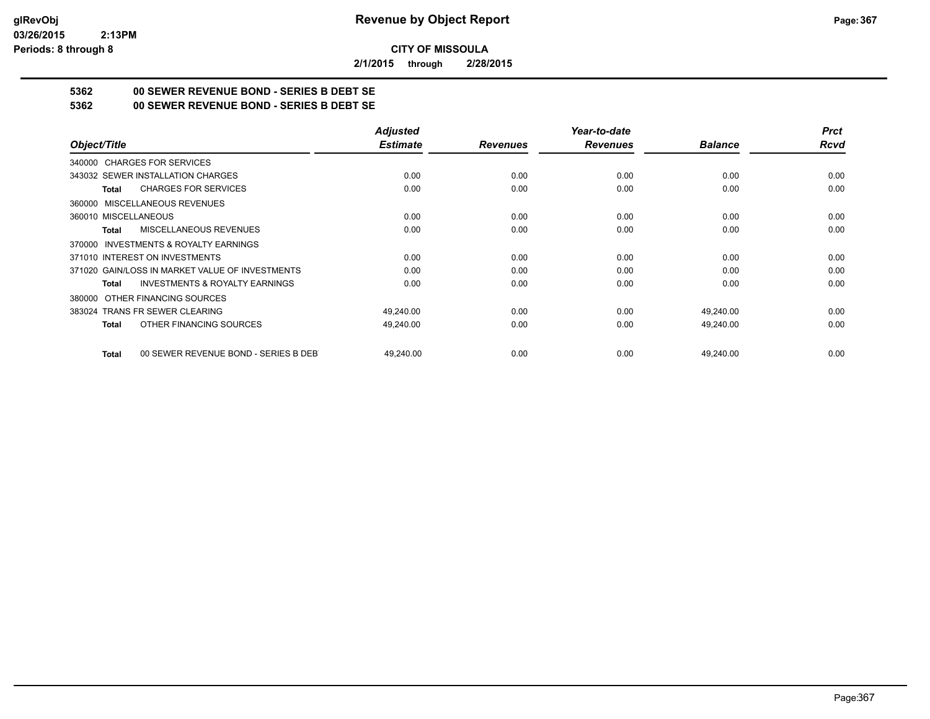**2/1/2015 through 2/28/2015**

# **5362 00 SEWER REVENUE BOND - SERIES B DEBT SE**

**5362 00 SEWER REVENUE BOND - SERIES B DEBT SE**

|                                                           | <b>Adjusted</b> |                 | Year-to-date    |                | <b>Prct</b> |
|-----------------------------------------------------------|-----------------|-----------------|-----------------|----------------|-------------|
| Object/Title                                              | <b>Estimate</b> | <b>Revenues</b> | <b>Revenues</b> | <b>Balance</b> | Rcvd        |
| 340000 CHARGES FOR SERVICES                               |                 |                 |                 |                |             |
| 343032 SEWER INSTALLATION CHARGES                         | 0.00            | 0.00            | 0.00            | 0.00           | 0.00        |
| <b>CHARGES FOR SERVICES</b><br><b>Total</b>               | 0.00            | 0.00            | 0.00            | 0.00           | 0.00        |
| MISCELLANEOUS REVENUES<br>360000                          |                 |                 |                 |                |             |
| 360010 MISCELLANEOUS                                      | 0.00            | 0.00            | 0.00            | 0.00           | 0.00        |
| MISCELLANEOUS REVENUES<br>Total                           | 0.00            | 0.00            | 0.00            | 0.00           | 0.00        |
| <b>INVESTMENTS &amp; ROYALTY EARNINGS</b><br>370000       |                 |                 |                 |                |             |
| 371010 INTEREST ON INVESTMENTS                            | 0.00            | 0.00            | 0.00            | 0.00           | 0.00        |
| 371020 GAIN/LOSS IN MARKET VALUE OF INVESTMENTS           | 0.00            | 0.00            | 0.00            | 0.00           | 0.00        |
| <b>INVESTMENTS &amp; ROYALTY EARNINGS</b><br><b>Total</b> | 0.00            | 0.00            | 0.00            | 0.00           | 0.00        |
| OTHER FINANCING SOURCES<br>380000                         |                 |                 |                 |                |             |
| 383024 TRANS FR SEWER CLEARING                            | 49,240.00       | 0.00            | 0.00            | 49,240.00      | 0.00        |
| OTHER FINANCING SOURCES<br><b>Total</b>                   | 49,240.00       | 0.00            | 0.00            | 49,240.00      | 0.00        |
| 00 SEWER REVENUE BOND - SERIES B DEB<br><b>Total</b>      | 49.240.00       | 0.00            | 0.00            | 49,240.00      | 0.00        |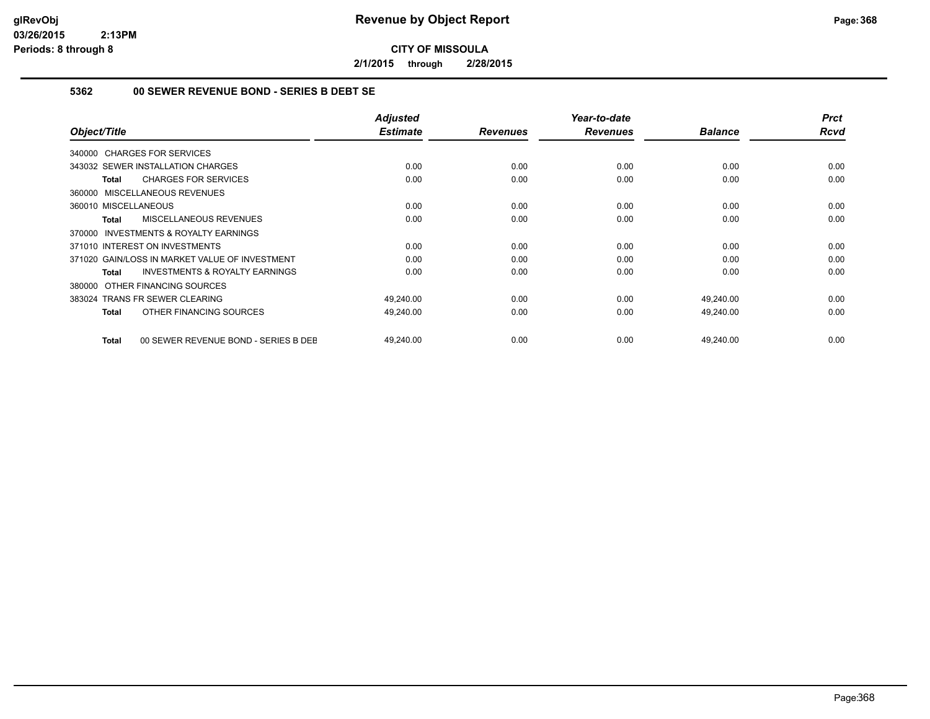**2/1/2015 through 2/28/2015**

# **5362 00 SEWER REVENUE BOND - SERIES B DEBT SE**

| Object/Title                                        | <b>Adjusted</b><br><b>Estimate</b> | <b>Revenues</b> | Year-to-date<br><b>Revenues</b> | <b>Balance</b> | <b>Prct</b><br><b>Rcvd</b> |
|-----------------------------------------------------|------------------------------------|-----------------|---------------------------------|----------------|----------------------------|
| 340000 CHARGES FOR SERVICES                         |                                    |                 |                                 |                |                            |
| 343032 SEWER INSTALLATION CHARGES                   | 0.00                               | 0.00            | 0.00                            | 0.00           | 0.00                       |
| <b>CHARGES FOR SERVICES</b><br>Total                | 0.00                               | 0.00            | 0.00                            | 0.00           | 0.00                       |
| 360000 MISCELLANEOUS REVENUES                       |                                    |                 |                                 |                |                            |
| 360010 MISCELLANEOUS                                | 0.00                               | 0.00            | 0.00                            | 0.00           | 0.00                       |
| <b>MISCELLANEOUS REVENUES</b><br>Total              | 0.00                               | 0.00            | 0.00                            | 0.00           | 0.00                       |
| <b>INVESTMENTS &amp; ROYALTY EARNINGS</b><br>370000 |                                    |                 |                                 |                |                            |
| 371010 INTEREST ON INVESTMENTS                      | 0.00                               | 0.00            | 0.00                            | 0.00           | 0.00                       |
| 371020 GAIN/LOSS IN MARKET VALUE OF INVESTMENT      | 0.00                               | 0.00            | 0.00                            | 0.00           | 0.00                       |
| <b>INVESTMENTS &amp; ROYALTY EARNINGS</b><br>Total  | 0.00                               | 0.00            | 0.00                            | 0.00           | 0.00                       |
| 380000 OTHER FINANCING SOURCES                      |                                    |                 |                                 |                |                            |
| 383024 TRANS FR SEWER CLEARING                      | 49,240.00                          | 0.00            | 0.00                            | 49,240.00      | 0.00                       |
| OTHER FINANCING SOURCES<br>Total                    | 49,240.00                          | 0.00            | 0.00                            | 49,240.00      | 0.00                       |
| 00 SEWER REVENUE BOND - SERIES B DEE<br>Total       | 49,240.00                          | 0.00            | 0.00                            | 49,240.00      | 0.00                       |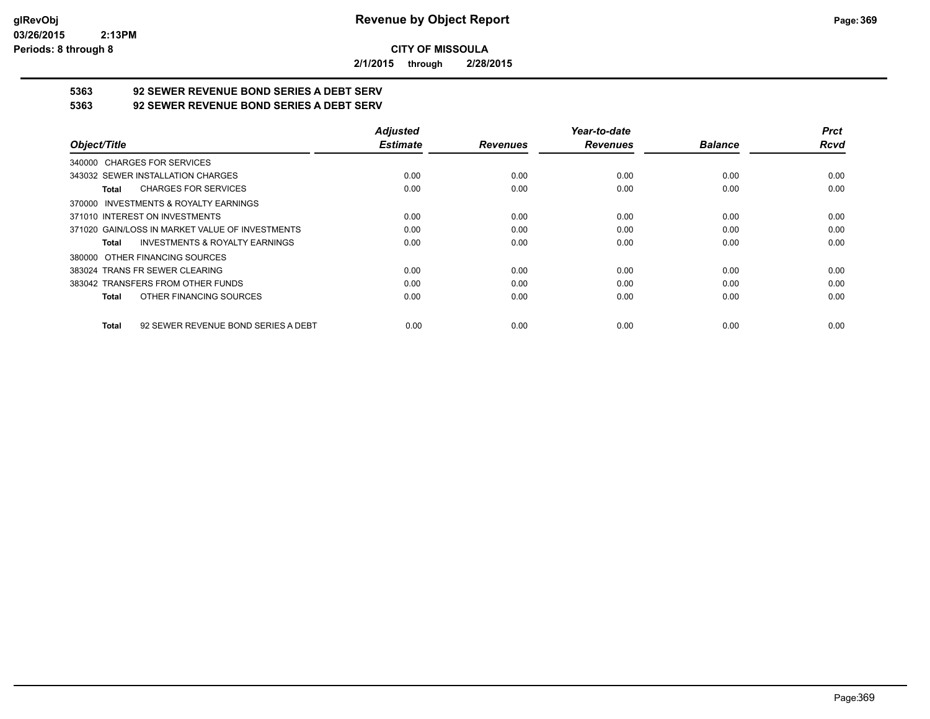**2/1/2015 through 2/28/2015**

# **5363 92 SEWER REVENUE BOND SERIES A DEBT SERV**

**5363 92 SEWER REVENUE BOND SERIES A DEBT SERV**

|                                                     | <b>Adjusted</b> |                 | Year-to-date    |                | <b>Prct</b> |
|-----------------------------------------------------|-----------------|-----------------|-----------------|----------------|-------------|
| Object/Title                                        | <b>Estimate</b> | <b>Revenues</b> | <b>Revenues</b> | <b>Balance</b> | <b>Rcvd</b> |
| 340000 CHARGES FOR SERVICES                         |                 |                 |                 |                |             |
| 343032 SEWER INSTALLATION CHARGES                   | 0.00            | 0.00            | 0.00            | 0.00           | 0.00        |
| <b>CHARGES FOR SERVICES</b><br>Total                | 0.00            | 0.00            | 0.00            | 0.00           | 0.00        |
| 370000 INVESTMENTS & ROYALTY EARNINGS               |                 |                 |                 |                |             |
| 371010 INTEREST ON INVESTMENTS                      | 0.00            | 0.00            | 0.00            | 0.00           | 0.00        |
| 371020 GAIN/LOSS IN MARKET VALUE OF INVESTMENTS     | 0.00            | 0.00            | 0.00            | 0.00           | 0.00        |
| <b>INVESTMENTS &amp; ROYALTY EARNINGS</b><br>Total  | 0.00            | 0.00            | 0.00            | 0.00           | 0.00        |
| 380000 OTHER FINANCING SOURCES                      |                 |                 |                 |                |             |
| 383024 TRANS FR SEWER CLEARING                      | 0.00            | 0.00            | 0.00            | 0.00           | 0.00        |
| 383042 TRANSFERS FROM OTHER FUNDS                   | 0.00            | 0.00            | 0.00            | 0.00           | 0.00        |
| OTHER FINANCING SOURCES<br><b>Total</b>             | 0.00            | 0.00            | 0.00            | 0.00           | 0.00        |
| 92 SEWER REVENUE BOND SERIES A DEBT<br><b>Total</b> | 0.00            | 0.00            | 0.00            | 0.00           | 0.00        |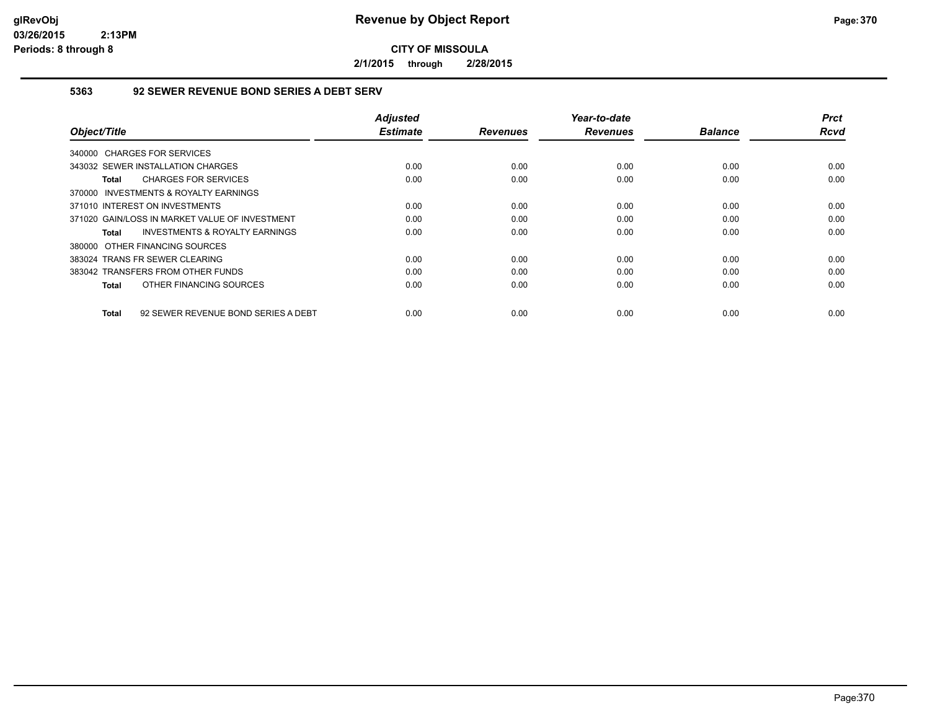**2/1/2015 through 2/28/2015**

## **5363 92 SEWER REVENUE BOND SERIES A DEBT SERV**

| Object/Title                                       | <b>Adjusted</b><br><b>Estimate</b> | <b>Revenues</b> | Year-to-date<br><b>Revenues</b> | <b>Balance</b> | <b>Prct</b><br>Rcvd |
|----------------------------------------------------|------------------------------------|-----------------|---------------------------------|----------------|---------------------|
| 340000 CHARGES FOR SERVICES                        |                                    |                 |                                 |                |                     |
| 343032 SEWER INSTALLATION CHARGES                  | 0.00                               | 0.00            | 0.00                            | 0.00           | 0.00                |
| <b>CHARGES FOR SERVICES</b><br>Total               | 0.00                               | 0.00            | 0.00                            | 0.00           | 0.00                |
| 370000 INVESTMENTS & ROYALTY EARNINGS              |                                    |                 |                                 |                |                     |
| 371010 INTEREST ON INVESTMENTS                     | 0.00                               | 0.00            | 0.00                            | 0.00           | 0.00                |
| 371020 GAIN/LOSS IN MARKET VALUE OF INVESTMENT     | 0.00                               | 0.00            | 0.00                            | 0.00           | 0.00                |
| <b>INVESTMENTS &amp; ROYALTY EARNINGS</b><br>Total | 0.00                               | 0.00            | 0.00                            | 0.00           | 0.00                |
| 380000 OTHER FINANCING SOURCES                     |                                    |                 |                                 |                |                     |
| 383024 TRANS FR SEWER CLEARING                     | 0.00                               | 0.00            | 0.00                            | 0.00           | 0.00                |
| 383042 TRANSFERS FROM OTHER FUNDS                  | 0.00                               | 0.00            | 0.00                            | 0.00           | 0.00                |
| OTHER FINANCING SOURCES<br>Total                   | 0.00                               | 0.00            | 0.00                            | 0.00           | 0.00                |
|                                                    |                                    |                 |                                 |                |                     |
| 92 SEWER REVENUE BOND SERIES A DEBT<br>Total       | 0.00                               | 0.00            | 0.00                            | 0.00           | 0.00                |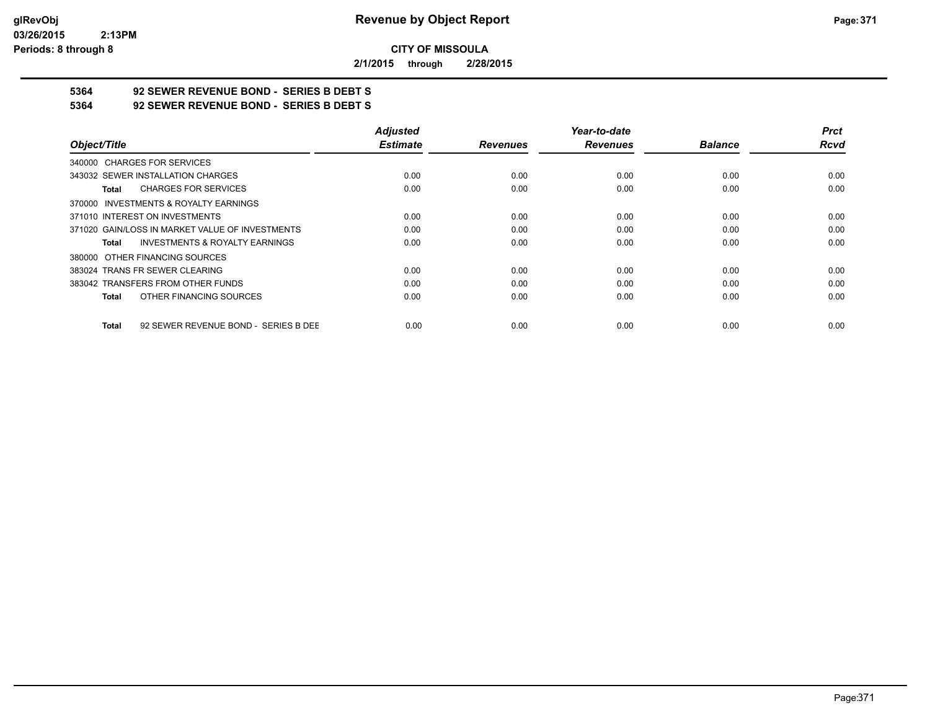**2/1/2015 through 2/28/2015**

# **5364 92 SEWER REVENUE BOND - SERIES B DEBT S**

**5364 92 SEWER REVENUE BOND - SERIES B DEBT S**

|                                                    | <b>Adjusted</b> |                 | Year-to-date    |                | <b>Prct</b> |
|----------------------------------------------------|-----------------|-----------------|-----------------|----------------|-------------|
| Object/Title                                       | <b>Estimate</b> | <b>Revenues</b> | <b>Revenues</b> | <b>Balance</b> | <b>Rcvd</b> |
| 340000 CHARGES FOR SERVICES                        |                 |                 |                 |                |             |
| 343032 SEWER INSTALLATION CHARGES                  | 0.00            | 0.00            | 0.00            | 0.00           | 0.00        |
| <b>CHARGES FOR SERVICES</b><br>Total               | 0.00            | 0.00            | 0.00            | 0.00           | 0.00        |
| 370000 INVESTMENTS & ROYALTY EARNINGS              |                 |                 |                 |                |             |
| 371010 INTEREST ON INVESTMENTS                     | 0.00            | 0.00            | 0.00            | 0.00           | 0.00        |
| 371020 GAIN/LOSS IN MARKET VALUE OF INVESTMENTS    | 0.00            | 0.00            | 0.00            | 0.00           | 0.00        |
| <b>INVESTMENTS &amp; ROYALTY EARNINGS</b><br>Total | 0.00            | 0.00            | 0.00            | 0.00           | 0.00        |
| 380000 OTHER FINANCING SOURCES                     |                 |                 |                 |                |             |
| 383024 TRANS FR SEWER CLEARING                     | 0.00            | 0.00            | 0.00            | 0.00           | 0.00        |
| 383042 TRANSFERS FROM OTHER FUNDS                  | 0.00            | 0.00            | 0.00            | 0.00           | 0.00        |
| OTHER FINANCING SOURCES<br>Total                   | 0.00            | 0.00            | 0.00            | 0.00           | 0.00        |
| 92 SEWER REVENUE BOND - SERIES B DEE<br>Total      | 0.00            | 0.00            | 0.00            | 0.00           | 0.00        |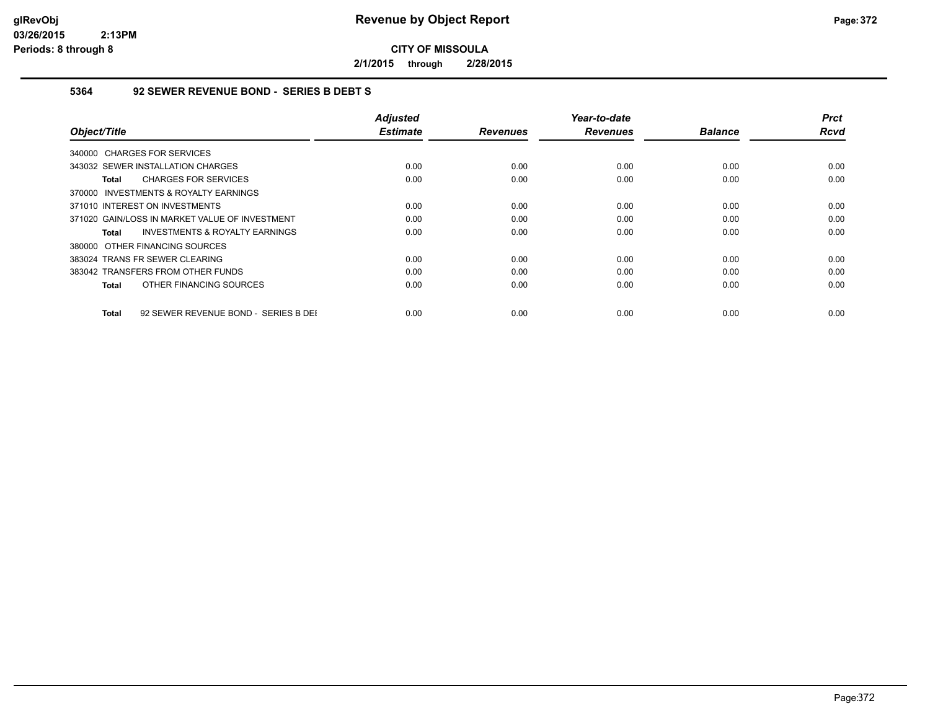**2/1/2015 through 2/28/2015**

## **5364 92 SEWER REVENUE BOND - SERIES B DEBT S**

| Object/Title                                       | <b>Adjusted</b><br><b>Estimate</b> | <b>Revenues</b> | Year-to-date<br><b>Revenues</b> | <b>Balance</b> | <b>Prct</b><br>Rcvd |
|----------------------------------------------------|------------------------------------|-----------------|---------------------------------|----------------|---------------------|
| 340000 CHARGES FOR SERVICES                        |                                    |                 |                                 |                |                     |
| 343032 SEWER INSTALLATION CHARGES                  | 0.00                               | 0.00            | 0.00                            | 0.00           | 0.00                |
| <b>CHARGES FOR SERVICES</b><br>Total               | 0.00                               | 0.00            | 0.00                            | 0.00           | 0.00                |
| 370000 INVESTMENTS & ROYALTY EARNINGS              |                                    |                 |                                 |                |                     |
| 371010 INTEREST ON INVESTMENTS                     | 0.00                               | 0.00            | 0.00                            | 0.00           | 0.00                |
| 371020 GAIN/LOSS IN MARKET VALUE OF INVESTMENT     | 0.00                               | 0.00            | 0.00                            | 0.00           | 0.00                |
| <b>INVESTMENTS &amp; ROYALTY EARNINGS</b><br>Total | 0.00                               | 0.00            | 0.00                            | 0.00           | 0.00                |
| 380000 OTHER FINANCING SOURCES                     |                                    |                 |                                 |                |                     |
| 383024 TRANS FR SEWER CLEARING                     | 0.00                               | 0.00            | 0.00                            | 0.00           | 0.00                |
| 383042 TRANSFERS FROM OTHER FUNDS                  | 0.00                               | 0.00            | 0.00                            | 0.00           | 0.00                |
| OTHER FINANCING SOURCES<br>Total                   | 0.00                               | 0.00            | 0.00                            | 0.00           | 0.00                |
| 92 SEWER REVENUE BOND - SERIES B DEI<br>Total      | 0.00                               | 0.00            | 0.00                            | 0.00           | 0.00                |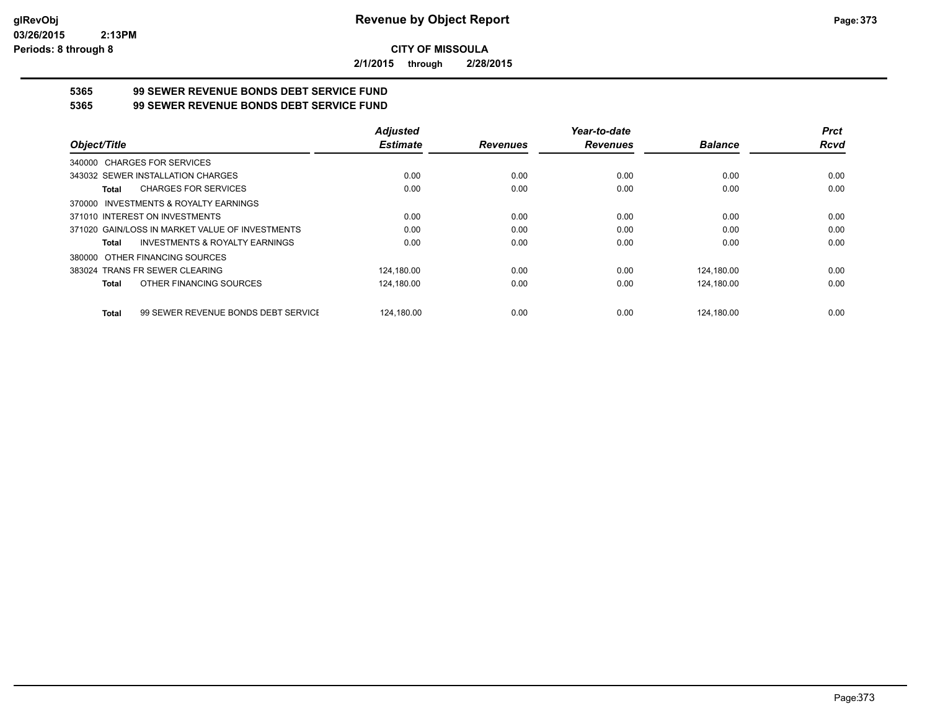**2/1/2015 through 2/28/2015**

# **5365 99 SEWER REVENUE BONDS DEBT SERVICE FUND**

| 5365 | 99 SEWER REVENUE BONDS DEBT SERVICE FUND |
|------|------------------------------------------|
|      |                                          |

|                                                     | <b>Adjusted</b> |                 | Year-to-date    |                | <b>Prct</b> |
|-----------------------------------------------------|-----------------|-----------------|-----------------|----------------|-------------|
| Object/Title                                        | <b>Estimate</b> | <b>Revenues</b> | <b>Revenues</b> | <b>Balance</b> | Rcvd        |
| 340000 CHARGES FOR SERVICES                         |                 |                 |                 |                |             |
| 343032 SEWER INSTALLATION CHARGES                   | 0.00            | 0.00            | 0.00            | 0.00           | 0.00        |
| <b>CHARGES FOR SERVICES</b><br>Total                | 0.00            | 0.00            | 0.00            | 0.00           | 0.00        |
| 370000 INVESTMENTS & ROYALTY EARNINGS               |                 |                 |                 |                |             |
| 371010 INTEREST ON INVESTMENTS                      | 0.00            | 0.00            | 0.00            | 0.00           | 0.00        |
| 371020 GAIN/LOSS IN MARKET VALUE OF INVESTMENTS     | 0.00            | 0.00            | 0.00            | 0.00           | 0.00        |
| INVESTMENTS & ROYALTY EARNINGS<br>Total             | 0.00            | 0.00            | 0.00            | 0.00           | 0.00        |
| 380000 OTHER FINANCING SOURCES                      |                 |                 |                 |                |             |
| 383024 TRANS FR SEWER CLEARING                      | 124,180.00      | 0.00            | 0.00            | 124.180.00     | 0.00        |
| OTHER FINANCING SOURCES<br>Total                    | 124,180.00      | 0.00            | 0.00            | 124.180.00     | 0.00        |
| 99 SEWER REVENUE BONDS DEBT SERVICE<br><b>Total</b> | 124.180.00      | 0.00            | 0.00            | 124.180.00     | 0.00        |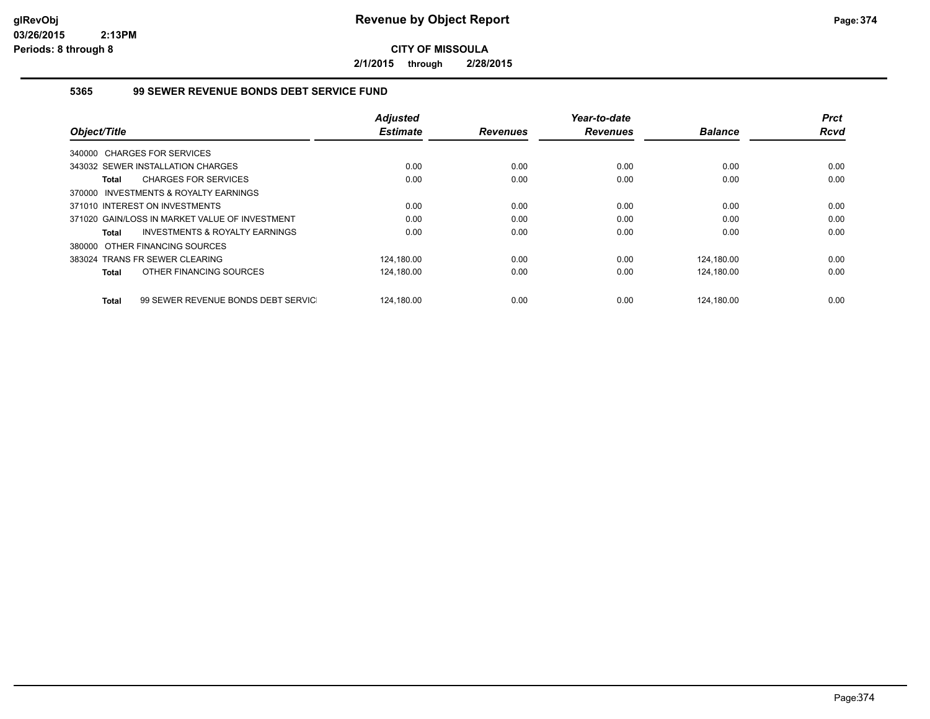**2/1/2015 through 2/28/2015**

# **5365 99 SEWER REVENUE BONDS DEBT SERVICE FUND**

|                                                | <b>Adjusted</b> |                 | Year-to-date    |                | <b>Prct</b> |
|------------------------------------------------|-----------------|-----------------|-----------------|----------------|-------------|
| Object/Title                                   | <b>Estimate</b> | <b>Revenues</b> | <b>Revenues</b> | <b>Balance</b> | <b>Rcvd</b> |
| 340000 CHARGES FOR SERVICES                    |                 |                 |                 |                |             |
| 343032 SEWER INSTALLATION CHARGES              | 0.00            | 0.00            | 0.00            | 0.00           | 0.00        |
| <b>CHARGES FOR SERVICES</b><br>Total           | 0.00            | 0.00            | 0.00            | 0.00           | 0.00        |
| 370000 INVESTMENTS & ROYALTY EARNINGS          |                 |                 |                 |                |             |
| 371010 INTEREST ON INVESTMENTS                 | 0.00            | 0.00            | 0.00            | 0.00           | 0.00        |
| 371020 GAIN/LOSS IN MARKET VALUE OF INVESTMENT | 0.00            | 0.00            | 0.00            | 0.00           | 0.00        |
| INVESTMENTS & ROYALTY EARNINGS<br>Total        | 0.00            | 0.00            | 0.00            | 0.00           | 0.00        |
| 380000 OTHER FINANCING SOURCES                 |                 |                 |                 |                |             |
| 383024 TRANS FR SEWER CLEARING                 | 124.180.00      | 0.00            | 0.00            | 124,180.00     | 0.00        |
| OTHER FINANCING SOURCES<br>Total               | 124,180.00      | 0.00            | 0.00            | 124,180.00     | 0.00        |
|                                                |                 |                 |                 |                |             |
| 99 SEWER REVENUE BONDS DEBT SERVIC<br>Total    | 124.180.00      | 0.00            | 0.00            | 124.180.00     | 0.00        |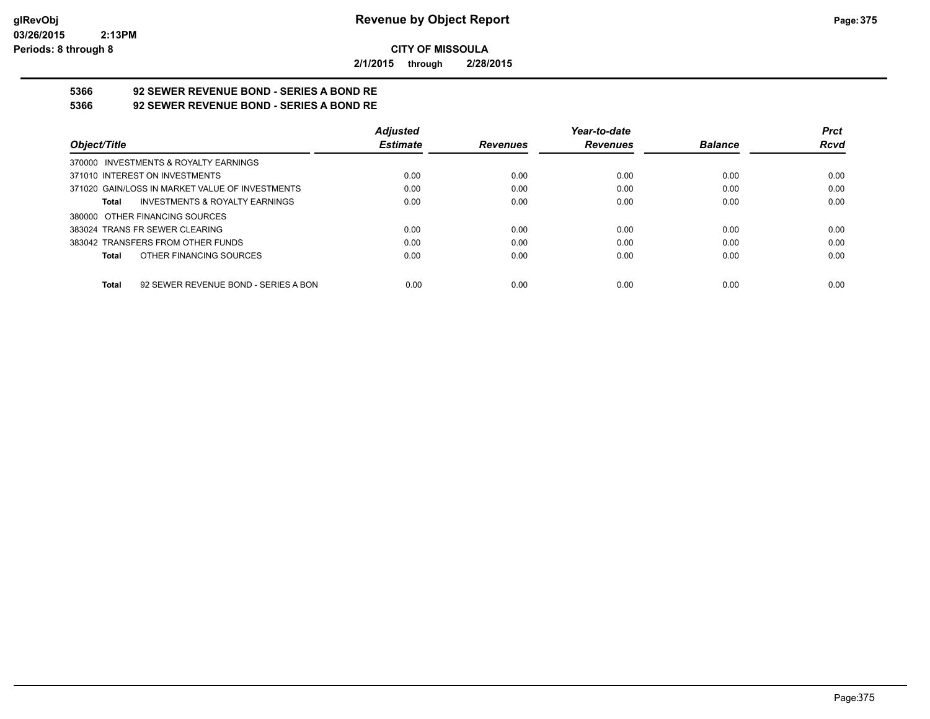**2/1/2015 through 2/28/2015**

# **5366 92 SEWER REVENUE BOND - SERIES A BOND RE**

**5366 92 SEWER REVENUE BOND - SERIES A BOND RE**

|                                                 | <b>Adjusted</b> |                 | Year-to-date    |                | <b>Prct</b> |
|-------------------------------------------------|-----------------|-----------------|-----------------|----------------|-------------|
| Object/Title                                    | <b>Estimate</b> | <b>Revenues</b> | <b>Revenues</b> | <b>Balance</b> | <b>Rcvd</b> |
| 370000 INVESTMENTS & ROYALTY EARNINGS           |                 |                 |                 |                |             |
| 371010 INTEREST ON INVESTMENTS                  | 0.00            | 0.00            | 0.00            | 0.00           | 0.00        |
| 371020 GAIN/LOSS IN MARKET VALUE OF INVESTMENTS | 0.00            | 0.00            | 0.00            | 0.00           | 0.00        |
| INVESTMENTS & ROYALTY EARNINGS<br>Total         | 0.00            | 0.00            | 0.00            | 0.00           | 0.00        |
| 380000 OTHER FINANCING SOURCES                  |                 |                 |                 |                |             |
| 383024 TRANS FR SEWER CLEARING                  | 0.00            | 0.00            | 0.00            | 0.00           | 0.00        |
| 383042 TRANSFERS FROM OTHER FUNDS               | 0.00            | 0.00            | 0.00            | 0.00           | 0.00        |
| OTHER FINANCING SOURCES<br>Total                | 0.00            | 0.00            | 0.00            | 0.00           | 0.00        |
| 92 SEWER REVENUE BOND - SERIES A BON<br>Total   | 0.00            | 0.00            | 0.00            | 0.00           | 0.00        |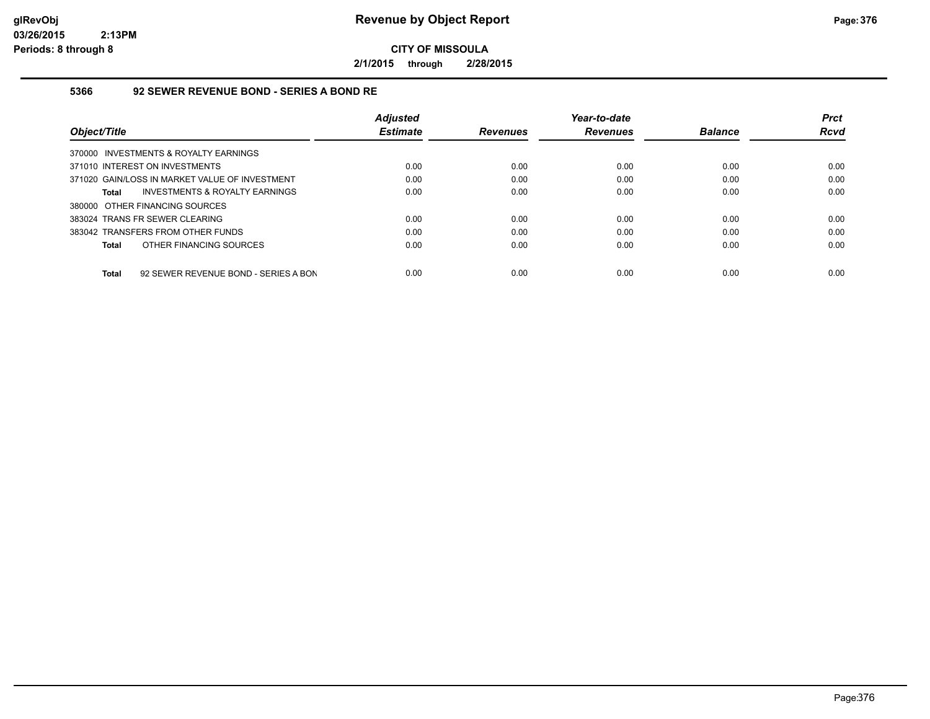**2/1/2015 through 2/28/2015**

## **5366 92 SEWER REVENUE BOND - SERIES A BOND RE**

|                                                      | <b>Adiusted</b> |                 | Year-to-date    |                | <b>Prct</b> |
|------------------------------------------------------|-----------------|-----------------|-----------------|----------------|-------------|
| Object/Title                                         | <b>Estimate</b> | <b>Revenues</b> | <b>Revenues</b> | <b>Balance</b> | <b>Rcvd</b> |
| 370000 INVESTMENTS & ROYALTY EARNINGS                |                 |                 |                 |                |             |
| 371010 INTEREST ON INVESTMENTS                       | 0.00            | 0.00            | 0.00            | 0.00           | 0.00        |
| 371020 GAIN/LOSS IN MARKET VALUE OF INVESTMENT       | 0.00            | 0.00            | 0.00            | 0.00           | 0.00        |
| INVESTMENTS & ROYALTY EARNINGS<br>Total              | 0.00            | 0.00            | 0.00            | 0.00           | 0.00        |
| 380000 OTHER FINANCING SOURCES                       |                 |                 |                 |                |             |
| 383024 TRANS FR SEWER CLEARING                       | 0.00            | 0.00            | 0.00            | 0.00           | 0.00        |
| 383042 TRANSFERS FROM OTHER FUNDS                    | 0.00            | 0.00            | 0.00            | 0.00           | 0.00        |
| OTHER FINANCING SOURCES<br><b>Total</b>              | 0.00            | 0.00            | 0.00            | 0.00           | 0.00        |
|                                                      |                 |                 |                 |                |             |
| 92 SEWER REVENUE BOND - SERIES A BON<br><b>Total</b> | 0.00            | 0.00            | 0.00            | 0.00           | 0.00        |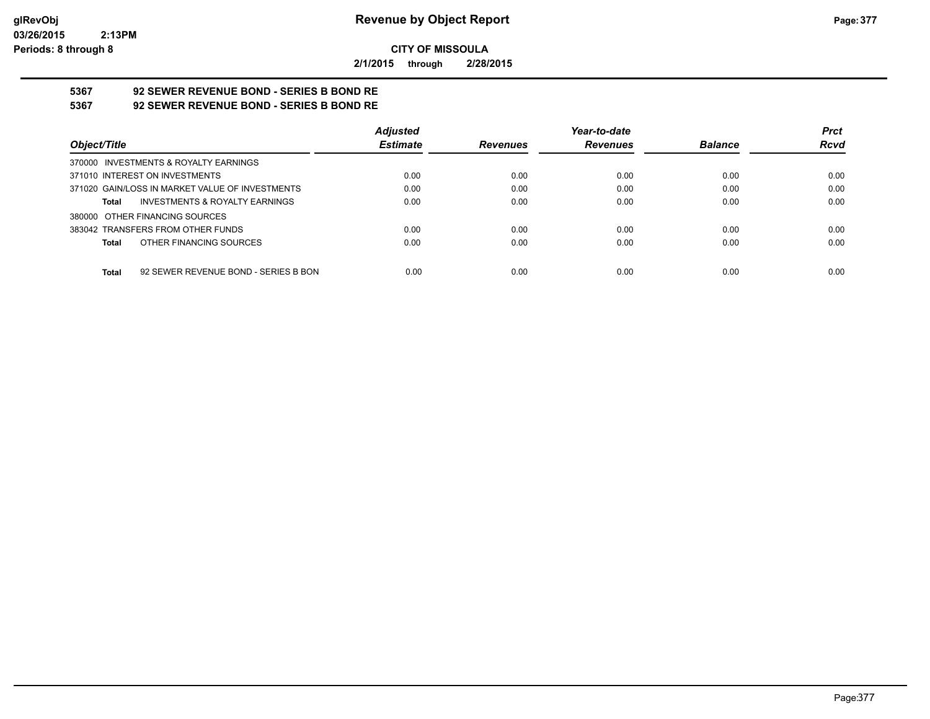**2/1/2015 through 2/28/2015**

# **5367 92 SEWER REVENUE BOND - SERIES B BOND RE**

**5367 92 SEWER REVENUE BOND - SERIES B BOND RE**

|                                                 | <b>Adjusted</b> |                 | Year-to-date    |                | <b>Prct</b> |
|-------------------------------------------------|-----------------|-----------------|-----------------|----------------|-------------|
| Object/Title                                    | <b>Estimate</b> | <b>Revenues</b> | <b>Revenues</b> | <b>Balance</b> | <b>Rcvd</b> |
| 370000 INVESTMENTS & ROYALTY EARNINGS           |                 |                 |                 |                |             |
| 371010 INTEREST ON INVESTMENTS                  | 0.00            | 0.00            | 0.00            | 0.00           | 0.00        |
| 371020 GAIN/LOSS IN MARKET VALUE OF INVESTMENTS | 0.00            | 0.00            | 0.00            | 0.00           | 0.00        |
| INVESTMENTS & ROYALTY EARNINGS<br>Total         | 0.00            | 0.00            | 0.00            | 0.00           | 0.00        |
| 380000 OTHER FINANCING SOURCES                  |                 |                 |                 |                |             |
| 383042 TRANSFERS FROM OTHER FUNDS               | 0.00            | 0.00            | 0.00            | 0.00           | 0.00        |
| OTHER FINANCING SOURCES<br>Total                | 0.00            | 0.00            | 0.00            | 0.00           | 0.00        |
|                                                 |                 |                 |                 |                |             |
| 92 SEWER REVENUE BOND - SERIES B BON<br>Total   | 0.00            | 0.00            | 0.00            | 0.00           | 0.00        |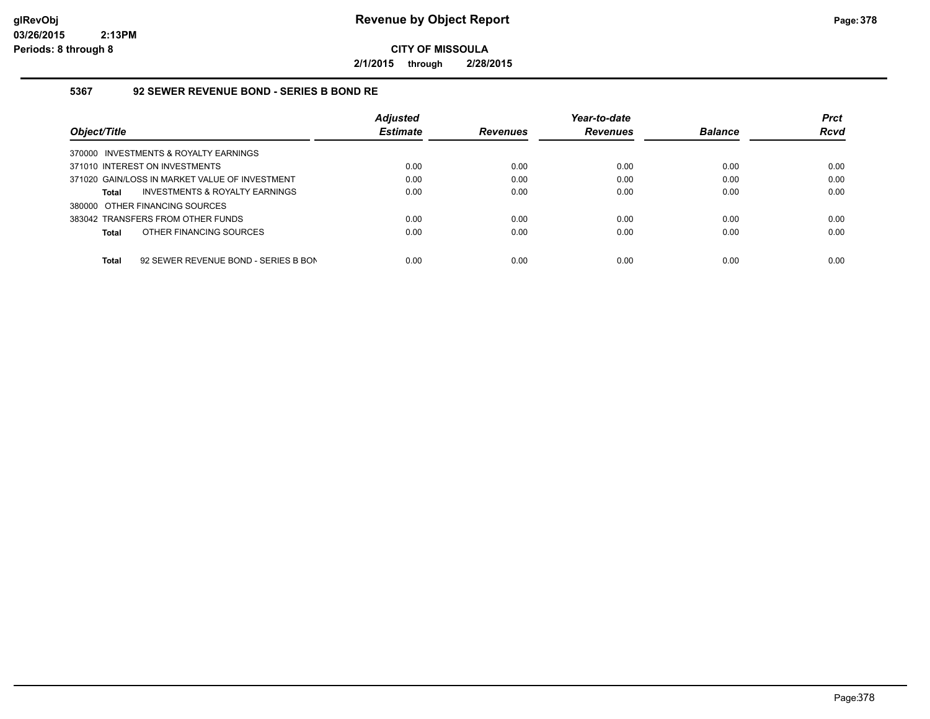**2/1/2015 through 2/28/2015**

## **5367 92 SEWER REVENUE BOND - SERIES B BOND RE**

|                                                      | <b>Adjusted</b> |                 | Year-to-date    |                | <b>Prct</b> |
|------------------------------------------------------|-----------------|-----------------|-----------------|----------------|-------------|
| Object/Title                                         | <b>Estimate</b> | <b>Revenues</b> | <b>Revenues</b> | <b>Balance</b> | <b>Rcvd</b> |
| 370000 INVESTMENTS & ROYALTY EARNINGS                |                 |                 |                 |                |             |
| 371010 INTEREST ON INVESTMENTS                       | 0.00            | 0.00            | 0.00            | 0.00           | 0.00        |
| 371020 GAIN/LOSS IN MARKET VALUE OF INVESTMENT       | 0.00            | 0.00            | 0.00            | 0.00           | 0.00        |
| <b>INVESTMENTS &amp; ROYALTY EARNINGS</b><br>Total   | 0.00            | 0.00            | 0.00            | 0.00           | 0.00        |
| 380000 OTHER FINANCING SOURCES                       |                 |                 |                 |                |             |
| 383042 TRANSFERS FROM OTHER FUNDS                    | 0.00            | 0.00            | 0.00            | 0.00           | 0.00        |
| OTHER FINANCING SOURCES<br>Total                     | 0.00            | 0.00            | 0.00            | 0.00           | 0.00        |
|                                                      |                 |                 |                 |                |             |
| 92 SEWER REVENUE BOND - SERIES B BON<br><b>Total</b> | 0.00            | 0.00            | 0.00            | 0.00           | 0.00        |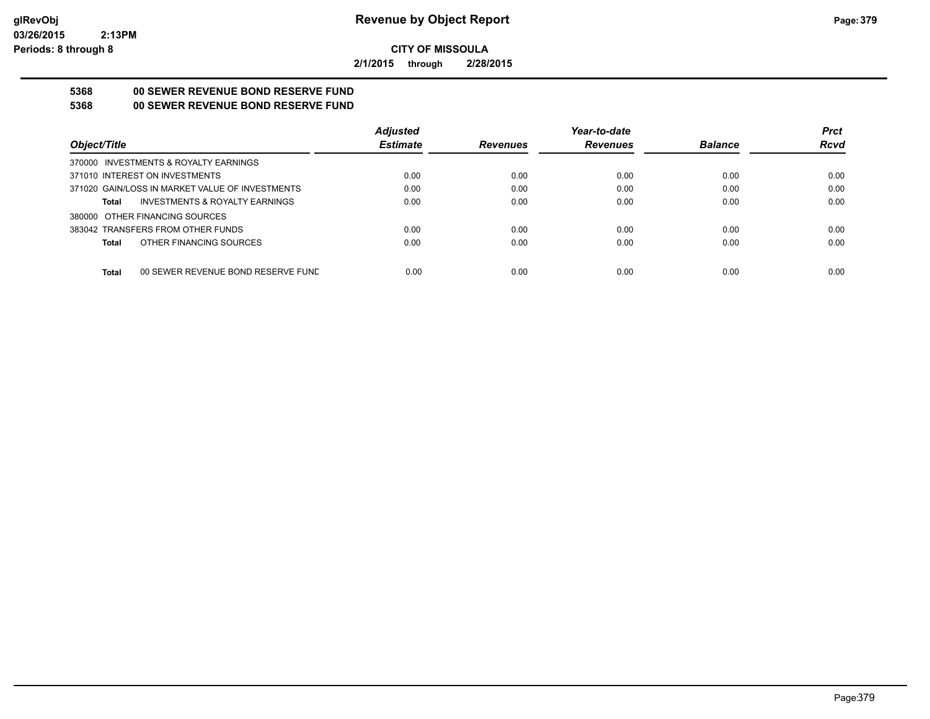**2/1/2015 through 2/28/2015**

# **5368 00 SEWER REVENUE BOND RESERVE FUND**

# **5368 00 SEWER REVENUE BOND RESERVE FUND**

|                                                    | <b>Adjusted</b> |                 | Year-to-date    |                | <b>Prct</b> |
|----------------------------------------------------|-----------------|-----------------|-----------------|----------------|-------------|
| Object/Title                                       | <b>Estimate</b> | <b>Revenues</b> | <b>Revenues</b> | <b>Balance</b> | <b>Rcvd</b> |
| 370000 INVESTMENTS & ROYALTY EARNINGS              |                 |                 |                 |                |             |
| 371010 INTEREST ON INVESTMENTS                     | 0.00            | 0.00            | 0.00            | 0.00           | 0.00        |
| 371020 GAIN/LOSS IN MARKET VALUE OF INVESTMENTS    | 0.00            | 0.00            | 0.00            | 0.00           | 0.00        |
| INVESTMENTS & ROYALTY EARNINGS<br>Total            | 0.00            | 0.00            | 0.00            | 0.00           | 0.00        |
| 380000 OTHER FINANCING SOURCES                     |                 |                 |                 |                |             |
| 383042 TRANSFERS FROM OTHER FUNDS                  | 0.00            | 0.00            | 0.00            | 0.00           | 0.00        |
| OTHER FINANCING SOURCES<br>Total                   | 0.00            | 0.00            | 0.00            | 0.00           | 0.00        |
|                                                    |                 |                 |                 |                |             |
| <b>Total</b><br>00 SEWER REVENUE BOND RESERVE FUND | 0.00            | 0.00            | 0.00            | 0.00           | 0.00        |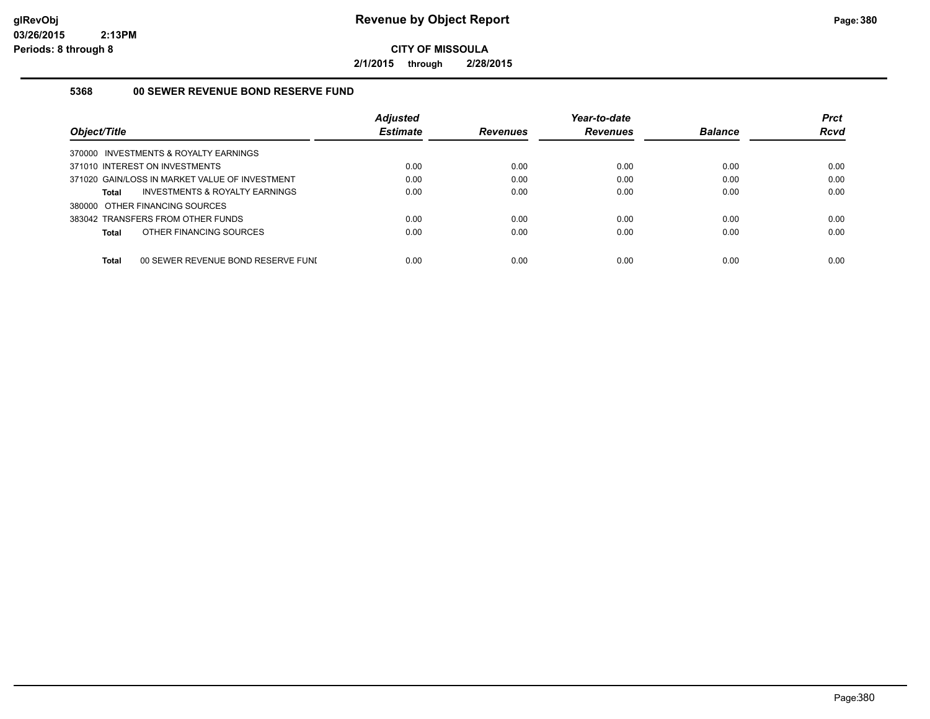**2/1/2015 through 2/28/2015**

## **5368 00 SEWER REVENUE BOND RESERVE FUND**

|                                                    | <b>Adjusted</b> |                 | Year-to-date    |                | <b>Prct</b> |
|----------------------------------------------------|-----------------|-----------------|-----------------|----------------|-------------|
| Object/Title                                       | <b>Estimate</b> | <b>Revenues</b> | <b>Revenues</b> | <b>Balance</b> | <b>Rcvd</b> |
| 370000 INVESTMENTS & ROYALTY EARNINGS              |                 |                 |                 |                |             |
| 371010 INTEREST ON INVESTMENTS                     | 0.00            | 0.00            | 0.00            | 0.00           | 0.00        |
| 371020 GAIN/LOSS IN MARKET VALUE OF INVESTMENT     | 0.00            | 0.00            | 0.00            | 0.00           | 0.00        |
| <b>INVESTMENTS &amp; ROYALTY EARNINGS</b><br>Total | 0.00            | 0.00            | 0.00            | 0.00           | 0.00        |
| 380000 OTHER FINANCING SOURCES                     |                 |                 |                 |                |             |
| 383042 TRANSFERS FROM OTHER FUNDS                  | 0.00            | 0.00            | 0.00            | 0.00           | 0.00        |
| OTHER FINANCING SOURCES<br>Total                   | 0.00            | 0.00            | 0.00            | 0.00           | 0.00        |
|                                                    |                 |                 |                 |                |             |
| <b>Total</b><br>00 SEWER REVENUE BOND RESERVE FUNI | 0.00            | 0.00            | 0.00            | 0.00           | 0.00        |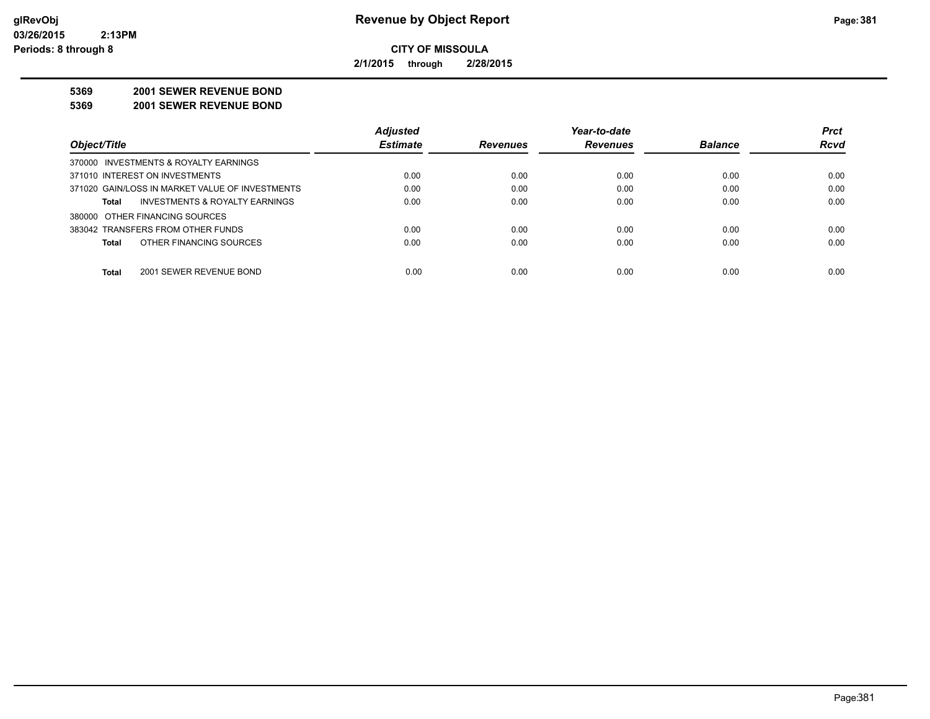**2/1/2015 through 2/28/2015**

#### **5369 2001 SEWER REVENUE BOND**

**5369 2001 SEWER REVENUE BOND**

|                                                 | <b>Adjusted</b> |                 | Year-to-date    |                | <b>Prct</b> |
|-------------------------------------------------|-----------------|-----------------|-----------------|----------------|-------------|
| Object/Title                                    | <b>Estimate</b> | <b>Revenues</b> | <b>Revenues</b> | <b>Balance</b> | <b>Rcvd</b> |
| 370000 INVESTMENTS & ROYALTY EARNINGS           |                 |                 |                 |                |             |
| 371010 INTEREST ON INVESTMENTS                  | 0.00            | 0.00            | 0.00            | 0.00           | 0.00        |
| 371020 GAIN/LOSS IN MARKET VALUE OF INVESTMENTS | 0.00            | 0.00            | 0.00            | 0.00           | 0.00        |
| INVESTMENTS & ROYALTY EARNINGS<br>Total         | 0.00            | 0.00            | 0.00            | 0.00           | 0.00        |
| 380000 OTHER FINANCING SOURCES                  |                 |                 |                 |                |             |
| 383042 TRANSFERS FROM OTHER FUNDS               | 0.00            | 0.00            | 0.00            | 0.00           | 0.00        |
| OTHER FINANCING SOURCES<br><b>Total</b>         | 0.00            | 0.00            | 0.00            | 0.00           | 0.00        |
| <b>Total</b><br>2001 SEWER REVENUE BOND         | 0.00            | 0.00            | 0.00            | 0.00           | 0.00        |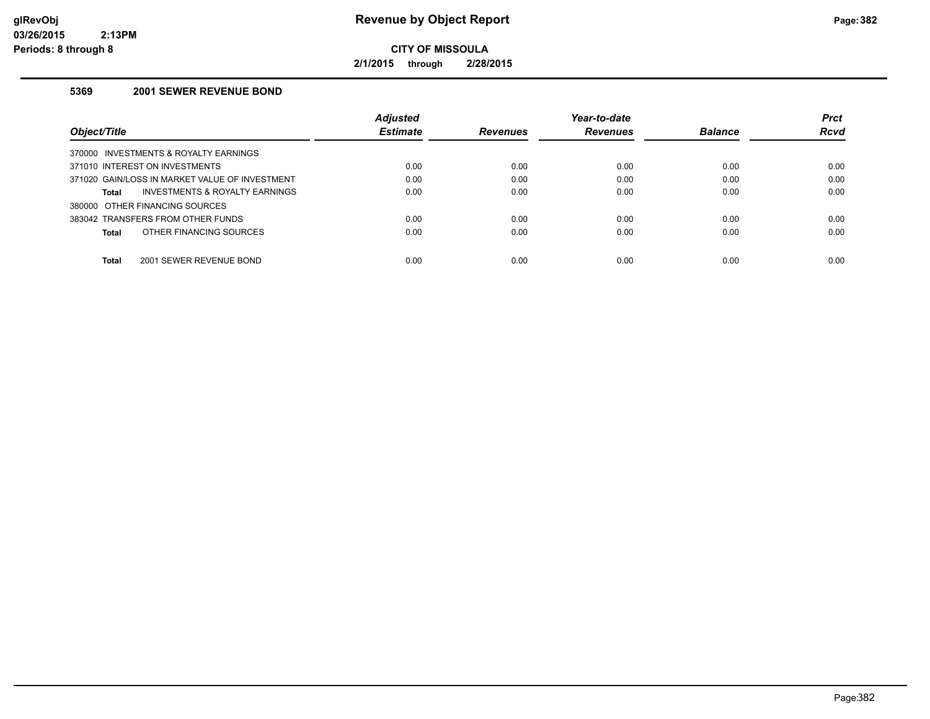**2/1/2015 through 2/28/2015**

# **5369 2001 SEWER REVENUE BOND**

| Adjusted        |                 | Year-to-date    |                | <b>Prct</b> |
|-----------------|-----------------|-----------------|----------------|-------------|
| <b>Estimate</b> | <b>Revenues</b> | <b>Revenues</b> | <b>Balance</b> | Rcvd        |
|                 |                 |                 |                |             |
| 0.00            | 0.00            | 0.00            | 0.00           | 0.00        |
| 0.00            | 0.00            | 0.00            | 0.00           | 0.00        |
| 0.00            | 0.00            | 0.00            | 0.00           | 0.00        |
|                 |                 |                 |                |             |
| 0.00            | 0.00            | 0.00            | 0.00           | 0.00        |
| 0.00            | 0.00            | 0.00            | 0.00           | 0.00        |
|                 |                 |                 |                | 0.00        |
|                 | 0.00            | 0.00            | 0.00           | 0.00        |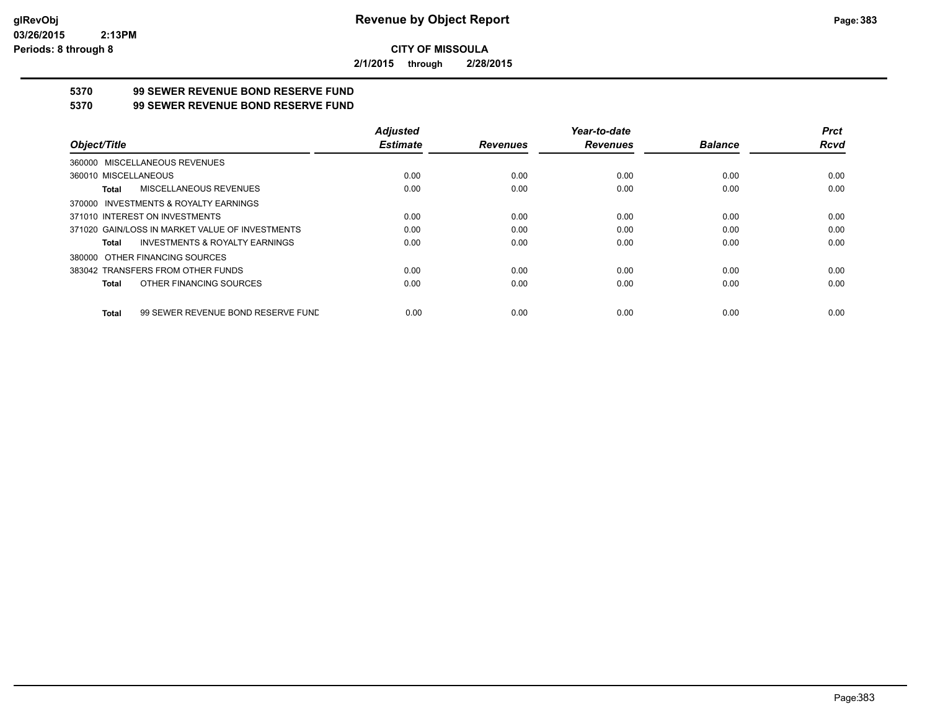**2/1/2015 through 2/28/2015**

# **5370 99 SEWER REVENUE BOND RESERVE FUND**

## **5370 99 SEWER REVENUE BOND RESERVE FUND**

|                                                    | <b>Adjusted</b> |                 | Year-to-date    |                | <b>Prct</b> |
|----------------------------------------------------|-----------------|-----------------|-----------------|----------------|-------------|
| Object/Title                                       | <b>Estimate</b> | <b>Revenues</b> | <b>Revenues</b> | <b>Balance</b> | Rcvd        |
| 360000 MISCELLANEOUS REVENUES                      |                 |                 |                 |                |             |
| 360010 MISCELLANEOUS                               | 0.00            | 0.00            | 0.00            | 0.00           | 0.00        |
| MISCELLANEOUS REVENUES<br>Total                    | 0.00            | 0.00            | 0.00            | 0.00           | 0.00        |
| 370000 INVESTMENTS & ROYALTY EARNINGS              |                 |                 |                 |                |             |
| 371010 INTEREST ON INVESTMENTS                     | 0.00            | 0.00            | 0.00            | 0.00           | 0.00        |
| 371020 GAIN/LOSS IN MARKET VALUE OF INVESTMENTS    | 0.00            | 0.00            | 0.00            | 0.00           | 0.00        |
| <b>INVESTMENTS &amp; ROYALTY EARNINGS</b><br>Total | 0.00            | 0.00            | 0.00            | 0.00           | 0.00        |
| 380000 OTHER FINANCING SOURCES                     |                 |                 |                 |                |             |
| 383042 TRANSFERS FROM OTHER FUNDS                  | 0.00            | 0.00            | 0.00            | 0.00           | 0.00        |
| OTHER FINANCING SOURCES<br>Total                   | 0.00            | 0.00            | 0.00            | 0.00           | 0.00        |
| 99 SEWER REVENUE BOND RESERVE FUND<br>Total        | 0.00            | 0.00            | 0.00            | 0.00           | 0.00        |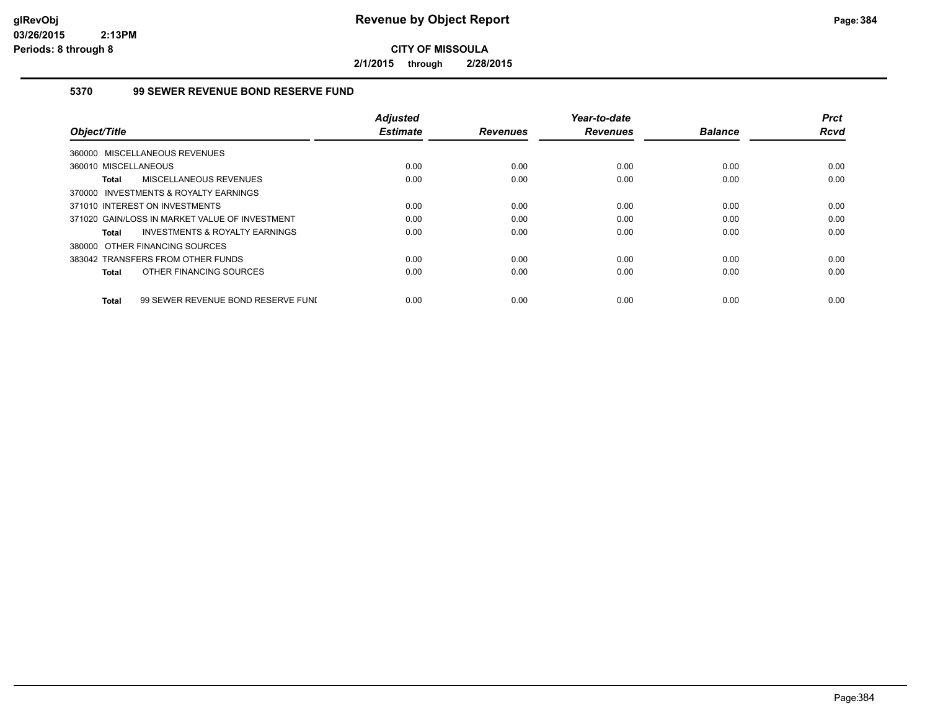**2/1/2015 through 2/28/2015**

# **5370 99 SEWER REVENUE BOND RESERVE FUND**

|                                                    | <b>Adjusted</b> |                 | Year-to-date    |                | <b>Prct</b> |
|----------------------------------------------------|-----------------|-----------------|-----------------|----------------|-------------|
| Object/Title                                       | <b>Estimate</b> | <b>Revenues</b> | <b>Revenues</b> | <b>Balance</b> | <b>Rcvd</b> |
| 360000 MISCELLANEOUS REVENUES                      |                 |                 |                 |                |             |
| 360010 MISCELLANEOUS                               | 0.00            | 0.00            | 0.00            | 0.00           | 0.00        |
| MISCELLANEOUS REVENUES<br><b>Total</b>             | 0.00            | 0.00            | 0.00            | 0.00           | 0.00        |
| 370000 INVESTMENTS & ROYALTY EARNINGS              |                 |                 |                 |                |             |
| 371010 INTEREST ON INVESTMENTS                     | 0.00            | 0.00            | 0.00            | 0.00           | 0.00        |
| 371020 GAIN/LOSS IN MARKET VALUE OF INVESTMENT     | 0.00            | 0.00            | 0.00            | 0.00           | 0.00        |
| INVESTMENTS & ROYALTY EARNINGS<br>Total            | 0.00            | 0.00            | 0.00            | 0.00           | 0.00        |
| 380000 OTHER FINANCING SOURCES                     |                 |                 |                 |                |             |
| 383042 TRANSFERS FROM OTHER FUNDS                  | 0.00            | 0.00            | 0.00            | 0.00           | 0.00        |
| OTHER FINANCING SOURCES<br><b>Total</b>            | 0.00            | 0.00            | 0.00            | 0.00           | 0.00        |
|                                                    |                 |                 |                 |                |             |
| 99 SEWER REVENUE BOND RESERVE FUNI<br><b>Total</b> | 0.00            | 0.00            | 0.00            | 0.00           | 0.00        |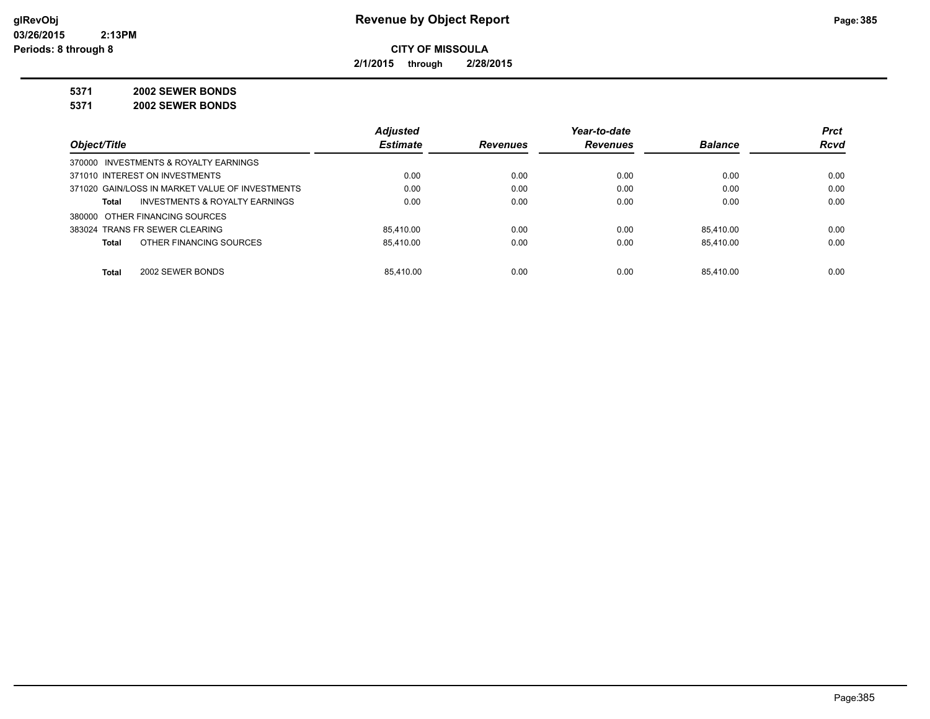**2/1/2015 through 2/28/2015**

**5371 2002 SEWER BONDS**

**5371 2002 SEWER BONDS**

|                                                 | <b>Adjusted</b> |                 | Year-to-date    |                | <b>Prct</b> |
|-------------------------------------------------|-----------------|-----------------|-----------------|----------------|-------------|
| Object/Title                                    | <b>Estimate</b> | <b>Revenues</b> | <b>Revenues</b> | <b>Balance</b> | Rcvd        |
| 370000 INVESTMENTS & ROYALTY EARNINGS           |                 |                 |                 |                |             |
| 371010 INTEREST ON INVESTMENTS                  | 0.00            | 0.00            | 0.00            | 0.00           | 0.00        |
| 371020 GAIN/LOSS IN MARKET VALUE OF INVESTMENTS | 0.00            | 0.00            | 0.00            | 0.00           | 0.00        |
| INVESTMENTS & ROYALTY EARNINGS<br>Total         | 0.00            | 0.00            | 0.00            | 0.00           | 0.00        |
| 380000 OTHER FINANCING SOURCES                  |                 |                 |                 |                |             |
| 383024 TRANS FR SEWER CLEARING                  | 85.410.00       | 0.00            | 0.00            | 85.410.00      | 0.00        |
| OTHER FINANCING SOURCES<br>Total                | 85.410.00       | 0.00            | 0.00            | 85.410.00      | 0.00        |
| 2002 SEWER BONDS<br><b>Total</b>                | 85.410.00       | 0.00            | 0.00            | 85.410.00      | 0.00        |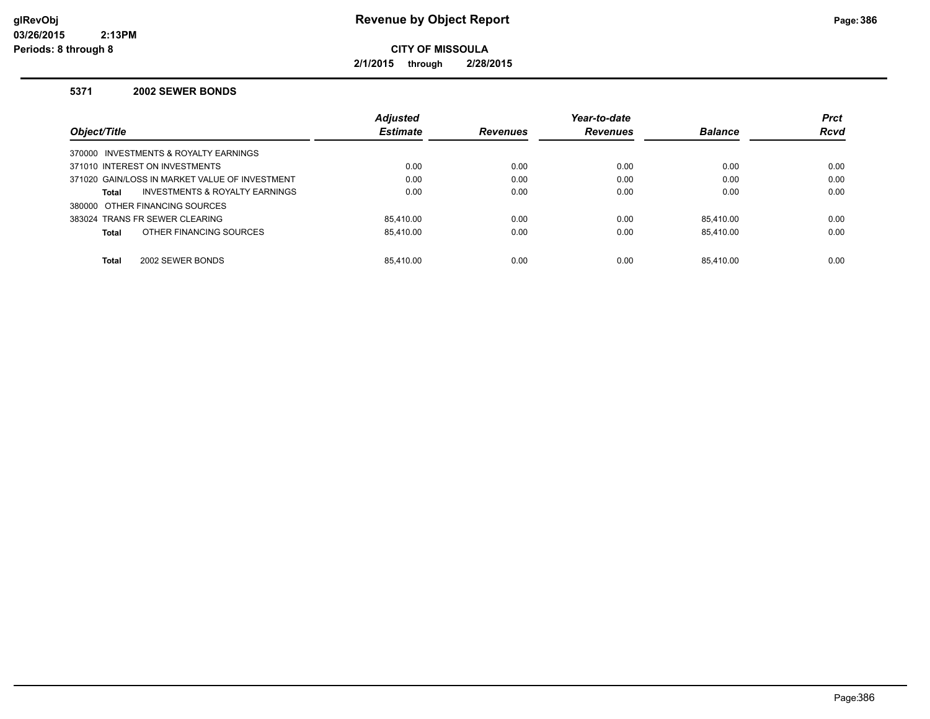**2/1/2015 through 2/28/2015**

### **5371 2002 SEWER BONDS**

|                                                | <b>Adjusted</b> |                 | Year-to-date    |                | <b>Prct</b> |
|------------------------------------------------|-----------------|-----------------|-----------------|----------------|-------------|
| Object/Title                                   | <b>Estimate</b> | <b>Revenues</b> | <b>Revenues</b> | <b>Balance</b> | <b>Rcvd</b> |
| 370000 INVESTMENTS & ROYALTY EARNINGS          |                 |                 |                 |                |             |
| 371010 INTEREST ON INVESTMENTS                 | 0.00            | 0.00            | 0.00            | 0.00           | 0.00        |
| 371020 GAIN/LOSS IN MARKET VALUE OF INVESTMENT | 0.00            | 0.00            | 0.00            | 0.00           | 0.00        |
| INVESTMENTS & ROYALTY EARNINGS<br>Total        | 0.00            | 0.00            | 0.00            | 0.00           | 0.00        |
| 380000 OTHER FINANCING SOURCES                 |                 |                 |                 |                |             |
| 383024 TRANS FR SEWER CLEARING                 | 85.410.00       | 0.00            | 0.00            | 85.410.00      | 0.00        |
| OTHER FINANCING SOURCES<br>Total               | 85.410.00       | 0.00            | 0.00            | 85.410.00      | 0.00        |
|                                                |                 |                 |                 |                |             |
| <b>Total</b><br>2002 SEWER BONDS               | 85.410.00       | 0.00            | 0.00            | 85.410.00      | 0.00        |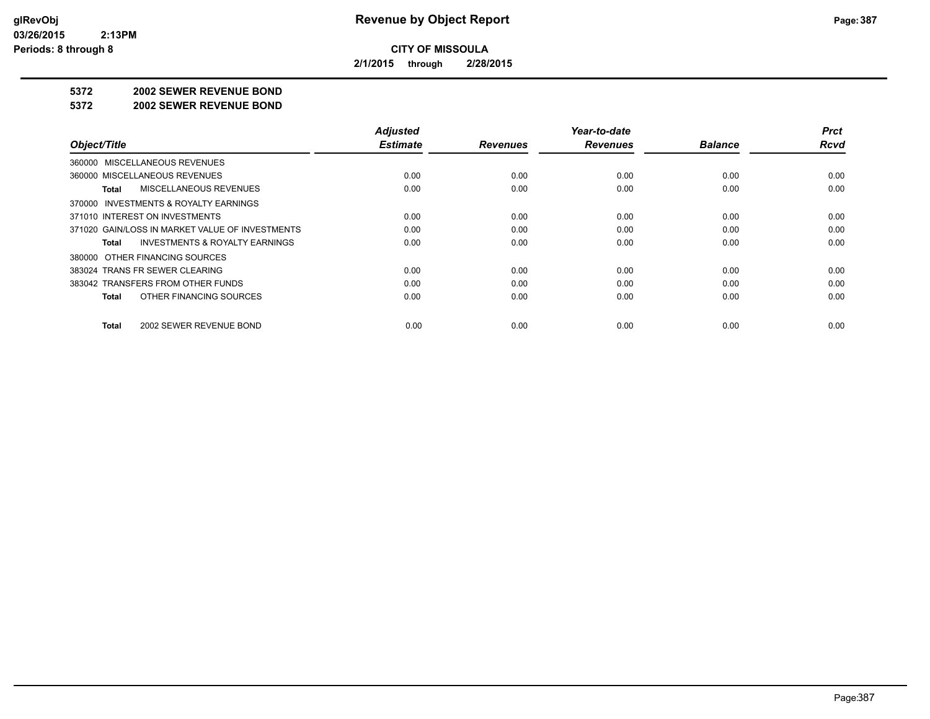**2/1/2015 through 2/28/2015**

#### **5372 2002 SEWER REVENUE BOND**

#### **5372 2002 SEWER REVENUE BOND**

|                                                    | <b>Adjusted</b> |                 | Year-to-date    |                | <b>Prct</b> |
|----------------------------------------------------|-----------------|-----------------|-----------------|----------------|-------------|
| Object/Title                                       | <b>Estimate</b> | <b>Revenues</b> | <b>Revenues</b> | <b>Balance</b> | <b>Rcvd</b> |
| 360000 MISCELLANEOUS REVENUES                      |                 |                 |                 |                |             |
| 360000 MISCELLANEOUS REVENUES                      | 0.00            | 0.00            | 0.00            | 0.00           | 0.00        |
| MISCELLANEOUS REVENUES<br>Total                    | 0.00            | 0.00            | 0.00            | 0.00           | 0.00        |
| 370000 INVESTMENTS & ROYALTY EARNINGS              |                 |                 |                 |                |             |
| 371010 INTEREST ON INVESTMENTS                     | 0.00            | 0.00            | 0.00            | 0.00           | 0.00        |
| 371020 GAIN/LOSS IN MARKET VALUE OF INVESTMENTS    | 0.00            | 0.00            | 0.00            | 0.00           | 0.00        |
| <b>INVESTMENTS &amp; ROYALTY EARNINGS</b><br>Total | 0.00            | 0.00            | 0.00            | 0.00           | 0.00        |
| 380000 OTHER FINANCING SOURCES                     |                 |                 |                 |                |             |
| 383024 TRANS FR SEWER CLEARING                     | 0.00            | 0.00            | 0.00            | 0.00           | 0.00        |
| 383042 TRANSFERS FROM OTHER FUNDS                  | 0.00            | 0.00            | 0.00            | 0.00           | 0.00        |
| OTHER FINANCING SOURCES<br>Total                   | 0.00            | 0.00            | 0.00            | 0.00           | 0.00        |
| 2002 SEWER REVENUE BOND<br>Total                   | 0.00            | 0.00            | 0.00            | 0.00           | 0.00        |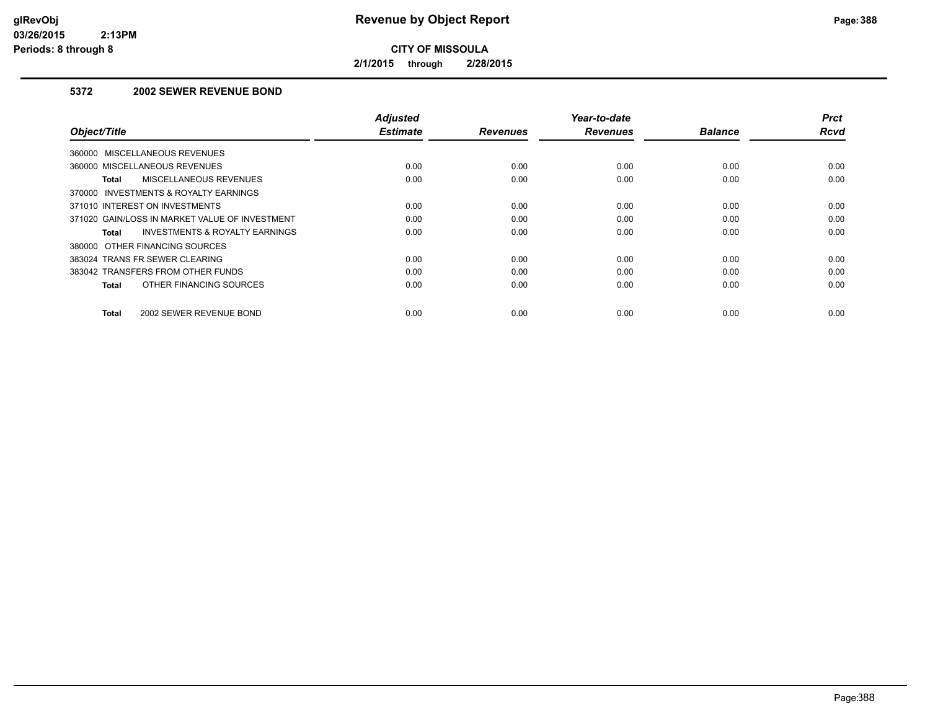**2/1/2015 through 2/28/2015**

# **5372 2002 SEWER REVENUE BOND**

| Object/Title                                              | <b>Adjusted</b><br><b>Estimate</b> | <b>Revenues</b> | Year-to-date<br><b>Revenues</b> | <b>Balance</b> | <b>Prct</b><br><b>Rcvd</b> |
|-----------------------------------------------------------|------------------------------------|-----------------|---------------------------------|----------------|----------------------------|
| 360000 MISCELLANEOUS REVENUES                             |                                    |                 |                                 |                |                            |
| 360000 MISCELLANEOUS REVENUES                             | 0.00                               | 0.00            | 0.00                            | 0.00           | 0.00                       |
| MISCELLANEOUS REVENUES<br>Total                           | 0.00                               | 0.00            | 0.00                            | 0.00           | 0.00                       |
| 370000 INVESTMENTS & ROYALTY EARNINGS                     |                                    |                 |                                 |                |                            |
| 371010 INTEREST ON INVESTMENTS                            | 0.00                               | 0.00            | 0.00                            | 0.00           | 0.00                       |
| 371020 GAIN/LOSS IN MARKET VALUE OF INVESTMENT            | 0.00                               | 0.00            | 0.00                            | 0.00           | 0.00                       |
| <b>INVESTMENTS &amp; ROYALTY EARNINGS</b><br><b>Total</b> | 0.00                               | 0.00            | 0.00                            | 0.00           | 0.00                       |
| 380000 OTHER FINANCING SOURCES                            |                                    |                 |                                 |                |                            |
| 383024 TRANS FR SEWER CLEARING                            | 0.00                               | 0.00            | 0.00                            | 0.00           | 0.00                       |
| 383042 TRANSFERS FROM OTHER FUNDS                         | 0.00                               | 0.00            | 0.00                            | 0.00           | 0.00                       |
| OTHER FINANCING SOURCES<br>Total                          | 0.00                               | 0.00            | 0.00                            | 0.00           | 0.00                       |
| 2002 SEWER REVENUE BOND<br><b>Total</b>                   | 0.00                               | 0.00            | 0.00                            | 0.00           | 0.00                       |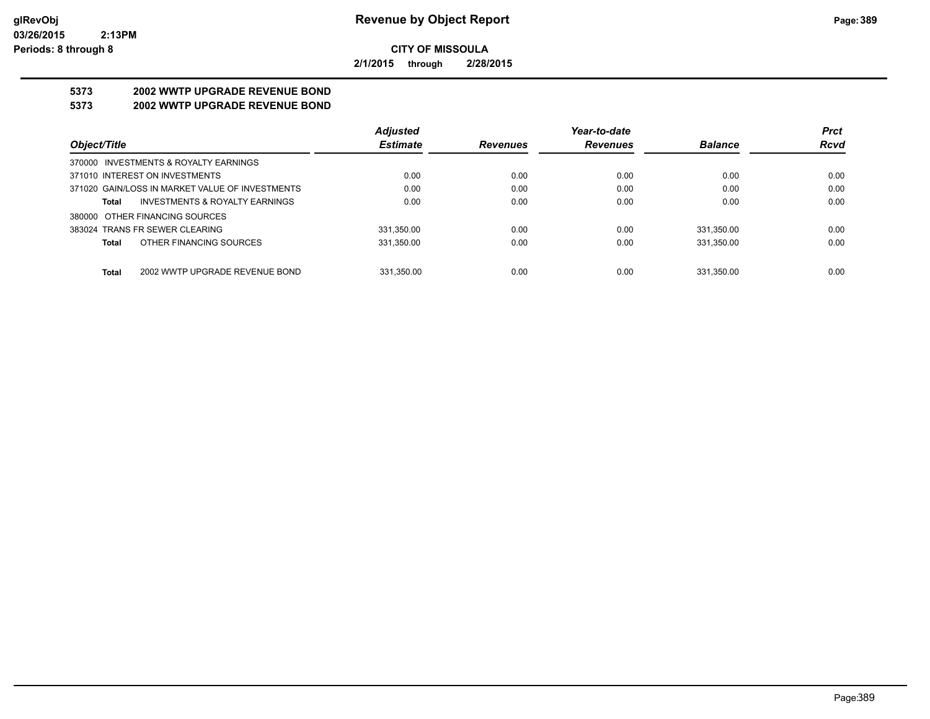**2/1/2015 through 2/28/2015**

# **5373 2002 WWTP UPGRADE REVENUE BOND**

# **5373 2002 WWTP UPGRADE REVENUE BOND**

|                                                 | <b>Adjusted</b> |                 | Year-to-date    |                | <b>Prct</b> |
|-------------------------------------------------|-----------------|-----------------|-----------------|----------------|-------------|
| Object/Title                                    | <b>Estimate</b> | <b>Revenues</b> | <b>Revenues</b> | <b>Balance</b> | <b>Rcvd</b> |
| 370000 INVESTMENTS & ROYALTY EARNINGS           |                 |                 |                 |                |             |
| 371010 INTEREST ON INVESTMENTS                  | 0.00            | 0.00            | 0.00            | 0.00           | 0.00        |
| 371020 GAIN/LOSS IN MARKET VALUE OF INVESTMENTS | 0.00            | 0.00            | 0.00            | 0.00           | 0.00        |
| INVESTMENTS & ROYALTY EARNINGS<br>Total         | 0.00            | 0.00            | 0.00            | 0.00           | 0.00        |
| 380000 OTHER FINANCING SOURCES                  |                 |                 |                 |                |             |
| 383024 TRANS FR SEWER CLEARING                  | 331.350.00      | 0.00            | 0.00            | 331.350.00     | 0.00        |
| OTHER FINANCING SOURCES<br>Total                | 331,350.00      | 0.00            | 0.00            | 331,350.00     | 0.00        |
|                                                 |                 |                 |                 |                |             |
| 2002 WWTP UPGRADE REVENUE BOND<br><b>Total</b>  | 331.350.00      | 0.00            | 0.00            | 331.350.00     | 0.00        |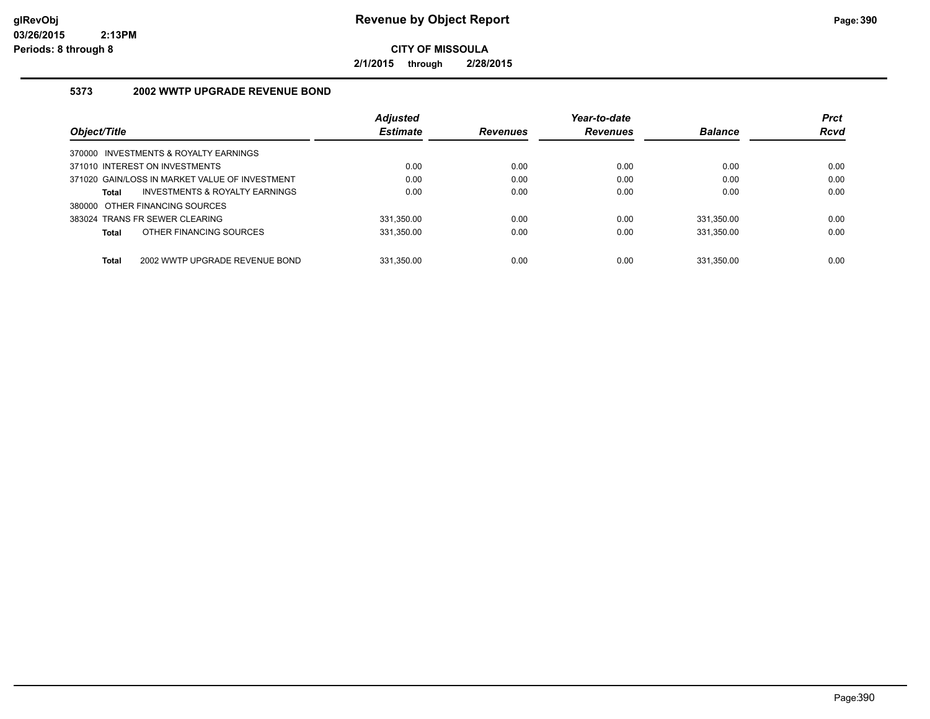**2/1/2015 through 2/28/2015**

# **5373 2002 WWTP UPGRADE REVENUE BOND**

|                                                | <b>Adjusted</b> |                 | Year-to-date    |                | <b>Prct</b> |
|------------------------------------------------|-----------------|-----------------|-----------------|----------------|-------------|
| Object/Title                                   | <b>Estimate</b> | <b>Revenues</b> | <b>Revenues</b> | <b>Balance</b> | <b>Rcvd</b> |
| 370000 INVESTMENTS & ROYALTY EARNINGS          |                 |                 |                 |                |             |
| 371010 INTEREST ON INVESTMENTS                 | 0.00            | 0.00            | 0.00            | 0.00           | 0.00        |
| 371020 GAIN/LOSS IN MARKET VALUE OF INVESTMENT | 0.00            | 0.00            | 0.00            | 0.00           | 0.00        |
| INVESTMENTS & ROYALTY EARNINGS<br>Total        | 0.00            | 0.00            | 0.00            | 0.00           | 0.00        |
| 380000 OTHER FINANCING SOURCES                 |                 |                 |                 |                |             |
| 383024 TRANS FR SEWER CLEARING                 | 331.350.00      | 0.00            | 0.00            | 331.350.00     | 0.00        |
| OTHER FINANCING SOURCES<br>Total               | 331,350.00      | 0.00            | 0.00            | 331.350.00     | 0.00        |
|                                                |                 |                 |                 |                |             |
| <b>Total</b><br>2002 WWTP UPGRADE REVENUE BOND | 331.350.00      | 0.00            | 0.00            | 331.350.00     | 0.00        |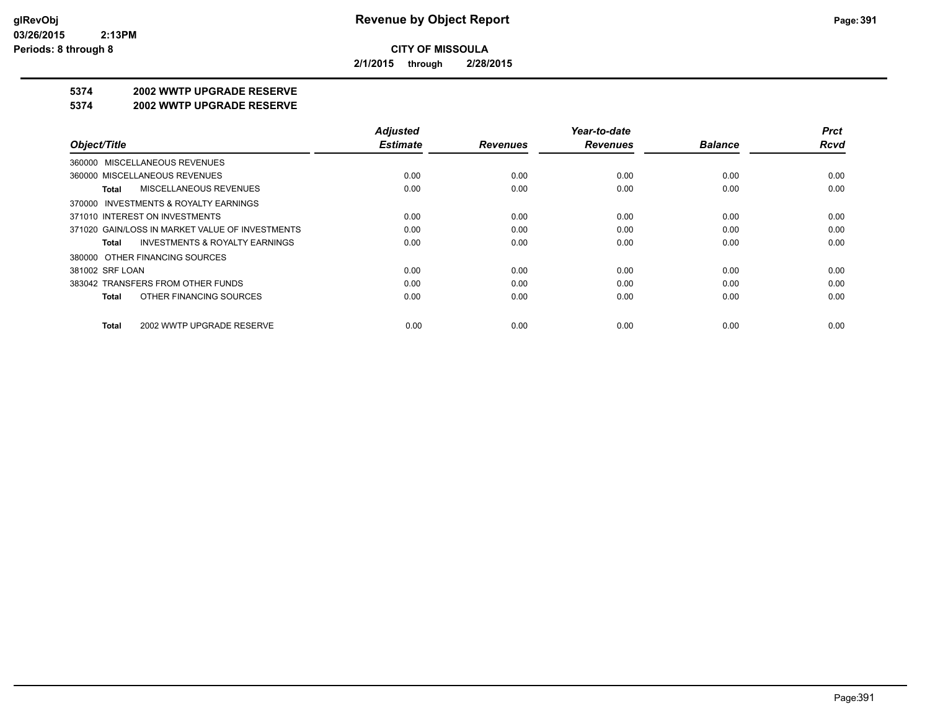**2/1/2015 through 2/28/2015**

# **5374 2002 WWTP UPGRADE RESERVE**

#### **5374 2002 WWTP UPGRADE RESERVE**

|                                                    | <b>Adjusted</b> |                 | Year-to-date    |                | <b>Prct</b> |
|----------------------------------------------------|-----------------|-----------------|-----------------|----------------|-------------|
| Object/Title                                       | <b>Estimate</b> | <b>Revenues</b> | <b>Revenues</b> | <b>Balance</b> | <b>Rcvd</b> |
| 360000 MISCELLANEOUS REVENUES                      |                 |                 |                 |                |             |
| 360000 MISCELLANEOUS REVENUES                      | 0.00            | 0.00            | 0.00            | 0.00           | 0.00        |
| <b>MISCELLANEOUS REVENUES</b><br>Total             | 0.00            | 0.00            | 0.00            | 0.00           | 0.00        |
| 370000 INVESTMENTS & ROYALTY EARNINGS              |                 |                 |                 |                |             |
| 371010 INTEREST ON INVESTMENTS                     | 0.00            | 0.00            | 0.00            | 0.00           | 0.00        |
| 371020 GAIN/LOSS IN MARKET VALUE OF INVESTMENTS    | 0.00            | 0.00            | 0.00            | 0.00           | 0.00        |
| <b>INVESTMENTS &amp; ROYALTY EARNINGS</b><br>Total | 0.00            | 0.00            | 0.00            | 0.00           | 0.00        |
| 380000 OTHER FINANCING SOURCES                     |                 |                 |                 |                |             |
| 381002 SRF LOAN                                    | 0.00            | 0.00            | 0.00            | 0.00           | 0.00        |
| 383042 TRANSFERS FROM OTHER FUNDS                  | 0.00            | 0.00            | 0.00            | 0.00           | 0.00        |
| OTHER FINANCING SOURCES<br>Total                   | 0.00            | 0.00            | 0.00            | 0.00           | 0.00        |
| 2002 WWTP UPGRADE RESERVE<br>Total                 | 0.00            | 0.00            | 0.00            | 0.00           | 0.00        |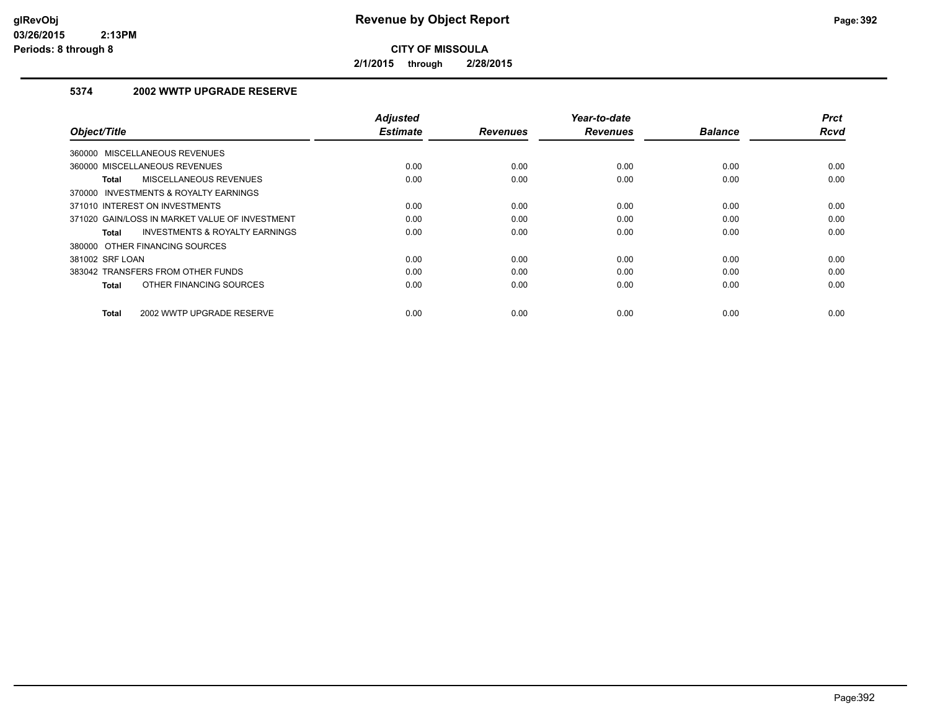**2/1/2015 through 2/28/2015**

# **5374 2002 WWTP UPGRADE RESERVE**

| Object/Title                                   | <b>Adjusted</b><br><b>Estimate</b> | <b>Revenues</b> | Year-to-date<br><b>Revenues</b> | <b>Balance</b> | <b>Prct</b><br>Rcvd |
|------------------------------------------------|------------------------------------|-----------------|---------------------------------|----------------|---------------------|
| 360000 MISCELLANEOUS REVENUES                  |                                    |                 |                                 |                |                     |
| 360000 MISCELLANEOUS REVENUES                  | 0.00                               | 0.00            | 0.00                            | 0.00           | 0.00                |
| MISCELLANEOUS REVENUES<br><b>Total</b>         | 0.00                               | 0.00            | 0.00                            | 0.00           | 0.00                |
| 370000 INVESTMENTS & ROYALTY EARNINGS          |                                    |                 |                                 |                |                     |
| 371010 INTEREST ON INVESTMENTS                 | 0.00                               | 0.00            | 0.00                            | 0.00           | 0.00                |
| 371020 GAIN/LOSS IN MARKET VALUE OF INVESTMENT | 0.00                               | 0.00            | 0.00                            | 0.00           | 0.00                |
| INVESTMENTS & ROYALTY EARNINGS<br>Total        | 0.00                               | 0.00            | 0.00                            | 0.00           | 0.00                |
| 380000 OTHER FINANCING SOURCES                 |                                    |                 |                                 |                |                     |
| 381002 SRF LOAN                                | 0.00                               | 0.00            | 0.00                            | 0.00           | 0.00                |
| 383042 TRANSFERS FROM OTHER FUNDS              | 0.00                               | 0.00            | 0.00                            | 0.00           | 0.00                |
| OTHER FINANCING SOURCES<br><b>Total</b>        | 0.00                               | 0.00            | 0.00                            | 0.00           | 0.00                |
| 2002 WWTP UPGRADE RESERVE<br><b>Total</b>      | 0.00                               | 0.00            | 0.00                            | 0.00           | 0.00                |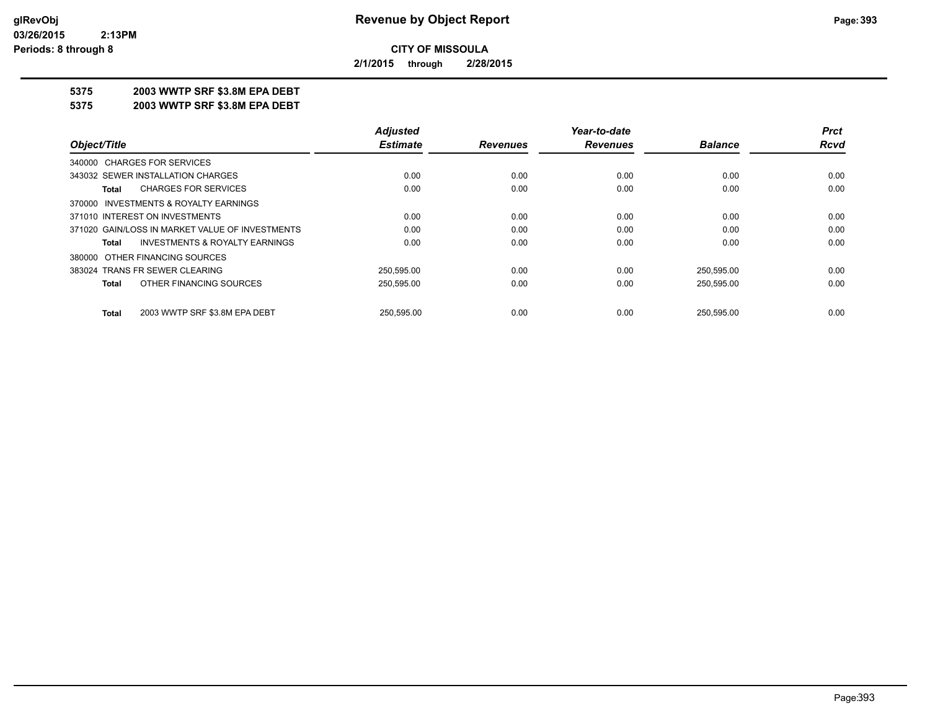**2/1/2015 through 2/28/2015**

# **5375 2003 WWTP SRF \$3.8M EPA DEBT**

**5375 2003 WWTP SRF \$3.8M EPA DEBT**

|                                                    | <b>Adjusted</b> |                 | Year-to-date    |                | <b>Prct</b> |
|----------------------------------------------------|-----------------|-----------------|-----------------|----------------|-------------|
| Object/Title                                       | <b>Estimate</b> | <b>Revenues</b> | <b>Revenues</b> | <b>Balance</b> | Rcvd        |
| 340000 CHARGES FOR SERVICES                        |                 |                 |                 |                |             |
| 343032 SEWER INSTALLATION CHARGES                  | 0.00            | 0.00            | 0.00            | 0.00           | 0.00        |
| <b>CHARGES FOR SERVICES</b><br>Total               | 0.00            | 0.00            | 0.00            | 0.00           | 0.00        |
| 370000 INVESTMENTS & ROYALTY EARNINGS              |                 |                 |                 |                |             |
| 371010 INTEREST ON INVESTMENTS                     | 0.00            | 0.00            | 0.00            | 0.00           | 0.00        |
| 371020 GAIN/LOSS IN MARKET VALUE OF INVESTMENTS    | 0.00            | 0.00            | 0.00            | 0.00           | 0.00        |
| <b>INVESTMENTS &amp; ROYALTY EARNINGS</b><br>Total | 0.00            | 0.00            | 0.00            | 0.00           | 0.00        |
| 380000 OTHER FINANCING SOURCES                     |                 |                 |                 |                |             |
| 383024 TRANS FR SEWER CLEARING                     | 250,595.00      | 0.00            | 0.00            | 250,595.00     | 0.00        |
| OTHER FINANCING SOURCES<br>Total                   | 250,595.00      | 0.00            | 0.00            | 250,595.00     | 0.00        |
| 2003 WWTP SRF \$3.8M EPA DEBT<br>Total             | 250.595.00      | 0.00            | 0.00            | 250.595.00     | 0.00        |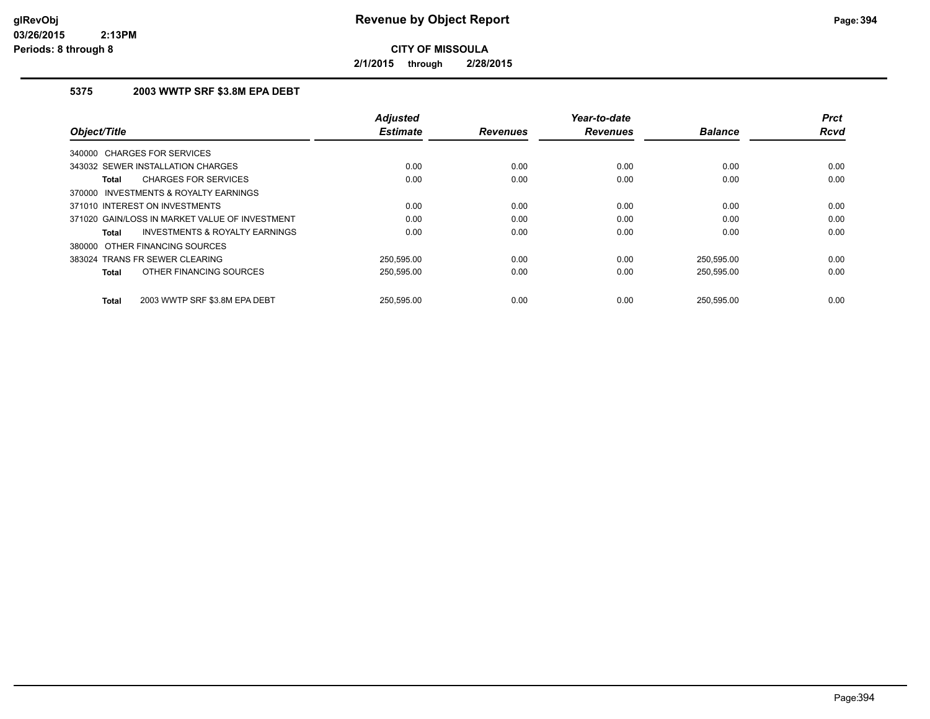**2/1/2015 through 2/28/2015**

# **5375 2003 WWTP SRF \$3.8M EPA DEBT**

| Object/Title                                       | <b>Adjusted</b><br><b>Estimate</b> | <b>Revenues</b> | Year-to-date<br><b>Revenues</b> | <b>Balance</b> | <b>Prct</b><br><b>Rcvd</b> |
|----------------------------------------------------|------------------------------------|-----------------|---------------------------------|----------------|----------------------------|
| 340000 CHARGES FOR SERVICES                        |                                    |                 |                                 |                |                            |
| 343032 SEWER INSTALLATION CHARGES                  | 0.00                               | 0.00            | 0.00                            | 0.00           | 0.00                       |
| <b>CHARGES FOR SERVICES</b><br>Total               | 0.00                               | 0.00            | 0.00                            | 0.00           | 0.00                       |
| 370000 INVESTMENTS & ROYALTY EARNINGS              |                                    |                 |                                 |                |                            |
| 371010 INTEREST ON INVESTMENTS                     | 0.00                               | 0.00            | 0.00                            | 0.00           | 0.00                       |
| 371020 GAIN/LOSS IN MARKET VALUE OF INVESTMENT     | 0.00                               | 0.00            | 0.00                            | 0.00           | 0.00                       |
| <b>INVESTMENTS &amp; ROYALTY EARNINGS</b><br>Total | 0.00                               | 0.00            | 0.00                            | 0.00           | 0.00                       |
| 380000 OTHER FINANCING SOURCES                     |                                    |                 |                                 |                |                            |
| 383024 TRANS FR SEWER CLEARING                     | 250.595.00                         | 0.00            | 0.00                            | 250.595.00     | 0.00                       |
| OTHER FINANCING SOURCES<br>Total                   | 250,595.00                         | 0.00            | 0.00                            | 250,595.00     | 0.00                       |
| 2003 WWTP SRF \$3.8M EPA DEBT<br>Total             | 250,595.00                         | 0.00            | 0.00                            | 250.595.00     | 0.00                       |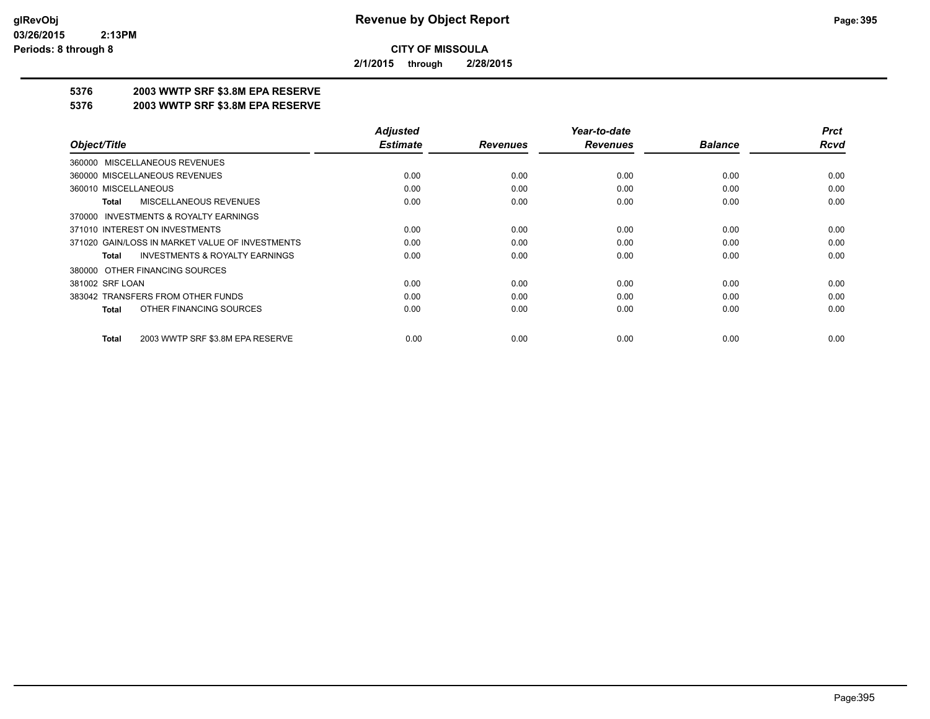**2/1/2015 through 2/28/2015**

# **5376 2003 WWTP SRF \$3.8M EPA RESERVE**

#### **5376 2003 WWTP SRF \$3.8M EPA RESERVE**

|                                                    | <b>Adjusted</b> |                 | Year-to-date    |                | <b>Prct</b> |
|----------------------------------------------------|-----------------|-----------------|-----------------|----------------|-------------|
| Object/Title                                       | <b>Estimate</b> | <b>Revenues</b> | <b>Revenues</b> | <b>Balance</b> | <b>Rcvd</b> |
| 360000 MISCELLANEOUS REVENUES                      |                 |                 |                 |                |             |
| 360000 MISCELLANEOUS REVENUES                      | 0.00            | 0.00            | 0.00            | 0.00           | 0.00        |
| 360010 MISCELLANEOUS                               | 0.00            | 0.00            | 0.00            | 0.00           | 0.00        |
| MISCELLANEOUS REVENUES<br>Total                    | 0.00            | 0.00            | 0.00            | 0.00           | 0.00        |
| 370000 INVESTMENTS & ROYALTY EARNINGS              |                 |                 |                 |                |             |
| 371010 INTEREST ON INVESTMENTS                     | 0.00            | 0.00            | 0.00            | 0.00           | 0.00        |
| 371020 GAIN/LOSS IN MARKET VALUE OF INVESTMENTS    | 0.00            | 0.00            | 0.00            | 0.00           | 0.00        |
| <b>INVESTMENTS &amp; ROYALTY EARNINGS</b><br>Total | 0.00            | 0.00            | 0.00            | 0.00           | 0.00        |
| 380000 OTHER FINANCING SOURCES                     |                 |                 |                 |                |             |
| 381002 SRF LOAN                                    | 0.00            | 0.00            | 0.00            | 0.00           | 0.00        |
| 383042 TRANSFERS FROM OTHER FUNDS                  | 0.00            | 0.00            | 0.00            | 0.00           | 0.00        |
| OTHER FINANCING SOURCES<br><b>Total</b>            | 0.00            | 0.00            | 0.00            | 0.00           | 0.00        |
| 2003 WWTP SRF \$3.8M EPA RESERVE<br><b>Total</b>   | 0.00            | 0.00            | 0.00            | 0.00           | 0.00        |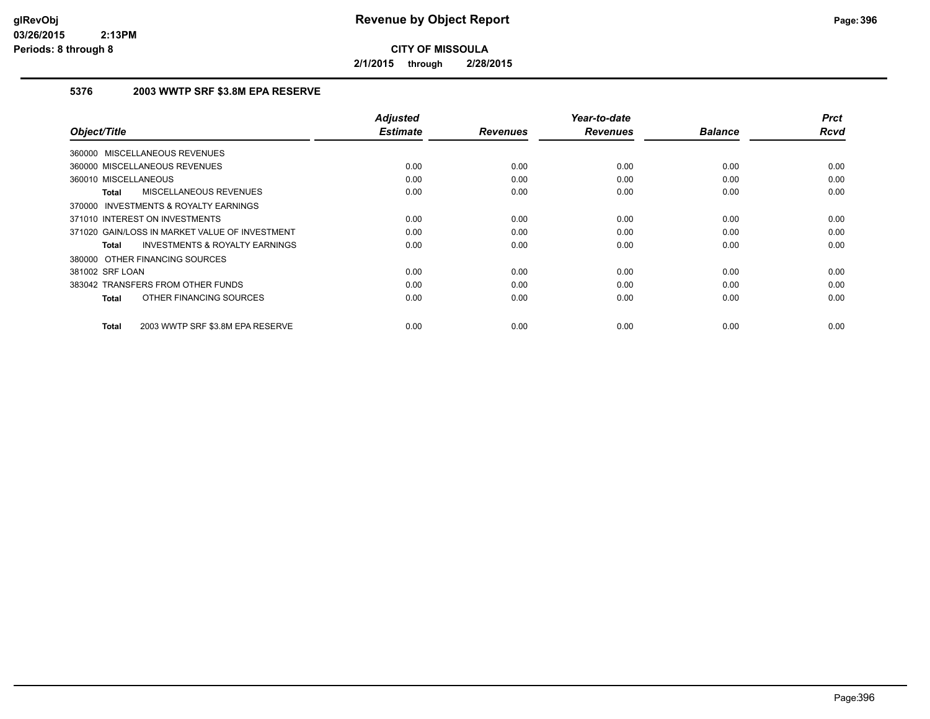**2/1/2015 through 2/28/2015**

# **5376 2003 WWTP SRF \$3.8M EPA RESERVE**

|                                                           | <b>Adjusted</b> |                 | Year-to-date    |                | <b>Prct</b> |
|-----------------------------------------------------------|-----------------|-----------------|-----------------|----------------|-------------|
| Object/Title                                              | <b>Estimate</b> | <b>Revenues</b> | <b>Revenues</b> | <b>Balance</b> | <b>Rcvd</b> |
| 360000 MISCELLANEOUS REVENUES                             |                 |                 |                 |                |             |
| 360000 MISCELLANEOUS REVENUES                             | 0.00            | 0.00            | 0.00            | 0.00           | 0.00        |
| 360010 MISCELLANEOUS                                      | 0.00            | 0.00            | 0.00            | 0.00           | 0.00        |
| MISCELLANEOUS REVENUES<br><b>Total</b>                    | 0.00            | 0.00            | 0.00            | 0.00           | 0.00        |
| <b>INVESTMENTS &amp; ROYALTY EARNINGS</b><br>370000       |                 |                 |                 |                |             |
| 371010 INTEREST ON INVESTMENTS                            | 0.00            | 0.00            | 0.00            | 0.00           | 0.00        |
| 371020 GAIN/LOSS IN MARKET VALUE OF INVESTMENT            | 0.00            | 0.00            | 0.00            | 0.00           | 0.00        |
| <b>INVESTMENTS &amp; ROYALTY EARNINGS</b><br><b>Total</b> | 0.00            | 0.00            | 0.00            | 0.00           | 0.00        |
| 380000 OTHER FINANCING SOURCES                            |                 |                 |                 |                |             |
| 381002 SRF LOAN                                           | 0.00            | 0.00            | 0.00            | 0.00           | 0.00        |
| 383042 TRANSFERS FROM OTHER FUNDS                         | 0.00            | 0.00            | 0.00            | 0.00           | 0.00        |
| OTHER FINANCING SOURCES<br><b>Total</b>                   | 0.00            | 0.00            | 0.00            | 0.00           | 0.00        |
|                                                           |                 |                 |                 |                |             |
| 2003 WWTP SRF \$3.8M EPA RESERVE<br><b>Total</b>          | 0.00            | 0.00            | 0.00            | 0.00           | 0.00        |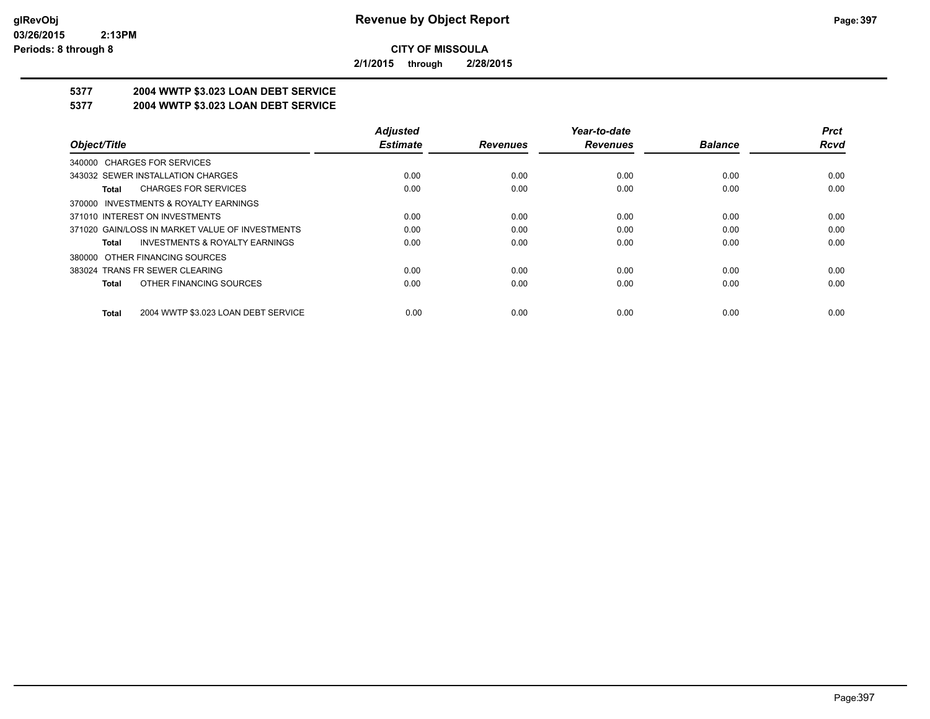**2/1/2015 through 2/28/2015**

# **5377 2004 WWTP \$3.023 LOAN DEBT SERVICE**

### **5377 2004 WWTP \$3.023 LOAN DEBT SERVICE**

|                                                     | <b>Adjusted</b> |                 | Year-to-date    |                | <b>Prct</b> |
|-----------------------------------------------------|-----------------|-----------------|-----------------|----------------|-------------|
| Object/Title                                        | <b>Estimate</b> | <b>Revenues</b> | <b>Revenues</b> | <b>Balance</b> | Rcvd        |
| 340000 CHARGES FOR SERVICES                         |                 |                 |                 |                |             |
| 343032 SEWER INSTALLATION CHARGES                   | 0.00            | 0.00            | 0.00            | 0.00           | 0.00        |
| <b>CHARGES FOR SERVICES</b><br>Total                | 0.00            | 0.00            | 0.00            | 0.00           | 0.00        |
| 370000 INVESTMENTS & ROYALTY EARNINGS               |                 |                 |                 |                |             |
| 371010 INTEREST ON INVESTMENTS                      | 0.00            | 0.00            | 0.00            | 0.00           | 0.00        |
| 371020 GAIN/LOSS IN MARKET VALUE OF INVESTMENTS     | 0.00            | 0.00            | 0.00            | 0.00           | 0.00        |
| <b>INVESTMENTS &amp; ROYALTY EARNINGS</b><br>Total  | 0.00            | 0.00            | 0.00            | 0.00           | 0.00        |
| 380000 OTHER FINANCING SOURCES                      |                 |                 |                 |                |             |
| 383024 TRANS FR SEWER CLEARING                      | 0.00            | 0.00            | 0.00            | 0.00           | 0.00        |
| OTHER FINANCING SOURCES<br>Total                    | 0.00            | 0.00            | 0.00            | 0.00           | 0.00        |
| 2004 WWTP \$3.023 LOAN DEBT SERVICE<br><b>Total</b> | 0.00            | 0.00            | 0.00            | 0.00           | 0.00        |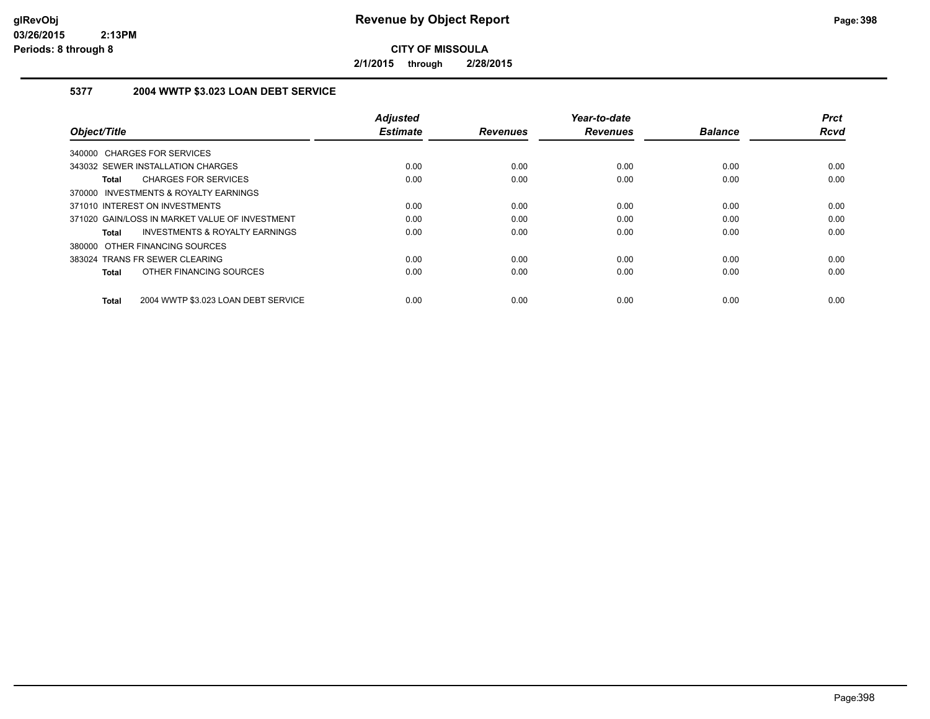**2/1/2015 through 2/28/2015**

#### **5377 2004 WWTP \$3.023 LOAN DEBT SERVICE**

| Object/Title                                        | <b>Adjusted</b><br><b>Estimate</b> | <b>Revenues</b> | Year-to-date<br><b>Revenues</b> | <b>Balance</b> | <b>Prct</b><br><b>Rcvd</b> |
|-----------------------------------------------------|------------------------------------|-----------------|---------------------------------|----------------|----------------------------|
|                                                     |                                    |                 |                                 |                |                            |
| 340000 CHARGES FOR SERVICES                         |                                    |                 |                                 |                |                            |
| 343032 SEWER INSTALLATION CHARGES                   | 0.00                               | 0.00            | 0.00                            | 0.00           | 0.00                       |
| <b>CHARGES FOR SERVICES</b><br><b>Total</b>         | 0.00                               | 0.00            | 0.00                            | 0.00           | 0.00                       |
| 370000 INVESTMENTS & ROYALTY EARNINGS               |                                    |                 |                                 |                |                            |
| 371010 INTEREST ON INVESTMENTS                      | 0.00                               | 0.00            | 0.00                            | 0.00           | 0.00                       |
| 371020 GAIN/LOSS IN MARKET VALUE OF INVESTMENT      | 0.00                               | 0.00            | 0.00                            | 0.00           | 0.00                       |
| INVESTMENTS & ROYALTY EARNINGS<br>Total             | 0.00                               | 0.00            | 0.00                            | 0.00           | 0.00                       |
| 380000 OTHER FINANCING SOURCES                      |                                    |                 |                                 |                |                            |
| 383024 TRANS FR SEWER CLEARING                      | 0.00                               | 0.00            | 0.00                            | 0.00           | 0.00                       |
| OTHER FINANCING SOURCES<br>Total                    | 0.00                               | 0.00            | 0.00                            | 0.00           | 0.00                       |
| 2004 WWTP \$3.023 LOAN DEBT SERVICE<br><b>Total</b> | 0.00                               | 0.00            | 0.00                            | 0.00           | 0.00                       |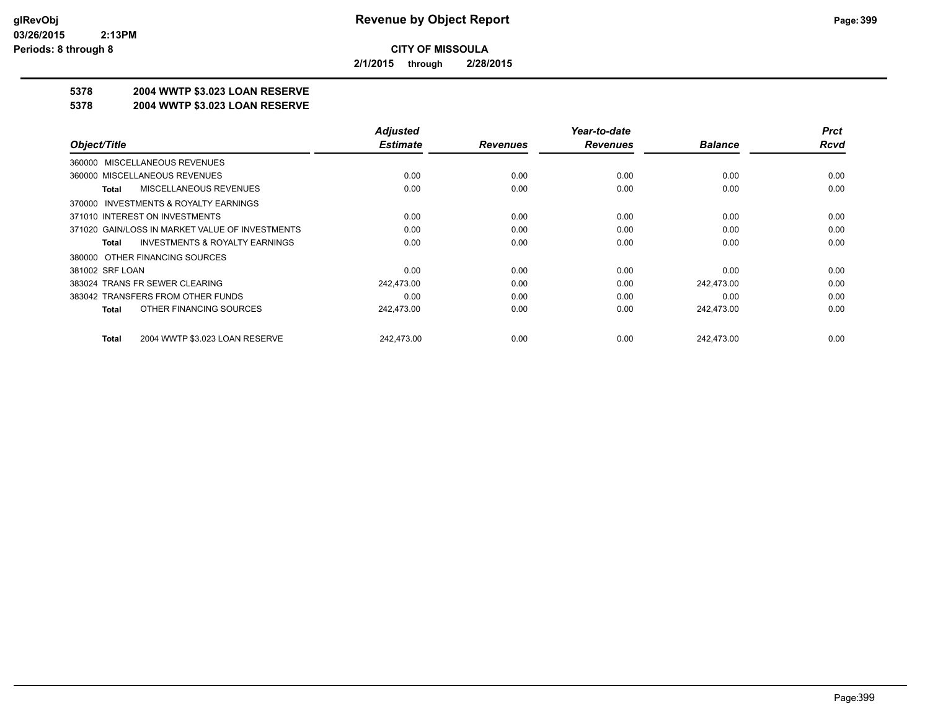**2/1/2015 through 2/28/2015**

## **5378 2004 WWTP \$3.023 LOAN RESERVE**

#### **5378 2004 WWTP \$3.023 LOAN RESERVE**

|                                                    | <b>Adjusted</b> |                 | Year-to-date    |                | <b>Prct</b> |
|----------------------------------------------------|-----------------|-----------------|-----------------|----------------|-------------|
| Object/Title                                       | <b>Estimate</b> | <b>Revenues</b> | <b>Revenues</b> | <b>Balance</b> | <b>Rcvd</b> |
| 360000 MISCELLANEOUS REVENUES                      |                 |                 |                 |                |             |
| 360000 MISCELLANEOUS REVENUES                      | 0.00            | 0.00            | 0.00            | 0.00           | 0.00        |
| MISCELLANEOUS REVENUES<br>Total                    | 0.00            | 0.00            | 0.00            | 0.00           | 0.00        |
| 370000 INVESTMENTS & ROYALTY EARNINGS              |                 |                 |                 |                |             |
| 371010 INTEREST ON INVESTMENTS                     | 0.00            | 0.00            | 0.00            | 0.00           | 0.00        |
| 371020 GAIN/LOSS IN MARKET VALUE OF INVESTMENTS    | 0.00            | 0.00            | 0.00            | 0.00           | 0.00        |
| <b>INVESTMENTS &amp; ROYALTY EARNINGS</b><br>Total | 0.00            | 0.00            | 0.00            | 0.00           | 0.00        |
| 380000 OTHER FINANCING SOURCES                     |                 |                 |                 |                |             |
| 381002 SRF LOAN                                    | 0.00            | 0.00            | 0.00            | 0.00           | 0.00        |
| 383024 TRANS FR SEWER CLEARING                     | 242,473.00      | 0.00            | 0.00            | 242.473.00     | 0.00        |
| 383042 TRANSFERS FROM OTHER FUNDS                  | 0.00            | 0.00            | 0.00            | 0.00           | 0.00        |
| OTHER FINANCING SOURCES<br>Total                   | 242,473.00      | 0.00            | 0.00            | 242,473.00     | 0.00        |
| 2004 WWTP \$3.023 LOAN RESERVE<br>Total            | 242.473.00      | 0.00            | 0.00            | 242.473.00     | 0.00        |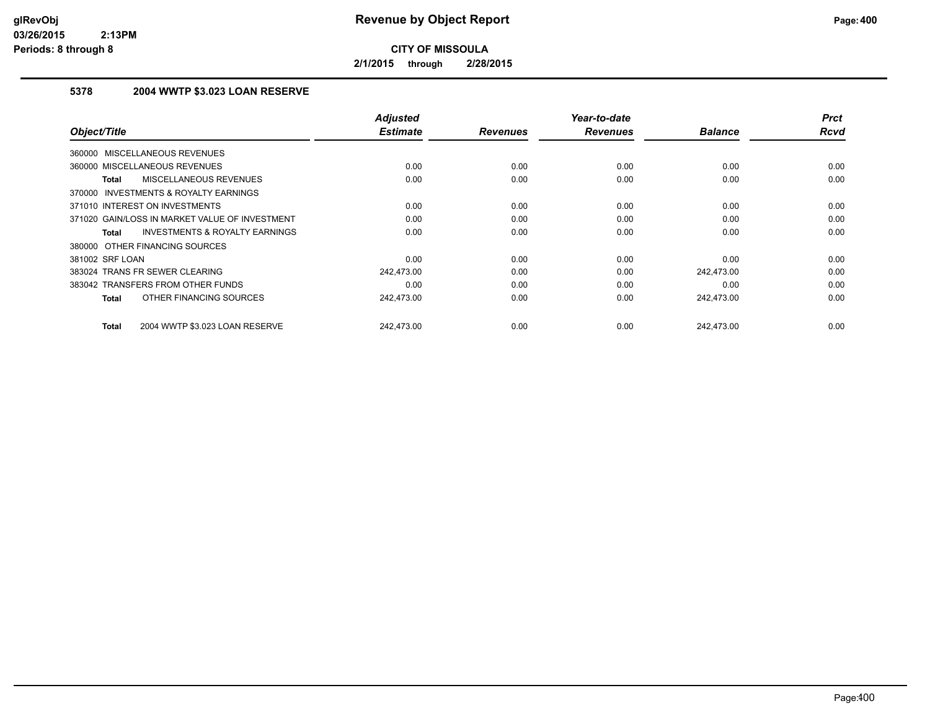**2/1/2015 through 2/28/2015**

### **5378 2004 WWTP \$3.023 LOAN RESERVE**

| Object/Title                                              | <b>Adjusted</b><br><b>Estimate</b> | <b>Revenues</b> | Year-to-date<br><b>Revenues</b> | <b>Balance</b> | <b>Prct</b><br><b>Rcvd</b> |
|-----------------------------------------------------------|------------------------------------|-----------------|---------------------------------|----------------|----------------------------|
| 360000 MISCELLANEOUS REVENUES                             |                                    |                 |                                 |                |                            |
|                                                           |                                    |                 |                                 |                |                            |
| 360000 MISCELLANEOUS REVENUES                             | 0.00                               | 0.00            | 0.00                            | 0.00           | 0.00                       |
| <b>MISCELLANEOUS REVENUES</b><br><b>Total</b>             | 0.00                               | 0.00            | 0.00                            | 0.00           | 0.00                       |
| 370000 INVESTMENTS & ROYALTY EARNINGS                     |                                    |                 |                                 |                |                            |
| 371010 INTEREST ON INVESTMENTS                            | 0.00                               | 0.00            | 0.00                            | 0.00           | 0.00                       |
| 371020 GAIN/LOSS IN MARKET VALUE OF INVESTMENT            | 0.00                               | 0.00            | 0.00                            | 0.00           | 0.00                       |
| <b>INVESTMENTS &amp; ROYALTY EARNINGS</b><br><b>Total</b> | 0.00                               | 0.00            | 0.00                            | 0.00           | 0.00                       |
| 380000 OTHER FINANCING SOURCES                            |                                    |                 |                                 |                |                            |
| 381002 SRF LOAN                                           | 0.00                               | 0.00            | 0.00                            | 0.00           | 0.00                       |
| 383024 TRANS FR SEWER CLEARING                            | 242.473.00                         | 0.00            | 0.00                            | 242.473.00     | 0.00                       |
| 383042 TRANSFERS FROM OTHER FUNDS                         | 0.00                               | 0.00            | 0.00                            | 0.00           | 0.00                       |
| OTHER FINANCING SOURCES<br><b>Total</b>                   | 242,473.00                         | 0.00            | 0.00                            | 242,473.00     | 0.00                       |
| 2004 WWTP \$3.023 LOAN RESERVE<br><b>Total</b>            | 242.473.00                         | 0.00            | 0.00                            | 242.473.00     | 0.00                       |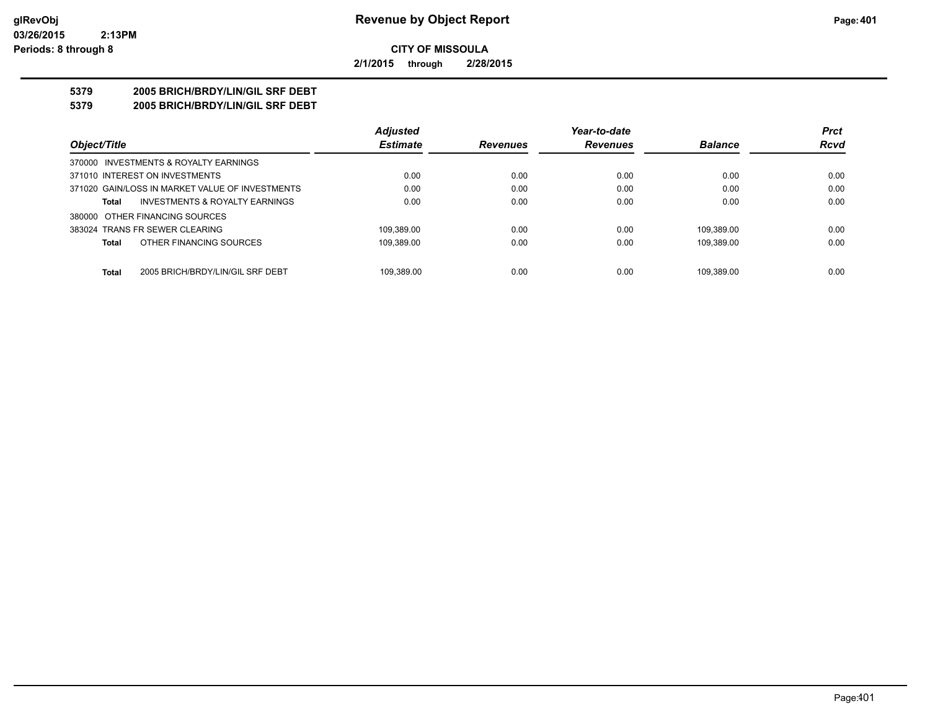**2/1/2015 through 2/28/2015**

## **5379 2005 BRICH/BRDY/LIN/GIL SRF DEBT**

**5379 2005 BRICH/BRDY/LIN/GIL SRF DEBT**

|                                                  | <b>Adjusted</b> |                 | Year-to-date    |                | <b>Prct</b> |
|--------------------------------------------------|-----------------|-----------------|-----------------|----------------|-------------|
| Object/Title                                     | <b>Estimate</b> | <b>Revenues</b> | <b>Revenues</b> | <b>Balance</b> | <b>Rcvd</b> |
| 370000 INVESTMENTS & ROYALTY EARNINGS            |                 |                 |                 |                |             |
| 371010 INTEREST ON INVESTMENTS                   | 0.00            | 0.00            | 0.00            | 0.00           | 0.00        |
| 371020 GAIN/LOSS IN MARKET VALUE OF INVESTMENTS  | 0.00            | 0.00            | 0.00            | 0.00           | 0.00        |
| INVESTMENTS & ROYALTY EARNINGS<br>Total          | 0.00            | 0.00            | 0.00            | 0.00           | 0.00        |
| 380000 OTHER FINANCING SOURCES                   |                 |                 |                 |                |             |
| 383024 TRANS FR SEWER CLEARING                   | 109.389.00      | 0.00            | 0.00            | 109.389.00     | 0.00        |
| OTHER FINANCING SOURCES<br><b>Total</b>          | 109,389.00      | 0.00            | 0.00            | 109.389.00     | 0.00        |
|                                                  |                 |                 |                 |                |             |
| <b>Total</b><br>2005 BRICH/BRDY/LIN/GIL SRF DEBT | 109.389.00      | 0.00            | 0.00            | 109.389.00     | 0.00        |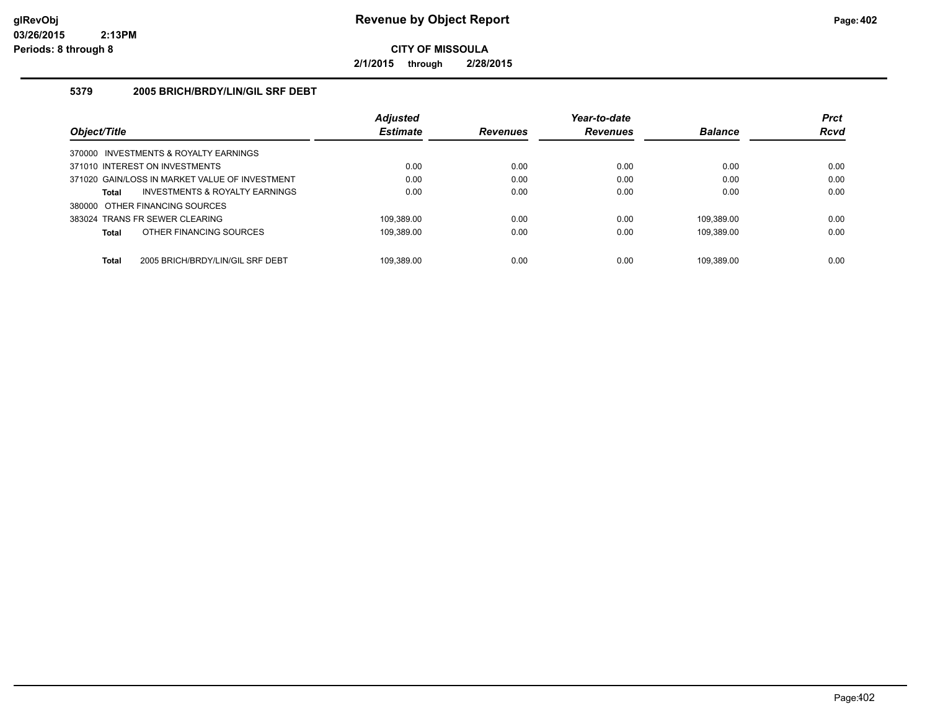**2/1/2015 through 2/28/2015**

#### **5379 2005 BRICH/BRDY/LIN/GIL SRF DEBT**

|                                                  | <b>Adjusted</b> |                 | Year-to-date    |                | <b>Prct</b> |
|--------------------------------------------------|-----------------|-----------------|-----------------|----------------|-------------|
| Object/Title                                     | <b>Estimate</b> | <b>Revenues</b> | <b>Revenues</b> | <b>Balance</b> | <b>Rcvd</b> |
| 370000 INVESTMENTS & ROYALTY EARNINGS            |                 |                 |                 |                |             |
| 371010 INTEREST ON INVESTMENTS                   | 0.00            | 0.00            | 0.00            | 0.00           | 0.00        |
| 371020 GAIN/LOSS IN MARKET VALUE OF INVESTMENT   | 0.00            | 0.00            | 0.00            | 0.00           | 0.00        |
| INVESTMENTS & ROYALTY EARNINGS<br>Total          | 0.00            | 0.00            | 0.00            | 0.00           | 0.00        |
| 380000 OTHER FINANCING SOURCES                   |                 |                 |                 |                |             |
| 383024 TRANS FR SEWER CLEARING                   | 109.389.00      | 0.00            | 0.00            | 109.389.00     | 0.00        |
| OTHER FINANCING SOURCES<br>Total                 | 109.389.00      | 0.00            | 0.00            | 109.389.00     | 0.00        |
|                                                  |                 |                 |                 |                |             |
| <b>Total</b><br>2005 BRICH/BRDY/LIN/GIL SRF DEBT | 109.389.00      | 0.00            | 0.00            | 109.389.00     | 0.00        |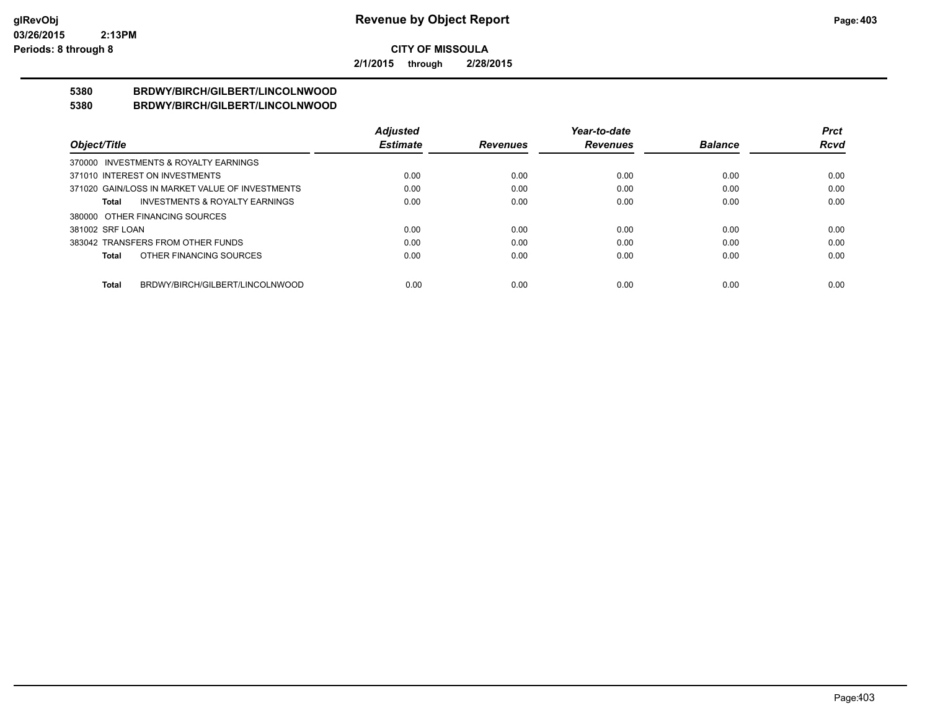**2/1/2015 through 2/28/2015**

#### **5380 BRDWY/BIRCH/GILBERT/LINCOLNWOOD 5380 BRDWY/BIRCH/GILBERT/LINCOLNWOOD**

|                                                    | <b>Adjusted</b> |                 | Year-to-date    |                | Prct        |
|----------------------------------------------------|-----------------|-----------------|-----------------|----------------|-------------|
| Object/Title                                       | <b>Estimate</b> | <b>Revenues</b> | <b>Revenues</b> | <b>Balance</b> | <b>Rcvd</b> |
| 370000 INVESTMENTS & ROYALTY EARNINGS              |                 |                 |                 |                |             |
| 371010 INTEREST ON INVESTMENTS                     | 0.00            | 0.00            | 0.00            | 0.00           | 0.00        |
| 371020 GAIN/LOSS IN MARKET VALUE OF INVESTMENTS    | 0.00            | 0.00            | 0.00            | 0.00           | 0.00        |
| <b>INVESTMENTS &amp; ROYALTY EARNINGS</b><br>Total | 0.00            | 0.00            | 0.00            | 0.00           | 0.00        |
| 380000 OTHER FINANCING SOURCES                     |                 |                 |                 |                |             |
| 381002 SRF LOAN                                    | 0.00            | 0.00            | 0.00            | 0.00           | 0.00        |
| 383042 TRANSFERS FROM OTHER FUNDS                  | 0.00            | 0.00            | 0.00            | 0.00           | 0.00        |
| OTHER FINANCING SOURCES<br>Total                   | 0.00            | 0.00            | 0.00            | 0.00           | 0.00        |
|                                                    |                 |                 |                 |                |             |
| BRDWY/BIRCH/GILBERT/LINCOLNWOOD<br>Total           | 0.00            | 0.00            | 0.00            | 0.00           | 0.00        |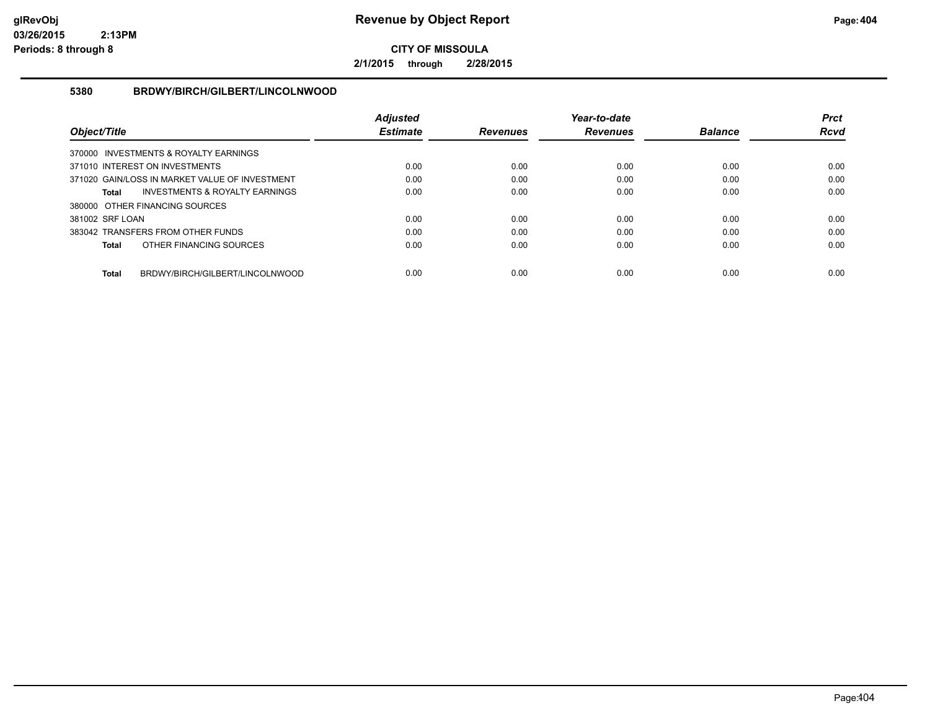**2/1/2015 through 2/28/2015**

#### **5380 BRDWY/BIRCH/GILBERT/LINCOLNWOOD**

|                                                 | <b>Adiusted</b> |                 | Year-to-date    |                | <b>Prct</b> |
|-------------------------------------------------|-----------------|-----------------|-----------------|----------------|-------------|
| Object/Title                                    | <b>Estimate</b> | <b>Revenues</b> | <b>Revenues</b> | <b>Balance</b> | <b>Rcvd</b> |
| 370000 INVESTMENTS & ROYALTY EARNINGS           |                 |                 |                 |                |             |
| 371010 INTEREST ON INVESTMENTS                  | 0.00            | 0.00            | 0.00            | 0.00           | 0.00        |
| 371020 GAIN/LOSS IN MARKET VALUE OF INVESTMENT  | 0.00            | 0.00            | 0.00            | 0.00           | 0.00        |
| INVESTMENTS & ROYALTY EARNINGS<br>Total         | 0.00            | 0.00            | 0.00            | 0.00           | 0.00        |
| 380000 OTHER FINANCING SOURCES                  |                 |                 |                 |                |             |
| 381002 SRF LOAN                                 | 0.00            | 0.00            | 0.00            | 0.00           | 0.00        |
| 383042 TRANSFERS FROM OTHER FUNDS               | 0.00            | 0.00            | 0.00            | 0.00           | 0.00        |
| OTHER FINANCING SOURCES<br><b>Total</b>         | 0.00            | 0.00            | 0.00            | 0.00           | 0.00        |
|                                                 |                 |                 |                 |                |             |
| BRDWY/BIRCH/GILBERT/LINCOLNWOOD<br><b>Total</b> | 0.00            | 0.00            | 0.00            | 0.00           | 0.00        |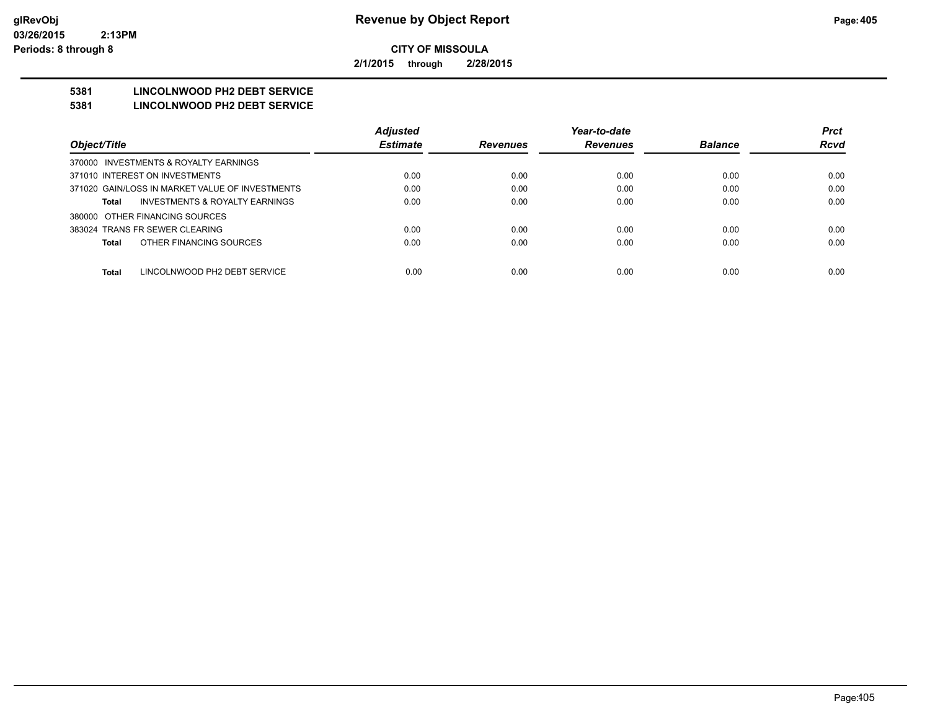**2/1/2015 through 2/28/2015**

## **5381 LINCOLNWOOD PH2 DEBT SERVICE**

#### **5381 LINCOLNWOOD PH2 DEBT SERVICE**

|                                                 | <b>Adjusted</b> |                 | Year-to-date    |                | <b>Prct</b> |
|-------------------------------------------------|-----------------|-----------------|-----------------|----------------|-------------|
| Object/Title                                    | <b>Estimate</b> | <b>Revenues</b> | <b>Revenues</b> | <b>Balance</b> | <b>Rcvd</b> |
| 370000 INVESTMENTS & ROYALTY EARNINGS           |                 |                 |                 |                |             |
| 371010 INTEREST ON INVESTMENTS                  | 0.00            | 0.00            | 0.00            | 0.00           | 0.00        |
| 371020 GAIN/LOSS IN MARKET VALUE OF INVESTMENTS | 0.00            | 0.00            | 0.00            | 0.00           | 0.00        |
| INVESTMENTS & ROYALTY EARNINGS<br>Total         | 0.00            | 0.00            | 0.00            | 0.00           | 0.00        |
| 380000 OTHER FINANCING SOURCES                  |                 |                 |                 |                |             |
| 383024 TRANS FR SEWER CLEARING                  | 0.00            | 0.00            | 0.00            | 0.00           | 0.00        |
| OTHER FINANCING SOURCES<br>Total                | 0.00            | 0.00            | 0.00            | 0.00           | 0.00        |
|                                                 |                 |                 |                 |                |             |
| <b>Total</b><br>LINCOLNWOOD PH2 DEBT SERVICE    | 0.00            | 0.00            | 0.00            | 0.00           | 0.00        |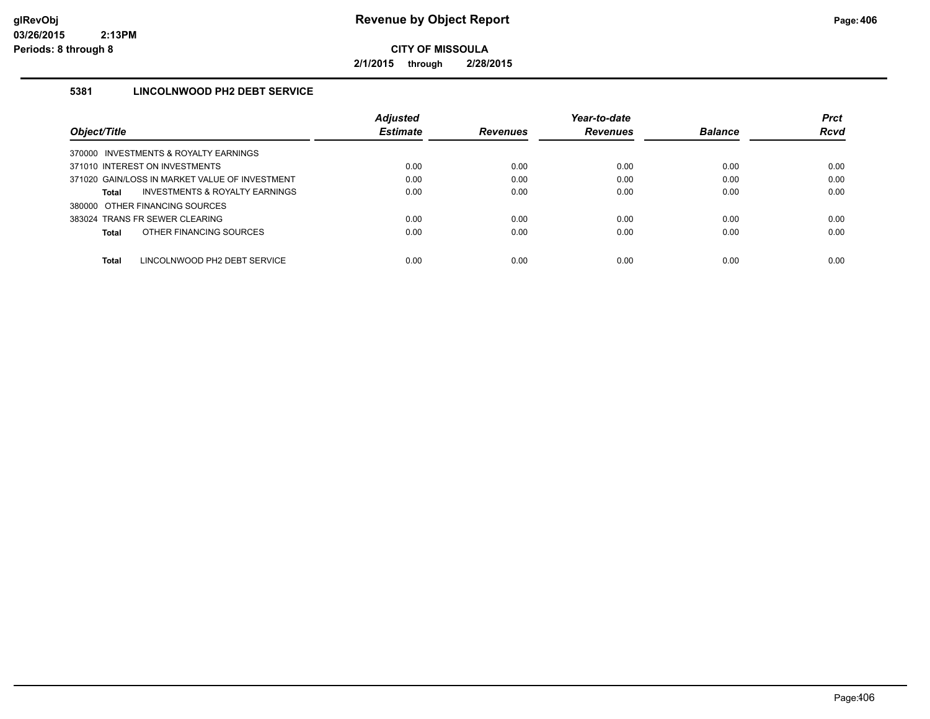**2/1/2015 through 2/28/2015**

#### **5381 LINCOLNWOOD PH2 DEBT SERVICE**

|                                                | <b>Adjusted</b> |                 | Year-to-date    |                | <b>Prct</b> |
|------------------------------------------------|-----------------|-----------------|-----------------|----------------|-------------|
| Object/Title                                   | <b>Estimate</b> | <b>Revenues</b> | <b>Revenues</b> | <b>Balance</b> | <b>Rcvd</b> |
| 370000 INVESTMENTS & ROYALTY EARNINGS          |                 |                 |                 |                |             |
| 371010 INTEREST ON INVESTMENTS                 | 0.00            | 0.00            | 0.00            | 0.00           | 0.00        |
| 371020 GAIN/LOSS IN MARKET VALUE OF INVESTMENT | 0.00            | 0.00            | 0.00            | 0.00           | 0.00        |
| INVESTMENTS & ROYALTY EARNINGS<br><b>Total</b> | 0.00            | 0.00            | 0.00            | 0.00           | 0.00        |
| 380000 OTHER FINANCING SOURCES                 |                 |                 |                 |                |             |
| 383024 TRANS FR SEWER CLEARING                 | 0.00            | 0.00            | 0.00            | 0.00           | 0.00        |
| OTHER FINANCING SOURCES<br><b>Total</b>        | 0.00            | 0.00            | 0.00            | 0.00           | 0.00        |
|                                                |                 |                 |                 |                |             |
| <b>Total</b><br>LINCOLNWOOD PH2 DEBT SERVICE   | 0.00            | 0.00            | 0.00            | 0.00           | 0.00        |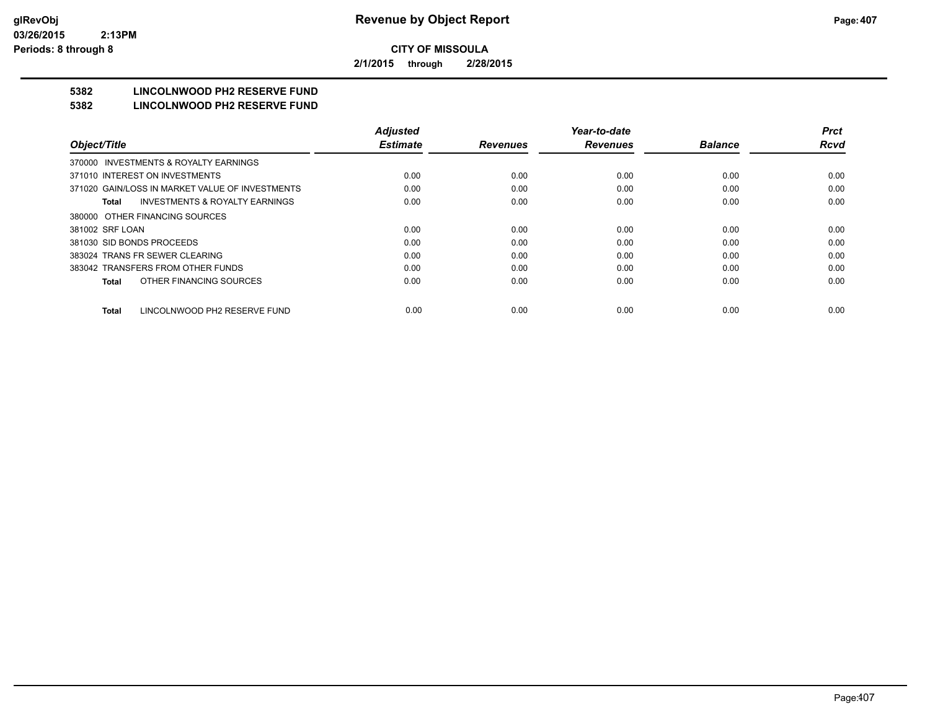**2/1/2015 through 2/28/2015**

## **5382 LINCOLNWOOD PH2 RESERVE FUND**

#### **5382 LINCOLNWOOD PH2 RESERVE FUND**

|                                                    | <b>Adjusted</b> |                 | Year-to-date    |                | <b>Prct</b> |
|----------------------------------------------------|-----------------|-----------------|-----------------|----------------|-------------|
| Object/Title                                       | <b>Estimate</b> | <b>Revenues</b> | <b>Revenues</b> | <b>Balance</b> | <b>Rcvd</b> |
| 370000 INVESTMENTS & ROYALTY EARNINGS              |                 |                 |                 |                |             |
| 371010 INTEREST ON INVESTMENTS                     | 0.00            | 0.00            | 0.00            | 0.00           | 0.00        |
| 371020 GAIN/LOSS IN MARKET VALUE OF INVESTMENTS    | 0.00            | 0.00            | 0.00            | 0.00           | 0.00        |
| <b>INVESTMENTS &amp; ROYALTY EARNINGS</b><br>Total | 0.00            | 0.00            | 0.00            | 0.00           | 0.00        |
| 380000 OTHER FINANCING SOURCES                     |                 |                 |                 |                |             |
| 381002 SRF LOAN                                    | 0.00            | 0.00            | 0.00            | 0.00           | 0.00        |
| 381030 SID BONDS PROCEEDS                          | 0.00            | 0.00            | 0.00            | 0.00           | 0.00        |
| 383024 TRANS FR SEWER CLEARING                     | 0.00            | 0.00            | 0.00            | 0.00           | 0.00        |
| 383042 TRANSFERS FROM OTHER FUNDS                  | 0.00            | 0.00            | 0.00            | 0.00           | 0.00        |
| OTHER FINANCING SOURCES<br><b>Total</b>            | 0.00            | 0.00            | 0.00            | 0.00           | 0.00        |
| LINCOLNWOOD PH2 RESERVE FUND<br><b>Total</b>       | 0.00            | 0.00            | 0.00            | 0.00           | 0.00        |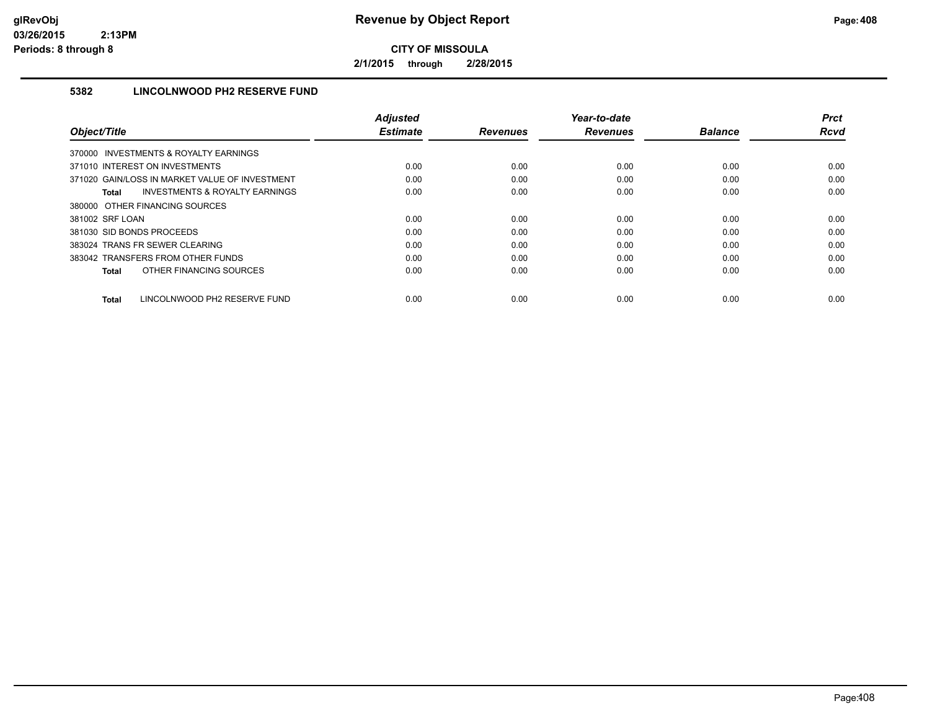**2/1/2015 through 2/28/2015**

#### **5382 LINCOLNWOOD PH2 RESERVE FUND**

|                                                    | <b>Adjusted</b> |                 | Year-to-date    |                | Prct        |
|----------------------------------------------------|-----------------|-----------------|-----------------|----------------|-------------|
| Object/Title                                       | <b>Estimate</b> | <b>Revenues</b> | <b>Revenues</b> | <b>Balance</b> | <b>Rcvd</b> |
| 370000 INVESTMENTS & ROYALTY EARNINGS              |                 |                 |                 |                |             |
| 371010 INTEREST ON INVESTMENTS                     | 0.00            | 0.00            | 0.00            | 0.00           | 0.00        |
| 371020 GAIN/LOSS IN MARKET VALUE OF INVESTMENT     | 0.00            | 0.00            | 0.00            | 0.00           | 0.00        |
| <b>INVESTMENTS &amp; ROYALTY EARNINGS</b><br>Total | 0.00            | 0.00            | 0.00            | 0.00           | 0.00        |
| 380000 OTHER FINANCING SOURCES                     |                 |                 |                 |                |             |
| 381002 SRF LOAN                                    | 0.00            | 0.00            | 0.00            | 0.00           | 0.00        |
| 381030 SID BONDS PROCEEDS                          | 0.00            | 0.00            | 0.00            | 0.00           | 0.00        |
| 383024 TRANS FR SEWER CLEARING                     | 0.00            | 0.00            | 0.00            | 0.00           | 0.00        |
| 383042 TRANSFERS FROM OTHER FUNDS                  | 0.00            | 0.00            | 0.00            | 0.00           | 0.00        |
| OTHER FINANCING SOURCES<br>Total                   | 0.00            | 0.00            | 0.00            | 0.00           | 0.00        |
|                                                    |                 |                 |                 |                |             |
| LINCOLNWOOD PH2 RESERVE FUND<br>Total              | 0.00            | 0.00            | 0.00            | 0.00           | 0.00        |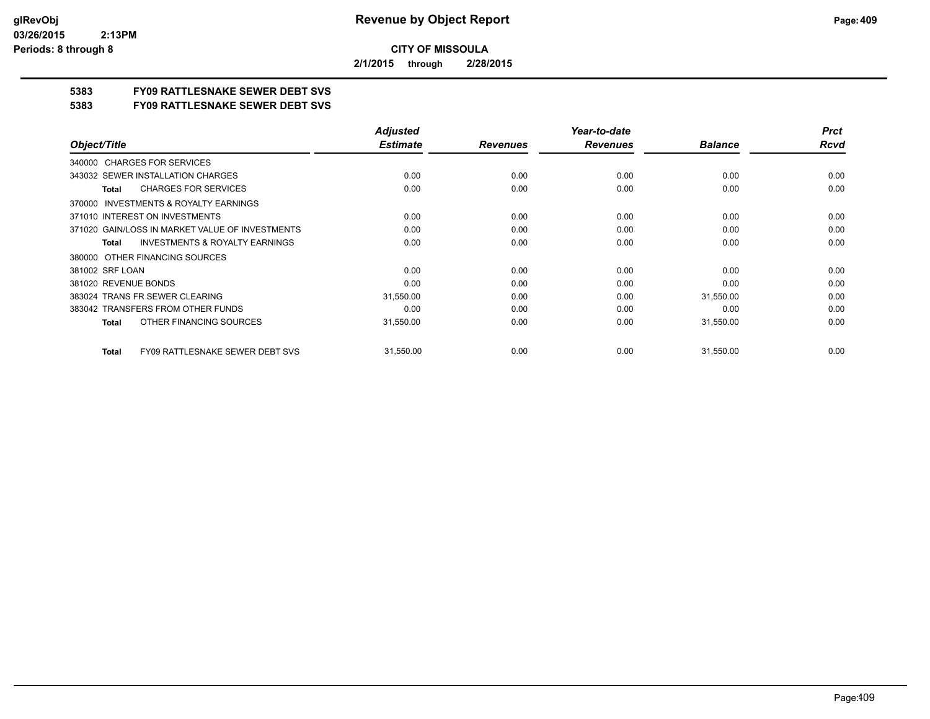**2/1/2015 through 2/28/2015**

## **5383 FY09 RATTLESNAKE SEWER DEBT SVS**

**5383 FY09 RATTLESNAKE SEWER DEBT SVS**

|                                                           | <b>Adjusted</b> |                 | Year-to-date    |                | <b>Prct</b> |
|-----------------------------------------------------------|-----------------|-----------------|-----------------|----------------|-------------|
| Object/Title                                              | <b>Estimate</b> | <b>Revenues</b> | <b>Revenues</b> | <b>Balance</b> | <b>Rcvd</b> |
| 340000 CHARGES FOR SERVICES                               |                 |                 |                 |                |             |
| 343032 SEWER INSTALLATION CHARGES                         | 0.00            | 0.00            | 0.00            | 0.00           | 0.00        |
| <b>CHARGES FOR SERVICES</b><br><b>Total</b>               | 0.00            | 0.00            | 0.00            | 0.00           | 0.00        |
| <b>INVESTMENTS &amp; ROYALTY EARNINGS</b><br>370000       |                 |                 |                 |                |             |
| 371010 INTEREST ON INVESTMENTS                            | 0.00            | 0.00            | 0.00            | 0.00           | 0.00        |
| 371020 GAIN/LOSS IN MARKET VALUE OF INVESTMENTS           | 0.00            | 0.00            | 0.00            | 0.00           | 0.00        |
| <b>INVESTMENTS &amp; ROYALTY EARNINGS</b><br><b>Total</b> | 0.00            | 0.00            | 0.00            | 0.00           | 0.00        |
| OTHER FINANCING SOURCES<br>380000                         |                 |                 |                 |                |             |
| 381002 SRF LOAN                                           | 0.00            | 0.00            | 0.00            | 0.00           | 0.00        |
| 381020 REVENUE BONDS                                      | 0.00            | 0.00            | 0.00            | 0.00           | 0.00        |
| 383024 TRANS FR SEWER CLEARING                            | 31,550.00       | 0.00            | 0.00            | 31,550.00      | 0.00        |
| 383042 TRANSFERS FROM OTHER FUNDS                         | 0.00            | 0.00            | 0.00            | 0.00           | 0.00        |
| OTHER FINANCING SOURCES<br><b>Total</b>                   | 31,550.00       | 0.00            | 0.00            | 31,550.00      | 0.00        |
| <b>FY09 RATTLESNAKE SEWER DEBT SVS</b><br><b>Total</b>    | 31,550.00       | 0.00            | 0.00            | 31,550.00      | 0.00        |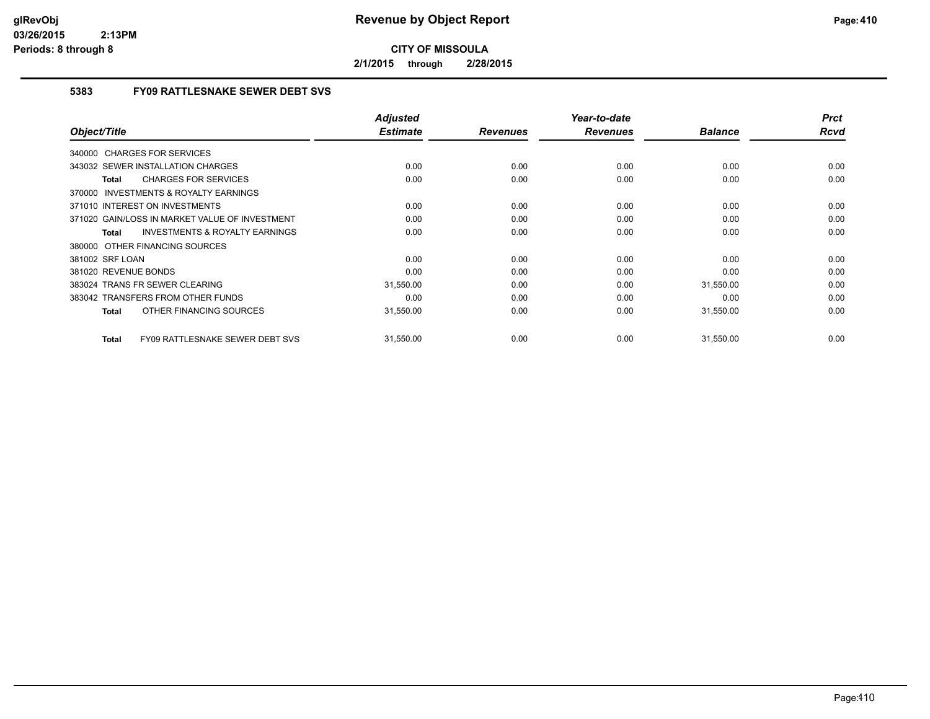**2/1/2015 through 2/28/2015**

#### **5383 FY09 RATTLESNAKE SEWER DEBT SVS**

| Object/Title                                              | <b>Adjusted</b><br><b>Estimate</b> | <b>Revenues</b> | Year-to-date<br><b>Revenues</b> | <b>Balance</b> | <b>Prct</b><br><b>Rcvd</b> |
|-----------------------------------------------------------|------------------------------------|-----------------|---------------------------------|----------------|----------------------------|
|                                                           |                                    |                 |                                 |                |                            |
| 340000 CHARGES FOR SERVICES                               |                                    |                 |                                 |                |                            |
| 343032 SEWER INSTALLATION CHARGES                         | 0.00                               | 0.00            | 0.00                            | 0.00           | 0.00                       |
| <b>CHARGES FOR SERVICES</b><br>Total                      | 0.00                               | 0.00            | 0.00                            | 0.00           | 0.00                       |
| <b>INVESTMENTS &amp; ROYALTY EARNINGS</b><br>370000       |                                    |                 |                                 |                |                            |
| 371010 INTEREST ON INVESTMENTS                            | 0.00                               | 0.00            | 0.00                            | 0.00           | 0.00                       |
| 371020 GAIN/LOSS IN MARKET VALUE OF INVESTMENT            | 0.00                               | 0.00            | 0.00                            | 0.00           | 0.00                       |
| <b>INVESTMENTS &amp; ROYALTY EARNINGS</b><br><b>Total</b> | 0.00                               | 0.00            | 0.00                            | 0.00           | 0.00                       |
| 380000 OTHER FINANCING SOURCES                            |                                    |                 |                                 |                |                            |
| 381002 SRF LOAN                                           | 0.00                               | 0.00            | 0.00                            | 0.00           | 0.00                       |
| 381020 REVENUE BONDS                                      | 0.00                               | 0.00            | 0.00                            | 0.00           | 0.00                       |
| 383024 TRANS FR SEWER CLEARING                            | 31,550.00                          | 0.00            | 0.00                            | 31,550.00      | 0.00                       |
| 383042 TRANSFERS FROM OTHER FUNDS                         | 0.00                               | 0.00            | 0.00                            | 0.00           | 0.00                       |
| OTHER FINANCING SOURCES<br><b>Total</b>                   | 31,550.00                          | 0.00            | 0.00                            | 31,550.00      | 0.00                       |
|                                                           |                                    |                 |                                 |                |                            |
| <b>FY09 RATTLESNAKE SEWER DEBT SVS</b><br><b>Total</b>    | 31,550.00                          | 0.00            | 0.00                            | 31,550.00      | 0.00                       |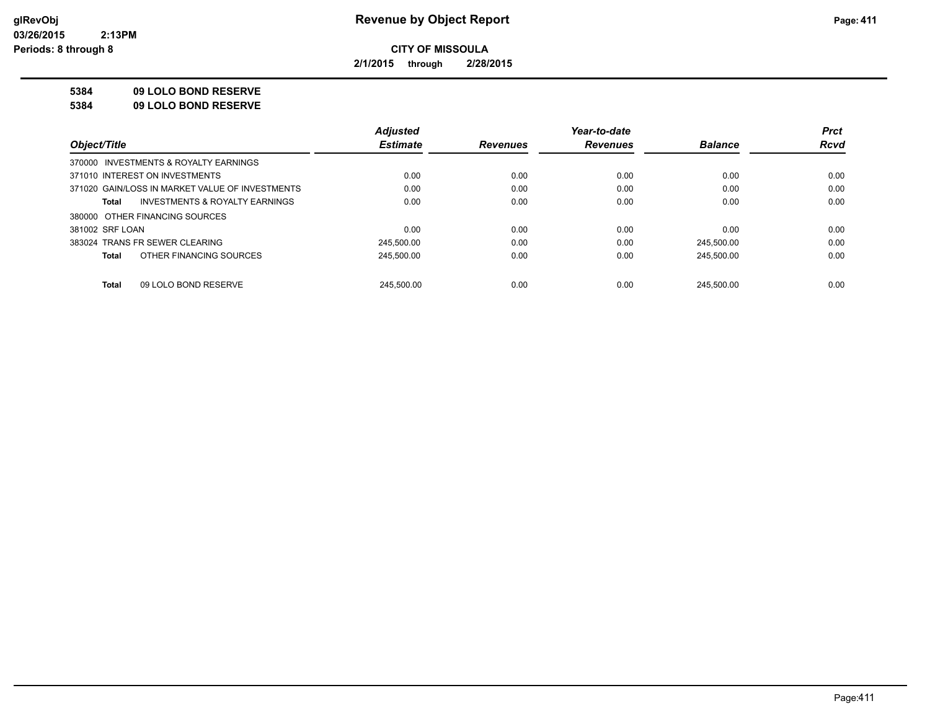**2/1/2015 through 2/28/2015**

#### **5384 09 LOLO BOND RESERVE**

**5384 09 LOLO BOND RESERVE**

|                                                    | <b>Adjusted</b> |                 | Year-to-date    |                | <b>Prct</b> |
|----------------------------------------------------|-----------------|-----------------|-----------------|----------------|-------------|
| Object/Title                                       | <b>Estimate</b> | <b>Revenues</b> | <b>Revenues</b> | <b>Balance</b> | <b>Rcvd</b> |
| 370000 INVESTMENTS & ROYALTY EARNINGS              |                 |                 |                 |                |             |
| 371010 INTEREST ON INVESTMENTS                     | 0.00            | 0.00            | 0.00            | 0.00           | 0.00        |
| 371020 GAIN/LOSS IN MARKET VALUE OF INVESTMENTS    | 0.00            | 0.00            | 0.00            | 0.00           | 0.00        |
| <b>INVESTMENTS &amp; ROYALTY EARNINGS</b><br>Total | 0.00            | 0.00            | 0.00            | 0.00           | 0.00        |
| 380000 OTHER FINANCING SOURCES                     |                 |                 |                 |                |             |
| 381002 SRF LOAN                                    | 0.00            | 0.00            | 0.00            | 0.00           | 0.00        |
| 383024 TRANS FR SEWER CLEARING                     | 245,500.00      | 0.00            | 0.00            | 245,500.00     | 0.00        |
| OTHER FINANCING SOURCES<br>Total                   | 245,500.00      | 0.00            | 0.00            | 245.500.00     | 0.00        |
|                                                    |                 |                 |                 |                |             |
| 09 LOLO BOND RESERVE<br>Total                      | 245.500.00      | 0.00            | 0.00            | 245.500.00     | 0.00        |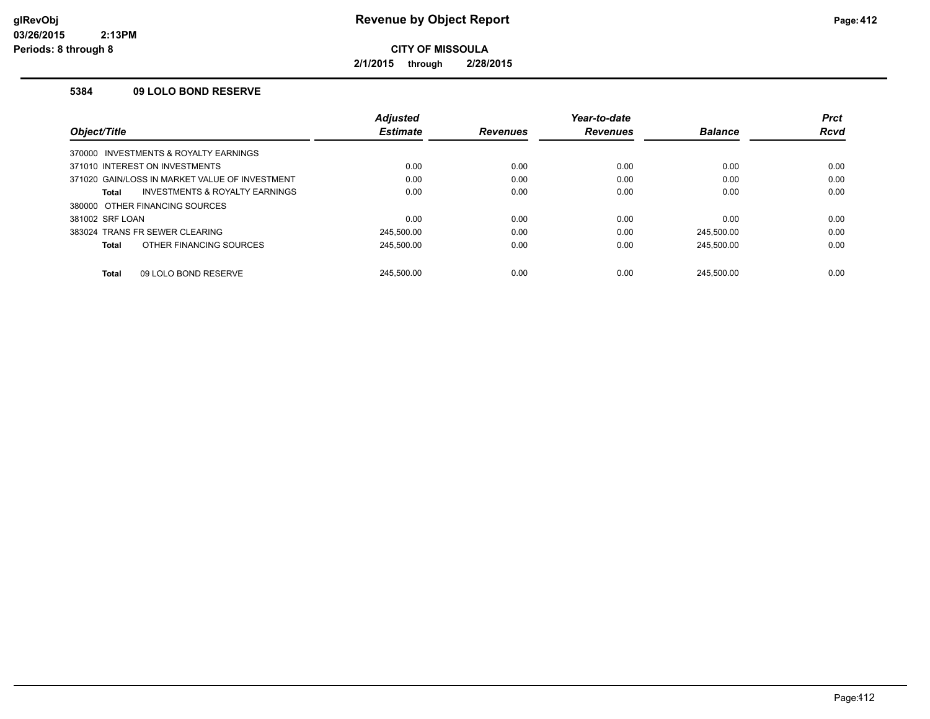**2/1/2015 through 2/28/2015**

#### **5384 09 LOLO BOND RESERVE**

|                                                           | <b>Adjusted</b> |                 | Year-to-date    |                | <b>Prct</b> |
|-----------------------------------------------------------|-----------------|-----------------|-----------------|----------------|-------------|
| Object/Title                                              | <b>Estimate</b> | <b>Revenues</b> | <b>Revenues</b> | <b>Balance</b> | <b>Rcvd</b> |
| 370000 INVESTMENTS & ROYALTY EARNINGS                     |                 |                 |                 |                |             |
| 371010 INTEREST ON INVESTMENTS                            | 0.00            | 0.00            | 0.00            | 0.00           | 0.00        |
| 371020 GAIN/LOSS IN MARKET VALUE OF INVESTMENT            | 0.00            | 0.00            | 0.00            | 0.00           | 0.00        |
| <b>INVESTMENTS &amp; ROYALTY EARNINGS</b><br><b>Total</b> | 0.00            | 0.00            | 0.00            | 0.00           | 0.00        |
| 380000 OTHER FINANCING SOURCES                            |                 |                 |                 |                |             |
| 381002 SRF LOAN                                           | 0.00            | 0.00            | 0.00            | 0.00           | 0.00        |
| 383024 TRANS FR SEWER CLEARING                            | 245.500.00      | 0.00            | 0.00            | 245.500.00     | 0.00        |
| OTHER FINANCING SOURCES<br><b>Total</b>                   | 245.500.00      | 0.00            | 0.00            | 245.500.00     | 0.00        |
| 09 LOLO BOND RESERVE<br><b>Total</b>                      | 245.500.00      | 0.00            | 0.00            | 245.500.00     | 0.00        |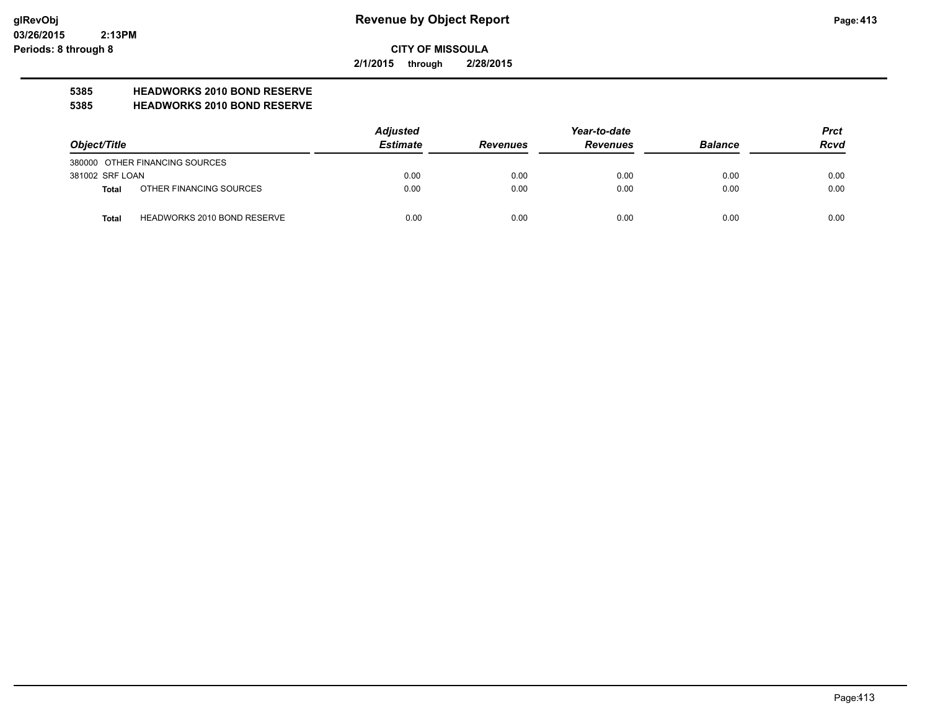**2/1/2015 through 2/28/2015**

## **5385 HEADWORKS 2010 BOND RESERVE**

#### **5385 HEADWORKS 2010 BOND RESERVE**

|                 |                                    | <b>Adjusted</b> |                 | <b>Prct</b>     |                |             |
|-----------------|------------------------------------|-----------------|-----------------|-----------------|----------------|-------------|
| Object/Title    |                                    | <b>Estimate</b> | <b>Revenues</b> | <b>Revenues</b> | <b>Balance</b> | <b>Rcvd</b> |
|                 | 380000 OTHER FINANCING SOURCES     |                 |                 |                 |                |             |
| 381002 SRF LOAN |                                    | 0.00            | 0.00            | 0.00            | 0.00           | 0.00        |
| <b>Total</b>    | OTHER FINANCING SOURCES            | 0.00            | 0.00            | 0.00            | 0.00           | 0.00        |
| <b>Total</b>    | <b>HEADWORKS 2010 BOND RESERVE</b> | 0.00            | 0.00            | 0.00            | 0.00           | 0.00        |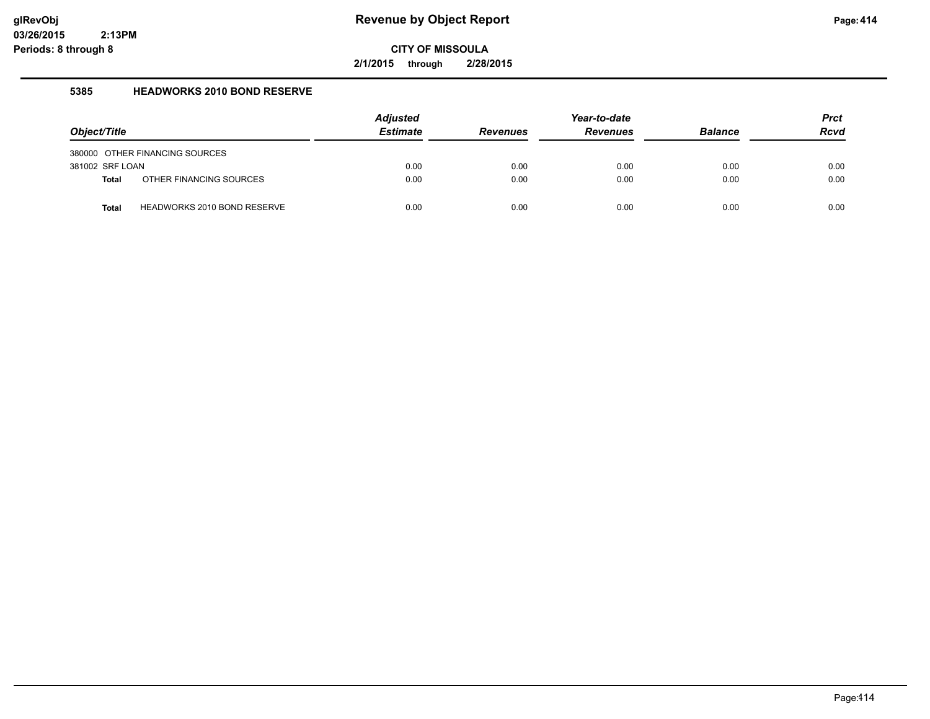**2/1/2015 through 2/28/2015**

#### **5385 HEADWORKS 2010 BOND RESERVE**

| Object/Title    |                                    | <b>Adjusted</b><br><b>Estimate</b> | <b>Revenues</b> | Year-to-date<br><b>Revenues</b> | <b>Balance</b> | <b>Prct</b><br><b>Rcvd</b> |
|-----------------|------------------------------------|------------------------------------|-----------------|---------------------------------|----------------|----------------------------|
|                 | 380000 OTHER FINANCING SOURCES     |                                    |                 |                                 |                |                            |
| 381002 SRF LOAN |                                    | 0.00                               | 0.00            | 0.00                            | 0.00           | 0.00                       |
| <b>Total</b>    | OTHER FINANCING SOURCES            | 0.00                               | 0.00            | 0.00                            | 0.00           | 0.00                       |
| <b>Total</b>    | <b>HEADWORKS 2010 BOND RESERVE</b> | 0.00                               | 0.00            | 0.00                            | 0.00           | 0.00                       |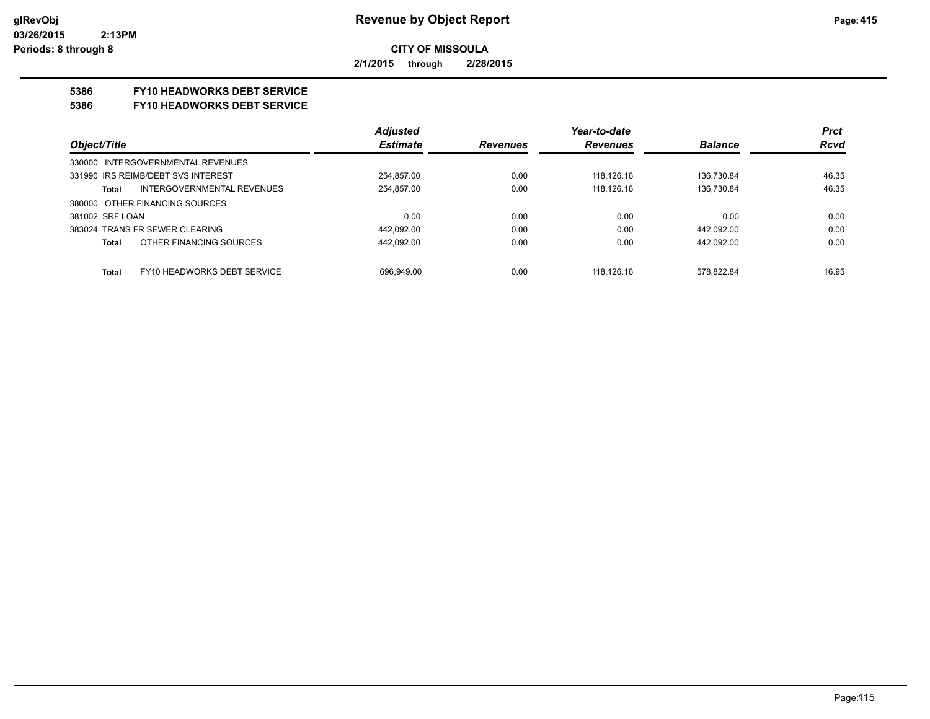**2/1/2015 through 2/28/2015**

#### **5386 FY10 HEADWORKS DEBT SERVICE**

#### **5386 FY10 HEADWORKS DEBT SERVICE**

|                                             | <b>Adjusted</b> |                 | Year-to-date    |                | <b>Prct</b> |
|---------------------------------------------|-----------------|-----------------|-----------------|----------------|-------------|
| Object/Title                                | <b>Estimate</b> | <b>Revenues</b> | <b>Revenues</b> | <b>Balance</b> | <b>Rcvd</b> |
| 330000 INTERGOVERNMENTAL REVENUES           |                 |                 |                 |                |             |
| 331990 IRS REIMB/DEBT SVS INTEREST          | 254.857.00      | 0.00            | 118.126.16      | 136.730.84     | 46.35       |
| <b>INTERGOVERNMENTAL REVENUES</b><br>Total  | 254,857.00      | 0.00            | 118.126.16      | 136.730.84     | 46.35       |
| 380000 OTHER FINANCING SOURCES              |                 |                 |                 |                |             |
| 381002 SRF LOAN                             | 0.00            | 0.00            | 0.00            | 0.00           | 0.00        |
| 383024 TRANS FR SEWER CLEARING              | 442.092.00      | 0.00            | 0.00            | 442,092.00     | 0.00        |
| OTHER FINANCING SOURCES<br>Total            | 442.092.00      | 0.00            | 0.00            | 442.092.00     | 0.00        |
|                                             |                 |                 |                 |                |             |
| FY10 HEADWORKS DEBT SERVICE<br><b>Total</b> | 696.949.00      | 0.00            | 118.126.16      | 578.822.84     | 16.95       |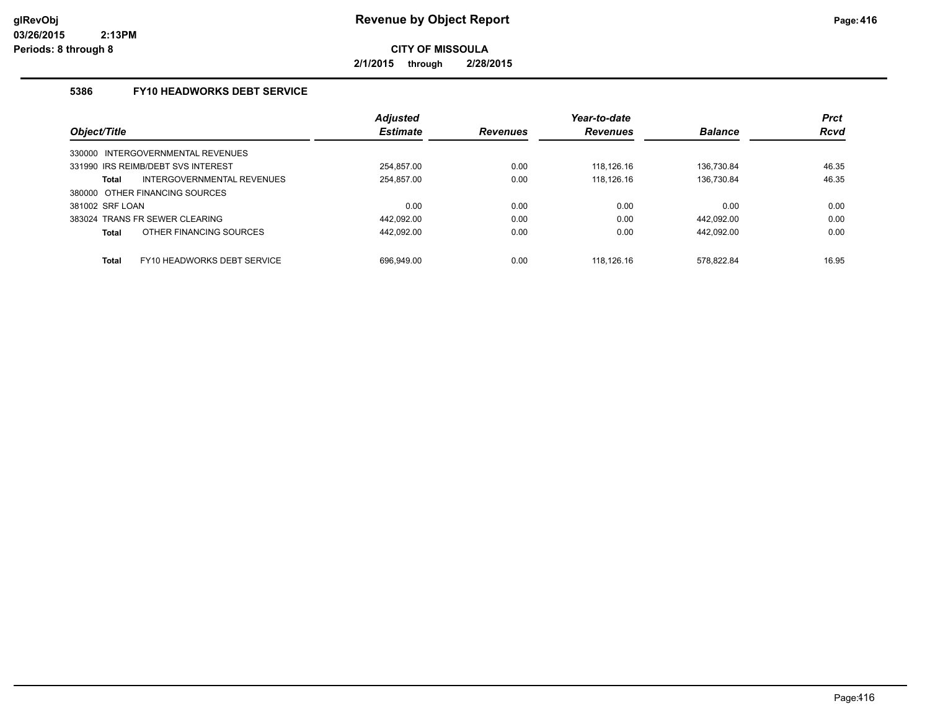**2/1/2015 through 2/28/2015**

#### **5386 FY10 HEADWORKS DEBT SERVICE**

|                 |                                    | <b>Adjusted</b> |                 | Year-to-date    |                | <b>Prct</b> |
|-----------------|------------------------------------|-----------------|-----------------|-----------------|----------------|-------------|
| Object/Title    |                                    | <b>Estimate</b> | <b>Revenues</b> | <b>Revenues</b> | <b>Balance</b> | <b>Rcvd</b> |
|                 | 330000 INTERGOVERNMENTAL REVENUES  |                 |                 |                 |                |             |
|                 | 331990 IRS REIMB/DEBT SVS INTEREST | 254.857.00      | 0.00            | 118.126.16      | 136.730.84     | 46.35       |
| Total           | INTERGOVERNMENTAL REVENUES         | 254.857.00      | 0.00            | 118.126.16      | 136.730.84     | 46.35       |
|                 | 380000 OTHER FINANCING SOURCES     |                 |                 |                 |                |             |
| 381002 SRF LOAN |                                    | 0.00            | 0.00            | 0.00            | 0.00           | 0.00        |
|                 | 383024 TRANS FR SEWER CLEARING     | 442.092.00      | 0.00            | 0.00            | 442.092.00     | 0.00        |
| <b>Total</b>    | OTHER FINANCING SOURCES            | 442.092.00      | 0.00            | 0.00            | 442.092.00     | 0.00        |
|                 |                                    |                 |                 |                 |                |             |
| <b>Total</b>    | FY10 HEADWORKS DEBT SERVICE        | 696.949.00      | 0.00            | 118.126.16      | 578.822.84     | 16.95       |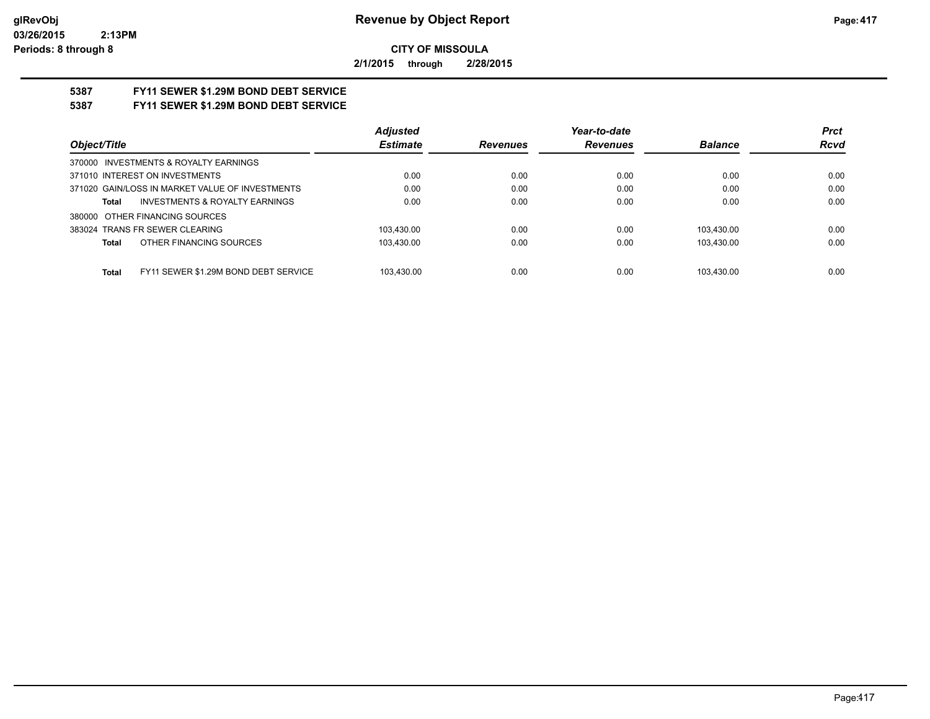**2/1/2015 through 2/28/2015**

# **5387 FY11 SEWER \$1.29M BOND DEBT SERVICE**

## **5387 FY11 SEWER \$1.29M BOND DEBT SERVICE**

|                                                      | <b>Adjusted</b> |                 | Year-to-date    |                | <b>Prct</b> |
|------------------------------------------------------|-----------------|-----------------|-----------------|----------------|-------------|
| Object/Title                                         | <b>Estimate</b> | <b>Revenues</b> | <b>Revenues</b> | <b>Balance</b> | <b>Rcvd</b> |
| 370000 INVESTMENTS & ROYALTY EARNINGS                |                 |                 |                 |                |             |
| 371010 INTEREST ON INVESTMENTS                       | 0.00            | 0.00            | 0.00            | 0.00           | 0.00        |
| 371020 GAIN/LOSS IN MARKET VALUE OF INVESTMENTS      | 0.00            | 0.00            | 0.00            | 0.00           | 0.00        |
| <b>INVESTMENTS &amp; ROYALTY EARNINGS</b><br>Total   | 0.00            | 0.00            | 0.00            | 0.00           | 0.00        |
| 380000 OTHER FINANCING SOURCES                       |                 |                 |                 |                |             |
| 383024 TRANS FR SEWER CLEARING                       | 103.430.00      | 0.00            | 0.00            | 103.430.00     | 0.00        |
| OTHER FINANCING SOURCES<br>Total                     | 103.430.00      | 0.00            | 0.00            | 103.430.00     | 0.00        |
|                                                      |                 |                 |                 |                |             |
| FY11 SEWER \$1.29M BOND DEBT SERVICE<br><b>Total</b> | 103.430.00      | 0.00            | 0.00            | 103.430.00     | 0.00        |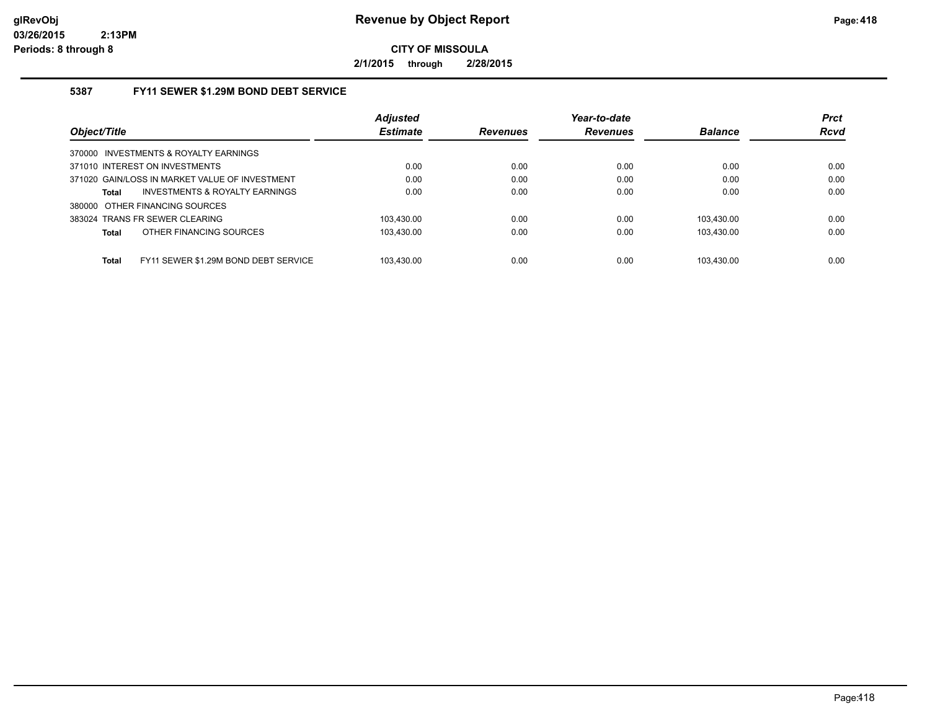**2/1/2015 through 2/28/2015**

#### **5387 FY11 SEWER \$1.29M BOND DEBT SERVICE**

|                                                      | <b>Adjusted</b> |                 | Year-to-date    |                | <b>Prct</b> |
|------------------------------------------------------|-----------------|-----------------|-----------------|----------------|-------------|
| Object/Title                                         | <b>Estimate</b> | <b>Revenues</b> | <b>Revenues</b> | <b>Balance</b> | <b>Rcvd</b> |
| 370000 INVESTMENTS & ROYALTY EARNINGS                |                 |                 |                 |                |             |
| 371010 INTEREST ON INVESTMENTS                       | 0.00            | 0.00            | 0.00            | 0.00           | 0.00        |
| 371020 GAIN/LOSS IN MARKET VALUE OF INVESTMENT       | 0.00            | 0.00            | 0.00            | 0.00           | 0.00        |
| INVESTMENTS & ROYALTY EARNINGS<br>Total              | 0.00            | 0.00            | 0.00            | 0.00           | 0.00        |
| 380000 OTHER FINANCING SOURCES                       |                 |                 |                 |                |             |
| 383024 TRANS FR SEWER CLEARING                       | 103.430.00      | 0.00            | 0.00            | 103.430.00     | 0.00        |
| OTHER FINANCING SOURCES<br><b>Total</b>              | 103.430.00      | 0.00            | 0.00            | 103.430.00     | 0.00        |
|                                                      |                 |                 |                 |                |             |
| <b>Total</b><br>FY11 SEWER \$1.29M BOND DEBT SERVICE | 103.430.00      | 0.00            | 0.00            | 103.430.00     | 0.00        |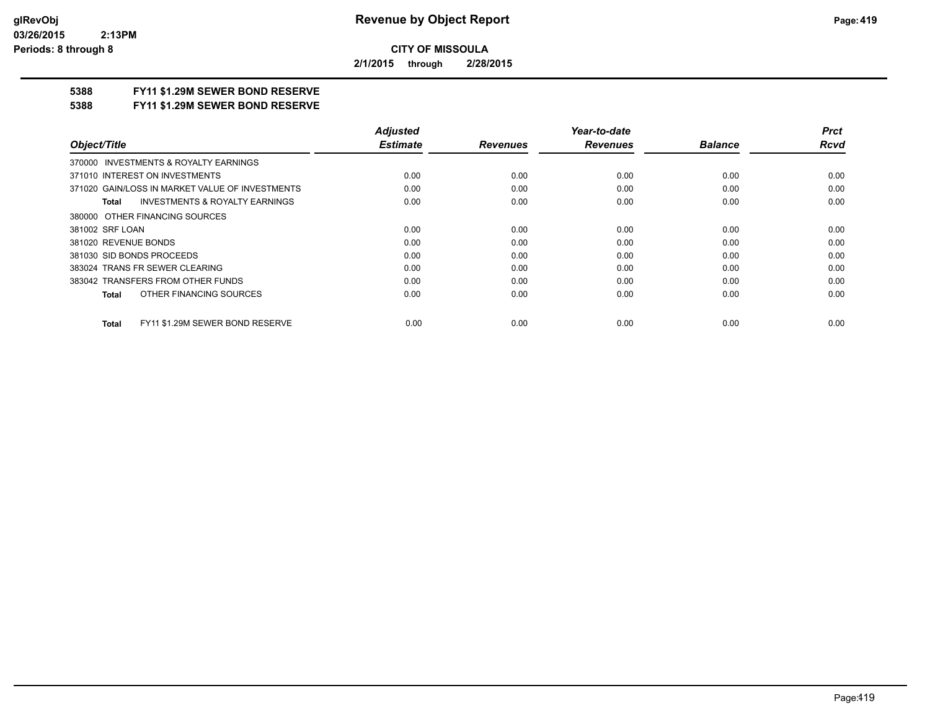**2/1/2015 through 2/28/2015**

#### **5388 FY11 \$1.29M SEWER BOND RESERVE**

**5388 FY11 \$1.29M SEWER BOND RESERVE**

|                                                           | <b>Adjusted</b> |                 | Year-to-date    |                | <b>Prct</b> |
|-----------------------------------------------------------|-----------------|-----------------|-----------------|----------------|-------------|
| Object/Title                                              | <b>Estimate</b> | <b>Revenues</b> | <b>Revenues</b> | <b>Balance</b> | <b>Rcvd</b> |
| INVESTMENTS & ROYALTY EARNINGS<br>370000                  |                 |                 |                 |                |             |
| 371010 INTEREST ON INVESTMENTS                            | 0.00            | 0.00            | 0.00            | 0.00           | 0.00        |
| 371020 GAIN/LOSS IN MARKET VALUE OF INVESTMENTS           | 0.00            | 0.00            | 0.00            | 0.00           | 0.00        |
| <b>INVESTMENTS &amp; ROYALTY EARNINGS</b><br><b>Total</b> | 0.00            | 0.00            | 0.00            | 0.00           | 0.00        |
| 380000 OTHER FINANCING SOURCES                            |                 |                 |                 |                |             |
| 381002 SRF LOAN                                           | 0.00            | 0.00            | 0.00            | 0.00           | 0.00        |
| 381020 REVENUE BONDS                                      | 0.00            | 0.00            | 0.00            | 0.00           | 0.00        |
| 381030 SID BONDS PROCEEDS                                 | 0.00            | 0.00            | 0.00            | 0.00           | 0.00        |
| 383024 TRANS FR SEWER CLEARING                            | 0.00            | 0.00            | 0.00            | 0.00           | 0.00        |
| 383042 TRANSFERS FROM OTHER FUNDS                         | 0.00            | 0.00            | 0.00            | 0.00           | 0.00        |
| OTHER FINANCING SOURCES<br><b>Total</b>                   | 0.00            | 0.00            | 0.00            | 0.00           | 0.00        |
| FY11 \$1.29M SEWER BOND RESERVE<br>Total                  | 0.00            | 0.00            | 0.00            | 0.00           | 0.00        |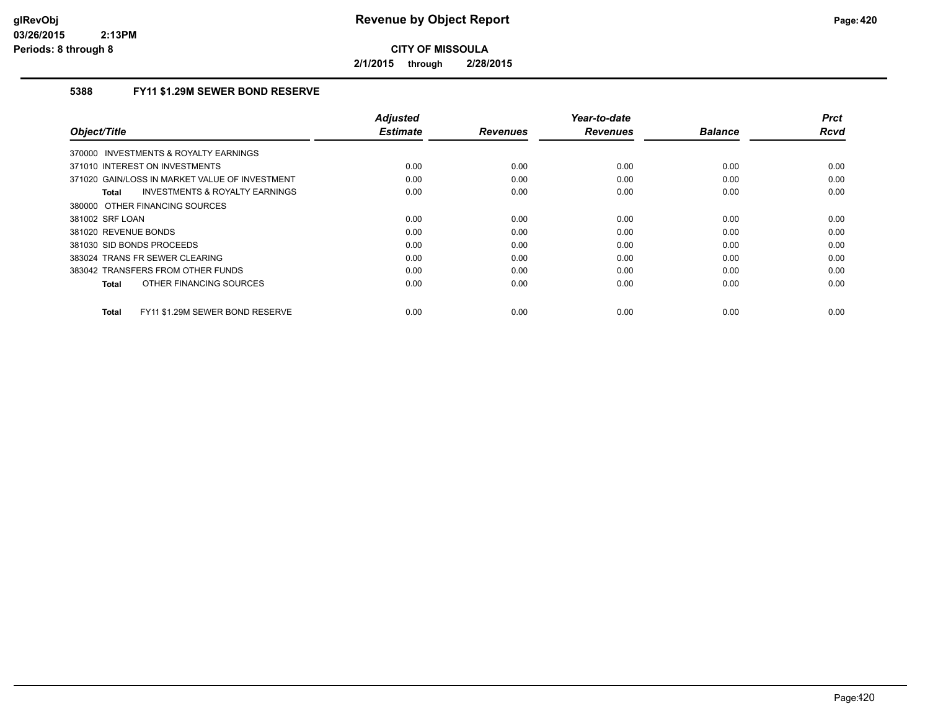**2/1/2015 through 2/28/2015**

#### **5388 FY11 \$1.29M SEWER BOND RESERVE**

|                                                           | <b>Adjusted</b> |                 | Year-to-date    |                | <b>Prct</b> |
|-----------------------------------------------------------|-----------------|-----------------|-----------------|----------------|-------------|
| Object/Title                                              | <b>Estimate</b> | <b>Revenues</b> | <b>Revenues</b> | <b>Balance</b> | <b>Rcvd</b> |
| 370000 INVESTMENTS & ROYALTY EARNINGS                     |                 |                 |                 |                |             |
| 371010 INTEREST ON INVESTMENTS                            | 0.00            | 0.00            | 0.00            | 0.00           | 0.00        |
| 371020 GAIN/LOSS IN MARKET VALUE OF INVESTMENT            | 0.00            | 0.00            | 0.00            | 0.00           | 0.00        |
| <b>INVESTMENTS &amp; ROYALTY EARNINGS</b><br><b>Total</b> | 0.00            | 0.00            | 0.00            | 0.00           | 0.00        |
| 380000 OTHER FINANCING SOURCES                            |                 |                 |                 |                |             |
| 381002 SRF LOAN                                           | 0.00            | 0.00            | 0.00            | 0.00           | 0.00        |
| 381020 REVENUE BONDS                                      | 0.00            | 0.00            | 0.00            | 0.00           | 0.00        |
| 381030 SID BONDS PROCEEDS                                 | 0.00            | 0.00            | 0.00            | 0.00           | 0.00        |
| 383024 TRANS FR SEWER CLEARING                            | 0.00            | 0.00            | 0.00            | 0.00           | 0.00        |
| 383042 TRANSFERS FROM OTHER FUNDS                         | 0.00            | 0.00            | 0.00            | 0.00           | 0.00        |
| OTHER FINANCING SOURCES<br><b>Total</b>                   | 0.00            | 0.00            | 0.00            | 0.00           | 0.00        |
| FY11 \$1.29M SEWER BOND RESERVE<br><b>Total</b>           | 0.00            | 0.00            | 0.00            | 0.00           | 0.00        |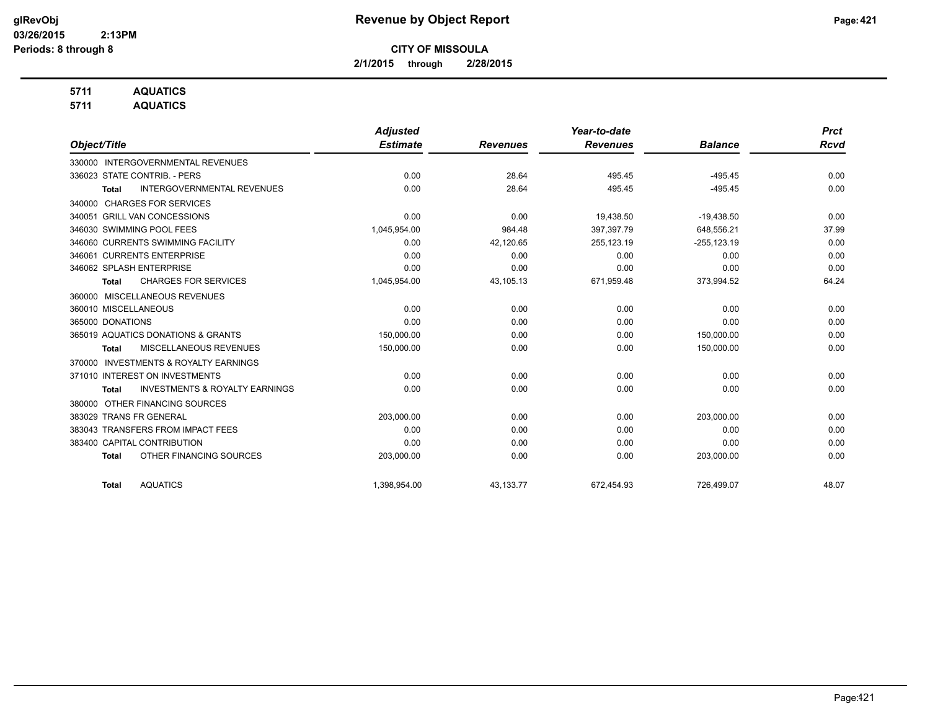**2/1/2015 through 2/28/2015**

## **5711 AQUATICS**

**5711 AQUATICS**

|                                                           | <b>Adjusted</b> |                 | Year-to-date    |                | <b>Prct</b> |
|-----------------------------------------------------------|-----------------|-----------------|-----------------|----------------|-------------|
| Object/Title                                              | <b>Estimate</b> | <b>Revenues</b> | <b>Revenues</b> | <b>Balance</b> | <b>Rcvd</b> |
| <b>INTERGOVERNMENTAL REVENUES</b><br>330000               |                 |                 |                 |                |             |
| 336023 STATE CONTRIB. - PERS                              | 0.00            | 28.64           | 495.45          | $-495.45$      | 0.00        |
| <b>INTERGOVERNMENTAL REVENUES</b><br><b>Total</b>         | 0.00            | 28.64           | 495.45          | $-495.45$      | 0.00        |
| <b>CHARGES FOR SERVICES</b><br>340000                     |                 |                 |                 |                |             |
| 340051 GRILL VAN CONCESSIONS                              | 0.00            | 0.00            | 19,438.50       | $-19,438.50$   | 0.00        |
| 346030 SWIMMING POOL FEES                                 | 1,045,954.00    | 984.48          | 397.397.79      | 648.556.21     | 37.99       |
| 346060 CURRENTS SWIMMING FACILITY                         | 0.00            | 42,120.65       | 255,123.19      | $-255, 123.19$ | 0.00        |
| 346061 CURRENTS ENTERPRISE                                | 0.00            | 0.00            | 0.00            | 0.00           | 0.00        |
| 346062 SPLASH ENTERPRISE                                  | 0.00            | 0.00            | 0.00            | 0.00           | 0.00        |
| <b>CHARGES FOR SERVICES</b><br><b>Total</b>               | 1,045,954.00    | 43,105.13       | 671,959.48      | 373,994.52     | 64.24       |
| 360000 MISCELLANEOUS REVENUES                             |                 |                 |                 |                |             |
| 360010 MISCELLANEOUS                                      | 0.00            | 0.00            | 0.00            | 0.00           | 0.00        |
| 365000 DONATIONS                                          | 0.00            | 0.00            | 0.00            | 0.00           | 0.00        |
| 365019 AQUATICS DONATIONS & GRANTS                        | 150,000.00      | 0.00            | 0.00            | 150,000.00     | 0.00        |
| MISCELLANEOUS REVENUES<br><b>Total</b>                    | 150,000.00      | 0.00            | 0.00            | 150,000.00     | 0.00        |
| <b>INVESTMENTS &amp; ROYALTY EARNINGS</b><br>370000       |                 |                 |                 |                |             |
| 371010 INTEREST ON INVESTMENTS                            | 0.00            | 0.00            | 0.00            | 0.00           | 0.00        |
| <b>INVESTMENTS &amp; ROYALTY EARNINGS</b><br><b>Total</b> | 0.00            | 0.00            | 0.00            | 0.00           | 0.00        |
| OTHER FINANCING SOURCES<br>380000                         |                 |                 |                 |                |             |
| 383029 TRANS FR GENERAL                                   | 203.000.00      | 0.00            | 0.00            | 203,000.00     | 0.00        |
| 383043 TRANSFERS FROM IMPACT FEES                         | 0.00            | 0.00            | 0.00            | 0.00           | 0.00        |
| 383400 CAPITAL CONTRIBUTION                               | 0.00            | 0.00            | 0.00            | 0.00           | 0.00        |
| OTHER FINANCING SOURCES<br><b>Total</b>                   | 203,000.00      | 0.00            | 0.00            | 203,000.00     | 0.00        |
| <b>AQUATICS</b><br><b>Total</b>                           | 1,398,954.00    | 43,133.77       | 672,454.93      | 726,499.07     | 48.07       |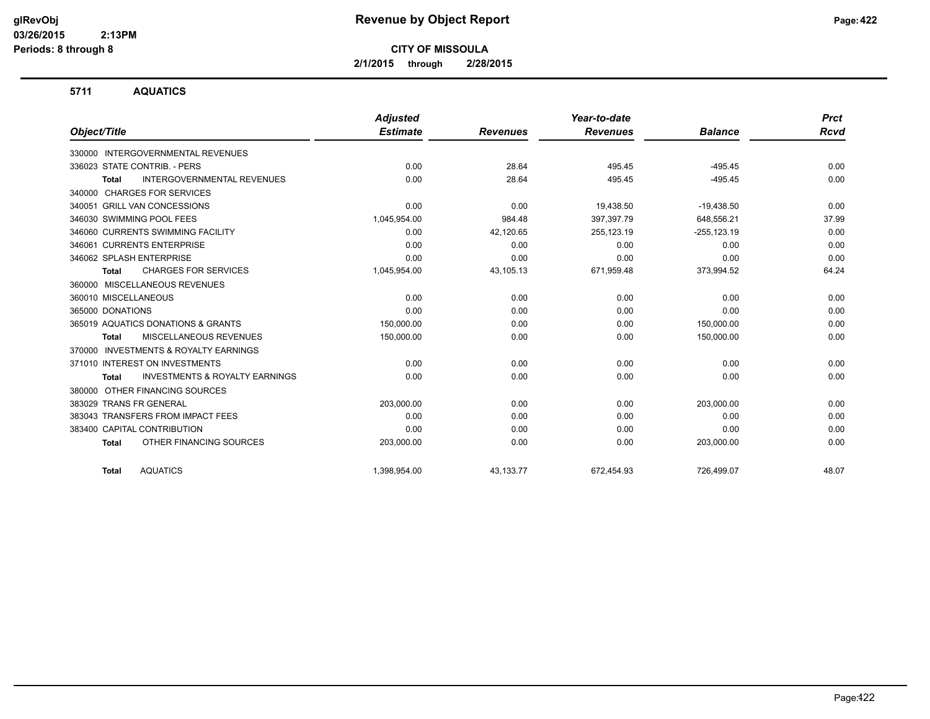**2/1/2015 through 2/28/2015**

#### **5711 AQUATICS**

|                                                           | Adjusted        |                 | Year-to-date    |                | <b>Prct</b> |
|-----------------------------------------------------------|-----------------|-----------------|-----------------|----------------|-------------|
| Object/Title                                              | <b>Estimate</b> | <b>Revenues</b> | <b>Revenues</b> | <b>Balance</b> | <b>Rcvd</b> |
| <b>INTERGOVERNMENTAL REVENUES</b><br>330000               |                 |                 |                 |                |             |
| 336023 STATE CONTRIB. - PERS                              | 0.00            | 28.64           | 495.45          | $-495.45$      | 0.00        |
| INTERGOVERNMENTAL REVENUES<br><b>Total</b>                | 0.00            | 28.64           | 495.45          | $-495.45$      | 0.00        |
| 340000 CHARGES FOR SERVICES                               |                 |                 |                 |                |             |
| 340051 GRILL VAN CONCESSIONS                              | 0.00            | 0.00            | 19,438.50       | $-19,438.50$   | 0.00        |
| 346030 SWIMMING POOL FEES                                 | 1,045,954.00    | 984.48          | 397,397.79      | 648,556.21     | 37.99       |
| 346060 CURRENTS SWIMMING FACILITY                         | 0.00            | 42,120.65       | 255,123.19      | $-255, 123.19$ | 0.00        |
| 346061 CURRENTS ENTERPRISE                                | 0.00            | 0.00            | 0.00            | 0.00           | 0.00        |
| 346062 SPLASH ENTERPRISE                                  | 0.00            | 0.00            | 0.00            | 0.00           | 0.00        |
| <b>CHARGES FOR SERVICES</b><br><b>Total</b>               | 1,045,954.00    | 43,105.13       | 671,959.48      | 373,994.52     | 64.24       |
| 360000 MISCELLANEOUS REVENUES                             |                 |                 |                 |                |             |
| 360010 MISCELLANEOUS                                      | 0.00            | 0.00            | 0.00            | 0.00           | 0.00        |
| 365000 DONATIONS                                          | 0.00            | 0.00            | 0.00            | 0.00           | 0.00        |
| 365019 AQUATICS DONATIONS & GRANTS                        | 150.000.00      | 0.00            | 0.00            | 150,000.00     | 0.00        |
| MISCELLANEOUS REVENUES<br><b>Total</b>                    | 150,000.00      | 0.00            | 0.00            | 150,000.00     | 0.00        |
| <b>INVESTMENTS &amp; ROYALTY EARNINGS</b><br>370000       |                 |                 |                 |                |             |
| 371010 INTEREST ON INVESTMENTS                            | 0.00            | 0.00            | 0.00            | 0.00           | 0.00        |
| <b>INVESTMENTS &amp; ROYALTY EARNINGS</b><br><b>Total</b> | 0.00            | 0.00            | 0.00            | 0.00           | 0.00        |
| OTHER FINANCING SOURCES<br>380000                         |                 |                 |                 |                |             |
| 383029 TRANS FR GENERAL                                   | 203,000.00      | 0.00            | 0.00            | 203,000.00     | 0.00        |
| 383043 TRANSFERS FROM IMPACT FEES                         | 0.00            | 0.00            | 0.00            | 0.00           | 0.00        |
| 383400 CAPITAL CONTRIBUTION                               | 0.00            | 0.00            | 0.00            | 0.00           | 0.00        |
| OTHER FINANCING SOURCES<br><b>Total</b>                   | 203,000.00      | 0.00            | 0.00            | 203,000.00     | 0.00        |
| <b>AQUATICS</b><br><b>Total</b>                           | 1.398.954.00    | 43,133.77       | 672.454.93      | 726.499.07     | 48.07       |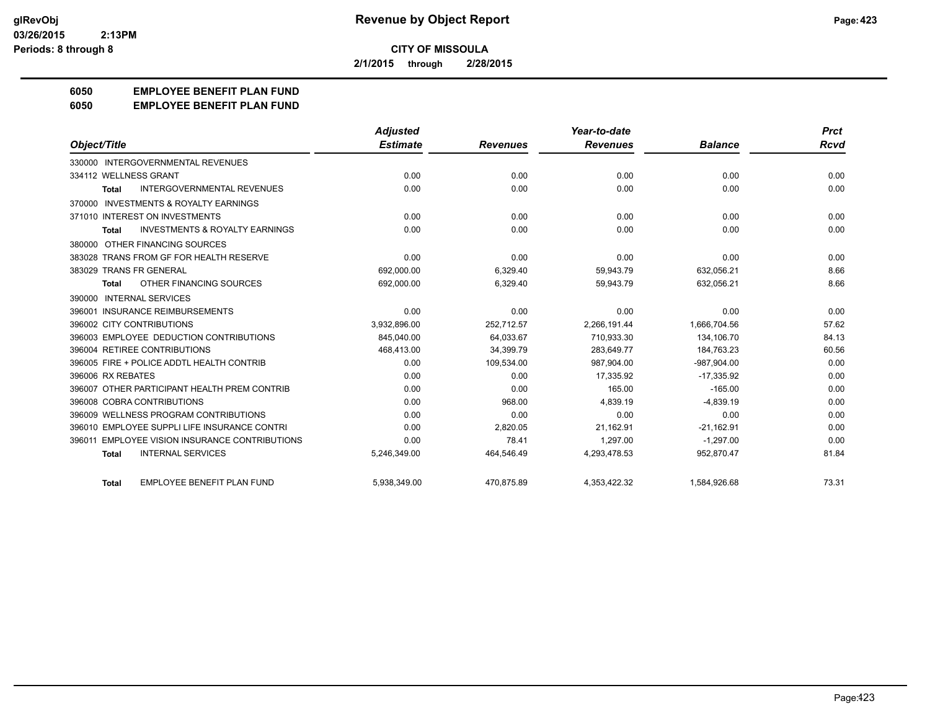**2/1/2015 through 2/28/2015**

## **6050 EMPLOYEE BENEFIT PLAN FUND**

#### **6050 EMPLOYEE BENEFIT PLAN FUND**

|                                                           | <b>Adjusted</b> |                 | Year-to-date    |                | <b>Prct</b> |
|-----------------------------------------------------------|-----------------|-----------------|-----------------|----------------|-------------|
| Object/Title                                              | <b>Estimate</b> | <b>Revenues</b> | <b>Revenues</b> | <b>Balance</b> | <b>Rcvd</b> |
| 330000 INTERGOVERNMENTAL REVENUES                         |                 |                 |                 |                |             |
| 334112 WELLNESS GRANT                                     | 0.00            | 0.00            | 0.00            | 0.00           | 0.00        |
| <b>INTERGOVERNMENTAL REVENUES</b><br><b>Total</b>         | 0.00            | 0.00            | 0.00            | 0.00           | 0.00        |
| 370000 INVESTMENTS & ROYALTY EARNINGS                     |                 |                 |                 |                |             |
| 371010 INTEREST ON INVESTMENTS                            | 0.00            | 0.00            | 0.00            | 0.00           | 0.00        |
| <b>INVESTMENTS &amp; ROYALTY EARNINGS</b><br><b>Total</b> | 0.00            | 0.00            | 0.00            | 0.00           | 0.00        |
| 380000 OTHER FINANCING SOURCES                            |                 |                 |                 |                |             |
| 383028 TRANS FROM GF FOR HEALTH RESERVE                   | 0.00            | 0.00            | 0.00            | 0.00           | 0.00        |
| 383029 TRANS FR GENERAL                                   | 692,000.00      | 6,329.40        | 59,943.79       | 632,056.21     | 8.66        |
| OTHER FINANCING SOURCES<br><b>Total</b>                   | 692,000.00      | 6,329.40        | 59,943.79       | 632,056.21     | 8.66        |
| 390000 INTERNAL SERVICES                                  |                 |                 |                 |                |             |
| 396001 INSURANCE REIMBURSEMENTS                           | 0.00            | 0.00            | 0.00            | 0.00           | 0.00        |
| 396002 CITY CONTRIBUTIONS                                 | 3,932,896.00    | 252.712.57      | 2.266.191.44    | 1,666,704.56   | 57.62       |
| 396003 EMPLOYEE DEDUCTION CONTRIBUTIONS                   | 845.040.00      | 64.033.67       | 710.933.30      | 134.106.70     | 84.13       |
| 396004 RETIREE CONTRIBUTIONS                              | 468,413.00      | 34,399.79       | 283,649.77      | 184,763.23     | 60.56       |
| 396005 FIRE + POLICE ADDTL HEALTH CONTRIB                 | 0.00            | 109,534.00      | 987.904.00      | $-987,904.00$  | 0.00        |
| 396006 RX REBATES                                         | 0.00            | 0.00            | 17,335.92       | $-17,335.92$   | 0.00        |
| 396007 OTHER PARTICIPANT HEALTH PREM CONTRIB              | 0.00            | 0.00            | 165.00          | $-165.00$      | 0.00        |
| 396008 COBRA CONTRIBUTIONS                                | 0.00            | 968.00          | 4.839.19        | $-4.839.19$    | 0.00        |
| 396009 WELLNESS PROGRAM CONTRIBUTIONS                     | 0.00            | 0.00            | 0.00            | 0.00           | 0.00        |
| 396010 EMPLOYEE SUPPLI LIFE INSURANCE CONTRI              | 0.00            | 2,820.05        | 21,162.91       | $-21,162.91$   | 0.00        |
| 396011 EMPLOYEE VISION INSURANCE CONTRIBUTIONS            | 0.00            | 78.41           | 1,297.00        | $-1,297.00$    | 0.00        |
| <b>INTERNAL SERVICES</b><br><b>Total</b>                  | 5,246,349.00    | 464,546.49      | 4,293,478.53    | 952,870.47     | 81.84       |
| EMPLOYEE BENEFIT PLAN FUND<br><b>Total</b>                | 5,938,349.00    | 470,875.89      | 4,353,422.32    | 1,584,926.68   | 73.31       |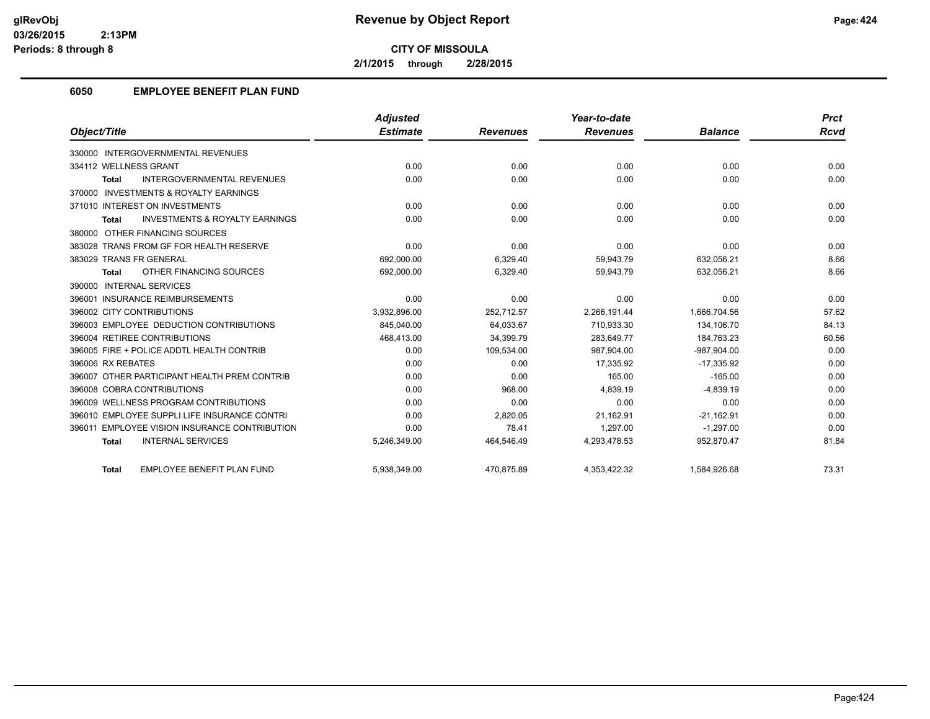**2/1/2015 through 2/28/2015**

## **6050 EMPLOYEE BENEFIT PLAN FUND**

|                                                           | <b>Adjusted</b> |                 | Year-to-date    |                | <b>Prct</b> |
|-----------------------------------------------------------|-----------------|-----------------|-----------------|----------------|-------------|
| Object/Title                                              | <b>Estimate</b> | <b>Revenues</b> | <b>Revenues</b> | <b>Balance</b> | <b>Rcvd</b> |
| <b>INTERGOVERNMENTAL REVENUES</b><br>330000               |                 |                 |                 |                |             |
| 334112 WELLNESS GRANT                                     | 0.00            | 0.00            | 0.00            | 0.00           | 0.00        |
| <b>INTERGOVERNMENTAL REVENUES</b><br><b>Total</b>         | 0.00            | 0.00            | 0.00            | 0.00           | 0.00        |
| 370000 INVESTMENTS & ROYALTY EARNINGS                     |                 |                 |                 |                |             |
| 371010 INTEREST ON INVESTMENTS                            | 0.00            | 0.00            | 0.00            | 0.00           | 0.00        |
| <b>INVESTMENTS &amp; ROYALTY EARNINGS</b><br><b>Total</b> | 0.00            | 0.00            | 0.00            | 0.00           | 0.00        |
| 380000 OTHER FINANCING SOURCES                            |                 |                 |                 |                |             |
| 383028 TRANS FROM GF FOR HEALTH RESERVE                   | 0.00            | 0.00            | 0.00            | 0.00           | 0.00        |
| 383029 TRANS FR GENERAL                                   | 692,000.00      | 6,329.40        | 59,943.79       | 632,056.21     | 8.66        |
| OTHER FINANCING SOURCES<br>Total                          | 692,000.00      | 6,329.40        | 59,943.79       | 632,056.21     | 8.66        |
| <b>INTERNAL SERVICES</b><br>390000                        |                 |                 |                 |                |             |
| 396001 INSURANCE REIMBURSEMENTS                           | 0.00            | 0.00            | 0.00            | 0.00           | 0.00        |
| 396002 CITY CONTRIBUTIONS                                 | 3,932,896.00    | 252.712.57      | 2,266,191.44    | 1,666,704.56   | 57.62       |
| 396003 EMPLOYEE DEDUCTION CONTRIBUTIONS                   | 845.040.00      | 64.033.67       | 710.933.30      | 134.106.70     | 84.13       |
| 396004 RETIREE CONTRIBUTIONS                              | 468,413.00      | 34,399.79       | 283,649.77      | 184,763.23     | 60.56       |
| 396005 FIRE + POLICE ADDTL HEALTH CONTRIB                 | 0.00            | 109,534.00      | 987,904.00      | $-987,904.00$  | 0.00        |
| 396006 RX REBATES                                         | 0.00            | 0.00            | 17.335.92       | $-17.335.92$   | 0.00        |
| 396007 OTHER PARTICIPANT HEALTH PREM CONTRIB              | 0.00            | 0.00            | 165.00          | $-165.00$      | 0.00        |
| 396008 COBRA CONTRIBUTIONS                                | 0.00            | 968.00          | 4.839.19        | $-4.839.19$    | 0.00        |
| 396009 WELLNESS PROGRAM CONTRIBUTIONS                     | 0.00            | 0.00            | 0.00            | 0.00           | 0.00        |
| 396010 EMPLOYEE SUPPLI LIFE INSURANCE CONTRI              | 0.00            | 2,820.05        | 21,162.91       | $-21,162.91$   | 0.00        |
| 396011 EMPLOYEE VISION INSURANCE CONTRIBUTION             | 0.00            | 78.41           | 1.297.00        | $-1.297.00$    | 0.00        |
| <b>INTERNAL SERVICES</b><br><b>Total</b>                  | 5,246,349.00    | 464,546.49      | 4,293,478.53    | 952,870.47     | 81.84       |
| EMPLOYEE BENEFIT PLAN FUND<br><b>Total</b>                | 5,938,349.00    | 470,875.89      | 4,353,422.32    | 1,584,926.68   | 73.31       |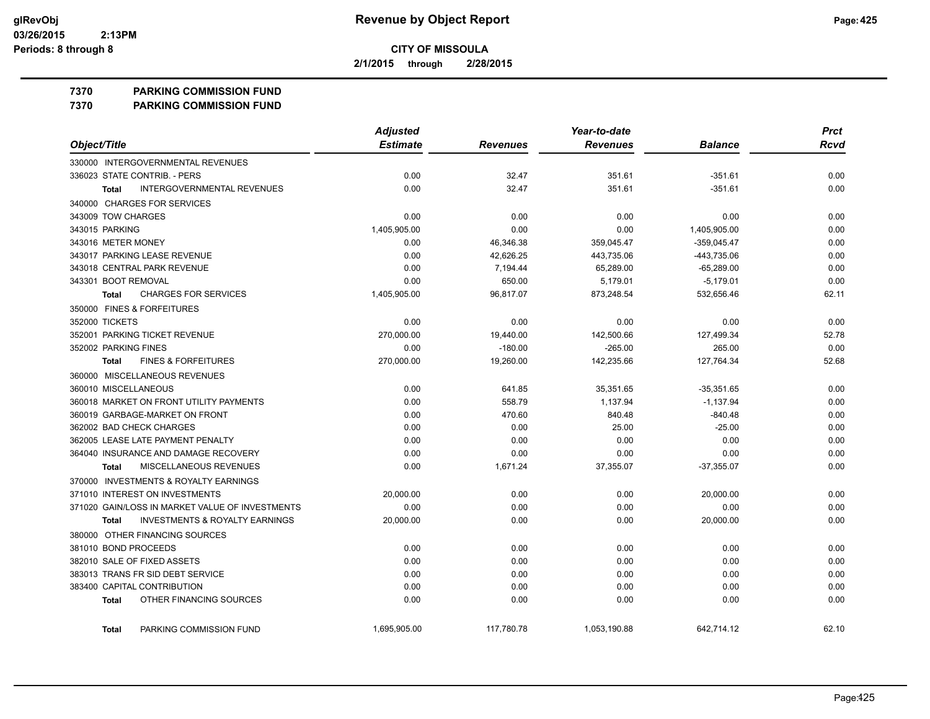**2/1/2015 through 2/28/2015**

#### **7370 PARKING COMMISSION FUND**

**7370 PARKING COMMISSION FUND**

|                                                           | <b>Adjusted</b> |                 | Year-to-date    |                | <b>Prct</b> |
|-----------------------------------------------------------|-----------------|-----------------|-----------------|----------------|-------------|
| Object/Title                                              | <b>Estimate</b> | <b>Revenues</b> | <b>Revenues</b> | <b>Balance</b> | <b>Rcvd</b> |
| 330000 INTERGOVERNMENTAL REVENUES                         |                 |                 |                 |                |             |
| 336023 STATE CONTRIB. - PERS                              | 0.00            | 32.47           | 351.61          | $-351.61$      | 0.00        |
| <b>INTERGOVERNMENTAL REVENUES</b><br><b>Total</b>         | 0.00            | 32.47           | 351.61          | $-351.61$      | 0.00        |
| 340000 CHARGES FOR SERVICES                               |                 |                 |                 |                |             |
| 343009 TOW CHARGES                                        | 0.00            | 0.00            | 0.00            | 0.00           | 0.00        |
| 343015 PARKING                                            | 1,405,905.00    | 0.00            | 0.00            | 1,405,905.00   | 0.00        |
| 343016 METER MONEY                                        | 0.00            | 46,346.38       | 359,045.47      | $-359,045.47$  | 0.00        |
| 343017 PARKING LEASE REVENUE                              | 0.00            | 42,626.25       | 443,735.06      | -443,735.06    | 0.00        |
| 343018 CENTRAL PARK REVENUE                               | 0.00            | 7,194.44        | 65,289.00       | $-65,289.00$   | 0.00        |
| 343301 BOOT REMOVAL                                       | 0.00            | 650.00          | 5,179.01        | $-5,179.01$    | 0.00        |
| <b>CHARGES FOR SERVICES</b><br><b>Total</b>               | 1,405,905.00    | 96,817.07       | 873,248.54      | 532,656.46     | 62.11       |
| 350000 FINES & FORFEITURES                                |                 |                 |                 |                |             |
| 352000 TICKETS                                            | 0.00            | 0.00            | 0.00            | 0.00           | 0.00        |
| 352001 PARKING TICKET REVENUE                             | 270,000.00      | 19,440.00       | 142,500.66      | 127,499.34     | 52.78       |
| 352002 PARKING FINES                                      | 0.00            | $-180.00$       | $-265.00$       | 265.00         | 0.00        |
| <b>FINES &amp; FORFEITURES</b><br><b>Total</b>            | 270,000.00      | 19,260.00       | 142,235.66      | 127,764.34     | 52.68       |
| 360000 MISCELLANEOUS REVENUES                             |                 |                 |                 |                |             |
| 360010 MISCELLANEOUS                                      | 0.00            | 641.85          | 35,351.65       | $-35,351.65$   | 0.00        |
| 360018 MARKET ON FRONT UTILITY PAYMENTS                   | 0.00            | 558.79          | 1,137.94        | $-1,137.94$    | 0.00        |
| 360019 GARBAGE-MARKET ON FRONT                            | 0.00            | 470.60          | 840.48          | $-840.48$      | 0.00        |
| 362002 BAD CHECK CHARGES                                  | 0.00            | 0.00            | 25.00           | $-25.00$       | 0.00        |
| 362005 LEASE LATE PAYMENT PENALTY                         | 0.00            | 0.00            | 0.00            | 0.00           | 0.00        |
| 364040 INSURANCE AND DAMAGE RECOVERY                      | 0.00            | 0.00            | 0.00            | 0.00           | 0.00        |
| MISCELLANEOUS REVENUES<br><b>Total</b>                    | 0.00            | 1,671.24        | 37,355.07       | $-37,355.07$   | 0.00        |
| 370000 INVESTMENTS & ROYALTY EARNINGS                     |                 |                 |                 |                |             |
| 371010 INTEREST ON INVESTMENTS                            | 20,000.00       | 0.00            | 0.00            | 20,000.00      | 0.00        |
| 371020 GAIN/LOSS IN MARKET VALUE OF INVESTMENTS           | 0.00            | 0.00            | 0.00            | 0.00           | 0.00        |
| <b>INVESTMENTS &amp; ROYALTY EARNINGS</b><br><b>Total</b> | 20,000.00       | 0.00            | 0.00            | 20,000.00      | 0.00        |
| 380000 OTHER FINANCING SOURCES                            |                 |                 |                 |                |             |
| 381010 BOND PROCEEDS                                      | 0.00            | 0.00            | 0.00            | 0.00           | 0.00        |
| 382010 SALE OF FIXED ASSETS                               | 0.00            | 0.00            | 0.00            | 0.00           | 0.00        |
| 383013 TRANS FR SID DEBT SERVICE                          | 0.00            | 0.00            | 0.00            | 0.00           | 0.00        |
| 383400 CAPITAL CONTRIBUTION                               | 0.00            | 0.00            | 0.00            | 0.00           | 0.00        |
| OTHER FINANCING SOURCES<br><b>Total</b>                   | 0.00            | 0.00            | 0.00            | 0.00           | 0.00        |
| PARKING COMMISSION FUND<br><b>Total</b>                   | 1,695,905.00    | 117,780.78      | 1,053,190.88    | 642,714.12     | 62.10       |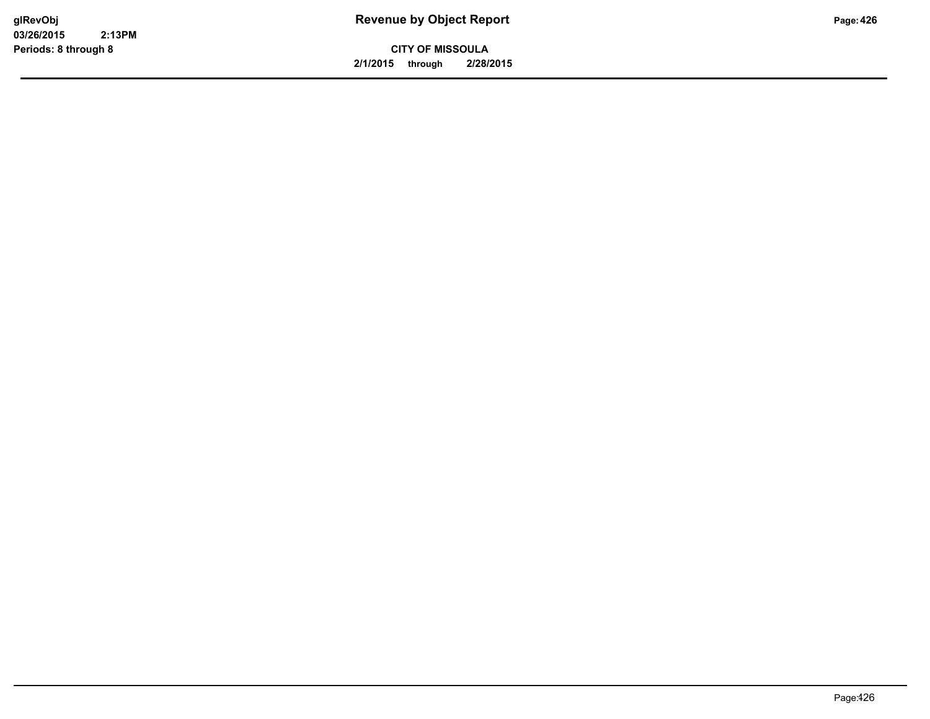**CITY OF MISSOULA 2/1/2015 through 2/28/2015**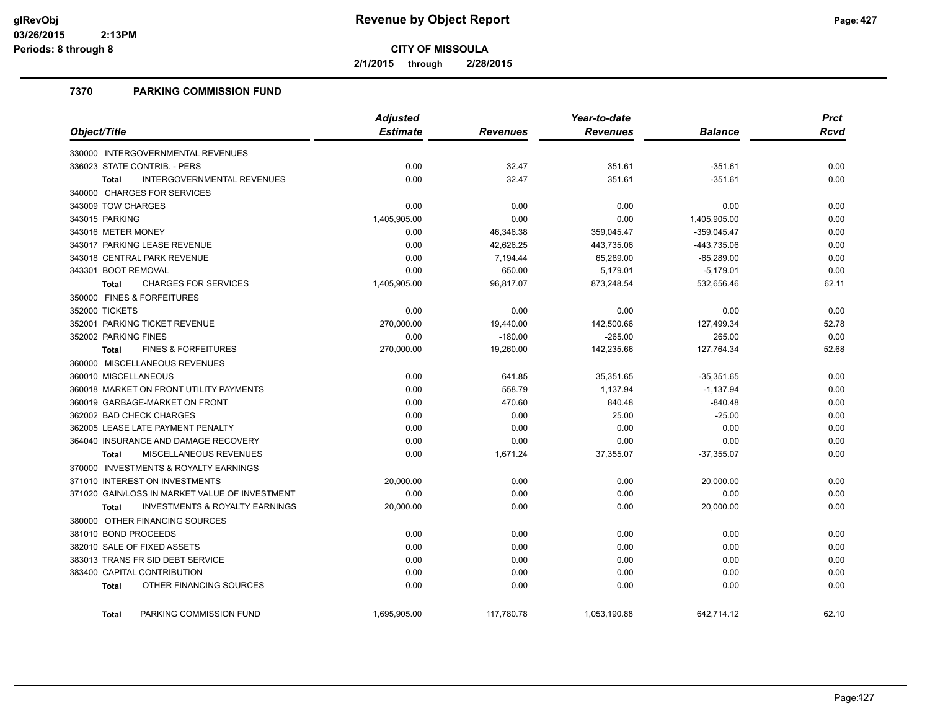**2/1/2015 through 2/28/2015**

#### **7370 PARKING COMMISSION FUND**

|                                                           | <b>Adjusted</b> |                 | Year-to-date    | <b>Prct</b>    |             |
|-----------------------------------------------------------|-----------------|-----------------|-----------------|----------------|-------------|
| Object/Title                                              | <b>Estimate</b> | <b>Revenues</b> | <b>Revenues</b> | <b>Balance</b> | <b>Rcvd</b> |
| 330000 INTERGOVERNMENTAL REVENUES                         |                 |                 |                 |                |             |
| 336023 STATE CONTRIB. - PERS                              | 0.00            | 32.47           | 351.61          | $-351.61$      | 0.00        |
| <b>INTERGOVERNMENTAL REVENUES</b><br><b>Total</b>         | 0.00            | 32.47           | 351.61          | $-351.61$      | 0.00        |
| 340000 CHARGES FOR SERVICES                               |                 |                 |                 |                |             |
| 343009 TOW CHARGES                                        | 0.00            | 0.00            | 0.00            | 0.00           | 0.00        |
| 343015 PARKING                                            | 1,405,905.00    | 0.00            | 0.00            | 1,405,905.00   | 0.00        |
| 343016 METER MONEY                                        | 0.00            | 46,346.38       | 359,045.47      | $-359,045.47$  | 0.00        |
| 343017 PARKING LEASE REVENUE                              | 0.00            | 42,626.25       | 443,735.06      | -443,735.06    | 0.00        |
| 343018 CENTRAL PARK REVENUE                               | 0.00            | 7,194.44        | 65,289.00       | $-65,289.00$   | 0.00        |
| 343301 BOOT REMOVAL                                       | 0.00            | 650.00          | 5,179.01        | $-5,179.01$    | 0.00        |
| <b>CHARGES FOR SERVICES</b><br><b>Total</b>               | 1,405,905.00    | 96,817.07       | 873,248.54      | 532,656.46     | 62.11       |
| 350000 FINES & FORFEITURES                                |                 |                 |                 |                |             |
| 352000 TICKETS                                            | 0.00            | 0.00            | 0.00            | 0.00           | 0.00        |
| 352001 PARKING TICKET REVENUE                             | 270,000.00      | 19,440.00       | 142,500.66      | 127,499.34     | 52.78       |
| 352002 PARKING FINES                                      | 0.00            | $-180.00$       | $-265.00$       | 265.00         | 0.00        |
| <b>FINES &amp; FORFEITURES</b><br><b>Total</b>            | 270,000.00      | 19,260.00       | 142,235.66      | 127,764.34     | 52.68       |
| 360000 MISCELLANEOUS REVENUES                             |                 |                 |                 |                |             |
| 360010 MISCELLANEOUS                                      | 0.00            | 641.85          | 35,351.65       | $-35,351.65$   | 0.00        |
| 360018 MARKET ON FRONT UTILITY PAYMENTS                   | 0.00            | 558.79          | 1,137.94        | $-1,137.94$    | 0.00        |
| 360019 GARBAGE-MARKET ON FRONT                            | 0.00            | 470.60          | 840.48          | $-840.48$      | 0.00        |
| 362002 BAD CHECK CHARGES                                  | 0.00            | 0.00            | 25.00           | $-25.00$       | 0.00        |
| 362005 LEASE LATE PAYMENT PENALTY                         | 0.00            | 0.00            | 0.00            | 0.00           | 0.00        |
| 364040 INSURANCE AND DAMAGE RECOVERY                      | 0.00            | 0.00            | 0.00            | 0.00           | 0.00        |
| MISCELLANEOUS REVENUES<br><b>Total</b>                    | 0.00            | 1,671.24        | 37,355.07       | $-37,355.07$   | 0.00        |
| 370000 INVESTMENTS & ROYALTY EARNINGS                     |                 |                 |                 |                |             |
| 371010 INTEREST ON INVESTMENTS                            | 20,000.00       | 0.00            | 0.00            | 20,000.00      | 0.00        |
| 371020 GAIN/LOSS IN MARKET VALUE OF INVESTMENT            | 0.00            | 0.00            | 0.00            | 0.00           | 0.00        |
| <b>INVESTMENTS &amp; ROYALTY EARNINGS</b><br><b>Total</b> | 20,000.00       | 0.00            | 0.00            | 20,000.00      | 0.00        |
| 380000 OTHER FINANCING SOURCES                            |                 |                 |                 |                |             |
| 381010 BOND PROCEEDS                                      | 0.00            | 0.00            | 0.00            | 0.00           | 0.00        |
| 382010 SALE OF FIXED ASSETS                               | 0.00            | 0.00            | 0.00            | 0.00           | 0.00        |
| 383013 TRANS FR SID DEBT SERVICE                          | 0.00            | 0.00            | 0.00            | 0.00           | 0.00        |
| 383400 CAPITAL CONTRIBUTION                               | 0.00            | 0.00            | 0.00            | 0.00           | 0.00        |
| OTHER FINANCING SOURCES<br><b>Total</b>                   | 0.00            | 0.00            | 0.00            | 0.00           | 0.00        |
| PARKING COMMISSION FUND<br><b>Total</b>                   | 1,695,905.00    | 117,780.78      | 1,053,190.88    | 642,714.12     | 62.10       |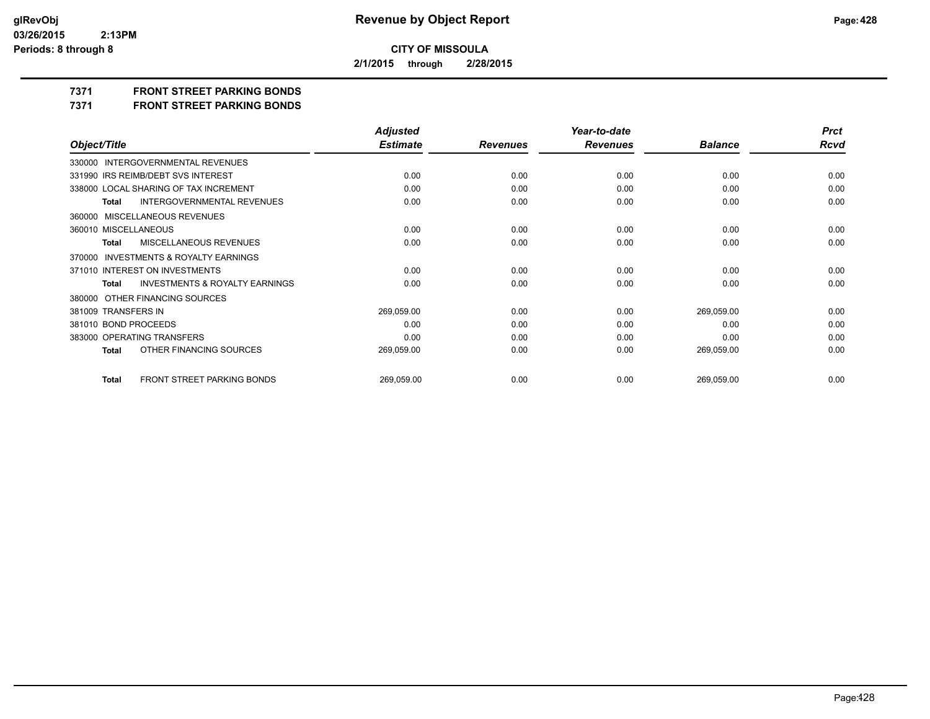**2/1/2015 through 2/28/2015**

#### **7371 FRONT STREET PARKING BONDS**

**7371 FRONT STREET PARKING BONDS**

|                                                           | <b>Adjusted</b> |                 | Year-to-date    |                | <b>Prct</b> |
|-----------------------------------------------------------|-----------------|-----------------|-----------------|----------------|-------------|
| Object/Title                                              | <b>Estimate</b> | <b>Revenues</b> | <b>Revenues</b> | <b>Balance</b> | <b>Rcvd</b> |
| 330000 INTERGOVERNMENTAL REVENUES                         |                 |                 |                 |                |             |
| 331990 IRS REIMB/DEBT SVS INTEREST                        | 0.00            | 0.00            | 0.00            | 0.00           | 0.00        |
| 338000 LOCAL SHARING OF TAX INCREMENT                     | 0.00            | 0.00            | 0.00            | 0.00           | 0.00        |
| INTERGOVERNMENTAL REVENUES<br><b>Total</b>                | 0.00            | 0.00            | 0.00            | 0.00           | 0.00        |
| 360000 MISCELLANEOUS REVENUES                             |                 |                 |                 |                |             |
| 360010 MISCELLANEOUS                                      | 0.00            | 0.00            | 0.00            | 0.00           | 0.00        |
| <b>MISCELLANEOUS REVENUES</b><br>Total                    | 0.00            | 0.00            | 0.00            | 0.00           | 0.00        |
| 370000 INVESTMENTS & ROYALTY EARNINGS                     |                 |                 |                 |                |             |
| 371010 INTEREST ON INVESTMENTS                            | 0.00            | 0.00            | 0.00            | 0.00           | 0.00        |
| <b>INVESTMENTS &amp; ROYALTY EARNINGS</b><br><b>Total</b> | 0.00            | 0.00            | 0.00            | 0.00           | 0.00        |
| 380000 OTHER FINANCING SOURCES                            |                 |                 |                 |                |             |
| 381009 TRANSFERS IN                                       | 269,059.00      | 0.00            | 0.00            | 269,059.00     | 0.00        |
| 381010 BOND PROCEEDS                                      | 0.00            | 0.00            | 0.00            | 0.00           | 0.00        |
| 383000 OPERATING TRANSFERS                                | 0.00            | 0.00            | 0.00            | 0.00           | 0.00        |
| OTHER FINANCING SOURCES<br><b>Total</b>                   | 269,059.00      | 0.00            | 0.00            | 269,059.00     | 0.00        |
| FRONT STREET PARKING BONDS<br><b>Total</b>                | 269,059.00      | 0.00            | 0.00            | 269,059.00     | 0.00        |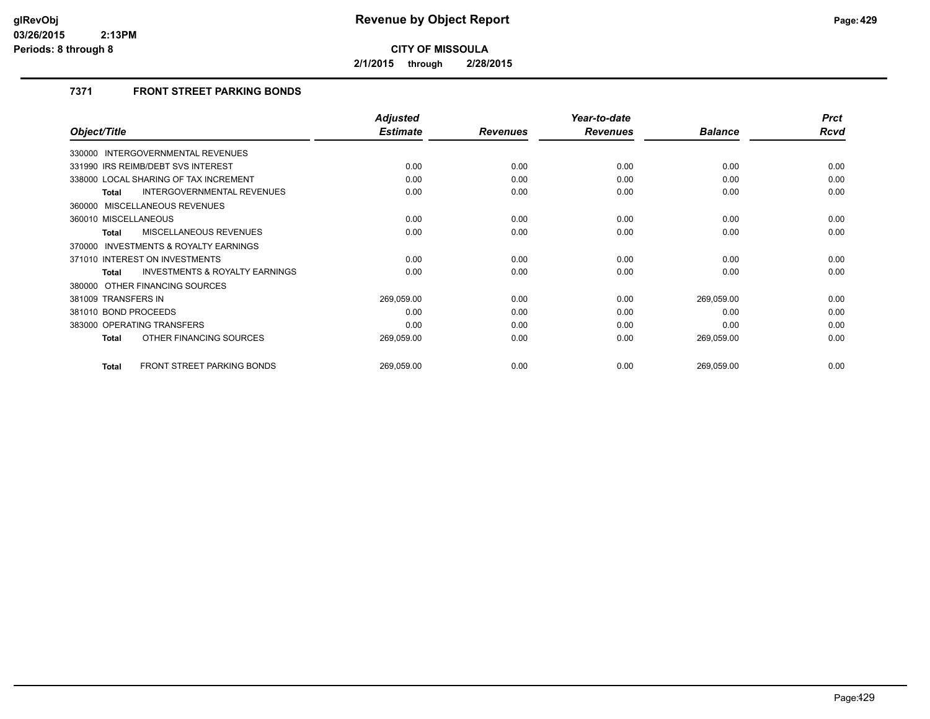**2/1/2015 through 2/28/2015**

## **7371 FRONT STREET PARKING BONDS**

|                                                           | <b>Adjusted</b> |                 | Year-to-date    |                | <b>Prct</b> |
|-----------------------------------------------------------|-----------------|-----------------|-----------------|----------------|-------------|
| Object/Title                                              | <b>Estimate</b> | <b>Revenues</b> | <b>Revenues</b> | <b>Balance</b> | Rcvd        |
| <b>INTERGOVERNMENTAL REVENUES</b><br>330000               |                 |                 |                 |                |             |
| 331990 IRS REIMB/DEBT SVS INTEREST                        | 0.00            | 0.00            | 0.00            | 0.00           | 0.00        |
| 338000 LOCAL SHARING OF TAX INCREMENT                     | 0.00            | 0.00            | 0.00            | 0.00           | 0.00        |
| INTERGOVERNMENTAL REVENUES<br><b>Total</b>                | 0.00            | 0.00            | 0.00            | 0.00           | 0.00        |
| 360000 MISCELLANEOUS REVENUES                             |                 |                 |                 |                |             |
| 360010 MISCELLANEOUS                                      | 0.00            | 0.00            | 0.00            | 0.00           | 0.00        |
| MISCELLANEOUS REVENUES<br><b>Total</b>                    | 0.00            | 0.00            | 0.00            | 0.00           | 0.00        |
| <b>INVESTMENTS &amp; ROYALTY EARNINGS</b><br>370000       |                 |                 |                 |                |             |
| 371010 INTEREST ON INVESTMENTS                            | 0.00            | 0.00            | 0.00            | 0.00           | 0.00        |
| <b>INVESTMENTS &amp; ROYALTY EARNINGS</b><br><b>Total</b> | 0.00            | 0.00            | 0.00            | 0.00           | 0.00        |
| 380000 OTHER FINANCING SOURCES                            |                 |                 |                 |                |             |
| 381009 TRANSFERS IN                                       | 269,059.00      | 0.00            | 0.00            | 269,059.00     | 0.00        |
| 381010 BOND PROCEEDS                                      | 0.00            | 0.00            | 0.00            | 0.00           | 0.00        |
| 383000 OPERATING TRANSFERS                                | 0.00            | 0.00            | 0.00            | 0.00           | 0.00        |
| OTHER FINANCING SOURCES<br><b>Total</b>                   | 269,059.00      | 0.00            | 0.00            | 269,059.00     | 0.00        |
| <b>FRONT STREET PARKING BONDS</b><br><b>Total</b>         | 269,059.00      | 0.00            | 0.00            | 269,059.00     | 0.00        |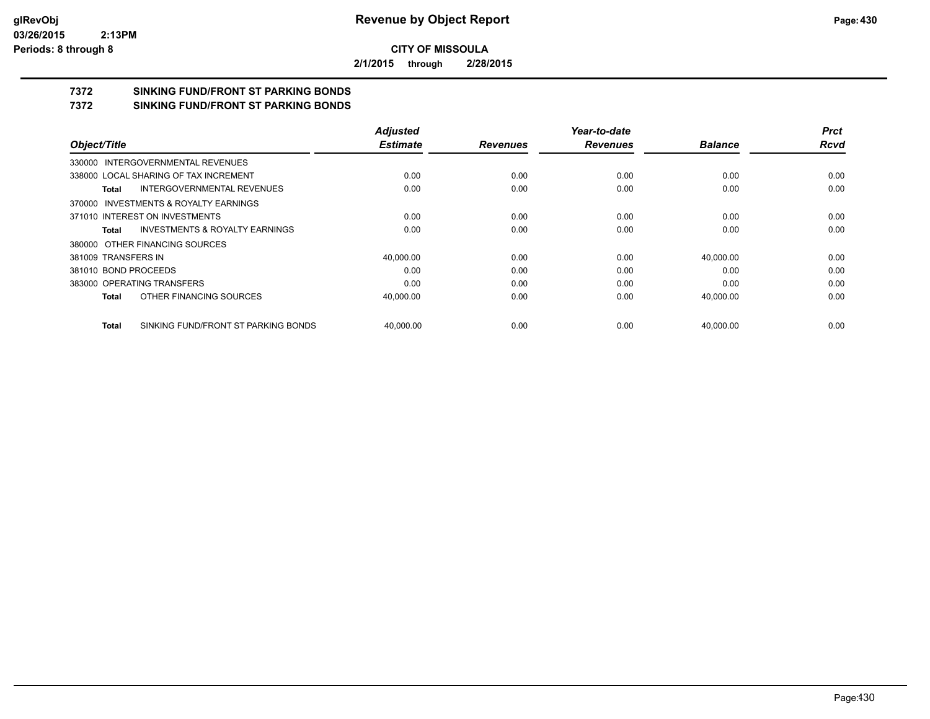**2/1/2015 through 2/28/2015**

# **7372 SINKING FUND/FRONT ST PARKING BONDS**

**7372 SINKING FUND/FRONT ST PARKING BONDS**

|                                              | <b>Adjusted</b> |                 | Year-to-date    |                | <b>Prct</b> |
|----------------------------------------------|-----------------|-----------------|-----------------|----------------|-------------|
| Object/Title                                 | <b>Estimate</b> | <b>Revenues</b> | <b>Revenues</b> | <b>Balance</b> | <b>Rcvd</b> |
| 330000 INTERGOVERNMENTAL REVENUES            |                 |                 |                 |                |             |
| 338000 LOCAL SHARING OF TAX INCREMENT        | 0.00            | 0.00            | 0.00            | 0.00           | 0.00        |
| INTERGOVERNMENTAL REVENUES<br>Total          | 0.00            | 0.00            | 0.00            | 0.00           | 0.00        |
| 370000 INVESTMENTS & ROYALTY EARNINGS        |                 |                 |                 |                |             |
| 371010 INTEREST ON INVESTMENTS               | 0.00            | 0.00            | 0.00            | 0.00           | 0.00        |
| INVESTMENTS & ROYALTY EARNINGS<br>Total      | 0.00            | 0.00            | 0.00            | 0.00           | 0.00        |
| 380000 OTHER FINANCING SOURCES               |                 |                 |                 |                |             |
| 381009 TRANSFERS IN                          | 40,000.00       | 0.00            | 0.00            | 40,000.00      | 0.00        |
| 381010 BOND PROCEEDS                         | 0.00            | 0.00            | 0.00            | 0.00           | 0.00        |
| 383000 OPERATING TRANSFERS                   | 0.00            | 0.00            | 0.00            | 0.00           | 0.00        |
| OTHER FINANCING SOURCES<br>Total             | 40,000.00       | 0.00            | 0.00            | 40,000.00      | 0.00        |
| SINKING FUND/FRONT ST PARKING BONDS<br>Total | 40.000.00       | 0.00            | 0.00            | 40.000.00      | 0.00        |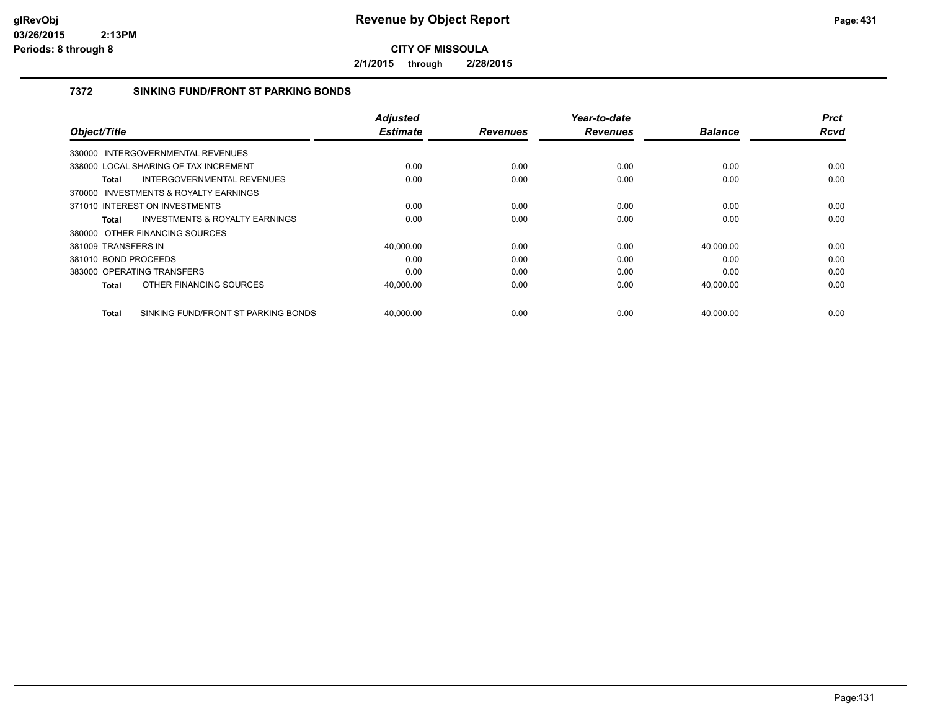**2/1/2015 through 2/28/2015**

#### **7372 SINKING FUND/FRONT ST PARKING BONDS**

|                                                     | <b>Adjusted</b> |                 | Year-to-date    |                | <b>Prct</b> |
|-----------------------------------------------------|-----------------|-----------------|-----------------|----------------|-------------|
| Object/Title                                        | <b>Estimate</b> | <b>Revenues</b> | <b>Revenues</b> | <b>Balance</b> | Rcvd        |
| 330000 INTERGOVERNMENTAL REVENUES                   |                 |                 |                 |                |             |
| 338000 LOCAL SHARING OF TAX INCREMENT               | 0.00            | 0.00            | 0.00            | 0.00           | 0.00        |
| <b>INTERGOVERNMENTAL REVENUES</b><br>Total          | 0.00            | 0.00            | 0.00            | 0.00           | 0.00        |
| 370000 INVESTMENTS & ROYALTY EARNINGS               |                 |                 |                 |                |             |
| 371010 INTEREST ON INVESTMENTS                      | 0.00            | 0.00            | 0.00            | 0.00           | 0.00        |
| <b>INVESTMENTS &amp; ROYALTY EARNINGS</b><br>Total  | 0.00            | 0.00            | 0.00            | 0.00           | 0.00        |
| 380000 OTHER FINANCING SOURCES                      |                 |                 |                 |                |             |
| 381009 TRANSFERS IN                                 | 40,000.00       | 0.00            | 0.00            | 40,000.00      | 0.00        |
| 381010 BOND PROCEEDS                                | 0.00            | 0.00            | 0.00            | 0.00           | 0.00        |
| 383000 OPERATING TRANSFERS                          | 0.00            | 0.00            | 0.00            | 0.00           | 0.00        |
| OTHER FINANCING SOURCES<br><b>Total</b>             | 40,000.00       | 0.00            | 0.00            | 40,000.00      | 0.00        |
| <b>Total</b><br>SINKING FUND/FRONT ST PARKING BONDS | 40,000.00       | 0.00            | 0.00            | 40,000.00      | 0.00        |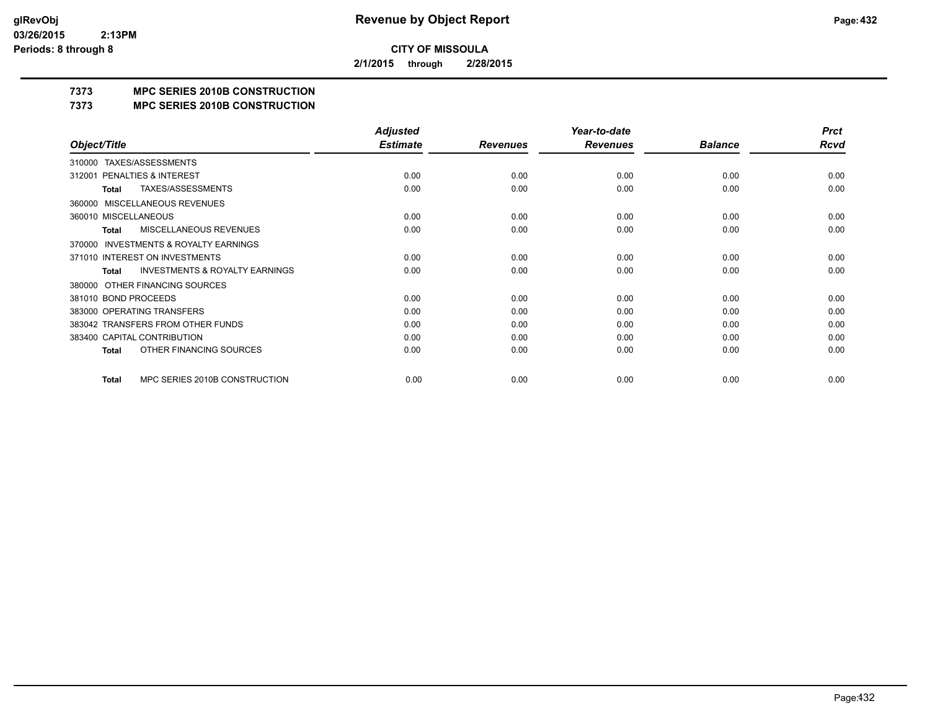**2/1/2015 through 2/28/2015**

## **7373 MPC SERIES 2010B CONSTRUCTION**

#### **7373 MPC SERIES 2010B CONSTRUCTION**

|                                                           | <b>Adjusted</b> |                 | Year-to-date    |                | <b>Prct</b> |
|-----------------------------------------------------------|-----------------|-----------------|-----------------|----------------|-------------|
| Object/Title                                              | <b>Estimate</b> | <b>Revenues</b> | <b>Revenues</b> | <b>Balance</b> | <b>Rcvd</b> |
| TAXES/ASSESSMENTS<br>310000                               |                 |                 |                 |                |             |
| <b>PENALTIES &amp; INTEREST</b><br>312001                 | 0.00            | 0.00            | 0.00            | 0.00           | 0.00        |
| <b>TAXES/ASSESSMENTS</b><br><b>Total</b>                  | 0.00            | 0.00            | 0.00            | 0.00           | 0.00        |
| MISCELLANEOUS REVENUES<br>360000                          |                 |                 |                 |                |             |
| 360010 MISCELLANEOUS                                      | 0.00            | 0.00            | 0.00            | 0.00           | 0.00        |
| MISCELLANEOUS REVENUES<br>Total                           | 0.00            | 0.00            | 0.00            | 0.00           | 0.00        |
| <b>INVESTMENTS &amp; ROYALTY EARNINGS</b><br>370000       |                 |                 |                 |                |             |
| 371010 INTEREST ON INVESTMENTS                            | 0.00            | 0.00            | 0.00            | 0.00           | 0.00        |
| <b>INVESTMENTS &amp; ROYALTY EARNINGS</b><br><b>Total</b> | 0.00            | 0.00            | 0.00            | 0.00           | 0.00        |
| OTHER FINANCING SOURCES<br>380000                         |                 |                 |                 |                |             |
| 381010 BOND PROCEEDS                                      | 0.00            | 0.00            | 0.00            | 0.00           | 0.00        |
| 383000 OPERATING TRANSFERS                                | 0.00            | 0.00            | 0.00            | 0.00           | 0.00        |
| 383042 TRANSFERS FROM OTHER FUNDS                         | 0.00            | 0.00            | 0.00            | 0.00           | 0.00        |
| 383400 CAPITAL CONTRIBUTION                               | 0.00            | 0.00            | 0.00            | 0.00           | 0.00        |
| OTHER FINANCING SOURCES<br><b>Total</b>                   | 0.00            | 0.00            | 0.00            | 0.00           | 0.00        |
| MPC SERIES 2010B CONSTRUCTION<br>Total                    | 0.00            | 0.00            | 0.00            | 0.00           | 0.00        |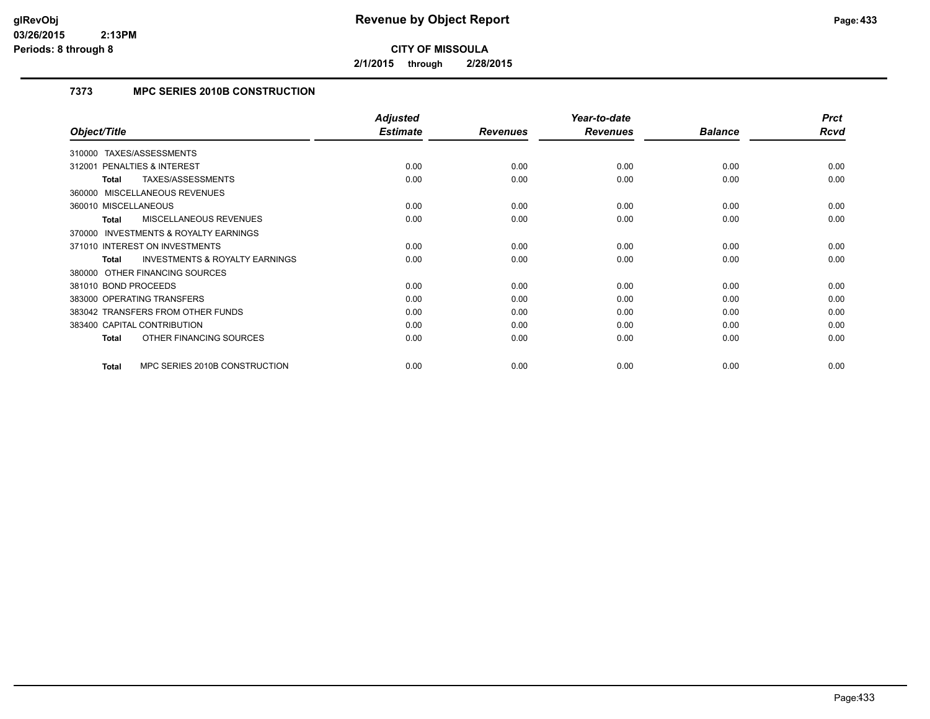**2/1/2015 through 2/28/2015**

### **7373 MPC SERIES 2010B CONSTRUCTION**

|                                                           | <b>Adjusted</b> |                 | Year-to-date    |                | <b>Prct</b> |
|-----------------------------------------------------------|-----------------|-----------------|-----------------|----------------|-------------|
| Object/Title                                              | <b>Estimate</b> | <b>Revenues</b> | <b>Revenues</b> | <b>Balance</b> | Rcvd        |
| TAXES/ASSESSMENTS<br>310000                               |                 |                 |                 |                |             |
| <b>PENALTIES &amp; INTEREST</b><br>312001                 | 0.00            | 0.00            | 0.00            | 0.00           | 0.00        |
| TAXES/ASSESSMENTS<br>Total                                | 0.00            | 0.00            | 0.00            | 0.00           | 0.00        |
| 360000 MISCELLANEOUS REVENUES                             |                 |                 |                 |                |             |
| 360010 MISCELLANEOUS                                      | 0.00            | 0.00            | 0.00            | 0.00           | 0.00        |
| <b>MISCELLANEOUS REVENUES</b><br><b>Total</b>             | 0.00            | 0.00            | 0.00            | 0.00           | 0.00        |
| <b>INVESTMENTS &amp; ROYALTY EARNINGS</b><br>370000       |                 |                 |                 |                |             |
| 371010 INTEREST ON INVESTMENTS                            | 0.00            | 0.00            | 0.00            | 0.00           | 0.00        |
| <b>INVESTMENTS &amp; ROYALTY EARNINGS</b><br><b>Total</b> | 0.00            | 0.00            | 0.00            | 0.00           | 0.00        |
| 380000 OTHER FINANCING SOURCES                            |                 |                 |                 |                |             |
| 381010 BOND PROCEEDS                                      | 0.00            | 0.00            | 0.00            | 0.00           | 0.00        |
| 383000 OPERATING TRANSFERS                                | 0.00            | 0.00            | 0.00            | 0.00           | 0.00        |
| 383042 TRANSFERS FROM OTHER FUNDS                         | 0.00            | 0.00            | 0.00            | 0.00           | 0.00        |
| 383400 CAPITAL CONTRIBUTION                               | 0.00            | 0.00            | 0.00            | 0.00           | 0.00        |
| OTHER FINANCING SOURCES<br><b>Total</b>                   | 0.00            | 0.00            | 0.00            | 0.00           | 0.00        |
| MPC SERIES 2010B CONSTRUCTION<br><b>Total</b>             | 0.00            | 0.00            | 0.00            | 0.00           | 0.00        |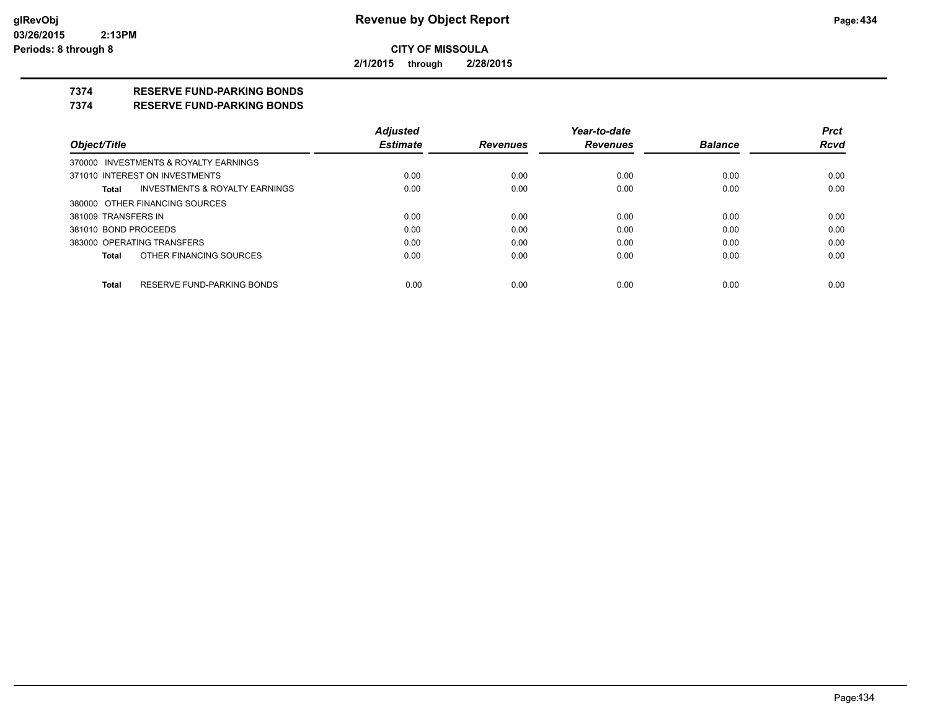**2/1/2015 through 2/28/2015**

#### **7374 RESERVE FUND-PARKING BONDS**

#### **7374 RESERVE FUND-PARKING BONDS**

|                                                    | <b>Adjusted</b> |                 | Year-to-date    |                | <b>Prct</b> |
|----------------------------------------------------|-----------------|-----------------|-----------------|----------------|-------------|
| Object/Title                                       | <b>Estimate</b> | <b>Revenues</b> | <b>Revenues</b> | <b>Balance</b> | <b>Rcvd</b> |
| 370000 INVESTMENTS & ROYALTY EARNINGS              |                 |                 |                 |                |             |
| 371010 INTEREST ON INVESTMENTS                     | 0.00            | 0.00            | 0.00            | 0.00           | 0.00        |
| <b>INVESTMENTS &amp; ROYALTY EARNINGS</b><br>Total | 0.00            | 0.00            | 0.00            | 0.00           | 0.00        |
| 380000 OTHER FINANCING SOURCES                     |                 |                 |                 |                |             |
| 381009 TRANSFERS IN                                | 0.00            | 0.00            | 0.00            | 0.00           | 0.00        |
| 381010 BOND PROCEEDS                               | 0.00            | 0.00            | 0.00            | 0.00           | 0.00        |
| 383000 OPERATING TRANSFERS                         | 0.00            | 0.00            | 0.00            | 0.00           | 0.00        |
| OTHER FINANCING SOURCES<br>Total                   | 0.00            | 0.00            | 0.00            | 0.00           | 0.00        |
| RESERVE FUND-PARKING BONDS                         |                 |                 |                 |                |             |
| Total                                              | 0.00            | 0.00            | 0.00            | 0.00           | 0.00        |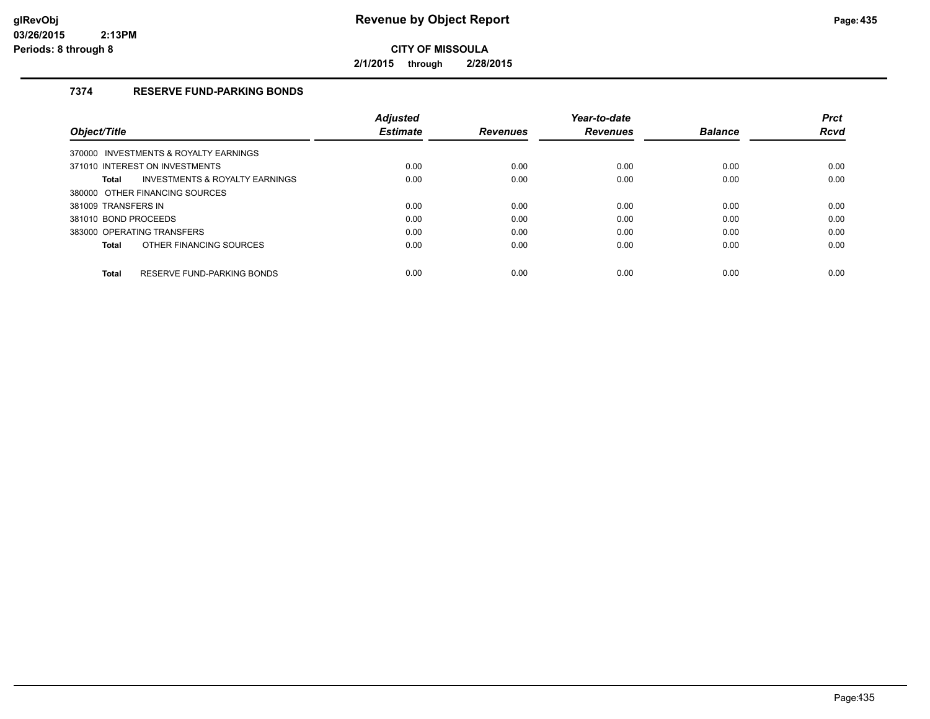**2/1/2015 through 2/28/2015**

#### **7374 RESERVE FUND-PARKING BONDS**

|                                                   | <b>Adjusted</b> |                 | Year-to-date    |                | <b>Prct</b> |
|---------------------------------------------------|-----------------|-----------------|-----------------|----------------|-------------|
| Object/Title                                      | <b>Estimate</b> | <b>Revenues</b> | <b>Revenues</b> | <b>Balance</b> | <b>Rcvd</b> |
| 370000 INVESTMENTS & ROYALTY EARNINGS             |                 |                 |                 |                |             |
| 371010 INTEREST ON INVESTMENTS                    | 0.00            | 0.00            | 0.00            | 0.00           | 0.00        |
| INVESTMENTS & ROYALTY EARNINGS<br><b>Total</b>    | 0.00            | 0.00            | 0.00            | 0.00           | 0.00        |
| 380000 OTHER FINANCING SOURCES                    |                 |                 |                 |                |             |
| 381009 TRANSFERS IN                               | 0.00            | 0.00            | 0.00            | 0.00           | 0.00        |
| 381010 BOND PROCEEDS                              | 0.00            | 0.00            | 0.00            | 0.00           | 0.00        |
| 383000 OPERATING TRANSFERS                        | 0.00            | 0.00            | 0.00            | 0.00           | 0.00        |
| OTHER FINANCING SOURCES<br><b>Total</b>           | 0.00            | 0.00            | 0.00            | 0.00           | 0.00        |
| <b>RESERVE FUND-PARKING BONDS</b><br><b>Total</b> | 0.00            | 0.00            | 0.00            | 0.00           | 0.00        |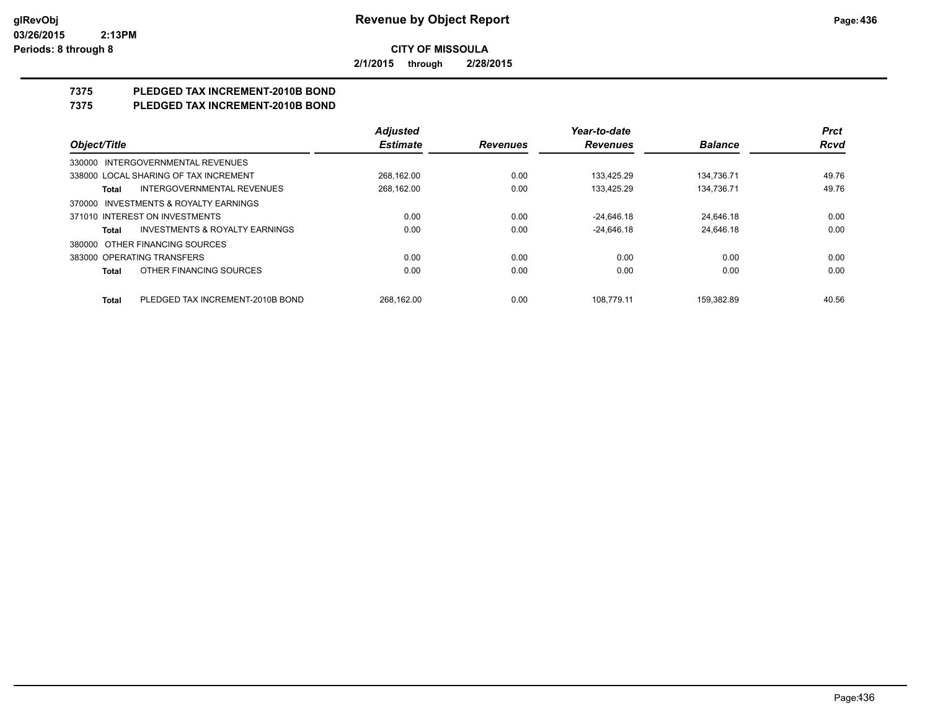**2/1/2015 through 2/28/2015**

# **7375 PLEDGED TAX INCREMENT-2010B BOND**

## **7375 PLEDGED TAX INCREMENT-2010B BOND**

|                                                    | <b>Adjusted</b> |                 | Year-to-date    |                | <b>Prct</b> |
|----------------------------------------------------|-----------------|-----------------|-----------------|----------------|-------------|
| Object/Title                                       | <b>Estimate</b> | <b>Revenues</b> | <b>Revenues</b> | <b>Balance</b> | <b>Rcvd</b> |
| 330000 INTERGOVERNMENTAL REVENUES                  |                 |                 |                 |                |             |
| 338000 LOCAL SHARING OF TAX INCREMENT              | 268,162.00      | 0.00            | 133,425.29      | 134,736.71     | 49.76       |
| INTERGOVERNMENTAL REVENUES<br>Total                | 268,162.00      | 0.00            | 133.425.29      | 134.736.71     | 49.76       |
| 370000 INVESTMENTS & ROYALTY EARNINGS              |                 |                 |                 |                |             |
| 371010 INTEREST ON INVESTMENTS                     | 0.00            | 0.00            | $-24.646.18$    | 24.646.18      | 0.00        |
| <b>INVESTMENTS &amp; ROYALTY EARNINGS</b><br>Total | 0.00            | 0.00            | $-24.646.18$    | 24.646.18      | 0.00        |
| 380000 OTHER FINANCING SOURCES                     |                 |                 |                 |                |             |
| 383000 OPERATING TRANSFERS                         | 0.00            | 0.00            | 0.00            | 0.00           | 0.00        |
| OTHER FINANCING SOURCES<br><b>Total</b>            | 0.00            | 0.00            | 0.00            | 0.00           | 0.00        |
| PLEDGED TAX INCREMENT-2010B BOND<br><b>Total</b>   | 268.162.00      | 0.00            | 108.779.11      | 159.382.89     | 40.56       |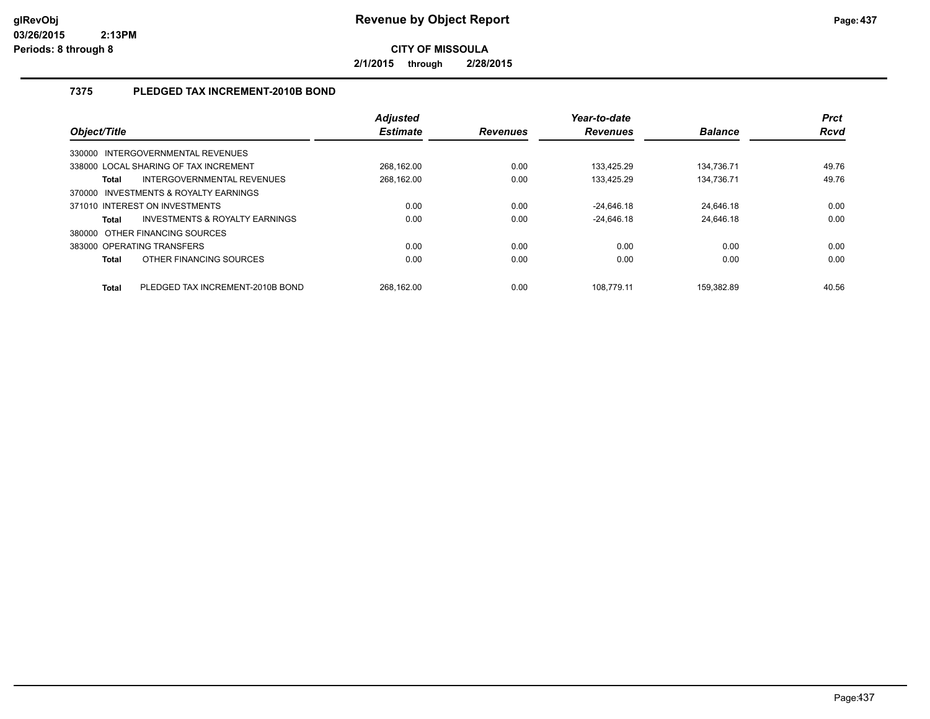**2/1/2015 through 2/28/2015**

#### **7375 PLEDGED TAX INCREMENT-2010B BOND**

| Object/Title                          |                                           | <b>Adjusted</b><br><b>Estimate</b> | <b>Revenues</b> | Year-to-date<br><b>Revenues</b> | <b>Balance</b> | <b>Prct</b><br>Rcvd |
|---------------------------------------|-------------------------------------------|------------------------------------|-----------------|---------------------------------|----------------|---------------------|
| 330000 INTERGOVERNMENTAL REVENUES     |                                           |                                    |                 |                                 |                |                     |
| 338000 LOCAL SHARING OF TAX INCREMENT |                                           | 268.162.00                         | 0.00            | 133.425.29                      | 134.736.71     | 49.76               |
| <b>Total</b>                          | INTERGOVERNMENTAL REVENUES                | 268.162.00                         | 0.00            | 133.425.29                      | 134.736.71     | 49.76               |
| 370000 INVESTMENTS & ROYALTY EARNINGS |                                           |                                    |                 |                                 |                |                     |
| 371010 INTEREST ON INVESTMENTS        |                                           | 0.00                               | 0.00            | $-24,646.18$                    | 24.646.18      | 0.00                |
| <b>Total</b>                          | <b>INVESTMENTS &amp; ROYALTY EARNINGS</b> | 0.00                               | 0.00            | $-24.646.18$                    | 24,646.18      | 0.00                |
| 380000 OTHER FINANCING SOURCES        |                                           |                                    |                 |                                 |                |                     |
| 383000 OPERATING TRANSFERS            |                                           | 0.00                               | 0.00            | 0.00                            | 0.00           | 0.00                |
| <b>Total</b>                          | OTHER FINANCING SOURCES                   | 0.00                               | 0.00            | 0.00                            | 0.00           | 0.00                |
| <b>Total</b>                          | PLEDGED TAX INCREMENT-2010B BOND          | 268.162.00                         | 0.00            | 108.779.11                      | 159.382.89     | 40.56               |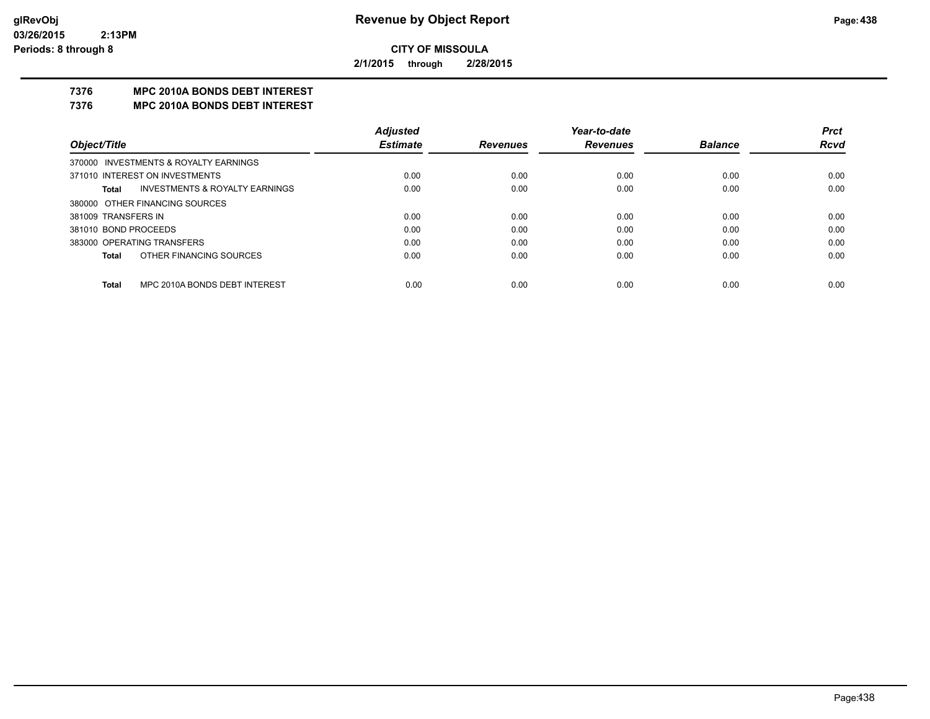**2/1/2015 through 2/28/2015**

#### **7376 MPC 2010A BONDS DEBT INTEREST**

#### **7376 MPC 2010A BONDS DEBT INTEREST**

|                            |                                           | <b>Adjusted</b> |                 | Year-to-date    |                | <b>Prct</b> |
|----------------------------|-------------------------------------------|-----------------|-----------------|-----------------|----------------|-------------|
| Object/Title               |                                           | <b>Estimate</b> | <b>Revenues</b> | <b>Revenues</b> | <b>Balance</b> | <b>Rcvd</b> |
|                            | 370000 INVESTMENTS & ROYALTY EARNINGS     |                 |                 |                 |                |             |
|                            | 371010 INTEREST ON INVESTMENTS            | 0.00            | 0.00            | 0.00            | 0.00           | 0.00        |
| Total                      | <b>INVESTMENTS &amp; ROYALTY EARNINGS</b> | 0.00            | 0.00            | 0.00            | 0.00           | 0.00        |
|                            | 380000 OTHER FINANCING SOURCES            |                 |                 |                 |                |             |
| 381009 TRANSFERS IN        |                                           | 0.00            | 0.00            | 0.00            | 0.00           | 0.00        |
| 381010 BOND PROCEEDS       |                                           | 0.00            | 0.00            | 0.00            | 0.00           | 0.00        |
| 383000 OPERATING TRANSFERS |                                           | 0.00            | 0.00            | 0.00            | 0.00           | 0.00        |
| Total                      | OTHER FINANCING SOURCES                   | 0.00            | 0.00            | 0.00            | 0.00           | 0.00        |
|                            |                                           |                 |                 |                 |                |             |
| Total                      | MPC 2010A BONDS DEBT INTEREST             | 0.00            | 0.00            | 0.00            | 0.00           | 0.00        |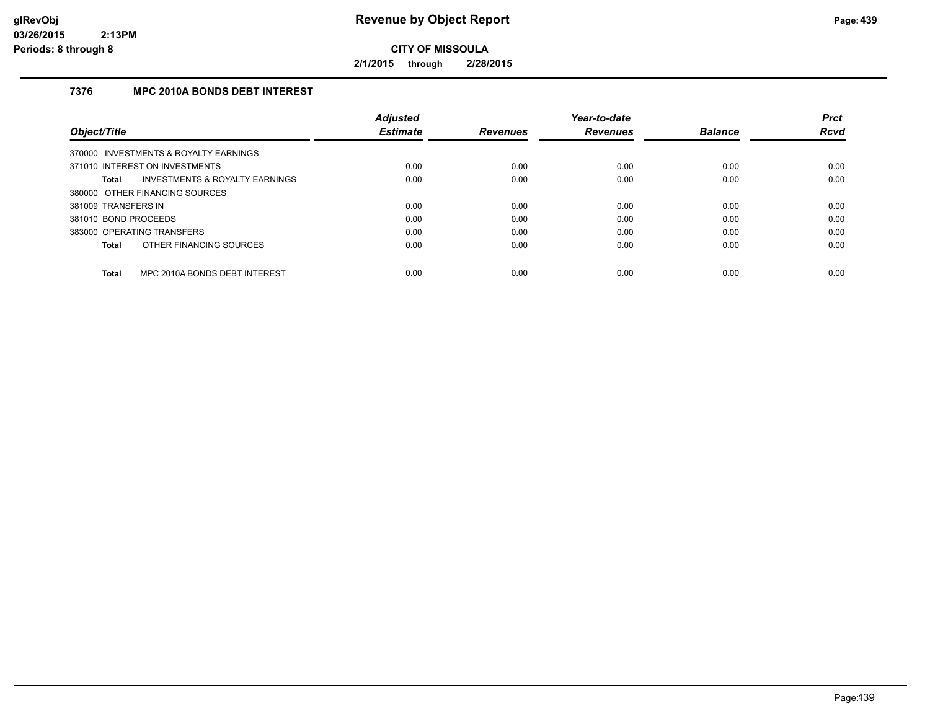**2/1/2015 through 2/28/2015**

#### **7376 MPC 2010A BONDS DEBT INTEREST**

|                                                | <b>Adjusted</b> |                 | Year-to-date    |                | <b>Prct</b> |
|------------------------------------------------|-----------------|-----------------|-----------------|----------------|-------------|
| <i><b>Object/Title</b></i>                     | <b>Estimate</b> | <b>Revenues</b> | <b>Revenues</b> | <b>Balance</b> | Rcvd        |
| 370000 INVESTMENTS & ROYALTY EARNINGS          |                 |                 |                 |                |             |
| 371010 INTEREST ON INVESTMENTS                 | 0.00            | 0.00            | 0.00            | 0.00           | 0.00        |
| INVESTMENTS & ROYALTY EARNINGS<br><b>Total</b> | 0.00            | 0.00            | 0.00            | 0.00           | 0.00        |
| 380000 OTHER FINANCING SOURCES                 |                 |                 |                 |                |             |
| 381009 TRANSFERS IN                            | 0.00            | 0.00            | 0.00            | 0.00           | 0.00        |
| 381010 BOND PROCEEDS                           | 0.00            | 0.00            | 0.00            | 0.00           | 0.00        |
| 383000 OPERATING TRANSFERS                     | 0.00            | 0.00            | 0.00            | 0.00           | 0.00        |
| OTHER FINANCING SOURCES<br><b>Total</b>        | 0.00            | 0.00            | 0.00            | 0.00           | 0.00        |
| MPC 2010A BONDS DEBT INTEREST<br><b>Total</b>  | 0.00            | 0.00            | 0.00            | 0.00           | 0.00        |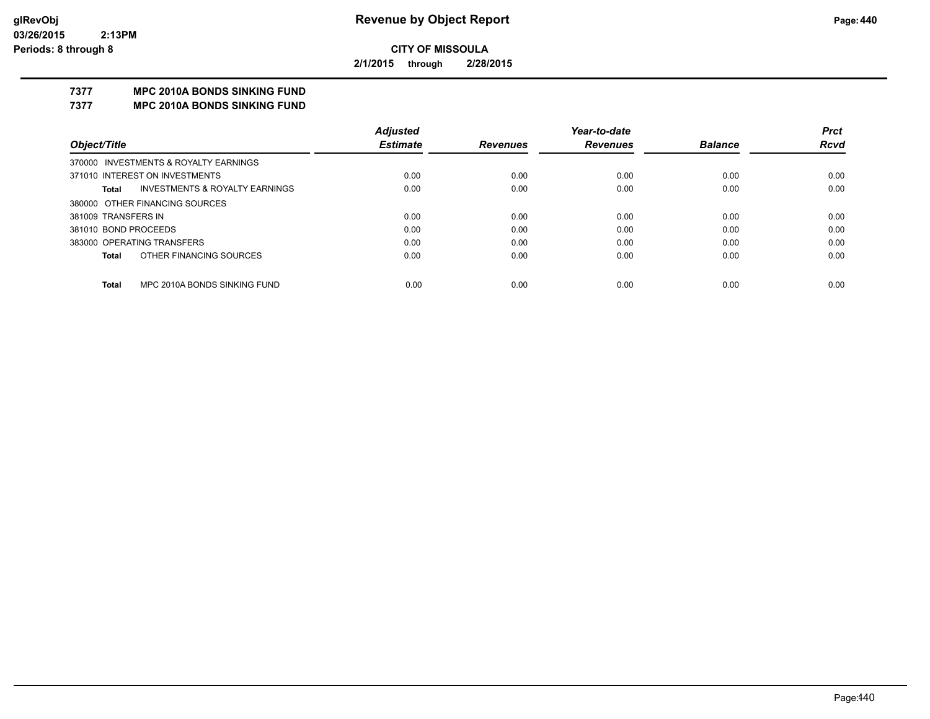**2/1/2015 through 2/28/2015**

### **7377 MPC 2010A BONDS SINKING FUND**

**7377 MPC 2010A BONDS SINKING FUND**

|                                                    | <b>Adjusted</b> |                 | Year-to-date    |                | <b>Prct</b> |
|----------------------------------------------------|-----------------|-----------------|-----------------|----------------|-------------|
| Object/Title                                       | <b>Estimate</b> | <b>Revenues</b> | <b>Revenues</b> | <b>Balance</b> | Rcvd        |
| 370000 INVESTMENTS & ROYALTY EARNINGS              |                 |                 |                 |                |             |
| 371010 INTEREST ON INVESTMENTS                     | 0.00            | 0.00            | 0.00            | 0.00           | 0.00        |
| <b>INVESTMENTS &amp; ROYALTY EARNINGS</b><br>Total | 0.00            | 0.00            | 0.00            | 0.00           | 0.00        |
| 380000 OTHER FINANCING SOURCES                     |                 |                 |                 |                |             |
| 381009 TRANSFERS IN                                | 0.00            | 0.00            | 0.00            | 0.00           | 0.00        |
| 381010 BOND PROCEEDS                               | 0.00            | 0.00            | 0.00            | 0.00           | 0.00        |
| 383000 OPERATING TRANSFERS                         | 0.00            | 0.00            | 0.00            | 0.00           | 0.00        |
| OTHER FINANCING SOURCES<br>Total                   | 0.00            | 0.00            | 0.00            | 0.00           | 0.00        |
|                                                    |                 |                 |                 |                |             |
| MPC 2010A BONDS SINKING FUND<br><b>Total</b>       | 0.00            | 0.00            | 0.00            | 0.00           | 0.00        |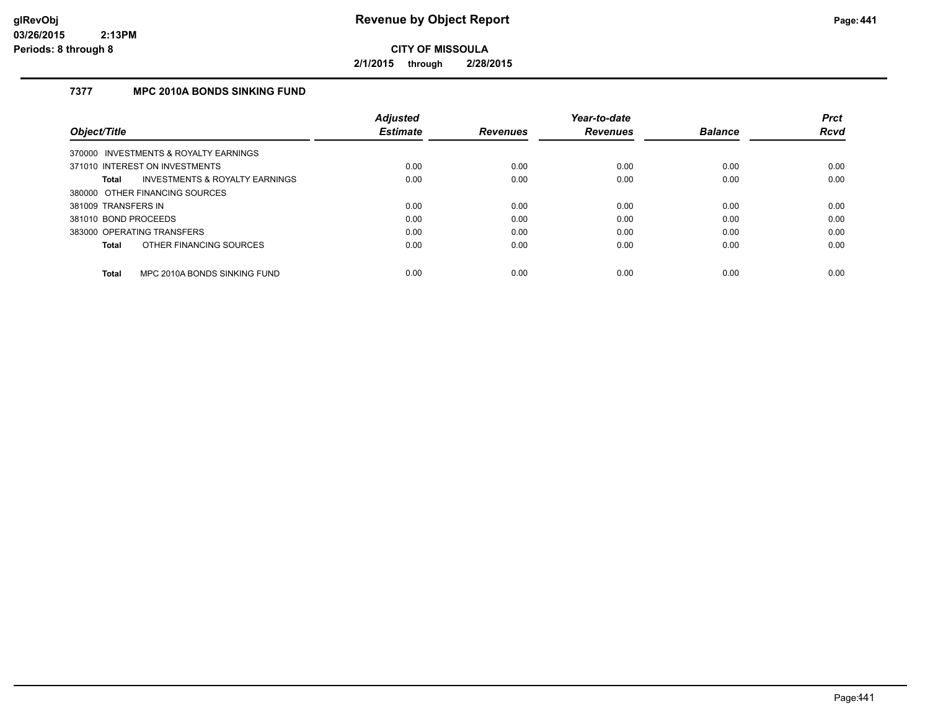**2/1/2015 through 2/28/2015**

#### **7377 MPC 2010A BONDS SINKING FUND**

|                                                | <b>Adjusted</b> |                 | Year-to-date    |                | <b>Prct</b> |
|------------------------------------------------|-----------------|-----------------|-----------------|----------------|-------------|
| Object/Title                                   | <b>Estimate</b> | <b>Revenues</b> | <b>Revenues</b> | <b>Balance</b> | <b>Rcvd</b> |
| 370000 INVESTMENTS & ROYALTY EARNINGS          |                 |                 |                 |                |             |
| 371010 INTEREST ON INVESTMENTS                 | 0.00            | 0.00            | 0.00            | 0.00           | 0.00        |
| INVESTMENTS & ROYALTY EARNINGS<br><b>Total</b> | 0.00            | 0.00            | 0.00            | 0.00           | 0.00        |
| 380000 OTHER FINANCING SOURCES                 |                 |                 |                 |                |             |
| 381009 TRANSFERS IN                            | 0.00            | 0.00            | 0.00            | 0.00           | 0.00        |
| 381010 BOND PROCEEDS                           | 0.00            | 0.00            | 0.00            | 0.00           | 0.00        |
| 383000 OPERATING TRANSFERS                     | 0.00            | 0.00            | 0.00            | 0.00           | 0.00        |
| OTHER FINANCING SOURCES<br>Total               | 0.00            | 0.00            | 0.00            | 0.00           | 0.00        |
| MPC 2010A BONDS SINKING FUND<br><b>Total</b>   | 0.00            | 0.00            | 0.00            | 0.00           | 0.00        |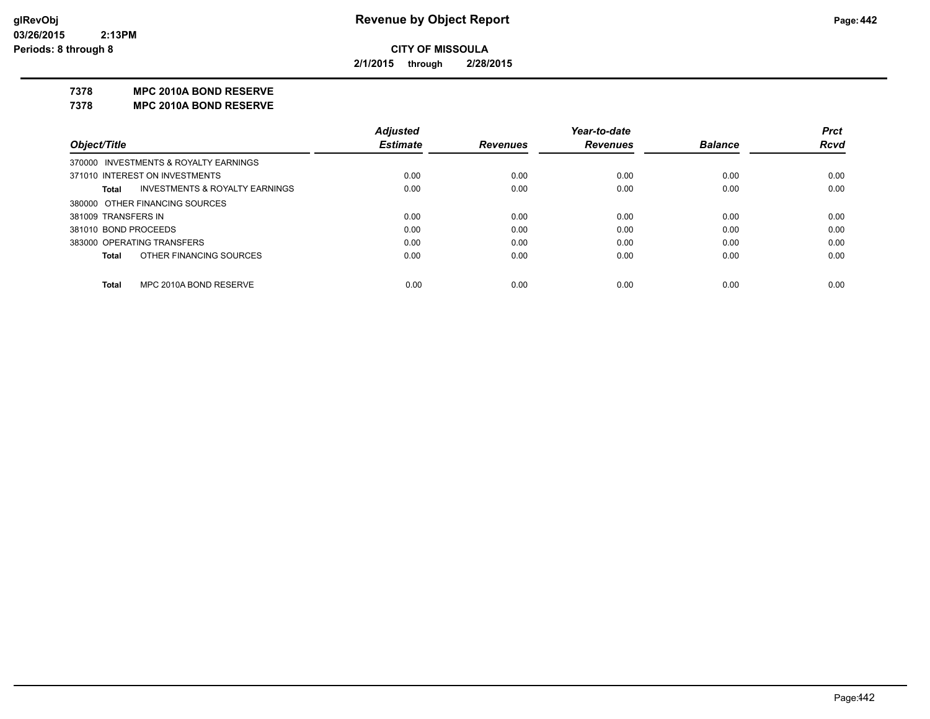**2/1/2015 through 2/28/2015**

#### **7378 MPC 2010A BOND RESERVE**

**7378 MPC 2010A BOND RESERVE**

|                      |                                           | <b>Adjusted</b> |                 | Year-to-date    |                | <b>Prct</b> |
|----------------------|-------------------------------------------|-----------------|-----------------|-----------------|----------------|-------------|
| Object/Title         |                                           | <b>Estimate</b> | <b>Revenues</b> | <b>Revenues</b> | <b>Balance</b> | <b>Rcvd</b> |
|                      | 370000 INVESTMENTS & ROYALTY EARNINGS     |                 |                 |                 |                |             |
|                      | 371010 INTEREST ON INVESTMENTS            | 0.00            | 0.00            | 0.00            | 0.00           | 0.00        |
| Total                | <b>INVESTMENTS &amp; ROYALTY EARNINGS</b> | 0.00            | 0.00            | 0.00            | 0.00           | 0.00        |
|                      | 380000 OTHER FINANCING SOURCES            |                 |                 |                 |                |             |
| 381009 TRANSFERS IN  |                                           | 0.00            | 0.00            | 0.00            | 0.00           | 0.00        |
| 381010 BOND PROCEEDS |                                           | 0.00            | 0.00            | 0.00            | 0.00           | 0.00        |
|                      | 383000 OPERATING TRANSFERS                | 0.00            | 0.00            | 0.00            | 0.00           | 0.00        |
| Total                | OTHER FINANCING SOURCES                   | 0.00            | 0.00            | 0.00            | 0.00           | 0.00        |
|                      |                                           |                 |                 |                 |                |             |
| Total                | MPC 2010A BOND RESERVE                    | 0.00            | 0.00            | 0.00            | 0.00           | 0.00        |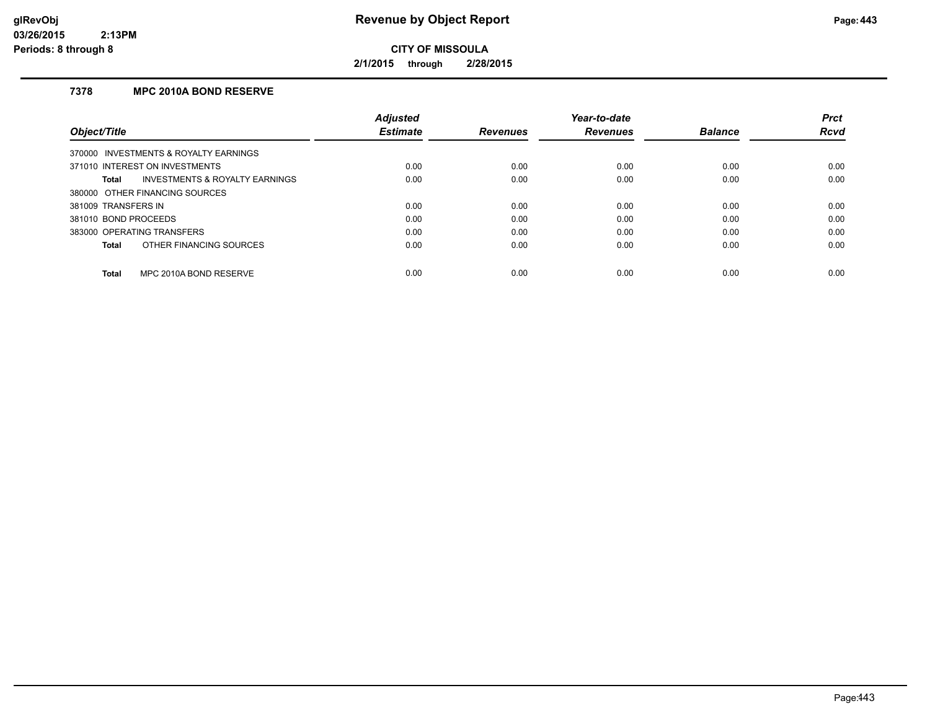**2/1/2015 through 2/28/2015**

#### **7378 MPC 2010A BOND RESERVE**

|                                         | <b>Adjusted</b> |                 | Year-to-date    |                | <b>Prct</b> |
|-----------------------------------------|-----------------|-----------------|-----------------|----------------|-------------|
| Object/Title                            | <b>Estimate</b> | <b>Revenues</b> | <b>Revenues</b> | <b>Balance</b> | <b>Rcvd</b> |
| 370000 INVESTMENTS & ROYALTY EARNINGS   |                 |                 |                 |                |             |
| 371010 INTEREST ON INVESTMENTS          | 0.00            | 0.00            | 0.00            | 0.00           | 0.00        |
| INVESTMENTS & ROYALTY EARNINGS<br>Total | 0.00            | 0.00            | 0.00            | 0.00           | 0.00        |
| 380000 OTHER FINANCING SOURCES          |                 |                 |                 |                |             |
| 381009 TRANSFERS IN                     | 0.00            | 0.00            | 0.00            | 0.00           | 0.00        |
| 381010 BOND PROCEEDS                    | 0.00            | 0.00            | 0.00            | 0.00           | 0.00        |
| 383000 OPERATING TRANSFERS              | 0.00            | 0.00            | 0.00            | 0.00           | 0.00        |
| OTHER FINANCING SOURCES<br>Total        | 0.00            | 0.00            | 0.00            | 0.00           | 0.00        |
| MPC 2010A BOND RESERVE<br><b>Total</b>  | 0.00            | 0.00            | 0.00            | 0.00           | 0.00        |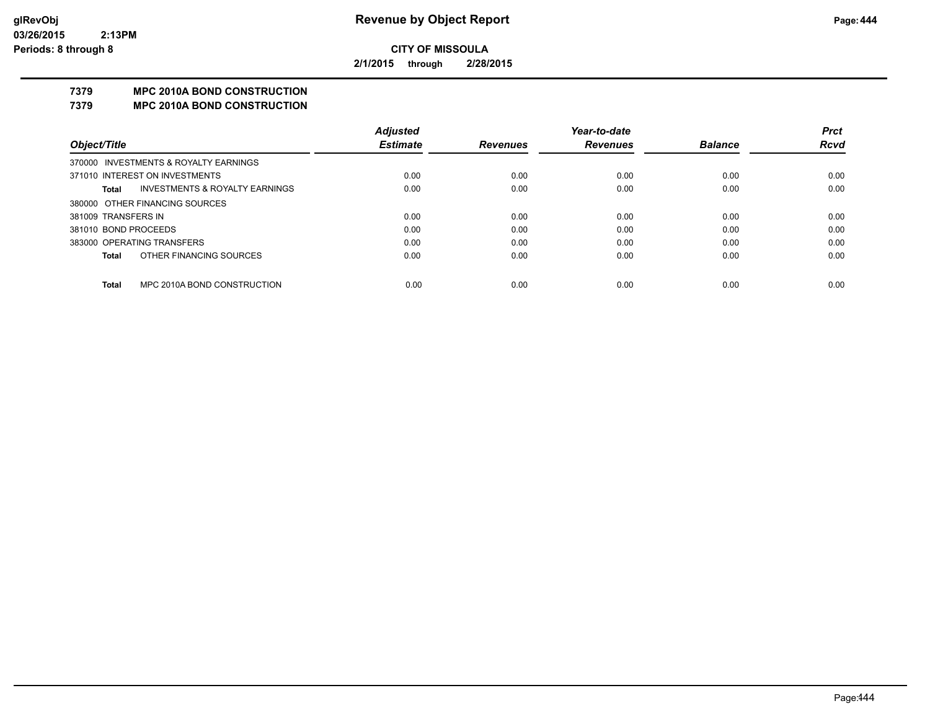**2/1/2015 through 2/28/2015**

#### **7379 MPC 2010A BOND CONSTRUCTION**

#### **7379 MPC 2010A BOND CONSTRUCTION**

|                      |                                       | <b>Adjusted</b> |                 | Year-to-date    |                | <b>Prct</b> |
|----------------------|---------------------------------------|-----------------|-----------------|-----------------|----------------|-------------|
| Object/Title         |                                       | <b>Estimate</b> | <b>Revenues</b> | <b>Revenues</b> | <b>Balance</b> | <b>Rcvd</b> |
|                      | 370000 INVESTMENTS & ROYALTY EARNINGS |                 |                 |                 |                |             |
|                      | 371010 INTEREST ON INVESTMENTS        | 0.00            | 0.00            | 0.00            | 0.00           | 0.00        |
| Total                | INVESTMENTS & ROYALTY EARNINGS        | 0.00            | 0.00            | 0.00            | 0.00           | 0.00        |
|                      | 380000 OTHER FINANCING SOURCES        |                 |                 |                 |                |             |
| 381009 TRANSFERS IN  |                                       | 0.00            | 0.00            | 0.00            | 0.00           | 0.00        |
| 381010 BOND PROCEEDS |                                       | 0.00            | 0.00            | 0.00            | 0.00           | 0.00        |
|                      | 383000 OPERATING TRANSFERS            | 0.00            | 0.00            | 0.00            | 0.00           | 0.00        |
| Total                | OTHER FINANCING SOURCES               | 0.00            | 0.00            | 0.00            | 0.00           | 0.00        |
| <b>Total</b>         | MPC 2010A BOND CONSTRUCTION           | 0.00            | 0.00            | 0.00            | 0.00           | 0.00        |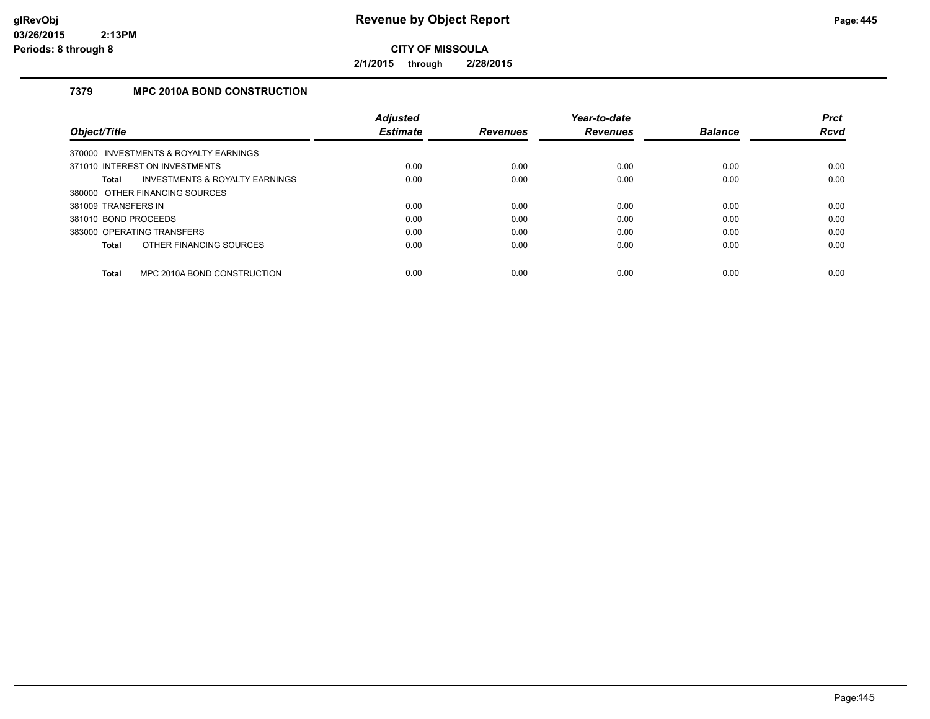**2/1/2015 through 2/28/2015**

#### **7379 MPC 2010A BOND CONSTRUCTION**

|                                                    | <b>Adjusted</b> |                 | Year-to-date    |                | <b>Prct</b> |
|----------------------------------------------------|-----------------|-----------------|-----------------|----------------|-------------|
| Object/Title                                       | <b>Estimate</b> | <b>Revenues</b> | <b>Revenues</b> | <b>Balance</b> | <b>Rcvd</b> |
| 370000 INVESTMENTS & ROYALTY EARNINGS              |                 |                 |                 |                |             |
| 371010 INTEREST ON INVESTMENTS                     | 0.00            | 0.00            | 0.00            | 0.00           | 0.00        |
| <b>INVESTMENTS &amp; ROYALTY EARNINGS</b><br>Total | 0.00            | 0.00            | 0.00            | 0.00           | 0.00        |
| 380000 OTHER FINANCING SOURCES                     |                 |                 |                 |                |             |
| 381009 TRANSFERS IN                                | 0.00            | 0.00            | 0.00            | 0.00           | 0.00        |
| 381010 BOND PROCEEDS                               | 0.00            | 0.00            | 0.00            | 0.00           | 0.00        |
| 383000 OPERATING TRANSFERS                         | 0.00            | 0.00            | 0.00            | 0.00           | 0.00        |
| OTHER FINANCING SOURCES<br><b>Total</b>            | 0.00            | 0.00            | 0.00            | 0.00           | 0.00        |
| MPC 2010A BOND CONSTRUCTION<br><b>Total</b>        | 0.00            | 0.00            | 0.00            | 0.00           | 0.00        |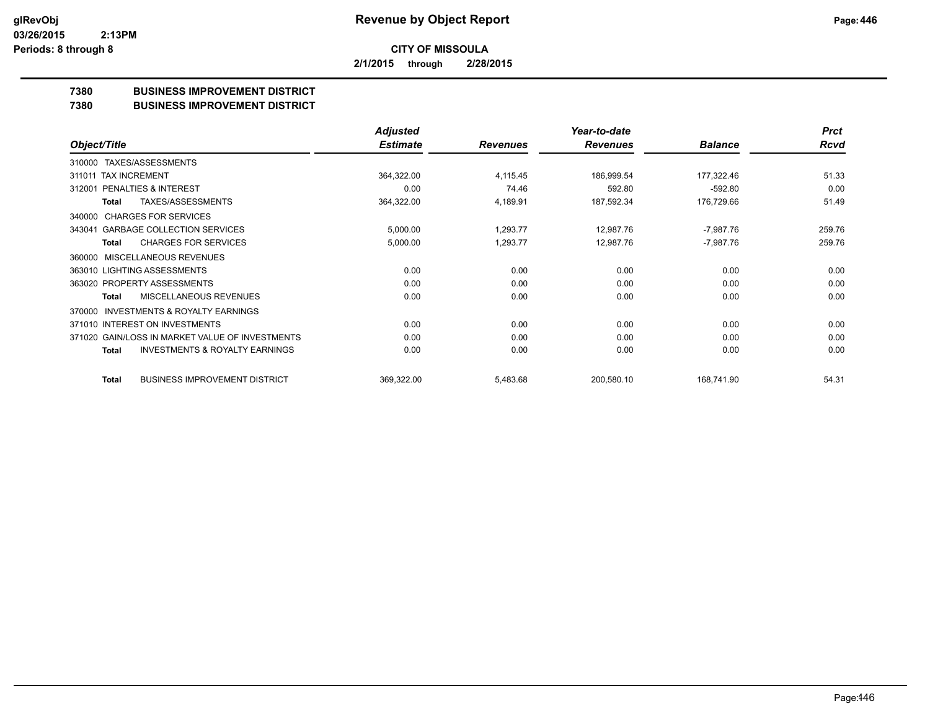**2/1/2015 through 2/28/2015**

### **7380 BUSINESS IMPROVEMENT DISTRICT**

#### **7380 BUSINESS IMPROVEMENT DISTRICT**

|                                                     | <b>Adjusted</b> |                 | Year-to-date    |                | <b>Prct</b> |
|-----------------------------------------------------|-----------------|-----------------|-----------------|----------------|-------------|
| Object/Title                                        | <b>Estimate</b> | <b>Revenues</b> | <b>Revenues</b> | <b>Balance</b> | Rcvd        |
| TAXES/ASSESSMENTS<br>310000                         |                 |                 |                 |                |             |
| 311011 TAX INCREMENT                                | 364,322.00      | 4,115.45        | 186,999.54      | 177,322.46     | 51.33       |
| <b>PENALTIES &amp; INTEREST</b><br>312001           | 0.00            | 74.46           | 592.80          | $-592.80$      | 0.00        |
| <b>TAXES/ASSESSMENTS</b><br><b>Total</b>            | 364,322.00      | 4,189.91        | 187,592.34      | 176,729.66     | 51.49       |
| <b>CHARGES FOR SERVICES</b><br>340000               |                 |                 |                 |                |             |
| <b>GARBAGE COLLECTION SERVICES</b><br>343041        | 5,000.00        | 1,293.77        | 12,987.76       | $-7,987.76$    | 259.76      |
| <b>CHARGES FOR SERVICES</b><br><b>Total</b>         | 5,000.00        | 1,293.77        | 12,987.76       | $-7,987.76$    | 259.76      |
| <b>MISCELLANEOUS REVENUES</b><br>360000             |                 |                 |                 |                |             |
| 363010 LIGHTING ASSESSMENTS                         | 0.00            | 0.00            | 0.00            | 0.00           | 0.00        |
| 363020 PROPERTY ASSESSMENTS                         | 0.00            | 0.00            | 0.00            | 0.00           | 0.00        |
| MISCELLANEOUS REVENUES<br>Total                     | 0.00            | 0.00            | 0.00            | 0.00           | 0.00        |
| <b>INVESTMENTS &amp; ROYALTY EARNINGS</b><br>370000 |                 |                 |                 |                |             |
| 371010 INTEREST ON INVESTMENTS                      | 0.00            | 0.00            | 0.00            | 0.00           | 0.00        |
| 371020 GAIN/LOSS IN MARKET VALUE OF INVESTMENTS     | 0.00            | 0.00            | 0.00            | 0.00           | 0.00        |
| <b>INVESTMENTS &amp; ROYALTY EARNINGS</b><br>Total  | 0.00            | 0.00            | 0.00            | 0.00           | 0.00        |
| <b>BUSINESS IMPROVEMENT DISTRICT</b><br>Total       | 369,322.00      | 5,483.68        | 200,580.10      | 168,741.90     | 54.31       |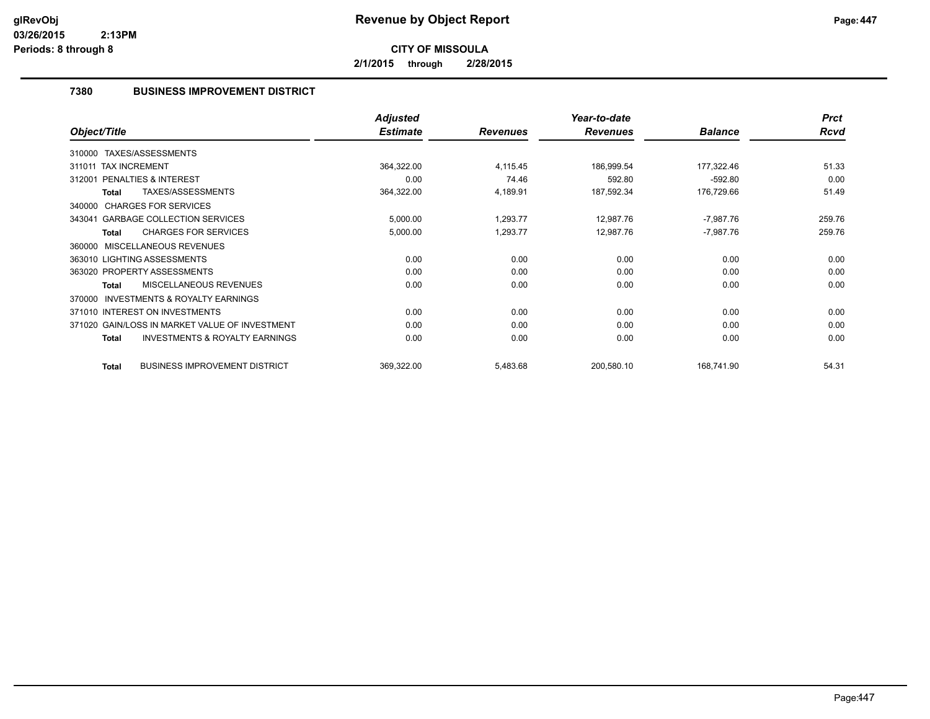**2/1/2015 through 2/28/2015**

#### **7380 BUSINESS IMPROVEMENT DISTRICT**

|                                                           | <b>Adjusted</b> |                 | Year-to-date    |                | <b>Prct</b> |
|-----------------------------------------------------------|-----------------|-----------------|-----------------|----------------|-------------|
| Object/Title                                              | <b>Estimate</b> | <b>Revenues</b> | <b>Revenues</b> | <b>Balance</b> | Rcvd        |
| 310000 TAXES/ASSESSMENTS                                  |                 |                 |                 |                |             |
| <b>TAX INCREMENT</b><br>311011                            | 364,322.00      | 4,115.45        | 186,999.54      | 177,322.46     | 51.33       |
| PENALTIES & INTEREST<br>312001                            | 0.00            | 74.46           | 592.80          | $-592.80$      | 0.00        |
| TAXES/ASSESSMENTS<br><b>Total</b>                         | 364,322.00      | 4,189.91        | 187,592.34      | 176,729.66     | 51.49       |
| 340000 CHARGES FOR SERVICES                               |                 |                 |                 |                |             |
| <b>GARBAGE COLLECTION SERVICES</b><br>343041              | 5,000.00        | 1,293.77        | 12,987.76       | $-7,987.76$    | 259.76      |
| <b>CHARGES FOR SERVICES</b><br><b>Total</b>               | 5,000.00        | 1,293.77        | 12,987.76       | $-7,987.76$    | 259.76      |
| MISCELLANEOUS REVENUES<br>360000                          |                 |                 |                 |                |             |
| 363010 LIGHTING ASSESSMENTS                               | 0.00            | 0.00            | 0.00            | 0.00           | 0.00        |
| 363020 PROPERTY ASSESSMENTS                               | 0.00            | 0.00            | 0.00            | 0.00           | 0.00        |
| <b>MISCELLANEOUS REVENUES</b><br><b>Total</b>             | 0.00            | 0.00            | 0.00            | 0.00           | 0.00        |
| <b>INVESTMENTS &amp; ROYALTY EARNINGS</b><br>370000       |                 |                 |                 |                |             |
| 371010 INTEREST ON INVESTMENTS                            | 0.00            | 0.00            | 0.00            | 0.00           | 0.00        |
| 371020 GAIN/LOSS IN MARKET VALUE OF INVESTMENT            | 0.00            | 0.00            | 0.00            | 0.00           | 0.00        |
| <b>INVESTMENTS &amp; ROYALTY EARNINGS</b><br><b>Total</b> | 0.00            | 0.00            | 0.00            | 0.00           | 0.00        |
| <b>BUSINESS IMPROVEMENT DISTRICT</b><br><b>Total</b>      | 369,322.00      | 5,483.68        | 200,580.10      | 168,741.90     | 54.31       |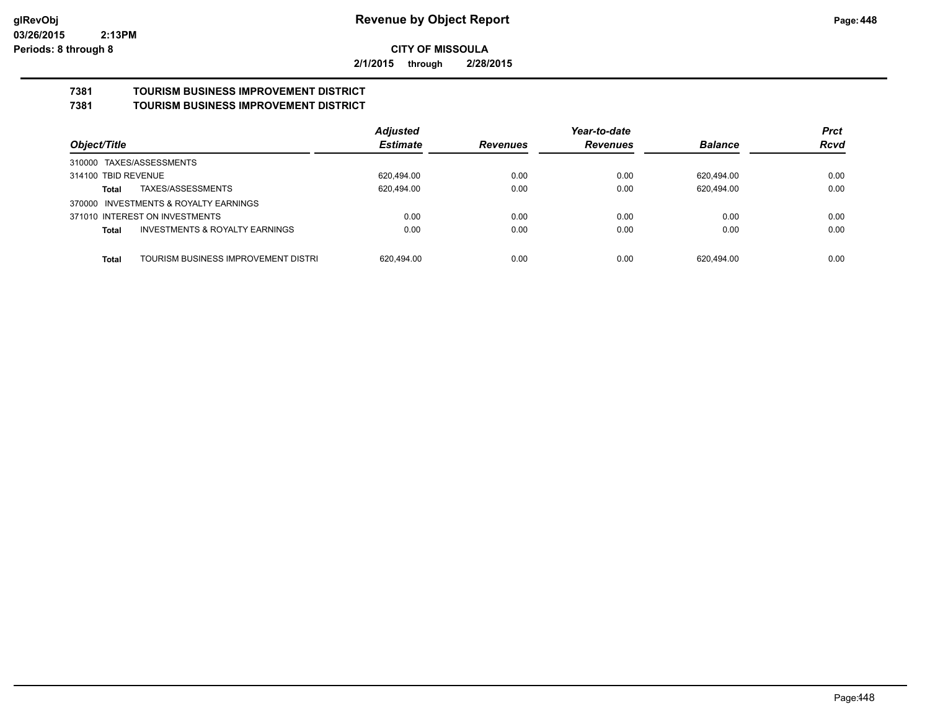**2/1/2015 through 2/28/2015**

#### **7381 TOURISM BUSINESS IMPROVEMENT DISTRICT 7381 TOURISM BUSINESS IMPROVEMENT DISTRICT**

|                                                     | <b>Adjusted</b> |          | Year-to-date    | <b>Prct</b>    |             |
|-----------------------------------------------------|-----------------|----------|-----------------|----------------|-------------|
| Object/Title                                        | <b>Estimate</b> | Revenues | <b>Revenues</b> | <b>Balance</b> | <b>Rcvd</b> |
| 310000 TAXES/ASSESSMENTS                            |                 |          |                 |                |             |
| 314100 TBID REVENUE                                 | 620.494.00      | 0.00     | 0.00            | 620.494.00     | 0.00        |
| TAXES/ASSESSMENTS<br>Total                          | 620,494.00      | 0.00     | 0.00            | 620.494.00     | 0.00        |
| 370000 INVESTMENTS & ROYALTY EARNINGS               |                 |          |                 |                |             |
| 371010 INTEREST ON INVESTMENTS                      | 0.00            | 0.00     | 0.00            | 0.00           | 0.00        |
| <b>INVESTMENTS &amp; ROYALTY EARNINGS</b><br>Total  | 0.00            | 0.00     | 0.00            | 0.00           | 0.00        |
|                                                     |                 |          |                 |                |             |
| TOURISM BUSINESS IMPROVEMENT DISTRI<br><b>Total</b> | 620.494.00      | 0.00     | 0.00            | 620.494.00     | 0.00        |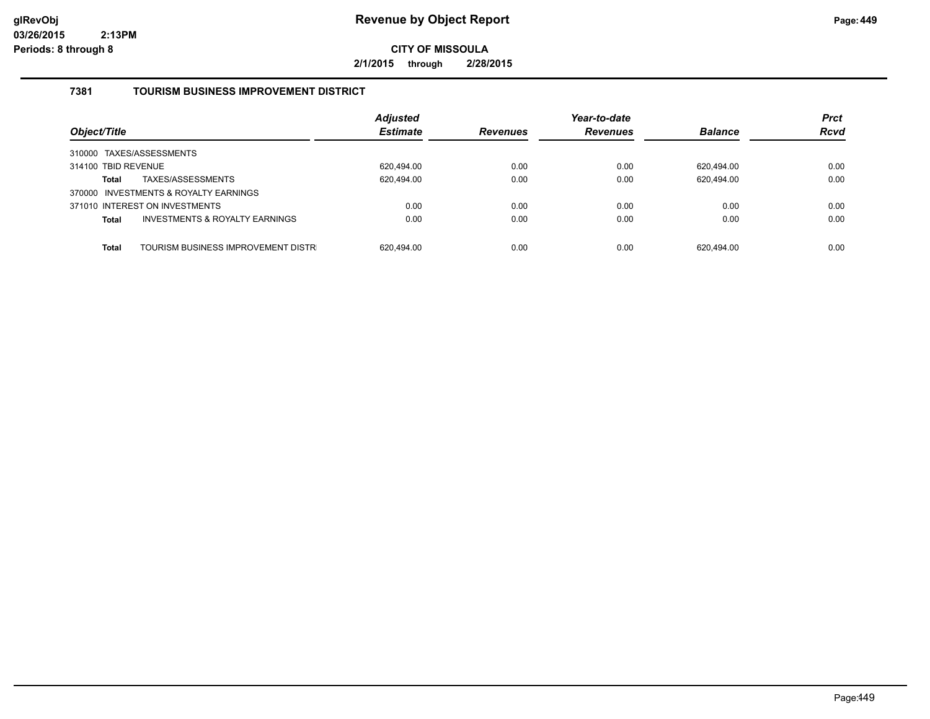**2/1/2015 through 2/28/2015**

#### **7381 TOURISM BUSINESS IMPROVEMENT DISTRICT**

| Object/Title                                              | <b>Adjusted</b><br><b>Estimate</b> | <b>Revenues</b> | Year-to-date<br><b>Revenues</b> | <b>Balance</b> | <b>Prct</b><br><b>Rcvd</b> |
|-----------------------------------------------------------|------------------------------------|-----------------|---------------------------------|----------------|----------------------------|
| 310000 TAXES/ASSESSMENTS                                  |                                    |                 |                                 |                |                            |
| 314100 TBID REVENUE                                       | 620.494.00                         | 0.00            | 0.00                            | 620.494.00     | 0.00                       |
| TAXES/ASSESSMENTS<br><b>Total</b>                         | 620,494.00                         | 0.00            | 0.00                            | 620,494.00     | 0.00                       |
| 370000 INVESTMENTS & ROYALTY EARNINGS                     |                                    |                 |                                 |                |                            |
| 371010 INTEREST ON INVESTMENTS                            | 0.00                               | 0.00            | 0.00                            | 0.00           | 0.00                       |
| <b>INVESTMENTS &amp; ROYALTY EARNINGS</b><br><b>Total</b> | 0.00                               | 0.00            | 0.00                            | 0.00           | 0.00                       |
|                                                           |                                    |                 |                                 |                |                            |
| TOURISM BUSINESS IMPROVEMENT DISTR<br><b>Total</b>        | 620.494.00                         | 0.00            | 0.00                            | 620.494.00     | 0.00                       |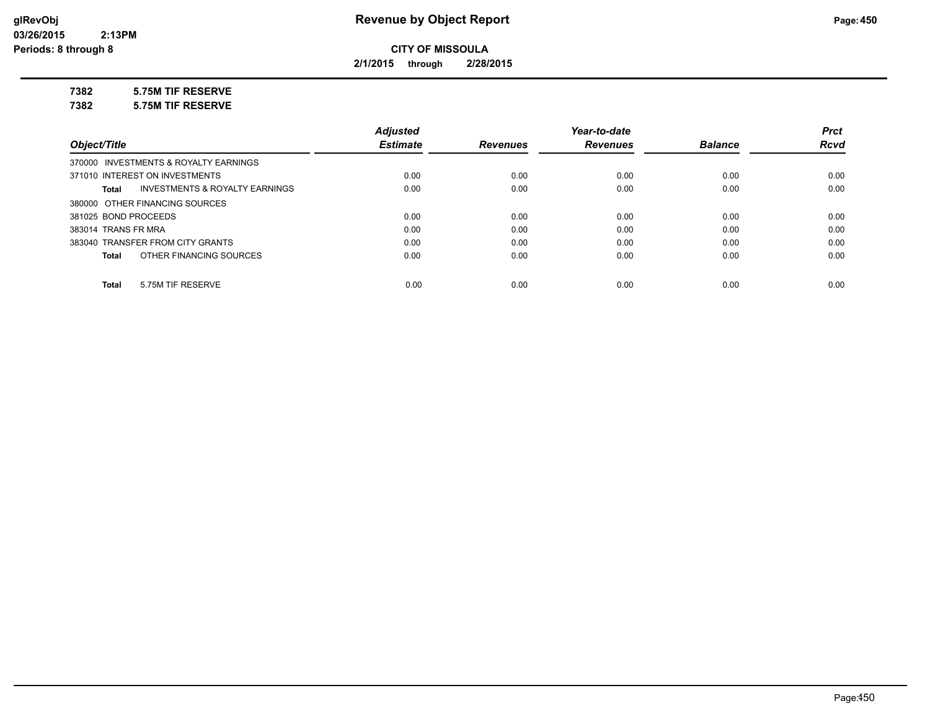**2/1/2015 through 2/28/2015**

## **7382 5.75M TIF RESERVE**

**7382 5.75M TIF RESERVE**

|                                                    | <b>Adjusted</b> |                 | Year-to-date    |                | <b>Prct</b> |
|----------------------------------------------------|-----------------|-----------------|-----------------|----------------|-------------|
| Object/Title                                       | <b>Estimate</b> | <b>Revenues</b> | <b>Revenues</b> | <b>Balance</b> | <b>Rcvd</b> |
| 370000 INVESTMENTS & ROYALTY EARNINGS              |                 |                 |                 |                |             |
| 371010 INTEREST ON INVESTMENTS                     | 0.00            | 0.00            | 0.00            | 0.00           | 0.00        |
| <b>INVESTMENTS &amp; ROYALTY EARNINGS</b><br>Total | 0.00            | 0.00            | 0.00            | 0.00           | 0.00        |
| 380000 OTHER FINANCING SOURCES                     |                 |                 |                 |                |             |
| 381025 BOND PROCEEDS                               | 0.00            | 0.00            | 0.00            | 0.00           | 0.00        |
| 383014 TRANS FR MRA                                | 0.00            | 0.00            | 0.00            | 0.00           | 0.00        |
| 383040 TRANSFER FROM CITY GRANTS                   | 0.00            | 0.00            | 0.00            | 0.00           | 0.00        |
| OTHER FINANCING SOURCES<br>Total                   | 0.00            | 0.00            | 0.00            | 0.00           | 0.00        |
|                                                    |                 |                 |                 |                |             |
| 5.75M TIF RESERVE<br>Total                         | 0.00            | 0.00            | 0.00            | 0.00           | 0.00        |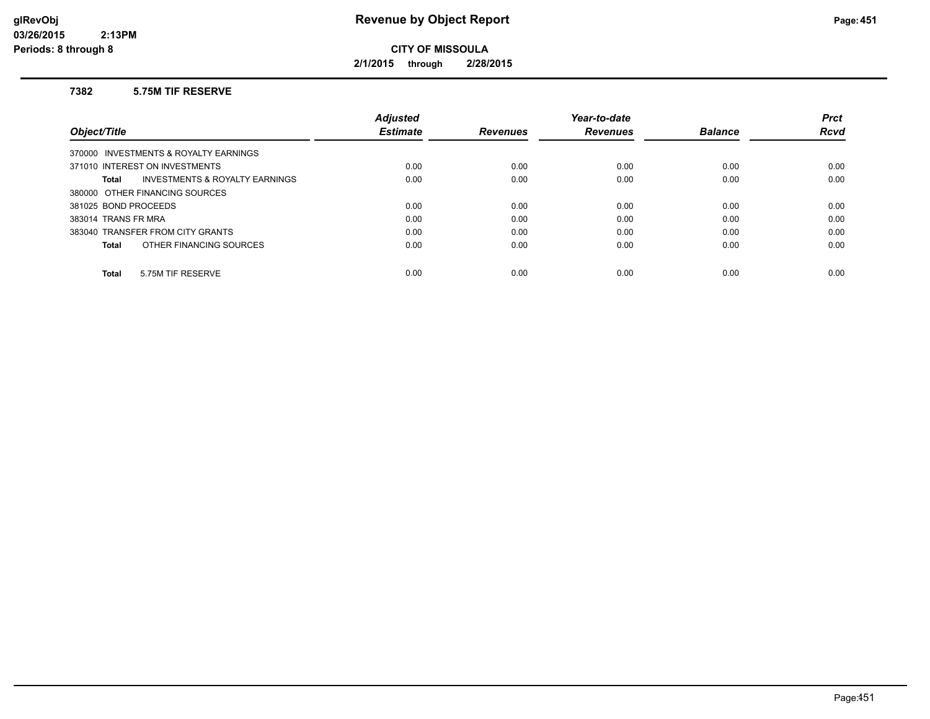**2/1/2015 through 2/28/2015**

#### **7382 5.75M TIF RESERVE**

|                                                    | <b>Adjusted</b> |                 | Year-to-date    |                | <b>Prct</b> |
|----------------------------------------------------|-----------------|-----------------|-----------------|----------------|-------------|
| Object/Title                                       | <b>Estimate</b> | <b>Revenues</b> | <b>Revenues</b> | <b>Balance</b> | <b>Rcvd</b> |
| 370000 INVESTMENTS & ROYALTY EARNINGS              |                 |                 |                 |                |             |
| 371010 INTEREST ON INVESTMENTS                     | 0.00            | 0.00            | 0.00            | 0.00           | 0.00        |
| <b>INVESTMENTS &amp; ROYALTY EARNINGS</b><br>Total | 0.00            | 0.00            | 0.00            | 0.00           | 0.00        |
| 380000 OTHER FINANCING SOURCES                     |                 |                 |                 |                |             |
| 381025 BOND PROCEEDS                               | 0.00            | 0.00            | 0.00            | 0.00           | 0.00        |
| 383014 TRANS FR MRA                                | 0.00            | 0.00            | 0.00            | 0.00           | 0.00        |
| 383040 TRANSFER FROM CITY GRANTS                   | 0.00            | 0.00            | 0.00            | 0.00           | 0.00        |
| OTHER FINANCING SOURCES<br>Total                   | 0.00            | 0.00            | 0.00            | 0.00           | 0.00        |
|                                                    |                 |                 |                 |                |             |
| 5.75M TIF RESERVE<br><b>Total</b>                  | 0.00            | 0.00            | 0.00            | 0.00           | 0.00        |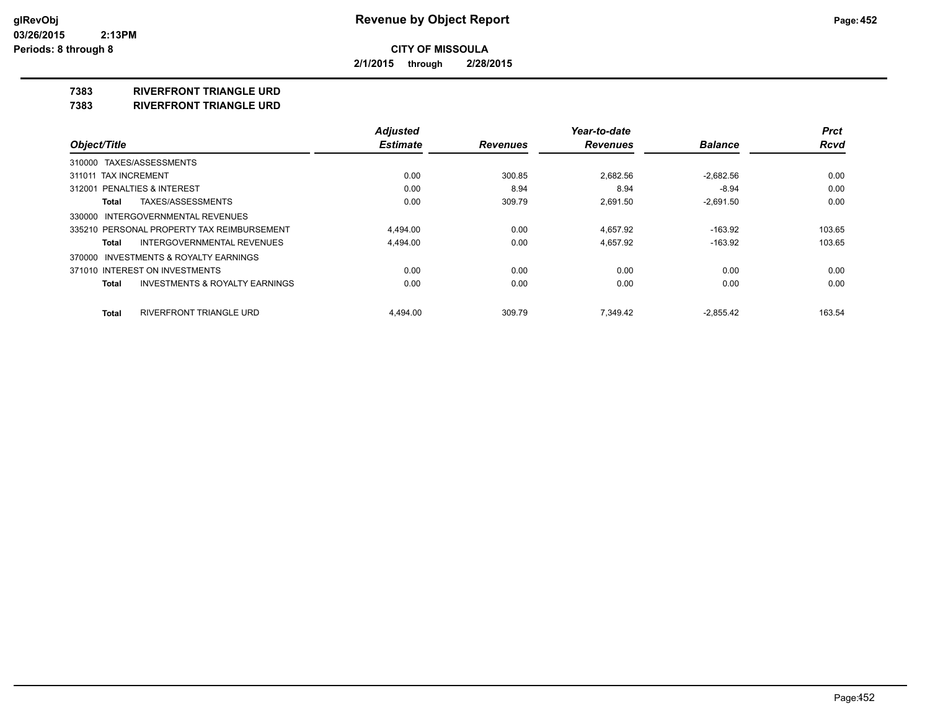**2/1/2015 through 2/28/2015**

**7383 RIVERFRONT TRIANGLE URD**

**7383 RIVERFRONT TRIANGLE URD**

|                                                           | <b>Adjusted</b> |                 | Year-to-date    |                | <b>Prct</b> |
|-----------------------------------------------------------|-----------------|-----------------|-----------------|----------------|-------------|
| Object/Title                                              | <b>Estimate</b> | <b>Revenues</b> | <b>Revenues</b> | <b>Balance</b> | <b>Rcvd</b> |
| 310000 TAXES/ASSESSMENTS                                  |                 |                 |                 |                |             |
| 311011 TAX INCREMENT                                      | 0.00            | 300.85          | 2,682.56        | $-2,682.56$    | 0.00        |
| <b>PENALTIES &amp; INTEREST</b><br>312001                 | 0.00            | 8.94            | 8.94            | $-8.94$        | 0.00        |
| TAXES/ASSESSMENTS<br><b>Total</b>                         | 0.00            | 309.79          | 2.691.50        | $-2,691.50$    | 0.00        |
| 330000 INTERGOVERNMENTAL REVENUES                         |                 |                 |                 |                |             |
| 335210 PERSONAL PROPERTY TAX REIMBURSEMENT                | 4,494.00        | 0.00            | 4,657.92        | $-163.92$      | 103.65      |
| INTERGOVERNMENTAL REVENUES<br>Total                       | 4.494.00        | 0.00            | 4,657.92        | $-163.92$      | 103.65      |
| 370000 INVESTMENTS & ROYALTY EARNINGS                     |                 |                 |                 |                |             |
| 371010 INTEREST ON INVESTMENTS                            | 0.00            | 0.00            | 0.00            | 0.00           | 0.00        |
| <b>INVESTMENTS &amp; ROYALTY EARNINGS</b><br><b>Total</b> | 0.00            | 0.00            | 0.00            | 0.00           | 0.00        |
| <b>RIVERFRONT TRIANGLE URD</b><br><b>Total</b>            | 4.494.00        | 309.79          | 7.349.42        | $-2,855.42$    | 163.54      |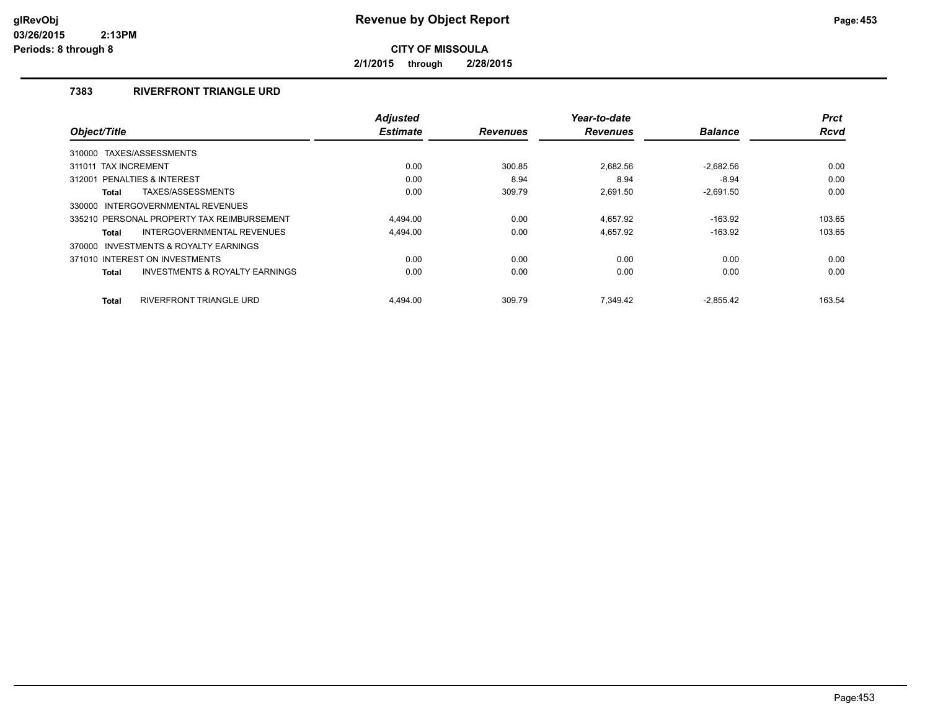**2/1/2015 through 2/28/2015**

### **7383 RIVERFRONT TRIANGLE URD**

| Object/Title                                   | <b>Adjusted</b><br><b>Estimate</b> | <b>Revenues</b> | Year-to-date<br><b>Revenues</b> | <b>Balance</b> | <b>Prct</b><br><b>Rcvd</b> |
|------------------------------------------------|------------------------------------|-----------------|---------------------------------|----------------|----------------------------|
|                                                |                                    |                 |                                 |                |                            |
| TAXES/ASSESSMENTS<br>310000                    |                                    |                 |                                 |                |                            |
| 311011 TAX INCREMENT                           | 0.00                               | 300.85          | 2.682.56                        | $-2,682.56$    | 0.00                       |
| PENALTIES & INTEREST<br>312001                 | 0.00                               | 8.94            | 8.94                            | $-8.94$        | 0.00                       |
| TAXES/ASSESSMENTS<br><b>Total</b>              | 0.00                               | 309.79          | 2,691.50                        | $-2,691.50$    | 0.00                       |
| INTERGOVERNMENTAL REVENUES<br>330000           |                                    |                 |                                 |                |                            |
| 335210 PERSONAL PROPERTY TAX REIMBURSEMENT     | 4.494.00                           | 0.00            | 4,657.92                        | $-163.92$      | 103.65                     |
| INTERGOVERNMENTAL REVENUES<br><b>Total</b>     | 4.494.00                           | 0.00            | 4.657.92                        | $-163.92$      | 103.65                     |
| 370000 INVESTMENTS & ROYALTY EARNINGS          |                                    |                 |                                 |                |                            |
| 371010 INTEREST ON INVESTMENTS                 | 0.00                               | 0.00            | 0.00                            | 0.00           | 0.00                       |
| INVESTMENTS & ROYALTY EARNINGS<br><b>Total</b> | 0.00                               | 0.00            | 0.00                            | 0.00           | 0.00                       |
| <b>RIVERFRONT TRIANGLE URD</b><br><b>Total</b> | 4.494.00                           | 309.79          | 7.349.42                        | $-2.855.42$    | 163.54                     |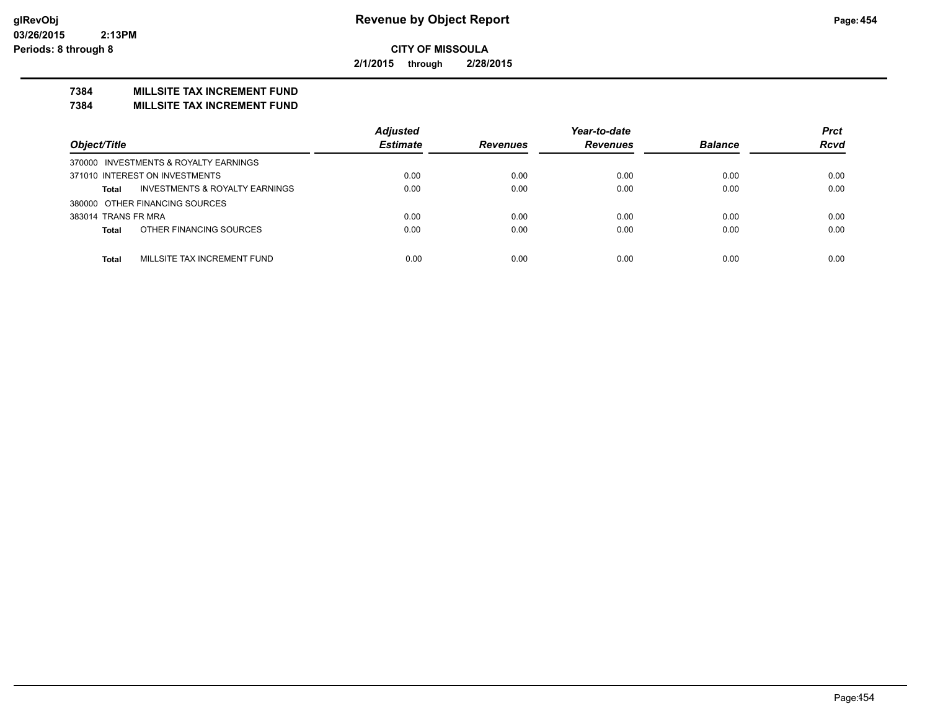**2/1/2015 through 2/28/2015**

## **7384 MILLSITE TAX INCREMENT FUND**

**7384 MILLSITE TAX INCREMENT FUND**

|                                                | <b>Adjusted</b> |                 | Year-to-date    |                | <b>Prct</b> |
|------------------------------------------------|-----------------|-----------------|-----------------|----------------|-------------|
| Object/Title                                   | <b>Estimate</b> | <b>Revenues</b> | <b>Revenues</b> | <b>Balance</b> | <b>Rcvd</b> |
| 370000 INVESTMENTS & ROYALTY EARNINGS          |                 |                 |                 |                |             |
| 371010 INTEREST ON INVESTMENTS                 | 0.00            | 0.00            | 0.00            | 0.00           | 0.00        |
| INVESTMENTS & ROYALTY EARNINGS<br><b>Total</b> | 0.00            | 0.00            | 0.00            | 0.00           | 0.00        |
| 380000 OTHER FINANCING SOURCES                 |                 |                 |                 |                |             |
| 383014 TRANS FR MRA                            | 0.00            | 0.00            | 0.00            | 0.00           | 0.00        |
| OTHER FINANCING SOURCES<br><b>Total</b>        | 0.00            | 0.00            | 0.00            | 0.00           | 0.00        |
|                                                |                 |                 |                 |                |             |
| MILLSITE TAX INCREMENT FUND<br>Total           | 0.00            | 0.00            | 0.00            | 0.00           | 0.00        |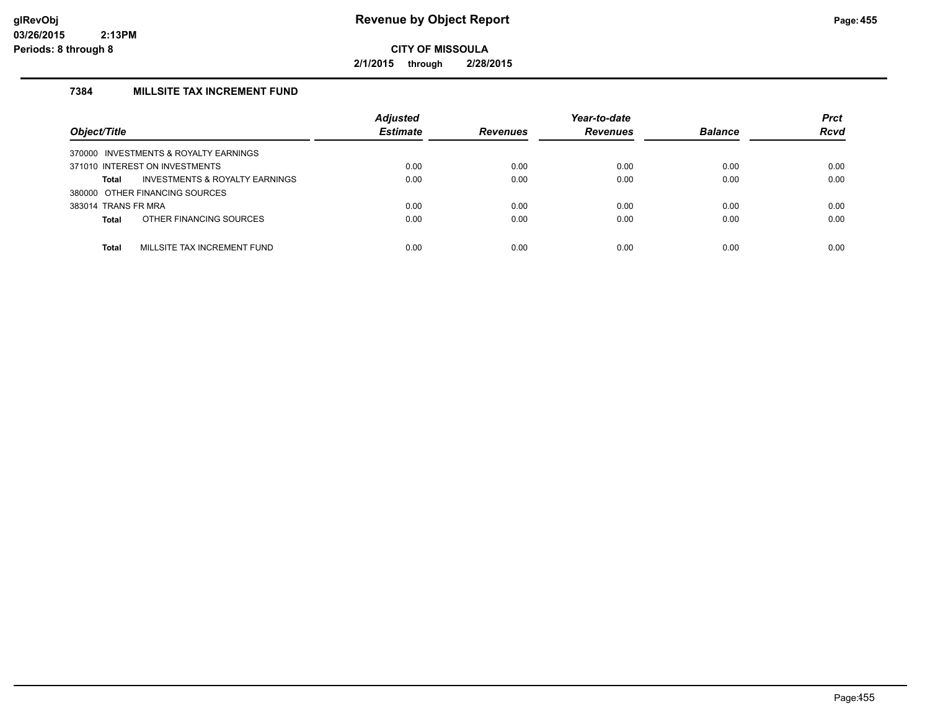**2/1/2015 through 2/28/2015**

#### **7384 MILLSITE TAX INCREMENT FUND**

| Object/Title                                       | <b>Adjusted</b><br><b>Estimate</b> | <b>Revenues</b> | Year-to-date<br><b>Revenues</b> | <b>Balance</b> | <b>Prct</b><br><b>Rcvd</b> |
|----------------------------------------------------|------------------------------------|-----------------|---------------------------------|----------------|----------------------------|
| 370000 INVESTMENTS & ROYALTY EARNINGS              |                                    |                 |                                 |                |                            |
| 371010 INTEREST ON INVESTMENTS                     | 0.00                               | 0.00            | 0.00                            | 0.00           | 0.00                       |
| <b>INVESTMENTS &amp; ROYALTY EARNINGS</b><br>Total | 0.00                               | 0.00            | 0.00                            | 0.00           | 0.00                       |
| 380000 OTHER FINANCING SOURCES                     |                                    |                 |                                 |                |                            |
| 383014 TRANS FR MRA                                | 0.00                               | 0.00            | 0.00                            | 0.00           | 0.00                       |
| OTHER FINANCING SOURCES<br>Total                   | 0.00                               | 0.00            | 0.00                            | 0.00           | 0.00                       |
|                                                    |                                    |                 |                                 |                |                            |
| MILLSITE TAX INCREMENT FUND<br>Total               | 0.00                               | 0.00            | 0.00                            | 0.00           | 0.00                       |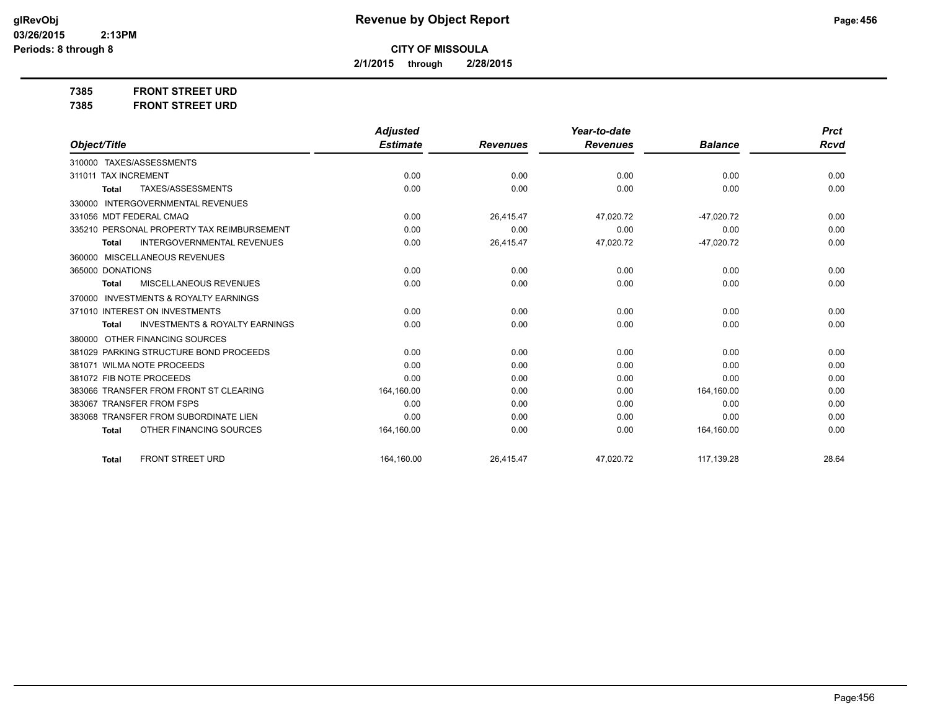**2/1/2015 through 2/28/2015**

**7385 FRONT STREET URD 7385 FRONT STREET URD**

|                                                           | <b>Adjusted</b> |                 | Year-to-date    |                | <b>Prct</b> |
|-----------------------------------------------------------|-----------------|-----------------|-----------------|----------------|-------------|
| Object/Title                                              | <b>Estimate</b> | <b>Revenues</b> | <b>Revenues</b> | <b>Balance</b> | Rcvd        |
| 310000 TAXES/ASSESSMENTS                                  |                 |                 |                 |                |             |
| 311011 TAX INCREMENT                                      | 0.00            | 0.00            | 0.00            | 0.00           | 0.00        |
| TAXES/ASSESSMENTS<br><b>Total</b>                         | 0.00            | 0.00            | 0.00            | 0.00           | 0.00        |
| <b>INTERGOVERNMENTAL REVENUES</b><br>330000               |                 |                 |                 |                |             |
| 331056 MDT FEDERAL CMAQ                                   | 0.00            | 26,415.47       | 47,020.72       | $-47,020.72$   | 0.00        |
| 335210 PERSONAL PROPERTY TAX REIMBURSEMENT                | 0.00            | 0.00            | 0.00            | 0.00           | 0.00        |
| <b>INTERGOVERNMENTAL REVENUES</b><br><b>Total</b>         | 0.00            | 26,415.47       | 47,020.72       | $-47,020.72$   | 0.00        |
| MISCELLANEOUS REVENUES<br>360000                          |                 |                 |                 |                |             |
| 365000 DONATIONS                                          | 0.00            | 0.00            | 0.00            | 0.00           | 0.00        |
| <b>MISCELLANEOUS REVENUES</b><br>Total                    | 0.00            | 0.00            | 0.00            | 0.00           | 0.00        |
| <b>INVESTMENTS &amp; ROYALTY EARNINGS</b><br>370000       |                 |                 |                 |                |             |
| 371010 INTEREST ON INVESTMENTS                            | 0.00            | 0.00            | 0.00            | 0.00           | 0.00        |
| <b>INVESTMENTS &amp; ROYALTY EARNINGS</b><br><b>Total</b> | 0.00            | 0.00            | 0.00            | 0.00           | 0.00        |
| OTHER FINANCING SOURCES<br>380000                         |                 |                 |                 |                |             |
| 381029 PARKING STRUCTURE BOND PROCEEDS                    | 0.00            | 0.00            | 0.00            | 0.00           | 0.00        |
| 381071 WILMA NOTE PROCEEDS                                | 0.00            | 0.00            | 0.00            | 0.00           | 0.00        |
| 381072 FIB NOTE PROCEEDS                                  | 0.00            | 0.00            | 0.00            | 0.00           | 0.00        |
| 383066 TRANSFER FROM FRONT ST CLEARING                    | 164,160.00      | 0.00            | 0.00            | 164,160.00     | 0.00        |
| 383067 TRANSFER FROM FSPS                                 | 0.00            | 0.00            | 0.00            | 0.00           | 0.00        |
| 383068 TRANSFER FROM SUBORDINATE LIEN                     | 0.00            | 0.00            | 0.00            | 0.00           | 0.00        |
| OTHER FINANCING SOURCES<br><b>Total</b>                   | 164,160.00      | 0.00            | 0.00            | 164.160.00     | 0.00        |
| <b>FRONT STREET URD</b><br><b>Total</b>                   | 164.160.00      | 26,415.47       | 47,020.72       | 117,139.28     | 28.64       |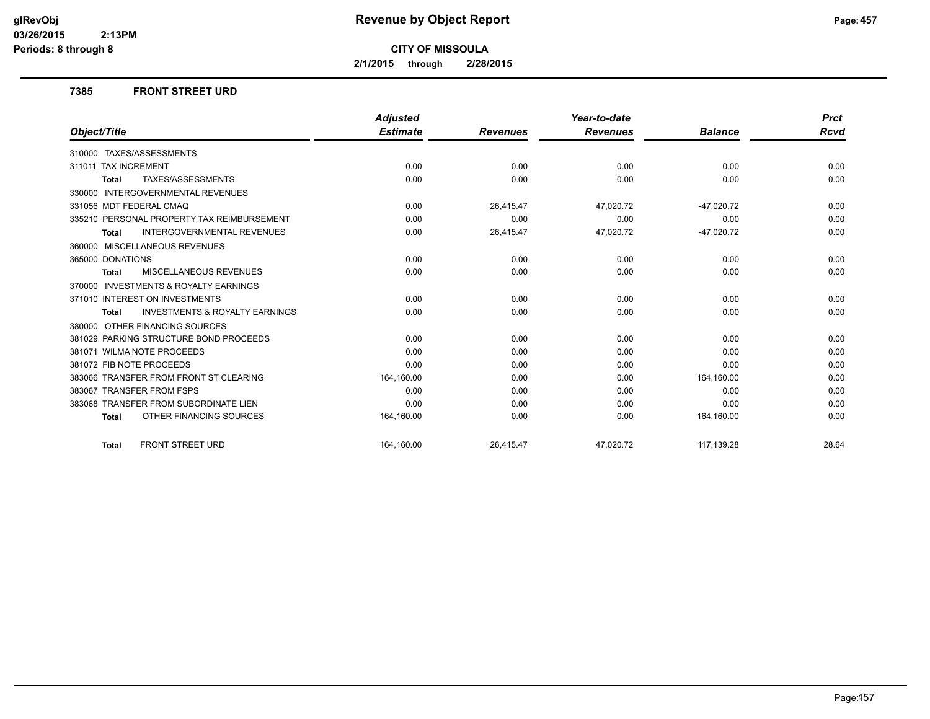**2/1/2015 through 2/28/2015**

#### **7385 FRONT STREET URD**

|                                                           | <b>Adjusted</b> |                 | Year-to-date    |                | <b>Prct</b> |
|-----------------------------------------------------------|-----------------|-----------------|-----------------|----------------|-------------|
| Object/Title                                              | <b>Estimate</b> | <b>Revenues</b> | <b>Revenues</b> | <b>Balance</b> | Rcvd        |
| 310000 TAXES/ASSESSMENTS                                  |                 |                 |                 |                |             |
| 311011 TAX INCREMENT                                      | 0.00            | 0.00            | 0.00            | 0.00           | 0.00        |
| TAXES/ASSESSMENTS<br><b>Total</b>                         | 0.00            | 0.00            | 0.00            | 0.00           | 0.00        |
| 330000 INTERGOVERNMENTAL REVENUES                         |                 |                 |                 |                |             |
| 331056 MDT FEDERAL CMAQ                                   | 0.00            | 26,415.47       | 47,020.72       | $-47,020.72$   | 0.00        |
| 335210 PERSONAL PROPERTY TAX REIMBURSEMENT                | 0.00            | 0.00            | 0.00            | 0.00           | 0.00        |
| <b>INTERGOVERNMENTAL REVENUES</b><br>Total                | 0.00            | 26,415.47       | 47,020.72       | $-47,020.72$   | 0.00        |
| 360000 MISCELLANEOUS REVENUES                             |                 |                 |                 |                |             |
| 365000 DONATIONS                                          | 0.00            | 0.00            | 0.00            | 0.00           | 0.00        |
| MISCELLANEOUS REVENUES<br><b>Total</b>                    | 0.00            | 0.00            | 0.00            | 0.00           | 0.00        |
| 370000 INVESTMENTS & ROYALTY EARNINGS                     |                 |                 |                 |                |             |
| 371010 INTEREST ON INVESTMENTS                            | 0.00            | 0.00            | 0.00            | 0.00           | 0.00        |
| <b>INVESTMENTS &amp; ROYALTY EARNINGS</b><br><b>Total</b> | 0.00            | 0.00            | 0.00            | 0.00           | 0.00        |
| 380000 OTHER FINANCING SOURCES                            |                 |                 |                 |                |             |
| 381029 PARKING STRUCTURE BOND PROCEEDS                    | 0.00            | 0.00            | 0.00            | 0.00           | 0.00        |
| 381071 WILMA NOTE PROCEEDS                                | 0.00            | 0.00            | 0.00            | 0.00           | 0.00        |
| 381072 FIB NOTE PROCEEDS                                  | 0.00            | 0.00            | 0.00            | 0.00           | 0.00        |
| 383066 TRANSFER FROM FRONT ST CLEARING                    | 164,160.00      | 0.00            | 0.00            | 164,160.00     | 0.00        |
| 383067 TRANSFER FROM FSPS                                 | 0.00            | 0.00            | 0.00            | 0.00           | 0.00        |
| 383068 TRANSFER FROM SUBORDINATE LIEN                     | 0.00            | 0.00            | 0.00            | 0.00           | 0.00        |
| OTHER FINANCING SOURCES<br><b>Total</b>                   | 164,160.00      | 0.00            | 0.00            | 164,160.00     | 0.00        |
| <b>FRONT STREET URD</b><br>Total                          | 164.160.00      | 26.415.47       | 47.020.72       | 117.139.28     | 28.64       |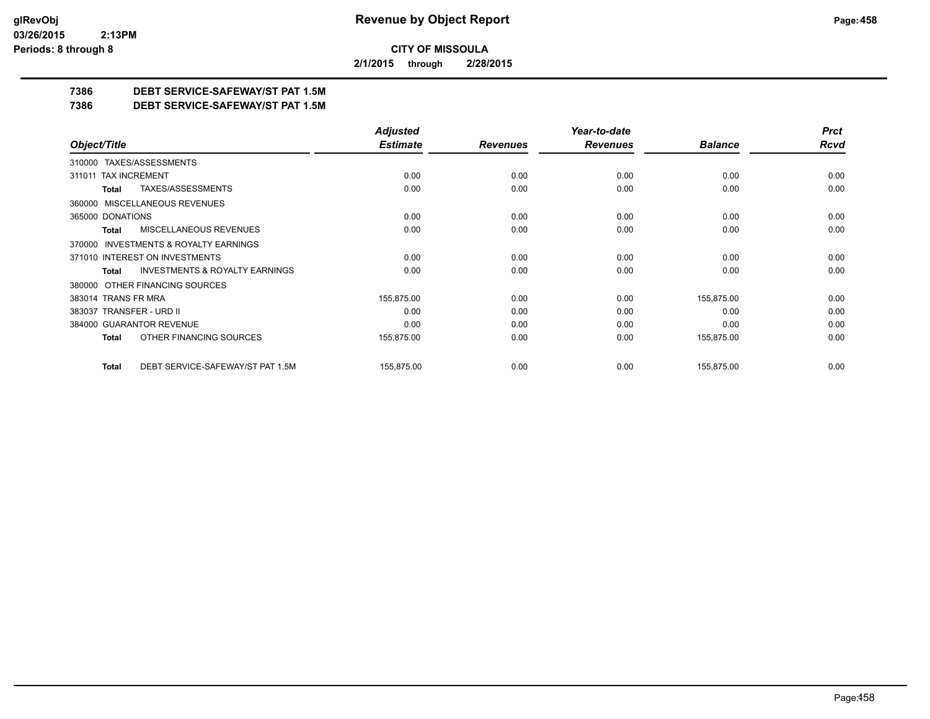**2/1/2015 through 2/28/2015**

## **7386 DEBT SERVICE-SAFEWAY/ST PAT 1.5M**

**7386 DEBT SERVICE-SAFEWAY/ST PAT 1.5M**

|                                                     | <b>Adjusted</b> |                 | Year-to-date    |                | <b>Prct</b> |
|-----------------------------------------------------|-----------------|-----------------|-----------------|----------------|-------------|
| Object/Title                                        | <b>Estimate</b> | <b>Revenues</b> | <b>Revenues</b> | <b>Balance</b> | <b>Rcvd</b> |
| TAXES/ASSESSMENTS<br>310000                         |                 |                 |                 |                |             |
| 311011 TAX INCREMENT                                | 0.00            | 0.00            | 0.00            | 0.00           | 0.00        |
| TAXES/ASSESSMENTS<br>Total                          | 0.00            | 0.00            | 0.00            | 0.00           | 0.00        |
| 360000 MISCELLANEOUS REVENUES                       |                 |                 |                 |                |             |
| 365000 DONATIONS                                    | 0.00            | 0.00            | 0.00            | 0.00           | 0.00        |
| <b>MISCELLANEOUS REVENUES</b><br>Total              | 0.00            | 0.00            | 0.00            | 0.00           | 0.00        |
| <b>INVESTMENTS &amp; ROYALTY EARNINGS</b><br>370000 |                 |                 |                 |                |             |
| 371010 INTEREST ON INVESTMENTS                      | 0.00            | 0.00            | 0.00            | 0.00           | 0.00        |
| <b>INVESTMENTS &amp; ROYALTY EARNINGS</b><br>Total  | 0.00            | 0.00            | 0.00            | 0.00           | 0.00        |
| OTHER FINANCING SOURCES<br>380000                   |                 |                 |                 |                |             |
| 383014 TRANS FR MRA                                 | 155,875.00      | 0.00            | 0.00            | 155,875.00     | 0.00        |
| 383037 TRANSFER - URD II                            | 0.00            | 0.00            | 0.00            | 0.00           | 0.00        |
| 384000 GUARANTOR REVENUE                            | 0.00            | 0.00            | 0.00            | 0.00           | 0.00        |
| OTHER FINANCING SOURCES<br><b>Total</b>             | 155,875.00      | 0.00            | 0.00            | 155,875.00     | 0.00        |
| DEBT SERVICE-SAFEWAY/ST PAT 1.5M<br><b>Total</b>    | 155,875.00      | 0.00            | 0.00            | 155,875.00     | 0.00        |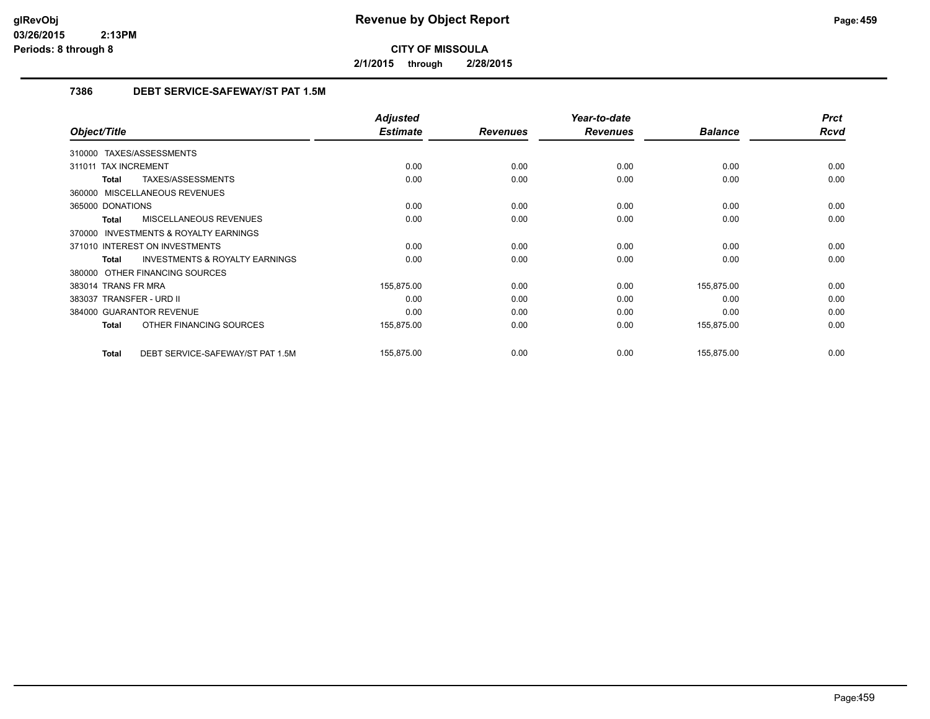**2/1/2015 through 2/28/2015**

### **7386 DEBT SERVICE-SAFEWAY/ST PAT 1.5M**

|                                                           | <b>Adjusted</b> |                 | Year-to-date    |                | <b>Prct</b> |
|-----------------------------------------------------------|-----------------|-----------------|-----------------|----------------|-------------|
| Object/Title                                              | <b>Estimate</b> | <b>Revenues</b> | <b>Revenues</b> | <b>Balance</b> | <b>Rcvd</b> |
| 310000 TAXES/ASSESSMENTS                                  |                 |                 |                 |                |             |
| <b>TAX INCREMENT</b><br>311011                            | 0.00            | 0.00            | 0.00            | 0.00           | 0.00        |
| TAXES/ASSESSMENTS<br>Total                                | 0.00            | 0.00            | 0.00            | 0.00           | 0.00        |
| 360000 MISCELLANEOUS REVENUES                             |                 |                 |                 |                |             |
| 365000 DONATIONS                                          | 0.00            | 0.00            | 0.00            | 0.00           | 0.00        |
| <b>MISCELLANEOUS REVENUES</b><br>Total                    | 0.00            | 0.00            | 0.00            | 0.00           | 0.00        |
| <b>INVESTMENTS &amp; ROYALTY EARNINGS</b><br>370000       |                 |                 |                 |                |             |
| 371010 INTEREST ON INVESTMENTS                            | 0.00            | 0.00            | 0.00            | 0.00           | 0.00        |
| <b>INVESTMENTS &amp; ROYALTY EARNINGS</b><br><b>Total</b> | 0.00            | 0.00            | 0.00            | 0.00           | 0.00        |
| 380000 OTHER FINANCING SOURCES                            |                 |                 |                 |                |             |
| 383014 TRANS FR MRA                                       | 155,875.00      | 0.00            | 0.00            | 155,875.00     | 0.00        |
| 383037 TRANSFER - URD II                                  | 0.00            | 0.00            | 0.00            | 0.00           | 0.00        |
| 384000 GUARANTOR REVENUE                                  | 0.00            | 0.00            | 0.00            | 0.00           | 0.00        |
| OTHER FINANCING SOURCES<br>Total                          | 155,875.00      | 0.00            | 0.00            | 155,875.00     | 0.00        |
| DEBT SERVICE-SAFEWAY/ST PAT 1.5M<br><b>Total</b>          | 155,875.00      | 0.00            | 0.00            | 155,875.00     | 0.00        |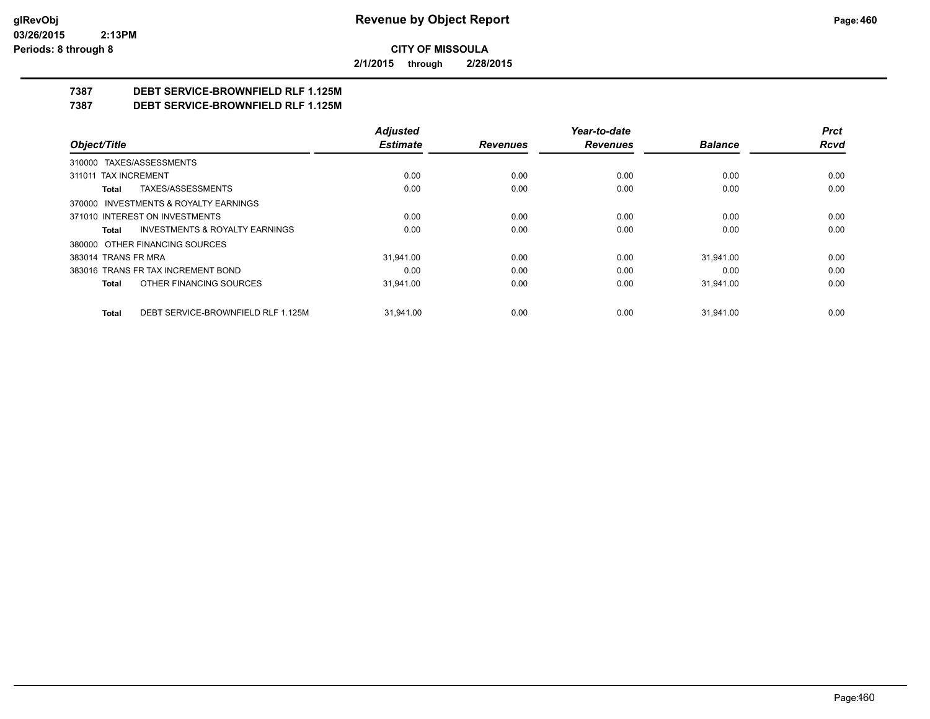**2/1/2015 through 2/28/2015**

## **7387 DEBT SERVICE-BROWNFIELD RLF 1.125M**

**7387 DEBT SERVICE-BROWNFIELD RLF 1.125M**

|                                                    | <b>Adjusted</b> |                 | Year-to-date    |                | Prct |
|----------------------------------------------------|-----------------|-----------------|-----------------|----------------|------|
| Object/Title                                       | <b>Estimate</b> | <b>Revenues</b> | <b>Revenues</b> | <b>Balance</b> | Rcvd |
| 310000 TAXES/ASSESSMENTS                           |                 |                 |                 |                |      |
| 311011 TAX INCREMENT                               | 0.00            | 0.00            | 0.00            | 0.00           | 0.00 |
| TAXES/ASSESSMENTS<br>Total                         | 0.00            | 0.00            | 0.00            | 0.00           | 0.00 |
| 370000 INVESTMENTS & ROYALTY EARNINGS              |                 |                 |                 |                |      |
| 371010 INTEREST ON INVESTMENTS                     | 0.00            | 0.00            | 0.00            | 0.00           | 0.00 |
| <b>INVESTMENTS &amp; ROYALTY EARNINGS</b><br>Total | 0.00            | 0.00            | 0.00            | 0.00           | 0.00 |
| 380000 OTHER FINANCING SOURCES                     |                 |                 |                 |                |      |
| 383014 TRANS FR MRA                                | 31.941.00       | 0.00            | 0.00            | 31.941.00      | 0.00 |
| 383016 TRANS FR TAX INCREMENT BOND                 | 0.00            | 0.00            | 0.00            | 0.00           | 0.00 |
| OTHER FINANCING SOURCES<br>Total                   | 31,941.00       | 0.00            | 0.00            | 31,941.00      | 0.00 |
| DEBT SERVICE-BROWNFIELD RLF 1.125M<br><b>Total</b> | 31.941.00       | 0.00            | 0.00            | 31.941.00      | 0.00 |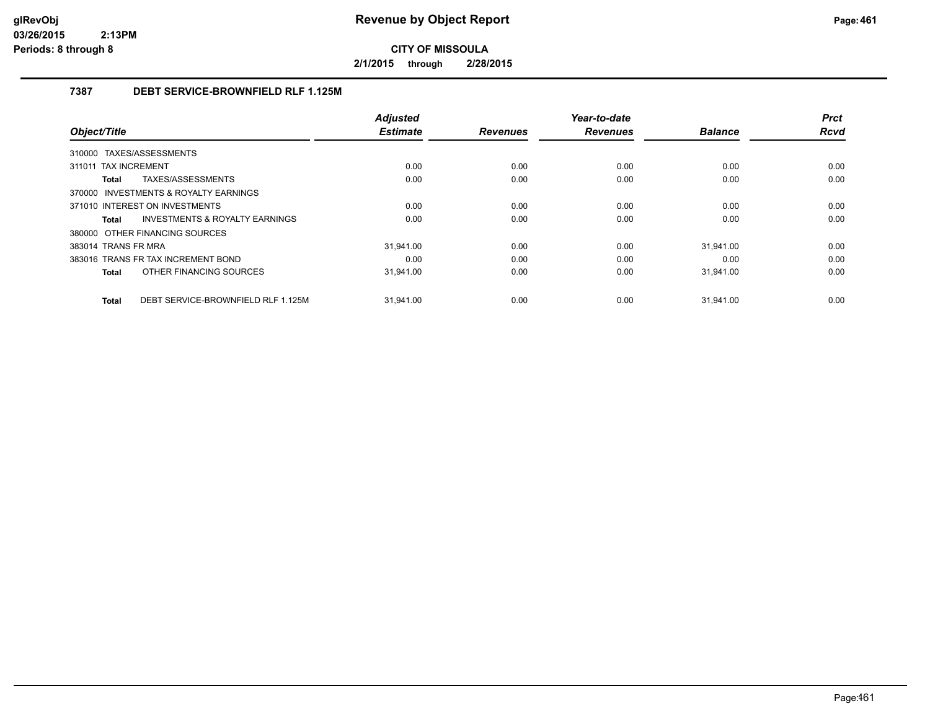**2/1/2015 through 2/28/2015**

#### **7387 DEBT SERVICE-BROWNFIELD RLF 1.125M**

|                                                    | <b>Adjusted</b> |                 | Year-to-date    |                | <b>Prct</b> |
|----------------------------------------------------|-----------------|-----------------|-----------------|----------------|-------------|
| Object/Title                                       | <b>Estimate</b> | <b>Revenues</b> | <b>Revenues</b> | <b>Balance</b> | <b>Rcvd</b> |
| 310000 TAXES/ASSESSMENTS                           |                 |                 |                 |                |             |
| 311011 TAX INCREMENT                               | 0.00            | 0.00            | 0.00            | 0.00           | 0.00        |
| TAXES/ASSESSMENTS<br><b>Total</b>                  | 0.00            | 0.00            | 0.00            | 0.00           | 0.00        |
| 370000 INVESTMENTS & ROYALTY EARNINGS              |                 |                 |                 |                |             |
| 371010 INTEREST ON INVESTMENTS                     | 0.00            | 0.00            | 0.00            | 0.00           | 0.00        |
| INVESTMENTS & ROYALTY EARNINGS<br><b>Total</b>     | 0.00            | 0.00            | 0.00            | 0.00           | 0.00        |
| 380000 OTHER FINANCING SOURCES                     |                 |                 |                 |                |             |
| 383014 TRANS FR MRA                                | 31.941.00       | 0.00            | 0.00            | 31.941.00      | 0.00        |
| 383016 TRANS FR TAX INCREMENT BOND                 | 0.00            | 0.00            | 0.00            | 0.00           | 0.00        |
| OTHER FINANCING SOURCES<br><b>Total</b>            | 31,941.00       | 0.00            | 0.00            | 31,941.00      | 0.00        |
| DEBT SERVICE-BROWNFIELD RLF 1.125M<br><b>Total</b> | 31.941.00       | 0.00            | 0.00            | 31.941.00      | 0.00        |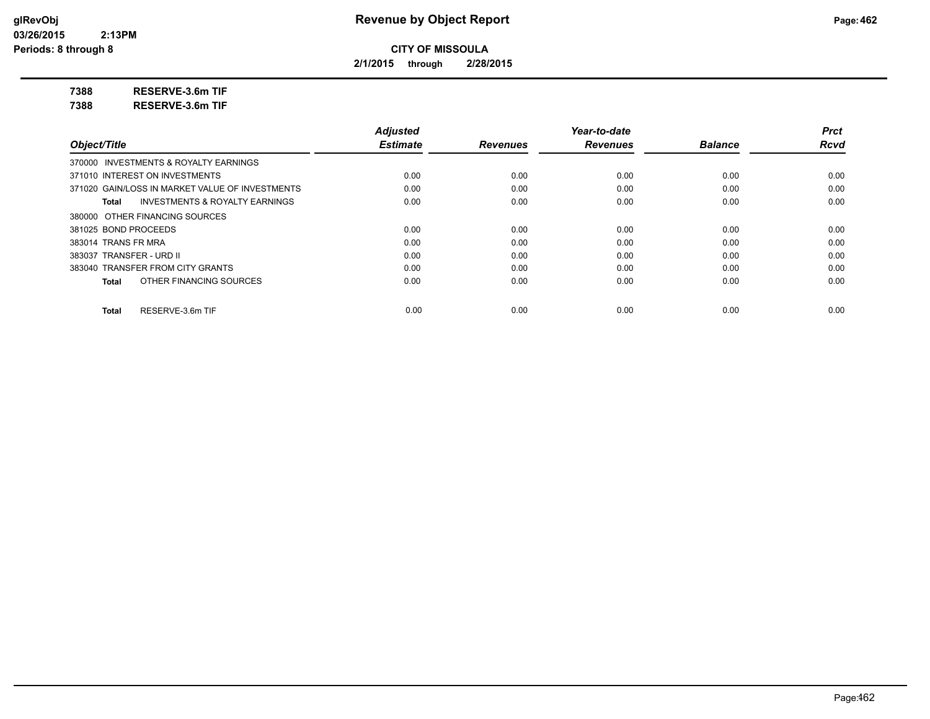**2/1/2015 through 2/28/2015**

**7388 RESERVE-3.6m TIF**

**7388 RESERVE-3.6m TIF**

|                                                 | <b>Adjusted</b> |                 | Year-to-date    |                | <b>Prct</b> |
|-------------------------------------------------|-----------------|-----------------|-----------------|----------------|-------------|
| Object/Title                                    | <b>Estimate</b> | <b>Revenues</b> | <b>Revenues</b> | <b>Balance</b> | <b>Rcvd</b> |
| 370000 INVESTMENTS & ROYALTY EARNINGS           |                 |                 |                 |                |             |
| 371010 INTEREST ON INVESTMENTS                  | 0.00            | 0.00            | 0.00            | 0.00           | 0.00        |
| 371020 GAIN/LOSS IN MARKET VALUE OF INVESTMENTS | 0.00            | 0.00            | 0.00            | 0.00           | 0.00        |
| INVESTMENTS & ROYALTY EARNINGS<br>Total         | 0.00            | 0.00            | 0.00            | 0.00           | 0.00        |
| 380000 OTHER FINANCING SOURCES                  |                 |                 |                 |                |             |
| 381025 BOND PROCEEDS                            | 0.00            | 0.00            | 0.00            | 0.00           | 0.00        |
| 383014 TRANS FR MRA                             | 0.00            | 0.00            | 0.00            | 0.00           | 0.00        |
| 383037 TRANSFER - URD II                        | 0.00            | 0.00            | 0.00            | 0.00           | 0.00        |
| 383040 TRANSFER FROM CITY GRANTS                | 0.00            | 0.00            | 0.00            | 0.00           | 0.00        |
| OTHER FINANCING SOURCES<br>Total                | 0.00            | 0.00            | 0.00            | 0.00           | 0.00        |
| RESERVE-3.6m TIF<br>Total                       | 0.00            | 0.00            | 0.00            | 0.00           | 0.00        |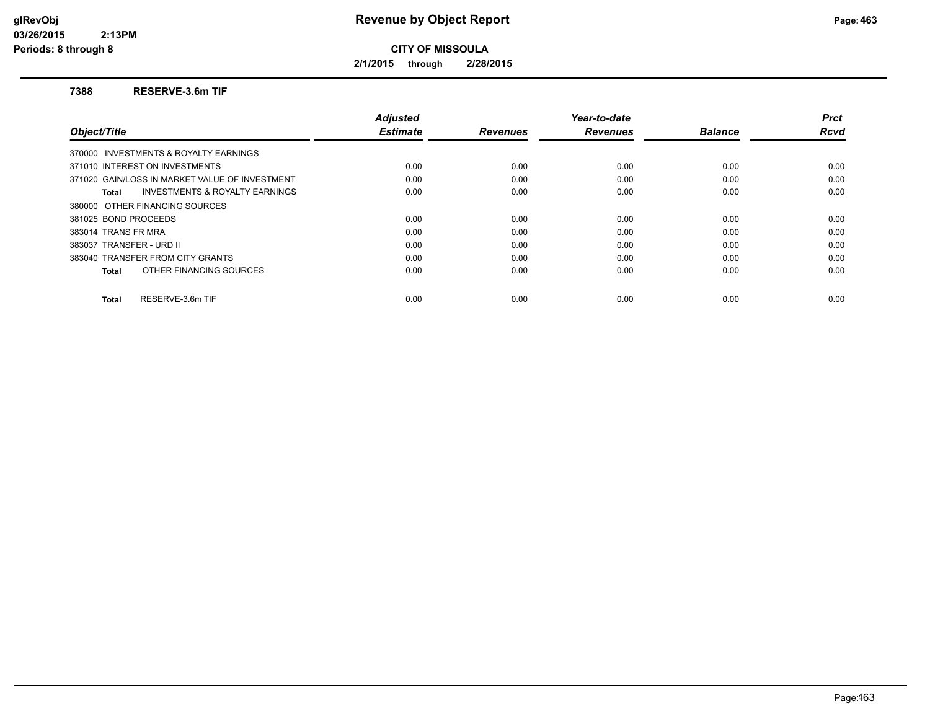**2/1/2015 through 2/28/2015**

#### **7388 RESERVE-3.6m TIF**

|                                                    | <b>Adjusted</b> |                 | Year-to-date    |                | <b>Prct</b> |
|----------------------------------------------------|-----------------|-----------------|-----------------|----------------|-------------|
| Object/Title                                       | <b>Estimate</b> | <b>Revenues</b> | <b>Revenues</b> | <b>Balance</b> | Rcvd        |
| 370000 INVESTMENTS & ROYALTY EARNINGS              |                 |                 |                 |                |             |
| 371010 INTEREST ON INVESTMENTS                     | 0.00            | 0.00            | 0.00            | 0.00           | 0.00        |
| 371020 GAIN/LOSS IN MARKET VALUE OF INVESTMENT     | 0.00            | 0.00            | 0.00            | 0.00           | 0.00        |
| <b>INVESTMENTS &amp; ROYALTY EARNINGS</b><br>Total | 0.00            | 0.00            | 0.00            | 0.00           | 0.00        |
| 380000 OTHER FINANCING SOURCES                     |                 |                 |                 |                |             |
| 381025 BOND PROCEEDS                               | 0.00            | 0.00            | 0.00            | 0.00           | 0.00        |
| 383014 TRANS FR MRA                                | 0.00            | 0.00            | 0.00            | 0.00           | 0.00        |
| 383037 TRANSFER - URD II                           | 0.00            | 0.00            | 0.00            | 0.00           | 0.00        |
| 383040 TRANSFER FROM CITY GRANTS                   | 0.00            | 0.00            | 0.00            | 0.00           | 0.00        |
| OTHER FINANCING SOURCES<br>Total                   | 0.00            | 0.00            | 0.00            | 0.00           | 0.00        |
| RESERVE-3.6m TIF<br><b>Total</b>                   | 0.00            | 0.00            | 0.00            | 0.00           | 0.00        |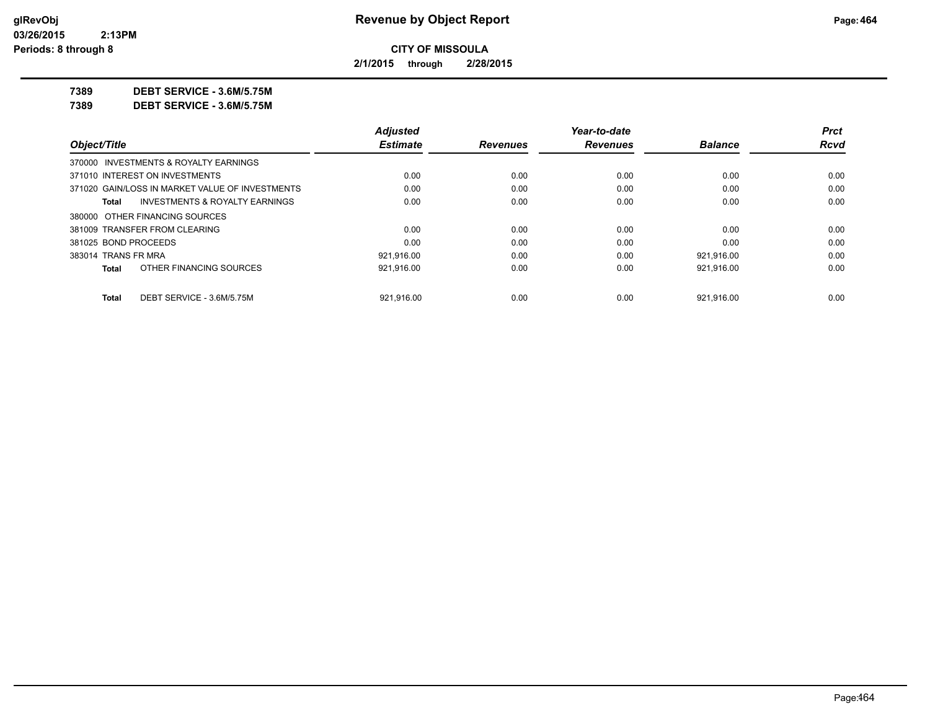**2/1/2015 through 2/28/2015**

**7389 DEBT SERVICE - 3.6M/5.75M**

**7389 DEBT SERVICE - 3.6M/5.75M**

|                                                 | <b>Adjusted</b> |                 | Year-to-date    |                | Prct        |
|-------------------------------------------------|-----------------|-----------------|-----------------|----------------|-------------|
| Object/Title                                    | <b>Estimate</b> | <b>Revenues</b> | <b>Revenues</b> | <b>Balance</b> | <b>Rcvd</b> |
| 370000 INVESTMENTS & ROYALTY EARNINGS           |                 |                 |                 |                |             |
| 371010 INTEREST ON INVESTMENTS                  | 0.00            | 0.00            | 0.00            | 0.00           | 0.00        |
| 371020 GAIN/LOSS IN MARKET VALUE OF INVESTMENTS | 0.00            | 0.00            | 0.00            | 0.00           | 0.00        |
| INVESTMENTS & ROYALTY EARNINGS<br>Total         | 0.00            | 0.00            | 0.00            | 0.00           | 0.00        |
| 380000 OTHER FINANCING SOURCES                  |                 |                 |                 |                |             |
| 381009 TRANSFER FROM CLEARING                   | 0.00            | 0.00            | 0.00            | 0.00           | 0.00        |
| 381025 BOND PROCEEDS                            | 0.00            | 0.00            | 0.00            | 0.00           | 0.00        |
| 383014 TRANS FR MRA                             | 921,916.00      | 0.00            | 0.00            | 921,916.00     | 0.00        |
| OTHER FINANCING SOURCES<br>Total                | 921.916.00      | 0.00            | 0.00            | 921.916.00     | 0.00        |
| DEBT SERVICE - 3.6M/5.75M<br><b>Total</b>       | 921.916.00      | 0.00            | 0.00            | 921.916.00     | 0.00        |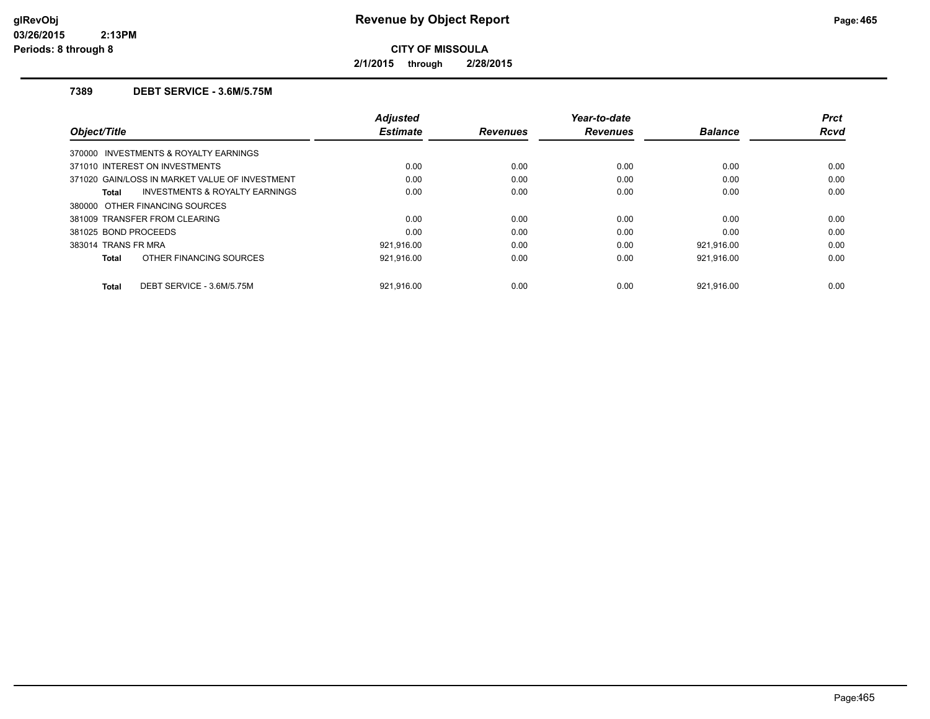**2/1/2015 through 2/28/2015**

#### **7389 DEBT SERVICE - 3.6M/5.75M**

| Object/Title         |                                                | <b>Adjusted</b><br><b>Estimate</b> | <b>Revenues</b> | Year-to-date<br><b>Revenues</b> | <b>Balance</b> | <b>Prct</b><br><b>Rcvd</b> |
|----------------------|------------------------------------------------|------------------------------------|-----------------|---------------------------------|----------------|----------------------------|
|                      | 370000 INVESTMENTS & ROYALTY EARNINGS          |                                    |                 |                                 |                |                            |
|                      | 371010 INTEREST ON INVESTMENTS                 | 0.00                               | 0.00            | 0.00                            | 0.00           | 0.00                       |
|                      | 371020 GAIN/LOSS IN MARKET VALUE OF INVESTMENT | 0.00                               | 0.00            | 0.00                            | 0.00           | 0.00                       |
| Total                | <b>INVESTMENTS &amp; ROYALTY EARNINGS</b>      | 0.00                               | 0.00            | 0.00                            | 0.00           | 0.00                       |
|                      | 380000 OTHER FINANCING SOURCES                 |                                    |                 |                                 |                |                            |
|                      | 381009 TRANSFER FROM CLEARING                  | 0.00                               | 0.00            | 0.00                            | 0.00           | 0.00                       |
| 381025 BOND PROCEEDS |                                                | 0.00                               | 0.00            | 0.00                            | 0.00           | 0.00                       |
| 383014 TRANS FR MRA  |                                                | 921.916.00                         | 0.00            | 0.00                            | 921.916.00     | 0.00                       |
| Total                | OTHER FINANCING SOURCES                        | 921,916.00                         | 0.00            | 0.00                            | 921,916.00     | 0.00                       |
| Total                | DEBT SERVICE - 3.6M/5.75M                      | 921.916.00                         | 0.00            | 0.00                            | 921.916.00     | 0.00                       |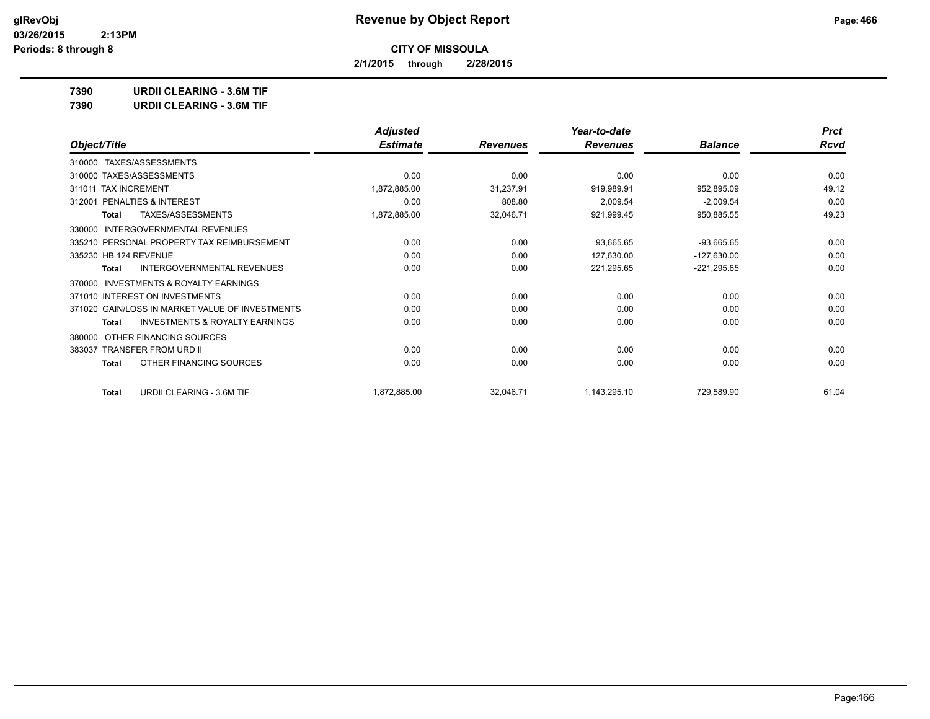**2/1/2015 through 2/28/2015**

**7390 URDII CLEARING - 3.6M TIF**

| <b>URDII CLEARING - 3.6M TIF</b><br>7390 |  |
|------------------------------------------|--|
|------------------------------------------|--|

|                                                     | <b>Adjusted</b> |                 | Year-to-date    |                | <b>Prct</b> |
|-----------------------------------------------------|-----------------|-----------------|-----------------|----------------|-------------|
| Object/Title                                        | <b>Estimate</b> | <b>Revenues</b> | <b>Revenues</b> | <b>Balance</b> | Rcvd        |
| TAXES/ASSESSMENTS<br>310000                         |                 |                 |                 |                |             |
| 310000 TAXES/ASSESSMENTS                            | 0.00            | 0.00            | 0.00            | 0.00           | 0.00        |
| <b>TAX INCREMENT</b><br>311011                      | 1,872,885.00    | 31,237.91       | 919,989.91      | 952,895.09     | 49.12       |
| PENALTIES & INTEREST<br>312001                      | 0.00            | 808.80          | 2,009.54        | $-2,009.54$    | 0.00        |
| TAXES/ASSESSMENTS<br>Total                          | 1,872,885.00    | 32,046.71       | 921,999.45      | 950,885.55     | 49.23       |
| <b>INTERGOVERNMENTAL REVENUES</b><br>330000         |                 |                 |                 |                |             |
| 335210 PERSONAL PROPERTY TAX REIMBURSEMENT          | 0.00            | 0.00            | 93,665.65       | $-93,665.65$   | 0.00        |
| 335230 HB 124 REVENUE                               | 0.00            | 0.00            | 127,630.00      | $-127,630.00$  | 0.00        |
| INTERGOVERNMENTAL REVENUES<br>Total                 | 0.00            | 0.00            | 221,295.65      | $-221,295.65$  | 0.00        |
| <b>INVESTMENTS &amp; ROYALTY EARNINGS</b><br>370000 |                 |                 |                 |                |             |
| 371010 INTEREST ON INVESTMENTS                      | 0.00            | 0.00            | 0.00            | 0.00           | 0.00        |
| 371020 GAIN/LOSS IN MARKET VALUE OF INVESTMENTS     | 0.00            | 0.00            | 0.00            | 0.00           | 0.00        |
| <b>INVESTMENTS &amp; ROYALTY EARNINGS</b><br>Total  | 0.00            | 0.00            | 0.00            | 0.00           | 0.00        |
| OTHER FINANCING SOURCES<br>380000                   |                 |                 |                 |                |             |
| <b>TRANSFER FROM URD II</b><br>383037               | 0.00            | 0.00            | 0.00            | 0.00           | 0.00        |
| OTHER FINANCING SOURCES<br>Total                    | 0.00            | 0.00            | 0.00            | 0.00           | 0.00        |
| URDII CLEARING - 3.6M TIF<br>Total                  | 1,872,885.00    | 32,046.71       | 1,143,295.10    | 729,589.90     | 61.04       |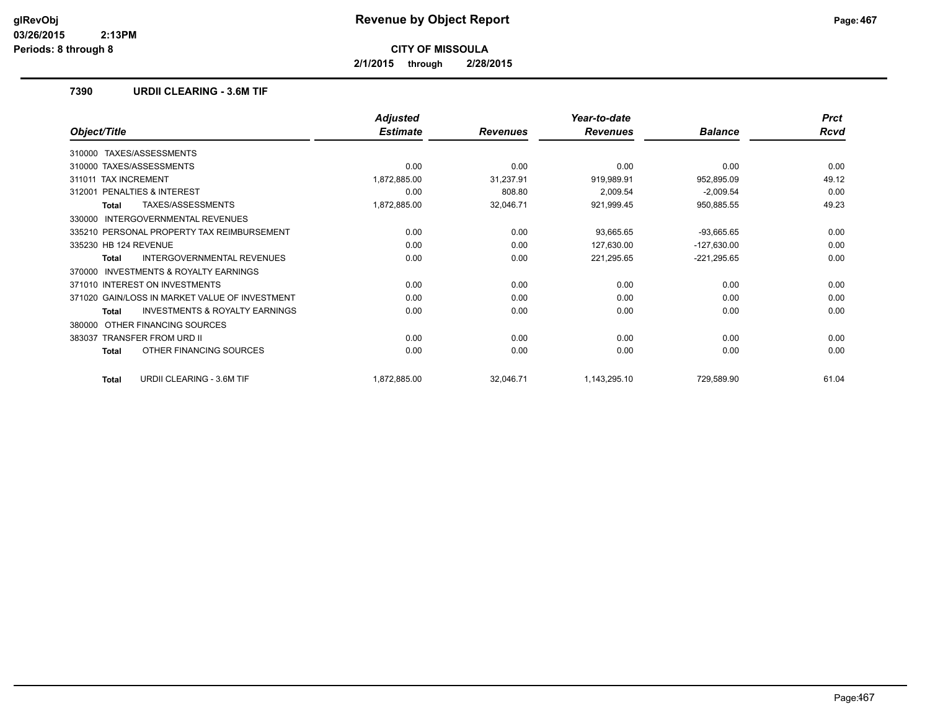**2/1/2015 through 2/28/2015**

#### **7390 URDII CLEARING - 3.6M TIF**

|                                                           | <b>Adjusted</b> |                 | Year-to-date    |                | <b>Prct</b> |
|-----------------------------------------------------------|-----------------|-----------------|-----------------|----------------|-------------|
| Object/Title                                              | <b>Estimate</b> | <b>Revenues</b> | <b>Revenues</b> | <b>Balance</b> | <b>Rcvd</b> |
| TAXES/ASSESSMENTS<br>310000                               |                 |                 |                 |                |             |
| 310000 TAXES/ASSESSMENTS                                  | 0.00            | 0.00            | 0.00            | 0.00           | 0.00        |
| 311011 TAX INCREMENT                                      | 1,872,885.00    | 31,237.91       | 919,989.91      | 952,895.09     | 49.12       |
| 312001 PENALTIES & INTEREST                               | 0.00            | 808.80          | 2,009.54        | $-2,009.54$    | 0.00        |
| TAXES/ASSESSMENTS<br><b>Total</b>                         | 1,872,885.00    | 32,046.71       | 921,999.45      | 950,885.55     | 49.23       |
| <b>INTERGOVERNMENTAL REVENUES</b><br>330000               |                 |                 |                 |                |             |
| 335210 PERSONAL PROPERTY TAX REIMBURSEMENT                | 0.00            | 0.00            | 93,665.65       | $-93,665.65$   | 0.00        |
| 335230 HB 124 REVENUE                                     | 0.00            | 0.00            | 127,630.00      | $-127,630.00$  | 0.00        |
| <b>INTERGOVERNMENTAL REVENUES</b><br><b>Total</b>         | 0.00            | 0.00            | 221,295.65      | $-221,295.65$  | 0.00        |
| <b>INVESTMENTS &amp; ROYALTY EARNINGS</b><br>370000       |                 |                 |                 |                |             |
| 371010 INTEREST ON INVESTMENTS                            | 0.00            | 0.00            | 0.00            | 0.00           | 0.00        |
| 371020 GAIN/LOSS IN MARKET VALUE OF INVESTMENT            | 0.00            | 0.00            | 0.00            | 0.00           | 0.00        |
| <b>INVESTMENTS &amp; ROYALTY EARNINGS</b><br><b>Total</b> | 0.00            | 0.00            | 0.00            | 0.00           | 0.00        |
| OTHER FINANCING SOURCES<br>380000                         |                 |                 |                 |                |             |
| <b>TRANSFER FROM URD II</b><br>383037                     | 0.00            | 0.00            | 0.00            | 0.00           | 0.00        |
| OTHER FINANCING SOURCES<br><b>Total</b>                   | 0.00            | 0.00            | 0.00            | 0.00           | 0.00        |
| URDII CLEARING - 3.6M TIF<br>Total                        | 1,872,885.00    | 32,046.71       | 1,143,295.10    | 729,589.90     | 61.04       |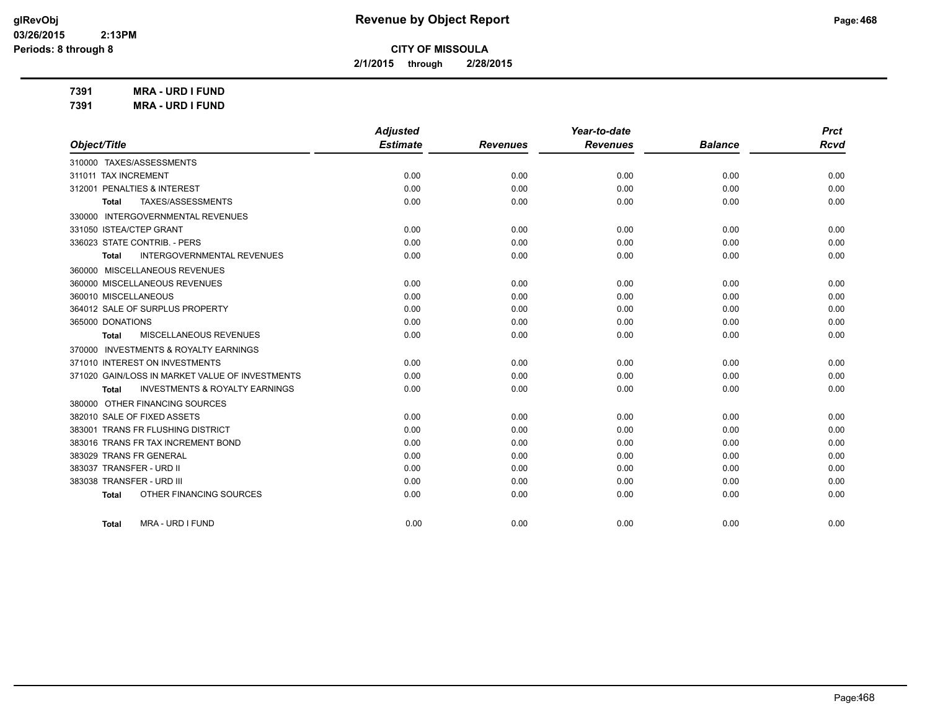**2/1/2015 through 2/28/2015**

**7391 MRA - URD I FUND 7391 MRA - URD I FUND**

| Object/Title                                              | <b>Adjusted</b> |                 | Year-to-date<br><b>Revenues</b> | <b>Balance</b> | <b>Prct</b><br>Rcvd |
|-----------------------------------------------------------|-----------------|-----------------|---------------------------------|----------------|---------------------|
|                                                           | <b>Estimate</b> | <b>Revenues</b> |                                 |                |                     |
| 310000 TAXES/ASSESSMENTS                                  |                 |                 |                                 |                |                     |
| 311011 TAX INCREMENT                                      | 0.00            | 0.00            | 0.00                            | 0.00           | 0.00                |
| 312001 PENALTIES & INTEREST                               | 0.00            | 0.00            | 0.00                            | 0.00           | 0.00                |
| TAXES/ASSESSMENTS<br><b>Total</b>                         | 0.00            | 0.00            | 0.00                            | 0.00           | 0.00                |
| 330000 INTERGOVERNMENTAL REVENUES                         |                 |                 |                                 |                |                     |
| 331050 ISTEA/CTEP GRANT                                   | 0.00            | 0.00            | 0.00                            | 0.00           | 0.00                |
| 336023 STATE CONTRIB. - PERS                              | 0.00            | 0.00            | 0.00                            | 0.00           | 0.00                |
| <b>INTERGOVERNMENTAL REVENUES</b><br><b>Total</b>         | 0.00            | 0.00            | 0.00                            | 0.00           | 0.00                |
| 360000 MISCELLANEOUS REVENUES                             |                 |                 |                                 |                |                     |
| 360000 MISCELLANEOUS REVENUES                             | 0.00            | 0.00            | 0.00                            | 0.00           | 0.00                |
| 360010 MISCELLANEOUS                                      | 0.00            | 0.00            | 0.00                            | 0.00           | 0.00                |
| 364012 SALE OF SURPLUS PROPERTY                           | 0.00            | 0.00            | 0.00                            | 0.00           | 0.00                |
| 365000 DONATIONS                                          | 0.00            | 0.00            | 0.00                            | 0.00           | 0.00                |
| <b>MISCELLANEOUS REVENUES</b><br>Total                    | 0.00            | 0.00            | 0.00                            | 0.00           | 0.00                |
| <b>INVESTMENTS &amp; ROYALTY EARNINGS</b><br>370000       |                 |                 |                                 |                |                     |
| 371010 INTEREST ON INVESTMENTS                            | 0.00            | 0.00            | 0.00                            | 0.00           | 0.00                |
| 371020 GAIN/LOSS IN MARKET VALUE OF INVESTMENTS           | 0.00            | 0.00            | 0.00                            | 0.00           | 0.00                |
| <b>INVESTMENTS &amp; ROYALTY EARNINGS</b><br><b>Total</b> | 0.00            | 0.00            | 0.00                            | 0.00           | 0.00                |
| OTHER FINANCING SOURCES<br>380000                         |                 |                 |                                 |                |                     |
| 382010 SALE OF FIXED ASSETS                               | 0.00            | 0.00            | 0.00                            | 0.00           | 0.00                |
| 383001 TRANS FR FLUSHING DISTRICT                         | 0.00            | 0.00            | 0.00                            | 0.00           | 0.00                |
| 383016 TRANS FR TAX INCREMENT BOND                        | 0.00            | 0.00            | 0.00                            | 0.00           | 0.00                |
| 383029 TRANS FR GENERAL                                   | 0.00            | 0.00            | 0.00                            | 0.00           | 0.00                |
| 383037 TRANSFER - URD II                                  | 0.00            | 0.00            | 0.00                            | 0.00           | 0.00                |
| 383038 TRANSFER - URD III                                 | 0.00            | 0.00            | 0.00                            | 0.00           | 0.00                |
| OTHER FINANCING SOURCES<br><b>Total</b>                   | 0.00            | 0.00            | 0.00                            | 0.00           | 0.00                |
|                                                           |                 |                 |                                 |                |                     |

**Total** MRA - URD I FUND 0.00 0.00 0.00 0.00 0.00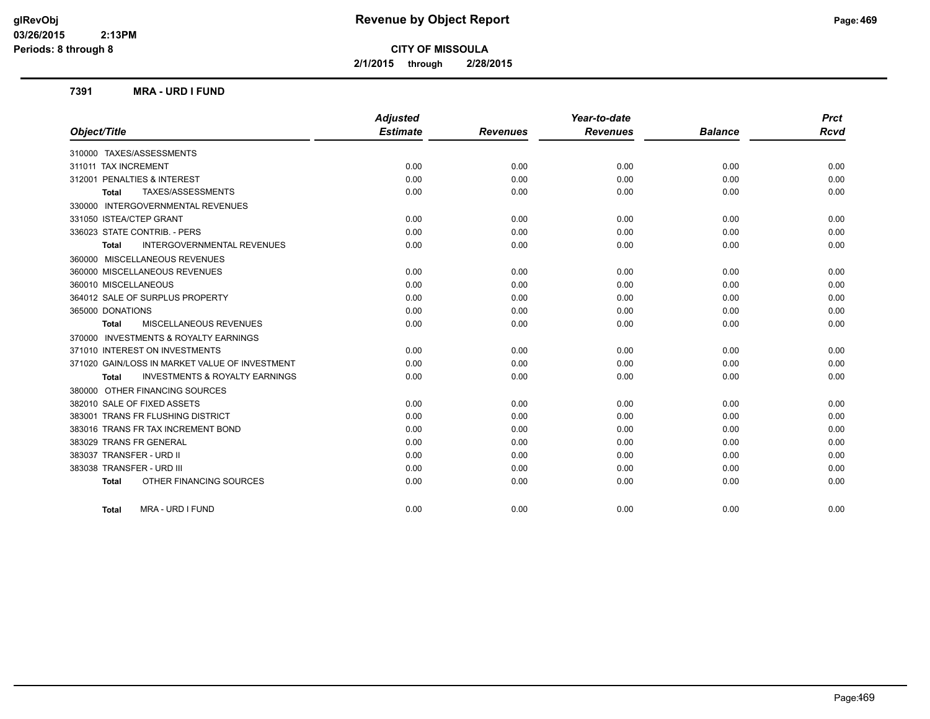**2/1/2015 through 2/28/2015**

#### **7391 MRA - URD I FUND**

|                                                    | <b>Adjusted</b> |                 | Year-to-date    |                | <b>Prct</b> |
|----------------------------------------------------|-----------------|-----------------|-----------------|----------------|-------------|
| Object/Title                                       | <b>Estimate</b> | <b>Revenues</b> | <b>Revenues</b> | <b>Balance</b> | <b>Rcvd</b> |
| 310000 TAXES/ASSESSMENTS                           |                 |                 |                 |                |             |
| 311011 TAX INCREMENT                               | 0.00            | 0.00            | 0.00            | 0.00           | 0.00        |
| 312001 PENALTIES & INTEREST                        | 0.00            | 0.00            | 0.00            | 0.00           | 0.00        |
| TAXES/ASSESSMENTS<br><b>Total</b>                  | 0.00            | 0.00            | 0.00            | 0.00           | 0.00        |
| 330000 INTERGOVERNMENTAL REVENUES                  |                 |                 |                 |                |             |
| 331050 ISTEA/CTEP GRANT                            | 0.00            | 0.00            | 0.00            | 0.00           | 0.00        |
| 336023 STATE CONTRIB. - PERS                       | 0.00            | 0.00            | 0.00            | 0.00           | 0.00        |
| <b>INTERGOVERNMENTAL REVENUES</b><br>Total         | 0.00            | 0.00            | 0.00            | 0.00           | 0.00        |
| 360000 MISCELLANEOUS REVENUES                      |                 |                 |                 |                |             |
| 360000 MISCELLANEOUS REVENUES                      | 0.00            | 0.00            | 0.00            | 0.00           | 0.00        |
| 360010 MISCELLANEOUS                               | 0.00            | 0.00            | 0.00            | 0.00           | 0.00        |
| 364012 SALE OF SURPLUS PROPERTY                    | 0.00            | 0.00            | 0.00            | 0.00           | 0.00        |
| 365000 DONATIONS                                   | 0.00            | 0.00            | 0.00            | 0.00           | 0.00        |
| <b>MISCELLANEOUS REVENUES</b><br><b>Total</b>      | 0.00            | 0.00            | 0.00            | 0.00           | 0.00        |
| 370000 INVESTMENTS & ROYALTY EARNINGS              |                 |                 |                 |                |             |
| 371010 INTEREST ON INVESTMENTS                     | 0.00            | 0.00            | 0.00            | 0.00           | 0.00        |
| 371020 GAIN/LOSS IN MARKET VALUE OF INVESTMENT     | 0.00            | 0.00            | 0.00            | 0.00           | 0.00        |
| <b>INVESTMENTS &amp; ROYALTY EARNINGS</b><br>Total | 0.00            | 0.00            | 0.00            | 0.00           | 0.00        |
| 380000 OTHER FINANCING SOURCES                     |                 |                 |                 |                |             |
| 382010 SALE OF FIXED ASSETS                        | 0.00            | 0.00            | 0.00            | 0.00           | 0.00        |
| 383001 TRANS FR FLUSHING DISTRICT                  | 0.00            | 0.00            | 0.00            | 0.00           | 0.00        |
| 383016 TRANS FR TAX INCREMENT BOND                 | 0.00            | 0.00            | 0.00            | 0.00           | 0.00        |
| 383029 TRANS FR GENERAL                            | 0.00            | 0.00            | 0.00            | 0.00           | 0.00        |
| 383037 TRANSFER - URD II                           | 0.00            | 0.00            | 0.00            | 0.00           | 0.00        |
| 383038 TRANSFER - URD III                          | 0.00            | 0.00            | 0.00            | 0.00           | 0.00        |
| OTHER FINANCING SOURCES<br><b>Total</b>            | 0.00            | 0.00            | 0.00            | 0.00           | 0.00        |
| MRA - URD I FUND<br><b>Total</b>                   | 0.00            | 0.00            | 0.00            | 0.00           | 0.00        |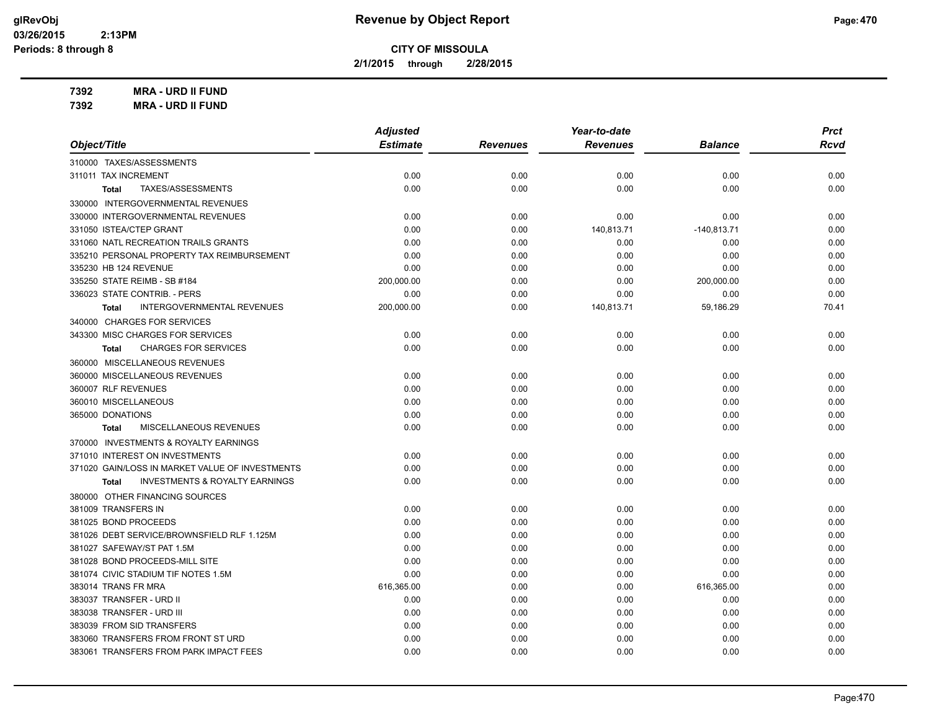**2/1/2015 through 2/28/2015**

**7392 MRA - URD II FUND**

**7392 MRA - URD II FUND**

|                                                           | <b>Adjusted</b> |                 | Year-to-date    |                | <b>Prct</b> |
|-----------------------------------------------------------|-----------------|-----------------|-----------------|----------------|-------------|
| Object/Title                                              | <b>Estimate</b> | <b>Revenues</b> | <b>Revenues</b> | <b>Balance</b> | <b>Rcvd</b> |
| 310000 TAXES/ASSESSMENTS                                  |                 |                 |                 |                |             |
| 311011 TAX INCREMENT                                      | 0.00            | 0.00            | 0.00            | 0.00           | 0.00        |
| TAXES/ASSESSMENTS<br><b>Total</b>                         | 0.00            | 0.00            | 0.00            | 0.00           | 0.00        |
| 330000 INTERGOVERNMENTAL REVENUES                         |                 |                 |                 |                |             |
| 330000 INTERGOVERNMENTAL REVENUES                         | 0.00            | 0.00            | 0.00            | 0.00           | 0.00        |
| 331050 ISTEA/CTEP GRANT                                   | 0.00            | 0.00            | 140,813.71      | $-140,813.71$  | 0.00        |
| 331060 NATL RECREATION TRAILS GRANTS                      | 0.00            | 0.00            | 0.00            | 0.00           | 0.00        |
| 335210 PERSONAL PROPERTY TAX REIMBURSEMENT                | 0.00            | 0.00            | 0.00            | 0.00           | 0.00        |
| 335230 HB 124 REVENUE                                     | 0.00            | 0.00            | 0.00            | 0.00           | 0.00        |
| 335250 STATE REIMB - SB #184                              | 200,000.00      | 0.00            | 0.00            | 200,000.00     | 0.00        |
| 336023 STATE CONTRIB. - PERS                              | 0.00            | 0.00            | 0.00            | 0.00           | 0.00        |
| <b>INTERGOVERNMENTAL REVENUES</b><br><b>Total</b>         | 200,000.00      | 0.00            | 140,813.71      | 59,186.29      | 70.41       |
| 340000 CHARGES FOR SERVICES                               |                 |                 |                 |                |             |
| 343300 MISC CHARGES FOR SERVICES                          | 0.00            | 0.00            | 0.00            | 0.00           | 0.00        |
| <b>CHARGES FOR SERVICES</b><br><b>Total</b>               | 0.00            | 0.00            | 0.00            | 0.00           | 0.00        |
| 360000 MISCELLANEOUS REVENUES                             |                 |                 |                 |                |             |
| 360000 MISCELLANEOUS REVENUES                             | 0.00            | 0.00            | 0.00            | 0.00           | 0.00        |
| 360007 RLF REVENUES                                       | 0.00            | 0.00            | 0.00            | 0.00           | 0.00        |
| 360010 MISCELLANEOUS                                      | 0.00            | 0.00            | 0.00            | 0.00           | 0.00        |
| 365000 DONATIONS                                          | 0.00            | 0.00            | 0.00            | 0.00           | 0.00        |
| MISCELLANEOUS REVENUES<br><b>Total</b>                    | 0.00            | 0.00            | 0.00            | 0.00           | 0.00        |
| 370000 INVESTMENTS & ROYALTY EARNINGS                     |                 |                 |                 |                |             |
| 371010 INTEREST ON INVESTMENTS                            | 0.00            | 0.00            | 0.00            | 0.00           | 0.00        |
| 371020 GAIN/LOSS IN MARKET VALUE OF INVESTMENTS           | 0.00            | 0.00            | 0.00            | 0.00           | 0.00        |
| <b>INVESTMENTS &amp; ROYALTY EARNINGS</b><br><b>Total</b> | 0.00            | 0.00            | 0.00            | 0.00           | 0.00        |
| 380000 OTHER FINANCING SOURCES                            |                 |                 |                 |                |             |
| 381009 TRANSFERS IN                                       | 0.00            | 0.00            | 0.00            | 0.00           | 0.00        |
| 381025 BOND PROCEEDS                                      | 0.00            | 0.00            | 0.00            | 0.00           | 0.00        |
| 381026 DEBT SERVICE/BROWNSFIELD RLF 1.125M                | 0.00            | 0.00            | 0.00            | 0.00           | 0.00        |
| 381027 SAFEWAY/ST PAT 1.5M                                | 0.00            | 0.00            | 0.00            | 0.00           | 0.00        |
| 381028 BOND PROCEEDS-MILL SITE                            | 0.00            | 0.00            | 0.00            | 0.00           | 0.00        |
| 381074 CIVIC STADIUM TIF NOTES 1.5M                       | 0.00            | 0.00            | 0.00            | 0.00           | 0.00        |
| 383014 TRANS FR MRA                                       | 616,365.00      | 0.00            | 0.00            | 616,365.00     | 0.00        |
| 383037 TRANSFER - URD II                                  | 0.00            | 0.00            | 0.00            | 0.00           | 0.00        |
| 383038 TRANSFER - URD III                                 | 0.00            | 0.00            | 0.00            | 0.00           | 0.00        |
| 383039 FROM SID TRANSFERS                                 | 0.00            | 0.00            | 0.00            | 0.00           | 0.00        |
| 383060 TRANSFERS FROM FRONT ST URD                        | 0.00            | 0.00            | 0.00            | 0.00           | 0.00        |
| 383061 TRANSFERS FROM PARK IMPACT FEES                    | 0.00            | 0.00            | 0.00            | 0.00           | 0.00        |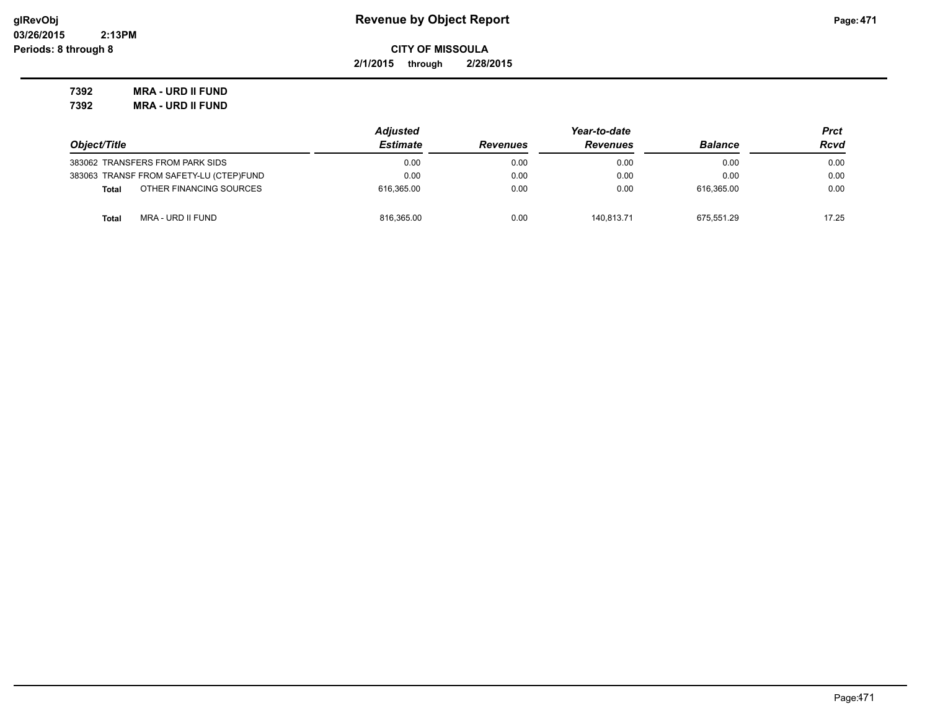**2/1/2015 through 2/28/2015**

**7392 MRA - URD II FUND 7392 MRA - URD II FUND**

|                                         | <b>Adjusted</b> |                 | Year-to-date    |                | <b>Prct</b> |
|-----------------------------------------|-----------------|-----------------|-----------------|----------------|-------------|
| Object/Title                            | <b>Estimate</b> | <b>Revenues</b> | <b>Revenues</b> | <b>Balance</b> | <b>Rcvd</b> |
| 383062 TRANSFERS FROM PARK SIDS         | 0.00            | 0.00            | 0.00            | 0.00           | 0.00        |
| 383063 TRANSF FROM SAFETY-LU (CTEP)FUND | 0.00            | 0.00            | 0.00            | 0.00           | 0.00        |
| OTHER FINANCING SOURCES<br>Total        | 616.365.00      | 0.00            | 0.00            | 616.365.00     | 0.00        |
| MRA - URD II FUND<br>Total              | 816.365.00      | 0.00            | 140.813.71      | 675.551.29     | 17.25       |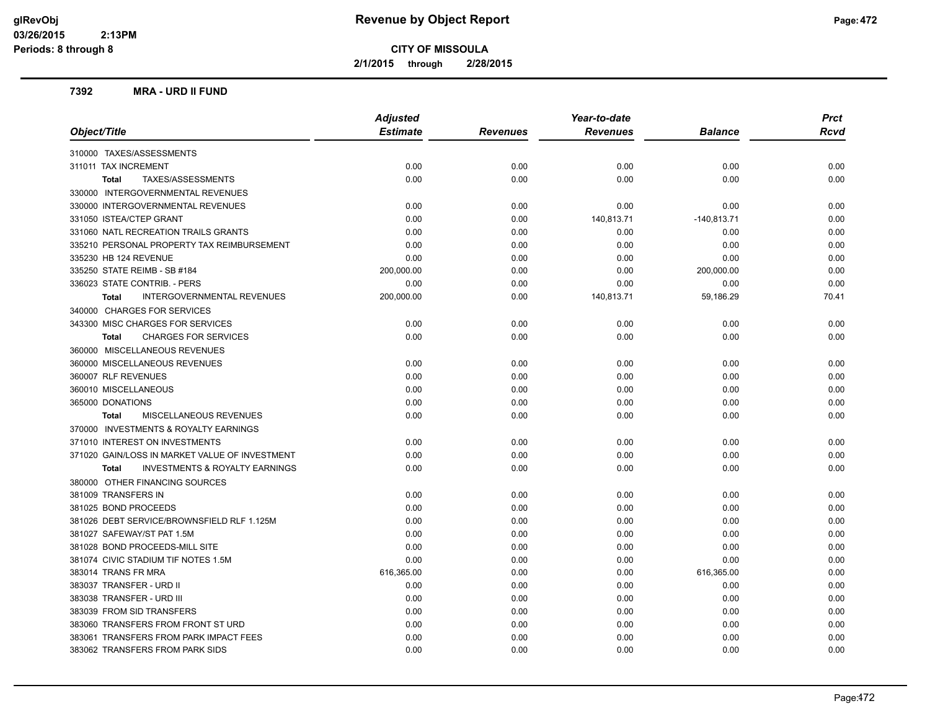**2/1/2015 through 2/28/2015**

#### **7392 MRA - URD II FUND**

|                                                    | <b>Adjusted</b> |                 | Year-to-date    |               | <b>Prct</b> |
|----------------------------------------------------|-----------------|-----------------|-----------------|---------------|-------------|
| Object/Title                                       | <b>Estimate</b> | <b>Revenues</b> | <b>Revenues</b> | Balance       | <b>Rcvd</b> |
| 310000 TAXES/ASSESSMENTS                           |                 |                 |                 |               |             |
| 311011 TAX INCREMENT                               | 0.00            | 0.00            | 0.00            | 0.00          | 0.00        |
| TAXES/ASSESSMENTS<br><b>Total</b>                  | 0.00            | 0.00            | 0.00            | 0.00          | 0.00        |
| 330000 INTERGOVERNMENTAL REVENUES                  |                 |                 |                 |               |             |
| 330000 INTERGOVERNMENTAL REVENUES                  | 0.00            | 0.00            | 0.00            | 0.00          | 0.00        |
| 331050 ISTEA/CTEP GRANT                            | 0.00            | 0.00            | 140,813.71      | $-140,813.71$ | 0.00        |
| 331060 NATL RECREATION TRAILS GRANTS               | 0.00            | 0.00            | 0.00            | 0.00          | 0.00        |
| 335210 PERSONAL PROPERTY TAX REIMBURSEMENT         | 0.00            | 0.00            | 0.00            | 0.00          | 0.00        |
| 335230 HB 124 REVENUE                              | 0.00            | 0.00            | 0.00            | 0.00          | 0.00        |
| 335250 STATE REIMB - SB #184                       | 200,000.00      | 0.00            | 0.00            | 200,000.00    | 0.00        |
| 336023 STATE CONTRIB. - PERS                       | 0.00            | 0.00            | 0.00            | 0.00          | 0.00        |
| <b>INTERGOVERNMENTAL REVENUES</b><br><b>Total</b>  | 200,000.00      | 0.00            | 140,813.71      | 59,186.29     | 70.41       |
| 340000 CHARGES FOR SERVICES                        |                 |                 |                 |               |             |
| 343300 MISC CHARGES FOR SERVICES                   | 0.00            | 0.00            | 0.00            | 0.00          | 0.00        |
| <b>CHARGES FOR SERVICES</b><br><b>Total</b>        | 0.00            | 0.00            | 0.00            | 0.00          | 0.00        |
| 360000 MISCELLANEOUS REVENUES                      |                 |                 |                 |               |             |
| 360000 MISCELLANEOUS REVENUES                      | 0.00            | 0.00            | 0.00            | 0.00          | 0.00        |
| 360007 RLF REVENUES                                | 0.00            | 0.00            | 0.00            | 0.00          | 0.00        |
| 360010 MISCELLANEOUS                               | 0.00            | 0.00            | 0.00            | 0.00          | 0.00        |
| 365000 DONATIONS                                   | 0.00            | 0.00            | 0.00            | 0.00          | 0.00        |
| MISCELLANEOUS REVENUES<br><b>Total</b>             | 0.00            | 0.00            | 0.00            | 0.00          | 0.00        |
| 370000 INVESTMENTS & ROYALTY EARNINGS              |                 |                 |                 |               |             |
| 371010 INTEREST ON INVESTMENTS                     | 0.00            | 0.00            | 0.00            | 0.00          | 0.00        |
| 371020 GAIN/LOSS IN MARKET VALUE OF INVESTMENT     | 0.00            | 0.00            | 0.00            | 0.00          | 0.00        |
| <b>INVESTMENTS &amp; ROYALTY EARNINGS</b><br>Total | 0.00            | 0.00            | 0.00            | 0.00          | 0.00        |
| 380000 OTHER FINANCING SOURCES                     |                 |                 |                 |               |             |
| 381009 TRANSFERS IN                                | 0.00            | 0.00            | 0.00            | 0.00          | 0.00        |
| 381025 BOND PROCEEDS                               | 0.00            | 0.00            | 0.00            | 0.00          | 0.00        |
| 381026 DEBT SERVICE/BROWNSFIELD RLF 1.125M         | 0.00            | 0.00            | 0.00            | 0.00          | 0.00        |
| 381027 SAFEWAY/ST PAT 1.5M                         | 0.00            | 0.00            | 0.00            | 0.00          | 0.00        |
| 381028 BOND PROCEEDS-MILL SITE                     | 0.00            | 0.00            | 0.00            | 0.00          | 0.00        |
| 381074 CIVIC STADIUM TIF NOTES 1.5M                | 0.00            | 0.00            | 0.00            | 0.00          | 0.00        |
| 383014 TRANS FR MRA                                | 616,365.00      | 0.00            | 0.00            | 616,365.00    | 0.00        |
| 383037 TRANSFER - URD II                           | 0.00            | 0.00            | 0.00            | 0.00          | 0.00        |
| 383038 TRANSFER - URD III                          | 0.00            | 0.00            | 0.00            | 0.00          | 0.00        |
| 383039 FROM SID TRANSFERS                          | 0.00            | 0.00            | 0.00            | 0.00          | 0.00        |
| 383060 TRANSFERS FROM FRONT ST URD                 | 0.00            | 0.00            | 0.00            | 0.00          | 0.00        |
| 383061 TRANSFERS FROM PARK IMPACT FEES             | 0.00            | 0.00            | 0.00            | 0.00          | 0.00        |
| 383062 TRANSFERS FROM PARK SIDS                    | 0.00            | 0.00            | 0.00            | 0.00          | 0.00        |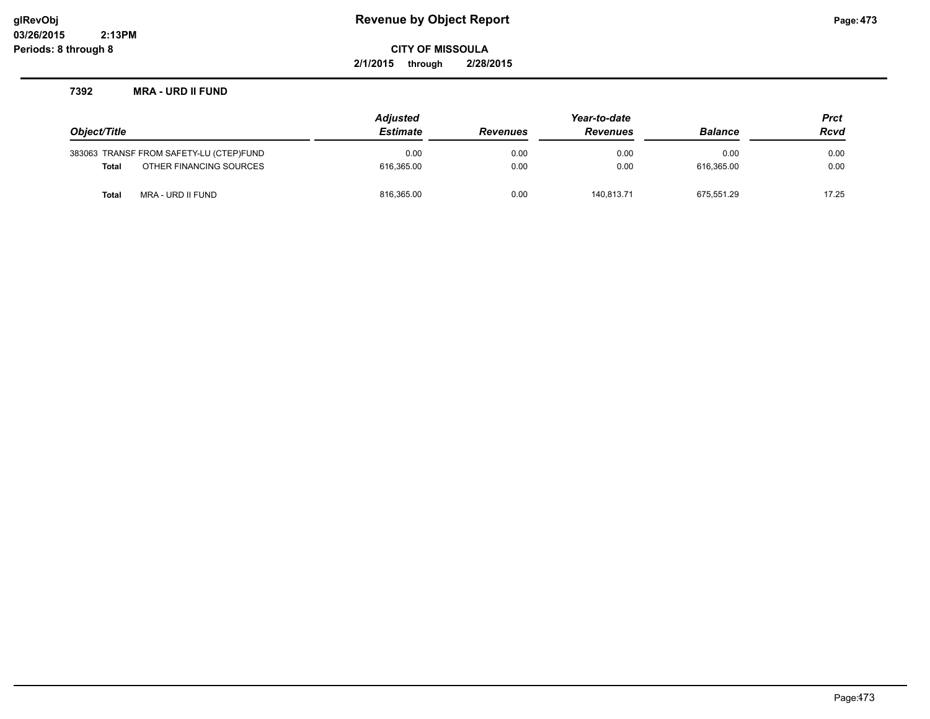**2/1/2015 through 2/28/2015**

#### **7392 MRA - URD II FUND**

|              |                                         | <b>Adjusted</b> |                 | Year-to-date    |                | <b>Prct</b> |
|--------------|-----------------------------------------|-----------------|-----------------|-----------------|----------------|-------------|
| Object/Title |                                         | <b>Estimate</b> | <b>Revenues</b> | <b>Revenues</b> | <b>Balance</b> | <b>Rcvd</b> |
|              | 383063 TRANSF FROM SAFETY-LU (CTEP)FUND | 0.00            | 0.00            | 0.00            | 0.00           | 0.00        |
| <b>Total</b> | OTHER FINANCING SOURCES                 | 616.365.00      | 0.00            | 0.00            | 616.365.00     | 0.00        |
| Total        | MRA - URD II FUND                       | 816,365.00      | 0.00            | 140.813.71      | 675.551.29     | 17.25       |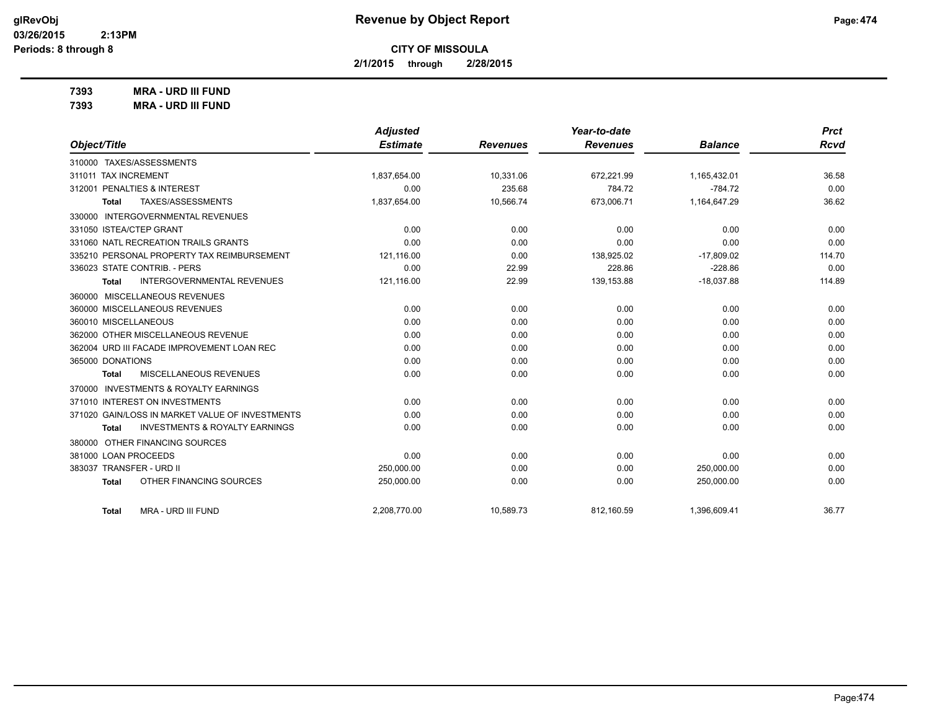**2/1/2015 through 2/28/2015**

**7393 MRA - URD III FUND**

|  | 7393 | <b>MRA - URD III FUND</b> |
|--|------|---------------------------|
|--|------|---------------------------|

|                                                           | <b>Adjusted</b> |                 | Year-to-date    |                | <b>Prct</b> |
|-----------------------------------------------------------|-----------------|-----------------|-----------------|----------------|-------------|
| Object/Title                                              | <b>Estimate</b> | <b>Revenues</b> | <b>Revenues</b> | <b>Balance</b> | <b>Rcvd</b> |
| 310000 TAXES/ASSESSMENTS                                  |                 |                 |                 |                |             |
| 311011 TAX INCREMENT                                      | 1,837,654.00    | 10,331.06       | 672,221.99      | 1,165,432.01   | 36.58       |
| 312001 PENALTIES & INTEREST                               | 0.00            | 235.68          | 784.72          | $-784.72$      | 0.00        |
| TAXES/ASSESSMENTS<br><b>Total</b>                         | 1,837,654.00    | 10,566.74       | 673,006.71      | 1,164,647.29   | 36.62       |
| 330000 INTERGOVERNMENTAL REVENUES                         |                 |                 |                 |                |             |
| 331050 ISTEA/CTEP GRANT                                   | 0.00            | 0.00            | 0.00            | 0.00           | 0.00        |
| 331060 NATL RECREATION TRAILS GRANTS                      | 0.00            | 0.00            | 0.00            | 0.00           | 0.00        |
| 335210 PERSONAL PROPERTY TAX REIMBURSEMENT                | 121,116.00      | 0.00            | 138,925.02      | $-17,809.02$   | 114.70      |
| 336023 STATE CONTRIB. - PERS                              | 0.00            | 22.99           | 228.86          | $-228.86$      | 0.00        |
| <b>INTERGOVERNMENTAL REVENUES</b><br><b>Total</b>         | 121,116.00      | 22.99           | 139,153.88      | $-18,037.88$   | 114.89      |
| 360000 MISCELLANEOUS REVENUES                             |                 |                 |                 |                |             |
| 360000 MISCELLANEOUS REVENUES                             | 0.00            | 0.00            | 0.00            | 0.00           | 0.00        |
| 360010 MISCELLANEOUS                                      | 0.00            | 0.00            | 0.00            | 0.00           | 0.00        |
| 362000 OTHER MISCELLANEOUS REVENUE                        | 0.00            | 0.00            | 0.00            | 0.00           | 0.00        |
| 362004 URD III FACADE IMPROVEMENT LOAN REC                | 0.00            | 0.00            | 0.00            | 0.00           | 0.00        |
| 365000 DONATIONS                                          | 0.00            | 0.00            | 0.00            | 0.00           | 0.00        |
| MISCELLANEOUS REVENUES<br><b>Total</b>                    | 0.00            | 0.00            | 0.00            | 0.00           | 0.00        |
| <b>INVESTMENTS &amp; ROYALTY EARNINGS</b><br>370000       |                 |                 |                 |                |             |
| 371010 INTEREST ON INVESTMENTS                            | 0.00            | 0.00            | 0.00            | 0.00           | 0.00        |
| 371020 GAIN/LOSS IN MARKET VALUE OF INVESTMENTS           | 0.00            | 0.00            | 0.00            | 0.00           | 0.00        |
| <b>INVESTMENTS &amp; ROYALTY EARNINGS</b><br><b>Total</b> | 0.00            | 0.00            | 0.00            | 0.00           | 0.00        |
| OTHER FINANCING SOURCES<br>380000                         |                 |                 |                 |                |             |
| 381000 LOAN PROCEEDS                                      | 0.00            | 0.00            | 0.00            | 0.00           | 0.00        |
| 383037 TRANSFER - URD II                                  | 250,000.00      | 0.00            | 0.00            | 250,000.00     | 0.00        |
| OTHER FINANCING SOURCES<br><b>Total</b>                   | 250,000.00      | 0.00            | 0.00            | 250,000.00     | 0.00        |
| MRA - URD III FUND<br><b>Total</b>                        | 2,208,770.00    | 10,589.73       | 812,160.59      | 1,396,609.41   | 36.77       |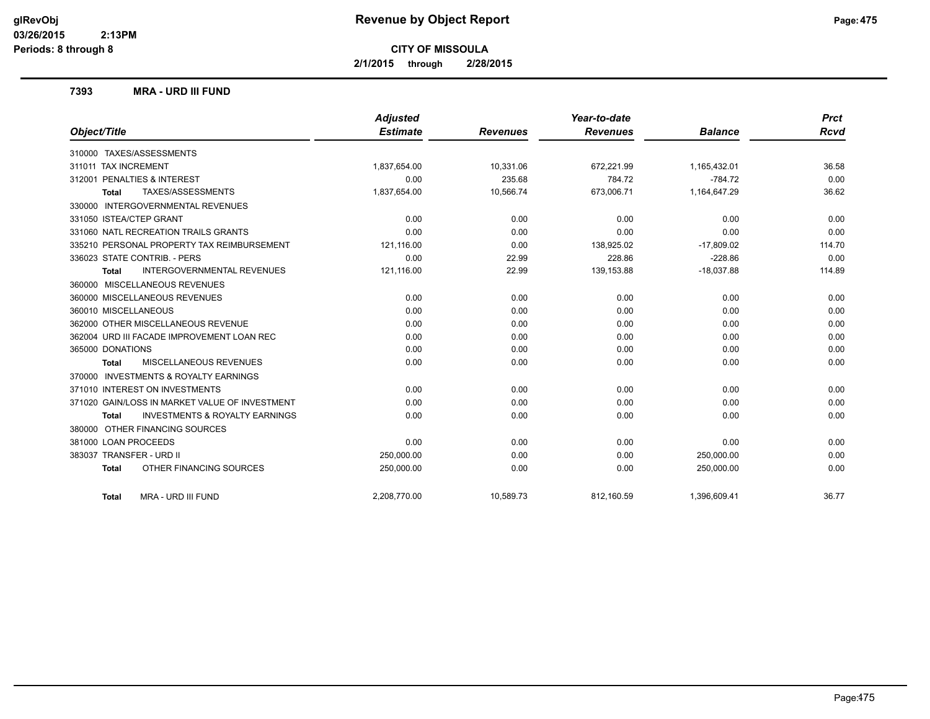**2/1/2015 through 2/28/2015**

#### **7393 MRA - URD III FUND**

|                                                    | <b>Adjusted</b> |                 | Year-to-date    |                | Prct        |
|----------------------------------------------------|-----------------|-----------------|-----------------|----------------|-------------|
| Object/Title                                       | <b>Estimate</b> | <b>Revenues</b> | <b>Revenues</b> | <b>Balance</b> | <b>Rcvd</b> |
| 310000 TAXES/ASSESSMENTS                           |                 |                 |                 |                |             |
| 311011 TAX INCREMENT                               | 1,837,654.00    | 10,331.06       | 672,221.99      | 1,165,432.01   | 36.58       |
| 312001 PENALTIES & INTEREST                        | 0.00            | 235.68          | 784.72          | $-784.72$      | 0.00        |
| TAXES/ASSESSMENTS<br>Total                         | 1,837,654.00    | 10,566.74       | 673,006.71      | 1,164,647.29   | 36.62       |
| 330000 INTERGOVERNMENTAL REVENUES                  |                 |                 |                 |                |             |
| 331050 ISTEA/CTEP GRANT                            | 0.00            | 0.00            | 0.00            | 0.00           | 0.00        |
| 331060 NATL RECREATION TRAILS GRANTS               | 0.00            | 0.00            | 0.00            | 0.00           | 0.00        |
| 335210 PERSONAL PROPERTY TAX REIMBURSEMENT         | 121.116.00      | 0.00            | 138,925.02      | $-17,809.02$   | 114.70      |
| 336023 STATE CONTRIB. - PERS                       | 0.00            | 22.99           | 228.86          | $-228.86$      | 0.00        |
| <b>INTERGOVERNMENTAL REVENUES</b><br><b>Total</b>  | 121,116.00      | 22.99           | 139,153.88      | $-18,037.88$   | 114.89      |
| 360000 MISCELLANEOUS REVENUES                      |                 |                 |                 |                |             |
| 360000 MISCELLANEOUS REVENUES                      | 0.00            | 0.00            | 0.00            | 0.00           | 0.00        |
| 360010 MISCELLANEOUS                               | 0.00            | 0.00            | 0.00            | 0.00           | 0.00        |
| 362000 OTHER MISCELLANEOUS REVENUE                 | 0.00            | 0.00            | 0.00            | 0.00           | 0.00        |
| 362004 URD III FACADE IMPROVEMENT LOAN REC         | 0.00            | 0.00            | 0.00            | 0.00           | 0.00        |
| 365000 DONATIONS                                   | 0.00            | 0.00            | 0.00            | 0.00           | 0.00        |
| <b>MISCELLANEOUS REVENUES</b><br><b>Total</b>      | 0.00            | 0.00            | 0.00            | 0.00           | 0.00        |
| 370000 INVESTMENTS & ROYALTY EARNINGS              |                 |                 |                 |                |             |
| 371010 INTEREST ON INVESTMENTS                     | 0.00            | 0.00            | 0.00            | 0.00           | 0.00        |
| 371020 GAIN/LOSS IN MARKET VALUE OF INVESTMENT     | 0.00            | 0.00            | 0.00            | 0.00           | 0.00        |
| <b>INVESTMENTS &amp; ROYALTY EARNINGS</b><br>Total | 0.00            | 0.00            | 0.00            | 0.00           | 0.00        |
| 380000 OTHER FINANCING SOURCES                     |                 |                 |                 |                |             |
| 381000 LOAN PROCEEDS                               | 0.00            | 0.00            | 0.00            | 0.00           | 0.00        |
| 383037 TRANSFER - URD II                           | 250,000.00      | 0.00            | 0.00            | 250,000.00     | 0.00        |
| OTHER FINANCING SOURCES<br><b>Total</b>            | 250,000.00      | 0.00            | 0.00            | 250,000.00     | 0.00        |
| MRA - URD III FUND<br>Total                        | 2,208,770.00    | 10,589.73       | 812,160.59      | 1,396,609.41   | 36.77       |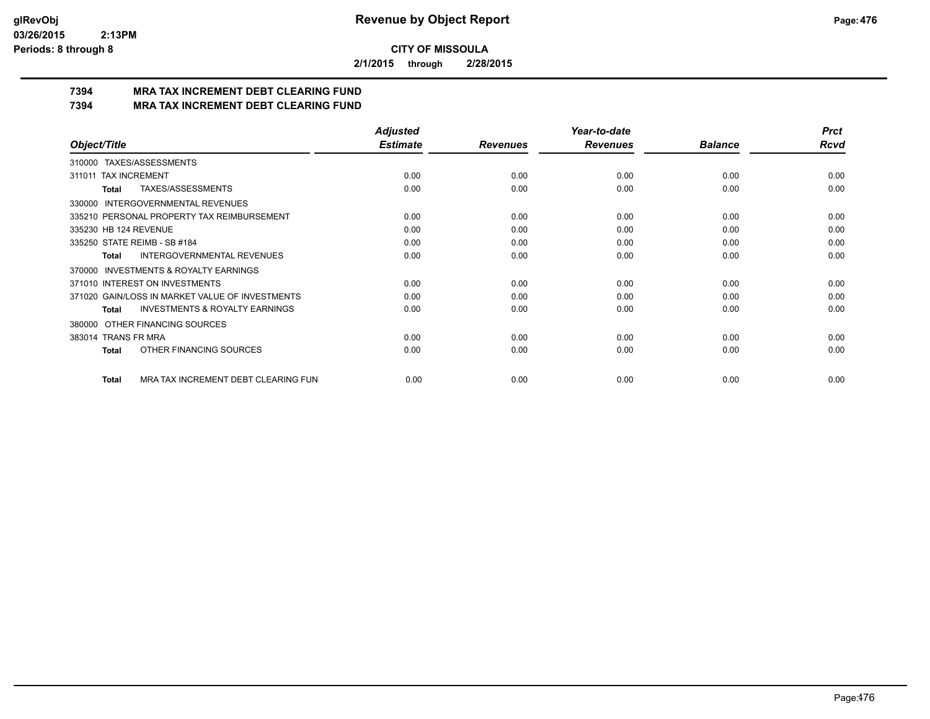**2/1/2015 through 2/28/2015**

# **7394 MRA TAX INCREMENT DEBT CLEARING FUND**

**7394 MRA TAX INCREMENT DEBT CLEARING FUND**

|                                                           | <b>Adjusted</b> |                 | Year-to-date    |                | <b>Prct</b> |
|-----------------------------------------------------------|-----------------|-----------------|-----------------|----------------|-------------|
| Object/Title                                              | <b>Estimate</b> | <b>Revenues</b> | <b>Revenues</b> | <b>Balance</b> | <b>Rcvd</b> |
| 310000 TAXES/ASSESSMENTS                                  |                 |                 |                 |                |             |
| <b>TAX INCREMENT</b><br>311011                            | 0.00            | 0.00            | 0.00            | 0.00           | 0.00        |
| TAXES/ASSESSMENTS<br><b>Total</b>                         | 0.00            | 0.00            | 0.00            | 0.00           | 0.00        |
| <b>INTERGOVERNMENTAL REVENUES</b><br>330000               |                 |                 |                 |                |             |
| 335210 PERSONAL PROPERTY TAX REIMBURSEMENT                | 0.00            | 0.00            | 0.00            | 0.00           | 0.00        |
| 335230 HB 124 REVENUE                                     | 0.00            | 0.00            | 0.00            | 0.00           | 0.00        |
| 335250 STATE REIMB - SB #184                              | 0.00            | 0.00            | 0.00            | 0.00           | 0.00        |
| INTERGOVERNMENTAL REVENUES<br><b>Total</b>                | 0.00            | 0.00            | 0.00            | 0.00           | 0.00        |
| <b>INVESTMENTS &amp; ROYALTY EARNINGS</b><br>370000       |                 |                 |                 |                |             |
| 371010 INTEREST ON INVESTMENTS                            | 0.00            | 0.00            | 0.00            | 0.00           | 0.00        |
| 371020 GAIN/LOSS IN MARKET VALUE OF INVESTMENTS           | 0.00            | 0.00            | 0.00            | 0.00           | 0.00        |
| <b>INVESTMENTS &amp; ROYALTY EARNINGS</b><br><b>Total</b> | 0.00            | 0.00            | 0.00            | 0.00           | 0.00        |
| OTHER FINANCING SOURCES<br>380000                         |                 |                 |                 |                |             |
| 383014 TRANS FR MRA                                       | 0.00            | 0.00            | 0.00            | 0.00           | 0.00        |
| OTHER FINANCING SOURCES<br><b>Total</b>                   | 0.00            | 0.00            | 0.00            | 0.00           | 0.00        |
| MRA TAX INCREMENT DEBT CLEARING FUN<br><b>Total</b>       | 0.00            | 0.00            | 0.00            | 0.00           | 0.00        |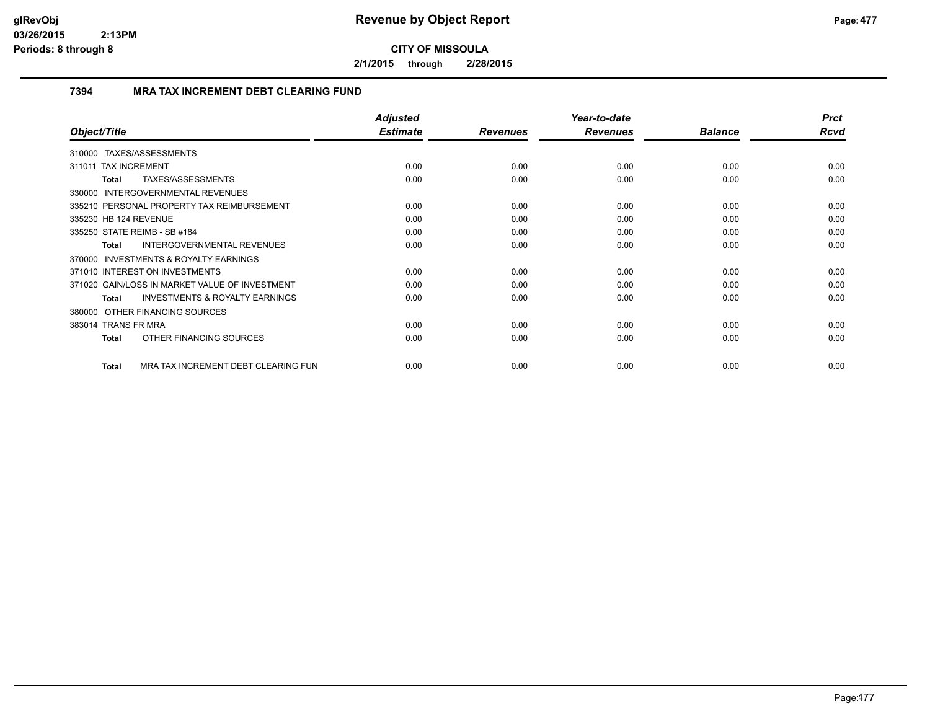**2/1/2015 through 2/28/2015**

## **7394 MRA TAX INCREMENT DEBT CLEARING FUND**

|                                                    | <b>Adjusted</b> |                 | Year-to-date    |                | <b>Prct</b> |
|----------------------------------------------------|-----------------|-----------------|-----------------|----------------|-------------|
| Object/Title                                       | <b>Estimate</b> | <b>Revenues</b> | <b>Revenues</b> | <b>Balance</b> | Rcvd        |
| TAXES/ASSESSMENTS<br>310000                        |                 |                 |                 |                |             |
| <b>TAX INCREMENT</b><br>311011                     | 0.00            | 0.00            | 0.00            | 0.00           | 0.00        |
| TAXES/ASSESSMENTS<br><b>Total</b>                  | 0.00            | 0.00            | 0.00            | 0.00           | 0.00        |
| 330000 INTERGOVERNMENTAL REVENUES                  |                 |                 |                 |                |             |
| 335210 PERSONAL PROPERTY TAX REIMBURSEMENT         | 0.00            | 0.00            | 0.00            | 0.00           | 0.00        |
| 335230 HB 124 REVENUE                              | 0.00            | 0.00            | 0.00            | 0.00           | 0.00        |
| 335250 STATE REIMB - SB #184                       | 0.00            | 0.00            | 0.00            | 0.00           | 0.00        |
| <b>INTERGOVERNMENTAL REVENUES</b><br>Total         | 0.00            | 0.00            | 0.00            | 0.00           | 0.00        |
| INVESTMENTS & ROYALTY EARNINGS<br>370000           |                 |                 |                 |                |             |
| 371010 INTEREST ON INVESTMENTS                     | 0.00            | 0.00            | 0.00            | 0.00           | 0.00        |
| 371020 GAIN/LOSS IN MARKET VALUE OF INVESTMENT     | 0.00            | 0.00            | 0.00            | 0.00           | 0.00        |
| <b>INVESTMENTS &amp; ROYALTY EARNINGS</b><br>Total | 0.00            | 0.00            | 0.00            | 0.00           | 0.00        |
| 380000 OTHER FINANCING SOURCES                     |                 |                 |                 |                |             |
| 383014 TRANS FR MRA                                | 0.00            | 0.00            | 0.00            | 0.00           | 0.00        |
| OTHER FINANCING SOURCES<br>Total                   | 0.00            | 0.00            | 0.00            | 0.00           | 0.00        |
| MRA TAX INCREMENT DEBT CLEARING FUN<br>Total       | 0.00            | 0.00            | 0.00            | 0.00           | 0.00        |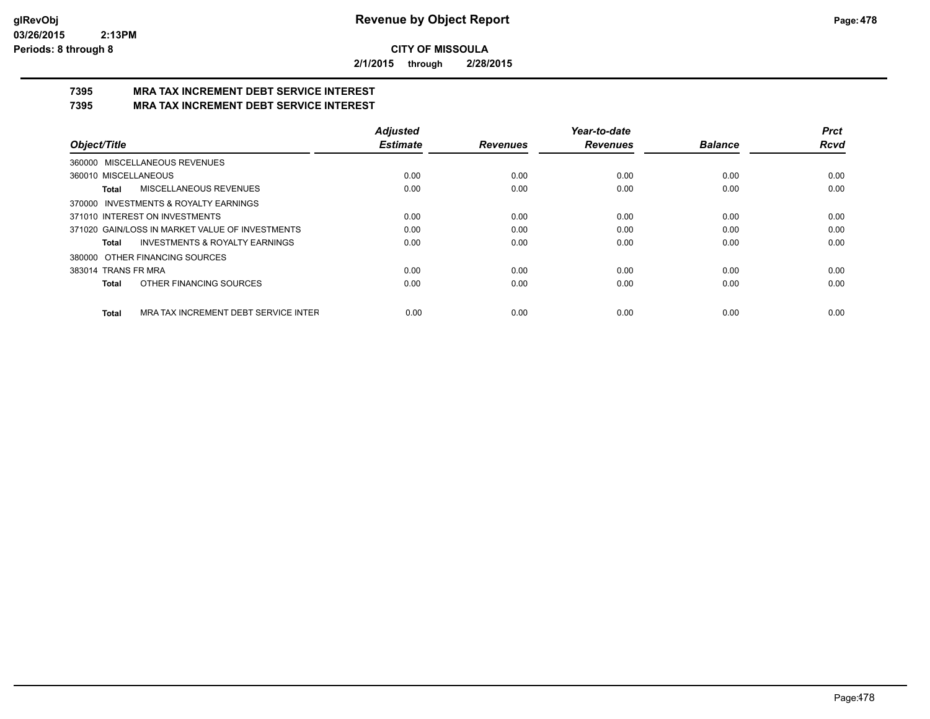**2/1/2015 through 2/28/2015**

#### **7395 MRA TAX INCREMENT DEBT SERVICE INTEREST 7395 MRA TAX INCREMENT DEBT SERVICE INTEREST**

|                                                      | <b>Adjusted</b> |                 | Year-to-date    |                | <b>Prct</b> |
|------------------------------------------------------|-----------------|-----------------|-----------------|----------------|-------------|
| Object/Title                                         | <b>Estimate</b> | <b>Revenues</b> | <b>Revenues</b> | <b>Balance</b> | <b>Rcvd</b> |
| 360000 MISCELLANEOUS REVENUES                        |                 |                 |                 |                |             |
| 360010 MISCELLANEOUS                                 | 0.00            | 0.00            | 0.00            | 0.00           | 0.00        |
| <b>MISCELLANEOUS REVENUES</b><br>Total               | 0.00            | 0.00            | 0.00            | 0.00           | 0.00        |
| 370000 INVESTMENTS & ROYALTY EARNINGS                |                 |                 |                 |                |             |
| 371010 INTEREST ON INVESTMENTS                       | 0.00            | 0.00            | 0.00            | 0.00           | 0.00        |
| 371020 GAIN/LOSS IN MARKET VALUE OF INVESTMENTS      | 0.00            | 0.00            | 0.00            | 0.00           | 0.00        |
| <b>INVESTMENTS &amp; ROYALTY EARNINGS</b><br>Total   | 0.00            | 0.00            | 0.00            | 0.00           | 0.00        |
| 380000 OTHER FINANCING SOURCES                       |                 |                 |                 |                |             |
| 383014 TRANS FR MRA                                  | 0.00            | 0.00            | 0.00            | 0.00           | 0.00        |
| OTHER FINANCING SOURCES<br>Total                     | 0.00            | 0.00            | 0.00            | 0.00           | 0.00        |
| MRA TAX INCREMENT DEBT SERVICE INTER<br><b>Total</b> | 0.00            | 0.00            | 0.00            | 0.00           | 0.00        |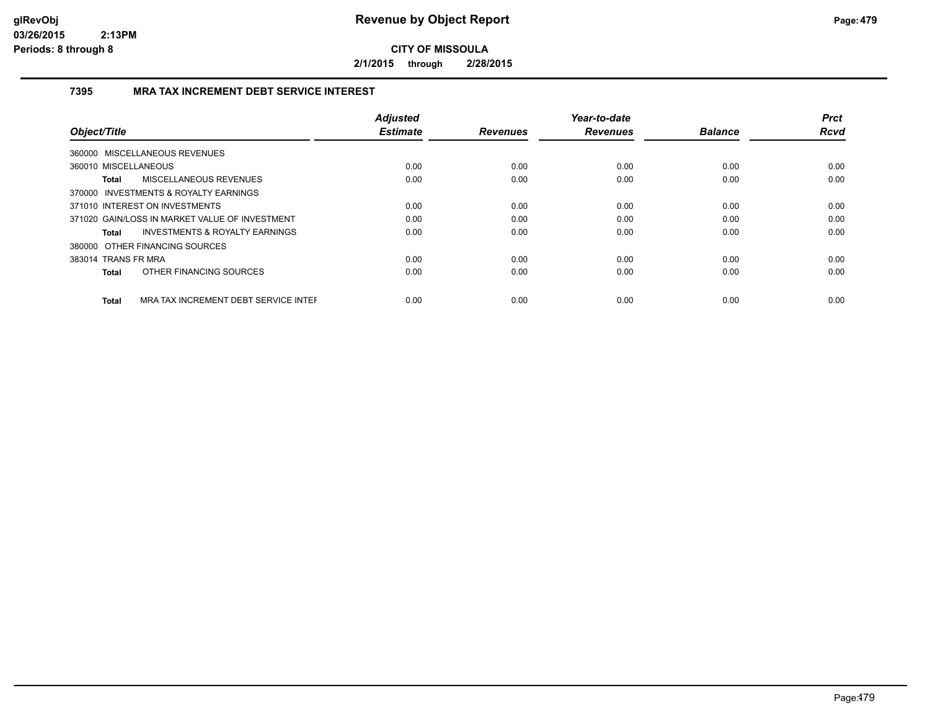**2/1/2015 through 2/28/2015**

# **7395 MRA TAX INCREMENT DEBT SERVICE INTEREST**

|                                                    | <b>Adjusted</b> |                 | Year-to-date    |                | <b>Prct</b> |
|----------------------------------------------------|-----------------|-----------------|-----------------|----------------|-------------|
| Object/Title                                       | <b>Estimate</b> | <b>Revenues</b> | <b>Revenues</b> | <b>Balance</b> | <b>Rcvd</b> |
| 360000 MISCELLANEOUS REVENUES                      |                 |                 |                 |                |             |
| 360010 MISCELLANEOUS                               | 0.00            | 0.00            | 0.00            | 0.00           | 0.00        |
| MISCELLANEOUS REVENUES<br>Total                    | 0.00            | 0.00            | 0.00            | 0.00           | 0.00        |
| 370000 INVESTMENTS & ROYALTY EARNINGS              |                 |                 |                 |                |             |
| 371010 INTEREST ON INVESTMENTS                     | 0.00            | 0.00            | 0.00            | 0.00           | 0.00        |
| 371020 GAIN/LOSS IN MARKET VALUE OF INVESTMENT     | 0.00            | 0.00            | 0.00            | 0.00           | 0.00        |
| <b>INVESTMENTS &amp; ROYALTY EARNINGS</b><br>Total | 0.00            | 0.00            | 0.00            | 0.00           | 0.00        |
| 380000 OTHER FINANCING SOURCES                     |                 |                 |                 |                |             |
| 383014 TRANS FR MRA                                | 0.00            | 0.00            | 0.00            | 0.00           | 0.00        |
| OTHER FINANCING SOURCES<br>Total                   | 0.00            | 0.00            | 0.00            | 0.00           | 0.00        |
| MRA TAX INCREMENT DEBT SERVICE INTEF<br>Total      | 0.00            | 0.00            | 0.00            | 0.00           | 0.00        |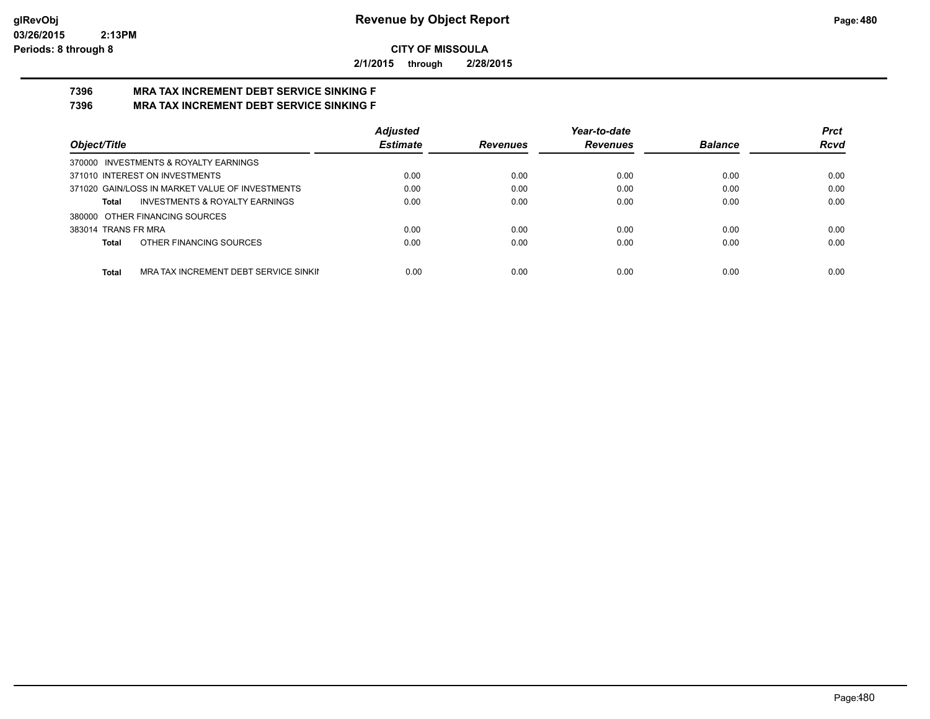**2/1/2015 through 2/28/2015**

#### **7396 MRA TAX INCREMENT DEBT SERVICE SINKING F 7396 MRA TAX INCREMENT DEBT SERVICE SINKING F**

|                                                    | <b>Adiusted</b> |                 | Year-to-date    |                | <b>Prct</b> |
|----------------------------------------------------|-----------------|-----------------|-----------------|----------------|-------------|
| Object/Title                                       | <b>Estimate</b> | <b>Revenues</b> | <b>Revenues</b> | <b>Balance</b> | <b>Rcvd</b> |
| 370000 INVESTMENTS & ROYALTY EARNINGS              |                 |                 |                 |                |             |
| 371010 INTEREST ON INVESTMENTS                     | 0.00            | 0.00            | 0.00            | 0.00           | 0.00        |
| 371020 GAIN/LOSS IN MARKET VALUE OF INVESTMENTS    | 0.00            | 0.00            | 0.00            | 0.00           | 0.00        |
| <b>INVESTMENTS &amp; ROYALTY EARNINGS</b><br>Total | 0.00            | 0.00            | 0.00            | 0.00           | 0.00        |
| 380000 OTHER FINANCING SOURCES                     |                 |                 |                 |                |             |
| 383014 TRANS FR MRA                                | 0.00            | 0.00            | 0.00            | 0.00           | 0.00        |
| OTHER FINANCING SOURCES<br>Total                   | 0.00            | 0.00            | 0.00            | 0.00           | 0.00        |
|                                                    |                 |                 |                 |                |             |
| Total<br>MRA TAX INCREMENT DEBT SERVICE SINKII     | 0.00            | 0.00            | 0.00            | 0.00           | 0.00        |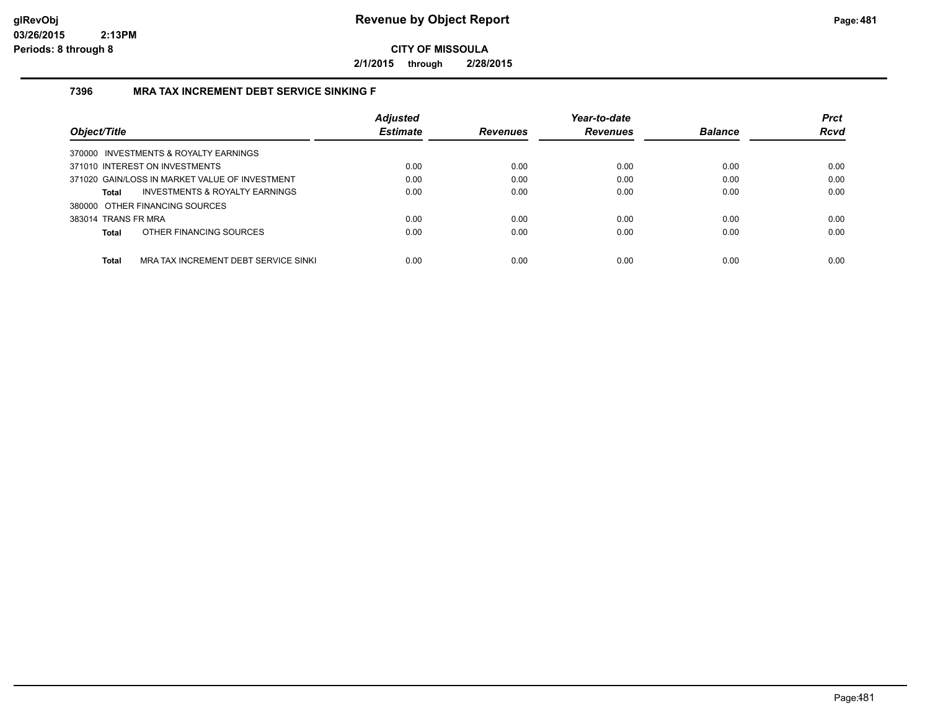**2/1/2015 through 2/28/2015**

## **7396 MRA TAX INCREMENT DEBT SERVICE SINKING F**

|                                                      | <b>Adjusted</b> |                 | Year-to-date    |                | <b>Prct</b> |
|------------------------------------------------------|-----------------|-----------------|-----------------|----------------|-------------|
| Object/Title                                         | <b>Estimate</b> | <b>Revenues</b> | <b>Revenues</b> | <b>Balance</b> | <b>Rcvd</b> |
| 370000 INVESTMENTS & ROYALTY EARNINGS                |                 |                 |                 |                |             |
| 371010 INTEREST ON INVESTMENTS                       | 0.00            | 0.00            | 0.00            | 0.00           | 0.00        |
| 371020 GAIN/LOSS IN MARKET VALUE OF INVESTMENT       | 0.00            | 0.00            | 0.00            | 0.00           | 0.00        |
| INVESTMENTS & ROYALTY EARNINGS<br>Total              | 0.00            | 0.00            | 0.00            | 0.00           | 0.00        |
| 380000 OTHER FINANCING SOURCES                       |                 |                 |                 |                |             |
| 383014 TRANS FR MRA                                  | 0.00            | 0.00            | 0.00            | 0.00           | 0.00        |
| OTHER FINANCING SOURCES<br>Total                     | 0.00            | 0.00            | 0.00            | 0.00           | 0.00        |
|                                                      |                 |                 |                 |                |             |
| <b>Total</b><br>MRA TAX INCREMENT DEBT SERVICE SINKI | 0.00            | 0.00            | 0.00            | 0.00           | 0.00        |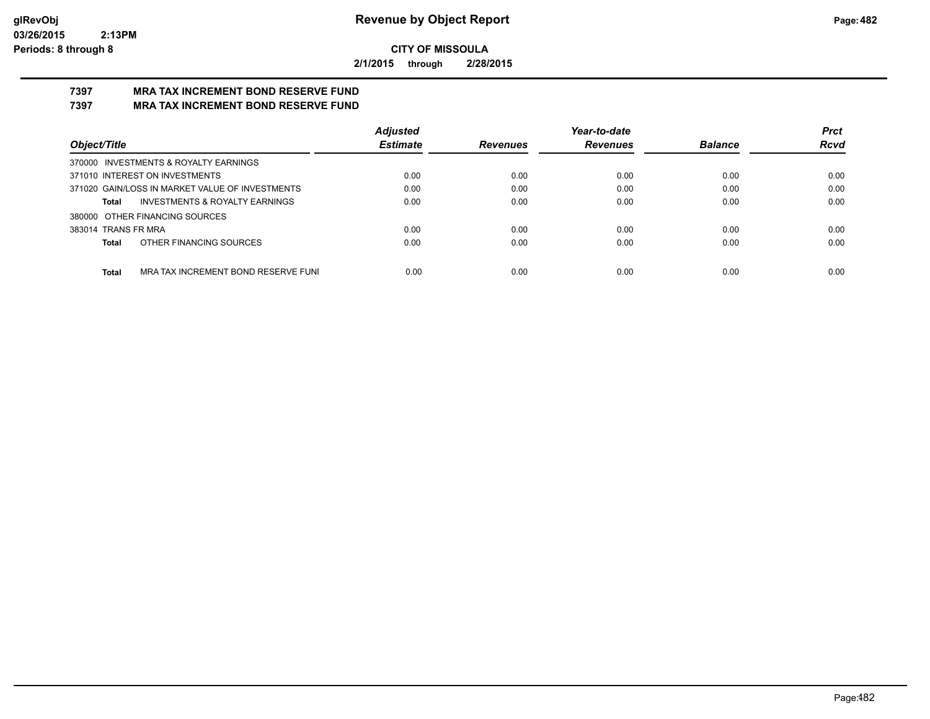**2/1/2015 through 2/28/2015**

#### **7397 MRA TAX INCREMENT BOND RESERVE FUND 7397 MRA TAX INCREMENT BOND RESERVE FUND**

|                                                     | <b>Adjusted</b> |                 | Year-to-date    |                | <b>Prct</b> |
|-----------------------------------------------------|-----------------|-----------------|-----------------|----------------|-------------|
| Object/Title                                        | <b>Estimate</b> | <b>Revenues</b> | <b>Revenues</b> | <b>Balance</b> | <b>Rcvd</b> |
| 370000 INVESTMENTS & ROYALTY EARNINGS               |                 |                 |                 |                |             |
| 371010 INTEREST ON INVESTMENTS                      | 0.00            | 0.00            | 0.00            | 0.00           | 0.00        |
| 371020 GAIN/LOSS IN MARKET VALUE OF INVESTMENTS     | 0.00            | 0.00            | 0.00            | 0.00           | 0.00        |
| INVESTMENTS & ROYALTY EARNINGS<br>Total             | 0.00            | 0.00            | 0.00            | 0.00           | 0.00        |
| 380000 OTHER FINANCING SOURCES                      |                 |                 |                 |                |             |
| 383014 TRANS FR MRA                                 | 0.00            | 0.00            | 0.00            | 0.00           | 0.00        |
| OTHER FINANCING SOURCES<br>Total                    | 0.00            | 0.00            | 0.00            | 0.00           | 0.00        |
|                                                     |                 |                 |                 |                |             |
| MRA TAX INCREMENT BOND RESERVE FUNI<br><b>Total</b> | 0.00            | 0.00            | 0.00            | 0.00           | 0.00        |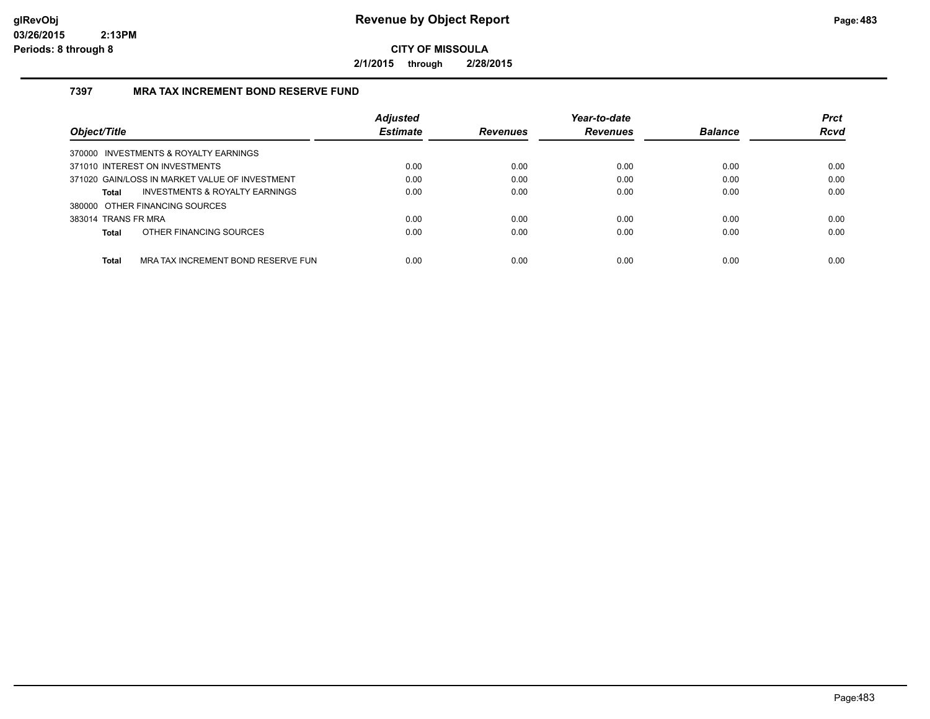**2/1/2015 through 2/28/2015**

# **7397 MRA TAX INCREMENT BOND RESERVE FUND**

|                                                    | <b>Adjusted</b> |                 | Year-to-date    |                | <b>Prct</b> |
|----------------------------------------------------|-----------------|-----------------|-----------------|----------------|-------------|
| Object/Title                                       | <b>Estimate</b> | <b>Revenues</b> | <b>Revenues</b> | <b>Balance</b> | <b>Rcvd</b> |
| 370000 INVESTMENTS & ROYALTY EARNINGS              |                 |                 |                 |                |             |
| 371010 INTEREST ON INVESTMENTS                     | 0.00            | 0.00            | 0.00            | 0.00           | 0.00        |
| 371020 GAIN/LOSS IN MARKET VALUE OF INVESTMENT     | 0.00            | 0.00            | 0.00            | 0.00           | 0.00        |
| INVESTMENTS & ROYALTY EARNINGS<br>Total            | 0.00            | 0.00            | 0.00            | 0.00           | 0.00        |
| 380000 OTHER FINANCING SOURCES                     |                 |                 |                 |                |             |
| 383014 TRANS FR MRA                                | 0.00            | 0.00            | 0.00            | 0.00           | 0.00        |
| OTHER FINANCING SOURCES<br>Total                   | 0.00            | 0.00            | 0.00            | 0.00           | 0.00        |
|                                                    |                 |                 |                 |                |             |
| <b>Total</b><br>MRA TAX INCREMENT BOND RESERVE FUN | 0.00            | 0.00            | 0.00            | 0.00           | 0.00        |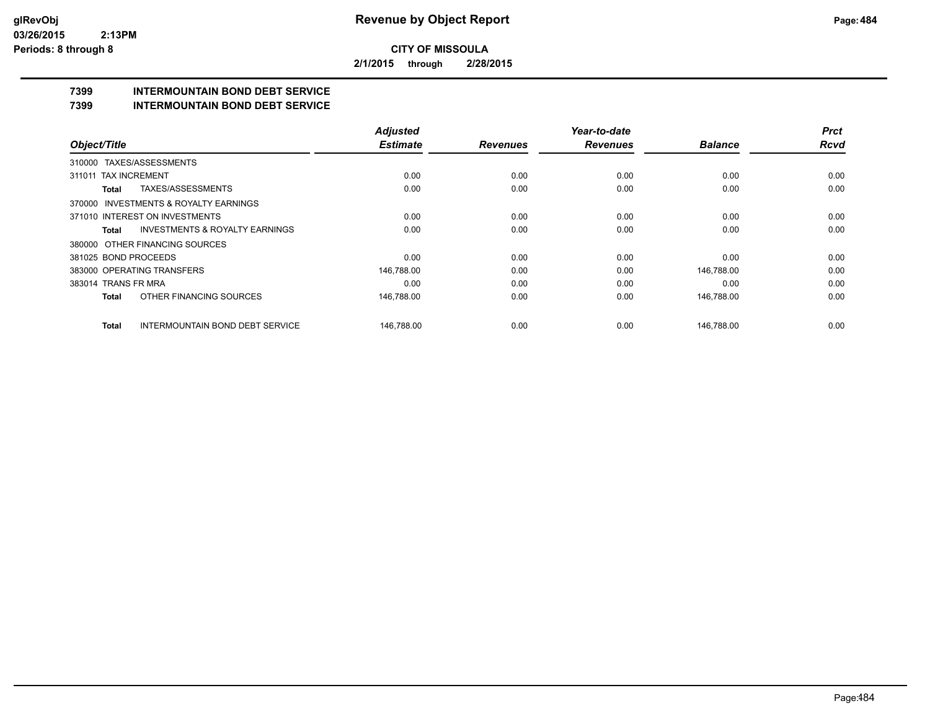**2/1/2015 through 2/28/2015**

# **7399 INTERMOUNTAIN BOND DEBT SERVICE**

## **7399 INTERMOUNTAIN BOND DEBT SERVICE**

|                                                           | <b>Adjusted</b> |                 | Year-to-date    |                | <b>Prct</b> |
|-----------------------------------------------------------|-----------------|-----------------|-----------------|----------------|-------------|
| Object/Title                                              | <b>Estimate</b> | <b>Revenues</b> | <b>Revenues</b> | <b>Balance</b> | <b>Rcvd</b> |
| TAXES/ASSESSMENTS<br>310000                               |                 |                 |                 |                |             |
| 311011 TAX INCREMENT                                      | 0.00            | 0.00            | 0.00            | 0.00           | 0.00        |
| TAXES/ASSESSMENTS<br>Total                                | 0.00            | 0.00            | 0.00            | 0.00           | 0.00        |
| 370000 INVESTMENTS & ROYALTY EARNINGS                     |                 |                 |                 |                |             |
| 371010 INTEREST ON INVESTMENTS                            | 0.00            | 0.00            | 0.00            | 0.00           | 0.00        |
| <b>INVESTMENTS &amp; ROYALTY EARNINGS</b><br><b>Total</b> | 0.00            | 0.00            | 0.00            | 0.00           | 0.00        |
| 380000 OTHER FINANCING SOURCES                            |                 |                 |                 |                |             |
| 381025 BOND PROCEEDS                                      | 0.00            | 0.00            | 0.00            | 0.00           | 0.00        |
| 383000 OPERATING TRANSFERS                                | 146,788.00      | 0.00            | 0.00            | 146,788.00     | 0.00        |
| 383014 TRANS FR MRA                                       | 0.00            | 0.00            | 0.00            | 0.00           | 0.00        |
| OTHER FINANCING SOURCES<br><b>Total</b>                   | 146,788.00      | 0.00            | 0.00            | 146,788.00     | 0.00        |
| <b>INTERMOUNTAIN BOND DEBT SERVICE</b><br><b>Total</b>    | 146.788.00      | 0.00            | 0.00            | 146.788.00     | 0.00        |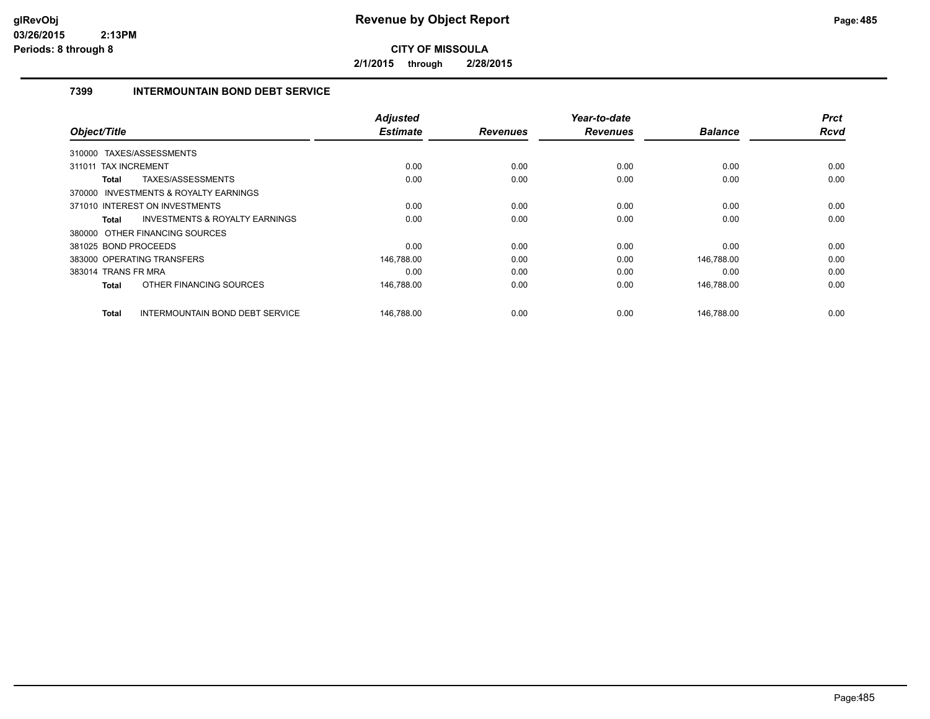**2/1/2015 through 2/28/2015**

# **7399 INTERMOUNTAIN BOND DEBT SERVICE**

| Object/Title                                       | <b>Adjusted</b><br><b>Estimate</b> | <b>Revenues</b> | Year-to-date<br><b>Revenues</b> | <b>Balance</b> | <b>Prct</b><br><b>Rcvd</b> |
|----------------------------------------------------|------------------------------------|-----------------|---------------------------------|----------------|----------------------------|
|                                                    |                                    |                 |                                 |                |                            |
| TAXES/ASSESSMENTS<br>310000                        |                                    |                 |                                 |                |                            |
| <b>TAX INCREMENT</b><br>311011                     | 0.00                               | 0.00            | 0.00                            | 0.00           | 0.00                       |
| TAXES/ASSESSMENTS<br><b>Total</b>                  | 0.00                               | 0.00            | 0.00                            | 0.00           | 0.00                       |
| 370000 INVESTMENTS & ROYALTY EARNINGS              |                                    |                 |                                 |                |                            |
| 371010 INTEREST ON INVESTMENTS                     | 0.00                               | 0.00            | 0.00                            | 0.00           | 0.00                       |
| <b>INVESTMENTS &amp; ROYALTY EARNINGS</b><br>Total | 0.00                               | 0.00            | 0.00                            | 0.00           | 0.00                       |
| 380000 OTHER FINANCING SOURCES                     |                                    |                 |                                 |                |                            |
| 381025 BOND PROCEEDS                               | 0.00                               | 0.00            | 0.00                            | 0.00           | 0.00                       |
| 383000 OPERATING TRANSFERS                         | 146,788.00                         | 0.00            | 0.00                            | 146,788.00     | 0.00                       |
| 383014 TRANS FR MRA                                | 0.00                               | 0.00            | 0.00                            | 0.00           | 0.00                       |
| OTHER FINANCING SOURCES<br><b>Total</b>            | 146,788.00                         | 0.00            | 0.00                            | 146,788.00     | 0.00                       |
| <b>Total</b><br>INTERMOUNTAIN BOND DEBT SERVICE    | 146,788.00                         | 0.00            | 0.00                            | 146,788.00     | 0.00                       |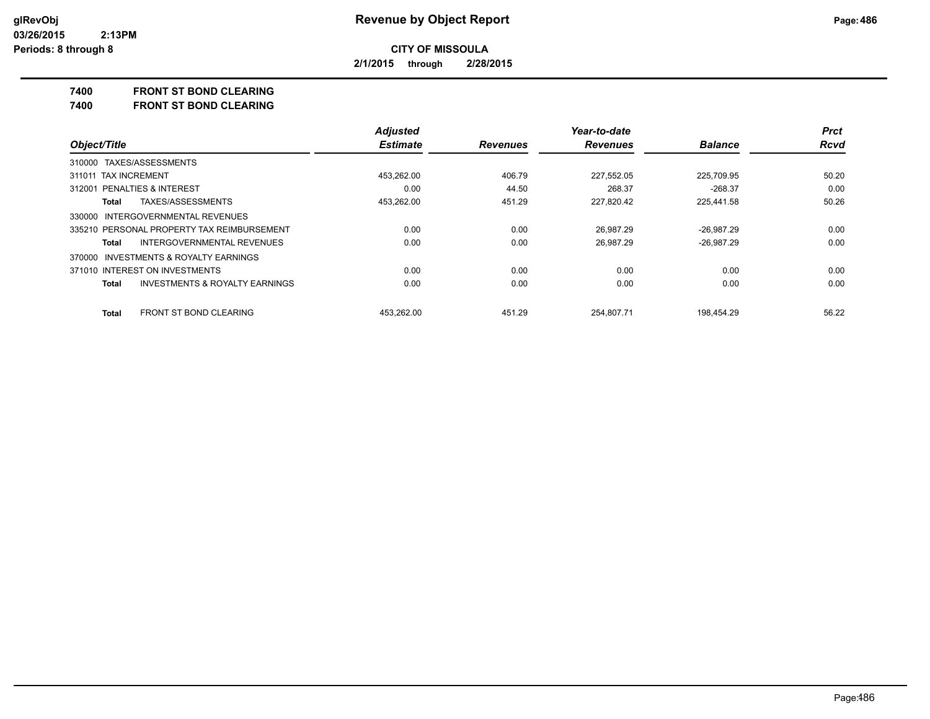**2/1/2015 through 2/28/2015**

**7400 FRONT ST BOND CLEARING**

**7400 FRONT ST BOND CLEARING**

|                                                           | <b>Adjusted</b> |                 | Year-to-date    |                | <b>Prct</b> |
|-----------------------------------------------------------|-----------------|-----------------|-----------------|----------------|-------------|
| Object/Title                                              | <b>Estimate</b> | <b>Revenues</b> | <b>Revenues</b> | <b>Balance</b> | <b>Rcvd</b> |
| 310000 TAXES/ASSESSMENTS                                  |                 |                 |                 |                |             |
| 311011 TAX INCREMENT                                      | 453.262.00      | 406.79          | 227,552.05      | 225,709.95     | 50.20       |
| 312001 PENALTIES & INTEREST                               | 0.00            | 44.50           | 268.37          | $-268.37$      | 0.00        |
| TAXES/ASSESSMENTS<br><b>Total</b>                         | 453,262.00      | 451.29          | 227,820.42      | 225,441.58     | 50.26       |
| 330000 INTERGOVERNMENTAL REVENUES                         |                 |                 |                 |                |             |
| 335210 PERSONAL PROPERTY TAX REIMBURSEMENT                | 0.00            | 0.00            | 26.987.29       | $-26.987.29$   | 0.00        |
| INTERGOVERNMENTAL REVENUES<br>Total                       | 0.00            | 0.00            | 26.987.29       | $-26,987.29$   | 0.00        |
| 370000 INVESTMENTS & ROYALTY EARNINGS                     |                 |                 |                 |                |             |
| 371010 INTEREST ON INVESTMENTS                            | 0.00            | 0.00            | 0.00            | 0.00           | 0.00        |
| <b>INVESTMENTS &amp; ROYALTY EARNINGS</b><br><b>Total</b> | 0.00            | 0.00            | 0.00            | 0.00           | 0.00        |
| <b>FRONT ST BOND CLEARING</b><br>Total                    | 453.262.00      | 451.29          | 254.807.71      | 198.454.29     | 56.22       |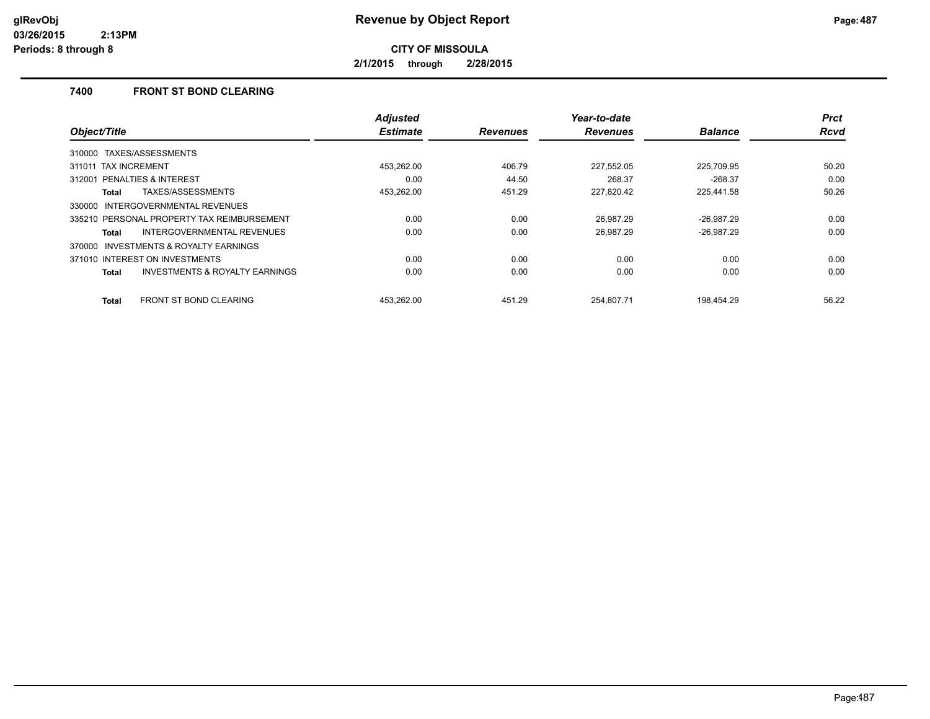**2/1/2015 through 2/28/2015**

# **7400 FRONT ST BOND CLEARING**

|                                                    | <b>Adjusted</b> |                 | Year-to-date    |                | <b>Prct</b> |
|----------------------------------------------------|-----------------|-----------------|-----------------|----------------|-------------|
| Object/Title                                       | <b>Estimate</b> | <b>Revenues</b> | <b>Revenues</b> | <b>Balance</b> | Rcvd        |
| 310000 TAXES/ASSESSMENTS                           |                 |                 |                 |                |             |
| 311011 TAX INCREMENT                               | 453,262.00      | 406.79          | 227,552.05      | 225,709.95     | 50.20       |
| 312001 PENALTIES & INTEREST                        | 0.00            | 44.50           | 268.37          | $-268.37$      | 0.00        |
| TAXES/ASSESSMENTS<br>Total                         | 453,262.00      | 451.29          | 227,820.42      | 225,441.58     | 50.26       |
| INTERGOVERNMENTAL REVENUES<br>330000               |                 |                 |                 |                |             |
| 335210 PERSONAL PROPERTY TAX REIMBURSEMENT         | 0.00            | 0.00            | 26,987.29       | $-26,987.29$   | 0.00        |
| <b>INTERGOVERNMENTAL REVENUES</b><br>Total         | 0.00            | 0.00            | 26.987.29       | $-26,987.29$   | 0.00        |
| INVESTMENTS & ROYALTY EARNINGS<br>370000           |                 |                 |                 |                |             |
| 371010 INTEREST ON INVESTMENTS                     | 0.00            | 0.00            | 0.00            | 0.00           | 0.00        |
| <b>INVESTMENTS &amp; ROYALTY EARNINGS</b><br>Total | 0.00            | 0.00            | 0.00            | 0.00           | 0.00        |
| <b>FRONT ST BOND CLEARING</b><br><b>Total</b>      | 453.262.00      | 451.29          | 254.807.71      | 198.454.29     | 56.22       |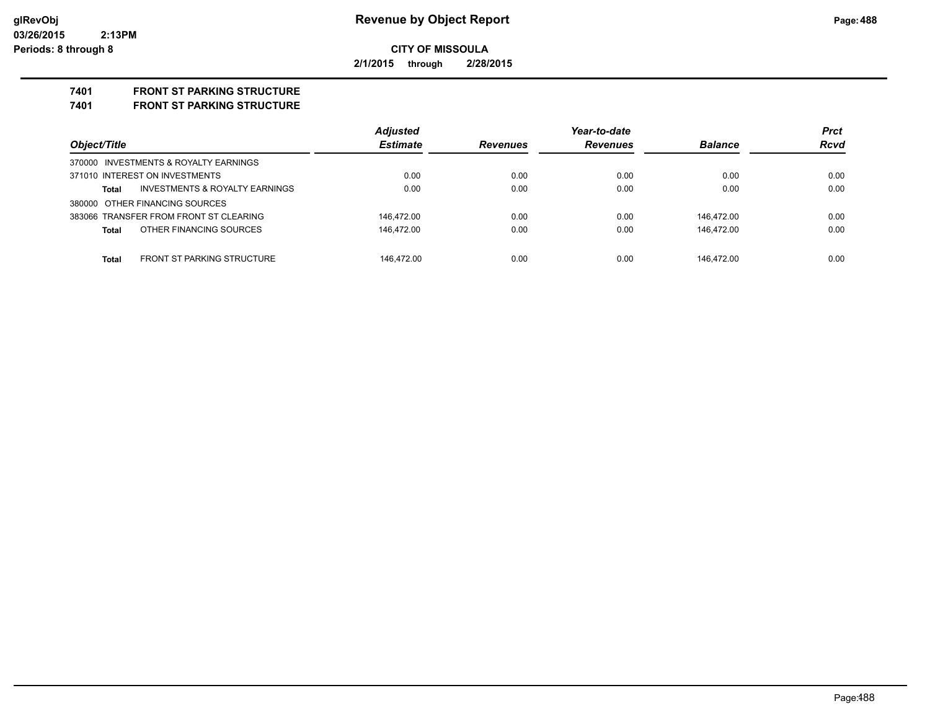**2/1/2015 through 2/28/2015**

# **7401 FRONT ST PARKING STRUCTURE**

#### **7401 FRONT ST PARKING STRUCTURE**

|                                            | <b>Adjusted</b> |                 | Year-to-date    |                | <b>Prct</b> |
|--------------------------------------------|-----------------|-----------------|-----------------|----------------|-------------|
| Object/Title                               | <b>Estimate</b> | <b>Revenues</b> | <b>Revenues</b> | <b>Balance</b> | <b>Rcvd</b> |
| 370000 INVESTMENTS & ROYALTY EARNINGS      |                 |                 |                 |                |             |
| 371010 INTEREST ON INVESTMENTS             | 0.00            | 0.00            | 0.00            | 0.00           | 0.00        |
| INVESTMENTS & ROYALTY EARNINGS<br>Total    | 0.00            | 0.00            | 0.00            | 0.00           | 0.00        |
| 380000 OTHER FINANCING SOURCES             |                 |                 |                 |                |             |
| 383066 TRANSFER FROM FRONT ST CLEARING     | 146.472.00      | 0.00            | 0.00            | 146.472.00     | 0.00        |
| OTHER FINANCING SOURCES<br><b>Total</b>    | 146.472.00      | 0.00            | 0.00            | 146.472.00     | 0.00        |
|                                            |                 |                 |                 |                |             |
| <b>FRONT ST PARKING STRUCTURE</b><br>Total | 146.472.00      | 0.00            | 0.00            | 146.472.00     | 0.00        |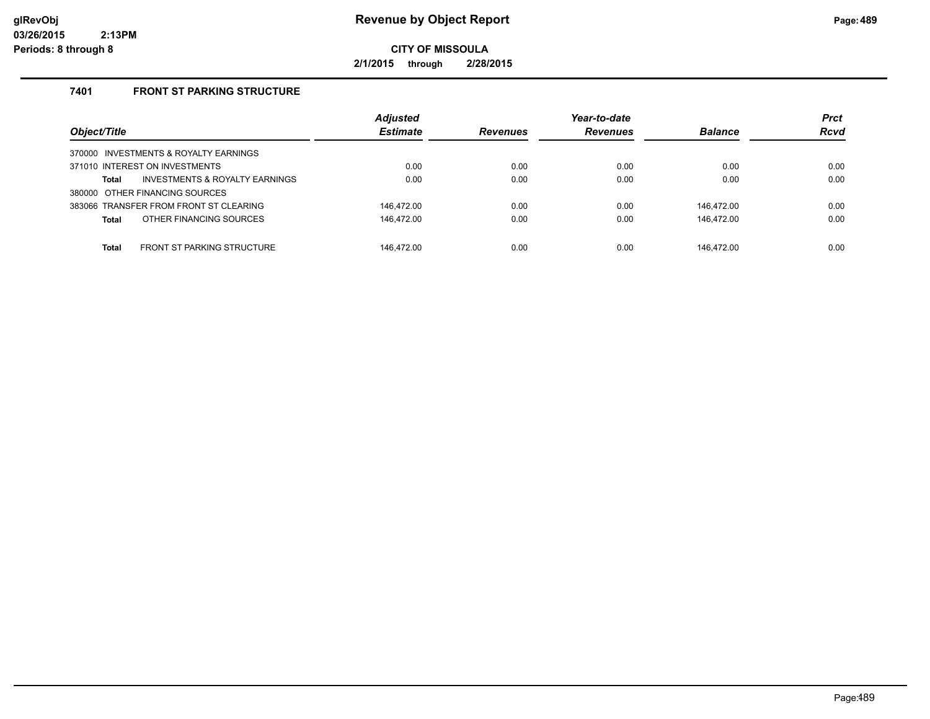**2/1/2015 through 2/28/2015**

# **7401 FRONT ST PARKING STRUCTURE**

| Object/Title                                       | <b>Adjusted</b><br><b>Estimate</b> | <b>Revenues</b> | Year-to-date<br><b>Revenues</b> | <b>Balance</b> | <b>Prct</b><br><b>Rcvd</b> |
|----------------------------------------------------|------------------------------------|-----------------|---------------------------------|----------------|----------------------------|
| 370000 INVESTMENTS & ROYALTY EARNINGS              |                                    |                 |                                 |                |                            |
| 371010 INTEREST ON INVESTMENTS                     | 0.00                               | 0.00            | 0.00                            | 0.00           | 0.00                       |
| <b>INVESTMENTS &amp; ROYALTY EARNINGS</b><br>Total | 0.00                               | 0.00            | 0.00                            | 0.00           | 0.00                       |
| 380000 OTHER FINANCING SOURCES                     |                                    |                 |                                 |                |                            |
| 383066 TRANSFER FROM FRONT ST CLEARING             | 146.472.00                         | 0.00            | 0.00                            | 146.472.00     | 0.00                       |
| OTHER FINANCING SOURCES<br>Total                   | 146,472.00                         | 0.00            | 0.00                            | 146,472.00     | 0.00                       |
|                                                    |                                    |                 |                                 |                |                            |
| <b>FRONT ST PARKING STRUCTURE</b><br>Total         | 146.472.00                         | 0.00            | 0.00                            | 146.472.00     | 0.00                       |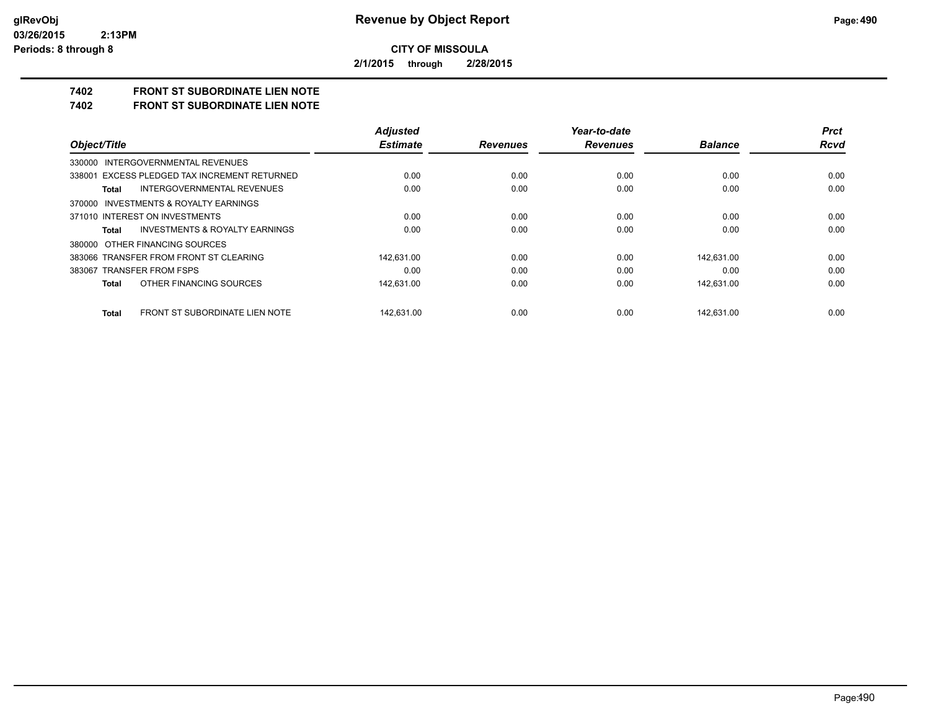**2/1/2015 through 2/28/2015**

# **7402 FRONT ST SUBORDINATE LIEN NOTE**

**7402 FRONT ST SUBORDINATE LIEN NOTE**

|                                                    | <b>Adjusted</b> |                 | Year-to-date    |                | <b>Prct</b> |
|----------------------------------------------------|-----------------|-----------------|-----------------|----------------|-------------|
| Object/Title                                       | <b>Estimate</b> | <b>Revenues</b> | <b>Revenues</b> | <b>Balance</b> | Rcvd        |
| 330000 INTERGOVERNMENTAL REVENUES                  |                 |                 |                 |                |             |
| 338001 EXCESS PLEDGED TAX INCREMENT RETURNED       | 0.00            | 0.00            | 0.00            | 0.00           | 0.00        |
| <b>INTERGOVERNMENTAL REVENUES</b><br>Total         | 0.00            | 0.00            | 0.00            | 0.00           | 0.00        |
| 370000 INVESTMENTS & ROYALTY EARNINGS              |                 |                 |                 |                |             |
| 371010 INTEREST ON INVESTMENTS                     | 0.00            | 0.00            | 0.00            | 0.00           | 0.00        |
| <b>INVESTMENTS &amp; ROYALTY EARNINGS</b><br>Total | 0.00            | 0.00            | 0.00            | 0.00           | 0.00        |
| 380000 OTHER FINANCING SOURCES                     |                 |                 |                 |                |             |
| 383066 TRANSFER FROM FRONT ST CLEARING             | 142.631.00      | 0.00            | 0.00            | 142.631.00     | 0.00        |
| 383067 TRANSFER FROM FSPS                          | 0.00            | 0.00            | 0.00            | 0.00           | 0.00        |
| OTHER FINANCING SOURCES<br>Total                   | 142,631.00      | 0.00            | 0.00            | 142,631.00     | 0.00        |
| FRONT ST SUBORDINATE LIEN NOTE<br>Total            | 142.631.00      | 0.00            | 0.00            | 142.631.00     | 0.00        |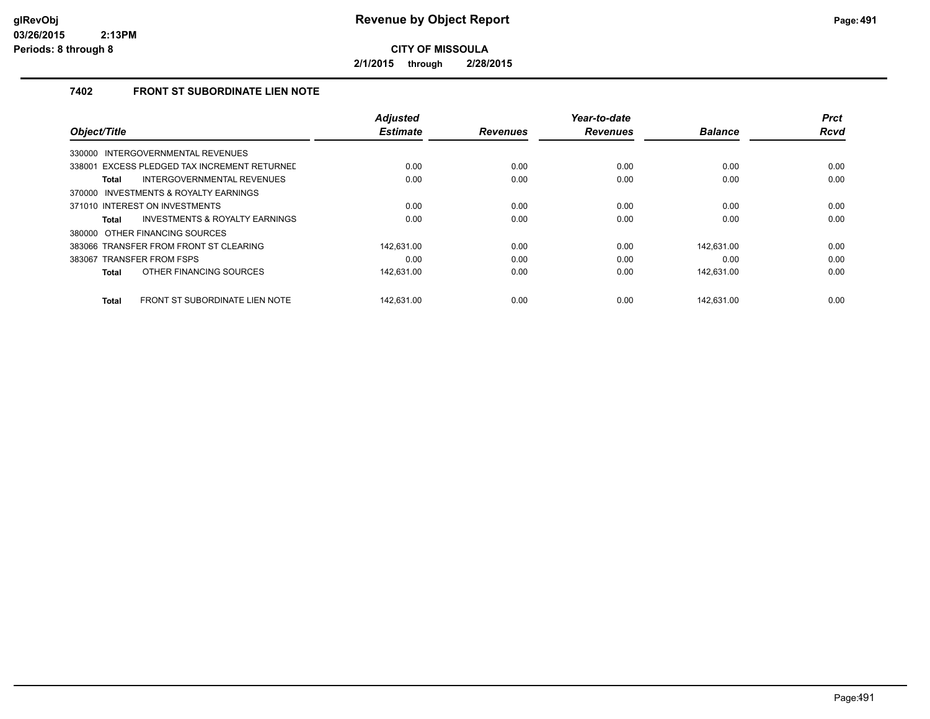**2/1/2015 through 2/28/2015**

# **7402 FRONT ST SUBORDINATE LIEN NOTE**

|                                                 | <b>Adjusted</b> |                 | Year-to-date    |                | <b>Prct</b> |
|-------------------------------------------------|-----------------|-----------------|-----------------|----------------|-------------|
| Object/Title                                    | <b>Estimate</b> | <b>Revenues</b> | <b>Revenues</b> | <b>Balance</b> | <b>Rcvd</b> |
| INTERGOVERNMENTAL REVENUES<br>330000            |                 |                 |                 |                |             |
| EXCESS PLEDGED TAX INCREMENT RETURNED<br>338001 | 0.00            | 0.00            | 0.00            | 0.00           | 0.00        |
| INTERGOVERNMENTAL REVENUES<br><b>Total</b>      | 0.00            | 0.00            | 0.00            | 0.00           | 0.00        |
| 370000 INVESTMENTS & ROYALTY EARNINGS           |                 |                 |                 |                |             |
| 371010 INTEREST ON INVESTMENTS                  | 0.00            | 0.00            | 0.00            | 0.00           | 0.00        |
| INVESTMENTS & ROYALTY EARNINGS<br>Total         | 0.00            | 0.00            | 0.00            | 0.00           | 0.00        |
| 380000 OTHER FINANCING SOURCES                  |                 |                 |                 |                |             |
| 383066 TRANSFER FROM FRONT ST CLEARING          | 142.631.00      | 0.00            | 0.00            | 142.631.00     | 0.00        |
| 383067 TRANSFER FROM FSPS                       | 0.00            | 0.00            | 0.00            | 0.00           | 0.00        |
| OTHER FINANCING SOURCES<br><b>Total</b>         | 142,631.00      | 0.00            | 0.00            | 142,631.00     | 0.00        |
| FRONT ST SUBORDINATE LIEN NOTE<br><b>Total</b>  | 142.631.00      | 0.00            | 0.00            | 142.631.00     | 0.00        |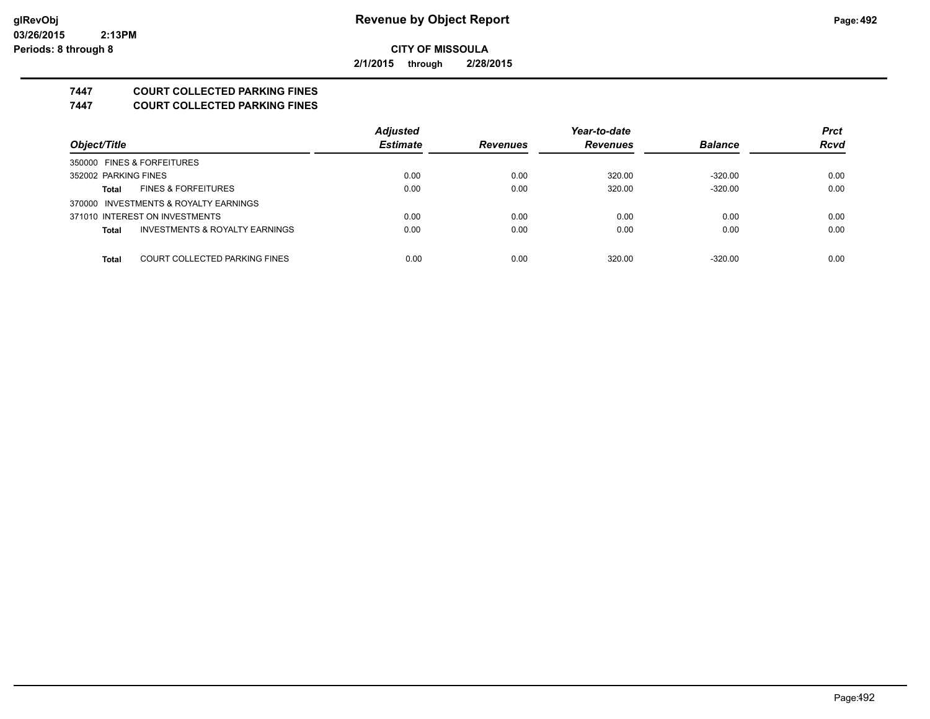**2/1/2015 through 2/28/2015**

# **7447 COURT COLLECTED PARKING FINES**

**7447 COURT COLLECTED PARKING FINES**

|                                         | <b>Adjusted</b> |                 | Year-to-date    |                | <b>Prct</b> |
|-----------------------------------------|-----------------|-----------------|-----------------|----------------|-------------|
| Object/Title                            | <b>Estimate</b> | <b>Revenues</b> | <b>Revenues</b> | <b>Balance</b> | <b>Rcvd</b> |
| 350000 FINES & FORFEITURES              |                 |                 |                 |                |             |
| 352002 PARKING FINES                    | 0.00            | 0.00            | 320.00          | $-320.00$      | 0.00        |
| <b>FINES &amp; FORFEITURES</b><br>Total | 0.00            | 0.00            | 320.00          | $-320.00$      | 0.00        |
| 370000 INVESTMENTS & ROYALTY EARNINGS   |                 |                 |                 |                |             |
| 371010 INTEREST ON INVESTMENTS          | 0.00            | 0.00            | 0.00            | 0.00           | 0.00        |
| INVESTMENTS & ROYALTY EARNINGS<br>Total | 0.00            | 0.00            | 0.00            | 0.00           | 0.00        |
|                                         |                 |                 |                 |                |             |
| COURT COLLECTED PARKING FINES<br>Total  | 0.00            | 0.00            | 320.00          | $-320.00$      | 0.00        |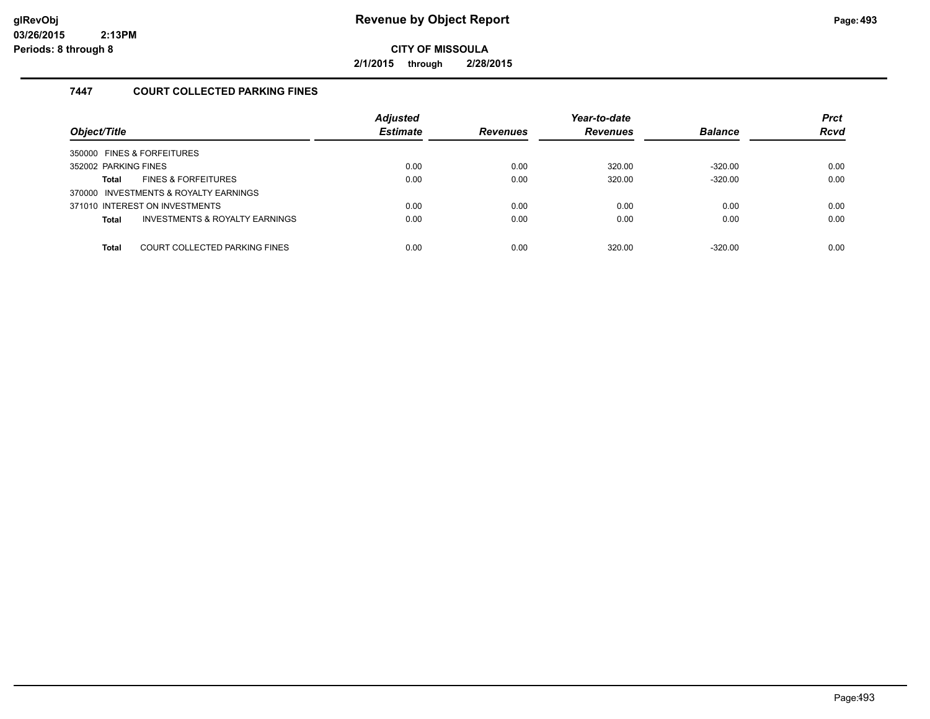**2/1/2015 through 2/28/2015**

# **7447 COURT COLLECTED PARKING FINES**

| Object/Title                                              | <b>Adjusted</b><br><b>Estimate</b> | <b>Revenues</b> | Year-to-date<br><b>Revenues</b> | <b>Balance</b> | <b>Prct</b><br><b>Rcvd</b> |
|-----------------------------------------------------------|------------------------------------|-----------------|---------------------------------|----------------|----------------------------|
| 350000 FINES & FORFEITURES                                |                                    |                 |                                 |                |                            |
| 352002 PARKING FINES                                      | 0.00                               | 0.00            | 320.00                          | $-320.00$      | 0.00                       |
| <b>FINES &amp; FORFEITURES</b><br>Total                   | 0.00                               | 0.00            | 320.00                          | $-320.00$      | 0.00                       |
| 370000 INVESTMENTS & ROYALTY EARNINGS                     |                                    |                 |                                 |                |                            |
| 371010 INTEREST ON INVESTMENTS                            | 0.00                               | 0.00            | 0.00                            | 0.00           | 0.00                       |
| <b>INVESTMENTS &amp; ROYALTY EARNINGS</b><br><b>Total</b> | 0.00                               | 0.00            | 0.00                            | 0.00           | 0.00                       |
|                                                           |                                    |                 |                                 |                |                            |
| <b>COURT COLLECTED PARKING FINES</b><br><b>Total</b>      | 0.00                               | 0.00            | 320.00                          | $-320.00$      | 0.00                       |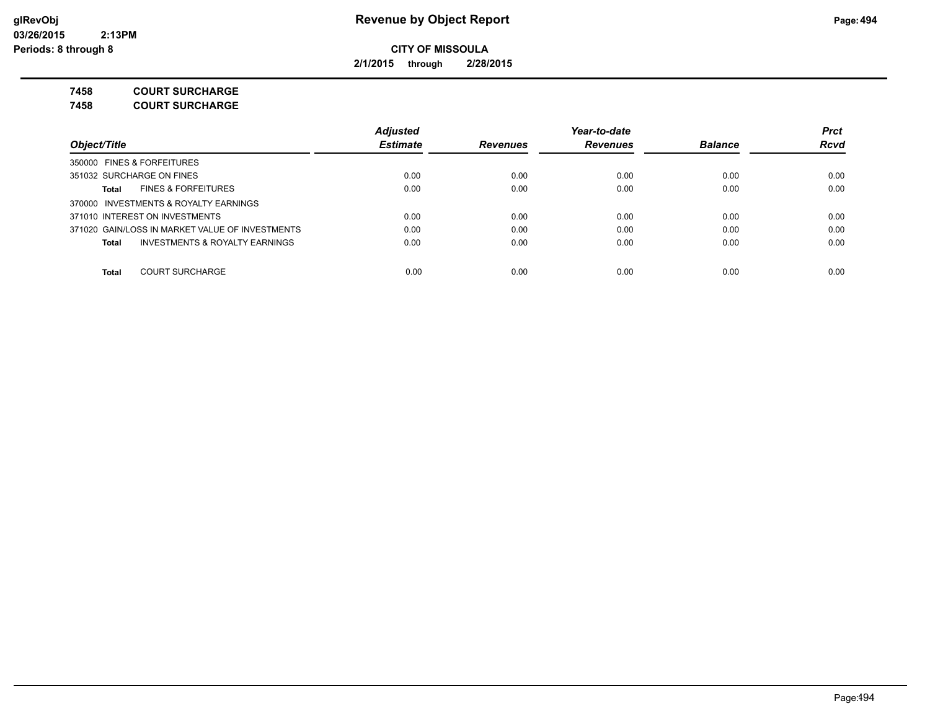**2/1/2015 through 2/28/2015**

**7458 COURT SURCHARGE**

**7458 COURT SURCHARGE**

|                                                    | <b>Adjusted</b> |                 | Year-to-date    |                | <b>Prct</b> |
|----------------------------------------------------|-----------------|-----------------|-----------------|----------------|-------------|
| Object/Title                                       | <b>Estimate</b> | <b>Revenues</b> | <b>Revenues</b> | <b>Balance</b> | <b>Rcvd</b> |
| 350000 FINES & FORFEITURES                         |                 |                 |                 |                |             |
| 351032 SURCHARGE ON FINES                          | 0.00            | 0.00            | 0.00            | 0.00           | 0.00        |
| <b>FINES &amp; FORFEITURES</b><br>Total            | 0.00            | 0.00            | 0.00            | 0.00           | 0.00        |
| 370000 INVESTMENTS & ROYALTY EARNINGS              |                 |                 |                 |                |             |
| 371010 INTEREST ON INVESTMENTS                     | 0.00            | 0.00            | 0.00            | 0.00           | 0.00        |
| 371020 GAIN/LOSS IN MARKET VALUE OF INVESTMENTS    | 0.00            | 0.00            | 0.00            | 0.00           | 0.00        |
| <b>INVESTMENTS &amp; ROYALTY EARNINGS</b><br>Total | 0.00            | 0.00            | 0.00            | 0.00           | 0.00        |
|                                                    |                 |                 |                 |                |             |
| <b>COURT SURCHARGE</b><br><b>Total</b>             | 0.00            | 0.00            | 0.00            | 0.00           | 0.00        |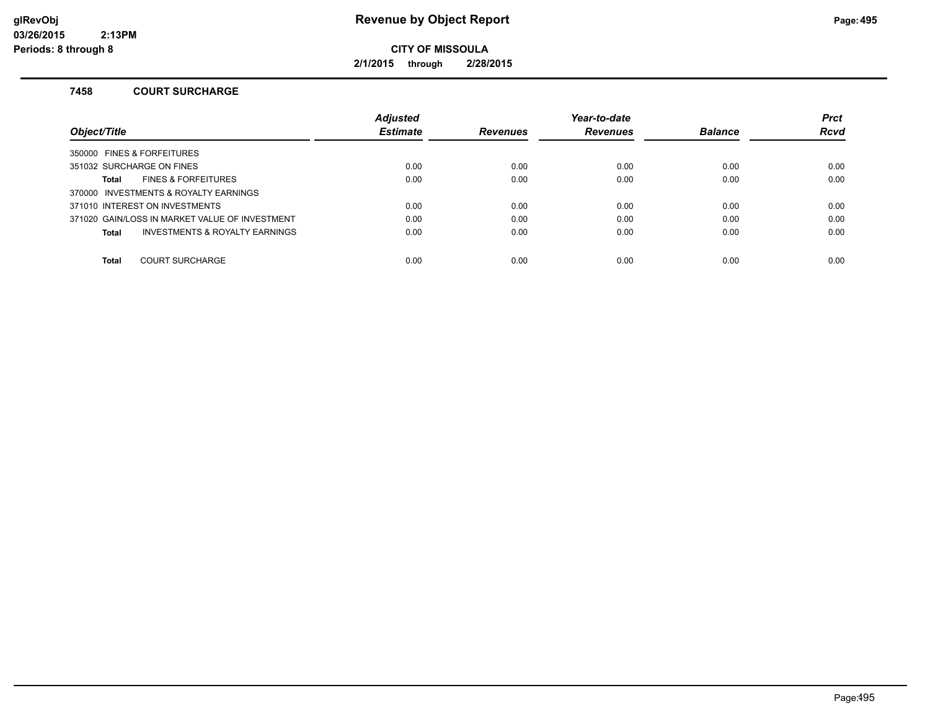**2/1/2015 through 2/28/2015**

### **7458 COURT SURCHARGE**

|                                                | <b>Adjusted</b> |                 | Year-to-date    |                | <b>Prct</b> |
|------------------------------------------------|-----------------|-----------------|-----------------|----------------|-------------|
| Object/Title                                   | <b>Estimate</b> | <b>Revenues</b> | <b>Revenues</b> | <b>Balance</b> | <b>Rcvd</b> |
| 350000 FINES & FORFEITURES                     |                 |                 |                 |                |             |
| 351032 SURCHARGE ON FINES                      | 0.00            | 0.00            | 0.00            | 0.00           | 0.00        |
| <b>FINES &amp; FORFEITURES</b><br>Total        | 0.00            | 0.00            | 0.00            | 0.00           | 0.00        |
| 370000 INVESTMENTS & ROYALTY EARNINGS          |                 |                 |                 |                |             |
| 371010 INTEREST ON INVESTMENTS                 | 0.00            | 0.00            | 0.00            | 0.00           | 0.00        |
| 371020 GAIN/LOSS IN MARKET VALUE OF INVESTMENT | 0.00            | 0.00            | 0.00            | 0.00           | 0.00        |
| INVESTMENTS & ROYALTY EARNINGS<br>Total        | 0.00            | 0.00            | 0.00            | 0.00           | 0.00        |
|                                                |                 |                 |                 |                |             |
| <b>COURT SURCHARGE</b><br><b>Total</b>         | 0.00            | 0.00            | 0.00            | 0.00           | 0.00        |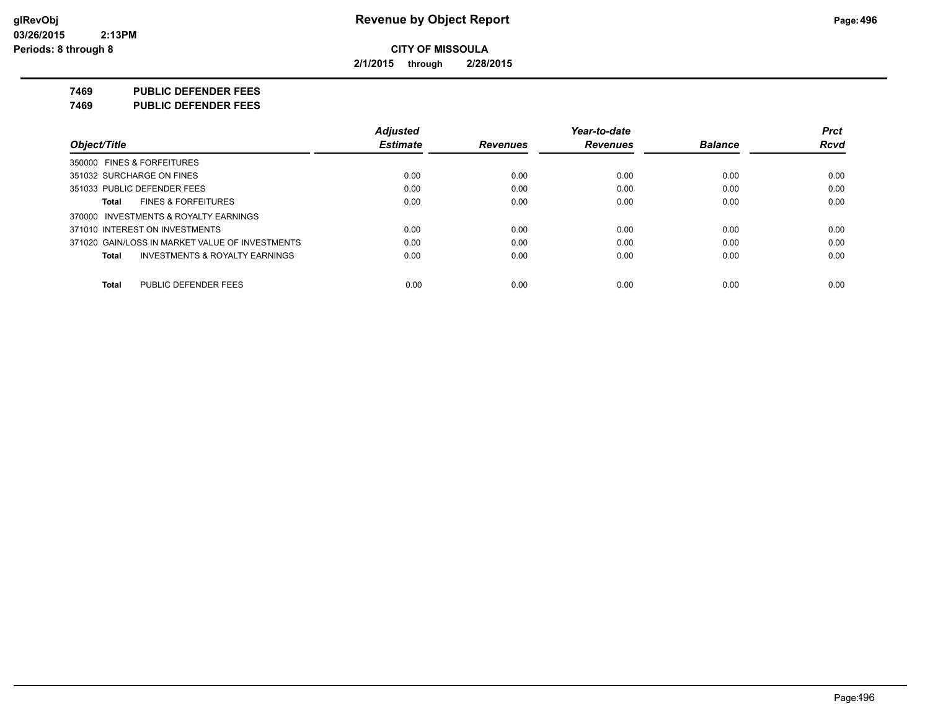**2/1/2015 through 2/28/2015**

**7469 PUBLIC DEFENDER FEES**

**7469 PUBLIC DEFENDER FEES**

|                                                    | <b>Adjusted</b> |                 | Year-to-date    |                | <b>Prct</b> |
|----------------------------------------------------|-----------------|-----------------|-----------------|----------------|-------------|
| Object/Title                                       | <b>Estimate</b> | <b>Revenues</b> | <b>Revenues</b> | <b>Balance</b> | <b>Rcvd</b> |
| 350000 FINES & FORFEITURES                         |                 |                 |                 |                |             |
| 351032 SURCHARGE ON FINES                          | 0.00            | 0.00            | 0.00            | 0.00           | 0.00        |
| 351033 PUBLIC DEFENDER FEES                        | 0.00            | 0.00            | 0.00            | 0.00           | 0.00        |
| <b>FINES &amp; FORFEITURES</b><br>Total            | 0.00            | 0.00            | 0.00            | 0.00           | 0.00        |
| 370000 INVESTMENTS & ROYALTY EARNINGS              |                 |                 |                 |                |             |
| 371010 INTEREST ON INVESTMENTS                     | 0.00            | 0.00            | 0.00            | 0.00           | 0.00        |
| 371020 GAIN/LOSS IN MARKET VALUE OF INVESTMENTS    | 0.00            | 0.00            | 0.00            | 0.00           | 0.00        |
| <b>INVESTMENTS &amp; ROYALTY EARNINGS</b><br>Total | 0.00            | 0.00            | 0.00            | 0.00           | 0.00        |
| PUBLIC DEFENDER FEES<br>Total                      | 0.00            | 0.00            | 0.00            | 0.00           | 0.00        |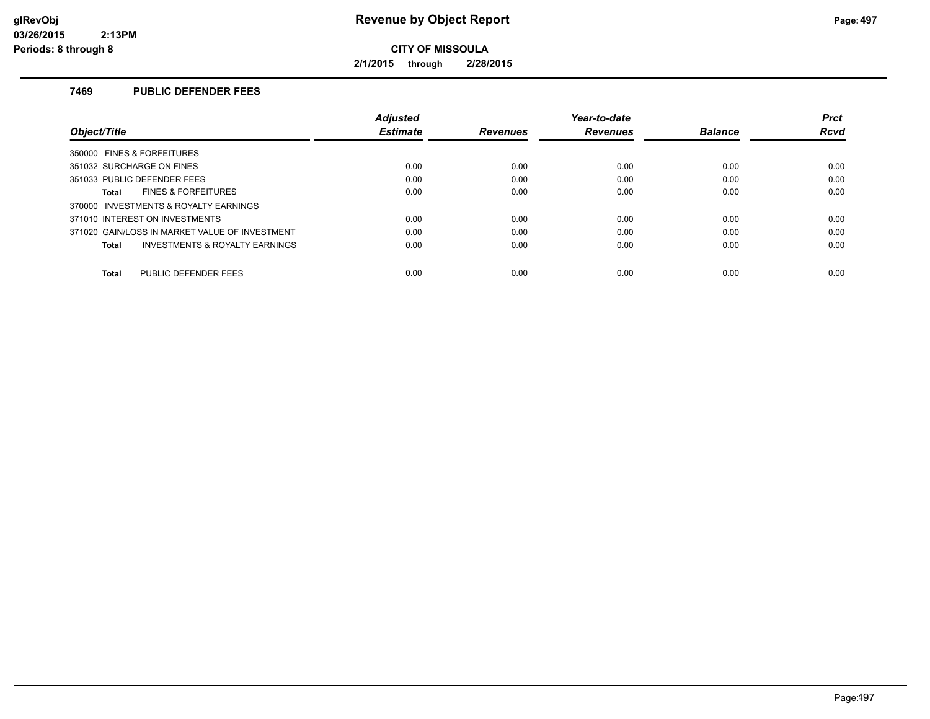**2/1/2015 through 2/28/2015**

# **7469 PUBLIC DEFENDER FEES**

|                                                           | <b>Adjusted</b> |                 | Year-to-date    |                | <b>Prct</b> |
|-----------------------------------------------------------|-----------------|-----------------|-----------------|----------------|-------------|
| Object/Title                                              | <b>Estimate</b> | <b>Revenues</b> | <b>Revenues</b> | <b>Balance</b> | <b>Rcvd</b> |
| 350000 FINES & FORFEITURES                                |                 |                 |                 |                |             |
| 351032 SURCHARGE ON FINES                                 | 0.00            | 0.00            | 0.00            | 0.00           | 0.00        |
| 351033 PUBLIC DEFENDER FEES                               | 0.00            | 0.00            | 0.00            | 0.00           | 0.00        |
| <b>FINES &amp; FORFEITURES</b><br>Total                   | 0.00            | 0.00            | 0.00            | 0.00           | 0.00        |
| 370000 INVESTMENTS & ROYALTY EARNINGS                     |                 |                 |                 |                |             |
| 371010 INTEREST ON INVESTMENTS                            | 0.00            | 0.00            | 0.00            | 0.00           | 0.00        |
| 371020 GAIN/LOSS IN MARKET VALUE OF INVESTMENT            | 0.00            | 0.00            | 0.00            | 0.00           | 0.00        |
| <b>INVESTMENTS &amp; ROYALTY EARNINGS</b><br><b>Total</b> | 0.00            | 0.00            | 0.00            | 0.00           | 0.00        |
| PUBLIC DEFENDER FEES<br><b>Total</b>                      | 0.00            | 0.00            | 0.00            | 0.00           | 0.00        |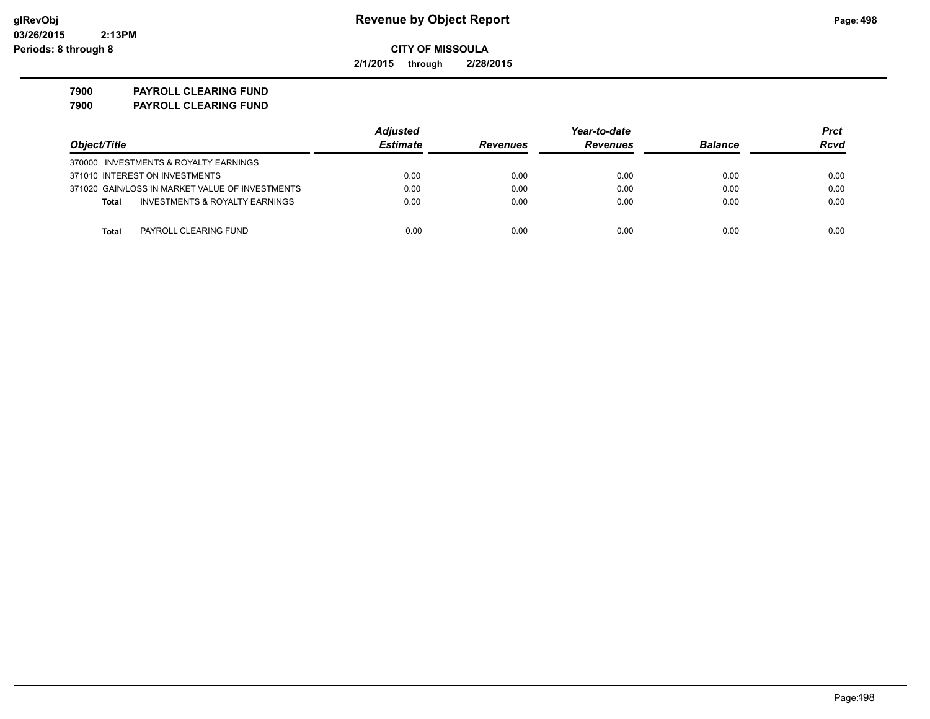**2/1/2015 through 2/28/2015**

**7900 PAYROLL CLEARING FUND**

**7900 PAYROLL CLEARING FUND**

|                                                 | Adjusted        |                 | Year-to-date    |                |      |
|-------------------------------------------------|-----------------|-----------------|-----------------|----------------|------|
| Object/Title                                    | <b>Estimate</b> | <b>Revenues</b> | <b>Revenues</b> | <b>Balance</b> | Rcvd |
| 370000 INVESTMENTS & ROYALTY EARNINGS           |                 |                 |                 |                |      |
| 371010 INTEREST ON INVESTMENTS                  | 0.00            | 0.00            | 0.00            | 0.00           | 0.00 |
| 371020 GAIN/LOSS IN MARKET VALUE OF INVESTMENTS | 0.00            | 0.00            | 0.00            | 0.00           | 0.00 |
| INVESTMENTS & ROYALTY EARNINGS<br>Total         | 0.00            | 0.00            | 0.00            | 0.00           | 0.00 |
|                                                 |                 |                 |                 |                |      |
| PAYROLL CLEARING FUND<br>Total                  | 0.00            | 0.00            | 0.00            | 0.00           | 0.00 |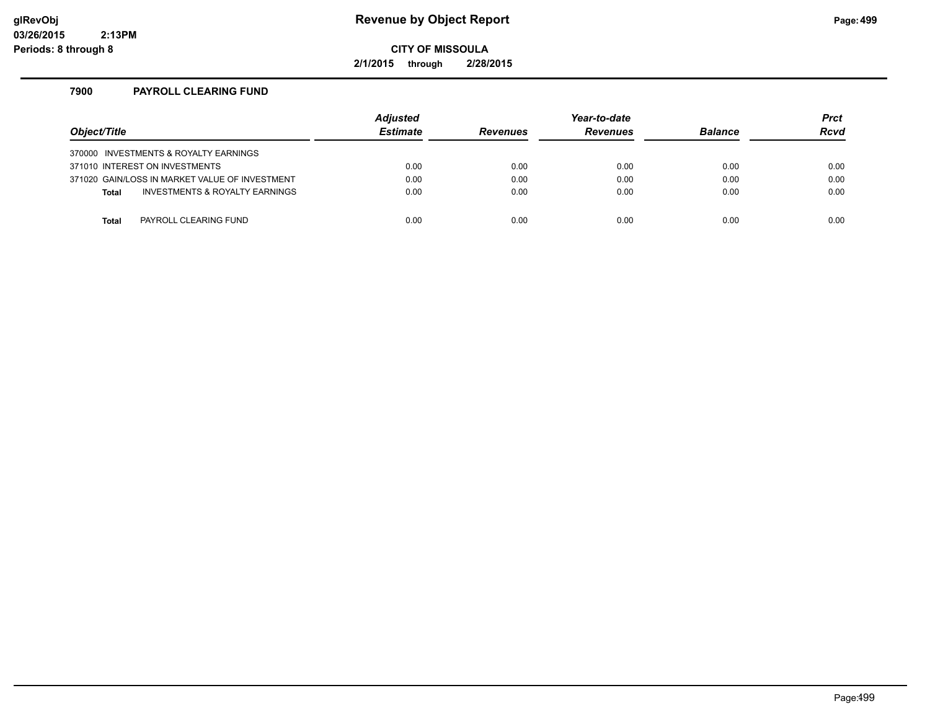# **glRevObj Revenue by Object Report Page:499**

**CITY OF MISSOULA**

**2/1/2015 through 2/28/2015**

# **7900 PAYROLL CLEARING FUND**

| Object/Title |                                                | <b>Adjusted</b><br><b>Estimate</b> | <b>Revenues</b> | Year-to-date<br><b>Revenues</b> | <b>Balance</b> | <b>Prct</b><br><b>Rcvd</b> |
|--------------|------------------------------------------------|------------------------------------|-----------------|---------------------------------|----------------|----------------------------|
|              | 370000 INVESTMENTS & ROYALTY EARNINGS          |                                    |                 |                                 |                |                            |
|              | 371010 INTEREST ON INVESTMENTS                 | 0.00                               | 0.00            | 0.00                            | 0.00           | 0.00                       |
|              | 371020 GAIN/LOSS IN MARKET VALUE OF INVESTMENT | 0.00                               | 0.00            | 0.00                            | 0.00           | 0.00                       |
| <b>Total</b> | INVESTMENTS & ROYALTY EARNINGS                 | 0.00                               | 0.00            | 0.00                            | 0.00           | 0.00                       |
|              |                                                |                                    |                 |                                 |                |                            |
| Total        | PAYROLL CLEARING FUND                          | 0.00                               | 0.00            | 0.00                            | 0.00           | 0.00                       |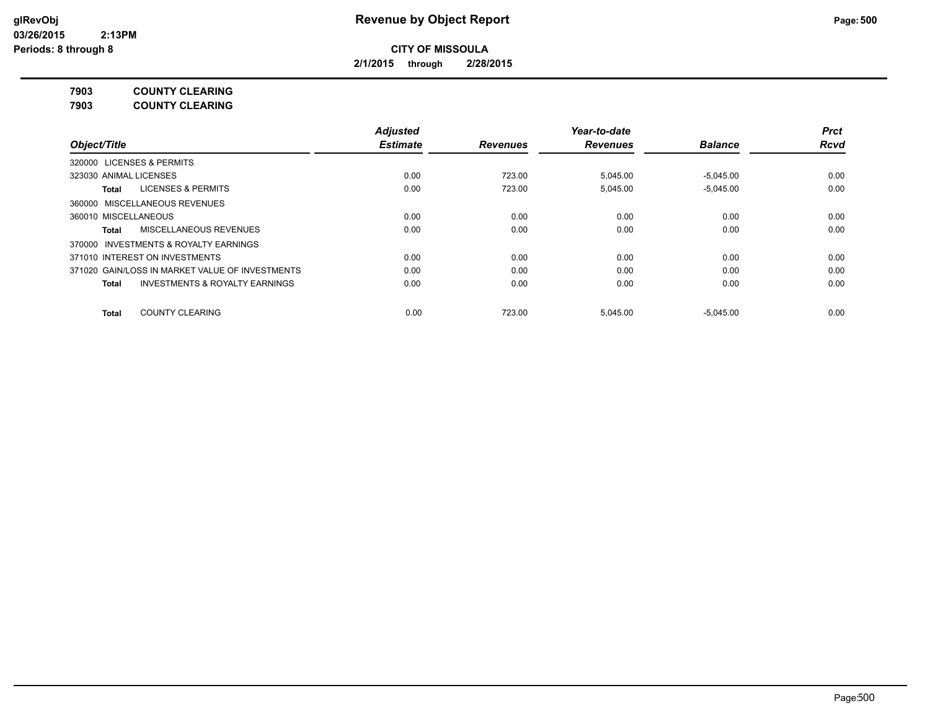**2/1/2015 through 2/28/2015**

**7903 COUNTY CLEARING**

**7903 COUNTY CLEARING**

|                                                           | <b>Adjusted</b> |                 | Year-to-date    |                | <b>Prct</b> |
|-----------------------------------------------------------|-----------------|-----------------|-----------------|----------------|-------------|
| Object/Title                                              | <b>Estimate</b> | <b>Revenues</b> | <b>Revenues</b> | <b>Balance</b> | <b>Rcvd</b> |
| <b>LICENSES &amp; PERMITS</b><br>320000                   |                 |                 |                 |                |             |
| 323030 ANIMAL LICENSES                                    | 0.00            | 723.00          | 5.045.00        | $-5.045.00$    | 0.00        |
| <b>LICENSES &amp; PERMITS</b><br>Total                    | 0.00            | 723.00          | 5,045.00        | $-5,045.00$    | 0.00        |
| MISCELLANEOUS REVENUES<br>360000                          |                 |                 |                 |                |             |
| 360010 MISCELLANEOUS                                      | 0.00            | 0.00            | 0.00            | 0.00           | 0.00        |
| MISCELLANEOUS REVENUES<br>Total                           | 0.00            | 0.00            | 0.00            | 0.00           | 0.00        |
| INVESTMENTS & ROYALTY EARNINGS<br>370000                  |                 |                 |                 |                |             |
| 371010 INTEREST ON INVESTMENTS                            | 0.00            | 0.00            | 0.00            | 0.00           | 0.00        |
| 371020 GAIN/LOSS IN MARKET VALUE OF INVESTMENTS           | 0.00            | 0.00            | 0.00            | 0.00           | 0.00        |
| <b>INVESTMENTS &amp; ROYALTY EARNINGS</b><br><b>Total</b> | 0.00            | 0.00            | 0.00            | 0.00           | 0.00        |
| <b>COUNTY CLEARING</b><br><b>Total</b>                    | 0.00            | 723.00          | 5.045.00        | $-5,045.00$    | 0.00        |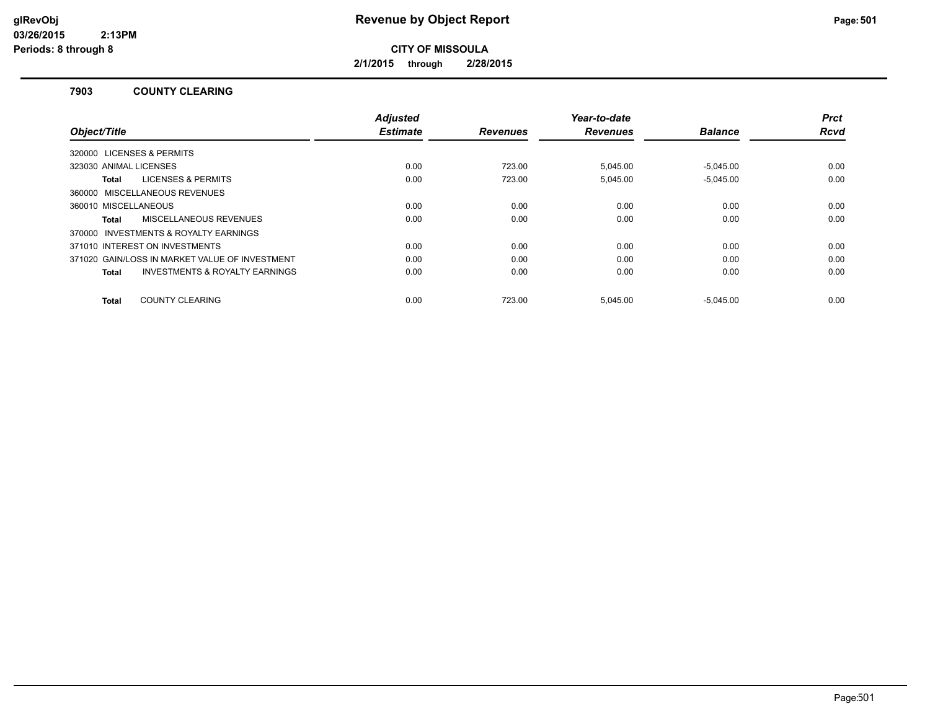**2/1/2015 through 2/28/2015**

#### **7903 COUNTY CLEARING**

|                                                           | <b>Adjusted</b> |                 | Year-to-date    |                | <b>Prct</b> |
|-----------------------------------------------------------|-----------------|-----------------|-----------------|----------------|-------------|
| Object/Title                                              | <b>Estimate</b> | <b>Revenues</b> | <b>Revenues</b> | <b>Balance</b> | <b>Rcvd</b> |
| 320000 LICENSES & PERMITS                                 |                 |                 |                 |                |             |
| 323030 ANIMAL LICENSES                                    | 0.00            | 723.00          | 5.045.00        | $-5.045.00$    | 0.00        |
| LICENSES & PERMITS<br>Total                               | 0.00            | 723.00          | 5,045.00        | $-5.045.00$    | 0.00        |
| 360000 MISCELLANEOUS REVENUES                             |                 |                 |                 |                |             |
| 360010 MISCELLANEOUS                                      | 0.00            | 0.00            | 0.00            | 0.00           | 0.00        |
| MISCELLANEOUS REVENUES<br>Total                           | 0.00            | 0.00            | 0.00            | 0.00           | 0.00        |
| 370000 INVESTMENTS & ROYALTY EARNINGS                     |                 |                 |                 |                |             |
| 371010 INTEREST ON INVESTMENTS                            | 0.00            | 0.00            | 0.00            | 0.00           | 0.00        |
| 371020 GAIN/LOSS IN MARKET VALUE OF INVESTMENT            | 0.00            | 0.00            | 0.00            | 0.00           | 0.00        |
| <b>INVESTMENTS &amp; ROYALTY EARNINGS</b><br><b>Total</b> | 0.00            | 0.00            | 0.00            | 0.00           | 0.00        |
|                                                           |                 |                 |                 |                |             |
| <b>COUNTY CLEARING</b><br><b>Total</b>                    | 0.00            | 723.00          | 5.045.00        | $-5.045.00$    | 0.00        |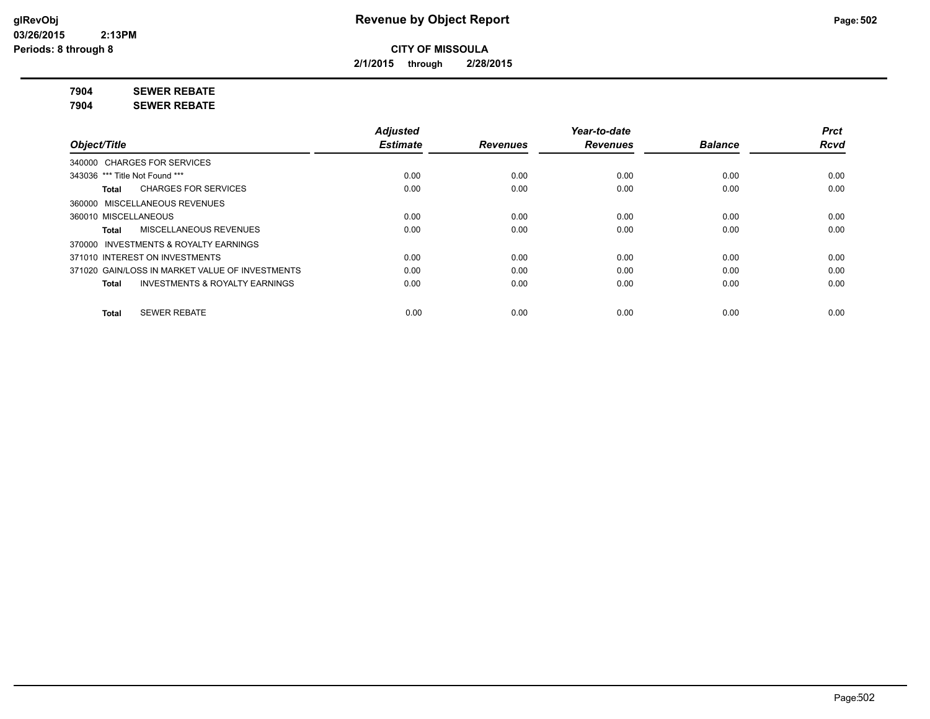**2/1/2015 through 2/28/2015**

**7904 SEWER REBATE**

**7904 SEWER REBATE**

|                                                           | <b>Adjusted</b> |                 | Year-to-date    |                | <b>Prct</b> |
|-----------------------------------------------------------|-----------------|-----------------|-----------------|----------------|-------------|
| Object/Title                                              | <b>Estimate</b> | <b>Revenues</b> | <b>Revenues</b> | <b>Balance</b> | <b>Rcvd</b> |
| 340000 CHARGES FOR SERVICES                               |                 |                 |                 |                |             |
| 343036 *** Title Not Found ***                            | 0.00            | 0.00            | 0.00            | 0.00           | 0.00        |
| <b>CHARGES FOR SERVICES</b><br>Total                      | 0.00            | 0.00            | 0.00            | 0.00           | 0.00        |
| 360000 MISCELLANEOUS REVENUES                             |                 |                 |                 |                |             |
| 360010 MISCELLANEOUS                                      | 0.00            | 0.00            | 0.00            | 0.00           | 0.00        |
| MISCELLANEOUS REVENUES<br>Total                           | 0.00            | 0.00            | 0.00            | 0.00           | 0.00        |
| INVESTMENTS & ROYALTY EARNINGS<br>370000                  |                 |                 |                 |                |             |
| 371010 INTEREST ON INVESTMENTS                            | 0.00            | 0.00            | 0.00            | 0.00           | 0.00        |
| 371020 GAIN/LOSS IN MARKET VALUE OF INVESTMENTS           | 0.00            | 0.00            | 0.00            | 0.00           | 0.00        |
| <b>INVESTMENTS &amp; ROYALTY EARNINGS</b><br><b>Total</b> | 0.00            | 0.00            | 0.00            | 0.00           | 0.00        |
| <b>SEWER REBATE</b><br><b>Total</b>                       | 0.00            | 0.00            | 0.00            | 0.00           | 0.00        |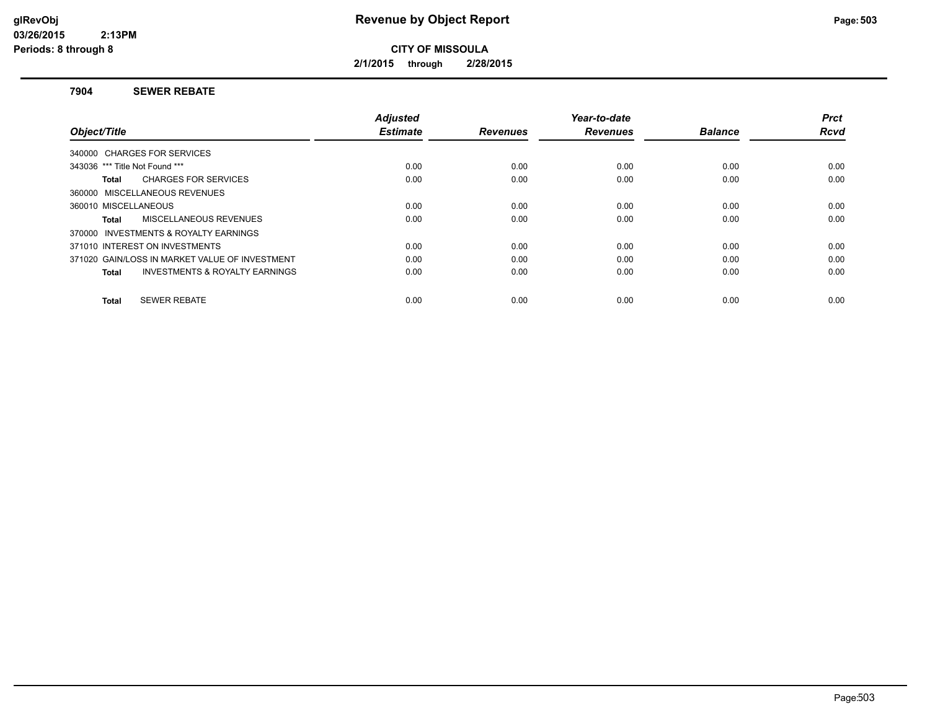**2/1/2015 through 2/28/2015**

#### **7904 SEWER REBATE**

| Object/Title                                              | <b>Adjusted</b><br><b>Estimate</b> | <b>Revenues</b> | Year-to-date<br><b>Revenues</b> | <b>Balance</b> | <b>Prct</b><br><b>Rcvd</b> |
|-----------------------------------------------------------|------------------------------------|-----------------|---------------------------------|----------------|----------------------------|
| 340000 CHARGES FOR SERVICES                               |                                    |                 |                                 |                |                            |
| 343036 *** Title Not Found ***                            | 0.00                               | 0.00            | 0.00                            | 0.00           | 0.00                       |
|                                                           |                                    |                 |                                 |                |                            |
| <b>CHARGES FOR SERVICES</b><br>Total                      | 0.00                               | 0.00            | 0.00                            | 0.00           | 0.00                       |
| 360000 MISCELLANEOUS REVENUES                             |                                    |                 |                                 |                |                            |
| 360010 MISCELLANEOUS                                      | 0.00                               | 0.00            | 0.00                            | 0.00           | 0.00                       |
| MISCELLANEOUS REVENUES<br>Total                           | 0.00                               | 0.00            | 0.00                            | 0.00           | 0.00                       |
| 370000 INVESTMENTS & ROYALTY EARNINGS                     |                                    |                 |                                 |                |                            |
| 371010 INTEREST ON INVESTMENTS                            | 0.00                               | 0.00            | 0.00                            | 0.00           | 0.00                       |
| 371020 GAIN/LOSS IN MARKET VALUE OF INVESTMENT            | 0.00                               | 0.00            | 0.00                            | 0.00           | 0.00                       |
| <b>INVESTMENTS &amp; ROYALTY EARNINGS</b><br><b>Total</b> | 0.00                               | 0.00            | 0.00                            | 0.00           | 0.00                       |
| <b>SEWER REBATE</b><br>Total                              | 0.00                               | 0.00            | 0.00                            | 0.00           | 0.00                       |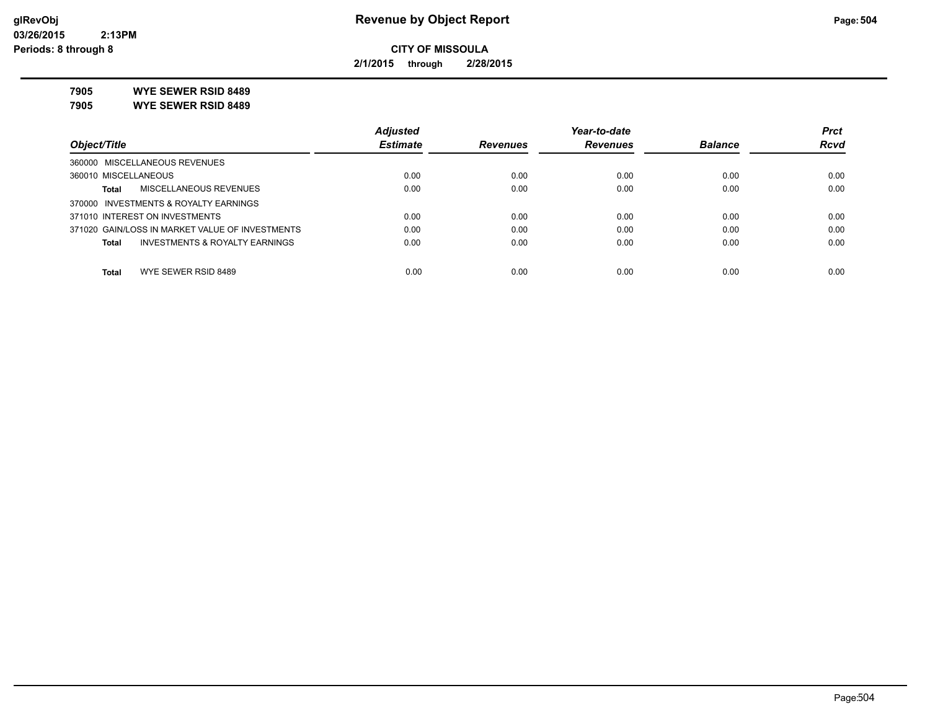**2/1/2015 through 2/28/2015**

**7905 WYE SEWER RSID 8489**

**7905 WYE SEWER RSID 8489**

|                                                 | <b>Adjusted</b> |                 | Year-to-date    |                | <b>Prct</b> |
|-------------------------------------------------|-----------------|-----------------|-----------------|----------------|-------------|
| Object/Title                                    | <b>Estimate</b> | <b>Revenues</b> | <b>Revenues</b> | <b>Balance</b> | <b>Rcvd</b> |
| 360000 MISCELLANEOUS REVENUES                   |                 |                 |                 |                |             |
| 360010 MISCELLANEOUS                            | 0.00            | 0.00            | 0.00            | 0.00           | 0.00        |
| MISCELLANEOUS REVENUES<br>Total                 | 0.00            | 0.00            | 0.00            | 0.00           | 0.00        |
| 370000 INVESTMENTS & ROYALTY EARNINGS           |                 |                 |                 |                |             |
| 371010 INTEREST ON INVESTMENTS                  | 0.00            | 0.00            | 0.00            | 0.00           | 0.00        |
| 371020 GAIN/LOSS IN MARKET VALUE OF INVESTMENTS | 0.00            | 0.00            | 0.00            | 0.00           | 0.00        |
| INVESTMENTS & ROYALTY EARNINGS<br>Total         | 0.00            | 0.00            | 0.00            | 0.00           | 0.00        |
|                                                 |                 |                 |                 |                |             |
| WYE SEWER RSID 8489<br>Total                    | 0.00            | 0.00            | 0.00            | 0.00           | 0.00        |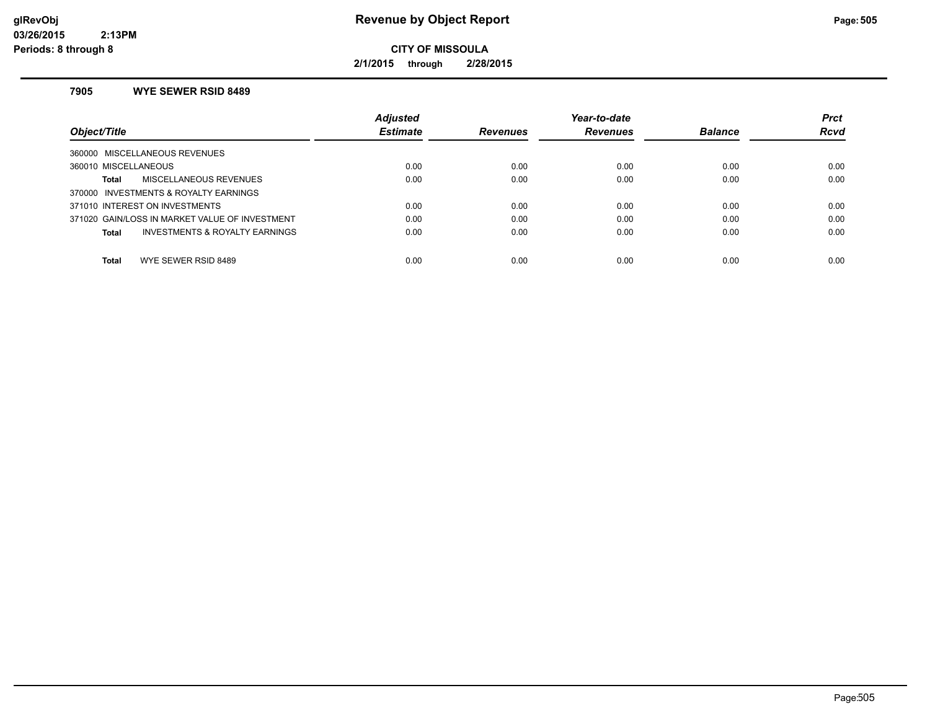**2/1/2015 through 2/28/2015**

#### **7905 WYE SEWER RSID 8489**

|                                                    | <b>Adjusted</b> |                 | Year-to-date    |                | <b>Prct</b> |
|----------------------------------------------------|-----------------|-----------------|-----------------|----------------|-------------|
| Object/Title                                       | <b>Estimate</b> | <b>Revenues</b> | <b>Revenues</b> | <b>Balance</b> | Rcvd        |
| 360000 MISCELLANEOUS REVENUES                      |                 |                 |                 |                |             |
| 360010 MISCELLANEOUS                               | 0.00            | 0.00            | 0.00            | 0.00           | 0.00        |
| <b>MISCELLANEOUS REVENUES</b><br>Total             | 0.00            | 0.00            | 0.00            | 0.00           | 0.00        |
| 370000 INVESTMENTS & ROYALTY EARNINGS              |                 |                 |                 |                |             |
| 371010 INTEREST ON INVESTMENTS                     | 0.00            | 0.00            | 0.00            | 0.00           | 0.00        |
| 371020 GAIN/LOSS IN MARKET VALUE OF INVESTMENT     | 0.00            | 0.00            | 0.00            | 0.00           | 0.00        |
| <b>INVESTMENTS &amp; ROYALTY EARNINGS</b><br>Total | 0.00            | 0.00            | 0.00            | 0.00           | 0.00        |
|                                                    |                 |                 |                 |                |             |
| Total<br>WYE SEWER RSID 8489                       | 0.00            | 0.00            | 0.00            | 0.00           | 0.00        |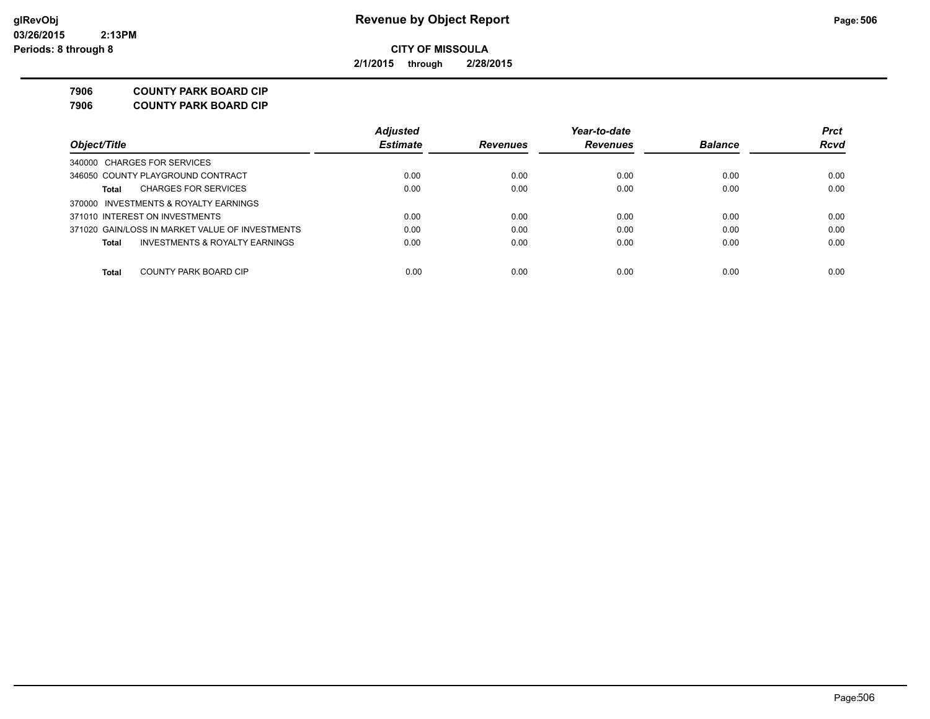**2/1/2015 through 2/28/2015**

**7906 COUNTY PARK BOARD CIP**

**7906 COUNTY PARK BOARD CIP**

|                                                 | <b>Adjusted</b> |                 | Year-to-date    |                | <b>Prct</b> |
|-------------------------------------------------|-----------------|-----------------|-----------------|----------------|-------------|
| Object/Title                                    | <b>Estimate</b> | <b>Revenues</b> | <b>Revenues</b> | <b>Balance</b> | Rcvd        |
| 340000 CHARGES FOR SERVICES                     |                 |                 |                 |                |             |
| 346050 COUNTY PLAYGROUND CONTRACT               | 0.00            | 0.00            | 0.00            | 0.00           | 0.00        |
| <b>CHARGES FOR SERVICES</b><br>Total            | 0.00            | 0.00            | 0.00            | 0.00           | 0.00        |
| 370000 INVESTMENTS & ROYALTY EARNINGS           |                 |                 |                 |                |             |
| 371010 INTEREST ON INVESTMENTS                  | 0.00            | 0.00            | 0.00            | 0.00           | 0.00        |
| 371020 GAIN/LOSS IN MARKET VALUE OF INVESTMENTS | 0.00            | 0.00            | 0.00            | 0.00           | 0.00        |
| INVESTMENTS & ROYALTY EARNINGS<br>Total         | 0.00            | 0.00            | 0.00            | 0.00           | 0.00        |
| Total<br>COUNTY PARK BOARD CIP                  | 0.00            | 0.00            | 0.00            | 0.00           | 0.00        |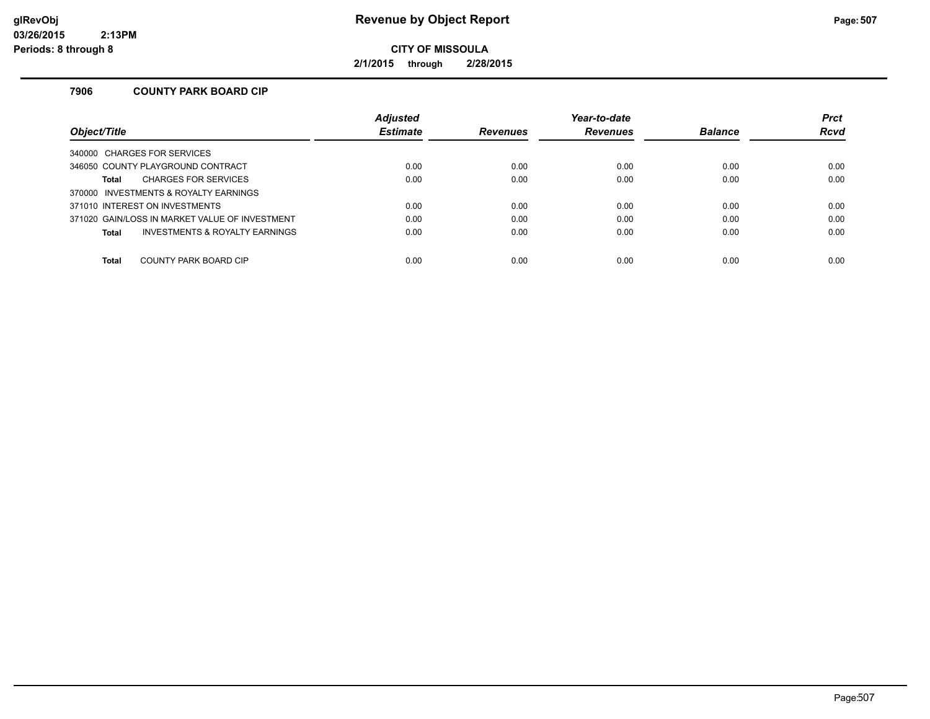**2/1/2015 through 2/28/2015**

#### **7906 COUNTY PARK BOARD CIP**

|                                                | <b>Adjusted</b> |                 | Year-to-date    |                | <b>Prct</b> |
|------------------------------------------------|-----------------|-----------------|-----------------|----------------|-------------|
| Object/Title                                   | <b>Estimate</b> | <b>Revenues</b> | <b>Revenues</b> | <b>Balance</b> | <b>Rcvd</b> |
| 340000 CHARGES FOR SERVICES                    |                 |                 |                 |                |             |
| 346050 COUNTY PLAYGROUND CONTRACT              | 0.00            | 0.00            | 0.00            | 0.00           | 0.00        |
| <b>CHARGES FOR SERVICES</b><br>Total           | 0.00            | 0.00            | 0.00            | 0.00           | 0.00        |
| 370000 INVESTMENTS & ROYALTY EARNINGS          |                 |                 |                 |                |             |
| 371010 INTEREST ON INVESTMENTS                 | 0.00            | 0.00            | 0.00            | 0.00           | 0.00        |
| 371020 GAIN/LOSS IN MARKET VALUE OF INVESTMENT | 0.00            | 0.00            | 0.00            | 0.00           | 0.00        |
| INVESTMENTS & ROYALTY EARNINGS<br>Total        | 0.00            | 0.00            | 0.00            | 0.00           | 0.00        |
|                                                |                 |                 |                 |                |             |
| <b>Total</b><br>COUNTY PARK BOARD CIP          | 0.00            | 0.00            | 0.00            | 0.00           | 0.00        |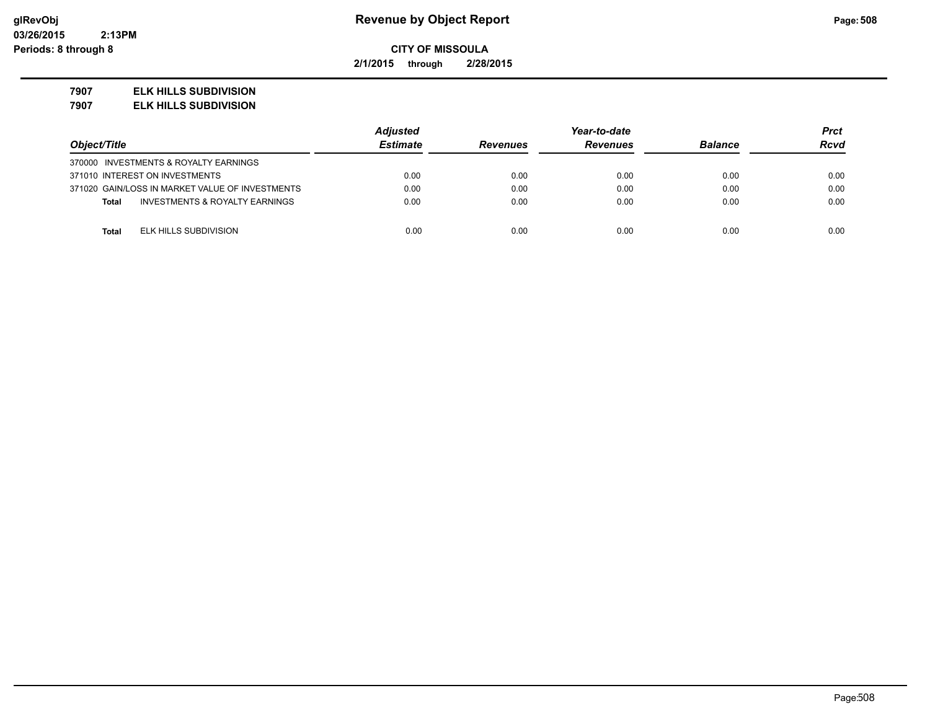**2/1/2015 through 2/28/2015**

#### **7907 ELK HILLS SUBDIVISION**

**7907 ELK HILLS SUBDIVISION**

|                                                 | <b>Adjusted</b> |                 | Year-to-date    |                | Prct |
|-------------------------------------------------|-----------------|-----------------|-----------------|----------------|------|
| Object/Title                                    | <b>Estimate</b> | <b>Revenues</b> | <b>Revenues</b> | <b>Balance</b> | Rcvd |
| 370000 INVESTMENTS & ROYALTY EARNINGS           |                 |                 |                 |                |      |
| 371010 INTEREST ON INVESTMENTS                  | 0.00            | 0.00            | 0.00            | 0.00           | 0.00 |
| 371020 GAIN/LOSS IN MARKET VALUE OF INVESTMENTS | 0.00            | 0.00            | 0.00            | 0.00           | 0.00 |
| INVESTMENTS & ROYALTY EARNINGS<br><b>Total</b>  | 0.00            | 0.00            | 0.00            | 0.00           | 0.00 |
|                                                 |                 |                 |                 |                |      |
| ELK HILLS SUBDIVISION<br>Total                  | 0.00            | 0.00            | 0.00            | 0.00           | 0.00 |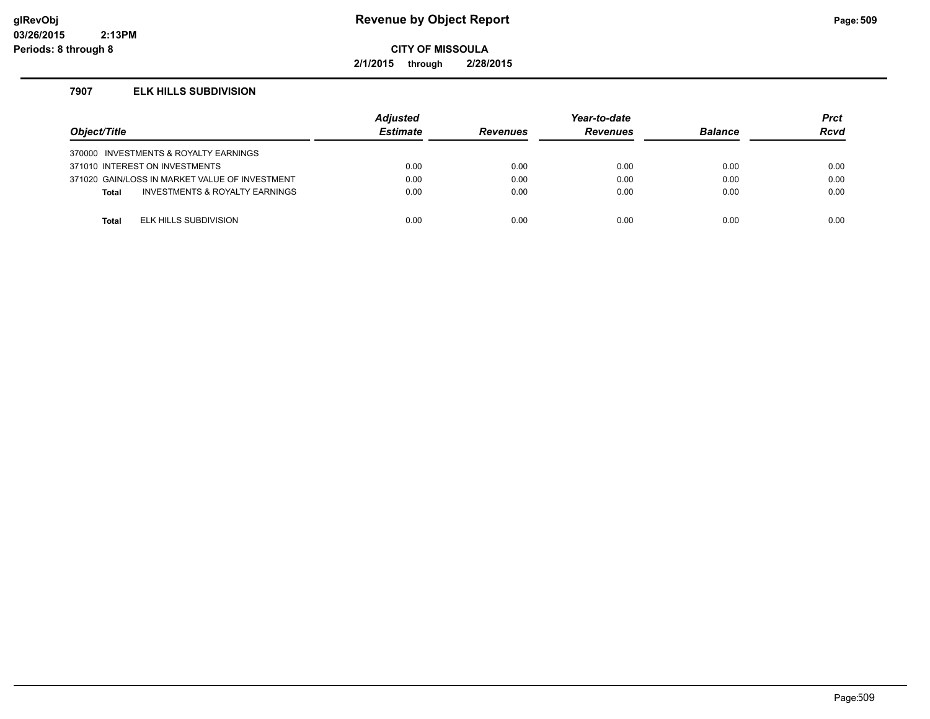#### **glRevObj Revenue by Object Report Page:509**

**CITY OF MISSOULA**

**2/1/2015 through 2/28/2015**

#### **7907 ELK HILLS SUBDIVISION**

| Object/Title |                                                | <b>Adjusted</b><br><b>Estimate</b> | <b>Revenues</b> | Year-to-date<br><b>Revenues</b> | <b>Balance</b> | Prct<br><b>Rcvd</b> |
|--------------|------------------------------------------------|------------------------------------|-----------------|---------------------------------|----------------|---------------------|
|              | 370000 INVESTMENTS & ROYALTY EARNINGS          |                                    |                 |                                 |                |                     |
|              | 371010 INTEREST ON INVESTMENTS                 | 0.00                               | 0.00            | 0.00                            | 0.00           | 0.00                |
|              | 371020 GAIN/LOSS IN MARKET VALUE OF INVESTMENT | 0.00                               | 0.00            | 0.00                            | 0.00           | 0.00                |
| <b>Total</b> | INVESTMENTS & ROYALTY EARNINGS                 | 0.00                               | 0.00            | 0.00                            | 0.00           | 0.00                |
|              |                                                |                                    |                 |                                 |                |                     |
| Total        | ELK HILLS SUBDIVISION                          | 0.00                               | 0.00            | 0.00                            | 0.00           | 0.00                |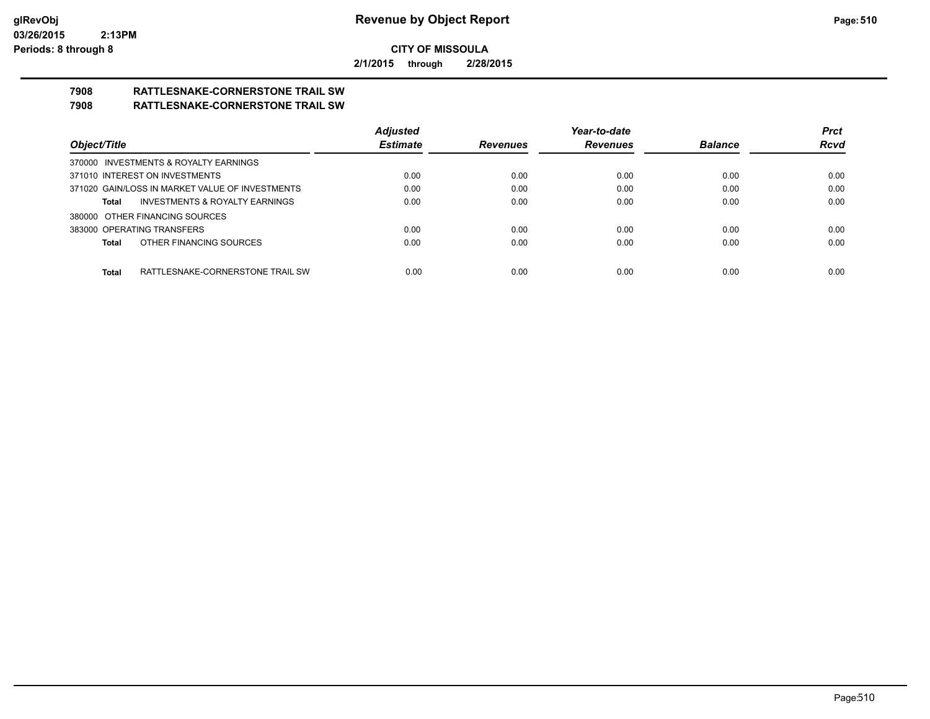**2/1/2015 through 2/28/2015**

# **7908 RATTLESNAKE-CORNERSTONE TRAIL SW**

#### **7908 RATTLESNAKE-CORNERSTONE TRAIL SW**

|                                                    | <b>Adjusted</b> |                 | Year-to-date    |                | <b>Prct</b> |
|----------------------------------------------------|-----------------|-----------------|-----------------|----------------|-------------|
| Object/Title                                       | <b>Estimate</b> | <b>Revenues</b> | <b>Revenues</b> | <b>Balance</b> | <b>Rcvd</b> |
| 370000 INVESTMENTS & ROYALTY EARNINGS              |                 |                 |                 |                |             |
| 371010 INTEREST ON INVESTMENTS                     | 0.00            | 0.00            | 0.00            | 0.00           | 0.00        |
| 371020 GAIN/LOSS IN MARKET VALUE OF INVESTMENTS    | 0.00            | 0.00            | 0.00            | 0.00           | 0.00        |
| <b>INVESTMENTS &amp; ROYALTY EARNINGS</b><br>Total | 0.00            | 0.00            | 0.00            | 0.00           | 0.00        |
| 380000 OTHER FINANCING SOURCES                     |                 |                 |                 |                |             |
| 383000 OPERATING TRANSFERS                         | 0.00            | 0.00            | 0.00            | 0.00           | 0.00        |
| OTHER FINANCING SOURCES<br>Total                   | 0.00            | 0.00            | 0.00            | 0.00           | 0.00        |
|                                                    |                 |                 |                 |                |             |
| RATTLESNAKE-CORNERSTONE TRAIL SW<br>Total          | 0.00            | 0.00            | 0.00            | 0.00           | 0.00        |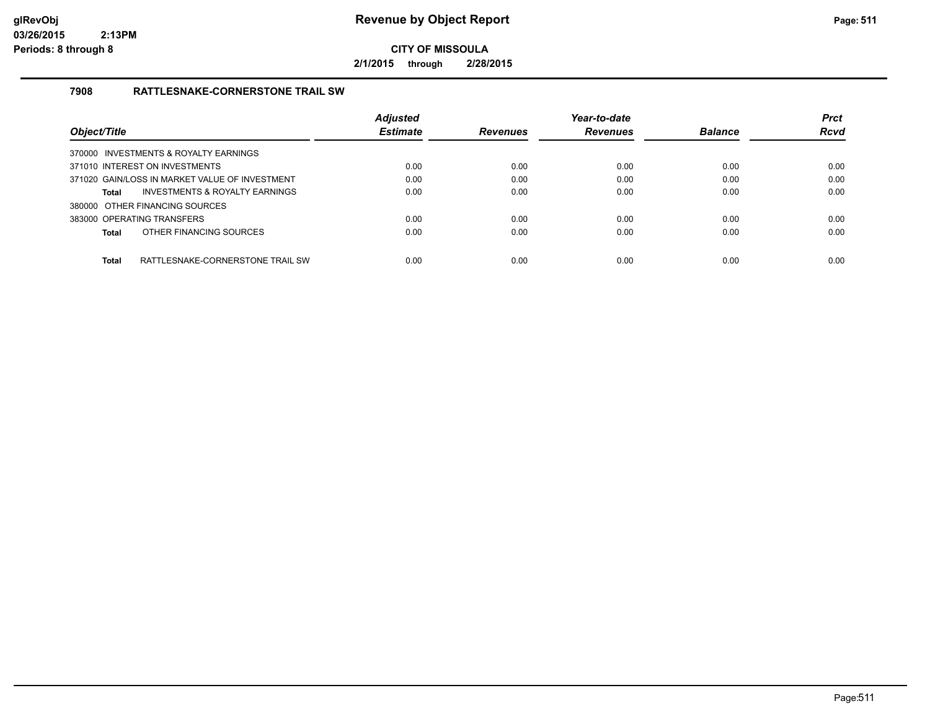**2/1/2015 through 2/28/2015**

#### **7908 RATTLESNAKE-CORNERSTONE TRAIL SW**

|                                                  | <b>Adjusted</b> |                 | Year-to-date    |                | <b>Prct</b> |
|--------------------------------------------------|-----------------|-----------------|-----------------|----------------|-------------|
| Object/Title                                     | <b>Estimate</b> | <b>Revenues</b> | <b>Revenues</b> | <b>Balance</b> | Rcvd        |
| 370000 INVESTMENTS & ROYALTY EARNINGS            |                 |                 |                 |                |             |
| 371010 INTEREST ON INVESTMENTS                   | 0.00            | 0.00            | 0.00            | 0.00           | 0.00        |
| 371020 GAIN/LOSS IN MARKET VALUE OF INVESTMENT   | 0.00            | 0.00            | 0.00            | 0.00           | 0.00        |
| INVESTMENTS & ROYALTY EARNINGS<br><b>Total</b>   | 0.00            | 0.00            | 0.00            | 0.00           | 0.00        |
| 380000 OTHER FINANCING SOURCES                   |                 |                 |                 |                |             |
| 383000 OPERATING TRANSFERS                       | 0.00            | 0.00            | 0.00            | 0.00           | 0.00        |
| OTHER FINANCING SOURCES<br><b>Total</b>          | 0.00            | 0.00            | 0.00            | 0.00           | 0.00        |
|                                                  |                 |                 |                 |                |             |
| <b>Total</b><br>RATTLESNAKE-CORNERSTONE TRAIL SW | 0.00            | 0.00            | 0.00            | 0.00           | 0.00        |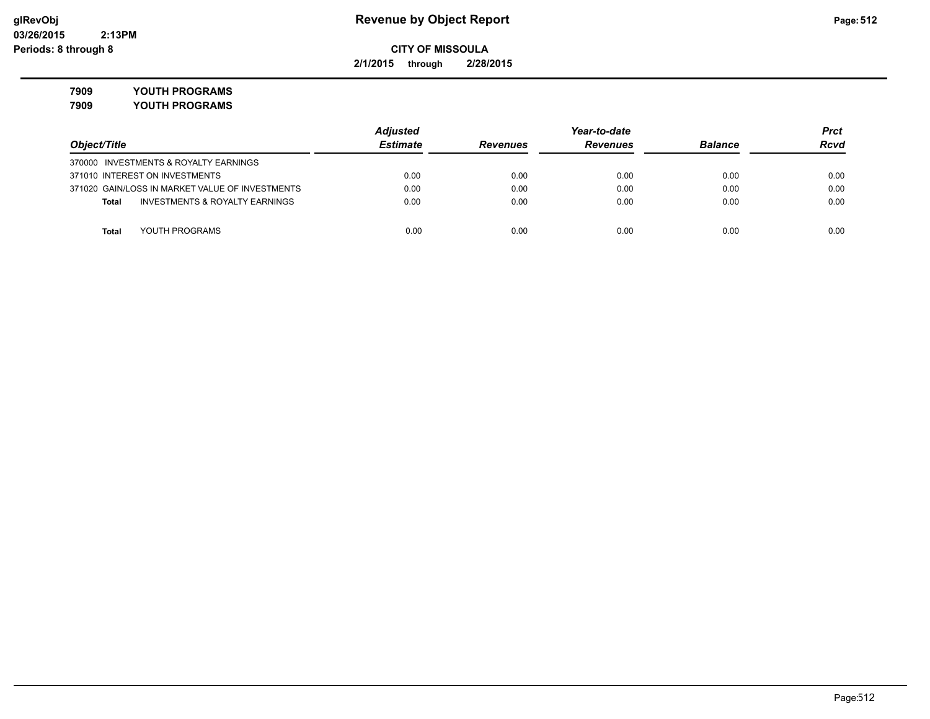**2/1/2015 through 2/28/2015**

**7909 YOUTH PROGRAMS**

**7909 YOUTH PROGRAMS**

|                                                    | <b>Adjusted</b> |                 | Year-to-date    |                |      |
|----------------------------------------------------|-----------------|-----------------|-----------------|----------------|------|
| Object/Title                                       | <b>Estimate</b> | <b>Revenues</b> | <b>Revenues</b> | <b>Balance</b> | Rcvd |
| 370000 INVESTMENTS & ROYALTY EARNINGS              |                 |                 |                 |                |      |
| 371010 INTEREST ON INVESTMENTS                     | 0.00            | 0.00            | 0.00            | 0.00           | 0.00 |
| 371020 GAIN/LOSS IN MARKET VALUE OF INVESTMENTS    | 0.00            | 0.00            | 0.00            | 0.00           | 0.00 |
| <b>INVESTMENTS &amp; ROYALTY EARNINGS</b><br>Total | 0.00            | 0.00            | 0.00            | 0.00           | 0.00 |
| YOUTH PROGRAMS<br>Total                            | 0.00            | 0.00            | 0.00            | 0.00           | 0.00 |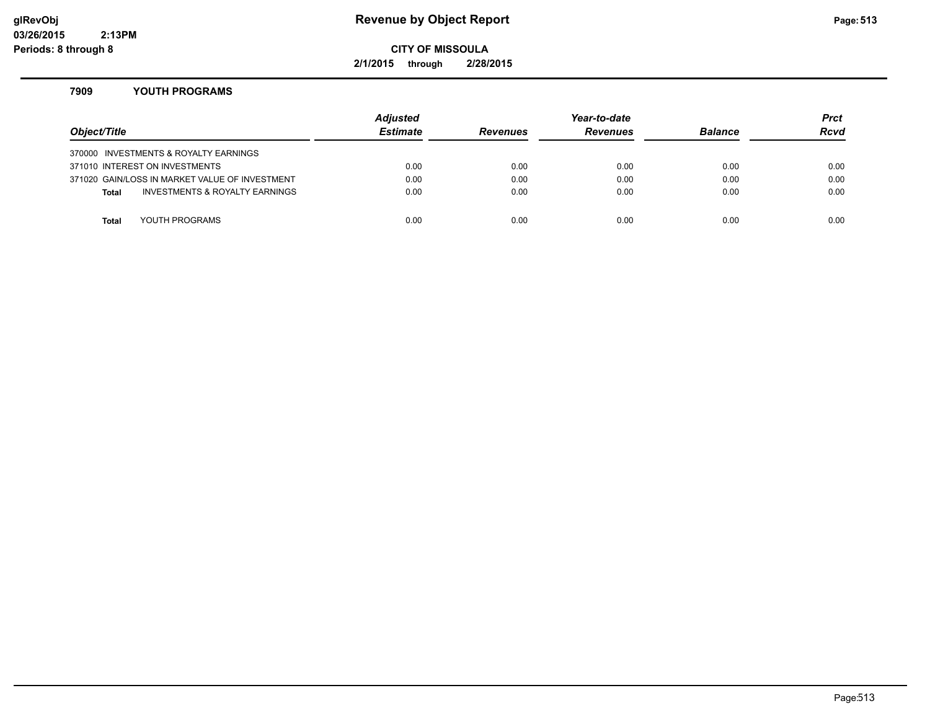#### **glRevObj Revenue by Object Report Page:513**

**CITY OF MISSOULA**

**2/1/2015 through 2/28/2015**

#### **7909 YOUTH PROGRAMS**

| Object/Title |                                                | <b>Adjusted</b><br><b>Estimate</b> | <b>Revenues</b> | Year-to-date<br><b>Revenues</b> | <b>Balance</b> | Prct<br><b>Rcvd</b> |
|--------------|------------------------------------------------|------------------------------------|-----------------|---------------------------------|----------------|---------------------|
|              | 370000 INVESTMENTS & ROYALTY EARNINGS          |                                    |                 |                                 |                |                     |
|              | 371010 INTEREST ON INVESTMENTS                 | 0.00                               | 0.00            | 0.00                            | 0.00           | 0.00                |
|              | 371020 GAIN/LOSS IN MARKET VALUE OF INVESTMENT | 0.00                               | 0.00            | 0.00                            | 0.00           | 0.00                |
| <b>Total</b> | INVESTMENTS & ROYALTY EARNINGS                 | 0.00                               | 0.00            | 0.00                            | 0.00           | 0.00                |
|              |                                                |                                    |                 |                                 |                |                     |
| Total        | YOUTH PROGRAMS                                 | 0.00                               | 0.00            | 0.00                            | 0.00           | 0.00                |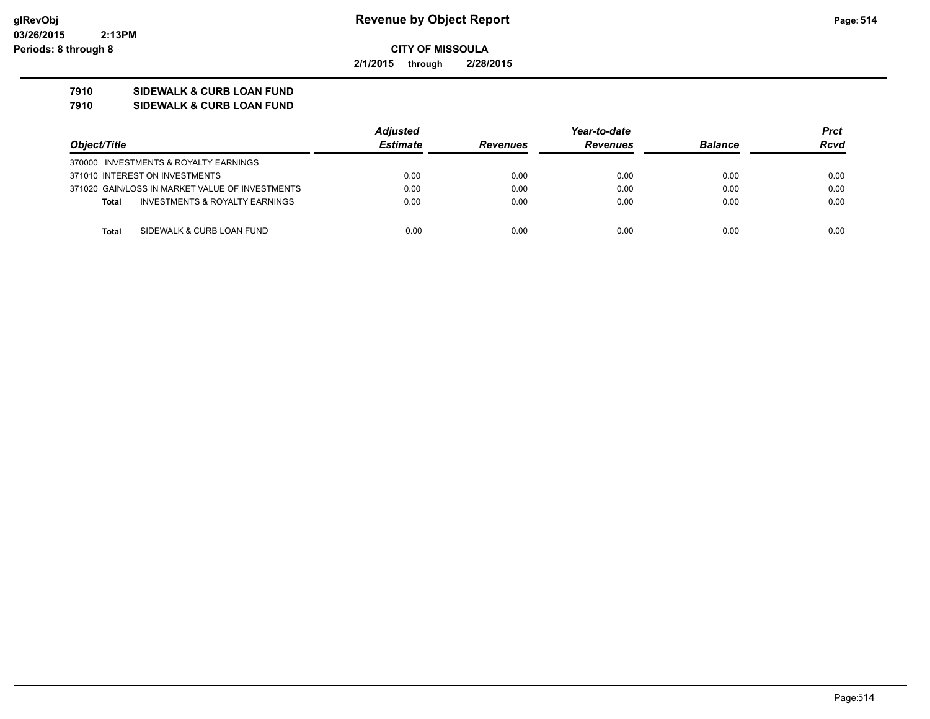**2/1/2015 through 2/28/2015**

#### **7910 SIDEWALK & CURB LOAN FUND**

**7910 SIDEWALK & CURB LOAN FUND**

|                                |                                                 | <b>Adjusted</b> |                 | Year-to-date    |                |             |
|--------------------------------|-------------------------------------------------|-----------------|-----------------|-----------------|----------------|-------------|
| Object/Title                   |                                                 | <b>Estimate</b> | <b>Revenues</b> | <b>Revenues</b> | <b>Balance</b> | <b>Rcvd</b> |
|                                | 370000 INVESTMENTS & ROYALTY EARNINGS           |                 |                 |                 |                |             |
| 371010 INTEREST ON INVESTMENTS |                                                 | 0.00            | 0.00            | 0.00            | 0.00           | 0.00        |
|                                | 371020 GAIN/LOSS IN MARKET VALUE OF INVESTMENTS | 0.00            | 0.00            | 0.00            | 0.00           | 0.00        |
| Total                          | INVESTMENTS & ROYALTY EARNINGS                  | 0.00            | 0.00            | 0.00            | 0.00           | 0.00        |
| Total                          | SIDEWALK & CURB LOAN FUND                       | 0.00            | 0.00            | 0.00            | 0.00           | 0.00        |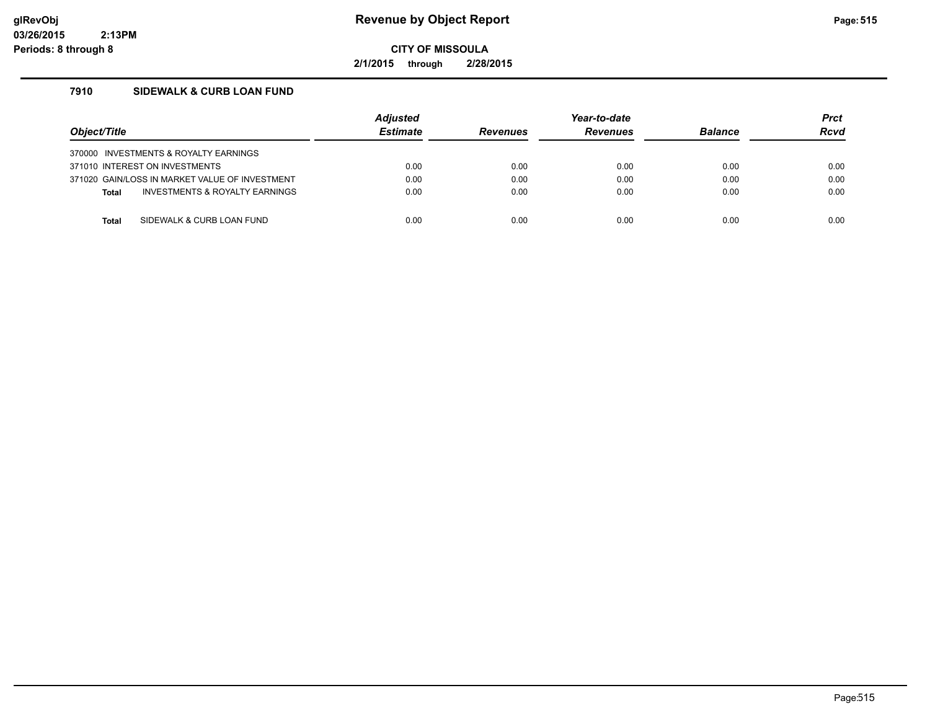#### **glRevObj Revenue by Object Report Page:515**

**CITY OF MISSOULA**

**2/1/2015 through 2/28/2015**

#### **7910 SIDEWALK & CURB LOAN FUND**

| Object/Title |                                                | <b>Adjusted</b><br><b>Estimate</b> | <b>Revenues</b> | Year-to-date<br><b>Revenues</b> | <b>Balance</b> | <b>Prct</b><br><b>Rcvd</b> |
|--------------|------------------------------------------------|------------------------------------|-----------------|---------------------------------|----------------|----------------------------|
|              | 370000 INVESTMENTS & ROYALTY EARNINGS          |                                    |                 |                                 |                |                            |
|              | 371010 INTEREST ON INVESTMENTS                 | 0.00                               | 0.00            | 0.00                            | 0.00           | 0.00                       |
|              | 371020 GAIN/LOSS IN MARKET VALUE OF INVESTMENT | 0.00                               | 0.00            | 0.00                            | 0.00           | 0.00                       |
| <b>Total</b> | INVESTMENTS & ROYALTY EARNINGS                 | 0.00                               | 0.00            | 0.00                            | 0.00           | 0.00                       |
|              |                                                |                                    |                 |                                 |                |                            |
| Total        | SIDEWALK & CURB LOAN FUND                      | 0.00                               | 0.00            | 0.00                            | 0.00           | 0.00                       |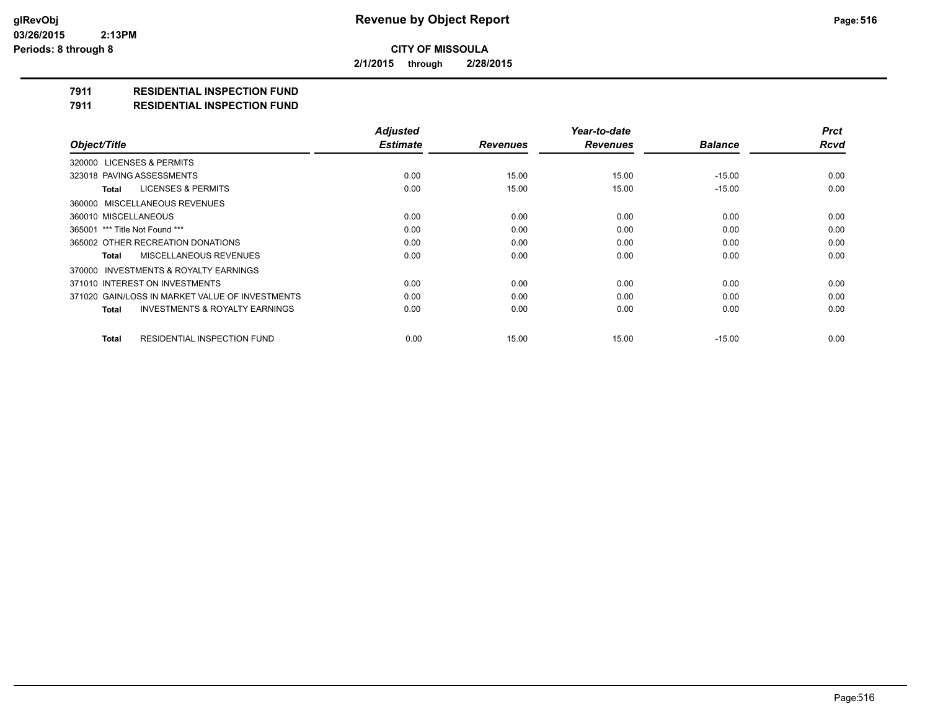**2/1/2015 through 2/28/2015**

### **7911 RESIDENTIAL INSPECTION FUND**

**7911 RESIDENTIAL INSPECTION FUND**

|                                                           | <b>Adjusted</b> |                 | Year-to-date    |                | <b>Prct</b> |
|-----------------------------------------------------------|-----------------|-----------------|-----------------|----------------|-------------|
| Object/Title                                              | <b>Estimate</b> | <b>Revenues</b> | <b>Revenues</b> | <b>Balance</b> | <b>Rcvd</b> |
| 320000 LICENSES & PERMITS                                 |                 |                 |                 |                |             |
| 323018 PAVING ASSESSMENTS                                 | 0.00            | 15.00           | 15.00           | $-15.00$       | 0.00        |
| <b>LICENSES &amp; PERMITS</b><br>Total                    | 0.00            | 15.00           | 15.00           | $-15.00$       | 0.00        |
| 360000 MISCELLANEOUS REVENUES                             |                 |                 |                 |                |             |
| 360010 MISCELLANEOUS                                      | 0.00            | 0.00            | 0.00            | 0.00           | 0.00        |
| 365001 *** Title Not Found ***                            | 0.00            | 0.00            | 0.00            | 0.00           | 0.00        |
| 365002 OTHER RECREATION DONATIONS                         | 0.00            | 0.00            | 0.00            | 0.00           | 0.00        |
| MISCELLANEOUS REVENUES<br>Total                           | 0.00            | 0.00            | 0.00            | 0.00           | 0.00        |
| 370000 INVESTMENTS & ROYALTY EARNINGS                     |                 |                 |                 |                |             |
| 371010 INTEREST ON INVESTMENTS                            | 0.00            | 0.00            | 0.00            | 0.00           | 0.00        |
| 371020 GAIN/LOSS IN MARKET VALUE OF INVESTMENTS           | 0.00            | 0.00            | 0.00            | 0.00           | 0.00        |
| <b>INVESTMENTS &amp; ROYALTY EARNINGS</b><br><b>Total</b> | 0.00            | 0.00            | 0.00            | 0.00           | 0.00        |
| RESIDENTIAL INSPECTION FUND<br>Total                      | 0.00            | 15.00           | 15.00           | $-15.00$       | 0.00        |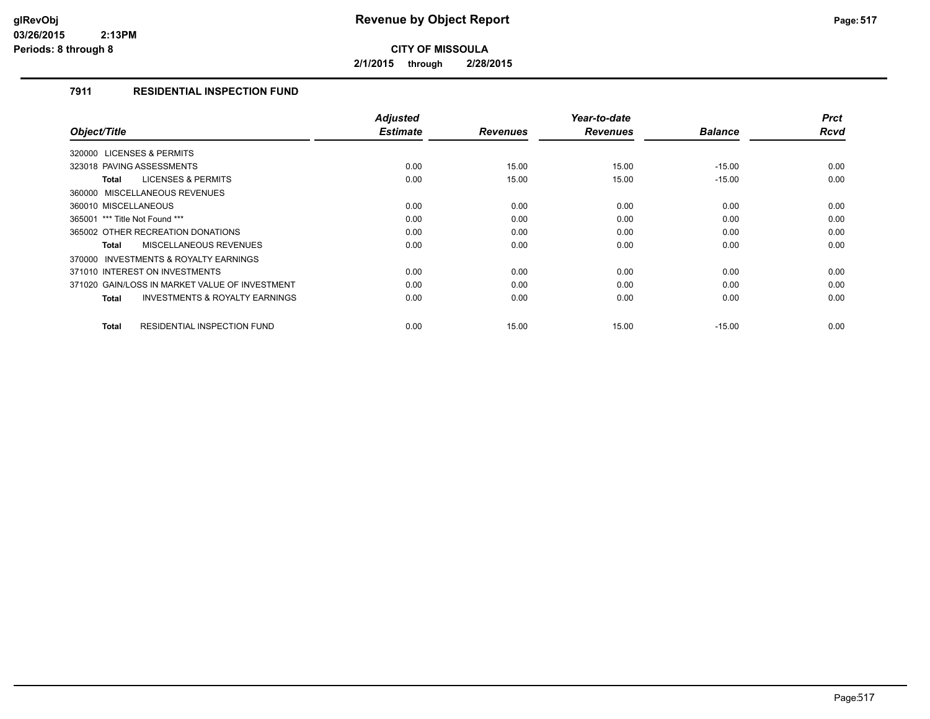**2/1/2015 through 2/28/2015**

#### **7911 RESIDENTIAL INSPECTION FUND**

| Object/Title                                              | <b>Adjusted</b><br><b>Estimate</b> | <b>Revenues</b> | Year-to-date<br><b>Revenues</b> | <b>Balance</b> | <b>Prct</b><br><b>Rcvd</b> |
|-----------------------------------------------------------|------------------------------------|-----------------|---------------------------------|----------------|----------------------------|
|                                                           |                                    |                 |                                 |                |                            |
| 320000 LICENSES & PERMITS                                 |                                    |                 |                                 |                |                            |
| 323018 PAVING ASSESSMENTS                                 | 0.00                               | 15.00           | 15.00                           | $-15.00$       | 0.00                       |
| <b>LICENSES &amp; PERMITS</b><br><b>Total</b>             | 0.00                               | 15.00           | 15.00                           | $-15.00$       | 0.00                       |
| 360000 MISCELLANEOUS REVENUES                             |                                    |                 |                                 |                |                            |
| 360010 MISCELLANEOUS                                      | 0.00                               | 0.00            | 0.00                            | 0.00           | 0.00                       |
| 365001 *** Title Not Found ***                            | 0.00                               | 0.00            | 0.00                            | 0.00           | 0.00                       |
| 365002 OTHER RECREATION DONATIONS                         | 0.00                               | 0.00            | 0.00                            | 0.00           | 0.00                       |
| MISCELLANEOUS REVENUES<br><b>Total</b>                    | 0.00                               | 0.00            | 0.00                            | 0.00           | 0.00                       |
| <b>INVESTMENTS &amp; ROYALTY EARNINGS</b><br>370000       |                                    |                 |                                 |                |                            |
| 371010 INTEREST ON INVESTMENTS                            | 0.00                               | 0.00            | 0.00                            | 0.00           | 0.00                       |
| 371020 GAIN/LOSS IN MARKET VALUE OF INVESTMENT            | 0.00                               | 0.00            | 0.00                            | 0.00           | 0.00                       |
| <b>INVESTMENTS &amp; ROYALTY EARNINGS</b><br><b>Total</b> | 0.00                               | 0.00            | 0.00                            | 0.00           | 0.00                       |
|                                                           |                                    |                 |                                 |                |                            |
| RESIDENTIAL INSPECTION FUND<br><b>Total</b>               | 0.00                               | 15.00           | 15.00                           | $-15.00$       | 0.00                       |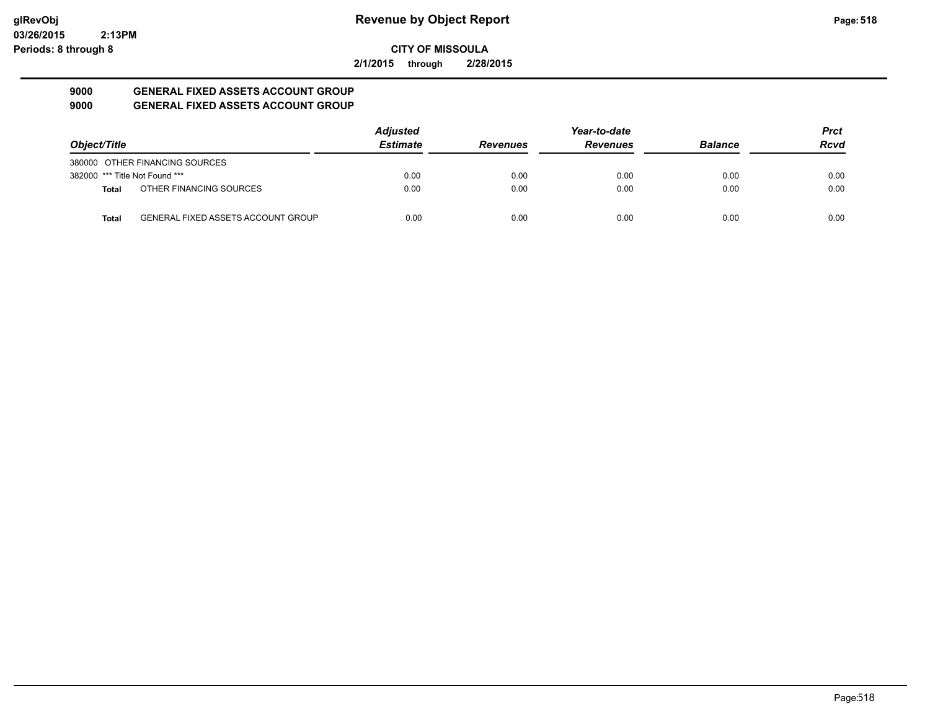**2/1/2015 through 2/28/2015**

#### **9000 GENERAL FIXED ASSETS ACCOUNT GROUP 9000 GENERAL FIXED ASSETS ACCOUNT GROUP**

|                                |                                           | <b>Adjusted</b> |                 | Year-to-date    |                | <b>Prct</b> |
|--------------------------------|-------------------------------------------|-----------------|-----------------|-----------------|----------------|-------------|
| Object/Title                   |                                           | <b>Estimate</b> | <b>Revenues</b> | <b>Revenues</b> | <b>Balance</b> | <b>Rcvd</b> |
|                                | 380000 OTHER FINANCING SOURCES            |                 |                 |                 |                |             |
| 382000 *** Title Not Found *** |                                           | 0.00            | 0.00            | 0.00            | 0.00           | 0.00        |
| <b>Total</b>                   | OTHER FINANCING SOURCES                   | 0.00            | 0.00            | 0.00            | 0.00           | 0.00        |
| <b>Total</b>                   | <b>GENERAL FIXED ASSETS ACCOUNT GROUP</b> | 0.00            | 0.00            | 0.00            | 0.00           | 0.00        |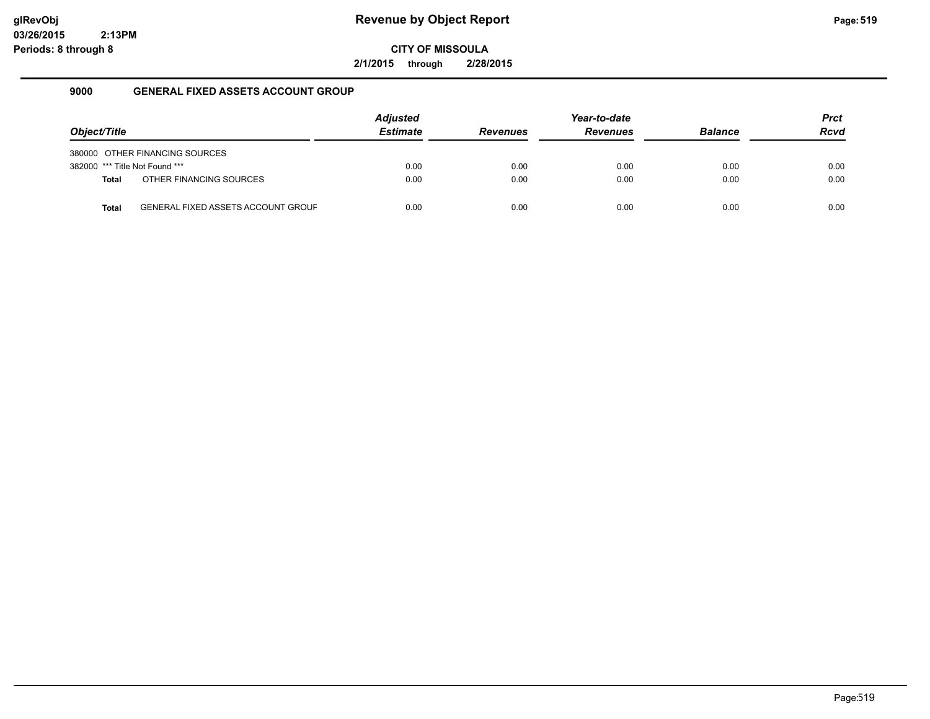**2/1/2015 through 2/28/2015**

#### **9000 GENERAL FIXED ASSETS ACCOUNT GROUP**

|                                |                                           | <b>Adjusted</b> |                 | Year-to-date    |                | <b>Prct</b> |
|--------------------------------|-------------------------------------------|-----------------|-----------------|-----------------|----------------|-------------|
| Object/Title                   |                                           | <b>Estimate</b> | <b>Revenues</b> | <b>Revenues</b> | <b>Balance</b> | <b>Rcvd</b> |
|                                | 380000 OTHER FINANCING SOURCES            |                 |                 |                 |                |             |
| 382000 *** Title Not Found *** |                                           | 0.00            | 0.00            | 0.00            | 0.00           | 0.00        |
| <b>Total</b>                   | OTHER FINANCING SOURCES                   | 0.00            | 0.00            | 0.00            | 0.00           | 0.00        |
| <b>Total</b>                   | <b>GENERAL FIXED ASSETS ACCOUNT GROUF</b> | 0.00            | 0.00            | 0.00            | 0.00           | 0.00        |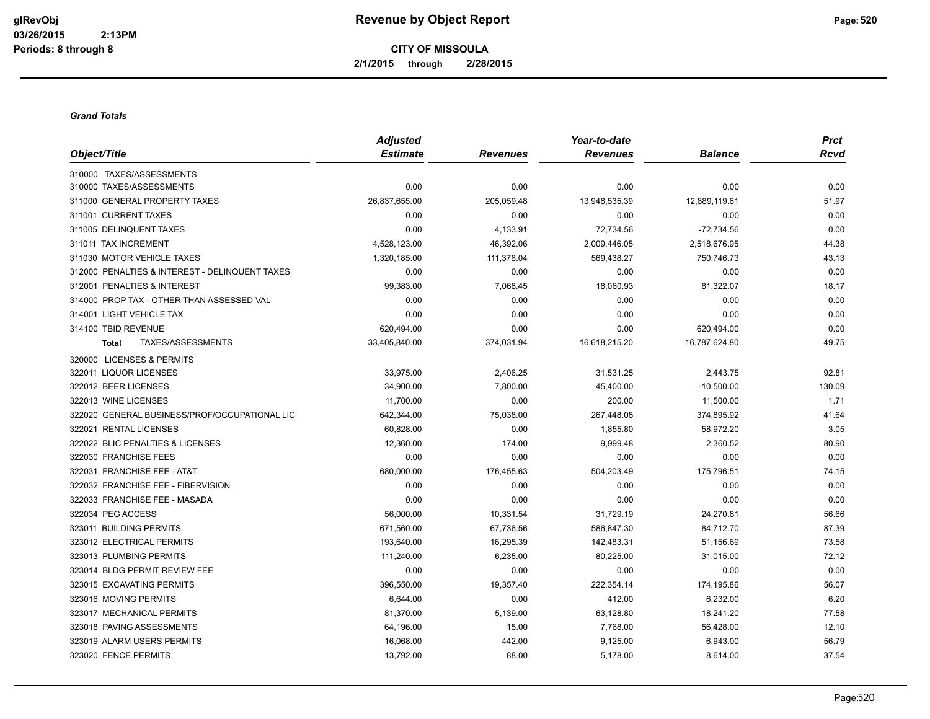**CITY OF MISSOULA 2/1/2015 through 2/28/2015**

#### *Grand Totals*

|                                                | <b>Adjusted</b> |                 | Year-to-date    |                | <b>Prct</b> |
|------------------------------------------------|-----------------|-----------------|-----------------|----------------|-------------|
| Object/Title                                   | <b>Estimate</b> | <b>Revenues</b> | <b>Revenues</b> | <b>Balance</b> | <b>Rcvd</b> |
| 310000 TAXES/ASSESSMENTS                       |                 |                 |                 |                |             |
| 310000 TAXES/ASSESSMENTS                       | 0.00            | 0.00            | 0.00            | 0.00           | 0.00        |
| 311000 GENERAL PROPERTY TAXES                  | 26,837,655.00   | 205,059.48      | 13,948,535.39   | 12,889,119.61  | 51.97       |
| 311001 CURRENT TAXES                           | 0.00            | 0.00            | 0.00            | 0.00           | 0.00        |
| 311005 DELINQUENT TAXES                        | 0.00            | 4,133.91        | 72,734.56       | $-72,734.56$   | 0.00        |
| 311011 TAX INCREMENT                           | 4,528,123.00    | 46,392.06       | 2,009,446.05    | 2,518,676.95   | 44.38       |
| 311030 MOTOR VEHICLE TAXES                     | 1,320,185.00    | 111,378.04      | 569,438.27      | 750,746.73     | 43.13       |
| 312000 PENALTIES & INTEREST - DELINQUENT TAXES | 0.00            | 0.00            | 0.00            | 0.00           | 0.00        |
| 312001 PENALTIES & INTEREST                    | 99,383.00       | 7,068.45        | 18,060.93       | 81,322.07      | 18.17       |
| 314000 PROP TAX - OTHER THAN ASSESSED VAL      | 0.00            | 0.00            | 0.00            | 0.00           | 0.00        |
| 314001 LIGHT VEHICLE TAX                       | 0.00            | 0.00            | 0.00            | 0.00           | 0.00        |
| 314100 TBID REVENUE                            | 620,494.00      | 0.00            | 0.00            | 620,494.00     | 0.00        |
| TAXES/ASSESSMENTS<br><b>Total</b>              | 33,405,840.00   | 374,031.94      | 16,618,215.20   | 16,787,624.80  | 49.75       |
| 320000 LICENSES & PERMITS                      |                 |                 |                 |                |             |
| 322011 LIQUOR LICENSES                         | 33,975.00       | 2,406.25        | 31,531.25       | 2,443.75       | 92.81       |
| 322012 BEER LICENSES                           | 34,900.00       | 7.800.00        | 45,400.00       | $-10,500.00$   | 130.09      |
| 322013 WINE LICENSES                           | 11,700.00       | 0.00            | 200.00          | 11,500.00      | 1.71        |
| 322020 GENERAL BUSINESS/PROF/OCCUPATIONAL LIC  | 642,344.00      | 75,038.00       | 267,448.08      | 374,895.92     | 41.64       |
| 322021 RENTAL LICENSES                         | 60,828.00       | 0.00            | 1,855.80        | 58,972.20      | 3.05        |
| 322022 BLIC PENALTIES & LICENSES               | 12,360.00       | 174.00          | 9,999.48        | 2,360.52       | 80.90       |
| 322030 FRANCHISE FEES                          | 0.00            | 0.00            | 0.00            | 0.00           | 0.00        |
| 322031 FRANCHISE FEE - AT&T                    | 680,000.00      | 176,455.63      | 504,203.49      | 175,796.51     | 74.15       |
| 322032 FRANCHISE FEE - FIBERVISION             | 0.00            | 0.00            | 0.00            | 0.00           | 0.00        |
| 322033 FRANCHISE FEE - MASADA                  | 0.00            | 0.00            | 0.00            | 0.00           | 0.00        |
| 322034 PEG ACCESS                              | 56,000.00       | 10,331.54       | 31,729.19       | 24,270.81      | 56.66       |
| 323011 BUILDING PERMITS                        | 671,560.00      | 67,736.56       | 586,847.30      | 84,712.70      | 87.39       |
| 323012 ELECTRICAL PERMITS                      | 193,640.00      | 16,295.39       | 142,483.31      | 51,156.69      | 73.58       |
| 323013 PLUMBING PERMITS                        | 111,240.00      | 6,235.00        | 80,225.00       | 31,015.00      | 72.12       |
| 323014 BLDG PERMIT REVIEW FEE                  | 0.00            | 0.00            | 0.00            | 0.00           | 0.00        |
| 323015 EXCAVATING PERMITS                      | 396,550.00      | 19,357.40       | 222,354.14      | 174,195.86     | 56.07       |
| 323016 MOVING PERMITS                          | 6,644.00        | 0.00            | 412.00          | 6,232.00       | 6.20        |
| 323017 MECHANICAL PERMITS                      | 81,370.00       | 5,139.00        | 63,128.80       | 18,241.20      | 77.58       |
| 323018 PAVING ASSESSMENTS                      | 64,196.00       | 15.00           | 7,768.00        | 56,428.00      | 12.10       |
| 323019 ALARM USERS PERMITS                     | 16,068.00       | 442.00          | 9,125.00        | 6,943.00       | 56.79       |
| 323020 FENCE PERMITS                           | 13,792.00       | 88.00           | 5,178.00        | 8,614.00       | 37.54       |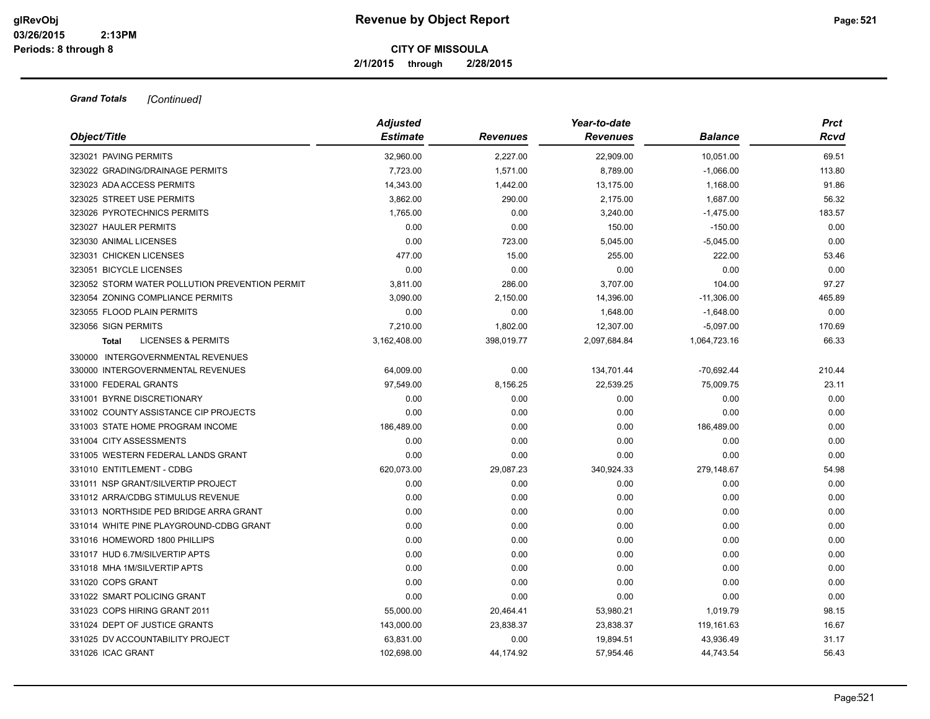**2/1/2015 through 2/28/2015**

| Object/Title                                   | <b>Adjusted</b><br><b>Estimate</b> | <b>Revenues</b> | Year-to-date<br><b>Revenues</b> | <b>Balance</b> | <b>Prct</b><br>Rcvd |
|------------------------------------------------|------------------------------------|-----------------|---------------------------------|----------------|---------------------|
| 323021 PAVING PERMITS                          | 32.960.00                          | 2,227.00        | 22,909.00                       | 10,051.00      | 69.51               |
| 323022 GRADING/DRAINAGE PERMITS                | 7,723.00                           | 1,571.00        | 8,789.00                        | $-1,066.00$    | 113.80              |
| 323023 ADA ACCESS PERMITS                      | 14,343.00                          | 1,442.00        | 13,175.00                       | 1,168.00       | 91.86               |
| 323025 STREET USE PERMITS                      | 3,862.00                           | 290.00          | 2,175.00                        | 1,687.00       | 56.32               |
| 323026 PYROTECHNICS PERMITS                    | 1,765.00                           | 0.00            | 3,240.00                        | $-1,475.00$    | 183.57              |
| 323027 HAULER PERMITS                          | 0.00                               | 0.00            | 150.00                          | $-150.00$      | 0.00                |
| 323030 ANIMAL LICENSES                         | 0.00                               | 723.00          | 5,045.00                        | $-5,045.00$    | 0.00                |
| 323031 CHICKEN LICENSES                        | 477.00                             | 15.00           | 255.00                          | 222.00         | 53.46               |
| 323051 BICYCLE LICENSES                        | 0.00                               | 0.00            | 0.00                            | 0.00           | 0.00                |
| 323052 STORM WATER POLLUTION PREVENTION PERMIT | 3,811.00                           | 286.00          | 3,707.00                        | 104.00         | 97.27               |
| 323054 ZONING COMPLIANCE PERMITS               | 3,090.00                           | 2,150.00        | 14,396.00                       | $-11,306.00$   | 465.89              |
| 323055 FLOOD PLAIN PERMITS                     | 0.00                               | 0.00            | 1,648.00                        | $-1,648.00$    | 0.00                |
| 323056 SIGN PERMITS                            | 7,210.00                           | 1,802.00        | 12,307.00                       | $-5,097.00$    | 170.69              |
| <b>LICENSES &amp; PERMITS</b><br><b>Total</b>  | 3,162,408.00                       | 398,019.77      | 2,097,684.84                    | 1,064,723.16   | 66.33               |
| 330000 INTERGOVERNMENTAL REVENUES              |                                    |                 |                                 |                |                     |
| 330000 INTERGOVERNMENTAL REVENUES              | 64,009.00                          | 0.00            | 134,701.44                      | $-70,692.44$   | 210.44              |
| 331000 FEDERAL GRANTS                          | 97,549.00                          | 8,156.25        | 22,539.25                       | 75,009.75      | 23.11               |
| 331001 BYRNE DISCRETIONARY                     | 0.00                               | 0.00            | 0.00                            | 0.00           | 0.00                |
| 331002 COUNTY ASSISTANCE CIP PROJECTS          | 0.00                               | 0.00            | 0.00                            | 0.00           | 0.00                |
| 331003 STATE HOME PROGRAM INCOME               | 186,489.00                         | 0.00            | 0.00                            | 186,489.00     | 0.00                |
| 331004 CITY ASSESSMENTS                        | 0.00                               | 0.00            | 0.00                            | 0.00           | 0.00                |
| 331005 WESTERN FEDERAL LANDS GRANT             | 0.00                               | 0.00            | 0.00                            | 0.00           | 0.00                |
| 331010 ENTITLEMENT - CDBG                      | 620,073.00                         | 29,087.23       | 340,924.33                      | 279,148.67     | 54.98               |
| 331011 NSP GRANT/SILVERTIP PROJECT             | 0.00                               | 0.00            | 0.00                            | 0.00           | 0.00                |
| 331012 ARRA/CDBG STIMULUS REVENUE              | 0.00                               | 0.00            | 0.00                            | 0.00           | 0.00                |
| 331013 NORTHSIDE PED BRIDGE ARRA GRANT         | 0.00                               | 0.00            | 0.00                            | 0.00           | 0.00                |
| 331014 WHITE PINE PLAYGROUND-CDBG GRANT        | 0.00                               | 0.00            | 0.00                            | 0.00           | 0.00                |
| 331016 HOMEWORD 1800 PHILLIPS                  | 0.00                               | 0.00            | 0.00                            | 0.00           | 0.00                |
| 331017 HUD 6.7M/SILVERTIP APTS                 | 0.00                               | 0.00            | 0.00                            | 0.00           | 0.00                |
| 331018 MHA 1M/SILVERTIP APTS                   | 0.00                               | 0.00            | 0.00                            | 0.00           | 0.00                |
| 331020 COPS GRANT                              | 0.00                               | 0.00            | 0.00                            | 0.00           | 0.00                |
| 331022 SMART POLICING GRANT                    | 0.00                               | 0.00            | 0.00                            | 0.00           | 0.00                |
| 331023 COPS HIRING GRANT 2011                  | 55,000.00                          | 20,464.41       | 53,980.21                       | 1,019.79       | 98.15               |
| 331024 DEPT OF JUSTICE GRANTS                  | 143,000.00                         | 23,838.37       | 23,838.37                       | 119,161.63     | 16.67               |
| 331025 DV ACCOUNTABILITY PROJECT               | 63,831.00                          | 0.00            | 19,894.51                       | 43,936.49      | 31.17               |
| 331026 ICAC GRANT                              | 102,698.00                         | 44,174.92       | 57,954.46                       | 44,743.54      | 56.43               |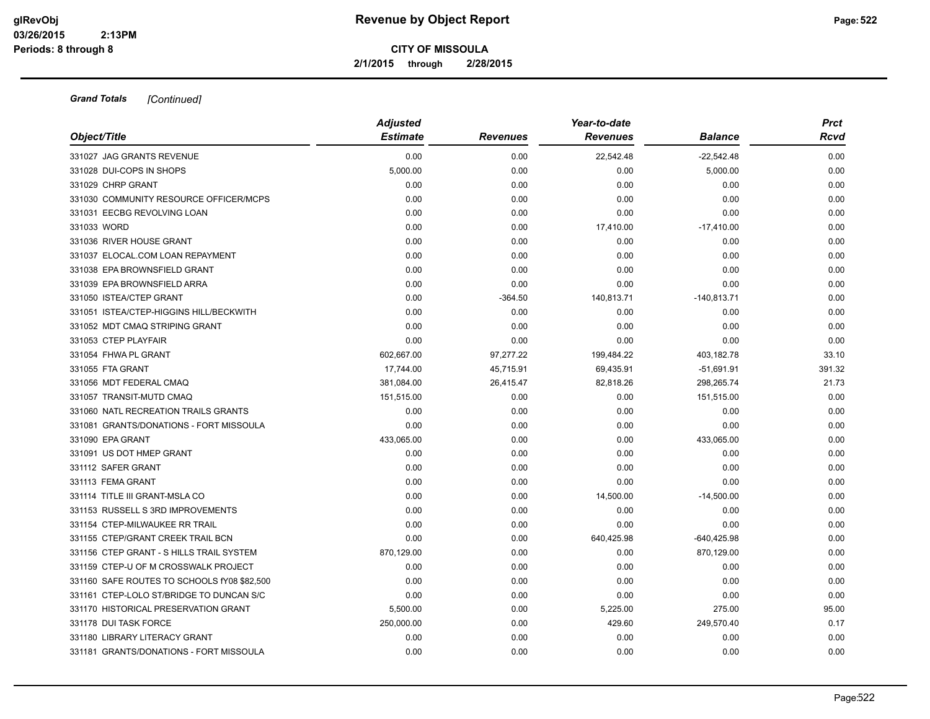**2/1/2015 through 2/28/2015**

|                                             | <b>Adjusted</b> |                 | Year-to-date    |                | <b>Prct</b> |
|---------------------------------------------|-----------------|-----------------|-----------------|----------------|-------------|
| Object/Title                                | <b>Estimate</b> | <b>Revenues</b> | <b>Revenues</b> | <b>Balance</b> | <b>Rcvd</b> |
| 331027 JAG GRANTS REVENUE                   | 0.00            | 0.00            | 22,542.48       | $-22,542.48$   | 0.00        |
| 331028 DUI-COPS IN SHOPS                    | 5,000.00        | 0.00            | 0.00            | 5,000.00       | 0.00        |
| 331029 CHRP GRANT                           | 0.00            | 0.00            | 0.00            | 0.00           | 0.00        |
| 331030 COMMUNITY RESOURCE OFFICER/MCPS      | 0.00            | 0.00            | 0.00            | 0.00           | 0.00        |
| 331031 EECBG REVOLVING LOAN                 | 0.00            | 0.00            | 0.00            | 0.00           | 0.00        |
| 331033 WORD                                 | 0.00            | 0.00            | 17,410.00       | $-17,410.00$   | 0.00        |
| 331036 RIVER HOUSE GRANT                    | 0.00            | 0.00            | 0.00            | 0.00           | 0.00        |
| 331037 ELOCAL.COM LOAN REPAYMENT            | 0.00            | 0.00            | 0.00            | 0.00           | 0.00        |
| 331038 EPA BROWNSFIELD GRANT                | 0.00            | 0.00            | 0.00            | 0.00           | 0.00        |
| 331039 EPA BROWNSFIELD ARRA                 | 0.00            | 0.00            | 0.00            | 0.00           | 0.00        |
| 331050 ISTEA/CTEP GRANT                     | 0.00            | $-364.50$       | 140,813.71      | $-140,813.71$  | 0.00        |
| 331051 ISTEA/CTEP-HIGGINS HILL/BECKWITH     | 0.00            | 0.00            | 0.00            | 0.00           | 0.00        |
| 331052 MDT CMAQ STRIPING GRANT              | 0.00            | 0.00            | 0.00            | 0.00           | 0.00        |
| 331053 CTEP PLAYFAIR                        | 0.00            | 0.00            | 0.00            | 0.00           | 0.00        |
| 331054 FHWA PL GRANT                        | 602,667.00      | 97,277.22       | 199,484.22      | 403,182.78     | 33.10       |
| 331055 FTA GRANT                            | 17,744.00       | 45,715.91       | 69,435.91       | $-51,691.91$   | 391.32      |
| 331056 MDT FEDERAL CMAQ                     | 381,084.00      | 26,415.47       | 82,818.26       | 298,265.74     | 21.73       |
| 331057 TRANSIT-MUTD CMAQ                    | 151,515.00      | 0.00            | 0.00            | 151,515.00     | 0.00        |
| 331060 NATL RECREATION TRAILS GRANTS        | 0.00            | 0.00            | 0.00            | 0.00           | 0.00        |
| 331081 GRANTS/DONATIONS - FORT MISSOULA     | 0.00            | 0.00            | 0.00            | 0.00           | 0.00        |
| 331090 EPA GRANT                            | 433,065.00      | 0.00            | 0.00            | 433,065.00     | 0.00        |
| 331091 US DOT HMEP GRANT                    | 0.00            | 0.00            | 0.00            | 0.00           | 0.00        |
| 331112 SAFER GRANT                          | 0.00            | 0.00            | 0.00            | 0.00           | 0.00        |
| 331113 FEMA GRANT                           | 0.00            | 0.00            | 0.00            | 0.00           | 0.00        |
| 331114 TITLE III GRANT-MSLA CO              | 0.00            | 0.00            | 14,500.00       | $-14,500.00$   | 0.00        |
| 331153 RUSSELL S 3RD IMPROVEMENTS           | 0.00            | 0.00            | 0.00            | 0.00           | 0.00        |
| 331154 CTEP-MILWAUKEE RR TRAIL              | 0.00            | 0.00            | 0.00            | 0.00           | 0.00        |
| 331155 CTEP/GRANT CREEK TRAIL BCN           | 0.00            | 0.00            | 640,425.98      | -640,425.98    | 0.00        |
| 331156 CTEP GRANT - S HILLS TRAIL SYSTEM    | 870,129.00      | 0.00            | 0.00            | 870,129.00     | 0.00        |
| 331159 CTEP-U OF M CROSSWALK PROJECT        | 0.00            | 0.00            | 0.00            | 0.00           | 0.00        |
| 331160 SAFE ROUTES TO SCHOOLS fY08 \$82,500 | 0.00            | 0.00            | 0.00            | 0.00           | 0.00        |
| 331161 CTEP-LOLO ST/BRIDGE TO DUNCAN S/C    | 0.00            | 0.00            | 0.00            | 0.00           | 0.00        |
| 331170 HISTORICAL PRESERVATION GRANT        | 5,500.00        | 0.00            | 5,225.00        | 275.00         | 95.00       |
| 331178 DUI TASK FORCE                       | 250,000.00      | 0.00            | 429.60          | 249,570.40     | 0.17        |
| 331180 LIBRARY LITERACY GRANT               | 0.00            | 0.00            | 0.00            | 0.00           | 0.00        |
| 331181 GRANTS/DONATIONS - FORT MISSOULA     | 0.00            | 0.00            | 0.00            | 0.00           | 0.00        |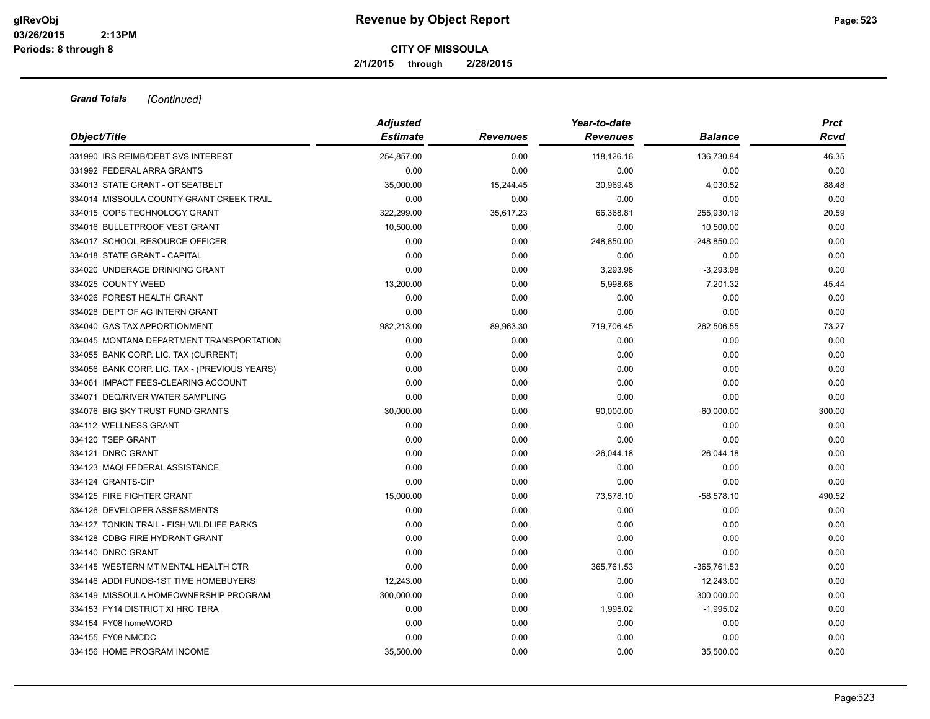**2/1/2015 through 2/28/2015**

| Object/Title                                  | <b>Adjusted</b><br><b>Estimate</b> | <b>Revenues</b> | Year-to-date<br><b>Revenues</b> | <b>Balance</b> | <b>Prct</b><br>Rcvd |
|-----------------------------------------------|------------------------------------|-----------------|---------------------------------|----------------|---------------------|
|                                               |                                    |                 |                                 |                |                     |
| 331990 IRS REIMB/DEBT SVS INTEREST            | 254,857.00                         | 0.00            | 118,126.16                      | 136,730.84     | 46.35               |
| 331992 FEDERAL ARRA GRANTS                    | 0.00                               | 0.00            | 0.00                            | 0.00           | 0.00                |
| 334013 STATE GRANT - OT SEATBELT              | 35,000.00                          | 15,244.45       | 30,969.48                       | 4,030.52       | 88.48               |
| 334014 MISSOULA COUNTY-GRANT CREEK TRAIL      | 0.00                               | 0.00            | 0.00                            | 0.00           | 0.00                |
| 334015 COPS TECHNOLOGY GRANT                  | 322,299.00                         | 35,617.23       | 66,368.81                       | 255,930.19     | 20.59               |
| 334016 BULLETPROOF VEST GRANT                 | 10,500.00                          | 0.00            | 0.00                            | 10,500.00      | 0.00                |
| 334017 SCHOOL RESOURCE OFFICER                | 0.00                               | 0.00            | 248,850.00                      | $-248,850.00$  | 0.00                |
| 334018 STATE GRANT - CAPITAL                  | 0.00                               | 0.00            | 0.00                            | 0.00           | 0.00                |
| 334020 UNDERAGE DRINKING GRANT                | 0.00                               | 0.00            | 3,293.98                        | $-3,293.98$    | 0.00                |
| 334025 COUNTY WEED                            | 13,200.00                          | 0.00            | 5,998.68                        | 7,201.32       | 45.44               |
| 334026 FOREST HEALTH GRANT                    | 0.00                               | 0.00            | 0.00                            | 0.00           | 0.00                |
| 334028 DEPT OF AG INTERN GRANT                | 0.00                               | 0.00            | 0.00                            | 0.00           | 0.00                |
| 334040 GAS TAX APPORTIONMENT                  | 982,213.00                         | 89,963.30       | 719,706.45                      | 262,506.55     | 73.27               |
| 334045 MONTANA DEPARTMENT TRANSPORTATION      | 0.00                               | 0.00            | 0.00                            | 0.00           | 0.00                |
| 334055 BANK CORP. LIC. TAX (CURRENT)          | 0.00                               | 0.00            | 0.00                            | 0.00           | 0.00                |
| 334056 BANK CORP. LIC. TAX - (PREVIOUS YEARS) | 0.00                               | 0.00            | 0.00                            | 0.00           | 0.00                |
| 334061 IMPACT FEES-CLEARING ACCOUNT           | 0.00                               | 0.00            | 0.00                            | 0.00           | 0.00                |
| 334071 DEQ/RIVER WATER SAMPLING               | 0.00                               | 0.00            | 0.00                            | 0.00           | 0.00                |
| 334076 BIG SKY TRUST FUND GRANTS              | 30,000.00                          | 0.00            | 90,000.00                       | $-60,000.00$   | 300.00              |
| 334112 WELLNESS GRANT                         | 0.00                               | 0.00            | 0.00                            | 0.00           | 0.00                |
| 334120 TSEP GRANT                             | 0.00                               | 0.00            | 0.00                            | 0.00           | 0.00                |
| 334121 DNRC GRANT                             | 0.00                               | 0.00            | $-26,044.18$                    | 26,044.18      | 0.00                |
| 334123 MAQI FEDERAL ASSISTANCE                | 0.00                               | 0.00            | 0.00                            | 0.00           | 0.00                |
| 334124 GRANTS-CIP                             | 0.00                               | 0.00            | 0.00                            | 0.00           | 0.00                |
| 334125 FIRE FIGHTER GRANT                     | 15,000.00                          | 0.00            | 73,578.10                       | $-58,578.10$   | 490.52              |
| 334126 DEVELOPER ASSESSMENTS                  | 0.00                               | 0.00            | 0.00                            | 0.00           | 0.00                |
| 334127 TONKIN TRAIL - FISH WILDLIFE PARKS     | 0.00                               | 0.00            | 0.00                            | 0.00           | 0.00                |
| 334128 CDBG FIRE HYDRANT GRANT                | 0.00                               | 0.00            | 0.00                            | 0.00           | 0.00                |
| 334140 DNRC GRANT                             | 0.00                               | 0.00            | 0.00                            | 0.00           | 0.00                |
| 334145 WESTERN MT MENTAL HEALTH CTR           | 0.00                               | 0.00            | 365.761.53                      | -365.761.53    | 0.00                |
| 334146 ADDI FUNDS-1ST TIME HOMEBUYERS         | 12,243.00                          | 0.00            | 0.00                            | 12,243.00      | 0.00                |
| 334149 MISSOULA HOMEOWNERSHIP PROGRAM         | 300,000.00                         | 0.00            | 0.00                            | 300,000.00     | 0.00                |
| 334153 FY14 DISTRICT XI HRC TBRA              | 0.00                               | 0.00            | 1,995.02                        | $-1,995.02$    | 0.00                |
| 334154 FY08 homeWORD                          | 0.00                               | 0.00            | 0.00                            | 0.00           | 0.00                |
| 334155 FY08 NMCDC                             | 0.00                               | 0.00            | 0.00                            | 0.00           | 0.00                |
| 334156 HOME PROGRAM INCOME                    | 35.500.00                          | 0.00            | 0.00                            | 35.500.00      | 0.00                |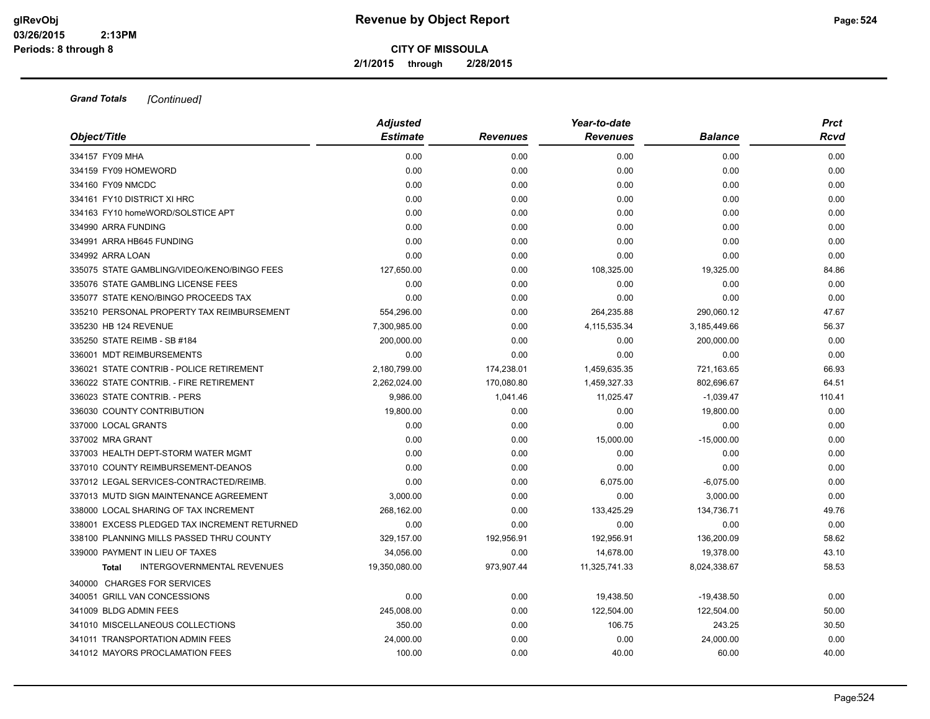**2/1/2015 through 2/28/2015**

|                                                   | <b>Adjusted</b> |                 | Year-to-date    |                |             |
|---------------------------------------------------|-----------------|-----------------|-----------------|----------------|-------------|
| Object/Title                                      | <b>Estimate</b> | <b>Revenues</b> | <b>Revenues</b> | <b>Balance</b> | <b>Rcvd</b> |
| 334157 FY09 MHA                                   | 0.00            | 0.00            | 0.00            | 0.00           | 0.00        |
| 334159 FY09 HOMEWORD                              | 0.00            | 0.00            | 0.00            | 0.00           | 0.00        |
| 334160 FY09 NMCDC                                 | 0.00            | 0.00            | 0.00            | 0.00           | 0.00        |
| 334161 FY10 DISTRICT XI HRC                       | 0.00            | 0.00            | 0.00            | 0.00           | 0.00        |
| 334163 FY10 homeWORD/SOLSTICE APT                 | 0.00            | 0.00            | 0.00            | 0.00           | 0.00        |
| 334990 ARRA FUNDING                               | 0.00            | 0.00            | 0.00            | 0.00           | 0.00        |
| 334991 ARRA HB645 FUNDING                         | 0.00            | 0.00            | 0.00            | 0.00           | 0.00        |
| 334992 ARRA LOAN                                  | 0.00            | 0.00            | 0.00            | 0.00           | 0.00        |
| 335075 STATE GAMBLING/VIDEO/KENO/BINGO FEES       | 127,650.00      | 0.00            | 108,325.00      | 19,325.00      | 84.86       |
| 335076 STATE GAMBLING LICENSE FEES                | 0.00            | 0.00            | 0.00            | 0.00           | 0.00        |
| 335077 STATE KENO/BINGO PROCEEDS TAX              | 0.00            | 0.00            | 0.00            | 0.00           | 0.00        |
| 335210 PERSONAL PROPERTY TAX REIMBURSEMENT        | 554,296.00      | 0.00            | 264,235.88      | 290,060.12     | 47.67       |
| 335230 HB 124 REVENUE                             | 7,300,985.00    | 0.00            | 4,115,535.34    | 3,185,449.66   | 56.37       |
| 335250 STATE REIMB - SB #184                      | 200,000.00      | 0.00            | 0.00            | 200,000.00     | 0.00        |
| 336001 MDT REIMBURSEMENTS                         | 0.00            | 0.00            | 0.00            | 0.00           | 0.00        |
| 336021 STATE CONTRIB - POLICE RETIREMENT          | 2,180,799.00    | 174,238.01      | 1,459,635.35    | 721,163.65     | 66.93       |
| 336022 STATE CONTRIB. - FIRE RETIREMENT           | 2,262,024.00    | 170,080.80      | 1,459,327.33    | 802,696.67     | 64.51       |
| 336023 STATE CONTRIB. - PERS                      | 9,986.00        | 1,041.46        | 11,025.47       | $-1,039.47$    | 110.41      |
| 336030 COUNTY CONTRIBUTION                        | 19,800.00       | 0.00            | 0.00            | 19,800.00      | 0.00        |
| 337000 LOCAL GRANTS                               | 0.00            | 0.00            | 0.00            | 0.00           | 0.00        |
| 337002 MRA GRANT                                  | 0.00            | 0.00            | 15,000.00       | $-15,000.00$   | 0.00        |
| 337003 HEALTH DEPT-STORM WATER MGMT               | 0.00            | 0.00            | 0.00            | 0.00           | 0.00        |
| 337010 COUNTY REIMBURSEMENT-DEANOS                | 0.00            | 0.00            | 0.00            | 0.00           | 0.00        |
| 337012 LEGAL SERVICES-CONTRACTED/REIMB.           | 0.00            | 0.00            | 6,075.00        | $-6,075.00$    | 0.00        |
| 337013 MUTD SIGN MAINTENANCE AGREEMENT            | 3,000.00        | 0.00            | 0.00            | 3,000.00       | 0.00        |
| 338000 LOCAL SHARING OF TAX INCREMENT             | 268,162.00      | 0.00            | 133,425.29      | 134,736.71     | 49.76       |
| 338001 EXCESS PLEDGED TAX INCREMENT RETURNED      | 0.00            | 0.00            | 0.00            | 0.00           | 0.00        |
| 338100 PLANNING MILLS PASSED THRU COUNTY          | 329,157.00      | 192,956.91      | 192,956.91      | 136,200.09     | 58.62       |
| 339000 PAYMENT IN LIEU OF TAXES                   | 34,056.00       | 0.00            | 14,678.00       | 19,378.00      | 43.10       |
| <b>INTERGOVERNMENTAL REVENUES</b><br><b>Total</b> | 19,350,080.00   | 973,907.44      | 11,325,741.33   | 8,024,338.67   | 58.53       |
| 340000 CHARGES FOR SERVICES                       |                 |                 |                 |                |             |
| 340051 GRILL VAN CONCESSIONS                      | 0.00            | 0.00            | 19,438.50       | $-19,438.50$   | 0.00        |
| 341009 BLDG ADMIN FEES                            | 245,008.00      | 0.00            | 122,504.00      | 122,504.00     | 50.00       |
| 341010 MISCELLANEOUS COLLECTIONS                  | 350.00          | 0.00            | 106.75          | 243.25         | 30.50       |
| 341011 TRANSPORTATION ADMIN FEES                  | 24,000.00       | 0.00            | 0.00            | 24,000.00      | 0.00        |
| 341012 MAYORS PROCLAMATION FEES                   | 100.00          | 0.00            | 40.00           | 60.00          | 40.00       |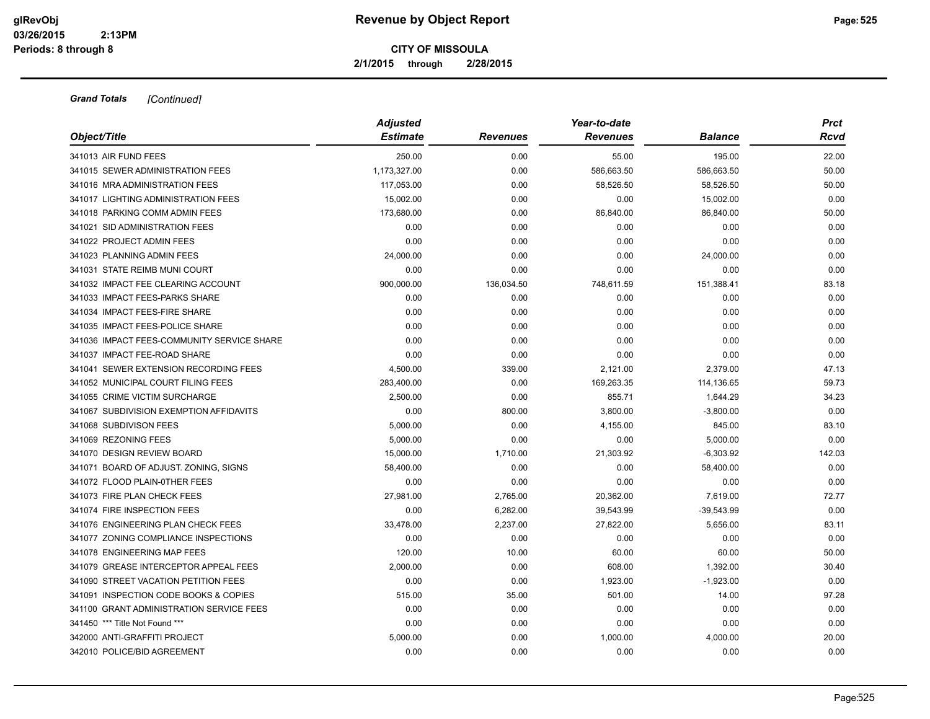**2/1/2015 through 2/28/2015**

| Object/Title                               | <b>Adjusted</b><br><b>Estimate</b> | <b>Revenues</b> | Year-to-date<br><b>Revenues</b> | <b>Balance</b> | <b>Prct</b><br>Rcvd |
|--------------------------------------------|------------------------------------|-----------------|---------------------------------|----------------|---------------------|
| 341013 AIR FUND FEES                       | 250.00                             | 0.00            | 55.00                           | 195.00         | 22.00               |
| 341015 SEWER ADMINISTRATION FEES           | 1,173,327.00                       | 0.00            | 586,663.50                      | 586,663.50     | 50.00               |
| 341016 MRA ADMINISTRATION FEES             | 117,053.00                         | 0.00            | 58,526.50                       | 58,526.50      | 50.00               |
| 341017 LIGHTING ADMINISTRATION FEES        | 15,002.00                          | 0.00            | 0.00                            | 15,002.00      | 0.00                |
| 341018 PARKING COMM ADMIN FEES             | 173,680.00                         | 0.00            | 86,840.00                       | 86,840.00      | 50.00               |
| 341021 SID ADMINISTRATION FEES             | 0.00                               | 0.00            | 0.00                            | 0.00           | 0.00                |
| 341022 PROJECT ADMIN FEES                  | 0.00                               | 0.00            | 0.00                            | 0.00           | 0.00                |
| 341023 PLANNING ADMIN FEES                 | 24,000.00                          | 0.00            | 0.00                            | 24,000.00      | 0.00                |
| 341031 STATE REIMB MUNI COURT              | 0.00                               | 0.00            | 0.00                            | 0.00           | 0.00                |
| 341032 IMPACT FEE CLEARING ACCOUNT         | 900,000.00                         | 136,034.50      | 748,611.59                      | 151,388.41     | 83.18               |
| 341033 IMPACT FEES-PARKS SHARE             | 0.00                               | 0.00            | 0.00                            | 0.00           | 0.00                |
| 341034 IMPACT FEES-FIRE SHARE              | 0.00                               | 0.00            | 0.00                            | 0.00           | 0.00                |
| 341035 IMPACT FEES-POLICE SHARE            | 0.00                               | 0.00            | 0.00                            | 0.00           | 0.00                |
| 341036 IMPACT FEES-COMMUNITY SERVICE SHARE | 0.00                               | 0.00            | 0.00                            | 0.00           | 0.00                |
| 341037 IMPACT FEE-ROAD SHARE               | 0.00                               | 0.00            | 0.00                            | 0.00           | 0.00                |
| 341041 SEWER EXTENSION RECORDING FEES      | 4,500.00                           | 339.00          | 2,121.00                        | 2,379.00       | 47.13               |
| 341052 MUNICIPAL COURT FILING FEES         | 283,400.00                         | 0.00            | 169,263.35                      | 114,136.65     | 59.73               |
| 341055 CRIME VICTIM SURCHARGE              | 2,500.00                           | 0.00            | 855.71                          | 1,644.29       | 34.23               |
| 341067 SUBDIVISION EXEMPTION AFFIDAVITS    | 0.00                               | 800.00          | 3,800.00                        | $-3,800.00$    | 0.00                |
| 341068 SUBDIVISON FEES                     | 5,000.00                           | 0.00            | 4,155.00                        | 845.00         | 83.10               |
| 341069 REZONING FEES                       | 5.000.00                           | 0.00            | 0.00                            | 5,000.00       | 0.00                |
| 341070 DESIGN REVIEW BOARD                 | 15,000.00                          | 1,710.00        | 21,303.92                       | $-6,303.92$    | 142.03              |
| 341071 BOARD OF ADJUST. ZONING, SIGNS      | 58,400.00                          | 0.00            | 0.00                            | 58,400.00      | 0.00                |
| 341072 FLOOD PLAIN-0THER FEES              | 0.00                               | 0.00            | 0.00                            | 0.00           | 0.00                |
| 341073 FIRE PLAN CHECK FEES                | 27,981.00                          | 2,765.00        | 20,362.00                       | 7,619.00       | 72.77               |
| 341074 FIRE INSPECTION FEES                | 0.00                               | 6,282.00        | 39,543.99                       | $-39,543.99$   | 0.00                |
| 341076 ENGINEERING PLAN CHECK FEES         | 33,478.00                          | 2,237.00        | 27,822.00                       | 5,656.00       | 83.11               |
| 341077 ZONING COMPLIANCE INSPECTIONS       | 0.00                               | 0.00            | 0.00                            | 0.00           | 0.00                |
| 341078 ENGINEERING MAP FEES                | 120.00                             | 10.00           | 60.00                           | 60.00          | 50.00               |
| 341079 GREASE INTERCEPTOR APPEAL FEES      | 2,000.00                           | 0.00            | 608.00                          | 1,392.00       | 30.40               |
| 341090 STREET VACATION PETITION FEES       | 0.00                               | 0.00            | 1,923.00                        | $-1,923.00$    | 0.00                |
| 341091 INSPECTION CODE BOOKS & COPIES      | 515.00                             | 35.00           | 501.00                          | 14.00          | 97.28               |
| 341100 GRANT ADMINISTRATION SERVICE FEES   | 0.00                               | 0.00            | 0.00                            | 0.00           | 0.00                |
| 341450 *** Title Not Found ***             | 0.00                               | 0.00            | 0.00                            | 0.00           | 0.00                |
| 342000 ANTI-GRAFFITI PROJECT               | 5,000.00                           | 0.00            | 1,000.00                        | 4,000.00       | 20.00               |
| 342010 POLICE/BID AGREEMENT                | 0.00                               | 0.00            | 0.00                            | 0.00           | 0.00                |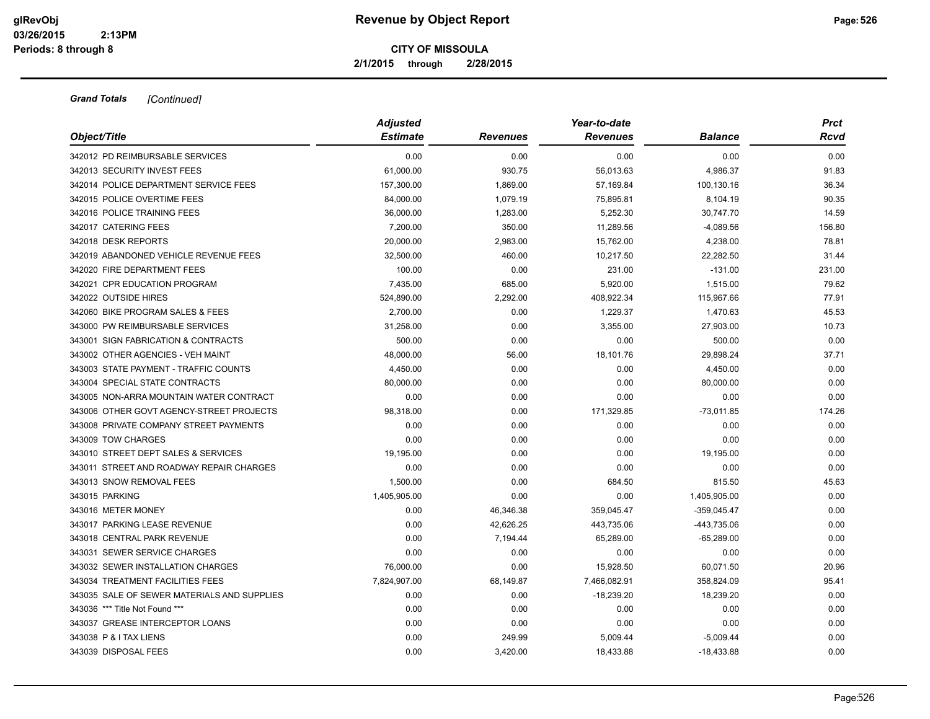**2/1/2015 through 2/28/2015**

|                                             | <b>Adjusted</b> |                 | Year-to-date    |                | <b>Prct</b> |  |
|---------------------------------------------|-----------------|-----------------|-----------------|----------------|-------------|--|
| Object/Title                                | <b>Estimate</b> | <b>Revenues</b> | <b>Revenues</b> | <b>Balance</b> | Rcvd        |  |
| 342012 PD REIMBURSABLE SERVICES             | 0.00            | 0.00            | 0.00            | 0.00           | 0.00        |  |
| 342013 SECURITY INVEST FEES                 | 61,000.00       | 930.75          | 56,013.63       | 4,986.37       | 91.83       |  |
| 342014 POLICE DEPARTMENT SERVICE FEES       | 157,300.00      | 1,869.00        | 57,169.84       | 100,130.16     | 36.34       |  |
| 342015 POLICE OVERTIME FEES                 | 84,000.00       | 1,079.19        | 75,895.81       | 8,104.19       | 90.35       |  |
| 342016 POLICE TRAINING FEES                 | 36,000.00       | 1,283.00        | 5,252.30        | 30,747.70      | 14.59       |  |
| 342017 CATERING FEES                        | 7,200.00        | 350.00          | 11,289.56       | $-4,089.56$    | 156.80      |  |
| 342018 DESK REPORTS                         | 20,000.00       | 2,983.00        | 15,762.00       | 4,238.00       | 78.81       |  |
| 342019 ABANDONED VEHICLE REVENUE FEES       | 32,500.00       | 460.00          | 10,217.50       | 22,282.50      | 31.44       |  |
| 342020 FIRE DEPARTMENT FEES                 | 100.00          | 0.00            | 231.00          | $-131.00$      | 231.00      |  |
| 342021 CPR EDUCATION PROGRAM                | 7,435.00        | 685.00          | 5,920.00        | 1,515.00       | 79.62       |  |
| 342022 OUTSIDE HIRES                        | 524,890.00      | 2,292.00        | 408,922.34      | 115,967.66     | 77.91       |  |
| 342060 BIKE PROGRAM SALES & FEES            | 2,700.00        | 0.00            | 1,229.37        | 1,470.63       | 45.53       |  |
| 343000 PW REIMBURSABLE SERVICES             | 31,258.00       | 0.00            | 3,355.00        | 27,903.00      | 10.73       |  |
| 343001 SIGN FABRICATION & CONTRACTS         | 500.00          | 0.00            | 0.00            | 500.00         | 0.00        |  |
| 343002 OTHER AGENCIES - VEH MAINT           | 48,000.00       | 56.00           | 18,101.76       | 29,898.24      | 37.71       |  |
| 343003 STATE PAYMENT - TRAFFIC COUNTS       | 4,450.00        | 0.00            | 0.00            | 4,450.00       | 0.00        |  |
| 343004 SPECIAL STATE CONTRACTS              | 80,000.00       | 0.00            | 0.00            | 80,000.00      | 0.00        |  |
| 343005 NON-ARRA MOUNTAIN WATER CONTRACT     | 0.00            | 0.00            | 0.00            | 0.00           | 0.00        |  |
| 343006 OTHER GOVT AGENCY-STREET PROJECTS    | 98,318.00       | 0.00            | 171,329.85      | $-73,011.85$   | 174.26      |  |
| 343008 PRIVATE COMPANY STREET PAYMENTS      | 0.00            | 0.00            | 0.00            | 0.00           | 0.00        |  |
| 343009 TOW CHARGES                          | 0.00            | 0.00            | 0.00            | 0.00           | 0.00        |  |
| 343010 STREET DEPT SALES & SERVICES         | 19,195.00       | 0.00            | 0.00            | 19,195.00      | 0.00        |  |
| 343011 STREET AND ROADWAY REPAIR CHARGES    | 0.00            | 0.00            | 0.00            | 0.00           | 0.00        |  |
| 343013 SNOW REMOVAL FEES                    | 1,500.00        | 0.00            | 684.50          | 815.50         | 45.63       |  |
| 343015 PARKING                              | 1,405,905.00    | 0.00            | 0.00            | 1,405,905.00   | 0.00        |  |
| 343016 METER MONEY                          | 0.00            | 46,346.38       | 359,045.47      | $-359,045.47$  | 0.00        |  |
| 343017 PARKING LEASE REVENUE                | 0.00            | 42,626.25       | 443,735.06      | -443,735.06    | 0.00        |  |
| 343018 CENTRAL PARK REVENUE                 | 0.00            | 7,194.44        | 65,289.00       | $-65,289.00$   | 0.00        |  |
| 343031 SEWER SERVICE CHARGES                | 0.00            | 0.00            | 0.00            | 0.00           | 0.00        |  |
| 343032 SEWER INSTALLATION CHARGES           | 76,000.00       | 0.00            | 15,928.50       | 60,071.50      | 20.96       |  |
| 343034 TREATMENT FACILITIES FEES            | 7,824,907.00    | 68,149.87       | 7,466,082.91    | 358,824.09     | 95.41       |  |
| 343035 SALE OF SEWER MATERIALS AND SUPPLIES | 0.00            | 0.00            | $-18,239.20$    | 18,239.20      | 0.00        |  |
| 343036 *** Title Not Found ***              | 0.00            | 0.00            | 0.00            | 0.00           | 0.00        |  |
| 343037 GREASE INTERCEPTOR LOANS             | 0.00            | 0.00            | 0.00            | 0.00           | 0.00        |  |
| 343038 P & I TAX LIENS                      | 0.00            | 249.99          | 5,009.44        | $-5,009.44$    | 0.00        |  |
| 343039 DISPOSAL FEES                        | 0.00            | 3,420.00        | 18,433.88       | $-18,433.88$   | 0.00        |  |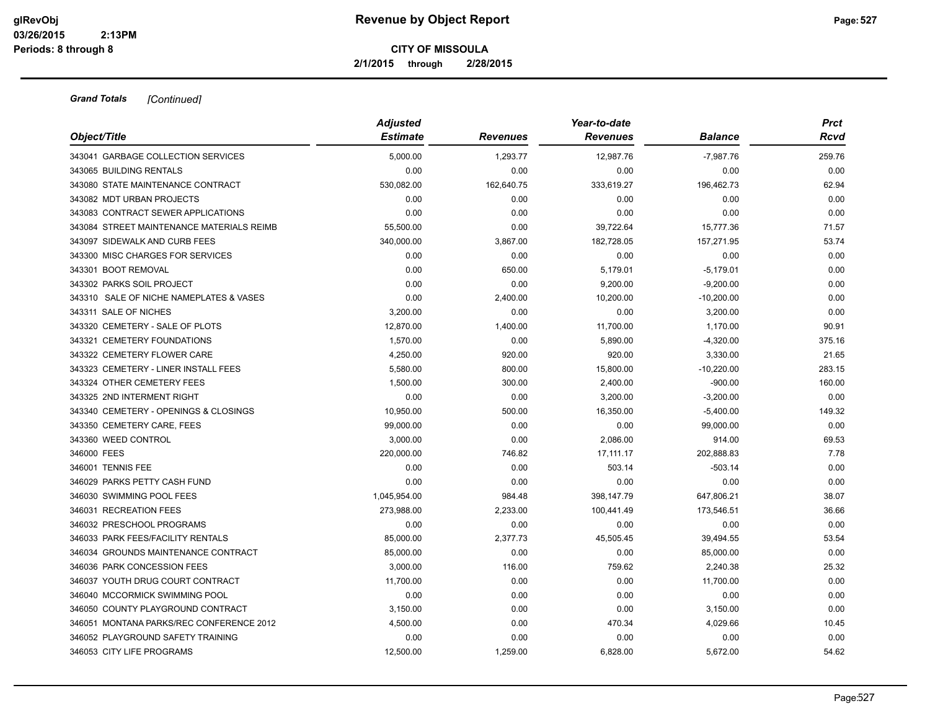**2/1/2015 through 2/28/2015**

|                                           | <b>Adjusted</b> |                 | Year-to-date    |                | <b>Prct</b> |  |
|-------------------------------------------|-----------------|-----------------|-----------------|----------------|-------------|--|
| Object/Title                              | <b>Estimate</b> | <b>Revenues</b> | <b>Revenues</b> | <b>Balance</b> | Rcvd        |  |
| 343041 GARBAGE COLLECTION SERVICES        | 5,000.00        | 1,293.77        | 12,987.76       | $-7,987.76$    | 259.76      |  |
| 343065 BUILDING RENTALS                   | 0.00            | 0.00            | 0.00            | 0.00           | 0.00        |  |
| 343080 STATE MAINTENANCE CONTRACT         | 530,082.00      | 162,640.75      | 333,619.27      | 196,462.73     | 62.94       |  |
| 343082 MDT URBAN PROJECTS                 | 0.00            | 0.00            | 0.00            | 0.00           | 0.00        |  |
| 343083 CONTRACT SEWER APPLICATIONS        | 0.00            | 0.00            | 0.00            | 0.00           | 0.00        |  |
| 343084 STREET MAINTENANCE MATERIALS REIMB | 55,500.00       | 0.00            | 39,722.64       | 15,777.36      | 71.57       |  |
| 343097 SIDEWALK AND CURB FEES             | 340,000.00      | 3,867.00        | 182,728.05      | 157,271.95     | 53.74       |  |
| 343300 MISC CHARGES FOR SERVICES          | 0.00            | 0.00            | 0.00            | 0.00           | 0.00        |  |
| 343301 BOOT REMOVAL                       | 0.00            | 650.00          | 5,179.01        | $-5,179.01$    | 0.00        |  |
| 343302 PARKS SOIL PROJECT                 | 0.00            | 0.00            | 9,200.00        | $-9,200.00$    | 0.00        |  |
| 343310 SALE OF NICHE NAMEPLATES & VASES   | 0.00            | 2,400.00        | 10,200.00       | $-10,200.00$   | 0.00        |  |
| 343311 SALE OF NICHES                     | 3,200.00        | 0.00            | 0.00            | 3,200.00       | 0.00        |  |
| 343320 CEMETERY - SALE OF PLOTS           | 12,870.00       | 1,400.00        | 11,700.00       | 1,170.00       | 90.91       |  |
| 343321 CEMETERY FOUNDATIONS               | 1,570.00        | 0.00            | 5,890.00        | $-4,320.00$    | 375.16      |  |
| 343322 CEMETERY FLOWER CARE               | 4,250.00        | 920.00          | 920.00          | 3,330.00       | 21.65       |  |
| 343323 CEMETERY - LINER INSTALL FEES      | 5,580.00        | 800.00          | 15,800.00       | $-10,220.00$   | 283.15      |  |
| 343324 OTHER CEMETERY FEES                | 1,500.00        | 300.00          | 2,400.00        | $-900.00$      | 160.00      |  |
| 343325 2ND INTERMENT RIGHT                | 0.00            | 0.00            | 3,200.00        | $-3,200.00$    | 0.00        |  |
| 343340 CEMETERY - OPENINGS & CLOSINGS     | 10,950.00       | 500.00          | 16,350.00       | $-5,400.00$    | 149.32      |  |
| 343350 CEMETERY CARE, FEES                | 99,000.00       | 0.00            | 0.00            | 99,000.00      | 0.00        |  |
| 343360 WEED CONTROL                       | 3,000.00        | 0.00            | 2,086.00        | 914.00         | 69.53       |  |
| 346000 FEES                               | 220,000.00      | 746.82          | 17, 111. 17     | 202,888.83     | 7.78        |  |
| 346001 TENNIS FEE                         | 0.00            | 0.00            | 503.14          | $-503.14$      | 0.00        |  |
| 346029 PARKS PETTY CASH FUND              | 0.00            | 0.00            | 0.00            | 0.00           | 0.00        |  |
| 346030 SWIMMING POOL FEES                 | 1,045,954.00    | 984.48          | 398,147.79      | 647,806.21     | 38.07       |  |
| 346031 RECREATION FEES                    | 273,988.00      | 2,233.00        | 100,441.49      | 173,546.51     | 36.66       |  |
| 346032 PRESCHOOL PROGRAMS                 | 0.00            | 0.00            | 0.00            | 0.00           | 0.00        |  |
| 346033 PARK FEES/FACILITY RENTALS         | 85,000.00       | 2,377.73        | 45,505.45       | 39,494.55      | 53.54       |  |
| 346034 GROUNDS MAINTENANCE CONTRACT       | 85,000.00       | 0.00            | 0.00            | 85,000.00      | 0.00        |  |
| 346036 PARK CONCESSION FEES               | 3,000.00        | 116.00          | 759.62          | 2,240.38       | 25.32       |  |
| 346037 YOUTH DRUG COURT CONTRACT          | 11,700.00       | 0.00            | 0.00            | 11,700.00      | 0.00        |  |
| 346040 MCCORMICK SWIMMING POOL            | 0.00            | 0.00            | 0.00            | 0.00           | 0.00        |  |
| 346050 COUNTY PLAYGROUND CONTRACT         | 3,150.00        | 0.00            | 0.00            | 3,150.00       | 0.00        |  |
| 346051 MONTANA PARKS/REC CONFERENCE 2012  | 4,500.00        | 0.00            | 470.34          | 4,029.66       | 10.45       |  |
| 346052 PLAYGROUND SAFETY TRAINING         | 0.00            | 0.00            | 0.00            | 0.00           | 0.00        |  |
| 346053 CITY LIFE PROGRAMS                 | 12,500.00       | 1,259.00        | 6,828.00        | 5,672.00       | 54.62       |  |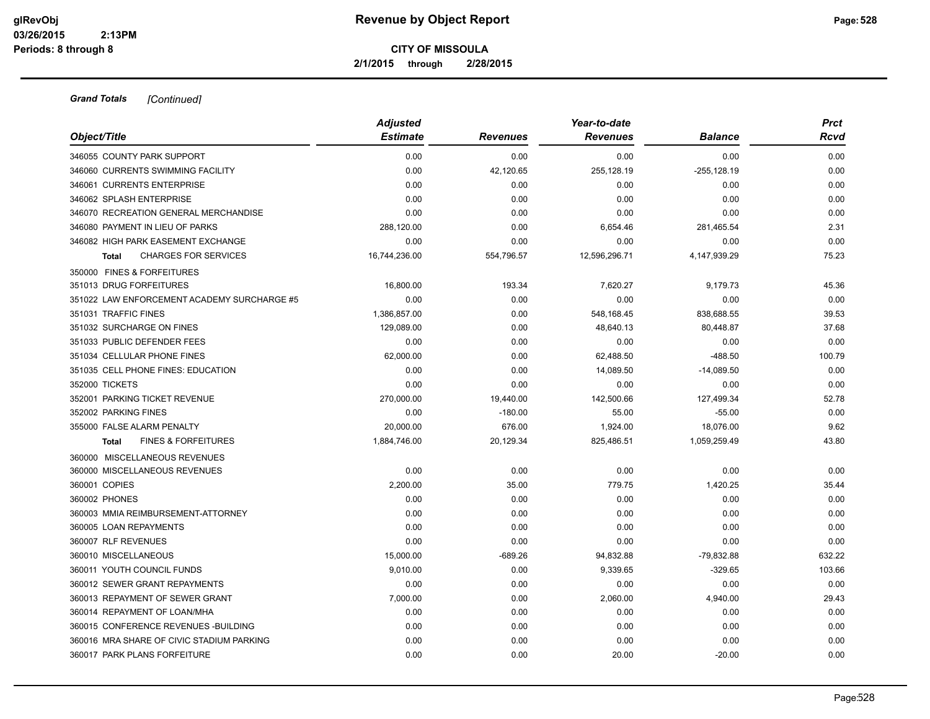**2/1/2015 through 2/28/2015**

|                                                | <b>Adjusted</b> |                 | Year-to-date    |                | <b>Prct</b> |
|------------------------------------------------|-----------------|-----------------|-----------------|----------------|-------------|
| Object/Title                                   | <b>Estimate</b> | <b>Revenues</b> | <b>Revenues</b> | <b>Balance</b> | Rcvd        |
| 346055 COUNTY PARK SUPPORT                     | 0.00            | 0.00            | 0.00            | 0.00           | 0.00        |
| 346060 CURRENTS SWIMMING FACILITY              | 0.00            | 42,120.65       | 255,128.19      | $-255, 128.19$ | 0.00        |
| 346061 CURRENTS ENTERPRISE                     | 0.00            | 0.00            | 0.00            | 0.00           | 0.00        |
| 346062 SPLASH ENTERPRISE                       | 0.00            | 0.00            | 0.00            | 0.00           | 0.00        |
| 346070 RECREATION GENERAL MERCHANDISE          | 0.00            | 0.00            | 0.00            | 0.00           | 0.00        |
| 346080 PAYMENT IN LIEU OF PARKS                | 288,120.00      | 0.00            | 6,654.46        | 281,465.54     | 2.31        |
| 346082 HIGH PARK EASEMENT EXCHANGE             | 0.00            | 0.00            | 0.00            | 0.00           | 0.00        |
| <b>CHARGES FOR SERVICES</b><br><b>Total</b>    | 16,744,236.00   | 554,796.57      | 12,596,296.71   | 4,147,939.29   | 75.23       |
| 350000 FINES & FORFEITURES                     |                 |                 |                 |                |             |
| 351013 DRUG FORFEITURES                        | 16,800.00       | 193.34          | 7,620.27        | 9,179.73       | 45.36       |
| 351022 LAW ENFORCEMENT ACADEMY SURCHARGE #5    | 0.00            | 0.00            | 0.00            | 0.00           | 0.00        |
| 351031 TRAFFIC FINES                           | 1,386,857.00    | 0.00            | 548,168.45      | 838,688.55     | 39.53       |
| 351032 SURCHARGE ON FINES                      | 129,089.00      | 0.00            | 48,640.13       | 80,448.87      | 37.68       |
| 351033 PUBLIC DEFENDER FEES                    | 0.00            | 0.00            | 0.00            | 0.00           | 0.00        |
| 351034 CELLULAR PHONE FINES                    | 62,000.00       | 0.00            | 62,488.50       | $-488.50$      | 100.79      |
| 351035 CELL PHONE FINES: EDUCATION             | 0.00            | 0.00            | 14,089.50       | $-14,089.50$   | 0.00        |
| 352000 TICKETS                                 | 0.00            | 0.00            | 0.00            | 0.00           | 0.00        |
| 352001 PARKING TICKET REVENUE                  | 270,000.00      | 19,440.00       | 142,500.66      | 127,499.34     | 52.78       |
| 352002 PARKING FINES                           | 0.00            | $-180.00$       | 55.00           | $-55.00$       | 0.00        |
| 355000 FALSE ALARM PENALTY                     | 20,000.00       | 676.00          | 1,924.00        | 18,076.00      | 9.62        |
| <b>FINES &amp; FORFEITURES</b><br><b>Total</b> | 1,884,746.00    | 20,129.34       | 825,486.51      | 1,059,259.49   | 43.80       |
| 360000 MISCELLANEOUS REVENUES                  |                 |                 |                 |                |             |
| 360000 MISCELLANEOUS REVENUES                  | 0.00            | 0.00            | 0.00            | 0.00           | 0.00        |
| 360001 COPIES                                  | 2,200.00        | 35.00           | 779.75          | 1,420.25       | 35.44       |
| 360002 PHONES                                  | 0.00            | 0.00            | 0.00            | 0.00           | 0.00        |
| 360003 MMIA REIMBURSEMENT-ATTORNEY             | 0.00            | 0.00            | 0.00            | 0.00           | 0.00        |
| 360005 LOAN REPAYMENTS                         | 0.00            | 0.00            | 0.00            | 0.00           | 0.00        |
| 360007 RLF REVENUES                            | 0.00            | 0.00            | 0.00            | 0.00           | 0.00        |
| 360010 MISCELLANEOUS                           | 15,000.00       | $-689.26$       | 94,832.88       | $-79,832.88$   | 632.22      |
| 360011 YOUTH COUNCIL FUNDS                     | 9,010.00        | 0.00            | 9,339.65        | $-329.65$      | 103.66      |
| 360012 SEWER GRANT REPAYMENTS                  | 0.00            | 0.00            | 0.00            | 0.00           | 0.00        |
| 360013 REPAYMENT OF SEWER GRANT                | 7,000.00        | 0.00            | 2,060.00        | 4,940.00       | 29.43       |
| 360014 REPAYMENT OF LOAN/MHA                   | 0.00            | 0.00            | 0.00            | 0.00           | 0.00        |
| 360015 CONFERENCE REVENUES - BUILDING          | 0.00            | 0.00            | 0.00            | 0.00           | 0.00        |
| 360016 MRA SHARE OF CIVIC STADIUM PARKING      | 0.00            | 0.00            | 0.00            | 0.00           | 0.00        |
| 360017 PARK PLANS FORFEITURE                   | 0.00            | 0.00            | 20.00           | $-20.00$       | 0.00        |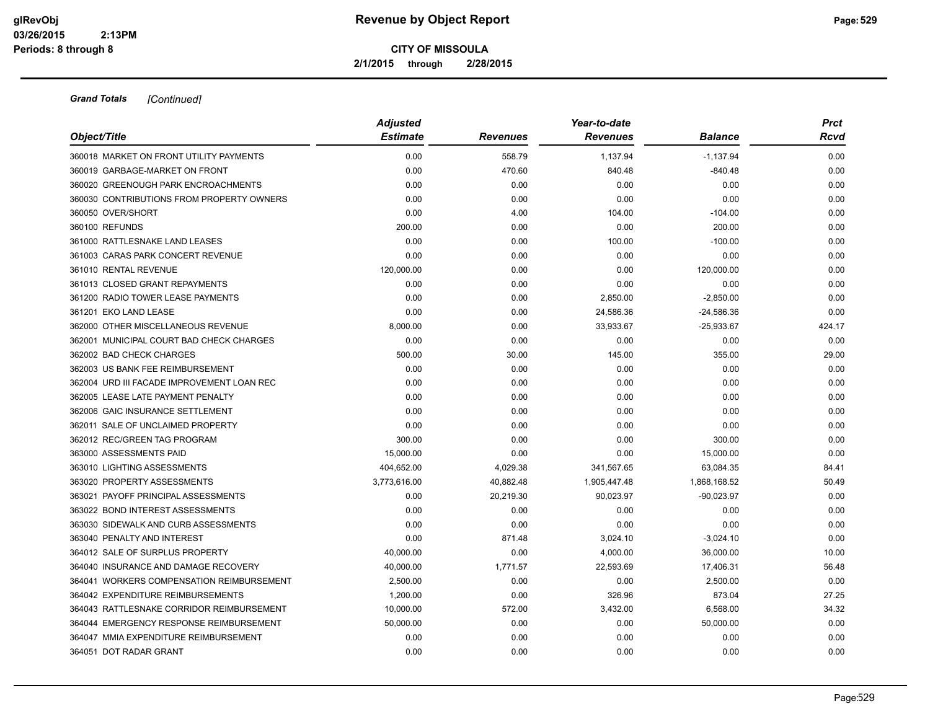**2/1/2015 through 2/28/2015**

| Object/Title                               | <b>Adjusted</b> |                 | Year-to-date    |                |        |
|--------------------------------------------|-----------------|-----------------|-----------------|----------------|--------|
|                                            | <b>Estimate</b> | <b>Revenues</b> | <b>Revenues</b> | <b>Balance</b> | Rcvd   |
| 360018 MARKET ON FRONT UTILITY PAYMENTS    | 0.00            | 558.79          | 1,137.94        | $-1,137.94$    | 0.00   |
| 360019 GARBAGE-MARKET ON FRONT             | 0.00            | 470.60          | 840.48          | $-840.48$      | 0.00   |
| 360020 GREENOUGH PARK ENCROACHMENTS        | 0.00            | 0.00            | 0.00            | 0.00           | 0.00   |
| 360030 CONTRIBUTIONS FROM PROPERTY OWNERS  | 0.00            | 0.00            | 0.00            | 0.00           | 0.00   |
| 360050 OVER/SHORT                          | 0.00            | 4.00            | 104.00          | $-104.00$      | 0.00   |
| 360100 REFUNDS                             | 200.00          | 0.00            | 0.00            | 200.00         | 0.00   |
| 361000 RATTLESNAKE LAND LEASES             | 0.00            | 0.00            | 100.00          | $-100.00$      | 0.00   |
| 361003 CARAS PARK CONCERT REVENUE          | 0.00            | 0.00            | 0.00            | 0.00           | 0.00   |
| 361010 RENTAL REVENUE                      | 120,000.00      | 0.00            | 0.00            | 120,000.00     | 0.00   |
| 361013 CLOSED GRANT REPAYMENTS             | 0.00            | 0.00            | 0.00            | 0.00           | 0.00   |
| 361200 RADIO TOWER LEASE PAYMENTS          | 0.00            | 0.00            | 2,850.00        | $-2,850.00$    | 0.00   |
| 361201 EKO LAND LEASE                      | 0.00            | 0.00            | 24,586.36       | $-24,586.36$   | 0.00   |
| 362000 OTHER MISCELLANEOUS REVENUE         | 8,000.00        | 0.00            | 33,933.67       | $-25,933.67$   | 424.17 |
| 362001 MUNICIPAL COURT BAD CHECK CHARGES   | 0.00            | 0.00            | 0.00            | 0.00           | 0.00   |
| 362002 BAD CHECK CHARGES                   | 500.00          | 30.00           | 145.00          | 355.00         | 29.00  |
| 362003 US BANK FEE REIMBURSEMENT           | 0.00            | 0.00            | 0.00            | 0.00           | 0.00   |
| 362004 URD III FACADE IMPROVEMENT LOAN REC | 0.00            | 0.00            | 0.00            | 0.00           | 0.00   |
| 362005 LEASE LATE PAYMENT PENALTY          | 0.00            | 0.00            | 0.00            | 0.00           | 0.00   |
| 362006 GAIC INSURANCE SETTLEMENT           | 0.00            | 0.00            | 0.00            | 0.00           | 0.00   |
| 362011 SALE OF UNCLAIMED PROPERTY          | 0.00            | 0.00            | 0.00            | 0.00           | 0.00   |
| 362012 REC/GREEN TAG PROGRAM               | 300.00          | 0.00            | 0.00            | 300.00         | 0.00   |
| 363000 ASSESSMENTS PAID                    | 15,000.00       | 0.00            | 0.00            | 15,000.00      | 0.00   |
| 363010 LIGHTING ASSESSMENTS                | 404,652.00      | 4,029.38        | 341.567.65      | 63,084.35      | 84.41  |
| 363020 PROPERTY ASSESSMENTS                | 3,773,616.00    | 40,882.48       | 1,905,447.48    | 1,868,168.52   | 50.49  |
| 363021 PAYOFF PRINCIPAL ASSESSMENTS        | 0.00            | 20,219.30       | 90,023.97       | $-90,023.97$   | 0.00   |
| 363022 BOND INTEREST ASSESSMENTS           | 0.00            | 0.00            | 0.00            | 0.00           | 0.00   |
| 363030 SIDEWALK AND CURB ASSESSMENTS       | 0.00            | 0.00            | 0.00            | 0.00           | 0.00   |
| 363040 PENALTY AND INTEREST                | 0.00            | 871.48          | 3,024.10        | $-3,024.10$    | 0.00   |
| 364012 SALE OF SURPLUS PROPERTY            | 40,000.00       | 0.00            | 4,000.00        | 36,000.00      | 10.00  |
| 364040 INSURANCE AND DAMAGE RECOVERY       | 40,000.00       | 1,771.57        | 22,593.69       | 17,406.31      | 56.48  |
| 364041 WORKERS COMPENSATION REIMBURSEMENT  | 2,500.00        | 0.00            | 0.00            | 2,500.00       | 0.00   |
| 364042 EXPENDITURE REIMBURSEMENTS          | 1,200.00        | 0.00            | 326.96          | 873.04         | 27.25  |
| 364043 RATTLESNAKE CORRIDOR REIMBURSEMENT  | 10,000.00       | 572.00          | 3,432.00        | 6,568.00       | 34.32  |
| 364044 EMERGENCY RESPONSE REIMBURSEMENT    | 50,000.00       | 0.00            | 0.00            | 50,000.00      | 0.00   |
| 364047 MMIA EXPENDITURE REIMBURSEMENT      | 0.00            | 0.00            | 0.00            | 0.00           | 0.00   |
| 364051 DOT RADAR GRANT                     | 0.00            | 0.00            | 0.00            | 0.00           | 0.00   |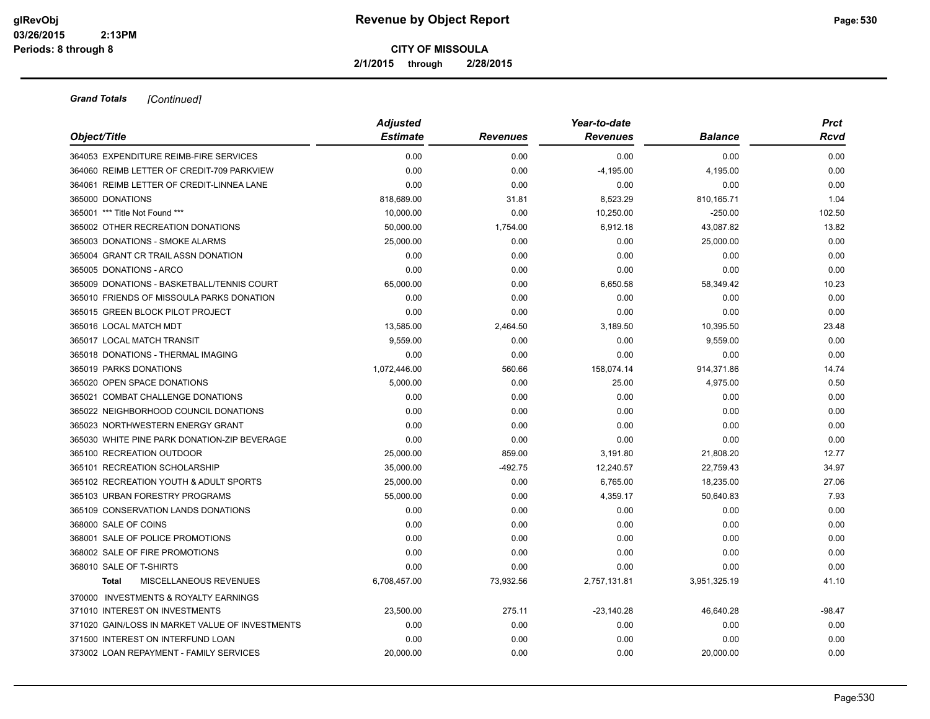**2/1/2015 through 2/28/2015**

| Object/Title                                    | <b>Adjusted</b> |                 | Year-to-date    |                | <b>Prct</b> |
|-------------------------------------------------|-----------------|-----------------|-----------------|----------------|-------------|
|                                                 | <b>Estimate</b> | <b>Revenues</b> | <b>Revenues</b> | <b>Balance</b> | Rcvd        |
| 364053 EXPENDITURE REIMB-FIRE SERVICES          | 0.00            | 0.00            | 0.00            | 0.00           | 0.00        |
| 364060 REIMB LETTER OF CREDIT-709 PARKVIEW      | 0.00            | 0.00            | $-4,195.00$     | 4,195.00       | 0.00        |
| 364061 REIMB LETTER OF CREDIT-LINNEA LANE       | 0.00            | 0.00            | 0.00            | 0.00           | 0.00        |
| 365000 DONATIONS                                | 818,689.00      | 31.81           | 8,523.29        | 810,165.71     | 1.04        |
| 365001 *** Title Not Found ***                  | 10,000.00       | 0.00            | 10,250.00       | $-250.00$      | 102.50      |
| 365002 OTHER RECREATION DONATIONS               | 50,000.00       | 1,754.00        | 6,912.18        | 43,087.82      | 13.82       |
| 365003 DONATIONS - SMOKE ALARMS                 | 25,000.00       | 0.00            | 0.00            | 25,000.00      | 0.00        |
| 365004 GRANT CR TRAIL ASSN DONATION             | 0.00            | 0.00            | 0.00            | 0.00           | 0.00        |
| 365005 DONATIONS - ARCO                         | 0.00            | 0.00            | 0.00            | 0.00           | 0.00        |
| 365009 DONATIONS - BASKETBALL/TENNIS COURT      | 65,000.00       | 0.00            | 6,650.58        | 58,349.42      | 10.23       |
| 365010 FRIENDS OF MISSOULA PARKS DONATION       | 0.00            | 0.00            | 0.00            | 0.00           | 0.00        |
| 365015 GREEN BLOCK PILOT PROJECT                | 0.00            | 0.00            | 0.00            | 0.00           | 0.00        |
| 365016 LOCAL MATCH MDT                          | 13,585.00       | 2,464.50        | 3,189.50        | 10,395.50      | 23.48       |
| 365017 LOCAL MATCH TRANSIT                      | 9,559.00        | 0.00            | 0.00            | 9,559.00       | 0.00        |
| 365018 DONATIONS - THERMAL IMAGING              | 0.00            | 0.00            | 0.00            | 0.00           | 0.00        |
| 365019 PARKS DONATIONS                          | 1,072,446.00    | 560.66          | 158,074.14      | 914,371.86     | 14.74       |
| 365020 OPEN SPACE DONATIONS                     | 5,000.00        | 0.00            | 25.00           | 4,975.00       | 0.50        |
| 365021 COMBAT CHALLENGE DONATIONS               | 0.00            | 0.00            | 0.00            | 0.00           | 0.00        |
| 365022 NEIGHBORHOOD COUNCIL DONATIONS           | 0.00            | 0.00            | 0.00            | 0.00           | 0.00        |
| 365023 NORTHWESTERN ENERGY GRANT                | 0.00            | 0.00            | 0.00            | 0.00           | 0.00        |
| 365030 WHITE PINE PARK DONATION-ZIP BEVERAGE    | 0.00            | 0.00            | 0.00            | 0.00           | 0.00        |
| 365100 RECREATION OUTDOOR                       | 25,000.00       | 859.00          | 3,191.80        | 21,808.20      | 12.77       |
| 365101 RECREATION SCHOLARSHIP                   | 35,000.00       | $-492.75$       | 12,240.57       | 22,759.43      | 34.97       |
| 365102 RECREATION YOUTH & ADULT SPORTS          | 25,000.00       | 0.00            | 6,765.00        | 18,235.00      | 27.06       |
| 365103 URBAN FORESTRY PROGRAMS                  | 55,000.00       | 0.00            | 4,359.17        | 50,640.83      | 7.93        |
| 365109 CONSERVATION LANDS DONATIONS             | 0.00            | 0.00            | 0.00            | 0.00           | 0.00        |
| 368000 SALE OF COINS                            | 0.00            | 0.00            | 0.00            | 0.00           | 0.00        |
| 368001 SALE OF POLICE PROMOTIONS                | 0.00            | 0.00            | 0.00            | 0.00           | 0.00        |
| 368002 SALE OF FIRE PROMOTIONS                  | 0.00            | 0.00            | 0.00            | 0.00           | 0.00        |
| 368010 SALE OF T-SHIRTS                         | 0.00            | 0.00            | 0.00            | 0.00           | 0.00        |
| MISCELLANEOUS REVENUES<br><b>Total</b>          | 6,708,457.00    | 73,932.56       | 2,757,131.81    | 3,951,325.19   | 41.10       |
| 370000 INVESTMENTS & ROYALTY EARNINGS           |                 |                 |                 |                |             |
| 371010 INTEREST ON INVESTMENTS                  | 23,500.00       | 275.11          | $-23,140.28$    | 46,640.28      | $-98.47$    |
| 371020 GAIN/LOSS IN MARKET VALUE OF INVESTMENTS | 0.00            | 0.00            | 0.00            | 0.00           | 0.00        |
| 371500 INTEREST ON INTERFUND LOAN               | 0.00            | 0.00            | 0.00            | 0.00           | 0.00        |
| 373002 LOAN REPAYMENT - FAMILY SERVICES         | 20.000.00       | 0.00            | 0.00            | 20,000.00      | 0.00        |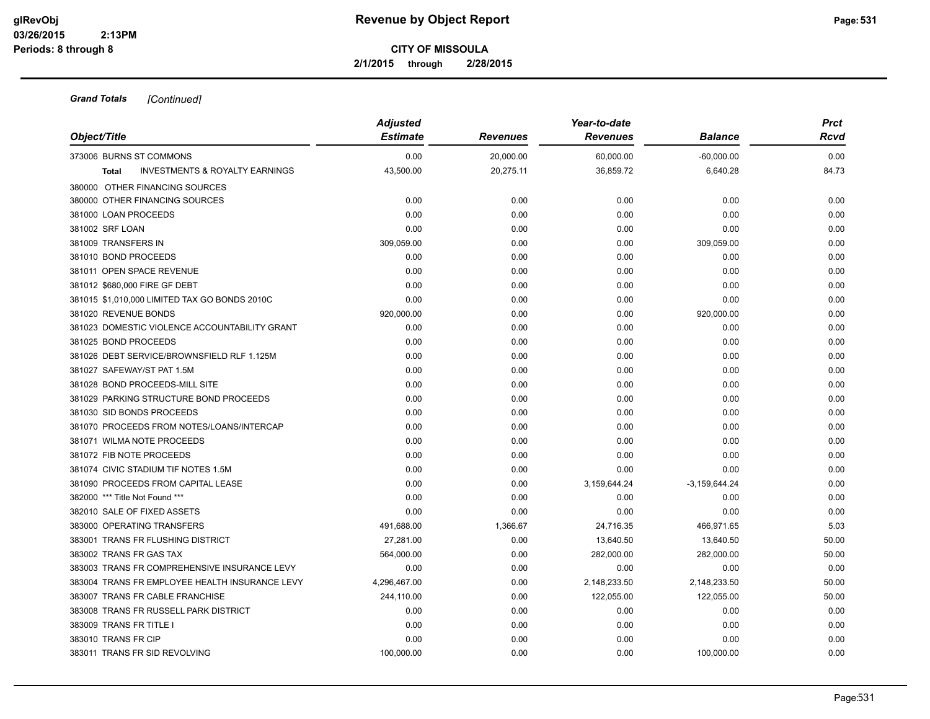**2/1/2015 through 2/28/2015**

| Object/Title                                              | <b>Adjusted</b><br><b>Estimate</b> |                 | Year-to-date<br><b>Revenues</b> | <b>Balance</b>    | <b>Prct</b><br>Rcvd |
|-----------------------------------------------------------|------------------------------------|-----------------|---------------------------------|-------------------|---------------------|
|                                                           |                                    | <b>Revenues</b> |                                 |                   |                     |
| 373006 BURNS ST COMMONS                                   | 0.00                               | 20,000.00       | 60,000.00                       | $-60,000.00$      | 0.00                |
| <b>INVESTMENTS &amp; ROYALTY EARNINGS</b><br><b>Total</b> | 43,500.00                          | 20,275.11       | 36,859.72                       | 6,640.28          | 84.73               |
| 380000 OTHER FINANCING SOURCES                            |                                    |                 |                                 |                   |                     |
| 380000 OTHER FINANCING SOURCES                            | 0.00                               | 0.00            | 0.00                            | 0.00              | 0.00                |
| 381000 LOAN PROCEEDS                                      | 0.00                               | 0.00            | 0.00                            | 0.00              | 0.00                |
| 381002 SRF LOAN                                           | 0.00                               | 0.00            | 0.00                            | 0.00              | 0.00                |
| 381009 TRANSFERS IN                                       | 309,059.00                         | 0.00            | 0.00                            | 309,059.00        | 0.00                |
| 381010 BOND PROCEEDS                                      | 0.00                               | 0.00            | 0.00                            | 0.00              | 0.00                |
| 381011 OPEN SPACE REVENUE                                 | 0.00                               | 0.00            | 0.00                            | 0.00              | 0.00                |
| 381012 \$680,000 FIRE GF DEBT                             | 0.00                               | 0.00            | 0.00                            | 0.00              | 0.00                |
| 381015 \$1,010,000 LIMITED TAX GO BONDS 2010C             | 0.00                               | 0.00            | 0.00                            | 0.00              | 0.00                |
| 381020 REVENUE BONDS                                      | 920,000.00                         | 0.00            | 0.00                            | 920,000.00        | 0.00                |
| 381023 DOMESTIC VIOLENCE ACCOUNTABILITY GRANT             | 0.00                               | 0.00            | 0.00                            | 0.00              | 0.00                |
| 381025 BOND PROCEEDS                                      | 0.00                               | 0.00            | 0.00                            | 0.00              | 0.00                |
| 381026 DEBT SERVICE/BROWNSFIELD RLF 1.125M                | 0.00                               | 0.00            | 0.00                            | 0.00              | 0.00                |
| 381027 SAFEWAY/ST PAT 1.5M                                | 0.00                               | 0.00            | 0.00                            | 0.00              | 0.00                |
| 381028 BOND PROCEEDS-MILL SITE                            | 0.00                               | 0.00            | 0.00                            | 0.00              | 0.00                |
| 381029 PARKING STRUCTURE BOND PROCEEDS                    | 0.00                               | 0.00            | 0.00                            | 0.00              | 0.00                |
| 381030 SID BONDS PROCEEDS                                 | 0.00                               | 0.00            | 0.00                            | 0.00              | 0.00                |
| 381070 PROCEEDS FROM NOTES/LOANS/INTERCAP                 | 0.00                               | 0.00            | 0.00                            | 0.00              | 0.00                |
| 381071 WILMA NOTE PROCEEDS                                | 0.00                               | 0.00            | 0.00                            | 0.00              | 0.00                |
| 381072 FIB NOTE PROCEEDS                                  | 0.00                               | 0.00            | 0.00                            | 0.00              | 0.00                |
| 381074 CIVIC STADIUM TIF NOTES 1.5M                       | 0.00                               | 0.00            | 0.00                            | 0.00              | 0.00                |
| 381090 PROCEEDS FROM CAPITAL LEASE                        | 0.00                               | 0.00            | 3,159,644.24                    | $-3, 159, 644.24$ | 0.00                |
| 382000 *** Title Not Found ***                            | 0.00                               | 0.00            | 0.00                            | 0.00              | 0.00                |
| 382010 SALE OF FIXED ASSETS                               | 0.00                               | 0.00            | 0.00                            | 0.00              | 0.00                |
| 383000 OPERATING TRANSFERS                                | 491,688.00                         | 1,366.67        | 24,716.35                       | 466,971.65        | 5.03                |
| 383001 TRANS FR FLUSHING DISTRICT                         | 27,281.00                          | 0.00            | 13,640.50                       | 13,640.50         | 50.00               |
| 383002 TRANS FR GAS TAX                                   | 564,000.00                         | 0.00            | 282,000.00                      | 282,000.00        | 50.00               |
| 383003 TRANS FR COMPREHENSIVE INSURANCE LEVY              | 0.00                               | 0.00            | 0.00                            | 0.00              | 0.00                |
| 383004 TRANS FR EMPLOYEE HEALTH INSURANCE LEVY            | 4,296,467.00                       | 0.00            | 2,148,233.50                    | 2,148,233.50      | 50.00               |
| 383007 TRANS FR CABLE FRANCHISE                           | 244,110.00                         | 0.00            | 122,055.00                      | 122,055.00        | 50.00               |
| 383008 TRANS FR RUSSELL PARK DISTRICT                     | 0.00                               | 0.00            | 0.00                            | 0.00              | 0.00                |
| 383009 TRANS FR TITLE I                                   | 0.00                               | 0.00            | 0.00                            | 0.00              | 0.00                |
| 383010 TRANS FR CIP                                       | 0.00                               | 0.00            | 0.00                            | 0.00              | 0.00                |
| 383011 TRANS FR SID REVOLVING                             | 100.000.00                         | 0.00            | 0.00                            | 100.000.00        | 0.00                |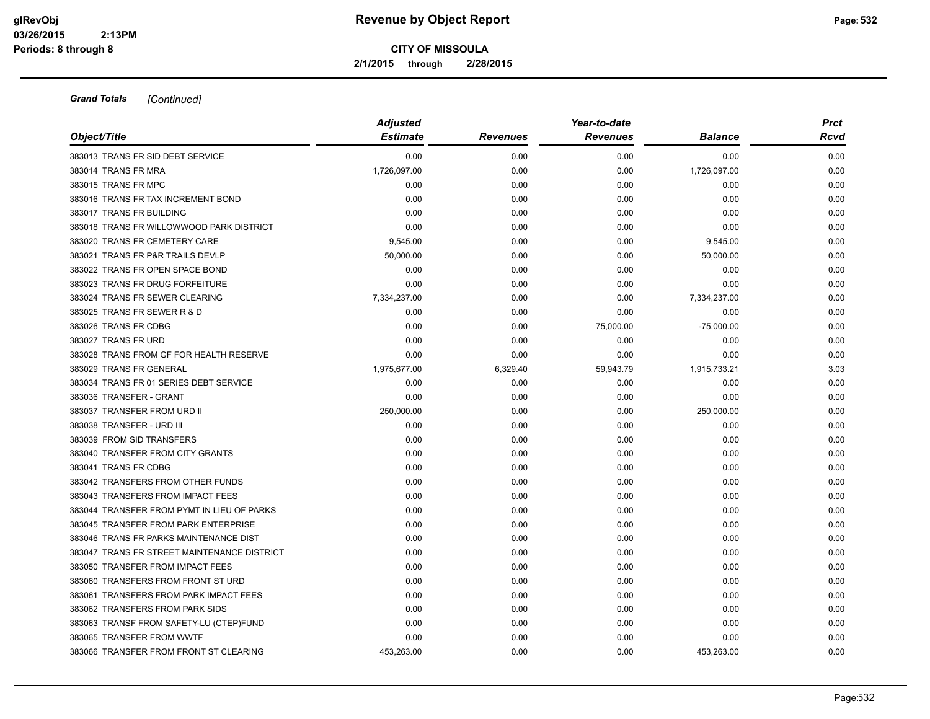**2/1/2015 through 2/28/2015**

| Object/Title                                | <b>Adjusted</b> |                 | Year-to-date<br><b>Revenues</b> | <b>Balance</b> | <b>Prct</b><br><b>Rcvd</b> |
|---------------------------------------------|-----------------|-----------------|---------------------------------|----------------|----------------------------|
|                                             | <b>Estimate</b> | <b>Revenues</b> |                                 |                |                            |
| 383013 TRANS FR SID DEBT SERVICE            | 0.00            | 0.00            | 0.00                            | 0.00           | 0.00                       |
| 383014 TRANS FR MRA                         | 1,726,097.00    | 0.00            | 0.00                            | 1,726,097.00   | 0.00                       |
| 383015 TRANS FR MPC                         | 0.00            | 0.00            | 0.00                            | 0.00           | 0.00                       |
| 383016 TRANS FR TAX INCREMENT BOND          | 0.00            | 0.00            | 0.00                            | 0.00           | 0.00                       |
| 383017 TRANS FR BUILDING                    | 0.00            | 0.00            | 0.00                            | 0.00           | 0.00                       |
| 383018 TRANS FR WILLOWWOOD PARK DISTRICT    | 0.00            | 0.00            | 0.00                            | 0.00           | 0.00                       |
| 383020 TRANS FR CEMETERY CARE               | 9,545.00        | 0.00            | 0.00                            | 9,545.00       | 0.00                       |
| 383021 TRANS FR P&R TRAILS DEVLP            | 50,000.00       | 0.00            | 0.00                            | 50,000.00      | 0.00                       |
| 383022 TRANS FR OPEN SPACE BOND             | 0.00            | 0.00            | 0.00                            | 0.00           | 0.00                       |
| 383023 TRANS FR DRUG FORFEITURE             | 0.00            | 0.00            | 0.00                            | 0.00           | 0.00                       |
| 383024 TRANS FR SEWER CLEARING              | 7,334,237.00    | 0.00            | 0.00                            | 7,334,237.00   | 0.00                       |
| 383025 TRANS FR SEWER R & D                 | 0.00            | 0.00            | 0.00                            | 0.00           | 0.00                       |
| 383026 TRANS FR CDBG                        | 0.00            | 0.00            | 75,000.00                       | $-75,000.00$   | 0.00                       |
| 383027 TRANS FR URD                         | 0.00            | 0.00            | 0.00                            | 0.00           | 0.00                       |
| 383028 TRANS FROM GF FOR HEALTH RESERVE     | 0.00            | 0.00            | 0.00                            | 0.00           | 0.00                       |
| 383029 TRANS FR GENERAL                     | 1,975,677.00    | 6,329.40        | 59,943.79                       | 1,915,733.21   | 3.03                       |
| 383034 TRANS FR 01 SERIES DEBT SERVICE      | 0.00            | 0.00            | 0.00                            | 0.00           | 0.00                       |
| 383036 TRANSFER - GRANT                     | 0.00            | 0.00            | 0.00                            | 0.00           | 0.00                       |
| 383037 TRANSFER FROM URD II                 | 250,000.00      | 0.00            | 0.00                            | 250,000.00     | 0.00                       |
| 383038 TRANSFER - URD III                   | 0.00            | 0.00            | 0.00                            | 0.00           | 0.00                       |
| 383039 FROM SID TRANSFERS                   | 0.00            | 0.00            | 0.00                            | 0.00           | 0.00                       |
| 383040 TRANSFER FROM CITY GRANTS            | 0.00            | 0.00            | 0.00                            | 0.00           | 0.00                       |
| 383041 TRANS FR CDBG                        | 0.00            | 0.00            | 0.00                            | 0.00           | 0.00                       |
| 383042 TRANSFERS FROM OTHER FUNDS           | 0.00            | 0.00            | 0.00                            | 0.00           | 0.00                       |
| 383043 TRANSFERS FROM IMPACT FEES           | 0.00            | 0.00            | 0.00                            | 0.00           | 0.00                       |
| 383044 TRANSFER FROM PYMT IN LIEU OF PARKS  | 0.00            | 0.00            | 0.00                            | 0.00           | 0.00                       |
| 383045 TRANSFER FROM PARK ENTERPRISE        | 0.00            | 0.00            | 0.00                            | 0.00           | 0.00                       |
| 383046 TRANS FR PARKS MAINTENANCE DIST      | 0.00            | 0.00            | 0.00                            | 0.00           | 0.00                       |
| 383047 TRANS FR STREET MAINTENANCE DISTRICT | 0.00            | 0.00            | 0.00                            | 0.00           | 0.00                       |
| 383050 TRANSFER FROM IMPACT FEES            | 0.00            | 0.00            | 0.00                            | 0.00           | 0.00                       |
| 383060 TRANSFERS FROM FRONT ST URD          | 0.00            | 0.00            | 0.00                            | 0.00           | 0.00                       |
| 383061 TRANSFERS FROM PARK IMPACT FEES      | 0.00            | 0.00            | 0.00                            | 0.00           | 0.00                       |
| 383062 TRANSFERS FROM PARK SIDS             | 0.00            | 0.00            | 0.00                            | 0.00           | 0.00                       |
| 383063 TRANSF FROM SAFETY-LU (CTEP)FUND     | 0.00            | 0.00            | 0.00                            | 0.00           | 0.00                       |
| 383065 TRANSFER FROM WWTF                   | 0.00            | 0.00            | 0.00                            | 0.00           | 0.00                       |
| 383066 TRANSFER FROM FRONT ST CLEARING      | 453.263.00      | 0.00            | 0.00                            | 453,263.00     | 0.00                       |